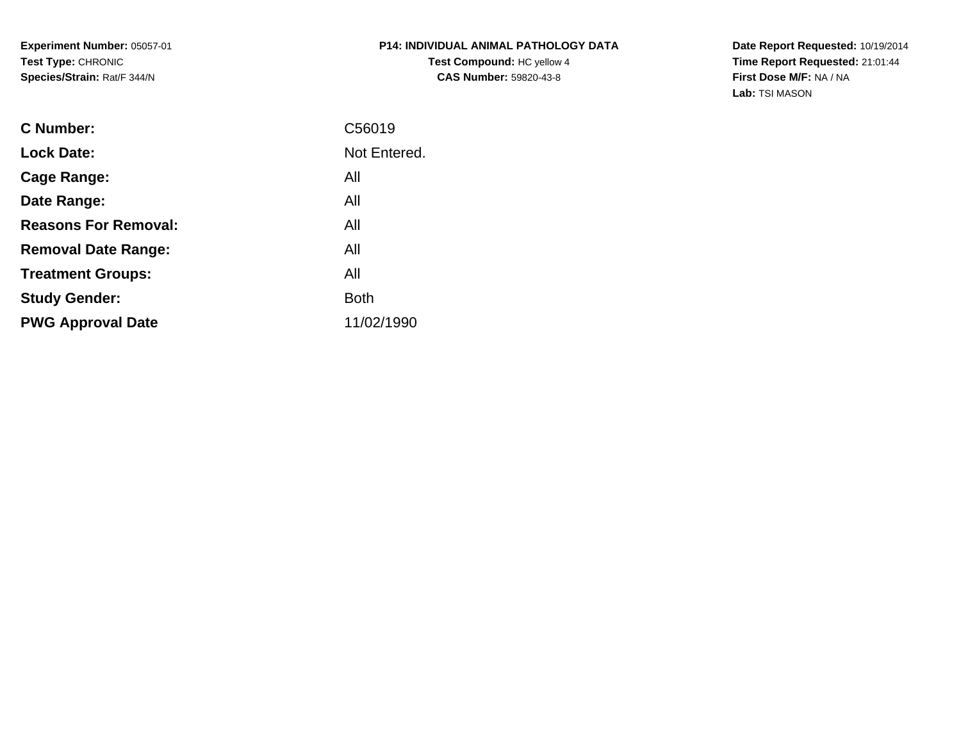**Experiment Number:** 05057-01**Test Type:** CHRONIC**Species/Strain:** Rat/F 344/N

## **P14: INDIVIDUAL ANIMAL PATHOLOGY DATATest Compound:** HC yellow 4**CAS Number:** 59820-43-8

**Date Report Requested:** 10/19/2014 **Time Report Requested:** 21:01:44**First Dose M/F:** NA / NA**Lab:** TSI MASON

| <b>C</b> Number:            | C56019       |
|-----------------------------|--------------|
| <b>Lock Date:</b>           | Not Entered. |
| Cage Range:                 | All          |
| Date Range:                 | All          |
| <b>Reasons For Removal:</b> | All          |
| <b>Removal Date Range:</b>  | All          |
| <b>Treatment Groups:</b>    | All          |
| <b>Study Gender:</b>        | <b>Both</b>  |
| <b>PWG Approval Date</b>    | 11/02/1990   |
|                             |              |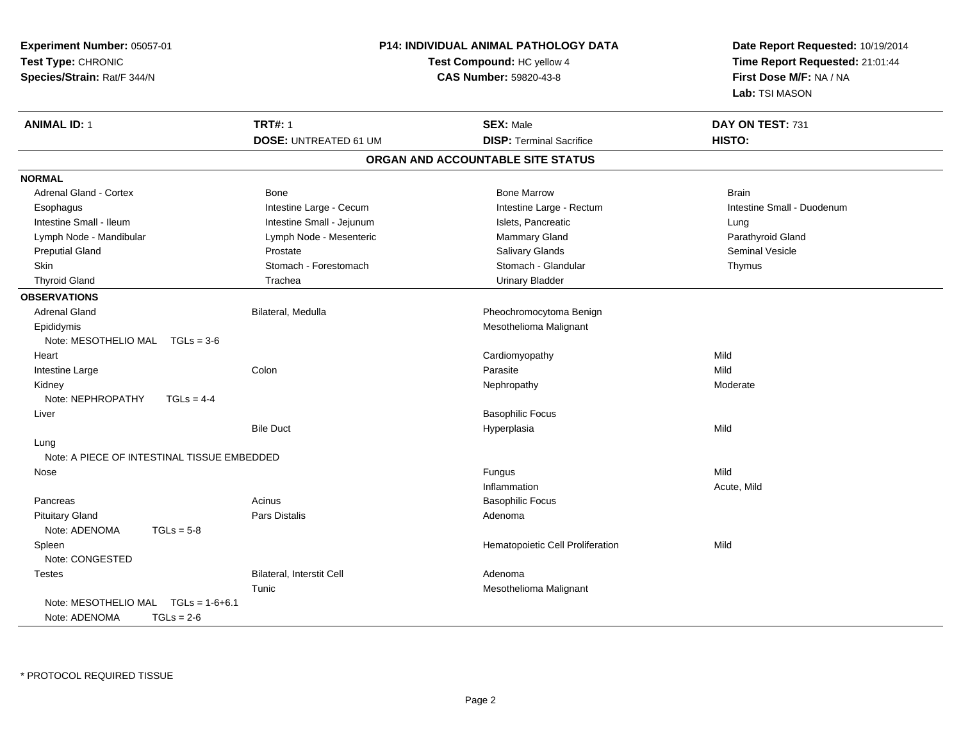| Experiment Number: 05057-01<br>Test Type: CHRONIC<br>Species/Strain: Rat/F 344/N |                                  | <b>P14: INDIVIDUAL ANIMAL PATHOLOGY DATA</b><br>Test Compound: HC yellow 4<br><b>CAS Number: 59820-43-8</b> | Date Report Requested: 10/19/2014<br>Time Report Requested: 21:01:44<br>First Dose M/F: NA / NA<br>Lab: TSI MASON |
|----------------------------------------------------------------------------------|----------------------------------|-------------------------------------------------------------------------------------------------------------|-------------------------------------------------------------------------------------------------------------------|
| <b>ANIMAL ID: 1</b>                                                              | <b>TRT#: 1</b>                   | <b>SEX: Male</b>                                                                                            | DAY ON TEST: 731                                                                                                  |
|                                                                                  | <b>DOSE: UNTREATED 61 UM</b>     | <b>DISP: Terminal Sacrifice</b>                                                                             | HISTO:                                                                                                            |
|                                                                                  |                                  | ORGAN AND ACCOUNTABLE SITE STATUS                                                                           |                                                                                                                   |
| <b>NORMAL</b>                                                                    |                                  |                                                                                                             |                                                                                                                   |
| <b>Adrenal Gland - Cortex</b>                                                    | Bone                             | <b>Bone Marrow</b>                                                                                          | <b>Brain</b>                                                                                                      |
| Esophagus                                                                        | Intestine Large - Cecum          | Intestine Large - Rectum                                                                                    | Intestine Small - Duodenum                                                                                        |
| Intestine Small - Ileum                                                          | Intestine Small - Jejunum        | Islets, Pancreatic                                                                                          | Lung                                                                                                              |
| Lymph Node - Mandibular                                                          | Lymph Node - Mesenteric          | Mammary Gland                                                                                               | Parathyroid Gland                                                                                                 |
| <b>Preputial Gland</b>                                                           | Prostate                         | Salivary Glands                                                                                             | <b>Seminal Vesicle</b>                                                                                            |
| Skin                                                                             | Stomach - Forestomach            | Stomach - Glandular                                                                                         | Thymus                                                                                                            |
| <b>Thyroid Gland</b>                                                             | Trachea                          | <b>Urinary Bladder</b>                                                                                      |                                                                                                                   |
| <b>OBSERVATIONS</b>                                                              |                                  |                                                                                                             |                                                                                                                   |
| <b>Adrenal Gland</b>                                                             | Bilateral, Medulla               | Pheochromocytoma Benign                                                                                     |                                                                                                                   |
| Epididymis                                                                       |                                  | Mesothelioma Malignant                                                                                      |                                                                                                                   |
| Note: MESOTHELIO MAL TGLs = 3-6                                                  |                                  |                                                                                                             |                                                                                                                   |
| Heart                                                                            |                                  | Cardiomyopathy                                                                                              | Mild                                                                                                              |
| Intestine Large                                                                  | Colon                            | Parasite                                                                                                    | Mild                                                                                                              |
| Kidney                                                                           |                                  | Nephropathy                                                                                                 | Moderate                                                                                                          |
| Note: NEPHROPATHY<br>$TGLs = 4-4$                                                |                                  |                                                                                                             |                                                                                                                   |
| Liver                                                                            |                                  | <b>Basophilic Focus</b>                                                                                     |                                                                                                                   |
|                                                                                  | <b>Bile Duct</b>                 | Hyperplasia                                                                                                 | Mild                                                                                                              |
| Lung                                                                             |                                  |                                                                                                             |                                                                                                                   |
| Note: A PIECE OF INTESTINAL TISSUE EMBEDDED                                      |                                  |                                                                                                             |                                                                                                                   |
| Nose                                                                             |                                  | Fungus                                                                                                      | Mild                                                                                                              |
|                                                                                  |                                  | Inflammation                                                                                                | Acute, Mild                                                                                                       |
| Pancreas                                                                         | Acinus                           | <b>Basophilic Focus</b>                                                                                     |                                                                                                                   |
| <b>Pituitary Gland</b>                                                           | <b>Pars Distalis</b>             | Adenoma                                                                                                     |                                                                                                                   |
| Note: ADENOMA<br>$TGLs = 5-8$                                                    |                                  |                                                                                                             |                                                                                                                   |
| Spleen                                                                           |                                  | Hematopoietic Cell Proliferation                                                                            | Mild                                                                                                              |
| Note: CONGESTED                                                                  |                                  |                                                                                                             |                                                                                                                   |
| <b>Testes</b>                                                                    | <b>Bilateral, Interstit Cell</b> | Adenoma                                                                                                     |                                                                                                                   |
|                                                                                  | Tunic                            | Mesothelioma Malignant                                                                                      |                                                                                                                   |
| Note: MESOTHELIO MAL $TGLs = 1-6+6.1$                                            |                                  |                                                                                                             |                                                                                                                   |
| Note: ADENOMA<br>$TGLs = 2-6$                                                    |                                  |                                                                                                             |                                                                                                                   |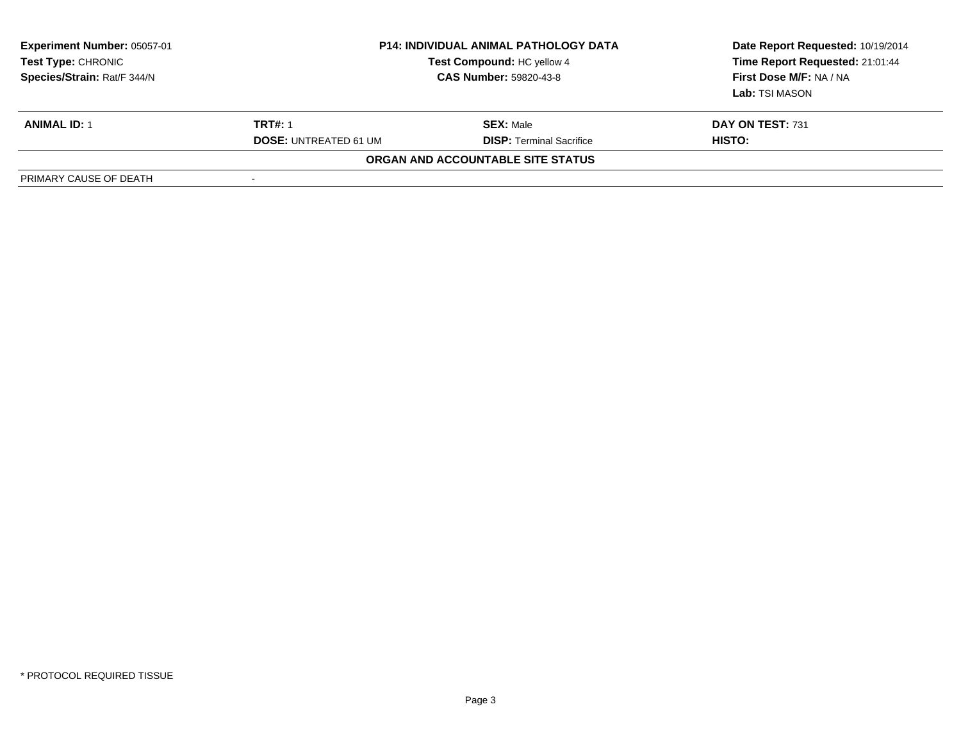| <b>Experiment Number: 05057-01</b><br><b>Test Type: CHRONIC</b><br>Species/Strain: Rat/F 344/N | <b>P14: INDIVIDUAL ANIMAL PATHOLOGY DATA</b><br>Test Compound: HC yellow 4<br><b>CAS Number: 59820-43-8</b> |                                   | Date Report Requested: 10/19/2014<br>Time Report Requested: 21:01:44<br>First Dose M/F: NA / NA<br>Lab: TSI MASON |
|------------------------------------------------------------------------------------------------|-------------------------------------------------------------------------------------------------------------|-----------------------------------|-------------------------------------------------------------------------------------------------------------------|
| <b>ANIMAL ID: 1</b>                                                                            | <b>TRT#: 1</b>                                                                                              | <b>SEX: Male</b>                  | DAY ON TEST: 731                                                                                                  |
|                                                                                                | <b>DOSE: UNTREATED 61 UM</b>                                                                                | <b>DISP:</b> Terminal Sacrifice   | HISTO:                                                                                                            |
|                                                                                                |                                                                                                             | ORGAN AND ACCOUNTABLE SITE STATUS |                                                                                                                   |
| PRIMARY CAUSE OF DEATH                                                                         |                                                                                                             |                                   |                                                                                                                   |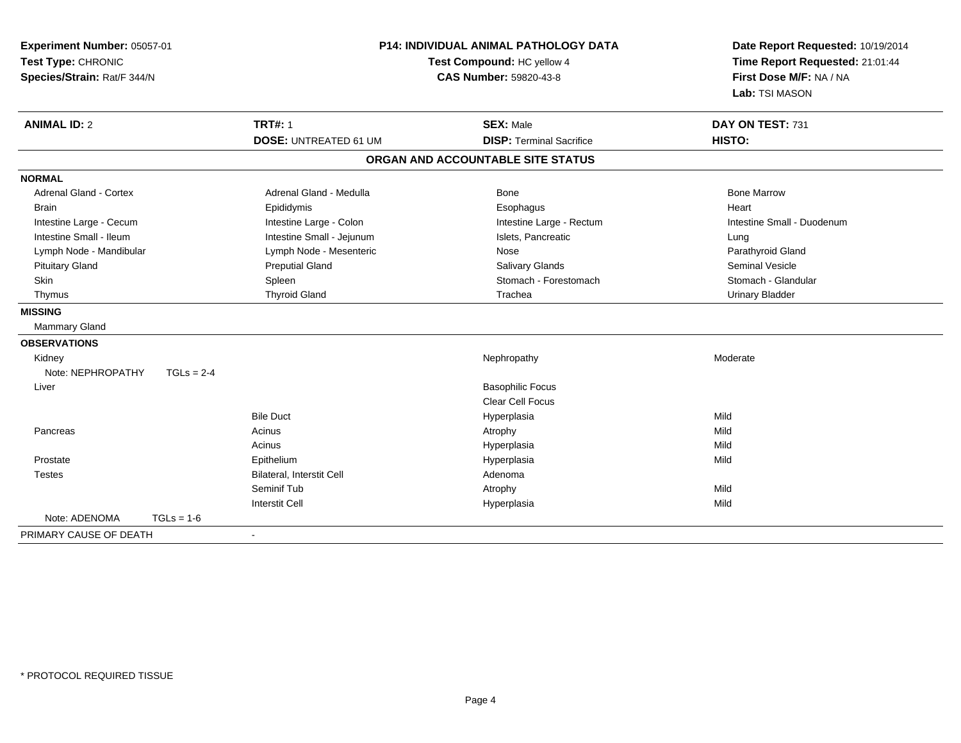| Experiment Number: 05057-01<br>Test Type: CHRONIC<br>Species/Strain: Rat/F 344/N | <b>P14: INDIVIDUAL ANIMAL PATHOLOGY DATA</b><br>Test Compound: HC yellow 4<br><b>CAS Number: 59820-43-8</b> |                                                     | Date Report Requested: 10/19/2014<br>Time Report Requested: 21:01:44<br>First Dose M/F: NA / NA<br>Lab: TSI MASON |  |
|----------------------------------------------------------------------------------|-------------------------------------------------------------------------------------------------------------|-----------------------------------------------------|-------------------------------------------------------------------------------------------------------------------|--|
| <b>ANIMAL ID: 2</b>                                                              | <b>TRT#: 1</b><br><b>DOSE: UNTREATED 61 UM</b>                                                              | <b>SEX: Male</b><br><b>DISP: Terminal Sacrifice</b> | DAY ON TEST: 731<br>HISTO:                                                                                        |  |
|                                                                                  |                                                                                                             | ORGAN AND ACCOUNTABLE SITE STATUS                   |                                                                                                                   |  |
| <b>NORMAL</b>                                                                    |                                                                                                             |                                                     |                                                                                                                   |  |
| <b>Adrenal Gland - Cortex</b>                                                    | Adrenal Gland - Medulla                                                                                     | Bone                                                | <b>Bone Marrow</b>                                                                                                |  |
| <b>Brain</b>                                                                     | Epididymis                                                                                                  | Esophagus                                           | Heart                                                                                                             |  |
| Intestine Large - Cecum                                                          | Intestine Large - Colon                                                                                     | Intestine Large - Rectum                            | Intestine Small - Duodenum                                                                                        |  |
| Intestine Small - Ileum                                                          | Intestine Small - Jejunum                                                                                   | Islets, Pancreatic                                  | Lung                                                                                                              |  |
| Lymph Node - Mandibular                                                          | Lymph Node - Mesenteric                                                                                     | Nose                                                | Parathyroid Gland                                                                                                 |  |
| <b>Pituitary Gland</b>                                                           | <b>Preputial Gland</b>                                                                                      | Salivary Glands                                     | <b>Seminal Vesicle</b>                                                                                            |  |
| Skin                                                                             | Spleen                                                                                                      | Stomach - Forestomach                               | Stomach - Glandular                                                                                               |  |
| Thymus                                                                           | <b>Thyroid Gland</b>                                                                                        | Trachea                                             | <b>Urinary Bladder</b>                                                                                            |  |
| <b>MISSING</b>                                                                   |                                                                                                             |                                                     |                                                                                                                   |  |
| Mammary Gland                                                                    |                                                                                                             |                                                     |                                                                                                                   |  |
| <b>OBSERVATIONS</b>                                                              |                                                                                                             |                                                     |                                                                                                                   |  |
| Kidney                                                                           |                                                                                                             | Nephropathy                                         | Moderate                                                                                                          |  |
| Note: NEPHROPATHY<br>$TGLs = 2-4$                                                |                                                                                                             |                                                     |                                                                                                                   |  |
| Liver                                                                            |                                                                                                             | <b>Basophilic Focus</b>                             |                                                                                                                   |  |
|                                                                                  |                                                                                                             | <b>Clear Cell Focus</b>                             |                                                                                                                   |  |
|                                                                                  | <b>Bile Duct</b>                                                                                            | Hyperplasia                                         | Mild                                                                                                              |  |
| Pancreas                                                                         | Acinus                                                                                                      | Atrophy                                             | Mild                                                                                                              |  |
|                                                                                  | Acinus                                                                                                      | Hyperplasia                                         | Mild                                                                                                              |  |
| Prostate                                                                         | Epithelium                                                                                                  | Hyperplasia                                         | Mild                                                                                                              |  |
| <b>Testes</b>                                                                    | <b>Bilateral, Interstit Cell</b>                                                                            | Adenoma                                             |                                                                                                                   |  |
|                                                                                  | Seminif Tub                                                                                                 | Atrophy                                             | Mild                                                                                                              |  |
|                                                                                  | <b>Interstit Cell</b>                                                                                       | Hyperplasia                                         | Mild                                                                                                              |  |
| Note: ADENOMA<br>$TGLs = 1-6$                                                    |                                                                                                             |                                                     |                                                                                                                   |  |
| PRIMARY CAUSE OF DEATH                                                           | $\blacksquare$                                                                                              |                                                     |                                                                                                                   |  |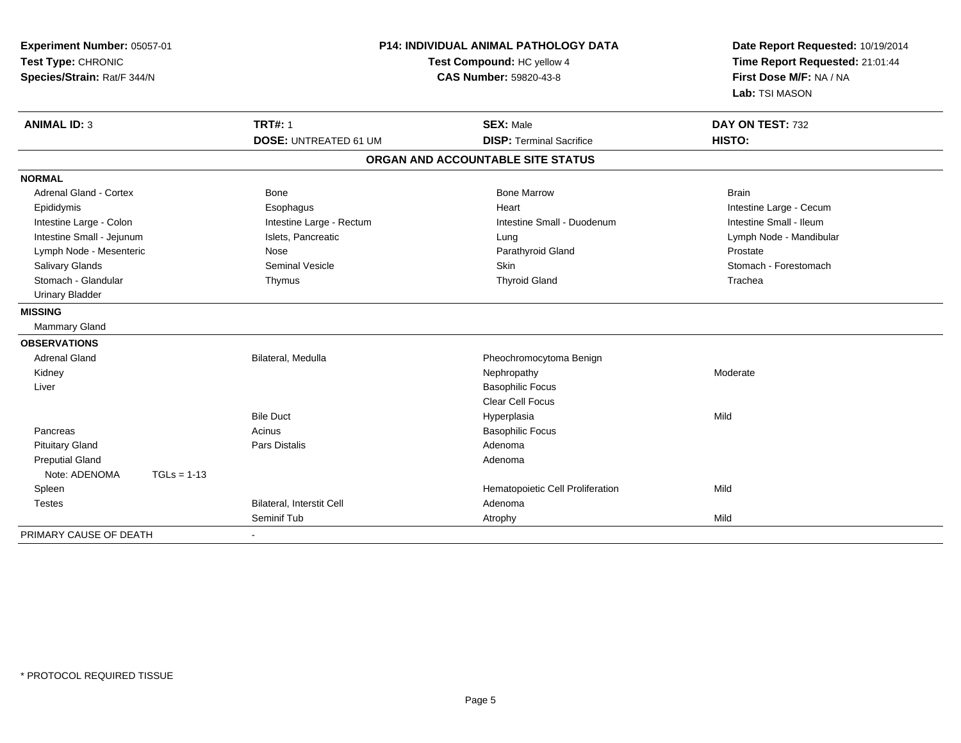| Experiment Number: 05057-01<br>Test Type: CHRONIC<br>Species/Strain: Rat/F 344/N | P14: INDIVIDUAL ANIMAL PATHOLOGY DATA<br>Test Compound: HC yellow 4<br>CAS Number: 59820-43-8 |                                   | Date Report Requested: 10/19/2014<br>Time Report Requested: 21:01:44<br>First Dose M/F: NA / NA |  |
|----------------------------------------------------------------------------------|-----------------------------------------------------------------------------------------------|-----------------------------------|-------------------------------------------------------------------------------------------------|--|
|                                                                                  |                                                                                               |                                   | Lab: TSI MASON                                                                                  |  |
| <b>ANIMAL ID: 3</b>                                                              | <b>TRT#: 1</b>                                                                                | <b>SEX: Male</b>                  | DAY ON TEST: 732                                                                                |  |
|                                                                                  | <b>DOSE: UNTREATED 61 UM</b>                                                                  | <b>DISP: Terminal Sacrifice</b>   | HISTO:                                                                                          |  |
|                                                                                  |                                                                                               | ORGAN AND ACCOUNTABLE SITE STATUS |                                                                                                 |  |
| <b>NORMAL</b>                                                                    |                                                                                               |                                   |                                                                                                 |  |
| <b>Adrenal Gland - Cortex</b>                                                    | <b>Bone</b>                                                                                   | <b>Bone Marrow</b>                | <b>Brain</b>                                                                                    |  |
| Epididymis                                                                       | Esophagus                                                                                     | Heart                             | Intestine Large - Cecum                                                                         |  |
| Intestine Large - Colon                                                          | Intestine Large - Rectum                                                                      | Intestine Small - Duodenum        | Intestine Small - Ileum                                                                         |  |
| Intestine Small - Jejunum                                                        | Islets, Pancreatic                                                                            | Lung                              | Lymph Node - Mandibular                                                                         |  |
| Lymph Node - Mesenteric                                                          | Nose                                                                                          | Parathyroid Gland                 | Prostate                                                                                        |  |
| Salivary Glands                                                                  | Seminal Vesicle                                                                               | Skin                              | Stomach - Forestomach                                                                           |  |
| Stomach - Glandular                                                              | Thymus                                                                                        | <b>Thyroid Gland</b>              | Trachea                                                                                         |  |
| <b>Urinary Bladder</b>                                                           |                                                                                               |                                   |                                                                                                 |  |
| <b>MISSING</b>                                                                   |                                                                                               |                                   |                                                                                                 |  |
| <b>Mammary Gland</b>                                                             |                                                                                               |                                   |                                                                                                 |  |
| <b>OBSERVATIONS</b>                                                              |                                                                                               |                                   |                                                                                                 |  |
| <b>Adrenal Gland</b>                                                             | Bilateral, Medulla                                                                            | Pheochromocytoma Benign           |                                                                                                 |  |
| Kidney                                                                           |                                                                                               | Nephropathy                       | Moderate                                                                                        |  |
| Liver                                                                            |                                                                                               | <b>Basophilic Focus</b>           |                                                                                                 |  |
|                                                                                  |                                                                                               | <b>Clear Cell Focus</b>           |                                                                                                 |  |
|                                                                                  | <b>Bile Duct</b>                                                                              | Hyperplasia                       | Mild                                                                                            |  |
| Pancreas                                                                         | Acinus                                                                                        | <b>Basophilic Focus</b>           |                                                                                                 |  |
| <b>Pituitary Gland</b>                                                           | <b>Pars Distalis</b>                                                                          | Adenoma                           |                                                                                                 |  |
| <b>Preputial Gland</b>                                                           |                                                                                               | Adenoma                           |                                                                                                 |  |
| Note: ADENOMA<br>$TGLs = 1-13$                                                   |                                                                                               |                                   |                                                                                                 |  |
| Spleen                                                                           |                                                                                               | Hematopoietic Cell Proliferation  | Mild                                                                                            |  |
| <b>Testes</b>                                                                    | Bilateral, Interstit Cell                                                                     | Adenoma                           |                                                                                                 |  |
|                                                                                  | Seminif Tub                                                                                   | Atrophy                           | Mild                                                                                            |  |
| PRIMARY CAUSE OF DEATH                                                           |                                                                                               |                                   |                                                                                                 |  |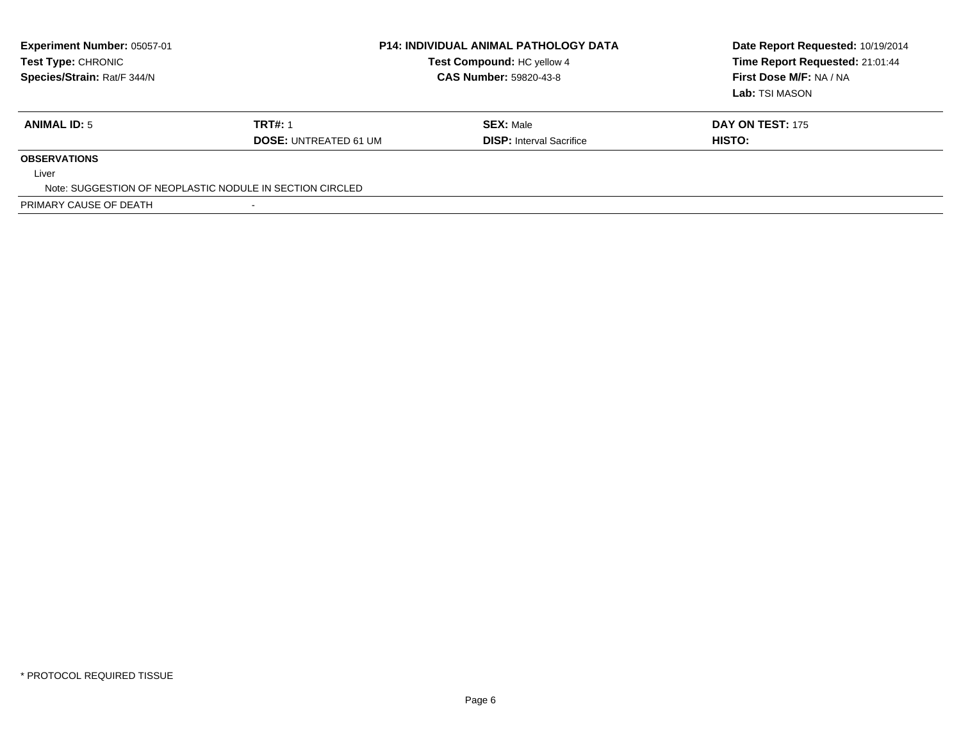| Experiment Number: 05057-01<br><b>Test Type: CHRONIC</b><br>Species/Strain: Rat/F 344/N | <b>P14: INDIVIDUAL ANIMAL PATHOLOGY DATA</b><br>Test Compound: HC yellow 4<br><b>CAS Number: 59820-43-8</b> |                                 | Date Report Requested: 10/19/2014<br>Time Report Requested: 21:01:44<br>First Dose M/F: NA / NA<br>Lab: TSI MASON |
|-----------------------------------------------------------------------------------------|-------------------------------------------------------------------------------------------------------------|---------------------------------|-------------------------------------------------------------------------------------------------------------------|
| <b>ANIMAL ID: 5</b>                                                                     | <b>TRT#: 1</b>                                                                                              | <b>SEX: Male</b>                | <b>DAY ON TEST: 175</b>                                                                                           |
|                                                                                         | <b>DOSE: UNTREATED 61 UM</b>                                                                                | <b>DISP:</b> Interval Sacrifice | HISTO:                                                                                                            |
| <b>OBSERVATIONS</b>                                                                     |                                                                                                             |                                 |                                                                                                                   |
| Liver                                                                                   |                                                                                                             |                                 |                                                                                                                   |
| Note: SUGGESTION OF NEOPLASTIC NODULE IN SECTION CIRCLED                                |                                                                                                             |                                 |                                                                                                                   |
| PRIMARY CAUSE OF DEATH                                                                  |                                                                                                             |                                 |                                                                                                                   |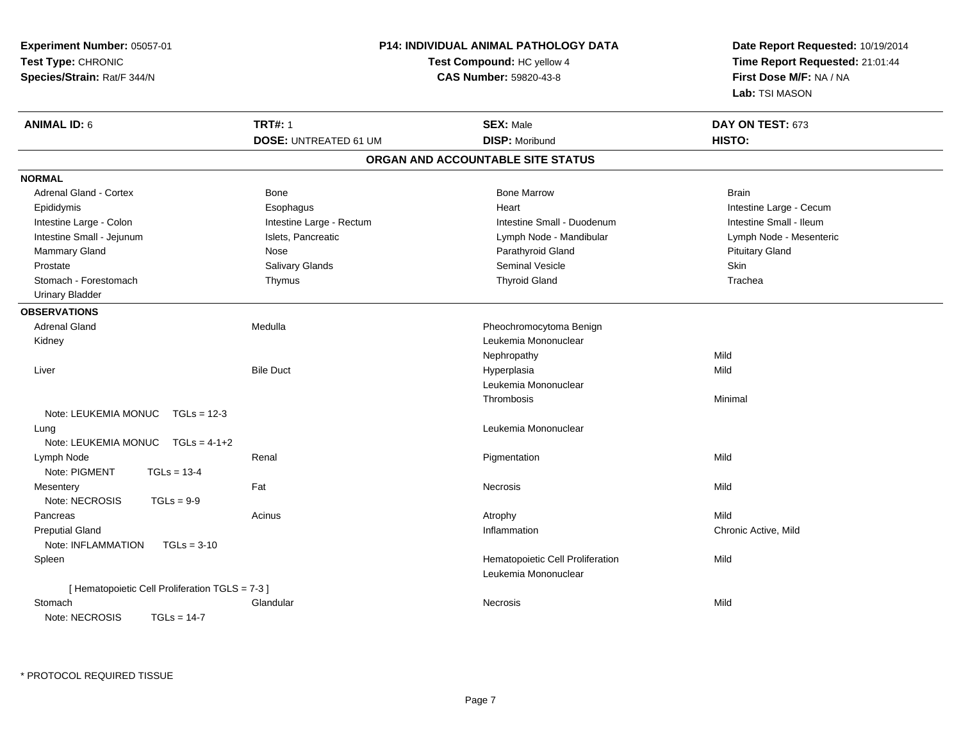| Experiment Number: 05057-01                     | P14: INDIVIDUAL ANIMAL PATHOLOGY DATA |                                   | Date Report Requested: 10/19/2014 |  |
|-------------------------------------------------|---------------------------------------|-----------------------------------|-----------------------------------|--|
| Test Type: CHRONIC                              |                                       | Test Compound: HC yellow 4        | Time Report Requested: 21:01:44   |  |
| Species/Strain: Rat/F 344/N                     | CAS Number: 59820-43-8                |                                   | First Dose M/F: NA / NA           |  |
|                                                 |                                       |                                   | Lab: TSI MASON                    |  |
| <b>ANIMAL ID: 6</b>                             | <b>TRT#: 1</b>                        | <b>SEX: Male</b>                  | DAY ON TEST: 673                  |  |
|                                                 | <b>DOSE: UNTREATED 61 UM</b>          | <b>DISP: Moribund</b>             | HISTO:                            |  |
|                                                 |                                       | ORGAN AND ACCOUNTABLE SITE STATUS |                                   |  |
| <b>NORMAL</b>                                   |                                       |                                   |                                   |  |
| Adrenal Gland - Cortex                          | <b>Bone</b>                           | <b>Bone Marrow</b>                | <b>Brain</b>                      |  |
| Epididymis                                      | Esophagus                             | Heart                             | Intestine Large - Cecum           |  |
| Intestine Large - Colon                         | Intestine Large - Rectum              | Intestine Small - Duodenum        | Intestine Small - Ileum           |  |
| Intestine Small - Jejunum                       | Islets, Pancreatic                    | Lymph Node - Mandibular           | Lymph Node - Mesenteric           |  |
| Mammary Gland                                   | Nose                                  | Parathyroid Gland                 | <b>Pituitary Gland</b>            |  |
| Prostate                                        | Salivary Glands                       | Seminal Vesicle                   | Skin                              |  |
| Stomach - Forestomach                           | Thymus                                | <b>Thyroid Gland</b>              | Trachea                           |  |
| <b>Urinary Bladder</b>                          |                                       |                                   |                                   |  |
| <b>OBSERVATIONS</b>                             |                                       |                                   |                                   |  |
| <b>Adrenal Gland</b>                            | Medulla                               | Pheochromocytoma Benign           |                                   |  |
| Kidney                                          |                                       | Leukemia Mononuclear              |                                   |  |
|                                                 |                                       | Nephropathy                       | Mild                              |  |
| Liver                                           | <b>Bile Duct</b>                      | Hyperplasia                       | Mild                              |  |
|                                                 |                                       | Leukemia Mononuclear              |                                   |  |
|                                                 |                                       | Thrombosis                        | Minimal                           |  |
| Note: LEUKEMIA MONUC TGLs = 12-3                |                                       |                                   |                                   |  |
| Lung                                            |                                       | Leukemia Mononuclear              |                                   |  |
| Note: LEUKEMIA MONUC<br>$TGLs = 4-1+2$          |                                       |                                   |                                   |  |
| Lymph Node                                      | Renal                                 | Pigmentation                      | Mild                              |  |
| Note: PIGMENT<br>$TGLs = 13-4$                  |                                       |                                   |                                   |  |
| Mesentery                                       | Fat                                   | Necrosis                          | Mild                              |  |
| Note: NECROSIS<br>$TGLs = 9-9$                  |                                       |                                   |                                   |  |
| Pancreas                                        | Acinus                                | Atrophy                           | Mild                              |  |
| <b>Preputial Gland</b>                          |                                       | Inflammation                      | Chronic Active, Mild              |  |
| Note: INFLAMMATION<br>$TGLs = 3-10$             |                                       |                                   |                                   |  |
| Spleen                                          |                                       | Hematopoietic Cell Proliferation  | Mild                              |  |
|                                                 |                                       | Leukemia Mononuclear              |                                   |  |
| [ Hematopoietic Cell Proliferation TGLS = 7-3 ] |                                       |                                   |                                   |  |
| Stomach                                         | Glandular                             | <b>Necrosis</b>                   | Mild                              |  |
| Note: NECROSIS<br>$TGLs = 14-7$                 |                                       |                                   |                                   |  |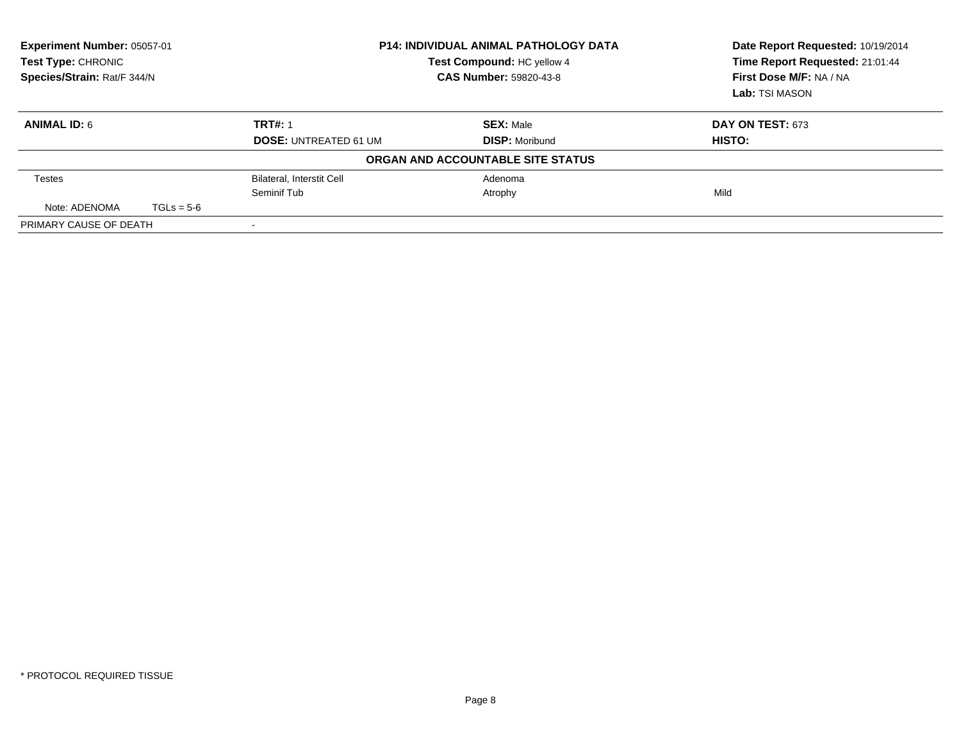| <b>Experiment Number: 05057-01</b><br>Test Type: CHRONIC<br>Species/Strain: Rat/F 344/N |              |                                  | <b>P14: INDIVIDUAL ANIMAL PATHOLOGY DATA</b><br>Test Compound: HC yellow 4<br><b>CAS Number: 59820-43-8</b> | Date Report Requested: 10/19/2014<br>Time Report Requested: 21:01:44<br>First Dose M/F: NA / NA<br>Lab: TSI MASON |
|-----------------------------------------------------------------------------------------|--------------|----------------------------------|-------------------------------------------------------------------------------------------------------------|-------------------------------------------------------------------------------------------------------------------|
| <b>ANIMAL ID: 6</b>                                                                     |              | <b>TRT#: 1</b>                   | <b>SEX: Male</b>                                                                                            | DAY ON TEST: 673                                                                                                  |
|                                                                                         |              | <b>DOSE: UNTREATED 61 UM</b>     | <b>DISP: Moribund</b>                                                                                       | HISTO:                                                                                                            |
|                                                                                         |              |                                  | ORGAN AND ACCOUNTABLE SITE STATUS                                                                           |                                                                                                                   |
| <b>Testes</b>                                                                           |              | <b>Bilateral, Interstit Cell</b> | Adenoma                                                                                                     |                                                                                                                   |
|                                                                                         |              | Seminif Tub                      | Atrophy                                                                                                     | Mild                                                                                                              |
| Note: ADENOMA                                                                           | $TGLs = 5-6$ |                                  |                                                                                                             |                                                                                                                   |
| PRIMARY CAUSE OF DEATH                                                                  |              |                                  |                                                                                                             |                                                                                                                   |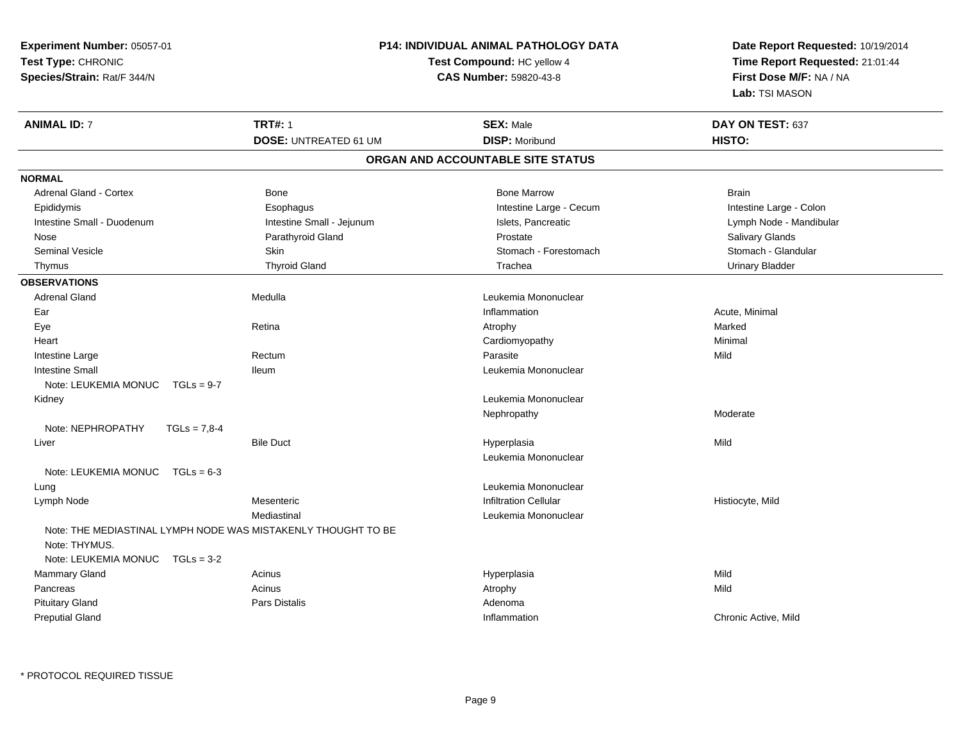| Experiment Number: 05057-01          |                                                               | P14: INDIVIDUAL ANIMAL PATHOLOGY DATA | Date Report Requested: 10/19/2014                          |  |
|--------------------------------------|---------------------------------------------------------------|---------------------------------------|------------------------------------------------------------|--|
| Test Type: CHRONIC                   |                                                               | Test Compound: HC yellow 4            | Time Report Requested: 21:01:44<br>First Dose M/F: NA / NA |  |
| Species/Strain: Rat/F 344/N          |                                                               | CAS Number: 59820-43-8                |                                                            |  |
|                                      |                                                               |                                       | Lab: TSI MASON                                             |  |
| <b>ANIMAL ID: 7</b>                  | <b>TRT#: 1</b>                                                | <b>SEX: Male</b>                      | DAY ON TEST: 637                                           |  |
|                                      | <b>DOSE: UNTREATED 61 UM</b>                                  | <b>DISP: Moribund</b>                 | HISTO:                                                     |  |
|                                      |                                                               | ORGAN AND ACCOUNTABLE SITE STATUS     |                                                            |  |
| <b>NORMAL</b>                        |                                                               |                                       |                                                            |  |
| Adrenal Gland - Cortex               | <b>Bone</b>                                                   | <b>Bone Marrow</b>                    | <b>Brain</b>                                               |  |
| Epididymis                           | Esophagus                                                     | Intestine Large - Cecum               | Intestine Large - Colon                                    |  |
| Intestine Small - Duodenum           | Intestine Small - Jejunum                                     | Islets, Pancreatic                    | Lymph Node - Mandibular                                    |  |
| Nose                                 | Parathyroid Gland                                             | Prostate                              | <b>Salivary Glands</b>                                     |  |
| <b>Seminal Vesicle</b>               | Skin                                                          | Stomach - Forestomach                 | Stomach - Glandular                                        |  |
| Thymus                               | <b>Thyroid Gland</b>                                          | Trachea                               | <b>Urinary Bladder</b>                                     |  |
| <b>OBSERVATIONS</b>                  |                                                               |                                       |                                                            |  |
| <b>Adrenal Gland</b>                 | Medulla                                                       | Leukemia Mononuclear                  |                                                            |  |
| Ear                                  |                                                               | Inflammation                          | Acute, Minimal                                             |  |
| Eye                                  | Retina                                                        | Atrophy                               | Marked                                                     |  |
| Heart                                |                                                               | Cardiomyopathy                        | Minimal                                                    |  |
| Intestine Large                      | Rectum                                                        | Parasite                              | Mild                                                       |  |
| <b>Intestine Small</b>               | <b>Ileum</b>                                                  | Leukemia Mononuclear                  |                                                            |  |
| Note: LEUKEMIA MONUC<br>$TGLs = 9-7$ |                                                               |                                       |                                                            |  |
| Kidney                               |                                                               | Leukemia Mononuclear                  |                                                            |  |
|                                      |                                                               | Nephropathy                           | Moderate                                                   |  |
| Note: NEPHROPATHY<br>$TGLs = 7,8-4$  |                                                               |                                       |                                                            |  |
| Liver                                | <b>Bile Duct</b>                                              | Hyperplasia                           | Mild                                                       |  |
|                                      |                                                               | Leukemia Mononuclear                  |                                                            |  |
| Note: LEUKEMIA MONUC TGLs = 6-3      |                                                               |                                       |                                                            |  |
| Lung                                 |                                                               | Leukemia Mononuclear                  |                                                            |  |
| Lymph Node                           | Mesenteric                                                    | <b>Infiltration Cellular</b>          | Histiocyte, Mild                                           |  |
|                                      | Mediastinal                                                   | Leukemia Mononuclear                  |                                                            |  |
|                                      | Note: THE MEDIASTINAL LYMPH NODE WAS MISTAKENLY THOUGHT TO BE |                                       |                                                            |  |
| Note: THYMUS.                        |                                                               |                                       |                                                            |  |
| Note: LEUKEMIA MONUC<br>$TGLs = 3-2$ |                                                               |                                       |                                                            |  |
| Mammary Gland                        | Acinus                                                        | Hyperplasia                           | Mild                                                       |  |
| Pancreas                             | Acinus                                                        | Atrophy                               | Mild                                                       |  |
| <b>Pituitary Gland</b>               | <b>Pars Distalis</b>                                          | Adenoma                               |                                                            |  |
| <b>Preputial Gland</b>               |                                                               | Inflammation                          | Chronic Active, Mild                                       |  |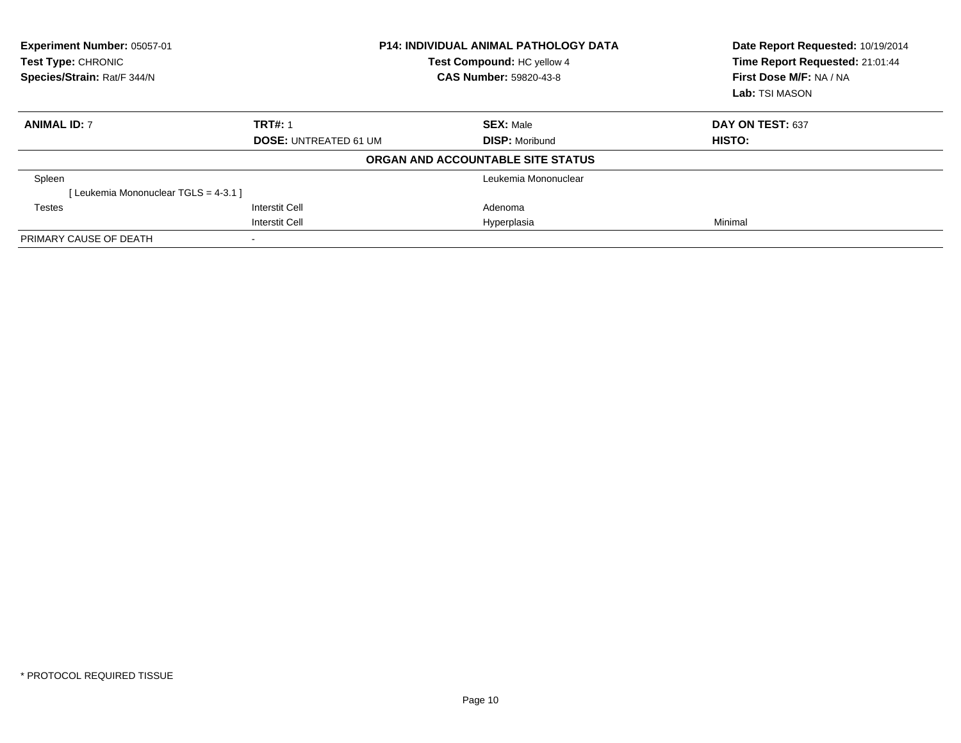| Experiment Number: 05057-01<br><b>Test Type: CHRONIC</b><br>Species/Strain: Rat/F 344/N |                              | <b>P14: INDIVIDUAL ANIMAL PATHOLOGY DATA</b><br>Test Compound: HC yellow 4<br>CAS Number: 59820-43-8 | Date Report Requested: 10/19/2014<br>Time Report Requested: 21:01:44<br>First Dose M/F: NA / NA<br>Lab: TSI MASON |
|-----------------------------------------------------------------------------------------|------------------------------|------------------------------------------------------------------------------------------------------|-------------------------------------------------------------------------------------------------------------------|
| <b>ANIMAL ID: 7</b>                                                                     | <b>TRT#: 1</b>               | <b>SEX: Male</b>                                                                                     | DAY ON TEST: 637                                                                                                  |
|                                                                                         | <b>DOSE: UNTREATED 61 UM</b> | <b>DISP:</b> Moribund                                                                                | HISTO:                                                                                                            |
|                                                                                         |                              | ORGAN AND ACCOUNTABLE SITE STATUS                                                                    |                                                                                                                   |
| Spleen                                                                                  |                              | Leukemia Mononuclear                                                                                 |                                                                                                                   |
| [Leukemia Mononuclear TGLS = 4-3.1]                                                     |                              |                                                                                                      |                                                                                                                   |
| Testes                                                                                  | <b>Interstit Cell</b>        | Adenoma                                                                                              |                                                                                                                   |
|                                                                                         | <b>Interstit Cell</b>        | Hyperplasia                                                                                          | Minimal                                                                                                           |
| PRIMARY CAUSE OF DEATH                                                                  |                              |                                                                                                      |                                                                                                                   |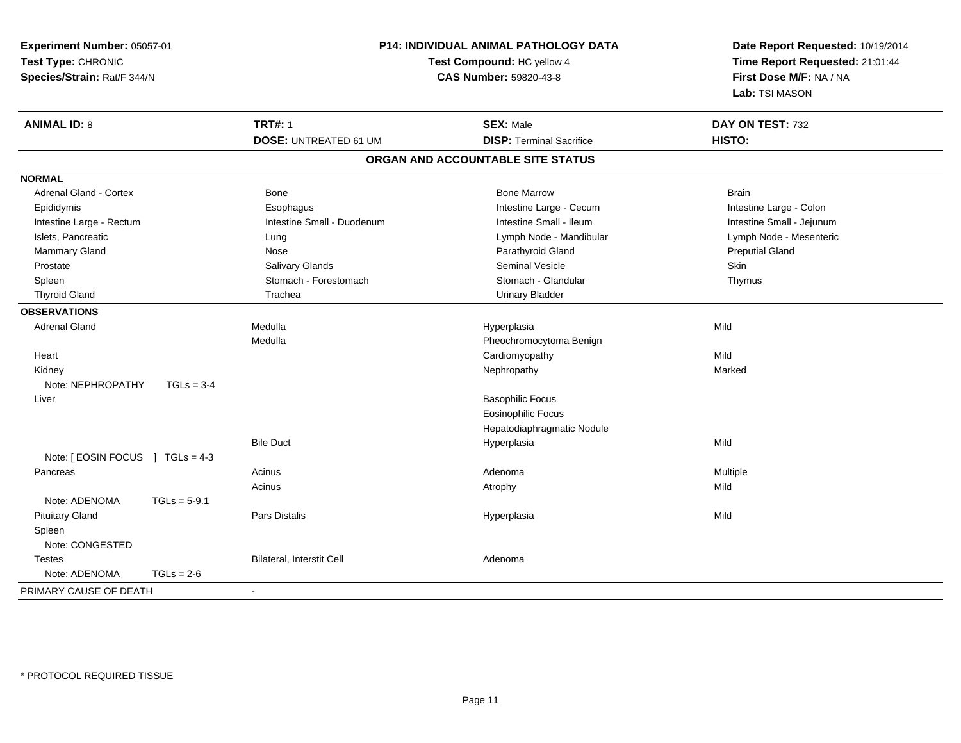| Experiment Number: 05057-01<br>Test Type: CHRONIC<br>Species/Strain: Rat/F 344/N |                | P14: INDIVIDUAL ANIMAL PATHOLOGY DATA<br>Test Compound: HC yellow 4<br><b>CAS Number: 59820-43-8</b> |                                   | Date Report Requested: 10/19/2014<br>Time Report Requested: 21:01:44 |                  |
|----------------------------------------------------------------------------------|----------------|------------------------------------------------------------------------------------------------------|-----------------------------------|----------------------------------------------------------------------|------------------|
|                                                                                  |                |                                                                                                      |                                   |                                                                      |                  |
|                                                                                  |                |                                                                                                      |                                   |                                                                      |                  |
|                                                                                  |                | <b>ANIMAL ID: 8</b>                                                                                  |                                   | <b>TRT#: 1</b>                                                       | <b>SEX: Male</b> |
|                                                                                  |                | <b>DOSE: UNTREATED 61 UM</b>                                                                         | <b>DISP: Terminal Sacrifice</b>   | HISTO:                                                               |                  |
|                                                                                  |                |                                                                                                      | ORGAN AND ACCOUNTABLE SITE STATUS |                                                                      |                  |
| <b>NORMAL</b>                                                                    |                |                                                                                                      |                                   |                                                                      |                  |
| <b>Adrenal Gland - Cortex</b>                                                    |                | Bone                                                                                                 | <b>Bone Marrow</b>                | <b>Brain</b>                                                         |                  |
| Epididymis                                                                       |                | Esophagus                                                                                            | Intestine Large - Cecum           | Intestine Large - Colon                                              |                  |
| Intestine Large - Rectum                                                         |                | Intestine Small - Duodenum                                                                           | Intestine Small - Ileum           | Intestine Small - Jejunum                                            |                  |
| Islets, Pancreatic                                                               |                | Lung                                                                                                 | Lymph Node - Mandibular           | Lymph Node - Mesenteric                                              |                  |
| Mammary Gland                                                                    |                | Nose                                                                                                 | Parathyroid Gland                 | <b>Preputial Gland</b>                                               |                  |
| Prostate                                                                         |                | Salivary Glands                                                                                      | Seminal Vesicle                   | Skin                                                                 |                  |
| Spleen                                                                           |                | Stomach - Forestomach                                                                                | Stomach - Glandular               | Thymus                                                               |                  |
| <b>Thyroid Gland</b>                                                             |                | Trachea                                                                                              | <b>Urinary Bladder</b>            |                                                                      |                  |
| <b>OBSERVATIONS</b>                                                              |                |                                                                                                      |                                   |                                                                      |                  |
| <b>Adrenal Gland</b>                                                             |                | Medulla                                                                                              | Hyperplasia                       | Mild                                                                 |                  |
|                                                                                  |                | Medulla                                                                                              | Pheochromocytoma Benign           |                                                                      |                  |
| Heart                                                                            |                |                                                                                                      | Cardiomyopathy                    | Mild                                                                 |                  |
| Kidney                                                                           |                |                                                                                                      | Nephropathy                       | Marked                                                               |                  |
| Note: NEPHROPATHY                                                                | $TGLs = 3-4$   |                                                                                                      |                                   |                                                                      |                  |
| Liver                                                                            |                |                                                                                                      | <b>Basophilic Focus</b>           |                                                                      |                  |
|                                                                                  |                |                                                                                                      | <b>Eosinophilic Focus</b>         |                                                                      |                  |
|                                                                                  |                |                                                                                                      | Hepatodiaphragmatic Nodule        |                                                                      |                  |
|                                                                                  |                | <b>Bile Duct</b>                                                                                     | Hyperplasia                       | Mild                                                                 |                  |
| Note: [EOSIN FOCUS ] TGLs = 4-3                                                  |                |                                                                                                      |                                   |                                                                      |                  |
| Pancreas                                                                         |                | Acinus                                                                                               | Adenoma                           | Multiple                                                             |                  |
|                                                                                  |                | Acinus                                                                                               | Atrophy                           | Mild                                                                 |                  |
| Note: ADENOMA                                                                    | $TGLs = 5-9.1$ |                                                                                                      |                                   |                                                                      |                  |
| <b>Pituitary Gland</b>                                                           |                | Pars Distalis                                                                                        | Hyperplasia                       | Mild                                                                 |                  |
| Spleen                                                                           |                |                                                                                                      |                                   |                                                                      |                  |
| Note: CONGESTED                                                                  |                |                                                                                                      |                                   |                                                                      |                  |
| <b>Testes</b>                                                                    |                | Bilateral, Interstit Cell                                                                            | Adenoma                           |                                                                      |                  |
| Note: ADENOMA                                                                    | $TGLs = 2-6$   |                                                                                                      |                                   |                                                                      |                  |
| PRIMARY CAUSE OF DEATH                                                           |                | $\sim$                                                                                               |                                   |                                                                      |                  |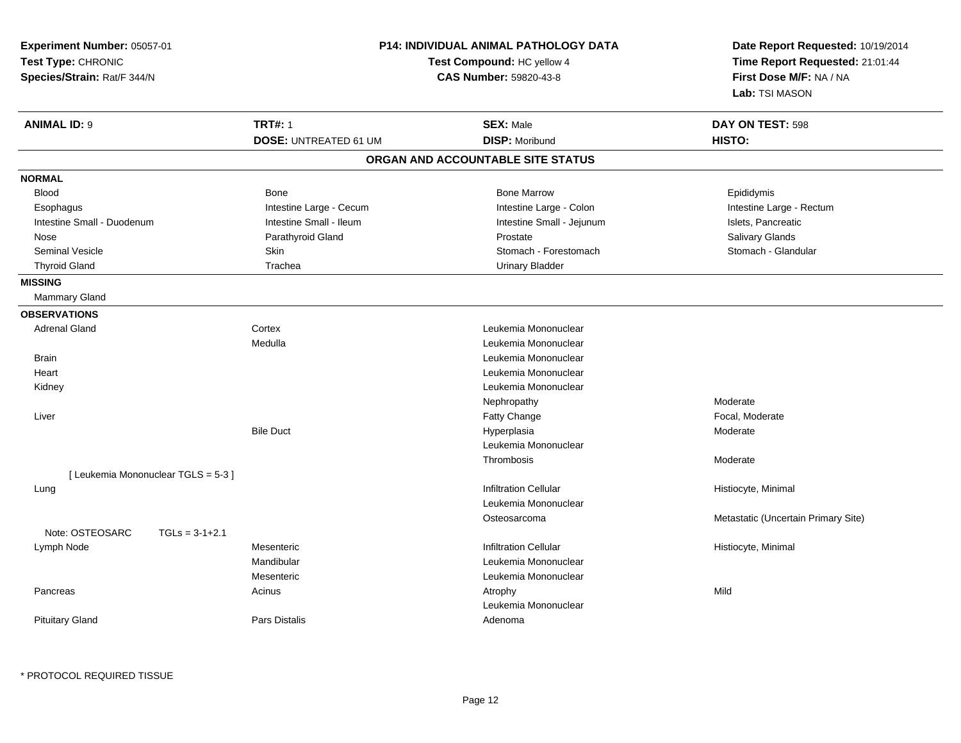| Experiment Number: 05057-01<br>Test Type: CHRONIC<br>Species/Strain: Rat/F 344/N |                                                | P14: INDIVIDUAL ANIMAL PATHOLOGY DATA<br>Test Compound: HC yellow 4<br>CAS Number: 59820-43-8 | Date Report Requested: 10/19/2014<br>Time Report Requested: 21:01:44<br>First Dose M/F: NA / NA<br>Lab: TSI MASON |  |
|----------------------------------------------------------------------------------|------------------------------------------------|-----------------------------------------------------------------------------------------------|-------------------------------------------------------------------------------------------------------------------|--|
| <b>ANIMAL ID: 9</b>                                                              | <b>TRT#: 1</b><br><b>DOSE: UNTREATED 61 UM</b> | <b>SEX: Male</b><br><b>DISP: Moribund</b>                                                     | DAY ON TEST: 598<br>HISTO:                                                                                        |  |
|                                                                                  |                                                | ORGAN AND ACCOUNTABLE SITE STATUS                                                             |                                                                                                                   |  |
| <b>NORMAL</b>                                                                    |                                                |                                                                                               |                                                                                                                   |  |
| <b>Blood</b>                                                                     | <b>Bone</b>                                    | <b>Bone Marrow</b>                                                                            | Epididymis                                                                                                        |  |
| Esophagus                                                                        | Intestine Large - Cecum                        | Intestine Large - Colon                                                                       | Intestine Large - Rectum                                                                                          |  |
| Intestine Small - Duodenum                                                       | Intestine Small - Ileum                        | Intestine Small - Jejunum                                                                     | Islets, Pancreatic                                                                                                |  |
| Nose                                                                             | Parathyroid Gland                              | Prostate                                                                                      | Salivary Glands                                                                                                   |  |
| <b>Seminal Vesicle</b>                                                           | Skin                                           | Stomach - Forestomach                                                                         | Stomach - Glandular                                                                                               |  |
| <b>Thyroid Gland</b>                                                             | Trachea                                        | <b>Urinary Bladder</b>                                                                        |                                                                                                                   |  |
| <b>MISSING</b>                                                                   |                                                |                                                                                               |                                                                                                                   |  |
| Mammary Gland                                                                    |                                                |                                                                                               |                                                                                                                   |  |
| <b>OBSERVATIONS</b>                                                              |                                                |                                                                                               |                                                                                                                   |  |
| <b>Adrenal Gland</b>                                                             | Cortex                                         | Leukemia Mononuclear                                                                          |                                                                                                                   |  |
|                                                                                  | Medulla                                        | Leukemia Mononuclear                                                                          |                                                                                                                   |  |
| <b>Brain</b>                                                                     |                                                | Leukemia Mononuclear                                                                          |                                                                                                                   |  |
| Heart                                                                            |                                                | Leukemia Mononuclear                                                                          |                                                                                                                   |  |
| Kidney                                                                           |                                                | Leukemia Mononuclear                                                                          |                                                                                                                   |  |
|                                                                                  |                                                | Nephropathy                                                                                   | Moderate                                                                                                          |  |
| Liver                                                                            |                                                | Fatty Change                                                                                  | Focal, Moderate                                                                                                   |  |
|                                                                                  | <b>Bile Duct</b>                               | Hyperplasia                                                                                   | Moderate                                                                                                          |  |
|                                                                                  |                                                | Leukemia Mononuclear                                                                          |                                                                                                                   |  |
|                                                                                  |                                                | Thrombosis                                                                                    | Moderate                                                                                                          |  |
| [ Leukemia Mononuclear TGLS = 5-3 ]                                              |                                                |                                                                                               |                                                                                                                   |  |
| Lung                                                                             |                                                | <b>Infiltration Cellular</b>                                                                  | Histiocyte, Minimal                                                                                               |  |
|                                                                                  |                                                | Leukemia Mononuclear                                                                          |                                                                                                                   |  |
| Note: OSTEOSARC<br>$TGLs = 3-1+2.1$                                              |                                                | Osteosarcoma                                                                                  | Metastatic (Uncertain Primary Site)                                                                               |  |
| Lymph Node                                                                       | Mesenteric                                     | <b>Infiltration Cellular</b>                                                                  | Histiocyte, Minimal                                                                                               |  |
|                                                                                  | Mandibular                                     | Leukemia Mononuclear                                                                          |                                                                                                                   |  |
|                                                                                  | Mesenteric                                     | Leukemia Mononuclear                                                                          |                                                                                                                   |  |
| Pancreas                                                                         | Acinus                                         | Atrophy                                                                                       | Mild                                                                                                              |  |
|                                                                                  |                                                | Leukemia Mononuclear                                                                          |                                                                                                                   |  |
| <b>Pituitary Gland</b>                                                           | <b>Pars Distalis</b>                           | Adenoma                                                                                       |                                                                                                                   |  |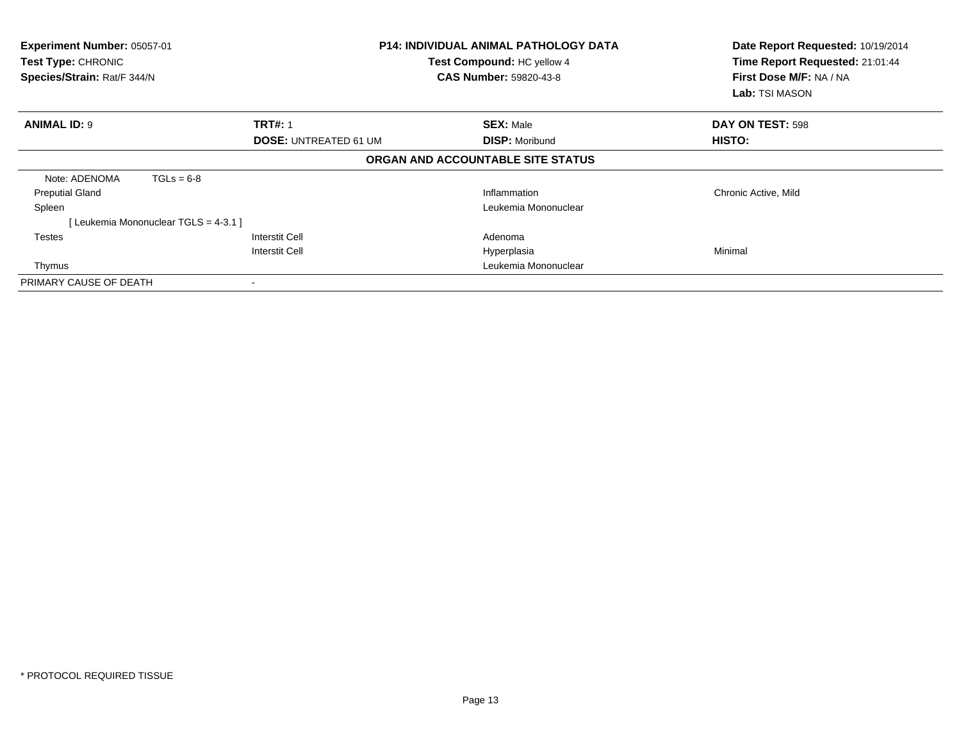| Experiment Number: 05057-01<br>Test Type: CHRONIC<br>Species/Strain: Rat/F 344/N |                                     |                              | <b>P14: INDIVIDUAL ANIMAL PATHOLOGY DATA</b><br>Test Compound: HC yellow 4<br><b>CAS Number: 59820-43-8</b> | Date Report Requested: 10/19/2014<br>Time Report Requested: 21:01:44<br>First Dose M/F: NA / NA<br><b>Lab:</b> TSI MASON |
|----------------------------------------------------------------------------------|-------------------------------------|------------------------------|-------------------------------------------------------------------------------------------------------------|--------------------------------------------------------------------------------------------------------------------------|
| <b>ANIMAL ID: 9</b>                                                              |                                     | <b>TRT#: 1</b>               | <b>SEX: Male</b>                                                                                            | DAY ON TEST: 598                                                                                                         |
|                                                                                  |                                     | <b>DOSE: UNTREATED 61 UM</b> | <b>DISP: Moribund</b>                                                                                       | HISTO:                                                                                                                   |
|                                                                                  |                                     |                              | ORGAN AND ACCOUNTABLE SITE STATUS                                                                           |                                                                                                                          |
| Note: ADENOMA                                                                    | $TGLs = 6-8$                        |                              |                                                                                                             |                                                                                                                          |
| <b>Preputial Gland</b>                                                           |                                     |                              | Inflammation                                                                                                | Chronic Active, Mild                                                                                                     |
| Spleen                                                                           |                                     |                              | Leukemia Mononuclear                                                                                        |                                                                                                                          |
|                                                                                  | [Leukemia Mononuclear TGLS = 4-3.1] |                              |                                                                                                             |                                                                                                                          |
| <b>Testes</b>                                                                    |                                     | <b>Interstit Cell</b>        | Adenoma                                                                                                     |                                                                                                                          |
|                                                                                  |                                     | Interstit Cell               | Hyperplasia                                                                                                 | Minimal                                                                                                                  |
| Thymus                                                                           |                                     |                              | Leukemia Mononuclear                                                                                        |                                                                                                                          |
| PRIMARY CAUSE OF DEATH                                                           |                                     |                              |                                                                                                             |                                                                                                                          |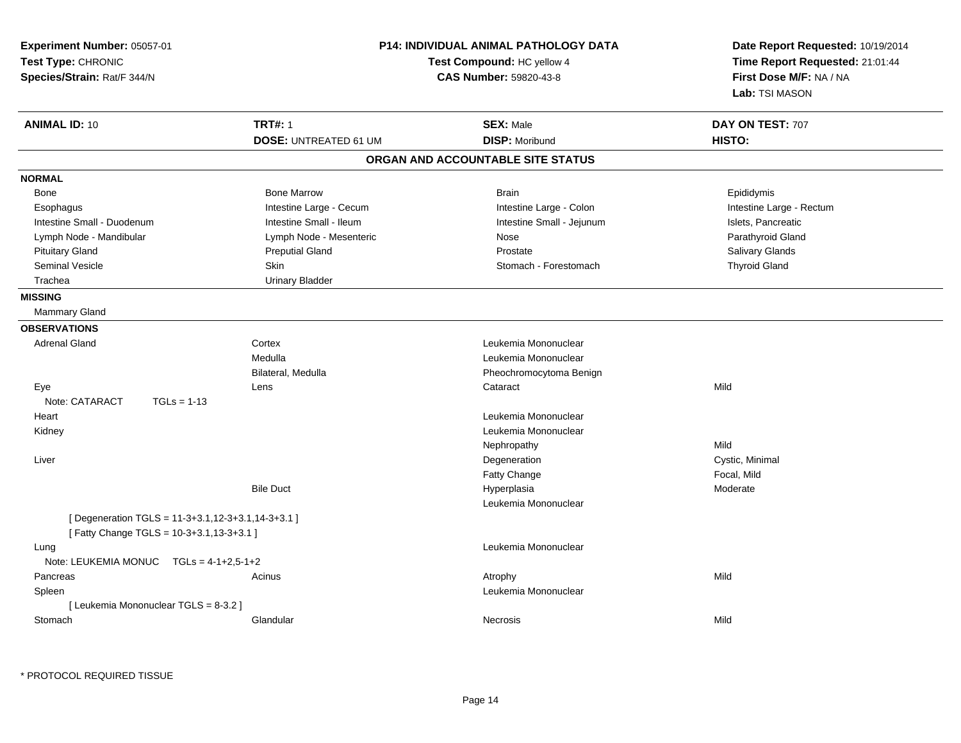| <b>TRT#: 1</b><br><b>SEX: Male</b><br>DAY ON TEST: 707<br><b>DISP: Moribund</b><br>HISTO:<br><b>DOSE: UNTREATED 61 UM</b><br>ORGAN AND ACCOUNTABLE SITE STATUS<br><b>Bone Marrow</b><br><b>Brain</b><br>Epididymis<br>Bone<br>Intestine Large - Cecum<br>Intestine Large - Colon<br>Intestine Large - Rectum<br>Esophagus<br>Intestine Small - Ileum<br>Intestine Small - Duodenum<br>Intestine Small - Jejunum<br>Islets, Pancreatic<br>Lymph Node - Mesenteric<br>Parathyroid Gland<br>Lymph Node - Mandibular<br>Nose<br><b>Pituitary Gland</b><br><b>Preputial Gland</b><br>Prostate<br>Salivary Glands<br><b>Thyroid Gland</b><br><b>Seminal Vesicle</b><br>Skin<br>Stomach - Forestomach<br>Trachea<br><b>Urinary Bladder</b><br>Mammary Gland<br><b>Adrenal Gland</b><br>Cortex<br>Leukemia Mononuclear<br>Medulla<br>Leukemia Mononuclear<br>Bilateral, Medulla<br>Pheochromocytoma Benign<br>Mild<br>Eye<br>Lens<br>Cataract<br>Note: CATARACT<br>$TGLs = 1-13$<br>Leukemia Mononuclear<br>Heart<br>Leukemia Mononuclear<br>Kidney<br>Mild<br>Nephropathy<br>Cystic, Minimal<br>Liver<br>Degeneration<br>Fatty Change<br>Focal, Mild<br><b>Bile Duct</b><br>Hyperplasia<br>Moderate<br>Leukemia Mononuclear<br>[ Degeneration TGLS = 11-3+3.1,12-3+3.1,14-3+3.1 ]<br>[Fatty Change TGLS = 10-3+3.1,13-3+3.1]<br>Leukemia Mononuclear<br>Lung<br>Note: LEUKEMIA MONUC<br>$TGLs = 4-1+2,5-1+2$<br>Mild<br>Pancreas<br>Acinus<br>Atrophy<br>Leukemia Mononuclear<br>Spleen<br>[ Leukemia Mononuclear TGLS = 8-3.2 ]<br>Mild<br>Stomach<br>Glandular<br>Necrosis | Experiment Number: 05057-01<br>Test Type: CHRONIC<br>Species/Strain: Rat/F 344/N | P14: INDIVIDUAL ANIMAL PATHOLOGY DATA<br>Test Compound: HC yellow 4<br>CAS Number: 59820-43-8 | Date Report Requested: 10/19/2014<br>Time Report Requested: 21:01:44<br>First Dose M/F: NA / NA<br>Lab: TSI MASON |
|-----------------------------------------------------------------------------------------------------------------------------------------------------------------------------------------------------------------------------------------------------------------------------------------------------------------------------------------------------------------------------------------------------------------------------------------------------------------------------------------------------------------------------------------------------------------------------------------------------------------------------------------------------------------------------------------------------------------------------------------------------------------------------------------------------------------------------------------------------------------------------------------------------------------------------------------------------------------------------------------------------------------------------------------------------------------------------------------------------------------------------------------------------------------------------------------------------------------------------------------------------------------------------------------------------------------------------------------------------------------------------------------------------------------------------------------------------------------------------------------------------------------------------------------------------------------------|----------------------------------------------------------------------------------|-----------------------------------------------------------------------------------------------|-------------------------------------------------------------------------------------------------------------------|
|                                                                                                                                                                                                                                                                                                                                                                                                                                                                                                                                                                                                                                                                                                                                                                                                                                                                                                                                                                                                                                                                                                                                                                                                                                                                                                                                                                                                                                                                                                                                                                       | <b>ANIMAL ID: 10</b>                                                             |                                                                                               |                                                                                                                   |
|                                                                                                                                                                                                                                                                                                                                                                                                                                                                                                                                                                                                                                                                                                                                                                                                                                                                                                                                                                                                                                                                                                                                                                                                                                                                                                                                                                                                                                                                                                                                                                       |                                                                                  |                                                                                               |                                                                                                                   |
|                                                                                                                                                                                                                                                                                                                                                                                                                                                                                                                                                                                                                                                                                                                                                                                                                                                                                                                                                                                                                                                                                                                                                                                                                                                                                                                                                                                                                                                                                                                                                                       |                                                                                  |                                                                                               |                                                                                                                   |
|                                                                                                                                                                                                                                                                                                                                                                                                                                                                                                                                                                                                                                                                                                                                                                                                                                                                                                                                                                                                                                                                                                                                                                                                                                                                                                                                                                                                                                                                                                                                                                       | <b>NORMAL</b>                                                                    |                                                                                               |                                                                                                                   |
|                                                                                                                                                                                                                                                                                                                                                                                                                                                                                                                                                                                                                                                                                                                                                                                                                                                                                                                                                                                                                                                                                                                                                                                                                                                                                                                                                                                                                                                                                                                                                                       |                                                                                  |                                                                                               |                                                                                                                   |
|                                                                                                                                                                                                                                                                                                                                                                                                                                                                                                                                                                                                                                                                                                                                                                                                                                                                                                                                                                                                                                                                                                                                                                                                                                                                                                                                                                                                                                                                                                                                                                       |                                                                                  |                                                                                               |                                                                                                                   |
|                                                                                                                                                                                                                                                                                                                                                                                                                                                                                                                                                                                                                                                                                                                                                                                                                                                                                                                                                                                                                                                                                                                                                                                                                                                                                                                                                                                                                                                                                                                                                                       |                                                                                  |                                                                                               |                                                                                                                   |
|                                                                                                                                                                                                                                                                                                                                                                                                                                                                                                                                                                                                                                                                                                                                                                                                                                                                                                                                                                                                                                                                                                                                                                                                                                                                                                                                                                                                                                                                                                                                                                       |                                                                                  |                                                                                               |                                                                                                                   |
|                                                                                                                                                                                                                                                                                                                                                                                                                                                                                                                                                                                                                                                                                                                                                                                                                                                                                                                                                                                                                                                                                                                                                                                                                                                                                                                                                                                                                                                                                                                                                                       |                                                                                  |                                                                                               |                                                                                                                   |
|                                                                                                                                                                                                                                                                                                                                                                                                                                                                                                                                                                                                                                                                                                                                                                                                                                                                                                                                                                                                                                                                                                                                                                                                                                                                                                                                                                                                                                                                                                                                                                       |                                                                                  |                                                                                               |                                                                                                                   |
|                                                                                                                                                                                                                                                                                                                                                                                                                                                                                                                                                                                                                                                                                                                                                                                                                                                                                                                                                                                                                                                                                                                                                                                                                                                                                                                                                                                                                                                                                                                                                                       |                                                                                  |                                                                                               |                                                                                                                   |
|                                                                                                                                                                                                                                                                                                                                                                                                                                                                                                                                                                                                                                                                                                                                                                                                                                                                                                                                                                                                                                                                                                                                                                                                                                                                                                                                                                                                                                                                                                                                                                       | <b>MISSING</b>                                                                   |                                                                                               |                                                                                                                   |
|                                                                                                                                                                                                                                                                                                                                                                                                                                                                                                                                                                                                                                                                                                                                                                                                                                                                                                                                                                                                                                                                                                                                                                                                                                                                                                                                                                                                                                                                                                                                                                       |                                                                                  |                                                                                               |                                                                                                                   |
|                                                                                                                                                                                                                                                                                                                                                                                                                                                                                                                                                                                                                                                                                                                                                                                                                                                                                                                                                                                                                                                                                                                                                                                                                                                                                                                                                                                                                                                                                                                                                                       | <b>OBSERVATIONS</b>                                                              |                                                                                               |                                                                                                                   |
|                                                                                                                                                                                                                                                                                                                                                                                                                                                                                                                                                                                                                                                                                                                                                                                                                                                                                                                                                                                                                                                                                                                                                                                                                                                                                                                                                                                                                                                                                                                                                                       |                                                                                  |                                                                                               |                                                                                                                   |
|                                                                                                                                                                                                                                                                                                                                                                                                                                                                                                                                                                                                                                                                                                                                                                                                                                                                                                                                                                                                                                                                                                                                                                                                                                                                                                                                                                                                                                                                                                                                                                       |                                                                                  |                                                                                               |                                                                                                                   |
|                                                                                                                                                                                                                                                                                                                                                                                                                                                                                                                                                                                                                                                                                                                                                                                                                                                                                                                                                                                                                                                                                                                                                                                                                                                                                                                                                                                                                                                                                                                                                                       |                                                                                  |                                                                                               |                                                                                                                   |
|                                                                                                                                                                                                                                                                                                                                                                                                                                                                                                                                                                                                                                                                                                                                                                                                                                                                                                                                                                                                                                                                                                                                                                                                                                                                                                                                                                                                                                                                                                                                                                       |                                                                                  |                                                                                               |                                                                                                                   |
|                                                                                                                                                                                                                                                                                                                                                                                                                                                                                                                                                                                                                                                                                                                                                                                                                                                                                                                                                                                                                                                                                                                                                                                                                                                                                                                                                                                                                                                                                                                                                                       |                                                                                  |                                                                                               |                                                                                                                   |
|                                                                                                                                                                                                                                                                                                                                                                                                                                                                                                                                                                                                                                                                                                                                                                                                                                                                                                                                                                                                                                                                                                                                                                                                                                                                                                                                                                                                                                                                                                                                                                       |                                                                                  |                                                                                               |                                                                                                                   |
|                                                                                                                                                                                                                                                                                                                                                                                                                                                                                                                                                                                                                                                                                                                                                                                                                                                                                                                                                                                                                                                                                                                                                                                                                                                                                                                                                                                                                                                                                                                                                                       |                                                                                  |                                                                                               |                                                                                                                   |
|                                                                                                                                                                                                                                                                                                                                                                                                                                                                                                                                                                                                                                                                                                                                                                                                                                                                                                                                                                                                                                                                                                                                                                                                                                                                                                                                                                                                                                                                                                                                                                       |                                                                                  |                                                                                               |                                                                                                                   |
|                                                                                                                                                                                                                                                                                                                                                                                                                                                                                                                                                                                                                                                                                                                                                                                                                                                                                                                                                                                                                                                                                                                                                                                                                                                                                                                                                                                                                                                                                                                                                                       |                                                                                  |                                                                                               |                                                                                                                   |
|                                                                                                                                                                                                                                                                                                                                                                                                                                                                                                                                                                                                                                                                                                                                                                                                                                                                                                                                                                                                                                                                                                                                                                                                                                                                                                                                                                                                                                                                                                                                                                       |                                                                                  |                                                                                               |                                                                                                                   |
|                                                                                                                                                                                                                                                                                                                                                                                                                                                                                                                                                                                                                                                                                                                                                                                                                                                                                                                                                                                                                                                                                                                                                                                                                                                                                                                                                                                                                                                                                                                                                                       |                                                                                  |                                                                                               |                                                                                                                   |
|                                                                                                                                                                                                                                                                                                                                                                                                                                                                                                                                                                                                                                                                                                                                                                                                                                                                                                                                                                                                                                                                                                                                                                                                                                                                                                                                                                                                                                                                                                                                                                       |                                                                                  |                                                                                               |                                                                                                                   |
|                                                                                                                                                                                                                                                                                                                                                                                                                                                                                                                                                                                                                                                                                                                                                                                                                                                                                                                                                                                                                                                                                                                                                                                                                                                                                                                                                                                                                                                                                                                                                                       |                                                                                  |                                                                                               |                                                                                                                   |
|                                                                                                                                                                                                                                                                                                                                                                                                                                                                                                                                                                                                                                                                                                                                                                                                                                                                                                                                                                                                                                                                                                                                                                                                                                                                                                                                                                                                                                                                                                                                                                       |                                                                                  |                                                                                               |                                                                                                                   |
|                                                                                                                                                                                                                                                                                                                                                                                                                                                                                                                                                                                                                                                                                                                                                                                                                                                                                                                                                                                                                                                                                                                                                                                                                                                                                                                                                                                                                                                                                                                                                                       |                                                                                  |                                                                                               |                                                                                                                   |
|                                                                                                                                                                                                                                                                                                                                                                                                                                                                                                                                                                                                                                                                                                                                                                                                                                                                                                                                                                                                                                                                                                                                                                                                                                                                                                                                                                                                                                                                                                                                                                       |                                                                                  |                                                                                               |                                                                                                                   |
|                                                                                                                                                                                                                                                                                                                                                                                                                                                                                                                                                                                                                                                                                                                                                                                                                                                                                                                                                                                                                                                                                                                                                                                                                                                                                                                                                                                                                                                                                                                                                                       |                                                                                  |                                                                                               |                                                                                                                   |
|                                                                                                                                                                                                                                                                                                                                                                                                                                                                                                                                                                                                                                                                                                                                                                                                                                                                                                                                                                                                                                                                                                                                                                                                                                                                                                                                                                                                                                                                                                                                                                       |                                                                                  |                                                                                               |                                                                                                                   |
|                                                                                                                                                                                                                                                                                                                                                                                                                                                                                                                                                                                                                                                                                                                                                                                                                                                                                                                                                                                                                                                                                                                                                                                                                                                                                                                                                                                                                                                                                                                                                                       |                                                                                  |                                                                                               |                                                                                                                   |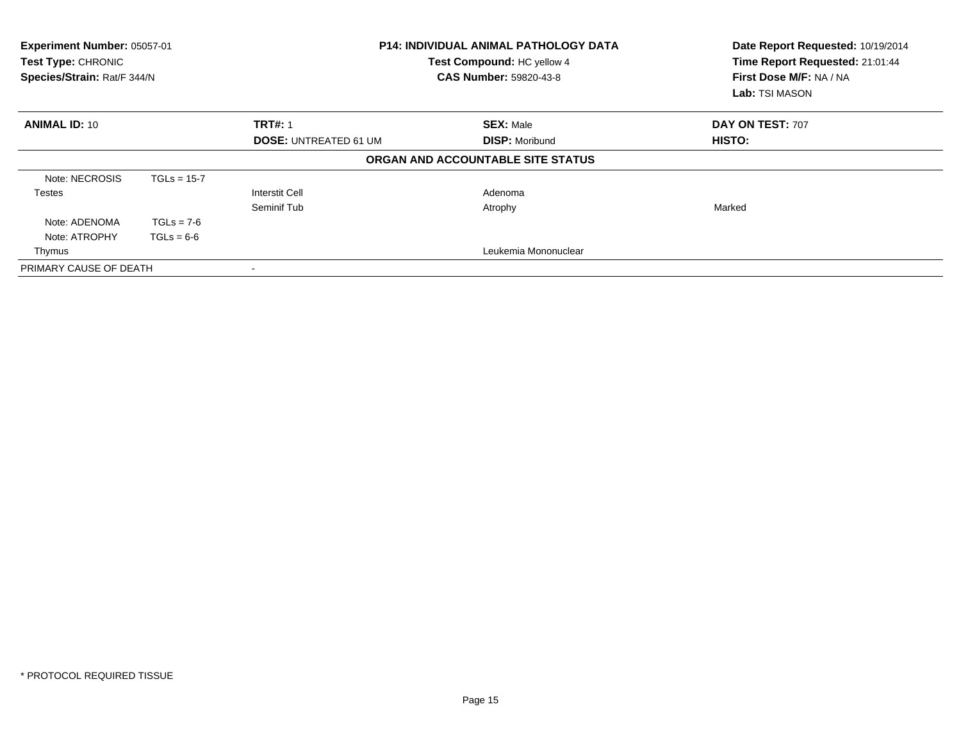| Experiment Number: 05057-01<br><b>Test Type: CHRONIC</b><br>Species/Strain: Rat/F 344/N |               | <b>P14: INDIVIDUAL ANIMAL PATHOLOGY DATA</b><br>Test Compound: HC yellow 4<br><b>CAS Number: 59820-43-8</b> |                                   | Date Report Requested: 10/19/2014<br>Time Report Requested: 21:01:44<br>First Dose M/F: NA / NA<br><b>Lab:</b> TSI MASON |
|-----------------------------------------------------------------------------------------|---------------|-------------------------------------------------------------------------------------------------------------|-----------------------------------|--------------------------------------------------------------------------------------------------------------------------|
| <b>ANIMAL ID: 10</b>                                                                    |               | <b>TRT#: 1</b>                                                                                              | <b>SEX: Male</b>                  | DAY ON TEST: 707                                                                                                         |
|                                                                                         |               | <b>DOSE: UNTREATED 61 UM</b>                                                                                | <b>DISP: Moribund</b>             | HISTO:                                                                                                                   |
|                                                                                         |               |                                                                                                             | ORGAN AND ACCOUNTABLE SITE STATUS |                                                                                                                          |
| Note: NECROSIS                                                                          | $TGLs = 15-7$ |                                                                                                             |                                   |                                                                                                                          |
| <b>Testes</b>                                                                           |               | <b>Interstit Cell</b>                                                                                       | Adenoma                           |                                                                                                                          |
|                                                                                         |               | Seminif Tub                                                                                                 | Atrophy                           | Marked                                                                                                                   |
| Note: ADENOMA                                                                           | $TGLs = 7-6$  |                                                                                                             |                                   |                                                                                                                          |
| Note: ATROPHY                                                                           | $TGLs = 6-6$  |                                                                                                             |                                   |                                                                                                                          |
| Thymus                                                                                  |               |                                                                                                             | Leukemia Mononuclear              |                                                                                                                          |
| PRIMARY CAUSE OF DEATH                                                                  |               |                                                                                                             |                                   |                                                                                                                          |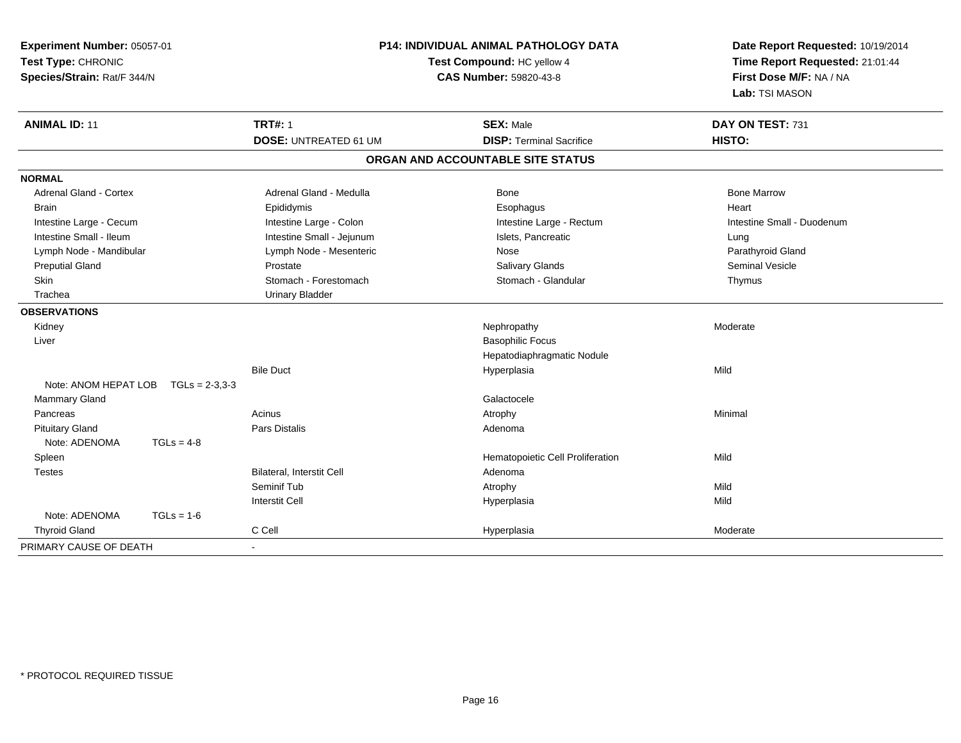| Experiment Number: 05057-01<br>Test Type: CHRONIC<br>Species/Strain: Rat/F 344/N |                                                | P14: INDIVIDUAL ANIMAL PATHOLOGY DATA<br>Test Compound: HC yellow 4<br>CAS Number: 59820-43-8 | Date Report Requested: 10/19/2014<br>Time Report Requested: 21:01:44<br>First Dose M/F: NA / NA<br>Lab: TSI MASON |  |
|----------------------------------------------------------------------------------|------------------------------------------------|-----------------------------------------------------------------------------------------------|-------------------------------------------------------------------------------------------------------------------|--|
| <b>ANIMAL ID: 11</b>                                                             | <b>TRT#: 1</b><br><b>DOSE: UNTREATED 61 UM</b> | <b>SEX: Male</b><br><b>DISP: Terminal Sacrifice</b>                                           | DAY ON TEST: 731<br>HISTO:                                                                                        |  |
|                                                                                  |                                                |                                                                                               |                                                                                                                   |  |
|                                                                                  |                                                | ORGAN AND ACCOUNTABLE SITE STATUS                                                             |                                                                                                                   |  |
| <b>NORMAL</b>                                                                    |                                                |                                                                                               |                                                                                                                   |  |
| <b>Adrenal Gland - Cortex</b>                                                    | Adrenal Gland - Medulla                        | <b>Bone</b>                                                                                   | <b>Bone Marrow</b>                                                                                                |  |
| <b>Brain</b>                                                                     | Epididymis                                     | Esophagus                                                                                     | Heart                                                                                                             |  |
| Intestine Large - Cecum                                                          | Intestine Large - Colon                        | Intestine Large - Rectum                                                                      | Intestine Small - Duodenum                                                                                        |  |
| Intestine Small - Ileum                                                          | Intestine Small - Jejunum                      | Islets, Pancreatic                                                                            | Lung                                                                                                              |  |
| Lymph Node - Mandibular                                                          | Lymph Node - Mesenteric                        | Nose                                                                                          | Parathyroid Gland                                                                                                 |  |
| <b>Preputial Gland</b>                                                           | Prostate                                       | Salivary Glands                                                                               | <b>Seminal Vesicle</b>                                                                                            |  |
| <b>Skin</b>                                                                      | Stomach - Forestomach                          | Stomach - Glandular                                                                           | Thymus                                                                                                            |  |
| Trachea                                                                          | <b>Urinary Bladder</b>                         |                                                                                               |                                                                                                                   |  |
| <b>OBSERVATIONS</b>                                                              |                                                |                                                                                               |                                                                                                                   |  |
| Kidney                                                                           |                                                | Nephropathy                                                                                   | Moderate                                                                                                          |  |
| Liver                                                                            |                                                | <b>Basophilic Focus</b>                                                                       |                                                                                                                   |  |
|                                                                                  |                                                | Hepatodiaphragmatic Nodule                                                                    |                                                                                                                   |  |
|                                                                                  | <b>Bile Duct</b>                               | Hyperplasia                                                                                   | Mild                                                                                                              |  |
| Note: ANOM HEPAT LOB<br>$TGLs = 2-3,3-3$                                         |                                                |                                                                                               |                                                                                                                   |  |
| Mammary Gland                                                                    |                                                | Galactocele                                                                                   |                                                                                                                   |  |
| Pancreas                                                                         | Acinus                                         | Atrophy                                                                                       | Minimal                                                                                                           |  |
| <b>Pituitary Gland</b>                                                           | <b>Pars Distalis</b>                           | Adenoma                                                                                       |                                                                                                                   |  |
| Note: ADENOMA<br>$TGLs = 4-8$                                                    |                                                |                                                                                               |                                                                                                                   |  |
| Spleen                                                                           |                                                | Hematopoietic Cell Proliferation                                                              | Mild                                                                                                              |  |
| <b>Testes</b>                                                                    | <b>Bilateral, Interstit Cell</b>               | Adenoma                                                                                       |                                                                                                                   |  |
|                                                                                  | Seminif Tub                                    | Atrophy                                                                                       | Mild                                                                                                              |  |
|                                                                                  | <b>Interstit Cell</b>                          | Hyperplasia                                                                                   | Mild                                                                                                              |  |
| Note: ADENOMA<br>$TGLs = 1-6$                                                    |                                                |                                                                                               |                                                                                                                   |  |
| <b>Thyroid Gland</b>                                                             | C Cell                                         | Hyperplasia                                                                                   | Moderate                                                                                                          |  |
| PRIMARY CAUSE OF DEATH                                                           |                                                |                                                                                               |                                                                                                                   |  |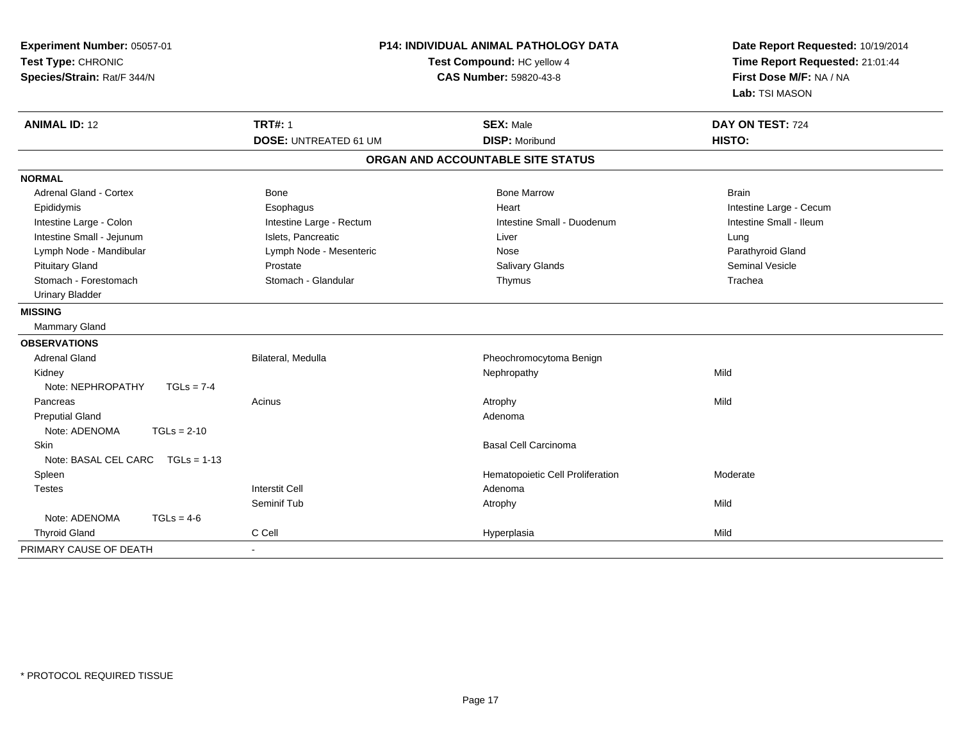| Experiment Number: 05057-01<br>Test Type: CHRONIC<br>Species/Strain: Rat/F 344/N |                              | <b>P14: INDIVIDUAL ANIMAL PATHOLOGY DATA</b><br>Test Compound: HC yellow 4<br><b>CAS Number: 59820-43-8</b> | Date Report Requested: 10/19/2014<br>Time Report Requested: 21:01:44<br>First Dose M/F: NA / NA<br>Lab: TSI MASON |  |
|----------------------------------------------------------------------------------|------------------------------|-------------------------------------------------------------------------------------------------------------|-------------------------------------------------------------------------------------------------------------------|--|
| <b>ANIMAL ID: 12</b>                                                             | <b>TRT#: 1</b>               | <b>SEX: Male</b>                                                                                            | DAY ON TEST: 724                                                                                                  |  |
|                                                                                  | <b>DOSE: UNTREATED 61 UM</b> | <b>DISP: Moribund</b>                                                                                       | HISTO:                                                                                                            |  |
|                                                                                  |                              | ORGAN AND ACCOUNTABLE SITE STATUS                                                                           |                                                                                                                   |  |
| <b>NORMAL</b>                                                                    |                              |                                                                                                             |                                                                                                                   |  |
| Adrenal Gland - Cortex                                                           | Bone                         | <b>Bone Marrow</b>                                                                                          | <b>Brain</b>                                                                                                      |  |
| Epididymis                                                                       | Esophagus                    | Heart                                                                                                       | Intestine Large - Cecum                                                                                           |  |
| Intestine Large - Colon                                                          | Intestine Large - Rectum     | Intestine Small - Duodenum                                                                                  | Intestine Small - Ileum                                                                                           |  |
| Intestine Small - Jejunum                                                        | Islets, Pancreatic           | Liver                                                                                                       | Lung                                                                                                              |  |
| Lymph Node - Mandibular                                                          | Lymph Node - Mesenteric      | Nose                                                                                                        | Parathyroid Gland                                                                                                 |  |
| <b>Pituitary Gland</b>                                                           | Prostate                     | Salivary Glands                                                                                             | <b>Seminal Vesicle</b>                                                                                            |  |
| Stomach - Forestomach                                                            | Stomach - Glandular          | Thymus                                                                                                      | Trachea                                                                                                           |  |
| <b>Urinary Bladder</b>                                                           |                              |                                                                                                             |                                                                                                                   |  |
| <b>MISSING</b>                                                                   |                              |                                                                                                             |                                                                                                                   |  |
| Mammary Gland                                                                    |                              |                                                                                                             |                                                                                                                   |  |
| <b>OBSERVATIONS</b>                                                              |                              |                                                                                                             |                                                                                                                   |  |
| <b>Adrenal Gland</b>                                                             | Bilateral, Medulla           | Pheochromocytoma Benign                                                                                     |                                                                                                                   |  |
| Kidney                                                                           |                              | Nephropathy                                                                                                 | Mild                                                                                                              |  |
| Note: NEPHROPATHY<br>$TGLs = 7-4$                                                |                              |                                                                                                             |                                                                                                                   |  |
| Pancreas                                                                         | Acinus                       | Atrophy                                                                                                     | Mild                                                                                                              |  |
| <b>Preputial Gland</b>                                                           |                              | Adenoma                                                                                                     |                                                                                                                   |  |
| Note: ADENOMA<br>$TGLs = 2-10$                                                   |                              |                                                                                                             |                                                                                                                   |  |
| Skin                                                                             |                              | <b>Basal Cell Carcinoma</b>                                                                                 |                                                                                                                   |  |
| Note: BASAL CEL CARC TGLs = 1-13                                                 |                              |                                                                                                             |                                                                                                                   |  |
| Spleen                                                                           |                              | Hematopoietic Cell Proliferation                                                                            | Moderate                                                                                                          |  |
| <b>Testes</b>                                                                    | <b>Interstit Cell</b>        | Adenoma                                                                                                     |                                                                                                                   |  |
|                                                                                  | Seminif Tub                  | Atrophy                                                                                                     | Mild                                                                                                              |  |
| Note: ADENOMA<br>$TGLs = 4-6$                                                    |                              |                                                                                                             |                                                                                                                   |  |
| <b>Thyroid Gland</b>                                                             | C Cell                       | Hyperplasia                                                                                                 | Mild                                                                                                              |  |
| PRIMARY CAUSE OF DEATH                                                           |                              |                                                                                                             |                                                                                                                   |  |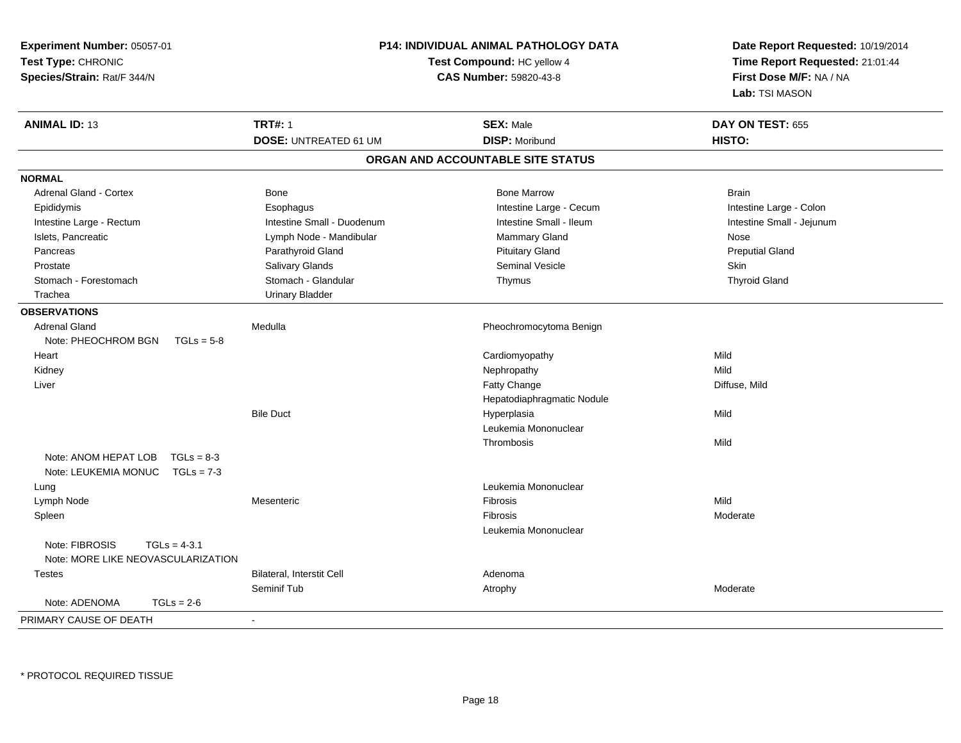| Experiment Number: 05057-01          |                                   | P14: INDIVIDUAL ANIMAL PATHOLOGY DATA | Date Report Requested: 10/19/2014 |  |
|--------------------------------------|-----------------------------------|---------------------------------------|-----------------------------------|--|
| Test Type: CHRONIC                   | <b>Test Compound: HC yellow 4</b> |                                       | Time Report Requested: 21:01:44   |  |
| Species/Strain: Rat/F 344/N          |                                   | <b>CAS Number: 59820-43-8</b>         | First Dose M/F: NA / NA           |  |
|                                      |                                   |                                       | Lab: TSI MASON                    |  |
| <b>ANIMAL ID: 13</b>                 | <b>TRT#: 1</b>                    | <b>SEX: Male</b>                      | DAY ON TEST: 655                  |  |
|                                      | <b>DOSE: UNTREATED 61 UM</b>      | <b>DISP: Moribund</b>                 | HISTO:                            |  |
|                                      |                                   | ORGAN AND ACCOUNTABLE SITE STATUS     |                                   |  |
| <b>NORMAL</b>                        |                                   |                                       |                                   |  |
| <b>Adrenal Gland - Cortex</b>        | Bone                              | <b>Bone Marrow</b>                    | <b>Brain</b>                      |  |
| Epididymis                           | Esophagus                         | Intestine Large - Cecum               | Intestine Large - Colon           |  |
| Intestine Large - Rectum             | Intestine Small - Duodenum        | Intestine Small - Ileum               | Intestine Small - Jejunum         |  |
| Islets, Pancreatic                   | Lymph Node - Mandibular           | Mammary Gland                         | Nose                              |  |
| Pancreas                             | Parathyroid Gland                 | <b>Pituitary Gland</b>                | <b>Preputial Gland</b>            |  |
| Prostate                             | Salivary Glands                   | Seminal Vesicle                       | Skin                              |  |
| Stomach - Forestomach                | Stomach - Glandular               | Thymus                                | <b>Thyroid Gland</b>              |  |
| Trachea                              | <b>Urinary Bladder</b>            |                                       |                                   |  |
| <b>OBSERVATIONS</b>                  |                                   |                                       |                                   |  |
| <b>Adrenal Gland</b>                 | Medulla                           | Pheochromocytoma Benign               |                                   |  |
| Note: PHEOCHROM BGN<br>$TGLs = 5-8$  |                                   |                                       |                                   |  |
| Heart                                |                                   | Cardiomyopathy                        | Mild                              |  |
| Kidney                               |                                   | Nephropathy                           | Mild                              |  |
| Liver                                |                                   | <b>Fatty Change</b>                   | Diffuse, Mild                     |  |
|                                      |                                   | Hepatodiaphragmatic Nodule            |                                   |  |
|                                      | <b>Bile Duct</b>                  | Hyperplasia                           | Mild                              |  |
|                                      |                                   | Leukemia Mononuclear                  |                                   |  |
|                                      |                                   | Thrombosis                            | Mild                              |  |
| Note: ANOM HEPAT LOB<br>$TGLs = 8-3$ |                                   |                                       |                                   |  |
| Note: LEUKEMIA MONUC TGLs = 7-3      |                                   |                                       |                                   |  |
| Lung                                 |                                   | Leukemia Mononuclear                  |                                   |  |
| Lymph Node                           | Mesenteric                        | Fibrosis                              | Mild                              |  |
| Spleen                               |                                   | <b>Fibrosis</b>                       | Moderate                          |  |
|                                      |                                   | Leukemia Mononuclear                  |                                   |  |
| Note: FIBROSIS<br>$TGLs = 4-3.1$     |                                   |                                       |                                   |  |
| Note: MORE LIKE NEOVASCULARIZATION   |                                   |                                       |                                   |  |
| <b>Testes</b>                        | Bilateral, Interstit Cell         | Adenoma                               |                                   |  |
|                                      | Seminif Tub                       | Atrophy                               | Moderate                          |  |
| Note: ADENOMA<br>$TGLs = 2-6$        |                                   |                                       |                                   |  |
| PRIMARY CAUSE OF DEATH               | $\blacksquare$                    |                                       |                                   |  |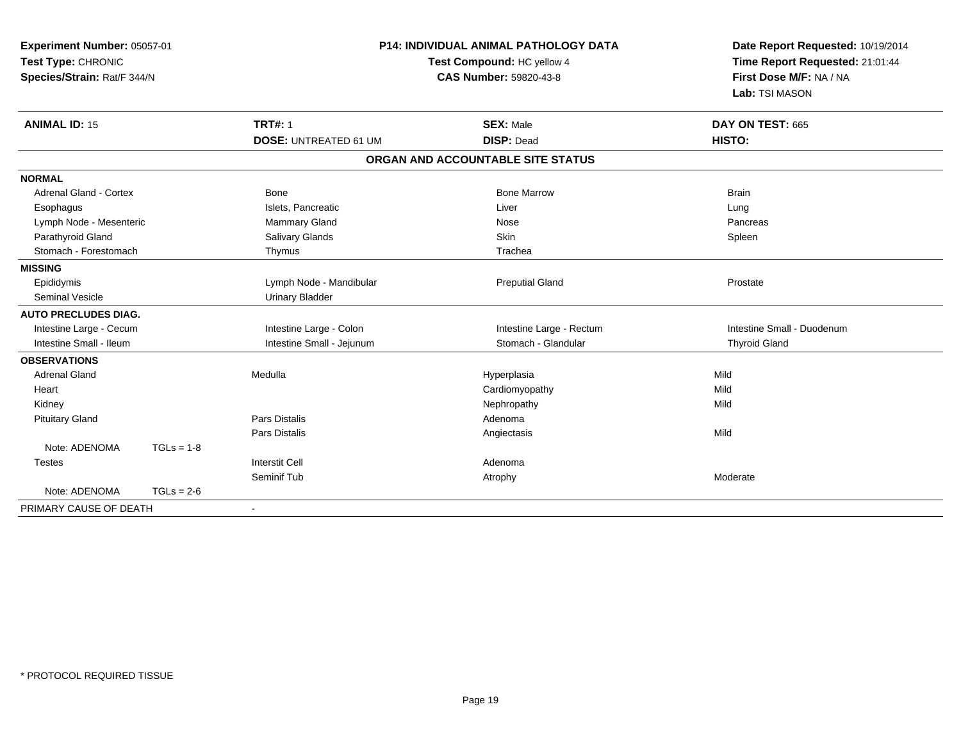| Experiment Number: 05057-01<br>Test Type: CHRONIC |              |                              | <b>P14: INDIVIDUAL ANIMAL PATHOLOGY DATA</b> | Date Report Requested: 10/19/2014 |
|---------------------------------------------------|--------------|------------------------------|----------------------------------------------|-----------------------------------|
|                                                   |              | Test Compound: HC yellow 4   |                                              | Time Report Requested: 21:01:44   |
| Species/Strain: Rat/F 344/N                       |              |                              | <b>CAS Number: 59820-43-8</b>                | First Dose M/F: NA / NA           |
|                                                   |              |                              |                                              | Lab: TSI MASON                    |
| <b>ANIMAL ID: 15</b>                              |              | <b>TRT#: 1</b>               | <b>SEX: Male</b>                             | DAY ON TEST: 665                  |
|                                                   |              | <b>DOSE: UNTREATED 61 UM</b> | <b>DISP: Dead</b>                            | HISTO:                            |
|                                                   |              |                              | ORGAN AND ACCOUNTABLE SITE STATUS            |                                   |
| <b>NORMAL</b>                                     |              |                              |                                              |                                   |
| Adrenal Gland - Cortex                            |              | Bone                         | <b>Bone Marrow</b>                           | <b>Brain</b>                      |
| Esophagus                                         |              | Islets, Pancreatic           | Liver                                        | Lung                              |
| Lymph Node - Mesenteric                           |              | Mammary Gland                | Nose                                         | Pancreas                          |
| Parathyroid Gland                                 |              | Salivary Glands              | Skin                                         | Spleen                            |
| Stomach - Forestomach                             |              | Thymus                       | Trachea                                      |                                   |
| <b>MISSING</b>                                    |              |                              |                                              |                                   |
| Epididymis                                        |              | Lymph Node - Mandibular      | <b>Preputial Gland</b>                       | Prostate                          |
| <b>Seminal Vesicle</b>                            |              | <b>Urinary Bladder</b>       |                                              |                                   |
| <b>AUTO PRECLUDES DIAG.</b>                       |              |                              |                                              |                                   |
| Intestine Large - Cecum                           |              | Intestine Large - Colon      | Intestine Large - Rectum                     | Intestine Small - Duodenum        |
| Intestine Small - Ileum                           |              | Intestine Small - Jejunum    | Stomach - Glandular                          | <b>Thyroid Gland</b>              |
| <b>OBSERVATIONS</b>                               |              |                              |                                              |                                   |
| <b>Adrenal Gland</b>                              |              | Medulla                      | Hyperplasia                                  | Mild                              |
| Heart                                             |              |                              | Cardiomyopathy                               | Mild                              |
| Kidney                                            |              |                              | Nephropathy                                  | Mild                              |
| <b>Pituitary Gland</b>                            |              | Pars Distalis                | Adenoma                                      |                                   |
|                                                   |              | Pars Distalis                | Angiectasis                                  | Mild                              |
| Note: ADENOMA                                     | $TGLs = 1-8$ |                              |                                              |                                   |
| <b>Testes</b>                                     |              | <b>Interstit Cell</b>        | Adenoma                                      |                                   |
|                                                   |              | Seminif Tub                  | Atrophy                                      | Moderate                          |
| Note: ADENOMA                                     | $TGLs = 2-6$ |                              |                                              |                                   |
| PRIMARY CAUSE OF DEATH                            |              | $\overline{\phantom{0}}$     |                                              |                                   |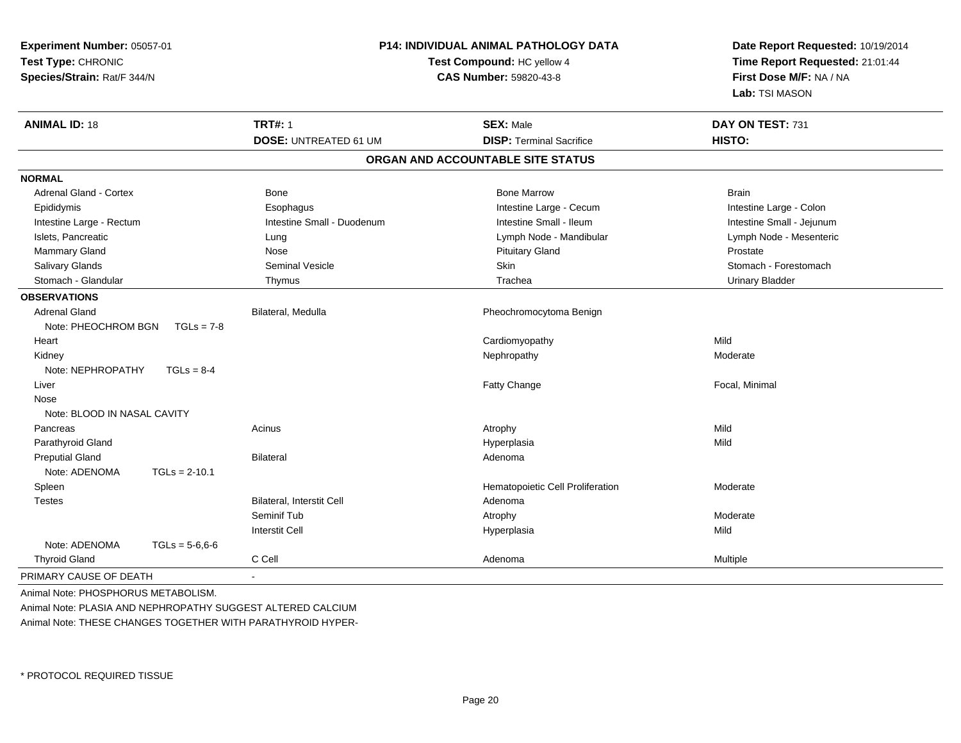| Experiment Number: 05057-01<br>Test Type: CHRONIC<br>Species/Strain: Rat/F 344/N |                              | <b>P14: INDIVIDUAL ANIMAL PATHOLOGY DATA</b><br>Test Compound: HC yellow 4<br>CAS Number: 59820-43-8 | Date Report Requested: 10/19/2014<br>Time Report Requested: 21:01:44<br>First Dose M/F: NA / NA<br>Lab: TSI MASON |  |
|----------------------------------------------------------------------------------|------------------------------|------------------------------------------------------------------------------------------------------|-------------------------------------------------------------------------------------------------------------------|--|
| <b>ANIMAL ID: 18</b>                                                             | <b>TRT#: 1</b>               | <b>SEX: Male</b>                                                                                     | DAY ON TEST: 731                                                                                                  |  |
|                                                                                  | <b>DOSE: UNTREATED 61 UM</b> | <b>DISP: Terminal Sacrifice</b>                                                                      | HISTO:                                                                                                            |  |
|                                                                                  |                              | ORGAN AND ACCOUNTABLE SITE STATUS                                                                    |                                                                                                                   |  |
| <b>NORMAL</b>                                                                    |                              |                                                                                                      |                                                                                                                   |  |
| Adrenal Gland - Cortex                                                           | Bone                         | <b>Bone Marrow</b>                                                                                   | <b>Brain</b>                                                                                                      |  |
| Epididymis                                                                       | Esophagus                    | Intestine Large - Cecum                                                                              | Intestine Large - Colon                                                                                           |  |
| Intestine Large - Rectum                                                         | Intestine Small - Duodenum   | Intestine Small - Ileum                                                                              | Intestine Small - Jejunum                                                                                         |  |
| Islets, Pancreatic                                                               | Lung                         | Lymph Node - Mandibular                                                                              | Lymph Node - Mesenteric                                                                                           |  |
| Mammary Gland                                                                    | Nose                         | <b>Pituitary Gland</b>                                                                               | Prostate                                                                                                          |  |
| Salivary Glands                                                                  | Seminal Vesicle              | Skin                                                                                                 | Stomach - Forestomach                                                                                             |  |
| Stomach - Glandular                                                              | Thymus                       | Trachea                                                                                              | Urinary Bladder                                                                                                   |  |
| <b>OBSERVATIONS</b>                                                              |                              |                                                                                                      |                                                                                                                   |  |
| <b>Adrenal Gland</b>                                                             | Bilateral, Medulla           | Pheochromocytoma Benign                                                                              |                                                                                                                   |  |
| Note: PHEOCHROM BGN<br>$TGLs = 7-8$                                              |                              |                                                                                                      |                                                                                                                   |  |
| Heart                                                                            |                              | Cardiomyopathy                                                                                       | Mild                                                                                                              |  |
| Kidney                                                                           |                              | Nephropathy                                                                                          | Moderate                                                                                                          |  |
| Note: NEPHROPATHY<br>$TGLs = 8-4$                                                |                              |                                                                                                      |                                                                                                                   |  |
| Liver                                                                            |                              | Fatty Change                                                                                         | Focal, Minimal                                                                                                    |  |
| Nose                                                                             |                              |                                                                                                      |                                                                                                                   |  |
| Note: BLOOD IN NASAL CAVITY                                                      |                              |                                                                                                      |                                                                                                                   |  |
| Pancreas                                                                         | Acinus                       | Atrophy                                                                                              | Mild                                                                                                              |  |
| Parathyroid Gland                                                                |                              | Hyperplasia                                                                                          | Mild                                                                                                              |  |
| <b>Preputial Gland</b>                                                           | <b>Bilateral</b>             | Adenoma                                                                                              |                                                                                                                   |  |
| Note: ADENOMA<br>$TGLs = 2-10.1$                                                 |                              |                                                                                                      |                                                                                                                   |  |
| Spleen                                                                           |                              | Hematopoietic Cell Proliferation                                                                     | Moderate                                                                                                          |  |
| <b>Testes</b>                                                                    | Bilateral, Interstit Cell    | Adenoma                                                                                              |                                                                                                                   |  |
|                                                                                  | Seminif Tub                  | Atrophy                                                                                              | Moderate                                                                                                          |  |
|                                                                                  | <b>Interstit Cell</b>        | Hyperplasia                                                                                          | Mild                                                                                                              |  |
| Note: ADENOMA<br>$TGLs = 5-6.6-6$                                                |                              |                                                                                                      |                                                                                                                   |  |
| <b>Thyroid Gland</b>                                                             | C Cell                       | Adenoma                                                                                              | Multiple                                                                                                          |  |
| PRIMARY CAUSE OF DEATH                                                           |                              |                                                                                                      |                                                                                                                   |  |

Animal Note: PHOSPHORUS METABOLISM.Animal Note: PLASIA AND NEPHROPATHY SUGGEST ALTERED CALCIUMAnimal Note: THESE CHANGES TOGETHER WITH PARATHYROID HYPER-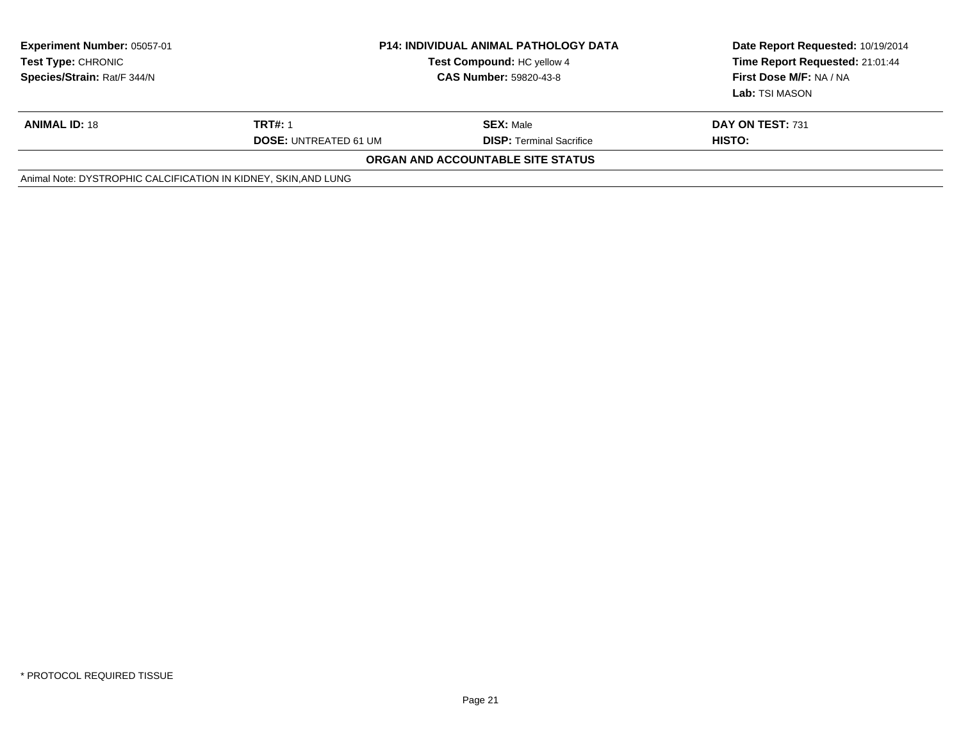| <b>Experiment Number: 05057-01</b><br>Test Type: CHRONIC<br>Species/Strain: Rat/F 344/N |                                                | <b>P14: INDIVIDUAL ANIMAL PATHOLOGY DATA</b><br>Test Compound: HC yellow 4<br><b>CAS Number: 59820-43-8</b> | Date Report Requested: 10/19/2014<br>Time Report Requested: 21:01:44<br>First Dose M/F: NA / NA<br>Lab: TSI MASON |
|-----------------------------------------------------------------------------------------|------------------------------------------------|-------------------------------------------------------------------------------------------------------------|-------------------------------------------------------------------------------------------------------------------|
| <b>ANIMAL ID: 18</b>                                                                    | <b>TRT#: 1</b><br><b>DOSE: UNTREATED 61 UM</b> | <b>SEX: Male</b><br><b>DISP: Terminal Sacrifice</b>                                                         | DAY ON TEST: 731<br>HISTO:                                                                                        |
|                                                                                         |                                                | ORGAN AND ACCOUNTABLE SITE STATUS                                                                           |                                                                                                                   |
| Animal Note: DYSTROPHIC CALCIFICATION IN KIDNEY, SKIN, AND LUNG                         |                                                |                                                                                                             |                                                                                                                   |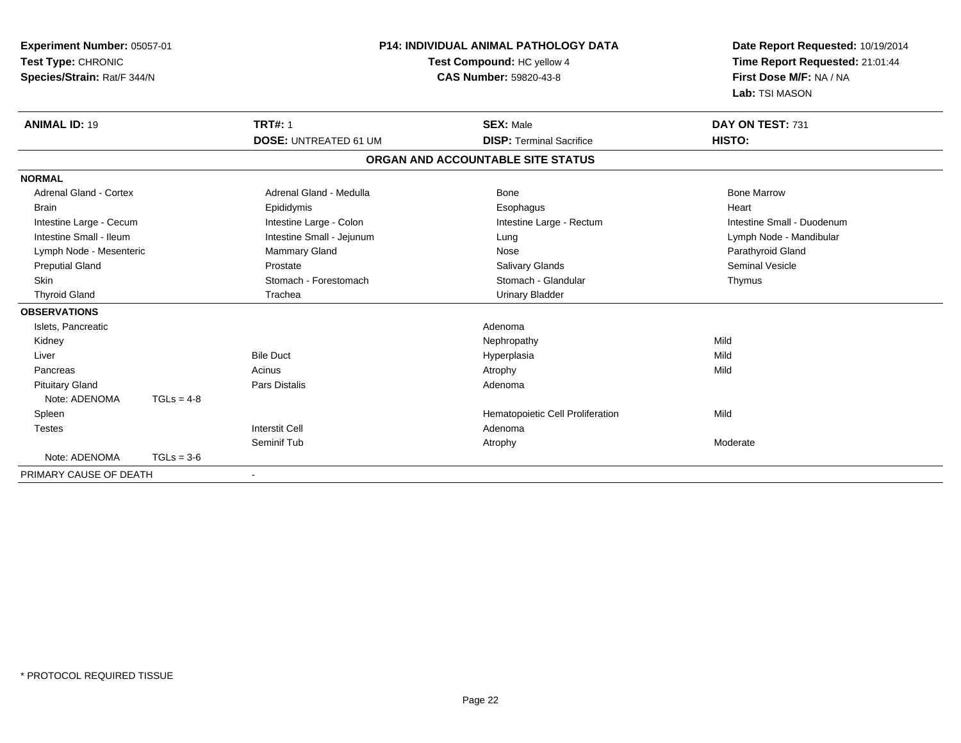| Experiment Number: 05057-01<br>Test Type: CHRONIC<br>Species/Strain: Rat/F 344/N |              | P14: INDIVIDUAL ANIMAL PATHOLOGY DATA<br>Test Compound: HC yellow 4<br><b>CAS Number: 59820-43-8</b> |                                   | Date Report Requested: 10/19/2014<br>Time Report Requested: 21:01:44<br>First Dose M/F: NA / NA<br>Lab: TSI MASON |  |
|----------------------------------------------------------------------------------|--------------|------------------------------------------------------------------------------------------------------|-----------------------------------|-------------------------------------------------------------------------------------------------------------------|--|
| <b>ANIMAL ID: 19</b>                                                             |              | <b>TRT#: 1</b>                                                                                       | <b>SEX: Male</b>                  | DAY ON TEST: 731                                                                                                  |  |
|                                                                                  |              | <b>DOSE: UNTREATED 61 UM</b>                                                                         | <b>DISP: Terminal Sacrifice</b>   | HISTO:                                                                                                            |  |
|                                                                                  |              |                                                                                                      | ORGAN AND ACCOUNTABLE SITE STATUS |                                                                                                                   |  |
| <b>NORMAL</b>                                                                    |              |                                                                                                      |                                   |                                                                                                                   |  |
| <b>Adrenal Gland - Cortex</b>                                                    |              | Adrenal Gland - Medulla                                                                              | Bone                              | <b>Bone Marrow</b>                                                                                                |  |
| <b>Brain</b>                                                                     |              | Epididymis                                                                                           | Esophagus                         | Heart                                                                                                             |  |
| Intestine Large - Cecum                                                          |              | Intestine Large - Colon                                                                              | Intestine Large - Rectum          | Intestine Small - Duodenum                                                                                        |  |
| Intestine Small - Ileum                                                          |              | Intestine Small - Jejunum                                                                            | Lung                              | Lymph Node - Mandibular                                                                                           |  |
| Lymph Node - Mesenteric                                                          |              | <b>Mammary Gland</b>                                                                                 | Nose                              | Parathyroid Gland                                                                                                 |  |
| <b>Preputial Gland</b>                                                           |              | Prostate                                                                                             | <b>Salivary Glands</b>            | <b>Seminal Vesicle</b>                                                                                            |  |
| <b>Skin</b>                                                                      |              | Stomach - Forestomach                                                                                | Stomach - Glandular               | Thymus                                                                                                            |  |
| <b>Thyroid Gland</b>                                                             |              | Trachea                                                                                              | <b>Urinary Bladder</b>            |                                                                                                                   |  |
| <b>OBSERVATIONS</b>                                                              |              |                                                                                                      |                                   |                                                                                                                   |  |
| Islets, Pancreatic                                                               |              |                                                                                                      | Adenoma                           |                                                                                                                   |  |
| Kidney                                                                           |              |                                                                                                      | Nephropathy                       | Mild                                                                                                              |  |
| Liver                                                                            |              | <b>Bile Duct</b>                                                                                     | Hyperplasia                       | Mild                                                                                                              |  |
| Pancreas                                                                         |              | Acinus                                                                                               | Atrophy                           | Mild                                                                                                              |  |
| <b>Pituitary Gland</b>                                                           |              | <b>Pars Distalis</b>                                                                                 | Adenoma                           |                                                                                                                   |  |
| Note: ADENOMA                                                                    | $TGLs = 4-8$ |                                                                                                      |                                   |                                                                                                                   |  |
| Spleen                                                                           |              |                                                                                                      | Hematopoietic Cell Proliferation  | Mild                                                                                                              |  |
| <b>Testes</b>                                                                    |              | <b>Interstit Cell</b>                                                                                | Adenoma                           |                                                                                                                   |  |
|                                                                                  |              | Seminif Tub                                                                                          | Atrophy                           | Moderate                                                                                                          |  |
| Note: ADENOMA                                                                    | $TGLs = 3-6$ |                                                                                                      |                                   |                                                                                                                   |  |
| PRIMARY CAUSE OF DEATH                                                           |              |                                                                                                      |                                   |                                                                                                                   |  |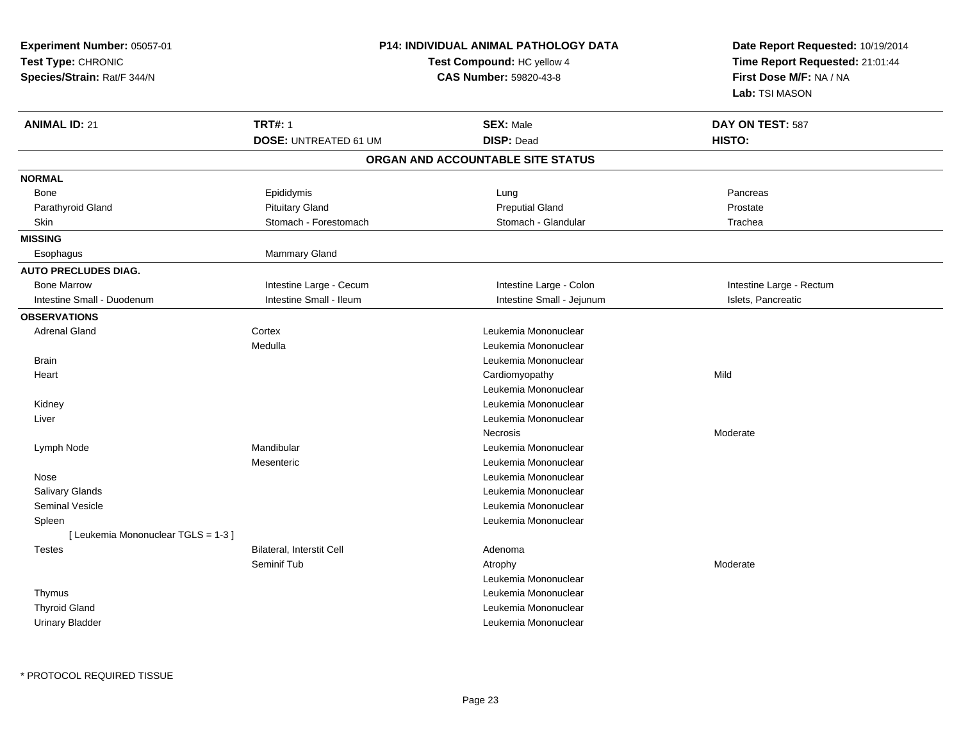| Experiment Number: 05057-01<br>Test Type: CHRONIC<br>Species/Strain: Rat/F 344/N |                              | <b>P14: INDIVIDUAL ANIMAL PATHOLOGY DATA</b><br>Test Compound: HC yellow 4<br>CAS Number: 59820-43-8 | Date Report Requested: 10/19/2014<br>Time Report Requested: 21:01:44<br>First Dose M/F: NA / NA<br>Lab: TSI MASON |
|----------------------------------------------------------------------------------|------------------------------|------------------------------------------------------------------------------------------------------|-------------------------------------------------------------------------------------------------------------------|
| <b>ANIMAL ID: 21</b>                                                             | <b>TRT#: 1</b>               | <b>SEX: Male</b>                                                                                     | DAY ON TEST: 587                                                                                                  |
|                                                                                  | <b>DOSE: UNTREATED 61 UM</b> | <b>DISP: Dead</b>                                                                                    | HISTO:                                                                                                            |
|                                                                                  |                              | ORGAN AND ACCOUNTABLE SITE STATUS                                                                    |                                                                                                                   |
| <b>NORMAL</b>                                                                    |                              |                                                                                                      |                                                                                                                   |
| Bone                                                                             | Epididymis                   | Lung                                                                                                 | Pancreas                                                                                                          |
| Parathyroid Gland                                                                | <b>Pituitary Gland</b>       | <b>Preputial Gland</b>                                                                               | Prostate                                                                                                          |
| Skin                                                                             | Stomach - Forestomach        | Stomach - Glandular                                                                                  | Trachea                                                                                                           |
| <b>MISSING</b>                                                                   |                              |                                                                                                      |                                                                                                                   |
| Esophagus                                                                        | Mammary Gland                |                                                                                                      |                                                                                                                   |
| <b>AUTO PRECLUDES DIAG.</b>                                                      |                              |                                                                                                      |                                                                                                                   |
| <b>Bone Marrow</b>                                                               | Intestine Large - Cecum      | Intestine Large - Colon                                                                              | Intestine Large - Rectum                                                                                          |
| Intestine Small - Duodenum                                                       | Intestine Small - Ileum      | Intestine Small - Jejunum                                                                            | Islets, Pancreatic                                                                                                |
| <b>OBSERVATIONS</b>                                                              |                              |                                                                                                      |                                                                                                                   |
| <b>Adrenal Gland</b>                                                             | Cortex                       | Leukemia Mononuclear                                                                                 |                                                                                                                   |
|                                                                                  | Medulla                      | Leukemia Mononuclear                                                                                 |                                                                                                                   |
| <b>Brain</b>                                                                     |                              | Leukemia Mononuclear                                                                                 |                                                                                                                   |
| Heart                                                                            |                              | Cardiomyopathy                                                                                       | Mild                                                                                                              |
|                                                                                  |                              | Leukemia Mononuclear                                                                                 |                                                                                                                   |
| Kidney                                                                           |                              | Leukemia Mononuclear                                                                                 |                                                                                                                   |
| Liver                                                                            |                              | Leukemia Mononuclear                                                                                 |                                                                                                                   |
|                                                                                  |                              | Necrosis                                                                                             | Moderate                                                                                                          |
| Lymph Node                                                                       | Mandibular                   | Leukemia Mononuclear                                                                                 |                                                                                                                   |
|                                                                                  | Mesenteric                   | Leukemia Mononuclear                                                                                 |                                                                                                                   |
| Nose                                                                             |                              | Leukemia Mononuclear                                                                                 |                                                                                                                   |
| Salivary Glands                                                                  |                              | Leukemia Mononuclear                                                                                 |                                                                                                                   |
| Seminal Vesicle                                                                  |                              | Leukemia Mononuclear                                                                                 |                                                                                                                   |
| Spleen                                                                           |                              | Leukemia Mononuclear                                                                                 |                                                                                                                   |
| [Leukemia Mononuclear TGLS = 1-3]                                                |                              |                                                                                                      |                                                                                                                   |
| <b>Testes</b>                                                                    | Bilateral, Interstit Cell    | Adenoma                                                                                              |                                                                                                                   |
|                                                                                  | Seminif Tub                  | Atrophy                                                                                              | Moderate                                                                                                          |
|                                                                                  |                              | Leukemia Mononuclear                                                                                 |                                                                                                                   |
| Thymus                                                                           |                              | Leukemia Mononuclear                                                                                 |                                                                                                                   |
| <b>Thyroid Gland</b>                                                             |                              | Leukemia Mononuclear                                                                                 |                                                                                                                   |
| <b>Urinary Bladder</b>                                                           |                              | Leukemia Mononuclear                                                                                 |                                                                                                                   |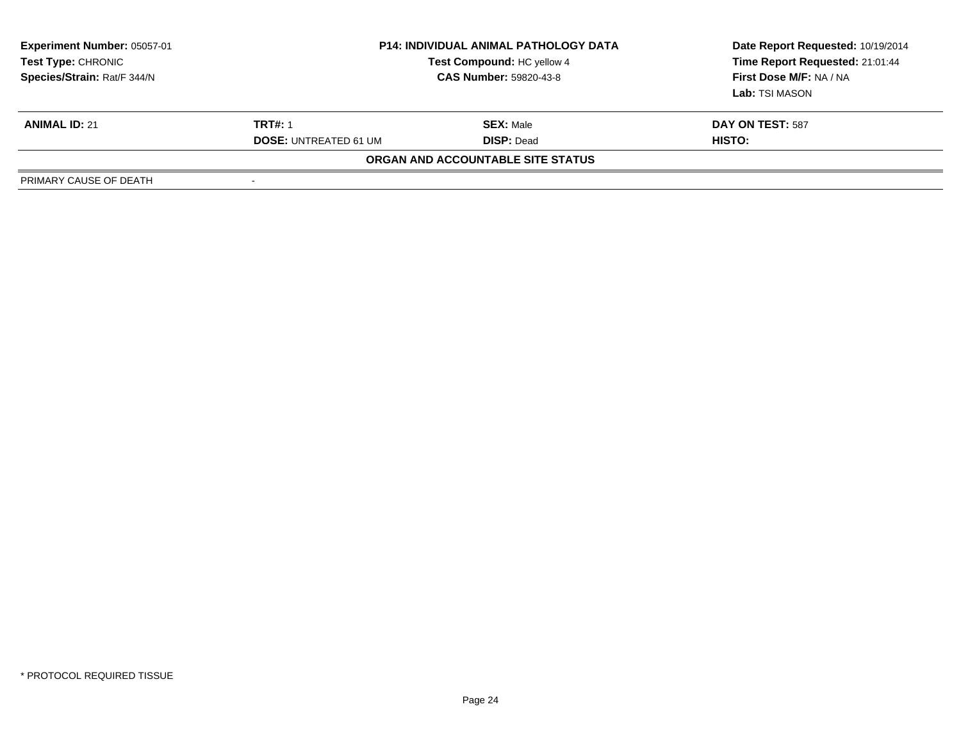| Experiment Number: 05057-01<br>Test Type: CHRONIC<br>Species/Strain: Rat/F 344/N |                              | <b>P14: INDIVIDUAL ANIMAL PATHOLOGY DATA</b><br>Test Compound: HC yellow 4<br><b>CAS Number: 59820-43-8</b> | Date Report Requested: 10/19/2014<br>Time Report Requested: 21:01:44<br>First Dose M/F: NA / NA<br>Lab: TSI MASON |
|----------------------------------------------------------------------------------|------------------------------|-------------------------------------------------------------------------------------------------------------|-------------------------------------------------------------------------------------------------------------------|
| <b>ANIMAL ID: 21</b>                                                             | <b>TRT#: 1</b>               | <b>SEX: Male</b>                                                                                            | DAY ON TEST: 587                                                                                                  |
|                                                                                  | <b>DOSE: UNTREATED 61 UM</b> | <b>DISP: Dead</b>                                                                                           | <b>HISTO:</b>                                                                                                     |
|                                                                                  |                              | ORGAN AND ACCOUNTABLE SITE STATUS                                                                           |                                                                                                                   |
| PRIMARY CAUSE OF DEATH                                                           | -                            |                                                                                                             |                                                                                                                   |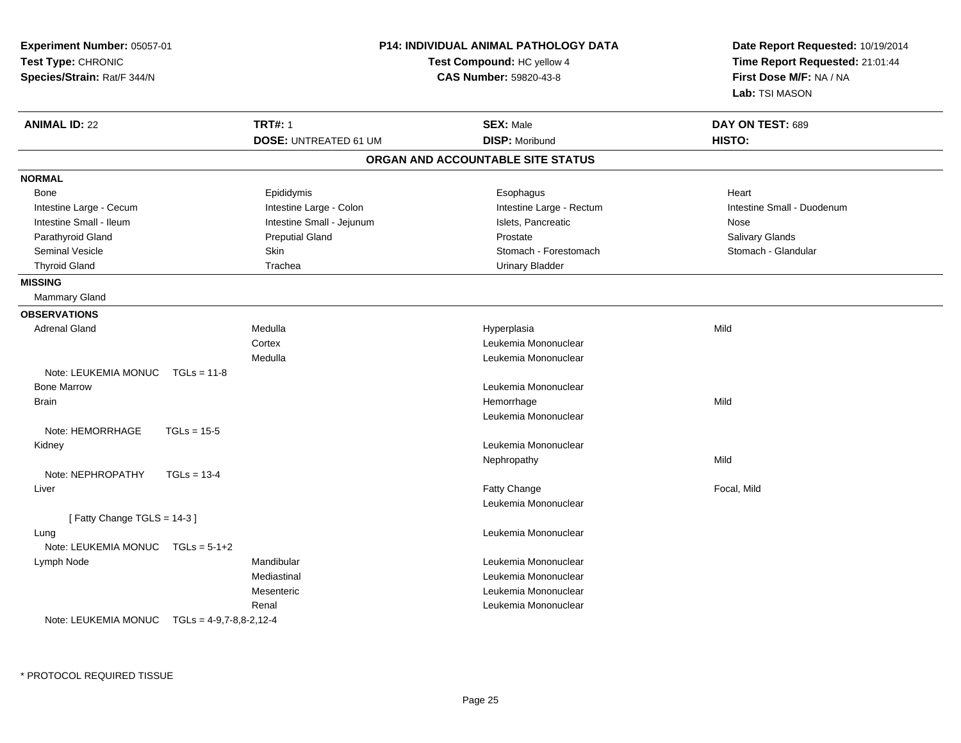| Experiment Number: 05057-01<br>Test Type: CHRONIC<br>Species/Strain: Rat/F 344/N |                              | P14: INDIVIDUAL ANIMAL PATHOLOGY DATA<br>Test Compound: HC yellow 4<br><b>CAS Number: 59820-43-8</b> | Date Report Requested: 10/19/2014<br>Time Report Requested: 21:01:44<br>First Dose M/F: NA / NA<br>Lab: TSI MASON |
|----------------------------------------------------------------------------------|------------------------------|------------------------------------------------------------------------------------------------------|-------------------------------------------------------------------------------------------------------------------|
| <b>ANIMAL ID: 22</b>                                                             | <b>TRT#: 1</b>               | <b>SEX: Male</b>                                                                                     | DAY ON TEST: 689                                                                                                  |
|                                                                                  | <b>DOSE: UNTREATED 61 UM</b> | <b>DISP: Moribund</b>                                                                                | HISTO:                                                                                                            |
|                                                                                  |                              | ORGAN AND ACCOUNTABLE SITE STATUS                                                                    |                                                                                                                   |
| <b>NORMAL</b>                                                                    |                              |                                                                                                      |                                                                                                                   |
| Bone                                                                             | Epididymis                   | Esophagus                                                                                            | Heart                                                                                                             |
| Intestine Large - Cecum                                                          | Intestine Large - Colon      | Intestine Large - Rectum                                                                             | Intestine Small - Duodenum                                                                                        |
| Intestine Small - Ileum                                                          | Intestine Small - Jejunum    | Islets, Pancreatic                                                                                   | Nose                                                                                                              |
| Parathyroid Gland                                                                | <b>Preputial Gland</b>       | Prostate                                                                                             | Salivary Glands                                                                                                   |
| <b>Seminal Vesicle</b>                                                           | <b>Skin</b>                  | Stomach - Forestomach                                                                                | Stomach - Glandular                                                                                               |
| <b>Thyroid Gland</b>                                                             | Trachea                      | <b>Urinary Bladder</b>                                                                               |                                                                                                                   |
| <b>MISSING</b>                                                                   |                              |                                                                                                      |                                                                                                                   |
| <b>Mammary Gland</b>                                                             |                              |                                                                                                      |                                                                                                                   |
| <b>OBSERVATIONS</b>                                                              |                              |                                                                                                      |                                                                                                                   |
| <b>Adrenal Gland</b>                                                             | Medulla                      | Hyperplasia                                                                                          | Mild                                                                                                              |
|                                                                                  | Cortex                       | Leukemia Mononuclear                                                                                 |                                                                                                                   |
|                                                                                  | Medulla                      | Leukemia Mononuclear                                                                                 |                                                                                                                   |
| Note: LEUKEMIA MONUC<br>$TGLs = 11-8$                                            |                              |                                                                                                      |                                                                                                                   |
| <b>Bone Marrow</b>                                                               |                              | Leukemia Mononuclear                                                                                 |                                                                                                                   |
| Brain                                                                            |                              | Hemorrhage                                                                                           | Mild                                                                                                              |
|                                                                                  |                              | Leukemia Mononuclear                                                                                 |                                                                                                                   |
| Note: HEMORRHAGE<br>$TGLs = 15-5$                                                |                              |                                                                                                      |                                                                                                                   |
| Kidney                                                                           |                              | Leukemia Mononuclear                                                                                 |                                                                                                                   |
|                                                                                  |                              | Nephropathy                                                                                          | Mild                                                                                                              |
| Note: NEPHROPATHY<br>$TGLs = 13-4$                                               |                              |                                                                                                      |                                                                                                                   |
| Liver                                                                            |                              | Fatty Change                                                                                         | Focal, Mild                                                                                                       |
|                                                                                  |                              | Leukemia Mononuclear                                                                                 |                                                                                                                   |
| [Fatty Change TGLS = 14-3]                                                       |                              |                                                                                                      |                                                                                                                   |
| Lung                                                                             |                              | Leukemia Mononuclear                                                                                 |                                                                                                                   |
| Note: LEUKEMIA MONUC TGLs = 5-1+2                                                |                              |                                                                                                      |                                                                                                                   |
| Lymph Node                                                                       | Mandibular                   | Leukemia Mononuclear                                                                                 |                                                                                                                   |
|                                                                                  | Mediastinal                  | Leukemia Mononuclear                                                                                 |                                                                                                                   |
|                                                                                  | Mesenteric                   | Leukemia Mononuclear                                                                                 |                                                                                                                   |
|                                                                                  | Renal                        | Leukemia Mononuclear                                                                                 |                                                                                                                   |
| Note: LEUKEMIA MONUC $TGLs = 4-9.7-8.8-2.12-4$                                   |                              |                                                                                                      |                                                                                                                   |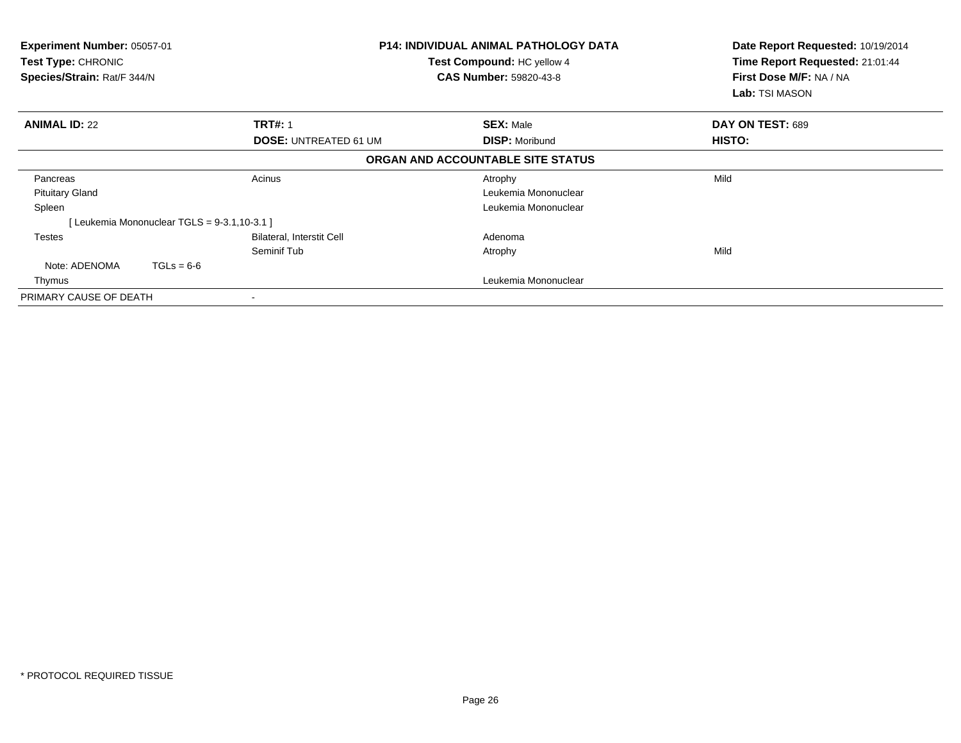| <b>Experiment Number: 05057-01</b><br>Test Type: CHRONIC<br>Species/Strain: Rat/F 344/N |                                            |                              | <b>P14: INDIVIDUAL ANIMAL PATHOLOGY DATA</b><br><b>Test Compound: HC yellow 4</b><br><b>CAS Number: 59820-43-8</b> | Date Report Requested: 10/19/2014<br>Time Report Requested: 21:01:44<br>First Dose M/F: NA / NA<br>Lab: TSI MASON |
|-----------------------------------------------------------------------------------------|--------------------------------------------|------------------------------|--------------------------------------------------------------------------------------------------------------------|-------------------------------------------------------------------------------------------------------------------|
| <b>ANIMAL ID: 22</b>                                                                    |                                            | <b>TRT#: 1</b>               | <b>SEX: Male</b>                                                                                                   | DAY ON TEST: 689                                                                                                  |
|                                                                                         |                                            | <b>DOSE: UNTREATED 61 UM</b> | <b>DISP: Moribund</b>                                                                                              | HISTO:                                                                                                            |
|                                                                                         |                                            |                              | ORGAN AND ACCOUNTABLE SITE STATUS                                                                                  |                                                                                                                   |
| Pancreas                                                                                |                                            | Acinus                       | Atrophy                                                                                                            | Mild                                                                                                              |
| <b>Pituitary Gland</b>                                                                  |                                            |                              | Leukemia Mononuclear                                                                                               |                                                                                                                   |
| Spleen                                                                                  |                                            |                              | Leukemia Mononuclear                                                                                               |                                                                                                                   |
|                                                                                         | [Leukemia Mononuclear TGLS = 9-3.1,10-3.1] |                              |                                                                                                                    |                                                                                                                   |
| Testes                                                                                  |                                            | Bilateral, Interstit Cell    | Adenoma                                                                                                            |                                                                                                                   |
|                                                                                         |                                            | Seminif Tub                  | Atrophy                                                                                                            | Mild                                                                                                              |
| Note: ADENOMA                                                                           | $TGLs = 6-6$                               |                              |                                                                                                                    |                                                                                                                   |
| Thymus                                                                                  |                                            |                              | Leukemia Mononuclear                                                                                               |                                                                                                                   |
| PRIMARY CAUSE OF DEATH                                                                  |                                            |                              |                                                                                                                    |                                                                                                                   |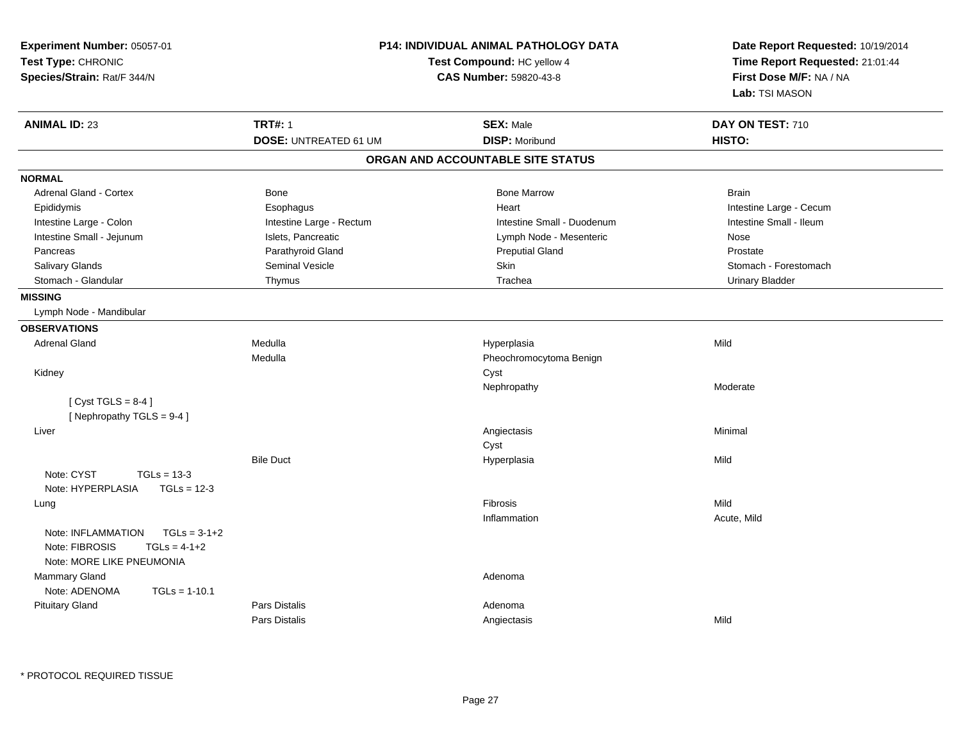| Experiment Number: 05057-01<br>Test Type: CHRONIC<br>Species/Strain: Rat/F 344/N | <b>P14: INDIVIDUAL ANIMAL PATHOLOGY DATA</b><br>Test Compound: HC yellow 4<br><b>CAS Number: 59820-43-8</b> |                                                   | Date Report Requested: 10/19/2014<br>Time Report Requested: 21:01:44<br>First Dose M/F: NA / NA<br>Lab: TSI MASON |
|----------------------------------------------------------------------------------|-------------------------------------------------------------------------------------------------------------|---------------------------------------------------|-------------------------------------------------------------------------------------------------------------------|
| <b>ANIMAL ID: 23</b>                                                             | <b>TRT#: 1</b><br><b>DOSE: UNTREATED 61 UM</b>                                                              | <b>SEX: Male</b><br><b>DISP: Moribund</b>         | DAY ON TEST: 710<br>HISTO:                                                                                        |
|                                                                                  |                                                                                                             | ORGAN AND ACCOUNTABLE SITE STATUS                 |                                                                                                                   |
|                                                                                  |                                                                                                             |                                                   |                                                                                                                   |
| <b>NORMAL</b>                                                                    |                                                                                                             |                                                   |                                                                                                                   |
| <b>Adrenal Gland - Cortex</b>                                                    | <b>Bone</b>                                                                                                 | <b>Bone Marrow</b>                                | <b>Brain</b>                                                                                                      |
| Epididymis                                                                       | Esophagus                                                                                                   | Heart                                             | Intestine Large - Cecum                                                                                           |
| Intestine Large - Colon                                                          | Intestine Large - Rectum                                                                                    | Intestine Small - Duodenum                        | Intestine Small - Ileum                                                                                           |
| Intestine Small - Jejunum                                                        | Islets, Pancreatic                                                                                          | Lymph Node - Mesenteric<br><b>Preputial Gland</b> | Nose                                                                                                              |
| Pancreas                                                                         | Parathyroid Gland                                                                                           | Skin                                              | Prostate                                                                                                          |
| <b>Salivary Glands</b><br>Stomach - Glandular                                    | <b>Seminal Vesicle</b>                                                                                      | Trachea                                           | Stomach - Forestomach                                                                                             |
|                                                                                  | Thymus                                                                                                      |                                                   | <b>Urinary Bladder</b>                                                                                            |
| <b>MISSING</b>                                                                   |                                                                                                             |                                                   |                                                                                                                   |
| Lymph Node - Mandibular                                                          |                                                                                                             |                                                   |                                                                                                                   |
| <b>OBSERVATIONS</b>                                                              |                                                                                                             |                                                   |                                                                                                                   |
| <b>Adrenal Gland</b>                                                             | Medulla                                                                                                     | Hyperplasia                                       | Mild                                                                                                              |
|                                                                                  | Medulla                                                                                                     | Pheochromocytoma Benign                           |                                                                                                                   |
| Kidney                                                                           |                                                                                                             | Cyst                                              |                                                                                                                   |
|                                                                                  |                                                                                                             | Nephropathy                                       | Moderate                                                                                                          |
| [Cyst TGLS = $8-4$ ]                                                             |                                                                                                             |                                                   |                                                                                                                   |
| [Nephropathy TGLS = 9-4]                                                         |                                                                                                             |                                                   |                                                                                                                   |
| Liver                                                                            |                                                                                                             | Angiectasis                                       | Minimal                                                                                                           |
|                                                                                  |                                                                                                             | Cyst                                              |                                                                                                                   |
|                                                                                  | <b>Bile Duct</b>                                                                                            | Hyperplasia                                       | Mild                                                                                                              |
| Note: CYST<br>$TGLs = 13-3$                                                      |                                                                                                             |                                                   |                                                                                                                   |
| Note: HYPERPLASIA<br>$TGLs = 12-3$                                               |                                                                                                             |                                                   |                                                                                                                   |
| Lung                                                                             |                                                                                                             | Fibrosis                                          | Mild                                                                                                              |
|                                                                                  |                                                                                                             | Inflammation                                      | Acute, Mild                                                                                                       |
| $TGLs = 3-1+2$<br>Note: INFLAMMATION                                             |                                                                                                             |                                                   |                                                                                                                   |
| Note: FIBROSIS<br>$TGLs = 4-1+2$                                                 |                                                                                                             |                                                   |                                                                                                                   |
| Note: MORE LIKE PNEUMONIA                                                        |                                                                                                             |                                                   |                                                                                                                   |
| <b>Mammary Gland</b>                                                             |                                                                                                             | Adenoma                                           |                                                                                                                   |
| Note: ADENOMA<br>$TGLs = 1-10.1$                                                 |                                                                                                             |                                                   |                                                                                                                   |
| <b>Pituitary Gland</b>                                                           | Pars Distalis                                                                                               | Adenoma                                           |                                                                                                                   |
|                                                                                  | Pars Distalis                                                                                               | Angiectasis                                       | Mild                                                                                                              |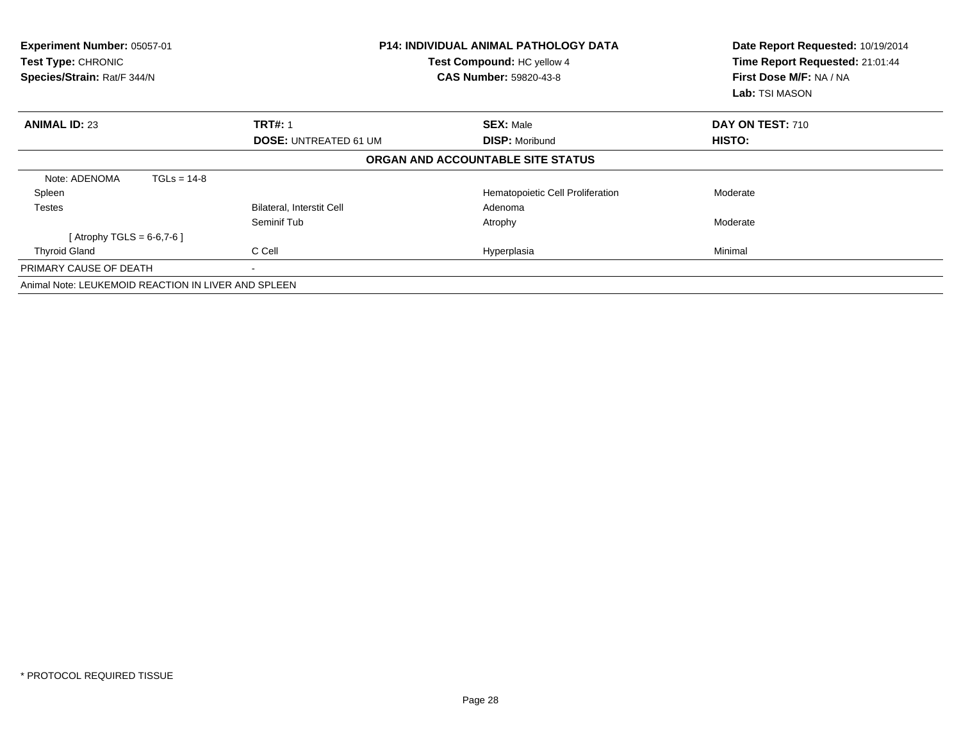| Experiment Number: 05057-01<br><b>Test Type: CHRONIC</b><br>Species/Strain: Rat/F 344/N | <b>P14: INDIVIDUAL ANIMAL PATHOLOGY DATA</b><br>Test Compound: HC yellow 4<br><b>CAS Number: 59820-43-8</b> |                                   | Date Report Requested: 10/19/2014<br>Time Report Requested: 21:01:44<br>First Dose M/F: NA / NA<br>Lab: TSI MASON |
|-----------------------------------------------------------------------------------------|-------------------------------------------------------------------------------------------------------------|-----------------------------------|-------------------------------------------------------------------------------------------------------------------|
| <b>ANIMAL ID: 23</b>                                                                    | <b>TRT#: 1</b>                                                                                              | <b>SEX: Male</b>                  | DAY ON TEST: 710                                                                                                  |
|                                                                                         | <b>DOSE: UNTREATED 61 UM</b>                                                                                | <b>DISP: Moribund</b>             | HISTO:                                                                                                            |
|                                                                                         |                                                                                                             | ORGAN AND ACCOUNTABLE SITE STATUS |                                                                                                                   |
| Note: ADENOMA<br>$TGLs = 14-8$                                                          |                                                                                                             |                                   |                                                                                                                   |
| Spleen                                                                                  |                                                                                                             | Hematopoietic Cell Proliferation  | Moderate                                                                                                          |
| <b>Testes</b>                                                                           | Bilateral, Interstit Cell                                                                                   | Adenoma                           |                                                                                                                   |
|                                                                                         | Seminif Tub                                                                                                 | Atrophy                           | Moderate                                                                                                          |
| [Atrophy TGLS = $6-6,7-6$ ]                                                             |                                                                                                             |                                   |                                                                                                                   |
| <b>Thyroid Gland</b>                                                                    | C Cell                                                                                                      | Hyperplasia                       | Minimal                                                                                                           |
| PRIMARY CAUSE OF DEATH                                                                  |                                                                                                             |                                   |                                                                                                                   |
| Animal Note: LEUKEMOID REACTION IN LIVER AND SPLEEN                                     |                                                                                                             |                                   |                                                                                                                   |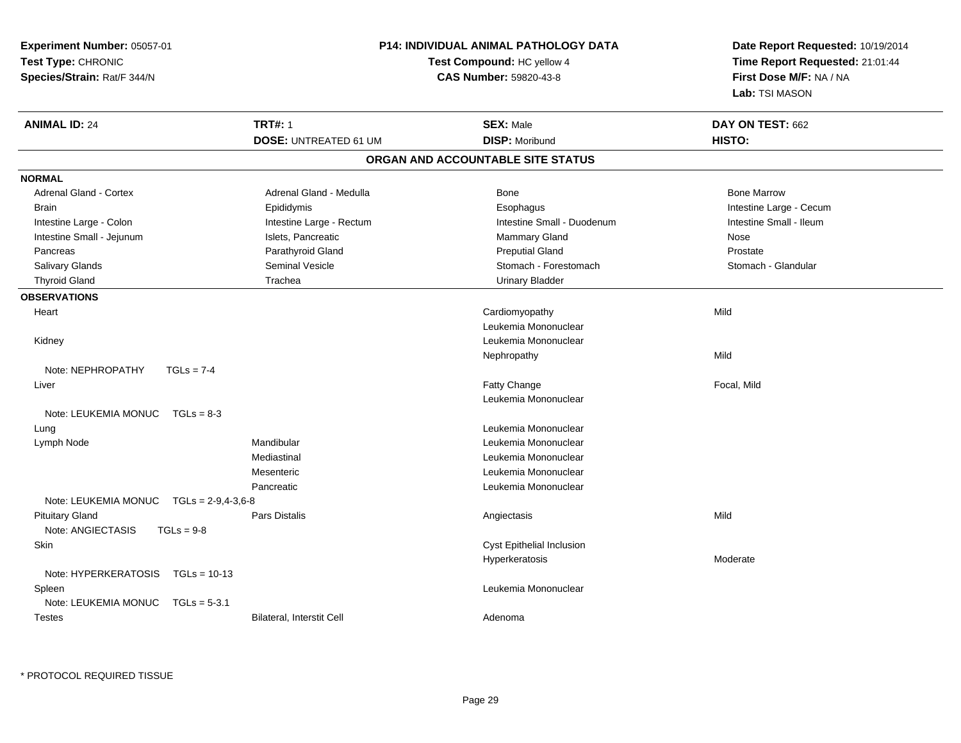| <b>Experiment Number: 05057-01</b><br>Test Type: CHRONIC<br>Species/Strain: Rat/F 344/N |                        | P14: INDIVIDUAL ANIMAL PATHOLOGY DATA<br>Test Compound: HC yellow 4<br>CAS Number: 59820-43-8 |  | Date Report Requested: 10/19/2014<br>Time Report Requested: 21:01:44<br>First Dose M/F: NA / NA<br>Lab: TSI MASON |                         |
|-----------------------------------------------------------------------------------------|------------------------|-----------------------------------------------------------------------------------------------|--|-------------------------------------------------------------------------------------------------------------------|-------------------------|
| <b>ANIMAL ID: 24</b>                                                                    |                        | <b>TRT#: 1</b>                                                                                |  | <b>SEX: Male</b>                                                                                                  | DAY ON TEST: 662        |
|                                                                                         |                        | <b>DOSE: UNTREATED 61 UM</b>                                                                  |  | <b>DISP: Moribund</b>                                                                                             | HISTO:                  |
|                                                                                         |                        |                                                                                               |  | ORGAN AND ACCOUNTABLE SITE STATUS                                                                                 |                         |
| <b>NORMAL</b>                                                                           |                        |                                                                                               |  |                                                                                                                   |                         |
| <b>Adrenal Gland - Cortex</b>                                                           |                        | Adrenal Gland - Medulla                                                                       |  | Bone                                                                                                              | <b>Bone Marrow</b>      |
| <b>Brain</b>                                                                            |                        | Epididymis                                                                                    |  | Esophagus                                                                                                         | Intestine Large - Cecum |
| Intestine Large - Colon                                                                 |                        | Intestine Large - Rectum                                                                      |  | Intestine Small - Duodenum                                                                                        | Intestine Small - Ileum |
| Intestine Small - Jejunum                                                               |                        | Islets, Pancreatic                                                                            |  | Mammary Gland                                                                                                     | Nose                    |
| Pancreas                                                                                |                        | Parathyroid Gland                                                                             |  | <b>Preputial Gland</b>                                                                                            | Prostate                |
| Salivary Glands                                                                         |                        | Seminal Vesicle                                                                               |  | Stomach - Forestomach                                                                                             | Stomach - Glandular     |
| <b>Thyroid Gland</b>                                                                    |                        | Trachea                                                                                       |  | <b>Urinary Bladder</b>                                                                                            |                         |
| <b>OBSERVATIONS</b>                                                                     |                        |                                                                                               |  |                                                                                                                   |                         |
| Heart                                                                                   |                        |                                                                                               |  | Cardiomyopathy                                                                                                    | Mild                    |
|                                                                                         |                        |                                                                                               |  | Leukemia Mononuclear                                                                                              |                         |
| Kidney                                                                                  |                        |                                                                                               |  | Leukemia Mononuclear                                                                                              |                         |
|                                                                                         |                        |                                                                                               |  | Nephropathy                                                                                                       | Mild                    |
| Note: NEPHROPATHY                                                                       | $TGLs = 7-4$           |                                                                                               |  |                                                                                                                   |                         |
| Liver                                                                                   |                        |                                                                                               |  | Fatty Change                                                                                                      | Focal, Mild             |
|                                                                                         |                        |                                                                                               |  | Leukemia Mononuclear                                                                                              |                         |
| Note: LEUKEMIA MONUC TGLs = 8-3                                                         |                        |                                                                                               |  |                                                                                                                   |                         |
| Lung                                                                                    |                        |                                                                                               |  | Leukemia Mononuclear                                                                                              |                         |
| Lymph Node                                                                              |                        | Mandibular                                                                                    |  | Leukemia Mononuclear                                                                                              |                         |
|                                                                                         |                        | Mediastinal                                                                                   |  | Leukemia Mononuclear                                                                                              |                         |
|                                                                                         |                        | Mesenteric                                                                                    |  | Leukemia Mononuclear                                                                                              |                         |
|                                                                                         |                        | Pancreatic                                                                                    |  | Leukemia Mononuclear                                                                                              |                         |
| Note: LEUKEMIA MONUC                                                                    | $TGLs = 2-9, 4-3, 6-8$ |                                                                                               |  |                                                                                                                   |                         |
| <b>Pituitary Gland</b>                                                                  |                        | <b>Pars Distalis</b>                                                                          |  | Angiectasis                                                                                                       | Mild                    |
| Note: ANGIECTASIS                                                                       | $TGLs = 9-8$           |                                                                                               |  |                                                                                                                   |                         |
| Skin                                                                                    |                        |                                                                                               |  | Cyst Epithelial Inclusion                                                                                         |                         |
|                                                                                         |                        |                                                                                               |  | Hyperkeratosis                                                                                                    | Moderate                |
| Note: HYPERKERATOSIS                                                                    | $TGLs = 10-13$         |                                                                                               |  |                                                                                                                   |                         |
| Spleen                                                                                  |                        |                                                                                               |  | Leukemia Mononuclear                                                                                              |                         |
| Note: LEUKEMIA MONUC                                                                    | $TGLs = 5-3.1$         |                                                                                               |  |                                                                                                                   |                         |
| <b>Testes</b>                                                                           |                        | Bilateral, Interstit Cell                                                                     |  | Adenoma                                                                                                           |                         |

\* PROTOCOL REQUIRED TISSUE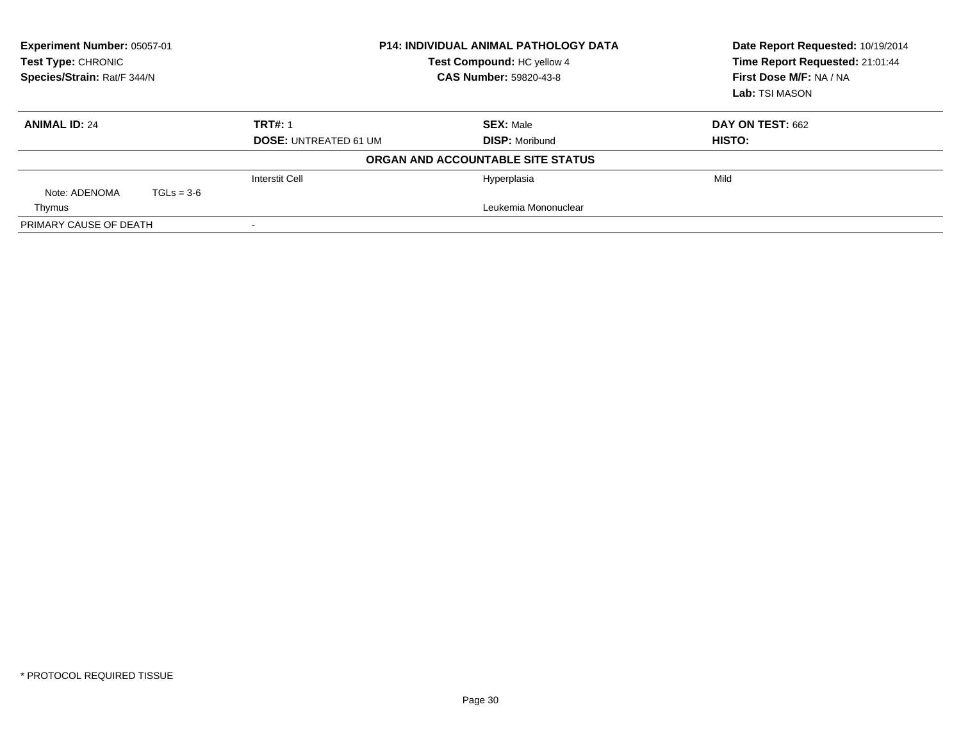| Experiment Number: 05057-01<br>Test Type: CHRONIC<br>Species/Strain: Rat/F 344/N |              | <b>P14: INDIVIDUAL ANIMAL PATHOLOGY DATA</b><br>Test Compound: HC yellow 4<br><b>CAS Number: 59820-43-8</b> | Date Report Requested: 10/19/2014<br>Time Report Requested: 21:01:44<br>First Dose M/F: NA / NA<br>Lab: TSI MASON |                  |
|----------------------------------------------------------------------------------|--------------|-------------------------------------------------------------------------------------------------------------|-------------------------------------------------------------------------------------------------------------------|------------------|
| <b>ANIMAL ID: 24</b>                                                             |              | <b>TRT#: 1</b>                                                                                              | <b>SEX: Male</b>                                                                                                  | DAY ON TEST: 662 |
|                                                                                  |              | <b>DOSE: UNTREATED 61 UM</b>                                                                                | <b>DISP: Moribund</b>                                                                                             | HISTO:           |
|                                                                                  |              |                                                                                                             | ORGAN AND ACCOUNTABLE SITE STATUS                                                                                 |                  |
|                                                                                  |              | <b>Interstit Cell</b>                                                                                       | Hyperplasia                                                                                                       | Mild             |
| Note: ADENOMA                                                                    | $TGLs = 3-6$ |                                                                                                             |                                                                                                                   |                  |
| Thymus                                                                           |              |                                                                                                             | Leukemia Mononuclear                                                                                              |                  |
| PRIMARY CAUSE OF DEATH                                                           |              |                                                                                                             |                                                                                                                   |                  |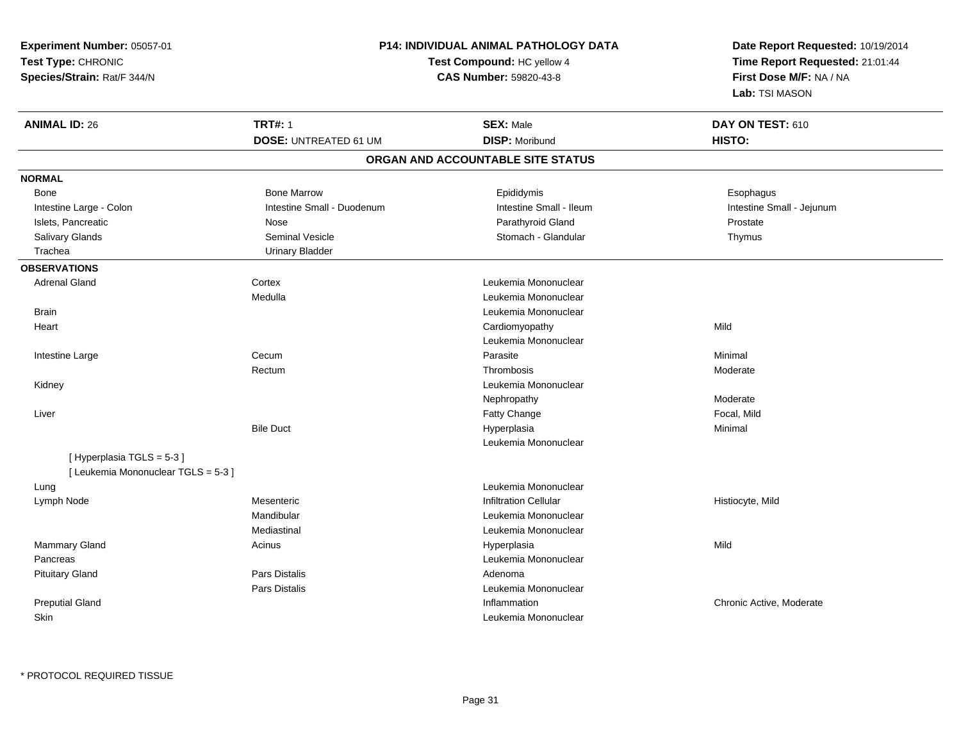| Experiment Number: 05057-01         |                              | <b>P14: INDIVIDUAL ANIMAL PATHOLOGY DATA</b> |                                                                      |  |
|-------------------------------------|------------------------------|----------------------------------------------|----------------------------------------------------------------------|--|
| Test Type: CHRONIC                  |                              | Test Compound: HC yellow 4                   | Date Report Requested: 10/19/2014<br>Time Report Requested: 21:01:44 |  |
| Species/Strain: Rat/F 344/N         |                              | CAS Number: 59820-43-8                       |                                                                      |  |
|                                     |                              |                                              | First Dose M/F: NA / NA<br>Lab: TSI MASON                            |  |
| <b>ANIMAL ID: 26</b>                | <b>TRT#: 1</b>               | <b>SEX: Male</b>                             | DAY ON TEST: 610                                                     |  |
|                                     | <b>DOSE: UNTREATED 61 UM</b> | <b>DISP: Moribund</b>                        | HISTO:                                                               |  |
|                                     |                              | ORGAN AND ACCOUNTABLE SITE STATUS            |                                                                      |  |
| <b>NORMAL</b>                       |                              |                                              |                                                                      |  |
| <b>Bone</b>                         | <b>Bone Marrow</b>           | Epididymis                                   | Esophagus                                                            |  |
| Intestine Large - Colon             | Intestine Small - Duodenum   | Intestine Small - Ileum                      | Intestine Small - Jejunum                                            |  |
| Islets, Pancreatic                  | Nose                         | Parathyroid Gland                            | Prostate                                                             |  |
| Salivary Glands                     | Seminal Vesicle              | Stomach - Glandular                          | Thymus                                                               |  |
| Trachea                             | <b>Urinary Bladder</b>       |                                              |                                                                      |  |
| <b>OBSERVATIONS</b>                 |                              |                                              |                                                                      |  |
| <b>Adrenal Gland</b>                | Cortex                       | Leukemia Mononuclear                         |                                                                      |  |
|                                     | Medulla                      | Leukemia Mononuclear                         |                                                                      |  |
| <b>Brain</b>                        |                              | Leukemia Mononuclear                         |                                                                      |  |
| Heart                               |                              | Cardiomyopathy                               | Mild                                                                 |  |
|                                     |                              | Leukemia Mononuclear                         |                                                                      |  |
| Intestine Large                     | Cecum                        | Parasite                                     | Minimal                                                              |  |
|                                     | Rectum                       | Thrombosis                                   | Moderate                                                             |  |
| Kidney                              |                              | Leukemia Mononuclear                         |                                                                      |  |
|                                     |                              | Nephropathy                                  | Moderate                                                             |  |
| Liver                               |                              | Fatty Change                                 | Focal, Mild                                                          |  |
|                                     | <b>Bile Duct</b>             | Hyperplasia                                  | Minimal                                                              |  |
|                                     |                              | Leukemia Mononuclear                         |                                                                      |  |
| [Hyperplasia TGLS = 5-3]            |                              |                                              |                                                                      |  |
| [ Leukemia Mononuclear TGLS = 5-3 ] |                              |                                              |                                                                      |  |
| Lung                                |                              | Leukemia Mononuclear                         |                                                                      |  |
| Lymph Node                          | Mesenteric                   | <b>Infiltration Cellular</b>                 | Histiocyte, Mild                                                     |  |
|                                     | Mandibular                   | Leukemia Mononuclear                         |                                                                      |  |
|                                     | Mediastinal                  | Leukemia Mononuclear                         |                                                                      |  |
| <b>Mammary Gland</b>                | Acinus                       | Hyperplasia                                  | Mild                                                                 |  |
| Pancreas                            |                              | Leukemia Mononuclear                         |                                                                      |  |
| <b>Pituitary Gland</b>              | <b>Pars Distalis</b>         | Adenoma                                      |                                                                      |  |
|                                     | Pars Distalis                | Leukemia Mononuclear                         |                                                                      |  |
| <b>Preputial Gland</b>              |                              | Inflammation                                 | Chronic Active, Moderate                                             |  |
| Skin                                |                              | Leukemia Mononuclear                         |                                                                      |  |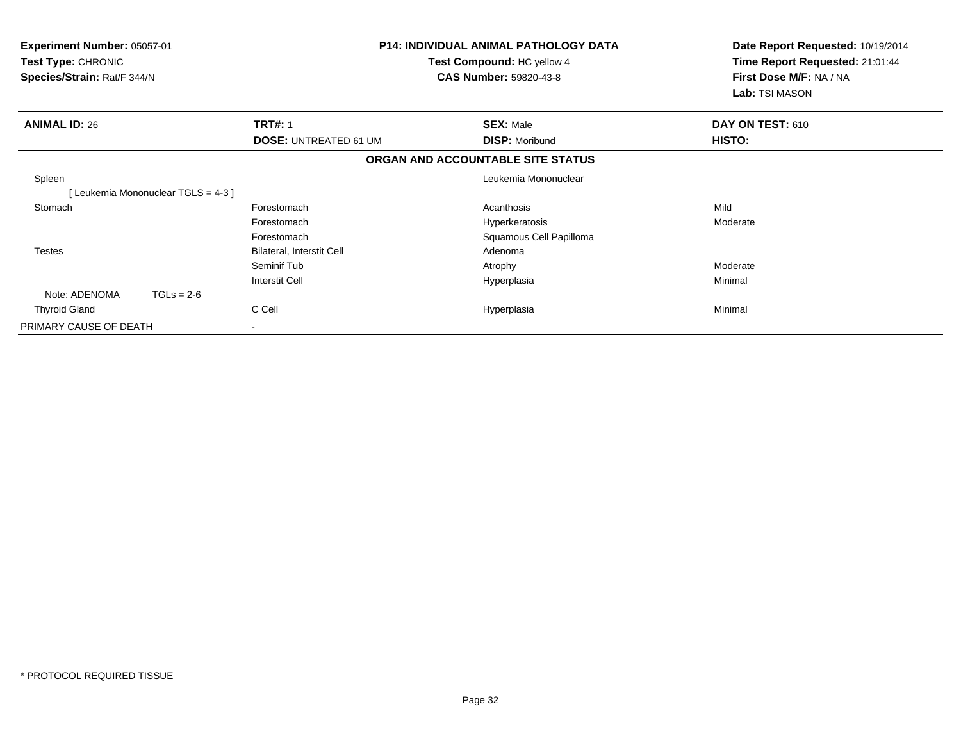| <b>Experiment Number: 05057-01</b><br>Test Type: CHRONIC<br>Species/Strain: Rat/F 344/N | <b>P14: INDIVIDUAL ANIMAL PATHOLOGY DATA</b><br>Test Compound: HC yellow 4<br><b>CAS Number: 59820-43-8</b> |                                   | Date Report Requested: 10/19/2014<br>Time Report Requested: 21:01:44<br>First Dose M/F: NA / NA<br>Lab: TSI MASON |  |
|-----------------------------------------------------------------------------------------|-------------------------------------------------------------------------------------------------------------|-----------------------------------|-------------------------------------------------------------------------------------------------------------------|--|
| <b>ANIMAL ID: 26</b>                                                                    | <b>TRT#: 1</b>                                                                                              | <b>SEX: Male</b>                  | DAY ON TEST: 610                                                                                                  |  |
|                                                                                         | <b>DOSE: UNTREATED 61 UM</b>                                                                                | <b>DISP: Moribund</b>             | <b>HISTO:</b>                                                                                                     |  |
|                                                                                         |                                                                                                             | ORGAN AND ACCOUNTABLE SITE STATUS |                                                                                                                   |  |
| Spleen                                                                                  |                                                                                                             | Leukemia Mononuclear              |                                                                                                                   |  |
| [Leukemia Mononuclear TGLS = 4-3]                                                       |                                                                                                             |                                   |                                                                                                                   |  |
| Stomach                                                                                 | Forestomach                                                                                                 | Acanthosis                        | Mild                                                                                                              |  |
|                                                                                         | Forestomach                                                                                                 | Hyperkeratosis                    | Moderate                                                                                                          |  |
|                                                                                         | Forestomach                                                                                                 | Squamous Cell Papilloma           |                                                                                                                   |  |
| <b>Testes</b>                                                                           | Bilateral, Interstit Cell                                                                                   | Adenoma                           |                                                                                                                   |  |
|                                                                                         | Seminif Tub                                                                                                 | Atrophy                           | Moderate                                                                                                          |  |
|                                                                                         | <b>Interstit Cell</b>                                                                                       | Hyperplasia                       | Minimal                                                                                                           |  |
| Note: ADENOMA<br>$TGLs = 2-6$                                                           |                                                                                                             |                                   |                                                                                                                   |  |
| <b>Thyroid Gland</b>                                                                    | C Cell                                                                                                      | Hyperplasia                       | Minimal                                                                                                           |  |
| PRIMARY CAUSE OF DEATH                                                                  |                                                                                                             |                                   |                                                                                                                   |  |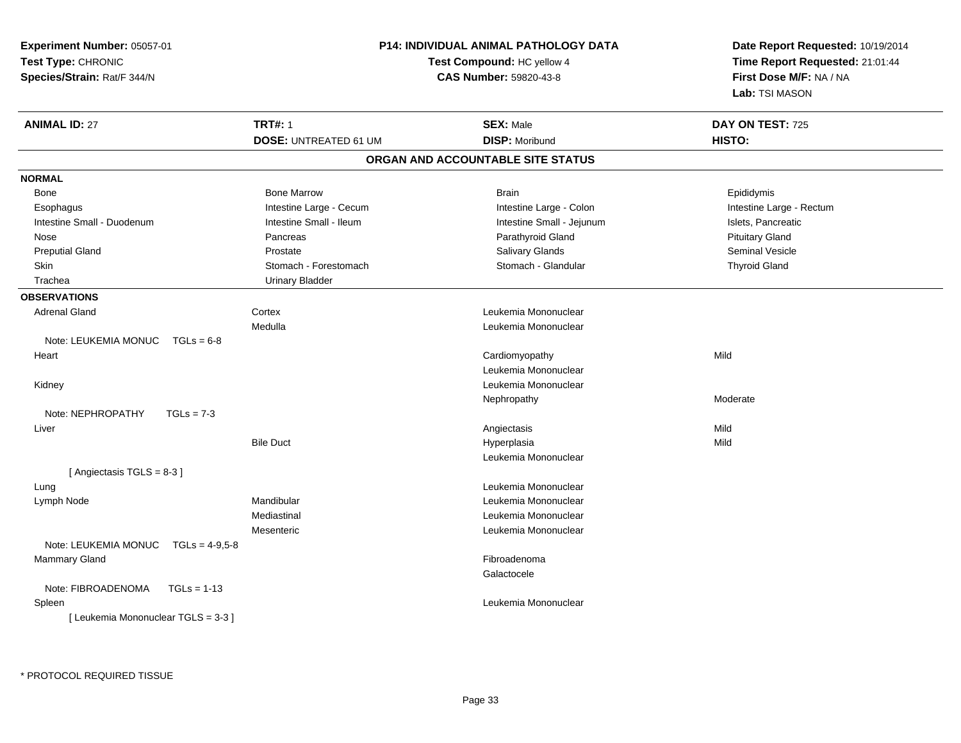| Experiment Number: 05057-01              |                              | <b>P14: INDIVIDUAL ANIMAL PATHOLOGY DATA</b> | Date Report Requested: 10/19/2014                          |  |
|------------------------------------------|------------------------------|----------------------------------------------|------------------------------------------------------------|--|
| Test Type: CHRONIC                       |                              | <b>Test Compound: HC yellow 4</b>            | Time Report Requested: 21:01:44<br>First Dose M/F: NA / NA |  |
| Species/Strain: Rat/F 344/N              |                              | CAS Number: 59820-43-8                       |                                                            |  |
|                                          |                              |                                              | Lab: TSI MASON                                             |  |
| <b>ANIMAL ID: 27</b>                     | <b>TRT#: 1</b>               | <b>SEX: Male</b>                             | DAY ON TEST: 725                                           |  |
|                                          | <b>DOSE: UNTREATED 61 UM</b> | <b>DISP: Moribund</b>                        | HISTO:                                                     |  |
|                                          |                              | ORGAN AND ACCOUNTABLE SITE STATUS            |                                                            |  |
| <b>NORMAL</b>                            |                              |                                              |                                                            |  |
| Bone                                     | <b>Bone Marrow</b>           | <b>Brain</b>                                 | Epididymis                                                 |  |
| Esophagus                                | Intestine Large - Cecum      | Intestine Large - Colon                      | Intestine Large - Rectum                                   |  |
| Intestine Small - Duodenum               | Intestine Small - Ileum      | Intestine Small - Jejunum                    | Islets, Pancreatic                                         |  |
| Nose                                     | Pancreas                     | Parathyroid Gland                            | <b>Pituitary Gland</b>                                     |  |
| <b>Preputial Gland</b>                   | Prostate                     | Salivary Glands                              | Seminal Vesicle                                            |  |
| Skin                                     | Stomach - Forestomach        | Stomach - Glandular                          | <b>Thyroid Gland</b>                                       |  |
| Trachea                                  | <b>Urinary Bladder</b>       |                                              |                                                            |  |
| <b>OBSERVATIONS</b>                      |                              |                                              |                                                            |  |
| <b>Adrenal Gland</b>                     | Cortex                       | Leukemia Mononuclear                         |                                                            |  |
|                                          | Medulla                      | Leukemia Mononuclear                         |                                                            |  |
| Note: LEUKEMIA MONUC<br>$TGLs = 6-8$     |                              |                                              |                                                            |  |
| Heart                                    |                              | Cardiomyopathy                               | Mild                                                       |  |
|                                          |                              | Leukemia Mononuclear                         |                                                            |  |
| Kidney                                   |                              | Leukemia Mononuclear                         |                                                            |  |
|                                          |                              | Nephropathy                                  | Moderate                                                   |  |
| Note: NEPHROPATHY<br>$TGLs = 7-3$        |                              |                                              |                                                            |  |
| Liver                                    |                              | Angiectasis                                  | Mild                                                       |  |
|                                          | <b>Bile Duct</b>             | Hyperplasia                                  | Mild                                                       |  |
|                                          |                              | Leukemia Mononuclear                         |                                                            |  |
| [Angiectasis TGLS = 8-3]                 |                              |                                              |                                                            |  |
| Lung                                     |                              | Leukemia Mononuclear                         |                                                            |  |
| Lymph Node                               | Mandibular                   | Leukemia Mononuclear                         |                                                            |  |
|                                          | Mediastinal                  | Leukemia Mononuclear                         |                                                            |  |
|                                          | Mesenteric                   | Leukemia Mononuclear                         |                                                            |  |
| Note: LEUKEMIA MONUC<br>$TGLs = 4-9.5-8$ |                              |                                              |                                                            |  |
| <b>Mammary Gland</b>                     |                              | Fibroadenoma                                 |                                                            |  |
|                                          |                              | Galactocele                                  |                                                            |  |
| $TGLs = 1-13$<br>Note: FIBROADENOMA      |                              |                                              |                                                            |  |
| Spleen                                   |                              | Leukemia Mononuclear                         |                                                            |  |
| [ Leukemia Mononuclear TGLS = 3-3 ]      |                              |                                              |                                                            |  |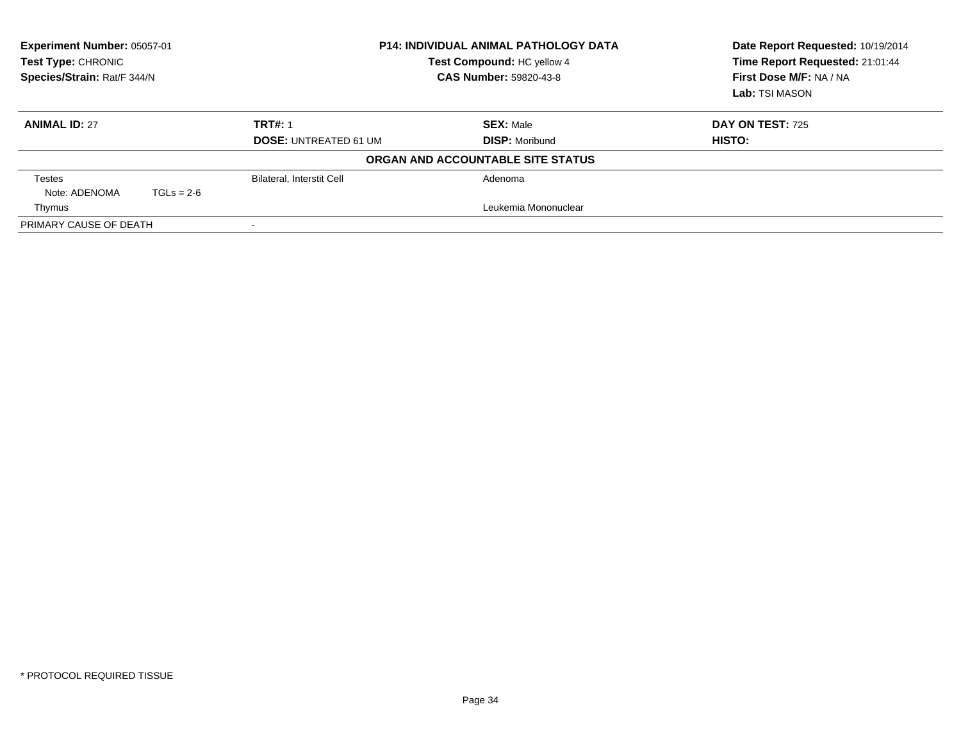| Experiment Number: 05057-01<br>Test Type: CHRONIC<br>Species/Strain: Rat/F 344/N |              |                                  | <b>P14: INDIVIDUAL ANIMAL PATHOLOGY DATA</b><br>Test Compound: HC yellow 4<br><b>CAS Number: 59820-43-8</b> | Date Report Requested: 10/19/2014<br>Time Report Requested: 21:01:44<br>First Dose M/F: NA / NA<br>Lab: TSI MASON |
|----------------------------------------------------------------------------------|--------------|----------------------------------|-------------------------------------------------------------------------------------------------------------|-------------------------------------------------------------------------------------------------------------------|
| <b>ANIMAL ID: 27</b>                                                             |              | <b>TRT#: 1</b>                   | <b>SEX: Male</b>                                                                                            | <b>DAY ON TEST: 725</b>                                                                                           |
|                                                                                  |              | <b>DOSE: UNTREATED 61 UM</b>     | <b>DISP: Moribund</b>                                                                                       | HISTO:                                                                                                            |
|                                                                                  |              |                                  | ORGAN AND ACCOUNTABLE SITE STATUS                                                                           |                                                                                                                   |
| Testes                                                                           |              | <b>Bilateral, Interstit Cell</b> | Adenoma                                                                                                     |                                                                                                                   |
| Note: ADENOMA                                                                    | $TGLs = 2-6$ |                                  |                                                                                                             |                                                                                                                   |
| Thymus                                                                           |              |                                  | Leukemia Mononuclear                                                                                        |                                                                                                                   |
| PRIMARY CAUSE OF DEATH                                                           |              |                                  |                                                                                                             |                                                                                                                   |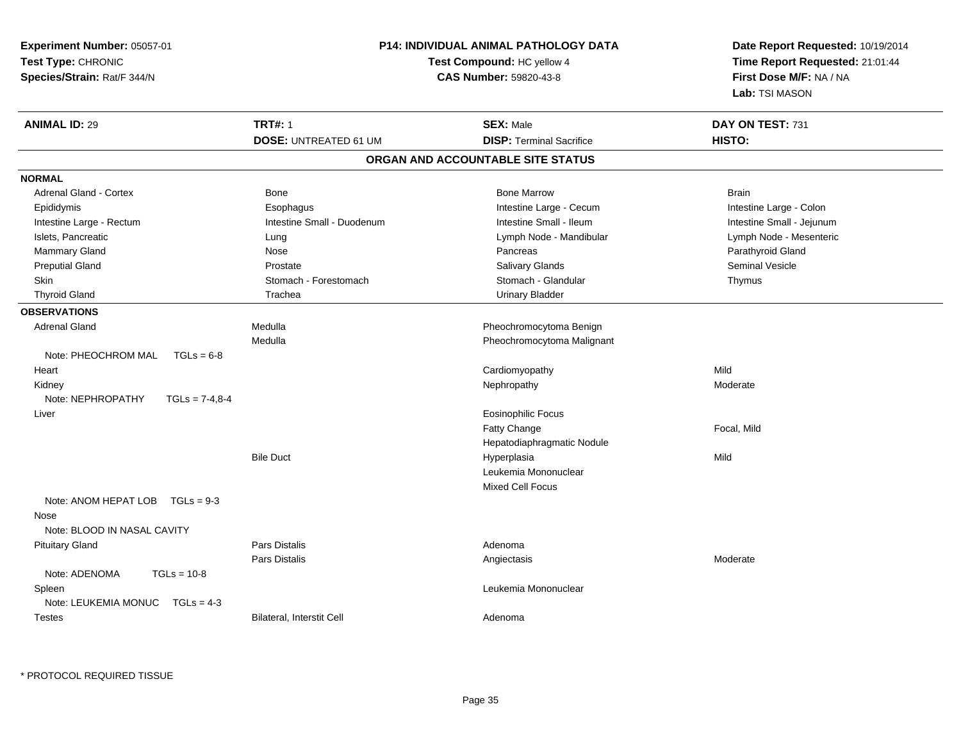| <b>TRT#: 1</b><br><b>ANIMAL ID: 29</b><br><b>SEX: Male</b><br>DAY ON TEST: 731                                 |
|----------------------------------------------------------------------------------------------------------------|
| <b>DOSE: UNTREATED 61 UM</b><br><b>DISP: Terminal Sacrifice</b><br>HISTO:                                      |
| ORGAN AND ACCOUNTABLE SITE STATUS                                                                              |
| <b>NORMAL</b>                                                                                                  |
| Adrenal Gland - Cortex<br><b>Bone Marrow</b><br><b>Brain</b><br>Bone                                           |
| Intestine Large - Cecum<br>Intestine Large - Colon<br>Epididymis<br>Esophagus                                  |
| Intestine Small - Duodenum<br>Intestine Small - Ileum<br>Intestine Small - Jejunum<br>Intestine Large - Rectum |
| Lymph Node - Mesenteric<br>Islets, Pancreatic<br>Lymph Node - Mandibular<br>Lung                               |
| Mammary Gland<br>Parathyroid Gland<br>Nose<br>Pancreas                                                         |
| <b>Preputial Gland</b><br>Salivary Glands<br>Seminal Vesicle<br>Prostate                                       |
| Stomach - Glandular<br>Stomach - Forestomach<br><b>Skin</b><br>Thymus                                          |
| <b>Thyroid Gland</b><br>Trachea<br><b>Urinary Bladder</b>                                                      |
| <b>OBSERVATIONS</b>                                                                                            |
| Medulla<br>Pheochromocytoma Benign<br><b>Adrenal Gland</b>                                                     |
| Medulla<br>Pheochromocytoma Malignant                                                                          |
| Note: PHEOCHROM MAL<br>$TGLs = 6-8$                                                                            |
| Cardiomyopathy<br>Mild<br>Heart                                                                                |
| Nephropathy<br>Moderate<br>Kidney                                                                              |
| Note: NEPHROPATHY<br>$TGLS = 7-4,8-4$                                                                          |
| Eosinophilic Focus<br>Liver                                                                                    |
| Fatty Change<br>Focal, Mild                                                                                    |
| Hepatodiaphragmatic Nodule                                                                                     |
| <b>Bile Duct</b><br>Mild<br>Hyperplasia                                                                        |
| Leukemia Mononuclear                                                                                           |
| Mixed Cell Focus                                                                                               |
| Note: ANOM HEPAT LOB $TGLs = 9-3$                                                                              |
| Nose                                                                                                           |
| Note: BLOOD IN NASAL CAVITY                                                                                    |
| <b>Pituitary Gland</b><br>Pars Distalis<br>Adenoma                                                             |
| Pars Distalis<br>Moderate<br>Angiectasis                                                                       |
| Note: ADENOMA<br>$TGLs = 10-8$                                                                                 |
| Leukemia Mononuclear<br>Spleen                                                                                 |
| Note: LEUKEMIA MONUC<br>$TGLs = 4-3$                                                                           |
| Bilateral, Interstit Cell<br><b>Testes</b><br>Adenoma                                                          |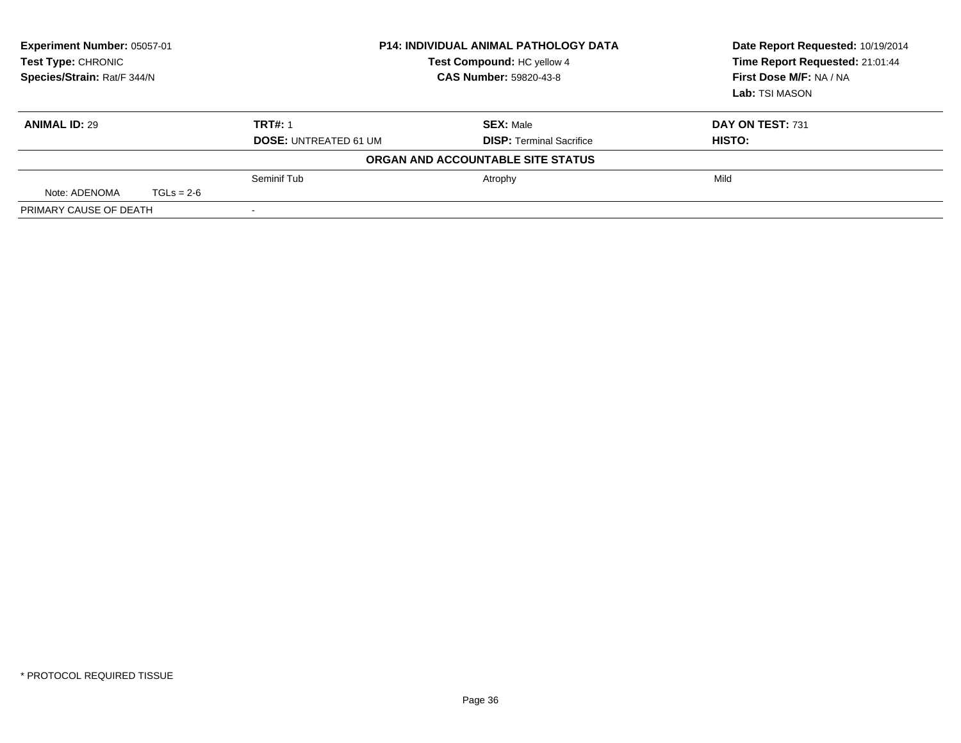| Experiment Number: 05057-01<br><b>Test Type: CHRONIC</b><br>Species/Strain: Rat/F 344/N |              |                              | <b>P14: INDIVIDUAL ANIMAL PATHOLOGY DATA</b><br>Test Compound: HC yellow 4<br><b>CAS Number: 59820-43-8</b> | Date Report Requested: 10/19/2014<br>Time Report Requested: 21:01:44<br>First Dose M/F: NA / NA<br><b>Lab:</b> TSI MASON |
|-----------------------------------------------------------------------------------------|--------------|------------------------------|-------------------------------------------------------------------------------------------------------------|--------------------------------------------------------------------------------------------------------------------------|
| <b>ANIMAL ID: 29</b>                                                                    |              | <b>TRT#: 1</b>               | <b>SEX: Male</b>                                                                                            | DAY ON TEST: 731                                                                                                         |
|                                                                                         |              | <b>DOSE: UNTREATED 61 UM</b> | <b>DISP: Terminal Sacrifice</b>                                                                             | HISTO:                                                                                                                   |
|                                                                                         |              |                              | ORGAN AND ACCOUNTABLE SITE STATUS                                                                           |                                                                                                                          |
|                                                                                         |              | Seminif Tub                  | Atrophy                                                                                                     | Mild                                                                                                                     |
| Note: ADENOMA                                                                           | $TGLs = 2-6$ |                              |                                                                                                             |                                                                                                                          |
| PRIMARY CAUSE OF DEATH                                                                  |              |                              |                                                                                                             |                                                                                                                          |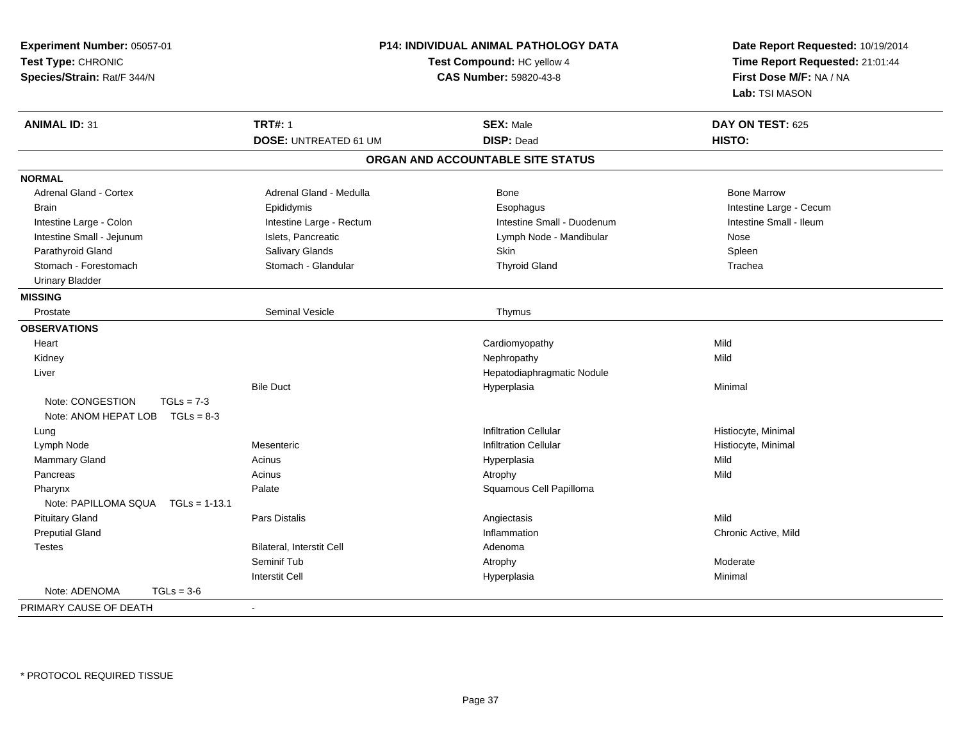| Experiment Number: 05057-01<br>Test Type: CHRONIC<br>Species/Strain: Rat/F 344/N |                              | <b>P14: INDIVIDUAL ANIMAL PATHOLOGY DATA</b><br>Test Compound: HC yellow 4<br><b>CAS Number: 59820-43-8</b> | Date Report Requested: 10/19/2014<br>Time Report Requested: 21:01:44<br>First Dose M/F: NA / NA<br>Lab: TSI MASON |
|----------------------------------------------------------------------------------|------------------------------|-------------------------------------------------------------------------------------------------------------|-------------------------------------------------------------------------------------------------------------------|
| <b>ANIMAL ID: 31</b>                                                             | <b>TRT#: 1</b>               | <b>SEX: Male</b>                                                                                            | DAY ON TEST: 625                                                                                                  |
|                                                                                  | <b>DOSE: UNTREATED 61 UM</b> | <b>DISP: Dead</b>                                                                                           | HISTO:                                                                                                            |
|                                                                                  |                              | ORGAN AND ACCOUNTABLE SITE STATUS                                                                           |                                                                                                                   |
| <b>NORMAL</b>                                                                    |                              |                                                                                                             |                                                                                                                   |
| <b>Adrenal Gland - Cortex</b>                                                    | Adrenal Gland - Medulla      | Bone                                                                                                        | <b>Bone Marrow</b>                                                                                                |
| <b>Brain</b>                                                                     | Epididymis                   | Esophagus                                                                                                   | Intestine Large - Cecum                                                                                           |
| Intestine Large - Colon                                                          | Intestine Large - Rectum     | Intestine Small - Duodenum                                                                                  | Intestine Small - Ileum                                                                                           |
| Intestine Small - Jejunum                                                        | Islets, Pancreatic           | Lymph Node - Mandibular                                                                                     | Nose                                                                                                              |
| Parathyroid Gland                                                                | Salivary Glands              | Skin                                                                                                        | Spleen                                                                                                            |
| Stomach - Forestomach                                                            | Stomach - Glandular          | <b>Thyroid Gland</b>                                                                                        | Trachea                                                                                                           |
| <b>Urinary Bladder</b>                                                           |                              |                                                                                                             |                                                                                                                   |
| <b>MISSING</b>                                                                   |                              |                                                                                                             |                                                                                                                   |
| Prostate                                                                         | Seminal Vesicle              | Thymus                                                                                                      |                                                                                                                   |
| <b>OBSERVATIONS</b>                                                              |                              |                                                                                                             |                                                                                                                   |
| Heart                                                                            |                              | Cardiomyopathy                                                                                              | Mild                                                                                                              |
| Kidney                                                                           |                              | Nephropathy                                                                                                 | Mild                                                                                                              |
| Liver                                                                            |                              | Hepatodiaphragmatic Nodule                                                                                  |                                                                                                                   |
|                                                                                  | <b>Bile Duct</b>             | Hyperplasia                                                                                                 | Minimal                                                                                                           |
| Note: CONGESTION<br>$TGLs = 7-3$<br>Note: ANOM HEPAT LOB<br>$TGLs = 8-3$         |                              |                                                                                                             |                                                                                                                   |
| Lung                                                                             |                              | <b>Infiltration Cellular</b>                                                                                | Histiocyte, Minimal                                                                                               |
| Lymph Node                                                                       | Mesenteric                   | <b>Infiltration Cellular</b>                                                                                | Histiocyte, Minimal                                                                                               |
| Mammary Gland                                                                    | Acinus                       | Hyperplasia                                                                                                 | Mild                                                                                                              |
| Pancreas                                                                         | Acinus                       | Atrophy                                                                                                     | Mild                                                                                                              |
| Pharynx<br>Note: PAPILLOMA SQUA  TGLs = 1-13.1                                   | Palate                       | Squamous Cell Papilloma                                                                                     |                                                                                                                   |
| <b>Pituitary Gland</b>                                                           | Pars Distalis                | Angiectasis                                                                                                 | Mild                                                                                                              |
| <b>Preputial Gland</b>                                                           |                              | Inflammation                                                                                                | Chronic Active, Mild                                                                                              |
| <b>Testes</b>                                                                    | Bilateral, Interstit Cell    | Adenoma                                                                                                     |                                                                                                                   |
|                                                                                  | Seminif Tub                  | Atrophy                                                                                                     | Moderate                                                                                                          |
|                                                                                  | <b>Interstit Cell</b>        | Hyperplasia                                                                                                 | Minimal                                                                                                           |
| Note: ADENOMA<br>$TGLs = 3-6$                                                    |                              |                                                                                                             |                                                                                                                   |
| PRIMARY CAUSE OF DEATH                                                           | $\blacksquare$               |                                                                                                             |                                                                                                                   |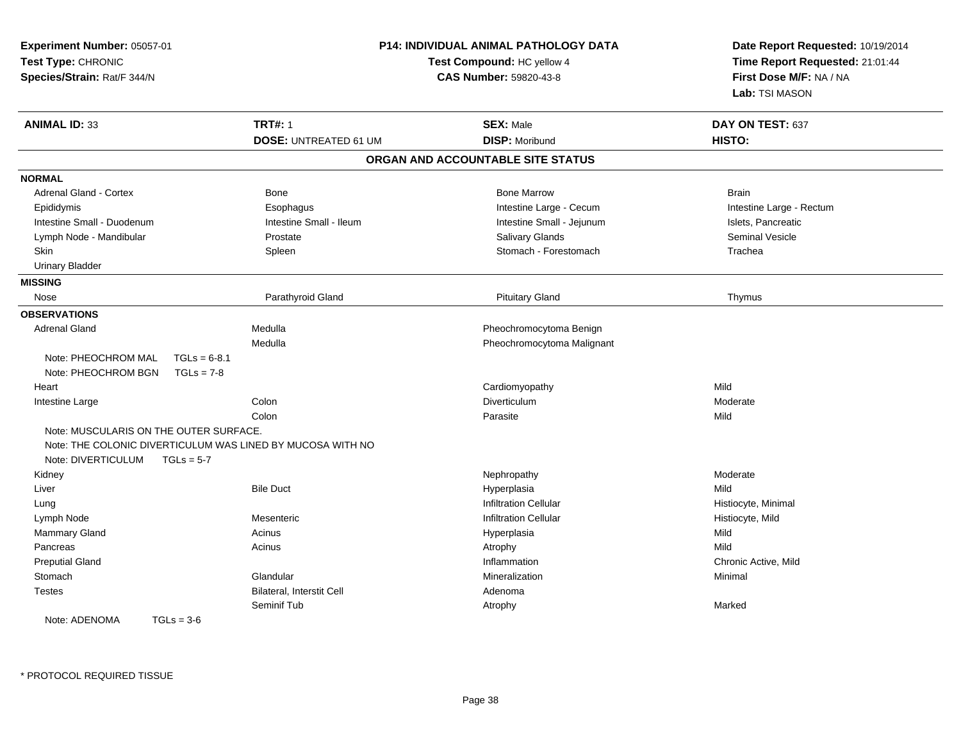| Experiment Number: 05057-01<br>Test Type: CHRONIC<br>Species/Strain: Rat/F 344/N |                                                            | P14: INDIVIDUAL ANIMAL PATHOLOGY DATA<br>Test Compound: HC yellow 4<br><b>CAS Number: 59820-43-8</b> | Date Report Requested: 10/19/2014<br>Time Report Requested: 21:01:44<br>First Dose M/F: NA / NA<br>Lab: TSI MASON |
|----------------------------------------------------------------------------------|------------------------------------------------------------|------------------------------------------------------------------------------------------------------|-------------------------------------------------------------------------------------------------------------------|
| <b>ANIMAL ID: 33</b>                                                             | <b>TRT#: 1</b>                                             | <b>SEX: Male</b>                                                                                     | DAY ON TEST: 637                                                                                                  |
|                                                                                  | <b>DOSE: UNTREATED 61 UM</b>                               | <b>DISP: Moribund</b>                                                                                | HISTO:                                                                                                            |
|                                                                                  |                                                            | ORGAN AND ACCOUNTABLE SITE STATUS                                                                    |                                                                                                                   |
| <b>NORMAL</b>                                                                    |                                                            |                                                                                                      |                                                                                                                   |
| <b>Adrenal Gland - Cortex</b>                                                    | Bone                                                       | <b>Bone Marrow</b>                                                                                   | <b>Brain</b>                                                                                                      |
| Epididymis                                                                       | Esophagus                                                  | Intestine Large - Cecum                                                                              | Intestine Large - Rectum                                                                                          |
| Intestine Small - Duodenum                                                       | Intestine Small - Ileum                                    | Intestine Small - Jejunum                                                                            | Islets, Pancreatic                                                                                                |
| Lymph Node - Mandibular                                                          | Prostate                                                   | <b>Salivary Glands</b>                                                                               | <b>Seminal Vesicle</b>                                                                                            |
| Skin                                                                             | Spleen                                                     | Stomach - Forestomach                                                                                | Trachea                                                                                                           |
| <b>Urinary Bladder</b>                                                           |                                                            |                                                                                                      |                                                                                                                   |
| <b>MISSING</b>                                                                   |                                                            |                                                                                                      |                                                                                                                   |
| Nose                                                                             | Parathyroid Gland                                          | <b>Pituitary Gland</b>                                                                               | Thymus                                                                                                            |
| <b>OBSERVATIONS</b>                                                              |                                                            |                                                                                                      |                                                                                                                   |
| <b>Adrenal Gland</b>                                                             | Medulla                                                    | Pheochromocytoma Benign                                                                              |                                                                                                                   |
|                                                                                  | Medulla                                                    | Pheochromocytoma Malignant                                                                           |                                                                                                                   |
| Note: PHEOCHROM MAL                                                              | $TGLs = 6-8.1$                                             |                                                                                                      |                                                                                                                   |
| Note: PHEOCHROM BGN                                                              | $TGLs = 7-8$                                               |                                                                                                      |                                                                                                                   |
| Heart                                                                            |                                                            | Cardiomyopathy                                                                                       | Mild                                                                                                              |
| Intestine Large                                                                  | Colon                                                      | <b>Diverticulum</b>                                                                                  | Moderate                                                                                                          |
|                                                                                  | Colon                                                      | Parasite                                                                                             | Mild                                                                                                              |
| Note: MUSCULARIS ON THE OUTER SURFACE.                                           |                                                            |                                                                                                      |                                                                                                                   |
|                                                                                  | Note: THE COLONIC DIVERTICULUM WAS LINED BY MUCOSA WITH NO |                                                                                                      |                                                                                                                   |
| Note: DIVERTICULUM                                                               | $TGLs = 5-7$                                               |                                                                                                      |                                                                                                                   |
| Kidney                                                                           |                                                            | Nephropathy                                                                                          | Moderate                                                                                                          |
| Liver                                                                            | <b>Bile Duct</b>                                           | Hyperplasia                                                                                          | Mild                                                                                                              |
| Lung                                                                             |                                                            | <b>Infiltration Cellular</b>                                                                         | Histiocyte, Minimal                                                                                               |
| Lymph Node                                                                       | Mesenteric                                                 | <b>Infiltration Cellular</b>                                                                         | Histiocyte, Mild                                                                                                  |
| <b>Mammary Gland</b>                                                             | Acinus                                                     | Hyperplasia                                                                                          | Mild                                                                                                              |
| Pancreas                                                                         | Acinus                                                     | Atrophy                                                                                              | Mild                                                                                                              |
| <b>Preputial Gland</b>                                                           |                                                            | Inflammation                                                                                         | Chronic Active, Mild                                                                                              |
| Stomach                                                                          | Glandular                                                  | Mineralization                                                                                       | Minimal                                                                                                           |
| <b>Testes</b>                                                                    | Bilateral, Interstit Cell                                  | Adenoma                                                                                              |                                                                                                                   |
|                                                                                  | Seminif Tub                                                | Atrophy                                                                                              | Marked                                                                                                            |
| Note: ADENOMA                                                                    | $TGLs = 3-6$                                               |                                                                                                      |                                                                                                                   |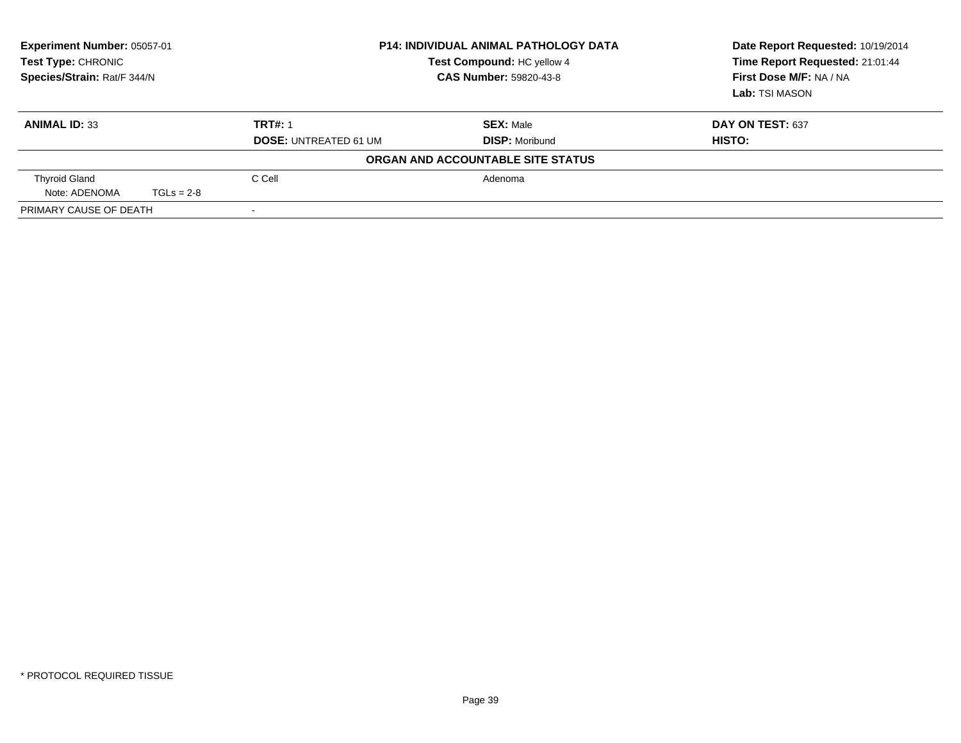| <b>Experiment Number: 05057-01</b><br>Test Type: CHRONIC<br>Species/Strain: Rat/F 344/N |              |                                                | <b>P14: INDIVIDUAL ANIMAL PATHOLOGY DATA</b><br>Test Compound: HC yellow 4<br><b>CAS Number: 59820-43-8</b> | Date Report Requested: 10/19/2014<br>Time Report Requested: 21:01:44<br>First Dose M/F: NA / NA<br>Lab: TSI MASON |
|-----------------------------------------------------------------------------------------|--------------|------------------------------------------------|-------------------------------------------------------------------------------------------------------------|-------------------------------------------------------------------------------------------------------------------|
| <b>ANIMAL ID: 33</b>                                                                    |              | <b>TRT#: 1</b><br><b>DOSE: UNTREATED 61 UM</b> | <b>SEX: Male</b><br><b>DISP: Moribund</b>                                                                   | DAY ON TEST: 637<br>HISTO:                                                                                        |
|                                                                                         |              |                                                | ORGAN AND ACCOUNTABLE SITE STATUS                                                                           |                                                                                                                   |
| <b>Thyroid Gland</b><br>Note: ADENOMA                                                   | $TGLs = 2-8$ | C Cell                                         | Adenoma                                                                                                     |                                                                                                                   |
| PRIMARY CAUSE OF DEATH                                                                  |              |                                                |                                                                                                             |                                                                                                                   |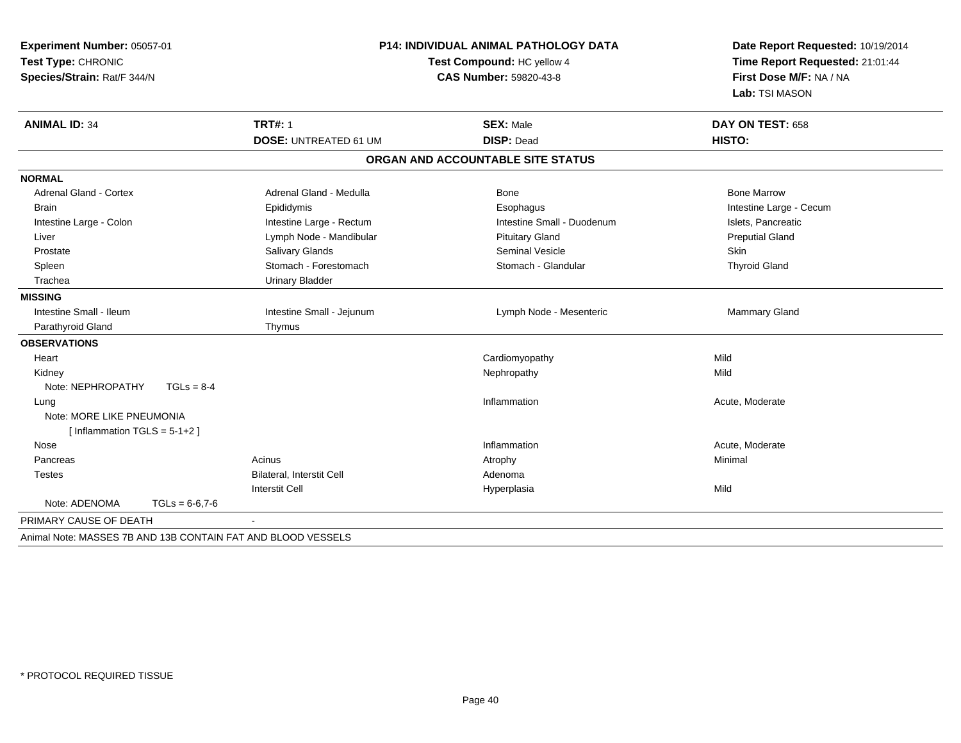| Experiment Number: 05057-01<br>Test Type: CHRONIC<br>Species/Strain: Rat/F 344/N | P14: INDIVIDUAL ANIMAL PATHOLOGY DATA<br>Test Compound: HC yellow 4<br>CAS Number: 59820-43-8 |                                   | Date Report Requested: 10/19/2014<br>Time Report Requested: 21:01:44<br>First Dose M/F: NA / NA<br>Lab: TSI MASON |
|----------------------------------------------------------------------------------|-----------------------------------------------------------------------------------------------|-----------------------------------|-------------------------------------------------------------------------------------------------------------------|
| <b>ANIMAL ID: 34</b>                                                             | <b>TRT#: 1</b>                                                                                | <b>SEX: Male</b>                  | DAY ON TEST: 658                                                                                                  |
|                                                                                  | <b>DOSE: UNTREATED 61 UM</b>                                                                  | <b>DISP: Dead</b>                 | HISTO:                                                                                                            |
|                                                                                  |                                                                                               | ORGAN AND ACCOUNTABLE SITE STATUS |                                                                                                                   |
| <b>NORMAL</b>                                                                    |                                                                                               |                                   |                                                                                                                   |
| <b>Adrenal Gland - Cortex</b>                                                    | Adrenal Gland - Medulla                                                                       | Bone                              | <b>Bone Marrow</b>                                                                                                |
| <b>Brain</b>                                                                     | Epididymis                                                                                    | Esophagus                         | Intestine Large - Cecum                                                                                           |
| Intestine Large - Colon                                                          | Intestine Large - Rectum                                                                      | Intestine Small - Duodenum        | Islets, Pancreatic                                                                                                |
| Liver                                                                            | Lymph Node - Mandibular                                                                       | <b>Pituitary Gland</b>            | <b>Preputial Gland</b>                                                                                            |
| Prostate                                                                         | Salivary Glands                                                                               | <b>Seminal Vesicle</b>            | Skin                                                                                                              |
| Spleen                                                                           | Stomach - Forestomach                                                                         | Stomach - Glandular               | <b>Thyroid Gland</b>                                                                                              |
| Trachea                                                                          | <b>Urinary Bladder</b>                                                                        |                                   |                                                                                                                   |
| <b>MISSING</b>                                                                   |                                                                                               |                                   |                                                                                                                   |
| Intestine Small - Ileum                                                          | Intestine Small - Jejunum                                                                     | Lymph Node - Mesenteric           | Mammary Gland                                                                                                     |
| Parathyroid Gland                                                                | Thymus                                                                                        |                                   |                                                                                                                   |
| <b>OBSERVATIONS</b>                                                              |                                                                                               |                                   |                                                                                                                   |
| Heart                                                                            |                                                                                               | Cardiomyopathy                    | Mild                                                                                                              |
| Kidney                                                                           |                                                                                               | Nephropathy                       | Mild                                                                                                              |
| Note: NEPHROPATHY<br>$TGLs = 8-4$                                                |                                                                                               |                                   |                                                                                                                   |
| Lung                                                                             |                                                                                               | Inflammation                      | Acute, Moderate                                                                                                   |
| Note: MORE LIKE PNEUMONIA                                                        |                                                                                               |                                   |                                                                                                                   |
| [Inflammation TGLS = $5-1+2$ ]                                                   |                                                                                               |                                   |                                                                                                                   |
| Nose                                                                             |                                                                                               | Inflammation                      | Acute, Moderate                                                                                                   |
| Pancreas                                                                         | Acinus                                                                                        | Atrophy                           | Minimal                                                                                                           |
| <b>Testes</b>                                                                    | <b>Bilateral, Interstit Cell</b>                                                              | Adenoma                           |                                                                                                                   |
|                                                                                  | <b>Interstit Cell</b>                                                                         | Hyperplasia                       | Mild                                                                                                              |
| Note: ADENOMA<br>$TGLs = 6-6.7-6$                                                |                                                                                               |                                   |                                                                                                                   |
| PRIMARY CAUSE OF DEATH                                                           |                                                                                               |                                   |                                                                                                                   |
| Animal Note: MASSES 7B AND 13B CONTAIN FAT AND BLOOD VESSELS                     |                                                                                               |                                   |                                                                                                                   |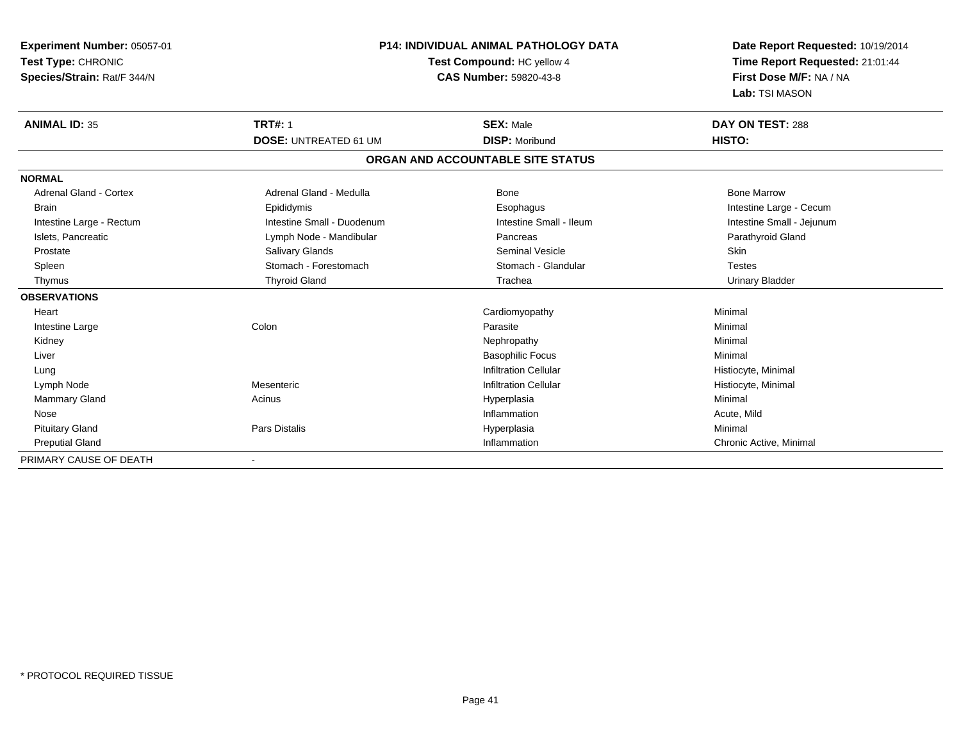| <b>Experiment Number: 05057-01</b><br>Test Type: CHRONIC<br>Species/Strain: Rat/F 344/N | <b>P14: INDIVIDUAL ANIMAL PATHOLOGY DATA</b><br>Test Compound: HC yellow 4<br><b>CAS Number: 59820-43-8</b> |                                   | Date Report Requested: 10/19/2014<br>Time Report Requested: 21:01:44<br>First Dose M/F: NA / NA<br>Lab: TSI MASON |
|-----------------------------------------------------------------------------------------|-------------------------------------------------------------------------------------------------------------|-----------------------------------|-------------------------------------------------------------------------------------------------------------------|
| <b>ANIMAL ID: 35</b>                                                                    | <b>TRT#: 1</b>                                                                                              | <b>SEX: Male</b>                  | DAY ON TEST: 288                                                                                                  |
|                                                                                         | <b>DOSE: UNTREATED 61 UM</b>                                                                                | <b>DISP: Moribund</b>             | HISTO:                                                                                                            |
|                                                                                         |                                                                                                             | ORGAN AND ACCOUNTABLE SITE STATUS |                                                                                                                   |
| <b>NORMAL</b>                                                                           |                                                                                                             |                                   |                                                                                                                   |
| <b>Adrenal Gland - Cortex</b>                                                           | Adrenal Gland - Medulla                                                                                     | <b>Bone</b>                       | <b>Bone Marrow</b>                                                                                                |
| <b>Brain</b>                                                                            | Epididymis                                                                                                  | Esophagus                         | Intestine Large - Cecum                                                                                           |
| Intestine Large - Rectum                                                                | Intestine Small - Duodenum                                                                                  | Intestine Small - Ileum           | Intestine Small - Jejunum                                                                                         |
| Islets, Pancreatic                                                                      | Lymph Node - Mandibular                                                                                     | Pancreas                          | Parathyroid Gland                                                                                                 |
| Prostate                                                                                | <b>Salivary Glands</b>                                                                                      | <b>Seminal Vesicle</b>            | Skin                                                                                                              |
| Spleen                                                                                  | Stomach - Forestomach                                                                                       | Stomach - Glandular               | <b>Testes</b>                                                                                                     |
| Thymus                                                                                  | <b>Thyroid Gland</b>                                                                                        | Trachea                           | <b>Urinary Bladder</b>                                                                                            |
| <b>OBSERVATIONS</b>                                                                     |                                                                                                             |                                   |                                                                                                                   |
| Heart                                                                                   |                                                                                                             | Cardiomyopathy                    | Minimal                                                                                                           |
| Intestine Large                                                                         | Colon                                                                                                       | Parasite                          | Minimal                                                                                                           |
| Kidney                                                                                  |                                                                                                             | Nephropathy                       | Minimal                                                                                                           |
| Liver                                                                                   |                                                                                                             | <b>Basophilic Focus</b>           | Minimal                                                                                                           |
| Lung                                                                                    |                                                                                                             | <b>Infiltration Cellular</b>      | Histiocyte, Minimal                                                                                               |
| Lymph Node                                                                              | Mesenteric                                                                                                  | <b>Infiltration Cellular</b>      | Histiocyte, Minimal                                                                                               |
| <b>Mammary Gland</b>                                                                    | Acinus                                                                                                      | Hyperplasia                       | Minimal                                                                                                           |
| Nose                                                                                    |                                                                                                             | Inflammation                      | Acute, Mild                                                                                                       |
| <b>Pituitary Gland</b>                                                                  | <b>Pars Distalis</b>                                                                                        | Hyperplasia                       | Minimal                                                                                                           |
| <b>Preputial Gland</b>                                                                  |                                                                                                             | Inflammation                      | Chronic Active, Minimal                                                                                           |
| PRIMARY CAUSE OF DEATH                                                                  | $\blacksquare$                                                                                              |                                   |                                                                                                                   |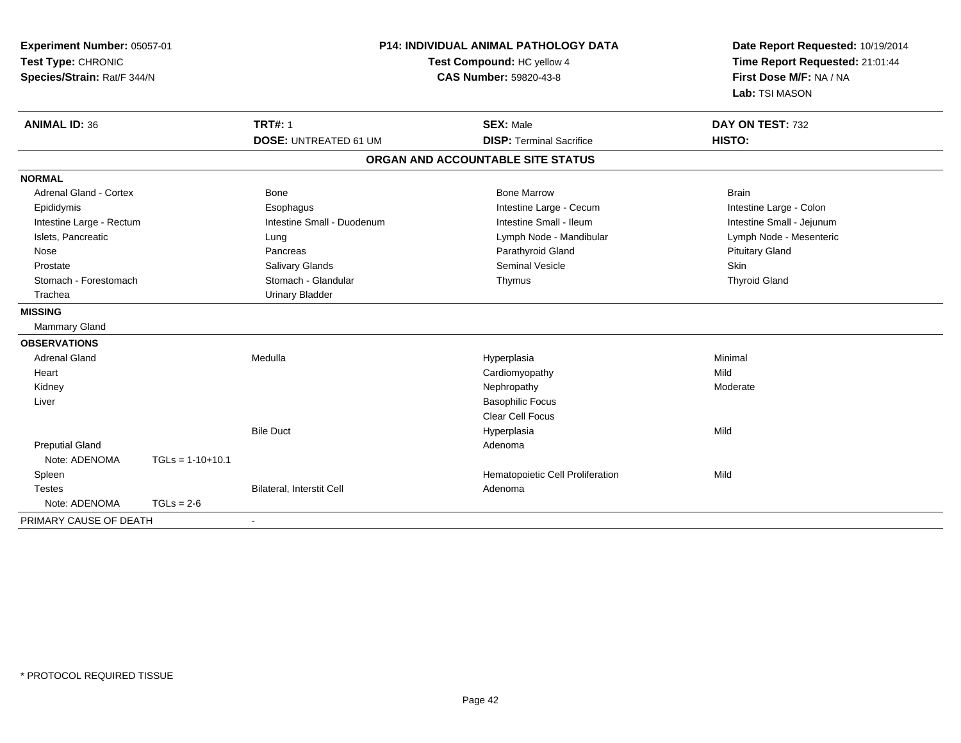| Experiment Number: 05057-01<br>Test Type: CHRONIC<br>Species/Strain: Rat/F 344/N |                    | <b>P14: INDIVIDUAL ANIMAL PATHOLOGY DATA</b><br>Test Compound: HC yellow 4<br><b>CAS Number: 59820-43-8</b> |                                                     | Date Report Requested: 10/19/2014<br>Time Report Requested: 21:01:44<br>First Dose M/F: NA / NA<br>Lab: TSI MASON |  |
|----------------------------------------------------------------------------------|--------------------|-------------------------------------------------------------------------------------------------------------|-----------------------------------------------------|-------------------------------------------------------------------------------------------------------------------|--|
| <b>ANIMAL ID: 36</b>                                                             |                    | <b>TRT#: 1</b><br><b>DOSE: UNTREATED 61 UM</b>                                                              | <b>SEX: Male</b><br><b>DISP: Terminal Sacrifice</b> | DAY ON TEST: 732<br>HISTO:                                                                                        |  |
|                                                                                  |                    |                                                                                                             | ORGAN AND ACCOUNTABLE SITE STATUS                   |                                                                                                                   |  |
|                                                                                  |                    |                                                                                                             |                                                     |                                                                                                                   |  |
| <b>NORMAL</b><br><b>Adrenal Gland - Cortex</b>                                   |                    | Bone                                                                                                        | <b>Bone Marrow</b>                                  | <b>Brain</b>                                                                                                      |  |
| Epididymis                                                                       |                    | Esophagus                                                                                                   | Intestine Large - Cecum                             | Intestine Large - Colon                                                                                           |  |
| Intestine Large - Rectum                                                         |                    | Intestine Small - Duodenum                                                                                  | Intestine Small - Ileum                             | Intestine Small - Jejunum                                                                                         |  |
| Islets, Pancreatic                                                               |                    | Lung                                                                                                        | Lymph Node - Mandibular                             | Lymph Node - Mesenteric                                                                                           |  |
| Nose                                                                             |                    | Pancreas                                                                                                    | Parathyroid Gland                                   | <b>Pituitary Gland</b>                                                                                            |  |
| Prostate                                                                         |                    | Salivary Glands                                                                                             | <b>Seminal Vesicle</b>                              | <b>Skin</b>                                                                                                       |  |
| Stomach - Forestomach                                                            |                    | Stomach - Glandular                                                                                         | Thymus                                              | <b>Thyroid Gland</b>                                                                                              |  |
| Trachea                                                                          |                    | <b>Urinary Bladder</b>                                                                                      |                                                     |                                                                                                                   |  |
| <b>MISSING</b>                                                                   |                    |                                                                                                             |                                                     |                                                                                                                   |  |
| <b>Mammary Gland</b>                                                             |                    |                                                                                                             |                                                     |                                                                                                                   |  |
| <b>OBSERVATIONS</b>                                                              |                    |                                                                                                             |                                                     |                                                                                                                   |  |
| <b>Adrenal Gland</b>                                                             |                    | Medulla                                                                                                     | Hyperplasia                                         | Minimal                                                                                                           |  |
| Heart                                                                            |                    |                                                                                                             | Cardiomyopathy                                      | Mild                                                                                                              |  |
| Kidney                                                                           |                    |                                                                                                             | Nephropathy                                         | Moderate                                                                                                          |  |
| Liver                                                                            |                    |                                                                                                             | <b>Basophilic Focus</b>                             |                                                                                                                   |  |
|                                                                                  |                    |                                                                                                             | <b>Clear Cell Focus</b>                             |                                                                                                                   |  |
|                                                                                  |                    | <b>Bile Duct</b>                                                                                            | Hyperplasia                                         | Mild                                                                                                              |  |
| <b>Preputial Gland</b>                                                           |                    |                                                                                                             | Adenoma                                             |                                                                                                                   |  |
| Note: ADENOMA                                                                    | $TGLs = 1-10+10.1$ |                                                                                                             |                                                     |                                                                                                                   |  |
| Spleen                                                                           |                    |                                                                                                             | Hematopoietic Cell Proliferation                    | Mild                                                                                                              |  |
| <b>Testes</b>                                                                    |                    | Bilateral, Interstit Cell                                                                                   | Adenoma                                             |                                                                                                                   |  |
| Note: ADENOMA                                                                    | $TGLs = 2-6$       |                                                                                                             |                                                     |                                                                                                                   |  |
| PRIMARY CAUSE OF DEATH                                                           |                    |                                                                                                             |                                                     |                                                                                                                   |  |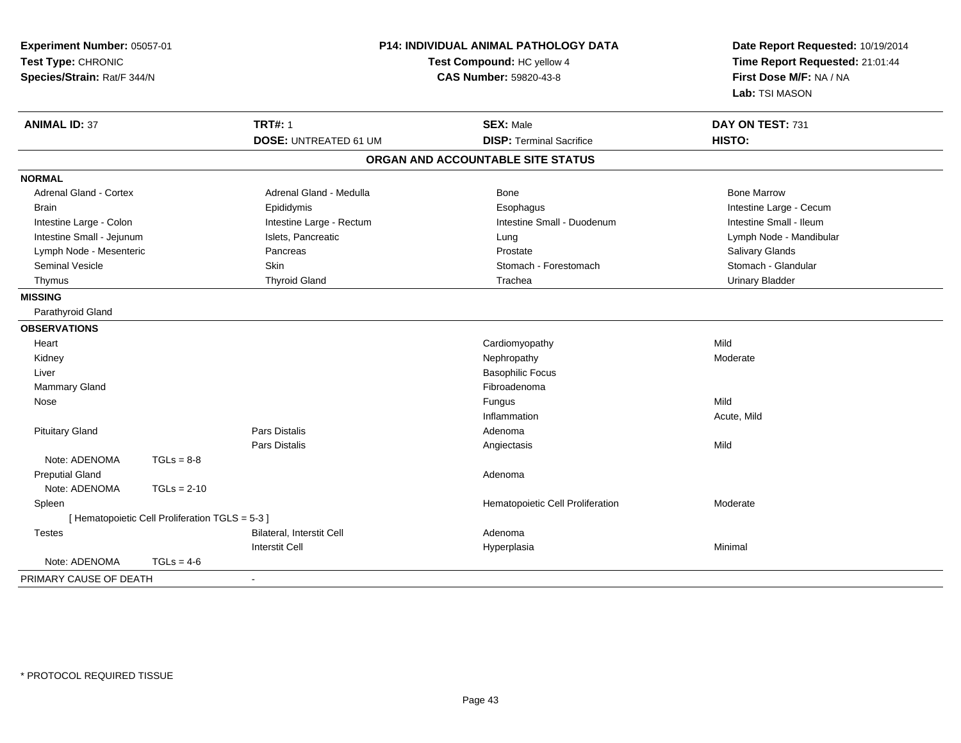| Experiment Number: 05057-01<br>Test Type: CHRONIC<br>Species/Strain: Rat/F 344/N |                                                 | <b>P14: INDIVIDUAL ANIMAL PATHOLOGY DATA</b><br>Test Compound: HC yellow 4<br><b>CAS Number: 59820-43-8</b> |                                   | Date Report Requested: 10/19/2014<br>Time Report Requested: 21:01:44<br>First Dose M/F: NA / NA<br>Lab: TSI MASON |
|----------------------------------------------------------------------------------|-------------------------------------------------|-------------------------------------------------------------------------------------------------------------|-----------------------------------|-------------------------------------------------------------------------------------------------------------------|
| <b>ANIMAL ID: 37</b>                                                             |                                                 | <b>TRT#: 1</b>                                                                                              | <b>SEX: Male</b>                  | DAY ON TEST: 731                                                                                                  |
|                                                                                  |                                                 | <b>DOSE: UNTREATED 61 UM</b>                                                                                | <b>DISP: Terminal Sacrifice</b>   | HISTO:                                                                                                            |
|                                                                                  |                                                 |                                                                                                             | ORGAN AND ACCOUNTABLE SITE STATUS |                                                                                                                   |
| <b>NORMAL</b>                                                                    |                                                 |                                                                                                             |                                   |                                                                                                                   |
| Adrenal Gland - Cortex                                                           |                                                 | Adrenal Gland - Medulla                                                                                     | Bone                              | <b>Bone Marrow</b>                                                                                                |
| <b>Brain</b>                                                                     |                                                 | Epididymis                                                                                                  | Esophagus                         | Intestine Large - Cecum                                                                                           |
| Intestine Large - Colon                                                          |                                                 | Intestine Large - Rectum                                                                                    | Intestine Small - Duodenum        | Intestine Small - Ileum                                                                                           |
| Intestine Small - Jejunum                                                        |                                                 | Islets, Pancreatic                                                                                          | Lung                              | Lymph Node - Mandibular                                                                                           |
| Lymph Node - Mesenteric                                                          |                                                 | Pancreas                                                                                                    | Prostate                          | Salivary Glands                                                                                                   |
| <b>Seminal Vesicle</b>                                                           |                                                 | <b>Skin</b>                                                                                                 | Stomach - Forestomach             | Stomach - Glandular                                                                                               |
| Thymus                                                                           |                                                 | <b>Thyroid Gland</b>                                                                                        | Trachea                           | <b>Urinary Bladder</b>                                                                                            |
| <b>MISSING</b>                                                                   |                                                 |                                                                                                             |                                   |                                                                                                                   |
| Parathyroid Gland                                                                |                                                 |                                                                                                             |                                   |                                                                                                                   |
| <b>OBSERVATIONS</b>                                                              |                                                 |                                                                                                             |                                   |                                                                                                                   |
| Heart                                                                            |                                                 |                                                                                                             | Cardiomyopathy                    | Mild                                                                                                              |
| Kidney                                                                           |                                                 |                                                                                                             | Nephropathy                       | Moderate                                                                                                          |
| Liver                                                                            |                                                 |                                                                                                             | <b>Basophilic Focus</b>           |                                                                                                                   |
| <b>Mammary Gland</b>                                                             |                                                 |                                                                                                             | Fibroadenoma                      |                                                                                                                   |
| Nose                                                                             |                                                 |                                                                                                             | Fungus                            | Mild                                                                                                              |
|                                                                                  |                                                 |                                                                                                             | Inflammation                      | Acute, Mild                                                                                                       |
| <b>Pituitary Gland</b>                                                           |                                                 | Pars Distalis                                                                                               | Adenoma                           |                                                                                                                   |
|                                                                                  |                                                 | Pars Distalis                                                                                               | Angiectasis                       | Mild                                                                                                              |
| Note: ADENOMA                                                                    | $TGLs = 8-8$                                    |                                                                                                             |                                   |                                                                                                                   |
| <b>Preputial Gland</b>                                                           |                                                 |                                                                                                             | Adenoma                           |                                                                                                                   |
| Note: ADENOMA                                                                    | $TGLs = 2-10$                                   |                                                                                                             |                                   |                                                                                                                   |
| Spleen                                                                           |                                                 |                                                                                                             | Hematopoietic Cell Proliferation  | Moderate                                                                                                          |
|                                                                                  | [ Hematopoietic Cell Proliferation TGLS = 5-3 ] |                                                                                                             |                                   |                                                                                                                   |
| <b>Testes</b>                                                                    |                                                 | <b>Bilateral, Interstit Cell</b>                                                                            | Adenoma                           |                                                                                                                   |
|                                                                                  |                                                 | <b>Interstit Cell</b>                                                                                       | Hyperplasia                       | Minimal                                                                                                           |
| Note: ADENOMA                                                                    | $TGLs = 4-6$                                    |                                                                                                             |                                   |                                                                                                                   |
| PRIMARY CAUSE OF DEATH                                                           |                                                 | $\blacksquare$                                                                                              |                                   |                                                                                                                   |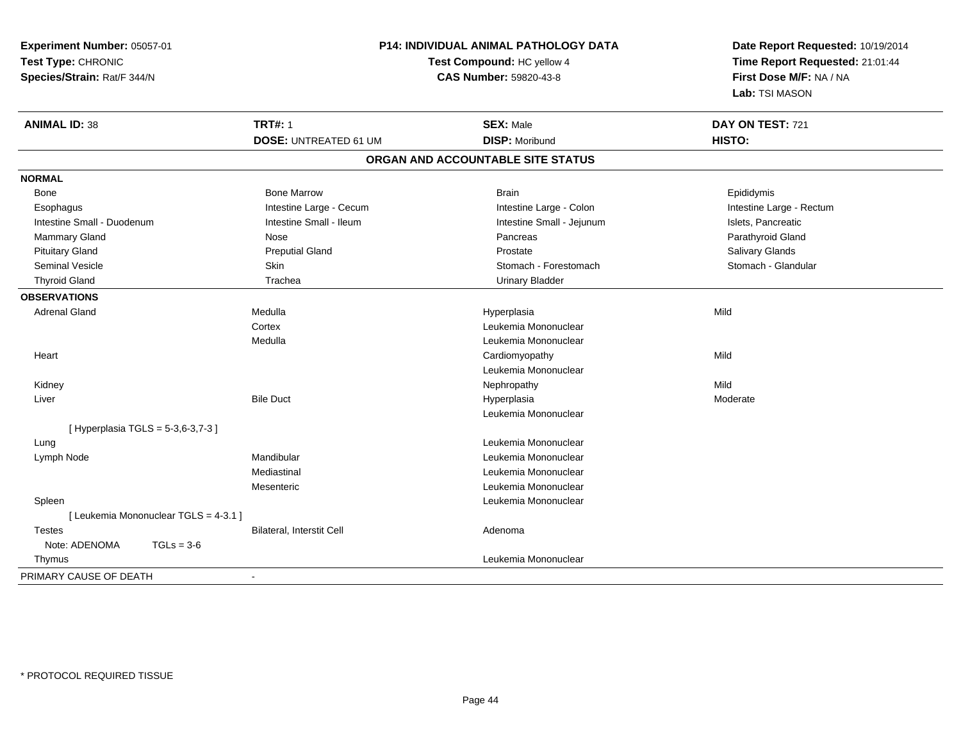| Experiment Number: 05057-01           | <b>P14: INDIVIDUAL ANIMAL PATHOLOGY DATA</b> |                                   | Date Report Requested: 10/19/2014 |  |
|---------------------------------------|----------------------------------------------|-----------------------------------|-----------------------------------|--|
| Test Type: CHRONIC                    |                                              | Test Compound: HC yellow 4        | Time Report Requested: 21:01:44   |  |
| Species/Strain: Rat/F 344/N           |                                              | <b>CAS Number: 59820-43-8</b>     | First Dose M/F: NA / NA           |  |
|                                       |                                              |                                   | Lab: TSI MASON                    |  |
| <b>ANIMAL ID: 38</b>                  | <b>TRT#: 1</b>                               | <b>SEX: Male</b>                  | DAY ON TEST: 721                  |  |
|                                       | <b>DOSE: UNTREATED 61 UM</b>                 | <b>DISP: Moribund</b>             | HISTO:                            |  |
|                                       |                                              | ORGAN AND ACCOUNTABLE SITE STATUS |                                   |  |
| <b>NORMAL</b>                         |                                              |                                   |                                   |  |
| Bone                                  | <b>Bone Marrow</b>                           | <b>Brain</b>                      | Epididymis                        |  |
| Esophagus                             | Intestine Large - Cecum                      | Intestine Large - Colon           | Intestine Large - Rectum          |  |
| Intestine Small - Duodenum            | Intestine Small - Ileum                      | Intestine Small - Jejunum         | Islets, Pancreatic                |  |
| <b>Mammary Gland</b>                  | Nose                                         | Pancreas                          | Parathyroid Gland                 |  |
| <b>Pituitary Gland</b>                | <b>Preputial Gland</b>                       | Prostate                          | Salivary Glands                   |  |
| <b>Seminal Vesicle</b>                | Skin                                         | Stomach - Forestomach             | Stomach - Glandular               |  |
| <b>Thyroid Gland</b>                  | Trachea                                      | <b>Urinary Bladder</b>            |                                   |  |
| <b>OBSERVATIONS</b>                   |                                              |                                   |                                   |  |
| <b>Adrenal Gland</b>                  | Medulla                                      | Hyperplasia                       | Mild                              |  |
|                                       | Cortex                                       | Leukemia Mononuclear              |                                   |  |
|                                       | Medulla                                      | Leukemia Mononuclear              |                                   |  |
| Heart                                 |                                              | Cardiomyopathy                    | Mild                              |  |
|                                       |                                              | Leukemia Mononuclear              |                                   |  |
| Kidney                                |                                              | Nephropathy                       | Mild                              |  |
| Liver                                 | <b>Bile Duct</b>                             | Hyperplasia                       | Moderate                          |  |
|                                       |                                              | Leukemia Mononuclear              |                                   |  |
| [ Hyperplasia TGLS = 5-3,6-3,7-3 ]    |                                              |                                   |                                   |  |
| Lung                                  |                                              | Leukemia Mononuclear              |                                   |  |
| Lymph Node                            | Mandibular                                   | Leukemia Mononuclear              |                                   |  |
|                                       | Mediastinal                                  | Leukemia Mononuclear              |                                   |  |
|                                       | Mesenteric                                   | Leukemia Mononuclear              |                                   |  |
| Spleen                                |                                              | Leukemia Mononuclear              |                                   |  |
| [ Leukemia Mononuclear TGLS = 4-3.1 ] |                                              |                                   |                                   |  |
| Testes                                | Bilateral, Interstit Cell                    | Adenoma                           |                                   |  |
| Note: ADENOMA<br>$TGLs = 3-6$         |                                              |                                   |                                   |  |
| Thymus                                |                                              | Leukemia Mononuclear              |                                   |  |
| PRIMARY CAUSE OF DEATH                | $\sim$                                       |                                   |                                   |  |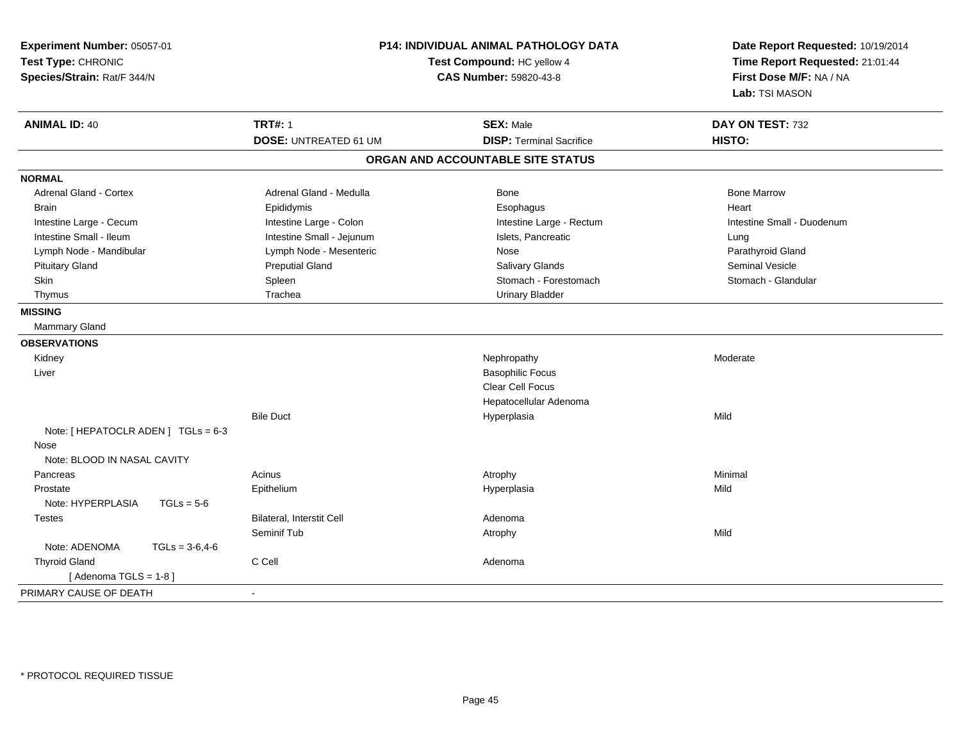| Experiment Number: 05057-01<br>Test Type: CHRONIC<br>Species/Strain: Rat/F 344/N |                              | <b>P14: INDIVIDUAL ANIMAL PATHOLOGY DATA</b><br>Test Compound: HC yellow 4<br>CAS Number: 59820-43-8 | Date Report Requested: 10/19/2014<br>Time Report Requested: 21:01:44<br>First Dose M/F: NA / NA<br>Lab: TSI MASON |
|----------------------------------------------------------------------------------|------------------------------|------------------------------------------------------------------------------------------------------|-------------------------------------------------------------------------------------------------------------------|
| <b>ANIMAL ID: 40</b>                                                             | <b>TRT#: 1</b>               | <b>SEX: Male</b>                                                                                     | DAY ON TEST: 732                                                                                                  |
|                                                                                  | <b>DOSE: UNTREATED 61 UM</b> | <b>DISP: Terminal Sacrifice</b>                                                                      | HISTO:                                                                                                            |
|                                                                                  |                              | ORGAN AND ACCOUNTABLE SITE STATUS                                                                    |                                                                                                                   |
| <b>NORMAL</b>                                                                    |                              |                                                                                                      |                                                                                                                   |
| <b>Adrenal Gland - Cortex</b>                                                    | Adrenal Gland - Medulla      | Bone                                                                                                 | <b>Bone Marrow</b>                                                                                                |
| <b>Brain</b>                                                                     | Epididymis                   | Esophagus                                                                                            | Heart                                                                                                             |
| Intestine Large - Cecum                                                          | Intestine Large - Colon      | Intestine Large - Rectum                                                                             | Intestine Small - Duodenum                                                                                        |
| Intestine Small - Ileum                                                          | Intestine Small - Jejunum    | Islets, Pancreatic                                                                                   | Lung                                                                                                              |
| Lymph Node - Mandibular                                                          | Lymph Node - Mesenteric      | Nose                                                                                                 | Parathyroid Gland                                                                                                 |
| <b>Pituitary Gland</b>                                                           | <b>Preputial Gland</b>       | Salivary Glands                                                                                      | Seminal Vesicle                                                                                                   |
| Skin                                                                             | Spleen                       | Stomach - Forestomach                                                                                | Stomach - Glandular                                                                                               |
| Thymus                                                                           | Trachea                      | <b>Urinary Bladder</b>                                                                               |                                                                                                                   |
| <b>MISSING</b>                                                                   |                              |                                                                                                      |                                                                                                                   |
| <b>Mammary Gland</b>                                                             |                              |                                                                                                      |                                                                                                                   |
| <b>OBSERVATIONS</b>                                                              |                              |                                                                                                      |                                                                                                                   |
| Kidney                                                                           |                              | Nephropathy                                                                                          | Moderate                                                                                                          |
| Liver                                                                            |                              | <b>Basophilic Focus</b>                                                                              |                                                                                                                   |
|                                                                                  |                              | <b>Clear Cell Focus</b>                                                                              |                                                                                                                   |
|                                                                                  |                              | Hepatocellular Adenoma                                                                               |                                                                                                                   |
|                                                                                  | <b>Bile Duct</b>             | Hyperplasia                                                                                          | Mild                                                                                                              |
| Note: [ HEPATOCLR ADEN ] TGLs = 6-3                                              |                              |                                                                                                      |                                                                                                                   |
| Nose                                                                             |                              |                                                                                                      |                                                                                                                   |
| Note: BLOOD IN NASAL CAVITY                                                      |                              |                                                                                                      |                                                                                                                   |
| Pancreas                                                                         | Acinus                       | Atrophy                                                                                              | Minimal                                                                                                           |
| Prostate                                                                         | Epithelium                   | Hyperplasia                                                                                          | Mild                                                                                                              |
| Note: HYPERPLASIA<br>$TGLs = 5-6$                                                |                              |                                                                                                      |                                                                                                                   |
| Testes                                                                           | Bilateral, Interstit Cell    | Adenoma                                                                                              |                                                                                                                   |
|                                                                                  | Seminif Tub                  | Atrophy                                                                                              | Mild                                                                                                              |
| Note: ADENOMA<br>$TGLs = 3-6, 4-6$                                               |                              |                                                                                                      |                                                                                                                   |
| <b>Thyroid Gland</b>                                                             | C Cell                       | Adenoma                                                                                              |                                                                                                                   |
| [Adenoma TGLS = $1-8$ ]                                                          |                              |                                                                                                      |                                                                                                                   |
| PRIMARY CAUSE OF DEATH                                                           | $\blacksquare$               |                                                                                                      |                                                                                                                   |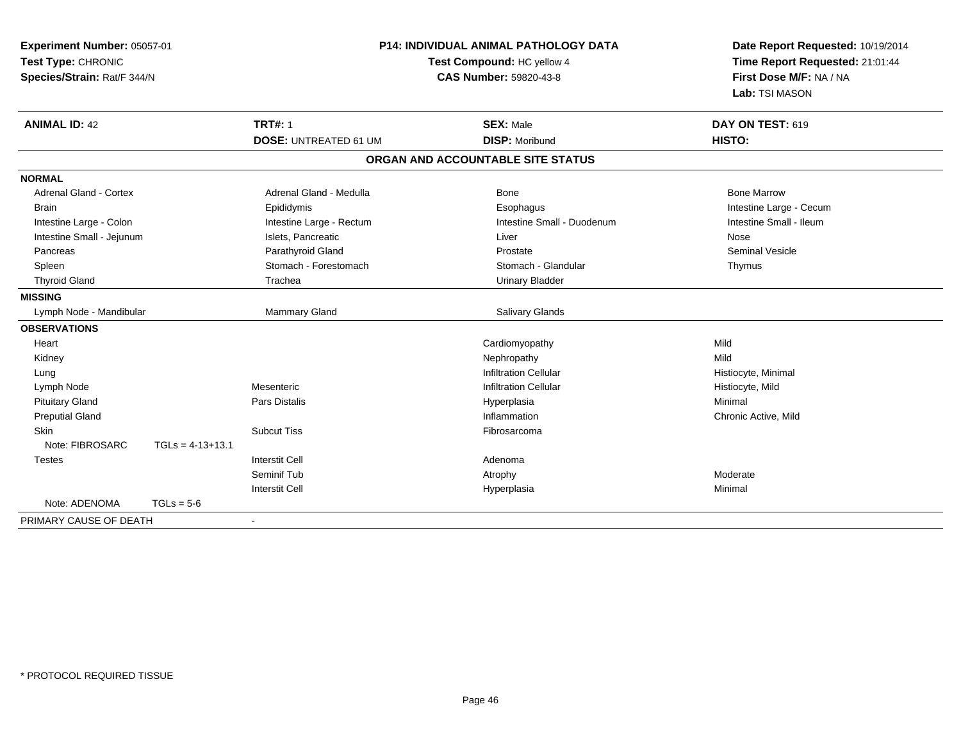| Experiment Number: 05057-01<br>Test Type: CHRONIC<br>Species/Strain: Rat/F 344/N |                    | <b>P14: INDIVIDUAL ANIMAL PATHOLOGY DATA</b><br>Test Compound: HC yellow 4<br>CAS Number: 59820-43-8 |                                           | Date Report Requested: 10/19/2014<br>Time Report Requested: 21:01:44<br>First Dose M/F: NA / NA<br>Lab: TSI MASON |
|----------------------------------------------------------------------------------|--------------------|------------------------------------------------------------------------------------------------------|-------------------------------------------|-------------------------------------------------------------------------------------------------------------------|
| <b>ANIMAL ID: 42</b>                                                             |                    | <b>TRT#: 1</b><br><b>DOSE: UNTREATED 61 UM</b>                                                       | <b>SEX: Male</b><br><b>DISP: Moribund</b> | DAY ON TEST: 619<br>HISTO:                                                                                        |
|                                                                                  |                    |                                                                                                      | ORGAN AND ACCOUNTABLE SITE STATUS         |                                                                                                                   |
| <b>NORMAL</b>                                                                    |                    |                                                                                                      |                                           |                                                                                                                   |
| <b>Adrenal Gland - Cortex</b>                                                    |                    | Adrenal Gland - Medulla                                                                              | Bone                                      | <b>Bone Marrow</b>                                                                                                |
| Brain                                                                            |                    | Epididymis                                                                                           | Esophagus                                 | Intestine Large - Cecum                                                                                           |
| Intestine Large - Colon                                                          |                    | Intestine Large - Rectum                                                                             | Intestine Small - Duodenum                | Intestine Small - Ileum                                                                                           |
| Intestine Small - Jejunum                                                        |                    | Islets, Pancreatic                                                                                   | Liver                                     | Nose                                                                                                              |
| Pancreas                                                                         |                    | Parathyroid Gland                                                                                    | Prostate                                  | <b>Seminal Vesicle</b>                                                                                            |
| Spleen                                                                           |                    | Stomach - Forestomach                                                                                | Stomach - Glandular                       | Thymus                                                                                                            |
| <b>Thyroid Gland</b>                                                             |                    | Trachea                                                                                              | <b>Urinary Bladder</b>                    |                                                                                                                   |
| <b>MISSING</b>                                                                   |                    |                                                                                                      |                                           |                                                                                                                   |
| Lymph Node - Mandibular                                                          |                    | Mammary Gland                                                                                        | Salivary Glands                           |                                                                                                                   |
| <b>OBSERVATIONS</b>                                                              |                    |                                                                                                      |                                           |                                                                                                                   |
| Heart                                                                            |                    |                                                                                                      | Cardiomyopathy                            | Mild                                                                                                              |
| Kidney                                                                           |                    |                                                                                                      | Nephropathy                               | Mild                                                                                                              |
| Lung                                                                             |                    |                                                                                                      | <b>Infiltration Cellular</b>              | Histiocyte, Minimal                                                                                               |
| Lymph Node                                                                       |                    | Mesenteric                                                                                           | <b>Infiltration Cellular</b>              | Histiocyte, Mild                                                                                                  |
| <b>Pituitary Gland</b>                                                           |                    | <b>Pars Distalis</b>                                                                                 | Hyperplasia                               | Minimal                                                                                                           |
| <b>Preputial Gland</b>                                                           |                    |                                                                                                      | Inflammation                              | Chronic Active, Mild                                                                                              |
| Skin                                                                             |                    | <b>Subcut Tiss</b>                                                                                   | Fibrosarcoma                              |                                                                                                                   |
| Note: FIBROSARC                                                                  | $TGLs = 4-13+13.1$ |                                                                                                      |                                           |                                                                                                                   |
| <b>Testes</b>                                                                    |                    | <b>Interstit Cell</b>                                                                                | Adenoma                                   |                                                                                                                   |
|                                                                                  |                    | Seminif Tub                                                                                          | Atrophy                                   | Moderate                                                                                                          |
|                                                                                  |                    | <b>Interstit Cell</b>                                                                                | Hyperplasia                               | Minimal                                                                                                           |
| Note: ADENOMA                                                                    | $TGLs = 5-6$       |                                                                                                      |                                           |                                                                                                                   |
| PRIMARY CAUSE OF DEATH                                                           |                    |                                                                                                      |                                           |                                                                                                                   |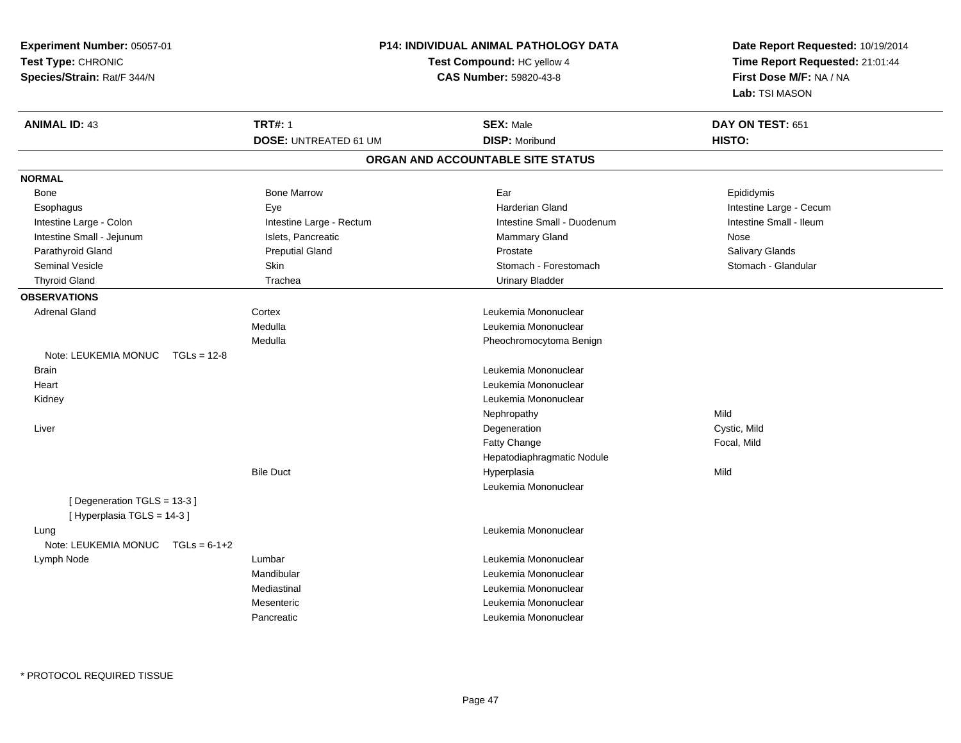| Experiment Number: 05057-01            |                              | <b>P14: INDIVIDUAL ANIMAL PATHOLOGY DATA</b> | Date Report Requested: 10/19/2014 |
|----------------------------------------|------------------------------|----------------------------------------------|-----------------------------------|
| Test Type: CHRONIC                     |                              | <b>Test Compound: HC yellow 4</b>            | Time Report Requested: 21:01:44   |
| Species/Strain: Rat/F 344/N            |                              | CAS Number: 59820-43-8                       | First Dose M/F: NA / NA           |
|                                        |                              |                                              | Lab: TSI MASON                    |
| <b>ANIMAL ID: 43</b>                   | <b>TRT#: 1</b>               | <b>SEX: Male</b>                             | DAY ON TEST: 651                  |
|                                        | <b>DOSE: UNTREATED 61 UM</b> | <b>DISP: Moribund</b>                        | HISTO:                            |
|                                        |                              | ORGAN AND ACCOUNTABLE SITE STATUS            |                                   |
| <b>NORMAL</b>                          |                              |                                              |                                   |
| Bone                                   | <b>Bone Marrow</b>           | Ear                                          | Epididymis                        |
| Esophagus                              | Eye                          | <b>Harderian Gland</b>                       | Intestine Large - Cecum           |
| Intestine Large - Colon                | Intestine Large - Rectum     | Intestine Small - Duodenum                   | Intestine Small - Ileum           |
| Intestine Small - Jejunum              | Islets, Pancreatic           | <b>Mammary Gland</b>                         | Nose                              |
| Parathyroid Gland                      | <b>Preputial Gland</b>       | Prostate                                     | Salivary Glands                   |
| Seminal Vesicle                        | Skin                         | Stomach - Forestomach                        | Stomach - Glandular               |
| <b>Thyroid Gland</b>                   | Trachea                      | <b>Urinary Bladder</b>                       |                                   |
| <b>OBSERVATIONS</b>                    |                              |                                              |                                   |
| <b>Adrenal Gland</b>                   | Cortex                       | Leukemia Mononuclear                         |                                   |
|                                        | Medulla                      | Leukemia Mononuclear                         |                                   |
|                                        | Medulla                      | Pheochromocytoma Benign                      |                                   |
| Note: LEUKEMIA MONUC<br>$TGLs = 12-8$  |                              |                                              |                                   |
| <b>Brain</b>                           |                              | Leukemia Mononuclear                         |                                   |
| Heart                                  |                              | Leukemia Mononuclear                         |                                   |
| Kidney                                 |                              | Leukemia Mononuclear                         |                                   |
|                                        |                              | Nephropathy                                  | Mild                              |
| Liver                                  |                              | Degeneration                                 | Cystic, Mild                      |
|                                        |                              | Fatty Change                                 | Focal, Mild                       |
|                                        |                              | Hepatodiaphragmatic Nodule                   |                                   |
|                                        | <b>Bile Duct</b>             | Hyperplasia                                  | Mild                              |
|                                        |                              | Leukemia Mononuclear                         |                                   |
| [Degeneration TGLS = 13-3]             |                              |                                              |                                   |
| [Hyperplasia TGLS = 14-3]              |                              |                                              |                                   |
| Lung                                   |                              | Leukemia Mononuclear                         |                                   |
| Note: LEUKEMIA MONUC<br>$TGLs = 6-1+2$ |                              |                                              |                                   |
| Lymph Node                             | Lumbar                       | Leukemia Mononuclear                         |                                   |
|                                        | Mandibular                   | Leukemia Mononuclear                         |                                   |
|                                        | Mediastinal                  | Leukemia Mononuclear                         |                                   |
|                                        | Mesenteric                   | Leukemia Mononuclear                         |                                   |
|                                        | Pancreatic                   | Leukemia Mononuclear                         |                                   |
|                                        |                              |                                              |                                   |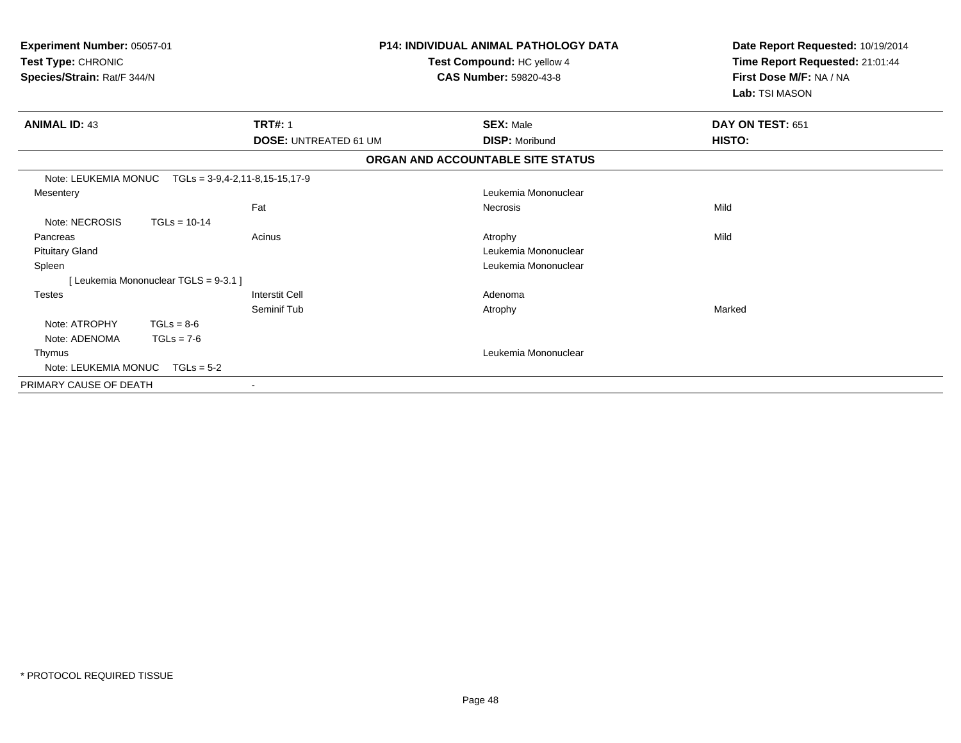| Experiment Number: 05057-01<br>Test Type: CHRONIC<br>Species/Strain: Rat/F 344/N |                                       |                                      | <b>P14: INDIVIDUAL ANIMAL PATHOLOGY DATA</b><br>Test Compound: HC yellow 4<br><b>CAS Number: 59820-43-8</b> | Date Report Requested: 10/19/2014<br>Time Report Requested: 21:01:44<br>First Dose M/F: NA / NA<br>Lab: TSI MASON |  |
|----------------------------------------------------------------------------------|---------------------------------------|--------------------------------------|-------------------------------------------------------------------------------------------------------------|-------------------------------------------------------------------------------------------------------------------|--|
| <b>ANIMAL ID: 43</b>                                                             |                                       | <b>TRT#: 1</b>                       | <b>SEX: Male</b>                                                                                            | DAY ON TEST: 651                                                                                                  |  |
|                                                                                  |                                       | <b>DOSE: UNTREATED 61 UM</b>         | <b>DISP: Moribund</b>                                                                                       | HISTO:                                                                                                            |  |
|                                                                                  |                                       |                                      | ORGAN AND ACCOUNTABLE SITE STATUS                                                                           |                                                                                                                   |  |
| Note: LEUKEMIA MONUC                                                             |                                       | $TGLs = 3-9, 4-2, 11-8, 15-15, 17-9$ |                                                                                                             |                                                                                                                   |  |
| Mesentery                                                                        |                                       |                                      | Leukemia Mononuclear                                                                                        |                                                                                                                   |  |
|                                                                                  |                                       | Fat                                  | <b>Necrosis</b>                                                                                             | Mild                                                                                                              |  |
| Note: NECROSIS                                                                   | $TGLs = 10-14$                        |                                      |                                                                                                             |                                                                                                                   |  |
| Pancreas                                                                         |                                       | Acinus                               | Atrophy                                                                                                     | Mild                                                                                                              |  |
| <b>Pituitary Gland</b>                                                           |                                       |                                      | Leukemia Mononuclear                                                                                        |                                                                                                                   |  |
| Spleen                                                                           |                                       |                                      | Leukemia Mononuclear                                                                                        |                                                                                                                   |  |
|                                                                                  | [ Leukemia Mononuclear TGLS = 9-3.1 ] |                                      |                                                                                                             |                                                                                                                   |  |
| <b>Testes</b>                                                                    |                                       | <b>Interstit Cell</b>                | Adenoma                                                                                                     |                                                                                                                   |  |
|                                                                                  |                                       | Seminif Tub                          | Atrophy                                                                                                     | Marked                                                                                                            |  |
| Note: ATROPHY                                                                    | $TGLs = 8-6$                          |                                      |                                                                                                             |                                                                                                                   |  |
| Note: ADENOMA                                                                    | $TGLs = 7-6$                          |                                      |                                                                                                             |                                                                                                                   |  |
| Thymus                                                                           |                                       |                                      | Leukemia Mononuclear                                                                                        |                                                                                                                   |  |
| Note: LEUKEMIA MONUC                                                             | $TGLs = 5-2$                          |                                      |                                                                                                             |                                                                                                                   |  |
| PRIMARY CAUSE OF DEATH                                                           |                                       | $\sim$                               |                                                                                                             |                                                                                                                   |  |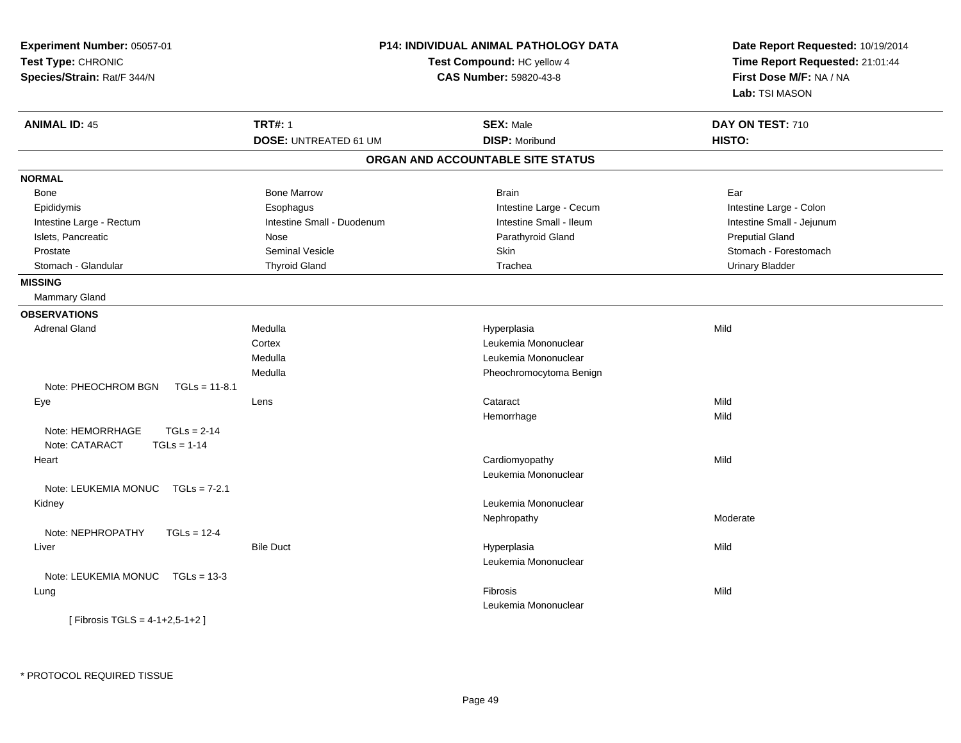| Experiment Number: 05057-01<br>Test Type: CHRONIC<br>Species/Strain: Rat/F 344/N |                              | P14: INDIVIDUAL ANIMAL PATHOLOGY DATA<br>Date Report Requested: 10/19/2014<br>Time Report Requested: 21:01:44<br>Test Compound: HC yellow 4<br>First Dose M/F: NA / NA<br><b>CAS Number: 59820-43-8</b><br>Lab: TSI MASON |                           |
|----------------------------------------------------------------------------------|------------------------------|---------------------------------------------------------------------------------------------------------------------------------------------------------------------------------------------------------------------------|---------------------------|
| <b>ANIMAL ID: 45</b>                                                             | <b>TRT#: 1</b>               | <b>SEX: Male</b>                                                                                                                                                                                                          | DAY ON TEST: 710          |
|                                                                                  | <b>DOSE: UNTREATED 61 UM</b> | <b>DISP: Moribund</b>                                                                                                                                                                                                     | HISTO:                    |
|                                                                                  |                              | ORGAN AND ACCOUNTABLE SITE STATUS                                                                                                                                                                                         |                           |
| <b>NORMAL</b>                                                                    |                              |                                                                                                                                                                                                                           |                           |
| Bone                                                                             | <b>Bone Marrow</b>           | <b>Brain</b>                                                                                                                                                                                                              | Ear                       |
| Epididymis                                                                       | Esophagus                    | Intestine Large - Cecum                                                                                                                                                                                                   | Intestine Large - Colon   |
| Intestine Large - Rectum                                                         | Intestine Small - Duodenum   | Intestine Small - Ileum                                                                                                                                                                                                   | Intestine Small - Jejunum |
| Islets, Pancreatic                                                               | Nose                         | Parathyroid Gland                                                                                                                                                                                                         | <b>Preputial Gland</b>    |
| Prostate                                                                         | <b>Seminal Vesicle</b>       | Skin                                                                                                                                                                                                                      | Stomach - Forestomach     |
| Stomach - Glandular                                                              | <b>Thyroid Gland</b>         | Trachea                                                                                                                                                                                                                   | <b>Urinary Bladder</b>    |
| <b>MISSING</b>                                                                   |                              |                                                                                                                                                                                                                           |                           |
| <b>Mammary Gland</b>                                                             |                              |                                                                                                                                                                                                                           |                           |
| <b>OBSERVATIONS</b>                                                              |                              |                                                                                                                                                                                                                           |                           |
| <b>Adrenal Gland</b>                                                             | Medulla                      | Hyperplasia                                                                                                                                                                                                               | Mild                      |
|                                                                                  | Cortex                       | Leukemia Mononuclear                                                                                                                                                                                                      |                           |
|                                                                                  | Medulla                      | Leukemia Mononuclear                                                                                                                                                                                                      |                           |
|                                                                                  | Medulla                      | Pheochromocytoma Benign                                                                                                                                                                                                   |                           |
| Note: PHEOCHROM BGN<br>$TGLs = 11-8.1$                                           |                              |                                                                                                                                                                                                                           |                           |
| Eye                                                                              | Lens                         | Cataract                                                                                                                                                                                                                  | Mild                      |
|                                                                                  |                              | Hemorrhage                                                                                                                                                                                                                | Mild                      |
| $TGLS = 2-14$<br>Note: HEMORRHAGE<br>Note: CATARACT<br>$TGLs = 1-14$             |                              |                                                                                                                                                                                                                           |                           |
| Heart                                                                            |                              | Cardiomyopathy                                                                                                                                                                                                            | Mild                      |
|                                                                                  |                              | Leukemia Mononuclear                                                                                                                                                                                                      |                           |
| Note: LEUKEMIA MONUC TGLs = 7-2.1                                                |                              |                                                                                                                                                                                                                           |                           |
| Kidney                                                                           |                              | Leukemia Mononuclear                                                                                                                                                                                                      | Moderate                  |
|                                                                                  |                              | Nephropathy                                                                                                                                                                                                               |                           |
| Note: NEPHROPATHY<br>$TGLs = 12-4$                                               |                              |                                                                                                                                                                                                                           |                           |
| Liver                                                                            | <b>Bile Duct</b>             | Hyperplasia<br>Leukemia Mononuclear                                                                                                                                                                                       | Mild                      |
| Note: LEUKEMIA MONUC<br>$TGLs = 13-3$                                            |                              |                                                                                                                                                                                                                           |                           |
|                                                                                  |                              |                                                                                                                                                                                                                           |                           |
| Lung                                                                             |                              | Fibrosis<br>Leukemia Mononuclear                                                                                                                                                                                          | Mild                      |
| [ Fibrosis TGLS = $4-1+2,5-1+2$ ]                                                |                              |                                                                                                                                                                                                                           |                           |
|                                                                                  |                              |                                                                                                                                                                                                                           |                           |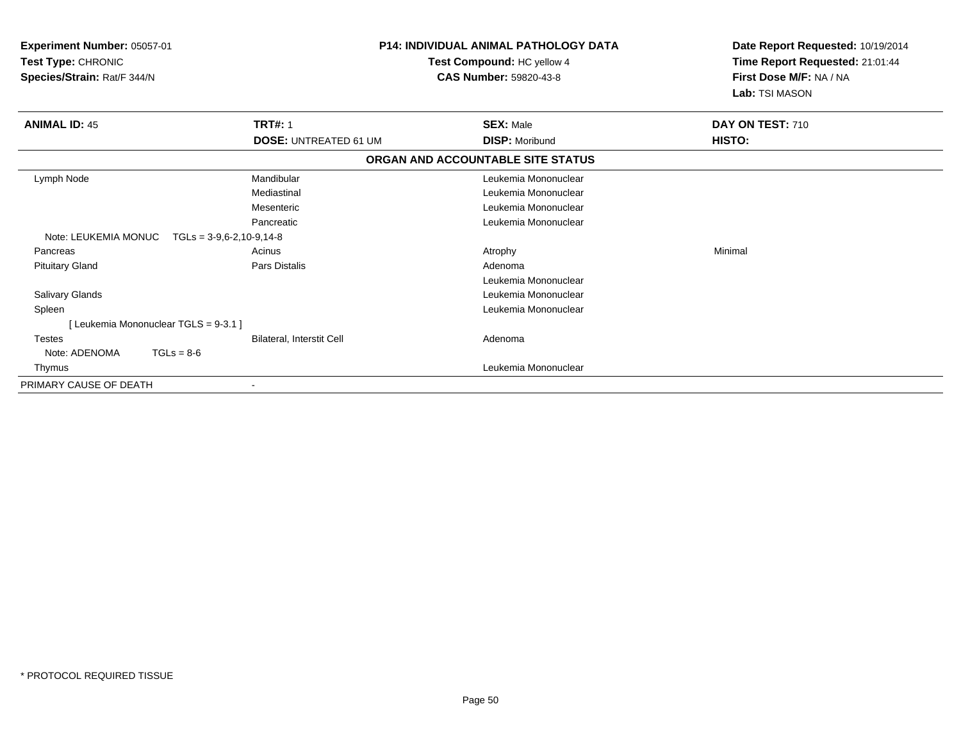| Experiment Number: 05057-01<br>Test Type: CHRONIC<br>Species/Strain: Rat/F 344/N |                                      | <b>P14: INDIVIDUAL ANIMAL PATHOLOGY DATA</b><br>Test Compound: HC yellow 4<br><b>CAS Number: 59820-43-8</b> |                  | Date Report Requested: 10/19/2014<br>Time Report Requested: 21:01:44<br>First Dose M/F: NA / NA<br>Lab: TSI MASON |  |
|----------------------------------------------------------------------------------|--------------------------------------|-------------------------------------------------------------------------------------------------------------|------------------|-------------------------------------------------------------------------------------------------------------------|--|
| <b>ANIMAL ID: 45</b>                                                             | <b>TRT#: 1</b>                       | <b>SEX: Male</b>                                                                                            | DAY ON TEST: 710 |                                                                                                                   |  |
|                                                                                  | <b>DOSE: UNTREATED 61 UM</b>         | <b>DISP: Moribund</b>                                                                                       | HISTO:           |                                                                                                                   |  |
|                                                                                  |                                      | ORGAN AND ACCOUNTABLE SITE STATUS                                                                           |                  |                                                                                                                   |  |
| Lymph Node                                                                       | Mandibular                           | Leukemia Mononuclear                                                                                        |                  |                                                                                                                   |  |
|                                                                                  | Mediastinal                          | Leukemia Mononuclear                                                                                        |                  |                                                                                                                   |  |
|                                                                                  | Mesenteric                           | Leukemia Mononuclear                                                                                        |                  |                                                                                                                   |  |
|                                                                                  | Pancreatic                           | Leukemia Mononuclear                                                                                        |                  |                                                                                                                   |  |
| Note: LEUKEMIA MONUC                                                             | $TGLs = 3-9.6-2.10-9.14-8$           |                                                                                                             |                  |                                                                                                                   |  |
| Pancreas                                                                         | Acinus                               | Atrophy                                                                                                     | Minimal          |                                                                                                                   |  |
| <b>Pituitary Gland</b>                                                           | Pars Distalis                        | Adenoma                                                                                                     |                  |                                                                                                                   |  |
|                                                                                  |                                      | Leukemia Mononuclear                                                                                        |                  |                                                                                                                   |  |
| <b>Salivary Glands</b>                                                           |                                      | Leukemia Mononuclear                                                                                        |                  |                                                                                                                   |  |
| Spleen                                                                           |                                      | Leukemia Mononuclear                                                                                        |                  |                                                                                                                   |  |
|                                                                                  | [Leukemia Mononuclear TGLS = 9-3.1 ] |                                                                                                             |                  |                                                                                                                   |  |
| <b>Testes</b>                                                                    | <b>Bilateral, Interstit Cell</b>     | Adenoma                                                                                                     |                  |                                                                                                                   |  |
| Note: ADENOMA                                                                    | $TGLs = 8-6$                         |                                                                                                             |                  |                                                                                                                   |  |
| Thymus                                                                           |                                      | Leukemia Mononuclear                                                                                        |                  |                                                                                                                   |  |
| PRIMARY CAUSE OF DEATH                                                           |                                      |                                                                                                             |                  |                                                                                                                   |  |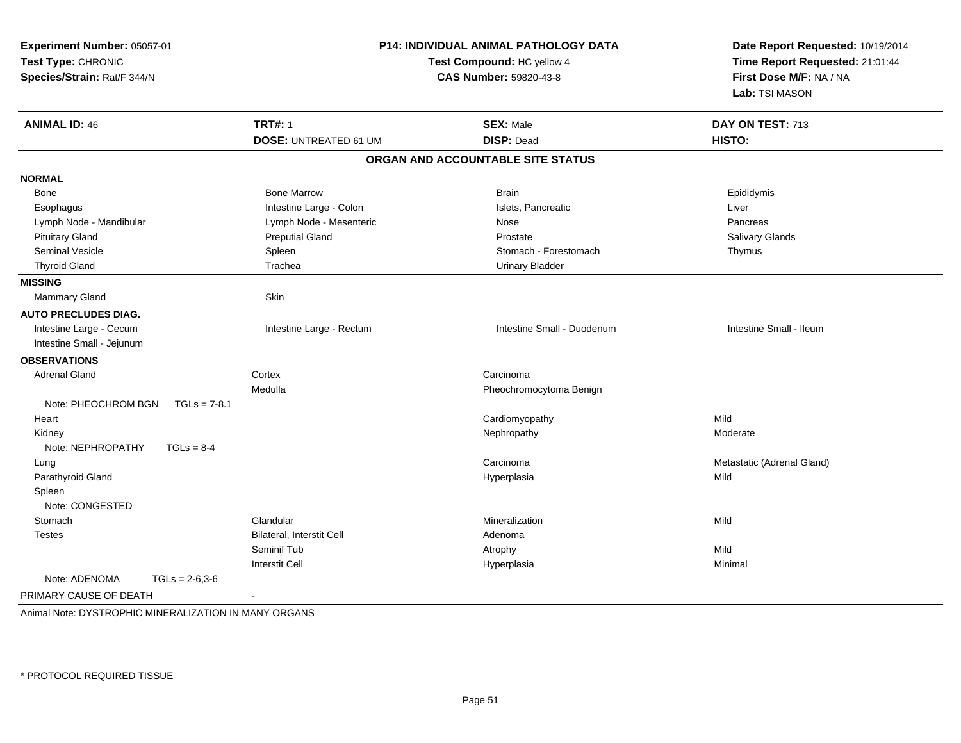| Experiment Number: 05057-01<br>Test Type: CHRONIC<br>Species/Strain: Rat/F 344/N |                              | <b>P14: INDIVIDUAL ANIMAL PATHOLOGY DATA</b><br>Test Compound: HC yellow 4<br>CAS Number: 59820-43-8 | Date Report Requested: 10/19/2014<br>Time Report Requested: 21:01:44<br>First Dose M/F: NA / NA<br>Lab: TSI MASON |  |
|----------------------------------------------------------------------------------|------------------------------|------------------------------------------------------------------------------------------------------|-------------------------------------------------------------------------------------------------------------------|--|
| <b>ANIMAL ID: 46</b>                                                             | <b>TRT#: 1</b>               | <b>SEX: Male</b>                                                                                     | DAY ON TEST: 713                                                                                                  |  |
|                                                                                  | <b>DOSE: UNTREATED 61 UM</b> | <b>DISP: Dead</b>                                                                                    | HISTO:                                                                                                            |  |
|                                                                                  |                              | ORGAN AND ACCOUNTABLE SITE STATUS                                                                    |                                                                                                                   |  |
| <b>NORMAL</b>                                                                    |                              |                                                                                                      |                                                                                                                   |  |
| Bone                                                                             | <b>Bone Marrow</b>           | <b>Brain</b>                                                                                         | Epididymis                                                                                                        |  |
| Esophagus                                                                        | Intestine Large - Colon      | Islets, Pancreatic                                                                                   | Liver                                                                                                             |  |
| Lymph Node - Mandibular                                                          | Lymph Node - Mesenteric      | Nose                                                                                                 | Pancreas                                                                                                          |  |
| <b>Pituitary Gland</b>                                                           | <b>Preputial Gland</b>       | Prostate                                                                                             | <b>Salivary Glands</b>                                                                                            |  |
| Seminal Vesicle                                                                  | Spleen                       | Stomach - Forestomach                                                                                | Thymus                                                                                                            |  |
| <b>Thyroid Gland</b>                                                             | Trachea                      | <b>Urinary Bladder</b>                                                                               |                                                                                                                   |  |
| <b>MISSING</b>                                                                   |                              |                                                                                                      |                                                                                                                   |  |
| Mammary Gland                                                                    | Skin                         |                                                                                                      |                                                                                                                   |  |
| <b>AUTO PRECLUDES DIAG.</b>                                                      |                              |                                                                                                      |                                                                                                                   |  |
| Intestine Large - Cecum                                                          | Intestine Large - Rectum     | Intestine Small - Duodenum                                                                           | Intestine Small - Ileum                                                                                           |  |
| Intestine Small - Jejunum                                                        |                              |                                                                                                      |                                                                                                                   |  |
| <b>OBSERVATIONS</b>                                                              |                              |                                                                                                      |                                                                                                                   |  |
| <b>Adrenal Gland</b>                                                             | Cortex                       | Carcinoma                                                                                            |                                                                                                                   |  |
|                                                                                  | Medulla                      | Pheochromocytoma Benign                                                                              |                                                                                                                   |  |
| Note: PHEOCHROM BGN<br>$TGLs = 7-8.1$                                            |                              |                                                                                                      |                                                                                                                   |  |
| Heart                                                                            |                              | Cardiomyopathy                                                                                       | Mild                                                                                                              |  |
| Kidney                                                                           |                              | Nephropathy                                                                                          | Moderate                                                                                                          |  |
| Note: NEPHROPATHY<br>$TGLs = 8-4$                                                |                              |                                                                                                      |                                                                                                                   |  |
| Lung                                                                             |                              | Carcinoma                                                                                            | Metastatic (Adrenal Gland)                                                                                        |  |
| Parathyroid Gland                                                                |                              | Hyperplasia                                                                                          | Mild                                                                                                              |  |
| Spleen                                                                           |                              |                                                                                                      |                                                                                                                   |  |
| Note: CONGESTED                                                                  |                              |                                                                                                      |                                                                                                                   |  |
| Stomach                                                                          | Glandular                    | Mineralization                                                                                       | Mild                                                                                                              |  |
| <b>Testes</b>                                                                    | Bilateral, Interstit Cell    | Adenoma                                                                                              |                                                                                                                   |  |
|                                                                                  | Seminif Tub                  | Atrophy                                                                                              | Mild                                                                                                              |  |
|                                                                                  | <b>Interstit Cell</b>        | Hyperplasia                                                                                          | Minimal                                                                                                           |  |
| Note: ADENOMA<br>$TGLs = 2-6,3-6$                                                |                              |                                                                                                      |                                                                                                                   |  |
| PRIMARY CAUSE OF DEATH                                                           | $\overline{a}$               |                                                                                                      |                                                                                                                   |  |
| Animal Note: DYSTROPHIC MINERALIZATION IN MANY ORGANS                            |                              |                                                                                                      |                                                                                                                   |  |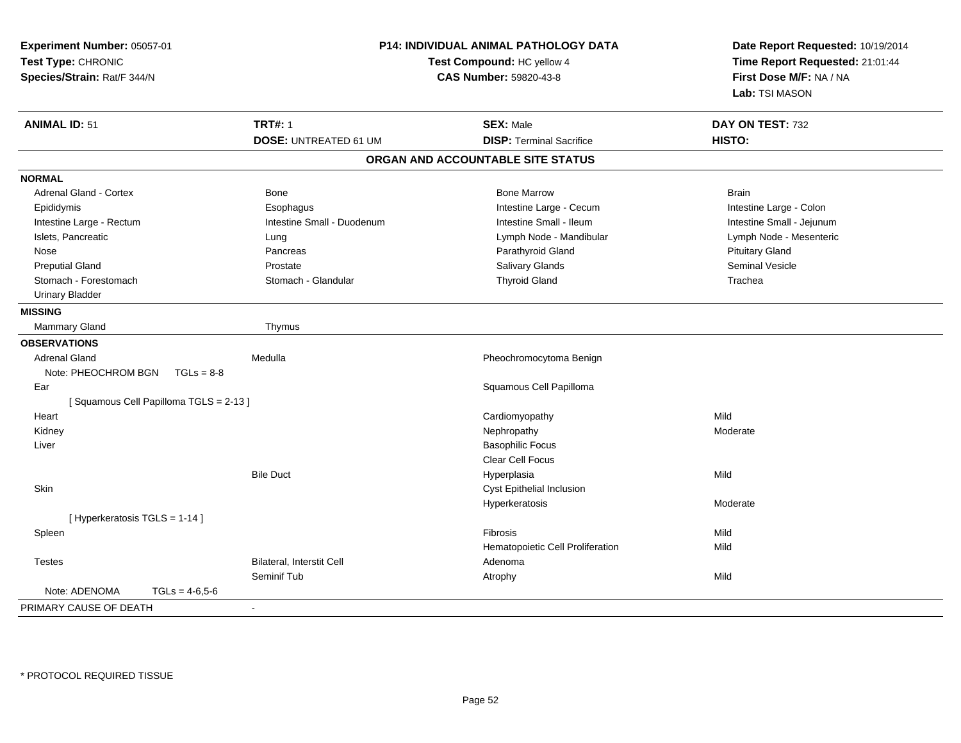| Experiment Number: 05057-01<br>Test Type: CHRONIC<br>Species/Strain: Rat/F 344/N |                                  | P14: INDIVIDUAL ANIMAL PATHOLOGY DATA<br>Test Compound: HC yellow 4<br><b>CAS Number: 59820-43-8</b> | Date Report Requested: 10/19/2014<br>Time Report Requested: 21:01:44<br>First Dose M/F: NA / NA<br>Lab: TSI MASON |
|----------------------------------------------------------------------------------|----------------------------------|------------------------------------------------------------------------------------------------------|-------------------------------------------------------------------------------------------------------------------|
| <b>ANIMAL ID: 51</b>                                                             | <b>TRT#: 1</b>                   | <b>SEX: Male</b>                                                                                     | DAY ON TEST: 732                                                                                                  |
|                                                                                  | <b>DOSE: UNTREATED 61 UM</b>     | <b>DISP: Terminal Sacrifice</b>                                                                      | HISTO:                                                                                                            |
|                                                                                  |                                  | ORGAN AND ACCOUNTABLE SITE STATUS                                                                    |                                                                                                                   |
| <b>NORMAL</b>                                                                    |                                  |                                                                                                      |                                                                                                                   |
| <b>Adrenal Gland - Cortex</b>                                                    | <b>Bone</b>                      | <b>Bone Marrow</b>                                                                                   | <b>Brain</b>                                                                                                      |
| Epididymis                                                                       | Esophagus                        | Intestine Large - Cecum                                                                              | Intestine Large - Colon                                                                                           |
| Intestine Large - Rectum                                                         | Intestine Small - Duodenum       | Intestine Small - Ileum                                                                              | Intestine Small - Jejunum                                                                                         |
| Islets, Pancreatic                                                               | Lung                             | Lymph Node - Mandibular                                                                              | Lymph Node - Mesenteric                                                                                           |
| Nose                                                                             | Pancreas                         | Parathyroid Gland                                                                                    | <b>Pituitary Gland</b>                                                                                            |
| <b>Preputial Gland</b>                                                           | Prostate                         | Salivary Glands                                                                                      | <b>Seminal Vesicle</b>                                                                                            |
| Stomach - Forestomach                                                            | Stomach - Glandular              | <b>Thyroid Gland</b>                                                                                 | Trachea                                                                                                           |
| <b>Urinary Bladder</b>                                                           |                                  |                                                                                                      |                                                                                                                   |
| <b>MISSING</b>                                                                   |                                  |                                                                                                      |                                                                                                                   |
| Mammary Gland                                                                    | Thymus                           |                                                                                                      |                                                                                                                   |
| <b>OBSERVATIONS</b>                                                              |                                  |                                                                                                      |                                                                                                                   |
| <b>Adrenal Gland</b>                                                             | Medulla                          | Pheochromocytoma Benign                                                                              |                                                                                                                   |
| Note: PHEOCHROM BGN<br>$TGLs = 8-8$                                              |                                  |                                                                                                      |                                                                                                                   |
| Ear                                                                              |                                  | Squamous Cell Papilloma                                                                              |                                                                                                                   |
| [Squamous Cell Papilloma TGLS = 2-13]                                            |                                  |                                                                                                      |                                                                                                                   |
| Heart                                                                            |                                  | Cardiomyopathy                                                                                       | Mild                                                                                                              |
| Kidney                                                                           |                                  | Nephropathy                                                                                          | Moderate                                                                                                          |
| Liver                                                                            |                                  | <b>Basophilic Focus</b>                                                                              |                                                                                                                   |
|                                                                                  |                                  | Clear Cell Focus                                                                                     |                                                                                                                   |
|                                                                                  | <b>Bile Duct</b>                 | Hyperplasia                                                                                          | Mild                                                                                                              |
| Skin                                                                             |                                  | Cyst Epithelial Inclusion                                                                            |                                                                                                                   |
|                                                                                  |                                  | Hyperkeratosis                                                                                       | Moderate                                                                                                          |
| [ Hyperkeratosis TGLS = 1-14 ]                                                   |                                  |                                                                                                      |                                                                                                                   |
| Spleen                                                                           |                                  | Fibrosis                                                                                             | Mild                                                                                                              |
|                                                                                  |                                  | Hematopoietic Cell Proliferation                                                                     | Mild                                                                                                              |
| <b>Testes</b>                                                                    | <b>Bilateral, Interstit Cell</b> | Adenoma                                                                                              |                                                                                                                   |
|                                                                                  | Seminif Tub                      | Atrophy                                                                                              | Mild                                                                                                              |
| Note: ADENOMA<br>$TGLs = 4-6.5-6$                                                |                                  |                                                                                                      |                                                                                                                   |
| PRIMARY CAUSE OF DEATH                                                           |                                  |                                                                                                      |                                                                                                                   |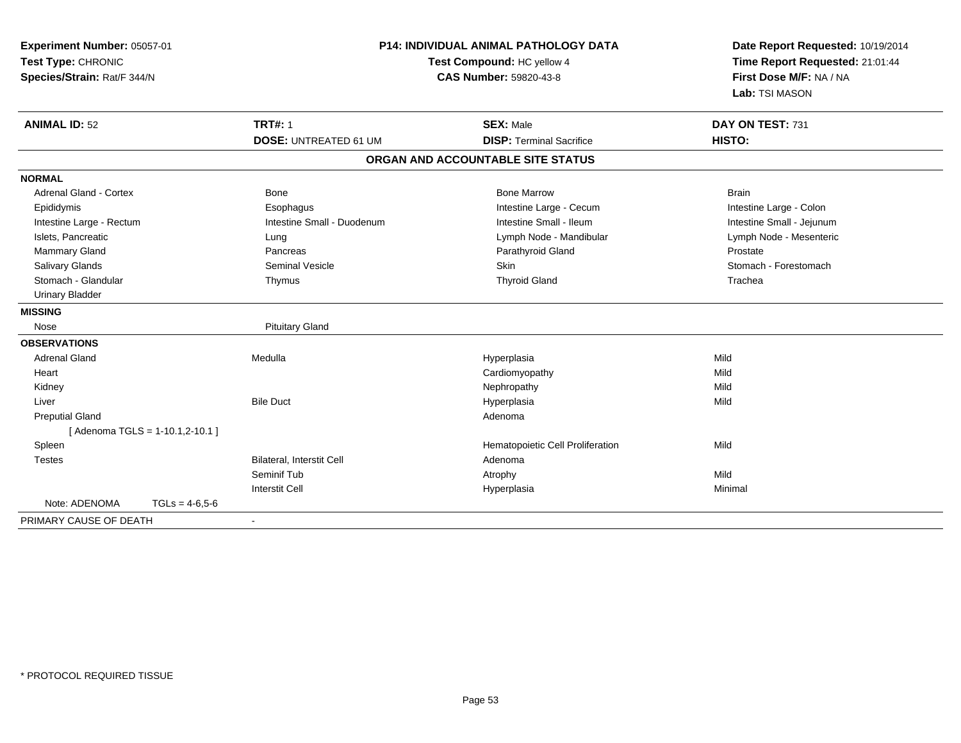| Experiment Number: 05057-01<br>Test Type: CHRONIC<br>Species/Strain: Rat/F 344/N |                                | <b>P14: INDIVIDUAL ANIMAL PATHOLOGY DATA</b><br>Test Compound: HC yellow 4<br><b>CAS Number: 59820-43-8</b> |                                   | Date Report Requested: 10/19/2014<br>Time Report Requested: 21:01:44<br>First Dose M/F: NA / NA<br>Lab: TSI MASON |  |
|----------------------------------------------------------------------------------|--------------------------------|-------------------------------------------------------------------------------------------------------------|-----------------------------------|-------------------------------------------------------------------------------------------------------------------|--|
| <b>ANIMAL ID: 52</b>                                                             |                                | <b>TRT#: 1</b>                                                                                              | <b>SEX: Male</b>                  | DAY ON TEST: 731                                                                                                  |  |
|                                                                                  |                                | <b>DOSE: UNTREATED 61 UM</b>                                                                                | <b>DISP: Terminal Sacrifice</b>   | HISTO:                                                                                                            |  |
|                                                                                  |                                |                                                                                                             | ORGAN AND ACCOUNTABLE SITE STATUS |                                                                                                                   |  |
| <b>NORMAL</b>                                                                    |                                |                                                                                                             |                                   |                                                                                                                   |  |
| Adrenal Gland - Cortex                                                           |                                | <b>Bone</b>                                                                                                 | <b>Bone Marrow</b>                | <b>Brain</b>                                                                                                      |  |
| Epididymis                                                                       |                                | Esophagus                                                                                                   | Intestine Large - Cecum           | Intestine Large - Colon                                                                                           |  |
| Intestine Large - Rectum                                                         |                                | Intestine Small - Duodenum                                                                                  | Intestine Small - Ileum           | Intestine Small - Jejunum                                                                                         |  |
| Islets, Pancreatic                                                               |                                | Lung                                                                                                        | Lymph Node - Mandibular           | Lymph Node - Mesenteric                                                                                           |  |
| Mammary Gland                                                                    |                                | Pancreas                                                                                                    | Parathyroid Gland                 | Prostate                                                                                                          |  |
| Salivary Glands                                                                  |                                | <b>Seminal Vesicle</b>                                                                                      | Skin                              | Stomach - Forestomach                                                                                             |  |
| Stomach - Glandular                                                              |                                | Thymus                                                                                                      | <b>Thyroid Gland</b>              | Trachea                                                                                                           |  |
| <b>Urinary Bladder</b>                                                           |                                |                                                                                                             |                                   |                                                                                                                   |  |
| <b>MISSING</b>                                                                   |                                |                                                                                                             |                                   |                                                                                                                   |  |
| Nose                                                                             |                                | <b>Pituitary Gland</b>                                                                                      |                                   |                                                                                                                   |  |
| <b>OBSERVATIONS</b>                                                              |                                |                                                                                                             |                                   |                                                                                                                   |  |
| <b>Adrenal Gland</b>                                                             |                                | Medulla                                                                                                     | Hyperplasia                       | Mild                                                                                                              |  |
| Heart                                                                            |                                |                                                                                                             | Cardiomyopathy                    | Mild                                                                                                              |  |
| Kidney                                                                           |                                |                                                                                                             | Nephropathy                       | Mild                                                                                                              |  |
| Liver                                                                            |                                | <b>Bile Duct</b>                                                                                            | Hyperplasia                       | Mild                                                                                                              |  |
| <b>Preputial Gland</b>                                                           |                                |                                                                                                             | Adenoma                           |                                                                                                                   |  |
|                                                                                  | [Adenoma TGLS = 1-10.1,2-10.1] |                                                                                                             |                                   |                                                                                                                   |  |
| Spleen                                                                           |                                |                                                                                                             | Hematopoietic Cell Proliferation  | Mild                                                                                                              |  |
| <b>Testes</b>                                                                    |                                | <b>Bilateral, Interstit Cell</b>                                                                            | Adenoma                           |                                                                                                                   |  |
|                                                                                  |                                | Seminif Tub                                                                                                 | Atrophy                           | Mild                                                                                                              |  |
|                                                                                  |                                | <b>Interstit Cell</b>                                                                                       | Hyperplasia                       | Minimal                                                                                                           |  |
| Note: ADENOMA                                                                    | $TGLs = 4-6.5-6$               |                                                                                                             |                                   |                                                                                                                   |  |
| PRIMARY CAUSE OF DEATH                                                           |                                |                                                                                                             |                                   |                                                                                                                   |  |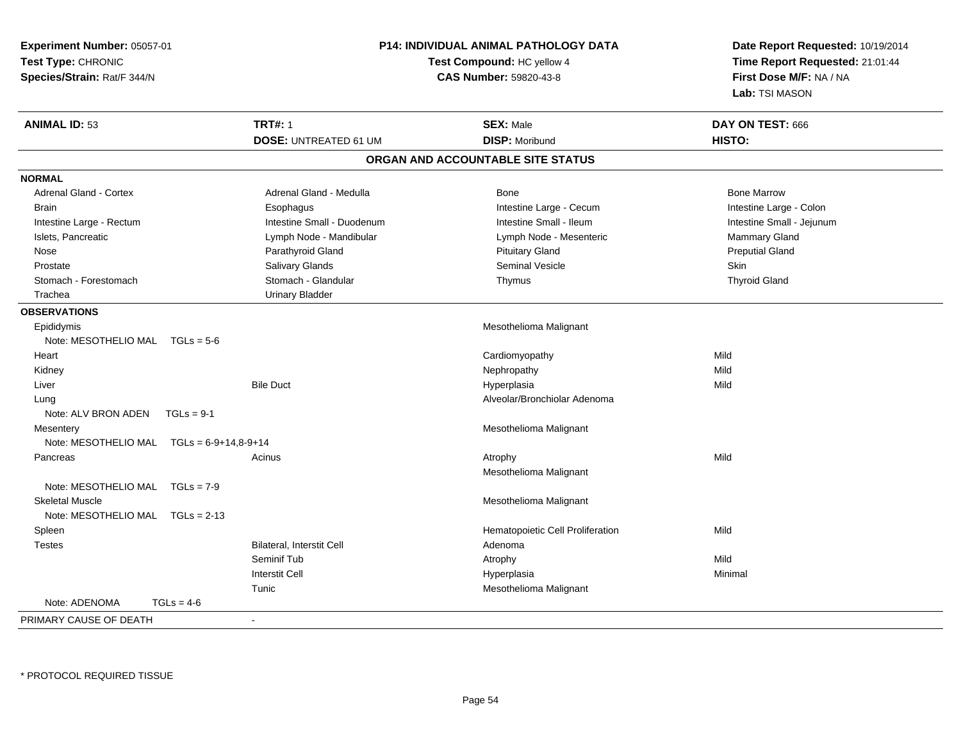| Experiment Number: 05057-01                 |                              | P14: INDIVIDUAL ANIMAL PATHOLOGY DATA | Date Report Requested: 10/19/2014                          |  |
|---------------------------------------------|------------------------------|---------------------------------------|------------------------------------------------------------|--|
| Test Type: CHRONIC                          |                              | Test Compound: HC yellow 4            | Time Report Requested: 21:01:44<br>First Dose M/F: NA / NA |  |
| Species/Strain: Rat/F 344/N                 |                              | CAS Number: 59820-43-8                |                                                            |  |
|                                             |                              |                                       | Lab: TSI MASON                                             |  |
| <b>ANIMAL ID: 53</b>                        | <b>TRT#: 1</b>               | <b>SEX: Male</b>                      | DAY ON TEST: 666                                           |  |
|                                             | <b>DOSE: UNTREATED 61 UM</b> | <b>DISP: Moribund</b>                 | HISTO:                                                     |  |
|                                             |                              | ORGAN AND ACCOUNTABLE SITE STATUS     |                                                            |  |
| <b>NORMAL</b>                               |                              |                                       |                                                            |  |
| <b>Adrenal Gland - Cortex</b>               | Adrenal Gland - Medulla      | <b>Bone</b>                           | <b>Bone Marrow</b>                                         |  |
| <b>Brain</b>                                | Esophagus                    | Intestine Large - Cecum               | Intestine Large - Colon                                    |  |
| Intestine Large - Rectum                    | Intestine Small - Duodenum   | Intestine Small - Ileum               | Intestine Small - Jejunum                                  |  |
| Islets, Pancreatic                          | Lymph Node - Mandibular      | Lymph Node - Mesenteric               | Mammary Gland                                              |  |
| Nose                                        | Parathyroid Gland            | <b>Pituitary Gland</b>                | <b>Preputial Gland</b>                                     |  |
| Prostate                                    | Salivary Glands              | Seminal Vesicle                       | Skin                                                       |  |
| Stomach - Forestomach                       | Stomach - Glandular          | Thymus                                | <b>Thyroid Gland</b>                                       |  |
| Trachea                                     | <b>Urinary Bladder</b>       |                                       |                                                            |  |
| <b>OBSERVATIONS</b>                         |                              |                                       |                                                            |  |
| Epididymis                                  |                              | Mesothelioma Malignant                |                                                            |  |
| Note: MESOTHELIO MAL $TGLs = 5-6$           |                              |                                       |                                                            |  |
| Heart                                       |                              | Cardiomyopathy                        | Mild                                                       |  |
| Kidney                                      |                              | Nephropathy                           | Mild                                                       |  |
| Liver                                       | <b>Bile Duct</b>             | Hyperplasia                           | Mild                                                       |  |
| Lung                                        |                              | Alveolar/Bronchiolar Adenoma          |                                                            |  |
| Note: ALV BRON ADEN<br>$TGLs = 9-1$         |                              |                                       |                                                            |  |
| Mesentery                                   |                              | Mesothelioma Malignant                |                                                            |  |
| Note: MESOTHELIO MAL $TGLs = 6-9+14,8-9+14$ |                              |                                       |                                                            |  |
| Pancreas                                    | Acinus                       | Atrophy                               | Mild                                                       |  |
|                                             |                              | Mesothelioma Malignant                |                                                            |  |
| Note: MESOTHELIO MAL TGLs = 7-9             |                              |                                       |                                                            |  |
| <b>Skeletal Muscle</b>                      |                              | Mesothelioma Malignant                |                                                            |  |
| Note: MESOTHELIO MAL TGLs = 2-13            |                              |                                       |                                                            |  |
| Spleen                                      |                              | Hematopoietic Cell Proliferation      | Mild                                                       |  |
| <b>Testes</b>                               | Bilateral, Interstit Cell    | Adenoma                               |                                                            |  |
|                                             | Seminif Tub                  | Atrophy                               | Mild                                                       |  |
|                                             | <b>Interstit Cell</b>        | Hyperplasia                           | Minimal                                                    |  |
|                                             | Tunic                        | Mesothelioma Malignant                |                                                            |  |
| Note: ADENOMA<br>$TGLs = 4-6$               |                              |                                       |                                                            |  |
| PRIMARY CAUSE OF DEATH                      | $\blacksquare$               |                                       |                                                            |  |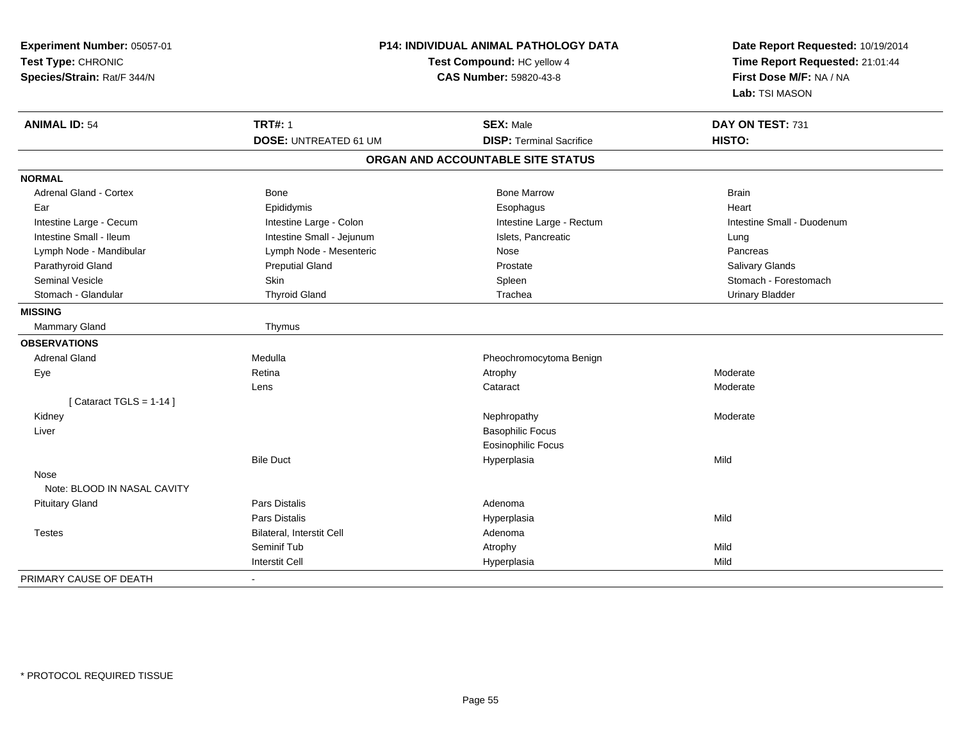| Experiment Number: 05057-01<br>Test Type: CHRONIC<br>Species/Strain: Rat/F 344/N | P14: INDIVIDUAL ANIMAL PATHOLOGY DATA<br>Test Compound: HC yellow 4<br>CAS Number: 59820-43-8 |                                                     | Date Report Requested: 10/19/2014<br>Time Report Requested: 21:01:44<br>First Dose M/F: NA / NA<br>Lab: TSI MASON |
|----------------------------------------------------------------------------------|-----------------------------------------------------------------------------------------------|-----------------------------------------------------|-------------------------------------------------------------------------------------------------------------------|
| <b>ANIMAL ID: 54</b>                                                             | <b>TRT#: 1</b>                                                                                | <b>SEX: Male</b><br><b>DISP: Terminal Sacrifice</b> | DAY ON TEST: 731<br>HISTO:                                                                                        |
|                                                                                  | <b>DOSE: UNTREATED 61 UM</b>                                                                  |                                                     |                                                                                                                   |
|                                                                                  |                                                                                               | ORGAN AND ACCOUNTABLE SITE STATUS                   |                                                                                                                   |
| <b>NORMAL</b>                                                                    |                                                                                               |                                                     |                                                                                                                   |
| Adrenal Gland - Cortex                                                           | <b>Bone</b>                                                                                   | <b>Bone Marrow</b>                                  | <b>Brain</b>                                                                                                      |
| Ear                                                                              | Epididymis                                                                                    | Esophagus                                           | Heart                                                                                                             |
| Intestine Large - Cecum                                                          | Intestine Large - Colon                                                                       | Intestine Large - Rectum                            | Intestine Small - Duodenum                                                                                        |
| Intestine Small - Ileum                                                          | Intestine Small - Jejunum                                                                     | Islets, Pancreatic                                  | Lung                                                                                                              |
| Lymph Node - Mandibular                                                          | Lymph Node - Mesenteric                                                                       | Nose                                                | Pancreas                                                                                                          |
| Parathyroid Gland                                                                | <b>Preputial Gland</b>                                                                        | Prostate                                            | <b>Salivary Glands</b>                                                                                            |
| <b>Seminal Vesicle</b>                                                           | <b>Skin</b>                                                                                   | Spleen                                              | Stomach - Forestomach                                                                                             |
| Stomach - Glandular                                                              | <b>Thyroid Gland</b>                                                                          | Trachea                                             | <b>Urinary Bladder</b>                                                                                            |
| <b>MISSING</b>                                                                   |                                                                                               |                                                     |                                                                                                                   |
| <b>Mammary Gland</b>                                                             | Thymus                                                                                        |                                                     |                                                                                                                   |
| <b>OBSERVATIONS</b>                                                              |                                                                                               |                                                     |                                                                                                                   |
| <b>Adrenal Gland</b>                                                             | Medulla                                                                                       | Pheochromocytoma Benign                             |                                                                                                                   |
| Eye                                                                              | Retina                                                                                        | Atrophy                                             | Moderate                                                                                                          |
|                                                                                  | Lens                                                                                          | Cataract                                            | Moderate                                                                                                          |
| [Cataract TGLS = $1-14$ ]                                                        |                                                                                               |                                                     |                                                                                                                   |
| Kidney                                                                           |                                                                                               | Nephropathy                                         | Moderate                                                                                                          |
| Liver                                                                            |                                                                                               | <b>Basophilic Focus</b>                             |                                                                                                                   |
|                                                                                  |                                                                                               | <b>Eosinophilic Focus</b>                           |                                                                                                                   |
|                                                                                  | <b>Bile Duct</b>                                                                              | Hyperplasia                                         | Mild                                                                                                              |
| Nose                                                                             |                                                                                               |                                                     |                                                                                                                   |
| Note: BLOOD IN NASAL CAVITY                                                      |                                                                                               |                                                     |                                                                                                                   |
| <b>Pituitary Gland</b>                                                           | Pars Distalis                                                                                 | Adenoma                                             |                                                                                                                   |
|                                                                                  | Pars Distalis                                                                                 | Hyperplasia                                         | Mild                                                                                                              |
| <b>Testes</b>                                                                    | Bilateral, Interstit Cell                                                                     | Adenoma                                             |                                                                                                                   |
|                                                                                  | Seminif Tub                                                                                   | Atrophy                                             | Mild                                                                                                              |
|                                                                                  | <b>Interstit Cell</b>                                                                         | Hyperplasia                                         | Mild                                                                                                              |
| PRIMARY CAUSE OF DEATH                                                           | $\blacksquare$                                                                                |                                                     |                                                                                                                   |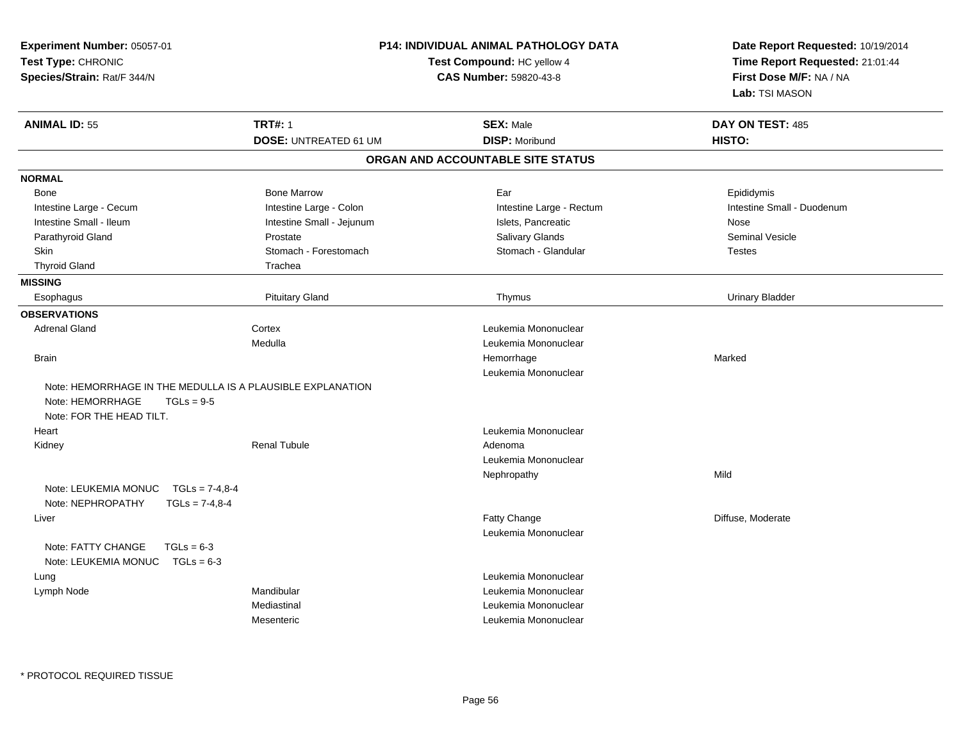| Experiment Number: 05057-01<br>Test Type: CHRONIC<br>Species/Strain: Rat/F 344/N                                           |                                                | <b>P14: INDIVIDUAL ANIMAL PATHOLOGY DATA</b><br>Test Compound: HC yellow 4<br><b>CAS Number: 59820-43-8</b> | Date Report Requested: 10/19/2014<br>Time Report Requested: 21:01:44<br>First Dose M/F: NA / NA<br>Lab: TSI MASON |
|----------------------------------------------------------------------------------------------------------------------------|------------------------------------------------|-------------------------------------------------------------------------------------------------------------|-------------------------------------------------------------------------------------------------------------------|
| <b>ANIMAL ID: 55</b>                                                                                                       | <b>TRT#: 1</b><br><b>DOSE: UNTREATED 61 UM</b> | <b>SEX: Male</b><br><b>DISP: Moribund</b>                                                                   | DAY ON TEST: 485<br>HISTO:                                                                                        |
|                                                                                                                            |                                                | ORGAN AND ACCOUNTABLE SITE STATUS                                                                           |                                                                                                                   |
| <b>NORMAL</b>                                                                                                              |                                                |                                                                                                             |                                                                                                                   |
| Bone                                                                                                                       | <b>Bone Marrow</b>                             | Ear                                                                                                         | Epididymis                                                                                                        |
| Intestine Large - Cecum                                                                                                    | Intestine Large - Colon                        | Intestine Large - Rectum                                                                                    | Intestine Small - Duodenum                                                                                        |
| Intestine Small - Ileum                                                                                                    | Intestine Small - Jejunum                      | Islets, Pancreatic                                                                                          | Nose                                                                                                              |
| Parathyroid Gland                                                                                                          | Prostate                                       | Salivary Glands                                                                                             | <b>Seminal Vesicle</b>                                                                                            |
| Skin                                                                                                                       | Stomach - Forestomach                          | Stomach - Glandular                                                                                         | <b>Testes</b>                                                                                                     |
| <b>Thyroid Gland</b>                                                                                                       | Trachea                                        |                                                                                                             |                                                                                                                   |
| <b>MISSING</b>                                                                                                             |                                                |                                                                                                             |                                                                                                                   |
| Esophagus                                                                                                                  | <b>Pituitary Gland</b>                         | Thymus                                                                                                      | <b>Urinary Bladder</b>                                                                                            |
| <b>OBSERVATIONS</b>                                                                                                        |                                                |                                                                                                             |                                                                                                                   |
| <b>Adrenal Gland</b>                                                                                                       | Cortex                                         | Leukemia Mononuclear                                                                                        |                                                                                                                   |
|                                                                                                                            | Medulla                                        | Leukemia Mononuclear                                                                                        |                                                                                                                   |
| <b>Brain</b>                                                                                                               |                                                | Hemorrhage                                                                                                  | Marked                                                                                                            |
|                                                                                                                            |                                                | Leukemia Mononuclear                                                                                        |                                                                                                                   |
| Note: HEMORRHAGE IN THE MEDULLA IS A PLAUSIBLE EXPLANATION<br>Note: HEMORRHAGE<br>$TGLs = 9-5$<br>Note: FOR THE HEAD TILT. |                                                |                                                                                                             |                                                                                                                   |
| Heart                                                                                                                      |                                                | Leukemia Mononuclear                                                                                        |                                                                                                                   |
| Kidney                                                                                                                     | <b>Renal Tubule</b>                            | Adenoma                                                                                                     |                                                                                                                   |
|                                                                                                                            |                                                | Leukemia Mononuclear                                                                                        |                                                                                                                   |
| Note: LEUKEMIA MONUC<br>$TGLs = 7-4.8-4$<br>Note: NEPHROPATHY<br>$TGLs = 7-4.8-4$                                          |                                                | Nephropathy                                                                                                 | Mild                                                                                                              |
| Liver                                                                                                                      |                                                | Fatty Change<br>Leukemia Mononuclear                                                                        | Diffuse, Moderate                                                                                                 |
| Note: FATTY CHANGE<br>$TGLs = 6-3$<br>Note: LEUKEMIA MONUC TGLs = 6-3                                                      |                                                |                                                                                                             |                                                                                                                   |
| Lung                                                                                                                       |                                                | Leukemia Mononuclear                                                                                        |                                                                                                                   |
| Lymph Node                                                                                                                 | Mandibular                                     | Leukemia Mononuclear                                                                                        |                                                                                                                   |
|                                                                                                                            | Mediastinal                                    | Leukemia Mononuclear                                                                                        |                                                                                                                   |
|                                                                                                                            | Mesenteric                                     | Leukemia Mononuclear                                                                                        |                                                                                                                   |
|                                                                                                                            |                                                |                                                                                                             |                                                                                                                   |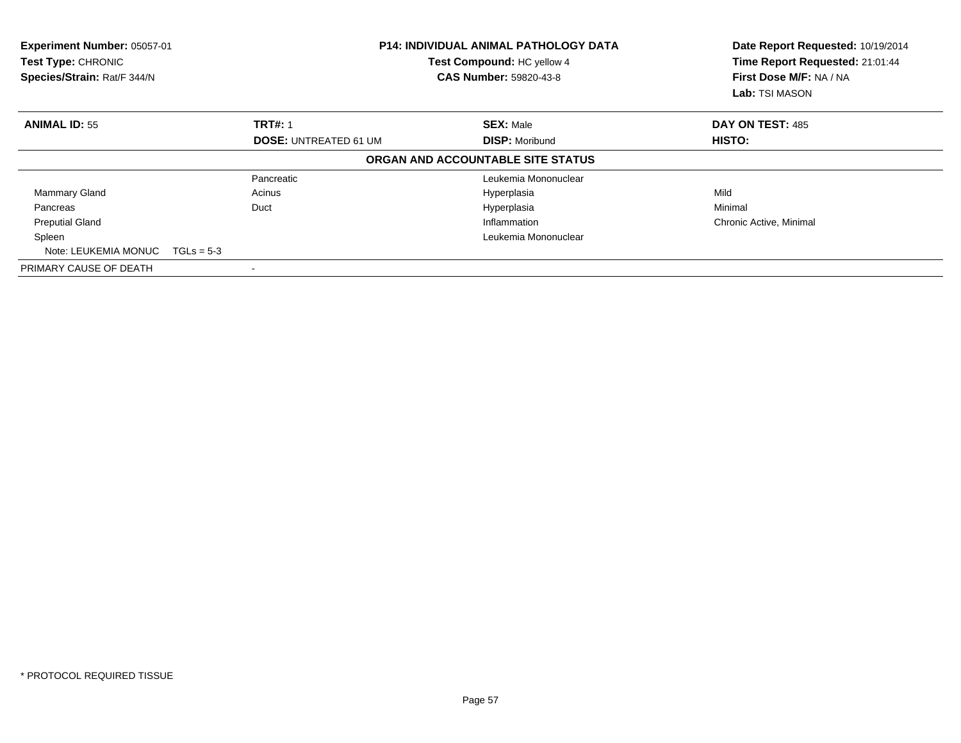| Experiment Number: 05057-01<br><b>Test Type: CHRONIC</b><br>Species/Strain: Rat/F 344/N |                              | <b>P14: INDIVIDUAL ANIMAL PATHOLOGY DATA</b><br>Test Compound: HC yellow 4<br><b>CAS Number: 59820-43-8</b> | Date Report Requested: 10/19/2014<br>Time Report Requested: 21:01:44<br>First Dose M/F: NA / NA<br>Lab: TSI MASON |
|-----------------------------------------------------------------------------------------|------------------------------|-------------------------------------------------------------------------------------------------------------|-------------------------------------------------------------------------------------------------------------------|
| <b>ANIMAL ID: 55</b>                                                                    | <b>TRT#: 1</b>               | <b>SEX: Male</b>                                                                                            | DAY ON TEST: 485                                                                                                  |
|                                                                                         | <b>DOSE: UNTREATED 61 UM</b> | <b>DISP: Moribund</b>                                                                                       | <b>HISTO:</b>                                                                                                     |
|                                                                                         |                              | ORGAN AND ACCOUNTABLE SITE STATUS                                                                           |                                                                                                                   |
|                                                                                         | Pancreatic                   | Leukemia Mononuclear                                                                                        |                                                                                                                   |
| <b>Mammary Gland</b>                                                                    | Acinus                       | Hyperplasia                                                                                                 | Mild                                                                                                              |
| Pancreas                                                                                | Duct                         | Hyperplasia                                                                                                 | Minimal                                                                                                           |
| <b>Preputial Gland</b>                                                                  |                              | Inflammation                                                                                                | Chronic Active, Minimal                                                                                           |
| Spleen                                                                                  |                              | Leukemia Mononuclear                                                                                        |                                                                                                                   |
| Note: LEUKEMIA MONUC                                                                    | $TGLs = 5-3$                 |                                                                                                             |                                                                                                                   |
| PRIMARY CAUSE OF DEATH                                                                  |                              |                                                                                                             |                                                                                                                   |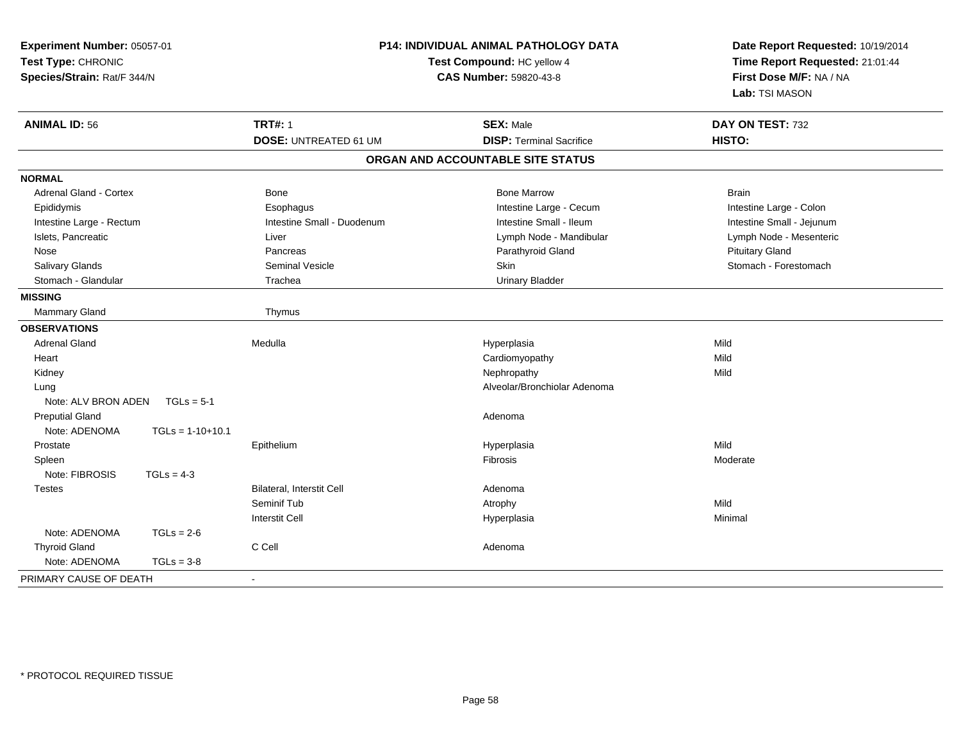| Experiment Number: 05057-01<br>Test Type: CHRONIC<br>Species/Strain: Rat/F 344/N |                              | P14: INDIVIDUAL ANIMAL PATHOLOGY DATA<br>Test Compound: HC yellow 4<br><b>CAS Number: 59820-43-8</b> | Date Report Requested: 10/19/2014<br>Time Report Requested: 21:01:44<br>First Dose M/F: NA / NA<br>Lab: TSI MASON |  |
|----------------------------------------------------------------------------------|------------------------------|------------------------------------------------------------------------------------------------------|-------------------------------------------------------------------------------------------------------------------|--|
| <b>ANIMAL ID: 56</b>                                                             | <b>TRT#: 1</b>               | <b>SEX: Male</b>                                                                                     | DAY ON TEST: 732                                                                                                  |  |
|                                                                                  | <b>DOSE: UNTREATED 61 UM</b> | <b>DISP: Terminal Sacrifice</b>                                                                      | HISTO:                                                                                                            |  |
|                                                                                  |                              | ORGAN AND ACCOUNTABLE SITE STATUS                                                                    |                                                                                                                   |  |
| <b>NORMAL</b>                                                                    |                              |                                                                                                      |                                                                                                                   |  |
| <b>Adrenal Gland - Cortex</b>                                                    | Bone                         | <b>Bone Marrow</b>                                                                                   | <b>Brain</b>                                                                                                      |  |
| Epididymis                                                                       | Esophagus                    | Intestine Large - Cecum                                                                              | Intestine Large - Colon                                                                                           |  |
| Intestine Large - Rectum                                                         | Intestine Small - Duodenum   | Intestine Small - Ileum                                                                              | Intestine Small - Jejunum                                                                                         |  |
| Islets, Pancreatic                                                               | Liver                        | Lymph Node - Mandibular                                                                              | Lymph Node - Mesenteric                                                                                           |  |
| Nose                                                                             | Pancreas                     | Parathyroid Gland                                                                                    | <b>Pituitary Gland</b>                                                                                            |  |
| Salivary Glands                                                                  | <b>Seminal Vesicle</b>       | <b>Skin</b>                                                                                          | Stomach - Forestomach                                                                                             |  |
| Stomach - Glandular                                                              | Trachea                      | <b>Urinary Bladder</b>                                                                               |                                                                                                                   |  |
| <b>MISSING</b>                                                                   |                              |                                                                                                      |                                                                                                                   |  |
| Mammary Gland                                                                    | Thymus                       |                                                                                                      |                                                                                                                   |  |
| <b>OBSERVATIONS</b>                                                              |                              |                                                                                                      |                                                                                                                   |  |
| <b>Adrenal Gland</b>                                                             | Medulla                      | Hyperplasia                                                                                          | Mild                                                                                                              |  |
| Heart                                                                            |                              | Cardiomyopathy                                                                                       | Mild                                                                                                              |  |
| Kidney                                                                           |                              | Nephropathy                                                                                          | Mild                                                                                                              |  |
| Lung                                                                             |                              | Alveolar/Bronchiolar Adenoma                                                                         |                                                                                                                   |  |
| Note: ALV BRON ADEN<br>$TGLs = 5-1$                                              |                              |                                                                                                      |                                                                                                                   |  |
| <b>Preputial Gland</b>                                                           |                              | Adenoma                                                                                              |                                                                                                                   |  |
| Note: ADENOMA<br>$TGLs = 1-10+10.1$                                              |                              |                                                                                                      |                                                                                                                   |  |
| Prostate                                                                         | Epithelium                   | Hyperplasia                                                                                          | Mild                                                                                                              |  |
| Spleen                                                                           |                              | <b>Fibrosis</b>                                                                                      | Moderate                                                                                                          |  |
| Note: FIBROSIS<br>$TGLs = 4-3$                                                   |                              |                                                                                                      |                                                                                                                   |  |
| <b>Testes</b>                                                                    | Bilateral, Interstit Cell    | Adenoma                                                                                              |                                                                                                                   |  |
|                                                                                  | Seminif Tub                  | Atrophy                                                                                              | Mild                                                                                                              |  |
|                                                                                  | <b>Interstit Cell</b>        | Hyperplasia                                                                                          | Minimal                                                                                                           |  |
| Note: ADENOMA<br>$TGLs = 2-6$                                                    |                              |                                                                                                      |                                                                                                                   |  |
| <b>Thyroid Gland</b>                                                             | C Cell                       | Adenoma                                                                                              |                                                                                                                   |  |
| Note: ADENOMA<br>$TGLs = 3-8$                                                    |                              |                                                                                                      |                                                                                                                   |  |
| PRIMARY CAUSE OF DEATH                                                           | $\blacksquare$               |                                                                                                      |                                                                                                                   |  |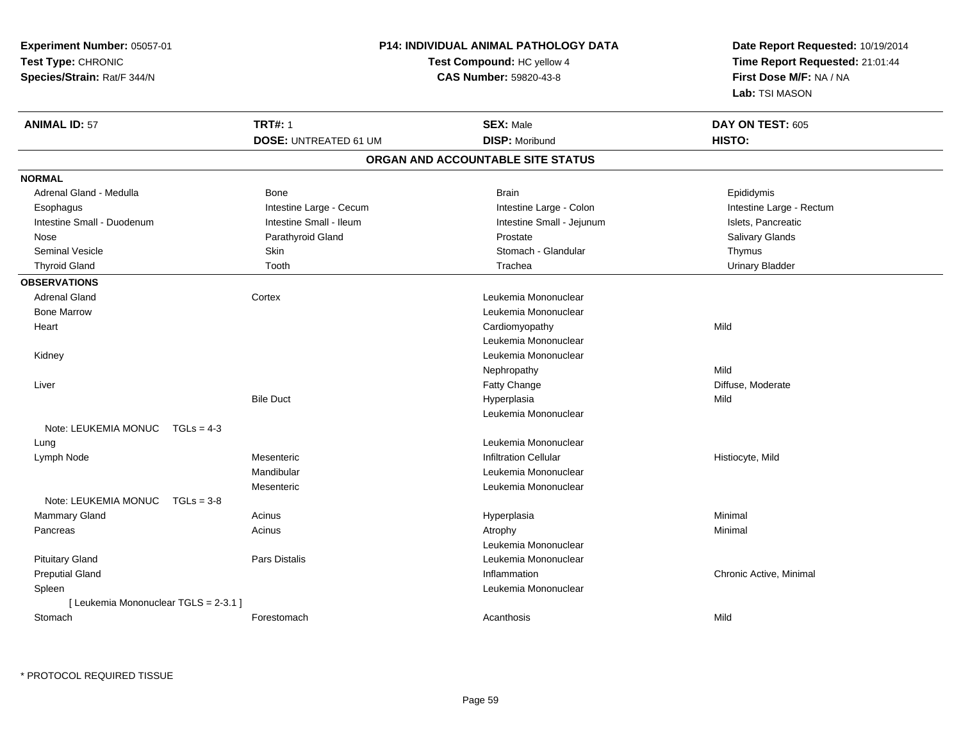| Experiment Number: 05057-01           |                              | <b>P14: INDIVIDUAL ANIMAL PATHOLOGY DATA</b> | Date Report Requested: 10/19/2014                          |  |
|---------------------------------------|------------------------------|----------------------------------------------|------------------------------------------------------------|--|
| Test Type: CHRONIC                    |                              | Test Compound: HC yellow 4                   | Time Report Requested: 21:01:44<br>First Dose M/F: NA / NA |  |
| Species/Strain: Rat/F 344/N           |                              | CAS Number: 59820-43-8                       |                                                            |  |
|                                       |                              |                                              | Lab: TSI MASON                                             |  |
|                                       |                              |                                              |                                                            |  |
| <b>ANIMAL ID: 57</b>                  | <b>TRT#: 1</b>               | <b>SEX: Male</b>                             | DAY ON TEST: 605                                           |  |
|                                       | <b>DOSE: UNTREATED 61 UM</b> | <b>DISP: Moribund</b>                        | HISTO:                                                     |  |
|                                       |                              | ORGAN AND ACCOUNTABLE SITE STATUS            |                                                            |  |
| <b>NORMAL</b>                         |                              |                                              |                                                            |  |
| Adrenal Gland - Medulla               | Bone                         | <b>Brain</b>                                 | Epididymis                                                 |  |
| Esophagus                             | Intestine Large - Cecum      | Intestine Large - Colon                      | Intestine Large - Rectum                                   |  |
| Intestine Small - Duodenum            | Intestine Small - Ileum      | Intestine Small - Jejunum                    | Islets, Pancreatic                                         |  |
| Nose                                  | Parathyroid Gland            | Prostate                                     | Salivary Glands                                            |  |
| Seminal Vesicle                       | Skin                         | Stomach - Glandular                          | Thymus                                                     |  |
| <b>Thyroid Gland</b>                  | Tooth                        | Trachea                                      | <b>Urinary Bladder</b>                                     |  |
| <b>OBSERVATIONS</b>                   |                              |                                              |                                                            |  |
| <b>Adrenal Gland</b>                  | Cortex                       | Leukemia Mononuclear                         |                                                            |  |
| <b>Bone Marrow</b>                    |                              | Leukemia Mononuclear                         |                                                            |  |
| Heart                                 |                              | Cardiomyopathy                               | Mild                                                       |  |
|                                       |                              | Leukemia Mononuclear                         |                                                            |  |
| Kidney                                |                              | Leukemia Mononuclear                         |                                                            |  |
|                                       |                              | Nephropathy                                  | Mild                                                       |  |
| Liver                                 |                              | Fatty Change                                 | Diffuse, Moderate                                          |  |
|                                       | <b>Bile Duct</b>             | Hyperplasia                                  | Mild                                                       |  |
|                                       |                              | Leukemia Mononuclear                         |                                                            |  |
| Note: LEUKEMIA MONUC $TGLs = 4-3$     |                              |                                              |                                                            |  |
| Lung                                  |                              | Leukemia Mononuclear                         |                                                            |  |
| Lymph Node                            | Mesenteric                   | <b>Infiltration Cellular</b>                 | Histiocyte, Mild                                           |  |
|                                       | Mandibular                   | Leukemia Mononuclear                         |                                                            |  |
|                                       | Mesenteric                   | Leukemia Mononuclear                         |                                                            |  |
| Note: LEUKEMIA MONUC                  | $TGLs = 3-8$                 |                                              |                                                            |  |
| Mammary Gland                         | Acinus                       | Hyperplasia                                  | Minimal                                                    |  |
| Pancreas                              | Acinus                       | Atrophy                                      | Minimal                                                    |  |
|                                       |                              | Leukemia Mononuclear                         |                                                            |  |
| <b>Pituitary Gland</b>                | <b>Pars Distalis</b>         | Leukemia Mononuclear                         |                                                            |  |
| <b>Preputial Gland</b>                |                              | Inflammation                                 | Chronic Active, Minimal                                    |  |
| Spleen                                |                              | Leukemia Mononuclear                         |                                                            |  |
| [ Leukemia Mononuclear TGLS = 2-3.1 ] |                              |                                              |                                                            |  |
| Stomach                               | Forestomach                  | Acanthosis                                   | Mild                                                       |  |
|                                       |                              |                                              |                                                            |  |

\* PROTOCOL REQUIRED TISSUE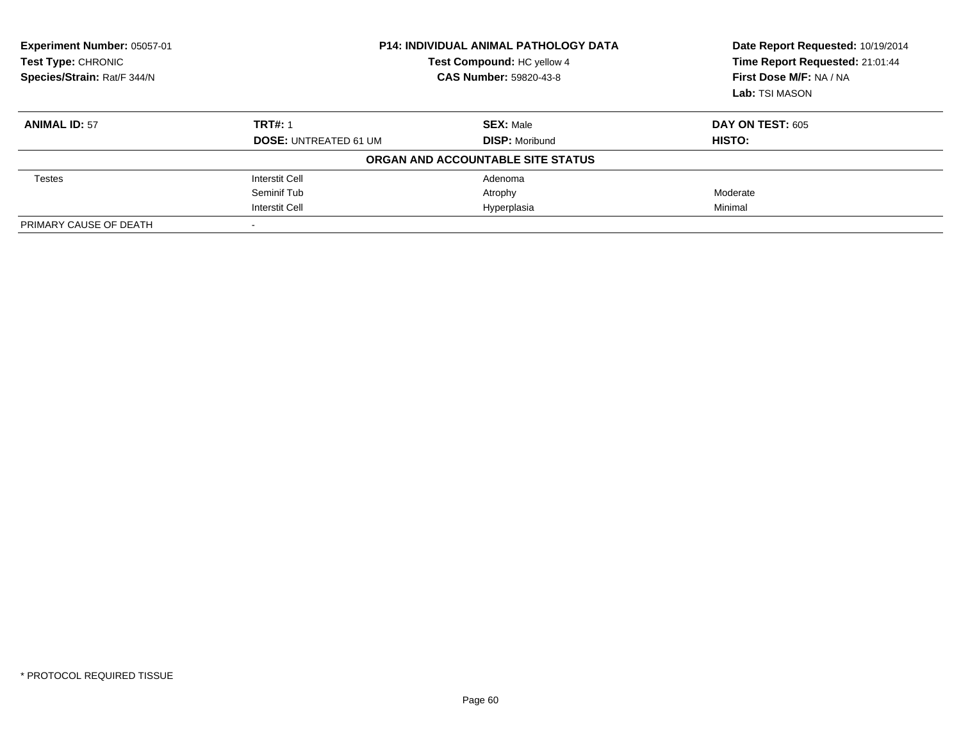| Experiment Number: 05057-01<br><b>Test Type: CHRONIC</b><br>Species/Strain: Rat/F 344/N |                              | <b>P14: INDIVIDUAL ANIMAL PATHOLOGY DATA</b><br>Test Compound: HC yellow 4<br><b>CAS Number: 59820-43-8</b> | Date Report Requested: 10/19/2014<br>Time Report Requested: 21:01:44<br>First Dose M/F: NA / NA<br>Lab: TSI MASON |
|-----------------------------------------------------------------------------------------|------------------------------|-------------------------------------------------------------------------------------------------------------|-------------------------------------------------------------------------------------------------------------------|
| <b>ANIMAL ID: 57</b>                                                                    | <b>TRT#: 1</b>               | <b>SEX: Male</b>                                                                                            | <b>DAY ON TEST: 605</b>                                                                                           |
|                                                                                         | <b>DOSE: UNTREATED 61 UM</b> | <b>DISP:</b> Moribund                                                                                       | HISTO:                                                                                                            |
|                                                                                         |                              | ORGAN AND ACCOUNTABLE SITE STATUS                                                                           |                                                                                                                   |
| <b>Testes</b>                                                                           | <b>Interstit Cell</b>        | Adenoma                                                                                                     |                                                                                                                   |
|                                                                                         | Seminif Tub                  | Atrophy                                                                                                     | Moderate                                                                                                          |
|                                                                                         | <b>Interstit Cell</b>        | Hyperplasia                                                                                                 | Minimal                                                                                                           |
| PRIMARY CAUSE OF DEATH                                                                  |                              |                                                                                                             |                                                                                                                   |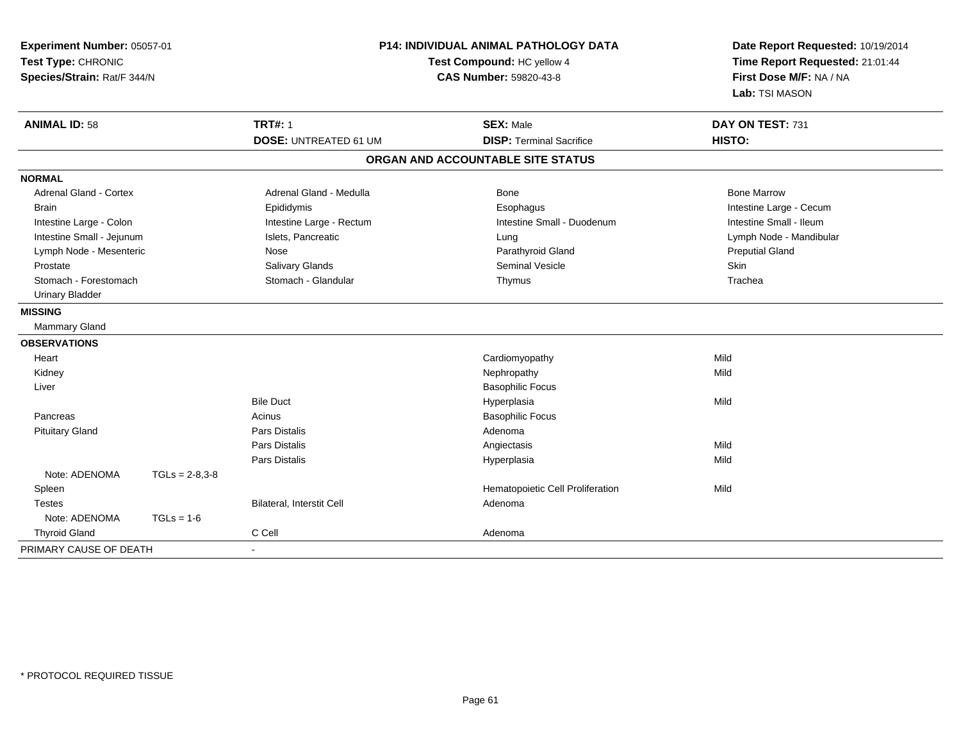| Experiment Number: 05057-01<br>Test Type: CHRONIC<br>Species/Strain: Rat/F 344/N |                  | <b>P14: INDIVIDUAL ANIMAL PATHOLOGY DATA</b><br>Test Compound: HC yellow 4<br><b>CAS Number: 59820-43-8</b> |                                   | Date Report Requested: 10/19/2014<br>Time Report Requested: 21:01:44<br>First Dose M/F: NA / NA<br>Lab: TSI MASON |
|----------------------------------------------------------------------------------|------------------|-------------------------------------------------------------------------------------------------------------|-----------------------------------|-------------------------------------------------------------------------------------------------------------------|
| <b>ANIMAL ID: 58</b>                                                             |                  | <b>TRT#: 1</b>                                                                                              | <b>SEX: Male</b>                  | DAY ON TEST: 731                                                                                                  |
|                                                                                  |                  | <b>DOSE: UNTREATED 61 UM</b>                                                                                | <b>DISP: Terminal Sacrifice</b>   | HISTO:                                                                                                            |
|                                                                                  |                  |                                                                                                             | ORGAN AND ACCOUNTABLE SITE STATUS |                                                                                                                   |
| <b>NORMAL</b>                                                                    |                  |                                                                                                             |                                   |                                                                                                                   |
| <b>Adrenal Gland - Cortex</b>                                                    |                  | Adrenal Gland - Medulla                                                                                     | Bone                              | <b>Bone Marrow</b>                                                                                                |
| <b>Brain</b>                                                                     |                  | Epididymis                                                                                                  | Esophagus                         | Intestine Large - Cecum                                                                                           |
| Intestine Large - Colon                                                          |                  | Intestine Large - Rectum                                                                                    | Intestine Small - Duodenum        | Intestine Small - Ileum                                                                                           |
| Intestine Small - Jejunum                                                        |                  | Islets, Pancreatic                                                                                          | Lung                              | Lymph Node - Mandibular                                                                                           |
| Lymph Node - Mesenteric                                                          |                  | Nose                                                                                                        | Parathyroid Gland                 | <b>Preputial Gland</b>                                                                                            |
| Prostate                                                                         |                  | Salivary Glands                                                                                             | Seminal Vesicle                   | Skin                                                                                                              |
| Stomach - Forestomach                                                            |                  | Stomach - Glandular                                                                                         | Thymus                            | Trachea                                                                                                           |
| <b>Urinary Bladder</b>                                                           |                  |                                                                                                             |                                   |                                                                                                                   |
| <b>MISSING</b>                                                                   |                  |                                                                                                             |                                   |                                                                                                                   |
| <b>Mammary Gland</b>                                                             |                  |                                                                                                             |                                   |                                                                                                                   |
| <b>OBSERVATIONS</b>                                                              |                  |                                                                                                             |                                   |                                                                                                                   |
| Heart                                                                            |                  |                                                                                                             | Cardiomyopathy                    | Mild                                                                                                              |
| Kidney                                                                           |                  |                                                                                                             | Nephropathy                       | Mild                                                                                                              |
| Liver                                                                            |                  |                                                                                                             | <b>Basophilic Focus</b>           |                                                                                                                   |
|                                                                                  |                  | <b>Bile Duct</b>                                                                                            | Hyperplasia                       | Mild                                                                                                              |
| Pancreas                                                                         |                  | Acinus                                                                                                      | <b>Basophilic Focus</b>           |                                                                                                                   |
| <b>Pituitary Gland</b>                                                           |                  | <b>Pars Distalis</b>                                                                                        | Adenoma                           |                                                                                                                   |
|                                                                                  |                  | <b>Pars Distalis</b>                                                                                        | Angiectasis                       | Mild                                                                                                              |
|                                                                                  |                  | Pars Distalis                                                                                               | Hyperplasia                       | Mild                                                                                                              |
| Note: ADENOMA                                                                    | $TGLs = 2-8,3-8$ |                                                                                                             |                                   |                                                                                                                   |
| Spleen                                                                           |                  |                                                                                                             | Hematopoietic Cell Proliferation  | Mild                                                                                                              |
| <b>Testes</b>                                                                    |                  | <b>Bilateral, Interstit Cell</b>                                                                            | Adenoma                           |                                                                                                                   |
| Note: ADENOMA                                                                    | $TGLs = 1-6$     |                                                                                                             |                                   |                                                                                                                   |
| <b>Thyroid Gland</b>                                                             |                  | C Cell                                                                                                      | Adenoma                           |                                                                                                                   |
| PRIMARY CAUSE OF DEATH                                                           |                  |                                                                                                             |                                   |                                                                                                                   |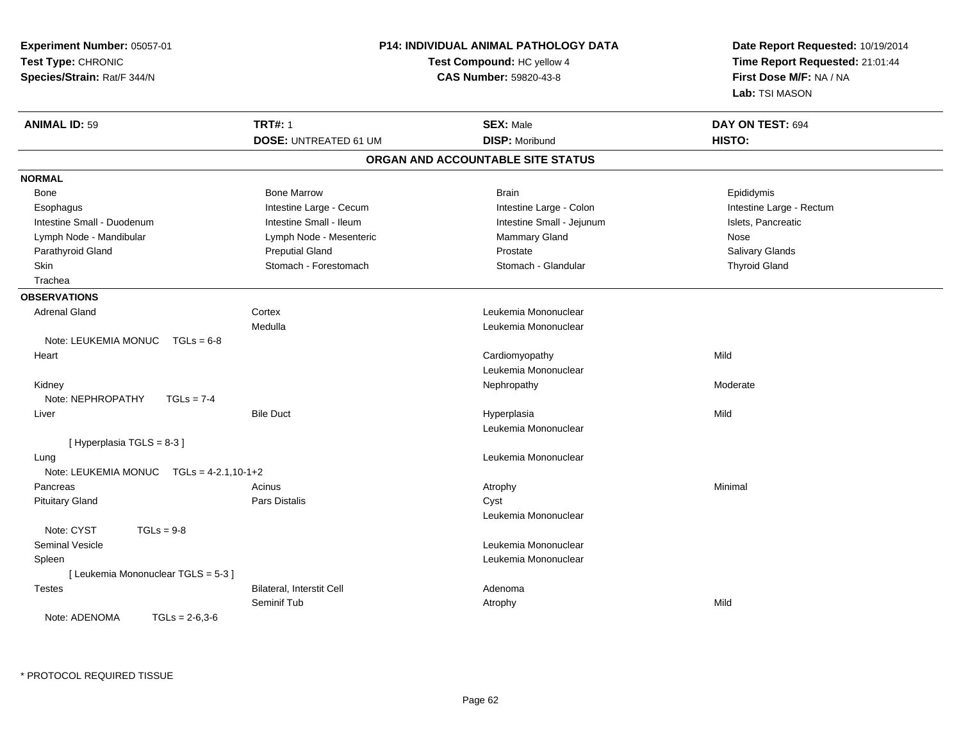| Experiment Number: 05057-01                 | P14: INDIVIDUAL ANIMAL PATHOLOGY DATA |                                   | Date Report Requested: 10/19/2014 |
|---------------------------------------------|---------------------------------------|-----------------------------------|-----------------------------------|
| Test Type: CHRONIC                          | Test Compound: HC yellow 4            |                                   | Time Report Requested: 21:01:44   |
| Species/Strain: Rat/F 344/N                 |                                       | <b>CAS Number: 59820-43-8</b>     | First Dose M/F: NA / NA           |
|                                             |                                       |                                   | Lab: TSI MASON                    |
| <b>ANIMAL ID: 59</b>                        | <b>TRT#: 1</b>                        | <b>SEX: Male</b>                  | DAY ON TEST: 694                  |
|                                             | <b>DOSE: UNTREATED 61 UM</b>          | <b>DISP: Moribund</b>             | HISTO:                            |
|                                             |                                       | ORGAN AND ACCOUNTABLE SITE STATUS |                                   |
| <b>NORMAL</b>                               |                                       |                                   |                                   |
| Bone                                        | <b>Bone Marrow</b>                    | <b>Brain</b>                      | Epididymis                        |
| Esophagus                                   | Intestine Large - Cecum               | Intestine Large - Colon           | Intestine Large - Rectum          |
| Intestine Small - Duodenum                  | Intestine Small - Ileum               | Intestine Small - Jejunum         | Islets, Pancreatic                |
| Lymph Node - Mandibular                     | Lymph Node - Mesenteric               | <b>Mammary Gland</b>              | Nose                              |
| Parathyroid Gland                           | <b>Preputial Gland</b>                | Prostate                          | Salivary Glands                   |
| Skin                                        | Stomach - Forestomach                 | Stomach - Glandular               | <b>Thyroid Gland</b>              |
| Trachea                                     |                                       |                                   |                                   |
| <b>OBSERVATIONS</b>                         |                                       |                                   |                                   |
| <b>Adrenal Gland</b>                        | Cortex                                | Leukemia Mononuclear              |                                   |
|                                             | Medulla                               | Leukemia Mononuclear              |                                   |
| Note: LEUKEMIA MONUC<br>$TGLs = 6-8$        |                                       |                                   |                                   |
| Heart                                       |                                       | Cardiomyopathy                    | Mild                              |
|                                             |                                       | Leukemia Mononuclear              |                                   |
| Kidney                                      |                                       | Nephropathy                       | Moderate                          |
| Note: NEPHROPATHY<br>$TGLs = 7-4$           |                                       |                                   |                                   |
| Liver                                       | <b>Bile Duct</b>                      | Hyperplasia                       | Mild                              |
|                                             |                                       | Leukemia Mononuclear              |                                   |
| [Hyperplasia TGLS = 8-3]                    |                                       |                                   |                                   |
| Lung                                        |                                       | Leukemia Mononuclear              |                                   |
| Note: LEUKEMIA MONUC $TGLs = 4-2.1, 10-1+2$ |                                       |                                   |                                   |
| Pancreas                                    | Acinus                                | Atrophy                           | Minimal                           |
| <b>Pituitary Gland</b>                      | Pars Distalis                         | Cyst                              |                                   |
|                                             |                                       | Leukemia Mononuclear              |                                   |
| Note: CYST<br>$TGLs = 9-8$                  |                                       |                                   |                                   |
| <b>Seminal Vesicle</b>                      |                                       | Leukemia Mononuclear              |                                   |
| Spleen                                      |                                       | Leukemia Mononuclear              |                                   |
| [ Leukemia Mononuclear TGLS = 5-3 ]         |                                       |                                   |                                   |
| <b>Testes</b>                               | Bilateral, Interstit Cell             | Adenoma                           |                                   |
|                                             | Seminif Tub                           | Atrophy                           | Mild                              |
| $TGLs = 2-6,3-6$<br>Note: ADENOMA           |                                       |                                   |                                   |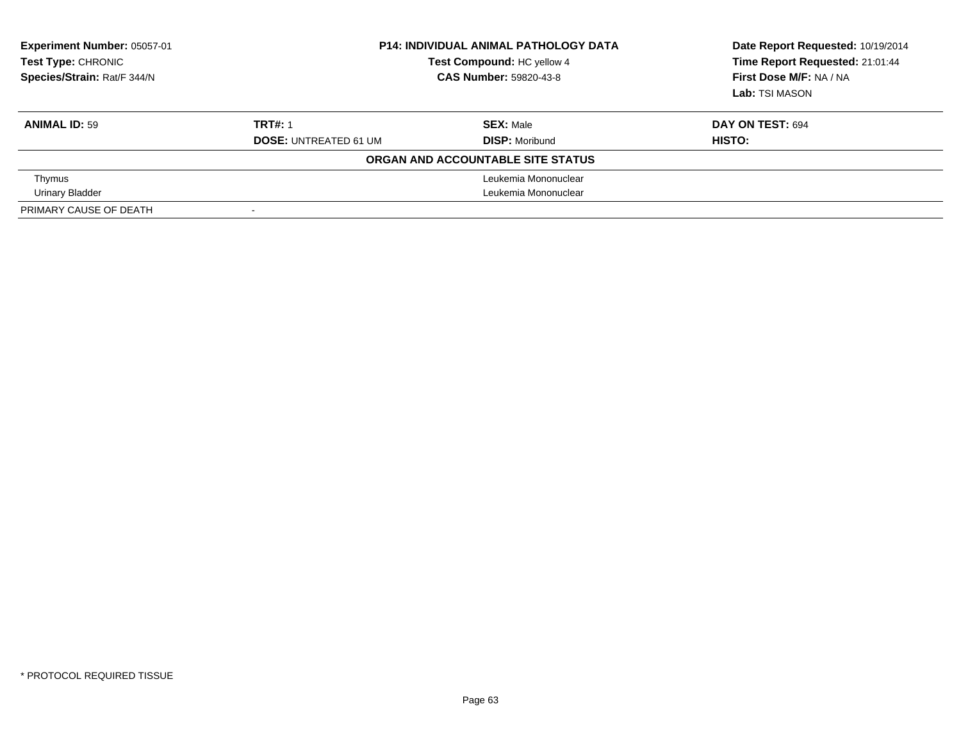| Experiment Number: 05057-01<br>Test Type: CHRONIC<br>Species/Strain: Rat/F 344/N | <b>P14: INDIVIDUAL ANIMAL PATHOLOGY DATA</b><br>Test Compound: HC yellow 4<br><b>CAS Number: 59820-43-8</b> |                                   | Date Report Requested: 10/19/2014<br>Time Report Requested: 21:01:44<br>First Dose M/F: NA / NA<br>Lab: TSI MASON |
|----------------------------------------------------------------------------------|-------------------------------------------------------------------------------------------------------------|-----------------------------------|-------------------------------------------------------------------------------------------------------------------|
| <b>ANIMAL ID: 59</b>                                                             | <b>TRT#: 1</b>                                                                                              | <b>SEX: Male</b>                  | DAY ON TEST: 694                                                                                                  |
|                                                                                  | <b>DOSE: UNTREATED 61 UM</b>                                                                                | <b>DISP:</b> Moribund             | HISTO:                                                                                                            |
|                                                                                  |                                                                                                             | ORGAN AND ACCOUNTABLE SITE STATUS |                                                                                                                   |
| Thymus                                                                           |                                                                                                             | Leukemia Mononuclear              |                                                                                                                   |
| <b>Urinary Bladder</b>                                                           | Leukemia Mononuclear                                                                                        |                                   |                                                                                                                   |
| PRIMARY CAUSE OF DEATH                                                           | $\overline{\phantom{0}}$                                                                                    |                                   |                                                                                                                   |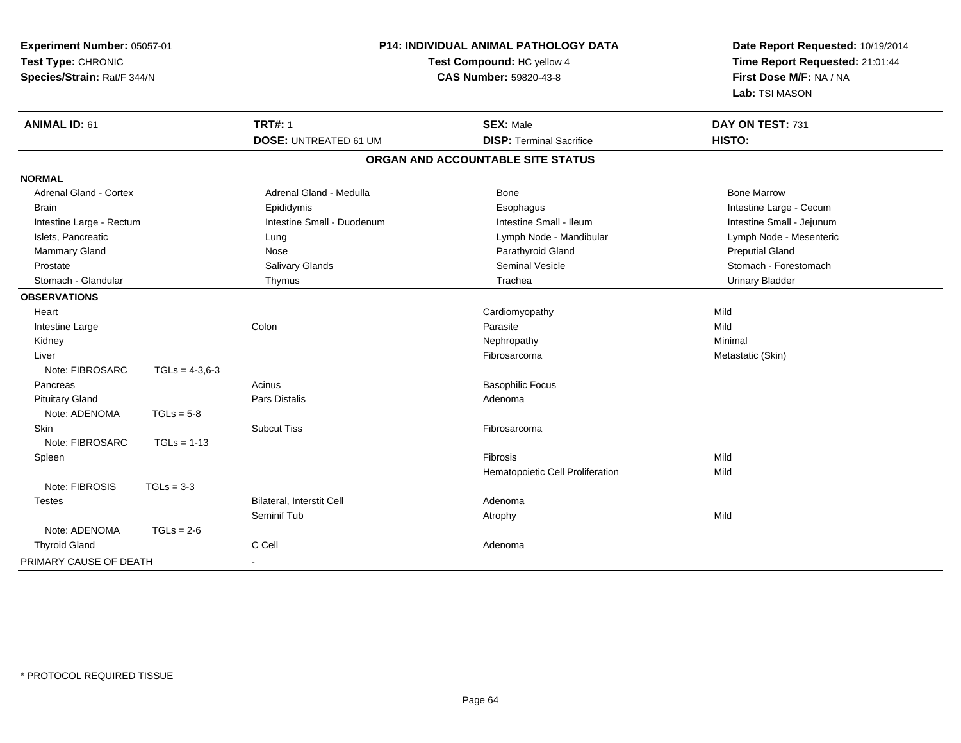| Experiment Number: 05057-01<br>Test Type: CHRONIC<br>Species/Strain: Rat/F 344/N |                  | <b>P14: INDIVIDUAL ANIMAL PATHOLOGY DATA</b><br>Test Compound: HC yellow 4<br>CAS Number: 59820-43-8 |                                   | Date Report Requested: 10/19/2014<br>Time Report Requested: 21:01:44<br>First Dose M/F: NA / NA<br>Lab: TSI MASON |
|----------------------------------------------------------------------------------|------------------|------------------------------------------------------------------------------------------------------|-----------------------------------|-------------------------------------------------------------------------------------------------------------------|
| <b>ANIMAL ID: 61</b>                                                             |                  | <b>TRT#: 1</b>                                                                                       | <b>SEX: Male</b>                  | DAY ON TEST: 731                                                                                                  |
|                                                                                  |                  | <b>DOSE: UNTREATED 61 UM</b>                                                                         | <b>DISP: Terminal Sacrifice</b>   | HISTO:                                                                                                            |
|                                                                                  |                  |                                                                                                      | ORGAN AND ACCOUNTABLE SITE STATUS |                                                                                                                   |
| <b>NORMAL</b>                                                                    |                  |                                                                                                      |                                   |                                                                                                                   |
| Adrenal Gland - Cortex                                                           |                  | Adrenal Gland - Medulla                                                                              | Bone                              | <b>Bone Marrow</b>                                                                                                |
| <b>Brain</b>                                                                     |                  | Epididymis                                                                                           | Esophagus                         | Intestine Large - Cecum                                                                                           |
| Intestine Large - Rectum                                                         |                  | Intestine Small - Duodenum                                                                           | Intestine Small - Ileum           | Intestine Small - Jejunum                                                                                         |
| Islets, Pancreatic                                                               |                  | Lung                                                                                                 | Lymph Node - Mandibular           | Lymph Node - Mesenteric                                                                                           |
| Mammary Gland                                                                    |                  | Nose                                                                                                 | Parathyroid Gland                 | <b>Preputial Gland</b>                                                                                            |
| Prostate                                                                         |                  | Salivary Glands                                                                                      | <b>Seminal Vesicle</b>            | Stomach - Forestomach                                                                                             |
| Stomach - Glandular                                                              |                  | Thymus                                                                                               | Trachea                           | <b>Urinary Bladder</b>                                                                                            |
| <b>OBSERVATIONS</b>                                                              |                  |                                                                                                      |                                   |                                                                                                                   |
| Heart                                                                            |                  |                                                                                                      | Cardiomyopathy                    | Mild                                                                                                              |
| Intestine Large                                                                  |                  | Colon                                                                                                | Parasite                          | Mild                                                                                                              |
| Kidney                                                                           |                  |                                                                                                      | Nephropathy                       | Minimal                                                                                                           |
| Liver                                                                            |                  |                                                                                                      | Fibrosarcoma                      | Metastatic (Skin)                                                                                                 |
| Note: FIBROSARC                                                                  | $TGLs = 4-3.6-3$ |                                                                                                      |                                   |                                                                                                                   |
| Pancreas                                                                         |                  | Acinus                                                                                               | <b>Basophilic Focus</b>           |                                                                                                                   |
| <b>Pituitary Gland</b>                                                           |                  | <b>Pars Distalis</b>                                                                                 | Adenoma                           |                                                                                                                   |
| Note: ADENOMA                                                                    | $TGLs = 5-8$     |                                                                                                      |                                   |                                                                                                                   |
| <b>Skin</b>                                                                      |                  | <b>Subcut Tiss</b>                                                                                   | Fibrosarcoma                      |                                                                                                                   |
| Note: FIBROSARC                                                                  | $TGLs = 1-13$    |                                                                                                      |                                   |                                                                                                                   |
| Spleen                                                                           |                  |                                                                                                      | Fibrosis                          | Mild                                                                                                              |
|                                                                                  |                  |                                                                                                      | Hematopoietic Cell Proliferation  | Mild                                                                                                              |
| Note: FIBROSIS                                                                   | $TGLs = 3-3$     |                                                                                                      |                                   |                                                                                                                   |
| <b>Testes</b>                                                                    |                  | Bilateral, Interstit Cell                                                                            | Adenoma                           |                                                                                                                   |
|                                                                                  |                  | Seminif Tub                                                                                          | Atrophy                           | Mild                                                                                                              |
| Note: ADENOMA                                                                    | $TGLs = 2-6$     |                                                                                                      |                                   |                                                                                                                   |
| <b>Thyroid Gland</b>                                                             |                  | C Cell                                                                                               | Adenoma                           |                                                                                                                   |
| PRIMARY CAUSE OF DEATH                                                           |                  | $\sim$                                                                                               |                                   |                                                                                                                   |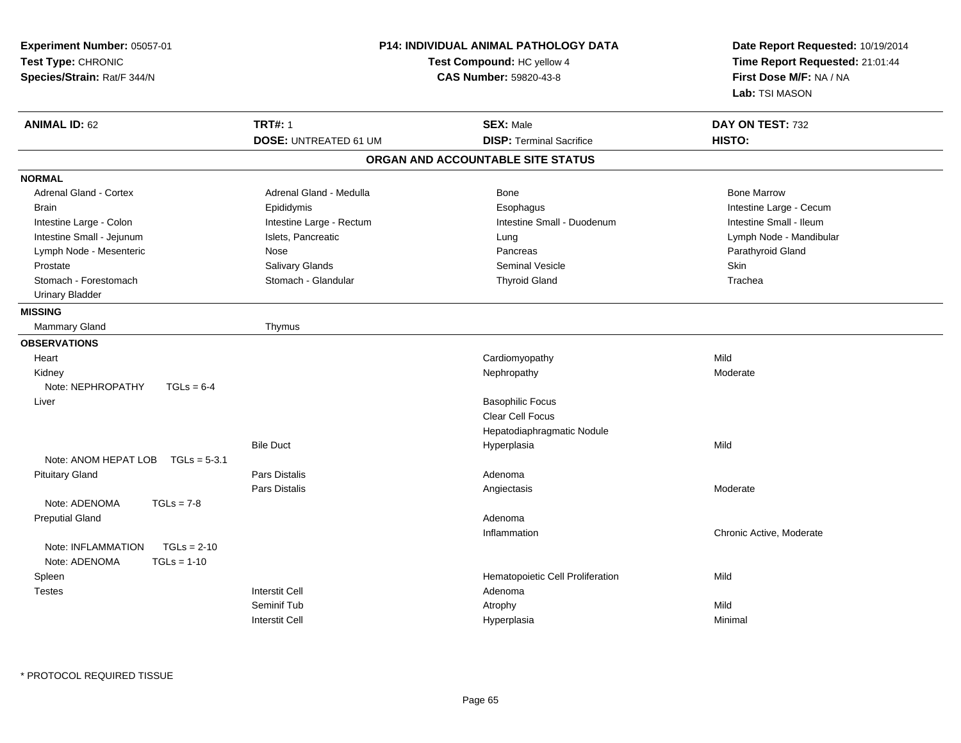| Experiment Number: 05057-01<br>Test Type: CHRONIC<br>Species/Strain: Rat/F 344/N | P14: INDIVIDUAL ANIMAL PATHOLOGY DATA<br>Test Compound: HC yellow 4<br><b>CAS Number: 59820-43-8</b> |                                   | Date Report Requested: 10/19/2014<br>Time Report Requested: 21:01:44<br>First Dose M/F: NA / NA<br>Lab: TSI MASON |
|----------------------------------------------------------------------------------|------------------------------------------------------------------------------------------------------|-----------------------------------|-------------------------------------------------------------------------------------------------------------------|
| <b>ANIMAL ID: 62</b>                                                             | <b>TRT#: 1</b>                                                                                       | <b>SEX: Male</b>                  | DAY ON TEST: 732                                                                                                  |
|                                                                                  | <b>DOSE: UNTREATED 61 UM</b>                                                                         | <b>DISP: Terminal Sacrifice</b>   | HISTO:                                                                                                            |
|                                                                                  |                                                                                                      | ORGAN AND ACCOUNTABLE SITE STATUS |                                                                                                                   |
| <b>NORMAL</b>                                                                    |                                                                                                      |                                   |                                                                                                                   |
| Adrenal Gland - Cortex                                                           | Adrenal Gland - Medulla                                                                              | Bone                              | <b>Bone Marrow</b>                                                                                                |
| <b>Brain</b>                                                                     | Epididymis                                                                                           | Esophagus                         | Intestine Large - Cecum                                                                                           |
| Intestine Large - Colon                                                          | Intestine Large - Rectum                                                                             | Intestine Small - Duodenum        | Intestine Small - Ileum                                                                                           |
| Intestine Small - Jejunum                                                        | Islets, Pancreatic                                                                                   | Lung                              | Lymph Node - Mandibular                                                                                           |
| Lymph Node - Mesenteric                                                          | Nose                                                                                                 | Pancreas                          | Parathyroid Gland                                                                                                 |
| Prostate                                                                         | Salivary Glands                                                                                      | <b>Seminal Vesicle</b>            | Skin                                                                                                              |
| Stomach - Forestomach                                                            | Stomach - Glandular                                                                                  | <b>Thyroid Gland</b>              | Trachea                                                                                                           |
| <b>Urinary Bladder</b>                                                           |                                                                                                      |                                   |                                                                                                                   |
| <b>MISSING</b>                                                                   |                                                                                                      |                                   |                                                                                                                   |
| Mammary Gland                                                                    | Thymus                                                                                               |                                   |                                                                                                                   |
| <b>OBSERVATIONS</b>                                                              |                                                                                                      |                                   |                                                                                                                   |
| Heart                                                                            |                                                                                                      | Cardiomyopathy                    | Mild                                                                                                              |
| Kidney                                                                           |                                                                                                      | Nephropathy                       | Moderate                                                                                                          |
| Note: NEPHROPATHY<br>$TGLs = 6-4$                                                |                                                                                                      |                                   |                                                                                                                   |
| Liver                                                                            |                                                                                                      | <b>Basophilic Focus</b>           |                                                                                                                   |
|                                                                                  |                                                                                                      | <b>Clear Cell Focus</b>           |                                                                                                                   |
|                                                                                  |                                                                                                      | Hepatodiaphragmatic Nodule        |                                                                                                                   |
|                                                                                  | <b>Bile Duct</b>                                                                                     | Hyperplasia                       | Mild                                                                                                              |
| Note: ANOM HEPAT LOB TGLs = 5-3.1                                                |                                                                                                      |                                   |                                                                                                                   |
| <b>Pituitary Gland</b>                                                           | <b>Pars Distalis</b>                                                                                 | Adenoma                           |                                                                                                                   |
|                                                                                  | Pars Distalis                                                                                        | Angiectasis                       | Moderate                                                                                                          |
| Note: ADENOMA<br>$TGLs = 7-8$                                                    |                                                                                                      |                                   |                                                                                                                   |
| <b>Preputial Gland</b>                                                           |                                                                                                      | Adenoma                           |                                                                                                                   |
|                                                                                  |                                                                                                      | Inflammation                      | Chronic Active, Moderate                                                                                          |
| $TGLs = 2-10$<br>Note: INFLAMMATION                                              |                                                                                                      |                                   |                                                                                                                   |
| Note: ADENOMA<br>$TGLs = 1-10$                                                   |                                                                                                      |                                   |                                                                                                                   |
| Spleen                                                                           |                                                                                                      | Hematopoietic Cell Proliferation  | Mild                                                                                                              |
| <b>Testes</b>                                                                    | <b>Interstit Cell</b>                                                                                | Adenoma                           |                                                                                                                   |
|                                                                                  | Seminif Tub                                                                                          | Atrophy                           | Mild                                                                                                              |
|                                                                                  | <b>Interstit Cell</b>                                                                                | Hyperplasia                       | Minimal                                                                                                           |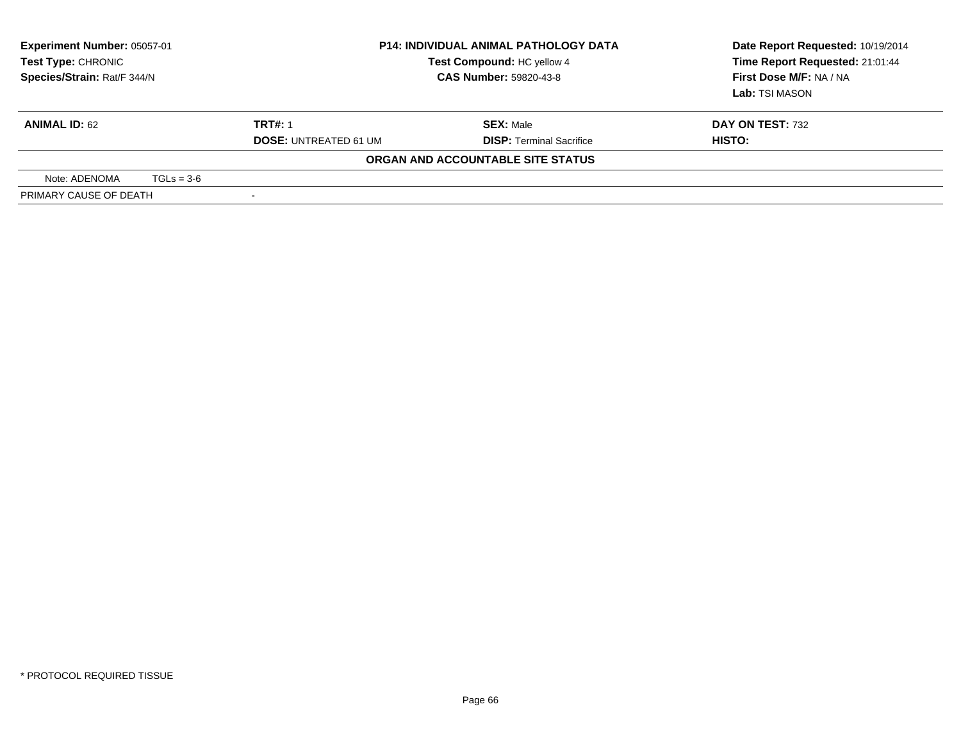| <b>Experiment Number: 05057-01</b><br><b>Test Type: CHRONIC</b><br>Species/Strain: Rat/F 344/N |  | <b>P14: INDIVIDUAL ANIMAL PATHOLOGY DATA</b><br>Test Compound: HC yellow 4<br><b>CAS Number: 59820-43-8</b> |                                                     | Date Report Requested: 10/19/2014<br>Time Report Requested: 21:01:44<br>First Dose M/F: NA / NA<br>Lab: TSI MASON |
|------------------------------------------------------------------------------------------------|--|-------------------------------------------------------------------------------------------------------------|-----------------------------------------------------|-------------------------------------------------------------------------------------------------------------------|
| <b>ANIMAL ID: 62</b>                                                                           |  | <b>TRT#: 1</b><br><b>DOSE: UNTREATED 61 UM</b>                                                              | <b>SEX: Male</b><br><b>DISP:</b> Terminal Sacrifice | DAY ON TEST: 732<br>HISTO:                                                                                        |
|                                                                                                |  |                                                                                                             | ORGAN AND ACCOUNTABLE SITE STATUS                   |                                                                                                                   |
| $TGLs = 3-6$<br>Note: ADENOMA                                                                  |  |                                                                                                             |                                                     |                                                                                                                   |
| PRIMARY CAUSE OF DEATH                                                                         |  |                                                                                                             |                                                     |                                                                                                                   |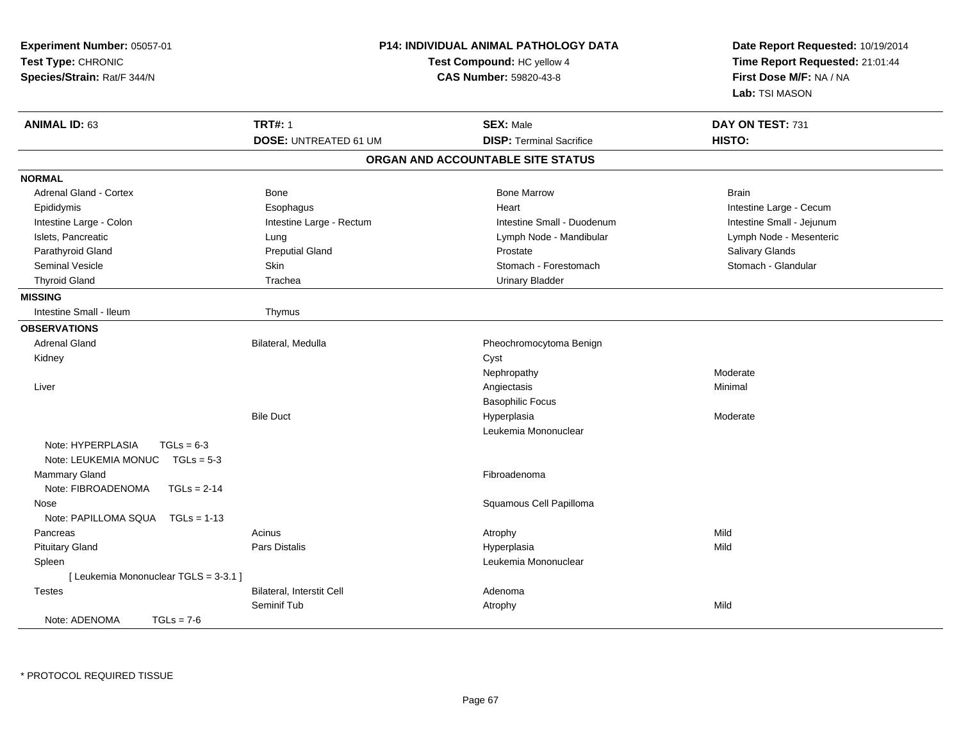| Experiment Number: 05057-01<br>Test Type: CHRONIC<br>Species/Strain: Rat/F 344/N | <b>P14: INDIVIDUAL ANIMAL PATHOLOGY DATA</b><br>Test Compound: HC yellow 4<br><b>CAS Number: 59820-43-8</b> |                                   | Date Report Requested: 10/19/2014<br>Time Report Requested: 21:01:44<br>First Dose M/F: NA / NA<br>Lab: TSI MASON |  |
|----------------------------------------------------------------------------------|-------------------------------------------------------------------------------------------------------------|-----------------------------------|-------------------------------------------------------------------------------------------------------------------|--|
| <b>ANIMAL ID: 63</b>                                                             | <b>TRT#: 1</b>                                                                                              | <b>SEX: Male</b>                  | DAY ON TEST: 731                                                                                                  |  |
|                                                                                  | <b>DOSE: UNTREATED 61 UM</b>                                                                                | <b>DISP: Terminal Sacrifice</b>   | HISTO:                                                                                                            |  |
|                                                                                  |                                                                                                             | ORGAN AND ACCOUNTABLE SITE STATUS |                                                                                                                   |  |
| <b>NORMAL</b>                                                                    |                                                                                                             |                                   |                                                                                                                   |  |
| <b>Adrenal Gland - Cortex</b>                                                    | Bone                                                                                                        | <b>Bone Marrow</b>                | <b>Brain</b>                                                                                                      |  |
| Epididymis                                                                       | Esophagus                                                                                                   | Heart                             | Intestine Large - Cecum                                                                                           |  |
| Intestine Large - Colon                                                          | Intestine Large - Rectum                                                                                    | Intestine Small - Duodenum        | Intestine Small - Jejunum                                                                                         |  |
| Islets, Pancreatic                                                               | Lung                                                                                                        | Lymph Node - Mandibular           | Lymph Node - Mesenteric                                                                                           |  |
| Parathyroid Gland                                                                | <b>Preputial Gland</b>                                                                                      | Prostate                          | Salivary Glands                                                                                                   |  |
| Seminal Vesicle                                                                  | <b>Skin</b>                                                                                                 | Stomach - Forestomach             | Stomach - Glandular                                                                                               |  |
| <b>Thyroid Gland</b>                                                             | Trachea                                                                                                     | <b>Urinary Bladder</b>            |                                                                                                                   |  |
| <b>MISSING</b>                                                                   |                                                                                                             |                                   |                                                                                                                   |  |
| Intestine Small - Ileum                                                          | Thymus                                                                                                      |                                   |                                                                                                                   |  |
| <b>OBSERVATIONS</b>                                                              |                                                                                                             |                                   |                                                                                                                   |  |
| <b>Adrenal Gland</b>                                                             | Bilateral, Medulla                                                                                          | Pheochromocytoma Benign           |                                                                                                                   |  |
| Kidney                                                                           |                                                                                                             | Cyst                              |                                                                                                                   |  |
|                                                                                  |                                                                                                             | Nephropathy                       | Moderate                                                                                                          |  |
| Liver                                                                            |                                                                                                             | Angiectasis                       | Minimal                                                                                                           |  |
|                                                                                  |                                                                                                             | <b>Basophilic Focus</b>           |                                                                                                                   |  |
|                                                                                  | <b>Bile Duct</b>                                                                                            | Hyperplasia                       | Moderate                                                                                                          |  |
|                                                                                  |                                                                                                             | Leukemia Mononuclear              |                                                                                                                   |  |
| Note: HYPERPLASIA<br>$TGLs = 6-3$                                                |                                                                                                             |                                   |                                                                                                                   |  |
| Note: LEUKEMIA MONUC TGLs = 5-3                                                  |                                                                                                             |                                   |                                                                                                                   |  |
| Mammary Gland                                                                    |                                                                                                             | Fibroadenoma                      |                                                                                                                   |  |
| Note: FIBROADENOMA<br>$TGLs = 2-14$                                              |                                                                                                             |                                   |                                                                                                                   |  |
| Nose                                                                             |                                                                                                             | Squamous Cell Papilloma           |                                                                                                                   |  |
| Note: PAPILLOMA SQUA<br>$TGLs = 1-13$                                            |                                                                                                             |                                   |                                                                                                                   |  |
| Pancreas                                                                         | Acinus                                                                                                      | Atrophy                           | Mild                                                                                                              |  |
| <b>Pituitary Gland</b>                                                           | <b>Pars Distalis</b>                                                                                        | Hyperplasia                       | Mild                                                                                                              |  |
| Spleen                                                                           |                                                                                                             | Leukemia Mononuclear              |                                                                                                                   |  |
| [Leukemia Mononuclear TGLS = 3-3.1]                                              |                                                                                                             |                                   |                                                                                                                   |  |
| <b>Testes</b>                                                                    | Bilateral, Interstit Cell                                                                                   | Adenoma                           |                                                                                                                   |  |
|                                                                                  | Seminif Tub                                                                                                 | Atrophy                           | Mild                                                                                                              |  |
| Note: ADENOMA<br>$TGLs = 7-6$                                                    |                                                                                                             |                                   |                                                                                                                   |  |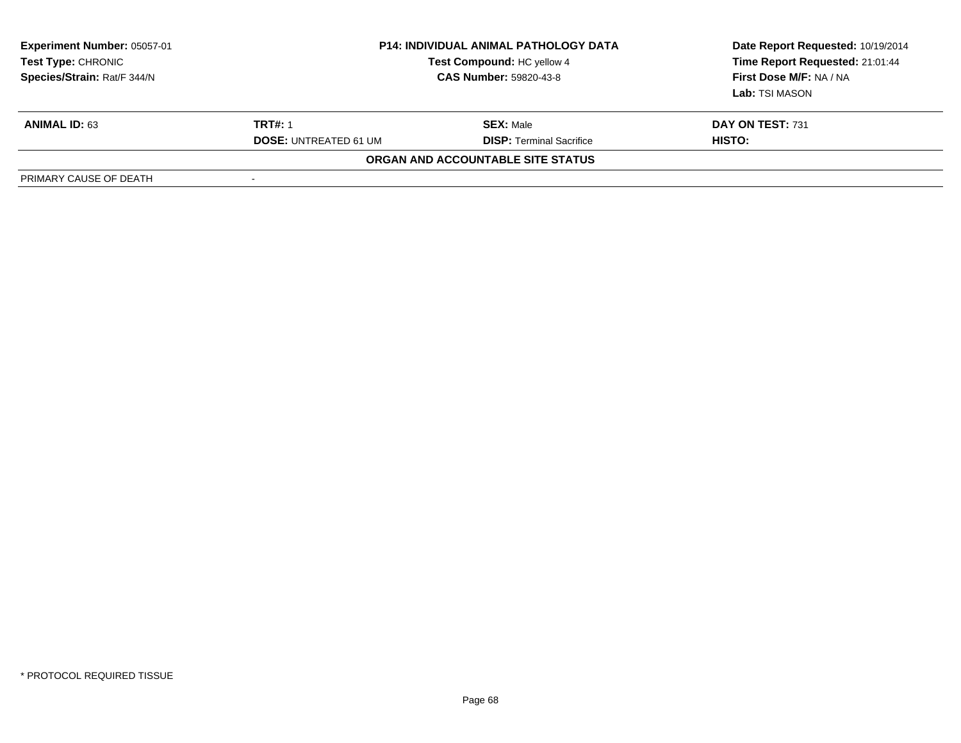| <b>Experiment Number: 05057-01</b><br><b>Test Type: CHRONIC</b><br>Species/Strain: Rat/F 344/N | <b>P14: INDIVIDUAL ANIMAL PATHOLOGY DATA</b><br>Test Compound: HC yellow 4<br><b>CAS Number: 59820-43-8</b> |                                   | Date Report Requested: 10/19/2014<br>Time Report Requested: 21:01:44<br>First Dose M/F: NA / NA<br>Lab: TSI MASON |
|------------------------------------------------------------------------------------------------|-------------------------------------------------------------------------------------------------------------|-----------------------------------|-------------------------------------------------------------------------------------------------------------------|
| <b>ANIMAL ID: 63</b>                                                                           | <b>TRT#: 1</b>                                                                                              | <b>SEX: Male</b>                  | DAY ON TEST: 731                                                                                                  |
|                                                                                                | <b>DOSE: UNTREATED 61 UM</b>                                                                                | <b>DISP:</b> Terminal Sacrifice   | HISTO:                                                                                                            |
|                                                                                                |                                                                                                             | ORGAN AND ACCOUNTABLE SITE STATUS |                                                                                                                   |
| PRIMARY CAUSE OF DEATH                                                                         | -                                                                                                           |                                   |                                                                                                                   |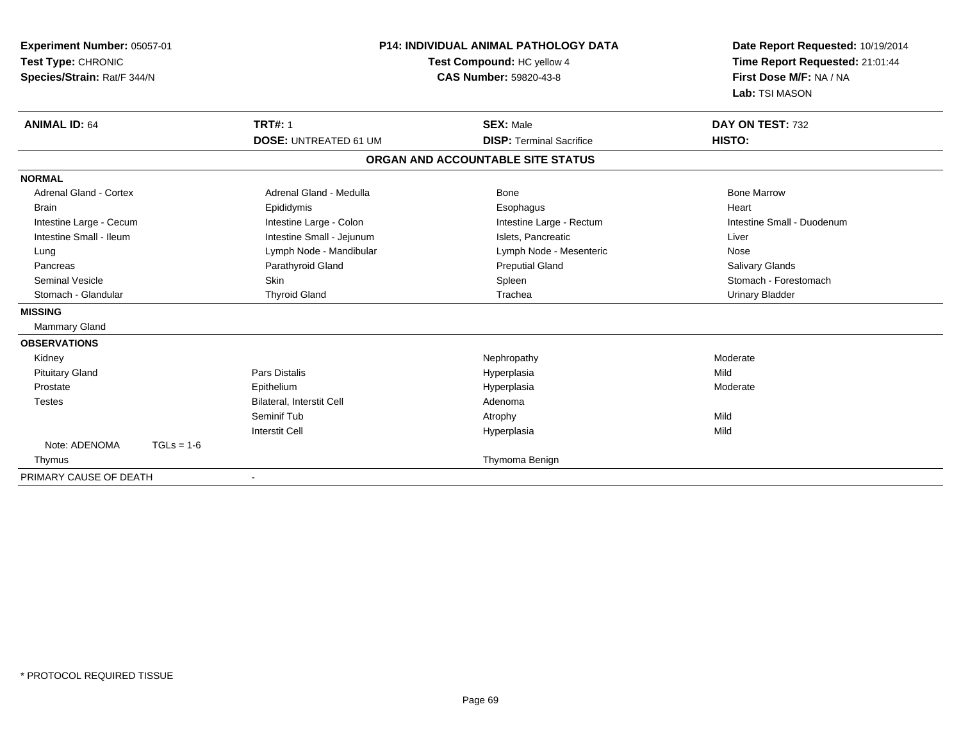| Experiment Number: 05057-01<br>Test Type: CHRONIC<br>Species/Strain: Rat/F 344/N<br><b>ANIMAL ID: 64</b> |              | <b>P14: INDIVIDUAL ANIMAL PATHOLOGY DATA</b><br>Test Compound: HC yellow 4<br>CAS Number: 59820-43-8 |                                                     | Date Report Requested: 10/19/2014<br>Time Report Requested: 21:01:44<br>First Dose M/F: NA / NA<br>Lab: TSI MASON |
|----------------------------------------------------------------------------------------------------------|--------------|------------------------------------------------------------------------------------------------------|-----------------------------------------------------|-------------------------------------------------------------------------------------------------------------------|
|                                                                                                          |              | <b>TRT#: 1</b><br><b>DOSE: UNTREATED 61 UM</b>                                                       | <b>SEX: Male</b><br><b>DISP: Terminal Sacrifice</b> | DAY ON TEST: 732<br>HISTO:                                                                                        |
|                                                                                                          |              |                                                                                                      | ORGAN AND ACCOUNTABLE SITE STATUS                   |                                                                                                                   |
| <b>NORMAL</b>                                                                                            |              |                                                                                                      |                                                     |                                                                                                                   |
| Adrenal Gland - Cortex                                                                                   |              | Adrenal Gland - Medulla                                                                              | Bone                                                | <b>Bone Marrow</b>                                                                                                |
| <b>Brain</b>                                                                                             |              | Epididymis                                                                                           | Esophagus                                           | Heart                                                                                                             |
| Intestine Large - Cecum                                                                                  |              | Intestine Large - Colon                                                                              | Intestine Large - Rectum                            | Intestine Small - Duodenum                                                                                        |
| Intestine Small - Ileum                                                                                  |              | Intestine Small - Jejunum                                                                            | Islets. Pancreatic                                  | Liver                                                                                                             |
| Lung                                                                                                     |              | Lymph Node - Mandibular                                                                              | Lymph Node - Mesenteric                             | Nose                                                                                                              |
| Pancreas                                                                                                 |              | Parathyroid Gland                                                                                    | <b>Preputial Gland</b>                              | <b>Salivary Glands</b>                                                                                            |
| <b>Seminal Vesicle</b>                                                                                   |              | Skin                                                                                                 | Spleen                                              | Stomach - Forestomach                                                                                             |
| Stomach - Glandular                                                                                      |              | <b>Thyroid Gland</b>                                                                                 | Trachea                                             | <b>Urinary Bladder</b>                                                                                            |
| <b>MISSING</b>                                                                                           |              |                                                                                                      |                                                     |                                                                                                                   |
| Mammary Gland                                                                                            |              |                                                                                                      |                                                     |                                                                                                                   |
| <b>OBSERVATIONS</b>                                                                                      |              |                                                                                                      |                                                     |                                                                                                                   |
| Kidney                                                                                                   |              |                                                                                                      | Nephropathy                                         | Moderate                                                                                                          |
| <b>Pituitary Gland</b>                                                                                   |              | <b>Pars Distalis</b>                                                                                 | Hyperplasia                                         | Mild                                                                                                              |
| Prostate                                                                                                 |              | Epithelium                                                                                           | Hyperplasia                                         | Moderate                                                                                                          |
| <b>Testes</b>                                                                                            |              | <b>Bilateral, Interstit Cell</b>                                                                     | Adenoma                                             |                                                                                                                   |
|                                                                                                          |              | Seminif Tub                                                                                          | Atrophy                                             | Mild                                                                                                              |
|                                                                                                          |              | <b>Interstit Cell</b>                                                                                | Hyperplasia                                         | Mild                                                                                                              |
| Note: ADENOMA                                                                                            | $TGLs = 1-6$ |                                                                                                      |                                                     |                                                                                                                   |
| Thymus                                                                                                   |              |                                                                                                      | Thymoma Benign                                      |                                                                                                                   |
| PRIMARY CAUSE OF DEATH                                                                                   |              |                                                                                                      |                                                     |                                                                                                                   |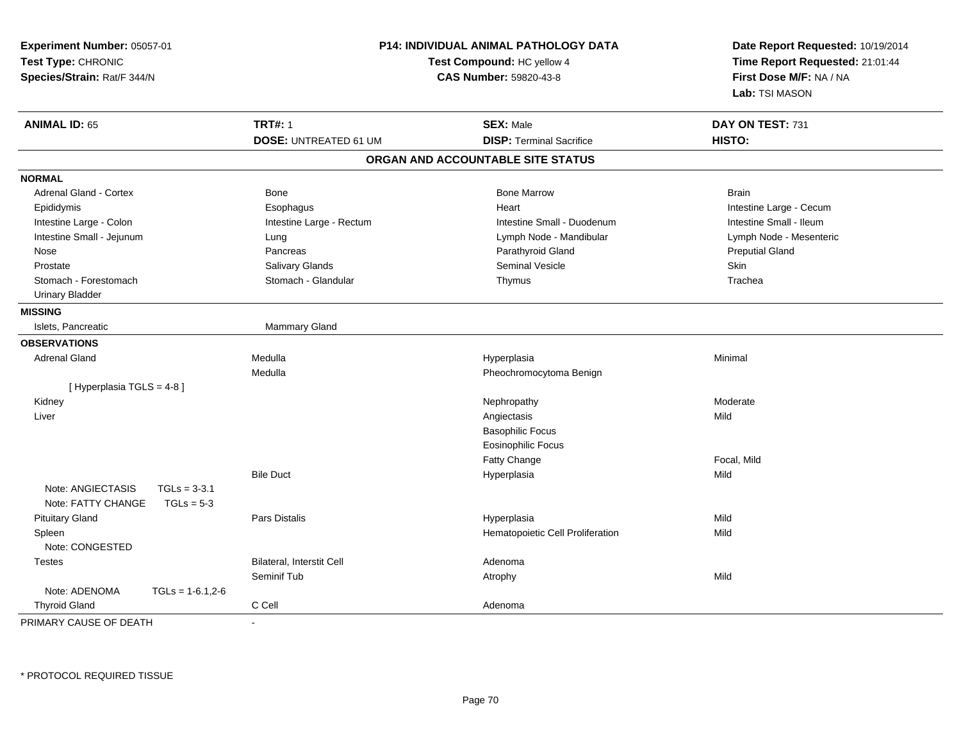| Experiment Number: 05057-01<br>Test Type: CHRONIC<br>Species/Strain: Rat/F 344/N | <b>P14: INDIVIDUAL ANIMAL PATHOLOGY DATA</b><br>Test Compound: HC yellow 4<br><b>CAS Number: 59820-43-8</b> |                                   | Date Report Requested: 10/19/2014<br>Time Report Requested: 21:01:44<br>First Dose M/F: NA / NA<br>Lab: TSI MASON |
|----------------------------------------------------------------------------------|-------------------------------------------------------------------------------------------------------------|-----------------------------------|-------------------------------------------------------------------------------------------------------------------|
| <b>ANIMAL ID: 65</b>                                                             | <b>TRT#: 1</b>                                                                                              | <b>SEX: Male</b>                  | DAY ON TEST: 731                                                                                                  |
|                                                                                  | <b>DOSE: UNTREATED 61 UM</b>                                                                                | <b>DISP: Terminal Sacrifice</b>   | HISTO:                                                                                                            |
|                                                                                  |                                                                                                             | ORGAN AND ACCOUNTABLE SITE STATUS |                                                                                                                   |
| <b>NORMAL</b>                                                                    |                                                                                                             |                                   |                                                                                                                   |
| Adrenal Gland - Cortex                                                           | Bone                                                                                                        | <b>Bone Marrow</b>                | <b>Brain</b>                                                                                                      |
| Epididymis                                                                       | Esophagus                                                                                                   | Heart                             | Intestine Large - Cecum                                                                                           |
| Intestine Large - Colon                                                          | Intestine Large - Rectum                                                                                    | Intestine Small - Duodenum        | Intestine Small - Ileum                                                                                           |
| Intestine Small - Jejunum                                                        | Lung                                                                                                        | Lymph Node - Mandibular           | Lymph Node - Mesenteric                                                                                           |
| Nose                                                                             | Pancreas                                                                                                    | Parathyroid Gland                 | <b>Preputial Gland</b>                                                                                            |
| Prostate                                                                         | Salivary Glands                                                                                             | <b>Seminal Vesicle</b>            | Skin                                                                                                              |
| Stomach - Forestomach                                                            | Stomach - Glandular                                                                                         | Thymus                            | Trachea                                                                                                           |
| <b>Urinary Bladder</b>                                                           |                                                                                                             |                                   |                                                                                                                   |
| <b>MISSING</b>                                                                   |                                                                                                             |                                   |                                                                                                                   |
| Islets, Pancreatic                                                               | Mammary Gland                                                                                               |                                   |                                                                                                                   |
| <b>OBSERVATIONS</b>                                                              |                                                                                                             |                                   |                                                                                                                   |
| <b>Adrenal Gland</b>                                                             | Medulla                                                                                                     | Hyperplasia                       | Minimal                                                                                                           |
|                                                                                  | Medulla                                                                                                     | Pheochromocytoma Benign           |                                                                                                                   |
| [ Hyperplasia TGLS = 4-8]                                                        |                                                                                                             |                                   |                                                                                                                   |
| Kidney                                                                           |                                                                                                             | Nephropathy                       | Moderate                                                                                                          |
| Liver                                                                            |                                                                                                             | Angiectasis                       | Mild                                                                                                              |
|                                                                                  |                                                                                                             | <b>Basophilic Focus</b>           |                                                                                                                   |
|                                                                                  |                                                                                                             | <b>Eosinophilic Focus</b>         |                                                                                                                   |
|                                                                                  |                                                                                                             | Fatty Change                      | Focal, Mild                                                                                                       |
|                                                                                  | <b>Bile Duct</b>                                                                                            | Hyperplasia                       | Mild                                                                                                              |
| Note: ANGIECTASIS<br>$TGLs = 3-3.1$                                              |                                                                                                             |                                   |                                                                                                                   |
| Note: FATTY CHANGE<br>$TGLs = 5-3$                                               |                                                                                                             |                                   |                                                                                                                   |
| <b>Pituitary Gland</b>                                                           | Pars Distalis                                                                                               | Hyperplasia                       | Mild                                                                                                              |
| Spleen                                                                           |                                                                                                             | Hematopoietic Cell Proliferation  | Mild                                                                                                              |
| Note: CONGESTED                                                                  |                                                                                                             |                                   |                                                                                                                   |
| <b>Testes</b>                                                                    | Bilateral, Interstit Cell                                                                                   | Adenoma                           |                                                                                                                   |
|                                                                                  | Seminif Tub                                                                                                 | Atrophy                           | Mild                                                                                                              |
| Note: ADENOMA<br>$TGLS = 1-6.1, 2-6$                                             |                                                                                                             |                                   |                                                                                                                   |
| <b>Thyroid Gland</b>                                                             | C Cell                                                                                                      | Adenoma                           |                                                                                                                   |
| PRIMARY CAUSE OF DEATH                                                           |                                                                                                             |                                   |                                                                                                                   |

-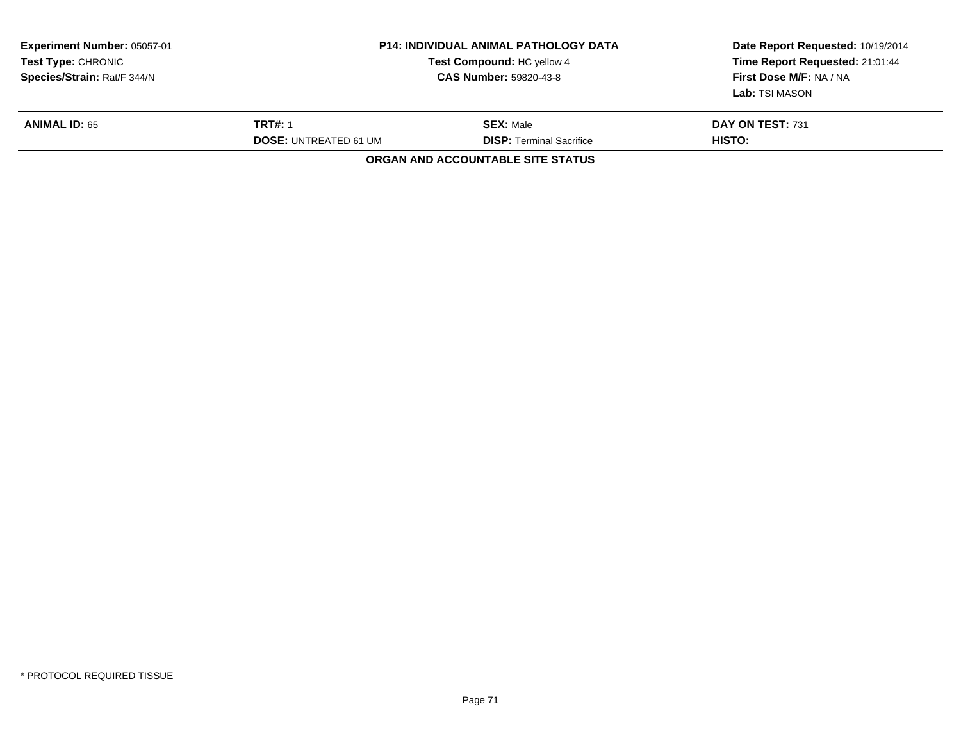| <b>Experiment Number: 05057-01</b><br><b>Test Type: CHRONIC</b><br>Species/Strain: Rat/F 344/N | <b>P14: INDIVIDUAL ANIMAL PATHOLOGY DATA</b><br>Test Compound: HC yellow 4<br><b>CAS Number: 59820-43-8</b> |                                                     | Date Report Requested: 10/19/2014<br>Time Report Requested: 21:01:44<br>First Dose M/F: NA / NA<br>Lab: TSI MASON |  |
|------------------------------------------------------------------------------------------------|-------------------------------------------------------------------------------------------------------------|-----------------------------------------------------|-------------------------------------------------------------------------------------------------------------------|--|
| <b>ANIMAL ID: 65</b>                                                                           | <b>TRT#: 1</b><br><b>DOSE: UNTREATED 61 UM</b>                                                              | <b>SEX: Male</b><br><b>DISP: Terminal Sacrifice</b> | <b>DAY ON TEST: 731</b><br>HISTO:                                                                                 |  |
|                                                                                                |                                                                                                             | ORGAN AND ACCOUNTABLE SITE STATUS                   |                                                                                                                   |  |
|                                                                                                |                                                                                                             |                                                     |                                                                                                                   |  |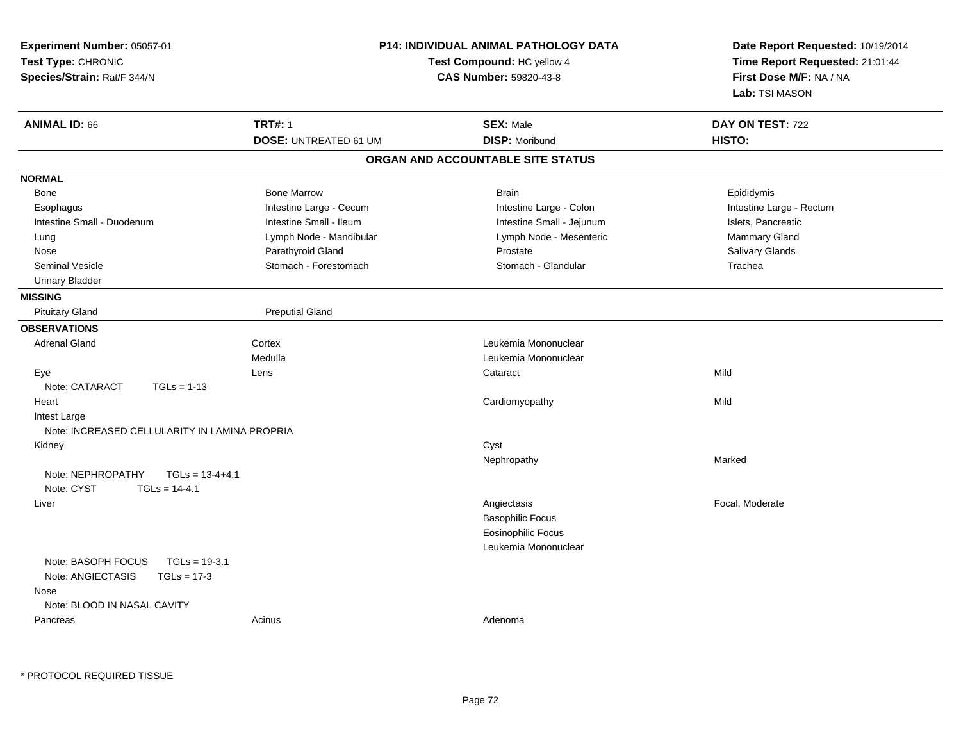| Experiment Number: 05057-01<br>Test Type: CHRONIC<br>Species/Strain: Rat/F 344/N    | <b>P14: INDIVIDUAL ANIMAL PATHOLOGY DATA</b><br>Test Compound: HC yellow 4<br>CAS Number: 59820-43-8 |                                           | Date Report Requested: 10/19/2014<br>Time Report Requested: 21:01:44<br>First Dose M/F: NA / NA<br>Lab: TSI MASON |
|-------------------------------------------------------------------------------------|------------------------------------------------------------------------------------------------------|-------------------------------------------|-------------------------------------------------------------------------------------------------------------------|
| <b>ANIMAL ID: 66</b>                                                                | <b>TRT#: 1</b><br><b>DOSE: UNTREATED 61 UM</b>                                                       | <b>SEX: Male</b><br><b>DISP: Moribund</b> | DAY ON TEST: 722<br>HISTO:                                                                                        |
|                                                                                     |                                                                                                      | ORGAN AND ACCOUNTABLE SITE STATUS         |                                                                                                                   |
| <b>NORMAL</b>                                                                       |                                                                                                      |                                           |                                                                                                                   |
| Bone                                                                                | <b>Bone Marrow</b>                                                                                   | <b>Brain</b>                              | Epididymis                                                                                                        |
| Esophagus                                                                           | Intestine Large - Cecum                                                                              | Intestine Large - Colon                   | Intestine Large - Rectum                                                                                          |
| Intestine Small - Duodenum                                                          | Intestine Small - Ileum                                                                              | Intestine Small - Jejunum                 | Islets, Pancreatic                                                                                                |
| Lung                                                                                | Lymph Node - Mandibular                                                                              | Lymph Node - Mesenteric                   | Mammary Gland                                                                                                     |
| Nose                                                                                | Parathyroid Gland                                                                                    | Prostate                                  | Salivary Glands                                                                                                   |
| <b>Seminal Vesicle</b>                                                              | Stomach - Forestomach                                                                                | Stomach - Glandular                       | Trachea                                                                                                           |
| <b>Urinary Bladder</b>                                                              |                                                                                                      |                                           |                                                                                                                   |
| <b>MISSING</b>                                                                      |                                                                                                      |                                           |                                                                                                                   |
| <b>Pituitary Gland</b>                                                              | <b>Preputial Gland</b>                                                                               |                                           |                                                                                                                   |
| <b>OBSERVATIONS</b>                                                                 |                                                                                                      |                                           |                                                                                                                   |
| <b>Adrenal Gland</b>                                                                | Cortex                                                                                               | Leukemia Mononuclear                      |                                                                                                                   |
|                                                                                     | Medulla                                                                                              | Leukemia Mononuclear                      |                                                                                                                   |
| Eye                                                                                 | Lens                                                                                                 | Cataract                                  | Mild                                                                                                              |
| Note: CATARACT<br>$TGLs = 1-13$                                                     |                                                                                                      |                                           |                                                                                                                   |
| Heart                                                                               |                                                                                                      | Cardiomyopathy                            | Mild                                                                                                              |
| Intest Large                                                                        |                                                                                                      |                                           |                                                                                                                   |
| Note: INCREASED CELLULARITY IN LAMINA PROPRIA                                       |                                                                                                      |                                           |                                                                                                                   |
| Kidney                                                                              |                                                                                                      | Cyst                                      |                                                                                                                   |
|                                                                                     |                                                                                                      | Nephropathy                               | Marked                                                                                                            |
| Note: NEPHROPATHY<br>$TGLs = 13-4+4.1$<br>Note: CYST<br>$TGLs = 14-4.1$             |                                                                                                      |                                           |                                                                                                                   |
| Liver                                                                               |                                                                                                      | Angiectasis                               | Focal, Moderate                                                                                                   |
|                                                                                     |                                                                                                      | <b>Basophilic Focus</b>                   |                                                                                                                   |
|                                                                                     |                                                                                                      | <b>Eosinophilic Focus</b>                 |                                                                                                                   |
|                                                                                     |                                                                                                      | Leukemia Mononuclear                      |                                                                                                                   |
| Note: BASOPH FOCUS<br>$TGLs = 19-3.1$<br>Note: ANGIECTASIS<br>$TGLs = 17-3$<br>Nose |                                                                                                      |                                           |                                                                                                                   |
| Note: BLOOD IN NASAL CAVITY                                                         |                                                                                                      |                                           |                                                                                                                   |
| Pancreas                                                                            | Acinus                                                                                               | Adenoma                                   |                                                                                                                   |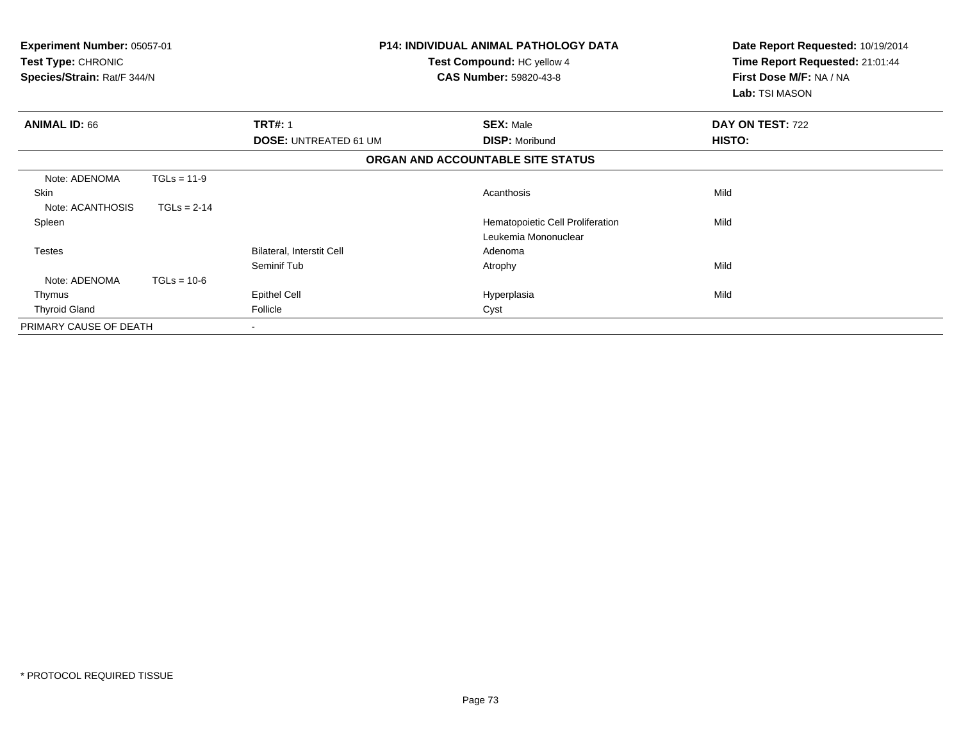| <b>Experiment Number: 05057-01</b><br>Test Type: CHRONIC<br>Species/Strain: Rat/F 344/N |               | <b>P14: INDIVIDUAL ANIMAL PATHOLOGY DATA</b><br>Test Compound: HC yellow 4<br><b>CAS Number: 59820-43-8</b> |                                   | Date Report Requested: 10/19/2014<br>Time Report Requested: 21:01:44<br>First Dose M/F: NA / NA<br>Lab: TSI MASON |
|-----------------------------------------------------------------------------------------|---------------|-------------------------------------------------------------------------------------------------------------|-----------------------------------|-------------------------------------------------------------------------------------------------------------------|
| <b>ANIMAL ID: 66</b>                                                                    |               | <b>TRT#: 1</b>                                                                                              | <b>SEX: Male</b>                  | DAY ON TEST: 722                                                                                                  |
|                                                                                         |               | <b>DOSE: UNTREATED 61 UM</b>                                                                                | <b>DISP: Moribund</b>             | HISTO:                                                                                                            |
|                                                                                         |               |                                                                                                             | ORGAN AND ACCOUNTABLE SITE STATUS |                                                                                                                   |
| Note: ADENOMA                                                                           | $TGLs = 11-9$ |                                                                                                             |                                   |                                                                                                                   |
| Skin                                                                                    |               |                                                                                                             | Acanthosis                        | Mild                                                                                                              |
| Note: ACANTHOSIS                                                                        | $TGLs = 2-14$ |                                                                                                             |                                   |                                                                                                                   |
| Spleen                                                                                  |               |                                                                                                             | Hematopoietic Cell Proliferation  | Mild                                                                                                              |
|                                                                                         |               |                                                                                                             | Leukemia Mononuclear              |                                                                                                                   |
| <b>Testes</b>                                                                           |               | Bilateral, Interstit Cell                                                                                   | Adenoma                           |                                                                                                                   |
|                                                                                         |               | Seminif Tub                                                                                                 | Atrophy                           | Mild                                                                                                              |
| Note: ADENOMA                                                                           | $TGLs = 10-6$ |                                                                                                             |                                   |                                                                                                                   |
| Thymus                                                                                  |               | Epithel Cell                                                                                                | Hyperplasia                       | Mild                                                                                                              |
| <b>Thyroid Gland</b>                                                                    |               | Follicle                                                                                                    | Cyst                              |                                                                                                                   |
| PRIMARY CAUSE OF DEATH                                                                  |               |                                                                                                             |                                   |                                                                                                                   |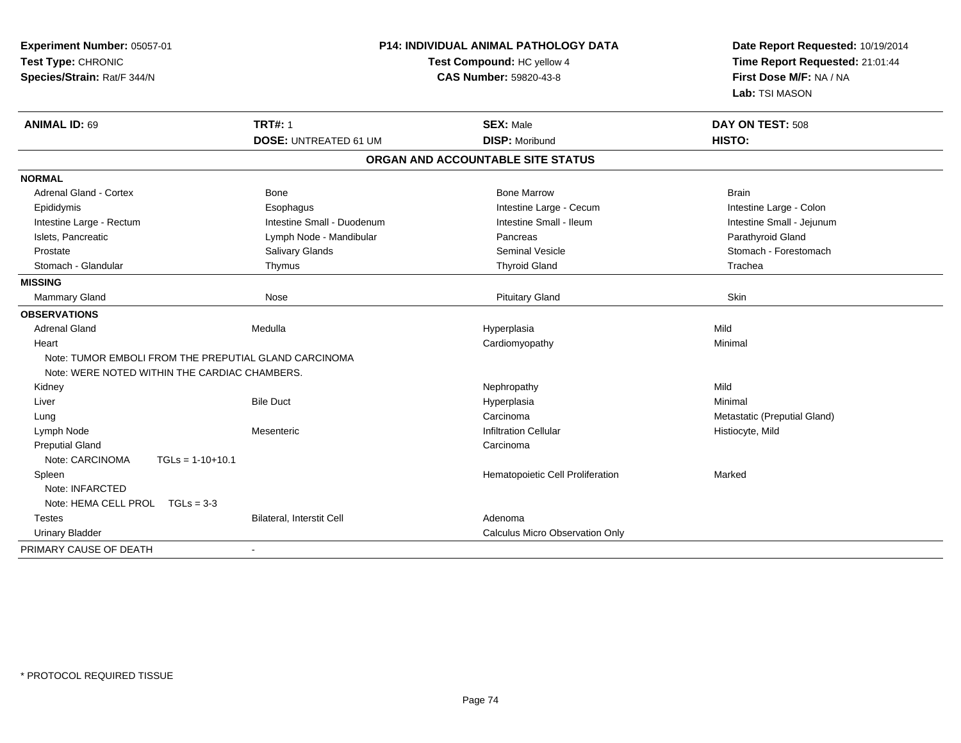| Experiment Number: 05057-01<br>Test Type: CHRONIC<br>Species/Strain: Rat/F 344/N |                              | <b>P14: INDIVIDUAL ANIMAL PATHOLOGY DATA</b><br>Test Compound: HC yellow 4<br><b>CAS Number: 59820-43-8</b> | Date Report Requested: 10/19/2014<br>Time Report Requested: 21:01:44<br>First Dose M/F: NA / NA<br>Lab: TSI MASON |  |
|----------------------------------------------------------------------------------|------------------------------|-------------------------------------------------------------------------------------------------------------|-------------------------------------------------------------------------------------------------------------------|--|
| <b>ANIMAL ID: 69</b>                                                             | <b>TRT#: 1</b>               | <b>SEX: Male</b><br><b>DISP: Moribund</b>                                                                   | DAY ON TEST: 508<br>HISTO:                                                                                        |  |
|                                                                                  | <b>DOSE: UNTREATED 61 UM</b> |                                                                                                             |                                                                                                                   |  |
|                                                                                  |                              | ORGAN AND ACCOUNTABLE SITE STATUS                                                                           |                                                                                                                   |  |
| <b>NORMAL</b>                                                                    |                              |                                                                                                             |                                                                                                                   |  |
| Adrenal Gland - Cortex                                                           | Bone                         | <b>Bone Marrow</b>                                                                                          | <b>Brain</b>                                                                                                      |  |
| Epididymis                                                                       | Esophagus                    | Intestine Large - Cecum                                                                                     | Intestine Large - Colon                                                                                           |  |
| Intestine Large - Rectum                                                         | Intestine Small - Duodenum   | Intestine Small - Ileum                                                                                     | Intestine Small - Jejunum                                                                                         |  |
| Islets, Pancreatic                                                               | Lymph Node - Mandibular      | Pancreas                                                                                                    | Parathyroid Gland                                                                                                 |  |
| Prostate                                                                         | <b>Salivary Glands</b>       | <b>Seminal Vesicle</b>                                                                                      | Stomach - Forestomach                                                                                             |  |
| Stomach - Glandular                                                              | Thymus                       | <b>Thyroid Gland</b>                                                                                        | Trachea                                                                                                           |  |
| <b>MISSING</b>                                                                   |                              |                                                                                                             |                                                                                                                   |  |
| Mammary Gland                                                                    | Nose                         | <b>Pituitary Gland</b>                                                                                      | Skin                                                                                                              |  |
| <b>OBSERVATIONS</b>                                                              |                              |                                                                                                             |                                                                                                                   |  |
| <b>Adrenal Gland</b>                                                             | Medulla                      | Hyperplasia                                                                                                 | Mild                                                                                                              |  |
| Heart                                                                            |                              | Cardiomyopathy                                                                                              | Minimal                                                                                                           |  |
| Note: TUMOR EMBOLI FROM THE PREPUTIAL GLAND CARCINOMA                            |                              |                                                                                                             |                                                                                                                   |  |
| Note: WERE NOTED WITHIN THE CARDIAC CHAMBERS.                                    |                              |                                                                                                             |                                                                                                                   |  |
| Kidney                                                                           |                              | Nephropathy                                                                                                 | Mild                                                                                                              |  |
| Liver                                                                            | <b>Bile Duct</b>             | Hyperplasia                                                                                                 | Minimal                                                                                                           |  |
| Lung                                                                             |                              | Carcinoma                                                                                                   | Metastatic (Preputial Gland)                                                                                      |  |
| Lymph Node                                                                       | Mesenteric                   | <b>Infiltration Cellular</b>                                                                                | Histiocyte, Mild                                                                                                  |  |
| <b>Preputial Gland</b>                                                           |                              | Carcinoma                                                                                                   |                                                                                                                   |  |
| Note: CARCINOMA<br>$TGLs = 1-10+10.1$                                            |                              |                                                                                                             |                                                                                                                   |  |
| Spleen                                                                           |                              | Hematopoietic Cell Proliferation                                                                            | Marked                                                                                                            |  |
| Note: INFARCTED                                                                  |                              |                                                                                                             |                                                                                                                   |  |
| Note: HEMA CELL PROL TGLs = 3-3                                                  |                              |                                                                                                             |                                                                                                                   |  |
| <b>Testes</b>                                                                    | Bilateral, Interstit Cell    | Adenoma                                                                                                     |                                                                                                                   |  |
| <b>Urinary Bladder</b>                                                           |                              | <b>Calculus Micro Observation Only</b>                                                                      |                                                                                                                   |  |
| PRIMARY CAUSE OF DEATH                                                           |                              |                                                                                                             |                                                                                                                   |  |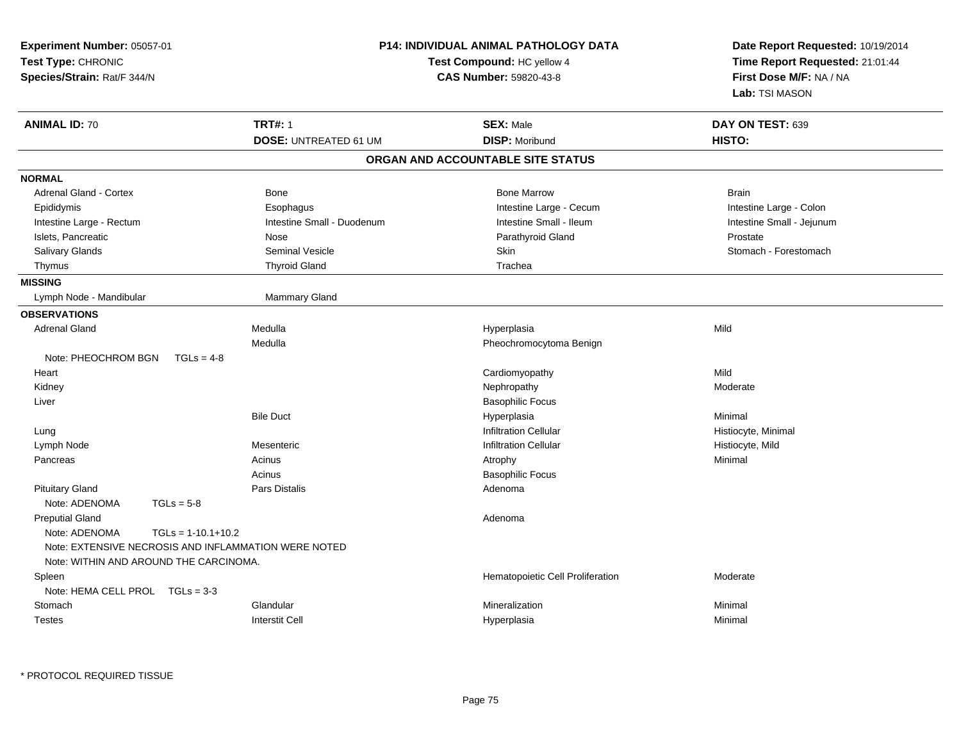| Experiment Number: 05057-01<br>Test Type: CHRONIC<br>Species/Strain: Rat/F 344/N                                                                                  | <b>P14: INDIVIDUAL ANIMAL PATHOLOGY DATA</b><br>Test Compound: HC yellow 4<br><b>CAS Number: 59820-43-8</b> | Date Report Requested: 10/19/2014<br>Time Report Requested: 21:01:44<br>First Dose M/F: NA / NA<br>Lab: TSI MASON |  |
|-------------------------------------------------------------------------------------------------------------------------------------------------------------------|-------------------------------------------------------------------------------------------------------------|-------------------------------------------------------------------------------------------------------------------|--|
| <b>TRT#: 1</b><br><b>ANIMAL ID: 70</b>                                                                                                                            | <b>SEX: Male</b>                                                                                            | DAY ON TEST: 639                                                                                                  |  |
|                                                                                                                                                                   | <b>DISP: Moribund</b><br><b>DOSE: UNTREATED 61 UM</b>                                                       | HISTO:                                                                                                            |  |
|                                                                                                                                                                   | ORGAN AND ACCOUNTABLE SITE STATUS                                                                           |                                                                                                                   |  |
| <b>NORMAL</b>                                                                                                                                                     |                                                                                                             |                                                                                                                   |  |
| <b>Adrenal Gland - Cortex</b><br><b>Bone</b>                                                                                                                      | <b>Bone Marrow</b>                                                                                          | <b>Brain</b>                                                                                                      |  |
| Esophagus<br>Epididymis                                                                                                                                           | Intestine Large - Cecum                                                                                     | Intestine Large - Colon                                                                                           |  |
| Intestine Large - Rectum                                                                                                                                          | Intestine Small - Ileum<br>Intestine Small - Duodenum                                                       | Intestine Small - Jejunum                                                                                         |  |
| Islets, Pancreatic<br>Nose                                                                                                                                        | Parathyroid Gland                                                                                           | Prostate                                                                                                          |  |
| Seminal Vesicle<br><b>Salivary Glands</b>                                                                                                                         | Skin                                                                                                        | Stomach - Forestomach                                                                                             |  |
| <b>Thyroid Gland</b><br>Thymus                                                                                                                                    | Trachea                                                                                                     |                                                                                                                   |  |
| <b>MISSING</b>                                                                                                                                                    |                                                                                                             |                                                                                                                   |  |
| Lymph Node - Mandibular                                                                                                                                           | <b>Mammary Gland</b>                                                                                        |                                                                                                                   |  |
| <b>OBSERVATIONS</b>                                                                                                                                               |                                                                                                             |                                                                                                                   |  |
| <b>Adrenal Gland</b><br>Medulla                                                                                                                                   | Hyperplasia                                                                                                 | Mild                                                                                                              |  |
| Medulla                                                                                                                                                           | Pheochromocytoma Benign                                                                                     |                                                                                                                   |  |
| Note: PHEOCHROM BGN<br>$TGLs = 4-8$                                                                                                                               |                                                                                                             |                                                                                                                   |  |
| Heart                                                                                                                                                             | Cardiomyopathy                                                                                              | Mild                                                                                                              |  |
| Kidney                                                                                                                                                            | Nephropathy                                                                                                 | Moderate                                                                                                          |  |
| Liver                                                                                                                                                             | <b>Basophilic Focus</b>                                                                                     |                                                                                                                   |  |
| <b>Bile Duct</b>                                                                                                                                                  | Hyperplasia                                                                                                 | Minimal                                                                                                           |  |
| Lung                                                                                                                                                              | <b>Infiltration Cellular</b>                                                                                | Histiocyte, Minimal                                                                                               |  |
| Lymph Node<br>Mesenteric                                                                                                                                          | <b>Infiltration Cellular</b>                                                                                | Histiocyte, Mild                                                                                                  |  |
| Acinus<br>Pancreas                                                                                                                                                | Atrophy                                                                                                     | Minimal                                                                                                           |  |
| Acinus                                                                                                                                                            | <b>Basophilic Focus</b>                                                                                     |                                                                                                                   |  |
| <b>Pituitary Gland</b><br>Pars Distalis                                                                                                                           | Adenoma                                                                                                     |                                                                                                                   |  |
| Note: ADENOMA<br>$TGLs = 5-8$                                                                                                                                     |                                                                                                             |                                                                                                                   |  |
| <b>Preputial Gland</b><br>Note: ADENOMA<br>$TGLs = 1-10.1+10.2$<br>Note: EXTENSIVE NECROSIS AND INFLAMMATION WERE NOTED<br>Note: WITHIN AND AROUND THE CARCINOMA. | Adenoma                                                                                                     |                                                                                                                   |  |
| Spleen                                                                                                                                                            | Hematopoietic Cell Proliferation                                                                            | Moderate                                                                                                          |  |
| Note: HEMA CELL PROL TGLs = 3-3                                                                                                                                   |                                                                                                             |                                                                                                                   |  |
| Glandular<br>Stomach                                                                                                                                              | Mineralization                                                                                              | Minimal                                                                                                           |  |
|                                                                                                                                                                   |                                                                                                             |                                                                                                                   |  |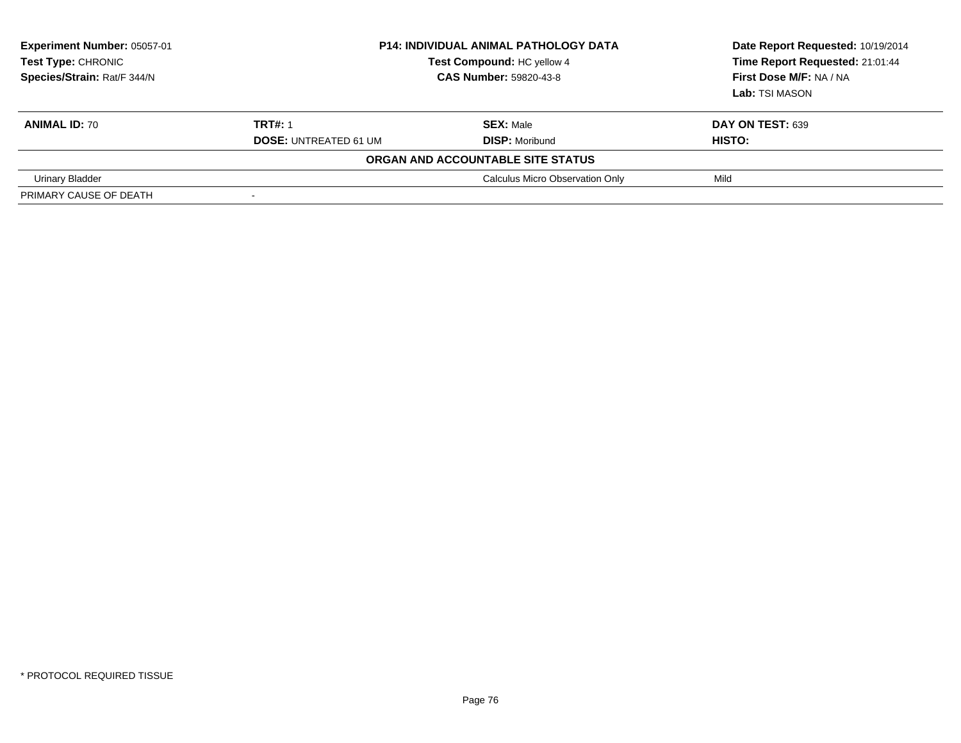| Experiment Number: 05057-01<br>Test Type: CHRONIC<br>Species/Strain: Rat/F 344/N |                              | <b>P14: INDIVIDUAL ANIMAL PATHOLOGY DATA</b><br>Test Compound: HC yellow 4<br><b>CAS Number: 59820-43-8</b> | Date Report Requested: 10/19/2014<br>Time Report Requested: 21:01:44<br>First Dose M/F: NA / NA<br>Lab: TSI MASON |  |
|----------------------------------------------------------------------------------|------------------------------|-------------------------------------------------------------------------------------------------------------|-------------------------------------------------------------------------------------------------------------------|--|
| <b>ANIMAL ID: 70</b>                                                             | <b>TRT#: 1</b>               | <b>SEX: Male</b>                                                                                            | <b>DAY ON TEST: 639</b>                                                                                           |  |
|                                                                                  | <b>DOSE: UNTREATED 61 UM</b> | <b>DISP: Moribund</b>                                                                                       | HISTO:                                                                                                            |  |
|                                                                                  |                              | ORGAN AND ACCOUNTABLE SITE STATUS                                                                           |                                                                                                                   |  |
| Urinary Bladder                                                                  |                              | Calculus Micro Observation Only                                                                             | Mild                                                                                                              |  |
| PRIMARY CAUSE OF DEATH                                                           | $\overline{\phantom{a}}$     |                                                                                                             |                                                                                                                   |  |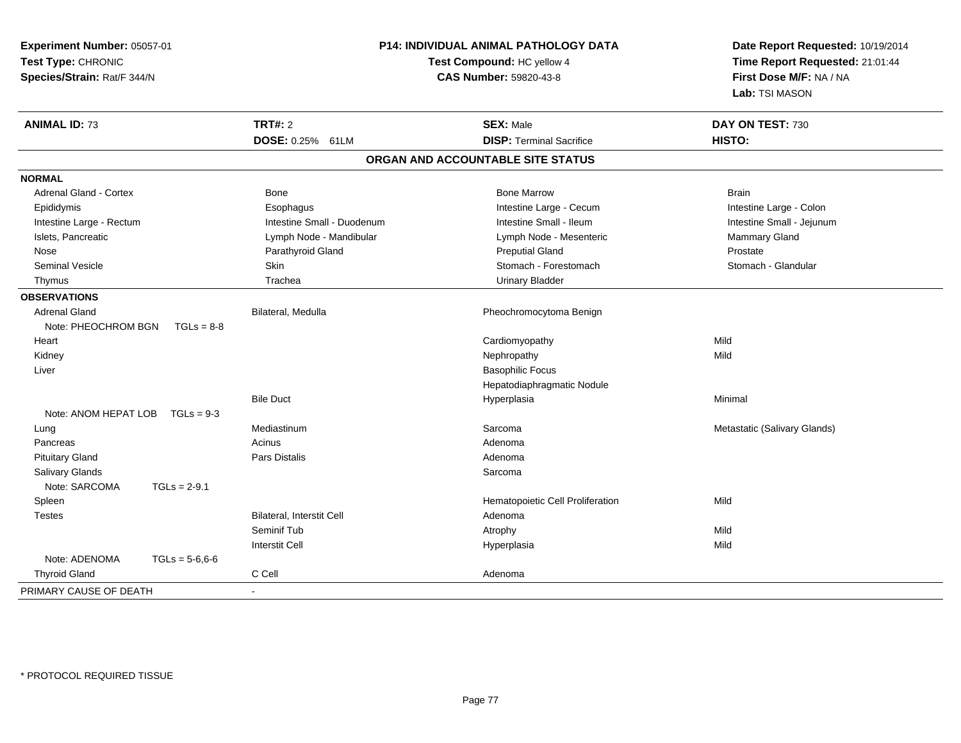| Experiment Number: 05057-01<br>Test Type: CHRONIC<br>Species/Strain: Rat/F 344/N | P14: INDIVIDUAL ANIMAL PATHOLOGY DATA<br>Test Compound: HC yellow 4 | Date Report Requested: 10/19/2014<br>Time Report Requested: 21:01:44<br>First Dose M/F: NA / NA<br>Lab: TSI MASON |                              |
|----------------------------------------------------------------------------------|---------------------------------------------------------------------|-------------------------------------------------------------------------------------------------------------------|------------------------------|
| <b>ANIMAL ID: 73</b>                                                             | <b>TRT#: 2</b>                                                      | <b>SEX: Male</b>                                                                                                  | DAY ON TEST: 730             |
|                                                                                  | DOSE: 0.25% 61LM                                                    | <b>DISP: Terminal Sacrifice</b>                                                                                   | HISTO:                       |
|                                                                                  |                                                                     | ORGAN AND ACCOUNTABLE SITE STATUS                                                                                 |                              |
| <b>NORMAL</b>                                                                    |                                                                     |                                                                                                                   |                              |
| Adrenal Gland - Cortex                                                           | Bone                                                                | <b>Bone Marrow</b>                                                                                                | <b>Brain</b>                 |
| Epididymis                                                                       | Esophagus                                                           | Intestine Large - Cecum                                                                                           | Intestine Large - Colon      |
| Intestine Large - Rectum                                                         | Intestine Small - Duodenum                                          | Intestine Small - Ileum                                                                                           | Intestine Small - Jejunum    |
| Islets, Pancreatic                                                               | Lymph Node - Mandibular                                             | Lymph Node - Mesenteric                                                                                           | Mammary Gland                |
| Nose                                                                             | Parathyroid Gland                                                   | <b>Preputial Gland</b>                                                                                            | Prostate                     |
| Seminal Vesicle                                                                  | Skin                                                                | Stomach - Forestomach                                                                                             | Stomach - Glandular          |
| Thymus                                                                           | Trachea                                                             | <b>Urinary Bladder</b>                                                                                            |                              |
| <b>OBSERVATIONS</b>                                                              |                                                                     |                                                                                                                   |                              |
| Adrenal Gland<br>Note: PHEOCHROM BGN<br>$TGLs = 8-8$                             | Bilateral, Medulla                                                  | Pheochromocytoma Benign                                                                                           |                              |
| Heart                                                                            |                                                                     | Cardiomyopathy                                                                                                    | Mild                         |
| Kidney                                                                           |                                                                     | Nephropathy                                                                                                       | Mild                         |
| Liver                                                                            |                                                                     | <b>Basophilic Focus</b>                                                                                           |                              |
|                                                                                  |                                                                     | Hepatodiaphragmatic Nodule                                                                                        |                              |
|                                                                                  | <b>Bile Duct</b>                                                    | Hyperplasia                                                                                                       | Minimal                      |
| Note: ANOM HEPAT LOB<br>$TGLs = 9-3$                                             |                                                                     |                                                                                                                   |                              |
| Lung                                                                             | Mediastinum                                                         | Sarcoma                                                                                                           | Metastatic (Salivary Glands) |
| Pancreas                                                                         | Acinus                                                              | Adenoma                                                                                                           |                              |
| <b>Pituitary Gland</b>                                                           | <b>Pars Distalis</b>                                                | Adenoma                                                                                                           |                              |
| <b>Salivary Glands</b>                                                           |                                                                     | Sarcoma                                                                                                           |                              |
| Note: SARCOMA<br>$TGLs = 2-9.1$                                                  |                                                                     |                                                                                                                   |                              |
| Spleen                                                                           |                                                                     | Hematopoietic Cell Proliferation                                                                                  | Mild                         |
| <b>Testes</b>                                                                    | Bilateral, Interstit Cell                                           | Adenoma                                                                                                           |                              |
|                                                                                  | Seminif Tub                                                         | Atrophy                                                                                                           | Mild                         |
|                                                                                  | <b>Interstit Cell</b>                                               | Hyperplasia                                                                                                       | Mild                         |
| Note: ADENOMA<br>$TGLs = 5-6.6-6$                                                |                                                                     |                                                                                                                   |                              |
| <b>Thyroid Gland</b>                                                             | C Cell                                                              | Adenoma                                                                                                           |                              |
| PRIMARY CAUSE OF DEATH                                                           |                                                                     |                                                                                                                   |                              |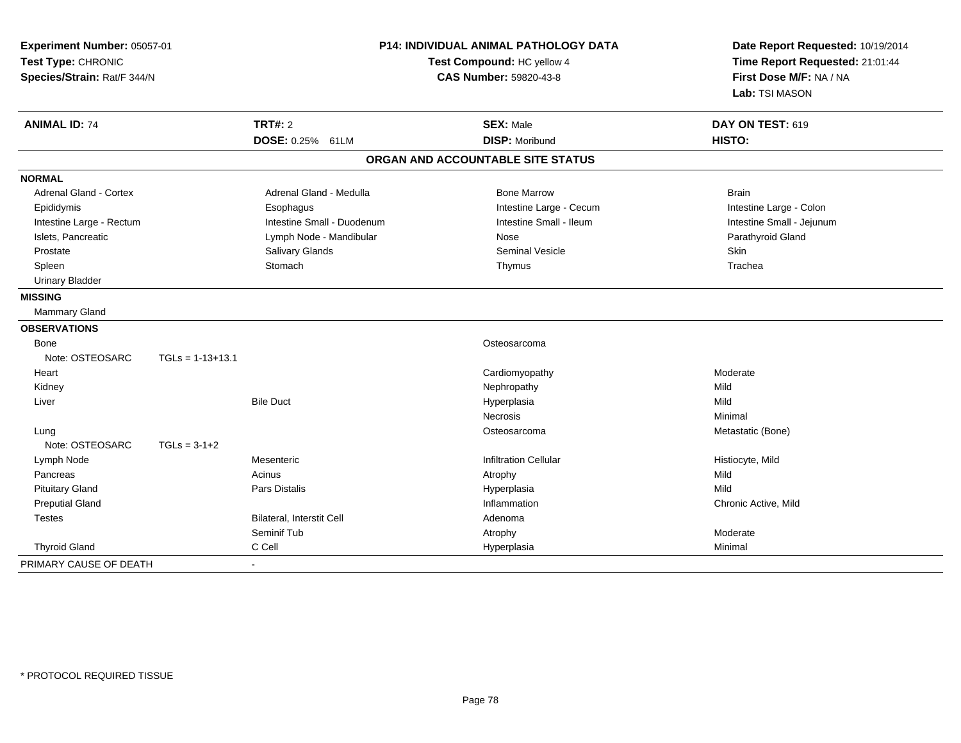| Experiment Number: 05057-01<br>Test Type: CHRONIC<br>Species/Strain: Rat/F 344/N |                    | P14: INDIVIDUAL ANIMAL PATHOLOGY DATA<br>Test Compound: HC yellow 4<br><b>CAS Number: 59820-43-8</b> |                                   | Date Report Requested: 10/19/2014<br>Time Report Requested: 21:01:44<br>First Dose M/F: NA / NA<br>Lab: TSI MASON |  |
|----------------------------------------------------------------------------------|--------------------|------------------------------------------------------------------------------------------------------|-----------------------------------|-------------------------------------------------------------------------------------------------------------------|--|
| <b>ANIMAL ID: 74</b>                                                             |                    | <b>TRT#: 2</b>                                                                                       | <b>SEX: Male</b>                  | DAY ON TEST: 619                                                                                                  |  |
|                                                                                  |                    | DOSE: 0.25% 61LM                                                                                     | <b>DISP: Moribund</b>             | HISTO:                                                                                                            |  |
|                                                                                  |                    |                                                                                                      | ORGAN AND ACCOUNTABLE SITE STATUS |                                                                                                                   |  |
| <b>NORMAL</b>                                                                    |                    |                                                                                                      |                                   |                                                                                                                   |  |
| <b>Adrenal Gland - Cortex</b>                                                    |                    | Adrenal Gland - Medulla                                                                              | <b>Bone Marrow</b>                | <b>Brain</b>                                                                                                      |  |
| Epididymis                                                                       |                    | Esophagus                                                                                            | Intestine Large - Cecum           | Intestine Large - Colon                                                                                           |  |
| Intestine Large - Rectum                                                         |                    | Intestine Small - Duodenum                                                                           | Intestine Small - Ileum           | Intestine Small - Jejunum                                                                                         |  |
| Islets, Pancreatic                                                               |                    | Lymph Node - Mandibular                                                                              | Nose                              | Parathyroid Gland                                                                                                 |  |
| Prostate                                                                         |                    | Salivary Glands                                                                                      | <b>Seminal Vesicle</b>            | Skin                                                                                                              |  |
| Spleen                                                                           |                    | Stomach                                                                                              | Thymus                            | Trachea                                                                                                           |  |
| <b>Urinary Bladder</b>                                                           |                    |                                                                                                      |                                   |                                                                                                                   |  |
| <b>MISSING</b>                                                                   |                    |                                                                                                      |                                   |                                                                                                                   |  |
| Mammary Gland                                                                    |                    |                                                                                                      |                                   |                                                                                                                   |  |
| <b>OBSERVATIONS</b>                                                              |                    |                                                                                                      |                                   |                                                                                                                   |  |
| Bone                                                                             |                    |                                                                                                      | Osteosarcoma                      |                                                                                                                   |  |
| Note: OSTEOSARC                                                                  | $TGLs = 1-13+13.1$ |                                                                                                      |                                   |                                                                                                                   |  |
| Heart                                                                            |                    |                                                                                                      | Cardiomyopathy                    | Moderate                                                                                                          |  |
| Kidney                                                                           |                    |                                                                                                      | Nephropathy                       | Mild                                                                                                              |  |
| Liver                                                                            |                    | <b>Bile Duct</b>                                                                                     | Hyperplasia                       | Mild                                                                                                              |  |
|                                                                                  |                    |                                                                                                      | <b>Necrosis</b>                   | Minimal                                                                                                           |  |
| Lung                                                                             |                    |                                                                                                      | Osteosarcoma                      | Metastatic (Bone)                                                                                                 |  |
| Note: OSTEOSARC                                                                  | $TGLs = 3-1+2$     |                                                                                                      |                                   |                                                                                                                   |  |
| Lymph Node                                                                       |                    | Mesenteric                                                                                           | <b>Infiltration Cellular</b>      | Histiocyte, Mild                                                                                                  |  |
| Pancreas                                                                         |                    | Acinus                                                                                               | Atrophy                           | Mild                                                                                                              |  |
| <b>Pituitary Gland</b>                                                           |                    | Pars Distalis                                                                                        | Hyperplasia                       | Mild                                                                                                              |  |
| <b>Preputial Gland</b>                                                           |                    |                                                                                                      | Inflammation                      | Chronic Active, Mild                                                                                              |  |
| <b>Testes</b>                                                                    |                    | Bilateral, Interstit Cell                                                                            | Adenoma                           |                                                                                                                   |  |
|                                                                                  |                    | Seminif Tub                                                                                          | Atrophy                           | Moderate                                                                                                          |  |
| <b>Thyroid Gland</b>                                                             |                    | C Cell                                                                                               | Hyperplasia                       | Minimal                                                                                                           |  |
| PRIMARY CAUSE OF DEATH                                                           |                    |                                                                                                      |                                   |                                                                                                                   |  |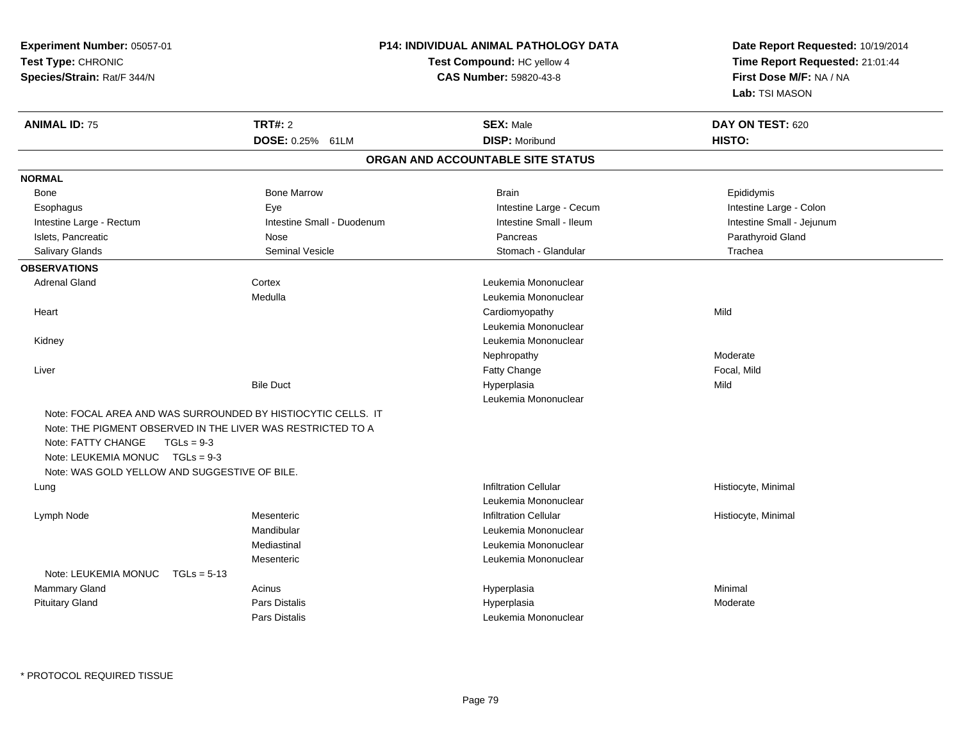| Experiment Number: 05057-01<br>Test Type: CHRONIC<br>Species/Strain: Rat/F 344/N                                                                                                        |                                                              | <b>P14: INDIVIDUAL ANIMAL PATHOLOGY DATA</b><br>Test Compound: HC yellow 4<br>CAS Number: 59820-43-8 |                           |
|-----------------------------------------------------------------------------------------------------------------------------------------------------------------------------------------|--------------------------------------------------------------|------------------------------------------------------------------------------------------------------|---------------------------|
| <b>ANIMAL ID: 75</b>                                                                                                                                                                    | TRT#: 2                                                      | <b>SEX: Male</b>                                                                                     | DAY ON TEST: 620          |
|                                                                                                                                                                                         | DOSE: 0.25% 61LM                                             | <b>DISP: Moribund</b>                                                                                | HISTO:                    |
|                                                                                                                                                                                         |                                                              | ORGAN AND ACCOUNTABLE SITE STATUS                                                                    |                           |
| <b>NORMAL</b>                                                                                                                                                                           |                                                              |                                                                                                      |                           |
| Bone                                                                                                                                                                                    | <b>Bone Marrow</b>                                           | <b>Brain</b>                                                                                         | Epididymis                |
| Esophagus                                                                                                                                                                               | Eye                                                          | Intestine Large - Cecum                                                                              | Intestine Large - Colon   |
| Intestine Large - Rectum                                                                                                                                                                | Intestine Small - Duodenum                                   | Intestine Small - Ileum                                                                              | Intestine Small - Jejunum |
| Islets, Pancreatic                                                                                                                                                                      | Nose                                                         | Pancreas                                                                                             | Parathyroid Gland         |
| <b>Salivary Glands</b>                                                                                                                                                                  | Seminal Vesicle                                              | Stomach - Glandular                                                                                  | Trachea                   |
| <b>OBSERVATIONS</b>                                                                                                                                                                     |                                                              |                                                                                                      |                           |
| <b>Adrenal Gland</b>                                                                                                                                                                    | Cortex                                                       | Leukemia Mononuclear                                                                                 |                           |
|                                                                                                                                                                                         | Medulla                                                      | Leukemia Mononuclear                                                                                 |                           |
| Heart                                                                                                                                                                                   |                                                              | Cardiomyopathy                                                                                       | Mild                      |
|                                                                                                                                                                                         |                                                              | Leukemia Mononuclear                                                                                 |                           |
| Kidney                                                                                                                                                                                  |                                                              | Leukemia Mononuclear                                                                                 |                           |
|                                                                                                                                                                                         |                                                              | Nephropathy                                                                                          | Moderate                  |
| Liver                                                                                                                                                                                   |                                                              | Fatty Change                                                                                         | Focal, Mild               |
|                                                                                                                                                                                         | <b>Bile Duct</b>                                             | Hyperplasia                                                                                          | Mild                      |
|                                                                                                                                                                                         |                                                              | Leukemia Mononuclear                                                                                 |                           |
| Note: THE PIGMENT OBSERVED IN THE LIVER WAS RESTRICTED TO A<br>Note: FATTY CHANGE<br>$TGLs = 9-3$<br>Note: LEUKEMIA MONUC $TGLs = 9-3$<br>Note: WAS GOLD YELLOW AND SUGGESTIVE OF BILE. | Note: FOCAL AREA AND WAS SURROUNDED BY HISTIOCYTIC CELLS. IT |                                                                                                      |                           |
| Lung                                                                                                                                                                                    |                                                              | <b>Infiltration Cellular</b>                                                                         | Histiocyte, Minimal       |
|                                                                                                                                                                                         |                                                              | Leukemia Mononuclear                                                                                 |                           |
| Lymph Node                                                                                                                                                                              | Mesenteric                                                   | <b>Infiltration Cellular</b>                                                                         | Histiocyte, Minimal       |
|                                                                                                                                                                                         | Mandibular                                                   | Leukemia Mononuclear                                                                                 |                           |
|                                                                                                                                                                                         | Mediastinal                                                  | Leukemia Mononuclear                                                                                 |                           |
|                                                                                                                                                                                         | Mesenteric                                                   | Leukemia Mononuclear                                                                                 |                           |
| Note: LEUKEMIA MONUC $TGLs = 5-13$                                                                                                                                                      |                                                              |                                                                                                      |                           |
| Mammary Gland                                                                                                                                                                           | Acinus                                                       | Hyperplasia                                                                                          | Minimal                   |
| <b>Pituitary Gland</b>                                                                                                                                                                  | Pars Distalis                                                | Hyperplasia                                                                                          | Moderate                  |
|                                                                                                                                                                                         | Pars Distalis                                                | Leukemia Mononuclear                                                                                 |                           |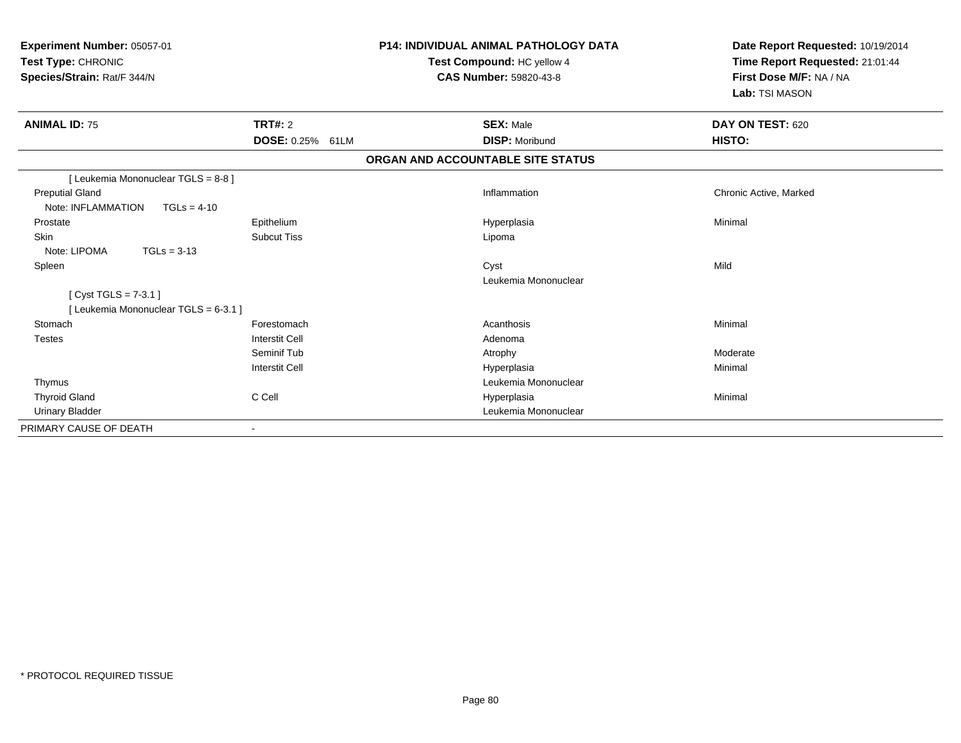| Experiment Number: 05057-01<br>Test Type: CHRONIC<br>Species/Strain: Rat/F 344/N |                       | <b>P14: INDIVIDUAL ANIMAL PATHOLOGY DATA</b><br>Test Compound: HC yellow 4<br><b>CAS Number: 59820-43-8</b> | Date Report Requested: 10/19/2014<br>Time Report Requested: 21:01:44<br>First Dose M/F: NA / NA<br>Lab: TSI MASON |  |
|----------------------------------------------------------------------------------|-----------------------|-------------------------------------------------------------------------------------------------------------|-------------------------------------------------------------------------------------------------------------------|--|
| <b>ANIMAL ID: 75</b>                                                             | TRT#: 2               | <b>SEX: Male</b>                                                                                            | DAY ON TEST: 620                                                                                                  |  |
|                                                                                  | DOSE: 0.25% 61LM      | <b>DISP: Moribund</b>                                                                                       | HISTO:                                                                                                            |  |
|                                                                                  |                       | ORGAN AND ACCOUNTABLE SITE STATUS                                                                           |                                                                                                                   |  |
| [ Leukemia Mononuclear TGLS = 8-8 ]                                              |                       |                                                                                                             |                                                                                                                   |  |
| <b>Preputial Gland</b>                                                           |                       | Inflammation                                                                                                | Chronic Active, Marked                                                                                            |  |
| Note: INFLAMMATION<br>$TGLs = 4-10$                                              |                       |                                                                                                             |                                                                                                                   |  |
| Prostate                                                                         | Epithelium            | Hyperplasia                                                                                                 | Minimal                                                                                                           |  |
| Skin                                                                             | <b>Subcut Tiss</b>    | Lipoma                                                                                                      |                                                                                                                   |  |
| Note: LIPOMA<br>$TGLs = 3-13$                                                    |                       |                                                                                                             |                                                                                                                   |  |
| Spleen                                                                           |                       | Cyst                                                                                                        | Mild                                                                                                              |  |
|                                                                                  |                       | Leukemia Mononuclear                                                                                        |                                                                                                                   |  |
| [Cyst TGLS = $7-3.1$ ]                                                           |                       |                                                                                                             |                                                                                                                   |  |
| [ Leukemia Mononuclear TGLS = 6-3.1 ]                                            |                       |                                                                                                             |                                                                                                                   |  |
| Stomach                                                                          | Forestomach           | Acanthosis                                                                                                  | Minimal                                                                                                           |  |
| <b>Testes</b>                                                                    | <b>Interstit Cell</b> | Adenoma                                                                                                     |                                                                                                                   |  |
|                                                                                  | Seminif Tub           | Atrophy                                                                                                     | Moderate                                                                                                          |  |
|                                                                                  | <b>Interstit Cell</b> | Hyperplasia                                                                                                 | Minimal                                                                                                           |  |
| Thymus                                                                           |                       | Leukemia Mononuclear                                                                                        |                                                                                                                   |  |
| <b>Thyroid Gland</b>                                                             | C Cell                | Hyperplasia                                                                                                 | Minimal                                                                                                           |  |
| <b>Urinary Bladder</b>                                                           |                       | Leukemia Mononuclear                                                                                        |                                                                                                                   |  |
| PRIMARY CAUSE OF DEATH                                                           | $\blacksquare$        |                                                                                                             |                                                                                                                   |  |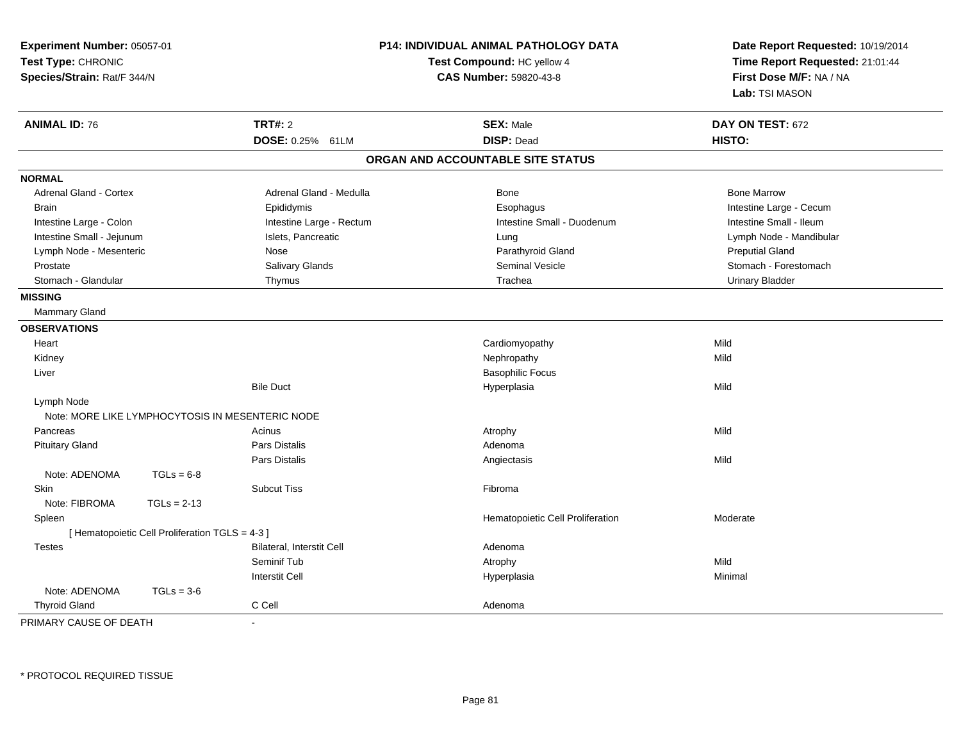| Experiment Number: 05057-01<br>Test Type: CHRONIC<br>Species/Strain: Rat/F 344/N |                                                 |                                                  | P14: INDIVIDUAL ANIMAL PATHOLOGY DATA<br>Test Compound: HC yellow 4<br>CAS Number: 59820-43-8 | Date Report Requested: 10/19/2014<br>Time Report Requested: 21:01:44<br>First Dose M/F: NA / NA<br>Lab: TSI MASON |
|----------------------------------------------------------------------------------|-------------------------------------------------|--------------------------------------------------|-----------------------------------------------------------------------------------------------|-------------------------------------------------------------------------------------------------------------------|
| <b>ANIMAL ID: 76</b>                                                             |                                                 | TRT#: 2                                          | <b>SEX: Male</b>                                                                              | DAY ON TEST: 672                                                                                                  |
|                                                                                  |                                                 | DOSE: 0.25% 61LM                                 | <b>DISP: Dead</b>                                                                             | HISTO:                                                                                                            |
|                                                                                  |                                                 |                                                  | ORGAN AND ACCOUNTABLE SITE STATUS                                                             |                                                                                                                   |
| <b>NORMAL</b>                                                                    |                                                 |                                                  |                                                                                               |                                                                                                                   |
| Adrenal Gland - Cortex                                                           |                                                 | Adrenal Gland - Medulla                          | Bone                                                                                          | <b>Bone Marrow</b>                                                                                                |
| <b>Brain</b>                                                                     |                                                 | Epididymis                                       | Esophagus                                                                                     | Intestine Large - Cecum                                                                                           |
| Intestine Large - Colon                                                          |                                                 | Intestine Large - Rectum                         | Intestine Small - Duodenum                                                                    | Intestine Small - Ileum                                                                                           |
| Intestine Small - Jejunum                                                        |                                                 | Islets, Pancreatic                               | Lung                                                                                          | Lymph Node - Mandibular                                                                                           |
| Lymph Node - Mesenteric                                                          |                                                 | Nose                                             | Parathyroid Gland                                                                             | <b>Preputial Gland</b>                                                                                            |
| Prostate                                                                         |                                                 | Salivary Glands                                  | <b>Seminal Vesicle</b>                                                                        | Stomach - Forestomach                                                                                             |
| Stomach - Glandular                                                              |                                                 | Thymus                                           | Trachea                                                                                       | <b>Urinary Bladder</b>                                                                                            |
| <b>MISSING</b>                                                                   |                                                 |                                                  |                                                                                               |                                                                                                                   |
| <b>Mammary Gland</b>                                                             |                                                 |                                                  |                                                                                               |                                                                                                                   |
| <b>OBSERVATIONS</b>                                                              |                                                 |                                                  |                                                                                               |                                                                                                                   |
| Heart                                                                            |                                                 |                                                  | Cardiomyopathy                                                                                | Mild                                                                                                              |
| Kidney                                                                           |                                                 |                                                  | Nephropathy                                                                                   | Mild                                                                                                              |
| Liver                                                                            |                                                 |                                                  | <b>Basophilic Focus</b>                                                                       |                                                                                                                   |
|                                                                                  |                                                 | <b>Bile Duct</b>                                 | Hyperplasia                                                                                   | Mild                                                                                                              |
| Lymph Node                                                                       |                                                 |                                                  |                                                                                               |                                                                                                                   |
|                                                                                  |                                                 | Note: MORE LIKE LYMPHOCYTOSIS IN MESENTERIC NODE |                                                                                               |                                                                                                                   |
| Pancreas                                                                         |                                                 | Acinus                                           | Atrophy                                                                                       | Mild                                                                                                              |
| <b>Pituitary Gland</b>                                                           |                                                 | Pars Distalis                                    | Adenoma                                                                                       |                                                                                                                   |
|                                                                                  |                                                 | Pars Distalis                                    | Angiectasis                                                                                   | Mild                                                                                                              |
| Note: ADENOMA                                                                    | $TGLs = 6-8$                                    |                                                  |                                                                                               |                                                                                                                   |
| <b>Skin</b>                                                                      |                                                 | <b>Subcut Tiss</b>                               | Fibroma                                                                                       |                                                                                                                   |
| Note: FIBROMA                                                                    | $TGLs = 2-13$                                   |                                                  |                                                                                               |                                                                                                                   |
| Spleen                                                                           |                                                 |                                                  | Hematopoietic Cell Proliferation                                                              | Moderate                                                                                                          |
|                                                                                  | [ Hematopoietic Cell Proliferation TGLS = 4-3 ] |                                                  |                                                                                               |                                                                                                                   |
| <b>Testes</b>                                                                    |                                                 | Bilateral, Interstit Cell                        | Adenoma                                                                                       |                                                                                                                   |
|                                                                                  |                                                 | Seminif Tub                                      | Atrophy                                                                                       | Mild                                                                                                              |
|                                                                                  |                                                 | <b>Interstit Cell</b>                            | Hyperplasia                                                                                   | Minimal                                                                                                           |
| Note: ADENOMA                                                                    | $TGLs = 3-6$                                    |                                                  |                                                                                               |                                                                                                                   |
| <b>Thyroid Gland</b>                                                             |                                                 | C Cell                                           | Adenoma                                                                                       |                                                                                                                   |
| PRIMARY CAUSE OF DEATH                                                           |                                                 | $\sim$                                           |                                                                                               |                                                                                                                   |

\* PROTOCOL REQUIRED TISSUE

-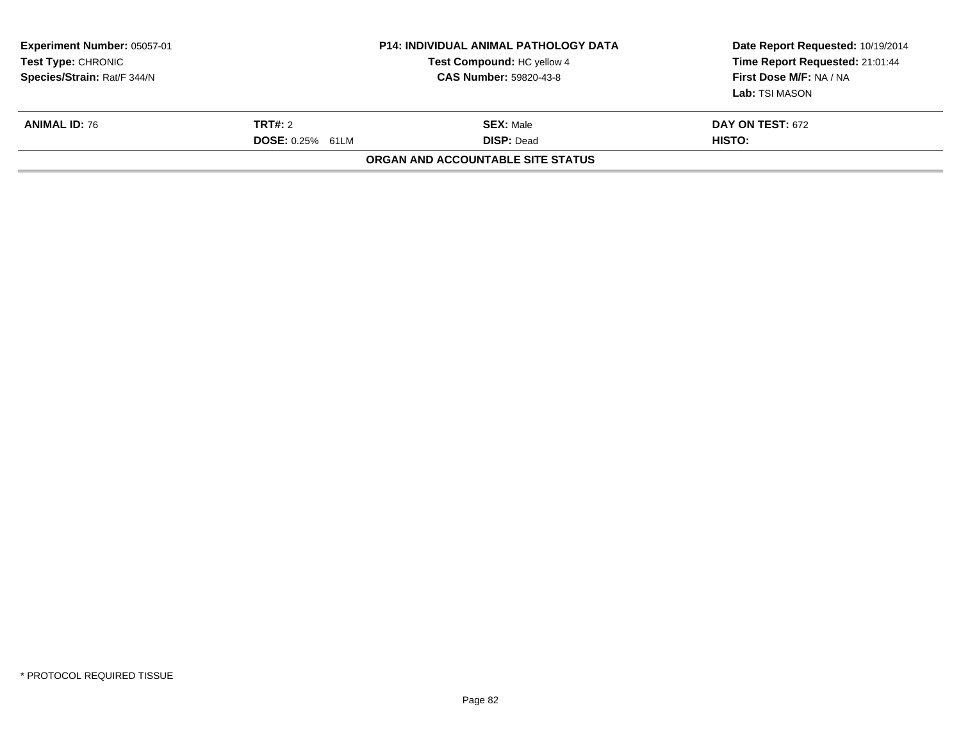| Experiment Number: 05057-01<br><b>Test Type: CHRONIC</b><br>Species/Strain: Rat/F 344/N |                                           | <b>P14: INDIVIDUAL ANIMAL PATHOLOGY DATA</b><br>Test Compound: HC yellow 4<br><b>CAS Number: 59820-43-8</b> | Date Report Requested: 10/19/2014<br>Time Report Requested: 21:01:44<br>First Dose M/F: NA / NA<br>Lab: TSI MASON |  |
|-----------------------------------------------------------------------------------------|-------------------------------------------|-------------------------------------------------------------------------------------------------------------|-------------------------------------------------------------------------------------------------------------------|--|
| <b>ANIMAL ID: 76</b>                                                                    | <b>TRT#:</b> 2<br><b>DOSE: 0.25% 61LM</b> | <b>SEX:</b> Male<br><b>DISP: Dead</b>                                                                       | <b>DAY ON TEST: 672</b><br>HISTO:                                                                                 |  |
|                                                                                         |                                           | ORGAN AND ACCOUNTABLE SITE STATUS                                                                           |                                                                                                                   |  |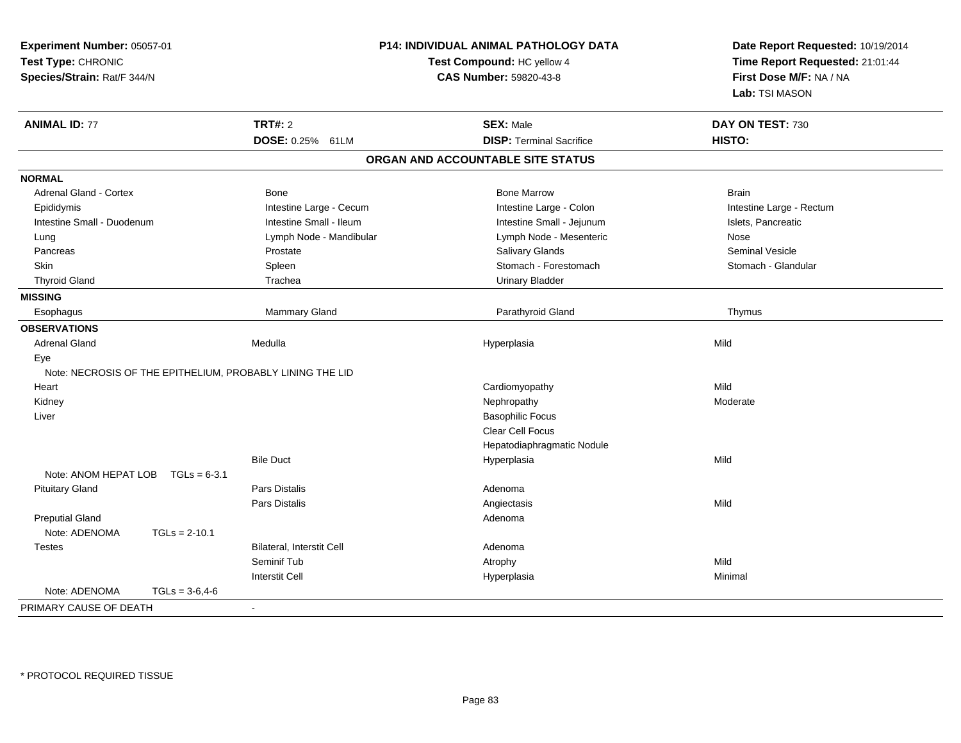| Experiment Number: 05057-01<br>Test Type: CHRONIC<br>Species/Strain: Rat/F 344/N | P14: INDIVIDUAL ANIMAL PATHOLOGY DATA<br>Test Compound: HC yellow 4<br>CAS Number: 59820-43-8 | Date Report Requested: 10/19/2014<br>Time Report Requested: 21:01:44<br>First Dose M/F: NA / NA<br>Lab: TSI MASON |  |
|----------------------------------------------------------------------------------|-----------------------------------------------------------------------------------------------|-------------------------------------------------------------------------------------------------------------------|--|
| <b>TRT#: 2</b><br><b>ANIMAL ID: 77</b>                                           | <b>SEX: Male</b>                                                                              | DAY ON TEST: 730                                                                                                  |  |
| DOSE: 0.25% 61LM                                                                 | <b>DISP: Terminal Sacrifice</b>                                                               | HISTO:                                                                                                            |  |
|                                                                                  | ORGAN AND ACCOUNTABLE SITE STATUS                                                             |                                                                                                                   |  |
| <b>NORMAL</b>                                                                    |                                                                                               |                                                                                                                   |  |
| <b>Adrenal Gland - Cortex</b><br>Bone                                            | <b>Bone Marrow</b>                                                                            | <b>Brain</b>                                                                                                      |  |
| Intestine Large - Cecum<br>Epididymis                                            | Intestine Large - Colon                                                                       | Intestine Large - Rectum                                                                                          |  |
| Intestine Small - Ileum<br>Intestine Small - Duodenum                            | Intestine Small - Jejunum                                                                     | Islets, Pancreatic                                                                                                |  |
| Lymph Node - Mandibular<br>Lung                                                  | Lymph Node - Mesenteric                                                                       | Nose                                                                                                              |  |
| Pancreas<br>Prostate                                                             | Salivary Glands                                                                               | Seminal Vesicle                                                                                                   |  |
| <b>Skin</b><br>Spleen                                                            | Stomach - Forestomach                                                                         | Stomach - Glandular                                                                                               |  |
| <b>Thyroid Gland</b><br>Trachea                                                  | <b>Urinary Bladder</b>                                                                        |                                                                                                                   |  |
| <b>MISSING</b>                                                                   |                                                                                               |                                                                                                                   |  |
| Mammary Gland<br>Esophagus                                                       | Parathyroid Gland                                                                             | Thymus                                                                                                            |  |
| <b>OBSERVATIONS</b>                                                              |                                                                                               |                                                                                                                   |  |
| Medulla<br><b>Adrenal Gland</b>                                                  | Hyperplasia                                                                                   | Mild                                                                                                              |  |
| Eye                                                                              |                                                                                               |                                                                                                                   |  |
| Note: NECROSIS OF THE EPITHELIUM, PROBABLY LINING THE LID                        |                                                                                               |                                                                                                                   |  |
| Heart                                                                            | Cardiomyopathy                                                                                | Mild                                                                                                              |  |
| Kidney                                                                           | Nephropathy                                                                                   | Moderate                                                                                                          |  |
| Liver                                                                            | <b>Basophilic Focus</b>                                                                       |                                                                                                                   |  |
|                                                                                  | Clear Cell Focus                                                                              |                                                                                                                   |  |
|                                                                                  | Hepatodiaphragmatic Nodule                                                                    |                                                                                                                   |  |
| <b>Bile Duct</b>                                                                 | Hyperplasia                                                                                   | Mild                                                                                                              |  |
| Note: ANOM HEPAT LOB<br>$TGLs = 6-3.1$                                           |                                                                                               |                                                                                                                   |  |
| <b>Pituitary Gland</b><br>Pars Distalis                                          | Adenoma                                                                                       |                                                                                                                   |  |
| Pars Distalis                                                                    | Angiectasis                                                                                   | Mild                                                                                                              |  |
| <b>Preputial Gland</b>                                                           | Adenoma                                                                                       |                                                                                                                   |  |
| Note: ADENOMA<br>$TGLs = 2-10.1$                                                 |                                                                                               |                                                                                                                   |  |
| Bilateral, Interstit Cell<br><b>Testes</b>                                       | Adenoma                                                                                       |                                                                                                                   |  |
| Seminif Tub                                                                      | Atrophy                                                                                       | Mild                                                                                                              |  |
| <b>Interstit Cell</b>                                                            | Hyperplasia                                                                                   | Minimal                                                                                                           |  |
| Note: ADENOMA<br>$TGLs = 3-6, 4-6$                                               |                                                                                               |                                                                                                                   |  |
| PRIMARY CAUSE OF DEATH<br>$\blacksquare$                                         |                                                                                               |                                                                                                                   |  |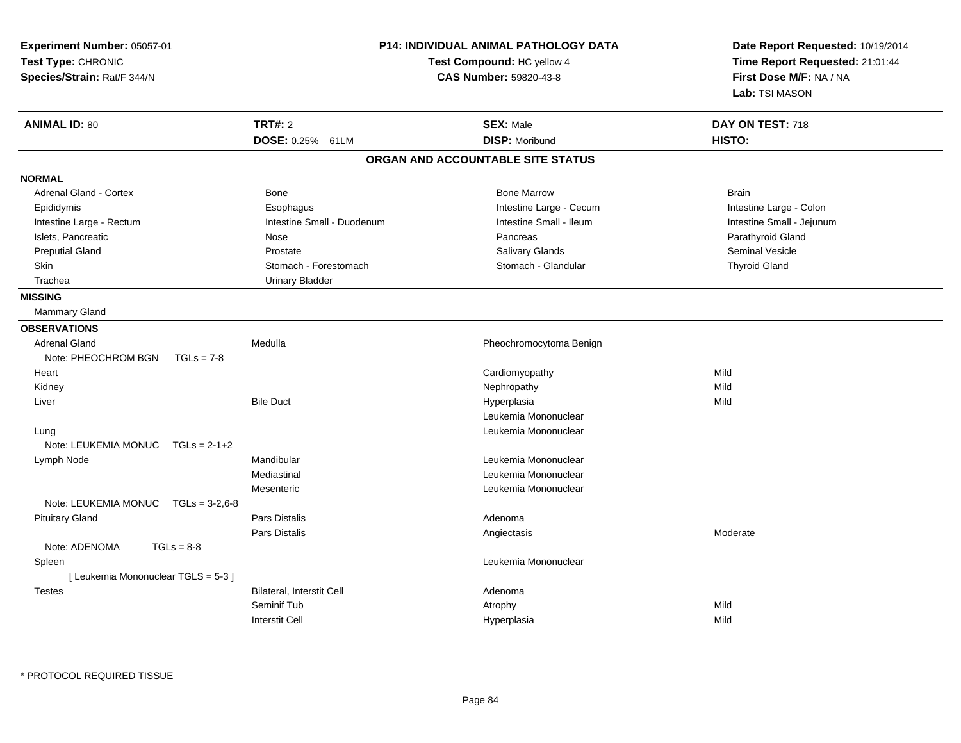| Experiment Number: 05057-01<br>Test Type: CHRONIC<br>Species/Strain: Rat/F 344/N |                  | <b>P14: INDIVIDUAL ANIMAL PATHOLOGY DATA</b><br>Test Compound: HC yellow 4<br><b>CAS Number: 59820-43-8</b> |  | Date Report Requested: 10/19/2014<br>Time Report Requested: 21:01:44<br>First Dose M/F: NA / NA<br><b>Lab:</b> TSI MASON |                            |
|----------------------------------------------------------------------------------|------------------|-------------------------------------------------------------------------------------------------------------|--|--------------------------------------------------------------------------------------------------------------------------|----------------------------|
| <b>ANIMAL ID: 80</b>                                                             |                  | <b>TRT#: 2</b><br>DOSE: 0.25% 61LM                                                                          |  | <b>SEX: Male</b><br><b>DISP: Moribund</b>                                                                                | DAY ON TEST: 718<br>HISTO: |
|                                                                                  |                  |                                                                                                             |  | ORGAN AND ACCOUNTABLE SITE STATUS                                                                                        |                            |
| <b>NORMAL</b>                                                                    |                  |                                                                                                             |  |                                                                                                                          |                            |
| Adrenal Gland - Cortex                                                           |                  | Bone                                                                                                        |  | <b>Bone Marrow</b>                                                                                                       | Brain                      |
| Epididymis                                                                       |                  | Esophagus                                                                                                   |  | Intestine Large - Cecum                                                                                                  | Intestine Large - Colon    |
| Intestine Large - Rectum                                                         |                  | Intestine Small - Duodenum                                                                                  |  | Intestine Small - Ileum                                                                                                  | Intestine Small - Jejunum  |
| Islets, Pancreatic                                                               |                  | Nose                                                                                                        |  | Pancreas                                                                                                                 | Parathyroid Gland          |
| <b>Preputial Gland</b>                                                           |                  | Prostate                                                                                                    |  | Salivary Glands                                                                                                          | <b>Seminal Vesicle</b>     |
| Skin                                                                             |                  | Stomach - Forestomach                                                                                       |  | Stomach - Glandular                                                                                                      | <b>Thyroid Gland</b>       |
| Trachea                                                                          |                  | <b>Urinary Bladder</b>                                                                                      |  |                                                                                                                          |                            |
| <b>MISSING</b>                                                                   |                  |                                                                                                             |  |                                                                                                                          |                            |
| Mammary Gland                                                                    |                  |                                                                                                             |  |                                                                                                                          |                            |
| <b>OBSERVATIONS</b>                                                              |                  |                                                                                                             |  |                                                                                                                          |                            |
| <b>Adrenal Gland</b>                                                             |                  | Medulla                                                                                                     |  | Pheochromocytoma Benign                                                                                                  |                            |
| Note: PHEOCHROM BGN                                                              | $TGLs = 7-8$     |                                                                                                             |  |                                                                                                                          |                            |
| Heart                                                                            |                  |                                                                                                             |  | Cardiomyopathy                                                                                                           | Mild                       |
| Kidney                                                                           |                  |                                                                                                             |  | Nephropathy                                                                                                              | Mild                       |
| Liver                                                                            |                  | <b>Bile Duct</b>                                                                                            |  | Hyperplasia                                                                                                              | Mild                       |
|                                                                                  |                  |                                                                                                             |  | Leukemia Mononuclear                                                                                                     |                            |
| Lung                                                                             |                  |                                                                                                             |  | Leukemia Mononuclear                                                                                                     |                            |
| Note: LEUKEMIA MONUC                                                             | $TGLs = 2-1+2$   |                                                                                                             |  |                                                                                                                          |                            |
| Lymph Node                                                                       |                  | Mandibular                                                                                                  |  | Leukemia Mononuclear                                                                                                     |                            |
|                                                                                  |                  | Mediastinal                                                                                                 |  | Leukemia Mononuclear                                                                                                     |                            |
|                                                                                  |                  | Mesenteric                                                                                                  |  | Leukemia Mononuclear                                                                                                     |                            |
| Note: LEUKEMIA MONUC                                                             | $TGLs = 3-2.6-8$ |                                                                                                             |  |                                                                                                                          |                            |
| <b>Pituitary Gland</b>                                                           |                  | Pars Distalis                                                                                               |  | Adenoma                                                                                                                  |                            |
|                                                                                  |                  | <b>Pars Distalis</b>                                                                                        |  | Angiectasis                                                                                                              | Moderate                   |
| Note: ADENOMA                                                                    | $TGLs = 8-8$     |                                                                                                             |  |                                                                                                                          |                            |
| Spleen                                                                           |                  |                                                                                                             |  | Leukemia Mononuclear                                                                                                     |                            |
| [ Leukemia Mononuclear TGLS = 5-3 ]                                              |                  |                                                                                                             |  |                                                                                                                          |                            |
| Testes                                                                           |                  | Bilateral, Interstit Cell                                                                                   |  | Adenoma                                                                                                                  |                            |
|                                                                                  |                  | Seminif Tub                                                                                                 |  | Atrophy                                                                                                                  | Mild                       |
|                                                                                  |                  | <b>Interstit Cell</b>                                                                                       |  | Hyperplasia                                                                                                              | Mild                       |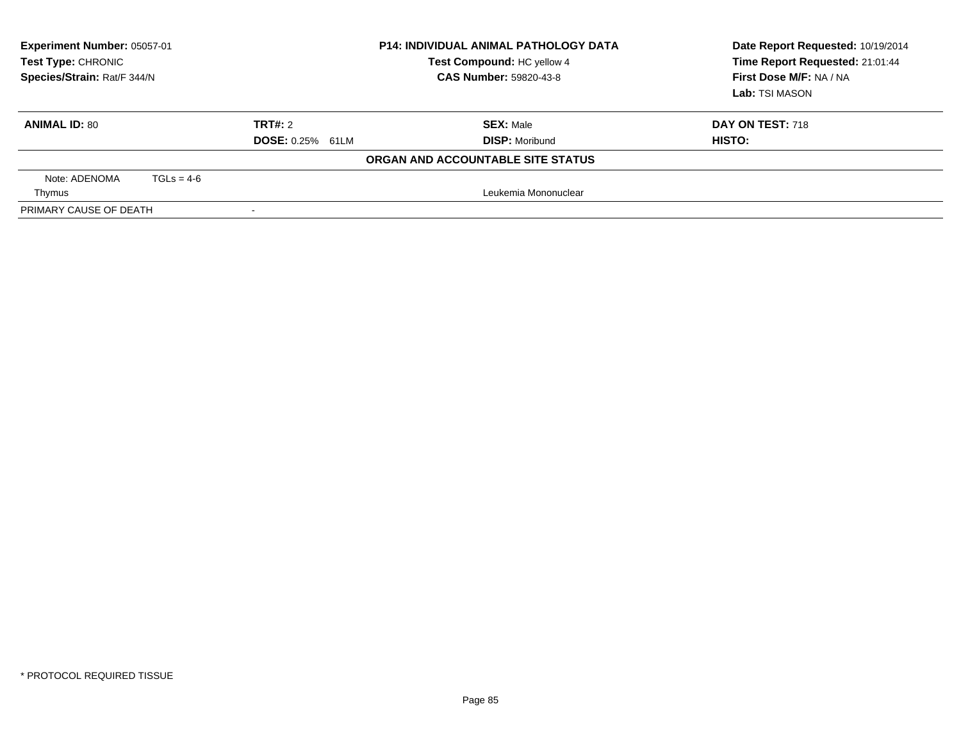| Experiment Number: 05057-01<br><b>Test Type: CHRONIC</b><br>Species/Strain: Rat/F 344/N |                         | <b>P14: INDIVIDUAL ANIMAL PATHOLOGY DATA</b><br>Test Compound: HC yellow 4<br><b>CAS Number: 59820-43-8</b> | Date Report Requested: 10/19/2014<br>Time Report Requested: 21:01:44<br>First Dose M/F: NA / NA<br>Lab: TSI MASON |
|-----------------------------------------------------------------------------------------|-------------------------|-------------------------------------------------------------------------------------------------------------|-------------------------------------------------------------------------------------------------------------------|
| <b>ANIMAL ID: 80</b>                                                                    | TRT#: 2                 | <b>SEX: Male</b>                                                                                            | DAY ON TEST: 718                                                                                                  |
|                                                                                         | <b>DOSE: 0.25% 61LM</b> | <b>DISP: Moribund</b>                                                                                       | HISTO:                                                                                                            |
|                                                                                         |                         | ORGAN AND ACCOUNTABLE SITE STATUS                                                                           |                                                                                                                   |
| Note: ADENOMA<br>$TGLs = 4-6$                                                           |                         |                                                                                                             |                                                                                                                   |
| Thymus                                                                                  |                         | Leukemia Mononuclear                                                                                        |                                                                                                                   |
| PRIMARY CAUSE OF DEATH                                                                  |                         |                                                                                                             |                                                                                                                   |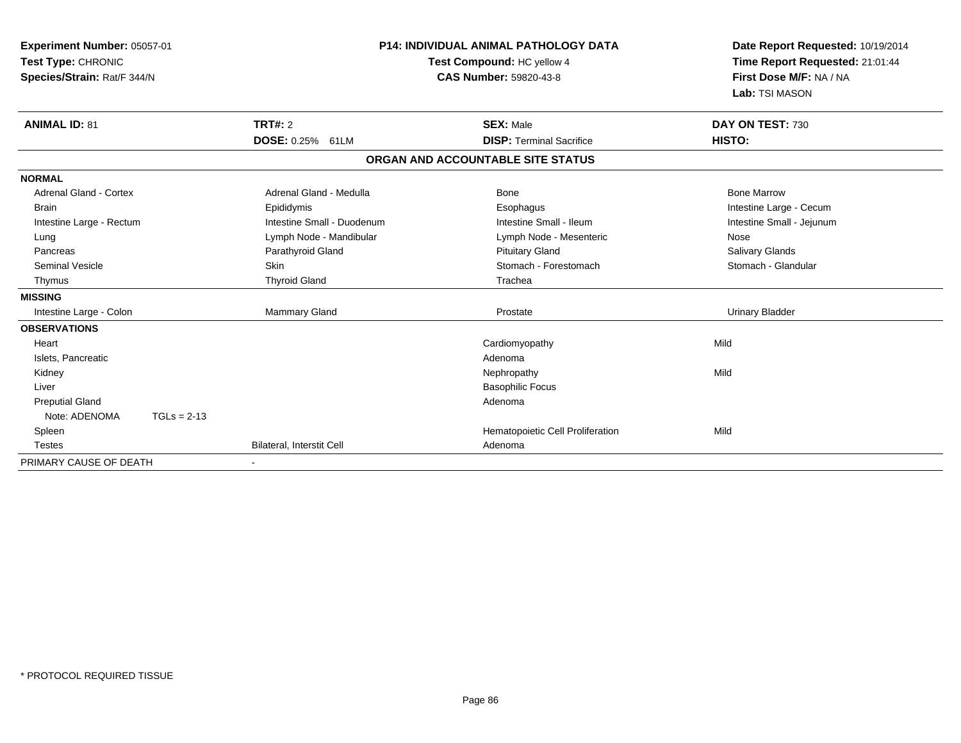| <b>Experiment Number: 05057-01</b><br>Test Type: CHRONIC<br>Species/Strain: Rat/F 344/N |                            | <b>P14: INDIVIDUAL ANIMAL PATHOLOGY DATA</b><br>Test Compound: HC yellow 4<br><b>CAS Number: 59820-43-8</b> | Date Report Requested: 10/19/2014<br>Time Report Requested: 21:01:44<br>First Dose M/F: NA / NA<br>Lab: TSI MASON |  |
|-----------------------------------------------------------------------------------------|----------------------------|-------------------------------------------------------------------------------------------------------------|-------------------------------------------------------------------------------------------------------------------|--|
| <b>ANIMAL ID: 81</b>                                                                    | <b>TRT#: 2</b>             | <b>SEX: Male</b>                                                                                            | DAY ON TEST: 730                                                                                                  |  |
|                                                                                         | <b>DOSE: 0.25%</b><br>61LM | <b>DISP: Terminal Sacrifice</b>                                                                             | HISTO:                                                                                                            |  |
|                                                                                         |                            | ORGAN AND ACCOUNTABLE SITE STATUS                                                                           |                                                                                                                   |  |
| <b>NORMAL</b>                                                                           |                            |                                                                                                             |                                                                                                                   |  |
| <b>Adrenal Gland - Cortex</b>                                                           | Adrenal Gland - Medulla    | Bone                                                                                                        | <b>Bone Marrow</b>                                                                                                |  |
| Brain                                                                                   | Epididymis                 | Esophagus                                                                                                   | Intestine Large - Cecum                                                                                           |  |
| Intestine Large - Rectum                                                                | Intestine Small - Duodenum | Intestine Small - Ileum                                                                                     | Intestine Small - Jejunum                                                                                         |  |
| Lung                                                                                    | Lymph Node - Mandibular    | Lymph Node - Mesenteric                                                                                     | Nose                                                                                                              |  |
| Pancreas                                                                                | Parathyroid Gland          | <b>Pituitary Gland</b>                                                                                      | Salivary Glands                                                                                                   |  |
| <b>Seminal Vesicle</b>                                                                  | Skin                       | Stomach - Forestomach                                                                                       | Stomach - Glandular                                                                                               |  |
| Thymus                                                                                  | <b>Thyroid Gland</b>       | Trachea                                                                                                     |                                                                                                                   |  |
| <b>MISSING</b>                                                                          |                            |                                                                                                             |                                                                                                                   |  |
| Intestine Large - Colon                                                                 | <b>Mammary Gland</b>       | Prostate                                                                                                    | <b>Urinary Bladder</b>                                                                                            |  |
| <b>OBSERVATIONS</b>                                                                     |                            |                                                                                                             |                                                                                                                   |  |
| Heart                                                                                   |                            | Cardiomyopathy                                                                                              | Mild                                                                                                              |  |
| Islets, Pancreatic                                                                      |                            | Adenoma                                                                                                     |                                                                                                                   |  |
| Kidney                                                                                  |                            | Nephropathy                                                                                                 | Mild                                                                                                              |  |
| Liver                                                                                   |                            | <b>Basophilic Focus</b>                                                                                     |                                                                                                                   |  |
| <b>Preputial Gland</b>                                                                  |                            | Adenoma                                                                                                     |                                                                                                                   |  |
| Note: ADENOMA<br>$TGLs = 2-13$                                                          |                            |                                                                                                             |                                                                                                                   |  |
| Spleen                                                                                  |                            | Hematopoietic Cell Proliferation                                                                            | Mild                                                                                                              |  |
| <b>Testes</b>                                                                           | Bilateral, Interstit Cell  | Adenoma                                                                                                     |                                                                                                                   |  |
| PRIMARY CAUSE OF DEATH                                                                  |                            |                                                                                                             |                                                                                                                   |  |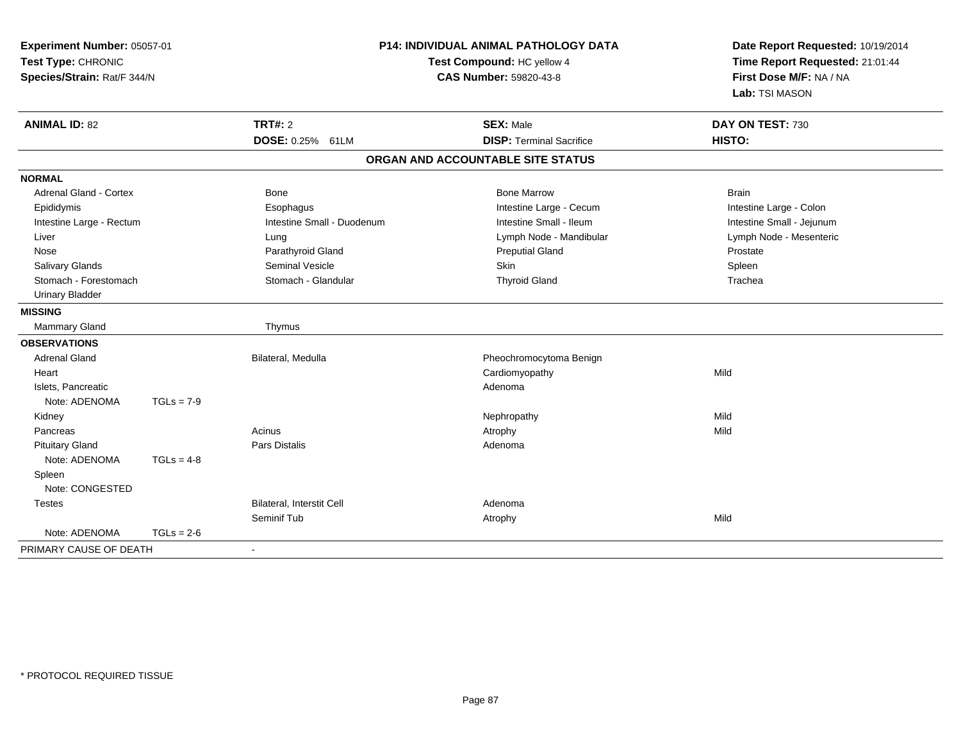| Experiment Number: 05057-01<br>Test Type: CHRONIC<br>Species/Strain: Rat/F 344/N |              |                            | P14: INDIVIDUAL ANIMAL PATHOLOGY DATA<br>Test Compound: HC yellow 4<br><b>CAS Number: 59820-43-8</b> | Date Report Requested: 10/19/2014<br>Time Report Requested: 21:01:44<br>First Dose M/F: NA / NA<br>Lab: TSI MASON |  |
|----------------------------------------------------------------------------------|--------------|----------------------------|------------------------------------------------------------------------------------------------------|-------------------------------------------------------------------------------------------------------------------|--|
| <b>ANIMAL ID: 82</b>                                                             |              | <b>TRT#: 2</b>             | <b>SEX: Male</b>                                                                                     | DAY ON TEST: 730                                                                                                  |  |
|                                                                                  |              | DOSE: 0.25% 61LM           | <b>DISP: Terminal Sacrifice</b>                                                                      | HISTO:                                                                                                            |  |
|                                                                                  |              |                            | ORGAN AND ACCOUNTABLE SITE STATUS                                                                    |                                                                                                                   |  |
| <b>NORMAL</b>                                                                    |              |                            |                                                                                                      |                                                                                                                   |  |
| Adrenal Gland - Cortex                                                           |              | Bone                       | <b>Bone Marrow</b>                                                                                   | <b>Brain</b>                                                                                                      |  |
| Epididymis                                                                       |              | Esophagus                  | Intestine Large - Cecum                                                                              | Intestine Large - Colon                                                                                           |  |
| Intestine Large - Rectum                                                         |              | Intestine Small - Duodenum | Intestine Small - Ileum                                                                              | Intestine Small - Jejunum                                                                                         |  |
| Liver                                                                            |              | Lung                       | Lymph Node - Mandibular                                                                              | Lymph Node - Mesenteric                                                                                           |  |
| Nose                                                                             |              | Parathyroid Gland          | <b>Preputial Gland</b>                                                                               | Prostate                                                                                                          |  |
| Salivary Glands                                                                  |              | <b>Seminal Vesicle</b>     | Skin                                                                                                 | Spleen                                                                                                            |  |
| Stomach - Forestomach                                                            |              | Stomach - Glandular        | <b>Thyroid Gland</b>                                                                                 | Trachea                                                                                                           |  |
| <b>Urinary Bladder</b>                                                           |              |                            |                                                                                                      |                                                                                                                   |  |
| <b>MISSING</b>                                                                   |              |                            |                                                                                                      |                                                                                                                   |  |
| <b>Mammary Gland</b>                                                             |              | Thymus                     |                                                                                                      |                                                                                                                   |  |
| <b>OBSERVATIONS</b>                                                              |              |                            |                                                                                                      |                                                                                                                   |  |
| <b>Adrenal Gland</b>                                                             |              | Bilateral, Medulla         | Pheochromocytoma Benign                                                                              |                                                                                                                   |  |
| Heart                                                                            |              |                            | Cardiomyopathy                                                                                       | Mild                                                                                                              |  |
| Islets, Pancreatic                                                               |              |                            | Adenoma                                                                                              |                                                                                                                   |  |
| Note: ADENOMA                                                                    | $TGLs = 7-9$ |                            |                                                                                                      |                                                                                                                   |  |
| Kidney                                                                           |              |                            | Nephropathy                                                                                          | Mild                                                                                                              |  |
| Pancreas                                                                         |              | Acinus                     | Atrophy                                                                                              | Mild                                                                                                              |  |
| <b>Pituitary Gland</b>                                                           |              | Pars Distalis              | Adenoma                                                                                              |                                                                                                                   |  |
| Note: ADENOMA                                                                    | $TGLs = 4-8$ |                            |                                                                                                      |                                                                                                                   |  |
| Spleen                                                                           |              |                            |                                                                                                      |                                                                                                                   |  |
| Note: CONGESTED                                                                  |              |                            |                                                                                                      |                                                                                                                   |  |
| <b>Testes</b>                                                                    |              | Bilateral, Interstit Cell  | Adenoma                                                                                              |                                                                                                                   |  |
|                                                                                  |              | Seminif Tub                | Atrophy                                                                                              | Mild                                                                                                              |  |
| Note: ADENOMA                                                                    | $TGLs = 2-6$ |                            |                                                                                                      |                                                                                                                   |  |
| PRIMARY CAUSE OF DEATH                                                           |              | $\mathbf{r}$               |                                                                                                      |                                                                                                                   |  |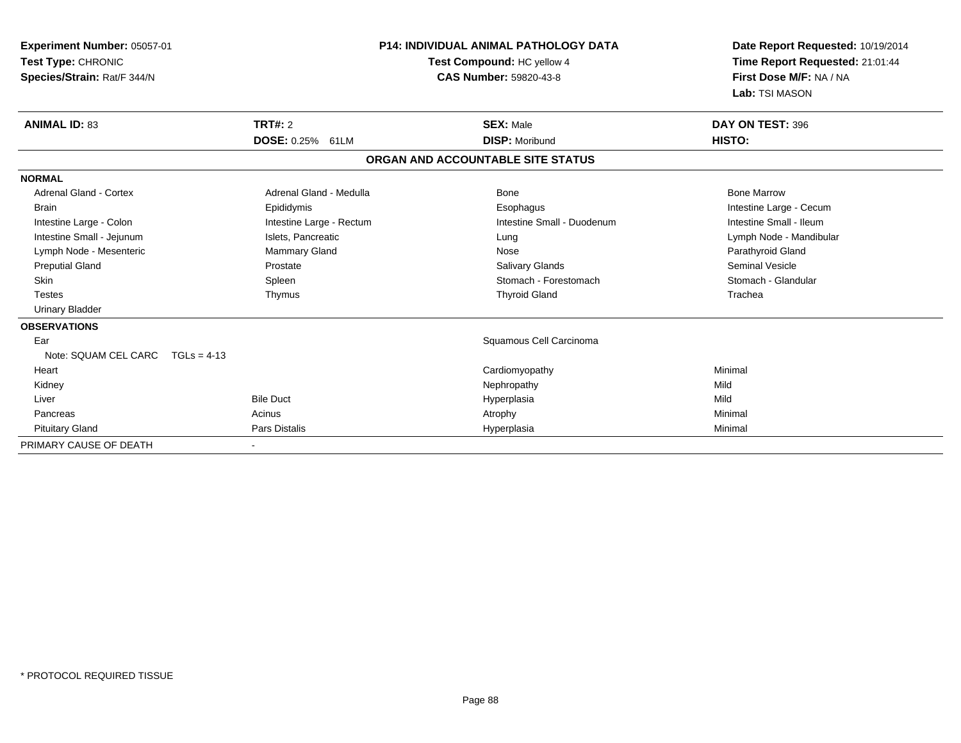| Experiment Number: 05057-01<br>Test Type: CHRONIC<br>Species/Strain: Rat/F 344/N |                          | <b>P14: INDIVIDUAL ANIMAL PATHOLOGY DATA</b><br>Test Compound: HC yellow 4<br><b>CAS Number: 59820-43-8</b> | Date Report Requested: 10/19/2014<br>Time Report Requested: 21:01:44<br>First Dose M/F: NA / NA<br>Lab: TSI MASON |
|----------------------------------------------------------------------------------|--------------------------|-------------------------------------------------------------------------------------------------------------|-------------------------------------------------------------------------------------------------------------------|
| <b>ANIMAL ID: 83</b>                                                             | TRT#: 2                  | <b>SEX: Male</b>                                                                                            | DAY ON TEST: 396                                                                                                  |
|                                                                                  | <b>DOSE: 0.25% 61LM</b>  | <b>DISP: Moribund</b>                                                                                       | <b>HISTO:</b>                                                                                                     |
|                                                                                  |                          | ORGAN AND ACCOUNTABLE SITE STATUS                                                                           |                                                                                                                   |
| <b>NORMAL</b>                                                                    |                          |                                                                                                             |                                                                                                                   |
| Adrenal Gland - Cortex                                                           | Adrenal Gland - Medulla  | Bone                                                                                                        | <b>Bone Marrow</b>                                                                                                |
| <b>Brain</b>                                                                     | Epididymis               | Esophagus                                                                                                   | Intestine Large - Cecum                                                                                           |
| Intestine Large - Colon                                                          | Intestine Large - Rectum | Intestine Small - Duodenum                                                                                  | Intestine Small - Ileum                                                                                           |
| Intestine Small - Jejunum                                                        | Islets, Pancreatic       | Lung                                                                                                        | Lymph Node - Mandibular                                                                                           |
| Lymph Node - Mesenteric                                                          | <b>Mammary Gland</b>     | Nose                                                                                                        | Parathyroid Gland                                                                                                 |
| <b>Preputial Gland</b>                                                           | Prostate                 | <b>Salivary Glands</b>                                                                                      | <b>Seminal Vesicle</b>                                                                                            |
| <b>Skin</b>                                                                      | Spleen                   | Stomach - Forestomach                                                                                       | Stomach - Glandular                                                                                               |
| <b>Testes</b>                                                                    | Thymus                   | <b>Thyroid Gland</b>                                                                                        | Trachea                                                                                                           |
| <b>Urinary Bladder</b>                                                           |                          |                                                                                                             |                                                                                                                   |
| <b>OBSERVATIONS</b>                                                              |                          |                                                                                                             |                                                                                                                   |
| Ear                                                                              |                          | Squamous Cell Carcinoma                                                                                     |                                                                                                                   |
| Note: SQUAM CEL CARC                                                             | $TGLs = 4-13$            |                                                                                                             |                                                                                                                   |
| Heart                                                                            |                          | Cardiomyopathy                                                                                              | Minimal                                                                                                           |
| Kidney                                                                           |                          | Nephropathy                                                                                                 | Mild                                                                                                              |
| Liver                                                                            | <b>Bile Duct</b>         | Hyperplasia                                                                                                 | Mild                                                                                                              |
| Pancreas                                                                         | Acinus                   | Atrophy                                                                                                     | Minimal                                                                                                           |
| <b>Pituitary Gland</b>                                                           | Pars Distalis            | Hyperplasia                                                                                                 | Minimal                                                                                                           |
| PRIMARY CAUSE OF DEATH                                                           | $\overline{\phantom{a}}$ |                                                                                                             |                                                                                                                   |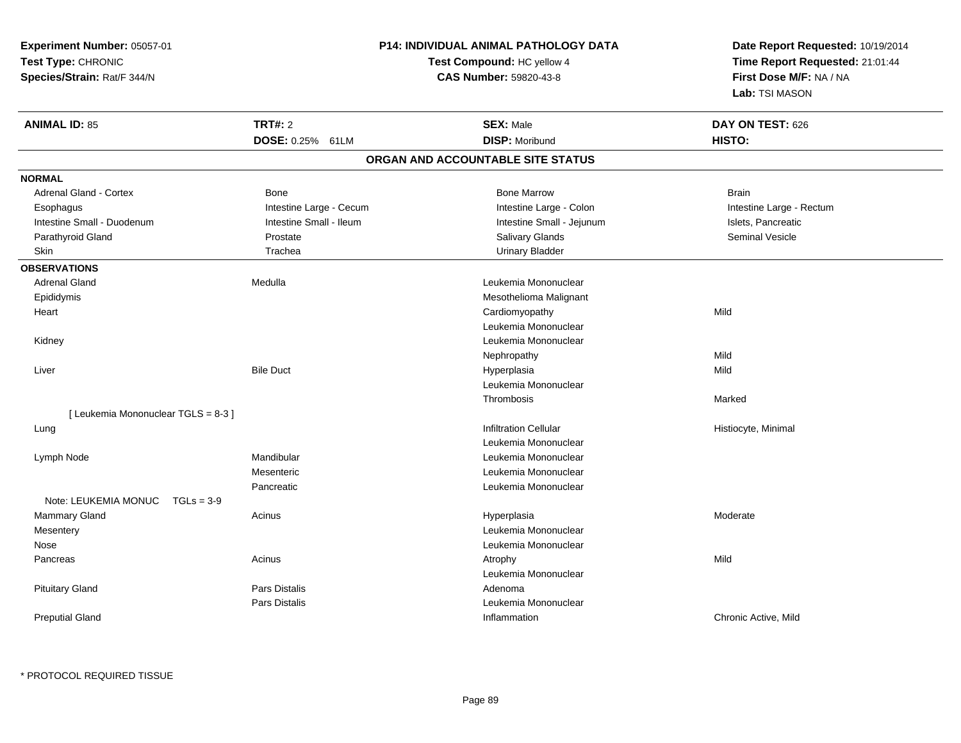| Experiment Number: 05057-01          |                            | P14: INDIVIDUAL ANIMAL PATHOLOGY DATA | Date Report Requested: 10/19/2014                          |  |
|--------------------------------------|----------------------------|---------------------------------------|------------------------------------------------------------|--|
| Test Type: CHRONIC                   |                            | Test Compound: HC yellow 4            | Time Report Requested: 21:01:44<br>First Dose M/F: NA / NA |  |
| Species/Strain: Rat/F 344/N          |                            | CAS Number: 59820-43-8                |                                                            |  |
|                                      |                            |                                       | Lab: TSI MASON                                             |  |
| <b>ANIMAL ID: 85</b>                 | <b>TRT#: 2</b>             | <b>SEX: Male</b>                      | DAY ON TEST: 626                                           |  |
|                                      | <b>DOSE: 0.25%</b><br>61LM | <b>DISP: Moribund</b>                 | HISTO:                                                     |  |
|                                      |                            | ORGAN AND ACCOUNTABLE SITE STATUS     |                                                            |  |
| <b>NORMAL</b>                        |                            |                                       |                                                            |  |
| Adrenal Gland - Cortex               | Bone                       | <b>Bone Marrow</b>                    | <b>Brain</b>                                               |  |
| Esophagus                            | Intestine Large - Cecum    | Intestine Large - Colon               | Intestine Large - Rectum                                   |  |
| Intestine Small - Duodenum           | Intestine Small - Ileum    | Intestine Small - Jejunum             | Islets, Pancreatic                                         |  |
| Parathyroid Gland                    | Prostate                   | Salivary Glands                       | <b>Seminal Vesicle</b>                                     |  |
| Skin                                 | Trachea                    | <b>Urinary Bladder</b>                |                                                            |  |
| <b>OBSERVATIONS</b>                  |                            |                                       |                                                            |  |
| <b>Adrenal Gland</b>                 | Medulla                    | Leukemia Mononuclear                  |                                                            |  |
|                                      |                            |                                       |                                                            |  |
| Epididymis                           |                            | Mesothelioma Malignant                | Mild                                                       |  |
| Heart                                |                            | Cardiomyopathy                        |                                                            |  |
|                                      |                            | Leukemia Mononuclear                  |                                                            |  |
| Kidney                               |                            | Leukemia Mononuclear                  |                                                            |  |
|                                      |                            | Nephropathy                           | Mild                                                       |  |
| Liver                                | <b>Bile Duct</b>           | Hyperplasia                           | Mild                                                       |  |
|                                      |                            | Leukemia Mononuclear                  |                                                            |  |
|                                      |                            | Thrombosis                            | Marked                                                     |  |
| [ Leukemia Mononuclear TGLS = 8-3 ]  |                            | <b>Infiltration Cellular</b>          |                                                            |  |
| Lung                                 |                            | Leukemia Mononuclear                  | Histiocyte, Minimal                                        |  |
|                                      | Mandibular                 | Leukemia Mononuclear                  |                                                            |  |
| Lymph Node                           | Mesenteric                 | Leukemia Mononuclear                  |                                                            |  |
|                                      | Pancreatic                 | Leukemia Mononuclear                  |                                                            |  |
| Note: LEUKEMIA MONUC<br>$TGLs = 3-9$ |                            |                                       |                                                            |  |
| Mammary Gland                        | Acinus                     | Hyperplasia                           | Moderate                                                   |  |
| Mesentery                            |                            | Leukemia Mononuclear                  |                                                            |  |
| Nose                                 |                            | Leukemia Mononuclear                  |                                                            |  |
| Pancreas                             | Acinus                     | Atrophy                               | Mild                                                       |  |
|                                      |                            | Leukemia Mononuclear                  |                                                            |  |
| <b>Pituitary Gland</b>               | <b>Pars Distalis</b>       | Adenoma                               |                                                            |  |
|                                      | <b>Pars Distalis</b>       | Leukemia Mononuclear                  |                                                            |  |
| <b>Preputial Gland</b>               |                            | Inflammation                          | Chronic Active, Mild                                       |  |
|                                      |                            |                                       |                                                            |  |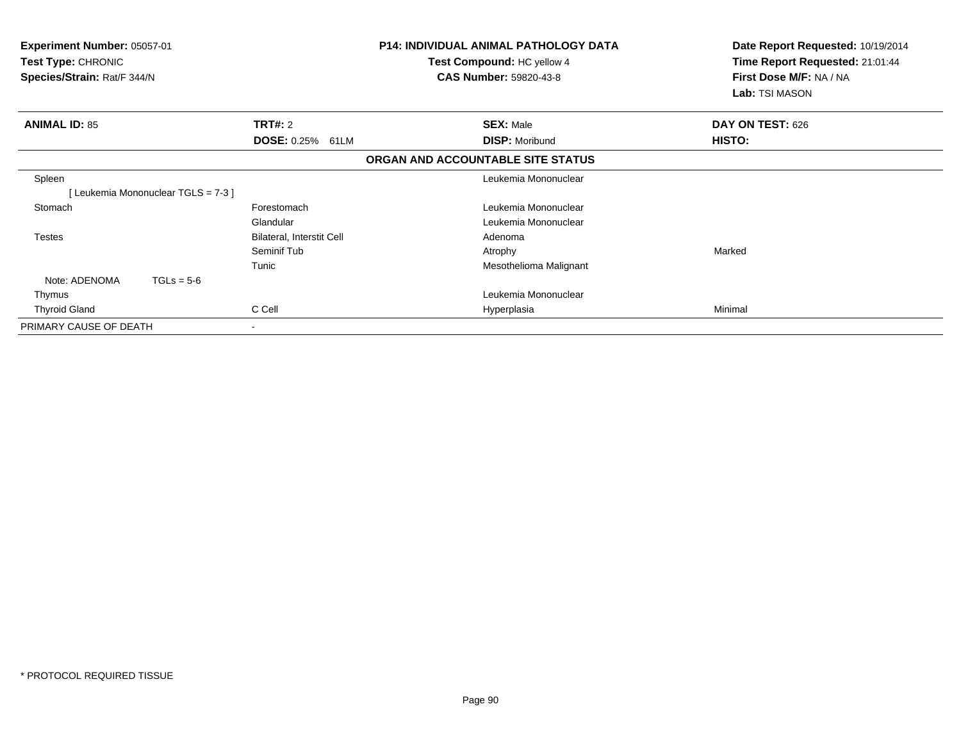| <b>Experiment Number: 05057-01</b><br>Test Type: CHRONIC<br>Species/Strain: Rat/F 344/N | <b>P14: INDIVIDUAL ANIMAL PATHOLOGY DATA</b><br>Test Compound: HC yellow 4<br><b>CAS Number: 59820-43-8</b> |                                   | Date Report Requested: 10/19/2014<br>Time Report Requested: 21:01:44<br>First Dose M/F: NA / NA<br>Lab: TSI MASON |                  |
|-----------------------------------------------------------------------------------------|-------------------------------------------------------------------------------------------------------------|-----------------------------------|-------------------------------------------------------------------------------------------------------------------|------------------|
| <b>ANIMAL ID: 85</b>                                                                    | TRT#: 2                                                                                                     |                                   | <b>SEX: Male</b>                                                                                                  | DAY ON TEST: 626 |
|                                                                                         | DOSE: 0.25% 61LM                                                                                            |                                   | <b>DISP: Moribund</b>                                                                                             | HISTO:           |
|                                                                                         |                                                                                                             | ORGAN AND ACCOUNTABLE SITE STATUS |                                                                                                                   |                  |
| Spleen                                                                                  |                                                                                                             |                                   | Leukemia Mononuclear                                                                                              |                  |
| [Leukemia Mononuclear TGLS = 7-3]                                                       |                                                                                                             |                                   |                                                                                                                   |                  |
| Stomach                                                                                 | Forestomach                                                                                                 |                                   | Leukemia Mononuclear                                                                                              |                  |
|                                                                                         | Glandular                                                                                                   |                                   | Leukemia Mononuclear                                                                                              |                  |
| <b>Testes</b>                                                                           | <b>Bilateral, Interstit Cell</b>                                                                            | Adenoma                           |                                                                                                                   |                  |
|                                                                                         | Seminif Tub                                                                                                 | Atrophy                           |                                                                                                                   | Marked           |
|                                                                                         | Tunic                                                                                                       |                                   | Mesothelioma Malignant                                                                                            |                  |
| Note: ADENOMA<br>$TGLs = 5-6$                                                           |                                                                                                             |                                   |                                                                                                                   |                  |
| Thymus                                                                                  |                                                                                                             |                                   | Leukemia Mononuclear                                                                                              |                  |
| <b>Thyroid Gland</b>                                                                    | C Cell                                                                                                      |                                   | Hyperplasia                                                                                                       | Minimal          |
| PRIMARY CAUSE OF DEATH                                                                  | $\overline{\phantom{0}}$                                                                                    |                                   |                                                                                                                   |                  |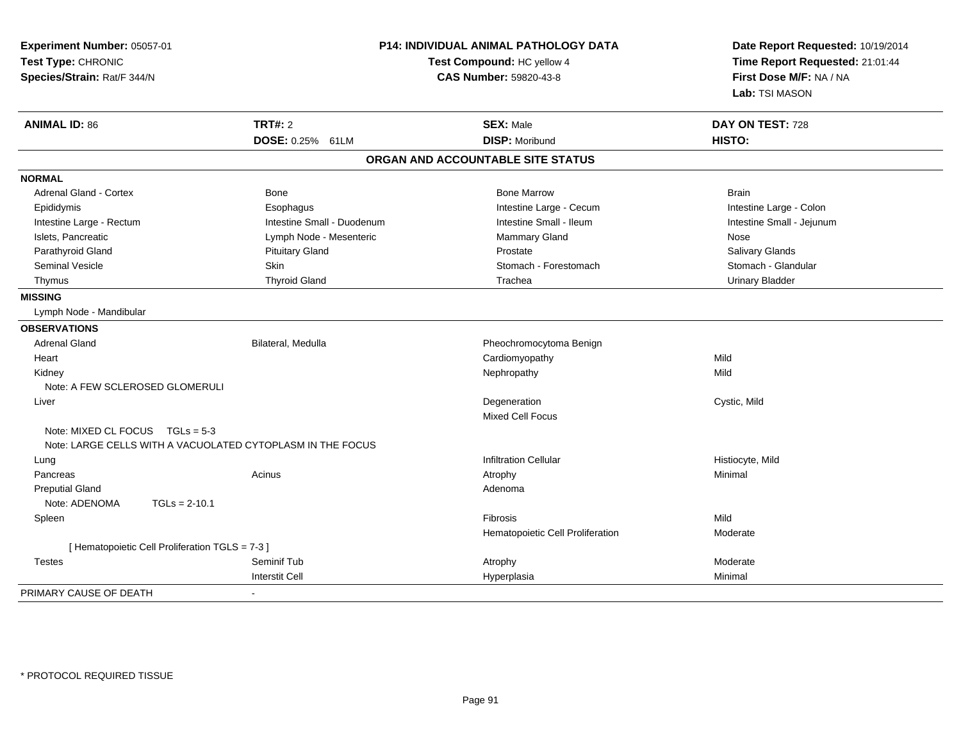| <b>ANIMAL ID: 86</b>                                       | <b>TRT#: 2</b><br>DOSE: 0.25% 61LM | <b>SEX: Male</b>                  | DAY ON TEST: 728          |
|------------------------------------------------------------|------------------------------------|-----------------------------------|---------------------------|
|                                                            |                                    |                                   |                           |
|                                                            |                                    | <b>DISP: Moribund</b>             | HISTO:                    |
|                                                            |                                    | ORGAN AND ACCOUNTABLE SITE STATUS |                           |
| <b>NORMAL</b>                                              |                                    |                                   |                           |
| Adrenal Gland - Cortex                                     | Bone                               | <b>Bone Marrow</b>                | <b>Brain</b>              |
| Epididymis                                                 | Esophagus                          | Intestine Large - Cecum           | Intestine Large - Colon   |
| Intestine Large - Rectum                                   | Intestine Small - Duodenum         | Intestine Small - Ileum           | Intestine Small - Jejunum |
| Islets, Pancreatic                                         | Lymph Node - Mesenteric            | <b>Mammary Gland</b>              | Nose                      |
| Parathyroid Gland                                          | <b>Pituitary Gland</b>             | Prostate                          | Salivary Glands           |
| <b>Seminal Vesicle</b>                                     | Skin                               | Stomach - Forestomach             | Stomach - Glandular       |
| Thymus                                                     | <b>Thyroid Gland</b>               | Trachea                           | <b>Urinary Bladder</b>    |
| <b>MISSING</b>                                             |                                    |                                   |                           |
| Lymph Node - Mandibular                                    |                                    |                                   |                           |
| <b>OBSERVATIONS</b>                                        |                                    |                                   |                           |
| <b>Adrenal Gland</b>                                       | Bilateral, Medulla                 | Pheochromocytoma Benign           |                           |
| Heart                                                      |                                    | Cardiomyopathy                    | Mild                      |
| Kidney                                                     |                                    | Nephropathy                       | Mild                      |
| Note: A FEW SCLEROSED GLOMERULI                            |                                    |                                   |                           |
| Liver                                                      |                                    | Degeneration                      | Cystic, Mild              |
|                                                            |                                    | <b>Mixed Cell Focus</b>           |                           |
| Note: MIXED CL FOCUS $TGLs = 5-3$                          |                                    |                                   |                           |
| Note: LARGE CELLS WITH A VACUOLATED CYTOPLASM IN THE FOCUS |                                    |                                   |                           |
| Lung                                                       |                                    | <b>Infiltration Cellular</b>      | Histiocyte, Mild          |
| Pancreas                                                   | Acinus                             | Atrophy                           | Minimal                   |
| <b>Preputial Gland</b>                                     |                                    | Adenoma                           |                           |
| Note: ADENOMA<br>$TGLs = 2-10.1$                           |                                    |                                   |                           |
| Spleen                                                     |                                    | Fibrosis                          | Mild                      |
|                                                            |                                    | Hematopoietic Cell Proliferation  | Moderate                  |
| [ Hematopoietic Cell Proliferation TGLS = 7-3 ]            |                                    |                                   |                           |
| <b>Testes</b>                                              | Seminif Tub                        | Atrophy                           | Moderate                  |
| PRIMARY CAUSE OF DEATH                                     | <b>Interstit Cell</b>              | Hyperplasia                       | Minimal                   |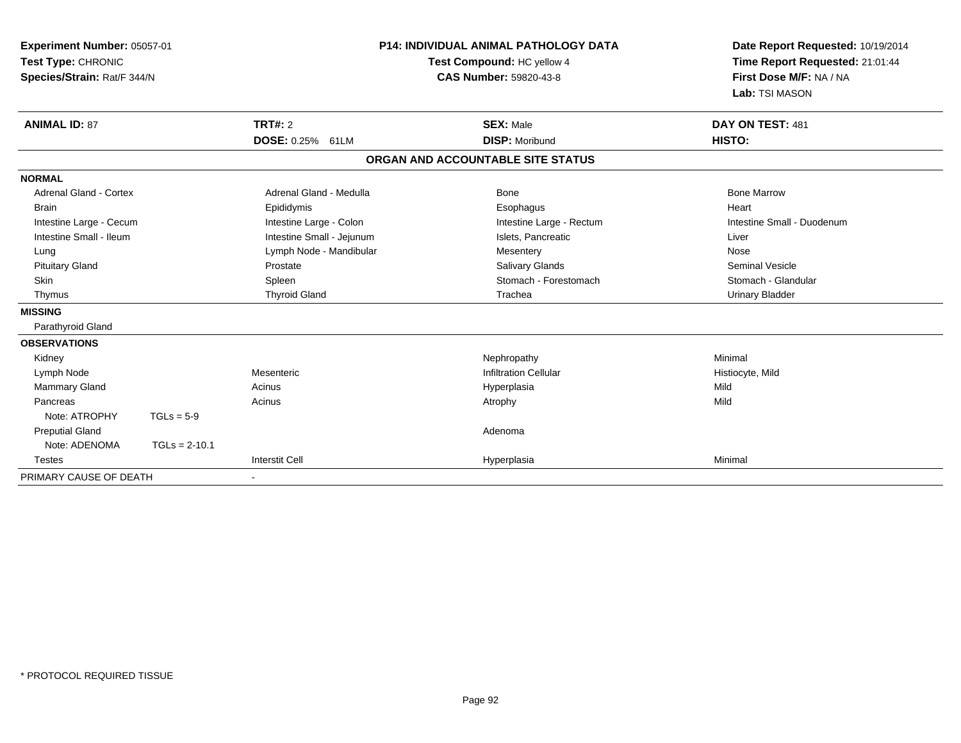| Experiment Number: 05057-01<br>Test Type: CHRONIC<br>Species/Strain: Rat/F 344/N<br><b>ANIMAL ID: 87</b> |                 | <b>TRT#: 2</b>            | <b>P14: INDIVIDUAL ANIMAL PATHOLOGY DATA</b><br>Test Compound: HC yellow 4<br>CAS Number: 59820-43-8<br><b>SEX: Male</b> |                                   | Date Report Requested: 10/19/2014<br>Time Report Requested: 21:01:44<br>First Dose M/F: NA / NA<br>Lab: TSI MASON<br>DAY ON TEST: 481 |  |
|----------------------------------------------------------------------------------------------------------|-----------------|---------------------------|--------------------------------------------------------------------------------------------------------------------------|-----------------------------------|---------------------------------------------------------------------------------------------------------------------------------------|--|
|                                                                                                          |                 | DOSE: 0.25% 61LM          |                                                                                                                          | <b>DISP: Moribund</b>             | HISTO:                                                                                                                                |  |
|                                                                                                          |                 |                           |                                                                                                                          | ORGAN AND ACCOUNTABLE SITE STATUS |                                                                                                                                       |  |
| <b>NORMAL</b>                                                                                            |                 |                           |                                                                                                                          |                                   |                                                                                                                                       |  |
| Adrenal Gland - Cortex                                                                                   |                 | Adrenal Gland - Medulla   |                                                                                                                          | Bone                              | <b>Bone Marrow</b>                                                                                                                    |  |
| <b>Brain</b>                                                                                             |                 | Epididymis                |                                                                                                                          | Esophagus                         | Heart                                                                                                                                 |  |
| Intestine Large - Cecum                                                                                  |                 | Intestine Large - Colon   |                                                                                                                          | Intestine Large - Rectum          | Intestine Small - Duodenum                                                                                                            |  |
| Intestine Small - Ileum                                                                                  |                 | Intestine Small - Jejunum |                                                                                                                          | Islets, Pancreatic                | Liver                                                                                                                                 |  |
| Lung                                                                                                     |                 | Lymph Node - Mandibular   |                                                                                                                          | Mesentery                         | Nose                                                                                                                                  |  |
| <b>Pituitary Gland</b>                                                                                   |                 | Prostate                  |                                                                                                                          | <b>Salivary Glands</b>            | <b>Seminal Vesicle</b>                                                                                                                |  |
| Skin                                                                                                     |                 | Spleen                    |                                                                                                                          | Stomach - Forestomach             | Stomach - Glandular                                                                                                                   |  |
| Thymus                                                                                                   |                 | <b>Thyroid Gland</b>      |                                                                                                                          | Trachea                           | <b>Urinary Bladder</b>                                                                                                                |  |
| <b>MISSING</b>                                                                                           |                 |                           |                                                                                                                          |                                   |                                                                                                                                       |  |
| Parathyroid Gland                                                                                        |                 |                           |                                                                                                                          |                                   |                                                                                                                                       |  |
| <b>OBSERVATIONS</b>                                                                                      |                 |                           |                                                                                                                          |                                   |                                                                                                                                       |  |
| Kidney                                                                                                   |                 |                           |                                                                                                                          | Nephropathy                       | Minimal                                                                                                                               |  |
| Lymph Node                                                                                               |                 | Mesenteric                |                                                                                                                          | <b>Infiltration Cellular</b>      | Histiocyte, Mild                                                                                                                      |  |
| <b>Mammary Gland</b>                                                                                     |                 | Acinus                    |                                                                                                                          | Hyperplasia                       | Mild                                                                                                                                  |  |
| Pancreas                                                                                                 |                 | Acinus                    |                                                                                                                          | Atrophy                           | Mild                                                                                                                                  |  |
| Note: ATROPHY                                                                                            | $TGLs = 5-9$    |                           |                                                                                                                          |                                   |                                                                                                                                       |  |
| <b>Preputial Gland</b>                                                                                   |                 |                           |                                                                                                                          | Adenoma                           |                                                                                                                                       |  |
| Note: ADENOMA                                                                                            | $TGLs = 2-10.1$ |                           |                                                                                                                          |                                   |                                                                                                                                       |  |
| <b>Testes</b>                                                                                            |                 | <b>Interstit Cell</b>     |                                                                                                                          | Hyperplasia                       | Minimal                                                                                                                               |  |
| PRIMARY CAUSE OF DEATH                                                                                   |                 |                           |                                                                                                                          |                                   |                                                                                                                                       |  |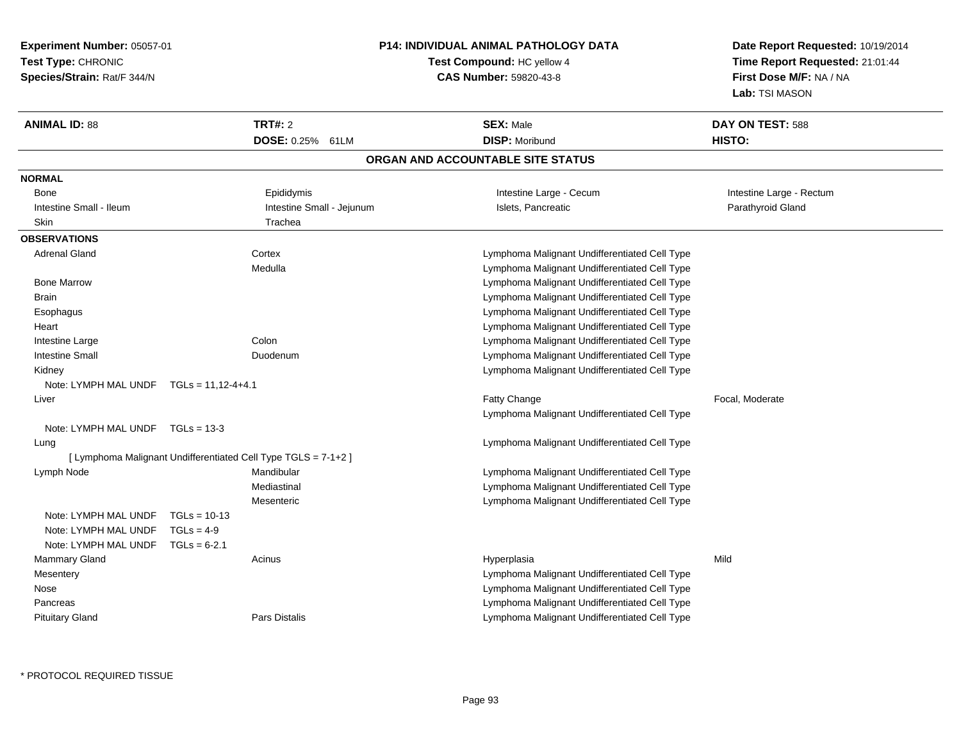**Experiment Number:** 05057-01**Test Type:** CHRONIC **Species/Strain:** Rat/F 344/N**P14: INDIVIDUAL ANIMAL PATHOLOGY DATATest Compound:** HC yellow 4**CAS Number:** 59820-43-8**Date Report Requested:** 10/19/2014**Time Report Requested:** 21:01:44**First Dose M/F:** NA / NA**Lab:** TSI MASON**ANIMAL ID:** 88**TRT#:** 2 **SEX:** Male **DAY ON TEST:** 588 **DOSE:** 0.25% 61LM**DISP:** Moribund **HISTO: ORGAN AND ACCOUNTABLE SITE STATUSNORMALBone** Epididymis **Example 20** Intestine Large - Cecum and Intestine Large - Rectum **Intestine Large - Rectum** Intestine Small - Ileum **Intestine Small - Intestine Small - Jejunum** Islets, Pancreatic **Intestine Small - Intestine Small - Intestine Small - Intestine Small - Intestine Small - Intestine Small - Intestine Small - Intest** Skin Trachea **OBSERVATIONS** Adrenal Gland Cortex Lymphoma Malignant Undifferentiated Cell Type Medulla Lymphoma Malignant Undifferentiated Cell Type Bone Marrow Lymphoma Malignant Undifferentiated Cell Type Brain Lymphoma Malignant Undifferentiated Cell Type Esophagus Lymphoma Malignant Undifferentiated Cell Type Lymphoma Malignant Undifferentiated Cell Type Hearte and Lymphoma Malignant Undifferentiated Cell Type Intestine Large Intestine Small Duodenum Lymphoma Malignant Undifferentiated Cell Type Kidney Lymphoma Malignant Undifferentiated Cell TypeNote: LYMPH MAL UNDF TGLs = 11,12-4+4.1 Liverr and the control of the control of the control of the control of the control of the control of the control of the control of the control of the control of the control of the control of the control of the control of the co Fatty Change **Fatty** Change **Fatty** Change **Fatty** Change Lymphoma Malignant Undifferentiated Cell TypeNote: LYMPH MAL UNDF TGLs = 13-3 Lung Lymphoma Malignant Undifferentiated Cell Type [ Lymphoma Malignant Undifferentiated Cell Type TGLS = 7-1+2 ] Lymph Node Mandibular Lymphoma Malignant Undifferentiated Cell Type Mediastinal Lymphoma Malignant Undifferentiated Cell Type Lymphoma Malignant Undifferentiated Cell TypeMesentericNote: LYMPH MAL UNDF TGLs = 10-13Note: LYMPH MAL UNDF  $TGLs = 4-9$  Note: LYMPH MAL UNDF TGLs = 6-2.1 Mammary Gland Acinus Hyperplasia Mild **Mesentery**  Lymphoma Malignant Undifferentiated Cell Type Lymphoma Malignant Undifferentiated Cell Type Nose Pancreas Lymphoma Malignant Undifferentiated Cell Typed **Example 20 For State Cell Type** Lymphoma Malignant Undifferentiated Cell Type Pituitary Gland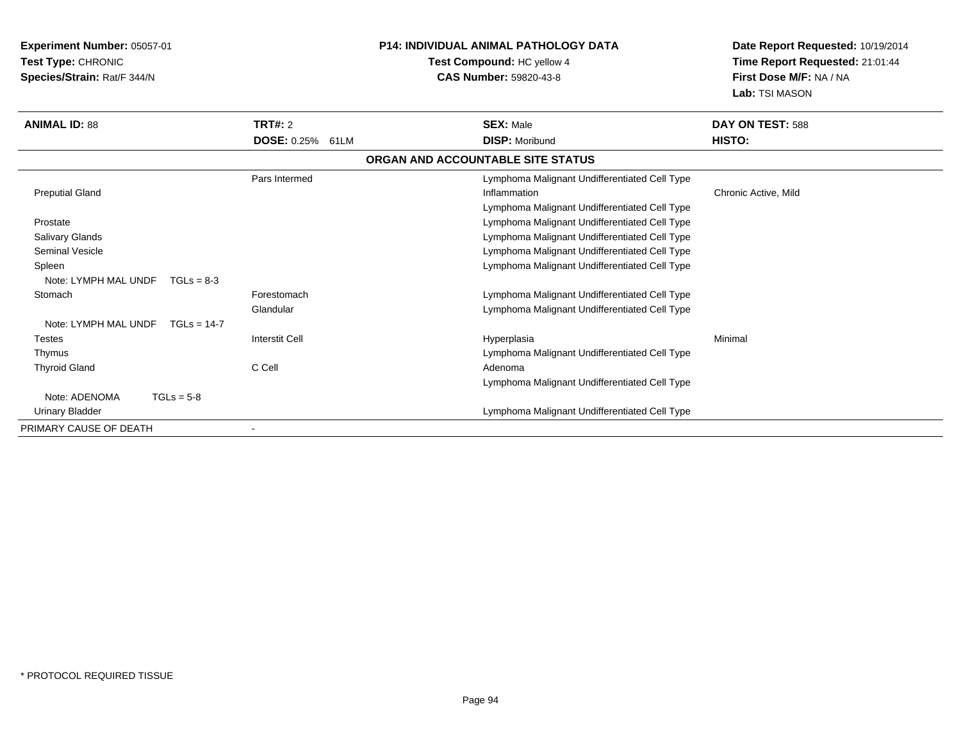**Experiment Number:** 05057-01**Test Type:** CHRONIC **Species/Strain:** Rat/F 344/N**P14: INDIVIDUAL ANIMAL PATHOLOGY DATATest Compound:** HC yellow 4**CAS Number:** 59820-43-8**Date Report Requested:** 10/19/2014**Time Report Requested:** 21:01:44**First Dose M/F:** NA / NA**Lab:** TSI MASON**ANIMAL ID:** 88**TRT#:** 2 **SEX:** Male **DAY ON TEST:** 588 **DOSE:** 0.25% 61LM**DISP:** Moribund **HISTO: ORGAN AND ACCOUNTABLE SITE STATUS**Pars Intermed Lymphoma Malignant Undifferentiated Cell Type Preputial Glandd the contraction of the contraction of the contraction of the contraction of the chronic Active, Mild and the contraction of the contraction of  $\alpha$  chronic Active, Mild and the contraction of the contraction of the contr Lymphoma Malignant Undifferentiated Cell Type Lymphoma Malignant Undifferentiated Cell Type Prostate Salivary Glands Lymphoma Malignant Undifferentiated Cell Type Lymphoma Malignant Undifferentiated Cell Type Seminal Vesicle Spleen Lymphoma Malignant Undifferentiated Cell Type Note: LYMPH MAL UNDF TGLs = 8-3**Stomach**  Forestomach Lymphoma Malignant Undifferentiated Cell Type Glandular Lymphoma Malignant Undifferentiated Cell TypeNote: LYMPH MAL UNDF TGLs = 14-7 Testes Interstit Cell Hyperplasiaa **Minimal**  ThymusLymphoma Malignant Undifferentiated Cell Type<br>C Cell Cell Cell Cell Type<br>Adenoma Thyroid Glandd C Cell C Cell C Contains the Adenoma Lymphoma Malignant Undifferentiated Cell TypeNote: ADENOMA TGLs = 5-8 Urinary Bladder Lymphoma Malignant Undifferentiated Cell TypePRIMARY CAUSE OF DEATH-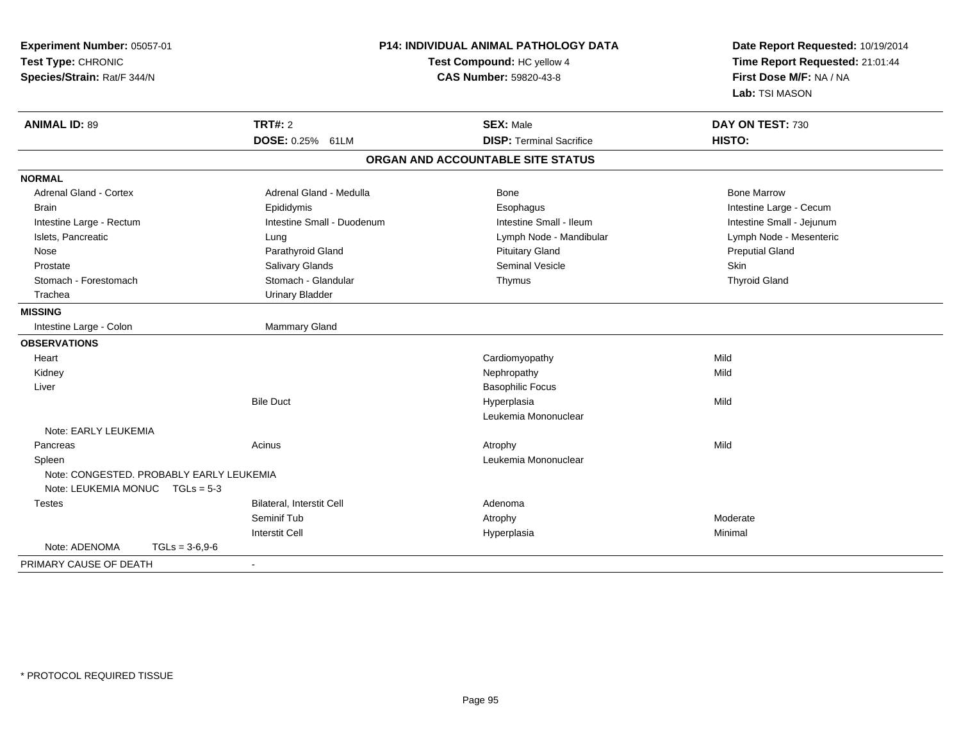| Experiment Number: 05057-01<br>Test Type: CHRONIC<br>Species/Strain: Rat/F 344/N | P14: INDIVIDUAL ANIMAL PATHOLOGY DATA<br>Test Compound: HC yellow 4<br><b>CAS Number: 59820-43-8</b> |                                   | Date Report Requested: 10/19/2014<br>Time Report Requested: 21:01:44<br>First Dose M/F: NA / NA<br>Lab: TSI MASON |  |
|----------------------------------------------------------------------------------|------------------------------------------------------------------------------------------------------|-----------------------------------|-------------------------------------------------------------------------------------------------------------------|--|
| <b>ANIMAL ID: 89</b>                                                             | <b>TRT#: 2</b>                                                                                       | <b>SEX: Male</b>                  | DAY ON TEST: 730                                                                                                  |  |
|                                                                                  | DOSE: 0.25% 61LM                                                                                     | <b>DISP: Terminal Sacrifice</b>   | HISTO:                                                                                                            |  |
|                                                                                  |                                                                                                      | ORGAN AND ACCOUNTABLE SITE STATUS |                                                                                                                   |  |
| <b>NORMAL</b>                                                                    |                                                                                                      |                                   |                                                                                                                   |  |
| <b>Adrenal Gland - Cortex</b>                                                    | Adrenal Gland - Medulla                                                                              | Bone                              | <b>Bone Marrow</b>                                                                                                |  |
| Brain                                                                            | Epididymis                                                                                           | Esophagus                         | Intestine Large - Cecum                                                                                           |  |
| Intestine Large - Rectum                                                         | Intestine Small - Duodenum                                                                           | Intestine Small - Ileum           | Intestine Small - Jejunum                                                                                         |  |
| Islets, Pancreatic                                                               | Lung                                                                                                 | Lymph Node - Mandibular           | Lymph Node - Mesenteric                                                                                           |  |
| Nose                                                                             | Parathyroid Gland                                                                                    | <b>Pituitary Gland</b>            | <b>Preputial Gland</b>                                                                                            |  |
| Prostate                                                                         | Salivary Glands                                                                                      | <b>Seminal Vesicle</b>            | Skin                                                                                                              |  |
| Stomach - Forestomach                                                            | Stomach - Glandular                                                                                  | Thymus                            | <b>Thyroid Gland</b>                                                                                              |  |
| Trachea                                                                          | <b>Urinary Bladder</b>                                                                               |                                   |                                                                                                                   |  |
| <b>MISSING</b>                                                                   |                                                                                                      |                                   |                                                                                                                   |  |
| Intestine Large - Colon                                                          | <b>Mammary Gland</b>                                                                                 |                                   |                                                                                                                   |  |
| <b>OBSERVATIONS</b>                                                              |                                                                                                      |                                   |                                                                                                                   |  |
| Heart                                                                            |                                                                                                      | Cardiomyopathy                    | Mild                                                                                                              |  |
| Kidney                                                                           |                                                                                                      | Nephropathy                       | Mild                                                                                                              |  |
| Liver                                                                            |                                                                                                      | <b>Basophilic Focus</b>           |                                                                                                                   |  |
|                                                                                  | <b>Bile Duct</b>                                                                                     | Hyperplasia                       | Mild                                                                                                              |  |
|                                                                                  |                                                                                                      | Leukemia Mononuclear              |                                                                                                                   |  |
| Note: EARLY LEUKEMIA                                                             |                                                                                                      |                                   |                                                                                                                   |  |
| Pancreas                                                                         | Acinus                                                                                               | Atrophy                           | Mild                                                                                                              |  |
| Spleen                                                                           |                                                                                                      | Leukemia Mononuclear              |                                                                                                                   |  |
| Note: CONGESTED, PROBABLY EARLY LEUKEMIA<br>Note: LEUKEMIA MONUC $TGLs = 5-3$    |                                                                                                      |                                   |                                                                                                                   |  |
| <b>Testes</b>                                                                    | Bilateral, Interstit Cell                                                                            | Adenoma                           |                                                                                                                   |  |
|                                                                                  | Seminif Tub                                                                                          | Atrophy                           | Moderate                                                                                                          |  |
|                                                                                  | <b>Interstit Cell</b>                                                                                | Hyperplasia                       | Minimal                                                                                                           |  |
| Note: ADENOMA<br>$TGLs = 3-6.9-6$                                                |                                                                                                      |                                   |                                                                                                                   |  |
| PRIMARY CAUSE OF DEATH                                                           | $\blacksquare$                                                                                       |                                   |                                                                                                                   |  |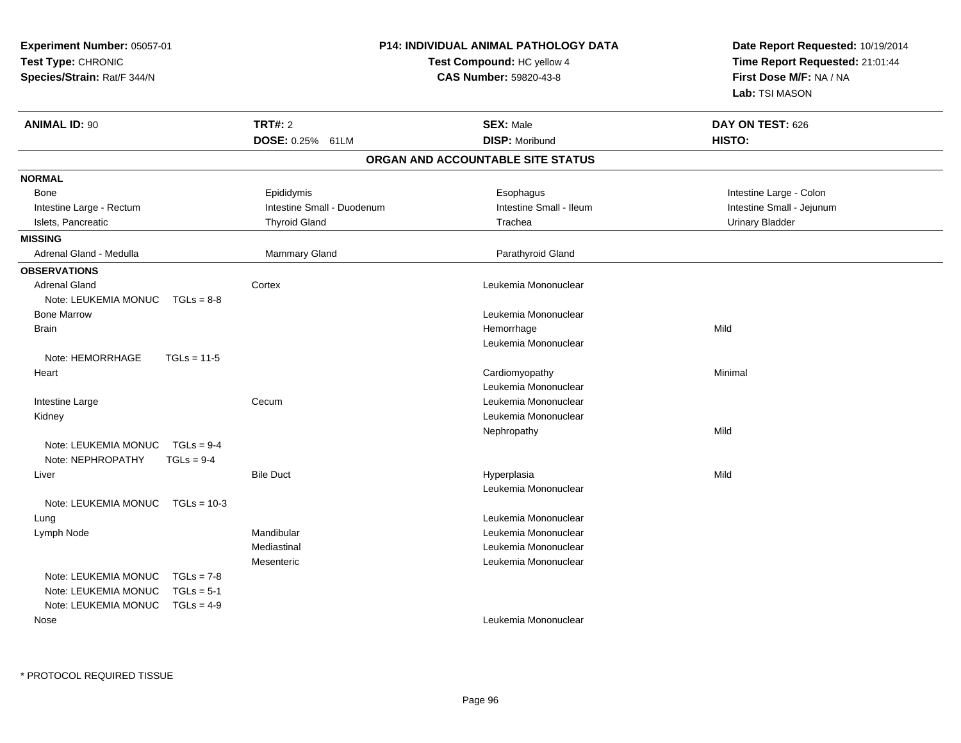| Experiment Number: 05057-01           |                            | <b>P14: INDIVIDUAL ANIMAL PATHOLOGY DATA</b> | Date Report Requested: 10/19/2014 |  |
|---------------------------------------|----------------------------|----------------------------------------------|-----------------------------------|--|
| Test Type: CHRONIC                    |                            | Test Compound: HC yellow 4                   | Time Report Requested: 21:01:44   |  |
| Species/Strain: Rat/F 344/N           |                            | CAS Number: 59820-43-8                       | First Dose M/F: NA / NA           |  |
|                                       |                            |                                              | Lab: TSI MASON                    |  |
| <b>ANIMAL ID: 90</b>                  | <b>TRT#: 2</b>             | <b>SEX: Male</b>                             | DAY ON TEST: 626                  |  |
|                                       | DOSE: 0.25% 61LM           | <b>DISP: Moribund</b>                        | HISTO:                            |  |
|                                       |                            | ORGAN AND ACCOUNTABLE SITE STATUS            |                                   |  |
| <b>NORMAL</b>                         |                            |                                              |                                   |  |
| Bone                                  | Epididymis                 | Esophagus                                    | Intestine Large - Colon           |  |
| Intestine Large - Rectum              | Intestine Small - Duodenum | Intestine Small - Ileum                      | Intestine Small - Jejunum         |  |
| Islets, Pancreatic                    | <b>Thyroid Gland</b>       | Trachea                                      | <b>Urinary Bladder</b>            |  |
| <b>MISSING</b>                        |                            |                                              |                                   |  |
| Adrenal Gland - Medulla               | Mammary Gland              | Parathyroid Gland                            |                                   |  |
| <b>OBSERVATIONS</b>                   |                            |                                              |                                   |  |
| <b>Adrenal Gland</b>                  | Cortex                     | Leukemia Mononuclear                         |                                   |  |
| Note: LEUKEMIA MONUC<br>$TGLs = 8-8$  |                            |                                              |                                   |  |
| <b>Bone Marrow</b>                    |                            | Leukemia Mononuclear                         |                                   |  |
| <b>Brain</b>                          |                            | Hemorrhage                                   | Mild                              |  |
|                                       |                            | Leukemia Mononuclear                         |                                   |  |
| Note: HEMORRHAGE<br>$TGLs = 11-5$     |                            |                                              |                                   |  |
| Heart                                 |                            | Cardiomyopathy                               | Minimal                           |  |
|                                       |                            | Leukemia Mononuclear                         |                                   |  |
| Intestine Large                       | Cecum                      | Leukemia Mononuclear                         |                                   |  |
| Kidney                                |                            | Leukemia Mononuclear                         |                                   |  |
|                                       |                            | Nephropathy                                  | Mild                              |  |
| Note: LEUKEMIA MONUC<br>$TGLs = 9-4$  |                            |                                              |                                   |  |
| Note: NEPHROPATHY<br>$TGLs = 9-4$     |                            |                                              |                                   |  |
| Liver                                 | <b>Bile Duct</b>           | Hyperplasia                                  | Mild                              |  |
|                                       |                            | Leukemia Mononuclear                         |                                   |  |
| Note: LEUKEMIA MONUC<br>$TGLs = 10-3$ |                            |                                              |                                   |  |
| Lung                                  |                            | Leukemia Mononuclear                         |                                   |  |
| Lymph Node                            | Mandibular                 | Leukemia Mononuclear                         |                                   |  |
|                                       | Mediastinal                | Leukemia Mononuclear                         |                                   |  |
|                                       | Mesenteric                 | Leukemia Mononuclear                         |                                   |  |
| Note: LEUKEMIA MONUC<br>$TGLs = 7-8$  |                            |                                              |                                   |  |
| Note: LEUKEMIA MONUC<br>$TGLs = 5-1$  |                            |                                              |                                   |  |
| Note: LEUKEMIA MONUC<br>$TGLs = 4-9$  |                            |                                              |                                   |  |
| Nose                                  |                            | Leukemia Mononuclear                         |                                   |  |

\* PROTOCOL REQUIRED TISSUE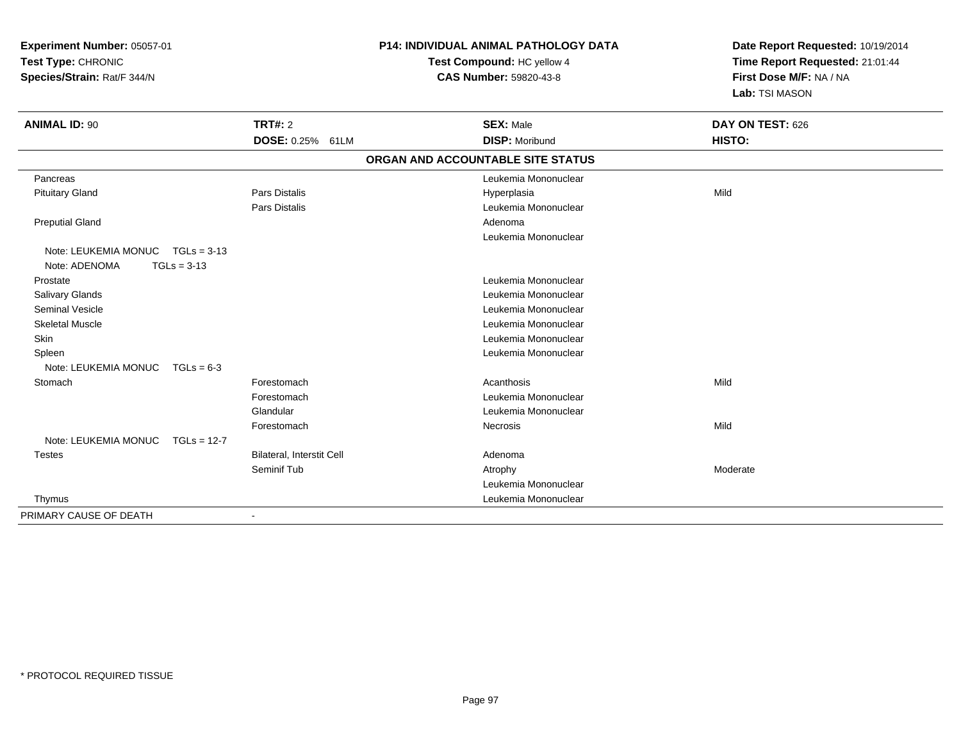| Experiment Number: 05057-01<br>Test Type: CHRONIC<br>Species/Strain: Rat/F 344/N |                                  | P14: INDIVIDUAL ANIMAL PATHOLOGY DATA<br>Test Compound: HC yellow 4<br>CAS Number: 59820-43-8 | Date Report Requested: 10/19/2014<br>Time Report Requested: 21:01:44<br>First Dose M/F: NA / NA |  |
|----------------------------------------------------------------------------------|----------------------------------|-----------------------------------------------------------------------------------------------|-------------------------------------------------------------------------------------------------|--|
|                                                                                  |                                  |                                                                                               | Lab: TSI MASON                                                                                  |  |
| <b>ANIMAL ID: 90</b>                                                             | TRT#: 2                          | <b>SEX: Male</b>                                                                              | DAY ON TEST: 626                                                                                |  |
|                                                                                  | DOSE: 0.25% 61LM                 | <b>DISP: Moribund</b>                                                                         | HISTO:                                                                                          |  |
|                                                                                  |                                  | ORGAN AND ACCOUNTABLE SITE STATUS                                                             |                                                                                                 |  |
| Pancreas                                                                         |                                  | Leukemia Mononuclear                                                                          |                                                                                                 |  |
| <b>Pituitary Gland</b>                                                           | Pars Distalis                    | Hyperplasia                                                                                   | Mild                                                                                            |  |
|                                                                                  | Pars Distalis                    | Leukemia Mononuclear                                                                          |                                                                                                 |  |
| <b>Preputial Gland</b>                                                           |                                  | Adenoma                                                                                       |                                                                                                 |  |
|                                                                                  |                                  | Leukemia Mononuclear                                                                          |                                                                                                 |  |
| Note: LEUKEMIA MONUC TGLs = 3-13<br>Note: ADENOMA<br>$TGLs = 3-13$               |                                  |                                                                                               |                                                                                                 |  |
| Prostate                                                                         |                                  | Leukemia Mononuclear                                                                          |                                                                                                 |  |
| <b>Salivary Glands</b>                                                           |                                  | Leukemia Mononuclear                                                                          |                                                                                                 |  |
| <b>Seminal Vesicle</b>                                                           |                                  | Leukemia Mononuclear                                                                          |                                                                                                 |  |
| <b>Skeletal Muscle</b>                                                           |                                  | Leukemia Mononuclear                                                                          |                                                                                                 |  |
| Skin                                                                             |                                  | Leukemia Mononuclear                                                                          |                                                                                                 |  |
| Spleen                                                                           |                                  | Leukemia Mononuclear                                                                          |                                                                                                 |  |
| Note: LEUKEMIA MONUC<br>$TGLs = 6-3$                                             |                                  |                                                                                               |                                                                                                 |  |
| Stomach                                                                          | Forestomach                      | Acanthosis                                                                                    | Mild                                                                                            |  |
|                                                                                  | Forestomach                      | Leukemia Mononuclear                                                                          |                                                                                                 |  |
|                                                                                  | Glandular                        | Leukemia Mononuclear                                                                          |                                                                                                 |  |
|                                                                                  | Forestomach                      | Necrosis                                                                                      | Mild                                                                                            |  |
| Note: LEUKEMIA MONUC<br>$TGLs = 12-7$                                            |                                  |                                                                                               |                                                                                                 |  |
| <b>Testes</b>                                                                    | <b>Bilateral, Interstit Cell</b> | Adenoma                                                                                       |                                                                                                 |  |
|                                                                                  | Seminif Tub                      | Atrophy                                                                                       | Moderate                                                                                        |  |
|                                                                                  |                                  | Leukemia Mononuclear                                                                          |                                                                                                 |  |
| Thymus                                                                           |                                  | Leukemia Mononuclear                                                                          |                                                                                                 |  |
| PRIMARY CAUSE OF DEATH                                                           | $\blacksquare$                   |                                                                                               |                                                                                                 |  |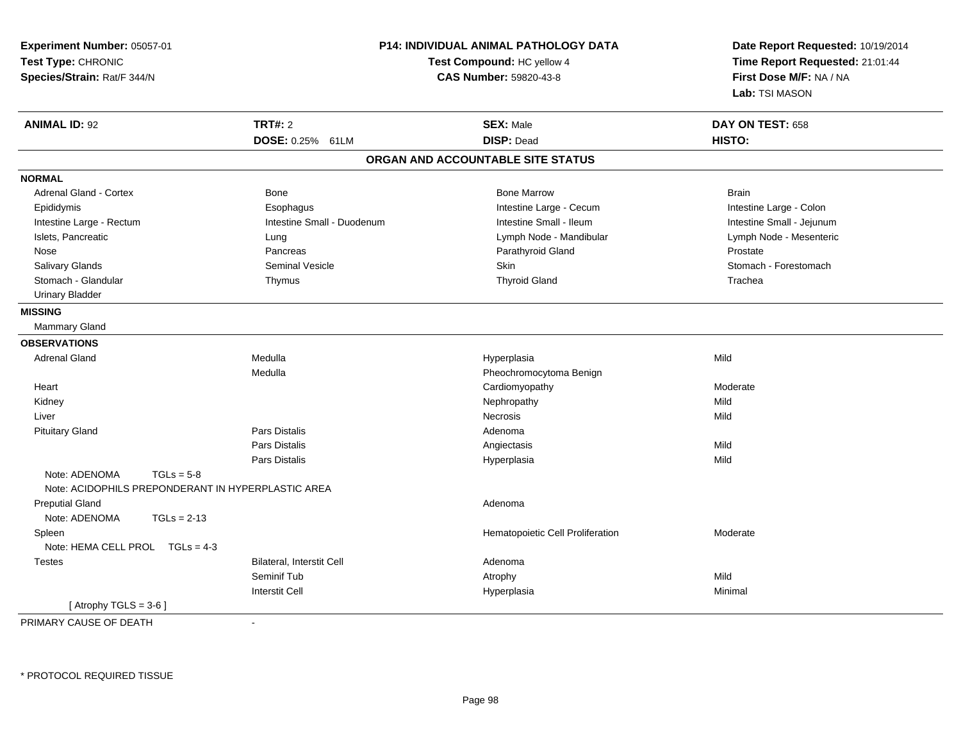| Experiment Number: 05057-01<br>Test Type: CHRONIC<br>Species/Strain: Rat/F 344/N |                            | P14: INDIVIDUAL ANIMAL PATHOLOGY DATA<br>Test Compound: HC yellow 4<br><b>CAS Number: 59820-43-8</b> | Date Report Requested: 10/19/2014<br>Time Report Requested: 21:01:44<br>First Dose M/F: NA / NA<br>Lab: TSI MASON |
|----------------------------------------------------------------------------------|----------------------------|------------------------------------------------------------------------------------------------------|-------------------------------------------------------------------------------------------------------------------|
| <b>ANIMAL ID: 92</b>                                                             | <b>TRT#: 2</b>             | <b>SEX: Male</b>                                                                                     | DAY ON TEST: 658                                                                                                  |
|                                                                                  | DOSE: 0.25% 61LM           | <b>DISP: Dead</b>                                                                                    | HISTO:                                                                                                            |
|                                                                                  |                            | ORGAN AND ACCOUNTABLE SITE STATUS                                                                    |                                                                                                                   |
| <b>NORMAL</b>                                                                    |                            |                                                                                                      |                                                                                                                   |
| Adrenal Gland - Cortex                                                           | Bone                       | <b>Bone Marrow</b>                                                                                   | <b>Brain</b>                                                                                                      |
| Epididymis                                                                       | Esophagus                  | Intestine Large - Cecum                                                                              | Intestine Large - Colon                                                                                           |
| Intestine Large - Rectum                                                         | Intestine Small - Duodenum | Intestine Small - Ileum                                                                              | Intestine Small - Jejunum                                                                                         |
| Islets, Pancreatic                                                               | Lung                       | Lymph Node - Mandibular                                                                              | Lymph Node - Mesenteric                                                                                           |
| Nose                                                                             | Pancreas                   | Parathyroid Gland                                                                                    | Prostate                                                                                                          |
| Salivary Glands                                                                  | <b>Seminal Vesicle</b>     | <b>Skin</b>                                                                                          | Stomach - Forestomach                                                                                             |
| Stomach - Glandular                                                              | Thymus                     | <b>Thyroid Gland</b>                                                                                 | Trachea                                                                                                           |
| <b>Urinary Bladder</b>                                                           |                            |                                                                                                      |                                                                                                                   |
| <b>MISSING</b>                                                                   |                            |                                                                                                      |                                                                                                                   |
| <b>Mammary Gland</b>                                                             |                            |                                                                                                      |                                                                                                                   |
| <b>OBSERVATIONS</b>                                                              |                            |                                                                                                      |                                                                                                                   |
| <b>Adrenal Gland</b>                                                             | Medulla                    | Hyperplasia                                                                                          | Mild                                                                                                              |
|                                                                                  | Medulla                    | Pheochromocytoma Benign                                                                              |                                                                                                                   |
| Heart                                                                            |                            | Cardiomyopathy                                                                                       | Moderate                                                                                                          |
| Kidney                                                                           |                            | Nephropathy                                                                                          | Mild                                                                                                              |
| Liver                                                                            |                            | <b>Necrosis</b>                                                                                      | Mild                                                                                                              |
| <b>Pituitary Gland</b>                                                           | <b>Pars Distalis</b>       | Adenoma                                                                                              |                                                                                                                   |
|                                                                                  | <b>Pars Distalis</b>       | Angiectasis                                                                                          | Mild                                                                                                              |
|                                                                                  | Pars Distalis              | Hyperplasia                                                                                          | Mild                                                                                                              |
| Note: ADENOMA<br>$TGLs = 5-8$                                                    |                            |                                                                                                      |                                                                                                                   |
| Note: ACIDOPHILS PREPONDERANT IN HYPERPLASTIC AREA                               |                            |                                                                                                      |                                                                                                                   |
| <b>Preputial Gland</b>                                                           |                            | Adenoma                                                                                              |                                                                                                                   |
| Note: ADENOMA<br>$TGLs = 2-13$                                                   |                            |                                                                                                      |                                                                                                                   |
| Spleen                                                                           |                            | Hematopoietic Cell Proliferation                                                                     | Moderate                                                                                                          |
| Note: HEMA CELL PROL TGLs = 4-3                                                  |                            |                                                                                                      |                                                                                                                   |
| <b>Testes</b>                                                                    | Bilateral, Interstit Cell  | Adenoma                                                                                              |                                                                                                                   |
|                                                                                  | Seminif Tub                | Atrophy                                                                                              | Mild                                                                                                              |
|                                                                                  | <b>Interstit Cell</b>      | Hyperplasia                                                                                          | Minimal                                                                                                           |
| [Atrophy TGLS = $3-6$ ]                                                          |                            |                                                                                                      |                                                                                                                   |

PRIMARY CAUSE OF DEATH-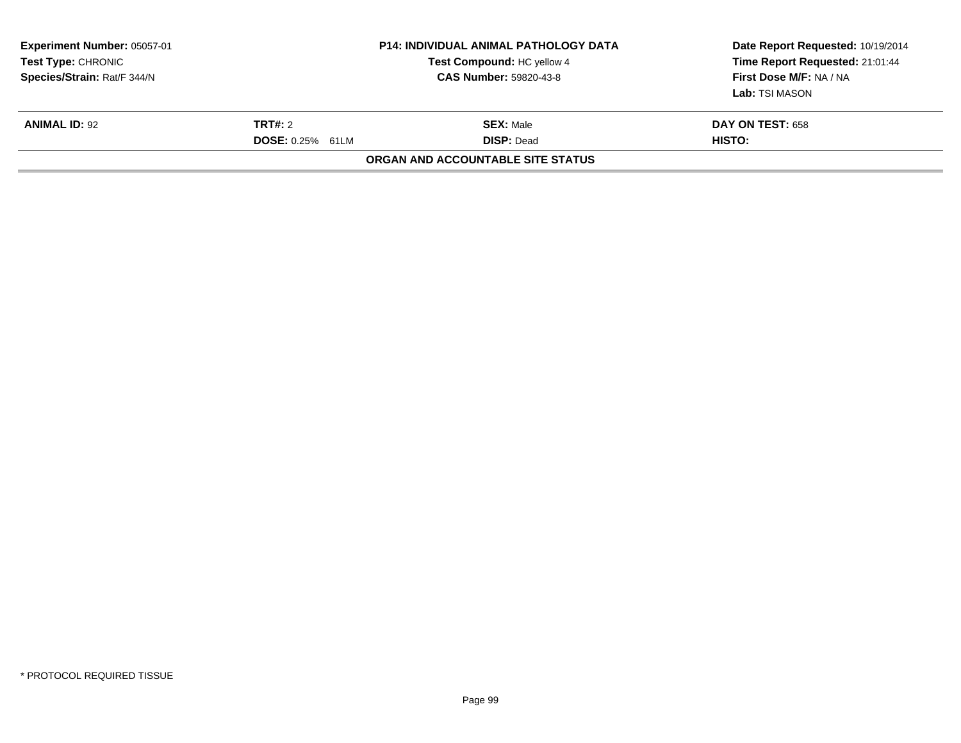| <b>Experiment Number: 05057-01</b><br>Test Type: CHRONIC<br>Species/Strain: Rat/F 344/N |                                           | <b>P14: INDIVIDUAL ANIMAL PATHOLOGY DATA</b><br>Test Compound: HC yellow 4<br><b>CAS Number: 59820-43-8</b> | Date Report Requested: 10/19/2014<br>Time Report Requested: 21:01:44<br>First Dose M/F: NA / NA<br>Lab: TSI MASON |
|-----------------------------------------------------------------------------------------|-------------------------------------------|-------------------------------------------------------------------------------------------------------------|-------------------------------------------------------------------------------------------------------------------|
| <b>ANIMAL ID: 92</b>                                                                    | <b>TRT#: 2</b><br><b>DOSE: 0.25% 61LM</b> | <b>SEX: Male</b><br><b>DISP: Dead</b>                                                                       | <b>DAY ON TEST: 658</b><br>HISTO:                                                                                 |
|                                                                                         |                                           | ORGAN AND ACCOUNTABLE SITE STATUS                                                                           |                                                                                                                   |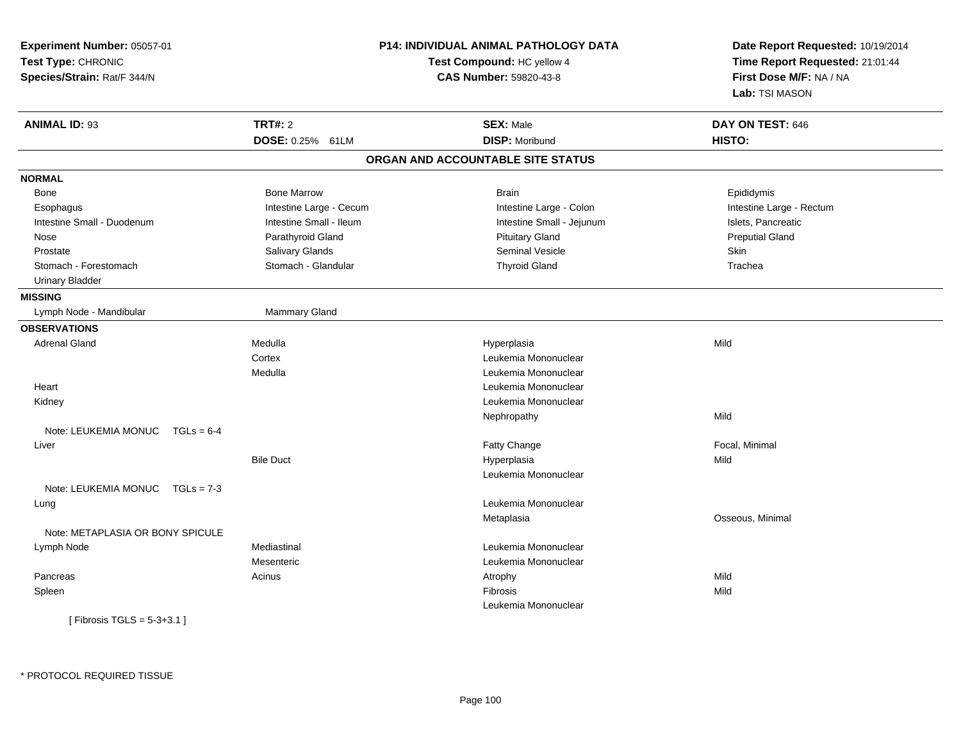| Experiment Number: 05057-01          |                                                      | <b>P14: INDIVIDUAL ANIMAL PATHOLOGY DATA</b> | Date Report Requested: 10/19/2014 |  |
|--------------------------------------|------------------------------------------------------|----------------------------------------------|-----------------------------------|--|
| Test Type: CHRONIC                   | Test Compound: HC yellow 4<br>CAS Number: 59820-43-8 |                                              | Time Report Requested: 21:01:44   |  |
| Species/Strain: Rat/F 344/N          |                                                      |                                              | First Dose M/F: NA / NA           |  |
|                                      |                                                      |                                              | Lab: TSI MASON                    |  |
| <b>ANIMAL ID: 93</b>                 | <b>TRT#: 2</b>                                       | <b>SEX: Male</b>                             | DAY ON TEST: 646                  |  |
|                                      | DOSE: 0.25% 61LM                                     | <b>DISP: Moribund</b>                        | HISTO:                            |  |
|                                      |                                                      | ORGAN AND ACCOUNTABLE SITE STATUS            |                                   |  |
| <b>NORMAL</b>                        |                                                      |                                              |                                   |  |
| Bone                                 | <b>Bone Marrow</b>                                   | <b>Brain</b>                                 | Epididymis                        |  |
| Esophagus                            | Intestine Large - Cecum                              | Intestine Large - Colon                      | Intestine Large - Rectum          |  |
| Intestine Small - Duodenum           | Intestine Small - Ileum                              | Intestine Small - Jejunum                    | Islets, Pancreatic                |  |
| Nose                                 | Parathyroid Gland                                    | <b>Pituitary Gland</b>                       | <b>Preputial Gland</b>            |  |
| Prostate                             | Salivary Glands                                      | <b>Seminal Vesicle</b>                       | Skin                              |  |
| Stomach - Forestomach                | Stomach - Glandular                                  | <b>Thyroid Gland</b>                         | Trachea                           |  |
| <b>Urinary Bladder</b>               |                                                      |                                              |                                   |  |
| <b>MISSING</b>                       |                                                      |                                              |                                   |  |
| Lymph Node - Mandibular              | Mammary Gland                                        |                                              |                                   |  |
| <b>OBSERVATIONS</b>                  |                                                      |                                              |                                   |  |
| <b>Adrenal Gland</b>                 | Medulla                                              | Hyperplasia                                  | Mild                              |  |
|                                      | Cortex                                               | Leukemia Mononuclear                         |                                   |  |
|                                      | Medulla                                              | Leukemia Mononuclear                         |                                   |  |
| Heart                                |                                                      | Leukemia Mononuclear                         |                                   |  |
| Kidney                               |                                                      | Leukemia Mononuclear                         |                                   |  |
|                                      |                                                      | Nephropathy                                  | Mild                              |  |
| Note: LEUKEMIA MONUC<br>$TGLs = 6-4$ |                                                      |                                              |                                   |  |
| Liver                                |                                                      | Fatty Change                                 | Focal, Minimal                    |  |
|                                      | <b>Bile Duct</b>                                     | Hyperplasia                                  | Mild                              |  |
|                                      |                                                      | Leukemia Mononuclear                         |                                   |  |
| Note: LEUKEMIA MONUC TGLs = 7-3      |                                                      |                                              |                                   |  |
| Lung                                 |                                                      | Leukemia Mononuclear                         |                                   |  |
|                                      |                                                      | Metaplasia                                   | Osseous, Minimal                  |  |
| Note: METAPLASIA OR BONY SPICULE     |                                                      |                                              |                                   |  |
| Lymph Node                           | Mediastinal                                          | Leukemia Mononuclear                         |                                   |  |
|                                      | Mesenteric                                           | Leukemia Mononuclear                         |                                   |  |
| Pancreas                             | Acinus                                               | Atrophy                                      | Mild                              |  |
| Spleen                               |                                                      | Fibrosis                                     | Mild                              |  |
|                                      |                                                      | Leukemia Mononuclear                         |                                   |  |
| [Fibrosis TGLS = $5-3+3.1$ ]         |                                                      |                                              |                                   |  |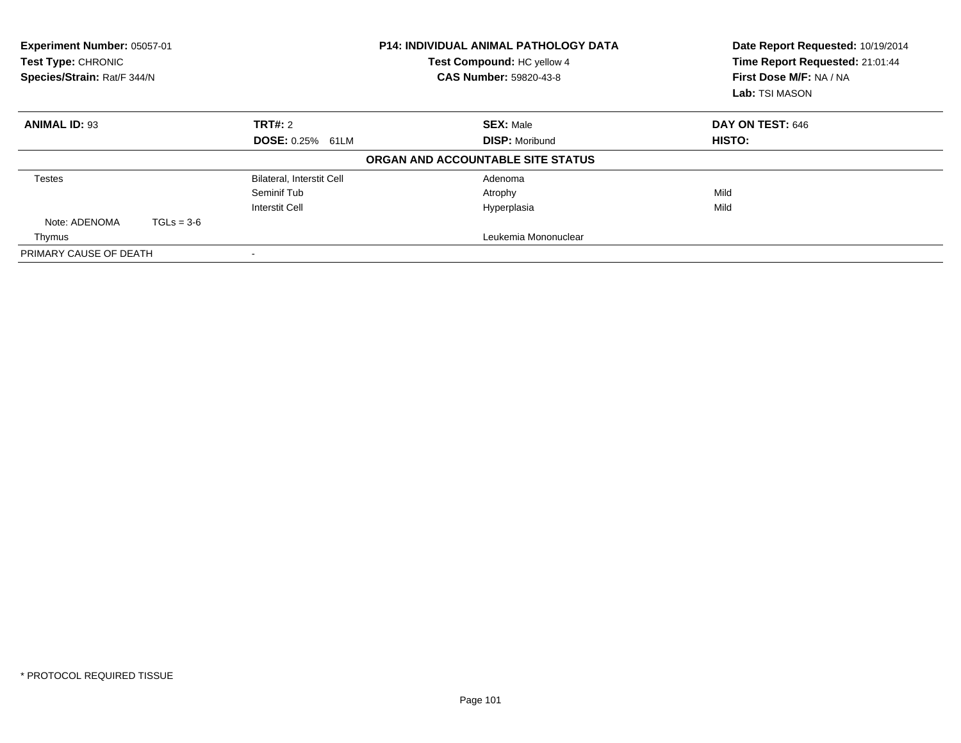| Experiment Number: 05057-01<br><b>Test Type: CHRONIC</b><br>Species/Strain: Rat/F 344/N |              |                                  | <b>P14: INDIVIDUAL ANIMAL PATHOLOGY DATA</b><br>Test Compound: HC yellow 4<br><b>CAS Number: 59820-43-8</b> | Date Report Requested: 10/19/2014<br>Time Report Requested: 21:01:44<br>First Dose M/F: NA / NA<br><b>Lab: TSI MASON</b> |
|-----------------------------------------------------------------------------------------|--------------|----------------------------------|-------------------------------------------------------------------------------------------------------------|--------------------------------------------------------------------------------------------------------------------------|
| <b>ANIMAL ID: 93</b>                                                                    |              | TRT#: 2                          | <b>SEX: Male</b>                                                                                            | DAY ON TEST: 646                                                                                                         |
|                                                                                         |              | <b>DOSE: 0.25% 61LM</b>          | <b>DISP: Moribund</b>                                                                                       | <b>HISTO:</b>                                                                                                            |
|                                                                                         |              |                                  | ORGAN AND ACCOUNTABLE SITE STATUS                                                                           |                                                                                                                          |
| <b>Testes</b>                                                                           |              | <b>Bilateral, Interstit Cell</b> | Adenoma                                                                                                     |                                                                                                                          |
|                                                                                         |              | Seminif Tub                      | Atrophy                                                                                                     | Mild                                                                                                                     |
|                                                                                         |              | <b>Interstit Cell</b>            | Hyperplasia                                                                                                 | Mild                                                                                                                     |
| Note: ADENOMA                                                                           | $TGLs = 3-6$ |                                  |                                                                                                             |                                                                                                                          |
| Thymus                                                                                  |              |                                  | Leukemia Mononuclear                                                                                        |                                                                                                                          |
| PRIMARY CAUSE OF DEATH                                                                  |              | $\overline{\phantom{a}}$         |                                                                                                             |                                                                                                                          |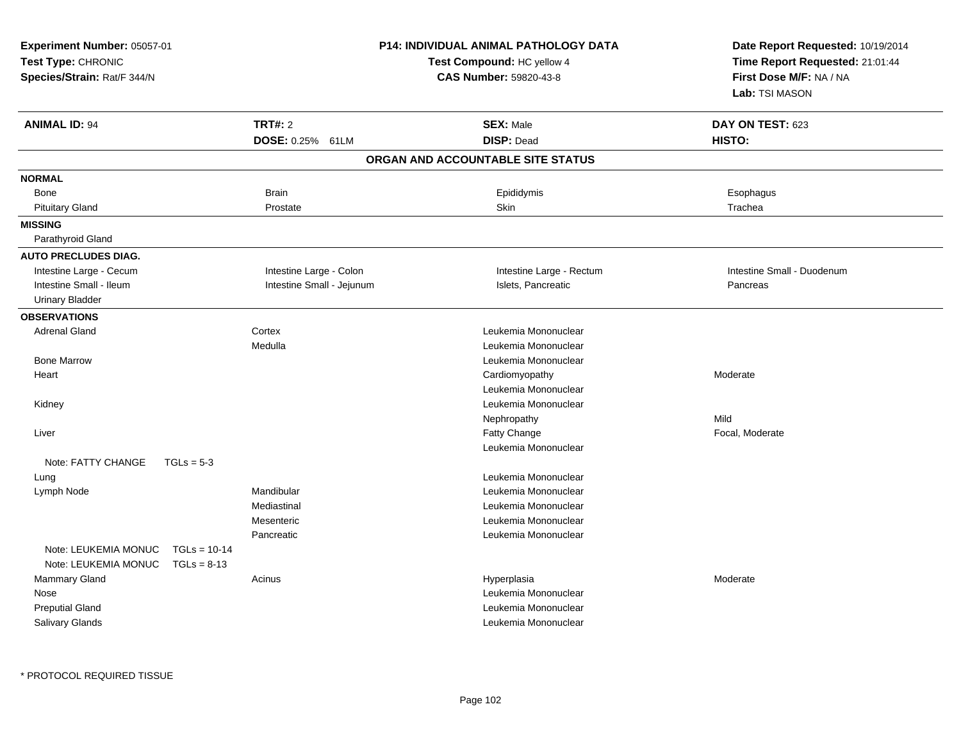| Experiment Number: 05057-01<br>Test Type: CHRONIC<br>Species/Strain: Rat/F 344/N |                                 |                                    | <b>P14: INDIVIDUAL ANIMAL PATHOLOGY DATA</b><br>Test Compound: HC yellow 4<br>CAS Number: 59820-43-8 | Date Report Requested: 10/19/2014<br>Time Report Requested: 21:01:44<br>First Dose M/F: NA / NA<br>Lab: TSI MASON |
|----------------------------------------------------------------------------------|---------------------------------|------------------------------------|------------------------------------------------------------------------------------------------------|-------------------------------------------------------------------------------------------------------------------|
| <b>ANIMAL ID: 94</b>                                                             |                                 | <b>TRT#: 2</b><br>DOSE: 0.25% 61LM | <b>SEX: Male</b><br><b>DISP: Dead</b>                                                                | DAY ON TEST: 623<br>HISTO:                                                                                        |
|                                                                                  |                                 |                                    | ORGAN AND ACCOUNTABLE SITE STATUS                                                                    |                                                                                                                   |
| <b>NORMAL</b>                                                                    |                                 |                                    |                                                                                                      |                                                                                                                   |
| Bone                                                                             |                                 | Brain                              | Epididymis                                                                                           | Esophagus                                                                                                         |
| <b>Pituitary Gland</b>                                                           |                                 | Prostate                           | Skin                                                                                                 | Trachea                                                                                                           |
| <b>MISSING</b><br>Parathyroid Gland                                              |                                 |                                    |                                                                                                      |                                                                                                                   |
| <b>AUTO PRECLUDES DIAG.</b>                                                      |                                 |                                    |                                                                                                      |                                                                                                                   |
| Intestine Large - Cecum                                                          |                                 | Intestine Large - Colon            | Intestine Large - Rectum                                                                             | Intestine Small - Duodenum                                                                                        |
| Intestine Small - Ileum                                                          |                                 | Intestine Small - Jejunum          | Islets, Pancreatic                                                                                   | Pancreas                                                                                                          |
| <b>Urinary Bladder</b>                                                           |                                 |                                    |                                                                                                      |                                                                                                                   |
| <b>OBSERVATIONS</b>                                                              |                                 |                                    |                                                                                                      |                                                                                                                   |
| <b>Adrenal Gland</b>                                                             |                                 | Cortex                             | Leukemia Mononuclear                                                                                 |                                                                                                                   |
|                                                                                  |                                 | Medulla                            | Leukemia Mononuclear                                                                                 |                                                                                                                   |
| <b>Bone Marrow</b>                                                               |                                 |                                    | Leukemia Mononuclear                                                                                 |                                                                                                                   |
| Heart                                                                            |                                 |                                    | Cardiomyopathy                                                                                       | Moderate                                                                                                          |
|                                                                                  |                                 |                                    | Leukemia Mononuclear                                                                                 |                                                                                                                   |
| Kidney                                                                           |                                 |                                    | Leukemia Mononuclear                                                                                 |                                                                                                                   |
|                                                                                  |                                 |                                    | Nephropathy                                                                                          | Mild                                                                                                              |
| Liver                                                                            |                                 |                                    | Fatty Change                                                                                         | Focal, Moderate                                                                                                   |
|                                                                                  |                                 |                                    | Leukemia Mononuclear                                                                                 |                                                                                                                   |
| Note: FATTY CHANGE                                                               | $TGLs = 5-3$                    |                                    |                                                                                                      |                                                                                                                   |
| Lung                                                                             |                                 |                                    | Leukemia Mononuclear                                                                                 |                                                                                                                   |
| Lymph Node                                                                       |                                 | Mandibular                         | Leukemia Mononuclear                                                                                 |                                                                                                                   |
|                                                                                  |                                 | Mediastinal                        | Leukemia Mononuclear                                                                                 |                                                                                                                   |
|                                                                                  |                                 | Mesenteric                         | Leukemia Mononuclear                                                                                 |                                                                                                                   |
|                                                                                  |                                 | Pancreatic                         | Leukemia Mononuclear                                                                                 |                                                                                                                   |
| Note: LEUKEMIA MONUC<br>Note: LEUKEMIA MONUC                                     | $TGLs = 10-14$<br>$TGLs = 8-13$ |                                    |                                                                                                      |                                                                                                                   |
| Mammary Gland                                                                    |                                 | Acinus                             | Hyperplasia                                                                                          | Moderate                                                                                                          |
| Nose                                                                             |                                 |                                    | Leukemia Mononuclear                                                                                 |                                                                                                                   |
| <b>Preputial Gland</b>                                                           |                                 |                                    | Leukemia Mononuclear                                                                                 |                                                                                                                   |
| Salivary Glands                                                                  |                                 |                                    | Leukemia Mononuclear                                                                                 |                                                                                                                   |
|                                                                                  |                                 |                                    |                                                                                                      |                                                                                                                   |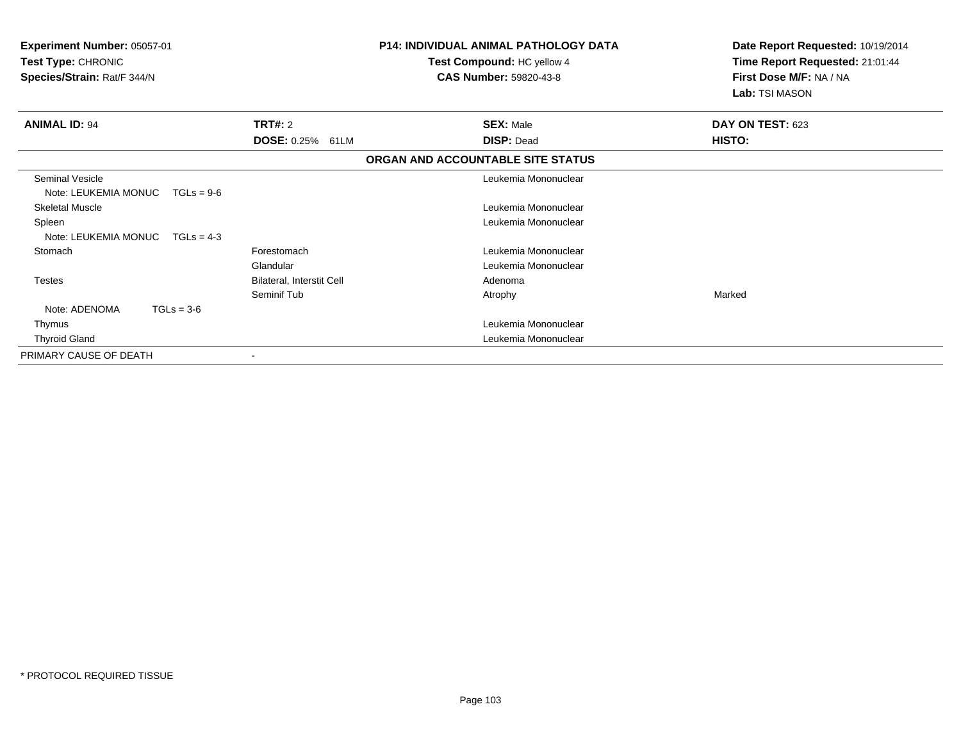| Experiment Number: 05057-01<br>Test Type: CHRONIC<br>Species/Strain: Rat/F 344/N |                           | <b>P14: INDIVIDUAL ANIMAL PATHOLOGY DATA</b><br>Test Compound: HC yellow 4<br><b>CAS Number: 59820-43-8</b> | Date Report Requested: 10/19/2014<br>Time Report Requested: 21:01:44<br>First Dose M/F: NA / NA<br>Lab: TSI MASON |
|----------------------------------------------------------------------------------|---------------------------|-------------------------------------------------------------------------------------------------------------|-------------------------------------------------------------------------------------------------------------------|
| <b>ANIMAL ID: 94</b>                                                             | <b>TRT#: 2</b>            | <b>SEX: Male</b>                                                                                            | DAY ON TEST: 623                                                                                                  |
|                                                                                  | DOSE: 0.25% 61LM          | <b>DISP: Dead</b>                                                                                           | <b>HISTO:</b>                                                                                                     |
|                                                                                  |                           | ORGAN AND ACCOUNTABLE SITE STATUS                                                                           |                                                                                                                   |
| Seminal Vesicle                                                                  |                           | Leukemia Mononuclear                                                                                        |                                                                                                                   |
| Note: LEUKEMIA MONUC<br>$TGLs = 9-6$                                             |                           |                                                                                                             |                                                                                                                   |
| <b>Skeletal Muscle</b>                                                           |                           | Leukemia Mononuclear                                                                                        |                                                                                                                   |
| Spleen                                                                           |                           | Leukemia Mononuclear                                                                                        |                                                                                                                   |
| Note: LEUKEMIA MONUC<br>$TGLs = 4-3$                                             |                           |                                                                                                             |                                                                                                                   |
| Stomach                                                                          | Forestomach               | Leukemia Mononuclear                                                                                        |                                                                                                                   |
|                                                                                  | Glandular                 | Leukemia Mononuclear                                                                                        |                                                                                                                   |
| <b>Testes</b>                                                                    | Bilateral, Interstit Cell | Adenoma                                                                                                     |                                                                                                                   |
|                                                                                  | Seminif Tub               | Atrophy                                                                                                     | Marked                                                                                                            |
| Note: ADENOMA<br>$TGLs = 3-6$                                                    |                           |                                                                                                             |                                                                                                                   |
| Thymus                                                                           |                           | Leukemia Mononuclear                                                                                        |                                                                                                                   |
| <b>Thyroid Gland</b>                                                             |                           | Leukemia Mononuclear                                                                                        |                                                                                                                   |
| PRIMARY CAUSE OF DEATH                                                           |                           |                                                                                                             |                                                                                                                   |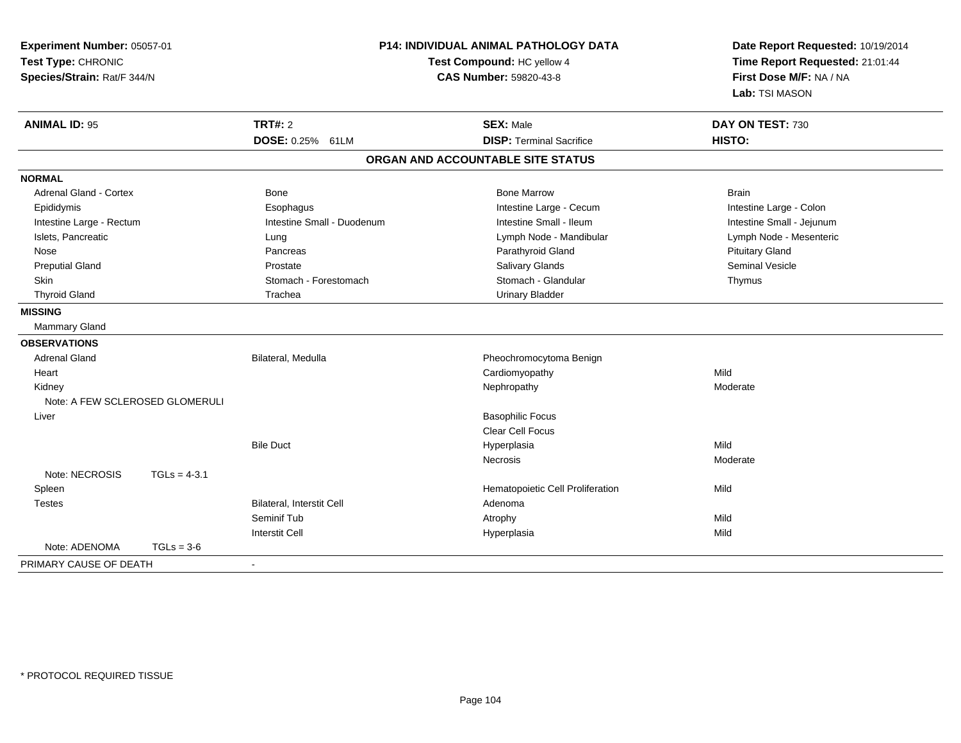| Experiment Number: 05057-01<br>Test Type: CHRONIC<br>Species/Strain: Rat/F 344/N |                            | P14: INDIVIDUAL ANIMAL PATHOLOGY DATA<br>Test Compound: HC yellow 4<br><b>CAS Number: 59820-43-8</b> | Date Report Requested: 10/19/2014<br>Time Report Requested: 21:01:44<br>First Dose M/F: NA / NA<br>Lab: TSI MASON |  |
|----------------------------------------------------------------------------------|----------------------------|------------------------------------------------------------------------------------------------------|-------------------------------------------------------------------------------------------------------------------|--|
| <b>ANIMAL ID: 95</b>                                                             | <b>TRT#: 2</b>             | <b>SEX: Male</b>                                                                                     | DAY ON TEST: 730                                                                                                  |  |
|                                                                                  | DOSE: 0.25% 61LM           | <b>DISP: Terminal Sacrifice</b>                                                                      | HISTO:                                                                                                            |  |
|                                                                                  |                            | ORGAN AND ACCOUNTABLE SITE STATUS                                                                    |                                                                                                                   |  |
| <b>NORMAL</b>                                                                    |                            |                                                                                                      |                                                                                                                   |  |
| <b>Adrenal Gland - Cortex</b>                                                    | <b>Bone</b>                | <b>Bone Marrow</b>                                                                                   | <b>Brain</b>                                                                                                      |  |
| Epididymis                                                                       | Esophagus                  | Intestine Large - Cecum                                                                              | Intestine Large - Colon                                                                                           |  |
| Intestine Large - Rectum                                                         | Intestine Small - Duodenum | Intestine Small - Ileum                                                                              | Intestine Small - Jejunum                                                                                         |  |
| Islets, Pancreatic                                                               | Lung                       | Lymph Node - Mandibular                                                                              | Lymph Node - Mesenteric                                                                                           |  |
| Nose                                                                             | Pancreas                   | Parathyroid Gland                                                                                    | <b>Pituitary Gland</b>                                                                                            |  |
| <b>Preputial Gland</b>                                                           | Prostate                   | Salivary Glands                                                                                      | <b>Seminal Vesicle</b>                                                                                            |  |
| <b>Skin</b>                                                                      | Stomach - Forestomach      | Stomach - Glandular                                                                                  | Thymus                                                                                                            |  |
| <b>Thyroid Gland</b>                                                             | Trachea                    | <b>Urinary Bladder</b>                                                                               |                                                                                                                   |  |
| <b>MISSING</b>                                                                   |                            |                                                                                                      |                                                                                                                   |  |
| <b>Mammary Gland</b>                                                             |                            |                                                                                                      |                                                                                                                   |  |
| <b>OBSERVATIONS</b>                                                              |                            |                                                                                                      |                                                                                                                   |  |
| <b>Adrenal Gland</b>                                                             | Bilateral, Medulla         | Pheochromocytoma Benign                                                                              |                                                                                                                   |  |
| Heart                                                                            |                            | Cardiomyopathy                                                                                       | Mild                                                                                                              |  |
| Kidney                                                                           |                            | Nephropathy                                                                                          | Moderate                                                                                                          |  |
| Note: A FEW SCLEROSED GLOMERULI                                                  |                            |                                                                                                      |                                                                                                                   |  |
| Liver                                                                            |                            | <b>Basophilic Focus</b>                                                                              |                                                                                                                   |  |
|                                                                                  |                            | Clear Cell Focus                                                                                     |                                                                                                                   |  |
|                                                                                  | <b>Bile Duct</b>           | Hyperplasia                                                                                          | Mild                                                                                                              |  |
|                                                                                  |                            | Necrosis                                                                                             | Moderate                                                                                                          |  |
| Note: NECROSIS<br>$TGLs = 4-3.1$                                                 |                            |                                                                                                      |                                                                                                                   |  |
| Spleen                                                                           |                            | Hematopoietic Cell Proliferation                                                                     | Mild                                                                                                              |  |
| <b>Testes</b>                                                                    | Bilateral, Interstit Cell  | Adenoma                                                                                              |                                                                                                                   |  |
|                                                                                  | Seminif Tub                | Atrophy                                                                                              | Mild                                                                                                              |  |
|                                                                                  | <b>Interstit Cell</b>      | Hyperplasia                                                                                          | Mild                                                                                                              |  |
| Note: ADENOMA<br>$TGLs = 3-6$                                                    |                            |                                                                                                      |                                                                                                                   |  |
| PRIMARY CAUSE OF DEATH                                                           | $\blacksquare$             |                                                                                                      |                                                                                                                   |  |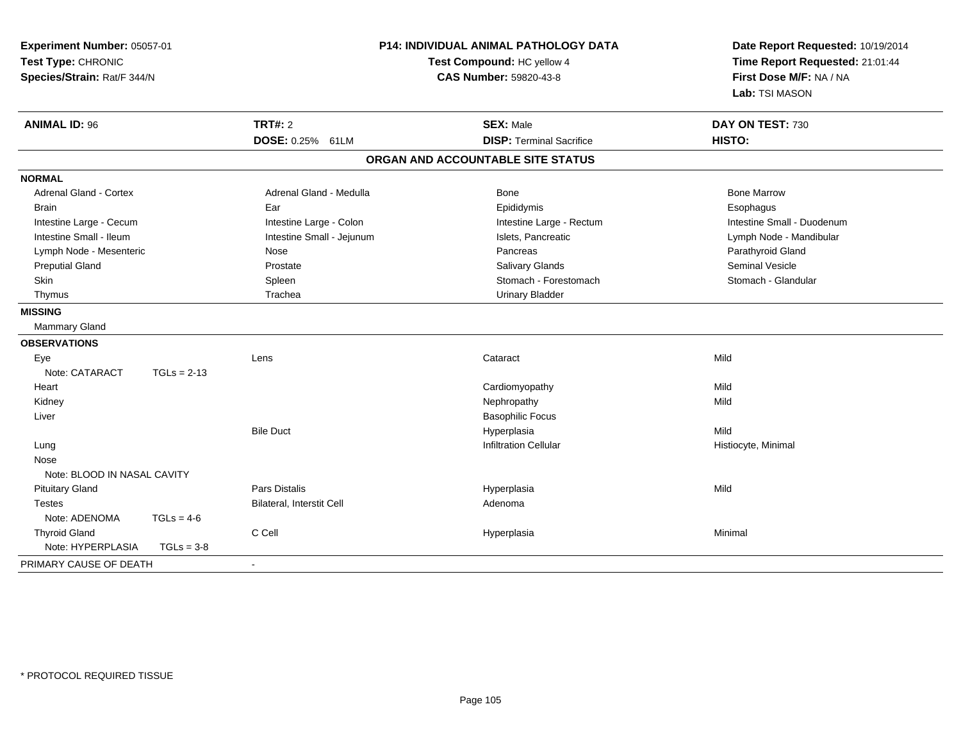| Experiment Number: 05057-01<br>Test Type: CHRONIC<br>Species/Strain: Rat/F 344/N |               | P14: INDIVIDUAL ANIMAL PATHOLOGY DATA<br>Test Compound: HC yellow 4<br><b>CAS Number: 59820-43-8</b> |                                   | Date Report Requested: 10/19/2014<br>Time Report Requested: 21:01:44<br>First Dose M/F: NA / NA<br>Lab: TSI MASON |  |
|----------------------------------------------------------------------------------|---------------|------------------------------------------------------------------------------------------------------|-----------------------------------|-------------------------------------------------------------------------------------------------------------------|--|
| <b>ANIMAL ID: 96</b>                                                             |               | <b>TRT#: 2</b>                                                                                       | <b>SEX: Male</b>                  | DAY ON TEST: 730                                                                                                  |  |
|                                                                                  |               | DOSE: 0.25% 61LM                                                                                     | <b>DISP: Terminal Sacrifice</b>   | HISTO:                                                                                                            |  |
|                                                                                  |               |                                                                                                      | ORGAN AND ACCOUNTABLE SITE STATUS |                                                                                                                   |  |
| <b>NORMAL</b>                                                                    |               |                                                                                                      |                                   |                                                                                                                   |  |
| <b>Adrenal Gland - Cortex</b>                                                    |               | Adrenal Gland - Medulla                                                                              | Bone                              | <b>Bone Marrow</b>                                                                                                |  |
| Brain                                                                            |               | Ear                                                                                                  | Epididymis                        | Esophagus                                                                                                         |  |
| Intestine Large - Cecum                                                          |               | Intestine Large - Colon                                                                              | Intestine Large - Rectum          | Intestine Small - Duodenum                                                                                        |  |
| Intestine Small - Ileum                                                          |               | Intestine Small - Jejunum                                                                            | Islets, Pancreatic                | Lymph Node - Mandibular                                                                                           |  |
| Lymph Node - Mesenteric                                                          |               | Nose                                                                                                 | Pancreas                          | Parathyroid Gland                                                                                                 |  |
| <b>Preputial Gland</b>                                                           |               | Prostate                                                                                             | Salivary Glands                   | <b>Seminal Vesicle</b>                                                                                            |  |
| Skin                                                                             |               | Spleen                                                                                               | Stomach - Forestomach             | Stomach - Glandular                                                                                               |  |
| Thymus                                                                           |               | Trachea                                                                                              | <b>Urinary Bladder</b>            |                                                                                                                   |  |
| <b>MISSING</b>                                                                   |               |                                                                                                      |                                   |                                                                                                                   |  |
| Mammary Gland                                                                    |               |                                                                                                      |                                   |                                                                                                                   |  |
| <b>OBSERVATIONS</b>                                                              |               |                                                                                                      |                                   |                                                                                                                   |  |
| Eye                                                                              |               | Lens                                                                                                 | Cataract                          | Mild                                                                                                              |  |
| Note: CATARACT                                                                   | $TGLs = 2-13$ |                                                                                                      |                                   |                                                                                                                   |  |
| Heart                                                                            |               |                                                                                                      | Cardiomyopathy                    | Mild                                                                                                              |  |
| Kidney                                                                           |               |                                                                                                      | Nephropathy                       | Mild                                                                                                              |  |
| Liver                                                                            |               |                                                                                                      | <b>Basophilic Focus</b>           |                                                                                                                   |  |
|                                                                                  |               | <b>Bile Duct</b>                                                                                     | Hyperplasia                       | Mild                                                                                                              |  |
| Lung                                                                             |               |                                                                                                      | <b>Infiltration Cellular</b>      | Histiocyte, Minimal                                                                                               |  |
| Nose                                                                             |               |                                                                                                      |                                   |                                                                                                                   |  |
| Note: BLOOD IN NASAL CAVITY                                                      |               |                                                                                                      |                                   |                                                                                                                   |  |
| <b>Pituitary Gland</b>                                                           |               | Pars Distalis                                                                                        | Hyperplasia                       | Mild                                                                                                              |  |
| <b>Testes</b>                                                                    |               | Bilateral, Interstit Cell                                                                            | Adenoma                           |                                                                                                                   |  |
| Note: ADENOMA                                                                    | $TGLs = 4-6$  |                                                                                                      |                                   |                                                                                                                   |  |
| <b>Thyroid Gland</b>                                                             |               | C Cell                                                                                               | Hyperplasia                       | Minimal                                                                                                           |  |
| Note: HYPERPLASIA                                                                | $TGLs = 3-8$  |                                                                                                      |                                   |                                                                                                                   |  |
| PRIMARY CAUSE OF DEATH                                                           |               | $\blacksquare$                                                                                       |                                   |                                                                                                                   |  |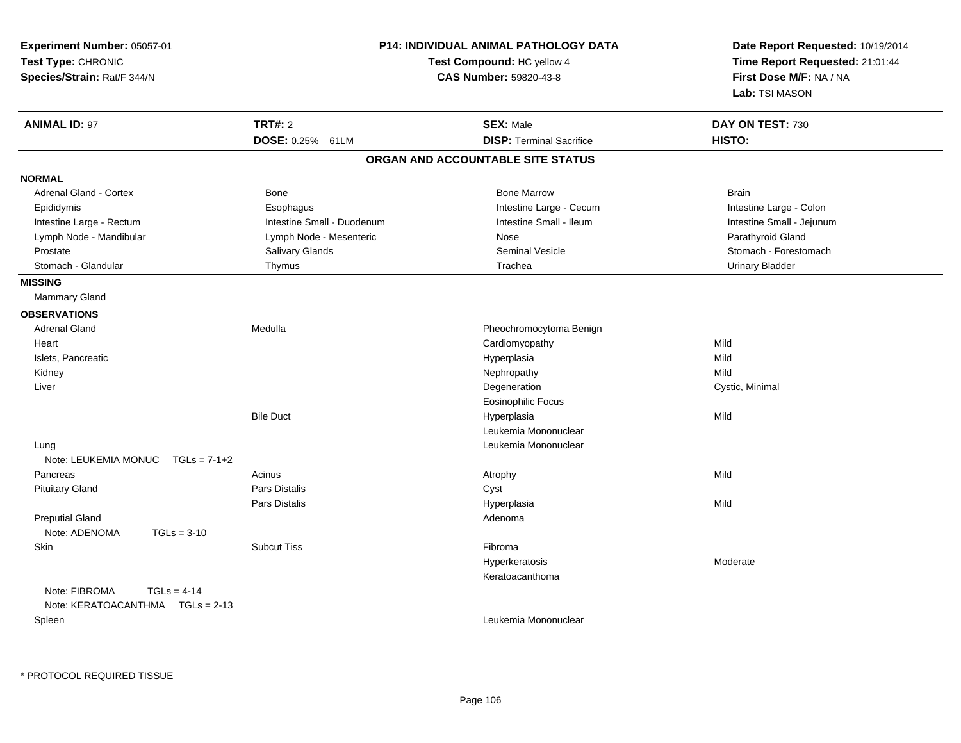| Experiment Number: 05057-01<br>Test Type: CHRONIC<br>Species/Strain: Rat/F 344/N | <b>P14: INDIVIDUAL ANIMAL PATHOLOGY DATA</b><br>Test Compound: HC yellow 4<br><b>CAS Number: 59820-43-8</b> |                                   | Date Report Requested: 10/19/2014<br>Time Report Requested: 21:01:44<br>First Dose M/F: NA / NA<br>Lab: TSI MASON |
|----------------------------------------------------------------------------------|-------------------------------------------------------------------------------------------------------------|-----------------------------------|-------------------------------------------------------------------------------------------------------------------|
| <b>ANIMAL ID: 97</b>                                                             | <b>TRT#: 2</b>                                                                                              | <b>SEX: Male</b>                  | DAY ON TEST: 730                                                                                                  |
|                                                                                  | DOSE: 0.25% 61LM                                                                                            | <b>DISP: Terminal Sacrifice</b>   | HISTO:                                                                                                            |
|                                                                                  |                                                                                                             | ORGAN AND ACCOUNTABLE SITE STATUS |                                                                                                                   |
| <b>NORMAL</b>                                                                    |                                                                                                             |                                   |                                                                                                                   |
| <b>Adrenal Gland - Cortex</b>                                                    | Bone                                                                                                        | <b>Bone Marrow</b>                | <b>Brain</b>                                                                                                      |
| Epididymis                                                                       | Esophagus                                                                                                   | Intestine Large - Cecum           | Intestine Large - Colon                                                                                           |
| Intestine Large - Rectum                                                         | Intestine Small - Duodenum                                                                                  | Intestine Small - Ileum           | Intestine Small - Jejunum                                                                                         |
| Lymph Node - Mandibular                                                          | Lymph Node - Mesenteric                                                                                     | Nose                              | Parathyroid Gland                                                                                                 |
| Prostate                                                                         | Salivary Glands                                                                                             | <b>Seminal Vesicle</b>            | Stomach - Forestomach                                                                                             |
| Stomach - Glandular                                                              | Thymus                                                                                                      | Trachea                           | <b>Urinary Bladder</b>                                                                                            |
| <b>MISSING</b>                                                                   |                                                                                                             |                                   |                                                                                                                   |
| <b>Mammary Gland</b>                                                             |                                                                                                             |                                   |                                                                                                                   |
| <b>OBSERVATIONS</b>                                                              |                                                                                                             |                                   |                                                                                                                   |
| <b>Adrenal Gland</b>                                                             | Medulla                                                                                                     | Pheochromocytoma Benign           |                                                                                                                   |
| Heart                                                                            |                                                                                                             | Cardiomyopathy                    | Mild                                                                                                              |
| Islets, Pancreatic                                                               |                                                                                                             | Hyperplasia                       | Mild                                                                                                              |
| Kidney                                                                           |                                                                                                             | Nephropathy                       | Mild                                                                                                              |
| Liver                                                                            |                                                                                                             | Degeneration                      | Cystic, Minimal                                                                                                   |
|                                                                                  |                                                                                                             | <b>Eosinophilic Focus</b>         |                                                                                                                   |
|                                                                                  | <b>Bile Duct</b>                                                                                            | Hyperplasia                       | Mild                                                                                                              |
|                                                                                  |                                                                                                             | Leukemia Mononuclear              |                                                                                                                   |
| Lung                                                                             |                                                                                                             | Leukemia Mononuclear              |                                                                                                                   |
| Note: LEUKEMIA MONUC<br>$TGLs = 7-1+2$                                           |                                                                                                             |                                   |                                                                                                                   |
| Pancreas                                                                         | Acinus                                                                                                      | Atrophy                           | Mild                                                                                                              |
| <b>Pituitary Gland</b>                                                           | Pars Distalis                                                                                               | Cyst                              |                                                                                                                   |
|                                                                                  | Pars Distalis                                                                                               | Hyperplasia                       | Mild                                                                                                              |
| <b>Preputial Gland</b>                                                           |                                                                                                             | Adenoma                           |                                                                                                                   |
| Note: ADENOMA<br>$TGLs = 3-10$                                                   |                                                                                                             |                                   |                                                                                                                   |
| Skin                                                                             | <b>Subcut Tiss</b>                                                                                          | Fibroma                           |                                                                                                                   |
|                                                                                  |                                                                                                             | Hyperkeratosis                    | Moderate                                                                                                          |
|                                                                                  |                                                                                                             | Keratoacanthoma                   |                                                                                                                   |
| Note: FIBROMA<br>$TGLs = 4-14$                                                   |                                                                                                             |                                   |                                                                                                                   |
| Note: KERATOACANTHMA   TGLs = 2-13                                               |                                                                                                             |                                   |                                                                                                                   |
| Spleen                                                                           |                                                                                                             | Leukemia Mononuclear              |                                                                                                                   |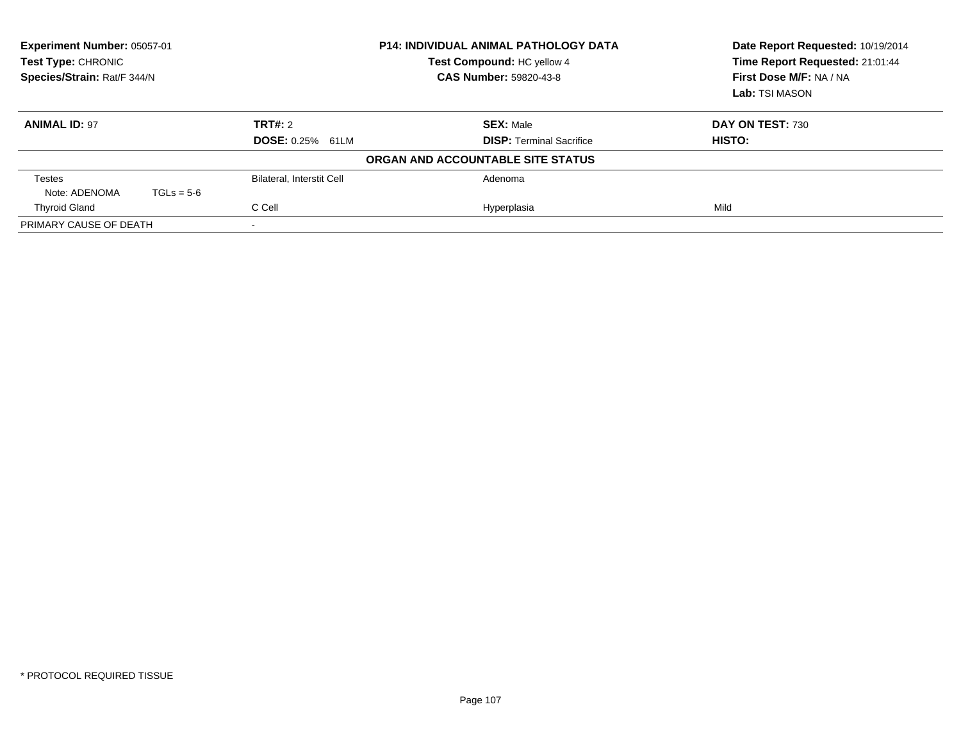| Experiment Number: 05057-01<br>Test Type: CHRONIC<br>Species/Strain: Rat/F 344/N |              |                           | <b>P14: INDIVIDUAL ANIMAL PATHOLOGY DATA</b><br>Test Compound: HC yellow 4<br><b>CAS Number: 59820-43-8</b> | Date Report Requested: 10/19/2014<br>Time Report Requested: 21:01:44<br>First Dose M/F: NA / NA<br>Lab: TSI MASON |
|----------------------------------------------------------------------------------|--------------|---------------------------|-------------------------------------------------------------------------------------------------------------|-------------------------------------------------------------------------------------------------------------------|
| <b>ANIMAL ID: 97</b>                                                             |              | TRT#: 2                   | <b>SEX: Male</b>                                                                                            | DAY ON TEST: 730                                                                                                  |
|                                                                                  |              | <b>DOSE: 0.25% 61LM</b>   | <b>DISP:</b> Terminal Sacrifice                                                                             | HISTO:                                                                                                            |
|                                                                                  |              |                           | ORGAN AND ACCOUNTABLE SITE STATUS                                                                           |                                                                                                                   |
| Testes                                                                           |              | Bilateral, Interstit Cell | Adenoma                                                                                                     |                                                                                                                   |
| Note: ADENOMA                                                                    | $TGLs = 5-6$ |                           |                                                                                                             |                                                                                                                   |
| <b>Thyroid Gland</b>                                                             |              | C Cell                    | Hyperplasia                                                                                                 | Mild                                                                                                              |
| PRIMARY CAUSE OF DEATH                                                           |              |                           |                                                                                                             |                                                                                                                   |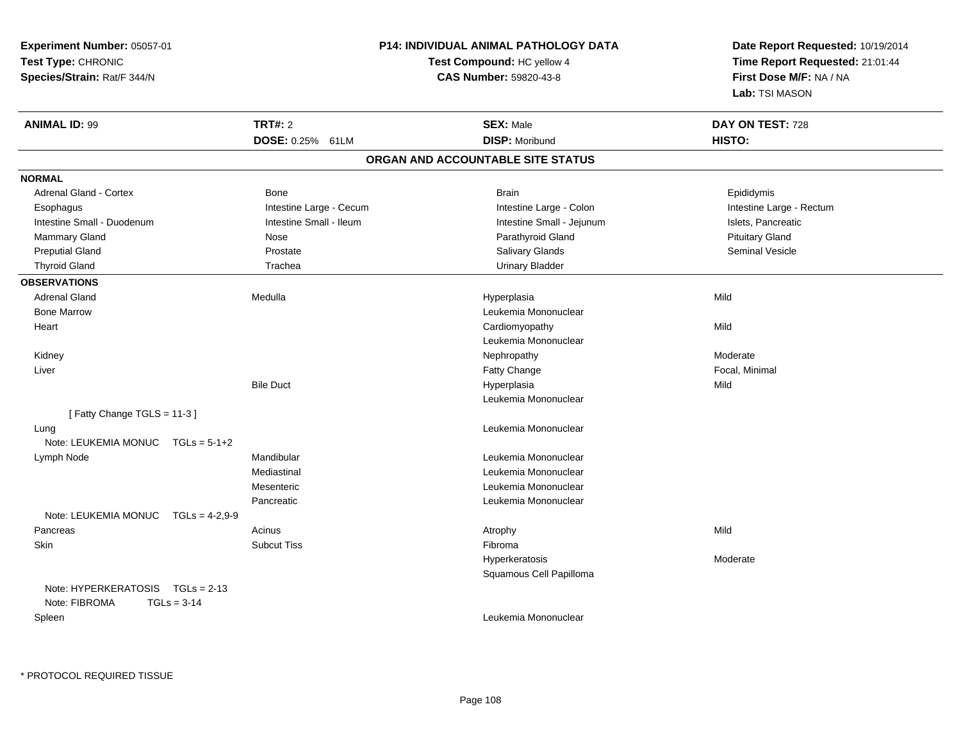| Experiment Number: 05057-01                       |                    |                               | <b>P14: INDIVIDUAL ANIMAL PATHOLOGY DATA</b> | Date Report Requested: 10/19/2014 |
|---------------------------------------------------|--------------------|-------------------------------|----------------------------------------------|-----------------------------------|
| Test Type: CHRONIC                                |                    |                               | Test Compound: HC yellow 4                   | Time Report Requested: 21:01:44   |
| Species/Strain: Rat/F 344/N                       |                    | <b>CAS Number: 59820-43-8</b> |                                              | First Dose M/F: NA / NA           |
|                                                   |                    |                               |                                              | Lab: TSI MASON                    |
| <b>ANIMAL ID: 99</b>                              | <b>TRT#: 2</b>     |                               | <b>SEX: Male</b>                             | DAY ON TEST: 728                  |
|                                                   |                    | DOSE: 0.25% 61LM              | <b>DISP: Moribund</b>                        | HISTO:                            |
|                                                   |                    |                               | ORGAN AND ACCOUNTABLE SITE STATUS            |                                   |
| <b>NORMAL</b>                                     |                    |                               |                                              |                                   |
| Adrenal Gland - Cortex                            | Bone               |                               | <b>Brain</b>                                 | Epididymis                        |
| Esophagus                                         |                    | Intestine Large - Cecum       | Intestine Large - Colon                      | Intestine Large - Rectum          |
| Intestine Small - Duodenum                        |                    | Intestine Small - Ileum       | Intestine Small - Jejunum                    | Islets, Pancreatic                |
| <b>Mammary Gland</b>                              | Nose               |                               | Parathyroid Gland                            | <b>Pituitary Gland</b>            |
| <b>Preputial Gland</b>                            | Prostate           |                               | Salivary Glands                              | Seminal Vesicle                   |
| <b>Thyroid Gland</b>                              | Trachea            |                               | <b>Urinary Bladder</b>                       |                                   |
| <b>OBSERVATIONS</b>                               |                    |                               |                                              |                                   |
| <b>Adrenal Gland</b>                              | Medulla            |                               | Hyperplasia                                  | Mild                              |
| <b>Bone Marrow</b>                                |                    |                               | Leukemia Mononuclear                         |                                   |
| Heart                                             |                    |                               | Cardiomyopathy                               | Mild                              |
|                                                   |                    |                               | Leukemia Mononuclear                         |                                   |
| Kidney                                            |                    |                               | Nephropathy                                  | Moderate                          |
| Liver                                             |                    |                               | Fatty Change                                 | Focal, Minimal                    |
|                                                   | <b>Bile Duct</b>   |                               | Hyperplasia                                  | Mild                              |
|                                                   |                    |                               | Leukemia Mononuclear                         |                                   |
| [Fatty Change TGLS = 11-3]                        |                    |                               |                                              |                                   |
| Lung                                              |                    |                               | Leukemia Mononuclear                         |                                   |
| Note: LEUKEMIA MONUC TGLs = 5-1+2                 |                    |                               |                                              |                                   |
| Lymph Node                                        | Mandibular         |                               | Leukemia Mononuclear                         |                                   |
|                                                   | Mediastinal        |                               | Leukemia Mononuclear                         |                                   |
|                                                   | Mesenteric         |                               | Leukemia Mononuclear                         |                                   |
|                                                   | Pancreatic         |                               | Leukemia Mononuclear                         |                                   |
| Note: LEUKEMIA MONUC                              | $TGLs = 4-2,9-9$   |                               |                                              |                                   |
| Pancreas                                          | Acinus             |                               | Atrophy                                      | Mild                              |
| Skin                                              | <b>Subcut Tiss</b> |                               | Fibroma                                      |                                   |
|                                                   |                    |                               | Hyperkeratosis                               | Moderate                          |
|                                                   |                    |                               | Squamous Cell Papilloma                      |                                   |
| Note: HYPERKERATOSIS TGLs = 2-13<br>Note: FIBROMA | $TGLs = 3-14$      |                               |                                              |                                   |
| Spleen                                            |                    |                               | Leukemia Mononuclear                         |                                   |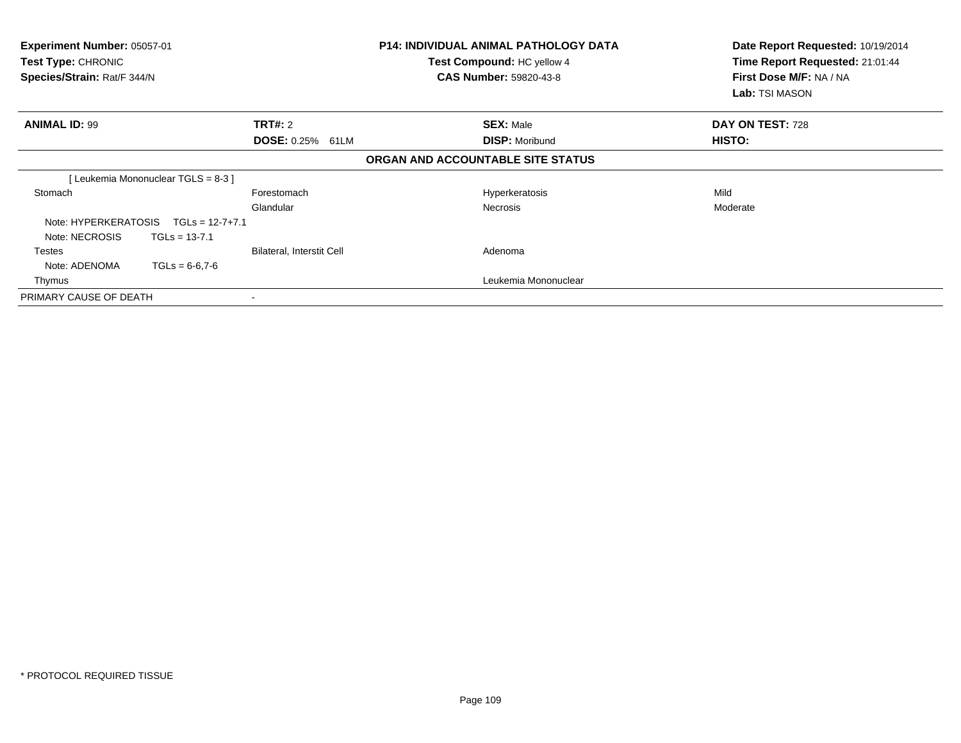| <b>Experiment Number: 05057-01</b><br>Test Type: CHRONIC<br>Species/Strain: Rat/F 344/N |                                    |                                  | P14: INDIVIDUAL ANIMAL PATHOLOGY DATA<br>Test Compound: HC yellow 4<br><b>CAS Number: 59820-43-8</b> | Date Report Requested: 10/19/2014<br>Time Report Requested: 21:01:44<br>First Dose M/F: NA / NA<br>Lab: TSI MASON |
|-----------------------------------------------------------------------------------------|------------------------------------|----------------------------------|------------------------------------------------------------------------------------------------------|-------------------------------------------------------------------------------------------------------------------|
| <b>ANIMAL ID: 99</b>                                                                    |                                    | TRT#: 2                          | <b>SEX: Male</b>                                                                                     | DAY ON TEST: 728                                                                                                  |
|                                                                                         |                                    | <b>DOSE: 0.25% 61LM</b>          | <b>DISP: Moribund</b>                                                                                | HISTO:                                                                                                            |
|                                                                                         |                                    |                                  | ORGAN AND ACCOUNTABLE SITE STATUS                                                                    |                                                                                                                   |
|                                                                                         | [Leukemia Mononuclear TGLS = 8-3 ] |                                  |                                                                                                      |                                                                                                                   |
| Stomach                                                                                 |                                    | Forestomach                      | Hyperkeratosis                                                                                       | Mild                                                                                                              |
|                                                                                         |                                    | Glandular                        | <b>Necrosis</b>                                                                                      | Moderate                                                                                                          |
| Note: HYPERKERATOSIS                                                                    | $TGLs = 12-7+7.1$                  |                                  |                                                                                                      |                                                                                                                   |
| Note: NECROSIS                                                                          | $TGLs = 13-7.1$                    |                                  |                                                                                                      |                                                                                                                   |
| Testes                                                                                  |                                    | <b>Bilateral, Interstit Cell</b> | Adenoma                                                                                              |                                                                                                                   |
| Note: ADENOMA                                                                           | $TGLs = 6-6.7-6$                   |                                  |                                                                                                      |                                                                                                                   |
| Thymus                                                                                  |                                    |                                  | Leukemia Mononuclear                                                                                 |                                                                                                                   |
| PRIMARY CAUSE OF DEATH                                                                  |                                    |                                  |                                                                                                      |                                                                                                                   |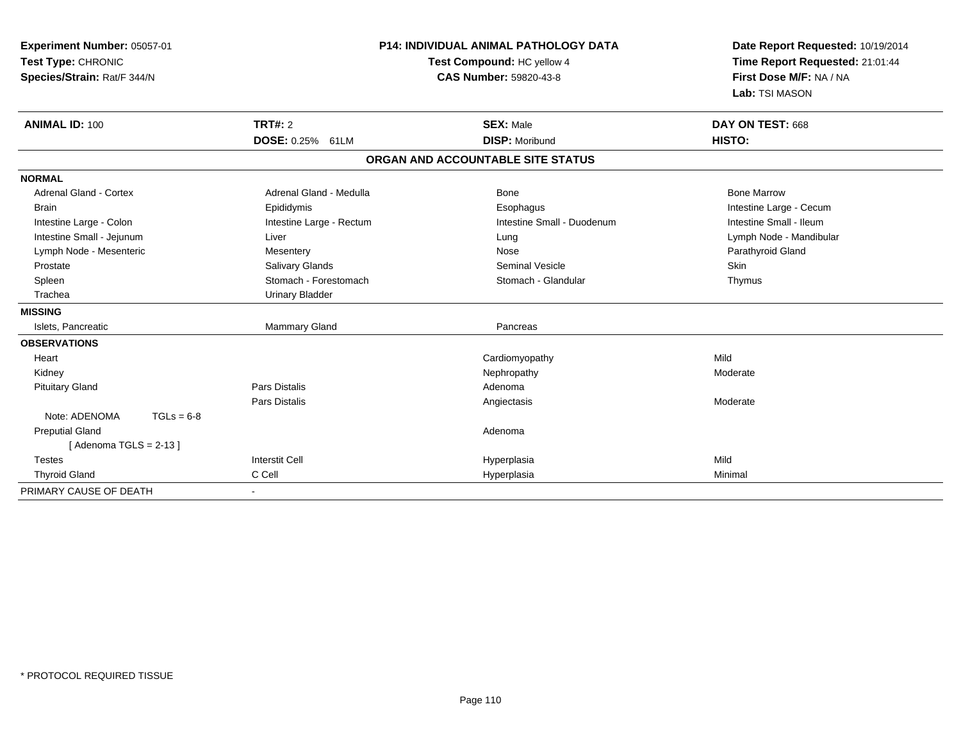| Experiment Number: 05057-01<br>Test Type: CHRONIC<br>Species/Strain: Rat/F 344/N<br><b>ANIMAL ID: 100</b> | <b>P14: INDIVIDUAL ANIMAL PATHOLOGY DATA</b><br>Test Compound: HC yellow 4<br><b>CAS Number: 59820-43-8</b><br><b>TRT#: 2</b><br><b>SEX: Male</b> |                                   | Date Report Requested: 10/19/2014<br>Time Report Requested: 21:01:44<br>First Dose M/F: NA / NA<br>Lab: TSI MASON<br>DAY ON TEST: 668 |
|-----------------------------------------------------------------------------------------------------------|---------------------------------------------------------------------------------------------------------------------------------------------------|-----------------------------------|---------------------------------------------------------------------------------------------------------------------------------------|
|                                                                                                           | DOSE: 0.25% 61LM                                                                                                                                  | <b>DISP: Moribund</b>             | <b>HISTO:</b>                                                                                                                         |
|                                                                                                           |                                                                                                                                                   | ORGAN AND ACCOUNTABLE SITE STATUS |                                                                                                                                       |
| <b>NORMAL</b>                                                                                             |                                                                                                                                                   |                                   |                                                                                                                                       |
| <b>Adrenal Gland - Cortex</b>                                                                             | Adrenal Gland - Medulla                                                                                                                           | Bone                              | <b>Bone Marrow</b>                                                                                                                    |
| <b>Brain</b>                                                                                              | Epididymis                                                                                                                                        | Esophagus                         | Intestine Large - Cecum                                                                                                               |
| Intestine Large - Colon                                                                                   | Intestine Large - Rectum                                                                                                                          | Intestine Small - Duodenum        | Intestine Small - Ileum                                                                                                               |
| Intestine Small - Jejunum                                                                                 | Liver                                                                                                                                             | Lung                              | Lymph Node - Mandibular                                                                                                               |
| Lymph Node - Mesenteric                                                                                   | Mesentery                                                                                                                                         | Nose                              | Parathyroid Gland                                                                                                                     |
| Prostate                                                                                                  | Salivary Glands                                                                                                                                   | <b>Seminal Vesicle</b>            | Skin                                                                                                                                  |
| Spleen                                                                                                    | Stomach - Forestomach                                                                                                                             | Stomach - Glandular               | Thymus                                                                                                                                |
| Trachea                                                                                                   | <b>Urinary Bladder</b>                                                                                                                            |                                   |                                                                                                                                       |
| <b>MISSING</b>                                                                                            |                                                                                                                                                   |                                   |                                                                                                                                       |
| Islets, Pancreatic                                                                                        | <b>Mammary Gland</b>                                                                                                                              | Pancreas                          |                                                                                                                                       |
| <b>OBSERVATIONS</b>                                                                                       |                                                                                                                                                   |                                   |                                                                                                                                       |
| Heart                                                                                                     |                                                                                                                                                   | Cardiomyopathy                    | Mild                                                                                                                                  |
| Kidney                                                                                                    |                                                                                                                                                   | Nephropathy                       | Moderate                                                                                                                              |
| <b>Pituitary Gland</b>                                                                                    | <b>Pars Distalis</b>                                                                                                                              | Adenoma                           |                                                                                                                                       |
|                                                                                                           | <b>Pars Distalis</b>                                                                                                                              | Angiectasis                       | Moderate                                                                                                                              |
| Note: ADENOMA<br>$TGLs = 6-8$                                                                             |                                                                                                                                                   |                                   |                                                                                                                                       |
| <b>Preputial Gland</b>                                                                                    |                                                                                                                                                   | Adenoma                           |                                                                                                                                       |
| [Adenoma TGLS = $2-13$ ]                                                                                  |                                                                                                                                                   |                                   |                                                                                                                                       |
| <b>Testes</b>                                                                                             | <b>Interstit Cell</b>                                                                                                                             | Hyperplasia                       | Mild                                                                                                                                  |
| <b>Thyroid Gland</b>                                                                                      | C Cell                                                                                                                                            | Hyperplasia                       | Minimal                                                                                                                               |
| PRIMARY CAUSE OF DEATH                                                                                    |                                                                                                                                                   |                                   |                                                                                                                                       |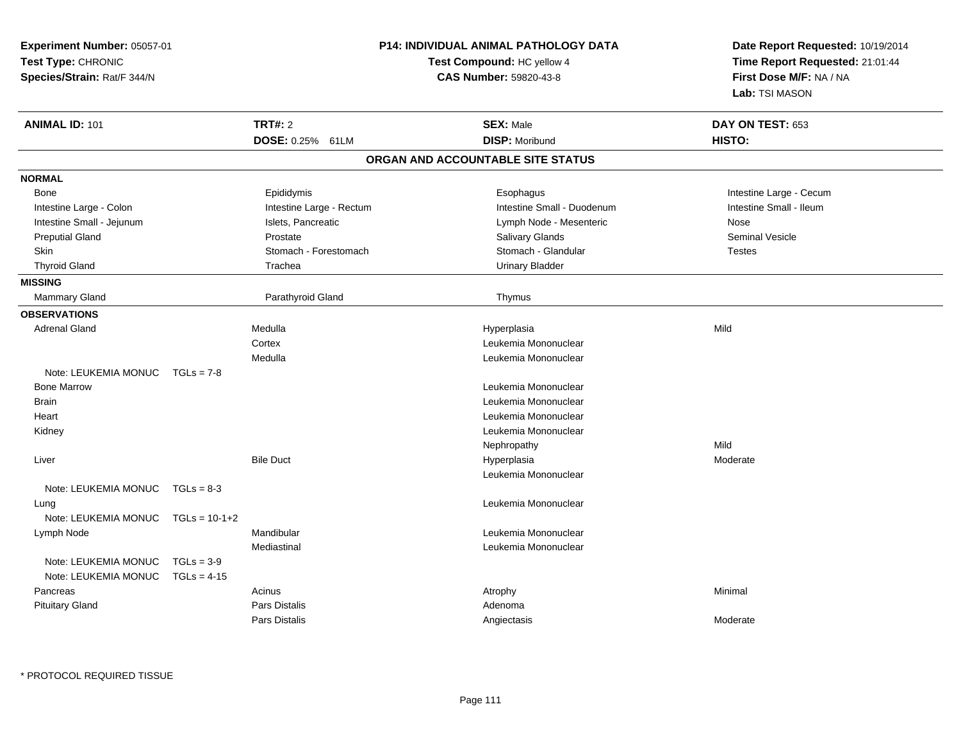| Experiment Number: 05057-01<br>Test Type: CHRONIC<br>Species/Strain: Rat/F 344/N |                 |                          | P14: INDIVIDUAL ANIMAL PATHOLOGY DATA<br>Test Compound: HC yellow 4<br>CAS Number: 59820-43-8 | Date Report Requested: 10/19/2014<br>Time Report Requested: 21:01:44<br>First Dose M/F: NA / NA<br>Lab: TSI MASON |
|----------------------------------------------------------------------------------|-----------------|--------------------------|-----------------------------------------------------------------------------------------------|-------------------------------------------------------------------------------------------------------------------|
| <b>ANIMAL ID: 101</b>                                                            |                 | <b>TRT#: 2</b>           | <b>SEX: Male</b>                                                                              | DAY ON TEST: 653                                                                                                  |
|                                                                                  |                 | DOSE: 0.25% 61LM         | <b>DISP: Moribund</b>                                                                         | HISTO:                                                                                                            |
|                                                                                  |                 |                          | ORGAN AND ACCOUNTABLE SITE STATUS                                                             |                                                                                                                   |
| <b>NORMAL</b>                                                                    |                 |                          |                                                                                               |                                                                                                                   |
| <b>Bone</b>                                                                      |                 | Epididymis               | Esophagus                                                                                     | Intestine Large - Cecum                                                                                           |
| Intestine Large - Colon                                                          |                 | Intestine Large - Rectum | Intestine Small - Duodenum                                                                    | Intestine Small - Ileum                                                                                           |
| Intestine Small - Jejunum                                                        |                 | Islets, Pancreatic       | Lymph Node - Mesenteric                                                                       | Nose                                                                                                              |
| <b>Preputial Gland</b>                                                           |                 | Prostate                 | Salivary Glands                                                                               | <b>Seminal Vesicle</b>                                                                                            |
| <b>Skin</b>                                                                      |                 | Stomach - Forestomach    | Stomach - Glandular                                                                           | <b>Testes</b>                                                                                                     |
| <b>Thyroid Gland</b>                                                             |                 | Trachea                  | <b>Urinary Bladder</b>                                                                        |                                                                                                                   |
| <b>MISSING</b>                                                                   |                 |                          |                                                                                               |                                                                                                                   |
| Mammary Gland                                                                    |                 | Parathyroid Gland        | Thymus                                                                                        |                                                                                                                   |
| <b>OBSERVATIONS</b>                                                              |                 |                          |                                                                                               |                                                                                                                   |
| <b>Adrenal Gland</b>                                                             |                 | Medulla                  | Hyperplasia                                                                                   | Mild                                                                                                              |
|                                                                                  |                 | Cortex                   | Leukemia Mononuclear                                                                          |                                                                                                                   |
|                                                                                  |                 | Medulla                  | Leukemia Mononuclear                                                                          |                                                                                                                   |
| Note: LEUKEMIA MONUC                                                             | $TGLs = 7-8$    |                          |                                                                                               |                                                                                                                   |
| <b>Bone Marrow</b>                                                               |                 |                          | Leukemia Mononuclear                                                                          |                                                                                                                   |
| <b>Brain</b>                                                                     |                 |                          | Leukemia Mononuclear                                                                          |                                                                                                                   |
| Heart                                                                            |                 |                          | Leukemia Mononuclear                                                                          |                                                                                                                   |
| Kidney                                                                           |                 |                          | Leukemia Mononuclear                                                                          |                                                                                                                   |
|                                                                                  |                 |                          | Nephropathy                                                                                   | Mild                                                                                                              |
| Liver                                                                            |                 | <b>Bile Duct</b>         | Hyperplasia                                                                                   | Moderate                                                                                                          |
|                                                                                  |                 |                          | Leukemia Mononuclear                                                                          |                                                                                                                   |
| Note: LEUKEMIA MONUC                                                             | $TGLs = 8-3$    |                          |                                                                                               |                                                                                                                   |
| Lung                                                                             |                 |                          | Leukemia Mononuclear                                                                          |                                                                                                                   |
| Note: LEUKEMIA MONUC                                                             | $TGLs = 10-1+2$ |                          |                                                                                               |                                                                                                                   |
| Lymph Node                                                                       |                 | Mandibular               | Leukemia Mononuclear                                                                          |                                                                                                                   |
|                                                                                  |                 | Mediastinal              | Leukemia Mononuclear                                                                          |                                                                                                                   |
| Note: LEUKEMIA MONUC                                                             | $TGLs = 3-9$    |                          |                                                                                               |                                                                                                                   |
| Note: LEUKEMIA MONUC                                                             | $TGLs = 4-15$   |                          |                                                                                               |                                                                                                                   |
| Pancreas                                                                         |                 | Acinus                   | Atrophy                                                                                       | Minimal                                                                                                           |
| <b>Pituitary Gland</b>                                                           |                 | Pars Distalis            | Adenoma                                                                                       |                                                                                                                   |
|                                                                                  |                 | Pars Distalis            | Angiectasis                                                                                   | Moderate                                                                                                          |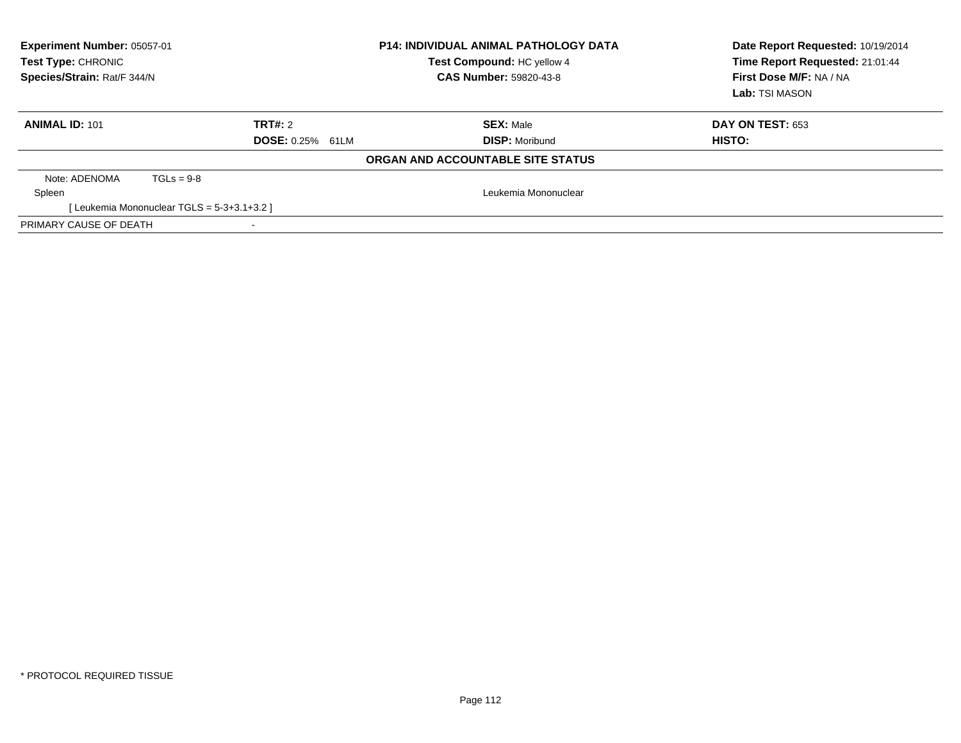| Experiment Number: 05057-01<br>Test Type: CHRONIC<br>Species/Strain: Rat/F 344/N |                                           |                         | <b>P14: INDIVIDUAL ANIMAL PATHOLOGY DATA</b><br>Test Compound: HC yellow 4<br><b>CAS Number: 59820-43-8</b> | Date Report Requested: 10/19/2014<br>Time Report Requested: 21:01:44<br>First Dose M/F: NA / NA<br>Lab: TSI MASON |
|----------------------------------------------------------------------------------|-------------------------------------------|-------------------------|-------------------------------------------------------------------------------------------------------------|-------------------------------------------------------------------------------------------------------------------|
| <b>ANIMAL ID: 101</b>                                                            |                                           | <b>TRT#: 2</b>          | <b>SEX:</b> Male                                                                                            | DAY ON TEST: 653                                                                                                  |
|                                                                                  |                                           | <b>DOSE: 0.25% 61LM</b> | <b>DISP:</b> Moribund                                                                                       | HISTO:                                                                                                            |
|                                                                                  |                                           |                         | <b>ORGAN AND ACCOUNTABLE SITE STATUS</b>                                                                    |                                                                                                                   |
| Note: ADENOMA                                                                    | $TGLs = 9-8$                              |                         |                                                                                                             |                                                                                                                   |
| Spleen                                                                           |                                           |                         | Leukemia Mononuclear                                                                                        |                                                                                                                   |
|                                                                                  | [Leukemia Mononuclear TGLS = 5-3+3.1+3.2] |                         |                                                                                                             |                                                                                                                   |
| PRIMARY CAUSE OF DEATH                                                           |                                           |                         |                                                                                                             |                                                                                                                   |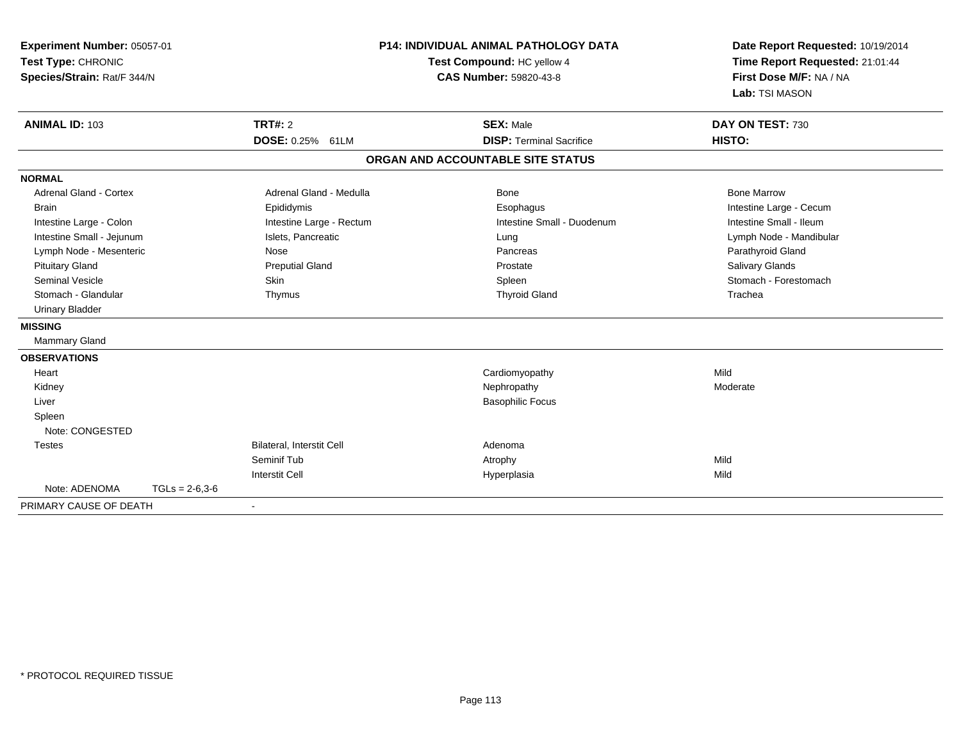| Experiment Number: 05057-01<br>Test Type: CHRONIC<br>Species/Strain: Rat/F 344/N |                  |                           | <b>P14: INDIVIDUAL ANIMAL PATHOLOGY DATA</b><br>Test Compound: HC yellow 4<br><b>CAS Number: 59820-43-8</b> | Date Report Requested: 10/19/2014<br>Time Report Requested: 21:01:44<br>First Dose M/F: NA / NA<br>Lab: TSI MASON |
|----------------------------------------------------------------------------------|------------------|---------------------------|-------------------------------------------------------------------------------------------------------------|-------------------------------------------------------------------------------------------------------------------|
| <b>ANIMAL ID: 103</b>                                                            |                  | <b>TRT#: 2</b>            | <b>SEX: Male</b>                                                                                            | DAY ON TEST: 730                                                                                                  |
|                                                                                  |                  | <b>DOSE: 0.25% 61LM</b>   | <b>DISP: Terminal Sacrifice</b>                                                                             | HISTO:                                                                                                            |
|                                                                                  |                  |                           | ORGAN AND ACCOUNTABLE SITE STATUS                                                                           |                                                                                                                   |
| <b>NORMAL</b>                                                                    |                  |                           |                                                                                                             |                                                                                                                   |
| <b>Adrenal Gland - Cortex</b>                                                    |                  | Adrenal Gland - Medulla   | Bone                                                                                                        | <b>Bone Marrow</b>                                                                                                |
| <b>Brain</b>                                                                     |                  | Epididymis                | Esophagus                                                                                                   | Intestine Large - Cecum                                                                                           |
| Intestine Large - Colon                                                          |                  | Intestine Large - Rectum  | Intestine Small - Duodenum                                                                                  | Intestine Small - Ileum                                                                                           |
| Intestine Small - Jejunum                                                        |                  | Islets, Pancreatic        | Lung                                                                                                        | Lymph Node - Mandibular                                                                                           |
| Lymph Node - Mesenteric                                                          |                  | Nose                      | Pancreas                                                                                                    | Parathyroid Gland                                                                                                 |
| <b>Pituitary Gland</b>                                                           |                  | <b>Preputial Gland</b>    | Prostate                                                                                                    | Salivary Glands                                                                                                   |
| <b>Seminal Vesicle</b>                                                           |                  | Skin                      | Spleen                                                                                                      | Stomach - Forestomach                                                                                             |
| Stomach - Glandular                                                              |                  | Thymus                    | <b>Thyroid Gland</b>                                                                                        | Trachea                                                                                                           |
| <b>Urinary Bladder</b>                                                           |                  |                           |                                                                                                             |                                                                                                                   |
| <b>MISSING</b>                                                                   |                  |                           |                                                                                                             |                                                                                                                   |
| Mammary Gland                                                                    |                  |                           |                                                                                                             |                                                                                                                   |
| <b>OBSERVATIONS</b>                                                              |                  |                           |                                                                                                             |                                                                                                                   |
| Heart                                                                            |                  |                           | Cardiomyopathy                                                                                              | Mild                                                                                                              |
| Kidney                                                                           |                  |                           | Nephropathy                                                                                                 | Moderate                                                                                                          |
| Liver                                                                            |                  |                           | <b>Basophilic Focus</b>                                                                                     |                                                                                                                   |
| Spleen                                                                           |                  |                           |                                                                                                             |                                                                                                                   |
| Note: CONGESTED                                                                  |                  |                           |                                                                                                             |                                                                                                                   |
| <b>Testes</b>                                                                    |                  | Bilateral, Interstit Cell | Adenoma                                                                                                     |                                                                                                                   |
|                                                                                  |                  | Seminif Tub               | Atrophy                                                                                                     | Mild                                                                                                              |
|                                                                                  |                  | <b>Interstit Cell</b>     | Hyperplasia                                                                                                 | Mild                                                                                                              |
| Note: ADENOMA                                                                    | $TGLs = 2-6.3-6$ |                           |                                                                                                             |                                                                                                                   |
| PRIMARY CAUSE OF DEATH                                                           |                  |                           |                                                                                                             |                                                                                                                   |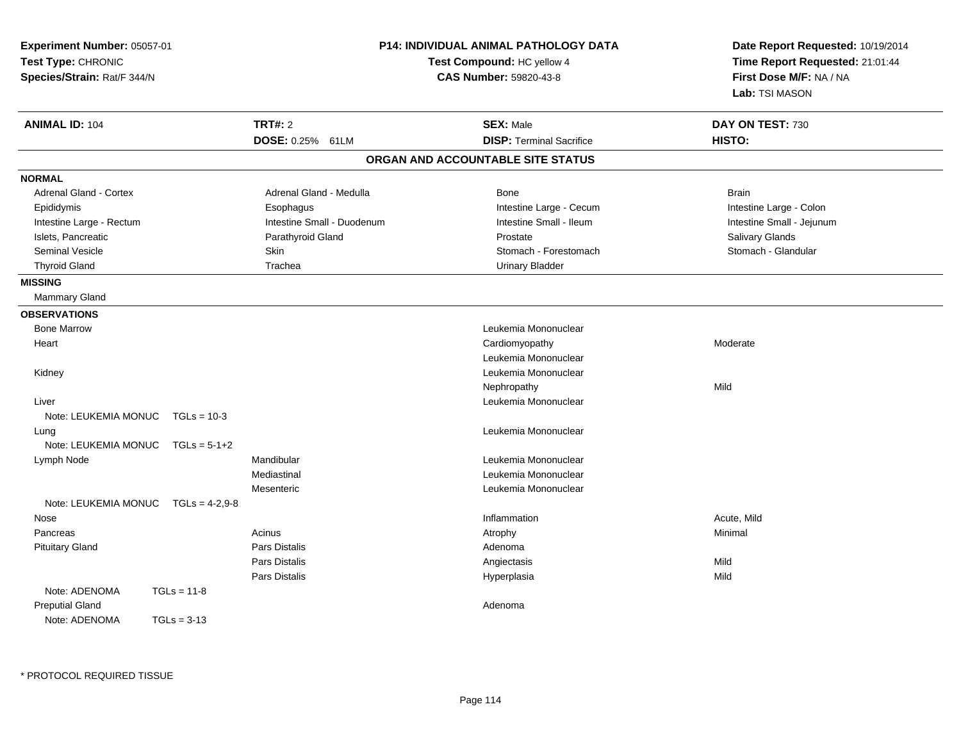| Experiment Number: 05057-01<br>Test Type: CHRONIC<br>Species/Strain: Rat/F 344/N | <b>P14: INDIVIDUAL ANIMAL PATHOLOGY DATA</b><br>Test Compound: HC yellow 4<br><b>CAS Number: 59820-43-8</b> | Date Report Requested: 10/19/2014<br>Time Report Requested: 21:01:44<br>First Dose M/F: NA / NA<br>Lab: TSI MASON |
|----------------------------------------------------------------------------------|-------------------------------------------------------------------------------------------------------------|-------------------------------------------------------------------------------------------------------------------|
| <b>ANIMAL ID: 104</b><br>TRT#: 2                                                 | <b>SEX: Male</b>                                                                                            | DAY ON TEST: 730                                                                                                  |
|                                                                                  | DOSE: 0.25% 61LM<br><b>DISP: Terminal Sacrifice</b>                                                         | HISTO:                                                                                                            |
|                                                                                  | ORGAN AND ACCOUNTABLE SITE STATUS                                                                           |                                                                                                                   |
| <b>NORMAL</b>                                                                    |                                                                                                             |                                                                                                                   |
| <b>Adrenal Gland - Cortex</b>                                                    | Adrenal Gland - Medulla<br>Bone                                                                             | <b>Brain</b>                                                                                                      |
| Epididymis<br>Esophagus                                                          | Intestine Large - Cecum                                                                                     | Intestine Large - Colon                                                                                           |
| Intestine Large - Rectum                                                         | Intestine Small - Duodenum<br>Intestine Small - Ileum                                                       | Intestine Small - Jejunum                                                                                         |
| Islets, Pancreatic                                                               | Parathyroid Gland<br>Prostate                                                                               | Salivary Glands                                                                                                   |
| <b>Seminal Vesicle</b><br>Skin                                                   | Stomach - Forestomach                                                                                       | Stomach - Glandular                                                                                               |
| Trachea<br><b>Thyroid Gland</b>                                                  | <b>Urinary Bladder</b>                                                                                      |                                                                                                                   |
| <b>MISSING</b>                                                                   |                                                                                                             |                                                                                                                   |
| Mammary Gland                                                                    |                                                                                                             |                                                                                                                   |
| <b>OBSERVATIONS</b>                                                              |                                                                                                             |                                                                                                                   |
| <b>Bone Marrow</b>                                                               | Leukemia Mononuclear                                                                                        |                                                                                                                   |
| Heart                                                                            | Cardiomyopathy                                                                                              | Moderate                                                                                                          |
|                                                                                  | Leukemia Mononuclear                                                                                        |                                                                                                                   |
| Kidney                                                                           | Leukemia Mononuclear                                                                                        |                                                                                                                   |
|                                                                                  | Nephropathy                                                                                                 | Mild                                                                                                              |
| Liver                                                                            | Leukemia Mononuclear                                                                                        |                                                                                                                   |
| Note: LEUKEMIA MONUC<br>$TGLs = 10-3$                                            |                                                                                                             |                                                                                                                   |
| Lung                                                                             | Leukemia Mononuclear                                                                                        |                                                                                                                   |
| Note: LEUKEMIA MONUC<br>$TGLs = 5-1+2$                                           |                                                                                                             |                                                                                                                   |
| Mandibular<br>Lymph Node                                                         | Leukemia Mononuclear                                                                                        |                                                                                                                   |
| Mediastinal                                                                      | Leukemia Mononuclear                                                                                        |                                                                                                                   |
| Mesenteric                                                                       | Leukemia Mononuclear                                                                                        |                                                                                                                   |
| Note: LEUKEMIA MONUC<br>$TGLs = 4-2.9-8$                                         |                                                                                                             |                                                                                                                   |
| Nose                                                                             | Inflammation                                                                                                | Acute, Mild                                                                                                       |
| Acinus<br>Pancreas                                                               | Atrophy                                                                                                     | Minimal                                                                                                           |
| Pars Distalis<br><b>Pituitary Gland</b>                                          | Adenoma                                                                                                     |                                                                                                                   |
| Pars Distalis                                                                    | Angiectasis                                                                                                 | Mild                                                                                                              |
| Pars Distalis                                                                    | Hyperplasia                                                                                                 | Mild                                                                                                              |
| Note: ADENOMA<br>$TGLs = 11-8$                                                   |                                                                                                             |                                                                                                                   |
| <b>Preputial Gland</b>                                                           | Adenoma                                                                                                     |                                                                                                                   |
| Note: ADENOMA<br>$TGLs = 3-13$                                                   |                                                                                                             |                                                                                                                   |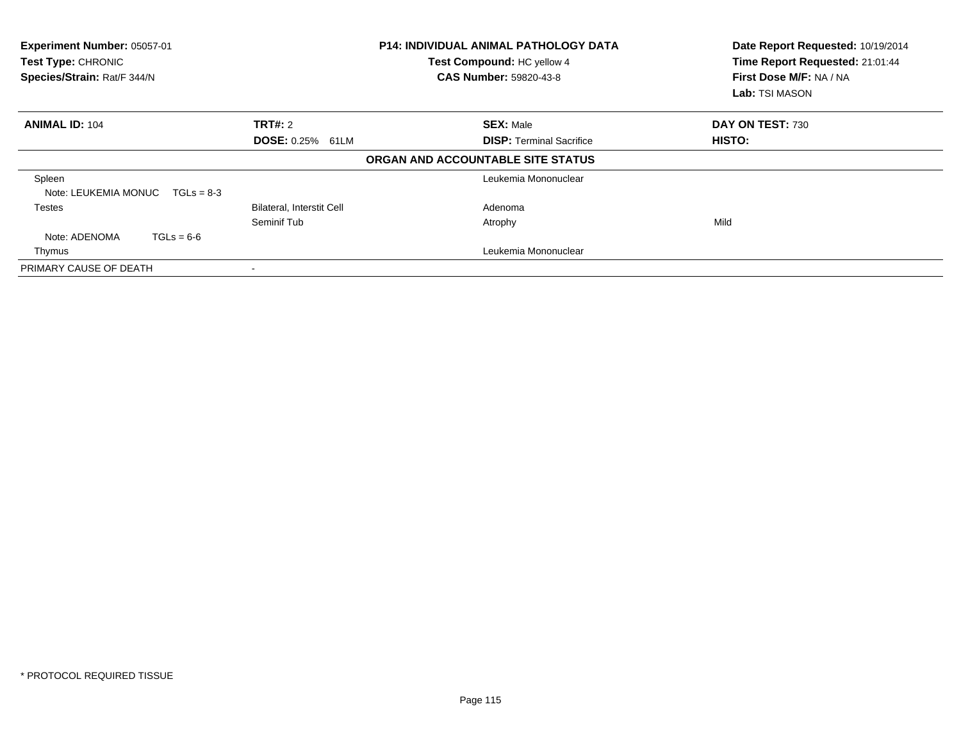| Experiment Number: 05057-01<br>Test Type: CHRONIC<br>Species/Strain: Rat/F 344/N |                                  | <b>P14: INDIVIDUAL ANIMAL PATHOLOGY DATA</b><br>Test Compound: HC yellow 4<br><b>CAS Number: 59820-43-8</b> | Date Report Requested: 10/19/2014<br>Time Report Requested: 21:01:44<br>First Dose M/F: NA / NA<br>Lab: TSI MASON |
|----------------------------------------------------------------------------------|----------------------------------|-------------------------------------------------------------------------------------------------------------|-------------------------------------------------------------------------------------------------------------------|
| <b>ANIMAL ID: 104</b>                                                            | TRT#: 2                          | <b>SEX: Male</b>                                                                                            | DAY ON TEST: 730                                                                                                  |
|                                                                                  | DOSE: 0.25% 61LM                 | <b>DISP:</b> Terminal Sacrifice                                                                             | <b>HISTO:</b>                                                                                                     |
|                                                                                  |                                  | ORGAN AND ACCOUNTABLE SITE STATUS                                                                           |                                                                                                                   |
| Spleen<br>Note: LEUKEMIA MONUC $TGLs = 8-3$                                      |                                  | Leukemia Mononuclear                                                                                        |                                                                                                                   |
| Testes                                                                           | <b>Bilateral, Interstit Cell</b> | Adenoma                                                                                                     |                                                                                                                   |
|                                                                                  | Seminif Tub                      | Atrophy                                                                                                     | Mild                                                                                                              |
| Note: ADENOMA<br>$TGLs = 6-6$                                                    |                                  |                                                                                                             |                                                                                                                   |
| Thymus                                                                           |                                  | Leukemia Mononuclear                                                                                        |                                                                                                                   |
| PRIMARY CAUSE OF DEATH                                                           |                                  |                                                                                                             |                                                                                                                   |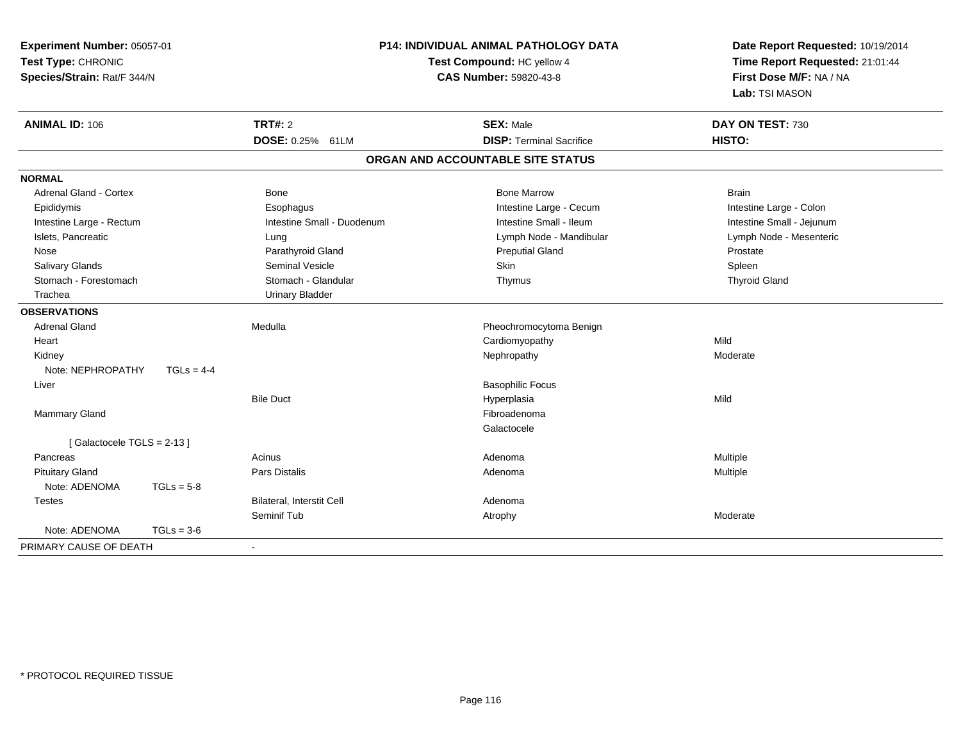| Experiment Number: 05057-01<br>Test Type: CHRONIC<br>Species/Strain: Rat/F 344/N |              | P14: INDIVIDUAL ANIMAL PATHOLOGY DATA<br>Test Compound: HC yellow 4<br><b>CAS Number: 59820-43-8</b> |                                   | Date Report Requested: 10/19/2014<br>Time Report Requested: 21:01:44<br>First Dose M/F: NA / NA<br>Lab: TSI MASON |
|----------------------------------------------------------------------------------|--------------|------------------------------------------------------------------------------------------------------|-----------------------------------|-------------------------------------------------------------------------------------------------------------------|
| <b>ANIMAL ID: 106</b>                                                            |              | <b>TRT#: 2</b>                                                                                       | <b>SEX: Male</b>                  | DAY ON TEST: 730                                                                                                  |
|                                                                                  |              | DOSE: 0.25% 61LM                                                                                     | <b>DISP: Terminal Sacrifice</b>   | HISTO:                                                                                                            |
|                                                                                  |              |                                                                                                      | ORGAN AND ACCOUNTABLE SITE STATUS |                                                                                                                   |
| <b>NORMAL</b>                                                                    |              |                                                                                                      |                                   |                                                                                                                   |
| <b>Adrenal Gland - Cortex</b>                                                    |              | <b>Bone</b>                                                                                          | <b>Bone Marrow</b>                | <b>Brain</b>                                                                                                      |
| Epididymis                                                                       |              | Esophagus                                                                                            | Intestine Large - Cecum           | Intestine Large - Colon                                                                                           |
| Intestine Large - Rectum                                                         |              | Intestine Small - Duodenum                                                                           | Intestine Small - Ileum           | Intestine Small - Jejunum                                                                                         |
| Islets, Pancreatic                                                               |              | Lung                                                                                                 | Lymph Node - Mandibular           | Lymph Node - Mesenteric                                                                                           |
| Nose                                                                             |              | Parathyroid Gland                                                                                    | <b>Preputial Gland</b>            | Prostate                                                                                                          |
| Salivary Glands                                                                  |              | <b>Seminal Vesicle</b>                                                                               | Skin                              | Spleen                                                                                                            |
| Stomach - Forestomach                                                            |              | Stomach - Glandular                                                                                  | Thymus                            | <b>Thyroid Gland</b>                                                                                              |
| Trachea                                                                          |              | <b>Urinary Bladder</b>                                                                               |                                   |                                                                                                                   |
| <b>OBSERVATIONS</b>                                                              |              |                                                                                                      |                                   |                                                                                                                   |
| <b>Adrenal Gland</b>                                                             |              | Medulla                                                                                              | Pheochromocytoma Benign           |                                                                                                                   |
| Heart                                                                            |              |                                                                                                      | Cardiomyopathy                    | Mild                                                                                                              |
| Kidney                                                                           |              |                                                                                                      | Nephropathy                       | Moderate                                                                                                          |
| Note: NEPHROPATHY                                                                | $TGLS = 4-4$ |                                                                                                      |                                   |                                                                                                                   |
| Liver                                                                            |              |                                                                                                      | <b>Basophilic Focus</b>           |                                                                                                                   |
|                                                                                  |              | <b>Bile Duct</b>                                                                                     | Hyperplasia                       | Mild                                                                                                              |
| Mammary Gland                                                                    |              |                                                                                                      | Fibroadenoma                      |                                                                                                                   |
|                                                                                  |              |                                                                                                      | Galactocele                       |                                                                                                                   |
| [Galactocele TGLS = 2-13]                                                        |              |                                                                                                      |                                   |                                                                                                                   |
| Pancreas                                                                         |              | Acinus                                                                                               | Adenoma                           | Multiple                                                                                                          |
| <b>Pituitary Gland</b>                                                           |              | Pars Distalis                                                                                        | Adenoma                           | Multiple                                                                                                          |
| Note: ADENOMA                                                                    | $TGLs = 5-8$ |                                                                                                      |                                   |                                                                                                                   |
| <b>Testes</b>                                                                    |              | <b>Bilateral, Interstit Cell</b>                                                                     | Adenoma                           |                                                                                                                   |
|                                                                                  |              | Seminif Tub                                                                                          | Atrophy                           | Moderate                                                                                                          |
| Note: ADENOMA                                                                    | $TGLs = 3-6$ |                                                                                                      |                                   |                                                                                                                   |
| PRIMARY CAUSE OF DEATH                                                           |              | $\sim$                                                                                               |                                   |                                                                                                                   |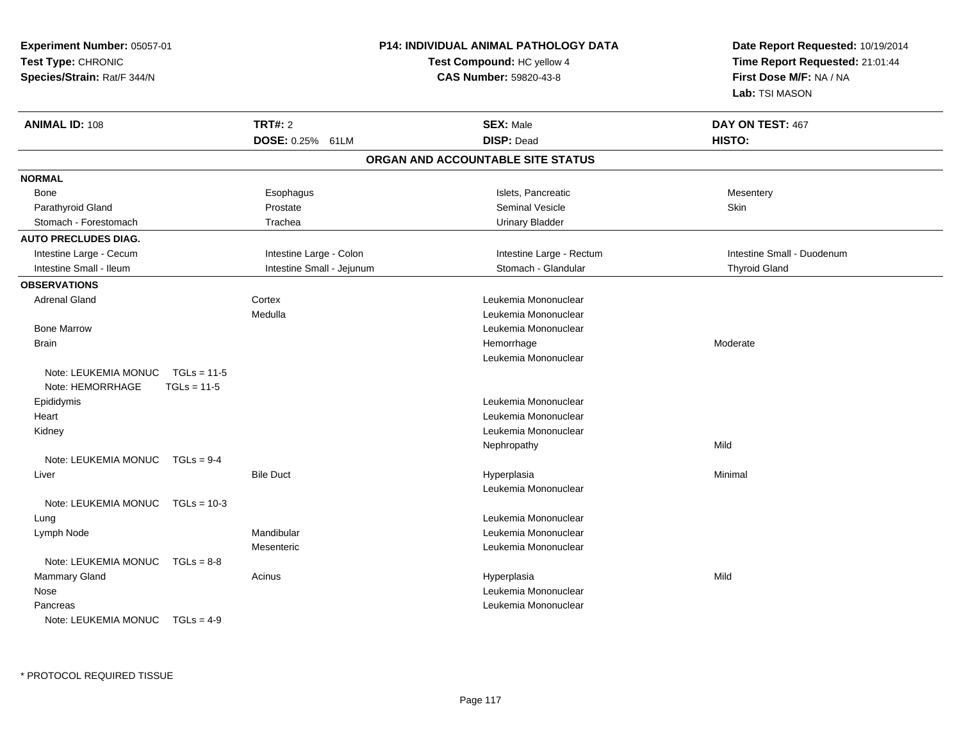| Experiment Number: 05057-01<br>Test Type: CHRONIC<br>Species/Strain: Rat/F 344/N |               |                           | <b>P14: INDIVIDUAL ANIMAL PATHOLOGY DATA</b><br>Test Compound: HC yellow 4<br><b>CAS Number: 59820-43-8</b> | Date Report Requested: 10/19/2014<br>Time Report Requested: 21:01:44<br>First Dose M/F: NA / NA<br>Lab: TSI MASON |
|----------------------------------------------------------------------------------|---------------|---------------------------|-------------------------------------------------------------------------------------------------------------|-------------------------------------------------------------------------------------------------------------------|
| <b>ANIMAL ID: 108</b>                                                            |               | <b>TRT#: 2</b>            | <b>SEX: Male</b>                                                                                            | DAY ON TEST: 467                                                                                                  |
|                                                                                  |               | DOSE: 0.25% 61LM          | <b>DISP: Dead</b>                                                                                           | HISTO:                                                                                                            |
|                                                                                  |               |                           | ORGAN AND ACCOUNTABLE SITE STATUS                                                                           |                                                                                                                   |
| <b>NORMAL</b>                                                                    |               |                           |                                                                                                             |                                                                                                                   |
| Bone                                                                             |               | Esophagus                 | Islets, Pancreatic                                                                                          | Mesentery                                                                                                         |
| Parathyroid Gland                                                                |               | Prostate                  | <b>Seminal Vesicle</b>                                                                                      | Skin                                                                                                              |
| Stomach - Forestomach                                                            |               | Trachea                   | <b>Urinary Bladder</b>                                                                                      |                                                                                                                   |
| <b>AUTO PRECLUDES DIAG.</b>                                                      |               |                           |                                                                                                             |                                                                                                                   |
| Intestine Large - Cecum                                                          |               | Intestine Large - Colon   | Intestine Large - Rectum                                                                                    | Intestine Small - Duodenum                                                                                        |
| Intestine Small - Ileum                                                          |               | Intestine Small - Jejunum | Stomach - Glandular                                                                                         | <b>Thyroid Gland</b>                                                                                              |
| <b>OBSERVATIONS</b>                                                              |               |                           |                                                                                                             |                                                                                                                   |
| <b>Adrenal Gland</b>                                                             |               | Cortex                    | Leukemia Mononuclear                                                                                        |                                                                                                                   |
|                                                                                  |               | Medulla                   | Leukemia Mononuclear                                                                                        |                                                                                                                   |
| <b>Bone Marrow</b>                                                               |               |                           | Leukemia Mononuclear                                                                                        |                                                                                                                   |
| <b>Brain</b>                                                                     |               |                           | Hemorrhage                                                                                                  | Moderate                                                                                                          |
|                                                                                  |               |                           | Leukemia Mononuclear                                                                                        |                                                                                                                   |
| Note: LEUKEMIA MONUC                                                             | $TGLs = 11-5$ |                           |                                                                                                             |                                                                                                                   |
| Note: HEMORRHAGE                                                                 | $TGLs = 11-5$ |                           |                                                                                                             |                                                                                                                   |
| Epididymis                                                                       |               |                           | Leukemia Mononuclear                                                                                        |                                                                                                                   |
| Heart                                                                            |               |                           | Leukemia Mononuclear                                                                                        |                                                                                                                   |
| Kidney                                                                           |               |                           | Leukemia Mononuclear                                                                                        |                                                                                                                   |
|                                                                                  |               |                           | Nephropathy                                                                                                 | Mild                                                                                                              |
| Note: LEUKEMIA MONUC $TGLs = 9-4$                                                |               |                           |                                                                                                             |                                                                                                                   |
| Liver                                                                            |               | <b>Bile Duct</b>          | Hyperplasia                                                                                                 | Minimal                                                                                                           |
|                                                                                  |               |                           | Leukemia Mononuclear                                                                                        |                                                                                                                   |
| Note: LEUKEMIA MONUC TGLs = 10-3                                                 |               |                           |                                                                                                             |                                                                                                                   |
| Lung                                                                             |               |                           | Leukemia Mononuclear                                                                                        |                                                                                                                   |
| Lymph Node                                                                       |               | Mandibular                | Leukemia Mononuclear                                                                                        |                                                                                                                   |
|                                                                                  |               | Mesenteric                | Leukemia Mononuclear                                                                                        |                                                                                                                   |
| Note: LEUKEMIA MONUC TGLs = 8-8                                                  |               |                           |                                                                                                             |                                                                                                                   |
| <b>Mammary Gland</b>                                                             |               | Acinus                    | Hyperplasia                                                                                                 | Mild                                                                                                              |
| Nose                                                                             |               |                           | Leukemia Mononuclear                                                                                        |                                                                                                                   |
| Pancreas                                                                         |               |                           | Leukemia Mononuclear                                                                                        |                                                                                                                   |
| Note: LEUKEMIA MONUC $TGLs = 4-9$                                                |               |                           |                                                                                                             |                                                                                                                   |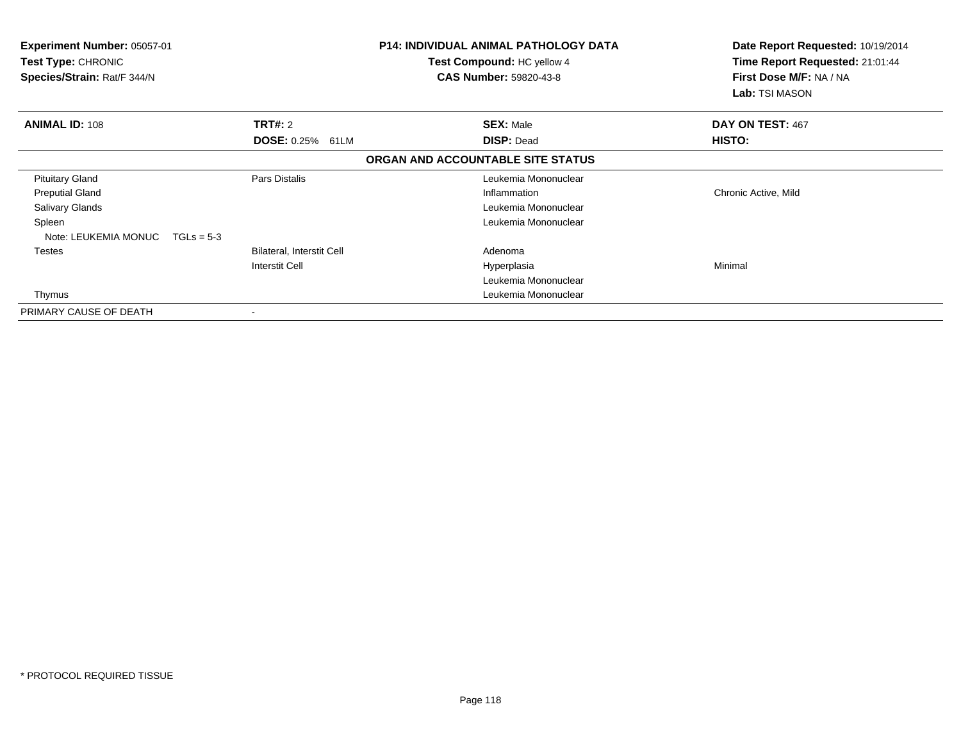| <b>Experiment Number: 05057-01</b><br><b>Test Type: CHRONIC</b><br>Species/Strain: Rat/F 344/N |                           | <b>P14: INDIVIDUAL ANIMAL PATHOLOGY DATA</b><br><b>Test Compound: HC yellow 4</b><br><b>CAS Number: 59820-43-8</b> | Date Report Requested: 10/19/2014<br>Time Report Requested: 21:01:44<br>First Dose M/F: NA / NA<br>Lab: TSI MASON |
|------------------------------------------------------------------------------------------------|---------------------------|--------------------------------------------------------------------------------------------------------------------|-------------------------------------------------------------------------------------------------------------------|
| <b>ANIMAL ID: 108</b>                                                                          | <b>TRT#: 2</b>            | <b>SEX: Male</b>                                                                                                   | DAY ON TEST: 467                                                                                                  |
|                                                                                                | DOSE: 0.25% 61LM          | <b>DISP: Dead</b>                                                                                                  | HISTO:                                                                                                            |
|                                                                                                |                           | ORGAN AND ACCOUNTABLE SITE STATUS                                                                                  |                                                                                                                   |
| <b>Pituitary Gland</b>                                                                         | Pars Distalis             | Leukemia Mononuclear                                                                                               |                                                                                                                   |
| <b>Preputial Gland</b>                                                                         |                           | Inflammation                                                                                                       | Chronic Active, Mild                                                                                              |
| <b>Salivary Glands</b>                                                                         |                           | Leukemia Mononuclear                                                                                               |                                                                                                                   |
| Spleen                                                                                         |                           | Leukemia Mononuclear                                                                                               |                                                                                                                   |
| Note: LEUKEMIA MONUC<br>$TGLs = 5-3$                                                           |                           |                                                                                                                    |                                                                                                                   |
| Testes                                                                                         | Bilateral, Interstit Cell | Adenoma                                                                                                            |                                                                                                                   |
|                                                                                                | Interstit Cell            | Hyperplasia                                                                                                        | Minimal                                                                                                           |
|                                                                                                |                           | Leukemia Mononuclear                                                                                               |                                                                                                                   |
| Thymus                                                                                         |                           | Leukemia Mononuclear                                                                                               |                                                                                                                   |
| PRIMARY CAUSE OF DEATH                                                                         |                           |                                                                                                                    |                                                                                                                   |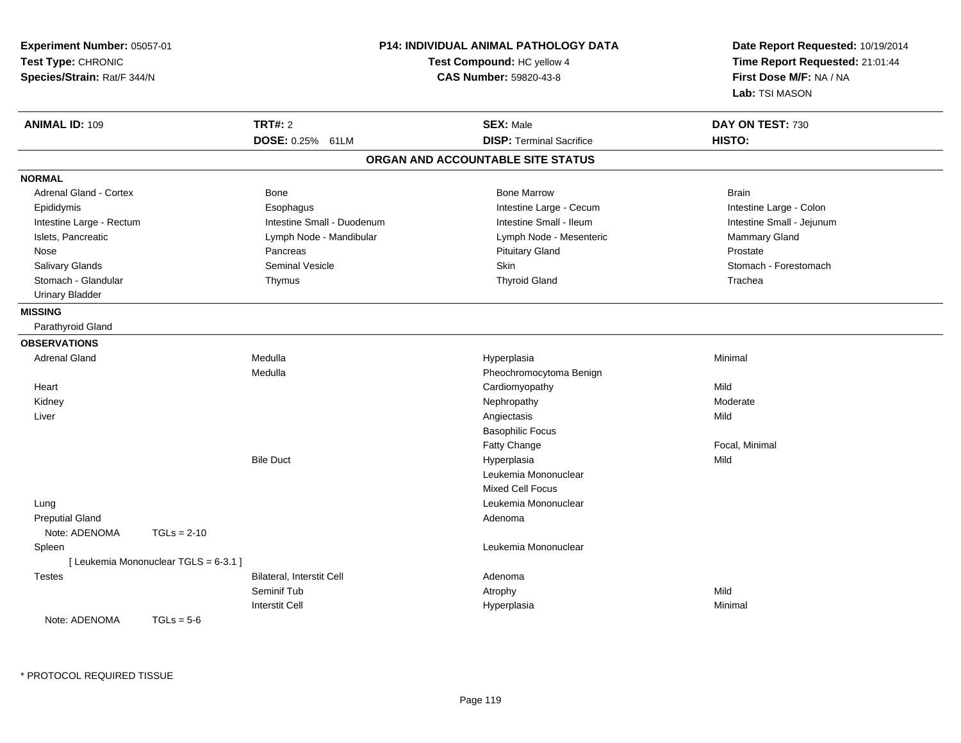| Experiment Number: 05057-01<br>Test Type: CHRONIC<br>Species/Strain: Rat/F 344/N |                                       | <b>P14: INDIVIDUAL ANIMAL PATHOLOGY DATA</b><br>Test Compound: HC yellow 4<br><b>CAS Number: 59820-43-8</b> |                                   | Date Report Requested: 10/19/2014<br>Time Report Requested: 21:01:44<br>First Dose M/F: NA / NA<br>Lab: TSI MASON |  |
|----------------------------------------------------------------------------------|---------------------------------------|-------------------------------------------------------------------------------------------------------------|-----------------------------------|-------------------------------------------------------------------------------------------------------------------|--|
| <b>ANIMAL ID: 109</b>                                                            | <b>TRT#: 2</b>                        |                                                                                                             | <b>SEX: Male</b>                  | DAY ON TEST: 730                                                                                                  |  |
|                                                                                  | DOSE: 0.25% 61LM                      |                                                                                                             | <b>DISP: Terminal Sacrifice</b>   | HISTO:                                                                                                            |  |
|                                                                                  |                                       |                                                                                                             | ORGAN AND ACCOUNTABLE SITE STATUS |                                                                                                                   |  |
| <b>NORMAL</b>                                                                    |                                       |                                                                                                             |                                   |                                                                                                                   |  |
| Adrenal Gland - Cortex                                                           | Bone                                  |                                                                                                             | <b>Bone Marrow</b>                | <b>Brain</b>                                                                                                      |  |
| Epididymis                                                                       | Esophagus                             |                                                                                                             | Intestine Large - Cecum           | Intestine Large - Colon                                                                                           |  |
| Intestine Large - Rectum                                                         |                                       | Intestine Small - Duodenum                                                                                  | Intestine Small - Ileum           | Intestine Small - Jejunum                                                                                         |  |
| Islets, Pancreatic                                                               | Lymph Node - Mandibular               |                                                                                                             | Lymph Node - Mesenteric           | Mammary Gland                                                                                                     |  |
| Nose                                                                             | Pancreas                              |                                                                                                             | <b>Pituitary Gland</b>            | Prostate                                                                                                          |  |
| Salivary Glands                                                                  | Seminal Vesicle                       |                                                                                                             | Skin                              | Stomach - Forestomach                                                                                             |  |
| Stomach - Glandular                                                              | Thymus                                |                                                                                                             | <b>Thyroid Gland</b>              | Trachea                                                                                                           |  |
| <b>Urinary Bladder</b>                                                           |                                       |                                                                                                             |                                   |                                                                                                                   |  |
| <b>MISSING</b>                                                                   |                                       |                                                                                                             |                                   |                                                                                                                   |  |
| Parathyroid Gland                                                                |                                       |                                                                                                             |                                   |                                                                                                                   |  |
| <b>OBSERVATIONS</b>                                                              |                                       |                                                                                                             |                                   |                                                                                                                   |  |
| <b>Adrenal Gland</b>                                                             | Medulla                               |                                                                                                             | Hyperplasia                       | Minimal                                                                                                           |  |
|                                                                                  | Medulla                               |                                                                                                             | Pheochromocytoma Benign           |                                                                                                                   |  |
| Heart                                                                            |                                       |                                                                                                             | Cardiomyopathy                    | Mild                                                                                                              |  |
| Kidney                                                                           |                                       |                                                                                                             | Nephropathy                       | Moderate                                                                                                          |  |
| Liver                                                                            |                                       |                                                                                                             | Angiectasis                       | Mild                                                                                                              |  |
|                                                                                  |                                       |                                                                                                             | <b>Basophilic Focus</b>           |                                                                                                                   |  |
|                                                                                  |                                       |                                                                                                             | Fatty Change                      | Focal, Minimal                                                                                                    |  |
|                                                                                  | <b>Bile Duct</b>                      |                                                                                                             | Hyperplasia                       | Mild                                                                                                              |  |
|                                                                                  |                                       |                                                                                                             | Leukemia Mononuclear              |                                                                                                                   |  |
|                                                                                  |                                       |                                                                                                             | <b>Mixed Cell Focus</b>           |                                                                                                                   |  |
| Lung                                                                             |                                       |                                                                                                             | Leukemia Mononuclear              |                                                                                                                   |  |
| <b>Preputial Gland</b>                                                           |                                       |                                                                                                             | Adenoma                           |                                                                                                                   |  |
| Note: ADENOMA                                                                    | $TGLs = 2-10$                         |                                                                                                             |                                   |                                                                                                                   |  |
| Spleen                                                                           |                                       |                                                                                                             | Leukemia Mononuclear              |                                                                                                                   |  |
|                                                                                  | [ Leukemia Mononuclear TGLS = 6-3.1 ] |                                                                                                             |                                   |                                                                                                                   |  |
| <b>Testes</b>                                                                    | Bilateral, Interstit Cell             |                                                                                                             | Adenoma                           |                                                                                                                   |  |
|                                                                                  | Seminif Tub                           |                                                                                                             | Atrophy                           | Mild                                                                                                              |  |
|                                                                                  | <b>Interstit Cell</b>                 |                                                                                                             | Hyperplasia                       | Minimal                                                                                                           |  |
| Note: ADENOMA                                                                    | $TGLs = 5-6$                          |                                                                                                             |                                   |                                                                                                                   |  |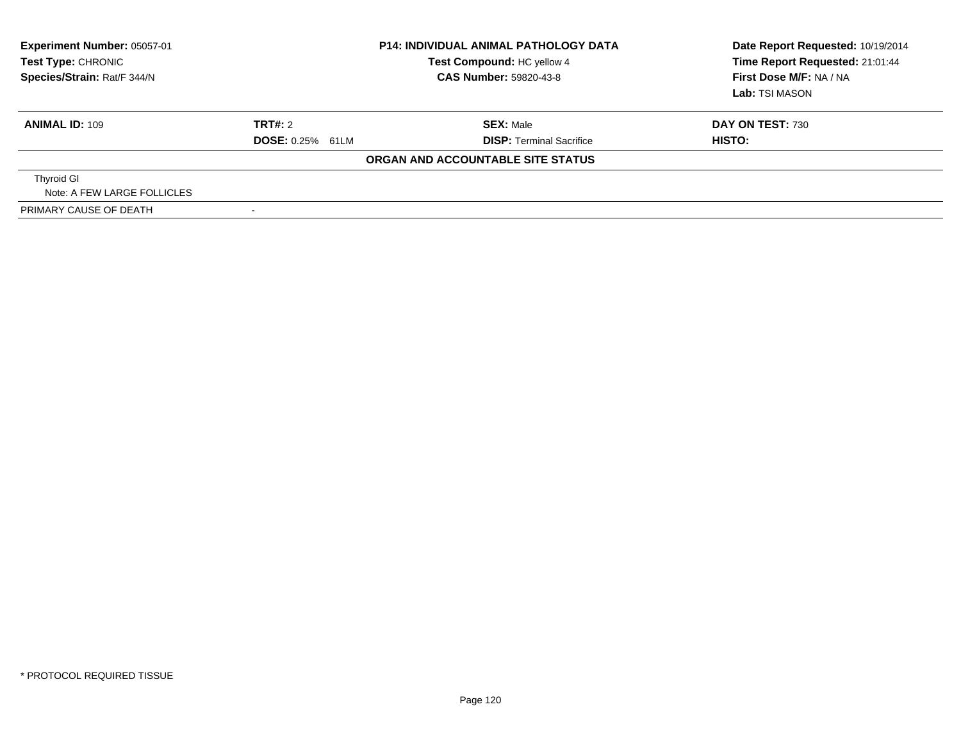| <b>Experiment Number: 05057-01</b><br>Test Type: CHRONIC<br>Species/Strain: Rat/F 344/N | <b>P14: INDIVIDUAL ANIMAL PATHOLOGY DATA</b><br>Test Compound: HC yellow 4<br>CAS Number: 59820-43-8 |                                   | Date Report Requested: 10/19/2014<br>Time Report Requested: 21:01:44<br>First Dose M/F: NA / NA<br>Lab: TSI MASON |
|-----------------------------------------------------------------------------------------|------------------------------------------------------------------------------------------------------|-----------------------------------|-------------------------------------------------------------------------------------------------------------------|
| <b>ANIMAL ID: 109</b>                                                                   | TRT#: 2                                                                                              | <b>SEX: Male</b>                  | <b>DAY ON TEST: 730</b>                                                                                           |
|                                                                                         | <b>DOSE:</b> 0.25% 61LM                                                                              | <b>DISP:</b> Terminal Sacrifice   | HISTO:                                                                                                            |
|                                                                                         |                                                                                                      | ORGAN AND ACCOUNTABLE SITE STATUS |                                                                                                                   |
| <b>Thyroid GI</b>                                                                       |                                                                                                      |                                   |                                                                                                                   |
| Note: A FEW LARGE FOLLICLES                                                             |                                                                                                      |                                   |                                                                                                                   |
| PRIMARY CAUSE OF DEATH                                                                  |                                                                                                      |                                   |                                                                                                                   |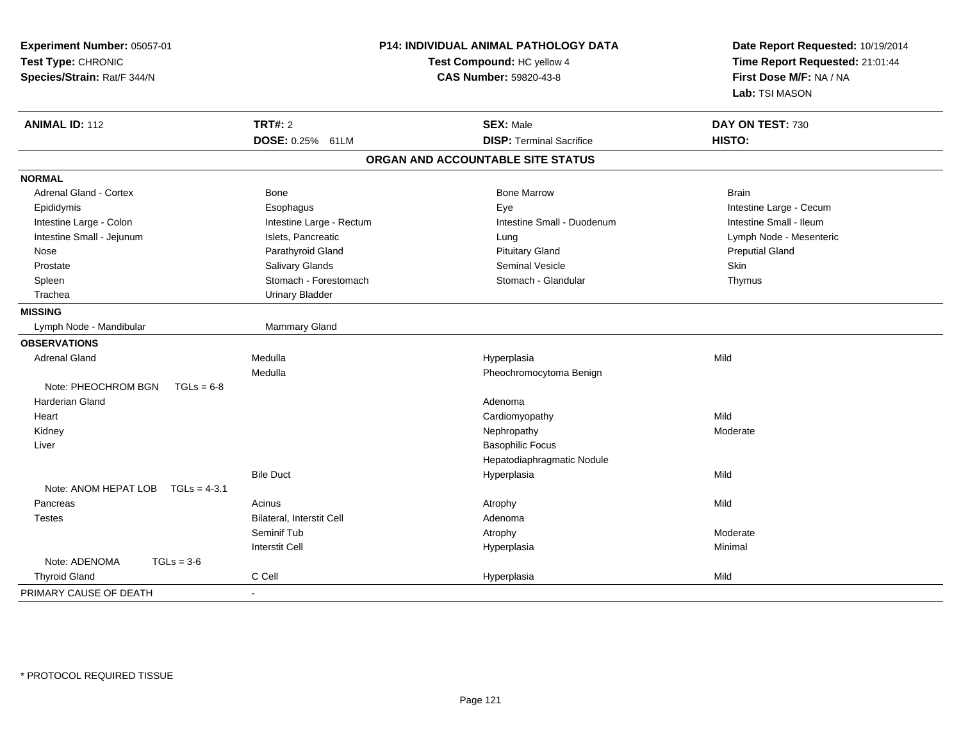| <b>TRT#: 2</b><br><b>ANIMAL ID: 112</b>                    |                          | <b>SEX: Male</b>                  | DAY ON TEST: 730        |
|------------------------------------------------------------|--------------------------|-----------------------------------|-------------------------|
|                                                            |                          |                                   |                         |
| DOSE: 0.25% 61LM                                           |                          | <b>DISP: Terminal Sacrifice</b>   | HISTO:                  |
|                                                            |                          | ORGAN AND ACCOUNTABLE SITE STATUS |                         |
| <b>NORMAL</b>                                              |                          |                                   |                         |
| Adrenal Gland - Cortex<br><b>Bone</b>                      |                          | <b>Bone Marrow</b>                | Brain                   |
| Epididymis<br>Esophagus                                    |                          | Eye                               | Intestine Large - Cecum |
| Intestine Large - Colon                                    | Intestine Large - Rectum | Intestine Small - Duodenum        | Intestine Small - Ileum |
| Intestine Small - Jejunum<br>Islets, Pancreatic            |                          | Lung                              | Lymph Node - Mesenteric |
| Parathyroid Gland<br>Nose                                  |                          | <b>Pituitary Gland</b>            | <b>Preputial Gland</b>  |
| Salivary Glands<br>Prostate                                |                          | Seminal Vesicle                   | Skin                    |
| Spleen                                                     | Stomach - Forestomach    | Stomach - Glandular               | Thymus                  |
| Trachea<br><b>Urinary Bladder</b>                          |                          |                                   |                         |
| <b>MISSING</b>                                             |                          |                                   |                         |
| Mammary Gland<br>Lymph Node - Mandibular                   |                          |                                   |                         |
| <b>OBSERVATIONS</b>                                        |                          |                                   |                         |
| Medulla<br><b>Adrenal Gland</b>                            |                          | Hyperplasia                       | Mild                    |
| Medulla                                                    |                          | Pheochromocytoma Benign           |                         |
| Note: PHEOCHROM BGN<br>$TGLs = 6-8$                        |                          |                                   |                         |
| <b>Harderian Gland</b>                                     |                          | Adenoma                           |                         |
| Heart                                                      |                          | Cardiomyopathy                    | Mild                    |
| Kidney                                                     |                          | Nephropathy                       | Moderate                |
| Liver                                                      |                          | <b>Basophilic Focus</b>           |                         |
|                                                            |                          | Hepatodiaphragmatic Nodule        |                         |
| <b>Bile Duct</b><br>Note: ANOM HEPAT LOB<br>$TGLs = 4-3.1$ |                          | Hyperplasia                       | Mild                    |
| Acinus<br>Pancreas                                         |                          | Atrophy                           | Mild                    |
| <b>Bilateral, Interstit Cell</b><br><b>Testes</b>          |                          | Adenoma                           |                         |
| Seminif Tub                                                |                          | Atrophy                           | Moderate                |
| <b>Interstit Cell</b>                                      |                          | Hyperplasia                       | Minimal                 |
| Note: ADENOMA<br>$TGLs = 3-6$                              |                          |                                   |                         |
| C Cell<br><b>Thyroid Gland</b>                             |                          | Hyperplasia                       | Mild                    |
| PRIMARY CAUSE OF DEATH<br>$\sim$                           |                          |                                   |                         |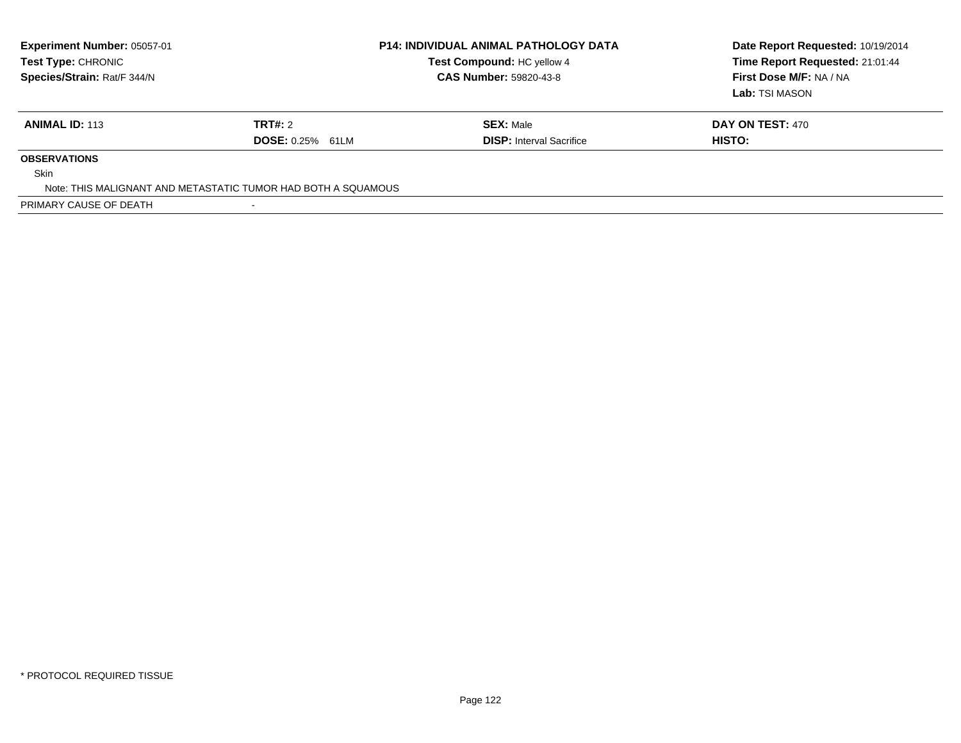| Experiment Number: 05057-01<br>Test Type: CHRONIC<br>Species/Strain: Rat/F 344/N |                         | <b>P14: INDIVIDUAL ANIMAL PATHOLOGY DATA</b><br>Test Compound: HC yellow 4<br><b>CAS Number: 59820-43-8</b> | Date Report Requested: 10/19/2014<br>Time Report Requested: 21:01:44<br>First Dose M/F: NA / NA<br>Lab: TSI MASON |
|----------------------------------------------------------------------------------|-------------------------|-------------------------------------------------------------------------------------------------------------|-------------------------------------------------------------------------------------------------------------------|
| <b>ANIMAL ID: 113</b>                                                            | TRT#: 2                 | <b>SEX: Male</b>                                                                                            | <b>DAY ON TEST: 470</b>                                                                                           |
|                                                                                  | <b>DOSE: 0.25% 61LM</b> | <b>DISP:</b> Interval Sacrifice                                                                             | HISTO:                                                                                                            |
| <b>OBSERVATIONS</b>                                                              |                         |                                                                                                             |                                                                                                                   |
| <b>Skin</b>                                                                      |                         |                                                                                                             |                                                                                                                   |
| Note: THIS MALIGNANT AND METASTATIC TUMOR HAD BOTH A SQUAMOUS                    |                         |                                                                                                             |                                                                                                                   |
| PRIMARY CAUSE OF DEATH                                                           |                         |                                                                                                             |                                                                                                                   |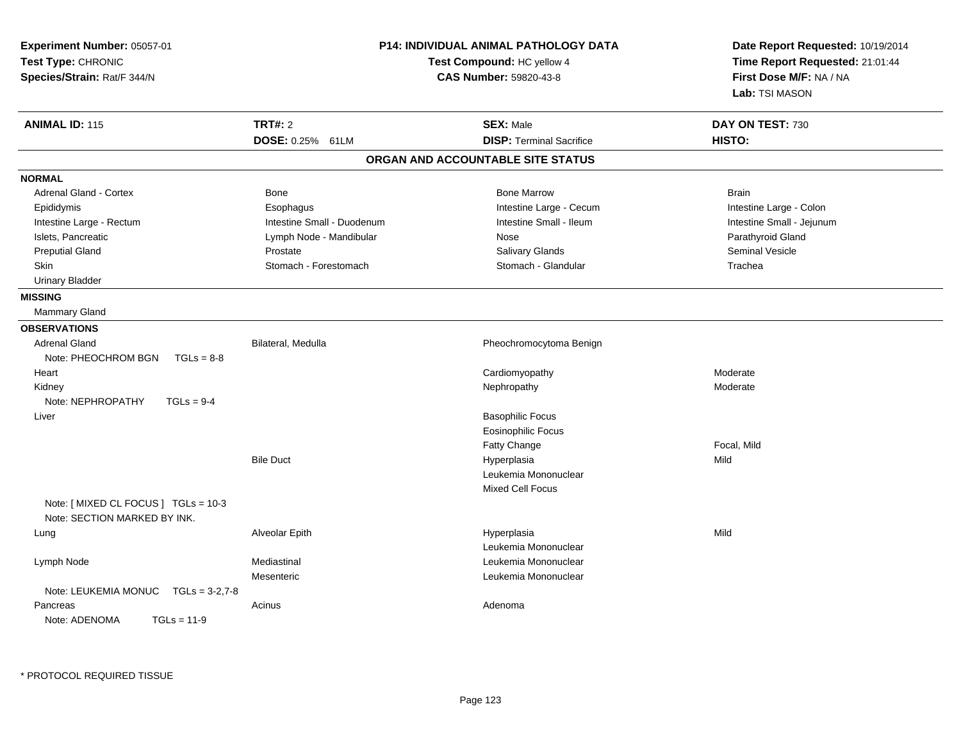| Experiment Number: 05057-01<br>Test Type: CHRONIC<br>Species/Strain: Rat/F 344/N |                            | <b>P14: INDIVIDUAL ANIMAL PATHOLOGY DATA</b><br>Test Compound: HC yellow 4<br><b>CAS Number: 59820-43-8</b> | Date Report Requested: 10/19/2014<br>Time Report Requested: 21:01:44<br>First Dose M/F: NA / NA<br>Lab: TSI MASON |  |
|----------------------------------------------------------------------------------|----------------------------|-------------------------------------------------------------------------------------------------------------|-------------------------------------------------------------------------------------------------------------------|--|
| <b>ANIMAL ID: 115</b>                                                            | <b>TRT#: 2</b>             | <b>SEX: Male</b>                                                                                            | DAY ON TEST: 730                                                                                                  |  |
|                                                                                  | DOSE: 0.25% 61LM           | <b>DISP: Terminal Sacrifice</b>                                                                             | HISTO:                                                                                                            |  |
|                                                                                  |                            | ORGAN AND ACCOUNTABLE SITE STATUS                                                                           |                                                                                                                   |  |
| <b>NORMAL</b>                                                                    |                            |                                                                                                             |                                                                                                                   |  |
| <b>Adrenal Gland - Cortex</b>                                                    | <b>Bone</b>                | <b>Bone Marrow</b>                                                                                          | <b>Brain</b>                                                                                                      |  |
| Epididymis                                                                       | Esophagus                  | Intestine Large - Cecum                                                                                     | Intestine Large - Colon                                                                                           |  |
| Intestine Large - Rectum                                                         | Intestine Small - Duodenum | Intestine Small - Ileum                                                                                     | Intestine Small - Jejunum                                                                                         |  |
| Islets, Pancreatic                                                               | Lymph Node - Mandibular    | Nose                                                                                                        | Parathyroid Gland                                                                                                 |  |
| <b>Preputial Gland</b>                                                           | Prostate                   | Salivary Glands                                                                                             | <b>Seminal Vesicle</b>                                                                                            |  |
| Skin                                                                             | Stomach - Forestomach      | Stomach - Glandular                                                                                         | Trachea                                                                                                           |  |
| <b>Urinary Bladder</b>                                                           |                            |                                                                                                             |                                                                                                                   |  |
| <b>MISSING</b>                                                                   |                            |                                                                                                             |                                                                                                                   |  |
| Mammary Gland                                                                    |                            |                                                                                                             |                                                                                                                   |  |
| <b>OBSERVATIONS</b>                                                              |                            |                                                                                                             |                                                                                                                   |  |
| <b>Adrenal Gland</b>                                                             | Bilateral, Medulla         | Pheochromocytoma Benign                                                                                     |                                                                                                                   |  |
| Note: PHEOCHROM BGN<br>$TGLs = 8-8$                                              |                            |                                                                                                             |                                                                                                                   |  |
| Heart                                                                            |                            | Cardiomyopathy                                                                                              | Moderate                                                                                                          |  |
| Kidney                                                                           |                            | Nephropathy                                                                                                 | Moderate                                                                                                          |  |
| Note: NEPHROPATHY<br>$TGLs = 9-4$                                                |                            |                                                                                                             |                                                                                                                   |  |
| Liver                                                                            |                            | <b>Basophilic Focus</b>                                                                                     |                                                                                                                   |  |
|                                                                                  |                            | <b>Eosinophilic Focus</b>                                                                                   |                                                                                                                   |  |
|                                                                                  |                            | Fatty Change                                                                                                | Focal, Mild                                                                                                       |  |
|                                                                                  | <b>Bile Duct</b>           | Hyperplasia                                                                                                 | Mild                                                                                                              |  |
|                                                                                  |                            | Leukemia Mononuclear                                                                                        |                                                                                                                   |  |
|                                                                                  |                            | Mixed Cell Focus                                                                                            |                                                                                                                   |  |
| Note: [ MIXED CL FOCUS ] TGLs = 10-3                                             |                            |                                                                                                             |                                                                                                                   |  |
| Note: SECTION MARKED BY INK.                                                     |                            |                                                                                                             |                                                                                                                   |  |
| Lung                                                                             | Alveolar Epith             | Hyperplasia                                                                                                 | Mild                                                                                                              |  |
|                                                                                  |                            | Leukemia Mononuclear                                                                                        |                                                                                                                   |  |
| Lymph Node                                                                       | Mediastinal                | Leukemia Mononuclear                                                                                        |                                                                                                                   |  |
|                                                                                  | Mesenteric                 | Leukemia Mononuclear                                                                                        |                                                                                                                   |  |
| Note: LEUKEMIA MONUC<br>$TGLs = 3-2.7-8$                                         |                            |                                                                                                             |                                                                                                                   |  |
| Pancreas                                                                         | Acinus                     | Adenoma                                                                                                     |                                                                                                                   |  |
| Note: ADENOMA<br>$TGLs = 11-9$                                                   |                            |                                                                                                             |                                                                                                                   |  |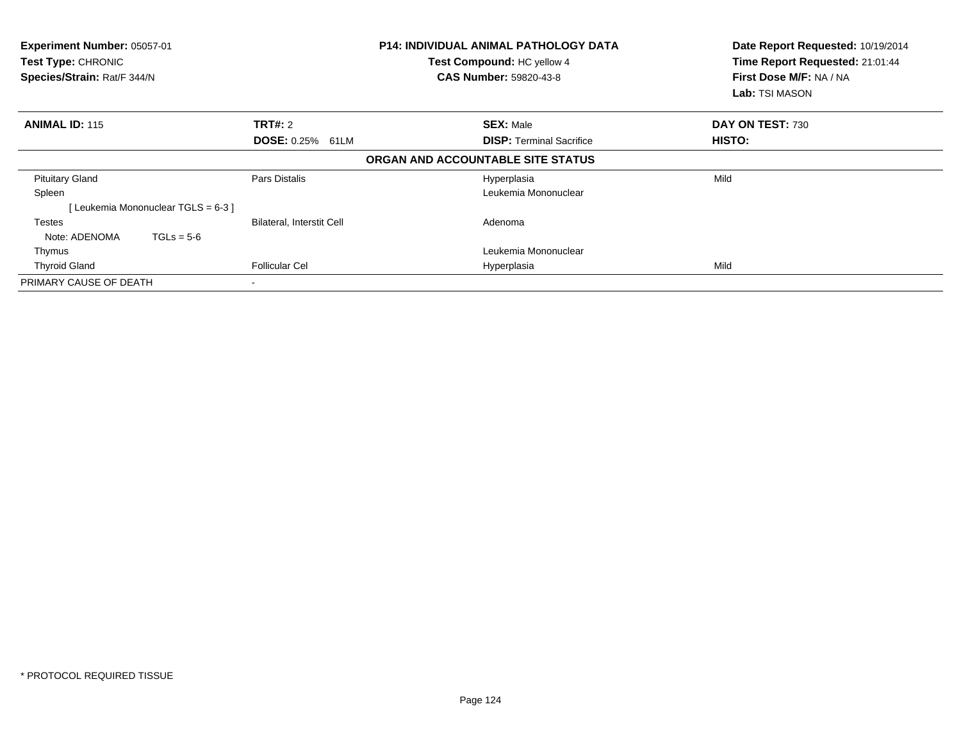| Experiment Number: 05057-01<br><b>Test Type: CHRONIC</b><br>Species/Strain: Rat/F 344/N |                                     | <b>P14: INDIVIDUAL ANIMAL PATHOLOGY DATA</b><br>Test Compound: HC yellow 4<br><b>CAS Number: 59820-43-8</b> |  | Date Report Requested: 10/19/2014<br>Time Report Requested: 21:01:44<br>First Dose M/F: NA / NA<br>Lab: TSI MASON |                  |
|-----------------------------------------------------------------------------------------|-------------------------------------|-------------------------------------------------------------------------------------------------------------|--|-------------------------------------------------------------------------------------------------------------------|------------------|
| <b>ANIMAL ID: 115</b>                                                                   |                                     | <b>TRT#: 2</b>                                                                                              |  | <b>SEX: Male</b>                                                                                                  | DAY ON TEST: 730 |
|                                                                                         |                                     | <b>DOSE: 0.25% 61LM</b>                                                                                     |  | <b>DISP:</b> Terminal Sacrifice                                                                                   | HISTO:           |
|                                                                                         |                                     |                                                                                                             |  | ORGAN AND ACCOUNTABLE SITE STATUS                                                                                 |                  |
| <b>Pituitary Gland</b>                                                                  |                                     | Pars Distalis                                                                                               |  | Hyperplasia                                                                                                       | Mild             |
| Spleen                                                                                  |                                     |                                                                                                             |  | Leukemia Mononuclear                                                                                              |                  |
|                                                                                         | Leukemia Mononuclear TGLS = $6-3$ ] |                                                                                                             |  |                                                                                                                   |                  |
| Testes                                                                                  |                                     | <b>Bilateral, Interstit Cell</b>                                                                            |  | Adenoma                                                                                                           |                  |
| Note: ADENOMA                                                                           | $TGLs = 5-6$                        |                                                                                                             |  |                                                                                                                   |                  |
| Thymus                                                                                  |                                     |                                                                                                             |  | Leukemia Mononuclear                                                                                              |                  |
| <b>Thyroid Gland</b>                                                                    |                                     | <b>Follicular Cel</b>                                                                                       |  | Hyperplasia                                                                                                       | Mild             |
| PRIMARY CAUSE OF DEATH                                                                  |                                     |                                                                                                             |  |                                                                                                                   |                  |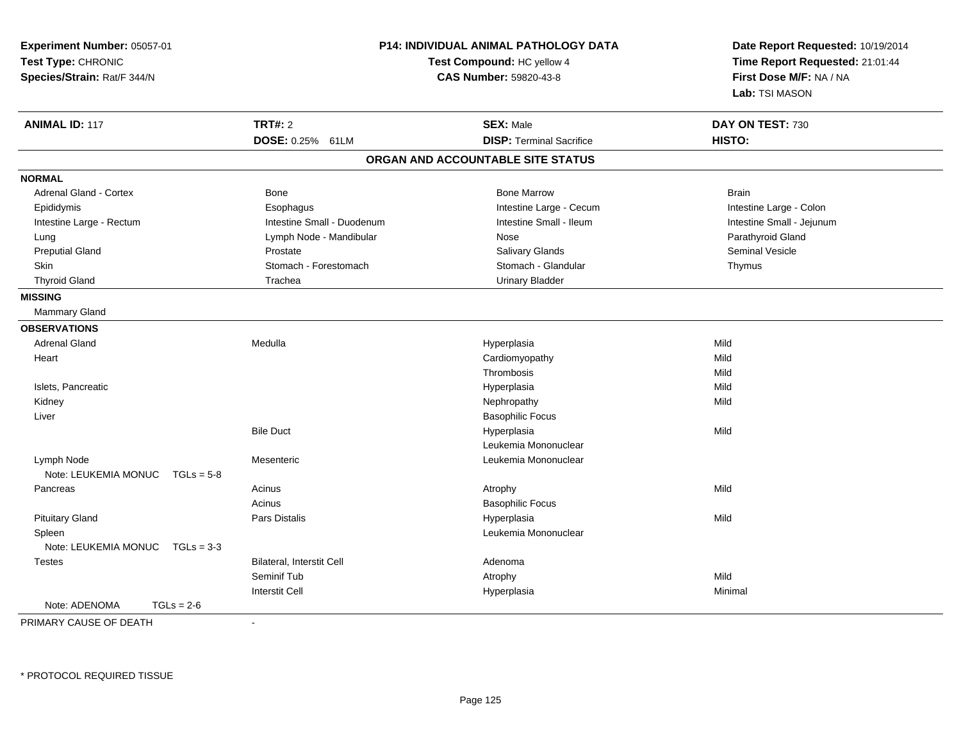| Experiment Number: 05057-01<br>Test Type: CHRONIC<br>Species/Strain: Rat/F 344/N |                                  | P14: INDIVIDUAL ANIMAL PATHOLOGY DATA<br>Test Compound: HC yellow 4<br><b>CAS Number: 59820-43-8</b> | Date Report Requested: 10/19/2014<br>Time Report Requested: 21:01:44<br>First Dose M/F: NA / NA<br>Lab: TSI MASON |  |
|----------------------------------------------------------------------------------|----------------------------------|------------------------------------------------------------------------------------------------------|-------------------------------------------------------------------------------------------------------------------|--|
| <b>ANIMAL ID: 117</b>                                                            | <b>TRT#: 2</b>                   | <b>SEX: Male</b>                                                                                     | DAY ON TEST: 730                                                                                                  |  |
|                                                                                  | DOSE: 0.25% 61LM                 | <b>DISP: Terminal Sacrifice</b>                                                                      | HISTO:                                                                                                            |  |
|                                                                                  |                                  | ORGAN AND ACCOUNTABLE SITE STATUS                                                                    |                                                                                                                   |  |
| <b>NORMAL</b>                                                                    |                                  |                                                                                                      |                                                                                                                   |  |
| <b>Adrenal Gland - Cortex</b>                                                    | Bone                             | <b>Bone Marrow</b>                                                                                   | <b>Brain</b>                                                                                                      |  |
| Epididymis                                                                       | Esophagus                        | Intestine Large - Cecum                                                                              | Intestine Large - Colon                                                                                           |  |
| Intestine Large - Rectum                                                         | Intestine Small - Duodenum       | Intestine Small - Ileum                                                                              | Intestine Small - Jejunum                                                                                         |  |
| Lung                                                                             | Lymph Node - Mandibular          | Nose                                                                                                 | Parathyroid Gland                                                                                                 |  |
| <b>Preputial Gland</b>                                                           | Prostate                         | Salivary Glands                                                                                      | <b>Seminal Vesicle</b>                                                                                            |  |
| Skin                                                                             | Stomach - Forestomach            | Stomach - Glandular                                                                                  | Thymus                                                                                                            |  |
| <b>Thyroid Gland</b>                                                             | Trachea                          | <b>Urinary Bladder</b>                                                                               |                                                                                                                   |  |
| <b>MISSING</b>                                                                   |                                  |                                                                                                      |                                                                                                                   |  |
| <b>Mammary Gland</b>                                                             |                                  |                                                                                                      |                                                                                                                   |  |
| <b>OBSERVATIONS</b>                                                              |                                  |                                                                                                      |                                                                                                                   |  |
| <b>Adrenal Gland</b>                                                             | Medulla                          | Hyperplasia                                                                                          | Mild                                                                                                              |  |
| Heart                                                                            |                                  | Cardiomyopathy                                                                                       | Mild                                                                                                              |  |
|                                                                                  |                                  | Thrombosis                                                                                           | Mild                                                                                                              |  |
| Islets, Pancreatic                                                               |                                  | Hyperplasia                                                                                          | Mild                                                                                                              |  |
| Kidney                                                                           |                                  | Nephropathy                                                                                          | Mild                                                                                                              |  |
| Liver                                                                            |                                  | <b>Basophilic Focus</b>                                                                              |                                                                                                                   |  |
|                                                                                  | <b>Bile Duct</b>                 | Hyperplasia                                                                                          | Mild                                                                                                              |  |
|                                                                                  |                                  | Leukemia Mononuclear                                                                                 |                                                                                                                   |  |
| Lymph Node<br>Note: LEUKEMIA MONUC<br>$TGLs = 5-8$                               | Mesenteric                       | Leukemia Mononuclear                                                                                 |                                                                                                                   |  |
| Pancreas                                                                         | Acinus                           | Atrophy                                                                                              | Mild                                                                                                              |  |
|                                                                                  | Acinus                           | <b>Basophilic Focus</b>                                                                              |                                                                                                                   |  |
| <b>Pituitary Gland</b>                                                           | Pars Distalis                    | Hyperplasia                                                                                          | Mild                                                                                                              |  |
| Spleen                                                                           |                                  | Leukemia Mononuclear                                                                                 |                                                                                                                   |  |
| Note: LEUKEMIA MONUC<br>$TGLs = 3-3$                                             |                                  |                                                                                                      |                                                                                                                   |  |
| Testes                                                                           | <b>Bilateral, Interstit Cell</b> | Adenoma                                                                                              |                                                                                                                   |  |
|                                                                                  | Seminif Tub                      | Atrophy                                                                                              | Mild                                                                                                              |  |
|                                                                                  | <b>Interstit Cell</b>            | Hyperplasia                                                                                          | Minimal                                                                                                           |  |
| Note: ADENOMA<br>$TGLs = 2-6$                                                    |                                  |                                                                                                      |                                                                                                                   |  |

PRIMARY CAUSE OF DEATH-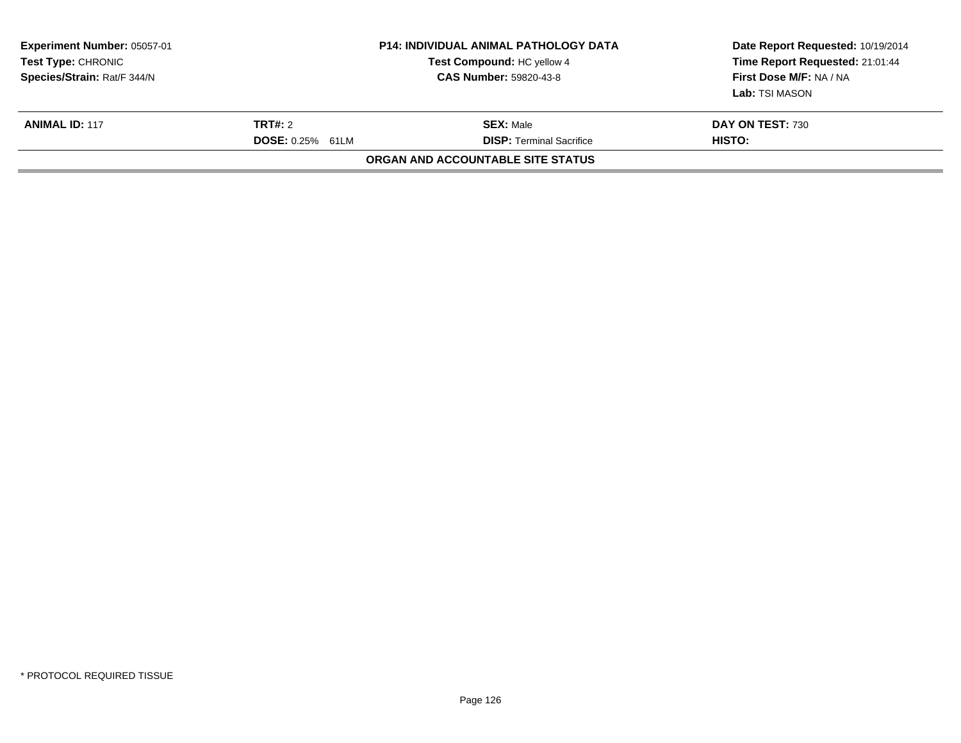| Experiment Number: 05057-01<br><b>Test Type: CHRONIC</b><br>Species/Strain: Rat/F 344/N |                                    | <b>P14: INDIVIDUAL ANIMAL PATHOLOGY DATA</b><br>Test Compound: HC yellow 4<br><b>CAS Number: 59820-43-8</b> | Date Report Requested: 10/19/2014<br>Time Report Requested: 21:01:44<br>First Dose M/F: NA / NA<br>Lab: TSI MASON |
|-----------------------------------------------------------------------------------------|------------------------------------|-------------------------------------------------------------------------------------------------------------|-------------------------------------------------------------------------------------------------------------------|
| <b>ANIMAL ID: 117</b>                                                                   | TRT#: 2<br><b>DOSE: 0.25% 61LM</b> | <b>SEX:</b> Male<br><b>DISP:</b> Terminal Sacrifice                                                         | DAY ON TEST: 730<br>HISTO:                                                                                        |
|                                                                                         |                                    | ORGAN AND ACCOUNTABLE SITE STATUS                                                                           |                                                                                                                   |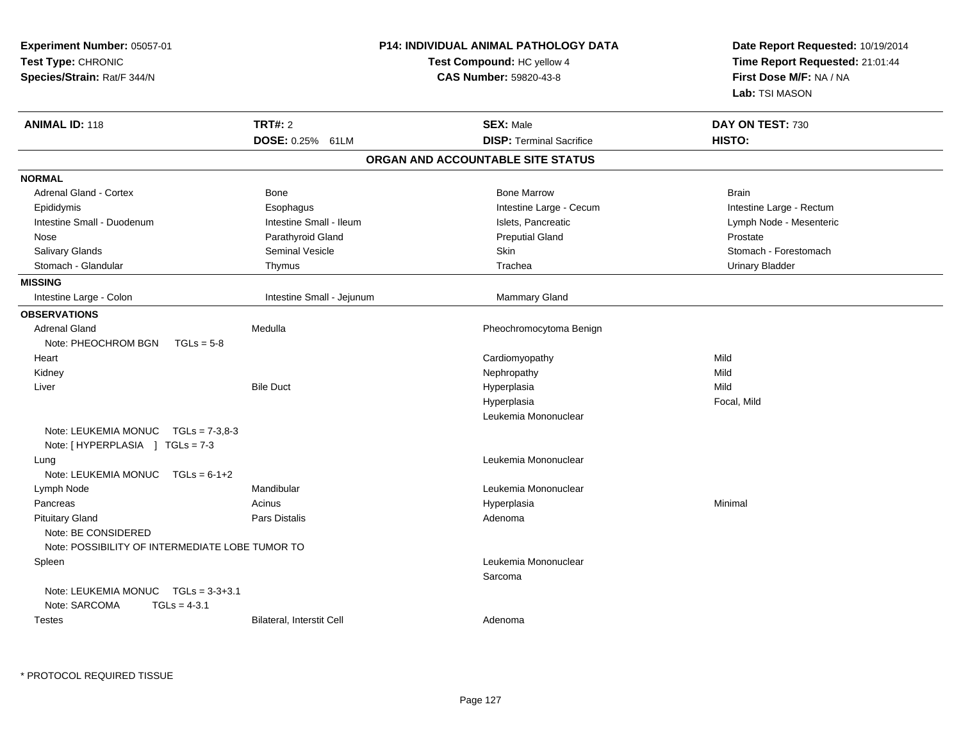| Experiment Number: 05057-01<br>Test Type: CHRONIC<br>Species/Strain: Rat/F 344/N |                           | P14: INDIVIDUAL ANIMAL PATHOLOGY DATA<br>Test Compound: HC yellow 4<br>CAS Number: 59820-43-8 | Date Report Requested: 10/19/2014<br>Time Report Requested: 21:01:44<br>First Dose M/F: NA / NA<br>Lab: TSI MASON |
|----------------------------------------------------------------------------------|---------------------------|-----------------------------------------------------------------------------------------------|-------------------------------------------------------------------------------------------------------------------|
| <b>ANIMAL ID: 118</b>                                                            | <b>TRT#: 2</b>            | <b>SEX: Male</b>                                                                              | DAY ON TEST: 730                                                                                                  |
|                                                                                  | DOSE: 0.25% 61LM          | <b>DISP: Terminal Sacrifice</b>                                                               | HISTO:                                                                                                            |
|                                                                                  |                           | ORGAN AND ACCOUNTABLE SITE STATUS                                                             |                                                                                                                   |
| <b>NORMAL</b>                                                                    |                           |                                                                                               |                                                                                                                   |
| <b>Adrenal Gland - Cortex</b>                                                    | <b>Bone</b>               | <b>Bone Marrow</b>                                                                            | <b>Brain</b>                                                                                                      |
| Epididymis                                                                       | Esophagus                 | Intestine Large - Cecum                                                                       | Intestine Large - Rectum                                                                                          |
| Intestine Small - Duodenum                                                       | Intestine Small - Ileum   | Islets, Pancreatic                                                                            | Lymph Node - Mesenteric                                                                                           |
| Nose                                                                             | Parathyroid Gland         | <b>Preputial Gland</b>                                                                        | Prostate                                                                                                          |
| Salivary Glands                                                                  | <b>Seminal Vesicle</b>    | Skin                                                                                          | Stomach - Forestomach                                                                                             |
| Stomach - Glandular                                                              | Thymus                    | Trachea                                                                                       | <b>Urinary Bladder</b>                                                                                            |
| <b>MISSING</b>                                                                   |                           |                                                                                               |                                                                                                                   |
| Intestine Large - Colon                                                          | Intestine Small - Jejunum | <b>Mammary Gland</b>                                                                          |                                                                                                                   |
| <b>OBSERVATIONS</b>                                                              |                           |                                                                                               |                                                                                                                   |
| <b>Adrenal Gland</b>                                                             | Medulla                   | Pheochromocytoma Benign                                                                       |                                                                                                                   |
| Note: PHEOCHROM BGN                                                              | $TGLs = 5-8$              |                                                                                               |                                                                                                                   |
| Heart                                                                            |                           | Cardiomyopathy                                                                                | Mild                                                                                                              |
| Kidney                                                                           |                           | Nephropathy                                                                                   | Mild                                                                                                              |
| Liver                                                                            | <b>Bile Duct</b>          | Hyperplasia                                                                                   | Mild                                                                                                              |
|                                                                                  |                           | Hyperplasia                                                                                   | Focal, Mild                                                                                                       |
|                                                                                  |                           | Leukemia Mononuclear                                                                          |                                                                                                                   |
| Note: LEUKEMIA MONUC TGLs = 7-3,8-3<br>Note: [HYPERPLASIA ] TGLs = 7-3           |                           |                                                                                               |                                                                                                                   |
| Lung                                                                             |                           | Leukemia Mononuclear                                                                          |                                                                                                                   |
| Note: LEUKEMIA MONUC                                                             | $TGLs = 6-1+2$            |                                                                                               |                                                                                                                   |
| Lymph Node                                                                       | Mandibular                | Leukemia Mononuclear                                                                          |                                                                                                                   |
| Pancreas                                                                         | Acinus                    | Hyperplasia                                                                                   | Minimal                                                                                                           |
| <b>Pituitary Gland</b>                                                           | Pars Distalis             | Adenoma                                                                                       |                                                                                                                   |
| Note: BE CONSIDERED<br>Note: POSSIBILITY OF INTERMEDIATE LOBE TUMOR TO           |                           |                                                                                               |                                                                                                                   |
|                                                                                  |                           |                                                                                               |                                                                                                                   |
| Spleen                                                                           |                           | Leukemia Mononuclear                                                                          |                                                                                                                   |
| Note: LEUKEMIA MONUC TGLs = 3-3+3.1<br>Note: SARCOMA<br>$TGLs = 4-3.1$           |                           | Sarcoma                                                                                       |                                                                                                                   |
| <b>Testes</b>                                                                    | Bilateral, Interstit Cell | Adenoma                                                                                       |                                                                                                                   |

\* PROTOCOL REQUIRED TISSUE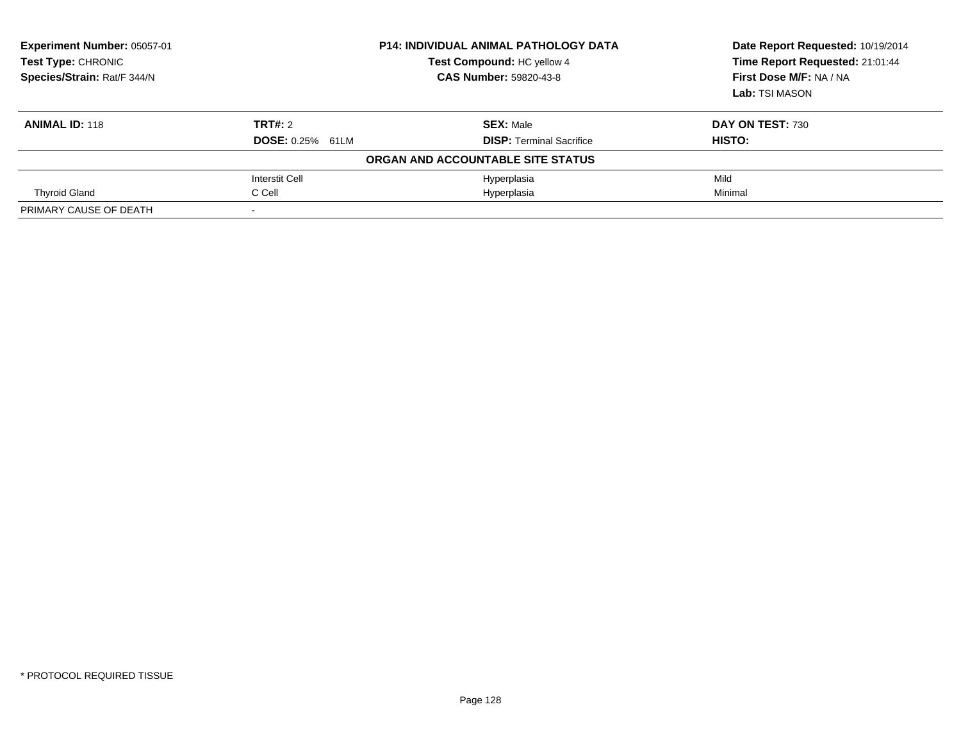| Experiment Number: 05057-01<br><b>Test Type: CHRONIC</b><br>Species/Strain: Rat/F 344/N | <b>P14: INDIVIDUAL ANIMAL PATHOLOGY DATA</b><br>Test Compound: HC yellow 4<br><b>CAS Number: 59820-43-8</b> |                                                     | Date Report Requested: 10/19/2014<br>Time Report Requested: 21:01:44<br>First Dose M/F: NA / NA<br>Lab: TSI MASON |
|-----------------------------------------------------------------------------------------|-------------------------------------------------------------------------------------------------------------|-----------------------------------------------------|-------------------------------------------------------------------------------------------------------------------|
| <b>ANIMAL ID: 118</b>                                                                   | TRT#: 2<br><b>DOSE: 0.25% 61LM</b>                                                                          | <b>SEX: Male</b><br><b>DISP:</b> Terminal Sacrifice | DAY ON TEST: 730<br>HISTO:                                                                                        |
|                                                                                         |                                                                                                             | ORGAN AND ACCOUNTABLE SITE STATUS                   |                                                                                                                   |
|                                                                                         | Interstit Cell                                                                                              | Hyperplasia                                         | Mild                                                                                                              |
| <b>Thyroid Gland</b>                                                                    | C Cell                                                                                                      | Hyperplasia                                         | Minimal                                                                                                           |
| PRIMARY CAUSE OF DEATH                                                                  |                                                                                                             |                                                     |                                                                                                                   |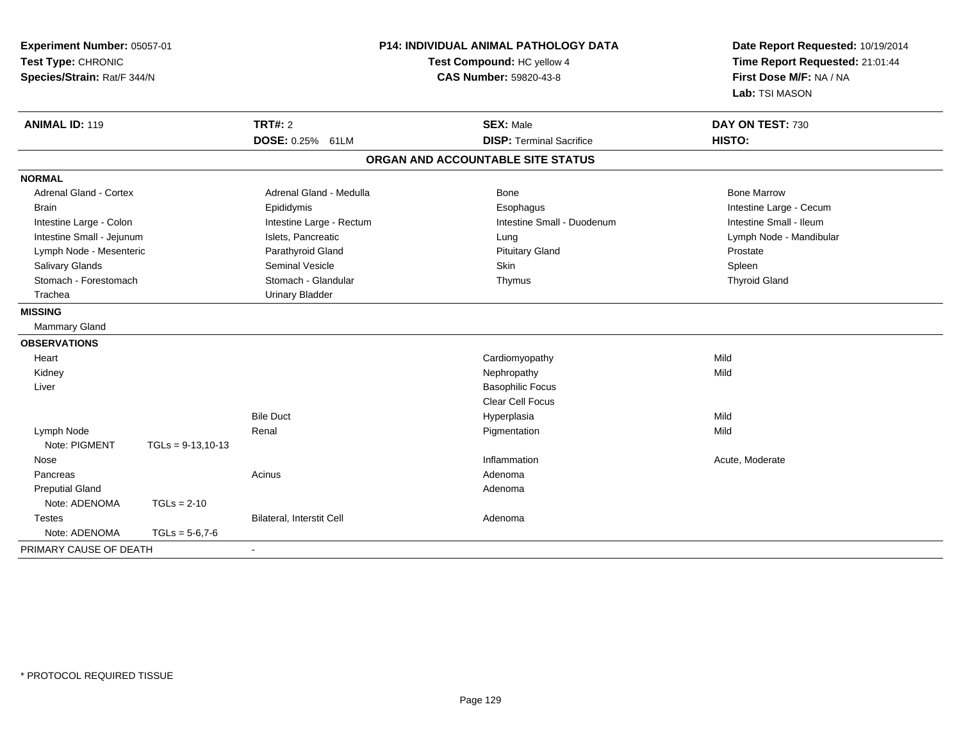| Experiment Number: 05057-01<br>Test Type: CHRONIC<br>Species/Strain: Rat/F 344/N |                      | <b>P14: INDIVIDUAL ANIMAL PATHOLOGY DATA</b><br>Test Compound: HC yellow 4<br><b>CAS Number: 59820-43-8</b> |  | Date Report Requested: 10/19/2014<br>Time Report Requested: 21:01:44<br>First Dose M/F: NA / NA<br>Lab: TSI MASON |                         |
|----------------------------------------------------------------------------------|----------------------|-------------------------------------------------------------------------------------------------------------|--|-------------------------------------------------------------------------------------------------------------------|-------------------------|
| <b>ANIMAL ID: 119</b>                                                            |                      | <b>TRT#: 2</b>                                                                                              |  | <b>SEX: Male</b>                                                                                                  | DAY ON TEST: 730        |
|                                                                                  |                      | DOSE: 0.25% 61LM                                                                                            |  | <b>DISP: Terminal Sacrifice</b>                                                                                   | HISTO:                  |
|                                                                                  |                      |                                                                                                             |  | ORGAN AND ACCOUNTABLE SITE STATUS                                                                                 |                         |
| <b>NORMAL</b>                                                                    |                      |                                                                                                             |  |                                                                                                                   |                         |
| Adrenal Gland - Cortex                                                           |                      | Adrenal Gland - Medulla                                                                                     |  | Bone                                                                                                              | <b>Bone Marrow</b>      |
| <b>Brain</b>                                                                     |                      | Epididymis                                                                                                  |  | Esophagus                                                                                                         | Intestine Large - Cecum |
| Intestine Large - Colon                                                          |                      | Intestine Large - Rectum                                                                                    |  | Intestine Small - Duodenum                                                                                        | Intestine Small - Ileum |
| Intestine Small - Jejunum                                                        |                      | Islets, Pancreatic                                                                                          |  | Lung                                                                                                              | Lymph Node - Mandibular |
| Lymph Node - Mesenteric                                                          |                      | Parathyroid Gland                                                                                           |  | <b>Pituitary Gland</b>                                                                                            | Prostate                |
| Salivary Glands                                                                  |                      | <b>Seminal Vesicle</b>                                                                                      |  | Skin                                                                                                              | Spleen                  |
| Stomach - Forestomach                                                            |                      | Stomach - Glandular                                                                                         |  | Thymus                                                                                                            | <b>Thyroid Gland</b>    |
| Trachea                                                                          |                      | <b>Urinary Bladder</b>                                                                                      |  |                                                                                                                   |                         |
| <b>MISSING</b>                                                                   |                      |                                                                                                             |  |                                                                                                                   |                         |
| Mammary Gland                                                                    |                      |                                                                                                             |  |                                                                                                                   |                         |
| <b>OBSERVATIONS</b>                                                              |                      |                                                                                                             |  |                                                                                                                   |                         |
| Heart                                                                            |                      |                                                                                                             |  | Cardiomyopathy                                                                                                    | Mild                    |
| Kidney                                                                           |                      |                                                                                                             |  | Nephropathy                                                                                                       | Mild                    |
| Liver                                                                            |                      |                                                                                                             |  | <b>Basophilic Focus</b>                                                                                           |                         |
|                                                                                  |                      |                                                                                                             |  | Clear Cell Focus                                                                                                  |                         |
|                                                                                  |                      | <b>Bile Duct</b>                                                                                            |  | Hyperplasia                                                                                                       | Mild                    |
| Lymph Node                                                                       |                      | Renal                                                                                                       |  | Pigmentation                                                                                                      | Mild                    |
| Note: PIGMENT                                                                    | $TGLs = 9-13, 10-13$ |                                                                                                             |  |                                                                                                                   |                         |
| Nose                                                                             |                      |                                                                                                             |  | Inflammation                                                                                                      | Acute, Moderate         |
| Pancreas                                                                         |                      | Acinus                                                                                                      |  | Adenoma                                                                                                           |                         |
| <b>Preputial Gland</b>                                                           |                      |                                                                                                             |  | Adenoma                                                                                                           |                         |
| Note: ADENOMA                                                                    | $TGLs = 2-10$        |                                                                                                             |  |                                                                                                                   |                         |
| <b>Testes</b>                                                                    |                      | Bilateral, Interstit Cell                                                                                   |  | Adenoma                                                                                                           |                         |
| Note: ADENOMA                                                                    | $TGLs = 5-6.7-6$     |                                                                                                             |  |                                                                                                                   |                         |
| PRIMARY CAUSE OF DEATH                                                           |                      | $\blacksquare$                                                                                              |  |                                                                                                                   |                         |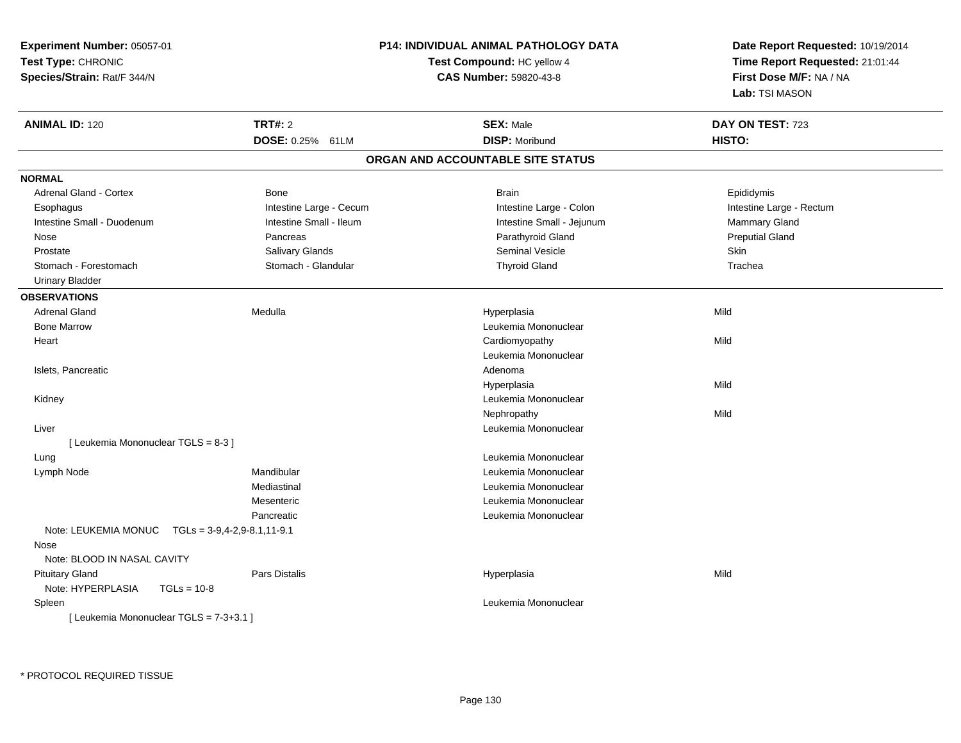| Time Report Requested: 21:01:44<br>Test Compound: HC yellow 4<br>CAS Number: 59820-43-8<br>First Dose M/F: NA / NA<br>Lab: TSI MASON<br><b>TRT#: 2</b><br><b>SEX: Male</b><br>DAY ON TEST: 723<br><b>DOSE: 0.25%</b><br><b>DISP: Moribund</b><br>HISTO:<br>61LM<br>ORGAN AND ACCOUNTABLE SITE STATUS<br>Adrenal Gland - Cortex<br><b>Brain</b><br>Bone<br>Epididymis<br>Intestine Large - Cecum<br>Intestine Large - Rectum<br>Esophagus<br>Intestine Large - Colon<br>Intestine Small - Ileum<br>Intestine Small - Duodenum<br>Intestine Small - Jejunum<br>Mammary Gland<br><b>Preputial Gland</b><br>Nose<br>Pancreas<br>Parathyroid Gland<br>Salivary Glands<br>Seminal Vesicle<br>Skin<br>Prostate<br>Stomach - Glandular<br><b>Thyroid Gland</b><br>Trachea<br>Stomach - Forestomach<br><b>Urinary Bladder</b><br>Medulla<br>Mild<br>Adrenal Gland<br>Hyperplasia<br><b>Bone Marrow</b><br>Leukemia Mononuclear<br>Mild<br>Cardiomyopathy<br>Heart<br>Leukemia Mononuclear<br>Islets, Pancreatic<br>Adenoma<br>Mild<br>Hyperplasia<br>Leukemia Mononuclear<br>Kidney<br>Nephropathy<br>Mild<br>Leukemia Mononuclear<br>Liver<br>[ Leukemia Mononuclear TGLS = 8-3 ]<br>Leukemia Mononuclear<br>Lung<br>Mandibular<br>Leukemia Mononuclear<br>Lymph Node<br>Mediastinal<br>Leukemia Mononuclear<br>Mesenteric<br>Leukemia Mononuclear<br>Pancreatic<br>Leukemia Mononuclear<br>Note: LEUKEMIA MONUC    TGLs = 3-9,4-2,9-8.1,11-9.1<br>Nose<br>Note: BLOOD IN NASAL CAVITY<br>Pars Distalis<br>Mild<br><b>Pituitary Gland</b><br>Hyperplasia<br>Note: HYPERPLASIA<br>$TGLs = 10-8$<br>Leukemia Mononuclear<br>Spleen<br>[ Leukemia Mononuclear TGLS = 7-3+3.1 ] | Experiment Number: 05057-01 | <b>P14: INDIVIDUAL ANIMAL PATHOLOGY DATA</b> | Date Report Requested: 10/19/2014 |  |
|---------------------------------------------------------------------------------------------------------------------------------------------------------------------------------------------------------------------------------------------------------------------------------------------------------------------------------------------------------------------------------------------------------------------------------------------------------------------------------------------------------------------------------------------------------------------------------------------------------------------------------------------------------------------------------------------------------------------------------------------------------------------------------------------------------------------------------------------------------------------------------------------------------------------------------------------------------------------------------------------------------------------------------------------------------------------------------------------------------------------------------------------------------------------------------------------------------------------------------------------------------------------------------------------------------------------------------------------------------------------------------------------------------------------------------------------------------------------------------------------------------------------------------------------------------------------------------------------------------------------------------------------------------------------|-----------------------------|----------------------------------------------|-----------------------------------|--|
|                                                                                                                                                                                                                                                                                                                                                                                                                                                                                                                                                                                                                                                                                                                                                                                                                                                                                                                                                                                                                                                                                                                                                                                                                                                                                                                                                                                                                                                                                                                                                                                                                                                                     | Test Type: CHRONIC          |                                              |                                   |  |
|                                                                                                                                                                                                                                                                                                                                                                                                                                                                                                                                                                                                                                                                                                                                                                                                                                                                                                                                                                                                                                                                                                                                                                                                                                                                                                                                                                                                                                                                                                                                                                                                                                                                     | Species/Strain: Rat/F 344/N |                                              |                                   |  |
|                                                                                                                                                                                                                                                                                                                                                                                                                                                                                                                                                                                                                                                                                                                                                                                                                                                                                                                                                                                                                                                                                                                                                                                                                                                                                                                                                                                                                                                                                                                                                                                                                                                                     |                             |                                              |                                   |  |
|                                                                                                                                                                                                                                                                                                                                                                                                                                                                                                                                                                                                                                                                                                                                                                                                                                                                                                                                                                                                                                                                                                                                                                                                                                                                                                                                                                                                                                                                                                                                                                                                                                                                     | <b>ANIMAL ID: 120</b>       |                                              |                                   |  |
|                                                                                                                                                                                                                                                                                                                                                                                                                                                                                                                                                                                                                                                                                                                                                                                                                                                                                                                                                                                                                                                                                                                                                                                                                                                                                                                                                                                                                                                                                                                                                                                                                                                                     |                             |                                              |                                   |  |
|                                                                                                                                                                                                                                                                                                                                                                                                                                                                                                                                                                                                                                                                                                                                                                                                                                                                                                                                                                                                                                                                                                                                                                                                                                                                                                                                                                                                                                                                                                                                                                                                                                                                     |                             |                                              |                                   |  |
|                                                                                                                                                                                                                                                                                                                                                                                                                                                                                                                                                                                                                                                                                                                                                                                                                                                                                                                                                                                                                                                                                                                                                                                                                                                                                                                                                                                                                                                                                                                                                                                                                                                                     | <b>NORMAL</b>               |                                              |                                   |  |
|                                                                                                                                                                                                                                                                                                                                                                                                                                                                                                                                                                                                                                                                                                                                                                                                                                                                                                                                                                                                                                                                                                                                                                                                                                                                                                                                                                                                                                                                                                                                                                                                                                                                     |                             |                                              |                                   |  |
|                                                                                                                                                                                                                                                                                                                                                                                                                                                                                                                                                                                                                                                                                                                                                                                                                                                                                                                                                                                                                                                                                                                                                                                                                                                                                                                                                                                                                                                                                                                                                                                                                                                                     |                             |                                              |                                   |  |
|                                                                                                                                                                                                                                                                                                                                                                                                                                                                                                                                                                                                                                                                                                                                                                                                                                                                                                                                                                                                                                                                                                                                                                                                                                                                                                                                                                                                                                                                                                                                                                                                                                                                     |                             |                                              |                                   |  |
|                                                                                                                                                                                                                                                                                                                                                                                                                                                                                                                                                                                                                                                                                                                                                                                                                                                                                                                                                                                                                                                                                                                                                                                                                                                                                                                                                                                                                                                                                                                                                                                                                                                                     |                             |                                              |                                   |  |
|                                                                                                                                                                                                                                                                                                                                                                                                                                                                                                                                                                                                                                                                                                                                                                                                                                                                                                                                                                                                                                                                                                                                                                                                                                                                                                                                                                                                                                                                                                                                                                                                                                                                     |                             |                                              |                                   |  |
|                                                                                                                                                                                                                                                                                                                                                                                                                                                                                                                                                                                                                                                                                                                                                                                                                                                                                                                                                                                                                                                                                                                                                                                                                                                                                                                                                                                                                                                                                                                                                                                                                                                                     |                             |                                              |                                   |  |
|                                                                                                                                                                                                                                                                                                                                                                                                                                                                                                                                                                                                                                                                                                                                                                                                                                                                                                                                                                                                                                                                                                                                                                                                                                                                                                                                                                                                                                                                                                                                                                                                                                                                     |                             |                                              |                                   |  |
|                                                                                                                                                                                                                                                                                                                                                                                                                                                                                                                                                                                                                                                                                                                                                                                                                                                                                                                                                                                                                                                                                                                                                                                                                                                                                                                                                                                                                                                                                                                                                                                                                                                                     | <b>OBSERVATIONS</b>         |                                              |                                   |  |
|                                                                                                                                                                                                                                                                                                                                                                                                                                                                                                                                                                                                                                                                                                                                                                                                                                                                                                                                                                                                                                                                                                                                                                                                                                                                                                                                                                                                                                                                                                                                                                                                                                                                     |                             |                                              |                                   |  |
|                                                                                                                                                                                                                                                                                                                                                                                                                                                                                                                                                                                                                                                                                                                                                                                                                                                                                                                                                                                                                                                                                                                                                                                                                                                                                                                                                                                                                                                                                                                                                                                                                                                                     |                             |                                              |                                   |  |
|                                                                                                                                                                                                                                                                                                                                                                                                                                                                                                                                                                                                                                                                                                                                                                                                                                                                                                                                                                                                                                                                                                                                                                                                                                                                                                                                                                                                                                                                                                                                                                                                                                                                     |                             |                                              |                                   |  |
|                                                                                                                                                                                                                                                                                                                                                                                                                                                                                                                                                                                                                                                                                                                                                                                                                                                                                                                                                                                                                                                                                                                                                                                                                                                                                                                                                                                                                                                                                                                                                                                                                                                                     |                             |                                              |                                   |  |
|                                                                                                                                                                                                                                                                                                                                                                                                                                                                                                                                                                                                                                                                                                                                                                                                                                                                                                                                                                                                                                                                                                                                                                                                                                                                                                                                                                                                                                                                                                                                                                                                                                                                     |                             |                                              |                                   |  |
|                                                                                                                                                                                                                                                                                                                                                                                                                                                                                                                                                                                                                                                                                                                                                                                                                                                                                                                                                                                                                                                                                                                                                                                                                                                                                                                                                                                                                                                                                                                                                                                                                                                                     |                             |                                              |                                   |  |
|                                                                                                                                                                                                                                                                                                                                                                                                                                                                                                                                                                                                                                                                                                                                                                                                                                                                                                                                                                                                                                                                                                                                                                                                                                                                                                                                                                                                                                                                                                                                                                                                                                                                     |                             |                                              |                                   |  |
|                                                                                                                                                                                                                                                                                                                                                                                                                                                                                                                                                                                                                                                                                                                                                                                                                                                                                                                                                                                                                                                                                                                                                                                                                                                                                                                                                                                                                                                                                                                                                                                                                                                                     |                             |                                              |                                   |  |
|                                                                                                                                                                                                                                                                                                                                                                                                                                                                                                                                                                                                                                                                                                                                                                                                                                                                                                                                                                                                                                                                                                                                                                                                                                                                                                                                                                                                                                                                                                                                                                                                                                                                     |                             |                                              |                                   |  |
|                                                                                                                                                                                                                                                                                                                                                                                                                                                                                                                                                                                                                                                                                                                                                                                                                                                                                                                                                                                                                                                                                                                                                                                                                                                                                                                                                                                                                                                                                                                                                                                                                                                                     |                             |                                              |                                   |  |
|                                                                                                                                                                                                                                                                                                                                                                                                                                                                                                                                                                                                                                                                                                                                                                                                                                                                                                                                                                                                                                                                                                                                                                                                                                                                                                                                                                                                                                                                                                                                                                                                                                                                     |                             |                                              |                                   |  |
|                                                                                                                                                                                                                                                                                                                                                                                                                                                                                                                                                                                                                                                                                                                                                                                                                                                                                                                                                                                                                                                                                                                                                                                                                                                                                                                                                                                                                                                                                                                                                                                                                                                                     |                             |                                              |                                   |  |
|                                                                                                                                                                                                                                                                                                                                                                                                                                                                                                                                                                                                                                                                                                                                                                                                                                                                                                                                                                                                                                                                                                                                                                                                                                                                                                                                                                                                                                                                                                                                                                                                                                                                     |                             |                                              |                                   |  |
|                                                                                                                                                                                                                                                                                                                                                                                                                                                                                                                                                                                                                                                                                                                                                                                                                                                                                                                                                                                                                                                                                                                                                                                                                                                                                                                                                                                                                                                                                                                                                                                                                                                                     |                             |                                              |                                   |  |
|                                                                                                                                                                                                                                                                                                                                                                                                                                                                                                                                                                                                                                                                                                                                                                                                                                                                                                                                                                                                                                                                                                                                                                                                                                                                                                                                                                                                                                                                                                                                                                                                                                                                     |                             |                                              |                                   |  |
|                                                                                                                                                                                                                                                                                                                                                                                                                                                                                                                                                                                                                                                                                                                                                                                                                                                                                                                                                                                                                                                                                                                                                                                                                                                                                                                                                                                                                                                                                                                                                                                                                                                                     |                             |                                              |                                   |  |
|                                                                                                                                                                                                                                                                                                                                                                                                                                                                                                                                                                                                                                                                                                                                                                                                                                                                                                                                                                                                                                                                                                                                                                                                                                                                                                                                                                                                                                                                                                                                                                                                                                                                     |                             |                                              |                                   |  |
|                                                                                                                                                                                                                                                                                                                                                                                                                                                                                                                                                                                                                                                                                                                                                                                                                                                                                                                                                                                                                                                                                                                                                                                                                                                                                                                                                                                                                                                                                                                                                                                                                                                                     |                             |                                              |                                   |  |
|                                                                                                                                                                                                                                                                                                                                                                                                                                                                                                                                                                                                                                                                                                                                                                                                                                                                                                                                                                                                                                                                                                                                                                                                                                                                                                                                                                                                                                                                                                                                                                                                                                                                     |                             |                                              |                                   |  |
|                                                                                                                                                                                                                                                                                                                                                                                                                                                                                                                                                                                                                                                                                                                                                                                                                                                                                                                                                                                                                                                                                                                                                                                                                                                                                                                                                                                                                                                                                                                                                                                                                                                                     |                             |                                              |                                   |  |
|                                                                                                                                                                                                                                                                                                                                                                                                                                                                                                                                                                                                                                                                                                                                                                                                                                                                                                                                                                                                                                                                                                                                                                                                                                                                                                                                                                                                                                                                                                                                                                                                                                                                     |                             |                                              |                                   |  |
|                                                                                                                                                                                                                                                                                                                                                                                                                                                                                                                                                                                                                                                                                                                                                                                                                                                                                                                                                                                                                                                                                                                                                                                                                                                                                                                                                                                                                                                                                                                                                                                                                                                                     |                             |                                              |                                   |  |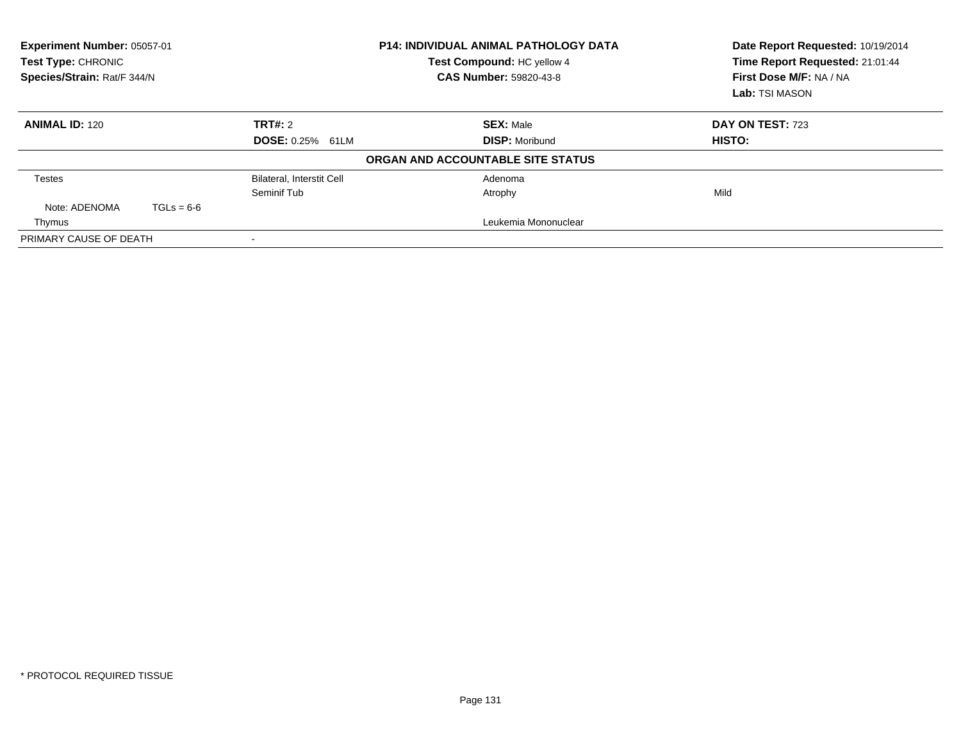| Experiment Number: 05057-01<br><b>Test Type: CHRONIC</b><br>Species/Strain: Rat/F 344/N |              |                                  | <b>P14: INDIVIDUAL ANIMAL PATHOLOGY DATA</b><br>Test Compound: HC yellow 4<br><b>CAS Number: 59820-43-8</b> | Date Report Requested: 10/19/2014<br>Time Report Requested: 21:01:44<br>First Dose M/F: NA / NA<br>Lab: TSI MASON |
|-----------------------------------------------------------------------------------------|--------------|----------------------------------|-------------------------------------------------------------------------------------------------------------|-------------------------------------------------------------------------------------------------------------------|
| <b>ANIMAL ID: 120</b>                                                                   |              | TRT#: 2                          | <b>SEX: Male</b>                                                                                            | DAY ON TEST: 723                                                                                                  |
|                                                                                         |              | <b>DOSE: 0.25% 61LM</b>          | <b>DISP: Moribund</b>                                                                                       | HISTO:                                                                                                            |
|                                                                                         |              |                                  | ORGAN AND ACCOUNTABLE SITE STATUS                                                                           |                                                                                                                   |
| <b>Testes</b>                                                                           |              | <b>Bilateral, Interstit Cell</b> | Adenoma                                                                                                     |                                                                                                                   |
|                                                                                         |              | Seminif Tub                      | Atrophy                                                                                                     | Mild                                                                                                              |
| Note: ADENOMA                                                                           | $TGLs = 6-6$ |                                  |                                                                                                             |                                                                                                                   |
| Thymus                                                                                  |              |                                  | Leukemia Mononuclear                                                                                        |                                                                                                                   |
| PRIMARY CAUSE OF DEATH                                                                  |              | $\,$                             |                                                                                                             |                                                                                                                   |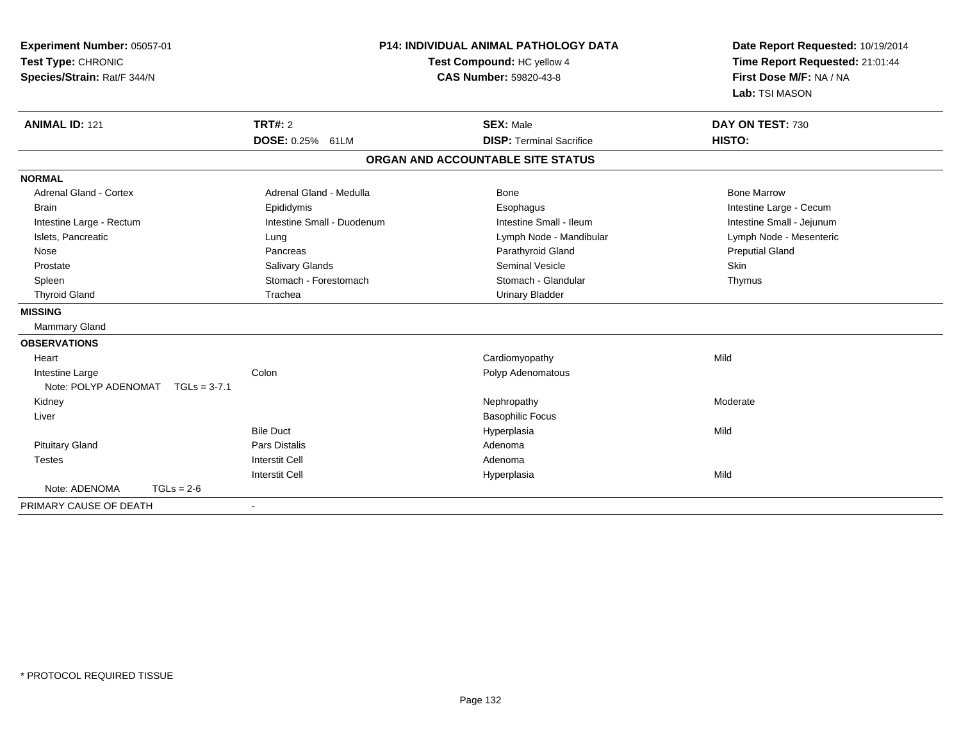| Experiment Number: 05057-01<br>Test Type: CHRONIC<br>Species/Strain: Rat/F 344/N |                |                            | <b>P14: INDIVIDUAL ANIMAL PATHOLOGY DATA</b><br>Test Compound: HC yellow 4<br><b>CAS Number: 59820-43-8</b> | Date Report Requested: 10/19/2014<br>Time Report Requested: 21:01:44<br>First Dose M/F: NA / NA<br>Lab: TSI MASON |  |
|----------------------------------------------------------------------------------|----------------|----------------------------|-------------------------------------------------------------------------------------------------------------|-------------------------------------------------------------------------------------------------------------------|--|
| <b>ANIMAL ID: 121</b>                                                            |                | TRT#: 2                    | <b>SEX: Male</b>                                                                                            | DAY ON TEST: 730                                                                                                  |  |
|                                                                                  |                | DOSE: 0.25% 61LM           | <b>DISP: Terminal Sacrifice</b>                                                                             | HISTO:                                                                                                            |  |
|                                                                                  |                |                            | ORGAN AND ACCOUNTABLE SITE STATUS                                                                           |                                                                                                                   |  |
| <b>NORMAL</b>                                                                    |                |                            |                                                                                                             |                                                                                                                   |  |
| Adrenal Gland - Cortex                                                           |                | Adrenal Gland - Medulla    | Bone                                                                                                        | <b>Bone Marrow</b>                                                                                                |  |
| <b>Brain</b>                                                                     |                | Epididymis                 | Esophagus                                                                                                   | Intestine Large - Cecum                                                                                           |  |
| Intestine Large - Rectum                                                         |                | Intestine Small - Duodenum | Intestine Small - Ileum                                                                                     | Intestine Small - Jejunum                                                                                         |  |
| Islets, Pancreatic                                                               |                | Lung                       | Lymph Node - Mandibular                                                                                     | Lymph Node - Mesenteric                                                                                           |  |
| Nose                                                                             |                | Pancreas                   | Parathyroid Gland                                                                                           | <b>Preputial Gland</b>                                                                                            |  |
| Prostate                                                                         |                | Salivary Glands            | <b>Seminal Vesicle</b>                                                                                      | Skin                                                                                                              |  |
| Spleen                                                                           |                | Stomach - Forestomach      | Stomach - Glandular                                                                                         | Thymus                                                                                                            |  |
| <b>Thyroid Gland</b>                                                             |                | Trachea                    | <b>Urinary Bladder</b>                                                                                      |                                                                                                                   |  |
| <b>MISSING</b>                                                                   |                |                            |                                                                                                             |                                                                                                                   |  |
| Mammary Gland                                                                    |                |                            |                                                                                                             |                                                                                                                   |  |
| <b>OBSERVATIONS</b>                                                              |                |                            |                                                                                                             |                                                                                                                   |  |
| Heart                                                                            |                |                            | Cardiomyopathy                                                                                              | Mild                                                                                                              |  |
| Intestine Large                                                                  |                | Colon                      | Polyp Adenomatous                                                                                           |                                                                                                                   |  |
| Note: POLYP ADENOMAT                                                             | $TGLs = 3-7.1$ |                            |                                                                                                             |                                                                                                                   |  |
| Kidney                                                                           |                |                            | Nephropathy                                                                                                 | Moderate                                                                                                          |  |
| Liver                                                                            |                |                            | <b>Basophilic Focus</b>                                                                                     |                                                                                                                   |  |
|                                                                                  |                | <b>Bile Duct</b>           | Hyperplasia                                                                                                 | Mild                                                                                                              |  |
| <b>Pituitary Gland</b>                                                           |                | <b>Pars Distalis</b>       | Adenoma                                                                                                     |                                                                                                                   |  |
| <b>Testes</b>                                                                    |                | <b>Interstit Cell</b>      | Adenoma                                                                                                     |                                                                                                                   |  |
|                                                                                  |                | <b>Interstit Cell</b>      | Hyperplasia                                                                                                 | Mild                                                                                                              |  |
| Note: ADENOMA                                                                    | $TGLs = 2-6$   |                            |                                                                                                             |                                                                                                                   |  |
| PRIMARY CAUSE OF DEATH                                                           |                |                            |                                                                                                             |                                                                                                                   |  |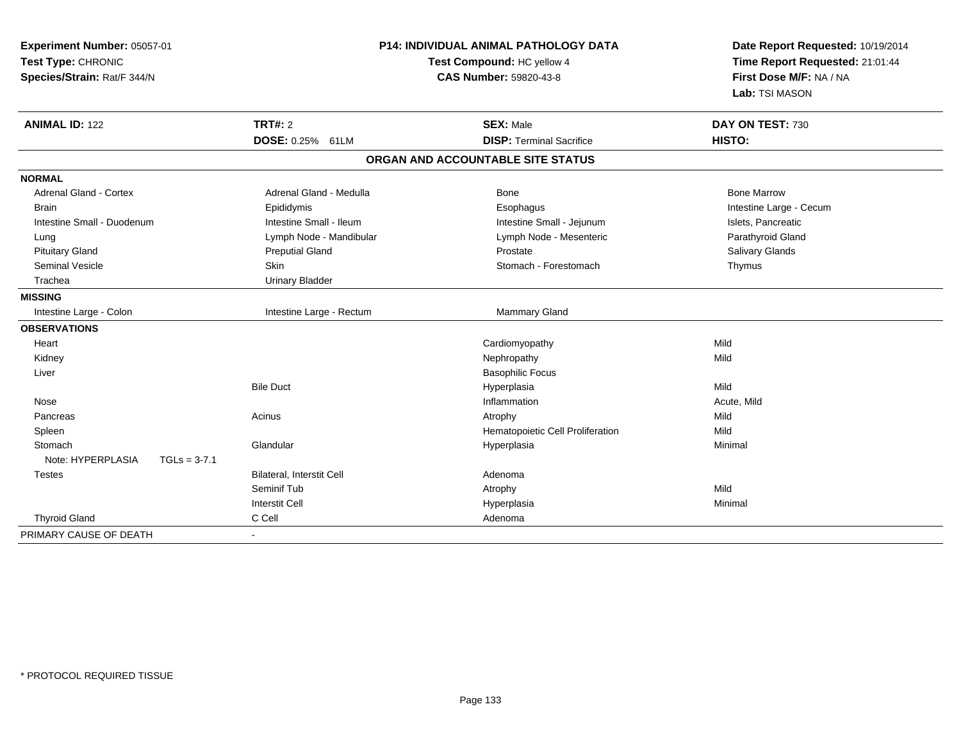| Experiment Number: 05057-01<br>Test Type: CHRONIC<br>Species/Strain: Rat/F 344/N | P14: INDIVIDUAL ANIMAL PATHOLOGY DATA<br>Test Compound: HC yellow 4<br><b>CAS Number: 59820-43-8</b> |                                                     | Date Report Requested: 10/19/2014<br>Time Report Requested: 21:01:44<br>First Dose M/F: NA / NA<br>Lab: TSI MASON |
|----------------------------------------------------------------------------------|------------------------------------------------------------------------------------------------------|-----------------------------------------------------|-------------------------------------------------------------------------------------------------------------------|
| <b>ANIMAL ID: 122</b>                                                            | <b>TRT#: 2</b><br>DOSE: 0.25% 61LM                                                                   | <b>SEX: Male</b><br><b>DISP: Terminal Sacrifice</b> | DAY ON TEST: 730<br>HISTO:                                                                                        |
|                                                                                  |                                                                                                      | ORGAN AND ACCOUNTABLE SITE STATUS                   |                                                                                                                   |
|                                                                                  |                                                                                                      |                                                     |                                                                                                                   |
| <b>NORMAL</b>                                                                    |                                                                                                      |                                                     |                                                                                                                   |
| <b>Adrenal Gland - Cortex</b>                                                    | Adrenal Gland - Medulla                                                                              | Bone                                                | <b>Bone Marrow</b>                                                                                                |
| <b>Brain</b>                                                                     | Epididymis                                                                                           | Esophagus                                           | Intestine Large - Cecum                                                                                           |
| Intestine Small - Duodenum                                                       | Intestine Small - Ileum                                                                              | Intestine Small - Jejunum                           | Islets, Pancreatic                                                                                                |
| Lung                                                                             | Lymph Node - Mandibular                                                                              | Lymph Node - Mesenteric                             | Parathyroid Gland                                                                                                 |
| <b>Pituitary Gland</b>                                                           | <b>Preputial Gland</b>                                                                               | Prostate                                            | Salivary Glands                                                                                                   |
| <b>Seminal Vesicle</b>                                                           | Skin                                                                                                 | Stomach - Forestomach                               | Thymus                                                                                                            |
| Trachea                                                                          | <b>Urinary Bladder</b>                                                                               |                                                     |                                                                                                                   |
| <b>MISSING</b>                                                                   |                                                                                                      |                                                     |                                                                                                                   |
| Intestine Large - Colon                                                          | Intestine Large - Rectum                                                                             | Mammary Gland                                       |                                                                                                                   |
| <b>OBSERVATIONS</b>                                                              |                                                                                                      |                                                     |                                                                                                                   |
| Heart                                                                            |                                                                                                      | Cardiomyopathy                                      | Mild                                                                                                              |
| Kidney                                                                           |                                                                                                      | Nephropathy                                         | Mild                                                                                                              |
| Liver                                                                            |                                                                                                      | <b>Basophilic Focus</b>                             |                                                                                                                   |
|                                                                                  | <b>Bile Duct</b>                                                                                     | Hyperplasia                                         | Mild                                                                                                              |
| Nose                                                                             |                                                                                                      | Inflammation                                        | Acute, Mild                                                                                                       |
| Pancreas                                                                         | Acinus                                                                                               | Atrophy                                             | Mild                                                                                                              |
| Spleen                                                                           |                                                                                                      | Hematopoietic Cell Proliferation                    | Mild                                                                                                              |
| Stomach                                                                          | Glandular                                                                                            | Hyperplasia                                         | Minimal                                                                                                           |
| Note: HYPERPLASIA<br>$TGLs = 3-7.1$                                              |                                                                                                      |                                                     |                                                                                                                   |
| <b>Testes</b>                                                                    | Bilateral, Interstit Cell                                                                            | Adenoma                                             |                                                                                                                   |
|                                                                                  | Seminif Tub                                                                                          | Atrophy                                             | Mild                                                                                                              |
|                                                                                  | <b>Interstit Cell</b>                                                                                | Hyperplasia                                         | Minimal                                                                                                           |
| <b>Thyroid Gland</b>                                                             | C Cell                                                                                               | Adenoma                                             |                                                                                                                   |
| PRIMARY CAUSE OF DEATH                                                           | $\blacksquare$                                                                                       |                                                     |                                                                                                                   |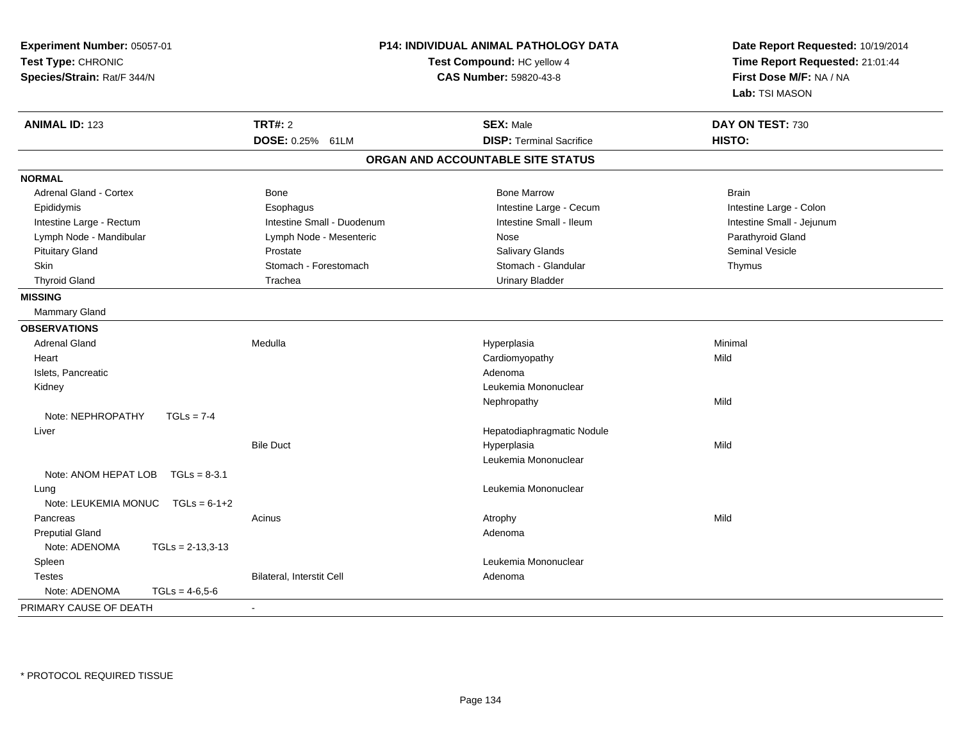| Experiment Number: 05057-01<br>Test Type: CHRONIC<br>Species/Strain: Rat/F 344/N | <b>P14: INDIVIDUAL ANIMAL PATHOLOGY DATA</b><br>Test Compound: HC yellow 4<br><b>CAS Number: 59820-43-8</b> |                                   | Date Report Requested: 10/19/2014<br>Time Report Requested: 21:01:44<br>First Dose M/F: NA / NA<br>Lab: TSI MASON |
|----------------------------------------------------------------------------------|-------------------------------------------------------------------------------------------------------------|-----------------------------------|-------------------------------------------------------------------------------------------------------------------|
| <b>ANIMAL ID: 123</b>                                                            | <b>TRT#: 2</b>                                                                                              | <b>SEX: Male</b>                  | DAY ON TEST: 730                                                                                                  |
|                                                                                  | DOSE: 0.25% 61LM                                                                                            | <b>DISP: Terminal Sacrifice</b>   | HISTO:                                                                                                            |
|                                                                                  |                                                                                                             | ORGAN AND ACCOUNTABLE SITE STATUS |                                                                                                                   |
| <b>NORMAL</b>                                                                    |                                                                                                             |                                   |                                                                                                                   |
| Adrenal Gland - Cortex                                                           | <b>Bone</b>                                                                                                 | <b>Bone Marrow</b>                | <b>Brain</b>                                                                                                      |
| Epididymis                                                                       | Esophagus                                                                                                   | Intestine Large - Cecum           | Intestine Large - Colon                                                                                           |
| Intestine Large - Rectum                                                         | Intestine Small - Duodenum                                                                                  | Intestine Small - Ileum           | Intestine Small - Jejunum                                                                                         |
| Lymph Node - Mandibular                                                          | Lymph Node - Mesenteric                                                                                     | Nose                              | Parathyroid Gland                                                                                                 |
| <b>Pituitary Gland</b>                                                           | Prostate                                                                                                    | Salivary Glands                   | <b>Seminal Vesicle</b>                                                                                            |
| <b>Skin</b>                                                                      | Stomach - Forestomach                                                                                       | Stomach - Glandular               | Thymus                                                                                                            |
| <b>Thyroid Gland</b>                                                             | Trachea                                                                                                     | <b>Urinary Bladder</b>            |                                                                                                                   |
| <b>MISSING</b>                                                                   |                                                                                                             |                                   |                                                                                                                   |
| Mammary Gland                                                                    |                                                                                                             |                                   |                                                                                                                   |
| <b>OBSERVATIONS</b>                                                              |                                                                                                             |                                   |                                                                                                                   |
| <b>Adrenal Gland</b>                                                             | Medulla                                                                                                     | Hyperplasia                       | Minimal                                                                                                           |
| Heart                                                                            |                                                                                                             | Cardiomyopathy                    | Mild                                                                                                              |
| Islets, Pancreatic                                                               |                                                                                                             | Adenoma                           |                                                                                                                   |
| Kidney                                                                           |                                                                                                             | Leukemia Mononuclear              |                                                                                                                   |
|                                                                                  |                                                                                                             | Nephropathy                       | Mild                                                                                                              |
| Note: NEPHROPATHY<br>$TGLs = 7-4$                                                |                                                                                                             |                                   |                                                                                                                   |
| Liver                                                                            |                                                                                                             | Hepatodiaphragmatic Nodule        |                                                                                                                   |
|                                                                                  | <b>Bile Duct</b>                                                                                            | Hyperplasia                       | Mild                                                                                                              |
|                                                                                  |                                                                                                             | Leukemia Mononuclear              |                                                                                                                   |
| Note: ANOM HEPAT LOB<br>$TGLs = 8-3.1$                                           |                                                                                                             |                                   |                                                                                                                   |
| Lung                                                                             |                                                                                                             | Leukemia Mononuclear              |                                                                                                                   |
| Note: LEUKEMIA MONUC<br>$TGLs = 6-1+2$                                           |                                                                                                             |                                   |                                                                                                                   |
| Pancreas                                                                         | Acinus                                                                                                      | Atrophy                           | Mild                                                                                                              |
| <b>Preputial Gland</b>                                                           |                                                                                                             | Adenoma                           |                                                                                                                   |
| Note: ADENOMA<br>$TGLs = 2-13,3-13$                                              |                                                                                                             |                                   |                                                                                                                   |
| Spleen                                                                           |                                                                                                             | Leukemia Mononuclear              |                                                                                                                   |
| <b>Testes</b>                                                                    | Bilateral, Interstit Cell                                                                                   | Adenoma                           |                                                                                                                   |
| Note: ADENOMA<br>$TGLs = 4-6.5-6$                                                |                                                                                                             |                                   |                                                                                                                   |
| PRIMARY CAUSE OF DEATH                                                           |                                                                                                             |                                   |                                                                                                                   |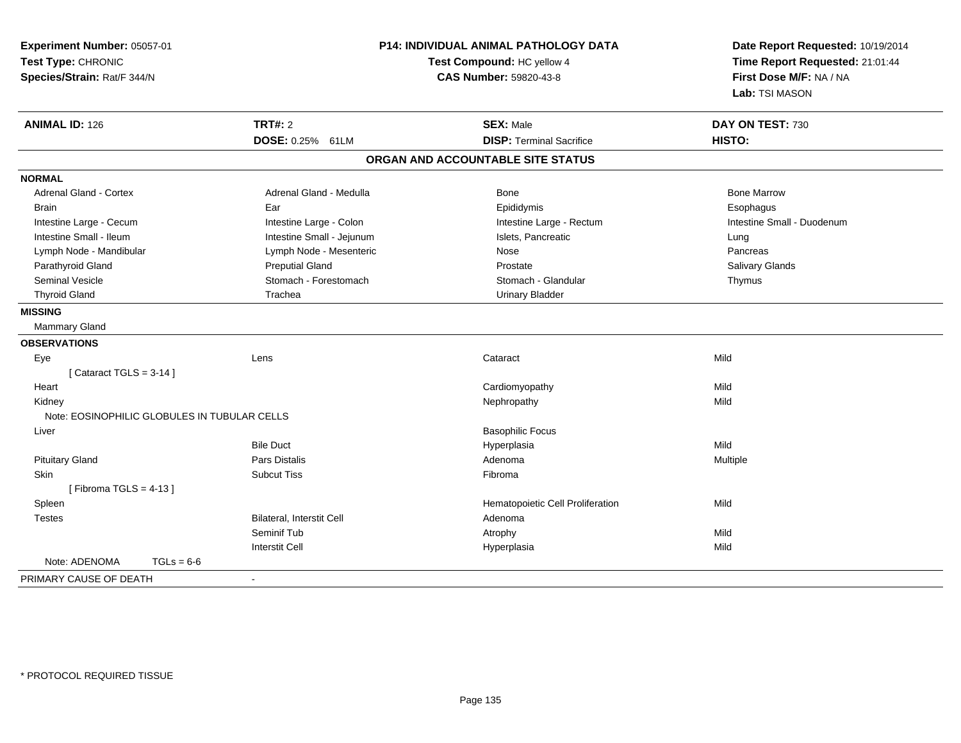| Experiment Number: 05057-01<br>Test Type: CHRONIC<br>Species/Strain: Rat/F 344/N |                           | P14: INDIVIDUAL ANIMAL PATHOLOGY DATA<br>Test Compound: HC yellow 4<br><b>CAS Number: 59820-43-8</b> | Date Report Requested: 10/19/2014<br>Time Report Requested: 21:01:44<br>First Dose M/F: NA / NA<br>Lab: TSI MASON |
|----------------------------------------------------------------------------------|---------------------------|------------------------------------------------------------------------------------------------------|-------------------------------------------------------------------------------------------------------------------|
| <b>ANIMAL ID: 126</b>                                                            | <b>TRT#: 2</b>            | <b>SEX: Male</b>                                                                                     | DAY ON TEST: 730                                                                                                  |
|                                                                                  | DOSE: 0.25% 61LM          | <b>DISP: Terminal Sacrifice</b>                                                                      | HISTO:                                                                                                            |
|                                                                                  |                           | ORGAN AND ACCOUNTABLE SITE STATUS                                                                    |                                                                                                                   |
| <b>NORMAL</b>                                                                    |                           |                                                                                                      |                                                                                                                   |
| <b>Adrenal Gland - Cortex</b>                                                    | Adrenal Gland - Medulla   | <b>Bone</b>                                                                                          | <b>Bone Marrow</b>                                                                                                |
| <b>Brain</b>                                                                     | Ear                       | Epididymis                                                                                           | Esophagus                                                                                                         |
| Intestine Large - Cecum                                                          | Intestine Large - Colon   | Intestine Large - Rectum                                                                             | Intestine Small - Duodenum                                                                                        |
| Intestine Small - Ileum                                                          | Intestine Small - Jejunum | Islets, Pancreatic                                                                                   | Lung                                                                                                              |
| Lymph Node - Mandibular                                                          | Lymph Node - Mesenteric   | Nose                                                                                                 | Pancreas                                                                                                          |
| Parathyroid Gland                                                                | <b>Preputial Gland</b>    | Prostate                                                                                             | Salivary Glands                                                                                                   |
| <b>Seminal Vesicle</b>                                                           | Stomach - Forestomach     | Stomach - Glandular                                                                                  | Thymus                                                                                                            |
| <b>Thyroid Gland</b>                                                             | Trachea                   | <b>Urinary Bladder</b>                                                                               |                                                                                                                   |
| <b>MISSING</b>                                                                   |                           |                                                                                                      |                                                                                                                   |
| Mammary Gland                                                                    |                           |                                                                                                      |                                                                                                                   |
| <b>OBSERVATIONS</b>                                                              |                           |                                                                                                      |                                                                                                                   |
| Eye                                                                              | Lens                      | Cataract                                                                                             | Mild                                                                                                              |
| [Cataract TGLS = $3-14$ ]                                                        |                           |                                                                                                      |                                                                                                                   |
| Heart                                                                            |                           | Cardiomyopathy                                                                                       | Mild                                                                                                              |
| Kidney                                                                           |                           | Nephropathy                                                                                          | Mild                                                                                                              |
| Note: EOSINOPHILIC GLOBULES IN TUBULAR CELLS                                     |                           |                                                                                                      |                                                                                                                   |
| Liver                                                                            |                           | <b>Basophilic Focus</b>                                                                              |                                                                                                                   |
|                                                                                  | <b>Bile Duct</b>          | Hyperplasia                                                                                          | Mild                                                                                                              |
| <b>Pituitary Gland</b>                                                           | Pars Distalis             | Adenoma                                                                                              | Multiple                                                                                                          |
| Skin                                                                             | <b>Subcut Tiss</b>        | Fibroma                                                                                              |                                                                                                                   |
| [Fibroma TGLS = $4-13$ ]                                                         |                           |                                                                                                      |                                                                                                                   |
| Spleen                                                                           |                           | Hematopoietic Cell Proliferation                                                                     | Mild                                                                                                              |
| <b>Testes</b>                                                                    | Bilateral, Interstit Cell | Adenoma                                                                                              |                                                                                                                   |
|                                                                                  | Seminif Tub               | Atrophy                                                                                              | Mild                                                                                                              |
|                                                                                  | <b>Interstit Cell</b>     | Hyperplasia                                                                                          | Mild                                                                                                              |
| Note: ADENOMA<br>$TGLs = 6-6$                                                    |                           |                                                                                                      |                                                                                                                   |
| PRIMARY CAUSE OF DEATH                                                           | $\blacksquare$            |                                                                                                      |                                                                                                                   |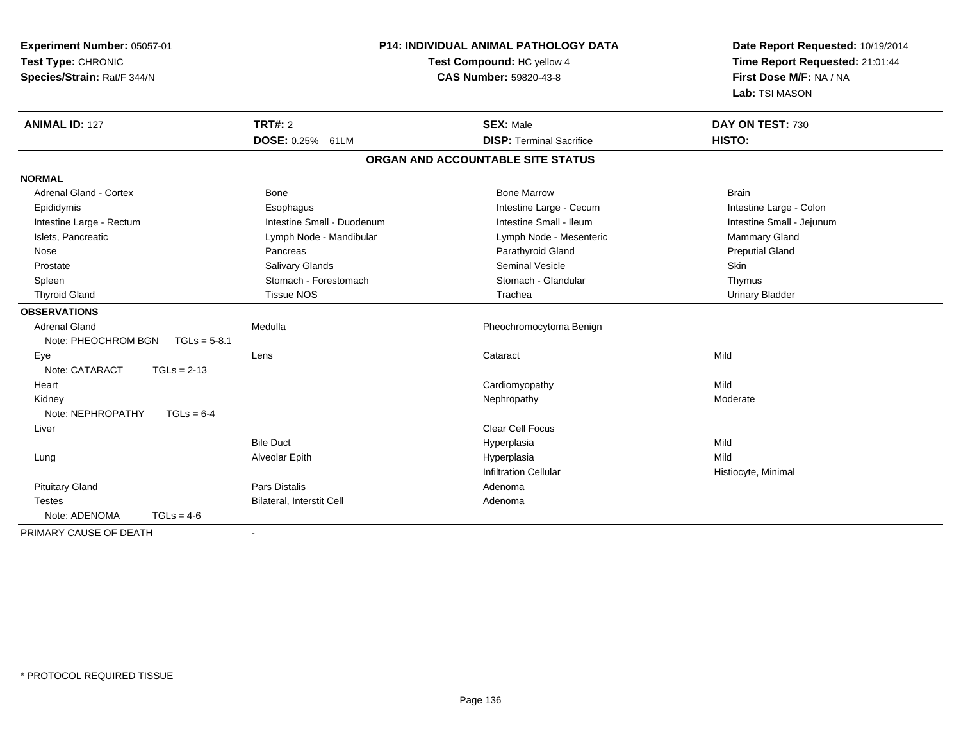| P14: INDIVIDUAL ANIMAL PATHOLOGY DATA<br>Experiment Number: 05057-01<br>Test Type: CHRONIC<br>Test Compound: HC yellow 4<br>Species/Strain: Rat/F 344/N<br>CAS Number: 59820-43-8 |                            |                                   | Date Report Requested: 10/19/2014<br>Time Report Requested: 21:01:44<br>First Dose M/F: NA / NA<br>Lab: TSI MASON |  |
|-----------------------------------------------------------------------------------------------------------------------------------------------------------------------------------|----------------------------|-----------------------------------|-------------------------------------------------------------------------------------------------------------------|--|
| <b>ANIMAL ID: 127</b>                                                                                                                                                             | TRT#: 2                    | <b>SEX: Male</b>                  | DAY ON TEST: 730                                                                                                  |  |
|                                                                                                                                                                                   | <b>DOSE: 0.25%</b><br>61LM | <b>DISP: Terminal Sacrifice</b>   | HISTO:                                                                                                            |  |
|                                                                                                                                                                                   |                            | ORGAN AND ACCOUNTABLE SITE STATUS |                                                                                                                   |  |
| <b>NORMAL</b>                                                                                                                                                                     |                            |                                   |                                                                                                                   |  |
| <b>Adrenal Gland - Cortex</b>                                                                                                                                                     | <b>Bone</b>                | <b>Bone Marrow</b>                | <b>Brain</b>                                                                                                      |  |
| Epididymis                                                                                                                                                                        | Esophagus                  | Intestine Large - Cecum           | Intestine Large - Colon                                                                                           |  |
| Intestine Large - Rectum                                                                                                                                                          | Intestine Small - Duodenum | Intestine Small - Ileum           | Intestine Small - Jejunum                                                                                         |  |
| Islets, Pancreatic                                                                                                                                                                | Lymph Node - Mandibular    | Lymph Node - Mesenteric           | Mammary Gland                                                                                                     |  |
| Nose                                                                                                                                                                              | Pancreas                   | Parathyroid Gland                 | <b>Preputial Gland</b>                                                                                            |  |
| Prostate                                                                                                                                                                          | Salivary Glands            | <b>Seminal Vesicle</b>            | Skin                                                                                                              |  |
| Spleen                                                                                                                                                                            | Stomach - Forestomach      | Stomach - Glandular               | Thymus                                                                                                            |  |
| <b>Thyroid Gland</b>                                                                                                                                                              | <b>Tissue NOS</b>          | Trachea                           | <b>Urinary Bladder</b>                                                                                            |  |
| <b>OBSERVATIONS</b>                                                                                                                                                               |                            |                                   |                                                                                                                   |  |
| <b>Adrenal Gland</b>                                                                                                                                                              | Medulla                    | Pheochromocytoma Benign           |                                                                                                                   |  |
| Note: PHEOCHROM BGN<br>$TGLs = 5-8.1$                                                                                                                                             |                            |                                   |                                                                                                                   |  |
| Eye                                                                                                                                                                               | Lens                       | Cataract                          | Mild                                                                                                              |  |
| Note: CATARACT<br>$TGLs = 2-13$                                                                                                                                                   |                            |                                   |                                                                                                                   |  |
| Heart                                                                                                                                                                             |                            | Cardiomyopathy                    | Mild                                                                                                              |  |
| Kidney                                                                                                                                                                            |                            | Nephropathy                       | Moderate                                                                                                          |  |
| Note: NEPHROPATHY<br>$TGLs = 6-4$                                                                                                                                                 |                            |                                   |                                                                                                                   |  |
| Liver                                                                                                                                                                             |                            | <b>Clear Cell Focus</b>           |                                                                                                                   |  |
|                                                                                                                                                                                   | <b>Bile Duct</b>           | Hyperplasia                       | Mild                                                                                                              |  |
| Lung                                                                                                                                                                              | Alveolar Epith             | Hyperplasia                       | Mild                                                                                                              |  |
|                                                                                                                                                                                   |                            | <b>Infiltration Cellular</b>      | Histiocyte, Minimal                                                                                               |  |
| <b>Pituitary Gland</b>                                                                                                                                                            | Pars Distalis              | Adenoma                           |                                                                                                                   |  |
| <b>Testes</b>                                                                                                                                                                     | Bilateral, Interstit Cell  | Adenoma                           |                                                                                                                   |  |
| Note: ADENOMA<br>$TGLs = 4-6$                                                                                                                                                     |                            |                                   |                                                                                                                   |  |
| PRIMARY CAUSE OF DEATH                                                                                                                                                            |                            |                                   |                                                                                                                   |  |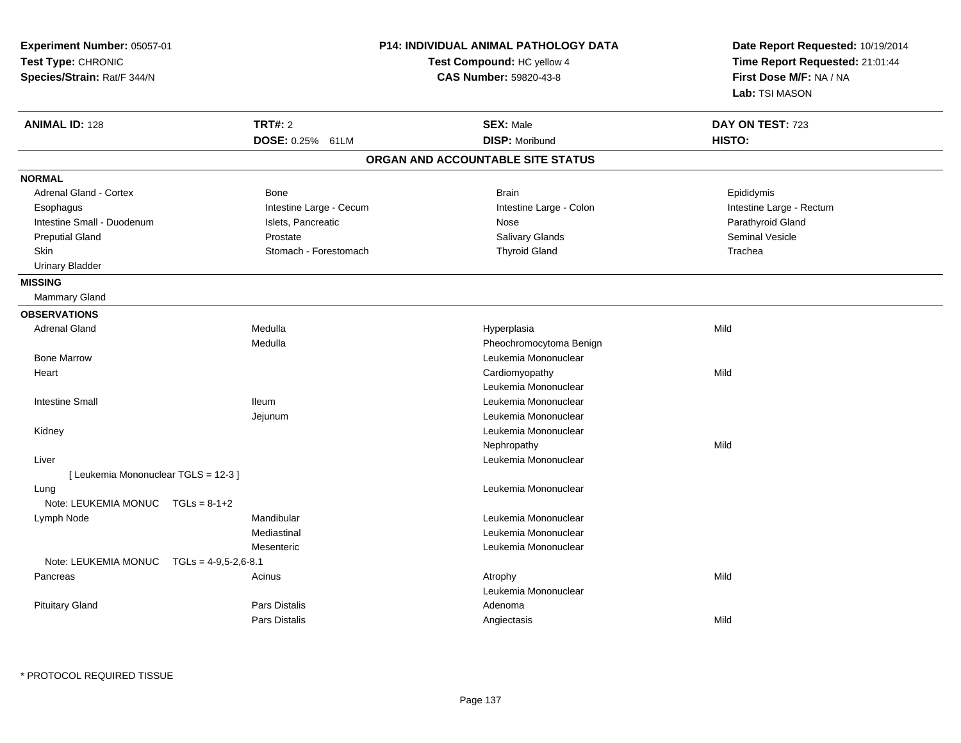| Experiment Number: 05057-01<br>Test Type: CHRONIC<br>Species/Strain: Rat/F 344/N |                         | <b>P14: INDIVIDUAL ANIMAL PATHOLOGY DATA</b><br>Test Compound: HC yellow 4<br>CAS Number: 59820-43-8 | Date Report Requested: 10/19/2014<br>Time Report Requested: 21:01:44<br>First Dose M/F: NA / NA<br>Lab: TSI MASON |
|----------------------------------------------------------------------------------|-------------------------|------------------------------------------------------------------------------------------------------|-------------------------------------------------------------------------------------------------------------------|
| <b>ANIMAL ID: 128</b>                                                            | <b>TRT#: 2</b>          | <b>SEX: Male</b>                                                                                     | DAY ON TEST: 723                                                                                                  |
|                                                                                  | DOSE: 0.25% 61LM        | <b>DISP: Moribund</b>                                                                                | HISTO:                                                                                                            |
|                                                                                  |                         | ORGAN AND ACCOUNTABLE SITE STATUS                                                                    |                                                                                                                   |
| <b>NORMAL</b>                                                                    |                         |                                                                                                      |                                                                                                                   |
| Adrenal Gland - Cortex                                                           | Bone                    | Brain                                                                                                | Epididymis                                                                                                        |
| Esophagus                                                                        | Intestine Large - Cecum | Intestine Large - Colon                                                                              | Intestine Large - Rectum                                                                                          |
| Intestine Small - Duodenum                                                       | Islets, Pancreatic      | Nose                                                                                                 | Parathyroid Gland                                                                                                 |
| <b>Preputial Gland</b>                                                           | Prostate                | Salivary Glands                                                                                      | Seminal Vesicle                                                                                                   |
| Skin                                                                             | Stomach - Forestomach   | <b>Thyroid Gland</b>                                                                                 | Trachea                                                                                                           |
| <b>Urinary Bladder</b>                                                           |                         |                                                                                                      |                                                                                                                   |
| <b>MISSING</b>                                                                   |                         |                                                                                                      |                                                                                                                   |
| Mammary Gland                                                                    |                         |                                                                                                      |                                                                                                                   |
| <b>OBSERVATIONS</b>                                                              |                         |                                                                                                      |                                                                                                                   |
| <b>Adrenal Gland</b>                                                             | Medulla                 | Hyperplasia                                                                                          | Mild                                                                                                              |
|                                                                                  | Medulla                 | Pheochromocytoma Benign                                                                              |                                                                                                                   |
| <b>Bone Marrow</b>                                                               |                         | Leukemia Mononuclear                                                                                 |                                                                                                                   |
| Heart                                                                            |                         | Cardiomyopathy                                                                                       | Mild                                                                                                              |
|                                                                                  |                         | Leukemia Mononuclear                                                                                 |                                                                                                                   |
| <b>Intestine Small</b>                                                           | <b>Ileum</b>            | Leukemia Mononuclear                                                                                 |                                                                                                                   |
|                                                                                  | Jejunum                 | Leukemia Mononuclear                                                                                 |                                                                                                                   |
| Kidney                                                                           |                         | Leukemia Mononuclear                                                                                 |                                                                                                                   |
|                                                                                  |                         | Nephropathy                                                                                          | Mild                                                                                                              |
| Liver                                                                            |                         | Leukemia Mononuclear                                                                                 |                                                                                                                   |
| [ Leukemia Mononuclear TGLS = 12-3 ]                                             |                         |                                                                                                      |                                                                                                                   |
| Lung                                                                             |                         | Leukemia Mononuclear                                                                                 |                                                                                                                   |
| Note: LEUKEMIA MONUC TGLs = 8-1+2                                                |                         |                                                                                                      |                                                                                                                   |
| Lymph Node                                                                       | Mandibular              | Leukemia Mononuclear                                                                                 |                                                                                                                   |
|                                                                                  | Mediastinal             | Leukemia Mononuclear                                                                                 |                                                                                                                   |
|                                                                                  | Mesenteric              | Leukemia Mononuclear                                                                                 |                                                                                                                   |
| Note: LEUKEMIA MONUC                                                             | $TGLs = 4-9.5-2.6-8.1$  |                                                                                                      |                                                                                                                   |
| Pancreas                                                                         | Acinus                  | Atrophy                                                                                              | Mild                                                                                                              |
|                                                                                  |                         | Leukemia Mononuclear                                                                                 |                                                                                                                   |
| <b>Pituitary Gland</b>                                                           | Pars Distalis           | Adenoma                                                                                              |                                                                                                                   |
|                                                                                  | Pars Distalis           | Angiectasis                                                                                          | Mild                                                                                                              |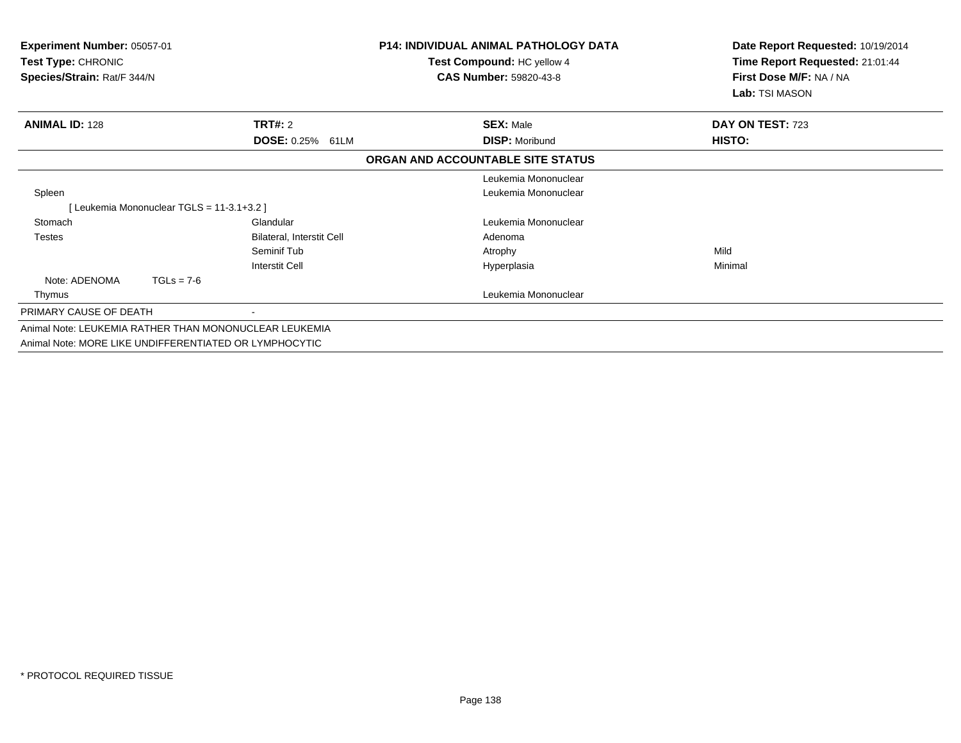| <b>Experiment Number: 05057-01</b><br>Test Type: CHRONIC<br>Species/Strain: Rat/F 344/N                          |                                          |                           | <b>P14: INDIVIDUAL ANIMAL PATHOLOGY DATA</b><br>Test Compound: HC yellow 4<br><b>CAS Number: 59820-43-8</b> | Date Report Requested: 10/19/2014<br>Time Report Requested: 21:01:44<br>First Dose M/F: NA / NA<br><b>Lab:</b> TSI MASON |
|------------------------------------------------------------------------------------------------------------------|------------------------------------------|---------------------------|-------------------------------------------------------------------------------------------------------------|--------------------------------------------------------------------------------------------------------------------------|
| <b>ANIMAL ID: 128</b>                                                                                            |                                          | <b>TRT#:</b> 2            | <b>SEX: Male</b>                                                                                            | DAY ON TEST: 723                                                                                                         |
|                                                                                                                  |                                          | DOSE: 0.25% 61LM          | <b>DISP: Moribund</b>                                                                                       | HISTO:                                                                                                                   |
|                                                                                                                  |                                          |                           | ORGAN AND ACCOUNTABLE SITE STATUS                                                                           |                                                                                                                          |
|                                                                                                                  |                                          |                           | Leukemia Mononuclear                                                                                        |                                                                                                                          |
| Spleen                                                                                                           |                                          |                           | Leukemia Mononuclear                                                                                        |                                                                                                                          |
|                                                                                                                  | [Leukemia Mononuclear TGLS = 11-3.1+3.2] |                           |                                                                                                             |                                                                                                                          |
| Stomach                                                                                                          |                                          | Glandular                 | Leukemia Mononuclear                                                                                        |                                                                                                                          |
| <b>Testes</b>                                                                                                    |                                          | Bilateral, Interstit Cell | Adenoma                                                                                                     |                                                                                                                          |
|                                                                                                                  |                                          | Seminif Tub               | Atrophy                                                                                                     | Mild                                                                                                                     |
|                                                                                                                  |                                          | <b>Interstit Cell</b>     | Hyperplasia                                                                                                 | Minimal                                                                                                                  |
| Note: ADENOMA                                                                                                    | $TGLs = 7-6$                             |                           |                                                                                                             |                                                                                                                          |
| Thymus                                                                                                           |                                          |                           | Leukemia Mononuclear                                                                                        |                                                                                                                          |
| PRIMARY CAUSE OF DEATH                                                                                           |                                          |                           |                                                                                                             |                                                                                                                          |
| Animal Note: LEUKEMIA RATHER THAN MONONUCLEAR LEUKEMIA<br>Animal Note: MORE LIKE UNDIFFERENTIATED OR LYMPHOCYTIC |                                          |                           |                                                                                                             |                                                                                                                          |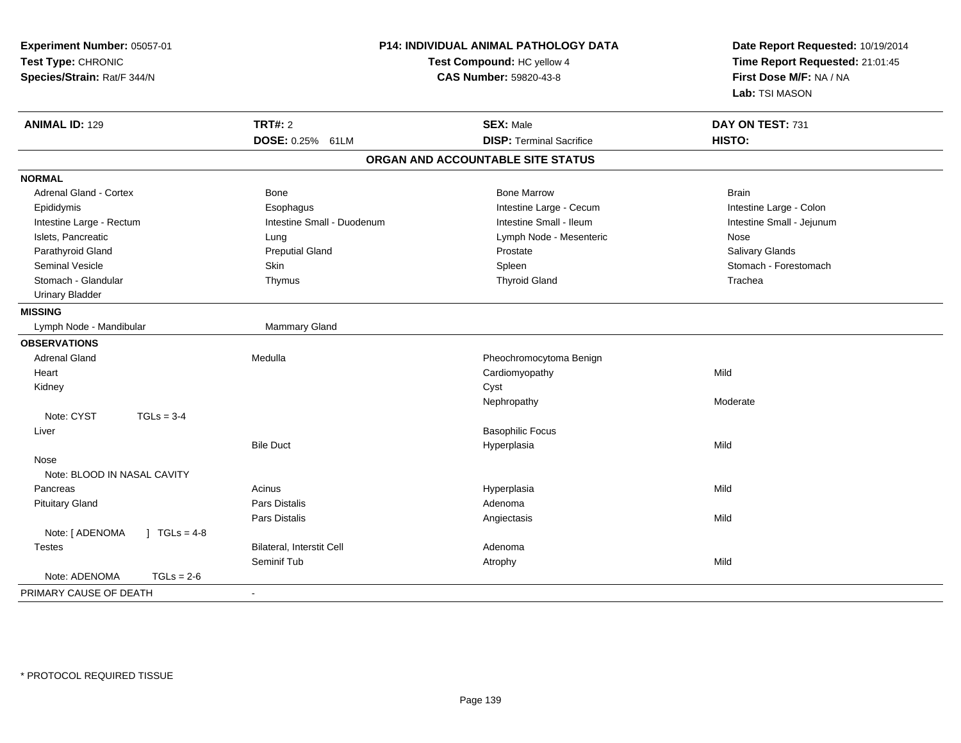| Experiment Number: 05057-01<br>Test Type: CHRONIC<br>Species/Strain: Rat/F 344/N |                                    | P14: INDIVIDUAL ANIMAL PATHOLOGY DATA<br>Test Compound: HC yellow 4<br>CAS Number: 59820-43-8 | Date Report Requested: 10/19/2014<br>Time Report Requested: 21:01:45<br>First Dose M/F: NA / NA<br>Lab: TSI MASON |
|----------------------------------------------------------------------------------|------------------------------------|-----------------------------------------------------------------------------------------------|-------------------------------------------------------------------------------------------------------------------|
| <b>ANIMAL ID: 129</b>                                                            | <b>TRT#: 2</b><br>DOSE: 0.25% 61LM | <b>SEX: Male</b><br><b>DISP: Terminal Sacrifice</b>                                           | DAY ON TEST: 731<br>HISTO:                                                                                        |
|                                                                                  |                                    | ORGAN AND ACCOUNTABLE SITE STATUS                                                             |                                                                                                                   |
| <b>NORMAL</b>                                                                    |                                    |                                                                                               |                                                                                                                   |
| Adrenal Gland - Cortex                                                           | Bone                               | <b>Bone Marrow</b>                                                                            | <b>Brain</b>                                                                                                      |
| Epididymis                                                                       | Esophagus                          | Intestine Large - Cecum                                                                       | Intestine Large - Colon                                                                                           |
| Intestine Large - Rectum                                                         | Intestine Small - Duodenum         | Intestine Small - Ileum                                                                       | Intestine Small - Jejunum                                                                                         |
| Islets, Pancreatic                                                               | Lung                               | Lymph Node - Mesenteric                                                                       | Nose                                                                                                              |
| Parathyroid Gland                                                                | <b>Preputial Gland</b>             | Prostate                                                                                      | Salivary Glands                                                                                                   |
| <b>Seminal Vesicle</b>                                                           | Skin                               | Spleen                                                                                        | Stomach - Forestomach                                                                                             |
| Stomach - Glandular                                                              | Thymus                             | <b>Thyroid Gland</b>                                                                          | Trachea                                                                                                           |
| <b>Urinary Bladder</b>                                                           |                                    |                                                                                               |                                                                                                                   |
| <b>MISSING</b>                                                                   |                                    |                                                                                               |                                                                                                                   |
| Lymph Node - Mandibular                                                          | Mammary Gland                      |                                                                                               |                                                                                                                   |
| <b>OBSERVATIONS</b>                                                              |                                    |                                                                                               |                                                                                                                   |
| <b>Adrenal Gland</b>                                                             | Medulla                            | Pheochromocytoma Benign                                                                       |                                                                                                                   |
| Heart                                                                            |                                    | Cardiomyopathy                                                                                | Mild                                                                                                              |
| Kidney                                                                           |                                    | Cyst                                                                                          |                                                                                                                   |
|                                                                                  |                                    | Nephropathy                                                                                   | Moderate                                                                                                          |
| Note: CYST<br>$TGLs = 3-4$                                                       |                                    |                                                                                               |                                                                                                                   |
| Liver                                                                            |                                    | <b>Basophilic Focus</b>                                                                       |                                                                                                                   |
|                                                                                  | <b>Bile Duct</b>                   | Hyperplasia                                                                                   | Mild                                                                                                              |
| Nose                                                                             |                                    |                                                                                               |                                                                                                                   |
| Note: BLOOD IN NASAL CAVITY                                                      |                                    |                                                                                               |                                                                                                                   |
| Pancreas                                                                         | Acinus                             | Hyperplasia                                                                                   | Mild                                                                                                              |
| <b>Pituitary Gland</b>                                                           | <b>Pars Distalis</b>               | Adenoma                                                                                       |                                                                                                                   |
|                                                                                  | Pars Distalis                      | Angiectasis                                                                                   | Mild                                                                                                              |
| Note: [ ADENOMA<br>$1 TGLs = 4-8$                                                |                                    |                                                                                               |                                                                                                                   |
| <b>Testes</b>                                                                    | Bilateral, Interstit Cell          | Adenoma                                                                                       |                                                                                                                   |
|                                                                                  | Seminif Tub                        | Atrophy                                                                                       | Mild                                                                                                              |
| Note: ADENOMA<br>$TGLs = 2-6$                                                    |                                    |                                                                                               |                                                                                                                   |
| PRIMARY CAUSE OF DEATH                                                           | $\sim$                             |                                                                                               |                                                                                                                   |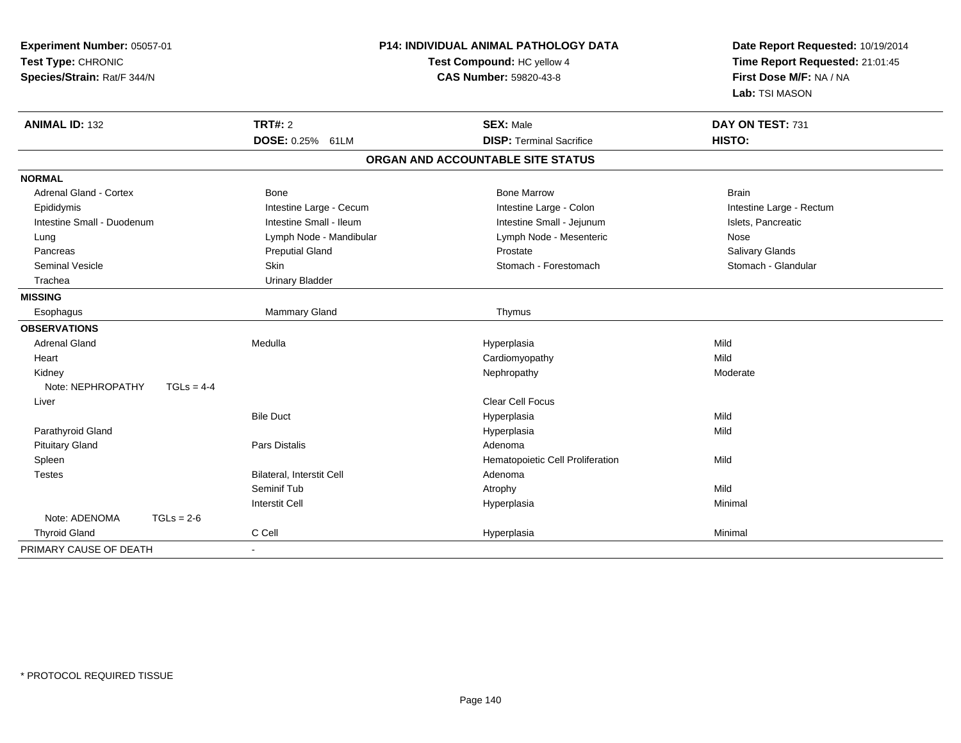| Experiment Number: 05057-01<br>Test Type: CHRONIC<br>Species/Strain: Rat/F 344/N |                                  | P14: INDIVIDUAL ANIMAL PATHOLOGY DATA<br>Test Compound: HC yellow 4<br><b>CAS Number: 59820-43-8</b> | Date Report Requested: 10/19/2014<br>Time Report Requested: 21:01:45<br>First Dose M/F: NA / NA<br>Lab: TSI MASON |
|----------------------------------------------------------------------------------|----------------------------------|------------------------------------------------------------------------------------------------------|-------------------------------------------------------------------------------------------------------------------|
| <b>ANIMAL ID: 132</b>                                                            | <b>TRT#: 2</b>                   | <b>SEX: Male</b>                                                                                     | DAY ON TEST: 731                                                                                                  |
|                                                                                  | DOSE: 0.25% 61LM                 | <b>DISP: Terminal Sacrifice</b>                                                                      | HISTO:                                                                                                            |
|                                                                                  |                                  | ORGAN AND ACCOUNTABLE SITE STATUS                                                                    |                                                                                                                   |
| <b>NORMAL</b>                                                                    |                                  |                                                                                                      |                                                                                                                   |
| Adrenal Gland - Cortex                                                           | <b>Bone</b>                      | <b>Bone Marrow</b>                                                                                   | <b>Brain</b>                                                                                                      |
| Epididymis                                                                       | Intestine Large - Cecum          | Intestine Large - Colon                                                                              | Intestine Large - Rectum                                                                                          |
| Intestine Small - Duodenum                                                       | Intestine Small - Ileum          | Intestine Small - Jejunum                                                                            | Islets, Pancreatic                                                                                                |
| Lung                                                                             | Lymph Node - Mandibular          | Lymph Node - Mesenteric                                                                              | Nose                                                                                                              |
| Pancreas                                                                         | <b>Preputial Gland</b>           | Prostate                                                                                             | Salivary Glands                                                                                                   |
| <b>Seminal Vesicle</b>                                                           | Skin                             | Stomach - Forestomach                                                                                | Stomach - Glandular                                                                                               |
| Trachea                                                                          | <b>Urinary Bladder</b>           |                                                                                                      |                                                                                                                   |
| <b>MISSING</b>                                                                   |                                  |                                                                                                      |                                                                                                                   |
| Esophagus                                                                        | Mammary Gland                    | Thymus                                                                                               |                                                                                                                   |
| <b>OBSERVATIONS</b>                                                              |                                  |                                                                                                      |                                                                                                                   |
| <b>Adrenal Gland</b>                                                             | Medulla                          | Hyperplasia                                                                                          | Mild                                                                                                              |
| Heart                                                                            |                                  | Cardiomyopathy                                                                                       | Mild                                                                                                              |
| Kidney                                                                           |                                  | Nephropathy                                                                                          | Moderate                                                                                                          |
| Note: NEPHROPATHY<br>$TGLs = 4-4$                                                |                                  |                                                                                                      |                                                                                                                   |
| Liver                                                                            |                                  | <b>Clear Cell Focus</b>                                                                              |                                                                                                                   |
|                                                                                  | <b>Bile Duct</b>                 | Hyperplasia                                                                                          | Mild                                                                                                              |
| Parathyroid Gland                                                                |                                  | Hyperplasia                                                                                          | Mild                                                                                                              |
| <b>Pituitary Gland</b>                                                           | Pars Distalis                    | Adenoma                                                                                              |                                                                                                                   |
| Spleen                                                                           |                                  | Hematopoietic Cell Proliferation                                                                     | Mild                                                                                                              |
| <b>Testes</b>                                                                    | <b>Bilateral, Interstit Cell</b> | Adenoma                                                                                              |                                                                                                                   |
|                                                                                  | Seminif Tub                      | Atrophy                                                                                              | Mild                                                                                                              |
|                                                                                  | <b>Interstit Cell</b>            | Hyperplasia                                                                                          | Minimal                                                                                                           |
| Note: ADENOMA<br>$TGLs = 2-6$                                                    |                                  |                                                                                                      |                                                                                                                   |
| <b>Thyroid Gland</b>                                                             | C Cell                           | Hyperplasia                                                                                          | Minimal                                                                                                           |
| PRIMARY CAUSE OF DEATH                                                           |                                  |                                                                                                      |                                                                                                                   |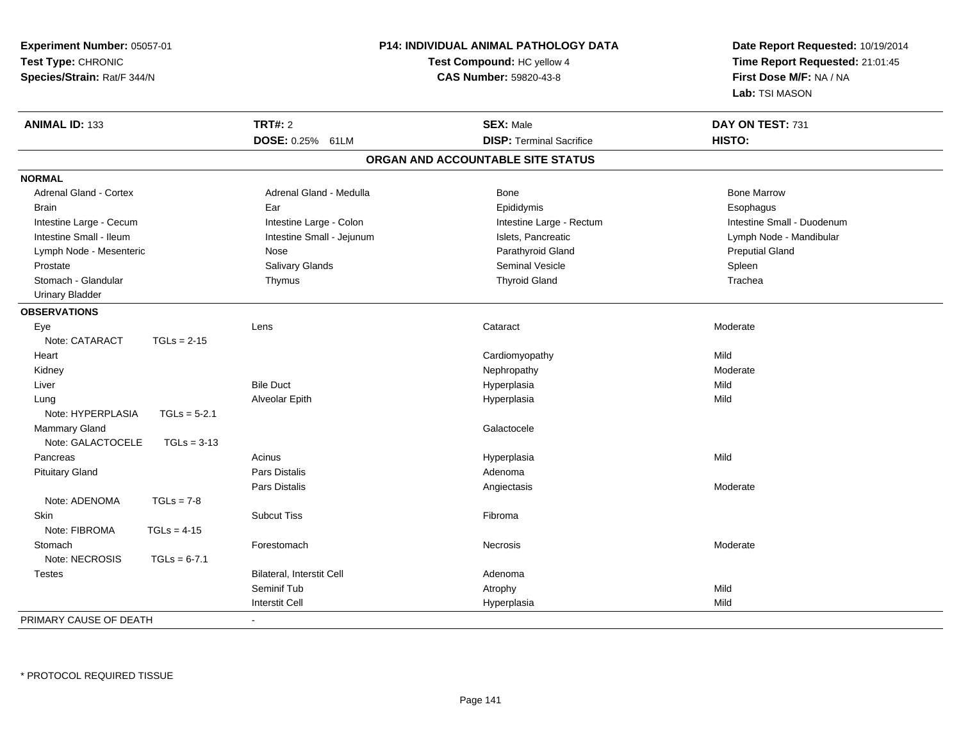| Experiment Number: 05057-01<br>Test Type: CHRONIC<br>Species/Strain: Rat/F 344/N | P14: INDIVIDUAL ANIMAL PATHOLOGY DATA<br>Test Compound: HC yellow 4<br><b>CAS Number: 59820-43-8</b> |                                   | Date Report Requested: 10/19/2014<br>Time Report Requested: 21:01:45<br>First Dose M/F: NA / NA<br>Lab: TSI MASON |
|----------------------------------------------------------------------------------|------------------------------------------------------------------------------------------------------|-----------------------------------|-------------------------------------------------------------------------------------------------------------------|
| <b>ANIMAL ID: 133</b>                                                            | <b>TRT#: 2</b>                                                                                       | <b>SEX: Male</b>                  | DAY ON TEST: 731                                                                                                  |
|                                                                                  | DOSE: 0.25% 61LM                                                                                     | <b>DISP: Terminal Sacrifice</b>   | HISTO:                                                                                                            |
|                                                                                  |                                                                                                      | ORGAN AND ACCOUNTABLE SITE STATUS |                                                                                                                   |
| <b>NORMAL</b>                                                                    |                                                                                                      |                                   |                                                                                                                   |
| Adrenal Gland - Cortex                                                           | Adrenal Gland - Medulla                                                                              | Bone                              | <b>Bone Marrow</b>                                                                                                |
| <b>Brain</b>                                                                     | Ear                                                                                                  | Epididymis                        | Esophagus                                                                                                         |
| Intestine Large - Cecum                                                          | Intestine Large - Colon                                                                              | Intestine Large - Rectum          | Intestine Small - Duodenum                                                                                        |
| Intestine Small - Ileum                                                          | Intestine Small - Jejunum                                                                            | Islets, Pancreatic                | Lymph Node - Mandibular                                                                                           |
| Lymph Node - Mesenteric                                                          | Nose                                                                                                 | Parathyroid Gland                 | <b>Preputial Gland</b>                                                                                            |
| Prostate                                                                         | Salivary Glands                                                                                      | Seminal Vesicle                   | Spleen                                                                                                            |
| Stomach - Glandular                                                              | Thymus                                                                                               | <b>Thyroid Gland</b>              | Trachea                                                                                                           |
| <b>Urinary Bladder</b>                                                           |                                                                                                      |                                   |                                                                                                                   |
| <b>OBSERVATIONS</b>                                                              |                                                                                                      |                                   |                                                                                                                   |
| Eye                                                                              | Lens                                                                                                 | Cataract                          | Moderate                                                                                                          |
| Note: CATARACT<br>$TGLs = 2-15$                                                  |                                                                                                      |                                   |                                                                                                                   |
| Heart                                                                            |                                                                                                      | Cardiomyopathy                    | Mild                                                                                                              |
| Kidney                                                                           |                                                                                                      | Nephropathy                       | Moderate                                                                                                          |
| Liver                                                                            | <b>Bile Duct</b>                                                                                     | Hyperplasia                       | Mild                                                                                                              |
| Lung                                                                             | Alveolar Epith                                                                                       | Hyperplasia                       | Mild                                                                                                              |
| Note: HYPERPLASIA<br>$TGLs = 5-2.1$                                              |                                                                                                      |                                   |                                                                                                                   |
| Mammary Gland                                                                    |                                                                                                      | Galactocele                       |                                                                                                                   |
| Note: GALACTOCELE<br>$TGLs = 3-13$                                               |                                                                                                      |                                   |                                                                                                                   |
| Pancreas                                                                         | Acinus                                                                                               | Hyperplasia                       | Mild                                                                                                              |
| <b>Pituitary Gland</b>                                                           | Pars Distalis                                                                                        | Adenoma                           |                                                                                                                   |
|                                                                                  | <b>Pars Distalis</b>                                                                                 | Angiectasis                       | Moderate                                                                                                          |
| Note: ADENOMA<br>$TGLs = 7-8$                                                    |                                                                                                      |                                   |                                                                                                                   |
| <b>Skin</b>                                                                      | <b>Subcut Tiss</b>                                                                                   | Fibroma                           |                                                                                                                   |
| Note: FIBROMA<br>$TGLs = 4-15$                                                   |                                                                                                      |                                   |                                                                                                                   |
| Stomach                                                                          | Forestomach                                                                                          | <b>Necrosis</b>                   | Moderate                                                                                                          |
| Note: NECROSIS<br>$TGLs = 6-7.1$                                                 |                                                                                                      |                                   |                                                                                                                   |
| <b>Testes</b>                                                                    | Bilateral, Interstit Cell                                                                            | Adenoma                           |                                                                                                                   |
|                                                                                  | Seminif Tub                                                                                          | Atrophy                           | Mild                                                                                                              |
|                                                                                  | <b>Interstit Cell</b>                                                                                | Hyperplasia                       | Mild                                                                                                              |
| PRIMARY CAUSE OF DEATH                                                           |                                                                                                      |                                   |                                                                                                                   |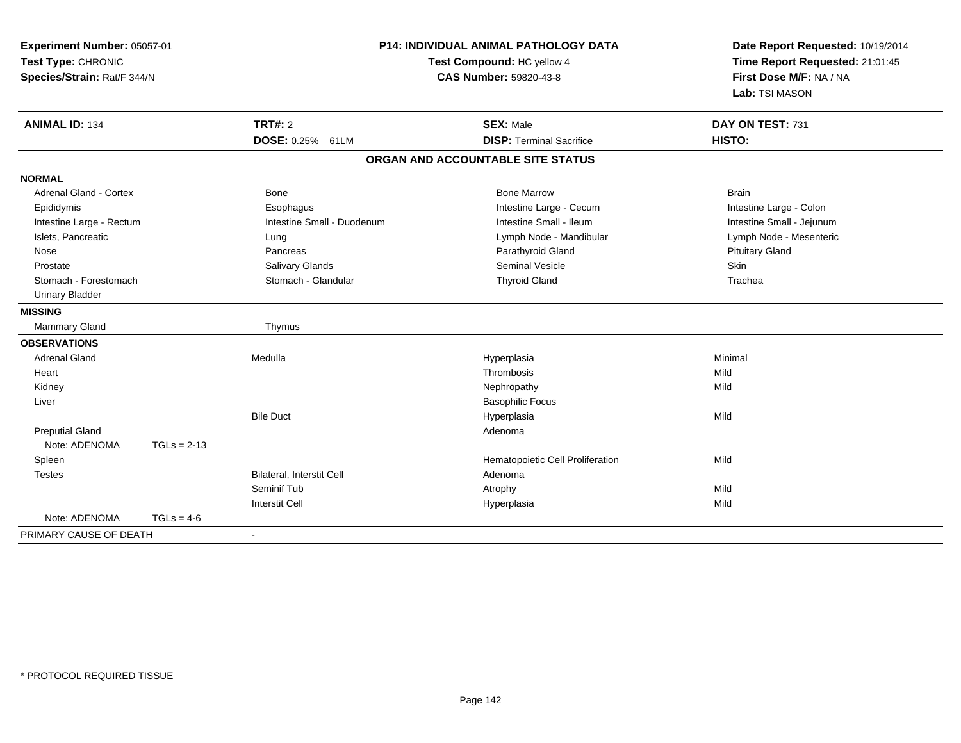| P14: INDIVIDUAL ANIMAL PATHOLOGY DATA<br>Experiment Number: 05057-01<br>Test Type: CHRONIC<br>Test Compound: HC yellow 4<br><b>CAS Number: 59820-43-8</b><br>Species/Strain: Rat/F 344/N |               |                                  | Date Report Requested: 10/19/2014<br>Time Report Requested: 21:01:45<br>First Dose M/F: NA / NA<br>Lab: TSI MASON |                           |
|------------------------------------------------------------------------------------------------------------------------------------------------------------------------------------------|---------------|----------------------------------|-------------------------------------------------------------------------------------------------------------------|---------------------------|
| <b>ANIMAL ID: 134</b>                                                                                                                                                                    |               | <b>TRT#: 2</b>                   | <b>SEX: Male</b>                                                                                                  | DAY ON TEST: 731          |
|                                                                                                                                                                                          |               | DOSE: 0.25% 61LM                 | <b>DISP: Terminal Sacrifice</b>                                                                                   | HISTO:                    |
|                                                                                                                                                                                          |               |                                  | ORGAN AND ACCOUNTABLE SITE STATUS                                                                                 |                           |
| <b>NORMAL</b>                                                                                                                                                                            |               |                                  |                                                                                                                   |                           |
| <b>Adrenal Gland - Cortex</b>                                                                                                                                                            |               | Bone                             | <b>Bone Marrow</b>                                                                                                | <b>Brain</b>              |
| Epididymis                                                                                                                                                                               |               | Esophagus                        | Intestine Large - Cecum                                                                                           | Intestine Large - Colon   |
| Intestine Large - Rectum                                                                                                                                                                 |               | Intestine Small - Duodenum       | Intestine Small - Ileum                                                                                           | Intestine Small - Jejunum |
| Islets, Pancreatic                                                                                                                                                                       |               | Lung                             | Lymph Node - Mandibular                                                                                           | Lymph Node - Mesenteric   |
| Nose                                                                                                                                                                                     |               | Pancreas                         | Parathyroid Gland                                                                                                 | <b>Pituitary Gland</b>    |
| Prostate                                                                                                                                                                                 |               | Salivary Glands                  | <b>Seminal Vesicle</b>                                                                                            | Skin                      |
| Stomach - Forestomach                                                                                                                                                                    |               | Stomach - Glandular              | <b>Thyroid Gland</b>                                                                                              | Trachea                   |
| <b>Urinary Bladder</b>                                                                                                                                                                   |               |                                  |                                                                                                                   |                           |
| <b>MISSING</b>                                                                                                                                                                           |               |                                  |                                                                                                                   |                           |
| Mammary Gland                                                                                                                                                                            |               | Thymus                           |                                                                                                                   |                           |
| <b>OBSERVATIONS</b>                                                                                                                                                                      |               |                                  |                                                                                                                   |                           |
| <b>Adrenal Gland</b>                                                                                                                                                                     |               | Medulla                          | Hyperplasia                                                                                                       | Minimal                   |
| Heart                                                                                                                                                                                    |               |                                  | Thrombosis                                                                                                        | Mild                      |
| Kidney                                                                                                                                                                                   |               |                                  | Nephropathy                                                                                                       | Mild                      |
| Liver                                                                                                                                                                                    |               |                                  | <b>Basophilic Focus</b>                                                                                           |                           |
|                                                                                                                                                                                          |               | <b>Bile Duct</b>                 | Hyperplasia                                                                                                       | Mild                      |
| <b>Preputial Gland</b>                                                                                                                                                                   |               |                                  | Adenoma                                                                                                           |                           |
| Note: ADENOMA                                                                                                                                                                            | $TGLs = 2-13$ |                                  |                                                                                                                   |                           |
| Spleen                                                                                                                                                                                   |               |                                  | Hematopoietic Cell Proliferation                                                                                  | Mild                      |
| <b>Testes</b>                                                                                                                                                                            |               | <b>Bilateral, Interstit Cell</b> | Adenoma                                                                                                           |                           |
|                                                                                                                                                                                          |               | Seminif Tub                      | Atrophy                                                                                                           | Mild                      |
|                                                                                                                                                                                          |               | <b>Interstit Cell</b>            | Hyperplasia                                                                                                       | Mild                      |
| Note: ADENOMA                                                                                                                                                                            | $TGLs = 4-6$  |                                  |                                                                                                                   |                           |
| PRIMARY CAUSE OF DEATH                                                                                                                                                                   |               | $\blacksquare$                   |                                                                                                                   |                           |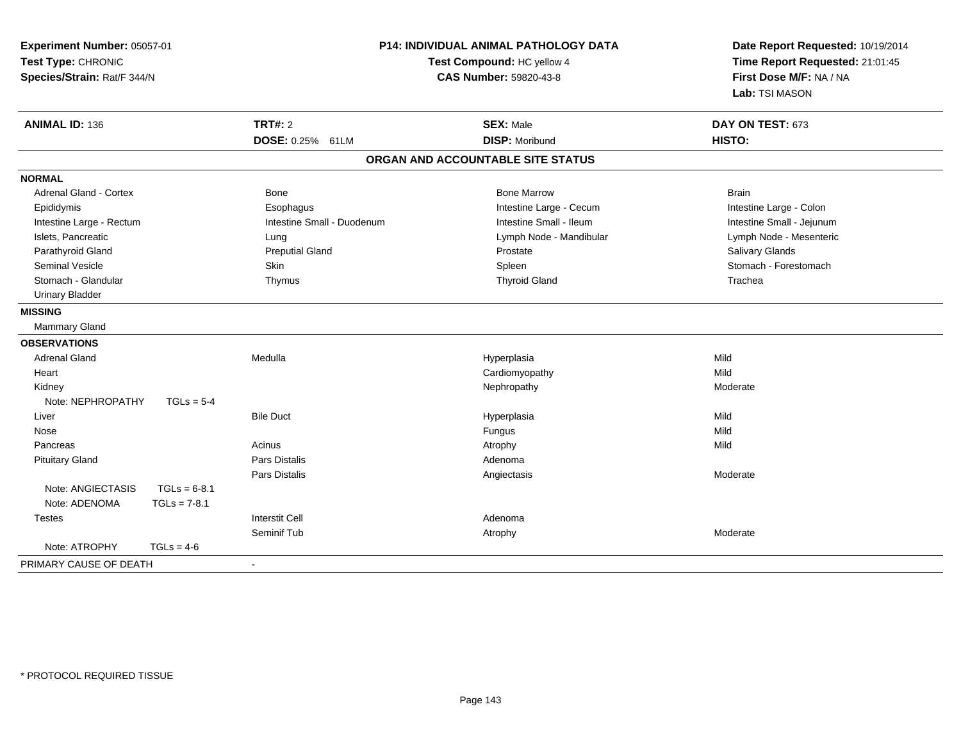| Experiment Number: 05057-01<br>Test Type: CHRONIC<br>Species/Strain: Rat/F 344/N |                | P14: INDIVIDUAL ANIMAL PATHOLOGY DATA<br>Test Compound: HC yellow 4<br><b>CAS Number: 59820-43-8</b> |                                   | Date Report Requested: 10/19/2014<br>Time Report Requested: 21:01:45<br>First Dose M/F: NA / NA<br>Lab: TSI MASON |
|----------------------------------------------------------------------------------|----------------|------------------------------------------------------------------------------------------------------|-----------------------------------|-------------------------------------------------------------------------------------------------------------------|
| <b>ANIMAL ID: 136</b>                                                            |                | <b>TRT#: 2</b>                                                                                       | <b>SEX: Male</b>                  | DAY ON TEST: 673                                                                                                  |
|                                                                                  |                | DOSE: 0.25% 61LM                                                                                     | <b>DISP: Moribund</b>             | HISTO:                                                                                                            |
|                                                                                  |                |                                                                                                      | ORGAN AND ACCOUNTABLE SITE STATUS |                                                                                                                   |
| <b>NORMAL</b>                                                                    |                |                                                                                                      |                                   |                                                                                                                   |
| <b>Adrenal Gland - Cortex</b>                                                    |                | <b>Bone</b>                                                                                          | <b>Bone Marrow</b>                | <b>Brain</b>                                                                                                      |
| Epididymis                                                                       |                | Esophagus                                                                                            | Intestine Large - Cecum           | Intestine Large - Colon                                                                                           |
| Intestine Large - Rectum                                                         |                | Intestine Small - Duodenum                                                                           | Intestine Small - Ileum           | Intestine Small - Jejunum                                                                                         |
| Islets, Pancreatic                                                               |                | Lung                                                                                                 | Lymph Node - Mandibular           | Lymph Node - Mesenteric                                                                                           |
| Parathyroid Gland                                                                |                | <b>Preputial Gland</b>                                                                               | Prostate                          | Salivary Glands                                                                                                   |
| <b>Seminal Vesicle</b>                                                           |                | Skin                                                                                                 | Spleen                            | Stomach - Forestomach                                                                                             |
| Stomach - Glandular                                                              |                | Thymus                                                                                               | <b>Thyroid Gland</b>              | Trachea                                                                                                           |
| <b>Urinary Bladder</b>                                                           |                |                                                                                                      |                                   |                                                                                                                   |
| <b>MISSING</b>                                                                   |                |                                                                                                      |                                   |                                                                                                                   |
| Mammary Gland                                                                    |                |                                                                                                      |                                   |                                                                                                                   |
| <b>OBSERVATIONS</b>                                                              |                |                                                                                                      |                                   |                                                                                                                   |
| <b>Adrenal Gland</b>                                                             |                | Medulla                                                                                              | Hyperplasia                       | Mild                                                                                                              |
| Heart                                                                            |                |                                                                                                      | Cardiomyopathy                    | Mild                                                                                                              |
| Kidney                                                                           |                |                                                                                                      | Nephropathy                       | Moderate                                                                                                          |
| Note: NEPHROPATHY                                                                | $TGLs = 5-4$   |                                                                                                      |                                   |                                                                                                                   |
| Liver                                                                            |                | <b>Bile Duct</b>                                                                                     | Hyperplasia                       | Mild                                                                                                              |
| Nose                                                                             |                |                                                                                                      | Fungus                            | Mild                                                                                                              |
| Pancreas                                                                         |                | Acinus                                                                                               | Atrophy                           | Mild                                                                                                              |
| <b>Pituitary Gland</b>                                                           |                | <b>Pars Distalis</b>                                                                                 | Adenoma                           |                                                                                                                   |
|                                                                                  |                | Pars Distalis                                                                                        | Angiectasis                       | Moderate                                                                                                          |
| Note: ANGIECTASIS                                                                | $TGLs = 6-8.1$ |                                                                                                      |                                   |                                                                                                                   |
| Note: ADENOMA                                                                    | $TGLs = 7-8.1$ |                                                                                                      |                                   |                                                                                                                   |
| <b>Testes</b>                                                                    |                | <b>Interstit Cell</b>                                                                                | Adenoma                           |                                                                                                                   |
|                                                                                  |                | Seminif Tub                                                                                          | Atrophy                           | Moderate                                                                                                          |
| Note: ATROPHY                                                                    | $TGLs = 4-6$   |                                                                                                      |                                   |                                                                                                                   |
| PRIMARY CAUSE OF DEATH                                                           |                | $\blacksquare$                                                                                       |                                   |                                                                                                                   |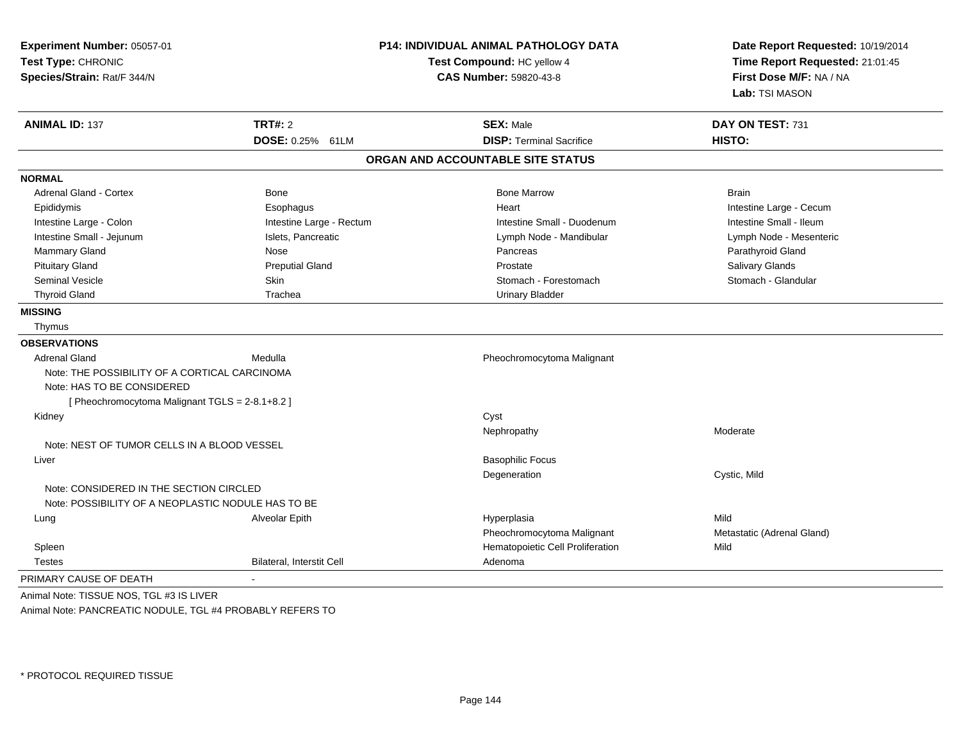| Experiment Number: 05057-01<br>Test Type: CHRONIC<br>Species/Strain: Rat/F 344/N                                               |                                  | <b>P14: INDIVIDUAL ANIMAL PATHOLOGY DATA</b><br>Test Compound: HC yellow 4<br><b>CAS Number: 59820-43-8</b> | Date Report Requested: 10/19/2014<br>Time Report Requested: 21:01:45<br>First Dose M/F: NA / NA<br>Lab: TSI MASON |
|--------------------------------------------------------------------------------------------------------------------------------|----------------------------------|-------------------------------------------------------------------------------------------------------------|-------------------------------------------------------------------------------------------------------------------|
| <b>ANIMAL ID: 137</b>                                                                                                          | <b>TRT#: 2</b>                   | <b>SEX: Male</b>                                                                                            | DAY ON TEST: 731                                                                                                  |
|                                                                                                                                | DOSE: 0.25% 61LM                 | <b>DISP: Terminal Sacrifice</b>                                                                             | HISTO:                                                                                                            |
|                                                                                                                                |                                  | ORGAN AND ACCOUNTABLE SITE STATUS                                                                           |                                                                                                                   |
| <b>NORMAL</b>                                                                                                                  |                                  |                                                                                                             |                                                                                                                   |
| <b>Adrenal Gland - Cortex</b>                                                                                                  | <b>Bone</b>                      | <b>Bone Marrow</b>                                                                                          | <b>Brain</b>                                                                                                      |
| Epididymis                                                                                                                     | Esophagus                        | Heart                                                                                                       | Intestine Large - Cecum                                                                                           |
| Intestine Large - Colon                                                                                                        | Intestine Large - Rectum         | Intestine Small - Duodenum                                                                                  | Intestine Small - Ileum                                                                                           |
| Intestine Small - Jejunum                                                                                                      | Islets, Pancreatic               | Lymph Node - Mandibular                                                                                     | Lymph Node - Mesenteric                                                                                           |
| Mammary Gland                                                                                                                  | Nose                             | Pancreas                                                                                                    | Parathyroid Gland                                                                                                 |
| <b>Pituitary Gland</b>                                                                                                         | <b>Preputial Gland</b>           | Prostate                                                                                                    | Salivary Glands                                                                                                   |
| <b>Seminal Vesicle</b>                                                                                                         | <b>Skin</b>                      | Stomach - Forestomach                                                                                       | Stomach - Glandular                                                                                               |
| <b>Thyroid Gland</b>                                                                                                           | Trachea                          | <b>Urinary Bladder</b>                                                                                      |                                                                                                                   |
| <b>MISSING</b>                                                                                                                 |                                  |                                                                                                             |                                                                                                                   |
| Thymus                                                                                                                         |                                  |                                                                                                             |                                                                                                                   |
| <b>OBSERVATIONS</b>                                                                                                            |                                  |                                                                                                             |                                                                                                                   |
| <b>Adrenal Gland</b>                                                                                                           | Medulla                          | Pheochromocytoma Malignant                                                                                  |                                                                                                                   |
| Note: THE POSSIBILITY OF A CORTICAL CARCINOMA<br>Note: HAS TO BE CONSIDERED<br>[ Pheochromocytoma Malignant TGLS = 2-8.1+8.2 ] |                                  |                                                                                                             |                                                                                                                   |
| Kidney                                                                                                                         |                                  | Cyst                                                                                                        |                                                                                                                   |
|                                                                                                                                |                                  | Nephropathy                                                                                                 | Moderate                                                                                                          |
| Note: NEST OF TUMOR CELLS IN A BLOOD VESSEL                                                                                    |                                  |                                                                                                             |                                                                                                                   |
| Liver                                                                                                                          |                                  | <b>Basophilic Focus</b>                                                                                     |                                                                                                                   |
|                                                                                                                                |                                  | Degeneration                                                                                                | Cystic, Mild                                                                                                      |
| Note: CONSIDERED IN THE SECTION CIRCLED<br>Note: POSSIBILITY OF A NEOPLASTIC NODULE HAS TO BE                                  |                                  |                                                                                                             |                                                                                                                   |
| Lung                                                                                                                           | Alveolar Epith                   | Hyperplasia                                                                                                 | Mild                                                                                                              |
|                                                                                                                                |                                  | Pheochromocytoma Malignant                                                                                  | Metastatic (Adrenal Gland)                                                                                        |
| Spleen                                                                                                                         |                                  | Hematopoietic Cell Proliferation                                                                            | Mild                                                                                                              |
| <b>Testes</b>                                                                                                                  | <b>Bilateral, Interstit Cell</b> | Adenoma                                                                                                     |                                                                                                                   |
| PRIMARY CAUSE OF DEATH                                                                                                         | $\mathbf{r}$                     |                                                                                                             |                                                                                                                   |

Animal Note: TISSUE NOS, TGL #3 IS LIVERAnimal Note: PANCREATIC NODULE, TGL #4 PROBABLY REFERS TO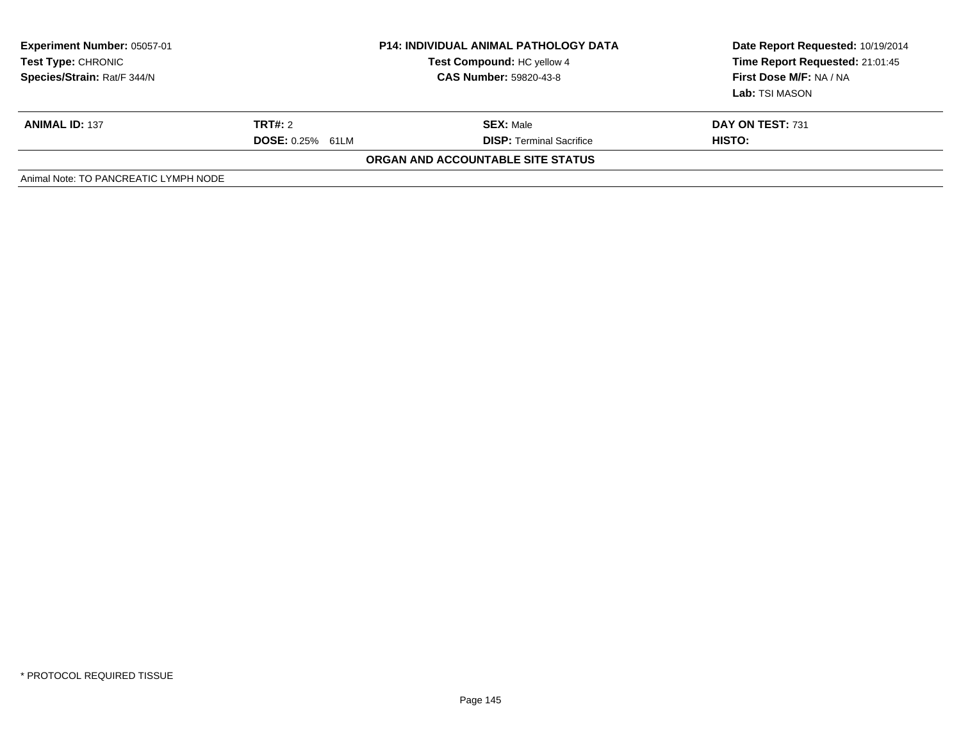| <b>Experiment Number: 05057-01</b><br><b>Test Type: CHRONIC</b><br>Species/Strain: Rat/F 344/N | <b>P14: INDIVIDUAL ANIMAL PATHOLOGY DATA</b><br>Test Compound: HC yellow 4<br><b>CAS Number: 59820-43-8</b> |                                                     | Date Report Requested: 10/19/2014<br>Time Report Requested: 21:01:45<br>First Dose M/F: NA / NA<br>Lab: TSI MASON |  |
|------------------------------------------------------------------------------------------------|-------------------------------------------------------------------------------------------------------------|-----------------------------------------------------|-------------------------------------------------------------------------------------------------------------------|--|
| <b>ANIMAL ID: 137</b>                                                                          | TRT#: 2<br><b>DOSE: 0.25% 61LM</b>                                                                          | <b>SEX: Male</b><br><b>DISP:</b> Terminal Sacrifice | DAY ON TEST: 731<br>HISTO:                                                                                        |  |
| <b>ORGAN AND ACCOUNTABLE SITE STATUS</b>                                                       |                                                                                                             |                                                     |                                                                                                                   |  |
| Animal Note: TO PANCREATIC LYMPH NODE                                                          |                                                                                                             |                                                     |                                                                                                                   |  |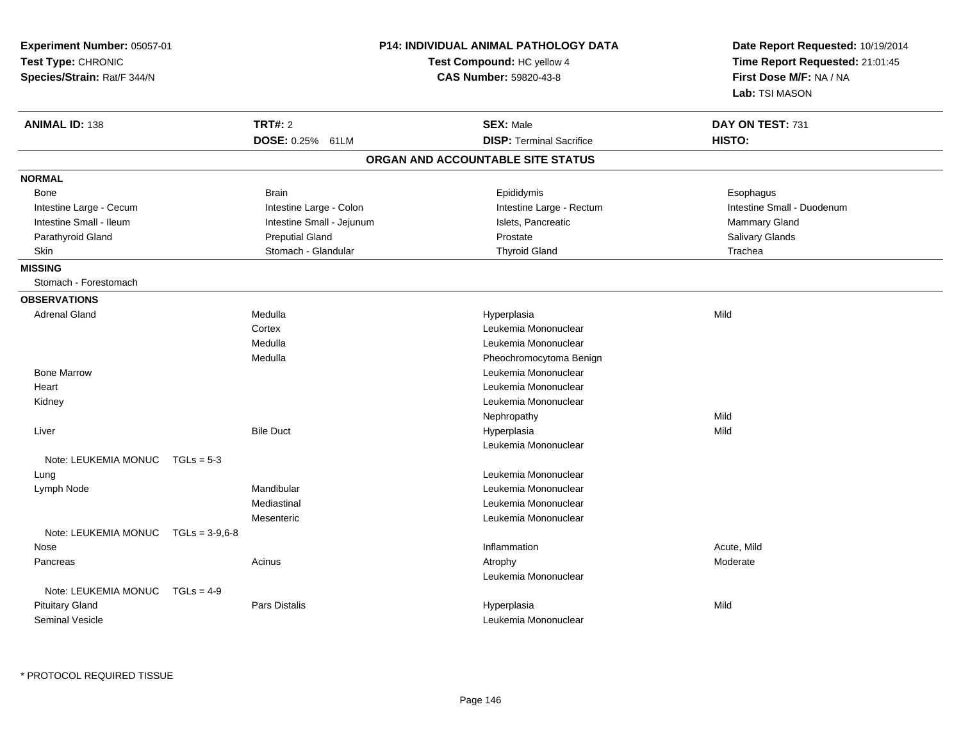| Experiment Number: 05057-01<br>Test Type: CHRONIC<br>Species/Strain: Rat/F 344/N |                  |                           | <b>P14: INDIVIDUAL ANIMAL PATHOLOGY DATA</b><br>Test Compound: HC yellow 4<br><b>CAS Number: 59820-43-8</b> |                                   | Date Report Requested: 10/19/2014<br>Time Report Requested: 21:01:45<br>First Dose M/F: NA / NA<br>Lab: TSI MASON |  |
|----------------------------------------------------------------------------------|------------------|---------------------------|-------------------------------------------------------------------------------------------------------------|-----------------------------------|-------------------------------------------------------------------------------------------------------------------|--|
| <b>ANIMAL ID: 138</b>                                                            |                  | <b>TRT#: 2</b>            |                                                                                                             | <b>SEX: Male</b>                  | DAY ON TEST: 731                                                                                                  |  |
|                                                                                  |                  | DOSE: 0.25% 61LM          |                                                                                                             | <b>DISP: Terminal Sacrifice</b>   | HISTO:                                                                                                            |  |
|                                                                                  |                  |                           |                                                                                                             | ORGAN AND ACCOUNTABLE SITE STATUS |                                                                                                                   |  |
| <b>NORMAL</b>                                                                    |                  |                           |                                                                                                             |                                   |                                                                                                                   |  |
| <b>Bone</b>                                                                      |                  | <b>Brain</b>              |                                                                                                             | Epididymis                        | Esophagus                                                                                                         |  |
| Intestine Large - Cecum                                                          |                  | Intestine Large - Colon   |                                                                                                             | Intestine Large - Rectum          | Intestine Small - Duodenum                                                                                        |  |
| Intestine Small - Ileum                                                          |                  | Intestine Small - Jejunum |                                                                                                             | Islets, Pancreatic                | Mammary Gland                                                                                                     |  |
| Parathyroid Gland                                                                |                  | <b>Preputial Gland</b>    |                                                                                                             | Prostate                          | Salivary Glands                                                                                                   |  |
| <b>Skin</b>                                                                      |                  | Stomach - Glandular       |                                                                                                             | <b>Thyroid Gland</b>              | Trachea                                                                                                           |  |
| <b>MISSING</b>                                                                   |                  |                           |                                                                                                             |                                   |                                                                                                                   |  |
| Stomach - Forestomach                                                            |                  |                           |                                                                                                             |                                   |                                                                                                                   |  |
| <b>OBSERVATIONS</b>                                                              |                  |                           |                                                                                                             |                                   |                                                                                                                   |  |
| <b>Adrenal Gland</b>                                                             |                  | Medulla                   |                                                                                                             | Hyperplasia                       | Mild                                                                                                              |  |
|                                                                                  |                  | Cortex                    |                                                                                                             | Leukemia Mononuclear              |                                                                                                                   |  |
|                                                                                  |                  | Medulla                   |                                                                                                             | Leukemia Mononuclear              |                                                                                                                   |  |
|                                                                                  |                  | Medulla                   |                                                                                                             | Pheochromocytoma Benign           |                                                                                                                   |  |
| <b>Bone Marrow</b>                                                               |                  |                           |                                                                                                             | Leukemia Mononuclear              |                                                                                                                   |  |
| Heart                                                                            |                  |                           |                                                                                                             | Leukemia Mononuclear              |                                                                                                                   |  |
| Kidney                                                                           |                  |                           |                                                                                                             | Leukemia Mononuclear              |                                                                                                                   |  |
|                                                                                  |                  |                           |                                                                                                             | Nephropathy                       | Mild                                                                                                              |  |
| Liver                                                                            |                  | <b>Bile Duct</b>          |                                                                                                             | Hyperplasia                       | Mild                                                                                                              |  |
|                                                                                  |                  |                           |                                                                                                             | Leukemia Mononuclear              |                                                                                                                   |  |
| Note: LEUKEMIA MONUC                                                             | $TGLs = 5-3$     |                           |                                                                                                             |                                   |                                                                                                                   |  |
| Lung                                                                             |                  |                           |                                                                                                             | Leukemia Mononuclear              |                                                                                                                   |  |
| Lymph Node                                                                       |                  | Mandibular                |                                                                                                             | Leukemia Mononuclear              |                                                                                                                   |  |
|                                                                                  |                  | Mediastinal               |                                                                                                             | Leukemia Mononuclear              |                                                                                                                   |  |
|                                                                                  |                  | Mesenteric                |                                                                                                             | Leukemia Mononuclear              |                                                                                                                   |  |
| Note: LEUKEMIA MONUC                                                             | $TGLs = 3-9.6-8$ |                           |                                                                                                             |                                   |                                                                                                                   |  |
| Nose                                                                             |                  |                           |                                                                                                             | Inflammation                      | Acute, Mild                                                                                                       |  |
| Pancreas                                                                         |                  | Acinus                    |                                                                                                             | Atrophy                           | Moderate                                                                                                          |  |
|                                                                                  |                  |                           |                                                                                                             | Leukemia Mononuclear              |                                                                                                                   |  |
| Note: LEUKEMIA MONUC                                                             | $TGLs = 4-9$     |                           |                                                                                                             |                                   |                                                                                                                   |  |
| <b>Pituitary Gland</b>                                                           |                  | <b>Pars Distalis</b>      |                                                                                                             | Hyperplasia                       | Mild                                                                                                              |  |
| <b>Seminal Vesicle</b>                                                           |                  |                           |                                                                                                             | Leukemia Mononuclear              |                                                                                                                   |  |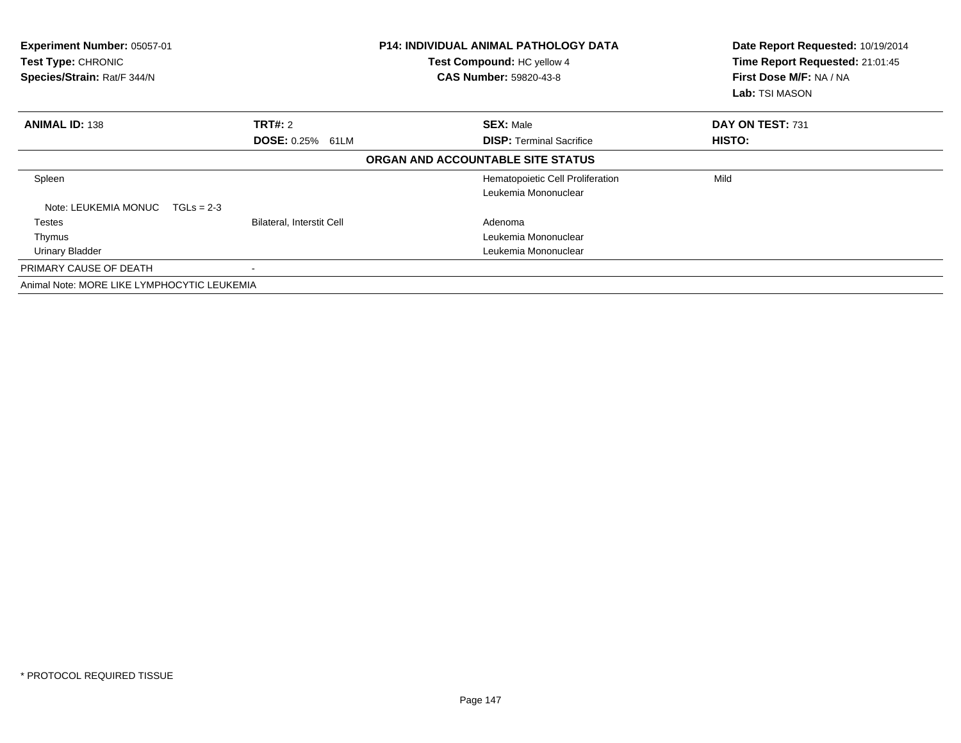| Experiment Number: 05057-01<br>Test Type: CHRONIC<br>Species/Strain: Rat/F 344/N |                           | <b>P14: INDIVIDUAL ANIMAL PATHOLOGY DATA</b><br>Test Compound: HC yellow 4<br><b>CAS Number: 59820-43-8</b> | Date Report Requested: 10/19/2014<br>Time Report Requested: 21:01:45<br>First Dose M/F: NA / NA<br><b>Lab:</b> TSI MASON |
|----------------------------------------------------------------------------------|---------------------------|-------------------------------------------------------------------------------------------------------------|--------------------------------------------------------------------------------------------------------------------------|
| <b>ANIMAL ID: 138</b>                                                            | TRT#: 2                   | <b>SEX: Male</b>                                                                                            | DAY ON TEST: 731                                                                                                         |
|                                                                                  | <b>DOSE: 0.25% 61LM</b>   | <b>DISP:</b> Terminal Sacrifice                                                                             | <b>HISTO:</b>                                                                                                            |
|                                                                                  |                           | ORGAN AND ACCOUNTABLE SITE STATUS                                                                           |                                                                                                                          |
| Spleen                                                                           |                           | Hematopoietic Cell Proliferation                                                                            | Mild                                                                                                                     |
|                                                                                  |                           | Leukemia Mononuclear                                                                                        |                                                                                                                          |
| Note: LEUKEMIA MONUC<br>$TGLs = 2-3$                                             |                           |                                                                                                             |                                                                                                                          |
| <b>Testes</b>                                                                    | Bilateral, Interstit Cell | Adenoma                                                                                                     |                                                                                                                          |
| Thymus                                                                           |                           | Leukemia Mononuclear                                                                                        |                                                                                                                          |
| <b>Urinary Bladder</b>                                                           |                           | Leukemia Mononuclear                                                                                        |                                                                                                                          |
| PRIMARY CAUSE OF DEATH                                                           |                           |                                                                                                             |                                                                                                                          |
| Animal Note: MORE LIKE LYMPHOCYTIC LEUKEMIA                                      |                           |                                                                                                             |                                                                                                                          |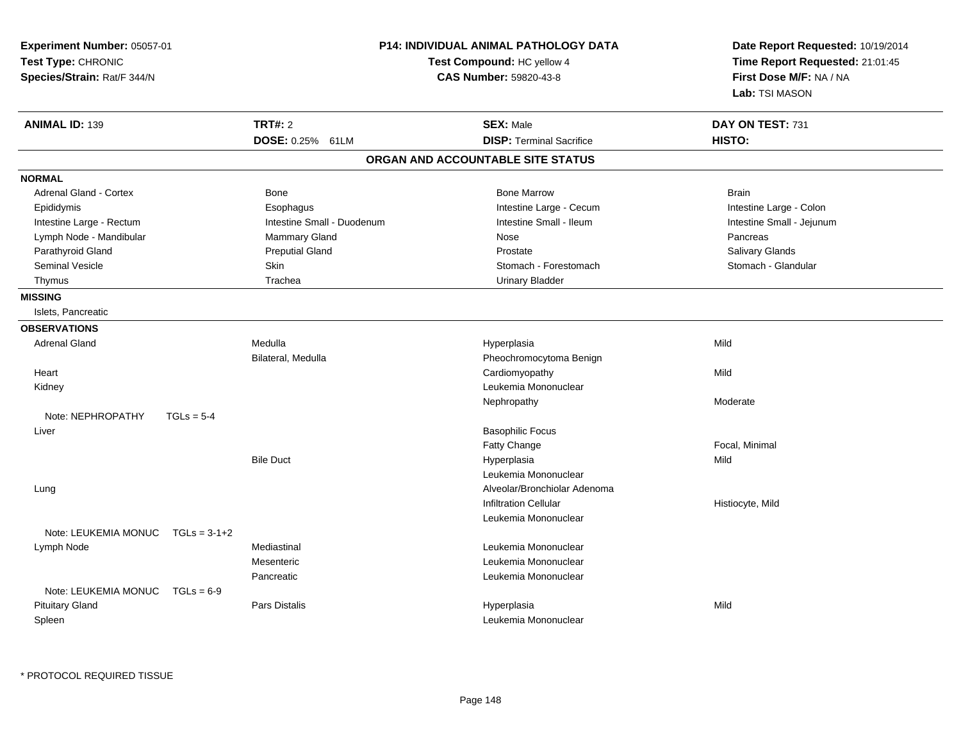| <b>Experiment Number: 05057-01</b><br>Test Type: CHRONIC<br>Species/Strain: Rat/F 344/N |                            | <b>P14: INDIVIDUAL ANIMAL PATHOLOGY DATA</b><br>Test Compound: HC yellow 4<br><b>CAS Number: 59820-43-8</b> | Date Report Requested: 10/19/2014<br>Time Report Requested: 21:01:45<br>First Dose M/F: NA / NA<br>Lab: TSI MASON |
|-----------------------------------------------------------------------------------------|----------------------------|-------------------------------------------------------------------------------------------------------------|-------------------------------------------------------------------------------------------------------------------|
| <b>ANIMAL ID: 139</b>                                                                   | <b>TRT#: 2</b>             | <b>SEX: Male</b>                                                                                            | DAY ON TEST: 731                                                                                                  |
|                                                                                         | DOSE: 0.25% 61LM           | <b>DISP: Terminal Sacrifice</b>                                                                             | HISTO:                                                                                                            |
|                                                                                         |                            | ORGAN AND ACCOUNTABLE SITE STATUS                                                                           |                                                                                                                   |
| <b>NORMAL</b>                                                                           |                            |                                                                                                             |                                                                                                                   |
| <b>Adrenal Gland - Cortex</b>                                                           | <b>Bone</b>                | <b>Bone Marrow</b>                                                                                          | <b>Brain</b>                                                                                                      |
| Epididymis                                                                              | Esophagus                  | Intestine Large - Cecum                                                                                     | Intestine Large - Colon                                                                                           |
| Intestine Large - Rectum                                                                | Intestine Small - Duodenum | Intestine Small - Ileum                                                                                     | Intestine Small - Jejunum                                                                                         |
| Lymph Node - Mandibular                                                                 | Mammary Gland              | Nose                                                                                                        | Pancreas                                                                                                          |
| Parathyroid Gland                                                                       | <b>Preputial Gland</b>     | Prostate                                                                                                    | Salivary Glands                                                                                                   |
| <b>Seminal Vesicle</b>                                                                  | <b>Skin</b>                | Stomach - Forestomach                                                                                       | Stomach - Glandular                                                                                               |
| Thymus                                                                                  | Trachea                    | <b>Urinary Bladder</b>                                                                                      |                                                                                                                   |
| <b>MISSING</b>                                                                          |                            |                                                                                                             |                                                                                                                   |
| Islets, Pancreatic                                                                      |                            |                                                                                                             |                                                                                                                   |
| <b>OBSERVATIONS</b>                                                                     |                            |                                                                                                             |                                                                                                                   |
| <b>Adrenal Gland</b>                                                                    | Medulla                    | Hyperplasia                                                                                                 | Mild                                                                                                              |
|                                                                                         | Bilateral, Medulla         | Pheochromocytoma Benign                                                                                     |                                                                                                                   |
| Heart                                                                                   |                            | Cardiomyopathy                                                                                              | Mild                                                                                                              |
| Kidney                                                                                  |                            | Leukemia Mononuclear                                                                                        |                                                                                                                   |
|                                                                                         |                            | Nephropathy                                                                                                 | Moderate                                                                                                          |
| Note: NEPHROPATHY<br>$TGLs = 5-4$                                                       |                            |                                                                                                             |                                                                                                                   |
| Liver                                                                                   |                            | <b>Basophilic Focus</b>                                                                                     |                                                                                                                   |
|                                                                                         |                            | Fatty Change                                                                                                | Focal, Minimal                                                                                                    |
|                                                                                         | <b>Bile Duct</b>           | Hyperplasia                                                                                                 | Mild                                                                                                              |
|                                                                                         |                            | Leukemia Mononuclear                                                                                        |                                                                                                                   |
| Lung                                                                                    |                            | Alveolar/Bronchiolar Adenoma                                                                                |                                                                                                                   |
|                                                                                         |                            | <b>Infiltration Cellular</b>                                                                                | Histiocyte, Mild                                                                                                  |
|                                                                                         |                            | Leukemia Mononuclear                                                                                        |                                                                                                                   |
| Note: LEUKEMIA MONUC<br>$TGLs = 3-1+2$                                                  |                            |                                                                                                             |                                                                                                                   |
| Lymph Node                                                                              | Mediastinal                | Leukemia Mononuclear                                                                                        |                                                                                                                   |
|                                                                                         | Mesenteric                 | Leukemia Mononuclear                                                                                        |                                                                                                                   |
|                                                                                         | Pancreatic                 | Leukemia Mononuclear                                                                                        |                                                                                                                   |
| Note: LEUKEMIA MONUC<br>$TGLs = 6-9$                                                    |                            |                                                                                                             |                                                                                                                   |
| <b>Pituitary Gland</b>                                                                  | Pars Distalis              | Hyperplasia                                                                                                 | Mild                                                                                                              |
| Spleen                                                                                  |                            | Leukemia Mononuclear                                                                                        |                                                                                                                   |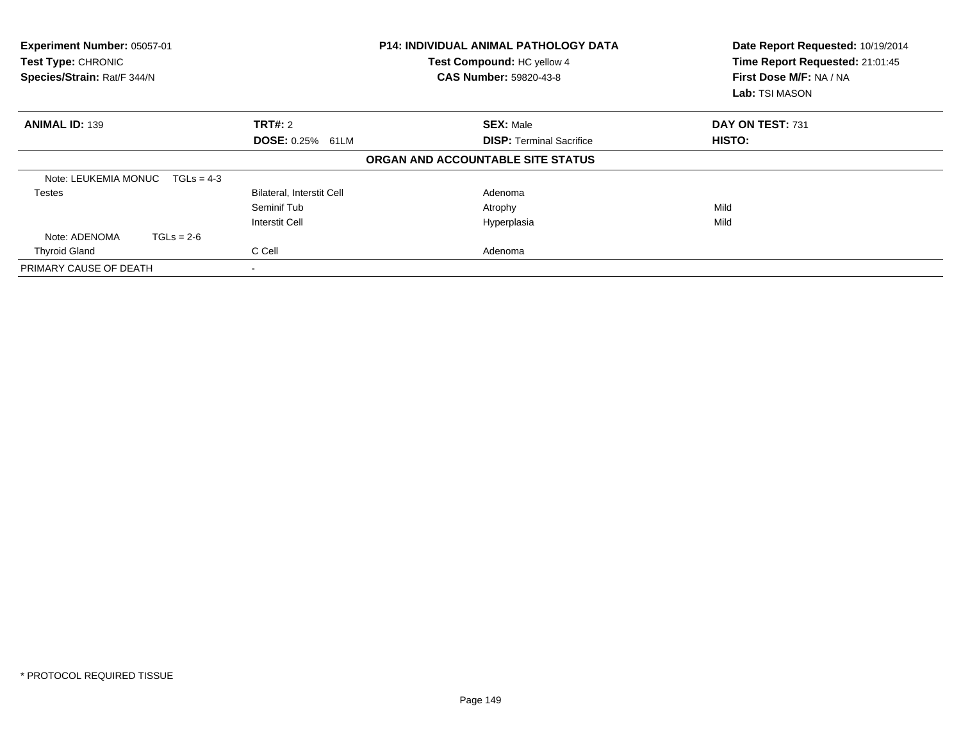| Experiment Number: 05057-01<br>Test Type: CHRONIC<br>Species/Strain: Rat/F 344/N |              |                                  | <b>P14: INDIVIDUAL ANIMAL PATHOLOGY DATA</b><br>Test Compound: HC yellow 4<br><b>CAS Number: 59820-43-8</b> |                                   | Date Report Requested: 10/19/2014<br>Time Report Requested: 21:01:45<br>First Dose M/F: NA / NA<br>Lab: TSI MASON |
|----------------------------------------------------------------------------------|--------------|----------------------------------|-------------------------------------------------------------------------------------------------------------|-----------------------------------|-------------------------------------------------------------------------------------------------------------------|
| <b>ANIMAL ID: 139</b>                                                            |              | <b>TRT#: 2</b>                   |                                                                                                             | <b>SEX: Male</b>                  | DAY ON TEST: 731                                                                                                  |
| <b>DOSE: 0.25% 61LM</b>                                                          |              | <b>DISP:</b> Terminal Sacrifice  |                                                                                                             | HISTO:                            |                                                                                                                   |
|                                                                                  |              |                                  |                                                                                                             | ORGAN AND ACCOUNTABLE SITE STATUS |                                                                                                                   |
| Note: LEUKEMIA MONUC                                                             | $TGLs = 4-3$ |                                  |                                                                                                             |                                   |                                                                                                                   |
| <b>Testes</b>                                                                    |              | <b>Bilateral, Interstit Cell</b> |                                                                                                             | Adenoma                           |                                                                                                                   |
|                                                                                  |              | Seminif Tub                      |                                                                                                             | Atrophy                           | Mild                                                                                                              |
|                                                                                  |              | <b>Interstit Cell</b>            |                                                                                                             | Hyperplasia                       | Mild                                                                                                              |
| Note: ADENOMA                                                                    | $TGLs = 2-6$ |                                  |                                                                                                             |                                   |                                                                                                                   |
| <b>Thyroid Gland</b>                                                             |              | C Cell                           |                                                                                                             | Adenoma                           |                                                                                                                   |
| PRIMARY CAUSE OF DEATH                                                           |              |                                  |                                                                                                             |                                   |                                                                                                                   |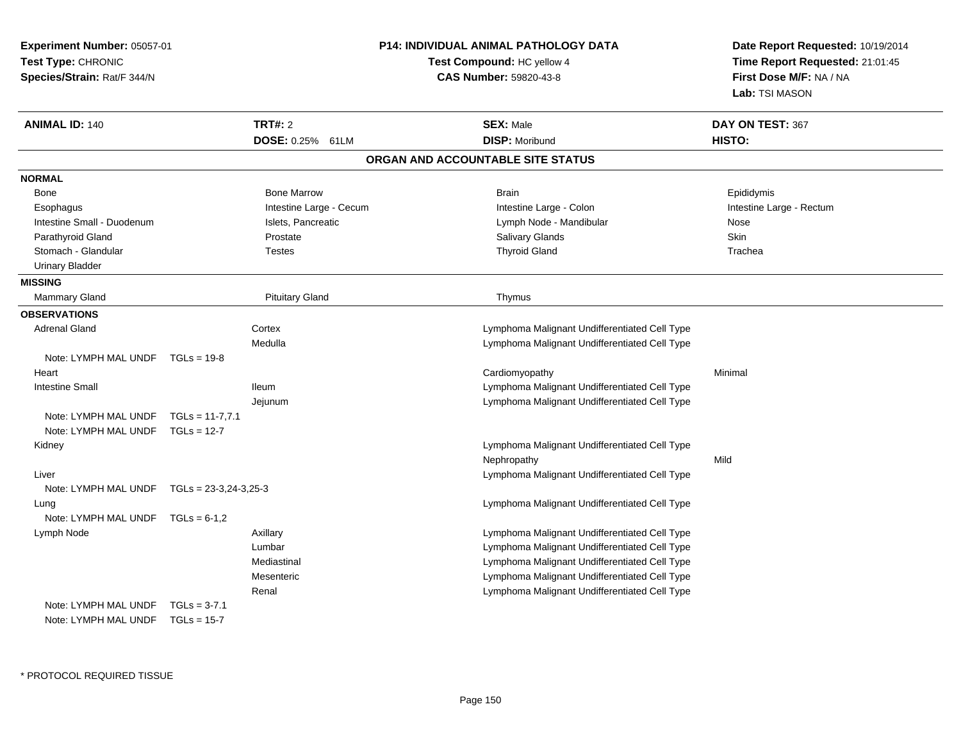| Experiment Number: 05057-01<br>Test Type: CHRONIC<br>Species/Strain: Rat/F 344/N | <b>P14: INDIVIDUAL ANIMAL PATHOLOGY DATA</b><br>Test Compound: HC yellow 4<br><b>CAS Number: 59820-43-8</b> | Date Report Requested: 10/19/2014<br>Time Report Requested: 21:01:45<br>First Dose M/F: NA / NA<br>Lab: TSI MASON |
|----------------------------------------------------------------------------------|-------------------------------------------------------------------------------------------------------------|-------------------------------------------------------------------------------------------------------------------|
| <b>TRT#: 2</b><br><b>ANIMAL ID: 140</b>                                          | <b>SEX: Male</b>                                                                                            | DAY ON TEST: 367                                                                                                  |
| DOSE: 0.25% 61LM                                                                 | <b>DISP: Moribund</b>                                                                                       | HISTO:                                                                                                            |
|                                                                                  | ORGAN AND ACCOUNTABLE SITE STATUS                                                                           |                                                                                                                   |
| <b>NORMAL</b>                                                                    |                                                                                                             |                                                                                                                   |
| <b>Bone Marrow</b><br><b>Bone</b>                                                | <b>Brain</b>                                                                                                | Epididymis                                                                                                        |
| Intestine Large - Cecum<br>Esophagus                                             | Intestine Large - Colon                                                                                     | Intestine Large - Rectum                                                                                          |
| Intestine Small - Duodenum<br>Islets, Pancreatic                                 | Lymph Node - Mandibular                                                                                     | Nose                                                                                                              |
| Parathyroid Gland<br>Prostate                                                    | Salivary Glands                                                                                             | Skin                                                                                                              |
| Stomach - Glandular<br><b>Testes</b>                                             | <b>Thyroid Gland</b>                                                                                        | Trachea                                                                                                           |
| <b>Urinary Bladder</b>                                                           |                                                                                                             |                                                                                                                   |
| <b>MISSING</b>                                                                   |                                                                                                             |                                                                                                                   |
| <b>Pituitary Gland</b><br>Mammary Gland                                          | Thymus                                                                                                      |                                                                                                                   |
| <b>OBSERVATIONS</b>                                                              |                                                                                                             |                                                                                                                   |
| <b>Adrenal Gland</b><br>Cortex                                                   | Lymphoma Malignant Undifferentiated Cell Type                                                               |                                                                                                                   |
| Medulla                                                                          | Lymphoma Malignant Undifferentiated Cell Type                                                               |                                                                                                                   |
| Note: LYMPH MAL UNDF<br>$TGLs = 19-8$                                            |                                                                                                             |                                                                                                                   |
| Heart                                                                            | Cardiomyopathy                                                                                              | Minimal                                                                                                           |
| <b>Intestine Small</b><br>lleum                                                  | Lymphoma Malignant Undifferentiated Cell Type                                                               |                                                                                                                   |
| Jejunum                                                                          | Lymphoma Malignant Undifferentiated Cell Type                                                               |                                                                                                                   |
| $TGLs = 11-7,7.1$<br>Note: LYMPH MAL UNDF                                        |                                                                                                             |                                                                                                                   |
| Note: LYMPH MAL UNDF<br>$TGLs = 12-7$                                            |                                                                                                             |                                                                                                                   |
| Kidney                                                                           | Lymphoma Malignant Undifferentiated Cell Type<br>Nephropathy                                                | Mild                                                                                                              |
| Liver                                                                            | Lymphoma Malignant Undifferentiated Cell Type                                                               |                                                                                                                   |
| Note: LYMPH MAL UNDF $TGLs = 23-3,24-3,25-3$                                     |                                                                                                             |                                                                                                                   |
| Lung                                                                             | Lymphoma Malignant Undifferentiated Cell Type                                                               |                                                                                                                   |
| Note: LYMPH MAL UNDF $TGLs = 6-1,2$                                              |                                                                                                             |                                                                                                                   |
| Lymph Node<br>Axillary                                                           | Lymphoma Malignant Undifferentiated Cell Type                                                               |                                                                                                                   |
| Lumbar                                                                           | Lymphoma Malignant Undifferentiated Cell Type                                                               |                                                                                                                   |
| Mediastinal                                                                      | Lymphoma Malignant Undifferentiated Cell Type                                                               |                                                                                                                   |
| Mesenteric                                                                       | Lymphoma Malignant Undifferentiated Cell Type                                                               |                                                                                                                   |
| Renal                                                                            | Lymphoma Malignant Undifferentiated Cell Type                                                               |                                                                                                                   |
| Note: LYMPH MAL UNDF<br>$TGLs = 3-7.1$                                           |                                                                                                             |                                                                                                                   |
| Note: LYMPH MAL UNDF TGLs = 15-7                                                 |                                                                                                             |                                                                                                                   |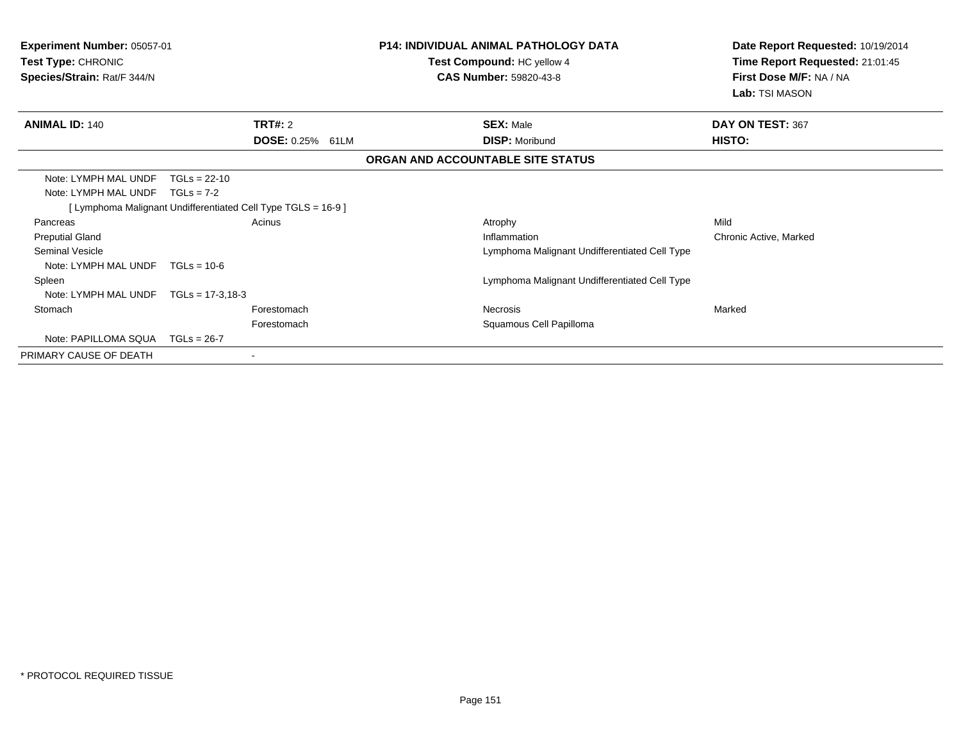| <b>Experiment Number: 05057-01</b><br>Test Type: CHRONIC<br>Species/Strain: Rat/F 344/N |                                |                                                               | <b>P14: INDIVIDUAL ANIMAL PATHOLOGY DATA</b><br><b>Test Compound: HC yellow 4</b><br><b>CAS Number: 59820-43-8</b> | Date Report Requested: 10/19/2014<br>Time Report Requested: 21:01:45<br><b>First Dose M/F: NA / NA</b><br>Lab: TSI MASON |
|-----------------------------------------------------------------------------------------|--------------------------------|---------------------------------------------------------------|--------------------------------------------------------------------------------------------------------------------|--------------------------------------------------------------------------------------------------------------------------|
| <b>ANIMAL ID: 140</b>                                                                   |                                | <b>TRT#: 2</b>                                                | <b>SEX: Male</b>                                                                                                   | DAY ON TEST: 367                                                                                                         |
|                                                                                         |                                | DOSE: 0.25% 61LM                                              | <b>DISP: Moribund</b>                                                                                              | HISTO:                                                                                                                   |
|                                                                                         |                                |                                                               | ORGAN AND ACCOUNTABLE SITE STATUS                                                                                  |                                                                                                                          |
| Note: LYMPH MAL UNDF<br>Note: LYMPH MAL UNDF                                            | $TGLs = 22-10$<br>$TGLs = 7-2$ | [ Lymphoma Malignant Undifferentiated Cell Type TGLS = 16-9 ] |                                                                                                                    |                                                                                                                          |
| Pancreas                                                                                |                                | Acinus                                                        | Atrophy                                                                                                            | Mild                                                                                                                     |
| <b>Preputial Gland</b>                                                                  |                                |                                                               | Inflammation                                                                                                       | Chronic Active, Marked                                                                                                   |
| <b>Seminal Vesicle</b>                                                                  |                                |                                                               | Lymphoma Malignant Undifferentiated Cell Type                                                                      |                                                                                                                          |
| Note: LYMPH MAL UNDF                                                                    | $TGI = 10-6$                   |                                                               |                                                                                                                    |                                                                                                                          |
| Spleen                                                                                  |                                |                                                               | Lymphoma Malignant Undifferentiated Cell Type                                                                      |                                                                                                                          |
| Note: LYMPH MAL UNDF                                                                    | $TGLs = 17-3,18-3$             |                                                               |                                                                                                                    |                                                                                                                          |
| Stomach                                                                                 |                                | Forestomach                                                   | Necrosis                                                                                                           | Marked                                                                                                                   |
|                                                                                         |                                | Forestomach                                                   | Squamous Cell Papilloma                                                                                            |                                                                                                                          |
| Note: PAPILLOMA SQUA                                                                    | TGLs = 26-7                    |                                                               |                                                                                                                    |                                                                                                                          |
| PRIMARY CAUSE OF DEATH                                                                  |                                |                                                               |                                                                                                                    |                                                                                                                          |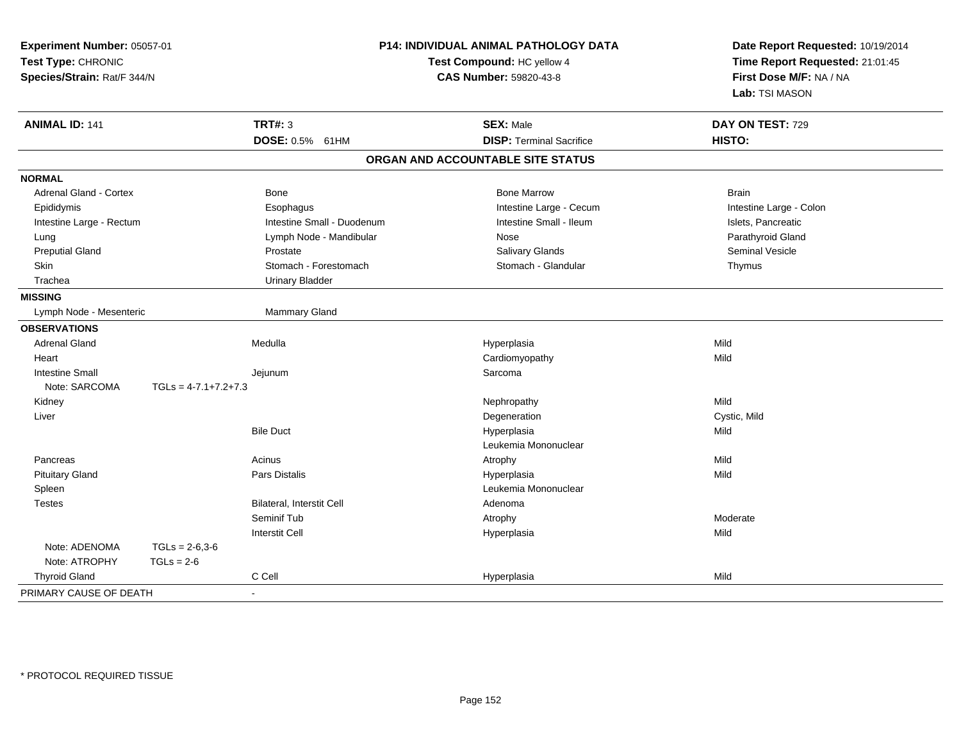| Experiment Number: 05057-01<br>Test Type: CHRONIC<br>Species/Strain: Rat/F 344/N |                        | P14: INDIVIDUAL ANIMAL PATHOLOGY DATA<br>Test Compound: HC yellow 4<br><b>CAS Number: 59820-43-8</b> |  | Date Report Requested: 10/19/2014<br>Time Report Requested: 21:01:45<br>First Dose M/F: NA / NA<br>Lab: TSI MASON |                         |
|----------------------------------------------------------------------------------|------------------------|------------------------------------------------------------------------------------------------------|--|-------------------------------------------------------------------------------------------------------------------|-------------------------|
| <b>ANIMAL ID: 141</b>                                                            |                        | <b>TRT#: 3</b>                                                                                       |  | <b>SEX: Male</b>                                                                                                  | DAY ON TEST: 729        |
|                                                                                  |                        | DOSE: 0.5% 61HM                                                                                      |  | <b>DISP: Terminal Sacrifice</b>                                                                                   | HISTO:                  |
|                                                                                  |                        |                                                                                                      |  | ORGAN AND ACCOUNTABLE SITE STATUS                                                                                 |                         |
| <b>NORMAL</b>                                                                    |                        |                                                                                                      |  |                                                                                                                   |                         |
| Adrenal Gland - Cortex                                                           |                        | Bone                                                                                                 |  | <b>Bone Marrow</b>                                                                                                | <b>Brain</b>            |
| Epididymis                                                                       |                        | Esophagus                                                                                            |  | Intestine Large - Cecum                                                                                           | Intestine Large - Colon |
| Intestine Large - Rectum                                                         |                        | Intestine Small - Duodenum                                                                           |  | Intestine Small - Ileum                                                                                           | Islets, Pancreatic      |
| Lung                                                                             |                        | Lymph Node - Mandibular                                                                              |  | Nose                                                                                                              | Parathyroid Gland       |
| <b>Preputial Gland</b>                                                           |                        | Prostate                                                                                             |  | Salivary Glands                                                                                                   | <b>Seminal Vesicle</b>  |
| Skin                                                                             |                        | Stomach - Forestomach                                                                                |  | Stomach - Glandular                                                                                               | Thymus                  |
| Trachea                                                                          |                        | <b>Urinary Bladder</b>                                                                               |  |                                                                                                                   |                         |
| <b>MISSING</b>                                                                   |                        |                                                                                                      |  |                                                                                                                   |                         |
| Lymph Node - Mesenteric                                                          |                        | Mammary Gland                                                                                        |  |                                                                                                                   |                         |
| <b>OBSERVATIONS</b>                                                              |                        |                                                                                                      |  |                                                                                                                   |                         |
| <b>Adrenal Gland</b>                                                             |                        | Medulla                                                                                              |  | Hyperplasia                                                                                                       | Mild                    |
| Heart                                                                            |                        |                                                                                                      |  | Cardiomyopathy                                                                                                    | Mild                    |
| <b>Intestine Small</b>                                                           |                        | Jejunum                                                                                              |  | Sarcoma                                                                                                           |                         |
| Note: SARCOMA                                                                    | $TGLs = 4-7.1+7.2+7.3$ |                                                                                                      |  |                                                                                                                   |                         |
| Kidney                                                                           |                        |                                                                                                      |  | Nephropathy                                                                                                       | Mild                    |
| Liver                                                                            |                        |                                                                                                      |  | Degeneration                                                                                                      | Cystic, Mild            |
|                                                                                  |                        | <b>Bile Duct</b>                                                                                     |  | Hyperplasia                                                                                                       | Mild                    |
|                                                                                  |                        |                                                                                                      |  | Leukemia Mononuclear                                                                                              |                         |
| Pancreas                                                                         |                        | Acinus                                                                                               |  | Atrophy                                                                                                           | Mild                    |
| <b>Pituitary Gland</b>                                                           |                        | Pars Distalis                                                                                        |  | Hyperplasia                                                                                                       | Mild                    |
| Spleen                                                                           |                        |                                                                                                      |  | Leukemia Mononuclear                                                                                              |                         |
| <b>Testes</b>                                                                    |                        | <b>Bilateral, Interstit Cell</b>                                                                     |  | Adenoma                                                                                                           |                         |
|                                                                                  |                        | Seminif Tub                                                                                          |  | Atrophy                                                                                                           | Moderate                |
|                                                                                  |                        | <b>Interstit Cell</b>                                                                                |  | Hyperplasia                                                                                                       | Mild                    |
| Note: ADENOMA                                                                    | $TGLs = 2-6,3-6$       |                                                                                                      |  |                                                                                                                   |                         |
| Note: ATROPHY                                                                    | $TGLs = 2-6$           |                                                                                                      |  |                                                                                                                   |                         |
| <b>Thyroid Gland</b>                                                             |                        | C Cell                                                                                               |  | Hyperplasia                                                                                                       | Mild                    |
| PRIMARY CAUSE OF DEATH                                                           |                        | $\sim$                                                                                               |  |                                                                                                                   |                         |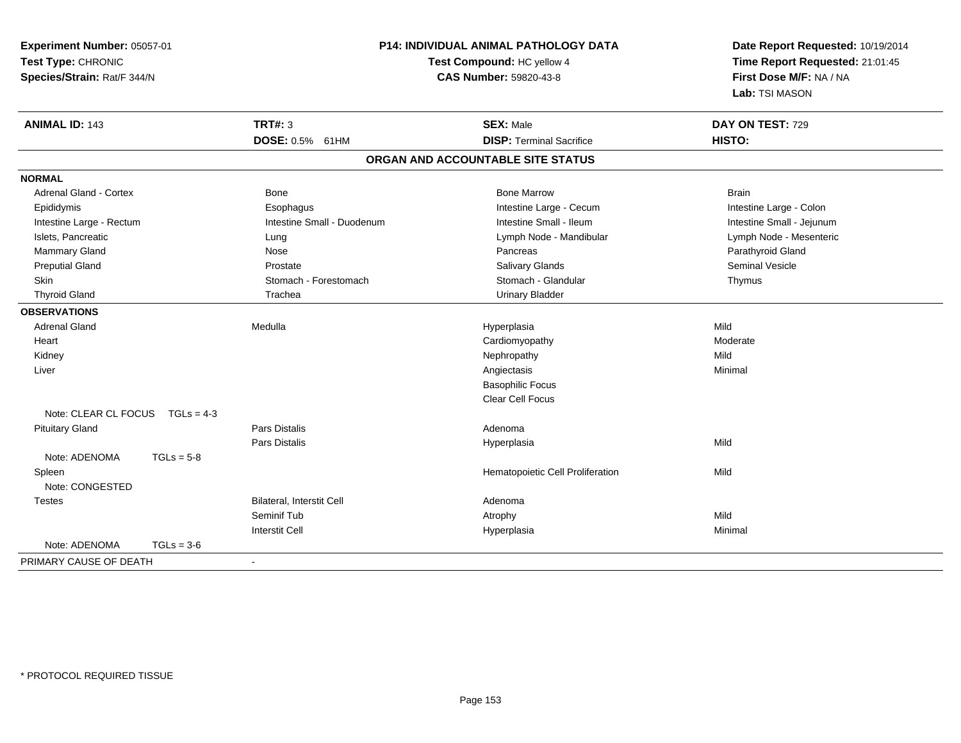| Experiment Number: 05057-01<br>Test Type: CHRONIC<br>Species/Strain: Rat/F 344/N |              | P14: INDIVIDUAL ANIMAL PATHOLOGY DATA<br>Test Compound: HC yellow 4<br>CAS Number: 59820-43-8 |                                   | Date Report Requested: 10/19/2014<br>Time Report Requested: 21:01:45<br>First Dose M/F: NA / NA<br>Lab: TSI MASON |  |
|----------------------------------------------------------------------------------|--------------|-----------------------------------------------------------------------------------------------|-----------------------------------|-------------------------------------------------------------------------------------------------------------------|--|
| <b>ANIMAL ID: 143</b>                                                            |              | <b>TRT#: 3</b>                                                                                | <b>SEX: Male</b>                  | DAY ON TEST: 729                                                                                                  |  |
|                                                                                  |              | DOSE: 0.5% 61HM                                                                               | <b>DISP: Terminal Sacrifice</b>   | HISTO:                                                                                                            |  |
|                                                                                  |              |                                                                                               | ORGAN AND ACCOUNTABLE SITE STATUS |                                                                                                                   |  |
| <b>NORMAL</b>                                                                    |              |                                                                                               |                                   |                                                                                                                   |  |
| <b>Adrenal Gland - Cortex</b>                                                    |              | <b>Bone</b>                                                                                   | <b>Bone Marrow</b>                | <b>Brain</b>                                                                                                      |  |
| Epididymis                                                                       |              | Esophagus                                                                                     | Intestine Large - Cecum           | Intestine Large - Colon                                                                                           |  |
| Intestine Large - Rectum                                                         |              | Intestine Small - Duodenum                                                                    | Intestine Small - Ileum           | Intestine Small - Jejunum                                                                                         |  |
| Islets, Pancreatic                                                               |              | Lung                                                                                          | Lymph Node - Mandibular           | Lymph Node - Mesenteric                                                                                           |  |
| Mammary Gland                                                                    |              | Nose                                                                                          | Pancreas                          | Parathyroid Gland                                                                                                 |  |
| <b>Preputial Gland</b>                                                           |              | Prostate                                                                                      | Salivary Glands                   | Seminal Vesicle                                                                                                   |  |
| Skin                                                                             |              | Stomach - Forestomach                                                                         | Stomach - Glandular               | Thymus                                                                                                            |  |
| <b>Thyroid Gland</b>                                                             |              | Trachea                                                                                       | <b>Urinary Bladder</b>            |                                                                                                                   |  |
| <b>OBSERVATIONS</b>                                                              |              |                                                                                               |                                   |                                                                                                                   |  |
| <b>Adrenal Gland</b>                                                             |              | Medulla                                                                                       | Hyperplasia                       | Mild                                                                                                              |  |
| Heart                                                                            |              |                                                                                               | Cardiomyopathy                    | Moderate                                                                                                          |  |
| Kidney                                                                           |              |                                                                                               | Nephropathy                       | Mild                                                                                                              |  |
| Liver                                                                            |              |                                                                                               | Angiectasis                       | Minimal                                                                                                           |  |
|                                                                                  |              |                                                                                               | <b>Basophilic Focus</b>           |                                                                                                                   |  |
|                                                                                  |              |                                                                                               | <b>Clear Cell Focus</b>           |                                                                                                                   |  |
| Note: CLEAR CL FOCUS                                                             | $TGLs = 4-3$ |                                                                                               |                                   |                                                                                                                   |  |
| <b>Pituitary Gland</b>                                                           |              | Pars Distalis                                                                                 | Adenoma                           |                                                                                                                   |  |
|                                                                                  |              | Pars Distalis                                                                                 | Hyperplasia                       | Mild                                                                                                              |  |
| Note: ADENOMA                                                                    | $TGLs = 5-8$ |                                                                                               |                                   |                                                                                                                   |  |
| Spleen                                                                           |              |                                                                                               | Hematopoietic Cell Proliferation  | Mild                                                                                                              |  |
| Note: CONGESTED                                                                  |              |                                                                                               |                                   |                                                                                                                   |  |
| <b>Testes</b>                                                                    |              | <b>Bilateral, Interstit Cell</b>                                                              | Adenoma                           |                                                                                                                   |  |
|                                                                                  |              | Seminif Tub                                                                                   | Atrophy                           | Mild                                                                                                              |  |
|                                                                                  |              | <b>Interstit Cell</b>                                                                         | Hyperplasia                       | Minimal                                                                                                           |  |
| Note: ADENOMA                                                                    | $TGLs = 3-6$ |                                                                                               |                                   |                                                                                                                   |  |
| PRIMARY CAUSE OF DEATH                                                           |              | $\blacksquare$                                                                                |                                   |                                                                                                                   |  |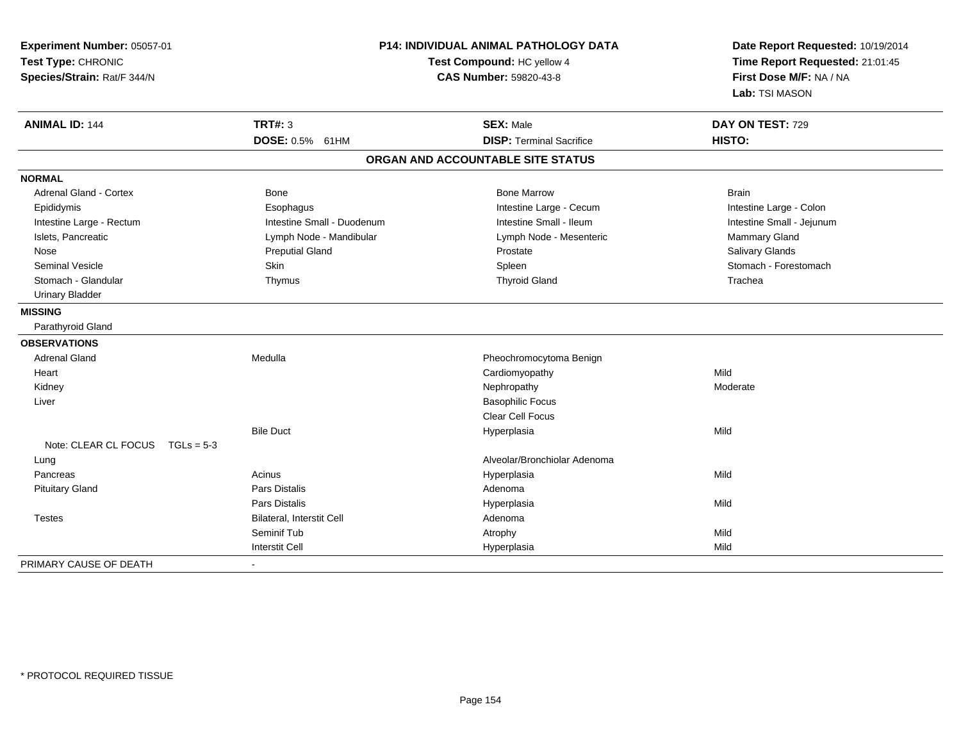| Experiment Number: 05057-01<br>Test Type: CHRONIC<br>Species/Strain: Rat/F 344/N |                                  | P14: INDIVIDUAL ANIMAL PATHOLOGY DATA<br>Test Compound: HC yellow 4<br>CAS Number: 59820-43-8 | Date Report Requested: 10/19/2014<br>Time Report Requested: 21:01:45<br>First Dose M/F: NA / NA<br>Lab: TSI MASON |
|----------------------------------------------------------------------------------|----------------------------------|-----------------------------------------------------------------------------------------------|-------------------------------------------------------------------------------------------------------------------|
| <b>ANIMAL ID: 144</b>                                                            | <b>TRT#: 3</b>                   | <b>SEX: Male</b>                                                                              | DAY ON TEST: 729                                                                                                  |
|                                                                                  | DOSE: 0.5% 61HM                  | <b>DISP: Terminal Sacrifice</b>                                                               | HISTO:                                                                                                            |
|                                                                                  |                                  | ORGAN AND ACCOUNTABLE SITE STATUS                                                             |                                                                                                                   |
| <b>NORMAL</b>                                                                    |                                  |                                                                                               |                                                                                                                   |
| Adrenal Gland - Cortex                                                           | Bone                             | <b>Bone Marrow</b>                                                                            | <b>Brain</b>                                                                                                      |
| Epididymis                                                                       | Esophagus                        | Intestine Large - Cecum                                                                       | Intestine Large - Colon                                                                                           |
| Intestine Large - Rectum                                                         | Intestine Small - Duodenum       | Intestine Small - Ileum                                                                       | Intestine Small - Jejunum                                                                                         |
| Islets, Pancreatic                                                               | Lymph Node - Mandibular          | Lymph Node - Mesenteric                                                                       | Mammary Gland                                                                                                     |
| Nose                                                                             | <b>Preputial Gland</b>           | Prostate                                                                                      | Salivary Glands                                                                                                   |
| <b>Seminal Vesicle</b>                                                           | Skin                             | Spleen                                                                                        | Stomach - Forestomach                                                                                             |
| Stomach - Glandular                                                              | Thymus                           | <b>Thyroid Gland</b>                                                                          | Trachea                                                                                                           |
| <b>Urinary Bladder</b>                                                           |                                  |                                                                                               |                                                                                                                   |
| <b>MISSING</b>                                                                   |                                  |                                                                                               |                                                                                                                   |
| Parathyroid Gland                                                                |                                  |                                                                                               |                                                                                                                   |
| <b>OBSERVATIONS</b>                                                              |                                  |                                                                                               |                                                                                                                   |
| <b>Adrenal Gland</b>                                                             | Medulla                          | Pheochromocytoma Benign                                                                       |                                                                                                                   |
| Heart                                                                            |                                  | Cardiomyopathy                                                                                | Mild                                                                                                              |
| Kidney                                                                           |                                  | Nephropathy                                                                                   | Moderate                                                                                                          |
| Liver                                                                            |                                  | <b>Basophilic Focus</b>                                                                       |                                                                                                                   |
|                                                                                  |                                  | <b>Clear Cell Focus</b>                                                                       |                                                                                                                   |
|                                                                                  | <b>Bile Duct</b>                 | Hyperplasia                                                                                   | Mild                                                                                                              |
| Note: CLEAR CL FOCUS TGLs = 5-3                                                  |                                  |                                                                                               |                                                                                                                   |
| Lung                                                                             |                                  | Alveolar/Bronchiolar Adenoma                                                                  |                                                                                                                   |
| Pancreas                                                                         | Acinus                           | Hyperplasia                                                                                   | Mild                                                                                                              |
| <b>Pituitary Gland</b>                                                           | Pars Distalis                    | Adenoma                                                                                       |                                                                                                                   |
|                                                                                  | Pars Distalis                    | Hyperplasia                                                                                   | Mild                                                                                                              |
| <b>Testes</b>                                                                    | <b>Bilateral, Interstit Cell</b> | Adenoma                                                                                       |                                                                                                                   |
|                                                                                  | Seminif Tub                      | Atrophy                                                                                       | Mild                                                                                                              |
|                                                                                  | <b>Interstit Cell</b>            | Hyperplasia                                                                                   | Mild                                                                                                              |
| PRIMARY CAUSE OF DEATH                                                           |                                  |                                                                                               |                                                                                                                   |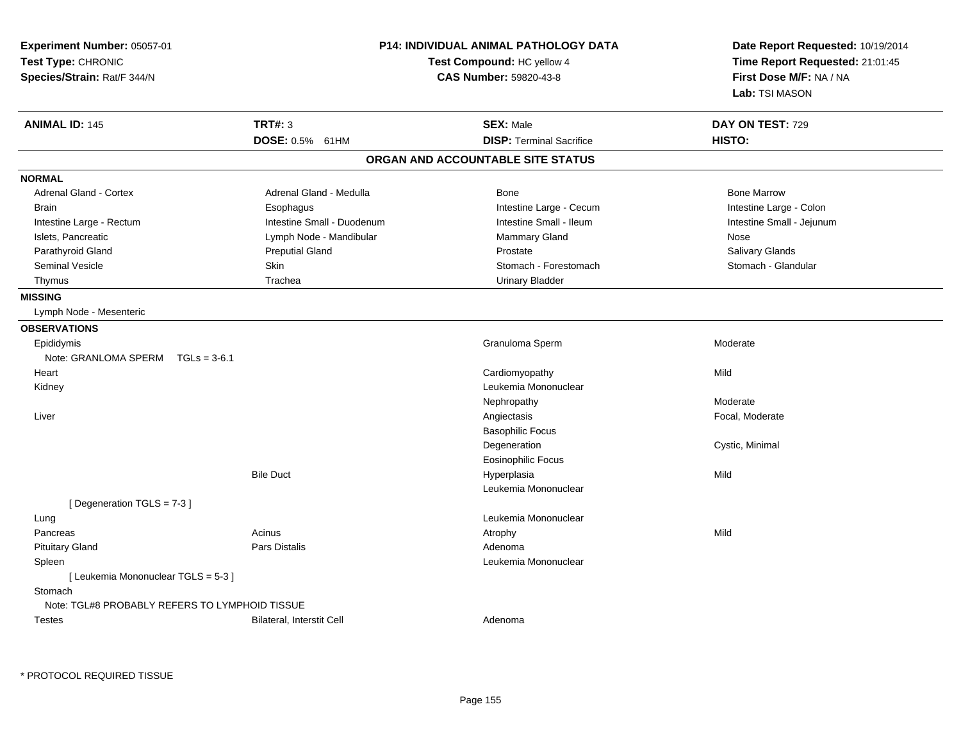| Experiment Number: 05057-01<br>Test Type: CHRONIC<br>Species/Strain: Rat/F 344/N |                            | P14: INDIVIDUAL ANIMAL PATHOLOGY DATA<br>Test Compound: HC yellow 4<br><b>CAS Number: 59820-43-8</b> | Date Report Requested: 10/19/2014<br>Time Report Requested: 21:01:45<br>First Dose M/F: NA / NA<br>Lab: TSI MASON |
|----------------------------------------------------------------------------------|----------------------------|------------------------------------------------------------------------------------------------------|-------------------------------------------------------------------------------------------------------------------|
| <b>ANIMAL ID: 145</b>                                                            | <b>TRT#: 3</b>             | <b>SEX: Male</b>                                                                                     | DAY ON TEST: 729                                                                                                  |
|                                                                                  | DOSE: 0.5% 61HM            | <b>DISP: Terminal Sacrifice</b>                                                                      | HISTO:                                                                                                            |
|                                                                                  |                            | ORGAN AND ACCOUNTABLE SITE STATUS                                                                    |                                                                                                                   |
| <b>NORMAL</b>                                                                    |                            |                                                                                                      |                                                                                                                   |
| <b>Adrenal Gland - Cortex</b>                                                    | Adrenal Gland - Medulla    | Bone                                                                                                 | <b>Bone Marrow</b>                                                                                                |
| <b>Brain</b>                                                                     | Esophagus                  | Intestine Large - Cecum                                                                              | Intestine Large - Colon                                                                                           |
| Intestine Large - Rectum                                                         | Intestine Small - Duodenum | Intestine Small - Ileum                                                                              | Intestine Small - Jejunum                                                                                         |
| Islets, Pancreatic                                                               | Lymph Node - Mandibular    | Mammary Gland                                                                                        | Nose                                                                                                              |
| Parathyroid Gland                                                                | <b>Preputial Gland</b>     | Prostate                                                                                             | Salivary Glands                                                                                                   |
| Seminal Vesicle                                                                  | Skin                       | Stomach - Forestomach                                                                                | Stomach - Glandular                                                                                               |
| Thymus                                                                           | Trachea                    | <b>Urinary Bladder</b>                                                                               |                                                                                                                   |
| <b>MISSING</b>                                                                   |                            |                                                                                                      |                                                                                                                   |
| Lymph Node - Mesenteric                                                          |                            |                                                                                                      |                                                                                                                   |
| <b>OBSERVATIONS</b>                                                              |                            |                                                                                                      |                                                                                                                   |
| Epididymis                                                                       |                            | Granuloma Sperm                                                                                      | Moderate                                                                                                          |
| Note: GRANLOMA SPERM<br>$TGLs = 3-6.1$                                           |                            |                                                                                                      |                                                                                                                   |
| Heart                                                                            |                            | Cardiomyopathy                                                                                       | Mild                                                                                                              |
| Kidney                                                                           |                            | Leukemia Mononuclear                                                                                 |                                                                                                                   |
|                                                                                  |                            | Nephropathy                                                                                          | Moderate                                                                                                          |
| Liver                                                                            |                            | Angiectasis                                                                                          | Focal, Moderate                                                                                                   |
|                                                                                  |                            | <b>Basophilic Focus</b>                                                                              |                                                                                                                   |
|                                                                                  |                            | Degeneration                                                                                         | Cystic, Minimal                                                                                                   |
|                                                                                  |                            | <b>Eosinophilic Focus</b>                                                                            |                                                                                                                   |
|                                                                                  | <b>Bile Duct</b>           | Hyperplasia                                                                                          | Mild                                                                                                              |
|                                                                                  |                            | Leukemia Mononuclear                                                                                 |                                                                                                                   |
| [Degeneration TGLS = 7-3]                                                        |                            |                                                                                                      |                                                                                                                   |
| Lung                                                                             |                            | Leukemia Mononuclear                                                                                 |                                                                                                                   |
| Pancreas                                                                         | Acinus                     | Atrophy                                                                                              | Mild                                                                                                              |
| <b>Pituitary Gland</b>                                                           | Pars Distalis              | Adenoma                                                                                              |                                                                                                                   |
| Spleen                                                                           |                            | Leukemia Mononuclear                                                                                 |                                                                                                                   |
| [ Leukemia Mononuclear TGLS = 5-3 ]<br>Stomach                                   |                            |                                                                                                      |                                                                                                                   |
| Note: TGL#8 PROBABLY REFERS TO LYMPHOID TISSUE                                   |                            |                                                                                                      |                                                                                                                   |
| <b>Testes</b>                                                                    | Bilateral, Interstit Cell  | Adenoma                                                                                              |                                                                                                                   |

\* PROTOCOL REQUIRED TISSUE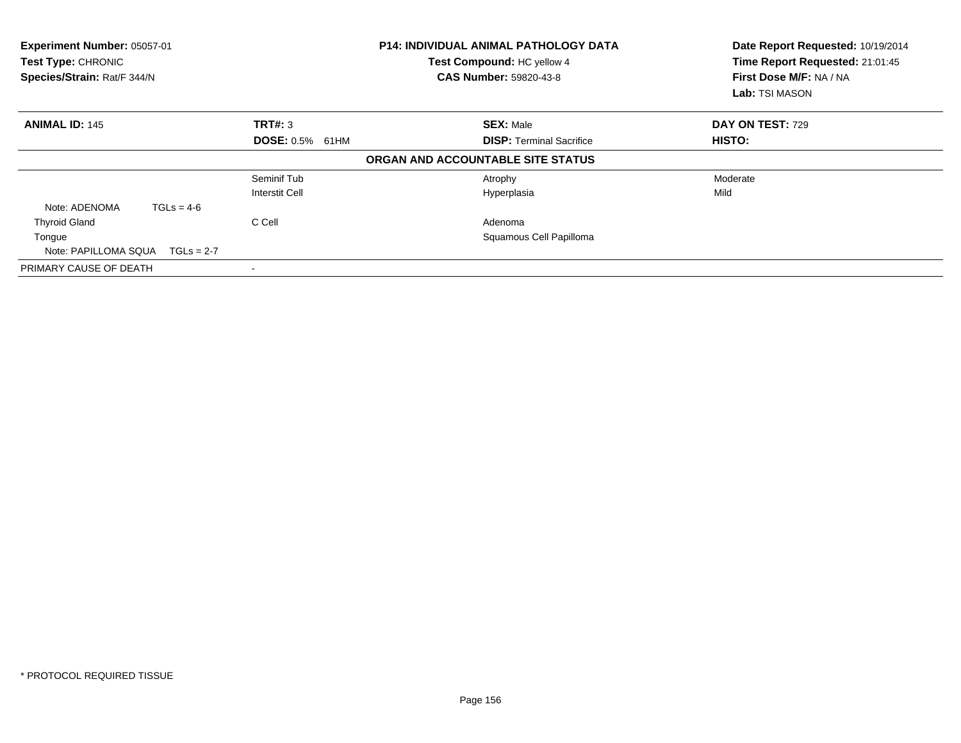| Experiment Number: 05057-01<br><b>P14: INDIVIDUAL ANIMAL PATHOLOGY DATA</b><br>Test Compound: HC yellow 4<br>Test Type: CHRONIC<br>Species/Strain: Rat/F 344/N<br><b>CAS Number: 59820-43-8</b> |                        | Date Report Requested: 10/19/2014<br>Time Report Requested: 21:01:45<br>First Dose M/F: NA / NA<br>Lab: TSI MASON |                  |
|-------------------------------------------------------------------------------------------------------------------------------------------------------------------------------------------------|------------------------|-------------------------------------------------------------------------------------------------------------------|------------------|
| <b>ANIMAL ID: 145</b>                                                                                                                                                                           | TRT#: 3                | <b>SEX: Male</b>                                                                                                  | DAY ON TEST: 729 |
|                                                                                                                                                                                                 | <b>DOSE: 0.5% 61HM</b> | <b>DISP:</b> Terminal Sacrifice                                                                                   | HISTO:           |
|                                                                                                                                                                                                 |                        | ORGAN AND ACCOUNTABLE SITE STATUS                                                                                 |                  |
|                                                                                                                                                                                                 | Seminif Tub            | Atrophy                                                                                                           | Moderate         |
|                                                                                                                                                                                                 | Interstit Cell         | Hyperplasia                                                                                                       | Mild             |
| $TGLs = 4-6$<br>Note: ADENOMA                                                                                                                                                                   |                        |                                                                                                                   |                  |
| <b>Thyroid Gland</b>                                                                                                                                                                            | C Cell                 | Adenoma                                                                                                           |                  |
| Tongue                                                                                                                                                                                          |                        | Squamous Cell Papilloma                                                                                           |                  |
| Note: PAPILLOMA SQUA $TGLs = 2-7$                                                                                                                                                               |                        |                                                                                                                   |                  |
| PRIMARY CAUSE OF DEATH                                                                                                                                                                          |                        |                                                                                                                   |                  |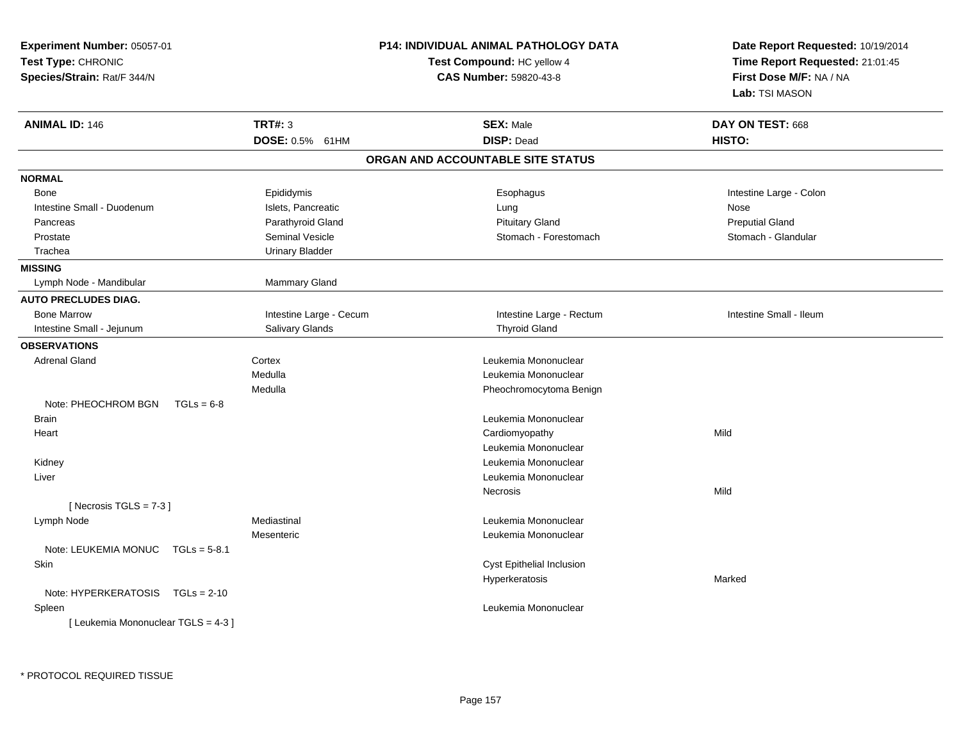| Experiment Number: 05057-01<br>Test Type: CHRONIC<br>Species/Strain: Rat/F 344/N |                         | <b>P14: INDIVIDUAL ANIMAL PATHOLOGY DATA</b><br>Test Compound: HC yellow 4<br><b>CAS Number: 59820-43-8</b> | Date Report Requested: 10/19/2014<br>Time Report Requested: 21:01:45<br>First Dose M/F: NA / NA<br>Lab: TSI MASON |
|----------------------------------------------------------------------------------|-------------------------|-------------------------------------------------------------------------------------------------------------|-------------------------------------------------------------------------------------------------------------------|
| <b>ANIMAL ID: 146</b>                                                            | <b>TRT#: 3</b>          | <b>SEX: Male</b>                                                                                            | DAY ON TEST: 668                                                                                                  |
|                                                                                  | DOSE: 0.5% 61HM         | <b>DISP: Dead</b>                                                                                           | HISTO:                                                                                                            |
|                                                                                  |                         | ORGAN AND ACCOUNTABLE SITE STATUS                                                                           |                                                                                                                   |
| <b>NORMAL</b>                                                                    |                         |                                                                                                             |                                                                                                                   |
| Bone                                                                             | Epididymis              | Esophagus                                                                                                   | Intestine Large - Colon                                                                                           |
| Intestine Small - Duodenum                                                       | Islets, Pancreatic      | Lung                                                                                                        | Nose                                                                                                              |
| Pancreas                                                                         | Parathyroid Gland       | <b>Pituitary Gland</b>                                                                                      | <b>Preputial Gland</b>                                                                                            |
| Prostate                                                                         | Seminal Vesicle         | Stomach - Forestomach                                                                                       | Stomach - Glandular                                                                                               |
| Trachea                                                                          | <b>Urinary Bladder</b>  |                                                                                                             |                                                                                                                   |
| <b>MISSING</b>                                                                   |                         |                                                                                                             |                                                                                                                   |
| Lymph Node - Mandibular                                                          | Mammary Gland           |                                                                                                             |                                                                                                                   |
| <b>AUTO PRECLUDES DIAG.</b>                                                      |                         |                                                                                                             |                                                                                                                   |
| <b>Bone Marrow</b>                                                               | Intestine Large - Cecum | Intestine Large - Rectum                                                                                    | Intestine Small - Ileum                                                                                           |
| Intestine Small - Jejunum                                                        | Salivary Glands         | <b>Thyroid Gland</b>                                                                                        |                                                                                                                   |
| <b>OBSERVATIONS</b>                                                              |                         |                                                                                                             |                                                                                                                   |
| <b>Adrenal Gland</b>                                                             | Cortex                  | Leukemia Mononuclear                                                                                        |                                                                                                                   |
|                                                                                  | Medulla                 | Leukemia Mononuclear                                                                                        |                                                                                                                   |
|                                                                                  | Medulla                 | Pheochromocytoma Benign                                                                                     |                                                                                                                   |
| Note: PHEOCHROM BGN<br>$TGLs = 6-8$                                              |                         |                                                                                                             |                                                                                                                   |
| <b>Brain</b>                                                                     |                         | Leukemia Mononuclear                                                                                        |                                                                                                                   |
| Heart                                                                            |                         | Cardiomyopathy                                                                                              | Mild                                                                                                              |
|                                                                                  |                         | Leukemia Mononuclear                                                                                        |                                                                                                                   |
| Kidney                                                                           |                         | Leukemia Mononuclear                                                                                        |                                                                                                                   |
| Liver                                                                            |                         | Leukemia Mononuclear                                                                                        |                                                                                                                   |
|                                                                                  |                         | Necrosis                                                                                                    | Mild                                                                                                              |
| [Necrosis $TGLS = 7-3$ ]                                                         |                         |                                                                                                             |                                                                                                                   |
| Lymph Node                                                                       | Mediastinal             | Leukemia Mononuclear                                                                                        |                                                                                                                   |
|                                                                                  | Mesenteric              | Leukemia Mononuclear                                                                                        |                                                                                                                   |
| Note: LEUKEMIA MONUC<br>$TGLs = 5-8.1$                                           |                         |                                                                                                             |                                                                                                                   |
| Skin                                                                             |                         | Cyst Epithelial Inclusion                                                                                   |                                                                                                                   |
|                                                                                  |                         | Hyperkeratosis                                                                                              | Marked                                                                                                            |
| Note: HYPERKERATOSIS TGLs = 2-10                                                 |                         |                                                                                                             |                                                                                                                   |
| Spleen                                                                           |                         | Leukemia Mononuclear                                                                                        |                                                                                                                   |
| [ Leukemia Mononuclear TGLS = 4-3 ]                                              |                         |                                                                                                             |                                                                                                                   |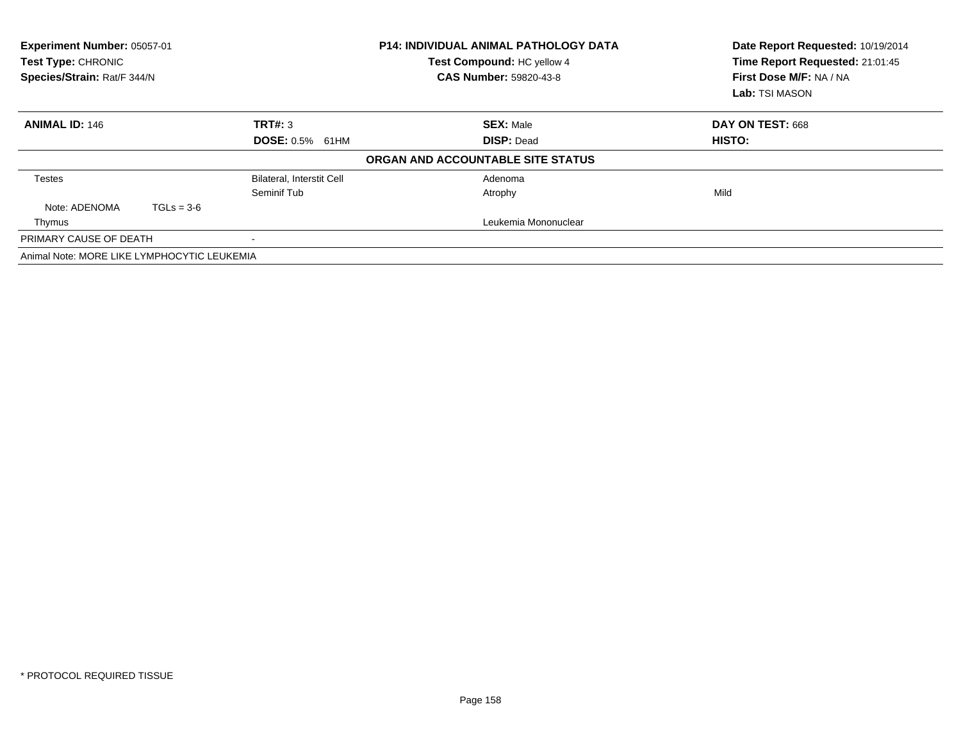| Experiment Number: 05057-01<br><b>Test Type: CHRONIC</b><br>Species/Strain: Rat/F 344/N |              |                                  | <b>P14: INDIVIDUAL ANIMAL PATHOLOGY DATA</b><br>Test Compound: HC yellow 4<br><b>CAS Number: 59820-43-8</b> | Date Report Requested: 10/19/2014<br>Time Report Requested: 21:01:45<br>First Dose M/F: NA / NA<br>Lab: TSI MASON |
|-----------------------------------------------------------------------------------------|--------------|----------------------------------|-------------------------------------------------------------------------------------------------------------|-------------------------------------------------------------------------------------------------------------------|
| <b>ANIMAL ID: 146</b>                                                                   |              | TRT#: 3                          | <b>SEX: Male</b>                                                                                            | DAY ON TEST: 668                                                                                                  |
|                                                                                         |              | <b>DOSE: 0.5% 61HM</b>           | <b>DISP: Dead</b>                                                                                           | HISTO:                                                                                                            |
|                                                                                         |              |                                  | ORGAN AND ACCOUNTABLE SITE STATUS                                                                           |                                                                                                                   |
| <b>Testes</b>                                                                           |              | <b>Bilateral, Interstit Cell</b> | Adenoma                                                                                                     |                                                                                                                   |
|                                                                                         |              | Seminif Tub                      | Atrophy                                                                                                     | Mild                                                                                                              |
| Note: ADENOMA                                                                           | $TGLs = 3-6$ |                                  |                                                                                                             |                                                                                                                   |
| Thymus                                                                                  |              |                                  | Leukemia Mononuclear                                                                                        |                                                                                                                   |
| PRIMARY CAUSE OF DEATH                                                                  |              | $\overline{\phantom{a}}$         |                                                                                                             |                                                                                                                   |
| Animal Note: MORE LIKE LYMPHOCYTIC LEUKEMIA                                             |              |                                  |                                                                                                             |                                                                                                                   |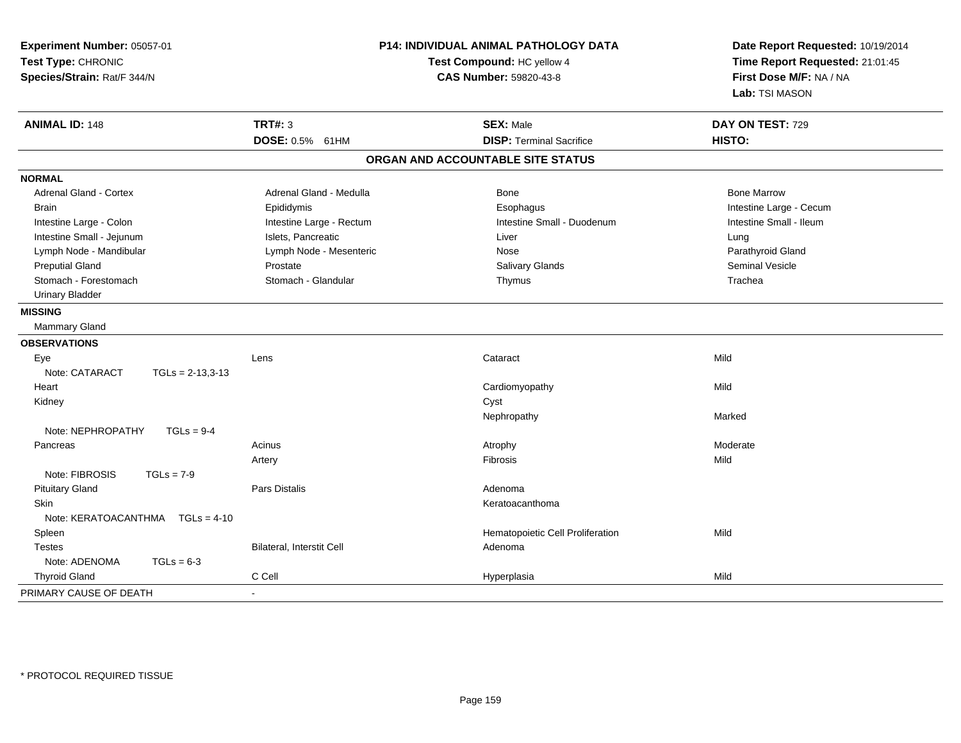| Experiment Number: 05057-01<br>Test Type: CHRONIC<br>Species/Strain: Rat/F 344/N |                           | P14: INDIVIDUAL ANIMAL PATHOLOGY DATA<br>Test Compound: HC yellow 4<br>CAS Number: 59820-43-8 | Date Report Requested: 10/19/2014<br>Time Report Requested: 21:01:45<br>First Dose M/F: NA / NA<br>Lab: TSI MASON |  |
|----------------------------------------------------------------------------------|---------------------------|-----------------------------------------------------------------------------------------------|-------------------------------------------------------------------------------------------------------------------|--|
| <b>ANIMAL ID: 148</b>                                                            | <b>TRT#: 3</b>            | <b>SEX: Male</b>                                                                              | DAY ON TEST: 729                                                                                                  |  |
|                                                                                  | DOSE: 0.5% 61HM           | <b>DISP: Terminal Sacrifice</b>                                                               | HISTO:                                                                                                            |  |
|                                                                                  |                           | ORGAN AND ACCOUNTABLE SITE STATUS                                                             |                                                                                                                   |  |
| <b>NORMAL</b>                                                                    |                           |                                                                                               |                                                                                                                   |  |
| <b>Adrenal Gland - Cortex</b>                                                    | Adrenal Gland - Medulla   | <b>Bone</b>                                                                                   | <b>Bone Marrow</b>                                                                                                |  |
| <b>Brain</b>                                                                     | Epididymis                | Esophagus                                                                                     | Intestine Large - Cecum                                                                                           |  |
| Intestine Large - Colon                                                          | Intestine Large - Rectum  | Intestine Small - Duodenum                                                                    | Intestine Small - Ileum                                                                                           |  |
| Intestine Small - Jejunum                                                        | Islets, Pancreatic        | Liver                                                                                         | Lung                                                                                                              |  |
| Lymph Node - Mandibular                                                          | Lymph Node - Mesenteric   | Nose                                                                                          | Parathyroid Gland                                                                                                 |  |
| <b>Preputial Gland</b>                                                           | Prostate                  | Salivary Glands                                                                               | Seminal Vesicle                                                                                                   |  |
| Stomach - Forestomach                                                            | Stomach - Glandular       | Thymus                                                                                        | Trachea                                                                                                           |  |
| <b>Urinary Bladder</b>                                                           |                           |                                                                                               |                                                                                                                   |  |
| <b>MISSING</b>                                                                   |                           |                                                                                               |                                                                                                                   |  |
| Mammary Gland                                                                    |                           |                                                                                               |                                                                                                                   |  |
| <b>OBSERVATIONS</b>                                                              |                           |                                                                                               |                                                                                                                   |  |
| Eye                                                                              | Lens                      | Cataract                                                                                      | Mild                                                                                                              |  |
| Note: CATARACT<br>$TGLs = 2-13,3-13$                                             |                           |                                                                                               |                                                                                                                   |  |
| Heart                                                                            |                           | Cardiomyopathy                                                                                | Mild                                                                                                              |  |
| Kidney                                                                           |                           | Cyst                                                                                          |                                                                                                                   |  |
|                                                                                  |                           | Nephropathy                                                                                   | Marked                                                                                                            |  |
| Note: NEPHROPATHY<br>$TGLs = 9-4$                                                |                           |                                                                                               |                                                                                                                   |  |
| Pancreas                                                                         | Acinus                    | Atrophy                                                                                       | Moderate                                                                                                          |  |
|                                                                                  | Artery                    | <b>Fibrosis</b>                                                                               | Mild                                                                                                              |  |
| Note: FIBROSIS<br>$TGLs = 7-9$                                                   |                           |                                                                                               |                                                                                                                   |  |
| <b>Pituitary Gland</b>                                                           | <b>Pars Distalis</b>      | Adenoma                                                                                       |                                                                                                                   |  |
| <b>Skin</b>                                                                      |                           | Keratoacanthoma                                                                               |                                                                                                                   |  |
| Note: KERATOACANTHMA    TGLs = 4-10                                              |                           |                                                                                               |                                                                                                                   |  |
| Spleen                                                                           |                           | Hematopoietic Cell Proliferation                                                              | Mild                                                                                                              |  |
| <b>Testes</b>                                                                    | Bilateral, Interstit Cell | Adenoma                                                                                       |                                                                                                                   |  |
| Note: ADENOMA<br>$TGLs = 6-3$                                                    |                           |                                                                                               |                                                                                                                   |  |
| <b>Thyroid Gland</b>                                                             | C Cell                    | Hyperplasia                                                                                   | Mild                                                                                                              |  |
| PRIMARY CAUSE OF DEATH                                                           |                           |                                                                                               |                                                                                                                   |  |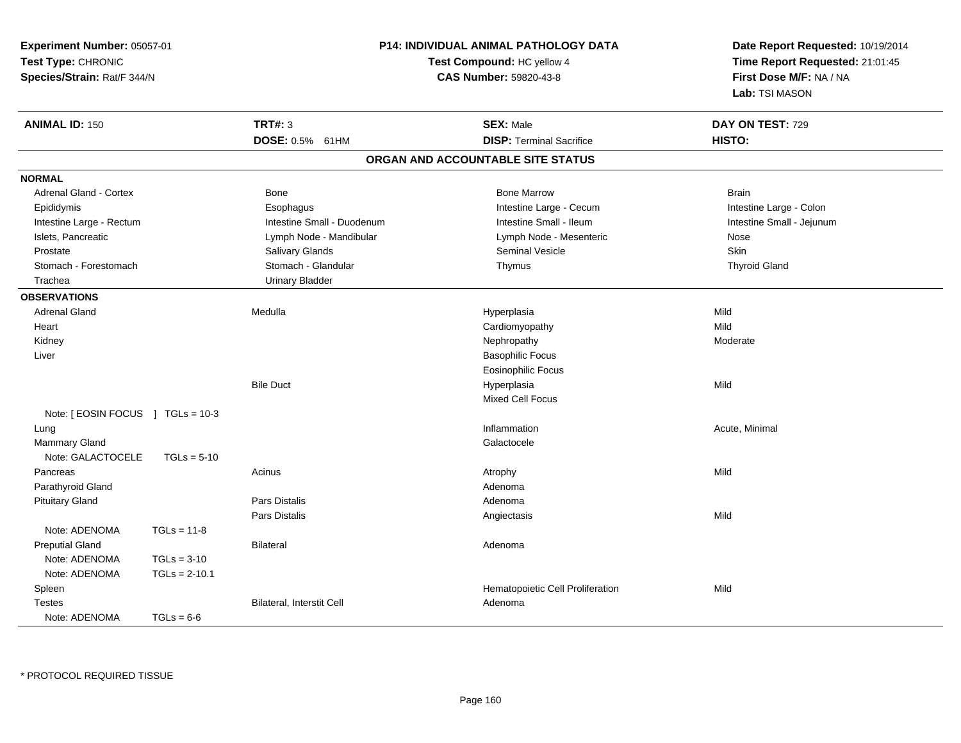| Experiment Number: 05057-01<br>Test Type: CHRONIC<br>Species/Strain: Rat/F 344/N |                 | <b>P14: INDIVIDUAL ANIMAL PATHOLOGY DATA</b><br>Test Compound: HC yellow 4 | Date Report Requested: 10/19/2014<br>Time Report Requested: 21:01:45<br>First Dose M/F: NA / NA<br>Lab: TSI MASON |                           |
|----------------------------------------------------------------------------------|-----------------|----------------------------------------------------------------------------|-------------------------------------------------------------------------------------------------------------------|---------------------------|
| <b>ANIMAL ID: 150</b>                                                            |                 | <b>TRT#: 3</b>                                                             | <b>SEX: Male</b>                                                                                                  | DAY ON TEST: 729          |
|                                                                                  |                 | DOSE: 0.5% 61HM                                                            | <b>DISP: Terminal Sacrifice</b>                                                                                   | HISTO:                    |
|                                                                                  |                 |                                                                            | ORGAN AND ACCOUNTABLE SITE STATUS                                                                                 |                           |
| <b>NORMAL</b>                                                                    |                 |                                                                            |                                                                                                                   |                           |
| <b>Adrenal Gland - Cortex</b>                                                    |                 | Bone                                                                       | <b>Bone Marrow</b>                                                                                                | <b>Brain</b>              |
| Epididymis                                                                       |                 | Esophagus                                                                  | Intestine Large - Cecum                                                                                           | Intestine Large - Colon   |
| Intestine Large - Rectum                                                         |                 | Intestine Small - Duodenum                                                 | Intestine Small - Ileum                                                                                           | Intestine Small - Jejunum |
| Islets, Pancreatic                                                               |                 | Lymph Node - Mandibular                                                    | Lymph Node - Mesenteric                                                                                           | Nose                      |
| Prostate                                                                         |                 | Salivary Glands                                                            | <b>Seminal Vesicle</b>                                                                                            | Skin                      |
| Stomach - Forestomach                                                            |                 | Stomach - Glandular                                                        | Thymus                                                                                                            | <b>Thyroid Gland</b>      |
| Trachea                                                                          |                 | <b>Urinary Bladder</b>                                                     |                                                                                                                   |                           |
| <b>OBSERVATIONS</b>                                                              |                 |                                                                            |                                                                                                                   |                           |
| <b>Adrenal Gland</b>                                                             |                 | Medulla                                                                    | Hyperplasia                                                                                                       | Mild                      |
| Heart                                                                            |                 |                                                                            | Cardiomyopathy                                                                                                    | Mild                      |
| Kidney                                                                           |                 |                                                                            | Nephropathy                                                                                                       | Moderate                  |
| Liver                                                                            |                 |                                                                            | <b>Basophilic Focus</b>                                                                                           |                           |
|                                                                                  |                 |                                                                            | <b>Eosinophilic Focus</b>                                                                                         |                           |
|                                                                                  |                 | <b>Bile Duct</b>                                                           | Hyperplasia                                                                                                       | Mild                      |
|                                                                                  |                 |                                                                            | Mixed Cell Focus                                                                                                  |                           |
| Note: [ EOSIN FOCUS ] TGLs = 10-3                                                |                 |                                                                            |                                                                                                                   |                           |
| Lung                                                                             |                 |                                                                            | Inflammation                                                                                                      | Acute, Minimal            |
| Mammary Gland                                                                    |                 |                                                                            | Galactocele                                                                                                       |                           |
| Note: GALACTOCELE                                                                | $TGLs = 5-10$   |                                                                            |                                                                                                                   |                           |
| Pancreas                                                                         |                 | Acinus                                                                     | Atrophy                                                                                                           | Mild                      |
| Parathyroid Gland                                                                |                 |                                                                            | Adenoma                                                                                                           |                           |
| <b>Pituitary Gland</b>                                                           |                 | <b>Pars Distalis</b>                                                       | Adenoma                                                                                                           |                           |
|                                                                                  |                 | Pars Distalis                                                              | Angiectasis                                                                                                       | Mild                      |
| Note: ADENOMA                                                                    | $TGLs = 11-8$   |                                                                            |                                                                                                                   |                           |
| <b>Preputial Gland</b>                                                           |                 | <b>Bilateral</b>                                                           | Adenoma                                                                                                           |                           |
| Note: ADENOMA                                                                    | $TGLs = 3-10$   |                                                                            |                                                                                                                   |                           |
| Note: ADENOMA                                                                    | $TGLs = 2-10.1$ |                                                                            |                                                                                                                   |                           |
| Spleen                                                                           |                 |                                                                            | Hematopoietic Cell Proliferation                                                                                  | Mild                      |
| <b>Testes</b>                                                                    |                 | Bilateral, Interstit Cell                                                  | Adenoma                                                                                                           |                           |
| Note: ADENOMA                                                                    | $TGLs = 6-6$    |                                                                            |                                                                                                                   |                           |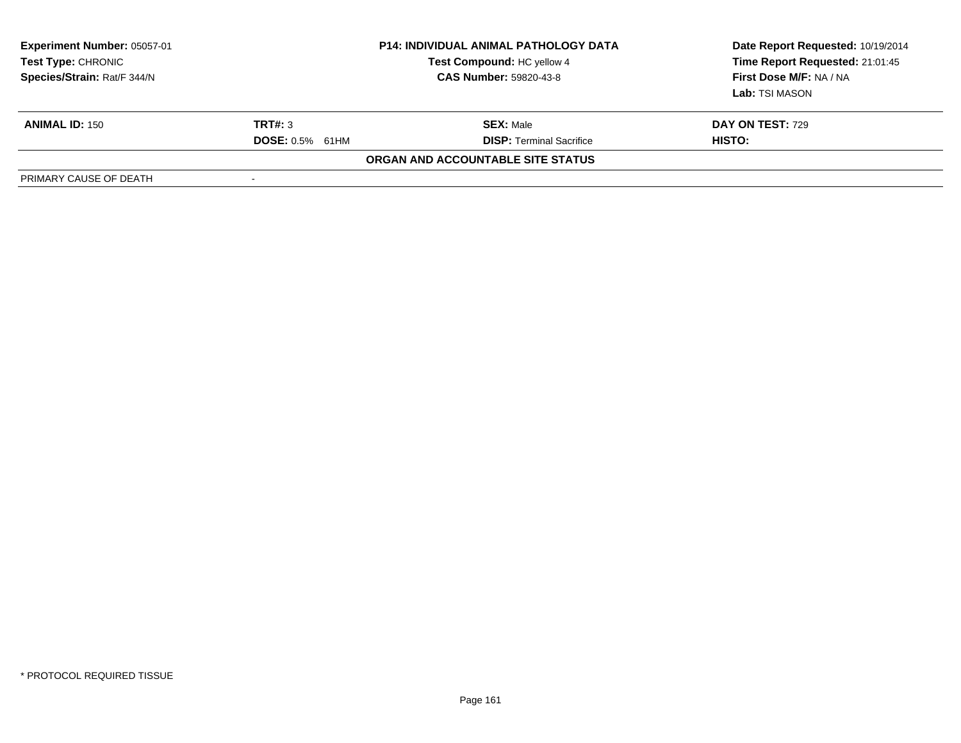| <b>Experiment Number: 05057-01</b><br>Test Type: CHRONIC<br>Species/Strain: Rat/F 344/N |                          | <b>P14: INDIVIDUAL ANIMAL PATHOLOGY DATA</b><br>Test Compound: HC yellow 4<br><b>CAS Number: 59820-43-8</b> | Date Report Requested: 10/19/2014<br>Time Report Requested: 21:01:45<br>First Dose M/F: NA / NA<br>Lab: TSI MASON |
|-----------------------------------------------------------------------------------------|--------------------------|-------------------------------------------------------------------------------------------------------------|-------------------------------------------------------------------------------------------------------------------|
| <b>ANIMAL ID: 150</b>                                                                   | TRT#: 3                  | <b>SEX: Male</b>                                                                                            | DAY ON TEST: 729                                                                                                  |
|                                                                                         | <b>DOSE: 0.5% 61HM</b>   | <b>DISP: Terminal Sacrifice</b>                                                                             | HISTO:                                                                                                            |
|                                                                                         |                          | ORGAN AND ACCOUNTABLE SITE STATUS                                                                           |                                                                                                                   |
| PRIMARY CAUSE OF DEATH                                                                  | $\overline{\phantom{a}}$ |                                                                                                             |                                                                                                                   |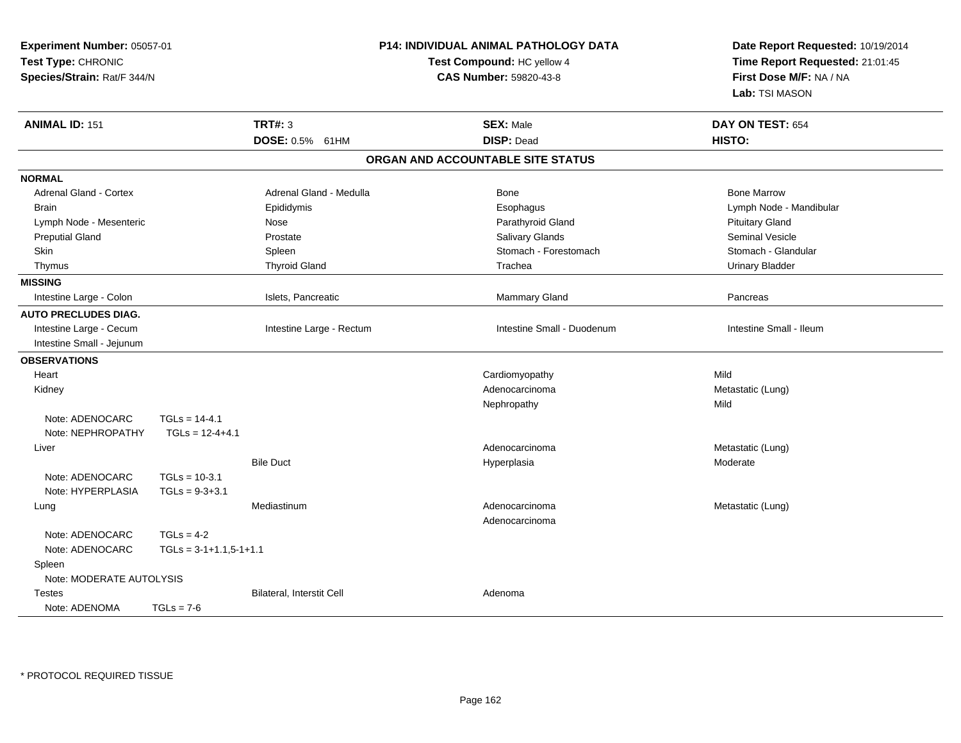| Experiment Number: 05057-01<br>Test Type: CHRONIC<br>Species/Strain: Rat/F 344/N |                          | P14: INDIVIDUAL ANIMAL PATHOLOGY DATA<br>Test Compound: HC yellow 4<br><b>CAS Number: 59820-43-8</b> |  | Date Report Requested: 10/19/2014<br>Time Report Requested: 21:01:45<br>First Dose M/F: NA / NA<br>Lab: TSI MASON |                         |
|----------------------------------------------------------------------------------|--------------------------|------------------------------------------------------------------------------------------------------|--|-------------------------------------------------------------------------------------------------------------------|-------------------------|
| <b>ANIMAL ID: 151</b>                                                            |                          | <b>TRT#: 3</b>                                                                                       |  | <b>SEX: Male</b>                                                                                                  | DAY ON TEST: 654        |
|                                                                                  |                          | DOSE: 0.5% 61HM                                                                                      |  | <b>DISP: Dead</b>                                                                                                 | HISTO:                  |
|                                                                                  |                          |                                                                                                      |  | ORGAN AND ACCOUNTABLE SITE STATUS                                                                                 |                         |
| <b>NORMAL</b>                                                                    |                          |                                                                                                      |  |                                                                                                                   |                         |
| <b>Adrenal Gland - Cortex</b>                                                    |                          | Adrenal Gland - Medulla                                                                              |  | Bone                                                                                                              | <b>Bone Marrow</b>      |
| <b>Brain</b>                                                                     |                          | Epididymis                                                                                           |  | Esophagus                                                                                                         | Lymph Node - Mandibular |
| Lymph Node - Mesenteric                                                          |                          | Nose                                                                                                 |  | Parathyroid Gland                                                                                                 | <b>Pituitary Gland</b>  |
| <b>Preputial Gland</b>                                                           |                          | Prostate                                                                                             |  | Salivary Glands                                                                                                   | <b>Seminal Vesicle</b>  |
| Skin                                                                             |                          | Spleen                                                                                               |  | Stomach - Forestomach                                                                                             | Stomach - Glandular     |
| Thymus                                                                           |                          | <b>Thyroid Gland</b>                                                                                 |  | Trachea                                                                                                           | <b>Urinary Bladder</b>  |
| <b>MISSING</b>                                                                   |                          |                                                                                                      |  |                                                                                                                   |                         |
| Intestine Large - Colon                                                          |                          | Islets, Pancreatic                                                                                   |  | Mammary Gland                                                                                                     | Pancreas                |
| <b>AUTO PRECLUDES DIAG.</b>                                                      |                          |                                                                                                      |  |                                                                                                                   |                         |
| Intestine Large - Cecum                                                          |                          | Intestine Large - Rectum                                                                             |  | Intestine Small - Duodenum                                                                                        | Intestine Small - Ileum |
| Intestine Small - Jejunum                                                        |                          |                                                                                                      |  |                                                                                                                   |                         |
| <b>OBSERVATIONS</b>                                                              |                          |                                                                                                      |  |                                                                                                                   |                         |
| Heart                                                                            |                          |                                                                                                      |  | Cardiomyopathy                                                                                                    | Mild                    |
| Kidney                                                                           |                          |                                                                                                      |  | Adenocarcinoma                                                                                                    | Metastatic (Lung)       |
|                                                                                  |                          |                                                                                                      |  | Nephropathy                                                                                                       | Mild                    |
| Note: ADENOCARC                                                                  | $TGLs = 14-4.1$          |                                                                                                      |  |                                                                                                                   |                         |
| Note: NEPHROPATHY                                                                | $TGLs = 12-4+4.1$        |                                                                                                      |  |                                                                                                                   |                         |
| Liver                                                                            |                          |                                                                                                      |  | Adenocarcinoma                                                                                                    | Metastatic (Lung)       |
|                                                                                  |                          | <b>Bile Duct</b>                                                                                     |  | Hyperplasia                                                                                                       | Moderate                |
| Note: ADENOCARC                                                                  | $TGLs = 10-3.1$          |                                                                                                      |  |                                                                                                                   |                         |
| Note: HYPERPLASIA                                                                | $TGLs = 9-3+3.1$         |                                                                                                      |  |                                                                                                                   |                         |
| Lung                                                                             |                          | Mediastinum                                                                                          |  | Adenocarcinoma<br>Adenocarcinoma                                                                                  | Metastatic (Lung)       |
| Note: ADENOCARC                                                                  | $TGLs = 4-2$             |                                                                                                      |  |                                                                                                                   |                         |
| Note: ADENOCARC                                                                  | $TGLs = 3-1+1.1,5-1+1.1$ |                                                                                                      |  |                                                                                                                   |                         |
| Spleen                                                                           |                          |                                                                                                      |  |                                                                                                                   |                         |
| Note: MODERATE AUTOLYSIS                                                         |                          |                                                                                                      |  |                                                                                                                   |                         |
| Testes                                                                           |                          | Bilateral, Interstit Cell                                                                            |  | Adenoma                                                                                                           |                         |
| Note: ADENOMA                                                                    | $TGLs = 7-6$             |                                                                                                      |  |                                                                                                                   |                         |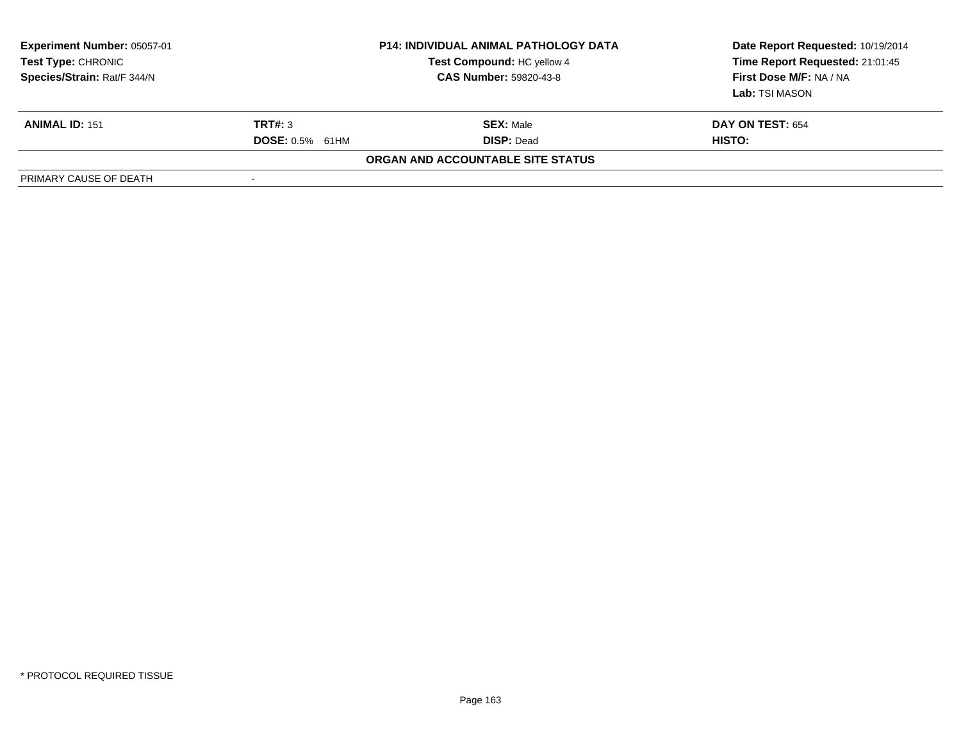| <b>Experiment Number: 05057-01</b><br>Test Type: CHRONIC<br>Species/Strain: Rat/F 344/N |                        | <b>P14: INDIVIDUAL ANIMAL PATHOLOGY DATA</b><br>Test Compound: HC yellow 4<br><b>CAS Number: 59820-43-8</b> | Date Report Requested: 10/19/2014<br>Time Report Requested: 21:01:45<br>First Dose M/F: NA / NA<br>Lab: TSI MASON |
|-----------------------------------------------------------------------------------------|------------------------|-------------------------------------------------------------------------------------------------------------|-------------------------------------------------------------------------------------------------------------------|
| <b>ANIMAL ID: 151</b>                                                                   | TRT#: 3                | <b>SEX: Male</b>                                                                                            | <b>DAY ON TEST: 654</b>                                                                                           |
|                                                                                         | <b>DOSE:</b> 0.5% 61HM | <b>DISP:</b> Dead                                                                                           | HISTO:                                                                                                            |
|                                                                                         |                        | <b>ORGAN AND ACCOUNTABLE SITE STATUS</b>                                                                    |                                                                                                                   |
| PRIMARY CAUSE OF DEATH                                                                  |                        |                                                                                                             |                                                                                                                   |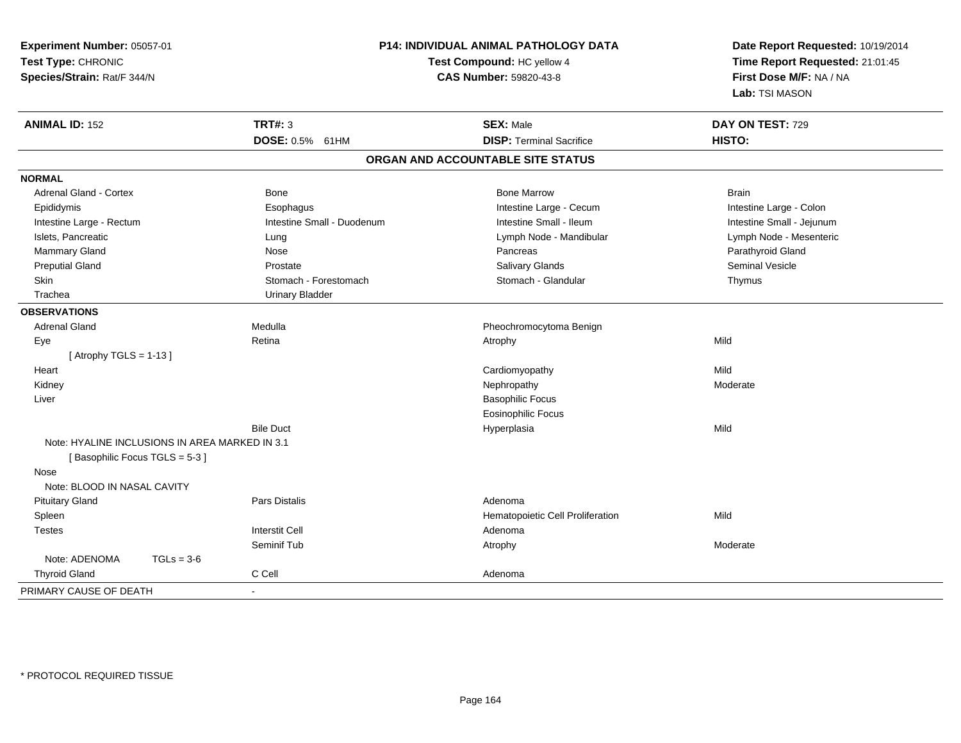| Experiment Number: 05057-01<br>Test Type: CHRONIC<br>Species/Strain: Rat/F 344/N        |                            | P14: INDIVIDUAL ANIMAL PATHOLOGY DATA<br>Test Compound: HC yellow 4<br>CAS Number: 59820-43-8 | Date Report Requested: 10/19/2014<br>Time Report Requested: 21:01:45<br>First Dose M/F: NA / NA<br>Lab: TSI MASON |  |
|-----------------------------------------------------------------------------------------|----------------------------|-----------------------------------------------------------------------------------------------|-------------------------------------------------------------------------------------------------------------------|--|
| <b>ANIMAL ID: 152</b>                                                                   | <b>TRT#: 3</b>             | <b>SEX: Male</b>                                                                              | DAY ON TEST: 729                                                                                                  |  |
|                                                                                         | DOSE: 0.5% 61HM            | <b>DISP: Terminal Sacrifice</b>                                                               | HISTO:                                                                                                            |  |
|                                                                                         |                            | ORGAN AND ACCOUNTABLE SITE STATUS                                                             |                                                                                                                   |  |
| <b>NORMAL</b>                                                                           |                            |                                                                                               |                                                                                                                   |  |
| <b>Adrenal Gland - Cortex</b>                                                           | Bone                       | <b>Bone Marrow</b>                                                                            | <b>Brain</b>                                                                                                      |  |
| Epididymis                                                                              | Esophagus                  | Intestine Large - Cecum                                                                       | Intestine Large - Colon                                                                                           |  |
| Intestine Large - Rectum                                                                | Intestine Small - Duodenum | Intestine Small - Ileum                                                                       | Intestine Small - Jejunum                                                                                         |  |
| Islets, Pancreatic                                                                      | Lung                       | Lymph Node - Mandibular                                                                       | Lymph Node - Mesenteric                                                                                           |  |
| Mammary Gland                                                                           | Nose                       | Pancreas                                                                                      | Parathyroid Gland                                                                                                 |  |
| <b>Preputial Gland</b>                                                                  | Prostate                   | Salivary Glands                                                                               | <b>Seminal Vesicle</b>                                                                                            |  |
| Skin                                                                                    | Stomach - Forestomach      | Stomach - Glandular                                                                           | Thymus                                                                                                            |  |
| Trachea                                                                                 | <b>Urinary Bladder</b>     |                                                                                               |                                                                                                                   |  |
| <b>OBSERVATIONS</b>                                                                     |                            |                                                                                               |                                                                                                                   |  |
| <b>Adrenal Gland</b>                                                                    | Medulla                    | Pheochromocytoma Benign                                                                       |                                                                                                                   |  |
| Eye                                                                                     | Retina                     | Atrophy                                                                                       | Mild                                                                                                              |  |
| [Atrophy TGLS = 1-13]                                                                   |                            |                                                                                               |                                                                                                                   |  |
| Heart                                                                                   |                            | Cardiomyopathy                                                                                | Mild                                                                                                              |  |
| Kidney                                                                                  |                            | Nephropathy                                                                                   | Moderate                                                                                                          |  |
| Liver                                                                                   |                            | <b>Basophilic Focus</b>                                                                       |                                                                                                                   |  |
|                                                                                         |                            | <b>Eosinophilic Focus</b>                                                                     |                                                                                                                   |  |
|                                                                                         | <b>Bile Duct</b>           | Hyperplasia                                                                                   | Mild                                                                                                              |  |
| Note: HYALINE INCLUSIONS IN AREA MARKED IN 3.1<br>[Basophilic Focus TGLS = 5-3]<br>Nose |                            |                                                                                               |                                                                                                                   |  |
| Note: BLOOD IN NASAL CAVITY                                                             |                            |                                                                                               |                                                                                                                   |  |
| <b>Pituitary Gland</b>                                                                  | <b>Pars Distalis</b>       | Adenoma                                                                                       |                                                                                                                   |  |
| Spleen                                                                                  |                            | Hematopoietic Cell Proliferation                                                              | Mild                                                                                                              |  |
| <b>Testes</b>                                                                           | <b>Interstit Cell</b>      | Adenoma                                                                                       |                                                                                                                   |  |
|                                                                                         | Seminif Tub                | Atrophy                                                                                       | Moderate                                                                                                          |  |
| Note: ADENOMA<br>$TGLs = 3-6$                                                           |                            |                                                                                               |                                                                                                                   |  |
| <b>Thyroid Gland</b>                                                                    | C Cell                     | Adenoma                                                                                       |                                                                                                                   |  |
| PRIMARY CAUSE OF DEATH                                                                  | $\sim$                     |                                                                                               |                                                                                                                   |  |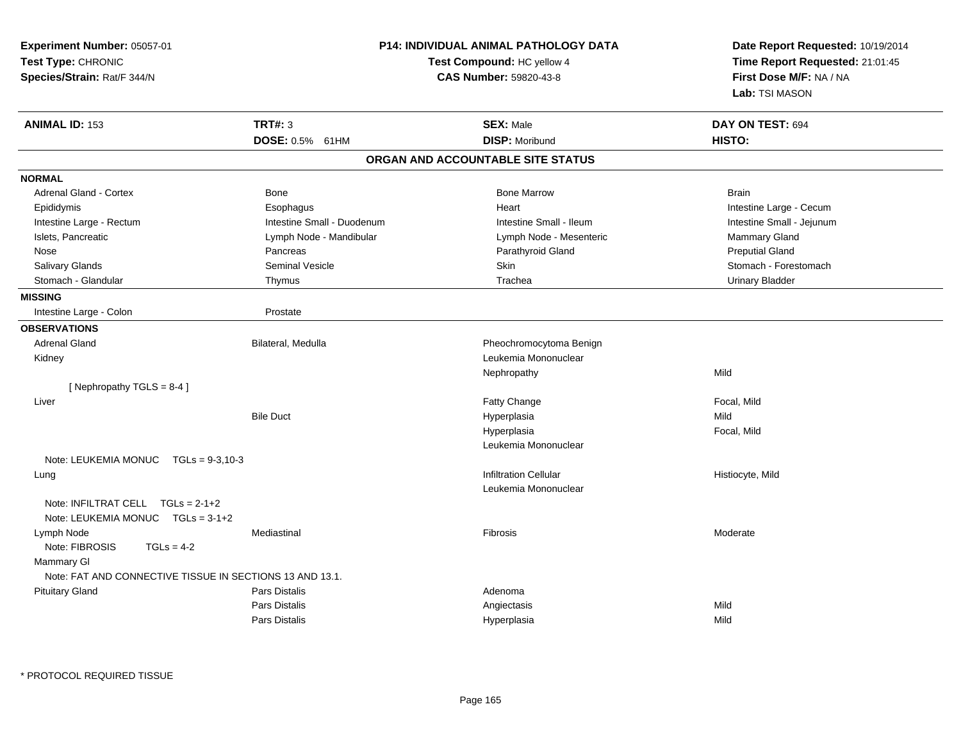| Experiment Number: 05057-01<br>Test Type: CHRONIC<br>Species/Strain: Rat/F 344/N |                            | P14: INDIVIDUAL ANIMAL PATHOLOGY DATA<br>Test Compound: HC yellow 4<br><b>CAS Number: 59820-43-8</b> | Date Report Requested: 10/19/2014<br>Time Report Requested: 21:01:45<br>First Dose M/F: NA / NA<br>Lab: TSI MASON |  |
|----------------------------------------------------------------------------------|----------------------------|------------------------------------------------------------------------------------------------------|-------------------------------------------------------------------------------------------------------------------|--|
| <b>ANIMAL ID: 153</b>                                                            | <b>TRT#: 3</b>             | <b>SEX: Male</b>                                                                                     | DAY ON TEST: 694                                                                                                  |  |
|                                                                                  | DOSE: 0.5% 61HM            | <b>DISP: Moribund</b>                                                                                | HISTO:                                                                                                            |  |
|                                                                                  |                            | ORGAN AND ACCOUNTABLE SITE STATUS                                                                    |                                                                                                                   |  |
| <b>NORMAL</b>                                                                    |                            |                                                                                                      |                                                                                                                   |  |
| <b>Adrenal Gland - Cortex</b>                                                    | Bone                       | <b>Bone Marrow</b>                                                                                   | <b>Brain</b>                                                                                                      |  |
| Epididymis                                                                       | Esophagus                  | Heart                                                                                                | Intestine Large - Cecum                                                                                           |  |
| Intestine Large - Rectum                                                         | Intestine Small - Duodenum | Intestine Small - Ileum                                                                              | Intestine Small - Jejunum                                                                                         |  |
| Islets, Pancreatic                                                               | Lymph Node - Mandibular    | Lymph Node - Mesenteric                                                                              | Mammary Gland                                                                                                     |  |
| Nose                                                                             | Pancreas                   | Parathyroid Gland                                                                                    | <b>Preputial Gland</b>                                                                                            |  |
| Salivary Glands                                                                  | Seminal Vesicle            | Skin                                                                                                 | Stomach - Forestomach                                                                                             |  |
| Stomach - Glandular                                                              | Thymus                     | Trachea                                                                                              | <b>Urinary Bladder</b>                                                                                            |  |
| <b>MISSING</b>                                                                   |                            |                                                                                                      |                                                                                                                   |  |
| Intestine Large - Colon                                                          | Prostate                   |                                                                                                      |                                                                                                                   |  |
| <b>OBSERVATIONS</b>                                                              |                            |                                                                                                      |                                                                                                                   |  |
| <b>Adrenal Gland</b>                                                             | Bilateral, Medulla         | Pheochromocytoma Benign                                                                              |                                                                                                                   |  |
| Kidney                                                                           |                            | Leukemia Mononuclear                                                                                 |                                                                                                                   |  |
|                                                                                  |                            | Nephropathy                                                                                          | Mild                                                                                                              |  |
| [Nephropathy TGLS = 8-4]                                                         |                            |                                                                                                      |                                                                                                                   |  |
| Liver                                                                            |                            | <b>Fatty Change</b>                                                                                  | Focal, Mild                                                                                                       |  |
|                                                                                  | <b>Bile Duct</b>           | Hyperplasia                                                                                          | Mild                                                                                                              |  |
|                                                                                  |                            | Hyperplasia                                                                                          | Focal, Mild                                                                                                       |  |
|                                                                                  |                            | Leukemia Mononuclear                                                                                 |                                                                                                                   |  |
| Note: LEUKEMIA MONUC TGLs = 9-3,10-3                                             |                            |                                                                                                      |                                                                                                                   |  |
| Lung                                                                             |                            | <b>Infiltration Cellular</b>                                                                         | Histiocyte, Mild                                                                                                  |  |
|                                                                                  |                            | Leukemia Mononuclear                                                                                 |                                                                                                                   |  |
| Note: INFILTRAT CELL $TGLs = 2-1+2$<br>Note: LEUKEMIA MONUC TGLs = 3-1+2         |                            |                                                                                                      |                                                                                                                   |  |
| Lymph Node                                                                       | Mediastinal                | Fibrosis                                                                                             | Moderate                                                                                                          |  |
| Note: FIBROSIS<br>$TGLs = 4-2$                                                   |                            |                                                                                                      |                                                                                                                   |  |
| Mammary GI                                                                       |                            |                                                                                                      |                                                                                                                   |  |
| Note: FAT AND CONNECTIVE TISSUE IN SECTIONS 13 AND 13.1.                         |                            |                                                                                                      |                                                                                                                   |  |
| <b>Pituitary Gland</b>                                                           | Pars Distalis              | Adenoma                                                                                              |                                                                                                                   |  |
|                                                                                  | Pars Distalis              | Angiectasis                                                                                          | Mild                                                                                                              |  |
|                                                                                  | <b>Pars Distalis</b>       | Hyperplasia                                                                                          | Mild                                                                                                              |  |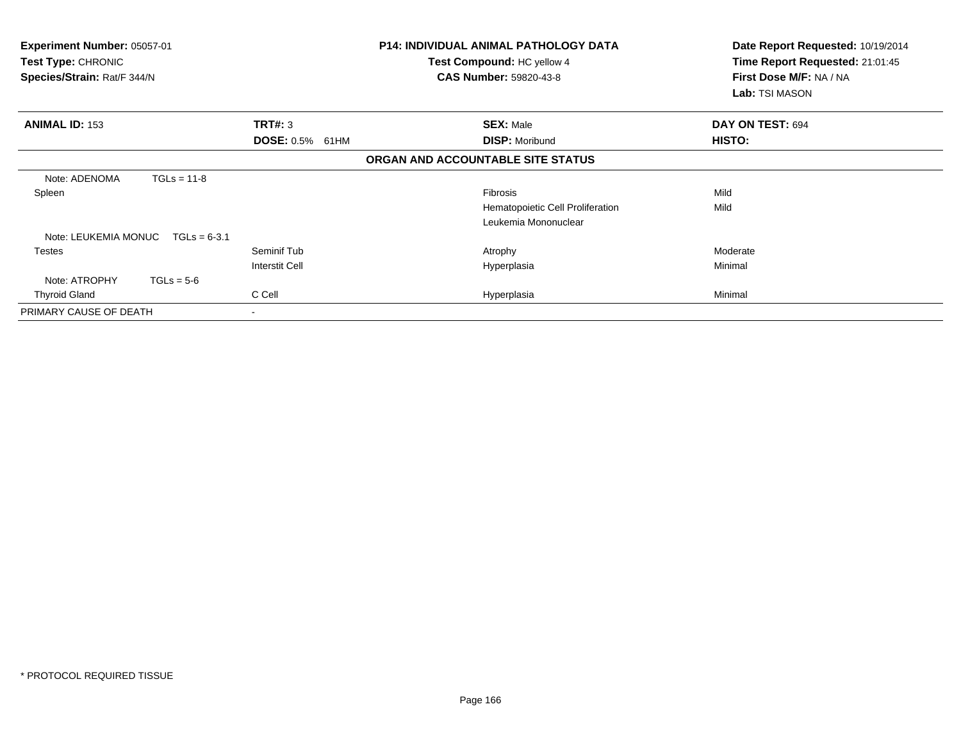| Experiment Number: 05057-01<br><b>Test Type: CHRONIC</b><br>Species/Strain: Rat/F 344/N |               |                        | <b>P14: INDIVIDUAL ANIMAL PATHOLOGY DATA</b><br><b>Test Compound: HC yellow 4</b><br><b>CAS Number: 59820-43-8</b> | Date Report Requested: 10/19/2014<br>Time Report Requested: 21:01:45<br>First Dose M/F: NA / NA<br>Lab: TSI MASON |  |
|-----------------------------------------------------------------------------------------|---------------|------------------------|--------------------------------------------------------------------------------------------------------------------|-------------------------------------------------------------------------------------------------------------------|--|
| <b>ANIMAL ID: 153</b>                                                                   |               | TRT#: 3                | <b>SEX: Male</b>                                                                                                   | DAY ON TEST: 694                                                                                                  |  |
|                                                                                         |               | <b>DOSE: 0.5% 61HM</b> | <b>DISP: Moribund</b>                                                                                              | <b>HISTO:</b>                                                                                                     |  |
|                                                                                         |               |                        | ORGAN AND ACCOUNTABLE SITE STATUS                                                                                  |                                                                                                                   |  |
| Note: ADENOMA                                                                           | $TGLs = 11-8$ |                        |                                                                                                                    |                                                                                                                   |  |
| Spleen                                                                                  |               |                        | <b>Fibrosis</b>                                                                                                    | Mild                                                                                                              |  |
|                                                                                         |               |                        | Hematopoietic Cell Proliferation                                                                                   | Mild                                                                                                              |  |
|                                                                                         |               |                        | Leukemia Mononuclear                                                                                               |                                                                                                                   |  |
| Note: LEUKEMIA MONUC $TGLs = 6-3.1$                                                     |               |                        |                                                                                                                    |                                                                                                                   |  |
| <b>Testes</b>                                                                           |               | Seminif Tub            | Atrophy                                                                                                            | Moderate                                                                                                          |  |
|                                                                                         |               | <b>Interstit Cell</b>  | Hyperplasia                                                                                                        | Minimal                                                                                                           |  |
| Note: ATROPHY                                                                           | $TGLs = 5-6$  |                        |                                                                                                                    |                                                                                                                   |  |
| <b>Thyroid Gland</b>                                                                    |               | C Cell                 | Hyperplasia                                                                                                        | Minimal                                                                                                           |  |
| PRIMARY CAUSE OF DEATH                                                                  |               | $\sim$                 |                                                                                                                    |                                                                                                                   |  |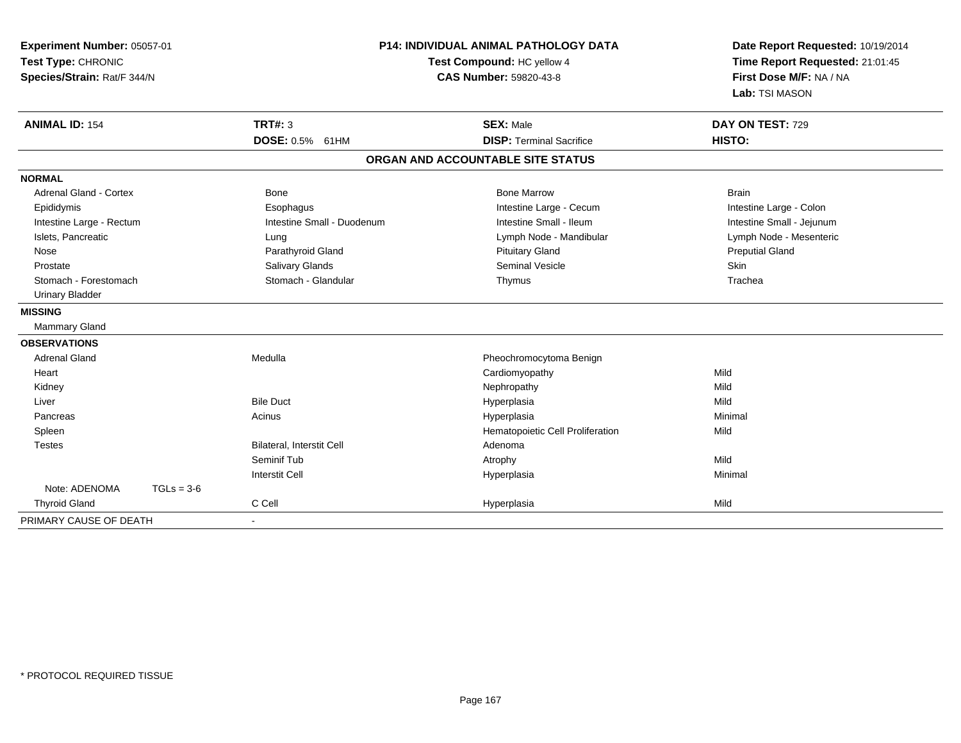| Experiment Number: 05057-01<br>Test Type: CHRONIC<br>Species/Strain: Rat/F 344/N | <b>P14: INDIVIDUAL ANIMAL PATHOLOGY DATA</b><br>Test Compound: HC yellow 4<br>CAS Number: 59820-43-8 |                                   | Date Report Requested: 10/19/2014<br>Time Report Requested: 21:01:45<br>First Dose M/F: NA / NA<br>Lab: TSI MASON |                            |  |
|----------------------------------------------------------------------------------|------------------------------------------------------------------------------------------------------|-----------------------------------|-------------------------------------------------------------------------------------------------------------------|----------------------------|--|
| <b>ANIMAL ID: 154</b>                                                            |                                                                                                      | <b>TRT#: 3</b><br>DOSE: 0.5% 61HM | <b>SEX: Male</b><br><b>DISP: Terminal Sacrifice</b>                                                               | DAY ON TEST: 729<br>HISTO: |  |
|                                                                                  |                                                                                                      |                                   | ORGAN AND ACCOUNTABLE SITE STATUS                                                                                 |                            |  |
| <b>NORMAL</b>                                                                    |                                                                                                      |                                   |                                                                                                                   |                            |  |
| Adrenal Gland - Cortex                                                           |                                                                                                      | <b>Bone</b>                       | <b>Bone Marrow</b>                                                                                                | <b>Brain</b>               |  |
| Epididymis                                                                       |                                                                                                      | Esophagus                         | Intestine Large - Cecum                                                                                           | Intestine Large - Colon    |  |
| Intestine Large - Rectum                                                         |                                                                                                      | Intestine Small - Duodenum        | Intestine Small - Ileum                                                                                           | Intestine Small - Jejunum  |  |
| Islets, Pancreatic                                                               |                                                                                                      | Lung                              | Lymph Node - Mandibular                                                                                           | Lymph Node - Mesenteric    |  |
| Nose                                                                             |                                                                                                      | Parathyroid Gland                 | <b>Pituitary Gland</b>                                                                                            | <b>Preputial Gland</b>     |  |
| Prostate                                                                         |                                                                                                      | Salivary Glands                   | <b>Seminal Vesicle</b>                                                                                            | <b>Skin</b>                |  |
| Stomach - Forestomach                                                            |                                                                                                      | Stomach - Glandular               | Thymus                                                                                                            | Trachea                    |  |
| <b>Urinary Bladder</b>                                                           |                                                                                                      |                                   |                                                                                                                   |                            |  |
| <b>MISSING</b>                                                                   |                                                                                                      |                                   |                                                                                                                   |                            |  |
| Mammary Gland                                                                    |                                                                                                      |                                   |                                                                                                                   |                            |  |
| <b>OBSERVATIONS</b>                                                              |                                                                                                      |                                   |                                                                                                                   |                            |  |
| <b>Adrenal Gland</b>                                                             |                                                                                                      | Medulla                           | Pheochromocytoma Benign                                                                                           |                            |  |
| Heart                                                                            |                                                                                                      |                                   | Cardiomyopathy                                                                                                    | Mild                       |  |
| Kidney                                                                           |                                                                                                      |                                   | Nephropathy                                                                                                       | Mild                       |  |
| Liver                                                                            |                                                                                                      | <b>Bile Duct</b>                  | Hyperplasia                                                                                                       | Mild                       |  |
| Pancreas                                                                         |                                                                                                      | Acinus                            | Hyperplasia                                                                                                       | Minimal                    |  |
| Spleen                                                                           |                                                                                                      |                                   | Hematopoietic Cell Proliferation                                                                                  | Mild                       |  |
| <b>Testes</b>                                                                    |                                                                                                      | <b>Bilateral, Interstit Cell</b>  | Adenoma                                                                                                           |                            |  |
|                                                                                  |                                                                                                      | Seminif Tub                       | Atrophy                                                                                                           | Mild                       |  |
|                                                                                  |                                                                                                      | <b>Interstit Cell</b>             | Hyperplasia                                                                                                       | Minimal                    |  |
| Note: ADENOMA                                                                    | $TGLs = 3-6$                                                                                         |                                   |                                                                                                                   |                            |  |
| <b>Thyroid Gland</b>                                                             |                                                                                                      | C Cell                            | Hyperplasia                                                                                                       | Mild                       |  |
| PRIMARY CAUSE OF DEATH                                                           |                                                                                                      |                                   |                                                                                                                   |                            |  |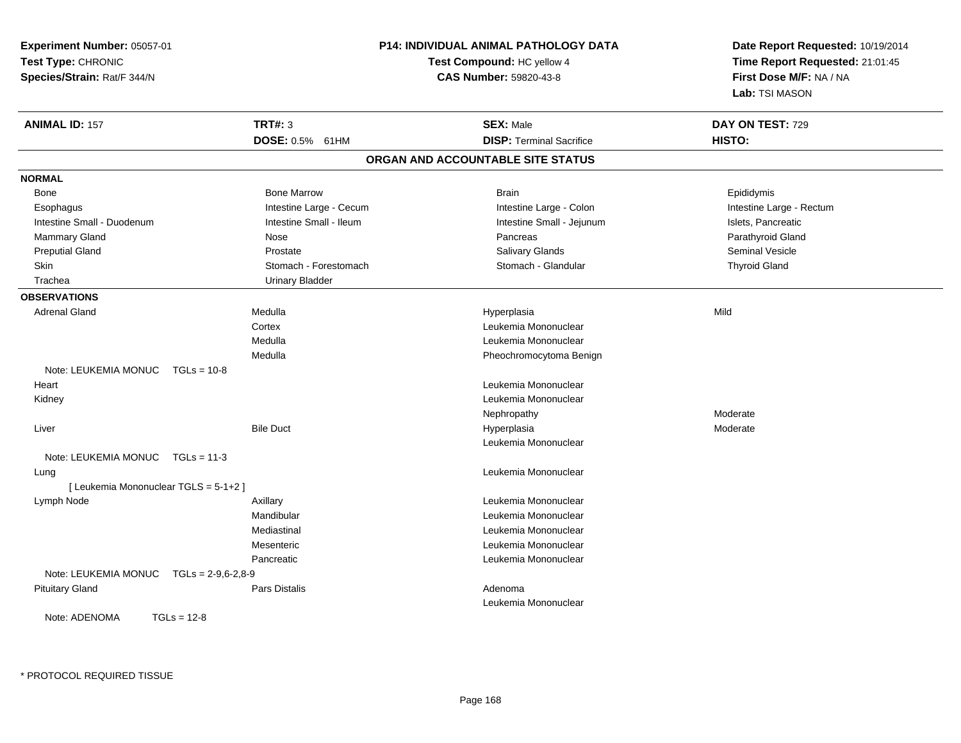| Experiment Number: 05057-01                  |                         | P14: INDIVIDUAL ANIMAL PATHOLOGY DATA | Date Report Requested: 10/19/2014 |  |
|----------------------------------------------|-------------------------|---------------------------------------|-----------------------------------|--|
| Test Type: CHRONIC                           |                         | Test Compound: HC yellow 4            | Time Report Requested: 21:01:45   |  |
| Species/Strain: Rat/F 344/N                  |                         | CAS Number: 59820-43-8                | First Dose M/F: NA / NA           |  |
|                                              |                         |                                       | Lab: TSI MASON                    |  |
| <b>ANIMAL ID: 157</b>                        | <b>TRT#: 3</b>          | <b>SEX: Male</b>                      | DAY ON TEST: 729                  |  |
|                                              | DOSE: 0.5% 61HM         | <b>DISP: Terminal Sacrifice</b>       | HISTO:                            |  |
|                                              |                         | ORGAN AND ACCOUNTABLE SITE STATUS     |                                   |  |
| <b>NORMAL</b>                                |                         |                                       |                                   |  |
| Bone                                         | <b>Bone Marrow</b>      | <b>Brain</b>                          | Epididymis                        |  |
| Esophagus                                    | Intestine Large - Cecum | Intestine Large - Colon               | Intestine Large - Rectum          |  |
| Intestine Small - Duodenum                   | Intestine Small - Ileum | Intestine Small - Jejunum             | Islets, Pancreatic                |  |
| <b>Mammary Gland</b>                         | Nose                    | Pancreas                              | Parathyroid Gland                 |  |
| <b>Preputial Gland</b>                       | Prostate                | Salivary Glands                       | Seminal Vesicle                   |  |
| <b>Skin</b>                                  | Stomach - Forestomach   | Stomach - Glandular                   | <b>Thyroid Gland</b>              |  |
| Trachea                                      | <b>Urinary Bladder</b>  |                                       |                                   |  |
| <b>OBSERVATIONS</b>                          |                         |                                       |                                   |  |
| <b>Adrenal Gland</b>                         | Medulla                 | Hyperplasia                           | Mild                              |  |
|                                              | Cortex                  | Leukemia Mononuclear                  |                                   |  |
|                                              | Medulla                 | Leukemia Mononuclear                  |                                   |  |
|                                              | Medulla                 | Pheochromocytoma Benign               |                                   |  |
| Note: LEUKEMIA MONUC<br>$TGLs = 10-8$        |                         |                                       |                                   |  |
| Heart                                        |                         | Leukemia Mononuclear                  |                                   |  |
| Kidney                                       |                         | Leukemia Mononuclear                  |                                   |  |
|                                              |                         | Nephropathy                           | Moderate                          |  |
| Liver                                        | <b>Bile Duct</b>        | Hyperplasia                           | Moderate                          |  |
|                                              |                         | Leukemia Mononuclear                  |                                   |  |
| Note: LEUKEMIA MONUC TGLs = 11-3             |                         |                                       |                                   |  |
| Lung                                         |                         | Leukemia Mononuclear                  |                                   |  |
| [ Leukemia Mononuclear TGLS = 5-1+2 ]        |                         |                                       |                                   |  |
| Lymph Node                                   | Axillary                | Leukemia Mononuclear                  |                                   |  |
|                                              | Mandibular              | Leukemia Mononuclear                  |                                   |  |
|                                              | Mediastinal             | Leukemia Mononuclear                  |                                   |  |
|                                              | Mesenteric              | Leukemia Mononuclear                  |                                   |  |
|                                              | Pancreatic              | Leukemia Mononuclear                  |                                   |  |
| Note: LEUKEMIA MONUC<br>$TGLs = 2-9,6-2,8-9$ |                         |                                       |                                   |  |
| <b>Pituitary Gland</b>                       | <b>Pars Distalis</b>    | Adenoma                               |                                   |  |
|                                              |                         | Leukemia Mononuclear                  |                                   |  |
| Note: ADENOMA<br>$TGLs = 12-8$               |                         |                                       |                                   |  |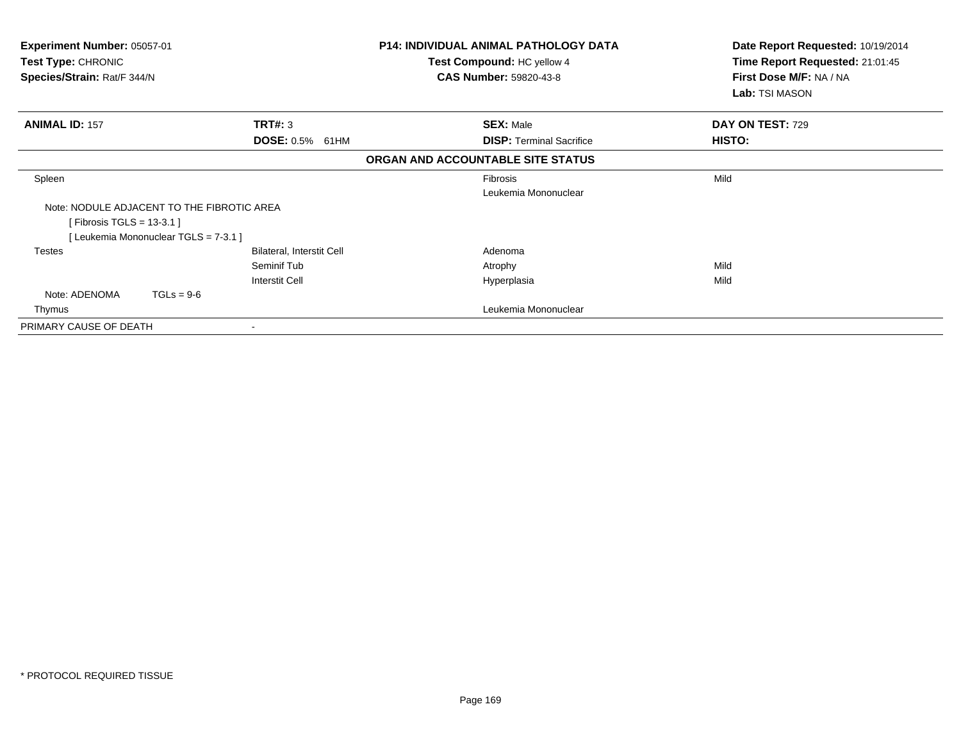| Experiment Number: 05057-01<br>Test Type: CHRONIC<br>Species/Strain: Rat/F 344/N |                           | <b>P14: INDIVIDUAL ANIMAL PATHOLOGY DATA</b><br>Test Compound: HC yellow 4<br><b>CAS Number: 59820-43-8</b> |                                 | Date Report Requested: 10/19/2014<br>Time Report Requested: 21:01:45<br>First Dose M/F: NA / NA<br><b>Lab:</b> TSI MASON |
|----------------------------------------------------------------------------------|---------------------------|-------------------------------------------------------------------------------------------------------------|---------------------------------|--------------------------------------------------------------------------------------------------------------------------|
| <b>ANIMAL ID: 157</b>                                                            | TRT#: 3                   | <b>SEX: Male</b>                                                                                            |                                 | DAY ON TEST: 729                                                                                                         |
|                                                                                  | <b>DOSE: 0.5%</b><br>61HM |                                                                                                             | <b>DISP: Terminal Sacrifice</b> | HISTO:                                                                                                                   |
|                                                                                  |                           | ORGAN AND ACCOUNTABLE SITE STATUS                                                                           |                                 |                                                                                                                          |
| Spleen                                                                           |                           | <b>Fibrosis</b>                                                                                             | Leukemia Mononuclear            | Mild                                                                                                                     |
| Note: NODULE ADJACENT TO THE FIBROTIC AREA<br>[Fibrosis TGLS = $13-3.1$ ]        |                           |                                                                                                             |                                 |                                                                                                                          |
| [Leukemia Mononuclear TGLS = 7-3.1 ]                                             |                           |                                                                                                             |                                 |                                                                                                                          |
| Testes                                                                           | Bilateral, Interstit Cell | Adenoma                                                                                                     |                                 |                                                                                                                          |
|                                                                                  | Seminif Tub               | Atrophy                                                                                                     |                                 | Mild                                                                                                                     |
|                                                                                  | <b>Interstit Cell</b>     | Hyperplasia                                                                                                 |                                 | Mild                                                                                                                     |
| Note: ADENOMA<br>$TGLs = 9-6$                                                    |                           |                                                                                                             |                                 |                                                                                                                          |
| Thymus                                                                           |                           |                                                                                                             | Leukemia Mononuclear            |                                                                                                                          |
| PRIMARY CAUSE OF DEATH                                                           |                           |                                                                                                             |                                 |                                                                                                                          |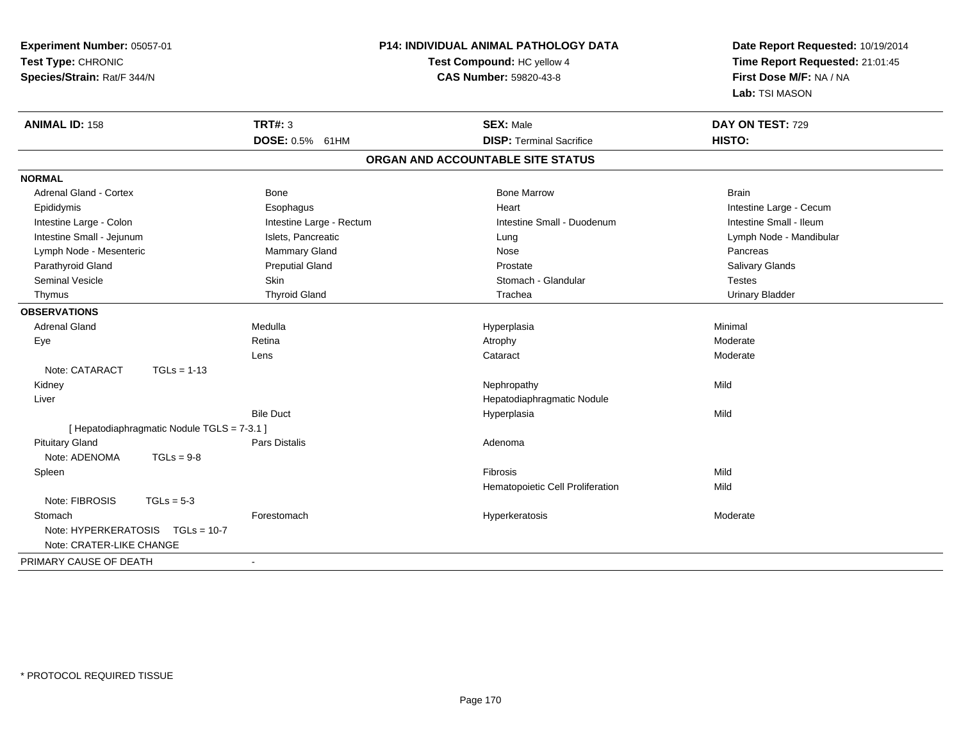| Experiment Number: 05057-01<br>Test Type: CHRONIC<br>Species/Strain: Rat/F 344/N |                          | P14: INDIVIDUAL ANIMAL PATHOLOGY DATA<br>Test Compound: HC yellow 4<br>CAS Number: 59820-43-8 | Date Report Requested: 10/19/2014<br>Time Report Requested: 21:01:45<br>First Dose M/F: NA / NA<br>Lab: TSI MASON |  |
|----------------------------------------------------------------------------------|--------------------------|-----------------------------------------------------------------------------------------------|-------------------------------------------------------------------------------------------------------------------|--|
| <b>ANIMAL ID: 158</b>                                                            | <b>TRT#: 3</b>           | <b>SEX: Male</b>                                                                              | DAY ON TEST: 729                                                                                                  |  |
|                                                                                  | DOSE: 0.5% 61HM          | <b>DISP: Terminal Sacrifice</b>                                                               | HISTO:                                                                                                            |  |
|                                                                                  |                          | ORGAN AND ACCOUNTABLE SITE STATUS                                                             |                                                                                                                   |  |
| <b>NORMAL</b>                                                                    |                          |                                                                                               |                                                                                                                   |  |
| <b>Adrenal Gland - Cortex</b>                                                    | Bone                     | <b>Bone Marrow</b>                                                                            | <b>Brain</b>                                                                                                      |  |
| Epididymis                                                                       | Esophagus                | Heart                                                                                         | Intestine Large - Cecum                                                                                           |  |
| Intestine Large - Colon                                                          | Intestine Large - Rectum | Intestine Small - Duodenum                                                                    | Intestine Small - Ileum                                                                                           |  |
| Intestine Small - Jejunum                                                        | Islets, Pancreatic       | Lung                                                                                          | Lymph Node - Mandibular                                                                                           |  |
| Lymph Node - Mesenteric                                                          | Mammary Gland            | Nose                                                                                          | Pancreas                                                                                                          |  |
| Parathyroid Gland                                                                | <b>Preputial Gland</b>   | Prostate                                                                                      | Salivary Glands                                                                                                   |  |
| <b>Seminal Vesicle</b>                                                           | Skin                     | Stomach - Glandular                                                                           | <b>Testes</b>                                                                                                     |  |
| Thymus                                                                           | <b>Thyroid Gland</b>     | Trachea                                                                                       | <b>Urinary Bladder</b>                                                                                            |  |
| <b>OBSERVATIONS</b>                                                              |                          |                                                                                               |                                                                                                                   |  |
| <b>Adrenal Gland</b>                                                             | Medulla                  | Hyperplasia                                                                                   | Minimal                                                                                                           |  |
| Eye                                                                              | Retina                   | Atrophy                                                                                       | Moderate                                                                                                          |  |
|                                                                                  | Lens                     | Cataract                                                                                      | Moderate                                                                                                          |  |
| Note: CATARACT<br>$TGLs = 1-13$                                                  |                          |                                                                                               |                                                                                                                   |  |
| Kidney                                                                           |                          | Nephropathy                                                                                   | Mild                                                                                                              |  |
| Liver                                                                            |                          | Hepatodiaphragmatic Nodule                                                                    |                                                                                                                   |  |
|                                                                                  | <b>Bile Duct</b>         | Hyperplasia                                                                                   | Mild                                                                                                              |  |
| [ Hepatodiaphragmatic Nodule TGLS = 7-3.1 ]                                      |                          |                                                                                               |                                                                                                                   |  |
| <b>Pituitary Gland</b>                                                           | Pars Distalis            | Adenoma                                                                                       |                                                                                                                   |  |
| Note: ADENOMA<br>$TGLs = 9-8$                                                    |                          |                                                                                               |                                                                                                                   |  |
| Spleen                                                                           |                          | <b>Fibrosis</b>                                                                               | Mild                                                                                                              |  |
|                                                                                  |                          | Hematopoietic Cell Proliferation                                                              | Mild                                                                                                              |  |
| Note: FIBROSIS<br>$TGLs = 5-3$                                                   |                          |                                                                                               |                                                                                                                   |  |
| Stomach                                                                          | Forestomach              | Hyperkeratosis                                                                                | Moderate                                                                                                          |  |
| Note: HYPERKERATOSIS TGLs = 10-7<br>Note: CRATER-LIKE CHANGE                     |                          |                                                                                               |                                                                                                                   |  |
| PRIMARY CAUSE OF DEATH                                                           | $\blacksquare$           |                                                                                               |                                                                                                                   |  |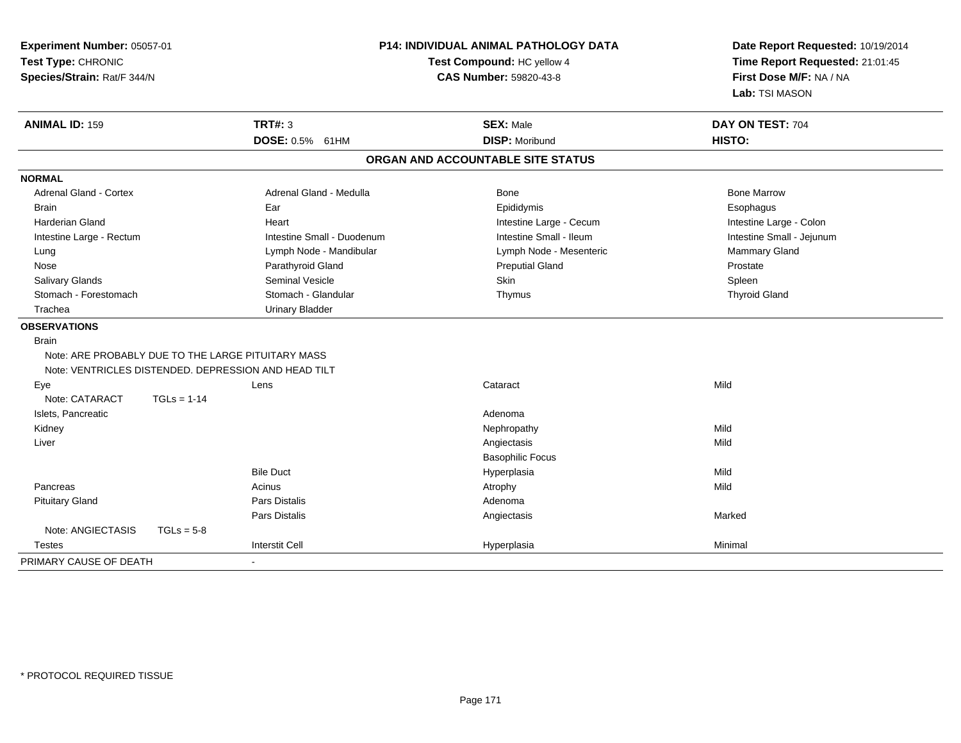| Experiment Number: 05057-01<br>Test Type: CHRONIC<br>Species/Strain: Rat/F 344/N |               |                            | <b>P14: INDIVIDUAL ANIMAL PATHOLOGY DATA</b><br>Test Compound: HC yellow 4<br>CAS Number: 59820-43-8 | Date Report Requested: 10/19/2014<br>Time Report Requested: 21:01:45<br>First Dose M/F: NA / NA<br>Lab: TSI MASON |  |
|----------------------------------------------------------------------------------|---------------|----------------------------|------------------------------------------------------------------------------------------------------|-------------------------------------------------------------------------------------------------------------------|--|
| <b>ANIMAL ID: 159</b>                                                            |               | <b>TRT#: 3</b>             | <b>SEX: Male</b>                                                                                     | DAY ON TEST: 704                                                                                                  |  |
|                                                                                  |               | DOSE: 0.5% 61HM            | <b>DISP: Moribund</b>                                                                                | HISTO:                                                                                                            |  |
|                                                                                  |               |                            | ORGAN AND ACCOUNTABLE SITE STATUS                                                                    |                                                                                                                   |  |
| <b>NORMAL</b>                                                                    |               |                            |                                                                                                      |                                                                                                                   |  |
| <b>Adrenal Gland - Cortex</b>                                                    |               | Adrenal Gland - Medulla    | Bone                                                                                                 | <b>Bone Marrow</b>                                                                                                |  |
| <b>Brain</b>                                                                     |               | Ear                        | Epididymis                                                                                           | Esophagus                                                                                                         |  |
| Harderian Gland                                                                  |               | Heart                      | Intestine Large - Cecum                                                                              | Intestine Large - Colon                                                                                           |  |
| Intestine Large - Rectum                                                         |               | Intestine Small - Duodenum | Intestine Small - Ileum                                                                              | Intestine Small - Jejunum                                                                                         |  |
| Lung                                                                             |               | Lymph Node - Mandibular    | Lymph Node - Mesenteric                                                                              | Mammary Gland                                                                                                     |  |
| Nose                                                                             |               | Parathyroid Gland          | <b>Preputial Gland</b>                                                                               | Prostate                                                                                                          |  |
| Salivary Glands                                                                  |               | Seminal Vesicle            | Skin                                                                                                 | Spleen                                                                                                            |  |
| Stomach - Forestomach                                                            |               | Stomach - Glandular        | Thymus                                                                                               | <b>Thyroid Gland</b>                                                                                              |  |
| Trachea                                                                          |               | <b>Urinary Bladder</b>     |                                                                                                      |                                                                                                                   |  |
| <b>OBSERVATIONS</b>                                                              |               |                            |                                                                                                      |                                                                                                                   |  |
| <b>Brain</b>                                                                     |               |                            |                                                                                                      |                                                                                                                   |  |
| Note: ARE PROBABLY DUE TO THE LARGE PITUITARY MASS                               |               |                            |                                                                                                      |                                                                                                                   |  |
| Note: VENTRICLES DISTENDED. DEPRESSION AND HEAD TILT                             |               |                            |                                                                                                      |                                                                                                                   |  |
| Eye                                                                              |               | Lens                       | Cataract                                                                                             | Mild                                                                                                              |  |
| Note: CATARACT                                                                   | $TGLs = 1-14$ |                            |                                                                                                      |                                                                                                                   |  |
| Islets, Pancreatic                                                               |               |                            | Adenoma                                                                                              |                                                                                                                   |  |
| Kidney                                                                           |               |                            | Nephropathy                                                                                          | Mild                                                                                                              |  |
| Liver                                                                            |               |                            | Angiectasis                                                                                          | Mild                                                                                                              |  |
|                                                                                  |               |                            | <b>Basophilic Focus</b>                                                                              |                                                                                                                   |  |
|                                                                                  |               | <b>Bile Duct</b>           | Hyperplasia                                                                                          | Mild                                                                                                              |  |
| Pancreas                                                                         |               | Acinus                     | Atrophy                                                                                              | Mild                                                                                                              |  |
| <b>Pituitary Gland</b>                                                           |               | Pars Distalis              | Adenoma                                                                                              |                                                                                                                   |  |
|                                                                                  |               | Pars Distalis              | Angiectasis                                                                                          | Marked                                                                                                            |  |
| Note: ANGIECTASIS                                                                | $TGLs = 5-8$  |                            |                                                                                                      |                                                                                                                   |  |
| <b>Testes</b>                                                                    |               | <b>Interstit Cell</b>      | Hyperplasia                                                                                          | Minimal                                                                                                           |  |
| PRIMARY CAUSE OF DEATH                                                           |               | $\blacksquare$             |                                                                                                      |                                                                                                                   |  |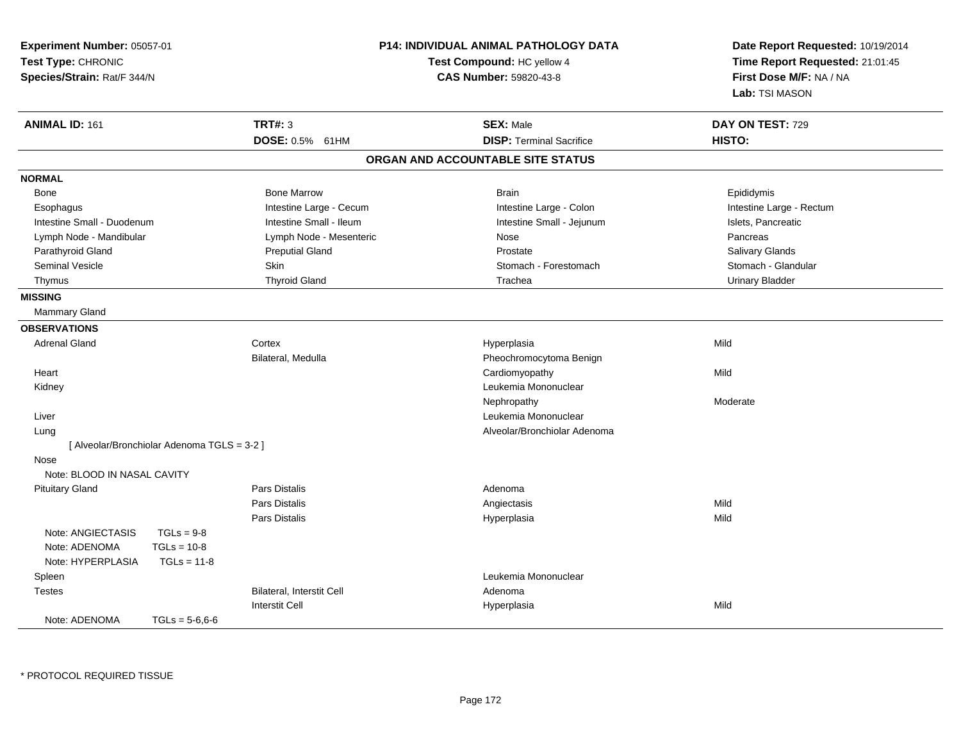| Test Type: CHRONIC<br>Species/Strain: Rat/F 344/N | P14: INDIVIDUAL ANIMAL PATHOLOGY DATA<br>Experiment Number: 05057-01<br>Test Compound: HC yellow 4<br><b>CAS Number: 59820-43-8</b> |                           | Date Report Requested: 10/19/2014<br>Time Report Requested: 21:01:45<br>First Dose M/F: NA / NA<br>Lab: TSI MASON |                          |
|---------------------------------------------------|-------------------------------------------------------------------------------------------------------------------------------------|---------------------------|-------------------------------------------------------------------------------------------------------------------|--------------------------|
| <b>ANIMAL ID: 161</b>                             |                                                                                                                                     | <b>TRT#: 3</b>            | <b>SEX: Male</b>                                                                                                  | DAY ON TEST: 729         |
|                                                   |                                                                                                                                     | DOSE: 0.5% 61HM           | <b>DISP: Terminal Sacrifice</b>                                                                                   | HISTO:                   |
|                                                   |                                                                                                                                     |                           | ORGAN AND ACCOUNTABLE SITE STATUS                                                                                 |                          |
| <b>NORMAL</b>                                     |                                                                                                                                     |                           |                                                                                                                   |                          |
| <b>Bone</b>                                       |                                                                                                                                     | <b>Bone Marrow</b>        | <b>Brain</b>                                                                                                      | Epididymis               |
| Esophagus                                         |                                                                                                                                     | Intestine Large - Cecum   | Intestine Large - Colon                                                                                           | Intestine Large - Rectum |
| Intestine Small - Duodenum                        |                                                                                                                                     | Intestine Small - Ileum   | Intestine Small - Jejunum                                                                                         | Islets, Pancreatic       |
| Lymph Node - Mandibular                           |                                                                                                                                     | Lymph Node - Mesenteric   | Nose                                                                                                              | Pancreas                 |
| Parathyroid Gland                                 |                                                                                                                                     | <b>Preputial Gland</b>    | Prostate                                                                                                          | Salivary Glands          |
| <b>Seminal Vesicle</b>                            |                                                                                                                                     | Skin                      | Stomach - Forestomach                                                                                             | Stomach - Glandular      |
| Thymus                                            |                                                                                                                                     | <b>Thyroid Gland</b>      | Trachea                                                                                                           | <b>Urinary Bladder</b>   |
| <b>MISSING</b>                                    |                                                                                                                                     |                           |                                                                                                                   |                          |
| Mammary Gland                                     |                                                                                                                                     |                           |                                                                                                                   |                          |
| <b>OBSERVATIONS</b>                               |                                                                                                                                     |                           |                                                                                                                   |                          |
| <b>Adrenal Gland</b>                              |                                                                                                                                     | Cortex                    | Hyperplasia                                                                                                       | Mild                     |
|                                                   |                                                                                                                                     | Bilateral, Medulla        | Pheochromocytoma Benign                                                                                           |                          |
| Heart                                             |                                                                                                                                     |                           | Cardiomyopathy                                                                                                    | Mild                     |
| Kidney                                            |                                                                                                                                     |                           | Leukemia Mononuclear                                                                                              |                          |
|                                                   |                                                                                                                                     |                           | Nephropathy                                                                                                       | Moderate                 |
| Liver                                             |                                                                                                                                     |                           | Leukemia Mononuclear                                                                                              |                          |
| Lung                                              |                                                                                                                                     |                           | Alveolar/Bronchiolar Adenoma                                                                                      |                          |
|                                                   | [ Alveolar/Bronchiolar Adenoma TGLS = 3-2 ]                                                                                         |                           |                                                                                                                   |                          |
| Nose                                              |                                                                                                                                     |                           |                                                                                                                   |                          |
| Note: BLOOD IN NASAL CAVITY                       |                                                                                                                                     |                           |                                                                                                                   |                          |
| <b>Pituitary Gland</b>                            |                                                                                                                                     | <b>Pars Distalis</b>      | Adenoma                                                                                                           |                          |
|                                                   |                                                                                                                                     | Pars Distalis             | Angiectasis                                                                                                       | Mild                     |
|                                                   |                                                                                                                                     | Pars Distalis             | Hyperplasia                                                                                                       | Mild                     |
| Note: ANGIECTASIS                                 | $TGLs = 9-8$                                                                                                                        |                           |                                                                                                                   |                          |
| Note: ADENOMA                                     | $TGLs = 10-8$                                                                                                                       |                           |                                                                                                                   |                          |
| Note: HYPERPLASIA                                 | $TGLs = 11-8$                                                                                                                       |                           |                                                                                                                   |                          |
| Spleen                                            |                                                                                                                                     |                           | Leukemia Mononuclear                                                                                              |                          |
| <b>Testes</b>                                     |                                                                                                                                     | Bilateral, Interstit Cell | Adenoma                                                                                                           |                          |
|                                                   |                                                                                                                                     | <b>Interstit Cell</b>     | Hyperplasia                                                                                                       | Mild                     |
| Note: ADENOMA                                     | $TGLs = 5-6.6-6$                                                                                                                    |                           |                                                                                                                   |                          |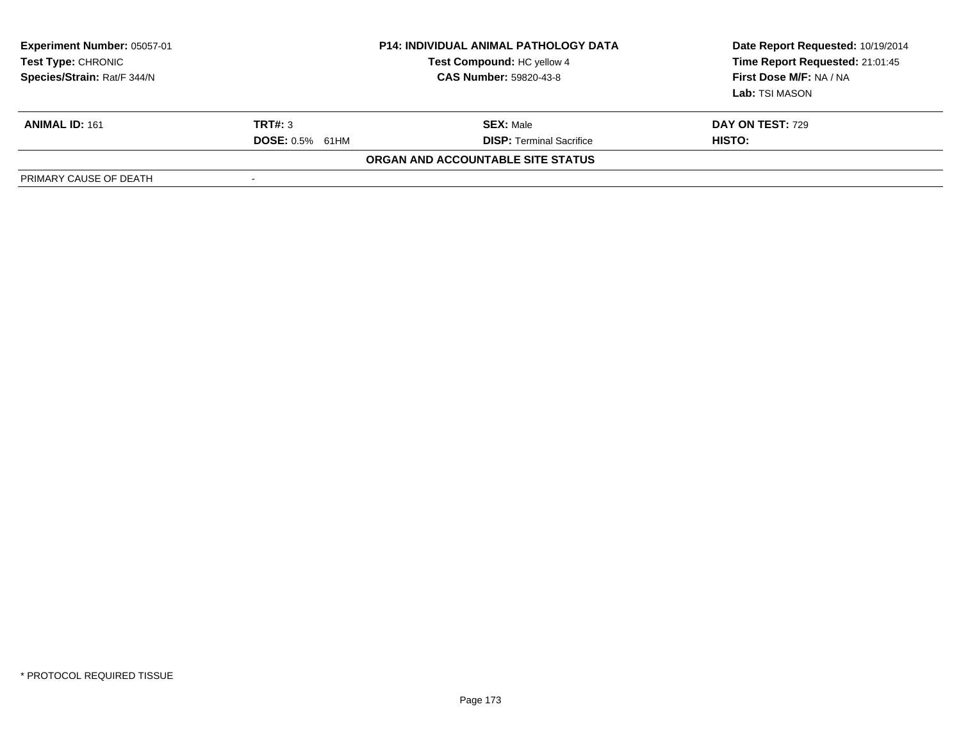| <b>Experiment Number: 05057-01</b><br>Test Type: CHRONIC<br>Species/Strain: Rat/F 344/N | <b>P14: INDIVIDUAL ANIMAL PATHOLOGY DATA</b><br>Test Compound: HC yellow 4<br><b>CAS Number: 59820-43-8</b> |                                   | Date Report Requested: 10/19/2014<br>Time Report Requested: 21:01:45<br>First Dose M/F: NA / NA<br><b>Lab:</b> TSI MASON |  |
|-----------------------------------------------------------------------------------------|-------------------------------------------------------------------------------------------------------------|-----------------------------------|--------------------------------------------------------------------------------------------------------------------------|--|
| <b>ANIMAL ID: 161</b>                                                                   | <b>TRT#: 3</b>                                                                                              | <b>SEX: Male</b>                  | <b>DAY ON TEST: 729</b>                                                                                                  |  |
|                                                                                         | <b>DOSE: 0.5% 61HM</b>                                                                                      | <b>DISP: Terminal Sacrifice</b>   | <b>HISTO:</b>                                                                                                            |  |
|                                                                                         |                                                                                                             | ORGAN AND ACCOUNTABLE SITE STATUS |                                                                                                                          |  |
| PRIMARY CAUSE OF DEATH                                                                  | $\overline{\phantom{a}}$                                                                                    |                                   |                                                                                                                          |  |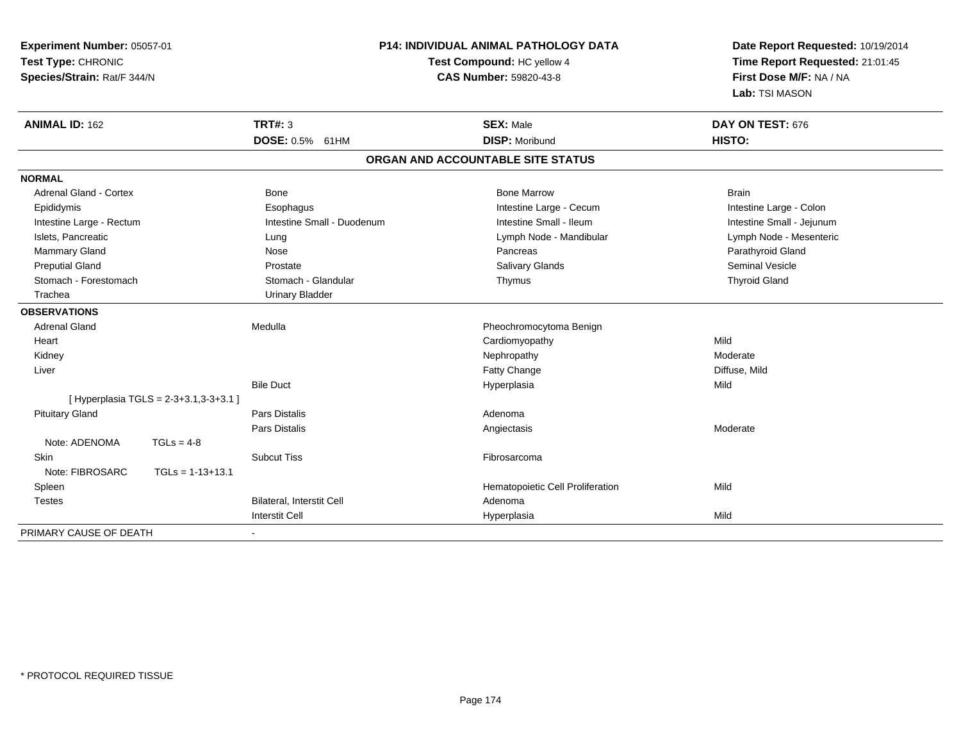**Experiment Number:** 05057-01**Test Type:** CHRONIC **Species/Strain:** Rat/F 344/N**P14: INDIVIDUAL ANIMAL PATHOLOGY DATATest Compound:** HC yellow 4**CAS Number:** 59820-43-8**Date Report Requested:** 10/19/2014**Time Report Requested:** 21:01:45**First Dose M/F:** NA / NA**Lab:** TSI MASON**ANIMAL ID:** 162**TRT#:** 3 **SEX:** Male **DAY ON TEST:** 676 **DOSE:** 0.5% 61HM**DISP:** Moribund **HISTO: ORGAN AND ACCOUNTABLE SITE STATUSNORMAL**Adrenal Gland - Cortex **Bone Bone Bone Brain** Bone Bone Bone Marrow Bone Marrow Brain Brain Intestine Large - Colon Epididymis **Example 20 Example 20 Example 20 Example 20 Example 20 Example 20 Example 20 Example 20 Example 20 Example 20 Example 20 Example 20 Example 20 Example 20 Example 20 Example 20 Example 20 Example 20 Example 20 E** Intestine Small - Jejunum Intestine Large - Rectum **Intestine Small - Duodenum** Intestine Small - Ileum Intestine Small - Ileum Lymph Node - Mesenteric Islets, Pancreatic **Lung Lung Lung Lymph Node - Mandibular Lymph Node - Mandibular Lymph Node - Mandibular** Mammary Gland Nose Nose Records and December 2012 (Nose Pancreas Parathyroid Gland Parathyroid Gland Parathyroid Gland Parathyroid Gland Parathyroid Gland Parathyroid Gland Parathyroid Gland Parathyroid Gland Parathyroid G Preputial Gland Prostate Salivary Glands Seminal VesicleStomach - Forestomach **Stomach - Stomach - Glandular** Stomach - Glandular Thymus Thymus Thyroid Gland Trachea Urinary Bladder**OBSERVATIONS** Adrenal GlandMedulla **Pheochromocytoma Benign**  Heart Cardiomyopathyy Mild Moderate Kidneyy the controller the controller of the controller of the Moderate Moderate of the Moderate of the Moderate of the Moderate of the Moderate of the Moderate of the Moderate of the Moderate of the Moderate of the Moderate of e Diffuse, Mild Liverr and the control of the control of the control of the control of the control of the control of the control of the control of the control of the control of the control of the control of the control of the control of the co Bile Duct Hyperplasiaa Mild [ Hyperplasia TGLS = 2-3+3.1,3-3+3.1 ] Pituitary Glandd and the contract of Pars Distalis and the contract of Adenoma and Adenoma and the Adenoma and the Adenoma and  $\lambda$ Pars Distaliss and the contract of the contract of the contract of the contract of the contract of the contract of the contract of the contract of the contract of the contract of the contract of the contract of the contract of the cont Note: ADENOMA TGLs = 4-8 Skinn and the subcut Tiss the subset of the set of the set of the set of the set of the set of the set of the set o Note: FIBROSARC TGLs = 1-13+13.1 SpleenHematopoietic Cell Proliferation Mild TestesBilateral, Interstit Cell **Adenoma** I **Hyperplasia** Interstit Cella Mild PRIMARY CAUSE OF DEATH-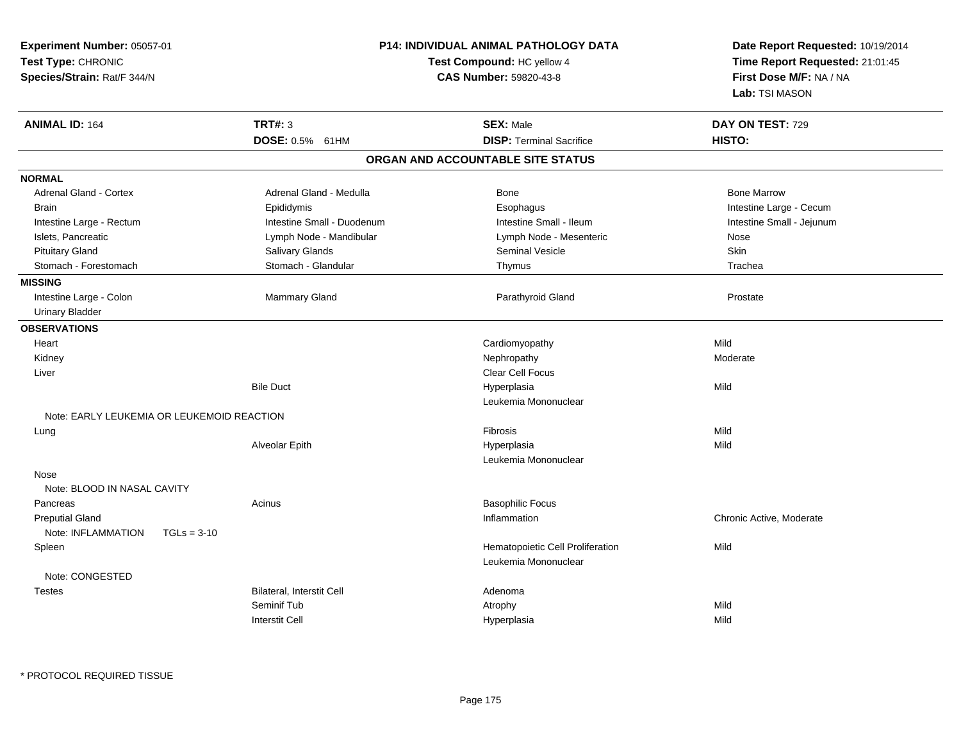| Experiment Number: 05057-01<br>Test Type: CHRONIC<br>Species/Strain: Rat/F 344/N |                                   | <b>P14: INDIVIDUAL ANIMAL PATHOLOGY DATA</b><br>Test Compound: HC yellow 4<br><b>CAS Number: 59820-43-8</b> | Date Report Requested: 10/19/2014<br>Time Report Requested: 21:01:45<br>First Dose M/F: NA / NA<br>Lab: TSI MASON |  |
|----------------------------------------------------------------------------------|-----------------------------------|-------------------------------------------------------------------------------------------------------------|-------------------------------------------------------------------------------------------------------------------|--|
| <b>ANIMAL ID: 164</b>                                                            | <b>TRT#: 3</b><br>DOSE: 0.5% 61HM | <b>SEX: Male</b><br><b>DISP: Terminal Sacrifice</b>                                                         | DAY ON TEST: 729<br>HISTO:                                                                                        |  |
|                                                                                  |                                   | ORGAN AND ACCOUNTABLE SITE STATUS                                                                           |                                                                                                                   |  |
| <b>NORMAL</b>                                                                    |                                   |                                                                                                             |                                                                                                                   |  |
| <b>Adrenal Gland - Cortex</b>                                                    | Adrenal Gland - Medulla           | Bone                                                                                                        | <b>Bone Marrow</b>                                                                                                |  |
| <b>Brain</b>                                                                     | Epididymis                        | Esophagus                                                                                                   | Intestine Large - Cecum                                                                                           |  |
| Intestine Large - Rectum                                                         | Intestine Small - Duodenum        | Intestine Small - Ileum                                                                                     | Intestine Small - Jejunum                                                                                         |  |
| Islets, Pancreatic                                                               | Lymph Node - Mandibular           | Lymph Node - Mesenteric                                                                                     | Nose                                                                                                              |  |
| <b>Pituitary Gland</b>                                                           | Salivary Glands                   | <b>Seminal Vesicle</b>                                                                                      | Skin                                                                                                              |  |
| Stomach - Forestomach                                                            | Stomach - Glandular               | Thymus                                                                                                      | Trachea                                                                                                           |  |
| <b>MISSING</b>                                                                   |                                   |                                                                                                             |                                                                                                                   |  |
| Intestine Large - Colon                                                          | Mammary Gland                     | Parathyroid Gland                                                                                           | Prostate                                                                                                          |  |
| <b>Urinary Bladder</b>                                                           |                                   |                                                                                                             |                                                                                                                   |  |
| <b>OBSERVATIONS</b>                                                              |                                   |                                                                                                             |                                                                                                                   |  |
| Heart                                                                            |                                   | Cardiomyopathy                                                                                              | Mild                                                                                                              |  |
| Kidney                                                                           |                                   | Nephropathy                                                                                                 | Moderate                                                                                                          |  |
| Liver                                                                            |                                   | <b>Clear Cell Focus</b>                                                                                     |                                                                                                                   |  |
|                                                                                  | <b>Bile Duct</b>                  | Hyperplasia                                                                                                 | Mild                                                                                                              |  |
|                                                                                  |                                   | Leukemia Mononuclear                                                                                        |                                                                                                                   |  |
| Note: EARLY LEUKEMIA OR LEUKEMOID REACTION                                       |                                   |                                                                                                             |                                                                                                                   |  |
| Lung                                                                             |                                   | Fibrosis                                                                                                    | Mild                                                                                                              |  |
|                                                                                  | Alveolar Epith                    | Hyperplasia                                                                                                 | Mild                                                                                                              |  |
|                                                                                  |                                   | Leukemia Mononuclear                                                                                        |                                                                                                                   |  |
| Nose<br>Note: BLOOD IN NASAL CAVITY                                              |                                   |                                                                                                             |                                                                                                                   |  |
| Pancreas                                                                         | Acinus                            | <b>Basophilic Focus</b>                                                                                     |                                                                                                                   |  |
| <b>Preputial Gland</b>                                                           |                                   | Inflammation                                                                                                | Chronic Active, Moderate                                                                                          |  |
| Note: INFLAMMATION<br>$TGLs = 3-10$                                              |                                   |                                                                                                             |                                                                                                                   |  |
| Spleen                                                                           |                                   | Hematopoietic Cell Proliferation<br>Leukemia Mononuclear                                                    | Mild                                                                                                              |  |
| Note: CONGESTED                                                                  |                                   |                                                                                                             |                                                                                                                   |  |
| Testes                                                                           | Bilateral, Interstit Cell         | Adenoma                                                                                                     |                                                                                                                   |  |
|                                                                                  | Seminif Tub                       | Atrophy                                                                                                     | Mild                                                                                                              |  |
|                                                                                  | <b>Interstit Cell</b>             | Hyperplasia                                                                                                 | Mild                                                                                                              |  |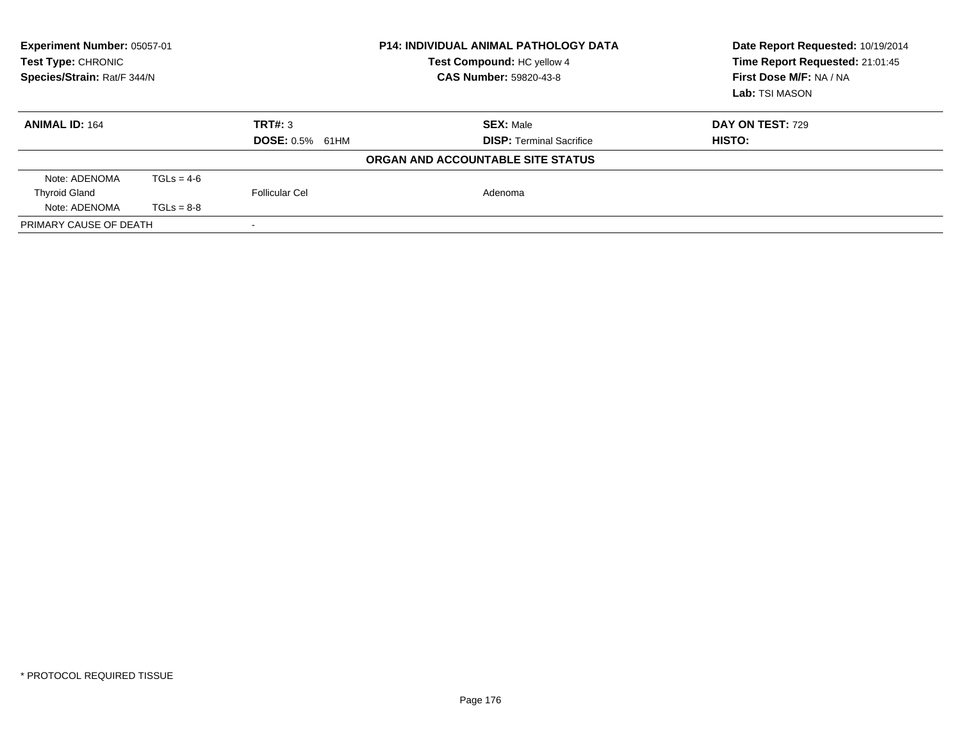| Experiment Number: 05057-01<br>Test Type: CHRONIC<br>Species/Strain: Rat/F 344/N |              |                        | <b>P14: INDIVIDUAL ANIMAL PATHOLOGY DATA</b><br>Test Compound: HC yellow 4<br>CAS Number: 59820-43-8 | Date Report Requested: 10/19/2014<br>Time Report Requested: 21:01:45<br>First Dose M/F: NA / NA<br>Lab: TSI MASON |
|----------------------------------------------------------------------------------|--------------|------------------------|------------------------------------------------------------------------------------------------------|-------------------------------------------------------------------------------------------------------------------|
| <b>ANIMAL ID: 164</b>                                                            |              | TRT#: 3                | <b>SEX: Male</b><br><b>DISP:</b> Terminal Sacrifice                                                  | <b>DAY ON TEST: 729</b>                                                                                           |
|                                                                                  |              | <b>DOSE: 0.5% 61HM</b> | ORGAN AND ACCOUNTABLE SITE STATUS                                                                    | HISTO:                                                                                                            |
|                                                                                  |              |                        |                                                                                                      |                                                                                                                   |
| Note: ADENOMA                                                                    | $TGLs = 4-6$ |                        |                                                                                                      |                                                                                                                   |
| <b>Thyroid Gland</b>                                                             |              | Follicular Cel         | Adenoma                                                                                              |                                                                                                                   |
| Note: ADENOMA                                                                    | $TGLs = 8-8$ |                        |                                                                                                      |                                                                                                                   |
| PRIMARY CAUSE OF DEATH                                                           |              |                        |                                                                                                      |                                                                                                                   |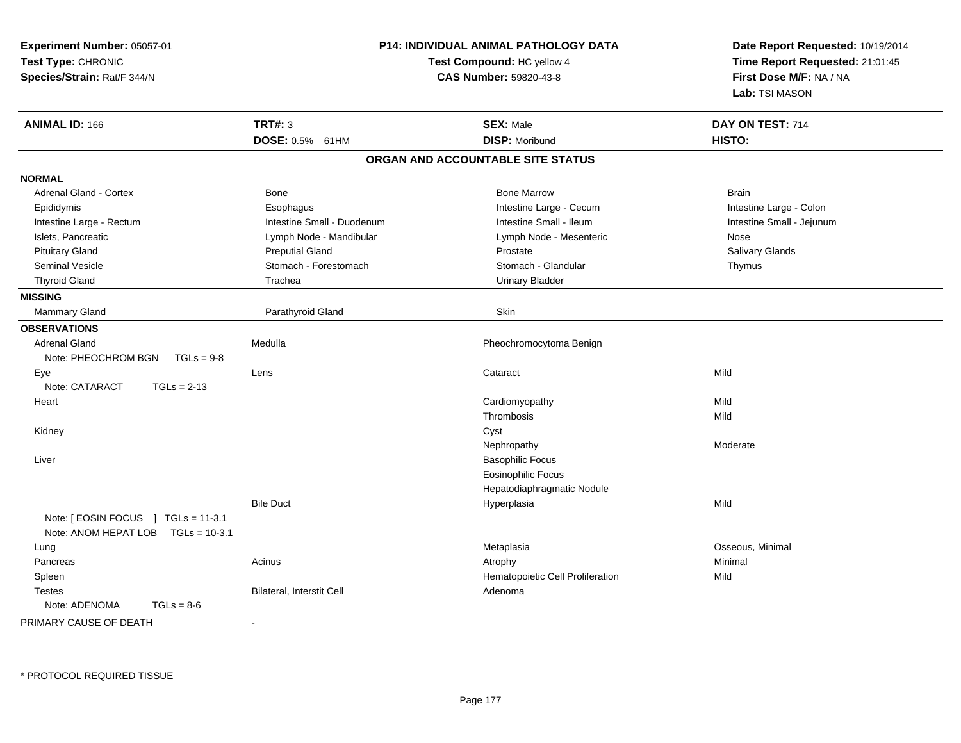| Experiment Number: 05057-01<br>Test Type: CHRONIC<br>Species/Strain: Rat/F 344/N |                            | <b>P14: INDIVIDUAL ANIMAL PATHOLOGY DATA</b><br>Test Compound: HC yellow 4<br><b>CAS Number: 59820-43-8</b> | Date Report Requested: 10/19/2014<br>Time Report Requested: 21:01:45<br>First Dose M/F: NA / NA<br>Lab: TSI MASON |  |
|----------------------------------------------------------------------------------|----------------------------|-------------------------------------------------------------------------------------------------------------|-------------------------------------------------------------------------------------------------------------------|--|
| <b>ANIMAL ID: 166</b>                                                            | <b>TRT#: 3</b>             | <b>SEX: Male</b>                                                                                            | DAY ON TEST: 714                                                                                                  |  |
|                                                                                  | <b>DOSE: 0.5%</b><br>61HM  | <b>DISP: Moribund</b>                                                                                       | HISTO:                                                                                                            |  |
|                                                                                  |                            | ORGAN AND ACCOUNTABLE SITE STATUS                                                                           |                                                                                                                   |  |
| <b>NORMAL</b>                                                                    |                            |                                                                                                             |                                                                                                                   |  |
| <b>Adrenal Gland - Cortex</b>                                                    | Bone                       | <b>Bone Marrow</b>                                                                                          | <b>Brain</b>                                                                                                      |  |
| Epididymis                                                                       | Esophagus                  | Intestine Large - Cecum                                                                                     | Intestine Large - Colon                                                                                           |  |
| Intestine Large - Rectum                                                         | Intestine Small - Duodenum | Intestine Small - Ileum                                                                                     | Intestine Small - Jejunum                                                                                         |  |
| Islets, Pancreatic                                                               | Lymph Node - Mandibular    | Lymph Node - Mesenteric                                                                                     | Nose                                                                                                              |  |
| <b>Pituitary Gland</b>                                                           | <b>Preputial Gland</b>     | Prostate                                                                                                    | Salivary Glands                                                                                                   |  |
| <b>Seminal Vesicle</b>                                                           | Stomach - Forestomach      | Stomach - Glandular                                                                                         | Thymus                                                                                                            |  |
| <b>Thyroid Gland</b>                                                             | Trachea                    | <b>Urinary Bladder</b>                                                                                      |                                                                                                                   |  |
| <b>MISSING</b>                                                                   |                            |                                                                                                             |                                                                                                                   |  |
| <b>Mammary Gland</b>                                                             | Parathyroid Gland          | Skin                                                                                                        |                                                                                                                   |  |
| <b>OBSERVATIONS</b>                                                              |                            |                                                                                                             |                                                                                                                   |  |
| <b>Adrenal Gland</b>                                                             | Medulla                    | Pheochromocytoma Benign                                                                                     |                                                                                                                   |  |
| Note: PHEOCHROM BGN<br>$TGLs = 9-8$                                              |                            |                                                                                                             |                                                                                                                   |  |
| Eye                                                                              | Lens                       | Cataract                                                                                                    | Mild                                                                                                              |  |
| Note: CATARACT<br>$TGLs = 2-13$                                                  |                            |                                                                                                             |                                                                                                                   |  |
| Heart                                                                            |                            | Cardiomyopathy                                                                                              | Mild                                                                                                              |  |
|                                                                                  |                            | Thrombosis                                                                                                  | Mild                                                                                                              |  |
| Kidney                                                                           |                            | Cyst                                                                                                        |                                                                                                                   |  |
|                                                                                  |                            | Nephropathy                                                                                                 | Moderate                                                                                                          |  |
| Liver                                                                            |                            | <b>Basophilic Focus</b>                                                                                     |                                                                                                                   |  |
|                                                                                  |                            | <b>Eosinophilic Focus</b>                                                                                   |                                                                                                                   |  |
|                                                                                  |                            | Hepatodiaphragmatic Nodule                                                                                  |                                                                                                                   |  |
|                                                                                  | <b>Bile Duct</b>           | Hyperplasia                                                                                                 | Mild                                                                                                              |  |
| Note: [ EOSIN FOCUS ] TGLs = 11-3.1<br>Note: ANOM HEPAT LOB  TGLs = 10-3.1       |                            |                                                                                                             |                                                                                                                   |  |
| Lung                                                                             |                            | Metaplasia                                                                                                  | Osseous, Minimal                                                                                                  |  |
| Pancreas                                                                         | Acinus                     | Atrophy                                                                                                     | Minimal                                                                                                           |  |
| Spleen                                                                           |                            | Hematopoietic Cell Proliferation                                                                            | Mild                                                                                                              |  |
| <b>Testes</b>                                                                    | Bilateral, Interstit Cell  | Adenoma                                                                                                     |                                                                                                                   |  |
| Note: ADENOMA<br>$TGLs = 8-6$                                                    |                            |                                                                                                             |                                                                                                                   |  |
|                                                                                  |                            |                                                                                                             |                                                                                                                   |  |

PRIMARY CAUSE OF DEATH-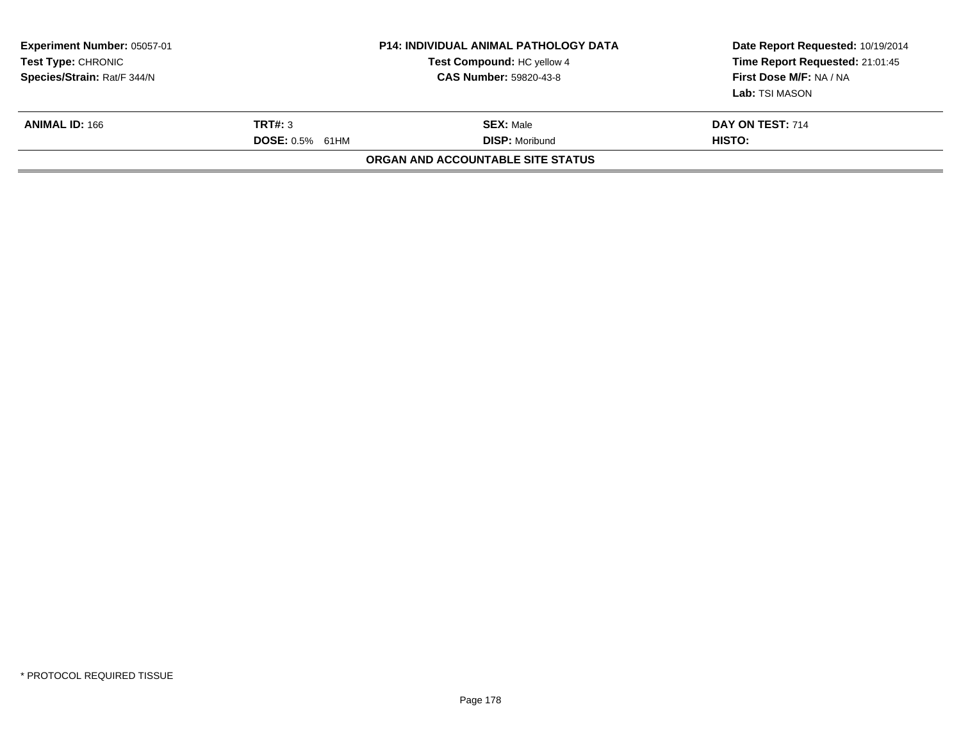| <b>Experiment Number: 05057-01</b><br>Test Type: CHRONIC<br>Species/Strain: Rat/F 344/N |                                   | <b>P14: INDIVIDUAL ANIMAL PATHOLOGY DATA</b><br>Test Compound: HC yellow 4<br><b>CAS Number: 59820-43-8</b> | Date Report Requested: 10/19/2014<br>Time Report Requested: 21:01:45<br>First Dose M/F: NA / NA<br>Lab: TSI MASON |
|-----------------------------------------------------------------------------------------|-----------------------------------|-------------------------------------------------------------------------------------------------------------|-------------------------------------------------------------------------------------------------------------------|
| <b>ANIMAL ID: 166</b>                                                                   | TRT#: 3<br><b>DOSE: 0.5% 61HM</b> | <b>SEX:</b> Male<br><b>DISP:</b> Moribund                                                                   | DAY ON TEST: 714<br>HISTO:                                                                                        |
|                                                                                         |                                   | <b>ORGAN AND ACCOUNTABLE SITE STATUS</b>                                                                    |                                                                                                                   |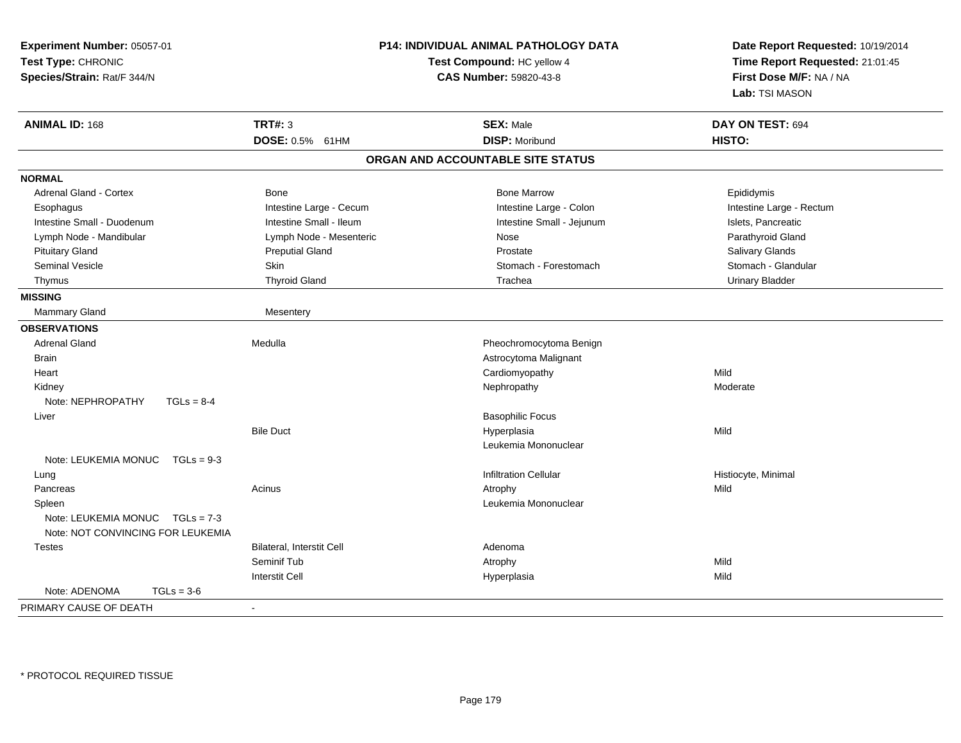| Experiment Number: 05057-01<br>Test Type: CHRONIC<br>Species/Strain: Rat/F 344/N |                           | P14: INDIVIDUAL ANIMAL PATHOLOGY DATA<br>Test Compound: HC yellow 4<br>CAS Number: 59820-43-8 | Date Report Requested: 10/19/2014<br>Time Report Requested: 21:01:45<br>First Dose M/F: NA / NA<br>Lab: TSI MASON |  |
|----------------------------------------------------------------------------------|---------------------------|-----------------------------------------------------------------------------------------------|-------------------------------------------------------------------------------------------------------------------|--|
| <b>ANIMAL ID: 168</b>                                                            | <b>TRT#: 3</b>            | <b>SEX: Male</b>                                                                              | DAY ON TEST: 694                                                                                                  |  |
|                                                                                  | DOSE: 0.5% 61HM           | <b>DISP: Moribund</b>                                                                         | HISTO:                                                                                                            |  |
|                                                                                  |                           | ORGAN AND ACCOUNTABLE SITE STATUS                                                             |                                                                                                                   |  |
| <b>NORMAL</b>                                                                    |                           |                                                                                               |                                                                                                                   |  |
| Adrenal Gland - Cortex                                                           | Bone                      | <b>Bone Marrow</b>                                                                            | Epididymis                                                                                                        |  |
| Esophagus                                                                        | Intestine Large - Cecum   | Intestine Large - Colon                                                                       | Intestine Large - Rectum                                                                                          |  |
| Intestine Small - Duodenum                                                       | Intestine Small - Ileum   | Intestine Small - Jejunum                                                                     | Islets, Pancreatic                                                                                                |  |
| Lymph Node - Mandibular                                                          | Lymph Node - Mesenteric   | Nose                                                                                          | Parathyroid Gland                                                                                                 |  |
| <b>Pituitary Gland</b>                                                           | <b>Preputial Gland</b>    | Prostate                                                                                      | Salivary Glands                                                                                                   |  |
| <b>Seminal Vesicle</b>                                                           | Skin                      | Stomach - Forestomach                                                                         | Stomach - Glandular                                                                                               |  |
| Thymus                                                                           | <b>Thyroid Gland</b>      | Trachea                                                                                       | <b>Urinary Bladder</b>                                                                                            |  |
| <b>MISSING</b>                                                                   |                           |                                                                                               |                                                                                                                   |  |
| Mammary Gland                                                                    | Mesentery                 |                                                                                               |                                                                                                                   |  |
| <b>OBSERVATIONS</b>                                                              |                           |                                                                                               |                                                                                                                   |  |
| <b>Adrenal Gland</b>                                                             | Medulla                   | Pheochromocytoma Benign                                                                       |                                                                                                                   |  |
| <b>Brain</b>                                                                     |                           | Astrocytoma Malignant                                                                         |                                                                                                                   |  |
| Heart                                                                            |                           | Cardiomyopathy                                                                                | Mild                                                                                                              |  |
| Kidney                                                                           |                           | Nephropathy                                                                                   | Moderate                                                                                                          |  |
| Note: NEPHROPATHY<br>$TGLs = 8-4$                                                |                           |                                                                                               |                                                                                                                   |  |
| Liver                                                                            |                           | <b>Basophilic Focus</b>                                                                       |                                                                                                                   |  |
|                                                                                  | <b>Bile Duct</b>          | Hyperplasia                                                                                   | Mild                                                                                                              |  |
|                                                                                  |                           | Leukemia Mononuclear                                                                          |                                                                                                                   |  |
| Note: LEUKEMIA MONUC<br>$TGLs = 9-3$                                             |                           |                                                                                               |                                                                                                                   |  |
| Lung                                                                             |                           | <b>Infiltration Cellular</b>                                                                  | Histiocyte, Minimal                                                                                               |  |
| Pancreas                                                                         | Acinus                    | Atrophy                                                                                       | Mild                                                                                                              |  |
| Spleen                                                                           |                           | Leukemia Mononuclear                                                                          |                                                                                                                   |  |
| Note: LEUKEMIA MONUC $TGLs = 7-3$<br>Note: NOT CONVINCING FOR LEUKEMIA           |                           |                                                                                               |                                                                                                                   |  |
| <b>Testes</b>                                                                    | Bilateral, Interstit Cell | Adenoma                                                                                       |                                                                                                                   |  |
|                                                                                  | Seminif Tub               | Atrophy                                                                                       | Mild                                                                                                              |  |
|                                                                                  | <b>Interstit Cell</b>     | Hyperplasia                                                                                   | Mild                                                                                                              |  |
| Note: ADENOMA<br>$TGLs = 3-6$                                                    |                           |                                                                                               |                                                                                                                   |  |
| PRIMARY CAUSE OF DEATH                                                           | ÷                         |                                                                                               |                                                                                                                   |  |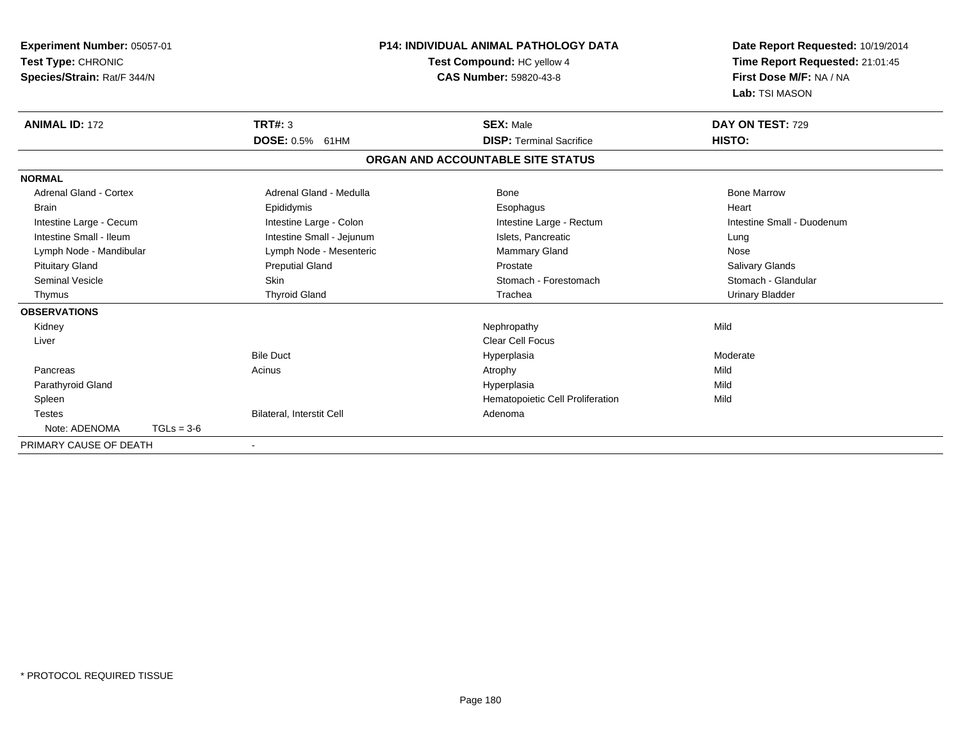| <b>Experiment Number: 05057-01</b><br>Test Type: CHRONIC<br>Species/Strain: Rat/F 344/N |              |                                  | <b>P14: INDIVIDUAL ANIMAL PATHOLOGY DATA</b><br>Test Compound: HC yellow 4<br><b>CAS Number: 59820-43-8</b> |                                  | Date Report Requested: 10/19/2014<br>Time Report Requested: 21:01:45<br>First Dose M/F: NA / NA<br>Lab: TSI MASON |  |
|-----------------------------------------------------------------------------------------|--------------|----------------------------------|-------------------------------------------------------------------------------------------------------------|----------------------------------|-------------------------------------------------------------------------------------------------------------------|--|
| <b>ANIMAL ID: 172</b>                                                                   |              | TRT#: 3                          | <b>SEX: Male</b>                                                                                            |                                  | DAY ON TEST: 729                                                                                                  |  |
|                                                                                         |              | DOSE: 0.5% 61HM                  |                                                                                                             | <b>DISP: Terminal Sacrifice</b>  | HISTO:                                                                                                            |  |
|                                                                                         |              |                                  | ORGAN AND ACCOUNTABLE SITE STATUS                                                                           |                                  |                                                                                                                   |  |
| <b>NORMAL</b>                                                                           |              |                                  |                                                                                                             |                                  |                                                                                                                   |  |
| <b>Adrenal Gland - Cortex</b>                                                           |              | Adrenal Gland - Medulla          | Bone                                                                                                        |                                  | <b>Bone Marrow</b>                                                                                                |  |
| <b>Brain</b>                                                                            |              | Epididymis                       | Esophagus                                                                                                   |                                  | Heart                                                                                                             |  |
| Intestine Large - Cecum                                                                 |              | Intestine Large - Colon          |                                                                                                             | Intestine Large - Rectum         | Intestine Small - Duodenum                                                                                        |  |
| Intestine Small - Ileum                                                                 |              | Intestine Small - Jejunum        | Islets, Pancreatic                                                                                          |                                  | Lung                                                                                                              |  |
| Lymph Node - Mandibular                                                                 |              | Lymph Node - Mesenteric          | <b>Mammary Gland</b>                                                                                        |                                  | Nose                                                                                                              |  |
| <b>Pituitary Gland</b>                                                                  |              | <b>Preputial Gland</b>           | Prostate                                                                                                    |                                  | Salivary Glands                                                                                                   |  |
| Seminal Vesicle                                                                         |              | <b>Skin</b>                      |                                                                                                             | Stomach - Forestomach            | Stomach - Glandular                                                                                               |  |
| Thymus                                                                                  |              | <b>Thyroid Gland</b>             | Trachea                                                                                                     |                                  | <b>Urinary Bladder</b>                                                                                            |  |
| <b>OBSERVATIONS</b>                                                                     |              |                                  |                                                                                                             |                                  |                                                                                                                   |  |
| Kidney                                                                                  |              |                                  | Nephropathy                                                                                                 |                                  | Mild                                                                                                              |  |
| Liver                                                                                   |              |                                  | <b>Clear Cell Focus</b>                                                                                     |                                  |                                                                                                                   |  |
|                                                                                         |              | <b>Bile Duct</b>                 | Hyperplasia                                                                                                 |                                  | Moderate                                                                                                          |  |
| Pancreas                                                                                |              | Acinus                           | Atrophy                                                                                                     |                                  | Mild                                                                                                              |  |
| Parathyroid Gland                                                                       |              |                                  | Hyperplasia                                                                                                 |                                  | Mild                                                                                                              |  |
| Spleen                                                                                  |              |                                  |                                                                                                             | Hematopoietic Cell Proliferation | Mild                                                                                                              |  |
| <b>Testes</b>                                                                           |              | <b>Bilateral, Interstit Cell</b> | Adenoma                                                                                                     |                                  |                                                                                                                   |  |
| Note: ADENOMA                                                                           | $TGLs = 3-6$ |                                  |                                                                                                             |                                  |                                                                                                                   |  |
| PRIMARY CAUSE OF DEATH                                                                  |              |                                  |                                                                                                             |                                  |                                                                                                                   |  |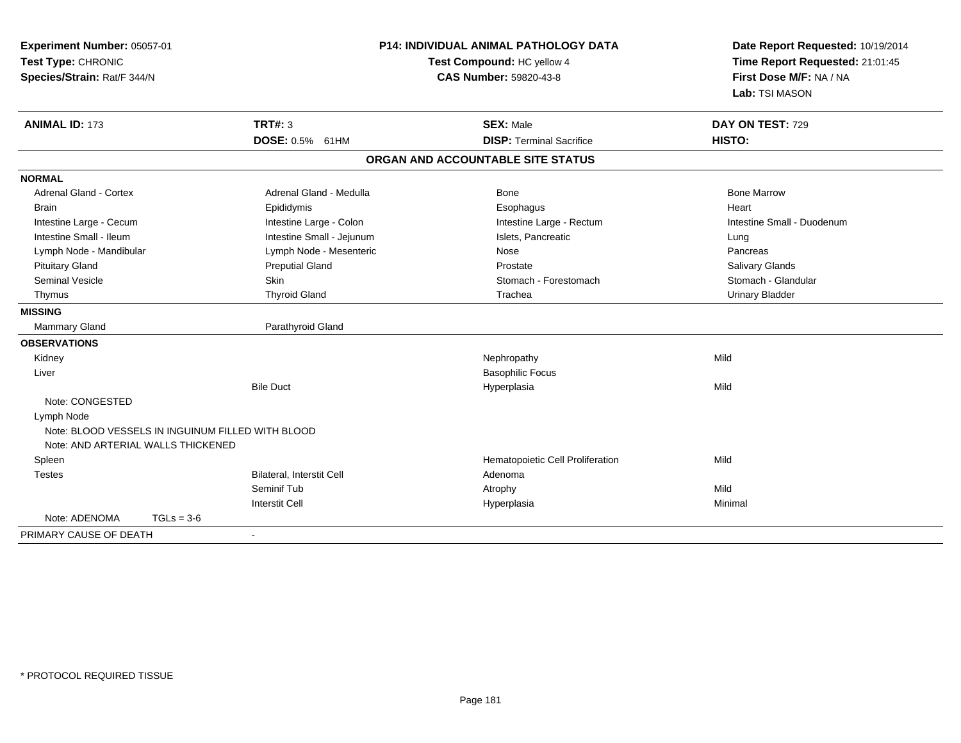| <b>ANIMAL ID: 173</b><br><b>TRT#: 3</b><br>DAY ON TEST: 729<br><b>SEX: Male</b><br>DOSE: 0.5% 61HM<br>HISTO:<br><b>DISP: Terminal Sacrifice</b>                                                                                                                                                                                                                                                                                                                                                                                                                                                                                                                                                                                          | First Dose M/F: NA / NA<br>Lab: TSI MASON         |
|------------------------------------------------------------------------------------------------------------------------------------------------------------------------------------------------------------------------------------------------------------------------------------------------------------------------------------------------------------------------------------------------------------------------------------------------------------------------------------------------------------------------------------------------------------------------------------------------------------------------------------------------------------------------------------------------------------------------------------------|---------------------------------------------------|
|                                                                                                                                                                                                                                                                                                                                                                                                                                                                                                                                                                                                                                                                                                                                          |                                                   |
| ORGAN AND ACCOUNTABLE SITE STATUS                                                                                                                                                                                                                                                                                                                                                                                                                                                                                                                                                                                                                                                                                                        |                                                   |
| <b>NORMAL</b>                                                                                                                                                                                                                                                                                                                                                                                                                                                                                                                                                                                                                                                                                                                            |                                                   |
| <b>Bone Marrow</b><br><b>Adrenal Gland - Cortex</b><br>Adrenal Gland - Medulla<br>Bone<br><b>Brain</b><br>Epididymis<br>Esophagus<br>Heart<br>Intestine Large - Colon<br>Intestine Large - Cecum<br>Intestine Large - Rectum<br>Intestine Small - Ileum<br>Intestine Small - Jejunum<br>Islets, Pancreatic<br>Lung<br>Lymph Node - Mesenteric<br>Lymph Node - Mandibular<br>Nose<br>Pancreas<br><b>Preputial Gland</b><br><b>Pituitary Gland</b><br>Prostate<br>Salivary Glands<br><b>Seminal Vesicle</b><br><b>Skin</b><br>Stomach - Forestomach<br><b>Thyroid Gland</b><br>Trachea<br><b>Urinary Bladder</b><br>Thymus<br><b>MISSING</b><br>Mammary Gland<br>Parathyroid Gland<br><b>OBSERVATIONS</b><br>Mild<br>Kidney<br>Nephropathy | Intestine Small - Duodenum<br>Stomach - Glandular |
| <b>Basophilic Focus</b><br>Liver<br><b>Bile Duct</b><br>Mild<br>Hyperplasia<br>Note: CONGESTED<br>Lymph Node<br>Note: BLOOD VESSELS IN INGUINUM FILLED WITH BLOOD<br>Note: AND ARTERIAL WALLS THICKENED<br>Hematopoietic Cell Proliferation<br>Mild<br>Spleen<br>Bilateral, Interstit Cell<br>Adenoma<br><b>Testes</b>                                                                                                                                                                                                                                                                                                                                                                                                                   |                                                   |
| Seminif Tub<br>Mild<br>Atrophy                                                                                                                                                                                                                                                                                                                                                                                                                                                                                                                                                                                                                                                                                                           |                                                   |
| <b>Interstit Cell</b><br>Hyperplasia<br>Minimal<br>Note: ADENOMA<br>$TGLs = 3-6$<br>PRIMARY CAUSE OF DEATH                                                                                                                                                                                                                                                                                                                                                                                                                                                                                                                                                                                                                               |                                                   |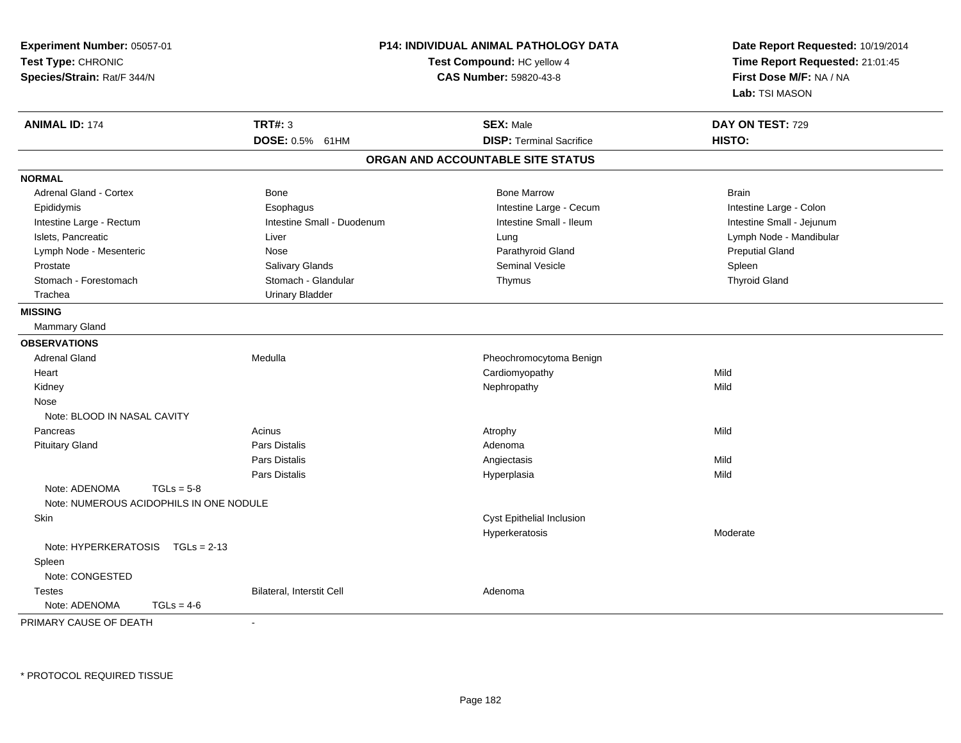| Experiment Number: 05057-01<br>Test Type: CHRONIC<br>Species/Strain: Rat/F 344/N |                            | P14: INDIVIDUAL ANIMAL PATHOLOGY DATA<br>Test Compound: HC yellow 4<br><b>CAS Number: 59820-43-8</b> | Date Report Requested: 10/19/2014<br>Time Report Requested: 21:01:45<br>First Dose M/F: NA / NA<br>Lab: TSI MASON |  |
|----------------------------------------------------------------------------------|----------------------------|------------------------------------------------------------------------------------------------------|-------------------------------------------------------------------------------------------------------------------|--|
| <b>ANIMAL ID: 174</b>                                                            | <b>TRT#: 3</b>             | <b>SEX: Male</b>                                                                                     | DAY ON TEST: 729                                                                                                  |  |
|                                                                                  | DOSE: 0.5% 61HM            | <b>DISP: Terminal Sacrifice</b>                                                                      | HISTO:                                                                                                            |  |
|                                                                                  |                            | ORGAN AND ACCOUNTABLE SITE STATUS                                                                    |                                                                                                                   |  |
| <b>NORMAL</b>                                                                    |                            |                                                                                                      |                                                                                                                   |  |
| <b>Adrenal Gland - Cortex</b>                                                    | Bone                       | <b>Bone Marrow</b>                                                                                   | <b>Brain</b>                                                                                                      |  |
| Epididymis                                                                       | Esophagus                  | Intestine Large - Cecum                                                                              | Intestine Large - Colon                                                                                           |  |
| Intestine Large - Rectum                                                         | Intestine Small - Duodenum | Intestine Small - Ileum                                                                              | Intestine Small - Jejunum                                                                                         |  |
| Islets, Pancreatic                                                               | Liver                      | Lung                                                                                                 | Lymph Node - Mandibular                                                                                           |  |
| Lymph Node - Mesenteric                                                          | Nose                       | Parathyroid Gland                                                                                    | <b>Preputial Gland</b>                                                                                            |  |
| Prostate                                                                         | Salivary Glands            | Seminal Vesicle                                                                                      | Spleen                                                                                                            |  |
| Stomach - Forestomach                                                            | Stomach - Glandular        | Thymus                                                                                               | <b>Thyroid Gland</b>                                                                                              |  |
| Trachea                                                                          | <b>Urinary Bladder</b>     |                                                                                                      |                                                                                                                   |  |
| <b>MISSING</b>                                                                   |                            |                                                                                                      |                                                                                                                   |  |
| <b>Mammary Gland</b>                                                             |                            |                                                                                                      |                                                                                                                   |  |
| <b>OBSERVATIONS</b>                                                              |                            |                                                                                                      |                                                                                                                   |  |
| <b>Adrenal Gland</b>                                                             | Medulla                    | Pheochromocytoma Benign                                                                              |                                                                                                                   |  |
| Heart                                                                            |                            | Cardiomyopathy                                                                                       | Mild                                                                                                              |  |
| Kidney                                                                           |                            | Nephropathy                                                                                          | Mild                                                                                                              |  |
| Nose                                                                             |                            |                                                                                                      |                                                                                                                   |  |
| Note: BLOOD IN NASAL CAVITY                                                      |                            |                                                                                                      |                                                                                                                   |  |
| Pancreas                                                                         | Acinus                     | Atrophy                                                                                              | Mild                                                                                                              |  |
| <b>Pituitary Gland</b>                                                           | <b>Pars Distalis</b>       | Adenoma                                                                                              |                                                                                                                   |  |
|                                                                                  | Pars Distalis              | Angiectasis                                                                                          | Mild                                                                                                              |  |
|                                                                                  | Pars Distalis              | Hyperplasia                                                                                          | Mild                                                                                                              |  |
| Note: ADENOMA<br>$TGLs = 5-8$<br>Note: NUMEROUS ACIDOPHILS IN ONE NODULE         |                            |                                                                                                      |                                                                                                                   |  |
| Skin                                                                             |                            | Cyst Epithelial Inclusion                                                                            |                                                                                                                   |  |
|                                                                                  |                            | Hyperkeratosis                                                                                       | Moderate                                                                                                          |  |
| Note: HYPERKERATOSIS<br>$TGLs = 2-13$                                            |                            |                                                                                                      |                                                                                                                   |  |
| Spleen                                                                           |                            |                                                                                                      |                                                                                                                   |  |
| Note: CONGESTED                                                                  |                            |                                                                                                      |                                                                                                                   |  |
| <b>Testes</b>                                                                    | Bilateral, Interstit Cell  | Adenoma                                                                                              |                                                                                                                   |  |
| Note: ADENOMA<br>$TGLs = 4-6$                                                    |                            |                                                                                                      |                                                                                                                   |  |
| PRIMARY CAUSE OF DEATH                                                           | $\blacksquare$             |                                                                                                      |                                                                                                                   |  |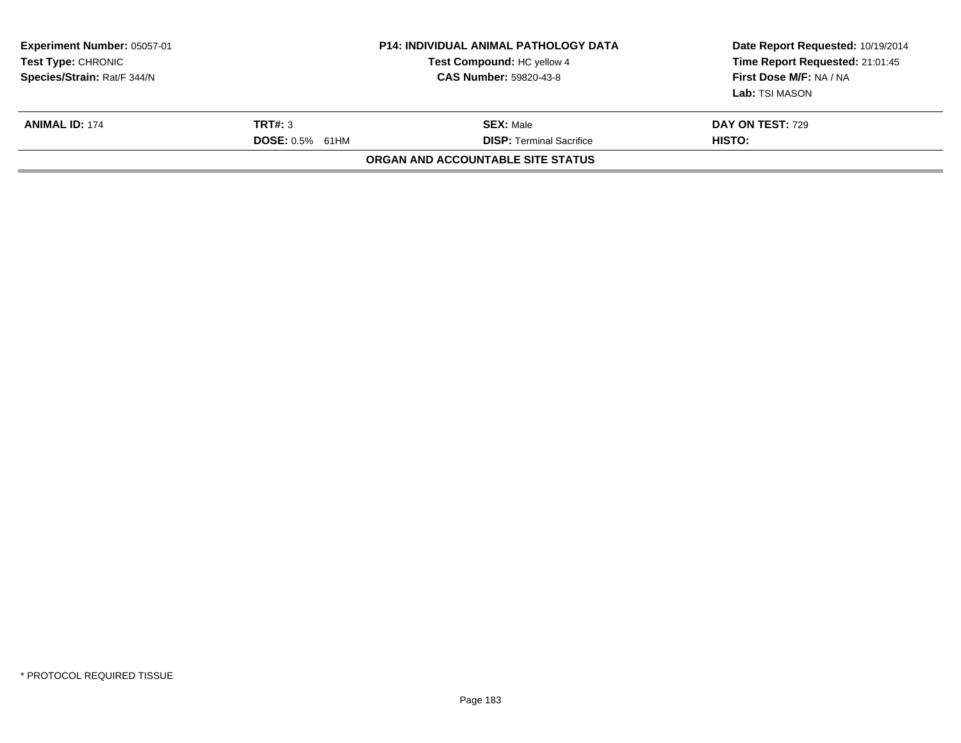| Experiment Number: 05057-01<br><b>Test Type: CHRONIC</b><br>Species/Strain: Rat/F 344/N | <b>P14: INDIVIDUAL ANIMAL PATHOLOGY DATA</b><br>Test Compound: HC yellow 4<br><b>CAS Number: 59820-43-8</b> |                                                     | Date Report Requested: 10/19/2014<br>Time Report Requested: 21:01:45<br>First Dose M/F: NA / NA<br>Lab: TSI MASON |
|-----------------------------------------------------------------------------------------|-------------------------------------------------------------------------------------------------------------|-----------------------------------------------------|-------------------------------------------------------------------------------------------------------------------|
| <b>ANIMAL ID: 174</b>                                                                   | TRT#: 3<br><b>DOSE: 0.5% 61HM</b>                                                                           | <b>SEX:</b> Male<br><b>DISP:</b> Terminal Sacrifice | <b>DAY ON TEST: 729</b><br>HISTO:                                                                                 |
|                                                                                         |                                                                                                             | ORGAN AND ACCOUNTABLE SITE STATUS                   |                                                                                                                   |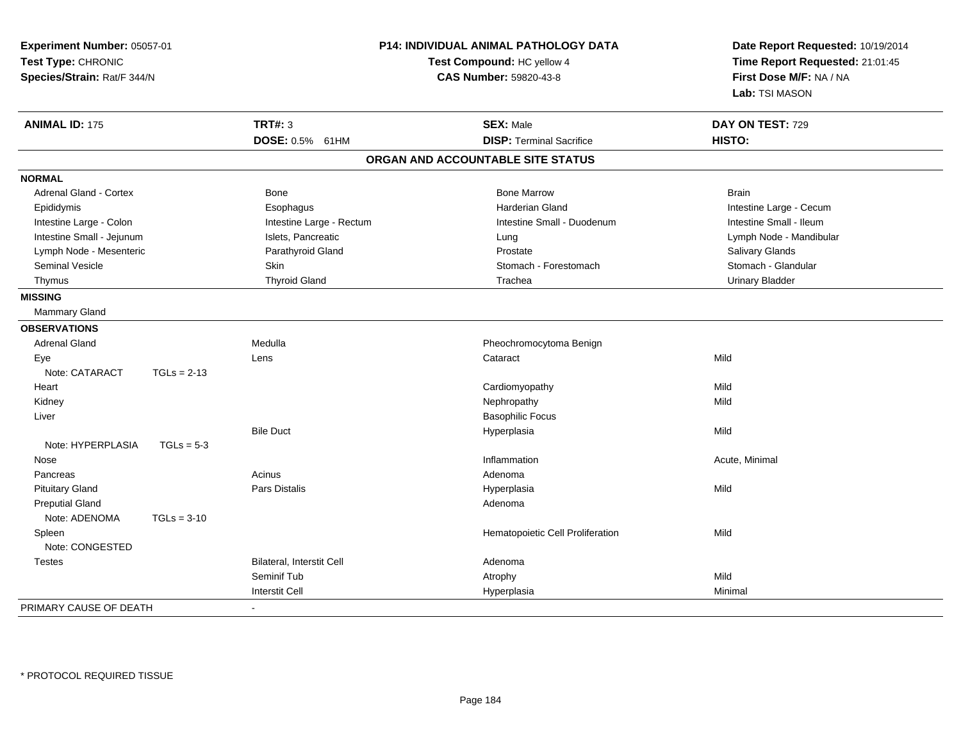| Experiment Number: 05057-01<br>Test Type: CHRONIC<br>Species/Strain: Rat/F 344/N |                                  | P14: INDIVIDUAL ANIMAL PATHOLOGY DATA<br>Test Compound: HC yellow 4<br><b>CAS Number: 59820-43-8</b> | Date Report Requested: 10/19/2014<br>Time Report Requested: 21:01:45<br>First Dose M/F: NA / NA<br>Lab: TSI MASON |  |
|----------------------------------------------------------------------------------|----------------------------------|------------------------------------------------------------------------------------------------------|-------------------------------------------------------------------------------------------------------------------|--|
| <b>ANIMAL ID: 175</b>                                                            | <b>TRT#: 3</b>                   | <b>SEX: Male</b>                                                                                     | DAY ON TEST: 729                                                                                                  |  |
|                                                                                  | DOSE: 0.5% 61HM                  | <b>DISP: Terminal Sacrifice</b>                                                                      | HISTO:                                                                                                            |  |
|                                                                                  |                                  | ORGAN AND ACCOUNTABLE SITE STATUS                                                                    |                                                                                                                   |  |
| <b>NORMAL</b>                                                                    |                                  |                                                                                                      |                                                                                                                   |  |
| <b>Adrenal Gland - Cortex</b>                                                    | Bone                             | <b>Bone Marrow</b>                                                                                   | Brain                                                                                                             |  |
| Epididymis                                                                       | Esophagus                        | <b>Harderian Gland</b>                                                                               | Intestine Large - Cecum                                                                                           |  |
| Intestine Large - Colon                                                          | Intestine Large - Rectum         | Intestine Small - Duodenum                                                                           | Intestine Small - Ileum                                                                                           |  |
| Intestine Small - Jejunum                                                        | Islets, Pancreatic               | Lung                                                                                                 | Lymph Node - Mandibular                                                                                           |  |
| Lymph Node - Mesenteric                                                          | Parathyroid Gland                | Prostate                                                                                             | Salivary Glands                                                                                                   |  |
| <b>Seminal Vesicle</b>                                                           | <b>Skin</b>                      | Stomach - Forestomach                                                                                | Stomach - Glandular                                                                                               |  |
| Thymus                                                                           | <b>Thyroid Gland</b>             | Trachea                                                                                              | <b>Urinary Bladder</b>                                                                                            |  |
| <b>MISSING</b>                                                                   |                                  |                                                                                                      |                                                                                                                   |  |
| Mammary Gland                                                                    |                                  |                                                                                                      |                                                                                                                   |  |
| <b>OBSERVATIONS</b>                                                              |                                  |                                                                                                      |                                                                                                                   |  |
| <b>Adrenal Gland</b>                                                             | Medulla                          | Pheochromocytoma Benign                                                                              |                                                                                                                   |  |
| Eye                                                                              | Lens                             | Cataract                                                                                             | Mild                                                                                                              |  |
| Note: CATARACT<br>$TGLs = 2-13$                                                  |                                  |                                                                                                      |                                                                                                                   |  |
| Heart                                                                            |                                  | Cardiomyopathy                                                                                       | Mild                                                                                                              |  |
| Kidney                                                                           |                                  | Nephropathy                                                                                          | Mild                                                                                                              |  |
| Liver                                                                            |                                  | <b>Basophilic Focus</b>                                                                              |                                                                                                                   |  |
|                                                                                  | <b>Bile Duct</b>                 | Hyperplasia                                                                                          | Mild                                                                                                              |  |
| Note: HYPERPLASIA<br>$TGLs = 5-3$                                                |                                  |                                                                                                      |                                                                                                                   |  |
| Nose                                                                             |                                  | Inflammation                                                                                         | Acute, Minimal                                                                                                    |  |
| Pancreas                                                                         | Acinus                           | Adenoma                                                                                              |                                                                                                                   |  |
| <b>Pituitary Gland</b>                                                           | <b>Pars Distalis</b>             | Hyperplasia                                                                                          | Mild                                                                                                              |  |
| <b>Preputial Gland</b>                                                           |                                  | Adenoma                                                                                              |                                                                                                                   |  |
| Note: ADENOMA<br>$TGLs = 3-10$                                                   |                                  |                                                                                                      |                                                                                                                   |  |
| Spleen                                                                           |                                  | Hematopoietic Cell Proliferation                                                                     | Mild                                                                                                              |  |
| Note: CONGESTED                                                                  |                                  |                                                                                                      |                                                                                                                   |  |
| <b>Testes</b>                                                                    | <b>Bilateral. Interstit Cell</b> | Adenoma                                                                                              |                                                                                                                   |  |
|                                                                                  | Seminif Tub                      | Atrophy                                                                                              | Mild                                                                                                              |  |
|                                                                                  | <b>Interstit Cell</b>            | Hyperplasia                                                                                          | Minimal                                                                                                           |  |
| PRIMARY CAUSE OF DEATH                                                           | $\blacksquare$                   |                                                                                                      |                                                                                                                   |  |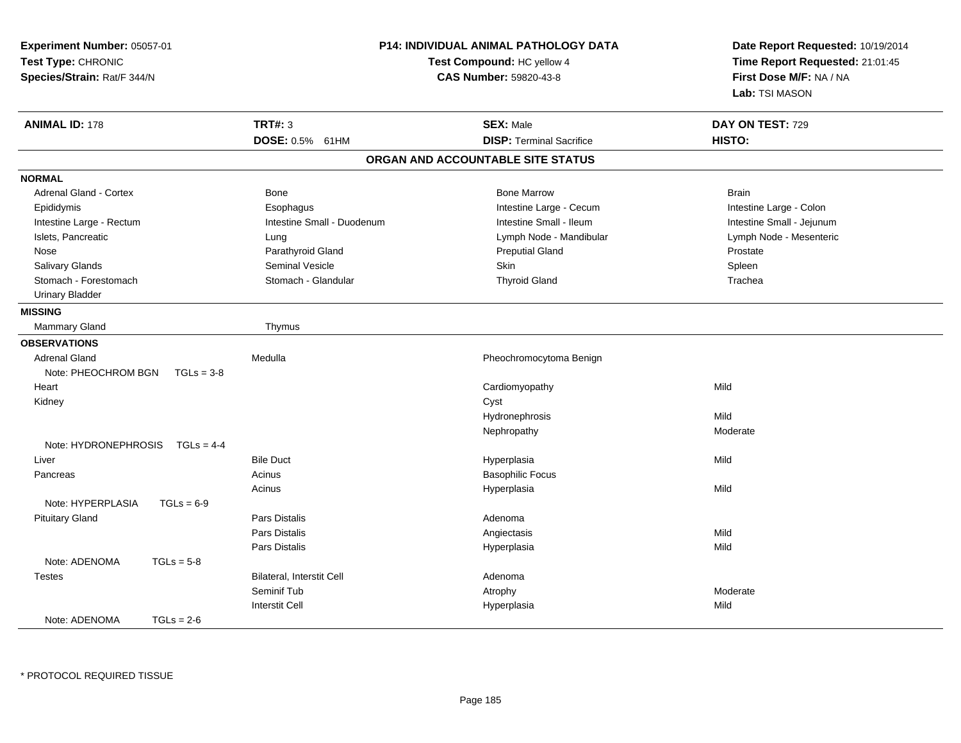| Experiment Number: 05057-01<br>Test Type: CHRONIC<br>Species/Strain: Rat/F 344/N |                            | P14: INDIVIDUAL ANIMAL PATHOLOGY DATA<br>Test Compound: HC yellow 4<br><b>CAS Number: 59820-43-8</b> | Date Report Requested: 10/19/2014<br>Time Report Requested: 21:01:45<br>First Dose M/F: NA / NA<br>Lab: TSI MASON |  |
|----------------------------------------------------------------------------------|----------------------------|------------------------------------------------------------------------------------------------------|-------------------------------------------------------------------------------------------------------------------|--|
| <b>ANIMAL ID: 178</b>                                                            | <b>TRT#: 3</b>             | <b>SEX: Male</b>                                                                                     | DAY ON TEST: 729                                                                                                  |  |
|                                                                                  | DOSE: 0.5% 61HM            | <b>DISP: Terminal Sacrifice</b>                                                                      | HISTO:                                                                                                            |  |
|                                                                                  |                            | ORGAN AND ACCOUNTABLE SITE STATUS                                                                    |                                                                                                                   |  |
| <b>NORMAL</b>                                                                    |                            |                                                                                                      |                                                                                                                   |  |
| <b>Adrenal Gland - Cortex</b>                                                    | Bone                       | <b>Bone Marrow</b>                                                                                   | <b>Brain</b>                                                                                                      |  |
| Epididymis                                                                       | Esophagus                  | Intestine Large - Cecum                                                                              | Intestine Large - Colon                                                                                           |  |
| Intestine Large - Rectum                                                         | Intestine Small - Duodenum | Intestine Small - Ileum                                                                              | Intestine Small - Jejunum                                                                                         |  |
| Islets, Pancreatic                                                               | Lung                       | Lymph Node - Mandibular                                                                              | Lymph Node - Mesenteric                                                                                           |  |
| Nose                                                                             | Parathyroid Gland          | <b>Preputial Gland</b>                                                                               | Prostate                                                                                                          |  |
| <b>Salivary Glands</b>                                                           | <b>Seminal Vesicle</b>     | <b>Skin</b>                                                                                          | Spleen                                                                                                            |  |
| Stomach - Forestomach                                                            | Stomach - Glandular        | <b>Thyroid Gland</b>                                                                                 | Trachea                                                                                                           |  |
| <b>Urinary Bladder</b>                                                           |                            |                                                                                                      |                                                                                                                   |  |
| <b>MISSING</b>                                                                   |                            |                                                                                                      |                                                                                                                   |  |
| <b>Mammary Gland</b>                                                             | Thymus                     |                                                                                                      |                                                                                                                   |  |
| <b>OBSERVATIONS</b>                                                              |                            |                                                                                                      |                                                                                                                   |  |
| <b>Adrenal Gland</b>                                                             | Medulla                    | Pheochromocytoma Benign                                                                              |                                                                                                                   |  |
| Note: PHEOCHROM BGN<br>$TGLs = 3-8$                                              |                            |                                                                                                      |                                                                                                                   |  |
| Heart                                                                            |                            | Cardiomyopathy                                                                                       | Mild                                                                                                              |  |
| Kidney                                                                           |                            | Cyst                                                                                                 |                                                                                                                   |  |
|                                                                                  |                            | Hydronephrosis                                                                                       | Mild                                                                                                              |  |
|                                                                                  |                            | Nephropathy                                                                                          | Moderate                                                                                                          |  |
| Note: HYDRONEPHROSIS<br>$TGLs = 4-4$                                             |                            |                                                                                                      |                                                                                                                   |  |
| Liver                                                                            | <b>Bile Duct</b>           | Hyperplasia                                                                                          | Mild                                                                                                              |  |
| Pancreas                                                                         | Acinus                     | <b>Basophilic Focus</b>                                                                              |                                                                                                                   |  |
|                                                                                  | Acinus                     | Hyperplasia                                                                                          | Mild                                                                                                              |  |
| Note: HYPERPLASIA<br>$TGLs = 6-9$                                                |                            |                                                                                                      |                                                                                                                   |  |
| <b>Pituitary Gland</b>                                                           | <b>Pars Distalis</b>       | Adenoma                                                                                              |                                                                                                                   |  |
|                                                                                  | <b>Pars Distalis</b>       | Angiectasis                                                                                          | Mild                                                                                                              |  |
|                                                                                  | Pars Distalis              | Hyperplasia                                                                                          | Mild                                                                                                              |  |
| Note: ADENOMA<br>$TGLs = 5-8$                                                    |                            |                                                                                                      |                                                                                                                   |  |
| <b>Testes</b>                                                                    | Bilateral, Interstit Cell  | Adenoma                                                                                              |                                                                                                                   |  |
|                                                                                  | Seminif Tub                | Atrophy                                                                                              | Moderate                                                                                                          |  |
|                                                                                  | <b>Interstit Cell</b>      | Hyperplasia                                                                                          | Mild                                                                                                              |  |
| Note: ADENOMA<br>$TGLs = 2-6$                                                    |                            |                                                                                                      |                                                                                                                   |  |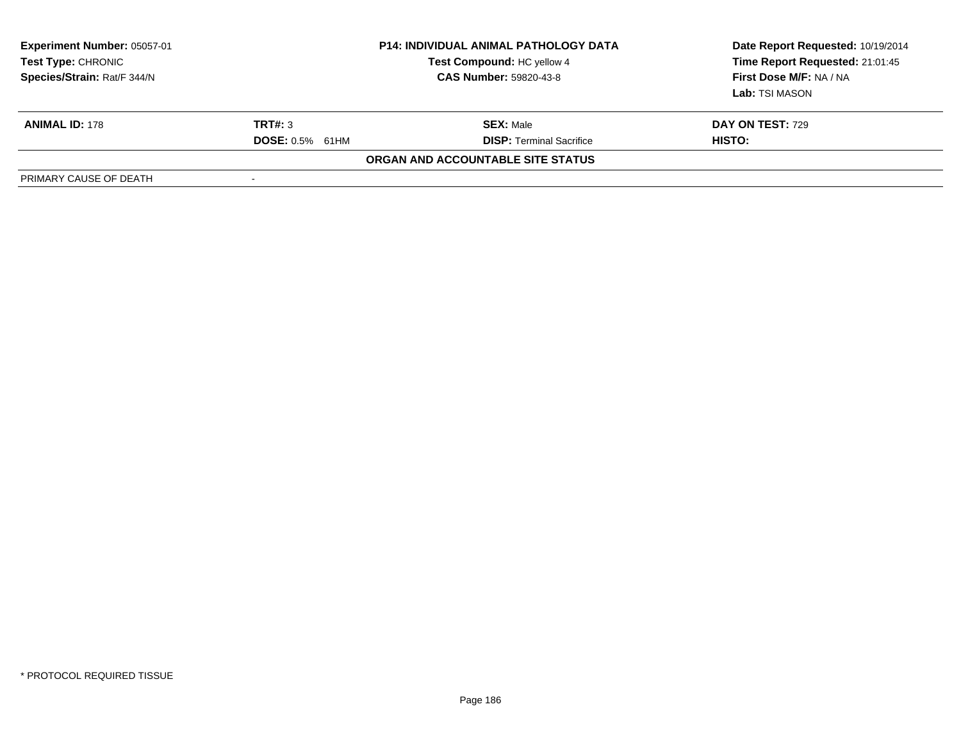| <b>Experiment Number: 05057-01</b><br>Test Type: CHRONIC<br>Species/Strain: Rat/F 344/N | <b>P14: INDIVIDUAL ANIMAL PATHOLOGY DATA</b><br>Test Compound: HC yellow 4<br><b>CAS Number: 59820-43-8</b> |                                   | Date Report Requested: 10/19/2014<br>Time Report Requested: 21:01:45<br>First Dose M/F: NA / NA<br><b>Lab:</b> TSI MASON |
|-----------------------------------------------------------------------------------------|-------------------------------------------------------------------------------------------------------------|-----------------------------------|--------------------------------------------------------------------------------------------------------------------------|
| <b>ANIMAL ID: 178</b>                                                                   | TRT#: 3                                                                                                     | <b>SEX: Male</b>                  | DAY ON TEST: 729                                                                                                         |
|                                                                                         | <b>DOSE: 0.5% 61HM</b>                                                                                      | <b>DISP: Terminal Sacrifice</b>   | HISTO:                                                                                                                   |
|                                                                                         |                                                                                                             | ORGAN AND ACCOUNTABLE SITE STATUS |                                                                                                                          |
| PRIMARY CAUSE OF DEATH                                                                  | $\overline{\phantom{a}}$                                                                                    |                                   |                                                                                                                          |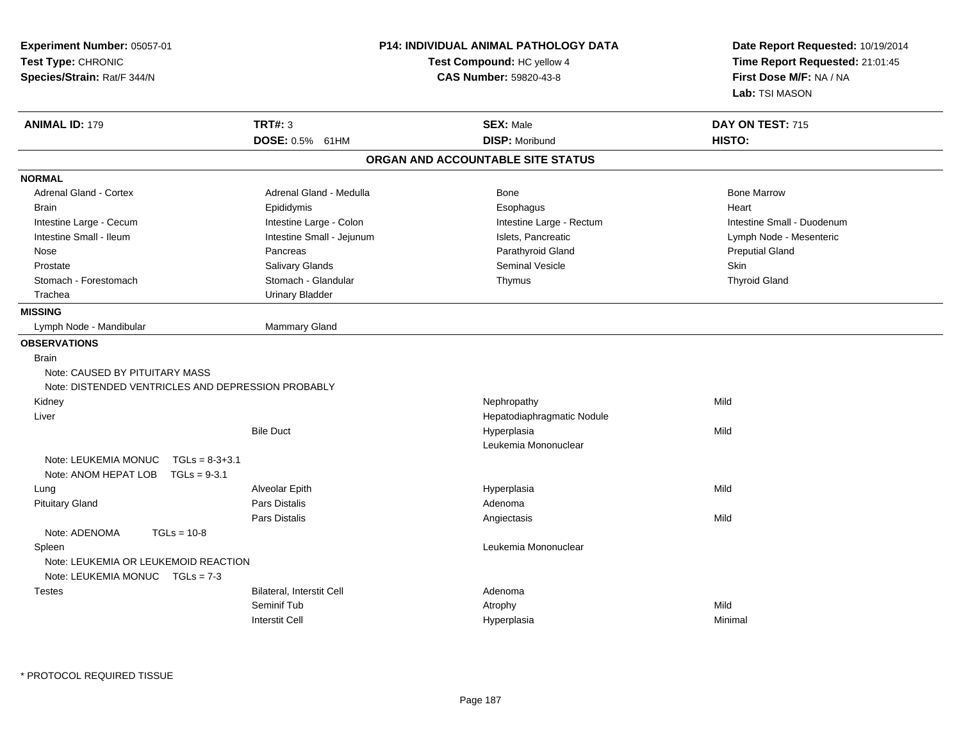| Experiment Number: 05057-01<br>Test Type: CHRONIC<br>Species/Strain: Rat/F 344/N | <b>P14: INDIVIDUAL ANIMAL PATHOLOGY DATA</b><br>Test Compound: HC yellow 4<br>CAS Number: 59820-43-8 |                                   | Date Report Requested: 10/19/2014<br>Time Report Requested: 21:01:45<br>First Dose M/F: NA / NA<br>Lab: TSI MASON |  |
|----------------------------------------------------------------------------------|------------------------------------------------------------------------------------------------------|-----------------------------------|-------------------------------------------------------------------------------------------------------------------|--|
| <b>ANIMAL ID: 179</b>                                                            | <b>TRT#: 3</b>                                                                                       | <b>SEX: Male</b>                  | DAY ON TEST: 715                                                                                                  |  |
|                                                                                  | DOSE: 0.5% 61HM                                                                                      | <b>DISP: Moribund</b>             | HISTO:                                                                                                            |  |
|                                                                                  |                                                                                                      | ORGAN AND ACCOUNTABLE SITE STATUS |                                                                                                                   |  |
| <b>NORMAL</b>                                                                    |                                                                                                      |                                   |                                                                                                                   |  |
| <b>Adrenal Gland - Cortex</b>                                                    | Adrenal Gland - Medulla                                                                              | Bone                              | <b>Bone Marrow</b>                                                                                                |  |
| <b>Brain</b>                                                                     | Epididymis                                                                                           | Esophagus                         | Heart                                                                                                             |  |
| Intestine Large - Cecum                                                          | Intestine Large - Colon                                                                              | Intestine Large - Rectum          | Intestine Small - Duodenum                                                                                        |  |
| Intestine Small - Ileum                                                          | Intestine Small - Jejunum                                                                            | Islets. Pancreatic                | Lymph Node - Mesenteric                                                                                           |  |
| Nose                                                                             | Pancreas                                                                                             | Parathyroid Gland                 | <b>Preputial Gland</b>                                                                                            |  |
| Prostate                                                                         | Salivary Glands                                                                                      | <b>Seminal Vesicle</b>            | <b>Skin</b>                                                                                                       |  |
| Stomach - Forestomach                                                            | Stomach - Glandular                                                                                  | Thymus                            | <b>Thyroid Gland</b>                                                                                              |  |
| Trachea                                                                          | <b>Urinary Bladder</b>                                                                               |                                   |                                                                                                                   |  |
| <b>MISSING</b>                                                                   |                                                                                                      |                                   |                                                                                                                   |  |
| Lymph Node - Mandibular                                                          | Mammary Gland                                                                                        |                                   |                                                                                                                   |  |
| <b>OBSERVATIONS</b>                                                              |                                                                                                      |                                   |                                                                                                                   |  |
| <b>Brain</b>                                                                     |                                                                                                      |                                   |                                                                                                                   |  |
| Note: CAUSED BY PITUITARY MASS                                                   |                                                                                                      |                                   |                                                                                                                   |  |
| Note: DISTENDED VENTRICLES AND DEPRESSION PROBABLY                               |                                                                                                      |                                   |                                                                                                                   |  |
| Kidney                                                                           |                                                                                                      | Nephropathy                       | Mild                                                                                                              |  |
| Liver                                                                            |                                                                                                      | Hepatodiaphragmatic Nodule        |                                                                                                                   |  |
|                                                                                  | <b>Bile Duct</b>                                                                                     | Hyperplasia                       | Mild                                                                                                              |  |
|                                                                                  |                                                                                                      | Leukemia Mononuclear              |                                                                                                                   |  |
| Note: LEUKEMIA MONUC<br>$TGLs = 8-3+3.1$                                         |                                                                                                      |                                   |                                                                                                                   |  |
| Note: ANOM HEPAT LOB<br>$TGLs = 9-3.1$                                           |                                                                                                      |                                   |                                                                                                                   |  |
| Lung                                                                             | Alveolar Epith                                                                                       | Hyperplasia                       | Mild                                                                                                              |  |
| <b>Pituitary Gland</b>                                                           | Pars Distalis                                                                                        | Adenoma                           |                                                                                                                   |  |
|                                                                                  | Pars Distalis                                                                                        | Angiectasis                       | Mild                                                                                                              |  |
| Note: ADENOMA<br>$TGLs = 10-8$                                                   |                                                                                                      |                                   |                                                                                                                   |  |
| Spleen                                                                           |                                                                                                      | Leukemia Mononuclear              |                                                                                                                   |  |
| Note: LEUKEMIA OR LEUKEMOID REACTION                                             |                                                                                                      |                                   |                                                                                                                   |  |
| Note: LEUKEMIA MONUC $TGLs = 7-3$                                                |                                                                                                      |                                   |                                                                                                                   |  |
| <b>Testes</b>                                                                    | <b>Bilateral, Interstit Cell</b>                                                                     | Adenoma                           |                                                                                                                   |  |
|                                                                                  | Seminif Tub                                                                                          | Atrophy                           | Mild                                                                                                              |  |
|                                                                                  | <b>Interstit Cell</b>                                                                                | Hyperplasia                       | Minimal                                                                                                           |  |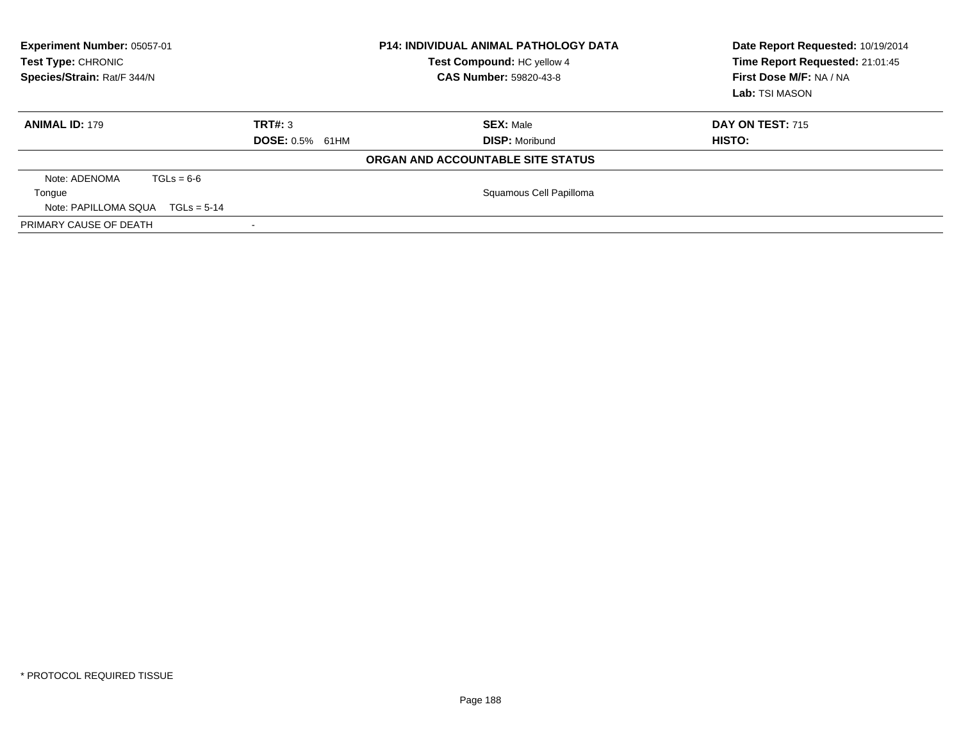| Experiment Number: 05057-01<br><b>P14: INDIVIDUAL ANIMAL PATHOLOGY DATA</b><br>Test Type: CHRONIC<br>Test Compound: HC yellow 4<br>Species/Strain: Rat/F 344/N<br><b>CAS Number: 59820-43-8</b> |                        |                                   | Date Report Requested: 10/19/2014<br>Time Report Requested: 21:01:45<br>First Dose M/F: NA / NA<br>Lab: TSI MASON |
|-------------------------------------------------------------------------------------------------------------------------------------------------------------------------------------------------|------------------------|-----------------------------------|-------------------------------------------------------------------------------------------------------------------|
| <b>ANIMAL ID: 179</b>                                                                                                                                                                           | TRT#: 3                | <b>SEX: Male</b>                  | <b>DAY ON TEST: 715</b>                                                                                           |
|                                                                                                                                                                                                 | <b>DOSE: 0.5% 61HM</b> | <b>DISP: Moribund</b>             | HISTO:                                                                                                            |
|                                                                                                                                                                                                 |                        | ORGAN AND ACCOUNTABLE SITE STATUS |                                                                                                                   |
| Note: ADENOMA<br>$TGLs = 6-6$                                                                                                                                                                   |                        |                                   |                                                                                                                   |
| Tongue                                                                                                                                                                                          |                        | Squamous Cell Papilloma           |                                                                                                                   |
| Note: PAPILLOMA SQUA $TGLs = 5-14$                                                                                                                                                              |                        |                                   |                                                                                                                   |
| PRIMARY CAUSE OF DEATH                                                                                                                                                                          |                        |                                   |                                                                                                                   |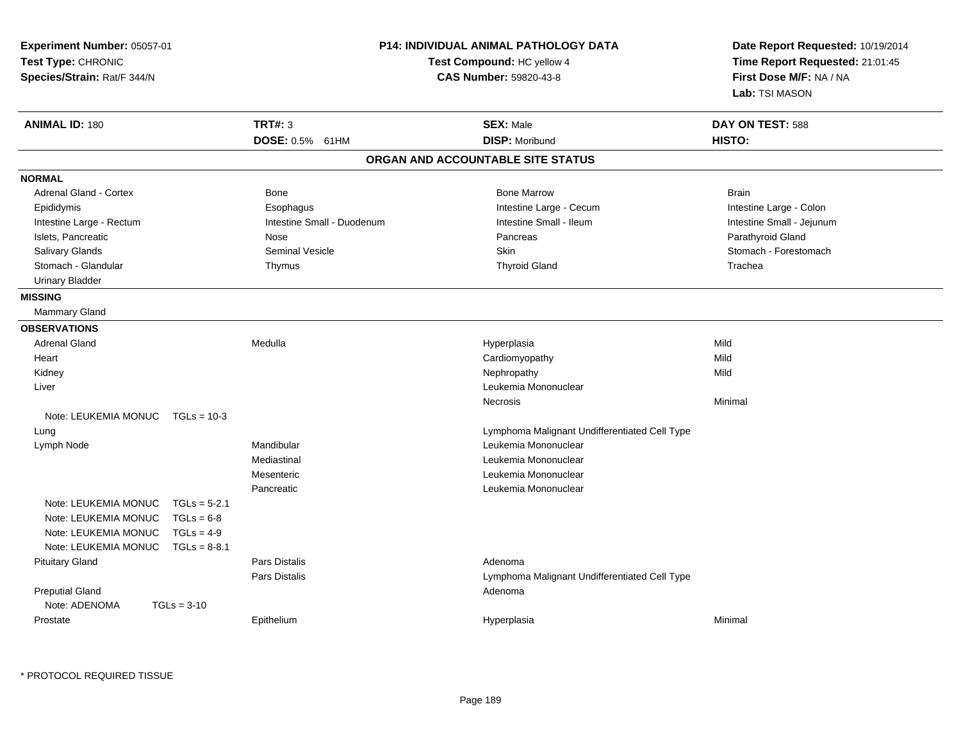| Experiment Number: 05057-01<br>Test Type: CHRONIC<br>Species/Strain: Rat/F 344/N | <b>P14: INDIVIDUAL ANIMAL PATHOLOGY DATA</b><br>Test Compound: HC yellow 4<br>CAS Number: 59820-43-8 |                            |                                               |  | Date Report Requested: 10/19/2014<br>Time Report Requested: 21:01:45<br>First Dose M/F: NA / NA<br>Lab: TSI MASON |  |
|----------------------------------------------------------------------------------|------------------------------------------------------------------------------------------------------|----------------------------|-----------------------------------------------|--|-------------------------------------------------------------------------------------------------------------------|--|
| <b>ANIMAL ID: 180</b>                                                            |                                                                                                      | <b>TRT#: 3</b>             | <b>SEX: Male</b>                              |  | DAY ON TEST: 588                                                                                                  |  |
|                                                                                  |                                                                                                      | DOSE: 0.5% 61HM            | <b>DISP: Moribund</b>                         |  | HISTO:                                                                                                            |  |
|                                                                                  |                                                                                                      |                            | ORGAN AND ACCOUNTABLE SITE STATUS             |  |                                                                                                                   |  |
| <b>NORMAL</b>                                                                    |                                                                                                      |                            |                                               |  |                                                                                                                   |  |
| <b>Adrenal Gland - Cortex</b>                                                    |                                                                                                      | Bone                       | <b>Bone Marrow</b>                            |  | <b>Brain</b>                                                                                                      |  |
| Epididymis                                                                       |                                                                                                      | Esophagus                  | Intestine Large - Cecum                       |  | Intestine Large - Colon                                                                                           |  |
| Intestine Large - Rectum                                                         |                                                                                                      | Intestine Small - Duodenum | Intestine Small - Ileum                       |  | Intestine Small - Jejunum                                                                                         |  |
| Islets, Pancreatic                                                               |                                                                                                      | Nose                       | Pancreas                                      |  | Parathyroid Gland                                                                                                 |  |
| Salivary Glands                                                                  |                                                                                                      | <b>Seminal Vesicle</b>     | Skin                                          |  | Stomach - Forestomach                                                                                             |  |
| Stomach - Glandular                                                              |                                                                                                      | Thymus                     | <b>Thyroid Gland</b>                          |  | Trachea                                                                                                           |  |
| <b>Urinary Bladder</b>                                                           |                                                                                                      |                            |                                               |  |                                                                                                                   |  |
| <b>MISSING</b>                                                                   |                                                                                                      |                            |                                               |  |                                                                                                                   |  |
| Mammary Gland                                                                    |                                                                                                      |                            |                                               |  |                                                                                                                   |  |
| <b>OBSERVATIONS</b>                                                              |                                                                                                      |                            |                                               |  |                                                                                                                   |  |
| <b>Adrenal Gland</b>                                                             |                                                                                                      | Medulla                    | Hyperplasia                                   |  | Mild                                                                                                              |  |
| Heart                                                                            |                                                                                                      |                            | Cardiomyopathy                                |  | Mild                                                                                                              |  |
| Kidney                                                                           |                                                                                                      |                            | Nephropathy                                   |  | Mild                                                                                                              |  |
| Liver                                                                            |                                                                                                      |                            | Leukemia Mononuclear                          |  |                                                                                                                   |  |
|                                                                                  |                                                                                                      |                            | Necrosis                                      |  | Minimal                                                                                                           |  |
| Note: LEUKEMIA MONUC TGLs = 10-3                                                 |                                                                                                      |                            |                                               |  |                                                                                                                   |  |
| Lung                                                                             |                                                                                                      |                            | Lymphoma Malignant Undifferentiated Cell Type |  |                                                                                                                   |  |
| Lymph Node                                                                       |                                                                                                      | Mandibular                 | Leukemia Mononuclear                          |  |                                                                                                                   |  |
|                                                                                  |                                                                                                      | Mediastinal                | Leukemia Mononuclear                          |  |                                                                                                                   |  |
|                                                                                  |                                                                                                      | Mesenteric                 | Leukemia Mononuclear                          |  |                                                                                                                   |  |
|                                                                                  |                                                                                                      | Pancreatic                 | Leukemia Mononuclear                          |  |                                                                                                                   |  |
| Note: LEUKEMIA MONUC                                                             | $TGLs = 5-2.1$                                                                                       |                            |                                               |  |                                                                                                                   |  |
| Note: LEUKEMIA MONUC                                                             | $TGLs = 6-8$                                                                                         |                            |                                               |  |                                                                                                                   |  |
| Note: LEUKEMIA MONUC                                                             | $TGLs = 4-9$                                                                                         |                            |                                               |  |                                                                                                                   |  |
| Note: LEUKEMIA MONUC                                                             | $TGLs = 8-8.1$                                                                                       | Pars Distalis              | Adenoma                                       |  |                                                                                                                   |  |
| <b>Pituitary Gland</b>                                                           |                                                                                                      | <b>Pars Distalis</b>       | Lymphoma Malignant Undifferentiated Cell Type |  |                                                                                                                   |  |
| <b>Preputial Gland</b>                                                           |                                                                                                      |                            | Adenoma                                       |  |                                                                                                                   |  |
| Note: ADENOMA                                                                    | $TGLs = 3-10$                                                                                        |                            |                                               |  |                                                                                                                   |  |
| Prostate                                                                         |                                                                                                      | Epithelium                 | Hyperplasia                                   |  | Minimal                                                                                                           |  |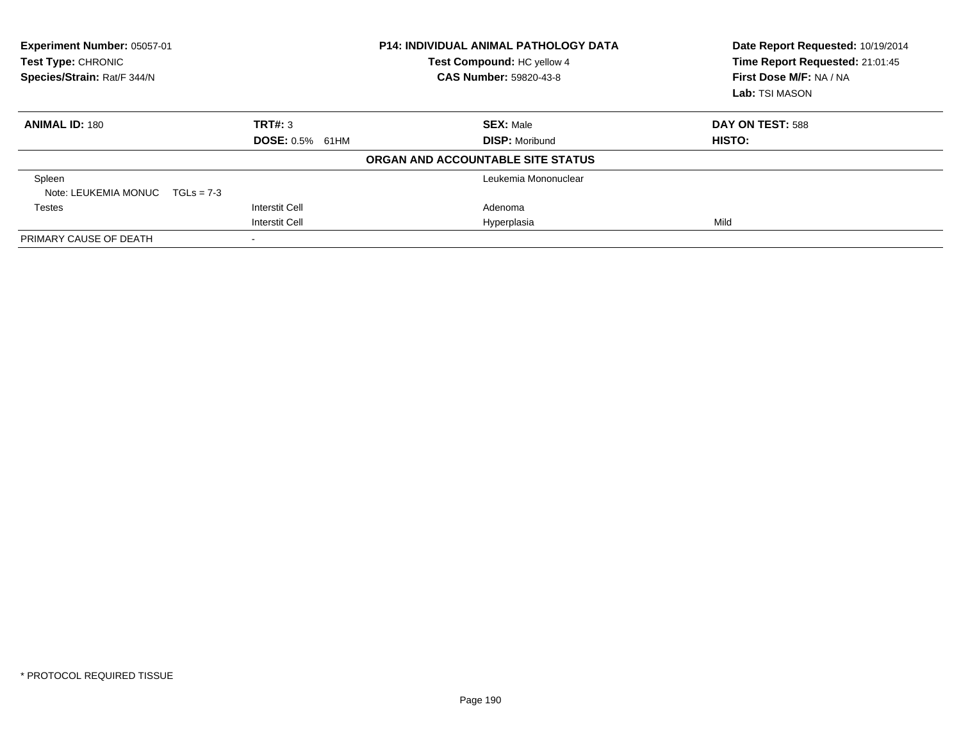| Experiment Number: 05057-01<br>Test Type: CHRONIC<br>Species/Strain: Rat/F 344/N | <b>P14: INDIVIDUAL ANIMAL PATHOLOGY DATA</b><br>Test Compound: HC yellow 4<br><b>CAS Number: 59820-43-8</b> |                                   | Date Report Requested: 10/19/2014<br>Time Report Requested: 21:01:45<br>First Dose M/F: NA / NA<br>Lab: TSI MASON |
|----------------------------------------------------------------------------------|-------------------------------------------------------------------------------------------------------------|-----------------------------------|-------------------------------------------------------------------------------------------------------------------|
| <b>ANIMAL ID: 180</b>                                                            | TRT#: 3                                                                                                     | <b>SEX: Male</b>                  | DAY ON TEST: 588                                                                                                  |
|                                                                                  | <b>DOSE: 0.5% 61HM</b>                                                                                      | <b>DISP: Moribund</b>             | HISTO:                                                                                                            |
|                                                                                  |                                                                                                             | ORGAN AND ACCOUNTABLE SITE STATUS |                                                                                                                   |
| Spleen                                                                           |                                                                                                             | Leukemia Mononuclear              |                                                                                                                   |
| Note: LEUKEMIA MONUC $TGLs = 7-3$                                                |                                                                                                             |                                   |                                                                                                                   |
| Testes                                                                           | Interstit Cell                                                                                              | Adenoma                           |                                                                                                                   |
|                                                                                  | <b>Interstit Cell</b>                                                                                       | Hyperplasia                       | Mild                                                                                                              |
| PRIMARY CAUSE OF DEATH                                                           |                                                                                                             |                                   |                                                                                                                   |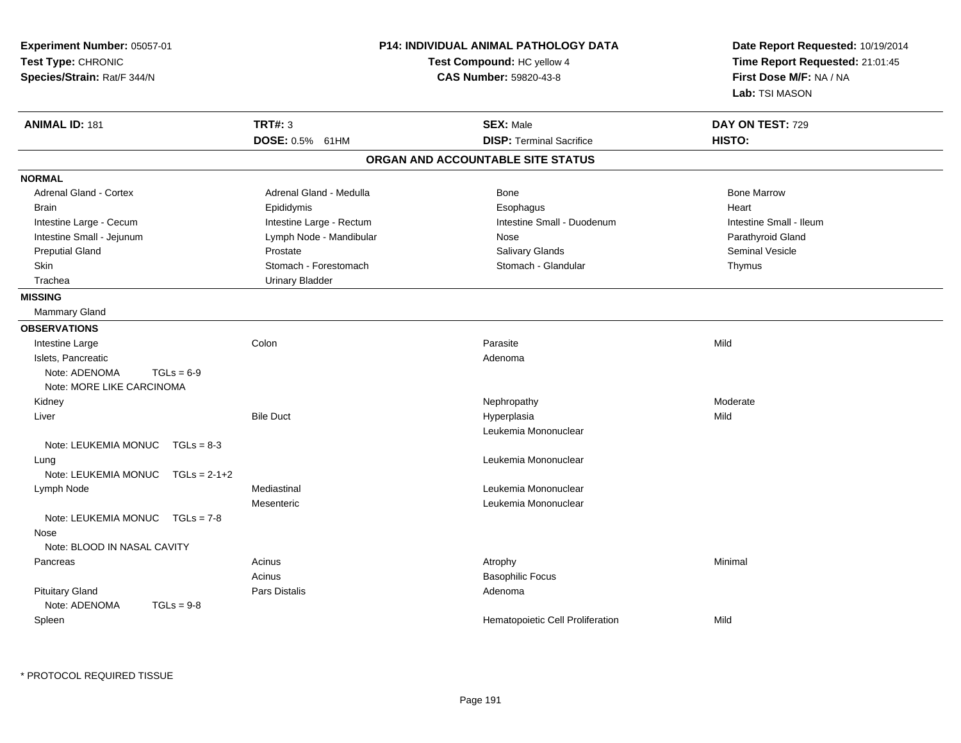| Experiment Number: 05057-01<br>Test Type: CHRONIC<br>Species/Strain: Rat/F 344/N | P14: INDIVIDUAL ANIMAL PATHOLOGY DATA<br>Test Compound: HC yellow 4<br><b>CAS Number: 59820-43-8</b> |                                   | Date Report Requested: 10/19/2014<br>Time Report Requested: 21:01:45<br>First Dose M/F: NA / NA<br>Lab: TSI MASON |  |
|----------------------------------------------------------------------------------|------------------------------------------------------------------------------------------------------|-----------------------------------|-------------------------------------------------------------------------------------------------------------------|--|
| <b>ANIMAL ID: 181</b>                                                            | <b>TRT#: 3</b>                                                                                       | <b>SEX: Male</b>                  | DAY ON TEST: 729                                                                                                  |  |
|                                                                                  | DOSE: 0.5% 61HM                                                                                      | <b>DISP: Terminal Sacrifice</b>   | HISTO:                                                                                                            |  |
|                                                                                  |                                                                                                      | ORGAN AND ACCOUNTABLE SITE STATUS |                                                                                                                   |  |
| <b>NORMAL</b>                                                                    |                                                                                                      |                                   |                                                                                                                   |  |
| <b>Adrenal Gland - Cortex</b>                                                    | Adrenal Gland - Medulla                                                                              | Bone                              | <b>Bone Marrow</b>                                                                                                |  |
| <b>Brain</b>                                                                     | Epididymis                                                                                           | Esophagus                         | Heart                                                                                                             |  |
| Intestine Large - Cecum                                                          | Intestine Large - Rectum                                                                             | Intestine Small - Duodenum        | Intestine Small - Ileum                                                                                           |  |
| Intestine Small - Jejunum                                                        | Lymph Node - Mandibular                                                                              | Nose                              | Parathyroid Gland                                                                                                 |  |
| <b>Preputial Gland</b>                                                           | Prostate                                                                                             | Salivary Glands                   | <b>Seminal Vesicle</b>                                                                                            |  |
| Skin                                                                             | Stomach - Forestomach                                                                                | Stomach - Glandular               | Thymus                                                                                                            |  |
| Trachea                                                                          | <b>Urinary Bladder</b>                                                                               |                                   |                                                                                                                   |  |
| <b>MISSING</b>                                                                   |                                                                                                      |                                   |                                                                                                                   |  |
| <b>Mammary Gland</b>                                                             |                                                                                                      |                                   |                                                                                                                   |  |
| <b>OBSERVATIONS</b>                                                              |                                                                                                      |                                   |                                                                                                                   |  |
| Intestine Large                                                                  | Colon                                                                                                | Parasite                          | Mild                                                                                                              |  |
| Islets, Pancreatic                                                               |                                                                                                      | Adenoma                           |                                                                                                                   |  |
| $TGLs = 6-9$<br>Note: ADENOMA                                                    |                                                                                                      |                                   |                                                                                                                   |  |
| Note: MORE LIKE CARCINOMA                                                        |                                                                                                      |                                   |                                                                                                                   |  |
| Kidney                                                                           |                                                                                                      | Nephropathy                       | Moderate                                                                                                          |  |
| Liver                                                                            | <b>Bile Duct</b>                                                                                     | Hyperplasia                       | Mild                                                                                                              |  |
|                                                                                  |                                                                                                      | Leukemia Mononuclear              |                                                                                                                   |  |
| Note: LEUKEMIA MONUC $TGLs = 8-3$                                                |                                                                                                      |                                   |                                                                                                                   |  |
| Lung                                                                             |                                                                                                      | Leukemia Mononuclear              |                                                                                                                   |  |
| Note: LEUKEMIA MONUC<br>$TGLs = 2-1+2$                                           |                                                                                                      |                                   |                                                                                                                   |  |
| Lymph Node                                                                       | Mediastinal                                                                                          | Leukemia Mononuclear              |                                                                                                                   |  |
|                                                                                  | Mesenteric                                                                                           | Leukemia Mononuclear              |                                                                                                                   |  |
| Note: LEUKEMIA MONUC<br>$TGLs = 7-8$                                             |                                                                                                      |                                   |                                                                                                                   |  |
| Nose                                                                             |                                                                                                      |                                   |                                                                                                                   |  |
| Note: BLOOD IN NASAL CAVITY                                                      |                                                                                                      |                                   |                                                                                                                   |  |
| Pancreas                                                                         | Acinus                                                                                               | Atrophy                           | Minimal                                                                                                           |  |
|                                                                                  | Acinus                                                                                               | <b>Basophilic Focus</b>           |                                                                                                                   |  |
| <b>Pituitary Gland</b>                                                           | Pars Distalis                                                                                        | Adenoma                           |                                                                                                                   |  |
| Note: ADENOMA<br>$TGLs = 9-8$                                                    |                                                                                                      |                                   |                                                                                                                   |  |
| Spleen                                                                           |                                                                                                      | Hematopoietic Cell Proliferation  | Mild                                                                                                              |  |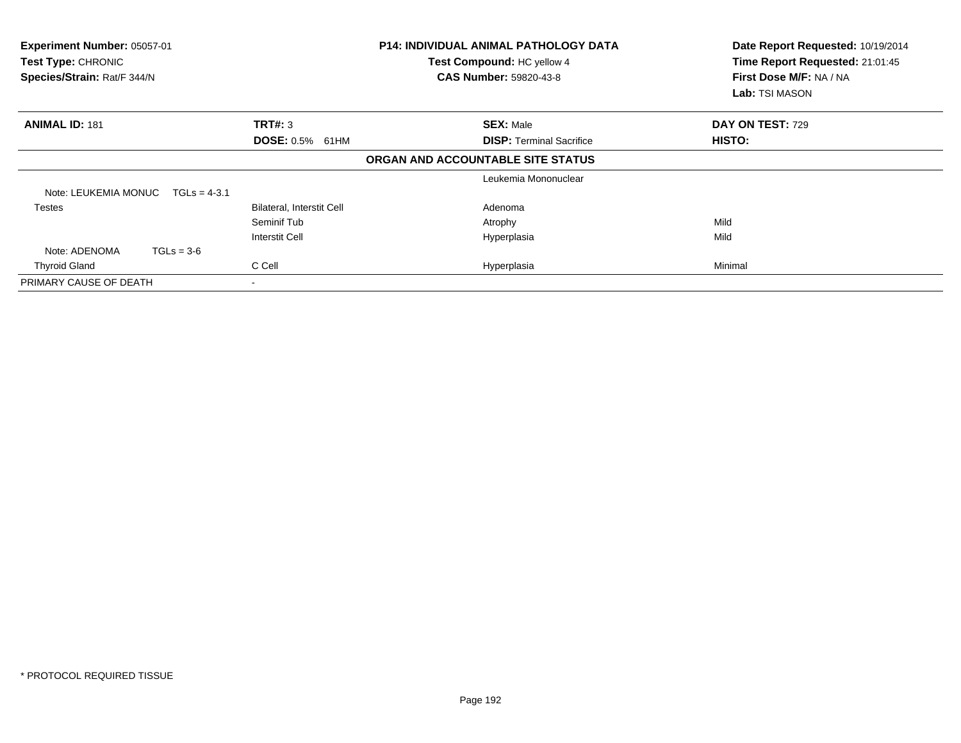| Experiment Number: 05057-01<br>Test Type: CHRONIC<br>Species/Strain: Rat/F 344/N |                           | <b>P14: INDIVIDUAL ANIMAL PATHOLOGY DATA</b><br>Test Compound: HC yellow 4<br><b>CAS Number: 59820-43-8</b> | Date Report Requested: 10/19/2014<br>Time Report Requested: 21:01:45<br>First Dose M/F: NA / NA<br>Lab: TSI MASON |
|----------------------------------------------------------------------------------|---------------------------|-------------------------------------------------------------------------------------------------------------|-------------------------------------------------------------------------------------------------------------------|
| <b>ANIMAL ID: 181</b>                                                            | <b>TRT#: 3</b>            | <b>SEX: Male</b>                                                                                            | DAY ON TEST: 729                                                                                                  |
|                                                                                  | <b>DOSE: 0.5%</b><br>61HM | <b>DISP: Terminal Sacrifice</b>                                                                             | HISTO:                                                                                                            |
|                                                                                  |                           | ORGAN AND ACCOUNTABLE SITE STATUS                                                                           |                                                                                                                   |
|                                                                                  |                           | Leukemia Mononuclear                                                                                        |                                                                                                                   |
| Note: LEUKEMIA MONUC<br>$TGLs = 4-3.1$                                           |                           |                                                                                                             |                                                                                                                   |
| Testes                                                                           | Bilateral, Interstit Cell | Adenoma                                                                                                     |                                                                                                                   |
|                                                                                  | Seminif Tub               | Atrophy                                                                                                     | Mild                                                                                                              |
|                                                                                  | Interstit Cell            | Hyperplasia                                                                                                 | Mild                                                                                                              |
| $TGLs = 3-6$<br>Note: ADENOMA                                                    |                           |                                                                                                             |                                                                                                                   |
| <b>Thyroid Gland</b>                                                             | C Cell                    | Hyperplasia                                                                                                 | Minimal                                                                                                           |
| PRIMARY CAUSE OF DEATH                                                           |                           |                                                                                                             |                                                                                                                   |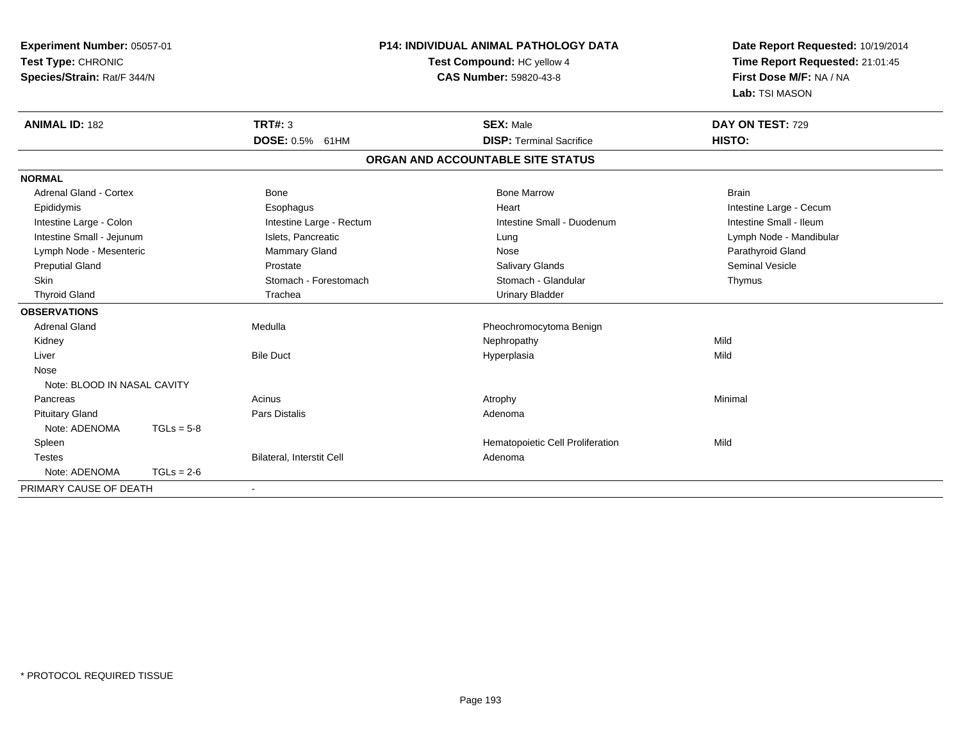| Experiment Number: 05057-01<br>Test Type: CHRONIC<br>Species/Strain: Rat/F 344/N |              |                           | P14: INDIVIDUAL ANIMAL PATHOLOGY DATA<br>Test Compound: HC yellow 4<br><b>CAS Number: 59820-43-8</b> | Date Report Requested: 10/19/2014<br>Time Report Requested: 21:01:45<br>First Dose M/F: NA / NA<br>Lab: TSI MASON |  |
|----------------------------------------------------------------------------------|--------------|---------------------------|------------------------------------------------------------------------------------------------------|-------------------------------------------------------------------------------------------------------------------|--|
| <b>ANIMAL ID: 182</b>                                                            |              | TRT#: 3                   | <b>SEX: Male</b>                                                                                     | DAY ON TEST: 729                                                                                                  |  |
|                                                                                  |              | DOSE: 0.5% 61HM           | <b>DISP: Terminal Sacrifice</b>                                                                      | HISTO:                                                                                                            |  |
|                                                                                  |              |                           | ORGAN AND ACCOUNTABLE SITE STATUS                                                                    |                                                                                                                   |  |
| <b>NORMAL</b>                                                                    |              |                           |                                                                                                      |                                                                                                                   |  |
| Adrenal Gland - Cortex                                                           |              | Bone                      | <b>Bone Marrow</b>                                                                                   | <b>Brain</b>                                                                                                      |  |
| Epididymis                                                                       |              | Esophagus                 | Heart                                                                                                | Intestine Large - Cecum                                                                                           |  |
| Intestine Large - Colon                                                          |              | Intestine Large - Rectum  | Intestine Small - Duodenum                                                                           | Intestine Small - Ileum                                                                                           |  |
| Intestine Small - Jejunum                                                        |              | Islets, Pancreatic        | Lung                                                                                                 | Lymph Node - Mandibular                                                                                           |  |
| Lymph Node - Mesenteric                                                          |              | <b>Mammary Gland</b>      | Nose                                                                                                 | Parathyroid Gland                                                                                                 |  |
| <b>Preputial Gland</b>                                                           |              | Prostate                  | <b>Salivary Glands</b>                                                                               | <b>Seminal Vesicle</b>                                                                                            |  |
| Skin                                                                             |              | Stomach - Forestomach     | Stomach - Glandular                                                                                  | Thymus                                                                                                            |  |
| <b>Thyroid Gland</b>                                                             |              | Trachea                   | <b>Urinary Bladder</b>                                                                               |                                                                                                                   |  |
| <b>OBSERVATIONS</b>                                                              |              |                           |                                                                                                      |                                                                                                                   |  |
| <b>Adrenal Gland</b>                                                             |              | Medulla                   | Pheochromocytoma Benign                                                                              |                                                                                                                   |  |
| Kidney                                                                           |              |                           | Nephropathy                                                                                          | Mild                                                                                                              |  |
| Liver                                                                            |              | <b>Bile Duct</b>          | Hyperplasia                                                                                          | Mild                                                                                                              |  |
| Nose                                                                             |              |                           |                                                                                                      |                                                                                                                   |  |
| Note: BLOOD IN NASAL CAVITY                                                      |              |                           |                                                                                                      |                                                                                                                   |  |
| Pancreas                                                                         |              | Acinus                    | Atrophy                                                                                              | Minimal                                                                                                           |  |
| <b>Pituitary Gland</b>                                                           |              | <b>Pars Distalis</b>      | Adenoma                                                                                              |                                                                                                                   |  |
| Note: ADENOMA                                                                    | $TGLs = 5-8$ |                           |                                                                                                      |                                                                                                                   |  |
| Spleen                                                                           |              |                           | Hematopoietic Cell Proliferation                                                                     | Mild                                                                                                              |  |
| <b>Testes</b>                                                                    |              | Bilateral, Interstit Cell | Adenoma                                                                                              |                                                                                                                   |  |
| Note: ADENOMA                                                                    | $TGLs = 2-6$ |                           |                                                                                                      |                                                                                                                   |  |
| PRIMARY CAUSE OF DEATH                                                           |              | $\overline{\phantom{a}}$  |                                                                                                      |                                                                                                                   |  |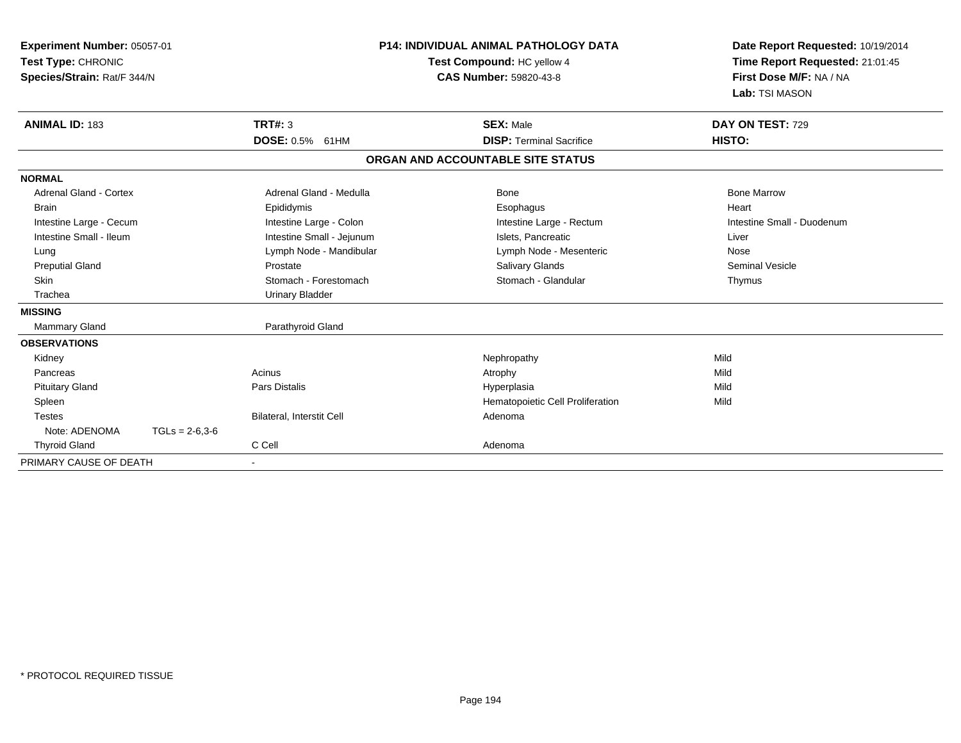| Experiment Number: 05057-01<br>Test Type: CHRONIC<br>Species/Strain: Rat/F 344/N<br><b>ANIMAL ID: 183</b> |                  | <b>P14: INDIVIDUAL ANIMAL PATHOLOGY DATA</b><br>Test Compound: HC yellow 4<br><b>CAS Number: 59820-43-8</b><br><b>TRT#: 3</b><br><b>SEX: Male</b> |  | Date Report Requested: 10/19/2014<br>Time Report Requested: 21:01:45<br>First Dose M/F: NA / NA<br>Lab: TSI MASON<br>DAY ON TEST: 729 |                            |  |
|-----------------------------------------------------------------------------------------------------------|------------------|---------------------------------------------------------------------------------------------------------------------------------------------------|--|---------------------------------------------------------------------------------------------------------------------------------------|----------------------------|--|
|                                                                                                           |                  | <b>DOSE: 0.5%</b><br>61HM                                                                                                                         |  | <b>DISP: Terminal Sacrifice</b>                                                                                                       | HISTO:                     |  |
|                                                                                                           |                  |                                                                                                                                                   |  | ORGAN AND ACCOUNTABLE SITE STATUS                                                                                                     |                            |  |
| <b>NORMAL</b>                                                                                             |                  |                                                                                                                                                   |  |                                                                                                                                       |                            |  |
| Adrenal Gland - Cortex                                                                                    |                  | Adrenal Gland - Medulla                                                                                                                           |  | Bone                                                                                                                                  | <b>Bone Marrow</b>         |  |
| <b>Brain</b>                                                                                              |                  | Epididymis                                                                                                                                        |  | Esophagus                                                                                                                             | Heart                      |  |
| Intestine Large - Cecum                                                                                   |                  | Intestine Large - Colon                                                                                                                           |  | Intestine Large - Rectum                                                                                                              | Intestine Small - Duodenum |  |
| Intestine Small - Ileum                                                                                   |                  | Intestine Small - Jejunum                                                                                                                         |  | Islets. Pancreatic                                                                                                                    | Liver                      |  |
| Lung                                                                                                      |                  | Lymph Node - Mandibular                                                                                                                           |  | Lymph Node - Mesenteric                                                                                                               | Nose                       |  |
| <b>Preputial Gland</b>                                                                                    |                  | Prostate                                                                                                                                          |  | <b>Salivary Glands</b>                                                                                                                | <b>Seminal Vesicle</b>     |  |
| <b>Skin</b>                                                                                               |                  | Stomach - Forestomach                                                                                                                             |  | Stomach - Glandular                                                                                                                   | Thymus                     |  |
| Trachea                                                                                                   |                  | <b>Urinary Bladder</b>                                                                                                                            |  |                                                                                                                                       |                            |  |
| <b>MISSING</b>                                                                                            |                  |                                                                                                                                                   |  |                                                                                                                                       |                            |  |
| <b>Mammary Gland</b>                                                                                      |                  | Parathyroid Gland                                                                                                                                 |  |                                                                                                                                       |                            |  |
| <b>OBSERVATIONS</b>                                                                                       |                  |                                                                                                                                                   |  |                                                                                                                                       |                            |  |
| Kidney                                                                                                    |                  |                                                                                                                                                   |  | Nephropathy                                                                                                                           | Mild                       |  |
| Pancreas                                                                                                  |                  | Acinus                                                                                                                                            |  | Atrophy                                                                                                                               | Mild                       |  |
| <b>Pituitary Gland</b>                                                                                    |                  | <b>Pars Distalis</b>                                                                                                                              |  | Hyperplasia                                                                                                                           | Mild                       |  |
| Spleen                                                                                                    |                  |                                                                                                                                                   |  | Hematopoietic Cell Proliferation                                                                                                      | Mild                       |  |
| <b>Testes</b>                                                                                             |                  | Bilateral, Interstit Cell                                                                                                                         |  | Adenoma                                                                                                                               |                            |  |
| Note: ADENOMA                                                                                             | $TGLs = 2-6,3-6$ |                                                                                                                                                   |  |                                                                                                                                       |                            |  |
| <b>Thyroid Gland</b>                                                                                      |                  | C Cell                                                                                                                                            |  | Adenoma                                                                                                                               |                            |  |
| PRIMARY CAUSE OF DEATH                                                                                    |                  | $\overline{\phantom{a}}$                                                                                                                          |  |                                                                                                                                       |                            |  |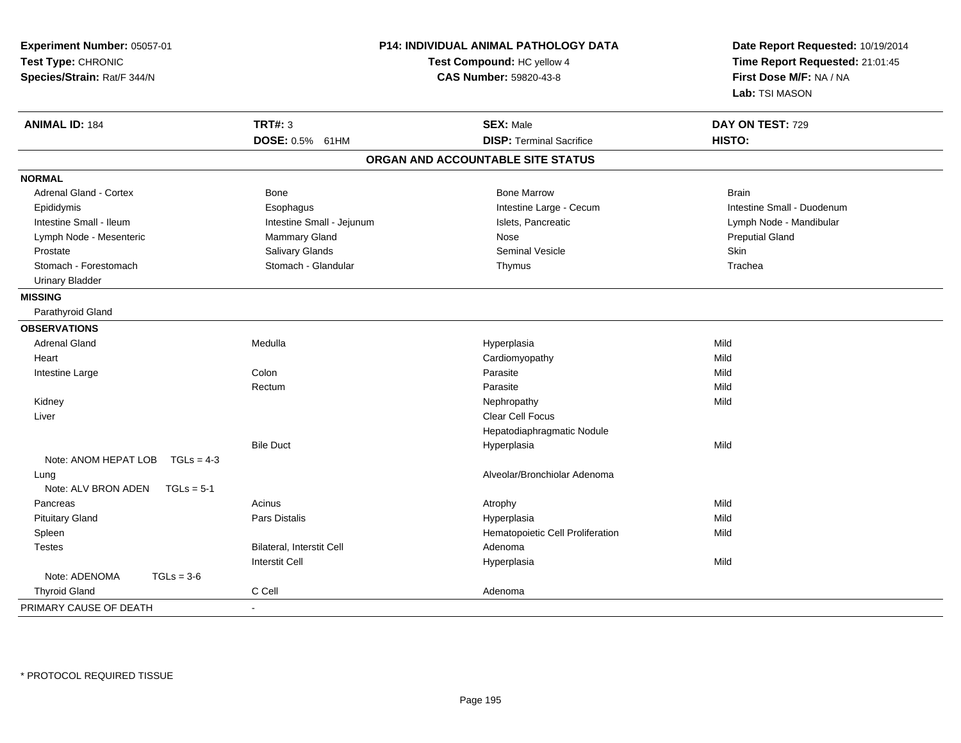| Experiment Number: 05057-01<br>Test Type: CHRONIC<br>Species/Strain: Rat/F 344/N |                                  | <b>P14: INDIVIDUAL ANIMAL PATHOLOGY DATA</b><br>Test Compound: HC yellow 4<br>CAS Number: 59820-43-8 | Date Report Requested: 10/19/2014<br>Time Report Requested: 21:01:45<br>First Dose M/F: NA / NA<br>Lab: TSI MASON |  |
|----------------------------------------------------------------------------------|----------------------------------|------------------------------------------------------------------------------------------------------|-------------------------------------------------------------------------------------------------------------------|--|
| <b>ANIMAL ID: 184</b>                                                            | <b>TRT#: 3</b>                   | <b>SEX: Male</b>                                                                                     | DAY ON TEST: 729                                                                                                  |  |
|                                                                                  | DOSE: 0.5% 61HM                  | <b>DISP: Terminal Sacrifice</b>                                                                      | HISTO:                                                                                                            |  |
|                                                                                  |                                  | ORGAN AND ACCOUNTABLE SITE STATUS                                                                    |                                                                                                                   |  |
| <b>NORMAL</b>                                                                    |                                  |                                                                                                      |                                                                                                                   |  |
| <b>Adrenal Gland - Cortex</b>                                                    | <b>Bone</b>                      | <b>Bone Marrow</b>                                                                                   | <b>Brain</b>                                                                                                      |  |
| Epididymis                                                                       | Esophagus                        | Intestine Large - Cecum                                                                              | Intestine Small - Duodenum                                                                                        |  |
| Intestine Small - Ileum                                                          | Intestine Small - Jejunum        | Islets, Pancreatic                                                                                   | Lymph Node - Mandibular                                                                                           |  |
| Lymph Node - Mesenteric                                                          | Mammary Gland                    | Nose                                                                                                 | <b>Preputial Gland</b>                                                                                            |  |
| Prostate                                                                         | Salivary Glands                  | Seminal Vesicle                                                                                      | Skin                                                                                                              |  |
| Stomach - Forestomach                                                            | Stomach - Glandular              | Thymus                                                                                               | Trachea                                                                                                           |  |
| <b>Urinary Bladder</b>                                                           |                                  |                                                                                                      |                                                                                                                   |  |
| <b>MISSING</b>                                                                   |                                  |                                                                                                      |                                                                                                                   |  |
| Parathyroid Gland                                                                |                                  |                                                                                                      |                                                                                                                   |  |
| <b>OBSERVATIONS</b>                                                              |                                  |                                                                                                      |                                                                                                                   |  |
| <b>Adrenal Gland</b>                                                             | Medulla                          | Hyperplasia                                                                                          | Mild                                                                                                              |  |
| Heart                                                                            |                                  | Cardiomyopathy                                                                                       | Mild                                                                                                              |  |
| Intestine Large                                                                  | Colon                            | Parasite                                                                                             | Mild                                                                                                              |  |
|                                                                                  | Rectum                           | Parasite                                                                                             | Mild                                                                                                              |  |
| Kidney                                                                           |                                  | Nephropathy                                                                                          | Mild                                                                                                              |  |
| Liver                                                                            |                                  | Clear Cell Focus                                                                                     |                                                                                                                   |  |
|                                                                                  |                                  | Hepatodiaphragmatic Nodule                                                                           |                                                                                                                   |  |
|                                                                                  | <b>Bile Duct</b>                 | Hyperplasia                                                                                          | Mild                                                                                                              |  |
| Note: ANOM HEPAT LOB<br>$TGLs = 4-3$                                             |                                  |                                                                                                      |                                                                                                                   |  |
| Lung                                                                             |                                  | Alveolar/Bronchiolar Adenoma                                                                         |                                                                                                                   |  |
| Note: ALV BRON ADEN<br>$TGLs = 5-1$                                              |                                  |                                                                                                      |                                                                                                                   |  |
| Pancreas                                                                         | Acinus                           | Atrophy                                                                                              | Mild                                                                                                              |  |
| <b>Pituitary Gland</b>                                                           | <b>Pars Distalis</b>             | Hyperplasia                                                                                          | Mild                                                                                                              |  |
| Spleen                                                                           |                                  | Hematopoietic Cell Proliferation                                                                     | Mild                                                                                                              |  |
| <b>Testes</b>                                                                    | <b>Bilateral, Interstit Cell</b> | Adenoma                                                                                              |                                                                                                                   |  |
|                                                                                  | <b>Interstit Cell</b>            | Hyperplasia                                                                                          | Mild                                                                                                              |  |
| Note: ADENOMA<br>$TGLs = 3-6$                                                    |                                  |                                                                                                      |                                                                                                                   |  |
| <b>Thyroid Gland</b>                                                             | C Cell                           | Adenoma                                                                                              |                                                                                                                   |  |
| PRIMARY CAUSE OF DEATH                                                           |                                  |                                                                                                      |                                                                                                                   |  |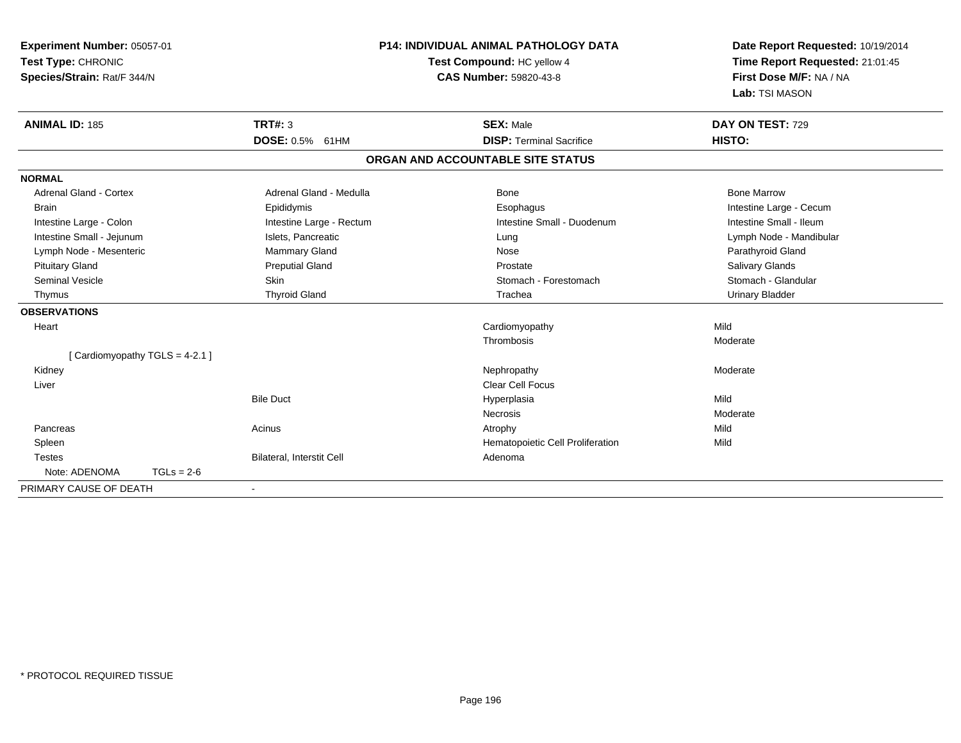| Experiment Number: 05057-01<br>Test Type: CHRONIC<br>Species/Strain: Rat/F 344/N |                           |                          | <b>P14: INDIVIDUAL ANIMAL PATHOLOGY DATA</b><br>Test Compound: HC yellow 4<br><b>CAS Number: 59820-43-8</b> | Date Report Requested: 10/19/2014<br>Time Report Requested: 21:01:45<br>First Dose M/F: NA / NA<br>Lab: TSI MASON |
|----------------------------------------------------------------------------------|---------------------------|--------------------------|-------------------------------------------------------------------------------------------------------------|-------------------------------------------------------------------------------------------------------------------|
| <b>ANIMAL ID: 185</b>                                                            | <b>TRT#: 3</b>            | DOSE: 0.5% 61HM          | <b>SEX: Male</b><br><b>DISP: Terminal Sacrifice</b>                                                         | DAY ON TEST: 729<br>HISTO:                                                                                        |
|                                                                                  |                           |                          | ORGAN AND ACCOUNTABLE SITE STATUS                                                                           |                                                                                                                   |
| <b>NORMAL</b>                                                                    |                           |                          |                                                                                                             |                                                                                                                   |
| <b>Adrenal Gland - Cortex</b>                                                    |                           | Adrenal Gland - Medulla  | Bone                                                                                                        | <b>Bone Marrow</b>                                                                                                |
| <b>Brain</b>                                                                     | Epididymis                |                          | Esophagus                                                                                                   | Intestine Large - Cecum                                                                                           |
| Intestine Large - Colon                                                          |                           | Intestine Large - Rectum | Intestine Small - Duodenum                                                                                  | Intestine Small - Ileum                                                                                           |
| Intestine Small - Jejunum                                                        |                           | Islets, Pancreatic       | Lung                                                                                                        | Lymph Node - Mandibular                                                                                           |
| Lymph Node - Mesenteric                                                          |                           | Mammary Gland            | Nose                                                                                                        | Parathyroid Gland                                                                                                 |
| <b>Pituitary Gland</b>                                                           |                           | <b>Preputial Gland</b>   | Prostate                                                                                                    | Salivary Glands                                                                                                   |
| Seminal Vesicle                                                                  | Skin                      |                          | Stomach - Forestomach                                                                                       | Stomach - Glandular                                                                                               |
| Thymus                                                                           | <b>Thyroid Gland</b>      |                          | Trachea                                                                                                     | <b>Urinary Bladder</b>                                                                                            |
| <b>OBSERVATIONS</b>                                                              |                           |                          |                                                                                                             |                                                                                                                   |
| Heart                                                                            |                           |                          | Cardiomyopathy                                                                                              | Mild                                                                                                              |
|                                                                                  |                           |                          | Thrombosis                                                                                                  | Moderate                                                                                                          |
| [Cardiomyopathy TGLS = 4-2.1]                                                    |                           |                          |                                                                                                             |                                                                                                                   |
| Kidney                                                                           |                           |                          | Nephropathy                                                                                                 | Moderate                                                                                                          |
| Liver                                                                            |                           |                          | <b>Clear Cell Focus</b>                                                                                     |                                                                                                                   |
|                                                                                  | <b>Bile Duct</b>          |                          | Hyperplasia                                                                                                 | Mild                                                                                                              |
|                                                                                  |                           |                          | <b>Necrosis</b>                                                                                             | Moderate                                                                                                          |
| Pancreas                                                                         | Acinus                    |                          | Atrophy                                                                                                     | Mild                                                                                                              |
| Spleen                                                                           |                           |                          | Hematopoietic Cell Proliferation                                                                            | Mild                                                                                                              |
| <b>Testes</b>                                                                    | Bilateral, Interstit Cell |                          | Adenoma                                                                                                     |                                                                                                                   |
| Note: ADENOMA                                                                    | $TGLs = 2-6$              |                          |                                                                                                             |                                                                                                                   |
| PRIMARY CAUSE OF DEATH                                                           |                           |                          |                                                                                                             |                                                                                                                   |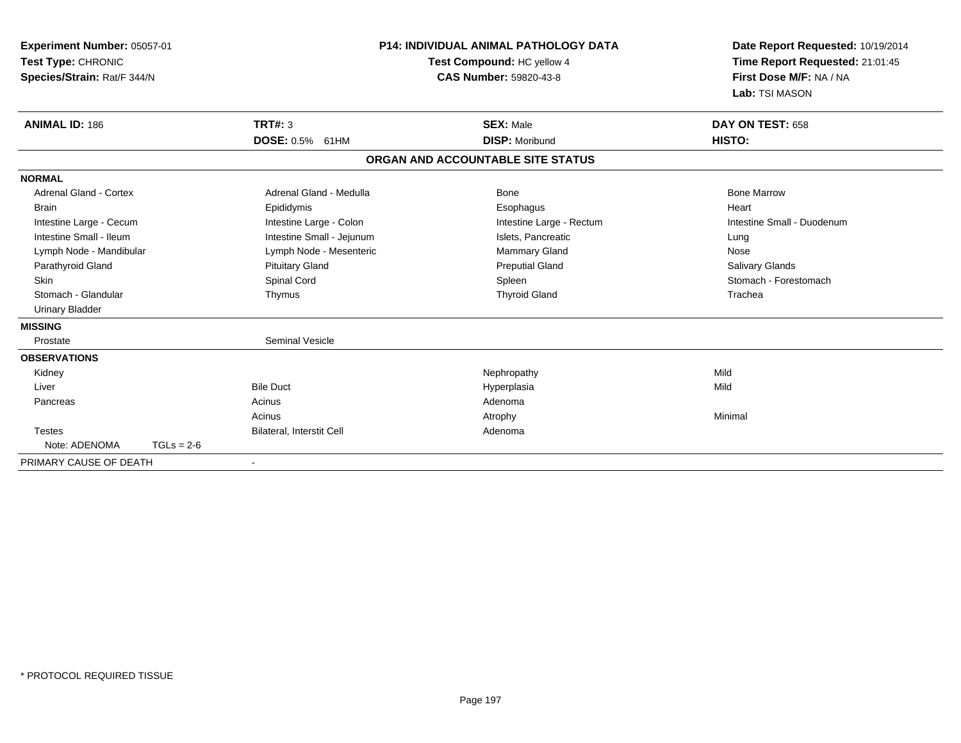| Experiment Number: 05057-01<br>Test Type: CHRONIC<br>Species/Strain: Rat/F 344/N |                           | P14: INDIVIDUAL ANIMAL PATHOLOGY DATA<br>Test Compound: HC yellow 4<br><b>CAS Number: 59820-43-8</b> |                                   | Date Report Requested: 10/19/2014<br>Time Report Requested: 21:01:45<br>First Dose M/F: NA / NA<br>Lab: TSI MASON |  |
|----------------------------------------------------------------------------------|---------------------------|------------------------------------------------------------------------------------------------------|-----------------------------------|-------------------------------------------------------------------------------------------------------------------|--|
| <b>ANIMAL ID: 186</b>                                                            | <b>TRT#: 3</b>            |                                                                                                      | <b>SEX: Male</b>                  | DAY ON TEST: 658                                                                                                  |  |
|                                                                                  | DOSE: 0.5% 61HM           |                                                                                                      | <b>DISP: Moribund</b>             | HISTO:                                                                                                            |  |
|                                                                                  |                           |                                                                                                      | ORGAN AND ACCOUNTABLE SITE STATUS |                                                                                                                   |  |
| <b>NORMAL</b>                                                                    |                           |                                                                                                      |                                   |                                                                                                                   |  |
| <b>Adrenal Gland - Cortex</b>                                                    | Adrenal Gland - Medulla   |                                                                                                      | <b>Bone</b>                       | <b>Bone Marrow</b>                                                                                                |  |
| <b>Brain</b>                                                                     | Epididymis                |                                                                                                      | Esophagus                         | Heart                                                                                                             |  |
| Intestine Large - Cecum                                                          | Intestine Large - Colon   |                                                                                                      | Intestine Large - Rectum          | Intestine Small - Duodenum                                                                                        |  |
| Intestine Small - Ileum                                                          | Intestine Small - Jejunum |                                                                                                      | Islets, Pancreatic                | Lung                                                                                                              |  |
| Lymph Node - Mandibular                                                          | Lymph Node - Mesenteric   |                                                                                                      | Mammary Gland                     | Nose                                                                                                              |  |
| Parathyroid Gland                                                                | <b>Pituitary Gland</b>    |                                                                                                      | <b>Preputial Gland</b>            | Salivary Glands                                                                                                   |  |
| <b>Skin</b>                                                                      | Spinal Cord               |                                                                                                      | Spleen                            | Stomach - Forestomach                                                                                             |  |
| Stomach - Glandular                                                              | Thymus                    |                                                                                                      | <b>Thyroid Gland</b>              | Trachea                                                                                                           |  |
| <b>Urinary Bladder</b>                                                           |                           |                                                                                                      |                                   |                                                                                                                   |  |
| <b>MISSING</b>                                                                   |                           |                                                                                                      |                                   |                                                                                                                   |  |
| Prostate                                                                         | <b>Seminal Vesicle</b>    |                                                                                                      |                                   |                                                                                                                   |  |
| <b>OBSERVATIONS</b>                                                              |                           |                                                                                                      |                                   |                                                                                                                   |  |
| Kidney                                                                           |                           |                                                                                                      | Nephropathy                       | Mild                                                                                                              |  |
| Liver                                                                            | <b>Bile Duct</b>          |                                                                                                      | Hyperplasia                       | Mild                                                                                                              |  |
| Pancreas                                                                         | Acinus                    |                                                                                                      | Adenoma                           |                                                                                                                   |  |
|                                                                                  | Acinus                    |                                                                                                      | Atrophy                           | Minimal                                                                                                           |  |
| <b>Testes</b>                                                                    | Bilateral, Interstit Cell |                                                                                                      | Adenoma                           |                                                                                                                   |  |
| Note: ADENOMA                                                                    | $TGLs = 2-6$              |                                                                                                      |                                   |                                                                                                                   |  |
| PRIMARY CAUSE OF DEATH                                                           | $\blacksquare$            |                                                                                                      |                                   |                                                                                                                   |  |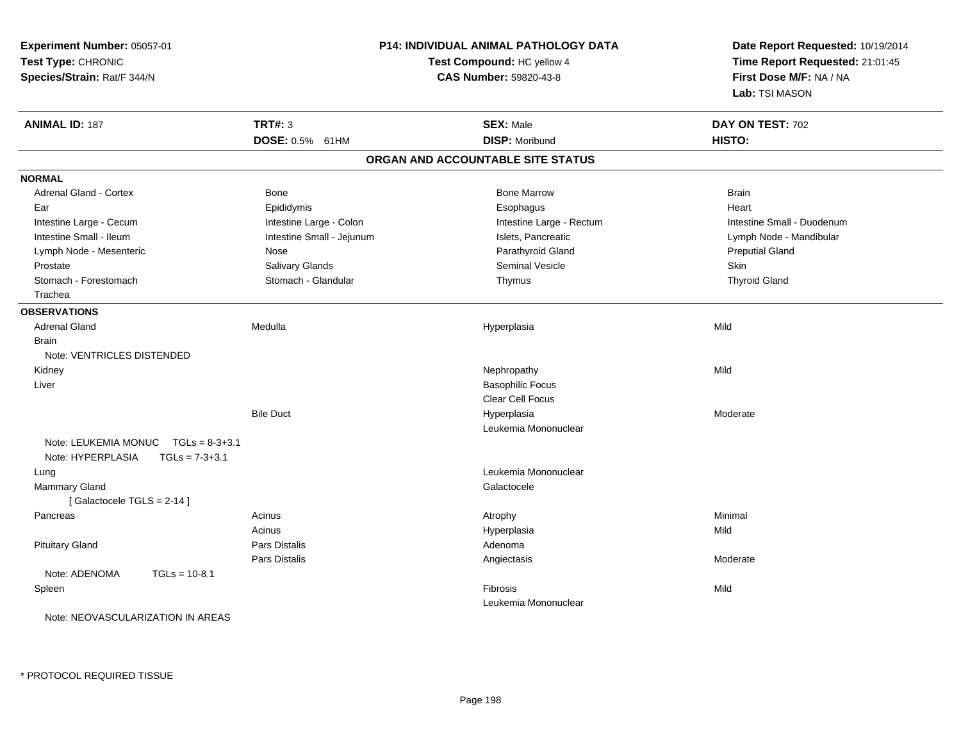| Experiment Number: 05057-01<br>Test Type: CHRONIC                                 |                           | <b>P14: INDIVIDUAL ANIMAL PATHOLOGY DATA</b><br>Test Compound: HC yellow 4 | Date Report Requested: 10/19/2014<br>Time Report Requested: 21:01:45<br>First Dose M/F: NA / NA<br>Lab: TSI MASON |  |
|-----------------------------------------------------------------------------------|---------------------------|----------------------------------------------------------------------------|-------------------------------------------------------------------------------------------------------------------|--|
| Species/Strain: Rat/F 344/N                                                       |                           | <b>CAS Number: 59820-43-8</b>                                              |                                                                                                                   |  |
| <b>ANIMAL ID: 187</b>                                                             | <b>TRT#: 3</b>            | <b>SEX: Male</b>                                                           | DAY ON TEST: 702                                                                                                  |  |
|                                                                                   | DOSE: 0.5% 61HM           | <b>DISP: Moribund</b>                                                      | HISTO:                                                                                                            |  |
|                                                                                   |                           | ORGAN AND ACCOUNTABLE SITE STATUS                                          |                                                                                                                   |  |
| <b>NORMAL</b>                                                                     |                           |                                                                            |                                                                                                                   |  |
| <b>Adrenal Gland - Cortex</b>                                                     | Bone                      | <b>Bone Marrow</b>                                                         | <b>Brain</b>                                                                                                      |  |
| Ear                                                                               | Epididymis                | Esophagus                                                                  | Heart                                                                                                             |  |
| Intestine Large - Cecum                                                           | Intestine Large - Colon   | Intestine Large - Rectum                                                   | Intestine Small - Duodenum                                                                                        |  |
| Intestine Small - Ileum                                                           | Intestine Small - Jejunum | Islets, Pancreatic                                                         | Lymph Node - Mandibular                                                                                           |  |
| Lymph Node - Mesenteric                                                           | Nose                      | Parathyroid Gland                                                          | <b>Preputial Gland</b>                                                                                            |  |
| Prostate                                                                          | Salivary Glands           | <b>Seminal Vesicle</b>                                                     | <b>Skin</b>                                                                                                       |  |
| Stomach - Forestomach                                                             | Stomach - Glandular       | Thymus                                                                     | <b>Thyroid Gland</b>                                                                                              |  |
| Trachea                                                                           |                           |                                                                            |                                                                                                                   |  |
| <b>OBSERVATIONS</b>                                                               |                           |                                                                            |                                                                                                                   |  |
| <b>Adrenal Gland</b>                                                              | Medulla                   | Hyperplasia                                                                | Mild                                                                                                              |  |
| <b>Brain</b>                                                                      |                           |                                                                            |                                                                                                                   |  |
| Note: VENTRICLES DISTENDED                                                        |                           |                                                                            |                                                                                                                   |  |
| Kidney                                                                            |                           | Nephropathy                                                                | Mild                                                                                                              |  |
| Liver                                                                             |                           | <b>Basophilic Focus</b>                                                    |                                                                                                                   |  |
|                                                                                   |                           | Clear Cell Focus                                                           |                                                                                                                   |  |
|                                                                                   | <b>Bile Duct</b>          | Hyperplasia                                                                | Moderate                                                                                                          |  |
|                                                                                   |                           | Leukemia Mononuclear                                                       |                                                                                                                   |  |
| Note: LEUKEMIA MONUC<br>$TGLs = 8-3+3.1$<br>Note: HYPERPLASIA<br>$TGLs = 7-3+3.1$ |                           |                                                                            |                                                                                                                   |  |
| Lung                                                                              |                           | Leukemia Mononuclear                                                       |                                                                                                                   |  |
| Mammary Gland                                                                     |                           | Galactocele                                                                |                                                                                                                   |  |
| [Galactocele TGLS = 2-14]                                                         |                           |                                                                            |                                                                                                                   |  |
| Pancreas                                                                          | Acinus                    | Atrophy                                                                    | Minimal                                                                                                           |  |
|                                                                                   | Acinus                    | Hyperplasia                                                                | Mild                                                                                                              |  |
| <b>Pituitary Gland</b>                                                            | Pars Distalis             | Adenoma                                                                    |                                                                                                                   |  |
|                                                                                   | Pars Distalis             | Angiectasis                                                                | Moderate                                                                                                          |  |
| Note: ADENOMA<br>$TGLs = 10-8.1$                                                  |                           |                                                                            |                                                                                                                   |  |
| Spleen                                                                            |                           | Fibrosis                                                                   | Mild                                                                                                              |  |
|                                                                                   |                           | Leukemia Mononuclear                                                       |                                                                                                                   |  |
| Note: NEOVASCULARIZATION IN AREAS                                                 |                           |                                                                            |                                                                                                                   |  |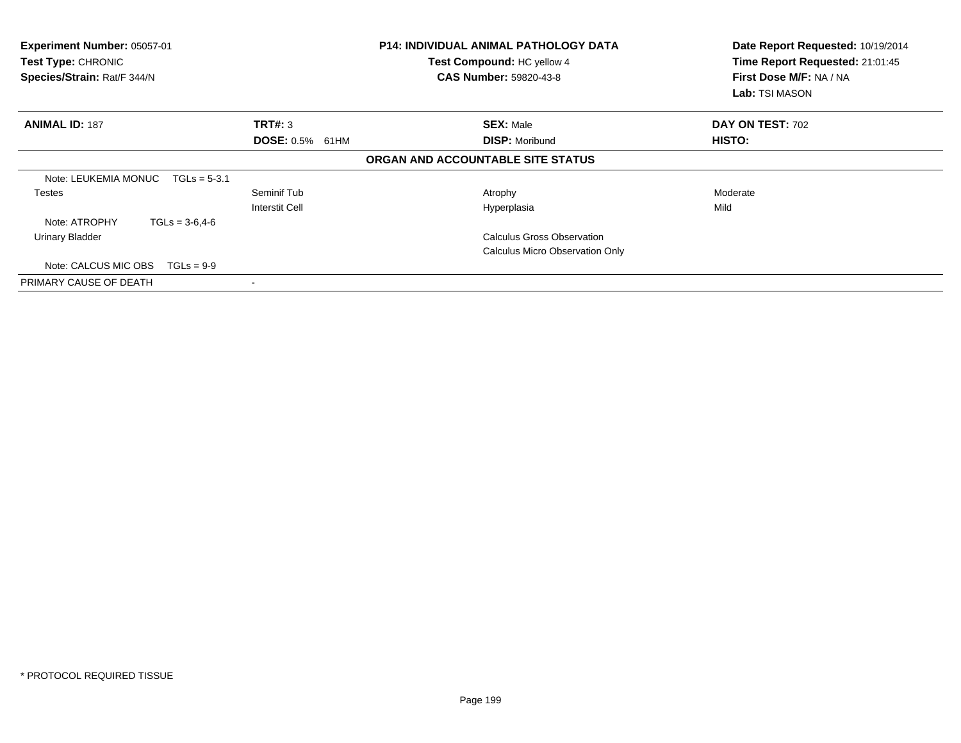| Experiment Number: 05057-01<br>Test Type: CHRONIC<br>Species/Strain: Rat/F 344/N |                        | <b>P14: INDIVIDUAL ANIMAL PATHOLOGY DATA</b><br>Test Compound: HC yellow 4<br><b>CAS Number: 59820-43-8</b> | Date Report Requested: 10/19/2014<br>Time Report Requested: 21:01:45<br>First Dose M/F: NA / NA<br>Lab: TSI MASON |
|----------------------------------------------------------------------------------|------------------------|-------------------------------------------------------------------------------------------------------------|-------------------------------------------------------------------------------------------------------------------|
| <b>ANIMAL ID: 187</b>                                                            | TRT#: 3                | <b>SEX: Male</b>                                                                                            | DAY ON TEST: 702                                                                                                  |
|                                                                                  | <b>DOSE: 0.5% 61HM</b> | <b>DISP: Moribund</b>                                                                                       | HISTO:                                                                                                            |
|                                                                                  |                        | ORGAN AND ACCOUNTABLE SITE STATUS                                                                           |                                                                                                                   |
| Note: LEUKEMIA MONUC<br>$TGLs = 5-3.1$                                           |                        |                                                                                                             |                                                                                                                   |
| <b>Testes</b>                                                                    | Seminif Tub            | Atrophy                                                                                                     | Moderate                                                                                                          |
|                                                                                  | <b>Interstit Cell</b>  | Hyperplasia                                                                                                 | Mild                                                                                                              |
| Note: ATROPHY<br>$TGLs = 3-6, 4-6$                                               |                        |                                                                                                             |                                                                                                                   |
| Urinary Bladder                                                                  |                        | <b>Calculus Gross Observation</b>                                                                           |                                                                                                                   |
|                                                                                  |                        | <b>Calculus Micro Observation Only</b>                                                                      |                                                                                                                   |
| Note: CALCUS MIC OBS<br>$TGLs = 9-9$                                             |                        |                                                                                                             |                                                                                                                   |
| PRIMARY CAUSE OF DEATH                                                           |                        |                                                                                                             |                                                                                                                   |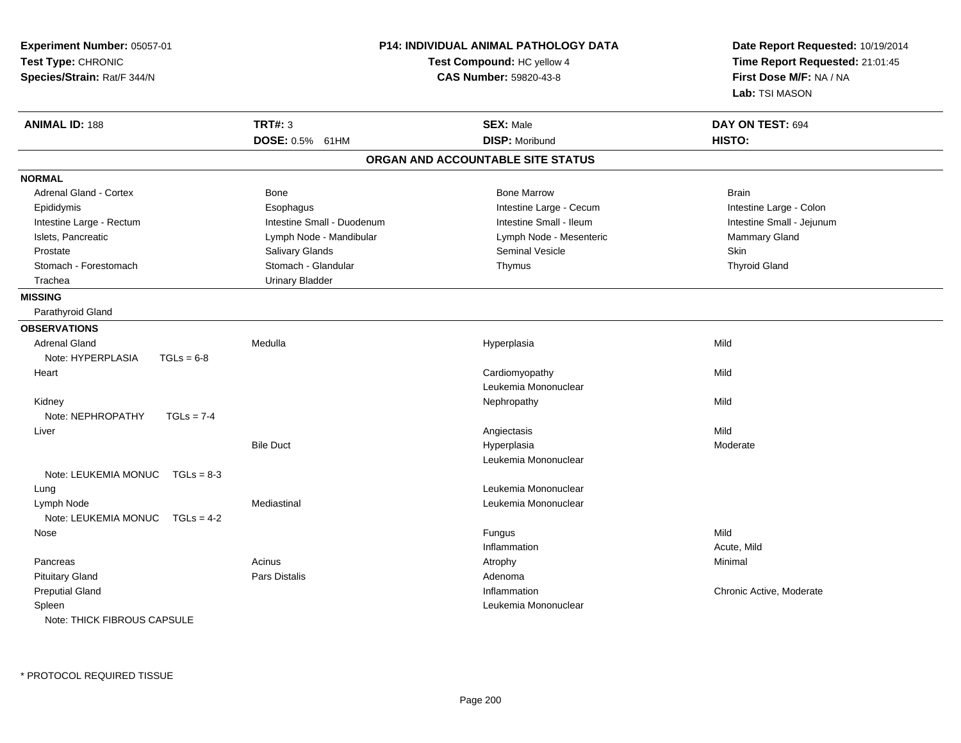| Experiment Number: 05057-01<br>Test Type: CHRONIC<br>Species/Strain: Rat/F 344/N | P14: INDIVIDUAL ANIMAL PATHOLOGY DATA<br>Test Compound: HC yellow 4<br>CAS Number: 59820-43-8 |                                   | Date Report Requested: 10/19/2014<br>Time Report Requested: 21:01:45<br>First Dose M/F: NA / NA<br>Lab: TSI MASON |  |
|----------------------------------------------------------------------------------|-----------------------------------------------------------------------------------------------|-----------------------------------|-------------------------------------------------------------------------------------------------------------------|--|
| <b>ANIMAL ID: 188</b>                                                            | <b>TRT#: 3</b>                                                                                | <b>SEX: Male</b>                  | DAY ON TEST: 694                                                                                                  |  |
|                                                                                  | DOSE: 0.5% 61HM                                                                               | <b>DISP: Moribund</b>             | HISTO:                                                                                                            |  |
|                                                                                  |                                                                                               | ORGAN AND ACCOUNTABLE SITE STATUS |                                                                                                                   |  |
| <b>NORMAL</b>                                                                    |                                                                                               |                                   |                                                                                                                   |  |
| <b>Adrenal Gland - Cortex</b>                                                    | Bone                                                                                          | <b>Bone Marrow</b>                | <b>Brain</b>                                                                                                      |  |
| Epididymis                                                                       | Esophagus                                                                                     | Intestine Large - Cecum           | Intestine Large - Colon                                                                                           |  |
| Intestine Large - Rectum                                                         | Intestine Small - Duodenum                                                                    | Intestine Small - Ileum           | Intestine Small - Jejunum                                                                                         |  |
| Islets, Pancreatic                                                               | Lymph Node - Mandibular                                                                       | Lymph Node - Mesenteric           | Mammary Gland                                                                                                     |  |
| Prostate                                                                         | Salivary Glands                                                                               | <b>Seminal Vesicle</b>            | Skin                                                                                                              |  |
| Stomach - Forestomach                                                            | Stomach - Glandular                                                                           | Thymus                            | <b>Thyroid Gland</b>                                                                                              |  |
| Trachea                                                                          | <b>Urinary Bladder</b>                                                                        |                                   |                                                                                                                   |  |
| <b>MISSING</b>                                                                   |                                                                                               |                                   |                                                                                                                   |  |
| Parathyroid Gland                                                                |                                                                                               |                                   |                                                                                                                   |  |
| <b>OBSERVATIONS</b>                                                              |                                                                                               |                                   |                                                                                                                   |  |
| <b>Adrenal Gland</b>                                                             | Medulla                                                                                       | Hyperplasia                       | Mild                                                                                                              |  |
| Note: HYPERPLASIA<br>$TGLs = 6-8$                                                |                                                                                               |                                   |                                                                                                                   |  |
| Heart                                                                            |                                                                                               | Cardiomyopathy                    | Mild                                                                                                              |  |
|                                                                                  |                                                                                               | Leukemia Mononuclear              |                                                                                                                   |  |
| Kidney                                                                           |                                                                                               | Nephropathy                       | Mild                                                                                                              |  |
| Note: NEPHROPATHY<br>$TGLs = 7-4$                                                |                                                                                               |                                   |                                                                                                                   |  |
| Liver                                                                            |                                                                                               | Angiectasis                       | Mild                                                                                                              |  |
|                                                                                  | <b>Bile Duct</b>                                                                              | Hyperplasia                       | Moderate                                                                                                          |  |
|                                                                                  |                                                                                               | Leukemia Mononuclear              |                                                                                                                   |  |
| Note: LEUKEMIA MONUC $TGLs = 8-3$                                                |                                                                                               |                                   |                                                                                                                   |  |
| Lung                                                                             |                                                                                               | Leukemia Mononuclear              |                                                                                                                   |  |
| Lymph Node                                                                       | Mediastinal                                                                                   | Leukemia Mononuclear              |                                                                                                                   |  |
| Note: LEUKEMIA MONUC TGLs = 4-2                                                  |                                                                                               |                                   |                                                                                                                   |  |
| Nose                                                                             |                                                                                               | Fungus                            | Mild                                                                                                              |  |
|                                                                                  |                                                                                               | Inflammation                      | Acute, Mild                                                                                                       |  |
| Pancreas                                                                         | Acinus                                                                                        | Atrophy                           | Minimal                                                                                                           |  |
| <b>Pituitary Gland</b>                                                           | <b>Pars Distalis</b>                                                                          | Adenoma                           |                                                                                                                   |  |
| <b>Preputial Gland</b>                                                           |                                                                                               | Inflammation                      | Chronic Active, Moderate                                                                                          |  |
| Spleen                                                                           |                                                                                               | Leukemia Mononuclear              |                                                                                                                   |  |
| Note: THICK FIBROUS CAPSULE                                                      |                                                                                               |                                   |                                                                                                                   |  |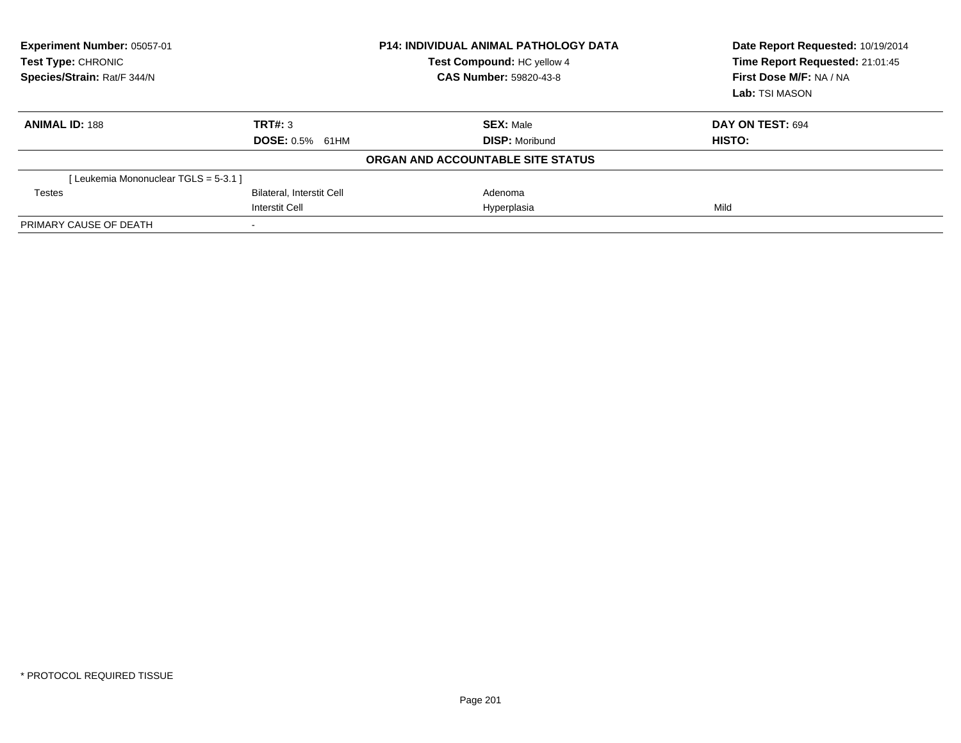| Experiment Number: 05057-01<br><b>Test Type: CHRONIC</b><br>Species/Strain: Rat/F 344/N |                                  | <b>P14: INDIVIDUAL ANIMAL PATHOLOGY DATA</b><br>Test Compound: HC yellow 4<br><b>CAS Number: 59820-43-8</b> | Date Report Requested: 10/19/2014<br>Time Report Requested: 21:01:45<br>First Dose M/F: NA / NA<br>Lab: TSI MASON |
|-----------------------------------------------------------------------------------------|----------------------------------|-------------------------------------------------------------------------------------------------------------|-------------------------------------------------------------------------------------------------------------------|
| <b>ANIMAL ID: 188</b>                                                                   | TRT#: 3                          | <b>SEX: Male</b>                                                                                            | DAY ON TEST: 694                                                                                                  |
|                                                                                         | <b>DOSE: 0.5%</b><br>61HM        | <b>DISP:</b> Moribund                                                                                       | <b>HISTO:</b>                                                                                                     |
|                                                                                         |                                  | ORGAN AND ACCOUNTABLE SITE STATUS                                                                           |                                                                                                                   |
| [Leukemia Mononuclear TGLS = 5-3.1 ]                                                    |                                  |                                                                                                             |                                                                                                                   |
| <b>Testes</b>                                                                           | <b>Bilateral, Interstit Cell</b> | Adenoma                                                                                                     |                                                                                                                   |
|                                                                                         | <b>Interstit Cell</b>            | Hyperplasia                                                                                                 | Mild                                                                                                              |
| PRIMARY CAUSE OF DEATH                                                                  |                                  |                                                                                                             |                                                                                                                   |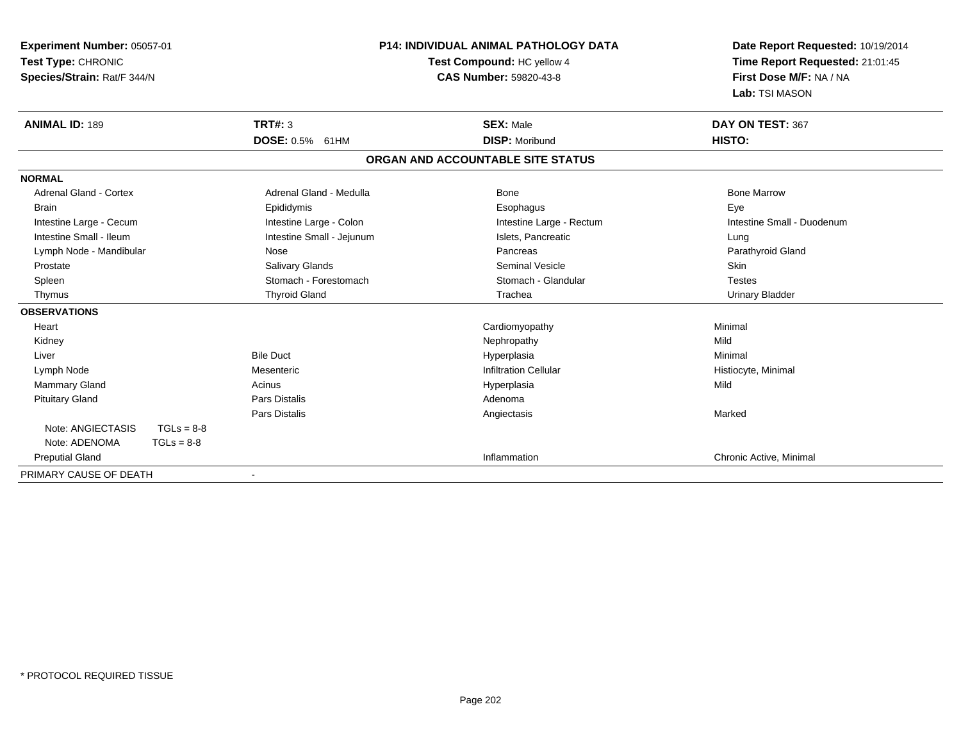| Experiment Number: 05057-01       |                           | <b>P14: INDIVIDUAL ANIMAL PATHOLOGY DATA</b> | Date Report Requested: 10/19/2014 |  |
|-----------------------------------|---------------------------|----------------------------------------------|-----------------------------------|--|
| Test Type: CHRONIC                |                           | Test Compound: HC yellow 4                   | Time Report Requested: 21:01:45   |  |
| Species/Strain: Rat/F 344/N       |                           | <b>CAS Number: 59820-43-8</b>                | First Dose M/F: NA / NA           |  |
|                                   |                           |                                              | Lab: TSI MASON                    |  |
| <b>ANIMAL ID: 189</b>             | <b>TRT#: 3</b>            | <b>SEX: Male</b>                             | DAY ON TEST: 367                  |  |
|                                   | DOSE: 0.5% 61HM           | <b>DISP: Moribund</b>                        | HISTO:                            |  |
|                                   |                           | ORGAN AND ACCOUNTABLE SITE STATUS            |                                   |  |
| <b>NORMAL</b>                     |                           |                                              |                                   |  |
| <b>Adrenal Gland - Cortex</b>     | Adrenal Gland - Medulla   | <b>Bone</b>                                  | <b>Bone Marrow</b>                |  |
| <b>Brain</b>                      | Epididymis                | Esophagus                                    | Eye                               |  |
| Intestine Large - Cecum           | Intestine Large - Colon   | Intestine Large - Rectum                     | Intestine Small - Duodenum        |  |
| Intestine Small - Ileum           | Intestine Small - Jejunum | Islets, Pancreatic                           | Lung                              |  |
| Lymph Node - Mandibular           | Nose                      | Pancreas                                     | Parathyroid Gland                 |  |
| Prostate                          | Salivary Glands           | <b>Seminal Vesicle</b>                       | <b>Skin</b>                       |  |
| Spleen                            | Stomach - Forestomach     | Stomach - Glandular                          | <b>Testes</b>                     |  |
| Thymus                            | <b>Thyroid Gland</b>      | Trachea                                      | <b>Urinary Bladder</b>            |  |
| <b>OBSERVATIONS</b>               |                           |                                              |                                   |  |
| Heart                             |                           | Cardiomyopathy                               | Minimal                           |  |
| Kidney                            |                           | Nephropathy                                  | Mild                              |  |
| Liver                             | <b>Bile Duct</b>          | Hyperplasia                                  | Minimal                           |  |
| Lymph Node                        | Mesenteric                | <b>Infiltration Cellular</b>                 | Histiocyte, Minimal               |  |
| Mammary Gland                     | Acinus                    | Hyperplasia                                  | Mild                              |  |
| <b>Pituitary Gland</b>            | Pars Distalis             | Adenoma                                      |                                   |  |
|                                   | Pars Distalis             | Angiectasis                                  | Marked                            |  |
| Note: ANGIECTASIS<br>$TGLs = 8-8$ |                           |                                              |                                   |  |
| Note: ADENOMA<br>$TGLs = 8-8$     |                           |                                              |                                   |  |
| <b>Preputial Gland</b>            |                           | Inflammation                                 | Chronic Active, Minimal           |  |
| PRIMARY CAUSE OF DEATH            |                           |                                              |                                   |  |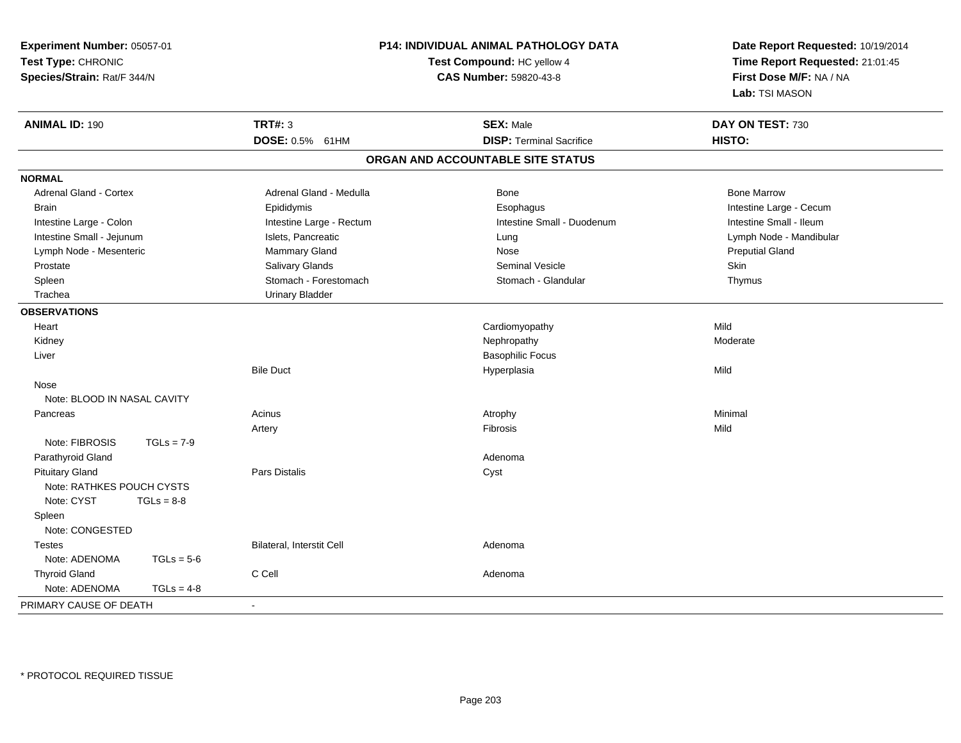| Experiment Number: 05057-01<br>Test Type: CHRONIC<br>Species/Strain: Rat/F 344/N | <b>P14: INDIVIDUAL ANIMAL PATHOLOGY DATA</b><br>Test Compound: HC yellow 4<br>CAS Number: 59820-43-8 |                                   | Date Report Requested: 10/19/2014<br>Time Report Requested: 21:01:45<br>First Dose M/F: NA / NA<br>Lab: TSI MASON |  |
|----------------------------------------------------------------------------------|------------------------------------------------------------------------------------------------------|-----------------------------------|-------------------------------------------------------------------------------------------------------------------|--|
| <b>ANIMAL ID: 190</b>                                                            | <b>TRT#: 3</b>                                                                                       | <b>SEX: Male</b>                  | DAY ON TEST: 730                                                                                                  |  |
|                                                                                  | <b>DOSE: 0.5%</b><br>61HM                                                                            | <b>DISP: Terminal Sacrifice</b>   | HISTO:                                                                                                            |  |
|                                                                                  |                                                                                                      | ORGAN AND ACCOUNTABLE SITE STATUS |                                                                                                                   |  |
| <b>NORMAL</b>                                                                    |                                                                                                      |                                   |                                                                                                                   |  |
| <b>Adrenal Gland - Cortex</b>                                                    | Adrenal Gland - Medulla                                                                              | Bone                              | <b>Bone Marrow</b>                                                                                                |  |
| <b>Brain</b>                                                                     | Epididymis                                                                                           | Esophagus                         | Intestine Large - Cecum                                                                                           |  |
| Intestine Large - Colon                                                          | Intestine Large - Rectum                                                                             | Intestine Small - Duodenum        | Intestine Small - Ileum                                                                                           |  |
| Intestine Small - Jejunum                                                        | Islets, Pancreatic                                                                                   | Lung                              | Lymph Node - Mandibular                                                                                           |  |
| Lymph Node - Mesenteric                                                          | Mammary Gland                                                                                        | Nose                              | <b>Preputial Gland</b>                                                                                            |  |
| Prostate                                                                         | Salivary Glands                                                                                      | <b>Seminal Vesicle</b>            | Skin                                                                                                              |  |
| Spleen                                                                           | Stomach - Forestomach                                                                                | Stomach - Glandular               | Thymus                                                                                                            |  |
| Trachea                                                                          | <b>Urinary Bladder</b>                                                                               |                                   |                                                                                                                   |  |
| <b>OBSERVATIONS</b>                                                              |                                                                                                      |                                   |                                                                                                                   |  |
| Heart                                                                            |                                                                                                      | Cardiomyopathy                    | Mild                                                                                                              |  |
| Kidney                                                                           |                                                                                                      | Nephropathy                       | Moderate                                                                                                          |  |
| Liver                                                                            |                                                                                                      | <b>Basophilic Focus</b>           |                                                                                                                   |  |
|                                                                                  | <b>Bile Duct</b>                                                                                     | Hyperplasia                       | Mild                                                                                                              |  |
| Nose                                                                             |                                                                                                      |                                   |                                                                                                                   |  |
| Note: BLOOD IN NASAL CAVITY                                                      |                                                                                                      |                                   |                                                                                                                   |  |
| Pancreas                                                                         | Acinus                                                                                               | Atrophy                           | Minimal                                                                                                           |  |
|                                                                                  | Artery                                                                                               | Fibrosis                          | Mild                                                                                                              |  |
| Note: FIBROSIS<br>$TGLs = 7-9$                                                   |                                                                                                      |                                   |                                                                                                                   |  |
| Parathyroid Gland                                                                |                                                                                                      | Adenoma                           |                                                                                                                   |  |
| <b>Pituitary Gland</b>                                                           | Pars Distalis                                                                                        | Cyst                              |                                                                                                                   |  |
| Note: RATHKES POUCH CYSTS                                                        |                                                                                                      |                                   |                                                                                                                   |  |
| Note: CYST<br>$TGLs = 8-8$                                                       |                                                                                                      |                                   |                                                                                                                   |  |
| Spleen                                                                           |                                                                                                      |                                   |                                                                                                                   |  |
| Note: CONGESTED                                                                  |                                                                                                      |                                   |                                                                                                                   |  |
| <b>Testes</b>                                                                    | Bilateral, Interstit Cell                                                                            | Adenoma                           |                                                                                                                   |  |
| Note: ADENOMA<br>$TGLs = 5-6$                                                    |                                                                                                      |                                   |                                                                                                                   |  |
| <b>Thyroid Gland</b>                                                             | C Cell                                                                                               | Adenoma                           |                                                                                                                   |  |
| Note: ADENOMA<br>$TGLs = 4-8$                                                    |                                                                                                      |                                   |                                                                                                                   |  |
| PRIMARY CAUSE OF DEATH                                                           | $\blacksquare$                                                                                       |                                   |                                                                                                                   |  |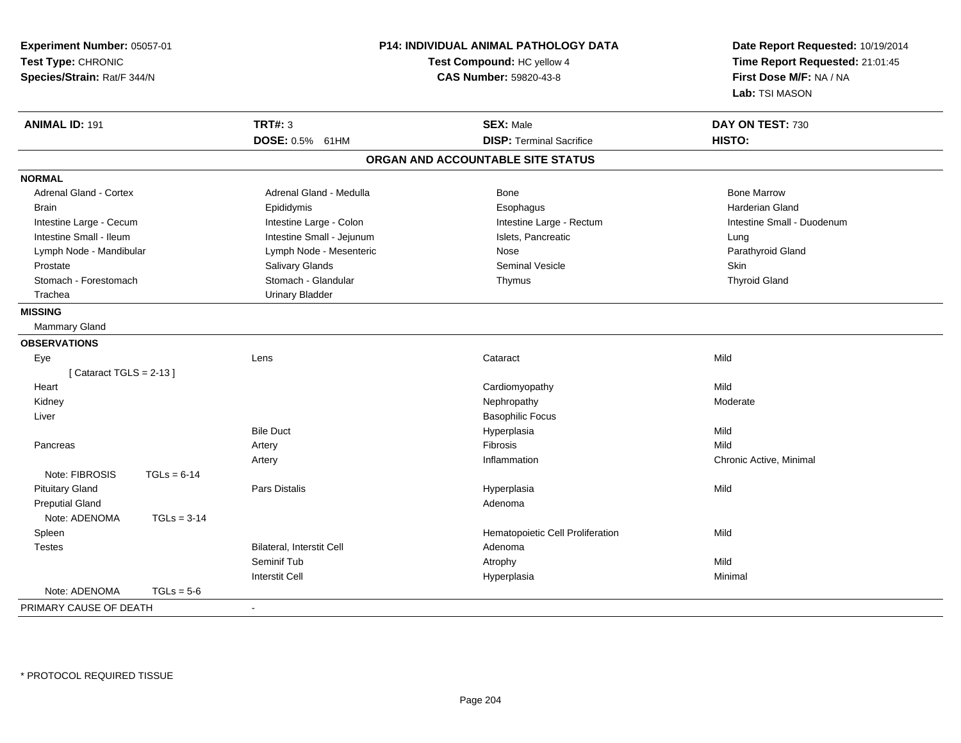| Experiment Number: 05057-01<br>Test Type: CHRONIC<br>Species/Strain: Rat/F 344/N |                                  | P14: INDIVIDUAL ANIMAL PATHOLOGY DATA<br>Test Compound: HC yellow 4<br><b>CAS Number: 59820-43-8</b> | Date Report Requested: 10/19/2014<br>Time Report Requested: 21:01:45<br>First Dose M/F: NA / NA<br>Lab: TSI MASON |  |
|----------------------------------------------------------------------------------|----------------------------------|------------------------------------------------------------------------------------------------------|-------------------------------------------------------------------------------------------------------------------|--|
| <b>ANIMAL ID: 191</b>                                                            | <b>TRT#: 3</b>                   | <b>SEX: Male</b>                                                                                     | DAY ON TEST: 730                                                                                                  |  |
|                                                                                  | DOSE: 0.5% 61HM                  | <b>DISP: Terminal Sacrifice</b>                                                                      | HISTO:                                                                                                            |  |
|                                                                                  |                                  | ORGAN AND ACCOUNTABLE SITE STATUS                                                                    |                                                                                                                   |  |
| <b>NORMAL</b>                                                                    |                                  |                                                                                                      |                                                                                                                   |  |
| <b>Adrenal Gland - Cortex</b>                                                    | Adrenal Gland - Medulla          | Bone                                                                                                 | <b>Bone Marrow</b>                                                                                                |  |
| <b>Brain</b>                                                                     | Epididymis                       | Esophagus                                                                                            | <b>Harderian Gland</b>                                                                                            |  |
| Intestine Large - Cecum                                                          | Intestine Large - Colon          | Intestine Large - Rectum                                                                             | Intestine Small - Duodenum                                                                                        |  |
| Intestine Small - Ileum                                                          | Intestine Small - Jejunum        | Islets, Pancreatic                                                                                   | Lung                                                                                                              |  |
| Lymph Node - Mandibular                                                          | Lymph Node - Mesenteric          | Nose                                                                                                 | Parathyroid Gland                                                                                                 |  |
| Prostate                                                                         | Salivary Glands                  | <b>Seminal Vesicle</b>                                                                               | Skin                                                                                                              |  |
| Stomach - Forestomach                                                            | Stomach - Glandular              | Thymus                                                                                               | <b>Thyroid Gland</b>                                                                                              |  |
| Trachea                                                                          | <b>Urinary Bladder</b>           |                                                                                                      |                                                                                                                   |  |
| <b>MISSING</b>                                                                   |                                  |                                                                                                      |                                                                                                                   |  |
| Mammary Gland                                                                    |                                  |                                                                                                      |                                                                                                                   |  |
| <b>OBSERVATIONS</b>                                                              |                                  |                                                                                                      |                                                                                                                   |  |
| Eye                                                                              | Lens                             | Cataract                                                                                             | Mild                                                                                                              |  |
| [Cataract TGLS = $2-13$ ]                                                        |                                  |                                                                                                      |                                                                                                                   |  |
| Heart                                                                            |                                  | Cardiomyopathy                                                                                       | Mild                                                                                                              |  |
| Kidney                                                                           |                                  | Nephropathy                                                                                          | Moderate                                                                                                          |  |
| Liver                                                                            |                                  | <b>Basophilic Focus</b>                                                                              |                                                                                                                   |  |
|                                                                                  | <b>Bile Duct</b>                 | Hyperplasia                                                                                          | Mild                                                                                                              |  |
| Pancreas                                                                         | Artery                           | Fibrosis                                                                                             | Mild                                                                                                              |  |
|                                                                                  | Artery                           | Inflammation                                                                                         | Chronic Active, Minimal                                                                                           |  |
| Note: FIBROSIS<br>$TGLs = 6-14$                                                  |                                  |                                                                                                      |                                                                                                                   |  |
| <b>Pituitary Gland</b>                                                           | <b>Pars Distalis</b>             | Hyperplasia                                                                                          | Mild                                                                                                              |  |
| <b>Preputial Gland</b>                                                           |                                  | Adenoma                                                                                              |                                                                                                                   |  |
| Note: ADENOMA<br>$TGLs = 3-14$                                                   |                                  |                                                                                                      |                                                                                                                   |  |
| Spleen                                                                           |                                  | Hematopoietic Cell Proliferation                                                                     | Mild                                                                                                              |  |
| <b>Testes</b>                                                                    | <b>Bilateral, Interstit Cell</b> | Adenoma                                                                                              |                                                                                                                   |  |
|                                                                                  | Seminif Tub                      | Atrophy                                                                                              | Mild                                                                                                              |  |
|                                                                                  | <b>Interstit Cell</b>            | Hyperplasia                                                                                          | Minimal                                                                                                           |  |
| Note: ADENOMA<br>$TGLs = 5-6$                                                    |                                  |                                                                                                      |                                                                                                                   |  |
| PRIMARY CAUSE OF DEATH                                                           | $\sim$                           |                                                                                                      |                                                                                                                   |  |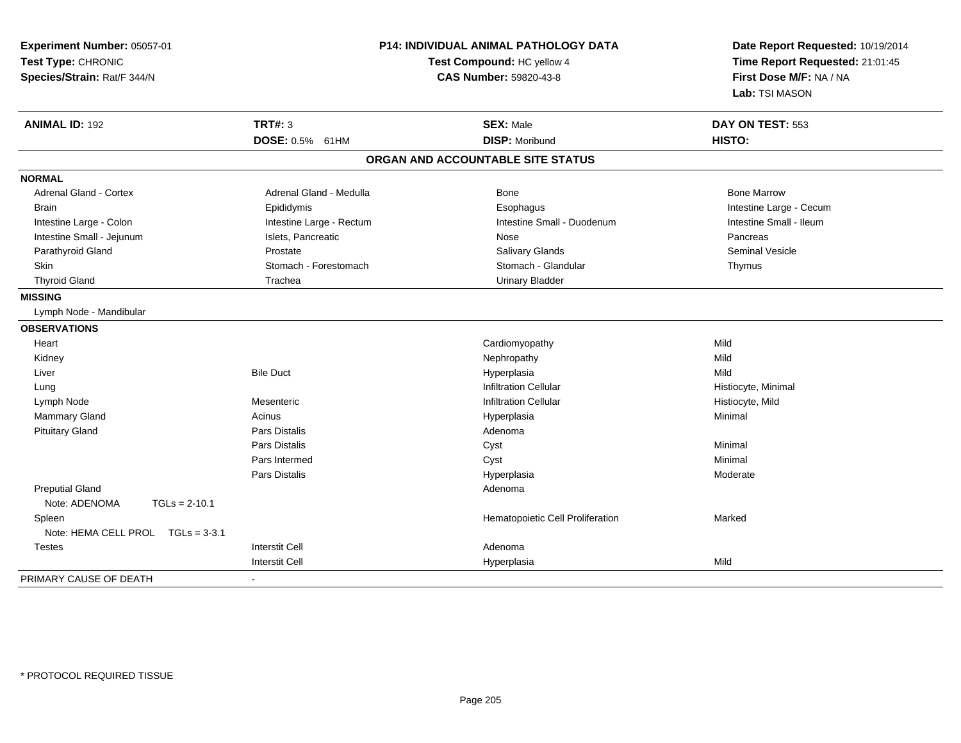| Experiment Number: 05057-01<br>Test Type: CHRONIC<br>Species/Strain: Rat/F 344/N |                          | P14: INDIVIDUAL ANIMAL PATHOLOGY DATA<br>Test Compound: HC yellow 4<br>CAS Number: 59820-43-8 | Date Report Requested: 10/19/2014<br>Time Report Requested: 21:01:45<br>First Dose M/F: NA / NA<br>Lab: TSI MASON |
|----------------------------------------------------------------------------------|--------------------------|-----------------------------------------------------------------------------------------------|-------------------------------------------------------------------------------------------------------------------|
| <b>ANIMAL ID: 192</b>                                                            | <b>TRT#: 3</b>           | <b>SEX: Male</b>                                                                              | DAY ON TEST: 553                                                                                                  |
|                                                                                  | DOSE: 0.5% 61HM          | <b>DISP: Moribund</b>                                                                         | HISTO:                                                                                                            |
|                                                                                  |                          | ORGAN AND ACCOUNTABLE SITE STATUS                                                             |                                                                                                                   |
| <b>NORMAL</b>                                                                    |                          |                                                                                               |                                                                                                                   |
| <b>Adrenal Gland - Cortex</b>                                                    | Adrenal Gland - Medulla  | <b>Bone</b>                                                                                   | <b>Bone Marrow</b>                                                                                                |
| <b>Brain</b>                                                                     | Epididymis               | Esophagus                                                                                     | Intestine Large - Cecum                                                                                           |
| Intestine Large - Colon                                                          | Intestine Large - Rectum | Intestine Small - Duodenum                                                                    | Intestine Small - Ileum                                                                                           |
| Intestine Small - Jejunum                                                        | Islets, Pancreatic       | Nose                                                                                          | Pancreas                                                                                                          |
| Parathyroid Gland                                                                | Prostate                 | Salivary Glands                                                                               | Seminal Vesicle                                                                                                   |
| <b>Skin</b>                                                                      | Stomach - Forestomach    | Stomach - Glandular                                                                           | Thymus                                                                                                            |
| <b>Thyroid Gland</b>                                                             | Trachea                  | <b>Urinary Bladder</b>                                                                        |                                                                                                                   |
| <b>MISSING</b>                                                                   |                          |                                                                                               |                                                                                                                   |
| Lymph Node - Mandibular                                                          |                          |                                                                                               |                                                                                                                   |
| <b>OBSERVATIONS</b>                                                              |                          |                                                                                               |                                                                                                                   |
| Heart                                                                            |                          | Cardiomyopathy                                                                                | Mild                                                                                                              |
| Kidney                                                                           |                          | Nephropathy                                                                                   | Mild                                                                                                              |
| Liver                                                                            | <b>Bile Duct</b>         | Hyperplasia                                                                                   | Mild                                                                                                              |
| Lung                                                                             |                          | <b>Infiltration Cellular</b>                                                                  | Histiocyte, Minimal                                                                                               |
| Lymph Node                                                                       | Mesenteric               | <b>Infiltration Cellular</b>                                                                  | Histiocyte, Mild                                                                                                  |
| Mammary Gland                                                                    | Acinus                   | Hyperplasia                                                                                   | Minimal                                                                                                           |
| <b>Pituitary Gland</b>                                                           | <b>Pars Distalis</b>     | Adenoma                                                                                       |                                                                                                                   |
|                                                                                  | <b>Pars Distalis</b>     | Cyst                                                                                          | Minimal                                                                                                           |
|                                                                                  | Pars Intermed            | Cyst                                                                                          | Minimal                                                                                                           |
|                                                                                  | Pars Distalis            | Hyperplasia                                                                                   | Moderate                                                                                                          |
| <b>Preputial Gland</b>                                                           |                          | Adenoma                                                                                       |                                                                                                                   |
| Note: ADENOMA<br>$TGLs = 2-10.1$                                                 |                          |                                                                                               |                                                                                                                   |
| Spleen                                                                           |                          | Hematopoietic Cell Proliferation                                                              | Marked                                                                                                            |
| Note: HEMA CELL PROL TGLs = 3-3.1                                                |                          |                                                                                               |                                                                                                                   |
| <b>Testes</b>                                                                    | <b>Interstit Cell</b>    | Adenoma                                                                                       |                                                                                                                   |
|                                                                                  | <b>Interstit Cell</b>    | Hyperplasia                                                                                   | Mild                                                                                                              |
| PRIMARY CAUSE OF DEATH                                                           |                          |                                                                                               |                                                                                                                   |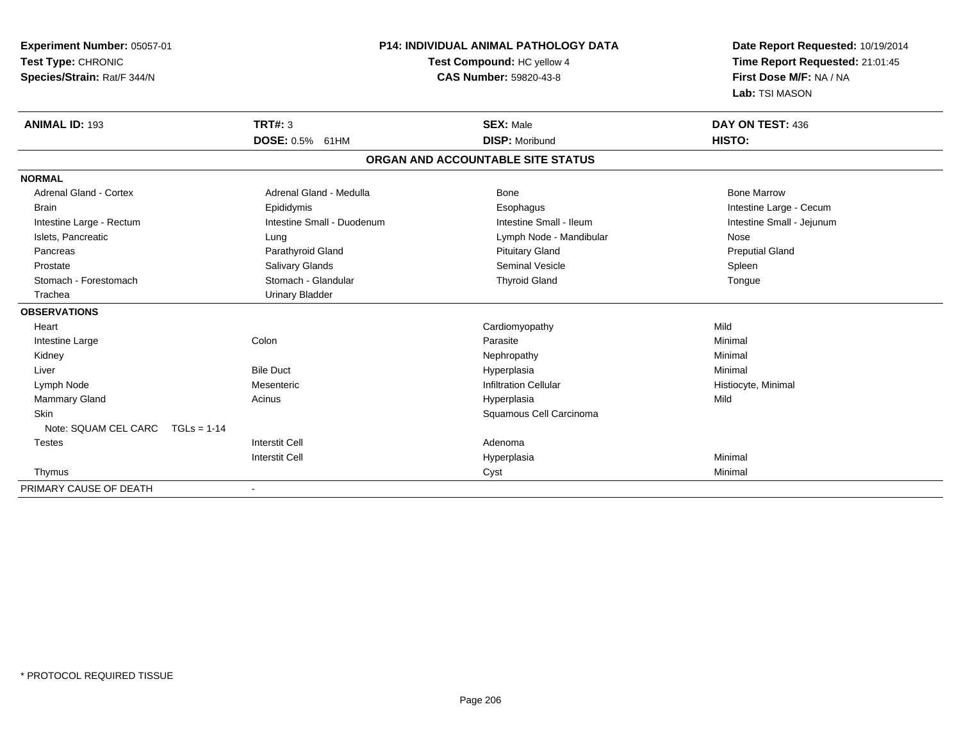| Experiment Number: 05057-01           | <b>P14: INDIVIDUAL ANIMAL PATHOLOGY DATA</b><br>Test Compound: HC yellow 4 |                                   | Date Report Requested: 10/19/2014<br>Time Report Requested: 21:01:45 |
|---------------------------------------|----------------------------------------------------------------------------|-----------------------------------|----------------------------------------------------------------------|
| Test Type: CHRONIC                    |                                                                            |                                   |                                                                      |
| Species/Strain: Rat/F 344/N           |                                                                            | CAS Number: 59820-43-8            | First Dose M/F: NA / NA                                              |
|                                       |                                                                            |                                   | Lab: TSI MASON                                                       |
| <b>ANIMAL ID: 193</b>                 | <b>TRT#: 3</b>                                                             | <b>SEX: Male</b>                  | DAY ON TEST: 436                                                     |
|                                       | DOSE: 0.5% 61HM                                                            | <b>DISP: Moribund</b>             | HISTO:                                                               |
|                                       |                                                                            | ORGAN AND ACCOUNTABLE SITE STATUS |                                                                      |
| <b>NORMAL</b>                         |                                                                            |                                   |                                                                      |
| <b>Adrenal Gland - Cortex</b>         | Adrenal Gland - Medulla                                                    | <b>Bone</b>                       | <b>Bone Marrow</b>                                                   |
| <b>Brain</b>                          | Epididymis                                                                 | Esophagus                         | Intestine Large - Cecum                                              |
| Intestine Large - Rectum              | Intestine Small - Duodenum                                                 | Intestine Small - Ileum           | Intestine Small - Jejunum                                            |
| Islets, Pancreatic                    | Lung                                                                       | Lymph Node - Mandibular           | Nose                                                                 |
| Pancreas                              | Parathyroid Gland                                                          | <b>Pituitary Gland</b>            | <b>Preputial Gland</b>                                               |
| Prostate                              | Salivary Glands                                                            | <b>Seminal Vesicle</b>            | Spleen                                                               |
| Stomach - Forestomach                 | Stomach - Glandular                                                        | <b>Thyroid Gland</b>              | Tongue                                                               |
| Trachea                               | <b>Urinary Bladder</b>                                                     |                                   |                                                                      |
| <b>OBSERVATIONS</b>                   |                                                                            |                                   |                                                                      |
| Heart                                 |                                                                            | Cardiomyopathy                    | Mild                                                                 |
| Intestine Large                       | Colon                                                                      | Parasite                          | Minimal                                                              |
| Kidney                                |                                                                            | Nephropathy                       | Minimal                                                              |
| Liver                                 | <b>Bile Duct</b>                                                           | Hyperplasia                       | Minimal                                                              |
| Lymph Node                            | Mesenteric                                                                 | <b>Infiltration Cellular</b>      | Histiocyte, Minimal                                                  |
| <b>Mammary Gland</b>                  | Acinus                                                                     | Hyperplasia                       | Mild                                                                 |
| <b>Skin</b>                           |                                                                            | Squamous Cell Carcinoma           |                                                                      |
| Note: SQUAM CEL CARC<br>$TGLs = 1-14$ |                                                                            |                                   |                                                                      |
| Testes                                | <b>Interstit Cell</b>                                                      | Adenoma                           |                                                                      |
|                                       | <b>Interstit Cell</b>                                                      | Hyperplasia                       | Minimal                                                              |
| Thymus                                |                                                                            | Cyst                              | Minimal                                                              |
| PRIMARY CAUSE OF DEATH                | $\overline{\phantom{a}}$                                                   |                                   |                                                                      |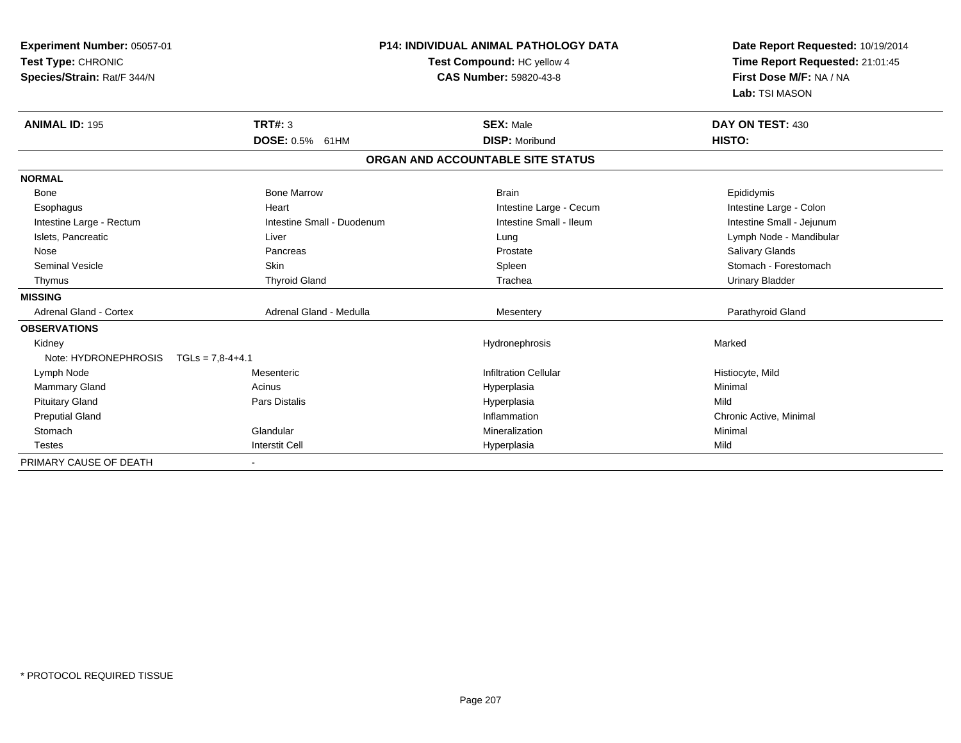| Experiment Number: 05057-01<br>Test Type: CHRONIC<br>Species/Strain: Rat/F 344/N<br><b>ANIMAL ID: 195</b> | <b>TRT#: 3</b>             | <b>P14: INDIVIDUAL ANIMAL PATHOLOGY DATA</b><br>Test Compound: HC yellow 4<br><b>CAS Number: 59820-43-8</b><br><b>SEX: Male</b> | Date Report Requested: 10/19/2014<br>Time Report Requested: 21:01:45<br>First Dose M/F: NA / NA<br>Lab: TSI MASON<br>DAY ON TEST: 430 |
|-----------------------------------------------------------------------------------------------------------|----------------------------|---------------------------------------------------------------------------------------------------------------------------------|---------------------------------------------------------------------------------------------------------------------------------------|
|                                                                                                           | DOSE: 0.5% 61HM            | <b>DISP: Moribund</b>                                                                                                           | HISTO:                                                                                                                                |
|                                                                                                           |                            | ORGAN AND ACCOUNTABLE SITE STATUS                                                                                               |                                                                                                                                       |
| <b>NORMAL</b>                                                                                             |                            |                                                                                                                                 |                                                                                                                                       |
| Bone                                                                                                      | <b>Bone Marrow</b>         | <b>Brain</b>                                                                                                                    | Epididymis                                                                                                                            |
| Esophagus                                                                                                 | Heart                      | Intestine Large - Cecum                                                                                                         | Intestine Large - Colon                                                                                                               |
| Intestine Large - Rectum                                                                                  | Intestine Small - Duodenum | Intestine Small - Ileum                                                                                                         | Intestine Small - Jejunum                                                                                                             |
| Islets, Pancreatic                                                                                        | Liver                      | Lung                                                                                                                            | Lymph Node - Mandibular                                                                                                               |
| Nose                                                                                                      | Pancreas                   | Prostate                                                                                                                        | <b>Salivary Glands</b>                                                                                                                |
| <b>Seminal Vesicle</b>                                                                                    | Skin                       | Spleen                                                                                                                          | Stomach - Forestomach                                                                                                                 |
| Thymus                                                                                                    | <b>Thyroid Gland</b>       | Trachea                                                                                                                         | <b>Urinary Bladder</b>                                                                                                                |
| <b>MISSING</b>                                                                                            |                            |                                                                                                                                 |                                                                                                                                       |
| <b>Adrenal Gland - Cortex</b>                                                                             | Adrenal Gland - Medulla    | Mesentery                                                                                                                       | Parathyroid Gland                                                                                                                     |
| <b>OBSERVATIONS</b>                                                                                       |                            |                                                                                                                                 |                                                                                                                                       |
| Kidney                                                                                                    |                            | Hydronephrosis                                                                                                                  | Marked                                                                                                                                |
| Note: HYDRONEPHROSIS                                                                                      | $TGLs = 7.8-4+4.1$         |                                                                                                                                 |                                                                                                                                       |
| Lymph Node                                                                                                | Mesenteric                 | <b>Infiltration Cellular</b>                                                                                                    | Histiocyte, Mild                                                                                                                      |
| <b>Mammary Gland</b>                                                                                      | Acinus                     | Hyperplasia                                                                                                                     | Minimal                                                                                                                               |
| <b>Pituitary Gland</b>                                                                                    | <b>Pars Distalis</b>       | Hyperplasia                                                                                                                     | Mild                                                                                                                                  |
| <b>Preputial Gland</b>                                                                                    |                            | Inflammation                                                                                                                    | Chronic Active, Minimal                                                                                                               |
| Stomach                                                                                                   | Glandular                  | Mineralization                                                                                                                  | Minimal                                                                                                                               |
| <b>Testes</b>                                                                                             | <b>Interstit Cell</b>      | Hyperplasia                                                                                                                     | Mild                                                                                                                                  |
| PRIMARY CAUSE OF DEATH                                                                                    |                            |                                                                                                                                 |                                                                                                                                       |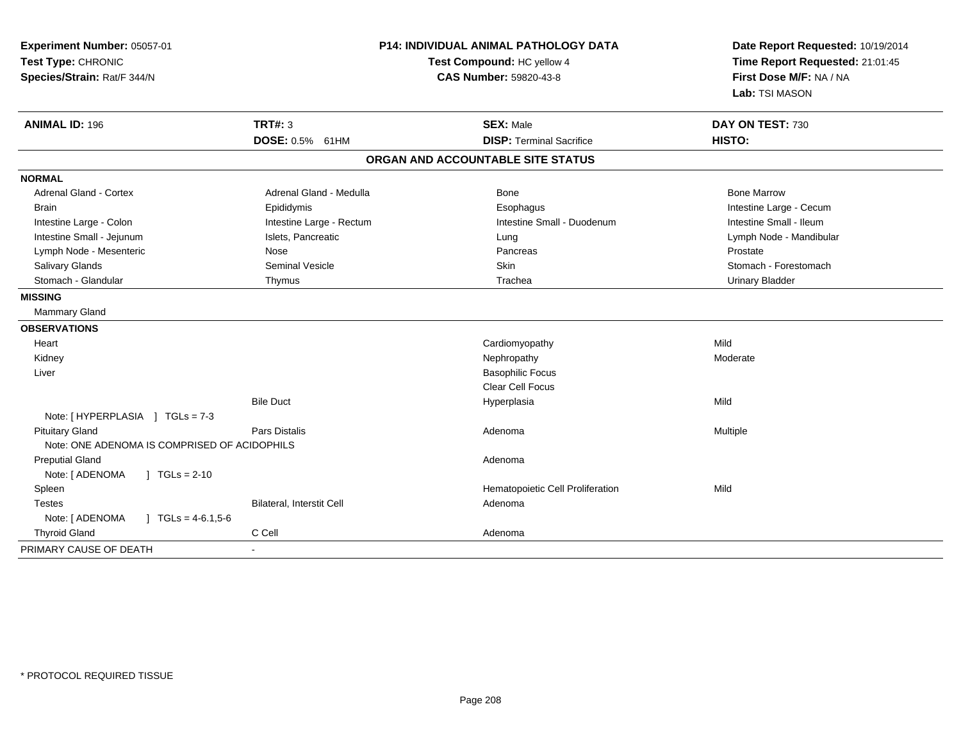| Experiment Number: 05057-01<br>Test Type: CHRONIC<br>Species/Strain: Rat/F 344/N | <b>P14: INDIVIDUAL ANIMAL PATHOLOGY DATA</b><br>Test Compound: HC yellow 4<br><b>CAS Number: 59820-43-8</b> |                                   | Date Report Requested: 10/19/2014<br>Time Report Requested: 21:01:45<br>First Dose M/F: NA / NA<br>Lab: TSI MASON |
|----------------------------------------------------------------------------------|-------------------------------------------------------------------------------------------------------------|-----------------------------------|-------------------------------------------------------------------------------------------------------------------|
| <b>ANIMAL ID: 196</b>                                                            | <b>TRT#: 3</b>                                                                                              | <b>SEX: Male</b>                  | DAY ON TEST: 730                                                                                                  |
|                                                                                  | DOSE: 0.5% 61HM                                                                                             | <b>DISP: Terminal Sacrifice</b>   | HISTO:                                                                                                            |
|                                                                                  |                                                                                                             | ORGAN AND ACCOUNTABLE SITE STATUS |                                                                                                                   |
| <b>NORMAL</b>                                                                    |                                                                                                             |                                   |                                                                                                                   |
| <b>Adrenal Gland - Cortex</b>                                                    | Adrenal Gland - Medulla                                                                                     | Bone                              | <b>Bone Marrow</b>                                                                                                |
| <b>Brain</b>                                                                     | Epididymis                                                                                                  | Esophagus                         | Intestine Large - Cecum                                                                                           |
| Intestine Large - Colon                                                          | Intestine Large - Rectum                                                                                    | Intestine Small - Duodenum        | Intestine Small - Ileum                                                                                           |
| Intestine Small - Jejunum                                                        | Islets, Pancreatic                                                                                          | Lung                              | Lymph Node - Mandibular                                                                                           |
| Lymph Node - Mesenteric                                                          | Nose                                                                                                        | Pancreas                          | Prostate                                                                                                          |
| <b>Salivary Glands</b>                                                           | Seminal Vesicle                                                                                             | Skin                              | Stomach - Forestomach                                                                                             |
| Stomach - Glandular                                                              | Thymus                                                                                                      | Trachea                           | <b>Urinary Bladder</b>                                                                                            |
| <b>MISSING</b>                                                                   |                                                                                                             |                                   |                                                                                                                   |
| Mammary Gland                                                                    |                                                                                                             |                                   |                                                                                                                   |
| <b>OBSERVATIONS</b>                                                              |                                                                                                             |                                   |                                                                                                                   |
| Heart                                                                            |                                                                                                             | Cardiomyopathy                    | Mild                                                                                                              |
| Kidney                                                                           |                                                                                                             | Nephropathy                       | Moderate                                                                                                          |
| Liver                                                                            |                                                                                                             | <b>Basophilic Focus</b>           |                                                                                                                   |
|                                                                                  |                                                                                                             | <b>Clear Cell Focus</b>           |                                                                                                                   |
|                                                                                  | <b>Bile Duct</b>                                                                                            | Hyperplasia                       | Mild                                                                                                              |
| Note: [HYPERPLASIA ] TGLs = 7-3                                                  |                                                                                                             |                                   |                                                                                                                   |
| <b>Pituitary Gland</b>                                                           | Pars Distalis                                                                                               | Adenoma                           | Multiple                                                                                                          |
| Note: ONE ADENOMA IS COMPRISED OF ACIDOPHILS                                     |                                                                                                             |                                   |                                                                                                                   |
| <b>Preputial Gland</b>                                                           |                                                                                                             | Adenoma                           |                                                                                                                   |
| Note: [ ADENOMA<br>$1 TGLs = 2-10$                                               |                                                                                                             |                                   |                                                                                                                   |
| Spleen                                                                           |                                                                                                             | Hematopoietic Cell Proliferation  | Mild                                                                                                              |
| <b>Testes</b>                                                                    | Bilateral, Interstit Cell                                                                                   | Adenoma                           |                                                                                                                   |
| Note: [ ADENOMA<br>$TGLs = 4-6.1,5-6$                                            |                                                                                                             |                                   |                                                                                                                   |
| <b>Thyroid Gland</b>                                                             | C Cell                                                                                                      | Adenoma                           |                                                                                                                   |
| PRIMARY CAUSE OF DEATH                                                           |                                                                                                             |                                   |                                                                                                                   |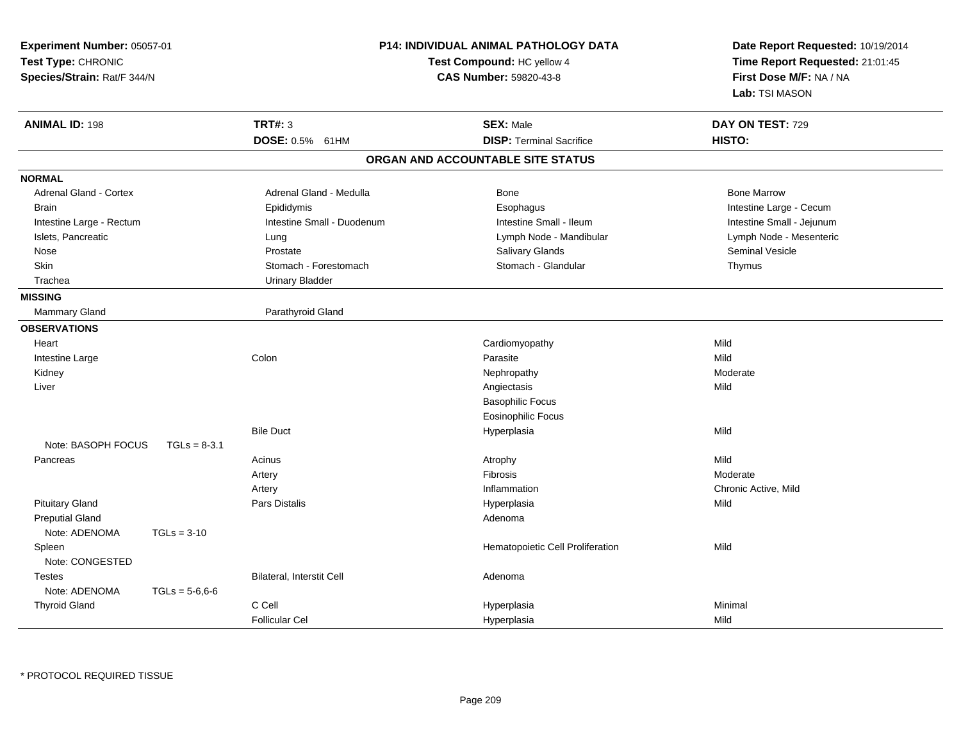| Experiment Number: 05057-01<br>Test Type: CHRONIC<br>Species/Strain: Rat/F 344/N |                                  | <b>P14: INDIVIDUAL ANIMAL PATHOLOGY DATA</b><br>Test Compound: HC yellow 4<br><b>CAS Number: 59820-43-8</b> | Date Report Requested: 10/19/2014<br>Time Report Requested: 21:01:45<br>First Dose M/F: NA / NA<br>Lab: TSI MASON |
|----------------------------------------------------------------------------------|----------------------------------|-------------------------------------------------------------------------------------------------------------|-------------------------------------------------------------------------------------------------------------------|
| <b>ANIMAL ID: 198</b>                                                            | <b>TRT#: 3</b>                   | <b>SEX: Male</b>                                                                                            | DAY ON TEST: 729                                                                                                  |
|                                                                                  | DOSE: 0.5% 61HM                  | <b>DISP: Terminal Sacrifice</b>                                                                             | HISTO:                                                                                                            |
|                                                                                  |                                  | ORGAN AND ACCOUNTABLE SITE STATUS                                                                           |                                                                                                                   |
| <b>NORMAL</b>                                                                    |                                  |                                                                                                             |                                                                                                                   |
| Adrenal Gland - Cortex                                                           | Adrenal Gland - Medulla          | Bone                                                                                                        | <b>Bone Marrow</b>                                                                                                |
| <b>Brain</b>                                                                     | Epididymis                       | Esophagus                                                                                                   | Intestine Large - Cecum                                                                                           |
| Intestine Large - Rectum                                                         | Intestine Small - Duodenum       | Intestine Small - Ileum                                                                                     | Intestine Small - Jejunum                                                                                         |
| Islets, Pancreatic                                                               | Lung                             | Lymph Node - Mandibular                                                                                     | Lymph Node - Mesenteric                                                                                           |
| Nose                                                                             | Prostate                         | <b>Salivary Glands</b>                                                                                      | Seminal Vesicle                                                                                                   |
| <b>Skin</b>                                                                      | Stomach - Forestomach            | Stomach - Glandular                                                                                         | Thymus                                                                                                            |
| Trachea                                                                          | <b>Urinary Bladder</b>           |                                                                                                             |                                                                                                                   |
| <b>MISSING</b>                                                                   |                                  |                                                                                                             |                                                                                                                   |
| <b>Mammary Gland</b>                                                             | Parathyroid Gland                |                                                                                                             |                                                                                                                   |
| <b>OBSERVATIONS</b>                                                              |                                  |                                                                                                             |                                                                                                                   |
| Heart                                                                            |                                  | Cardiomyopathy                                                                                              | Mild                                                                                                              |
| Intestine Large                                                                  | Colon                            | Parasite                                                                                                    | Mild                                                                                                              |
| Kidney                                                                           |                                  | Nephropathy                                                                                                 | Moderate                                                                                                          |
| Liver                                                                            |                                  | Angiectasis                                                                                                 | Mild                                                                                                              |
|                                                                                  |                                  | <b>Basophilic Focus</b>                                                                                     |                                                                                                                   |
|                                                                                  |                                  | <b>Eosinophilic Focus</b>                                                                                   |                                                                                                                   |
|                                                                                  | <b>Bile Duct</b>                 | Hyperplasia                                                                                                 | Mild                                                                                                              |
| Note: BASOPH FOCUS<br>$TGLs = 8-3.1$                                             |                                  |                                                                                                             |                                                                                                                   |
| Pancreas                                                                         | Acinus                           | Atrophy                                                                                                     | Mild                                                                                                              |
|                                                                                  | Artery                           | Fibrosis                                                                                                    | Moderate                                                                                                          |
|                                                                                  | Artery                           | Inflammation                                                                                                | Chronic Active, Mild                                                                                              |
| <b>Pituitary Gland</b>                                                           | <b>Pars Distalis</b>             | Hyperplasia                                                                                                 | Mild                                                                                                              |
| <b>Preputial Gland</b>                                                           |                                  | Adenoma                                                                                                     |                                                                                                                   |
| Note: ADENOMA<br>$TGLs = 3-10$                                                   |                                  |                                                                                                             |                                                                                                                   |
| Spleen                                                                           |                                  | Hematopoietic Cell Proliferation                                                                            | Mild                                                                                                              |
| Note: CONGESTED                                                                  |                                  |                                                                                                             |                                                                                                                   |
| Testes                                                                           | <b>Bilateral, Interstit Cell</b> | Adenoma                                                                                                     |                                                                                                                   |
| Note: ADENOMA<br>$TGLs = 5-6.6-6$                                                |                                  |                                                                                                             |                                                                                                                   |
| <b>Thyroid Gland</b>                                                             | C Cell                           | Hyperplasia                                                                                                 | Minimal                                                                                                           |
|                                                                                  | <b>Follicular Cel</b>            | Hyperplasia                                                                                                 | Mild                                                                                                              |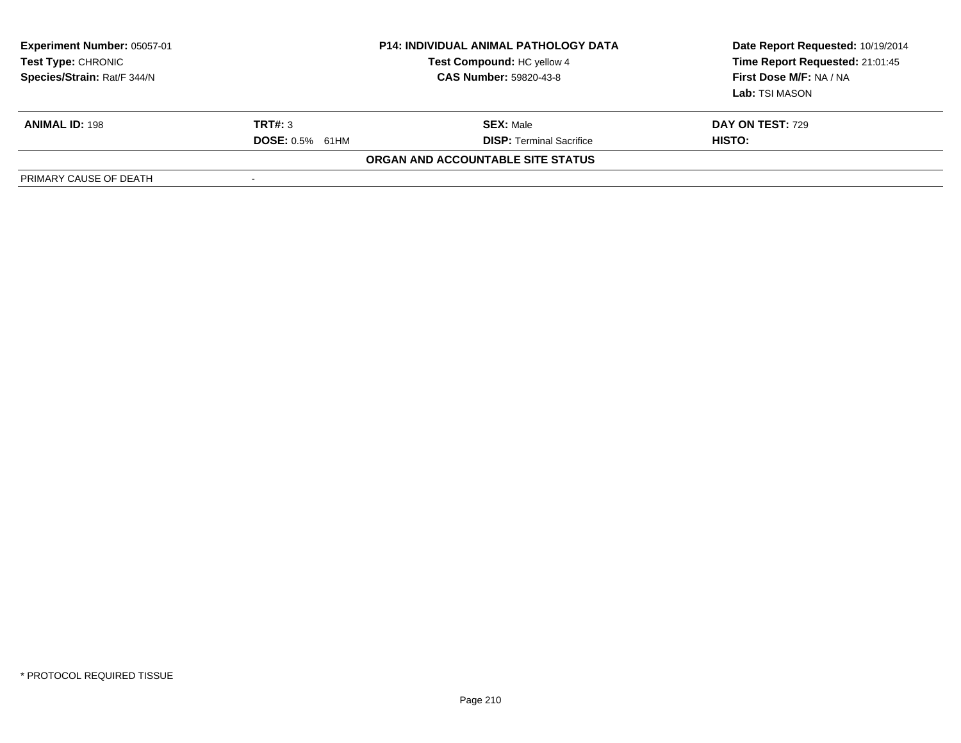| <b>Experiment Number: 05057-01</b><br>Test Type: CHRONIC<br>Species/Strain: Rat/F 344/N |                          | <b>P14: INDIVIDUAL ANIMAL PATHOLOGY DATA</b><br>Test Compound: HC yellow 4<br><b>CAS Number: 59820-43-8</b> | Date Report Requested: 10/19/2014<br>Time Report Requested: 21:01:45<br>First Dose M/F: NA / NA<br><b>Lab:</b> TSI MASON |
|-----------------------------------------------------------------------------------------|--------------------------|-------------------------------------------------------------------------------------------------------------|--------------------------------------------------------------------------------------------------------------------------|
| <b>ANIMAL ID: 198</b>                                                                   | TRT#: 3                  | <b>SEX: Male</b>                                                                                            | DAY ON TEST: 729                                                                                                         |
|                                                                                         | <b>DOSE: 0.5% 61HM</b>   | <b>DISP: Terminal Sacrifice</b>                                                                             | HISTO:                                                                                                                   |
|                                                                                         |                          | ORGAN AND ACCOUNTABLE SITE STATUS                                                                           |                                                                                                                          |
| PRIMARY CAUSE OF DEATH                                                                  | $\overline{\phantom{a}}$ |                                                                                                             |                                                                                                                          |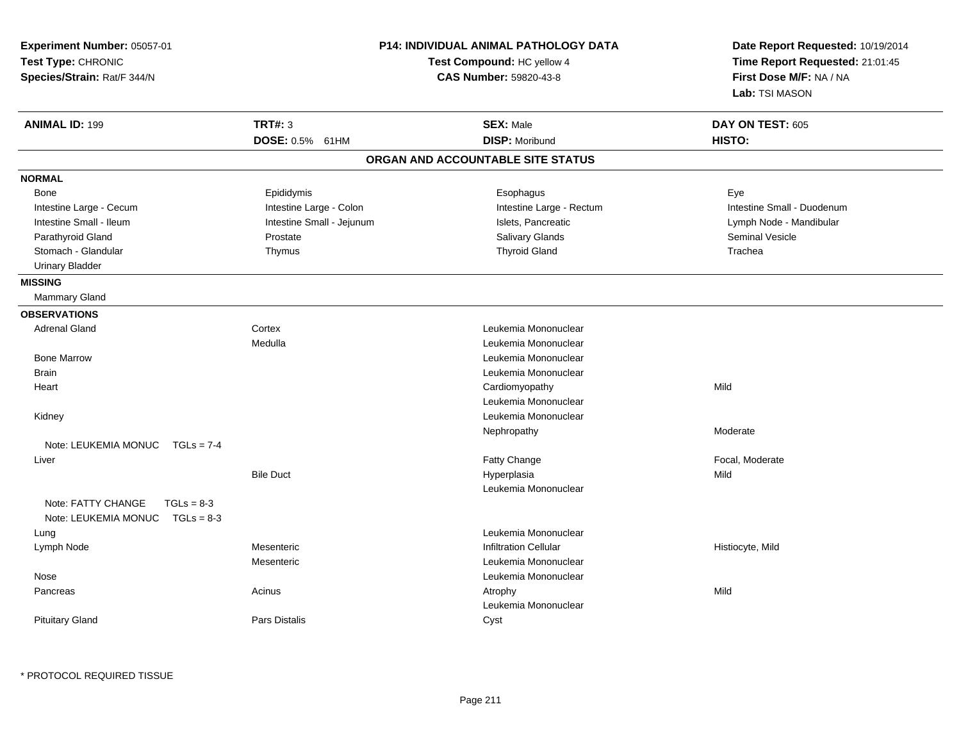| Experiment Number: 05057-01<br>Test Type: CHRONIC<br>Species/Strain: Rat/F 344/N |                           | <b>P14: INDIVIDUAL ANIMAL PATHOLOGY DATA</b><br>Test Compound: HC yellow 4<br><b>CAS Number: 59820-43-8</b> | Date Report Requested: 10/19/2014<br>Time Report Requested: 21:01:45<br>First Dose M/F: NA / NA<br>Lab: TSI MASON |
|----------------------------------------------------------------------------------|---------------------------|-------------------------------------------------------------------------------------------------------------|-------------------------------------------------------------------------------------------------------------------|
| <b>ANIMAL ID: 199</b>                                                            | <b>TRT#: 3</b>            | <b>SEX: Male</b>                                                                                            | DAY ON TEST: 605                                                                                                  |
|                                                                                  | DOSE: 0.5% 61HM           | <b>DISP: Moribund</b>                                                                                       | HISTO:                                                                                                            |
|                                                                                  |                           | ORGAN AND ACCOUNTABLE SITE STATUS                                                                           |                                                                                                                   |
| <b>NORMAL</b>                                                                    |                           |                                                                                                             |                                                                                                                   |
| <b>Bone</b>                                                                      | Epididymis                | Esophagus                                                                                                   | Eye                                                                                                               |
| Intestine Large - Cecum                                                          | Intestine Large - Colon   | Intestine Large - Rectum                                                                                    | Intestine Small - Duodenum                                                                                        |
| Intestine Small - Ileum                                                          | Intestine Small - Jejunum | Islets, Pancreatic                                                                                          | Lymph Node - Mandibular                                                                                           |
| Parathyroid Gland                                                                | Prostate                  | Salivary Glands                                                                                             | <b>Seminal Vesicle</b>                                                                                            |
| Stomach - Glandular                                                              | Thymus                    | <b>Thyroid Gland</b>                                                                                        | Trachea                                                                                                           |
| <b>Urinary Bladder</b>                                                           |                           |                                                                                                             |                                                                                                                   |
| <b>MISSING</b>                                                                   |                           |                                                                                                             |                                                                                                                   |
| Mammary Gland                                                                    |                           |                                                                                                             |                                                                                                                   |
| <b>OBSERVATIONS</b>                                                              |                           |                                                                                                             |                                                                                                                   |
| <b>Adrenal Gland</b>                                                             | Cortex                    | Leukemia Mononuclear                                                                                        |                                                                                                                   |
|                                                                                  | Medulla                   | Leukemia Mononuclear                                                                                        |                                                                                                                   |
| <b>Bone Marrow</b>                                                               |                           | Leukemia Mononuclear                                                                                        |                                                                                                                   |
| <b>Brain</b>                                                                     |                           | Leukemia Mononuclear                                                                                        |                                                                                                                   |
| Heart                                                                            |                           | Cardiomyopathy                                                                                              | Mild                                                                                                              |
|                                                                                  |                           | Leukemia Mononuclear                                                                                        |                                                                                                                   |
| Kidney                                                                           |                           | Leukemia Mononuclear                                                                                        |                                                                                                                   |
|                                                                                  |                           | Nephropathy                                                                                                 | Moderate                                                                                                          |
| Note: LEUKEMIA MONUC<br>$TGLs = 7-4$                                             |                           |                                                                                                             |                                                                                                                   |
| Liver                                                                            |                           | Fatty Change                                                                                                | Focal, Moderate                                                                                                   |
|                                                                                  | <b>Bile Duct</b>          | Hyperplasia                                                                                                 | Mild                                                                                                              |
|                                                                                  |                           | Leukemia Mononuclear                                                                                        |                                                                                                                   |
| Note: FATTY CHANGE<br>$TGLs = 8-3$                                               |                           |                                                                                                             |                                                                                                                   |
| Note: LEUKEMIA MONUC<br>$TGLs = 8-3$                                             |                           |                                                                                                             |                                                                                                                   |
| Lung                                                                             |                           | Leukemia Mononuclear                                                                                        |                                                                                                                   |
| Lymph Node                                                                       | Mesenteric                | <b>Infiltration Cellular</b>                                                                                | Histiocyte, Mild                                                                                                  |
|                                                                                  | Mesenteric                | Leukemia Mononuclear                                                                                        |                                                                                                                   |
| Nose                                                                             |                           | Leukemia Mononuclear                                                                                        |                                                                                                                   |
| Pancreas                                                                         | Acinus                    | Atrophy                                                                                                     | Mild                                                                                                              |
|                                                                                  |                           | Leukemia Mononuclear                                                                                        |                                                                                                                   |
| <b>Pituitary Gland</b>                                                           | Pars Distalis             | Cyst                                                                                                        |                                                                                                                   |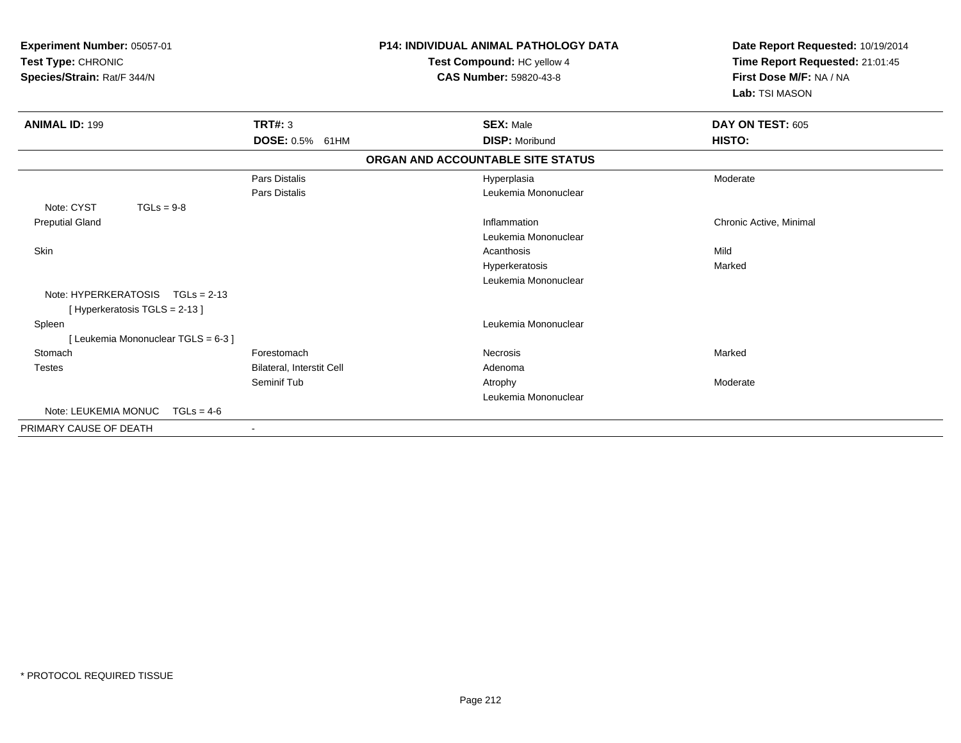| Experiment Number: 05057-01<br>Test Type: CHRONIC<br>Species/Strain: Rat/F 344/N |                           | <b>P14: INDIVIDUAL ANIMAL PATHOLOGY DATA</b><br>Test Compound: HC yellow 4<br><b>CAS Number: 59820-43-8</b> | Date Report Requested: 10/19/2014<br>Time Report Requested: 21:01:45<br>First Dose M/F: NA / NA<br>Lab: TSI MASON |
|----------------------------------------------------------------------------------|---------------------------|-------------------------------------------------------------------------------------------------------------|-------------------------------------------------------------------------------------------------------------------|
| <b>ANIMAL ID: 199</b>                                                            | <b>TRT#: 3</b>            | <b>SEX: Male</b>                                                                                            | DAY ON TEST: 605                                                                                                  |
|                                                                                  | DOSE: 0.5% 61HM           | <b>DISP: Moribund</b>                                                                                       | HISTO:                                                                                                            |
|                                                                                  |                           | ORGAN AND ACCOUNTABLE SITE STATUS                                                                           |                                                                                                                   |
|                                                                                  | Pars Distalis             | Hyperplasia                                                                                                 | Moderate                                                                                                          |
|                                                                                  | Pars Distalis             | Leukemia Mononuclear                                                                                        |                                                                                                                   |
| Note: CYST<br>$TGLs = 9-8$                                                       |                           |                                                                                                             |                                                                                                                   |
| <b>Preputial Gland</b>                                                           |                           | Inflammation                                                                                                | Chronic Active, Minimal                                                                                           |
|                                                                                  |                           | Leukemia Mononuclear                                                                                        |                                                                                                                   |
| Skin                                                                             |                           | Acanthosis                                                                                                  | Mild                                                                                                              |
|                                                                                  |                           | Hyperkeratosis                                                                                              | Marked                                                                                                            |
|                                                                                  |                           | Leukemia Mononuclear                                                                                        |                                                                                                                   |
| Note: HYPERKERATOSIS TGLs = 2-13                                                 |                           |                                                                                                             |                                                                                                                   |
| [Hyperkeratosis TGLS = 2-13]                                                     |                           |                                                                                                             |                                                                                                                   |
| Spleen                                                                           |                           | Leukemia Mononuclear                                                                                        |                                                                                                                   |
| Leukemia Mononuclear TGLS = 6-3 ]                                                |                           |                                                                                                             |                                                                                                                   |
| Stomach                                                                          | Forestomach               | Necrosis                                                                                                    | Marked                                                                                                            |
| <b>Testes</b>                                                                    | Bilateral, Interstit Cell | Adenoma                                                                                                     |                                                                                                                   |
|                                                                                  | Seminif Tub               | Atrophy                                                                                                     | Moderate                                                                                                          |
|                                                                                  |                           | Leukemia Mononuclear                                                                                        |                                                                                                                   |
| Note: LEUKEMIA MONUC<br>$TGLs = 4-6$                                             |                           |                                                                                                             |                                                                                                                   |
| PRIMARY CAUSE OF DEATH                                                           | $\sim$                    |                                                                                                             |                                                                                                                   |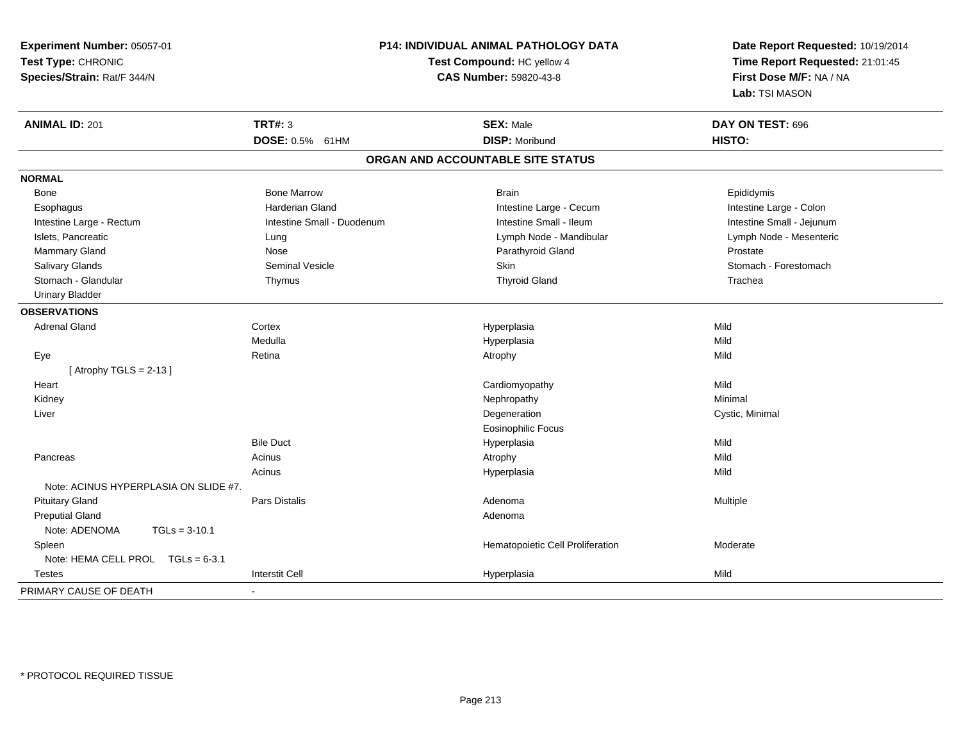**Experiment Number:** 05057-01**Test Type:** CHRONIC **Species/Strain:** Rat/F 344/N**P14: INDIVIDUAL ANIMAL PATHOLOGY DATATest Compound:** HC yellow 4**CAS Number:** 59820-43-8**Date Report Requested:** 10/19/2014**Time Report Requested:** 21:01:45**First Dose M/F:** NA / NA**Lab:** TSI MASON**ANIMAL ID:** 201**TRT#:** 3 **SEX:** Male **DAY ON TEST:** 696 **DOSE:** 0.5% 61HM**DISP:** Moribund **HISTO: ORGAN AND ACCOUNTABLE SITE STATUSNORMAL**Bone Bone Bone Marrow Bone Harrow Brain Brain Brain Brain Brain Brain Brain Brain Brain Brain Brain Brain Brain Brain Intestine Large - Colon Esophagus **Intestine Large - Cecum Intestine Large - Cecum Intestine Large - Cecum** Intestine Large - Cecum Intestine Small - Jejunum Intestine Large - Rectum **Intestine Small - Duodenum** Intestine Small - Ileum Intestine Small - Ileum Lymph Node - Mesenteric Islets, Pancreatic **Lung Lung Lung Lymph Node - Mandibular Lymph Node - Mandibular Lymph Node - Mandibular** Mammary Gland Nose Nose Register And Clare Prostate Prostate Prostate Prostate Prostate Prostate Prostate Prostate Stomach - Forestomach Salivary Glands Summath Seminal Vesicle Seminal Vesicle Skin Skin Stomach - Forestomach - Stomach - Forestomach - Stomach - Stomach - Stomach - Stomach - Stomach - Stomach - Stomach - Stomach - Stomach - Stomach - Stomach Stomach - Glandular Thymus Thyroid Gland Trachea Urinary Bladder**OBSERVATIONS** Adrenal Glandd and the cortex contex of the context of the cortext of the context of the context of the context of the context of the context of the context of the context of the context of the context of the context of the context of Medullaa magnetic control of the Hyperplasia method of the Mild Mild State of the Mild State of the Mild State of the M Eyee and the setting of the setting of the setting of the setting of the setting  $\mathsf{A}$ trophy  $\mathsf{A}$  Mild  $[$  Atrophy TGLS = 2-13  $]$  Heart Cardiomyopathyy Mild Minimal Kidneyy the controller of the controller of the controller of the Nephropathy the controller of the Minimal Minimal  $\lambda$  Liver Degeneration Cystic, Minimal Eosinophilic FocusBile Duct Hyperplasiaa Mild Pancreass and the contract of the contract of the contract of the contract of the contract of the contract of the contract of  $\mathsf{A}$  and  $\mathsf{A}$  and  $\mathsf{A}$  and  $\mathsf{A}$  and  $\mathsf{A}$  and  $\mathsf{A}$  and  $\mathsf{A}$  and  $\mathsf{A}$  and Mild Acinus Hyperplasiaa Mild Note: ACINUS HYPERPLASIA ON SLIDE #7. Pituitary Gland Pars Distalis Adenoma Multiple Preputial Glandd and a state of the control of the control of the control of the control of the control of the control of the control of the control of the control of the control of the control of the control of the control of the contro Note: ADENOMA TGLs = 3-10.1 SpleenHematopoietic Cell Proliferation Moderate Note: HEMA CELL PROL TGLs = 6-3.1 Testess and the contract of the contract of the contract of the contract of the contract of the contract of the contract of the contract of the contract of the contract of the contract of the contract of the contract of the cont a Mild PRIMARY CAUSE OF DEATH-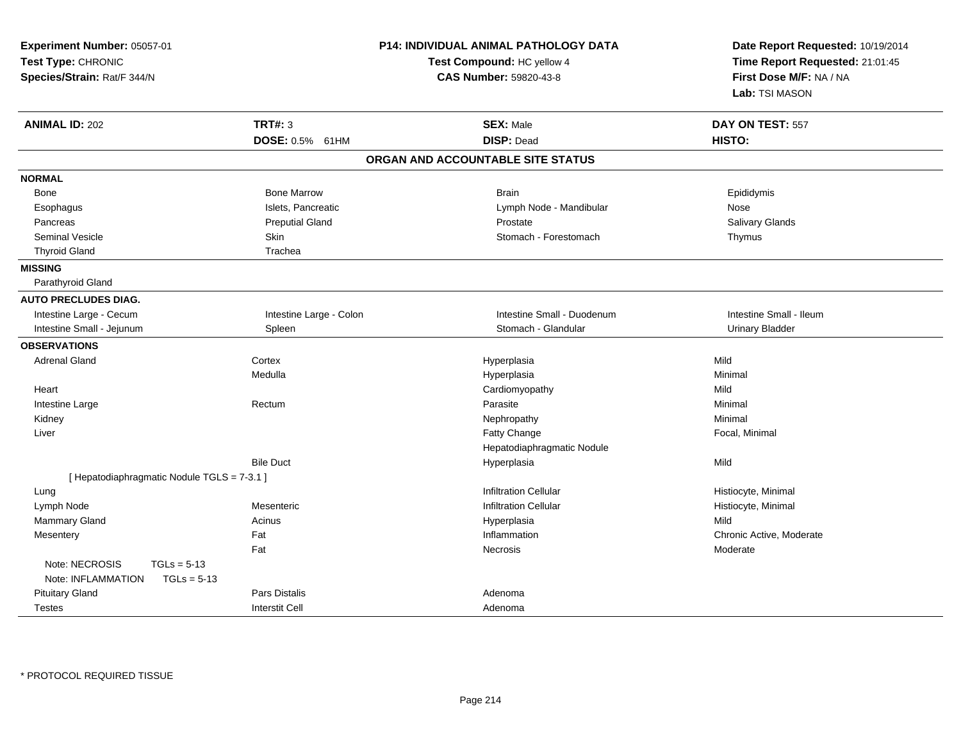| Experiment Number: 05057-01<br>Test Type: CHRONIC<br>Species/Strain: Rat/F 344/N |                         | P14: INDIVIDUAL ANIMAL PATHOLOGY DATA<br>Test Compound: HC yellow 4<br><b>CAS Number: 59820-43-8</b> | Date Report Requested: 10/19/2014<br>Time Report Requested: 21:01:45<br>First Dose M/F: NA / NA<br>Lab: TSI MASON |
|----------------------------------------------------------------------------------|-------------------------|------------------------------------------------------------------------------------------------------|-------------------------------------------------------------------------------------------------------------------|
| <b>ANIMAL ID: 202</b>                                                            | <b>TRT#: 3</b>          | <b>SEX: Male</b>                                                                                     | DAY ON TEST: 557                                                                                                  |
|                                                                                  | DOSE: 0.5% 61HM         | <b>DISP: Dead</b>                                                                                    | HISTO:                                                                                                            |
|                                                                                  |                         | ORGAN AND ACCOUNTABLE SITE STATUS                                                                    |                                                                                                                   |
| <b>NORMAL</b>                                                                    |                         |                                                                                                      |                                                                                                                   |
| <b>Bone</b>                                                                      | <b>Bone Marrow</b>      | <b>Brain</b>                                                                                         | Epididymis                                                                                                        |
| Esophagus                                                                        | Islets, Pancreatic      | Lymph Node - Mandibular                                                                              | Nose                                                                                                              |
| Pancreas                                                                         | <b>Preputial Gland</b>  | Prostate                                                                                             | Salivary Glands                                                                                                   |
| <b>Seminal Vesicle</b>                                                           | Skin                    | Stomach - Forestomach                                                                                | Thymus                                                                                                            |
| <b>Thyroid Gland</b>                                                             | Trachea                 |                                                                                                      |                                                                                                                   |
| <b>MISSING</b>                                                                   |                         |                                                                                                      |                                                                                                                   |
| Parathyroid Gland                                                                |                         |                                                                                                      |                                                                                                                   |
| <b>AUTO PRECLUDES DIAG.</b>                                                      |                         |                                                                                                      |                                                                                                                   |
| Intestine Large - Cecum                                                          | Intestine Large - Colon | Intestine Small - Duodenum                                                                           | Intestine Small - Ileum                                                                                           |
| Intestine Small - Jejunum                                                        | Spleen                  | Stomach - Glandular                                                                                  | <b>Urinary Bladder</b>                                                                                            |
| <b>OBSERVATIONS</b>                                                              |                         |                                                                                                      |                                                                                                                   |
| <b>Adrenal Gland</b>                                                             | Cortex                  | Hyperplasia                                                                                          | Mild                                                                                                              |
|                                                                                  | Medulla                 | Hyperplasia                                                                                          | Minimal                                                                                                           |
| Heart                                                                            |                         | Cardiomyopathy                                                                                       | Mild                                                                                                              |
| Intestine Large                                                                  | Rectum                  | Parasite                                                                                             | Minimal                                                                                                           |
| Kidney                                                                           |                         | Nephropathy                                                                                          | Minimal                                                                                                           |
| Liver                                                                            |                         | Fatty Change                                                                                         | Focal, Minimal                                                                                                    |
|                                                                                  |                         | Hepatodiaphragmatic Nodule                                                                           |                                                                                                                   |
|                                                                                  | <b>Bile Duct</b>        | Hyperplasia                                                                                          | Mild                                                                                                              |
| [ Hepatodiaphragmatic Nodule TGLS = 7-3.1 ]                                      |                         |                                                                                                      |                                                                                                                   |
| Lung                                                                             |                         | <b>Infiltration Cellular</b>                                                                         | Histiocyte, Minimal                                                                                               |
| Lymph Node                                                                       | Mesenteric              | <b>Infiltration Cellular</b>                                                                         | Histiocyte, Minimal                                                                                               |
| Mammary Gland                                                                    | Acinus                  | Hyperplasia                                                                                          | Mild                                                                                                              |
| Mesentery                                                                        | Fat                     | Inflammation                                                                                         | Chronic Active, Moderate                                                                                          |
|                                                                                  | Fat                     | Necrosis                                                                                             | Moderate                                                                                                          |
| Note: NECROSIS<br>$TGLs = 5-13$                                                  |                         |                                                                                                      |                                                                                                                   |
| Note: INFLAMMATION<br>$TGLs = 5-13$                                              |                         |                                                                                                      |                                                                                                                   |
| <b>Pituitary Gland</b>                                                           | Pars Distalis           | Adenoma                                                                                              |                                                                                                                   |
| <b>Testes</b>                                                                    | <b>Interstit Cell</b>   | Adenoma                                                                                              |                                                                                                                   |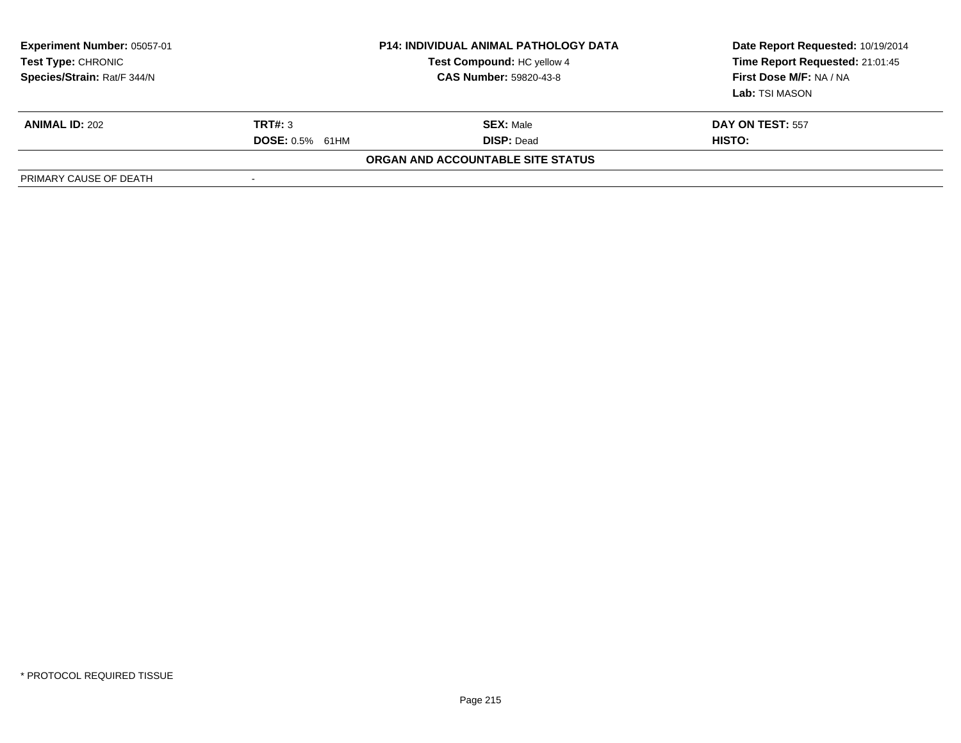| <b>Experiment Number: 05057-01</b><br>Test Type: CHRONIC<br>Species/Strain: Rat/F 344/N |                        | <b>P14: INDIVIDUAL ANIMAL PATHOLOGY DATA</b><br>Test Compound: HC yellow 4<br><b>CAS Number: 59820-43-8</b> | Date Report Requested: 10/19/2014<br>Time Report Requested: 21:01:45<br>First Dose M/F: NA / NA<br>Lab: TSI MASON |
|-----------------------------------------------------------------------------------------|------------------------|-------------------------------------------------------------------------------------------------------------|-------------------------------------------------------------------------------------------------------------------|
| <b>ANIMAL ID: 202</b>                                                                   | <b>TRT#: 3</b>         | <b>SEX: Male</b>                                                                                            | DAY ON TEST: 557                                                                                                  |
|                                                                                         | <b>DOSE:</b> 0.5% 61HM | <b>DISP: Dead</b>                                                                                           | <b>HISTO:</b>                                                                                                     |
|                                                                                         |                        | ORGAN AND ACCOUNTABLE SITE STATUS                                                                           |                                                                                                                   |
| PRIMARY CAUSE OF DEATH                                                                  |                        |                                                                                                             |                                                                                                                   |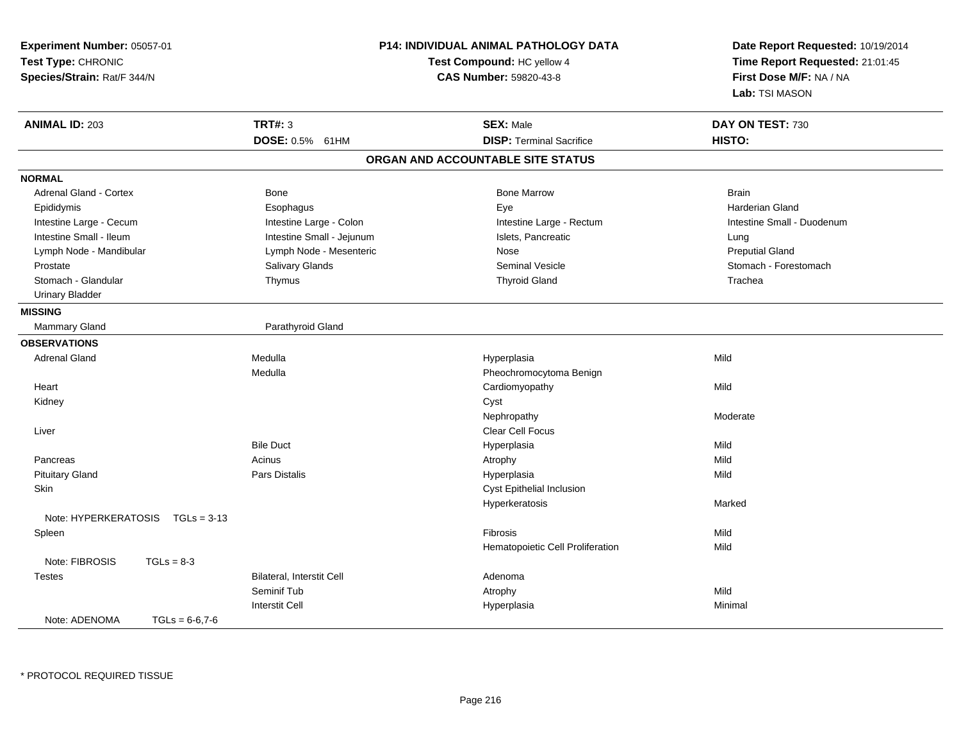| Experiment Number: 05057-01<br>Test Type: CHRONIC<br>Species/Strain: Rat/F 344/N |                                  | P14: INDIVIDUAL ANIMAL PATHOLOGY DATA<br>Test Compound: HC yellow 4<br>CAS Number: 59820-43-8 | Date Report Requested: 10/19/2014<br>Time Report Requested: 21:01:45<br>First Dose M/F: NA / NA<br>Lab: TSI MASON |
|----------------------------------------------------------------------------------|----------------------------------|-----------------------------------------------------------------------------------------------|-------------------------------------------------------------------------------------------------------------------|
| <b>ANIMAL ID: 203</b>                                                            | <b>TRT#: 3</b>                   | <b>SEX: Male</b>                                                                              | DAY ON TEST: 730                                                                                                  |
|                                                                                  | DOSE: 0.5% 61HM                  | <b>DISP: Terminal Sacrifice</b>                                                               | HISTO:                                                                                                            |
|                                                                                  |                                  | ORGAN AND ACCOUNTABLE SITE STATUS                                                             |                                                                                                                   |
| <b>NORMAL</b>                                                                    |                                  |                                                                                               |                                                                                                                   |
| <b>Adrenal Gland - Cortex</b>                                                    | Bone                             | <b>Bone Marrow</b>                                                                            | <b>Brain</b>                                                                                                      |
| Epididymis                                                                       | Esophagus                        | Eye                                                                                           | Harderian Gland                                                                                                   |
| Intestine Large - Cecum                                                          | Intestine Large - Colon          | Intestine Large - Rectum                                                                      | Intestine Small - Duodenum                                                                                        |
| Intestine Small - Ileum                                                          | Intestine Small - Jejunum        | Islets, Pancreatic                                                                            | Lung                                                                                                              |
| Lymph Node - Mandibular                                                          | Lymph Node - Mesenteric          | Nose                                                                                          | <b>Preputial Gland</b>                                                                                            |
| Prostate                                                                         | Salivary Glands                  | <b>Seminal Vesicle</b>                                                                        | Stomach - Forestomach                                                                                             |
| Stomach - Glandular                                                              | Thymus                           | <b>Thyroid Gland</b>                                                                          | Trachea                                                                                                           |
| <b>Urinary Bladder</b>                                                           |                                  |                                                                                               |                                                                                                                   |
| <b>MISSING</b>                                                                   |                                  |                                                                                               |                                                                                                                   |
| Mammary Gland                                                                    | Parathyroid Gland                |                                                                                               |                                                                                                                   |
| <b>OBSERVATIONS</b>                                                              |                                  |                                                                                               |                                                                                                                   |
| <b>Adrenal Gland</b>                                                             | Medulla                          | Hyperplasia                                                                                   | Mild                                                                                                              |
|                                                                                  | Medulla                          | Pheochromocytoma Benign                                                                       |                                                                                                                   |
| Heart                                                                            |                                  | Cardiomyopathy                                                                                | Mild                                                                                                              |
| Kidney                                                                           |                                  | Cyst                                                                                          |                                                                                                                   |
|                                                                                  |                                  | Nephropathy                                                                                   | Moderate                                                                                                          |
| Liver                                                                            |                                  | Clear Cell Focus                                                                              |                                                                                                                   |
|                                                                                  | <b>Bile Duct</b>                 | Hyperplasia                                                                                   | Mild                                                                                                              |
| Pancreas                                                                         | Acinus                           | Atrophy                                                                                       | Mild                                                                                                              |
| <b>Pituitary Gland</b>                                                           | Pars Distalis                    | Hyperplasia                                                                                   | Mild                                                                                                              |
| Skin                                                                             |                                  | Cyst Epithelial Inclusion                                                                     |                                                                                                                   |
|                                                                                  |                                  | Hyperkeratosis                                                                                | Marked                                                                                                            |
| Note: HYPERKERATOSIS<br>$TGLs = 3-13$                                            |                                  |                                                                                               |                                                                                                                   |
| Spleen                                                                           |                                  | <b>Fibrosis</b>                                                                               | Mild                                                                                                              |
|                                                                                  |                                  | Hematopoietic Cell Proliferation                                                              | Mild                                                                                                              |
| Note: FIBROSIS<br>$TGLs = 8-3$                                                   |                                  |                                                                                               |                                                                                                                   |
| <b>Testes</b>                                                                    | <b>Bilateral, Interstit Cell</b> | Adenoma                                                                                       |                                                                                                                   |
|                                                                                  | Seminif Tub                      | Atrophy                                                                                       | Mild                                                                                                              |
|                                                                                  | <b>Interstit Cell</b>            | Hyperplasia                                                                                   | Minimal                                                                                                           |
| Note: ADENOMA<br>$TGLs = 6-6,7-6$                                                |                                  |                                                                                               |                                                                                                                   |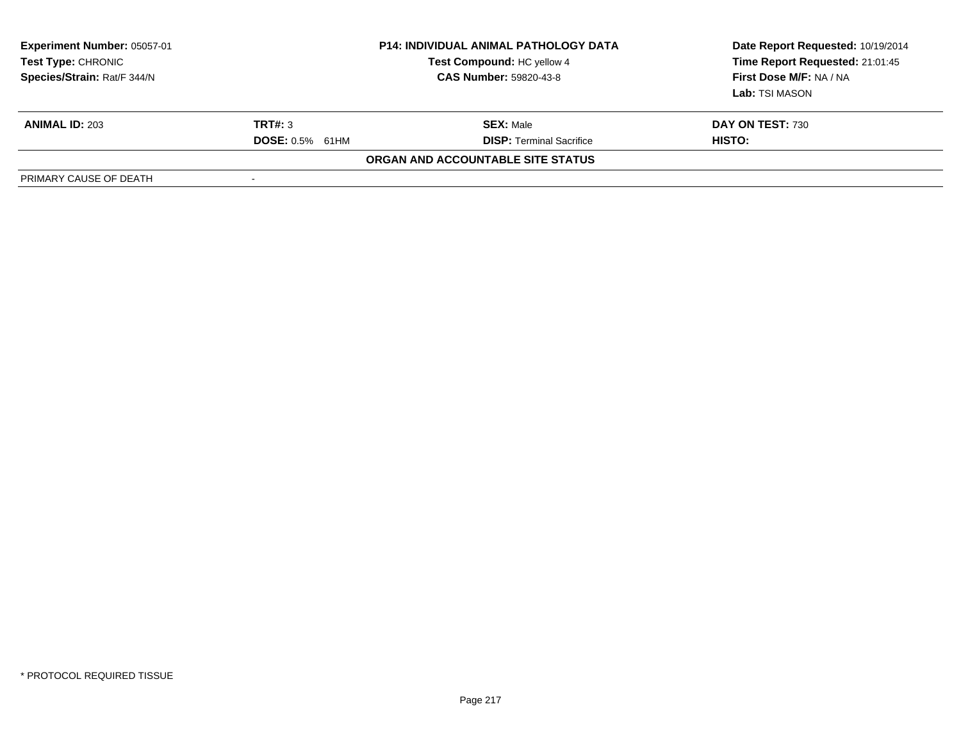| <b>Experiment Number: 05057-01</b><br>Test Type: CHRONIC<br>Species/Strain: Rat/F 344/N | <b>P14: INDIVIDUAL ANIMAL PATHOLOGY DATA</b><br>Test Compound: HC yellow 4<br><b>CAS Number: 59820-43-8</b> |                                   | Date Report Requested: 10/19/2014<br>Time Report Requested: 21:01:45<br>First Dose M/F: NA / NA<br><b>Lab:</b> TSI MASON |
|-----------------------------------------------------------------------------------------|-------------------------------------------------------------------------------------------------------------|-----------------------------------|--------------------------------------------------------------------------------------------------------------------------|
| <b>ANIMAL ID: 203</b>                                                                   | <b>TRT#: 3</b>                                                                                              | <b>SEX: Male</b>                  | DAY ON TEST: 730                                                                                                         |
|                                                                                         | <b>DOSE: 0.5% 61HM</b>                                                                                      | <b>DISP: Terminal Sacrifice</b>   | <b>HISTO:</b>                                                                                                            |
|                                                                                         |                                                                                                             | ORGAN AND ACCOUNTABLE SITE STATUS |                                                                                                                          |
| PRIMARY CAUSE OF DEATH                                                                  | $\overline{\phantom{a}}$                                                                                    |                                   |                                                                                                                          |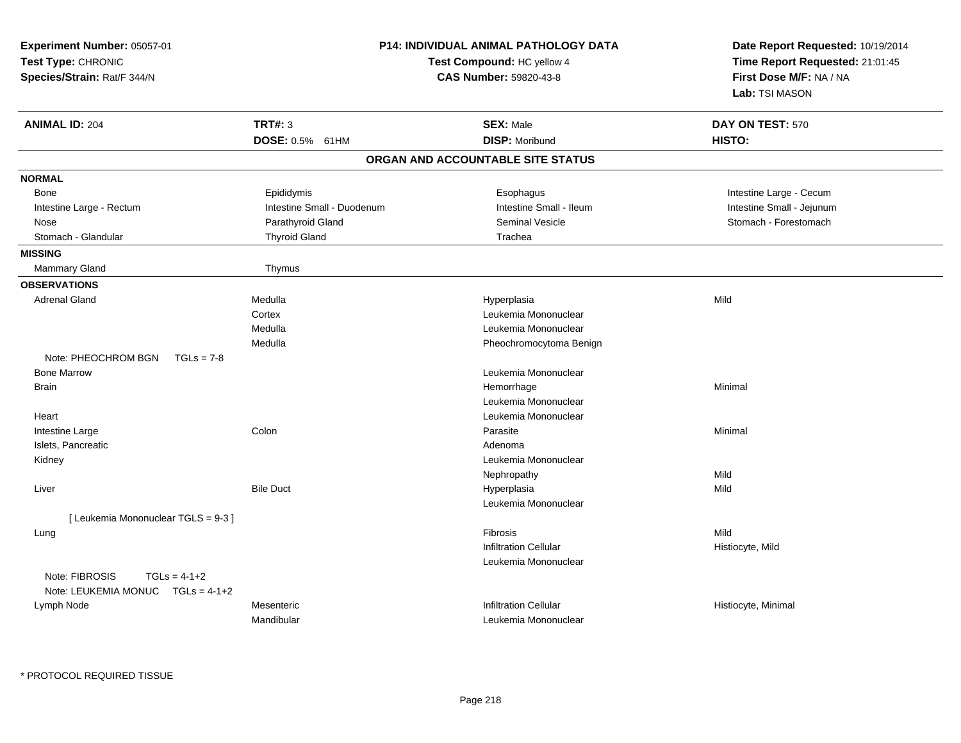| Experiment Number: 05057-01<br>Test Type: CHRONIC<br>Species/Strain: Rat/F 344/N | P14: INDIVIDUAL ANIMAL PATHOLOGY DATA<br>Test Compound: HC yellow 4<br>CAS Number: 59820-43-8 |                                    | Date Report Requested: 10/19/2014<br>Time Report Requested: 21:01:45<br>First Dose M/F: NA / NA<br>Lab: TSI MASON |  |
|----------------------------------------------------------------------------------|-----------------------------------------------------------------------------------------------|------------------------------------|-------------------------------------------------------------------------------------------------------------------|--|
| <b>ANIMAL ID: 204</b>                                                            | <b>TRT#: 3</b>                                                                                | <b>SEX: Male</b>                   | DAY ON TEST: 570                                                                                                  |  |
|                                                                                  | DOSE: 0.5% 61HM                                                                               | <b>DISP: Moribund</b>              | HISTO:                                                                                                            |  |
|                                                                                  |                                                                                               | ORGAN AND ACCOUNTABLE SITE STATUS  |                                                                                                                   |  |
| <b>NORMAL</b>                                                                    |                                                                                               |                                    |                                                                                                                   |  |
| Bone                                                                             | Epididymis                                                                                    | Esophagus                          | Intestine Large - Cecum                                                                                           |  |
| Intestine Large - Rectum                                                         | Intestine Small - Duodenum                                                                    | Intestine Small - Ileum            | Intestine Small - Jejunum                                                                                         |  |
| Nose                                                                             | Parathyroid Gland                                                                             | <b>Seminal Vesicle</b>             | Stomach - Forestomach                                                                                             |  |
| Stomach - Glandular                                                              | <b>Thyroid Gland</b>                                                                          | Trachea                            |                                                                                                                   |  |
| <b>MISSING</b>                                                                   |                                                                                               |                                    |                                                                                                                   |  |
| Mammary Gland                                                                    | Thymus                                                                                        |                                    |                                                                                                                   |  |
| <b>OBSERVATIONS</b>                                                              |                                                                                               |                                    |                                                                                                                   |  |
| <b>Adrenal Gland</b>                                                             | Medulla                                                                                       | Hyperplasia                        | Mild                                                                                                              |  |
|                                                                                  | Cortex                                                                                        | Leukemia Mononuclear               |                                                                                                                   |  |
|                                                                                  | Medulla                                                                                       | Leukemia Mononuclear               |                                                                                                                   |  |
| Note: PHEOCHROM BGN<br>$TGLs = 7-8$                                              | Medulla                                                                                       | Pheochromocytoma Benign            |                                                                                                                   |  |
| <b>Bone Marrow</b>                                                               |                                                                                               | Leukemia Mononuclear               |                                                                                                                   |  |
| <b>Brain</b>                                                                     |                                                                                               |                                    | Minimal                                                                                                           |  |
|                                                                                  |                                                                                               | Hemorrhage<br>Leukemia Mononuclear |                                                                                                                   |  |
|                                                                                  |                                                                                               | Leukemia Mononuclear               |                                                                                                                   |  |
| Heart                                                                            | Colon                                                                                         | Parasite                           | Minimal                                                                                                           |  |
| Intestine Large<br>Islets, Pancreatic                                            |                                                                                               | Adenoma                            |                                                                                                                   |  |
| Kidney                                                                           |                                                                                               | Leukemia Mononuclear               |                                                                                                                   |  |
|                                                                                  |                                                                                               | Nephropathy                        | Mild                                                                                                              |  |
| Liver                                                                            | <b>Bile Duct</b>                                                                              | Hyperplasia                        | Mild                                                                                                              |  |
|                                                                                  |                                                                                               | Leukemia Mononuclear               |                                                                                                                   |  |
| [ Leukemia Mononuclear TGLS = 9-3 ]                                              |                                                                                               |                                    |                                                                                                                   |  |
| Lung                                                                             |                                                                                               | <b>Fibrosis</b>                    | Mild                                                                                                              |  |
|                                                                                  |                                                                                               | <b>Infiltration Cellular</b>       | Histiocyte, Mild                                                                                                  |  |
|                                                                                  |                                                                                               | Leukemia Mononuclear               |                                                                                                                   |  |
| Note: FIBROSIS<br>$TGLs = 4-1+2$<br>Note: LEUKEMIA MONUC TGLs = 4-1+2            |                                                                                               |                                    |                                                                                                                   |  |
| Lymph Node                                                                       | Mesenteric                                                                                    | <b>Infiltration Cellular</b>       | Histiocyte, Minimal                                                                                               |  |
|                                                                                  | Mandibular                                                                                    | Leukemia Mononuclear               |                                                                                                                   |  |
|                                                                                  |                                                                                               |                                    |                                                                                                                   |  |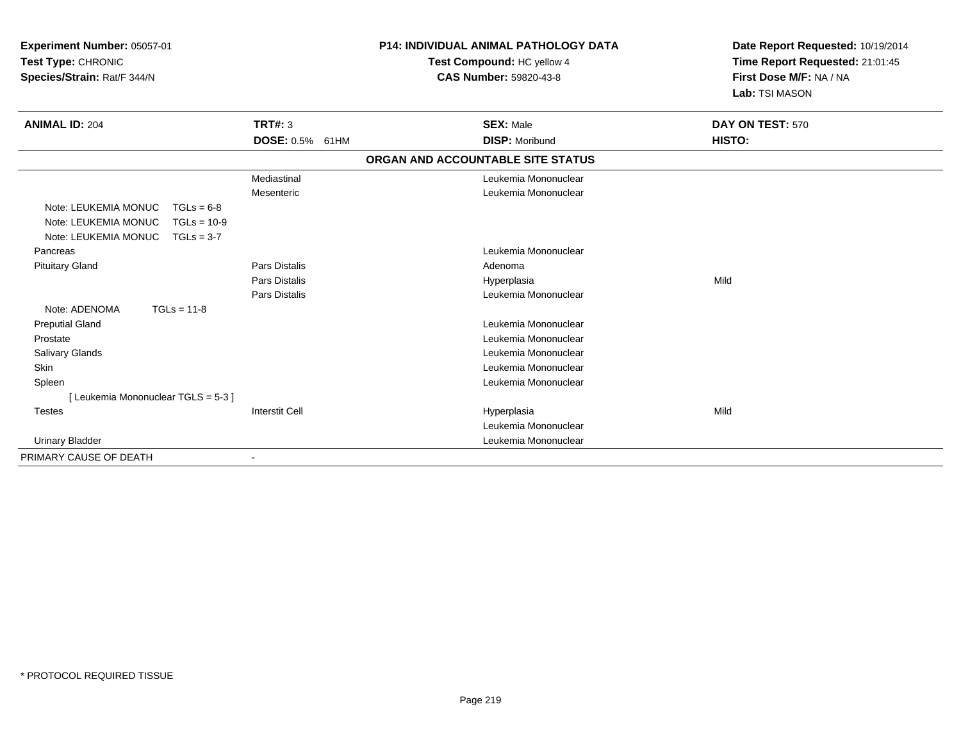| Experiment Number: 05057-01<br>Test Type: CHRONIC<br>Species/Strain: Rat/F 344/N                                      |                        | <b>P14: INDIVIDUAL ANIMAL PATHOLOGY DATA</b><br>Test Compound: HC yellow 4<br><b>CAS Number: 59820-43-8</b> | Date Report Requested: 10/19/2014<br>Time Report Requested: 21:01:45<br>First Dose M/F: NA / NA<br>Lab: TSI MASON |  |
|-----------------------------------------------------------------------------------------------------------------------|------------------------|-------------------------------------------------------------------------------------------------------------|-------------------------------------------------------------------------------------------------------------------|--|
| <b>ANIMAL ID: 204</b>                                                                                                 | <b>TRT#: 3</b>         | <b>SEX: Male</b>                                                                                            | DAY ON TEST: 570                                                                                                  |  |
|                                                                                                                       | <b>DOSE: 0.5% 61HM</b> | <b>DISP: Moribund</b>                                                                                       | HISTO:                                                                                                            |  |
|                                                                                                                       |                        | ORGAN AND ACCOUNTABLE SITE STATUS                                                                           |                                                                                                                   |  |
|                                                                                                                       | Mediastinal            | Leukemia Mononuclear                                                                                        |                                                                                                                   |  |
|                                                                                                                       | Mesenteric             | Leukemia Mononuclear                                                                                        |                                                                                                                   |  |
| Note: LEUKEMIA MONUC<br>$TGLs = 6-8$<br>Note: LEUKEMIA MONUC<br>$TGLs = 10-9$<br>Note: LEUKEMIA MONUC<br>$TGLs = 3-7$ |                        |                                                                                                             |                                                                                                                   |  |
| Pancreas                                                                                                              |                        | Leukemia Mononuclear                                                                                        |                                                                                                                   |  |
| <b>Pituitary Gland</b>                                                                                                | <b>Pars Distalis</b>   | Adenoma                                                                                                     |                                                                                                                   |  |
|                                                                                                                       | <b>Pars Distalis</b>   | Hyperplasia                                                                                                 | Mild                                                                                                              |  |
|                                                                                                                       | <b>Pars Distalis</b>   | Leukemia Mononuclear                                                                                        |                                                                                                                   |  |
| Note: ADENOMA<br>$TGLs = 11-8$                                                                                        |                        |                                                                                                             |                                                                                                                   |  |
| <b>Preputial Gland</b>                                                                                                |                        | Leukemia Mononuclear                                                                                        |                                                                                                                   |  |
| Prostate                                                                                                              |                        | Leukemia Mononuclear                                                                                        |                                                                                                                   |  |
| Salivary Glands                                                                                                       |                        | Leukemia Mononuclear                                                                                        |                                                                                                                   |  |
| Skin                                                                                                                  |                        | Leukemia Mononuclear                                                                                        |                                                                                                                   |  |
| Spleen                                                                                                                |                        | Leukemia Mononuclear                                                                                        |                                                                                                                   |  |
| [Leukemia Mononuclear TGLS = 5-3]                                                                                     |                        |                                                                                                             |                                                                                                                   |  |
| <b>Testes</b>                                                                                                         | <b>Interstit Cell</b>  | Hyperplasia                                                                                                 | Mild                                                                                                              |  |
|                                                                                                                       |                        | Leukemia Mononuclear                                                                                        |                                                                                                                   |  |
| <b>Urinary Bladder</b>                                                                                                |                        | Leukemia Mononuclear                                                                                        |                                                                                                                   |  |
| PRIMARY CAUSE OF DEATH                                                                                                |                        |                                                                                                             |                                                                                                                   |  |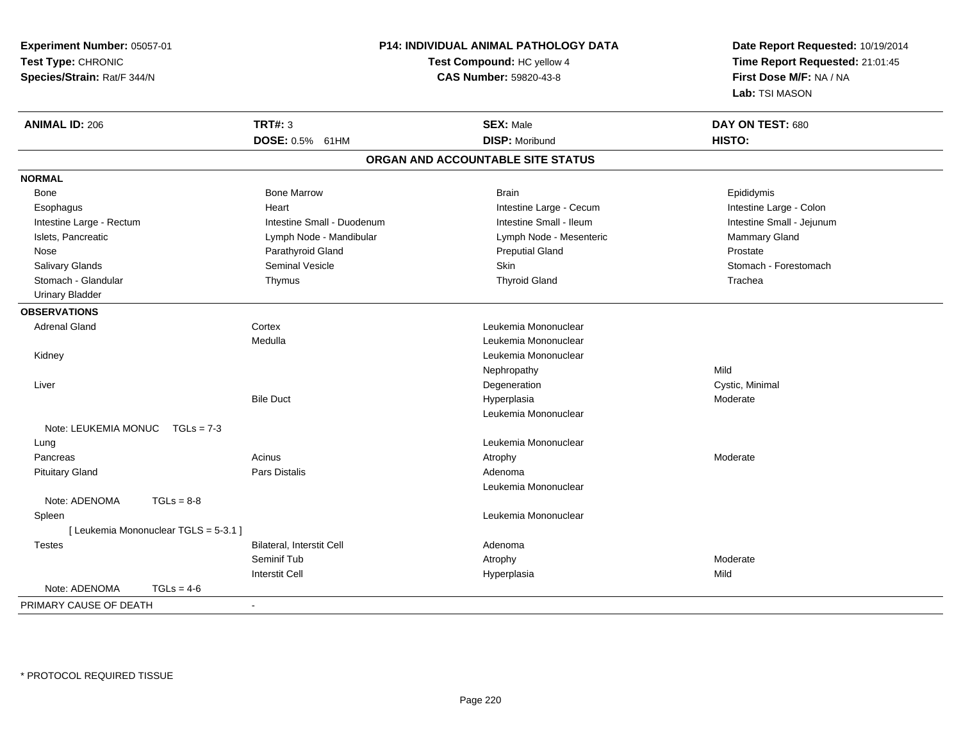**Experiment Number:** 05057-01**Test Type:** CHRONIC **Species/Strain:** Rat/F 344/N**P14: INDIVIDUAL ANIMAL PATHOLOGY DATATest Compound:** HC yellow 4**CAS Number:** 59820-43-8**Date Report Requested:** 10/19/2014**Time Report Requested:** 21:01:45**First Dose M/F:** NA / NA**Lab:** TSI MASON**ANIMAL ID:** 206**TRT#:** 3 **SEX:** Male **DAY ON TEST:** 680 **DOSE:** 0.5% 61HM**DISP:** Moribund **HISTO: ORGAN AND ACCOUNTABLE SITE STATUSNORMAL**Bone Bone Bone Marrow Bone Harrow Brain Brain Brain Brain Brain Brain Brain Brain Brain Brain Brain Brain Brain Brain Intestine Large - Colon Esophagus **Intestine Large - Cecum Intestine Large - Cecum** Intestine Large - Cecum Intestine Small - Jejunum Intestine Large - Rectum **Intestine Small - Duodenum** Intestine Small - Ileum Intestine Small - Ileum Islets, Pancreatic **School and Mannish Commary Cland** Lymph Node - Mandibular Lymph Node - Mesenteric Mammary Gland Nose Parathyroid Gland Preputial Gland Prostate Stomach - Forestomach Salivary Glands Summath Seminal Vesicle Seminal Vesicle Skin Skin Stomach - Forestomach - Stomach - Forestomach - Stomach - Stomach - Stomach - Stomach - Stomach - Stomach - Stomach - Stomach - Stomach - Stomach - Stomach Stomach - Glandular Thymus Thyroid Gland Trachea Urinary Bladder**OBSERVATIONS** Adrenal Gland Cortex Leukemia Mononuclear Medulla Leukemia Mononuclear Kidney Leukemia Mononuclear Nephropathyy Mild n Cystic, Minimal Liver DegenerationBile Duct Hyperplasia Moderate Leukemia MononuclearNote: LEUKEMIA MONUC TGLs = 7-3 Lung Leukemia Mononuclear Pancreass and the contract of the Acinus and the Acinus and the Atrophy and the Moderate Moderate  $\sim$  Moderate  $\sim$  Pituitary Glandd and the contract of Pars Distalis and the contract of Adenoma and Adenoma and the Adenoma and the Adenoma and  $\lambda$ Leukemia MononuclearNote: ADENOMA TGLs = 8-8 Spleen Leukemia Mononuclear [ Leukemia Mononuclear TGLS = 5-3.1 ] TestesBilateral, Interstit Cell **Adenoma** Adenoma Seminif Tubb and the control of the control of the control of the control of the control of the control of the control of  $\mathbb{A}$ Interstit Cell Hyperplasiaa Mild Note: ADENOMA TGLs = 4-6PRIMARY CAUSE OF DEATH-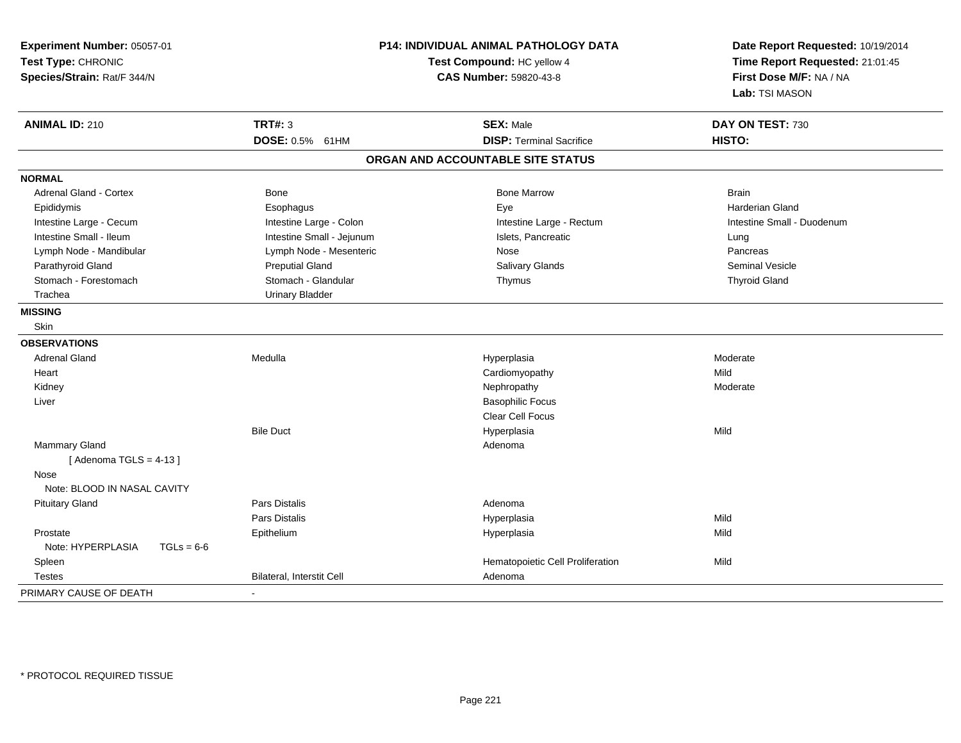| Experiment Number: 05057-01<br>Test Type: CHRONIC<br>Species/Strain: Rat/F 344/N | <b>P14: INDIVIDUAL ANIMAL PATHOLOGY DATA</b><br>Test Compound: HC yellow 4<br>CAS Number: 59820-43-8 |                                   | Date Report Requested: 10/19/2014<br>Time Report Requested: 21:01:45<br>First Dose M/F: NA / NA<br>Lab: TSI MASON |  |
|----------------------------------------------------------------------------------|------------------------------------------------------------------------------------------------------|-----------------------------------|-------------------------------------------------------------------------------------------------------------------|--|
| <b>ANIMAL ID: 210</b>                                                            | <b>TRT#: 3</b>                                                                                       | <b>SEX: Male</b>                  | DAY ON TEST: 730                                                                                                  |  |
|                                                                                  | DOSE: 0.5% 61HM                                                                                      | <b>DISP: Terminal Sacrifice</b>   | HISTO:                                                                                                            |  |
|                                                                                  |                                                                                                      | ORGAN AND ACCOUNTABLE SITE STATUS |                                                                                                                   |  |
| <b>NORMAL</b>                                                                    |                                                                                                      |                                   |                                                                                                                   |  |
| <b>Adrenal Gland - Cortex</b>                                                    | Bone                                                                                                 | <b>Bone Marrow</b>                | <b>Brain</b>                                                                                                      |  |
| Epididymis                                                                       | Esophagus                                                                                            | Eye                               | <b>Harderian Gland</b>                                                                                            |  |
| Intestine Large - Cecum                                                          | Intestine Large - Colon                                                                              | Intestine Large - Rectum          | Intestine Small - Duodenum                                                                                        |  |
| Intestine Small - Ileum                                                          | Intestine Small - Jejunum                                                                            | Islets, Pancreatic                | Lung                                                                                                              |  |
| Lymph Node - Mandibular                                                          | Lymph Node - Mesenteric                                                                              | Nose                              | Pancreas                                                                                                          |  |
| Parathyroid Gland                                                                | <b>Preputial Gland</b>                                                                               | Salivary Glands                   | <b>Seminal Vesicle</b>                                                                                            |  |
| Stomach - Forestomach                                                            | Stomach - Glandular                                                                                  | Thymus                            | <b>Thyroid Gland</b>                                                                                              |  |
| Trachea                                                                          | <b>Urinary Bladder</b>                                                                               |                                   |                                                                                                                   |  |
| <b>MISSING</b>                                                                   |                                                                                                      |                                   |                                                                                                                   |  |
| Skin                                                                             |                                                                                                      |                                   |                                                                                                                   |  |
| <b>OBSERVATIONS</b>                                                              |                                                                                                      |                                   |                                                                                                                   |  |
| <b>Adrenal Gland</b>                                                             | Medulla                                                                                              | Hyperplasia                       | Moderate                                                                                                          |  |
| Heart                                                                            |                                                                                                      | Cardiomyopathy                    | Mild                                                                                                              |  |
| Kidney                                                                           |                                                                                                      | Nephropathy                       | Moderate                                                                                                          |  |
| Liver                                                                            |                                                                                                      | <b>Basophilic Focus</b>           |                                                                                                                   |  |
|                                                                                  |                                                                                                      | Clear Cell Focus                  |                                                                                                                   |  |
|                                                                                  | <b>Bile Duct</b>                                                                                     | Hyperplasia                       | Mild                                                                                                              |  |
| Mammary Gland                                                                    |                                                                                                      | Adenoma                           |                                                                                                                   |  |
| [Adenoma TGLS = $4-13$ ]                                                         |                                                                                                      |                                   |                                                                                                                   |  |
| Nose<br>Note: BLOOD IN NASAL CAVITY                                              |                                                                                                      |                                   |                                                                                                                   |  |
| <b>Pituitary Gland</b>                                                           | Pars Distalis                                                                                        | Adenoma                           |                                                                                                                   |  |
|                                                                                  | Pars Distalis                                                                                        | Hyperplasia                       | Mild                                                                                                              |  |
| Prostate                                                                         | Epithelium                                                                                           | Hyperplasia                       | Mild                                                                                                              |  |
| Note: HYPERPLASIA<br>$TGLs = 6-6$                                                |                                                                                                      |                                   |                                                                                                                   |  |
| Spleen                                                                           |                                                                                                      | Hematopoietic Cell Proliferation  | Mild                                                                                                              |  |
| <b>Testes</b>                                                                    | Bilateral, Interstit Cell                                                                            | Adenoma                           |                                                                                                                   |  |
| PRIMARY CAUSE OF DEATH                                                           | $\sim$                                                                                               |                                   |                                                                                                                   |  |
|                                                                                  |                                                                                                      |                                   |                                                                                                                   |  |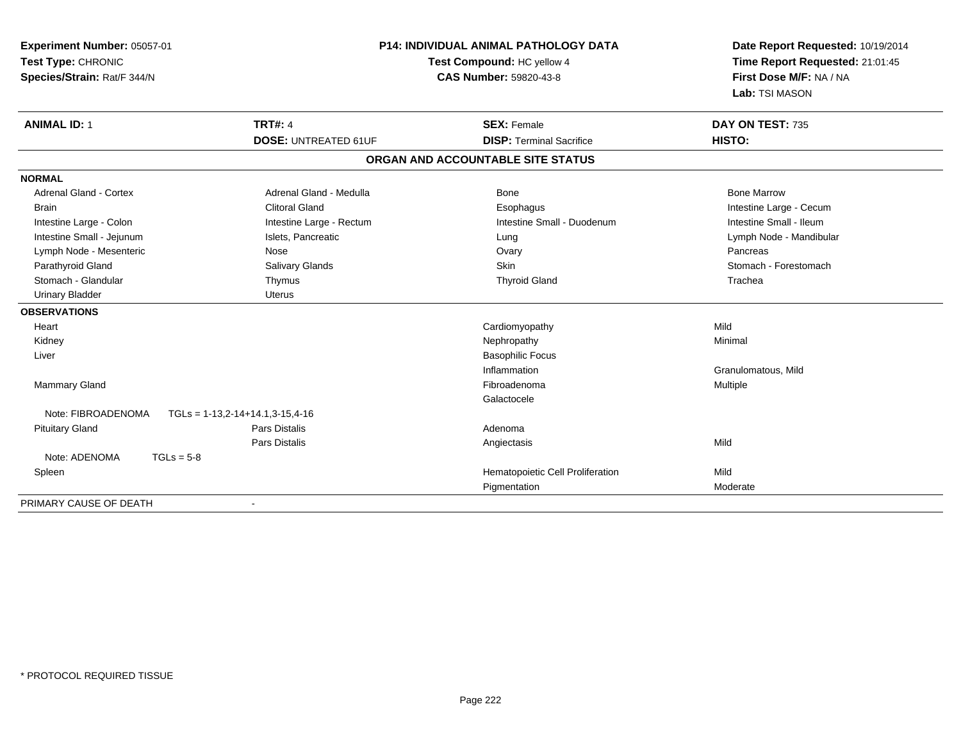| Experiment Number: 05057-01<br>Test Type: CHRONIC<br>Species/Strain: Rat/F 344/N | <b>P14: INDIVIDUAL ANIMAL PATHOLOGY DATA</b><br>Test Compound: HC yellow 4<br><b>CAS Number: 59820-43-8</b> |                                   | Date Report Requested: 10/19/2014<br>Time Report Requested: 21:01:45<br>First Dose M/F: NA / NA<br>Lab: TSI MASON |  |
|----------------------------------------------------------------------------------|-------------------------------------------------------------------------------------------------------------|-----------------------------------|-------------------------------------------------------------------------------------------------------------------|--|
| <b>ANIMAL ID: 1</b>                                                              | <b>TRT#: 4</b>                                                                                              | <b>SEX: Female</b>                | DAY ON TEST: 735                                                                                                  |  |
|                                                                                  | <b>DOSE: UNTREATED 61UF</b>                                                                                 | <b>DISP: Terminal Sacrifice</b>   | HISTO:                                                                                                            |  |
|                                                                                  |                                                                                                             | ORGAN AND ACCOUNTABLE SITE STATUS |                                                                                                                   |  |
| <b>NORMAL</b>                                                                    |                                                                                                             |                                   |                                                                                                                   |  |
| <b>Adrenal Gland - Cortex</b>                                                    | Adrenal Gland - Medulla                                                                                     | Bone                              | <b>Bone Marrow</b>                                                                                                |  |
| Brain                                                                            | <b>Clitoral Gland</b>                                                                                       | Esophagus                         | Intestine Large - Cecum                                                                                           |  |
| Intestine Large - Colon                                                          | Intestine Large - Rectum                                                                                    | Intestine Small - Duodenum        | Intestine Small - Ileum                                                                                           |  |
| Intestine Small - Jejunum                                                        | Islets, Pancreatic                                                                                          | Lung                              | Lymph Node - Mandibular                                                                                           |  |
| Lymph Node - Mesenteric                                                          | Nose                                                                                                        | Ovary                             | Pancreas                                                                                                          |  |
| Parathyroid Gland                                                                | Salivary Glands                                                                                             | Skin                              | Stomach - Forestomach                                                                                             |  |
| Stomach - Glandular                                                              | Thymus                                                                                                      | <b>Thyroid Gland</b>              | Trachea                                                                                                           |  |
| <b>Urinary Bladder</b>                                                           | <b>Uterus</b>                                                                                               |                                   |                                                                                                                   |  |
| <b>OBSERVATIONS</b>                                                              |                                                                                                             |                                   |                                                                                                                   |  |
| Heart                                                                            |                                                                                                             | Cardiomyopathy                    | Mild                                                                                                              |  |
| Kidney                                                                           |                                                                                                             | Nephropathy                       | Minimal                                                                                                           |  |
| Liver                                                                            |                                                                                                             | <b>Basophilic Focus</b>           |                                                                                                                   |  |
|                                                                                  |                                                                                                             | Inflammation                      | Granulomatous, Mild                                                                                               |  |
| <b>Mammary Gland</b>                                                             |                                                                                                             | Fibroadenoma                      | Multiple                                                                                                          |  |
|                                                                                  |                                                                                                             | Galactocele                       |                                                                                                                   |  |
| Note: FIBROADENOMA                                                               | $TGLs = 1-13,2-14+14.1,3-15,4-16$                                                                           |                                   |                                                                                                                   |  |
| <b>Pituitary Gland</b>                                                           | <b>Pars Distalis</b>                                                                                        | Adenoma                           |                                                                                                                   |  |
|                                                                                  | <b>Pars Distalis</b>                                                                                        | Angiectasis                       | Mild                                                                                                              |  |
| Note: ADENOMA<br>$TGLs = 5-8$                                                    |                                                                                                             |                                   |                                                                                                                   |  |
| Spleen                                                                           |                                                                                                             | Hematopoietic Cell Proliferation  | Mild                                                                                                              |  |
|                                                                                  |                                                                                                             | Pigmentation                      | Moderate                                                                                                          |  |
| PRIMARY CAUSE OF DEATH                                                           |                                                                                                             |                                   |                                                                                                                   |  |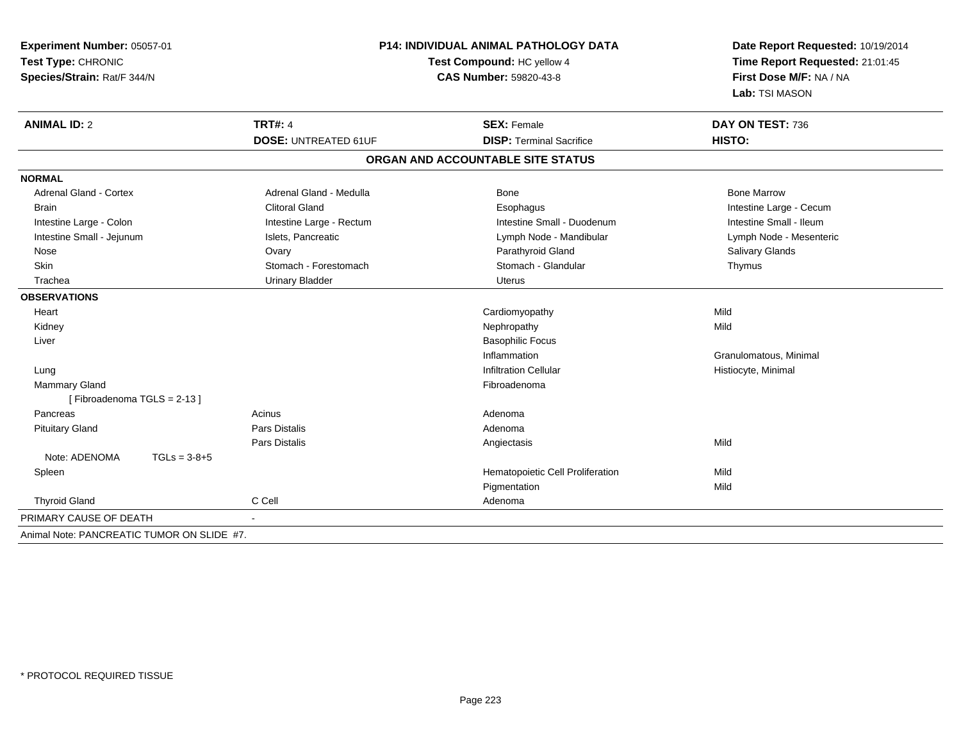| P14: INDIVIDUAL ANIMAL PATHOLOGY DATA<br>Experiment Number: 05057-01<br>Test Type: CHRONIC<br>Test Compound: HC yellow 4<br>Species/Strain: Rat/F 344/N<br><b>CAS Number: 59820-43-8</b> |                                               |                                                       | Date Report Requested: 10/19/2014<br>Time Report Requested: 21:01:45<br>First Dose M/F: NA / NA<br>Lab: TSI MASON |  |
|------------------------------------------------------------------------------------------------------------------------------------------------------------------------------------------|-----------------------------------------------|-------------------------------------------------------|-------------------------------------------------------------------------------------------------------------------|--|
| <b>ANIMAL ID: 2</b>                                                                                                                                                                      | <b>TRT#: 4</b><br><b>DOSE: UNTREATED 61UF</b> | <b>SEX: Female</b><br><b>DISP: Terminal Sacrifice</b> | DAY ON TEST: 736<br>HISTO:                                                                                        |  |
|                                                                                                                                                                                          |                                               |                                                       |                                                                                                                   |  |
|                                                                                                                                                                                          |                                               | ORGAN AND ACCOUNTABLE SITE STATUS                     |                                                                                                                   |  |
| <b>NORMAL</b>                                                                                                                                                                            |                                               |                                                       |                                                                                                                   |  |
| <b>Adrenal Gland - Cortex</b>                                                                                                                                                            | Adrenal Gland - Medulla                       | <b>Bone</b>                                           | <b>Bone Marrow</b>                                                                                                |  |
| <b>Brain</b>                                                                                                                                                                             | Clitoral Gland                                | Esophagus                                             | Intestine Large - Cecum                                                                                           |  |
| Intestine Large - Colon                                                                                                                                                                  | Intestine Large - Rectum                      | Intestine Small - Duodenum                            | Intestine Small - Ileum                                                                                           |  |
| Intestine Small - Jejunum                                                                                                                                                                | Islets, Pancreatic                            | Lymph Node - Mandibular                               | Lymph Node - Mesenteric                                                                                           |  |
| Nose                                                                                                                                                                                     | Ovary                                         | Parathyroid Gland                                     | <b>Salivary Glands</b>                                                                                            |  |
| Skin                                                                                                                                                                                     | Stomach - Forestomach                         | Stomach - Glandular                                   | Thymus                                                                                                            |  |
| Trachea                                                                                                                                                                                  | <b>Urinary Bladder</b>                        | <b>Uterus</b>                                         |                                                                                                                   |  |
| <b>OBSERVATIONS</b>                                                                                                                                                                      |                                               |                                                       |                                                                                                                   |  |
| Heart                                                                                                                                                                                    |                                               | Cardiomyopathy                                        | Mild                                                                                                              |  |
| Kidney                                                                                                                                                                                   |                                               | Nephropathy                                           | Mild                                                                                                              |  |
| Liver                                                                                                                                                                                    |                                               | <b>Basophilic Focus</b>                               |                                                                                                                   |  |
|                                                                                                                                                                                          |                                               | Inflammation                                          | Granulomatous, Minimal                                                                                            |  |
| Lung                                                                                                                                                                                     |                                               | <b>Infiltration Cellular</b>                          | Histiocyte, Minimal                                                                                               |  |
| Mammary Gland                                                                                                                                                                            |                                               | Fibroadenoma                                          |                                                                                                                   |  |
| [Fibroadenoma TGLS = 2-13]                                                                                                                                                               |                                               |                                                       |                                                                                                                   |  |
| Pancreas                                                                                                                                                                                 | Acinus                                        | Adenoma                                               |                                                                                                                   |  |
| <b>Pituitary Gland</b>                                                                                                                                                                   | <b>Pars Distalis</b>                          | Adenoma                                               |                                                                                                                   |  |
|                                                                                                                                                                                          | Pars Distalis                                 | Angiectasis                                           | Mild                                                                                                              |  |
| Note: ADENOMA<br>$TGLs = 3-8+5$                                                                                                                                                          |                                               |                                                       |                                                                                                                   |  |
| Spleen                                                                                                                                                                                   |                                               | Hematopoietic Cell Proliferation                      | Mild                                                                                                              |  |
|                                                                                                                                                                                          |                                               | Pigmentation                                          | Mild                                                                                                              |  |
| <b>Thyroid Gland</b>                                                                                                                                                                     | C Cell                                        | Adenoma                                               |                                                                                                                   |  |
| PRIMARY CAUSE OF DEATH                                                                                                                                                                   |                                               |                                                       |                                                                                                                   |  |
| Animal Note: PANCREATIC TUMOR ON SLIDE #7.                                                                                                                                               |                                               |                                                       |                                                                                                                   |  |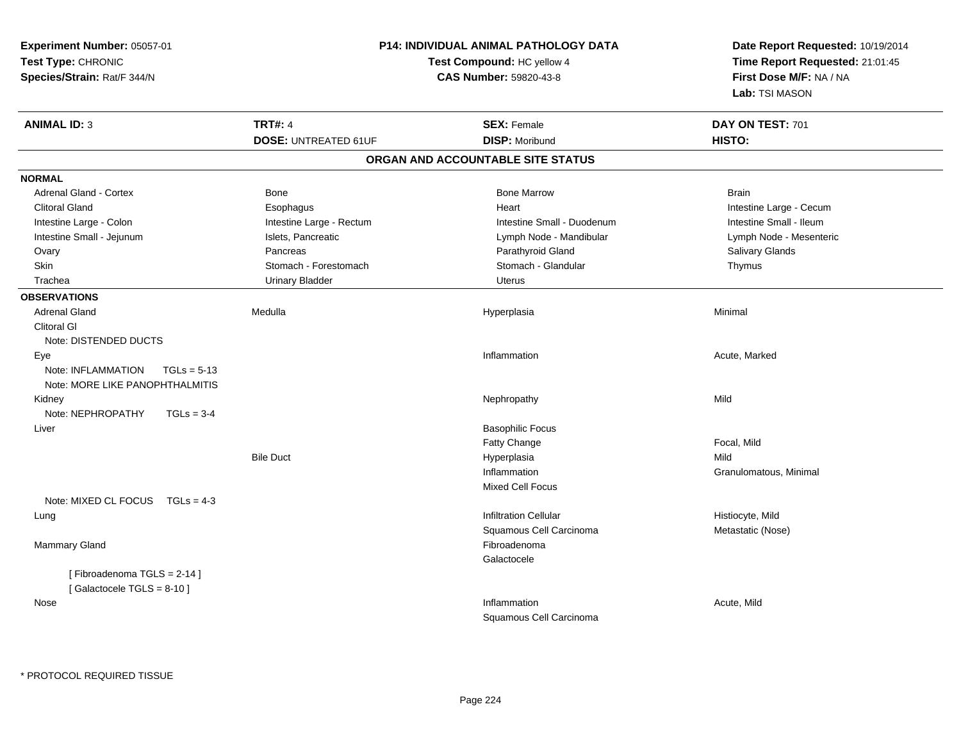| Experiment Number: 05057-01<br>Test Type: CHRONIC<br>Species/Strain: Rat/F 344/N |                             | <b>P14: INDIVIDUAL ANIMAL PATHOLOGY DATA</b><br>Test Compound: HC yellow 4<br><b>CAS Number: 59820-43-8</b> | Date Report Requested: 10/19/2014<br>Time Report Requested: 21:01:45<br>First Dose M/F: NA / NA<br>Lab: TSI MASON |
|----------------------------------------------------------------------------------|-----------------------------|-------------------------------------------------------------------------------------------------------------|-------------------------------------------------------------------------------------------------------------------|
| <b>ANIMAL ID: 3</b>                                                              | <b>TRT#: 4</b>              | <b>SEX: Female</b>                                                                                          | DAY ON TEST: 701                                                                                                  |
|                                                                                  | <b>DOSE: UNTREATED 61UF</b> | <b>DISP: Moribund</b>                                                                                       | HISTO:                                                                                                            |
|                                                                                  |                             | ORGAN AND ACCOUNTABLE SITE STATUS                                                                           |                                                                                                                   |
| <b>NORMAL</b>                                                                    |                             |                                                                                                             |                                                                                                                   |
| Adrenal Gland - Cortex                                                           | Bone                        | <b>Bone Marrow</b>                                                                                          | <b>Brain</b>                                                                                                      |
| <b>Clitoral Gland</b>                                                            | Esophagus                   | Heart                                                                                                       | Intestine Large - Cecum                                                                                           |
| Intestine Large - Colon                                                          | Intestine Large - Rectum    | Intestine Small - Duodenum                                                                                  | Intestine Small - Ileum                                                                                           |
| Intestine Small - Jejunum                                                        | Islets, Pancreatic          | Lymph Node - Mandibular                                                                                     | Lymph Node - Mesenteric                                                                                           |
| Ovary                                                                            | Pancreas                    | Parathyroid Gland                                                                                           | Salivary Glands                                                                                                   |
| Skin                                                                             | Stomach - Forestomach       | Stomach - Glandular                                                                                         | Thymus                                                                                                            |
| Trachea                                                                          | <b>Urinary Bladder</b>      | Uterus                                                                                                      |                                                                                                                   |
| <b>OBSERVATIONS</b>                                                              |                             |                                                                                                             |                                                                                                                   |
| <b>Adrenal Gland</b>                                                             | Medulla                     | Hyperplasia                                                                                                 | Minimal                                                                                                           |
| <b>Clitoral GI</b>                                                               |                             |                                                                                                             |                                                                                                                   |
| Note: DISTENDED DUCTS                                                            |                             |                                                                                                             |                                                                                                                   |
| Eye                                                                              |                             | Inflammation                                                                                                | Acute, Marked                                                                                                     |
| Note: INFLAMMATION<br>$TGLs = 5-13$                                              |                             |                                                                                                             |                                                                                                                   |
| Note: MORE LIKE PANOPHTHALMITIS                                                  |                             |                                                                                                             |                                                                                                                   |
| Kidney                                                                           |                             | Nephropathy                                                                                                 | Mild                                                                                                              |
| Note: NEPHROPATHY<br>$TGLs = 3-4$                                                |                             |                                                                                                             |                                                                                                                   |
| Liver                                                                            |                             | <b>Basophilic Focus</b>                                                                                     |                                                                                                                   |
|                                                                                  |                             | Fatty Change                                                                                                | Focal, Mild                                                                                                       |
|                                                                                  | <b>Bile Duct</b>            | Hyperplasia                                                                                                 | Mild                                                                                                              |
|                                                                                  |                             | Inflammation                                                                                                | Granulomatous, Minimal                                                                                            |
|                                                                                  |                             | <b>Mixed Cell Focus</b>                                                                                     |                                                                                                                   |
| Note: MIXED CL FOCUS $TGLs = 4-3$                                                |                             |                                                                                                             |                                                                                                                   |
| Lung                                                                             |                             | <b>Infiltration Cellular</b>                                                                                | Histiocyte, Mild                                                                                                  |
|                                                                                  |                             | Squamous Cell Carcinoma                                                                                     | Metastatic (Nose)                                                                                                 |
| Mammary Gland                                                                    |                             | Fibroadenoma                                                                                                |                                                                                                                   |
| [Fibroadenoma TGLS = 2-14]                                                       |                             | Galactocele                                                                                                 |                                                                                                                   |
| [Galactocele TGLS = 8-10]                                                        |                             |                                                                                                             |                                                                                                                   |
| Nose                                                                             |                             | Inflammation                                                                                                | Acute, Mild                                                                                                       |
|                                                                                  |                             | Squamous Cell Carcinoma                                                                                     |                                                                                                                   |
|                                                                                  |                             |                                                                                                             |                                                                                                                   |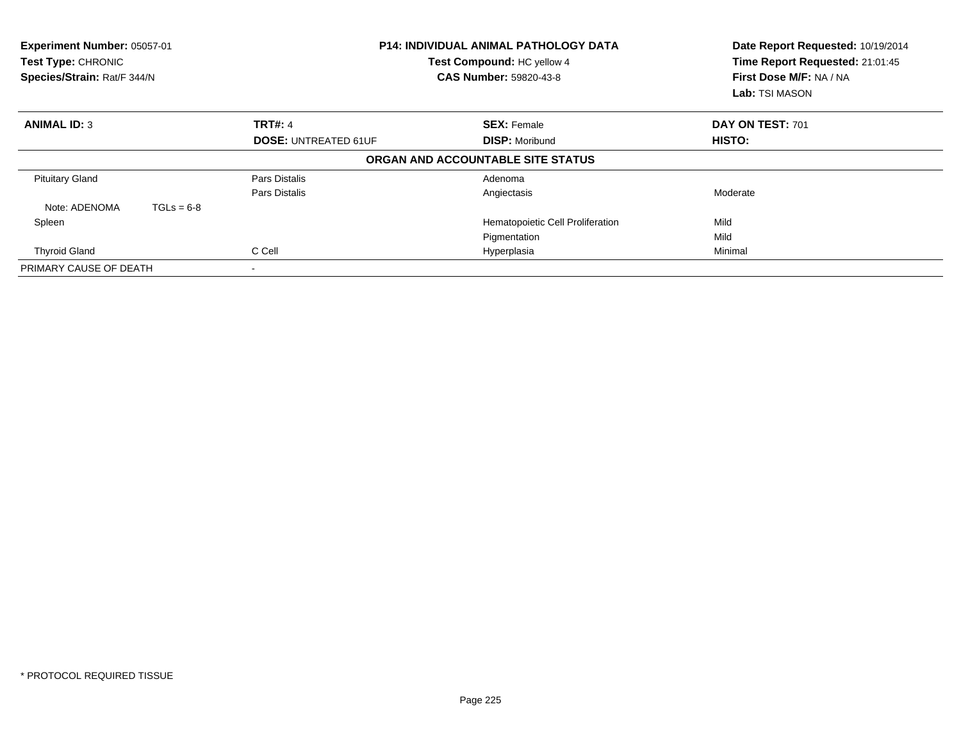| <b>P14: INDIVIDUAL ANIMAL PATHOLOGY DATA</b><br>Experiment Number: 05057-01<br>Test Compound: HC yellow 4<br>Test Type: CHRONIC<br>Species/Strain: Rat/F 344/N<br><b>CAS Number: 59820-43-8</b> |                             |                                   | Date Report Requested: 10/19/2014<br>Time Report Requested: 21:01:45<br>First Dose M/F: NA / NA<br><b>Lab:</b> TSI MASON |  |
|-------------------------------------------------------------------------------------------------------------------------------------------------------------------------------------------------|-----------------------------|-----------------------------------|--------------------------------------------------------------------------------------------------------------------------|--|
| <b>ANIMAL ID: 3</b>                                                                                                                                                                             | <b>TRT#: 4</b>              | <b>SEX: Female</b>                | DAY ON TEST: 701                                                                                                         |  |
|                                                                                                                                                                                                 | <b>DOSE: UNTREATED 61UF</b> | <b>DISP: Moribund</b>             | <b>HISTO:</b>                                                                                                            |  |
|                                                                                                                                                                                                 |                             | ORGAN AND ACCOUNTABLE SITE STATUS |                                                                                                                          |  |
| <b>Pituitary Gland</b>                                                                                                                                                                          | Pars Distalis               | Adenoma                           |                                                                                                                          |  |
|                                                                                                                                                                                                 | Pars Distalis               | Angiectasis                       | Moderate                                                                                                                 |  |
| Note: ADENOMA<br>$TGLs = 6-8$                                                                                                                                                                   |                             |                                   |                                                                                                                          |  |
| Spleen                                                                                                                                                                                          |                             | Hematopoietic Cell Proliferation  | Mild                                                                                                                     |  |
|                                                                                                                                                                                                 |                             | Pigmentation                      | Mild                                                                                                                     |  |
| <b>Thyroid Gland</b>                                                                                                                                                                            | C Cell<br>Hyperplasia       |                                   | Minimal                                                                                                                  |  |
| PRIMARY CAUSE OF DEATH                                                                                                                                                                          |                             |                                   |                                                                                                                          |  |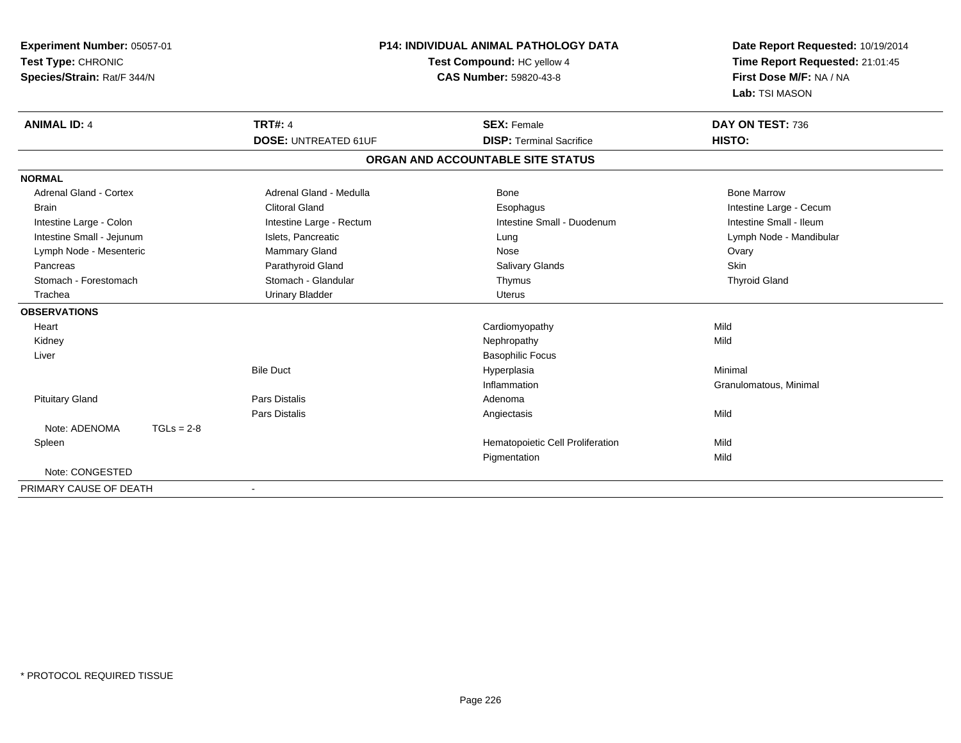| Experiment Number: 05057-01<br>Test Type: CHRONIC<br>Species/Strain: Rat/F 344/N | P14: INDIVIDUAL ANIMAL PATHOLOGY DATA<br>Test Compound: HC yellow 4<br>CAS Number: 59820-43-8 |                                                       | Date Report Requested: 10/19/2014<br>Time Report Requested: 21:01:45<br>First Dose M/F: NA / NA<br>Lab: TSI MASON |
|----------------------------------------------------------------------------------|-----------------------------------------------------------------------------------------------|-------------------------------------------------------|-------------------------------------------------------------------------------------------------------------------|
| <b>TRT#: 4</b><br><b>ANIMAL ID: 4</b>                                            | <b>DOSE: UNTREATED 61UF</b>                                                                   | <b>SEX: Female</b><br><b>DISP: Terminal Sacrifice</b> | DAY ON TEST: 736<br>HISTO:                                                                                        |
|                                                                                  |                                                                                               |                                                       |                                                                                                                   |
|                                                                                  |                                                                                               | ORGAN AND ACCOUNTABLE SITE STATUS                     |                                                                                                                   |
| <b>NORMAL</b>                                                                    |                                                                                               |                                                       |                                                                                                                   |
| <b>Adrenal Gland - Cortex</b>                                                    | Adrenal Gland - Medulla                                                                       | Bone                                                  | <b>Bone Marrow</b>                                                                                                |
| <b>Brain</b>                                                                     | <b>Clitoral Gland</b>                                                                         | Esophagus                                             | Intestine Large - Cecum                                                                                           |
| Intestine Large - Colon                                                          | Intestine Large - Rectum                                                                      | Intestine Small - Duodenum                            | Intestine Small - Ileum                                                                                           |
| Intestine Small - Jejunum                                                        | Islets, Pancreatic                                                                            | Lung                                                  | Lymph Node - Mandibular                                                                                           |
| Lymph Node - Mesenteric<br>Pancreas                                              | <b>Mammary Gland</b><br>Parathyroid Gland                                                     | Nose                                                  | Ovary<br>Skin                                                                                                     |
| Stomach - Forestomach                                                            | Stomach - Glandular                                                                           | <b>Salivary Glands</b><br>Thymus                      | <b>Thyroid Gland</b>                                                                                              |
| Trachea                                                                          | <b>Urinary Bladder</b>                                                                        | <b>Uterus</b>                                         |                                                                                                                   |
| <b>OBSERVATIONS</b>                                                              |                                                                                               |                                                       |                                                                                                                   |
|                                                                                  |                                                                                               |                                                       | Mild                                                                                                              |
| Heart<br>Kidney                                                                  |                                                                                               | Cardiomyopathy<br>Nephropathy                         | Mild                                                                                                              |
| Liver                                                                            |                                                                                               | <b>Basophilic Focus</b>                               |                                                                                                                   |
| <b>Bile Duct</b>                                                                 |                                                                                               | Hyperplasia                                           | Minimal                                                                                                           |
|                                                                                  |                                                                                               | Inflammation                                          | Granulomatous, Minimal                                                                                            |
| <b>Pars Distalis</b><br><b>Pituitary Gland</b>                                   |                                                                                               | Adenoma                                               |                                                                                                                   |
| Pars Distalis                                                                    |                                                                                               | Angiectasis                                           | Mild                                                                                                              |
| Note: ADENOMA<br>$TGLs = 2-8$                                                    |                                                                                               |                                                       |                                                                                                                   |
| Spleen                                                                           |                                                                                               | Hematopoietic Cell Proliferation                      | Mild                                                                                                              |
|                                                                                  |                                                                                               | Pigmentation                                          | Mild                                                                                                              |
| Note: CONGESTED                                                                  |                                                                                               |                                                       |                                                                                                                   |
| PRIMARY CAUSE OF DEATH                                                           |                                                                                               |                                                       |                                                                                                                   |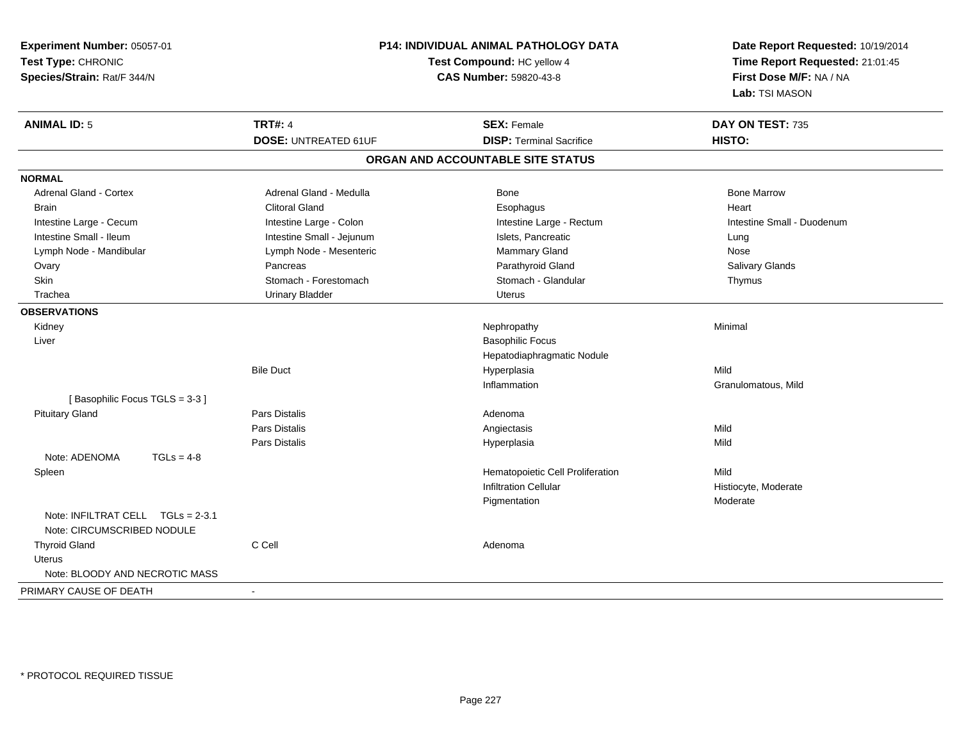| Experiment Number: 05057-01<br>Test Type: CHRONIC<br>Species/Strain: Rat/F 344/N | P14: INDIVIDUAL ANIMAL PATHOLOGY DATA<br>Test Compound: HC yellow 4<br>CAS Number: 59820-43-8 |                                   | Date Report Requested: 10/19/2014<br>Time Report Requested: 21:01:45<br>First Dose M/F: NA / NA<br>Lab: TSI MASON |
|----------------------------------------------------------------------------------|-----------------------------------------------------------------------------------------------|-----------------------------------|-------------------------------------------------------------------------------------------------------------------|
| <b>ANIMAL ID: 5</b>                                                              | <b>TRT#: 4</b>                                                                                | <b>SEX: Female</b>                | DAY ON TEST: 735                                                                                                  |
|                                                                                  | <b>DOSE: UNTREATED 61UF</b>                                                                   | <b>DISP: Terminal Sacrifice</b>   | HISTO:                                                                                                            |
|                                                                                  |                                                                                               | ORGAN AND ACCOUNTABLE SITE STATUS |                                                                                                                   |
| <b>NORMAL</b>                                                                    |                                                                                               |                                   |                                                                                                                   |
| Adrenal Gland - Cortex                                                           | Adrenal Gland - Medulla                                                                       | Bone                              | <b>Bone Marrow</b>                                                                                                |
| <b>Brain</b>                                                                     | <b>Clitoral Gland</b>                                                                         | Esophagus                         | Heart                                                                                                             |
| Intestine Large - Cecum                                                          | Intestine Large - Colon                                                                       | Intestine Large - Rectum          | Intestine Small - Duodenum                                                                                        |
| Intestine Small - Ileum                                                          | Intestine Small - Jejunum                                                                     | Islets, Pancreatic                | Lung                                                                                                              |
| Lymph Node - Mandibular                                                          | Lymph Node - Mesenteric                                                                       | Mammary Gland                     | Nose                                                                                                              |
| Ovary                                                                            | Pancreas                                                                                      | Parathyroid Gland                 | Salivary Glands                                                                                                   |
| Skin                                                                             | Stomach - Forestomach                                                                         | Stomach - Glandular               | Thymus                                                                                                            |
| Trachea                                                                          | <b>Urinary Bladder</b>                                                                        | <b>Uterus</b>                     |                                                                                                                   |
| <b>OBSERVATIONS</b>                                                              |                                                                                               |                                   |                                                                                                                   |
| Kidney                                                                           |                                                                                               | Nephropathy                       | Minimal                                                                                                           |
| Liver                                                                            |                                                                                               | <b>Basophilic Focus</b>           |                                                                                                                   |
|                                                                                  |                                                                                               | Hepatodiaphragmatic Nodule        |                                                                                                                   |
|                                                                                  | <b>Bile Duct</b>                                                                              | Hyperplasia                       | Mild                                                                                                              |
|                                                                                  |                                                                                               | Inflammation                      | Granulomatous, Mild                                                                                               |
| [Basophilic Focus TGLS = 3-3]                                                    |                                                                                               |                                   |                                                                                                                   |
| <b>Pituitary Gland</b>                                                           | Pars Distalis                                                                                 | Adenoma                           |                                                                                                                   |
|                                                                                  | Pars Distalis                                                                                 | Angiectasis                       | Mild                                                                                                              |
|                                                                                  | Pars Distalis                                                                                 | Hyperplasia                       | Mild                                                                                                              |
| Note: ADENOMA<br>$TGLs = 4-8$                                                    |                                                                                               |                                   |                                                                                                                   |
| Spleen                                                                           |                                                                                               | Hematopoietic Cell Proliferation  | Mild                                                                                                              |
|                                                                                  |                                                                                               | <b>Infiltration Cellular</b>      | Histiocyte, Moderate                                                                                              |
|                                                                                  |                                                                                               | Pigmentation                      | Moderate                                                                                                          |
| Note: INFILTRAT CELL TGLs = 2-3.1<br>Note: CIRCUMSCRIBED NODULE                  |                                                                                               |                                   |                                                                                                                   |
| <b>Thyroid Gland</b>                                                             | C Cell                                                                                        | Adenoma                           |                                                                                                                   |
| Uterus                                                                           |                                                                                               |                                   |                                                                                                                   |
| Note: BLOODY AND NECROTIC MASS                                                   |                                                                                               |                                   |                                                                                                                   |
| PRIMARY CAUSE OF DEATH                                                           | $\mathbf{r}$                                                                                  |                                   |                                                                                                                   |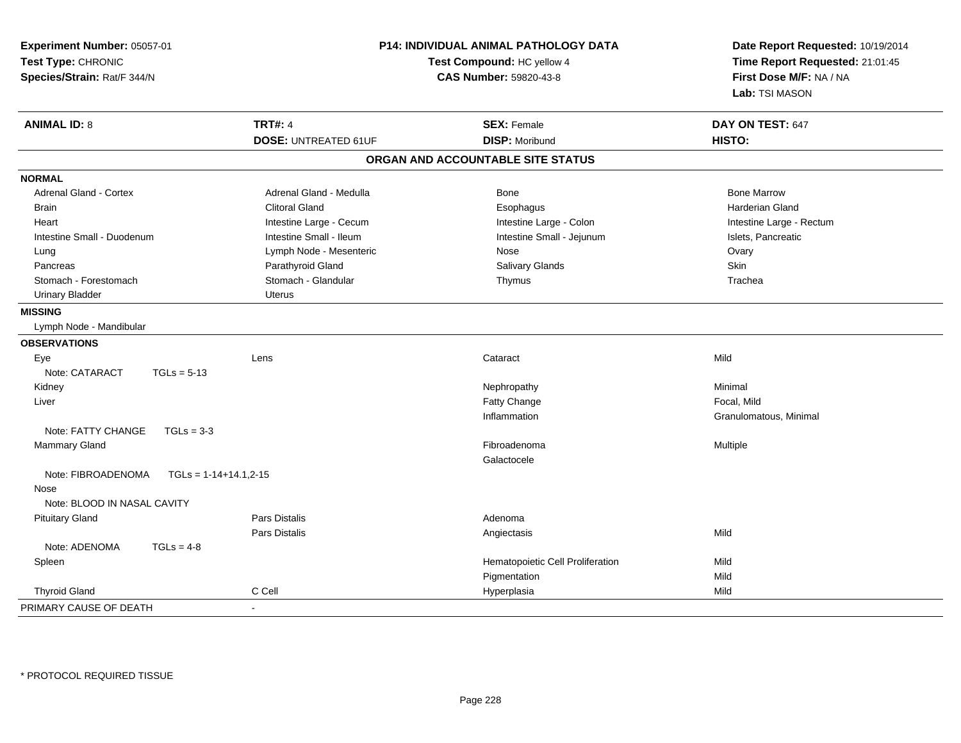| Experiment Number: 05057-01<br>Test Type: CHRONIC<br>Species/Strain: Rat/F 344/N |                             | <b>P14: INDIVIDUAL ANIMAL PATHOLOGY DATA</b><br>Test Compound: HC yellow 4<br>CAS Number: 59820-43-8 | Date Report Requested: 10/19/2014<br>Time Report Requested: 21:01:45<br>First Dose M/F: NA / NA<br>Lab: TSI MASON |  |
|----------------------------------------------------------------------------------|-----------------------------|------------------------------------------------------------------------------------------------------|-------------------------------------------------------------------------------------------------------------------|--|
| <b>ANIMAL ID: 8</b>                                                              | <b>TRT#: 4</b>              | <b>SEX: Female</b>                                                                                   | DAY ON TEST: 647                                                                                                  |  |
|                                                                                  | <b>DOSE: UNTREATED 61UF</b> | <b>DISP: Moribund</b>                                                                                | <b>HISTO:</b>                                                                                                     |  |
|                                                                                  |                             | ORGAN AND ACCOUNTABLE SITE STATUS                                                                    |                                                                                                                   |  |
| <b>NORMAL</b>                                                                    |                             |                                                                                                      |                                                                                                                   |  |
| Adrenal Gland - Cortex                                                           | Adrenal Gland - Medulla     | Bone                                                                                                 | <b>Bone Marrow</b>                                                                                                |  |
| <b>Brain</b>                                                                     | <b>Clitoral Gland</b>       | Esophagus                                                                                            | <b>Harderian Gland</b>                                                                                            |  |
| Heart                                                                            | Intestine Large - Cecum     | Intestine Large - Colon                                                                              | Intestine Large - Rectum                                                                                          |  |
| Intestine Small - Duodenum                                                       | Intestine Small - Ileum     | Intestine Small - Jejunum                                                                            | Islets, Pancreatic                                                                                                |  |
| Lung                                                                             | Lymph Node - Mesenteric     | Nose                                                                                                 | Ovary                                                                                                             |  |
| Pancreas                                                                         | Parathyroid Gland           | Salivary Glands                                                                                      | Skin                                                                                                              |  |
| Stomach - Forestomach                                                            | Stomach - Glandular         | Thymus                                                                                               | Trachea                                                                                                           |  |
| <b>Urinary Bladder</b>                                                           | Uterus                      |                                                                                                      |                                                                                                                   |  |
| <b>MISSING</b>                                                                   |                             |                                                                                                      |                                                                                                                   |  |
| Lymph Node - Mandibular                                                          |                             |                                                                                                      |                                                                                                                   |  |
| <b>OBSERVATIONS</b>                                                              |                             |                                                                                                      |                                                                                                                   |  |
| Eye                                                                              | Lens                        | Cataract                                                                                             | Mild                                                                                                              |  |
| Note: CATARACT<br>$TGLs = 5-13$                                                  |                             |                                                                                                      |                                                                                                                   |  |
| Kidney                                                                           |                             | Nephropathy                                                                                          | Minimal                                                                                                           |  |
| Liver                                                                            |                             | <b>Fatty Change</b>                                                                                  | Focal, Mild                                                                                                       |  |
|                                                                                  |                             | Inflammation                                                                                         | Granulomatous, Minimal                                                                                            |  |
| Note: FATTY CHANGE<br>$TGLs = 3-3$                                               |                             |                                                                                                      |                                                                                                                   |  |
| Mammary Gland                                                                    |                             | Fibroadenoma                                                                                         | Multiple                                                                                                          |  |
|                                                                                  |                             | Galactocele                                                                                          |                                                                                                                   |  |
| Note: FIBROADENOMA<br>$TGLs = 1-14+14.1, 2-15$                                   |                             |                                                                                                      |                                                                                                                   |  |
| Nose                                                                             |                             |                                                                                                      |                                                                                                                   |  |
| Note: BLOOD IN NASAL CAVITY                                                      |                             |                                                                                                      |                                                                                                                   |  |
| <b>Pituitary Gland</b>                                                           | <b>Pars Distalis</b>        | Adenoma                                                                                              |                                                                                                                   |  |
|                                                                                  | <b>Pars Distalis</b>        | Angiectasis                                                                                          | Mild                                                                                                              |  |
| Note: ADENOMA<br>$TGLs = 4-8$                                                    |                             |                                                                                                      |                                                                                                                   |  |
| Spleen                                                                           |                             | Hematopoietic Cell Proliferation                                                                     | Mild                                                                                                              |  |
|                                                                                  |                             | Pigmentation                                                                                         | Mild                                                                                                              |  |
| <b>Thyroid Gland</b>                                                             | C Cell                      | Hyperplasia                                                                                          | Mild                                                                                                              |  |
| PRIMARY CAUSE OF DEATH                                                           |                             |                                                                                                      |                                                                                                                   |  |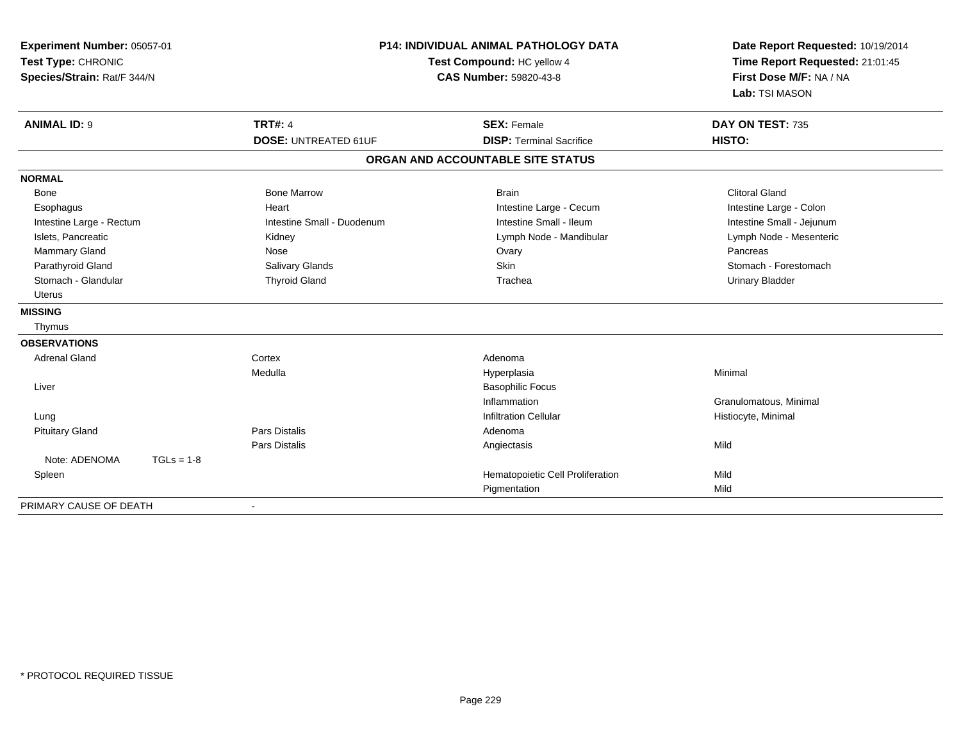| Experiment Number: 05057-01<br>Test Type: CHRONIC<br>Species/Strain: Rat/F 344/N |              | <b>P14: INDIVIDUAL ANIMAL PATHOLOGY DATA</b><br>Test Compound: HC yellow 4<br><b>CAS Number: 59820-43-8</b> | Date Report Requested: 10/19/2014<br>Time Report Requested: 21:01:45<br>First Dose M/F: NA / NA<br>Lab: TSI MASON |                           |
|----------------------------------------------------------------------------------|--------------|-------------------------------------------------------------------------------------------------------------|-------------------------------------------------------------------------------------------------------------------|---------------------------|
| <b>ANIMAL ID: 9</b>                                                              |              | <b>TRT#: 4</b>                                                                                              | <b>SEX: Female</b>                                                                                                | DAY ON TEST: 735          |
|                                                                                  |              | <b>DOSE: UNTREATED 61UF</b>                                                                                 | <b>DISP: Terminal Sacrifice</b>                                                                                   | HISTO:                    |
|                                                                                  |              |                                                                                                             | ORGAN AND ACCOUNTABLE SITE STATUS                                                                                 |                           |
| <b>NORMAL</b>                                                                    |              |                                                                                                             |                                                                                                                   |                           |
| Bone                                                                             |              | <b>Bone Marrow</b>                                                                                          | <b>Brain</b>                                                                                                      | <b>Clitoral Gland</b>     |
| Esophagus                                                                        |              | Heart                                                                                                       | Intestine Large - Cecum                                                                                           | Intestine Large - Colon   |
| Intestine Large - Rectum                                                         |              | Intestine Small - Duodenum                                                                                  | Intestine Small - Ileum                                                                                           | Intestine Small - Jejunum |
| Islets, Pancreatic                                                               |              | Kidney                                                                                                      | Lymph Node - Mandibular                                                                                           | Lymph Node - Mesenteric   |
| Mammary Gland                                                                    |              | Nose                                                                                                        | Ovary                                                                                                             | Pancreas                  |
| Parathyroid Gland                                                                |              | Salivary Glands                                                                                             | Skin                                                                                                              | Stomach - Forestomach     |
| Stomach - Glandular                                                              |              | <b>Thyroid Gland</b>                                                                                        | Trachea                                                                                                           | <b>Urinary Bladder</b>    |
| <b>Uterus</b>                                                                    |              |                                                                                                             |                                                                                                                   |                           |
| <b>MISSING</b>                                                                   |              |                                                                                                             |                                                                                                                   |                           |
| Thymus                                                                           |              |                                                                                                             |                                                                                                                   |                           |
| <b>OBSERVATIONS</b>                                                              |              |                                                                                                             |                                                                                                                   |                           |
| <b>Adrenal Gland</b>                                                             |              | Cortex                                                                                                      | Adenoma                                                                                                           |                           |
|                                                                                  |              | Medulla                                                                                                     | Hyperplasia                                                                                                       | Minimal                   |
| Liver                                                                            |              |                                                                                                             | <b>Basophilic Focus</b>                                                                                           |                           |
|                                                                                  |              |                                                                                                             | Inflammation                                                                                                      | Granulomatous, Minimal    |
| Lung                                                                             |              |                                                                                                             | <b>Infiltration Cellular</b>                                                                                      | Histiocyte, Minimal       |
| <b>Pituitary Gland</b>                                                           |              | <b>Pars Distalis</b>                                                                                        | Adenoma                                                                                                           |                           |
|                                                                                  |              | <b>Pars Distalis</b>                                                                                        | Angiectasis                                                                                                       | Mild                      |
| Note: ADENOMA                                                                    | $TGLs = 1-8$ |                                                                                                             |                                                                                                                   |                           |
| Spleen                                                                           |              |                                                                                                             | Hematopoietic Cell Proliferation                                                                                  | Mild                      |
|                                                                                  |              |                                                                                                             | Pigmentation                                                                                                      | Mild                      |
| PRIMARY CAUSE OF DEATH                                                           |              |                                                                                                             |                                                                                                                   |                           |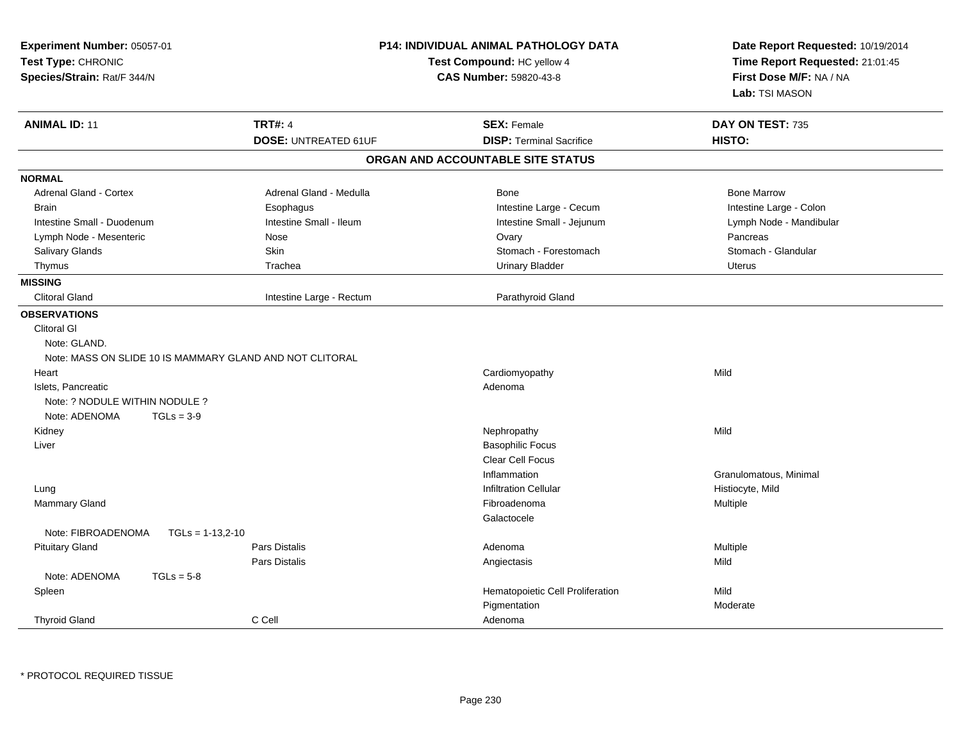| Experiment Number: 05057-01<br>Test Type: CHRONIC<br>Species/Strain: Rat/F 344/N |                             | <b>P14: INDIVIDUAL ANIMAL PATHOLOGY DATA</b><br>Test Compound: HC yellow 4<br><b>CAS Number: 59820-43-8</b> | Date Report Requested: 10/19/2014<br>Time Report Requested: 21:01:45<br>First Dose M/F: NA / NA<br>Lab: TSI MASON |
|----------------------------------------------------------------------------------|-----------------------------|-------------------------------------------------------------------------------------------------------------|-------------------------------------------------------------------------------------------------------------------|
| <b>ANIMAL ID: 11</b>                                                             | <b>TRT#: 4</b>              | <b>SEX: Female</b>                                                                                          | DAY ON TEST: 735                                                                                                  |
|                                                                                  | <b>DOSE: UNTREATED 61UF</b> | <b>DISP: Terminal Sacrifice</b>                                                                             | HISTO:                                                                                                            |
|                                                                                  |                             | ORGAN AND ACCOUNTABLE SITE STATUS                                                                           |                                                                                                                   |
| <b>NORMAL</b>                                                                    |                             |                                                                                                             |                                                                                                                   |
| Adrenal Gland - Cortex                                                           | Adrenal Gland - Medulla     | Bone                                                                                                        | <b>Bone Marrow</b>                                                                                                |
| <b>Brain</b>                                                                     | Esophagus                   | Intestine Large - Cecum                                                                                     | Intestine Large - Colon                                                                                           |
| Intestine Small - Duodenum                                                       | Intestine Small - Ileum     | Intestine Small - Jejunum                                                                                   | Lymph Node - Mandibular                                                                                           |
| Lymph Node - Mesenteric                                                          | Nose                        | Ovary                                                                                                       | Pancreas                                                                                                          |
| Salivary Glands                                                                  | Skin                        | Stomach - Forestomach                                                                                       | Stomach - Glandular                                                                                               |
| Thymus                                                                           | Trachea                     | <b>Urinary Bladder</b>                                                                                      | Uterus                                                                                                            |
| <b>MISSING</b>                                                                   |                             |                                                                                                             |                                                                                                                   |
| <b>Clitoral Gland</b>                                                            | Intestine Large - Rectum    | Parathyroid Gland                                                                                           |                                                                                                                   |
| <b>OBSERVATIONS</b>                                                              |                             |                                                                                                             |                                                                                                                   |
| <b>Clitoral GI</b>                                                               |                             |                                                                                                             |                                                                                                                   |
| Note: GLAND.                                                                     |                             |                                                                                                             |                                                                                                                   |
| Note: MASS ON SLIDE 10 IS MAMMARY GLAND AND NOT CLITORAL                         |                             |                                                                                                             |                                                                                                                   |
| Heart                                                                            |                             | Cardiomyopathy                                                                                              | Mild                                                                                                              |
| Islets, Pancreatic                                                               |                             | Adenoma                                                                                                     |                                                                                                                   |
| Note: ? NODULE WITHIN NODULE ?                                                   |                             |                                                                                                             |                                                                                                                   |
| Note: ADENOMA<br>$TGLs = 3-9$                                                    |                             |                                                                                                             |                                                                                                                   |
| Kidney                                                                           |                             | Nephropathy                                                                                                 | Mild                                                                                                              |
| Liver                                                                            |                             | <b>Basophilic Focus</b>                                                                                     |                                                                                                                   |
|                                                                                  |                             | Clear Cell Focus                                                                                            |                                                                                                                   |
|                                                                                  |                             | Inflammation                                                                                                | Granulomatous, Minimal                                                                                            |
| Lung                                                                             |                             | <b>Infiltration Cellular</b>                                                                                | Histiocyte, Mild                                                                                                  |
| <b>Mammary Gland</b>                                                             |                             | Fibroadenoma                                                                                                | Multiple                                                                                                          |
|                                                                                  |                             | Galactocele                                                                                                 |                                                                                                                   |
| Note: FIBROADENOMA<br>$TGLs = 1-13,2-10$                                         |                             |                                                                                                             |                                                                                                                   |
| <b>Pituitary Gland</b>                                                           | <b>Pars Distalis</b>        | Adenoma                                                                                                     | Multiple                                                                                                          |
|                                                                                  | Pars Distalis               | Angiectasis                                                                                                 | Mild                                                                                                              |
| Note: ADENOMA<br>$TGLs = 5-8$                                                    |                             |                                                                                                             |                                                                                                                   |
| Spleen                                                                           |                             | Hematopoietic Cell Proliferation                                                                            | Mild                                                                                                              |
|                                                                                  |                             | Pigmentation                                                                                                | Moderate                                                                                                          |
| <b>Thyroid Gland</b>                                                             | C Cell                      | Adenoma                                                                                                     |                                                                                                                   |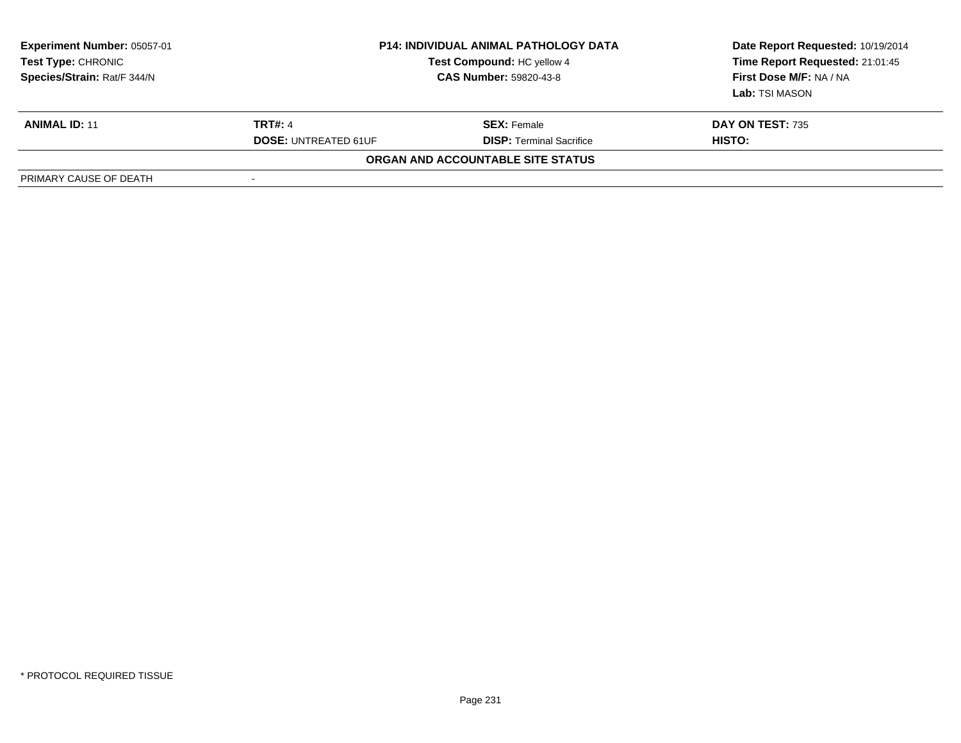| <b>Experiment Number: 05057-01</b><br>Test Type: CHRONIC<br>Species/Strain: Rat/F 344/N | <b>P14: INDIVIDUAL ANIMAL PATHOLOGY DATA</b><br><b>Test Compound: HC yellow 4</b><br><b>CAS Number: 59820-43-8</b> |                                   | Date Report Requested: 10/19/2014<br>Time Report Requested: 21:01:45<br>First Dose M/F: NA / NA<br>Lab: TSI MASON |
|-----------------------------------------------------------------------------------------|--------------------------------------------------------------------------------------------------------------------|-----------------------------------|-------------------------------------------------------------------------------------------------------------------|
| <b>ANIMAL ID: 11</b>                                                                    | <b>TRT#: 4</b>                                                                                                     | <b>SEX:</b> Female                | <b>DAY ON TEST: 735</b>                                                                                           |
|                                                                                         | <b>DOSE: UNTREATED 61UF</b>                                                                                        | <b>DISP: Terminal Sacrifice</b>   | HISTO:                                                                                                            |
|                                                                                         |                                                                                                                    | ORGAN AND ACCOUNTABLE SITE STATUS |                                                                                                                   |
| PRIMARY CAUSE OF DEATH                                                                  | $\blacksquare$                                                                                                     |                                   |                                                                                                                   |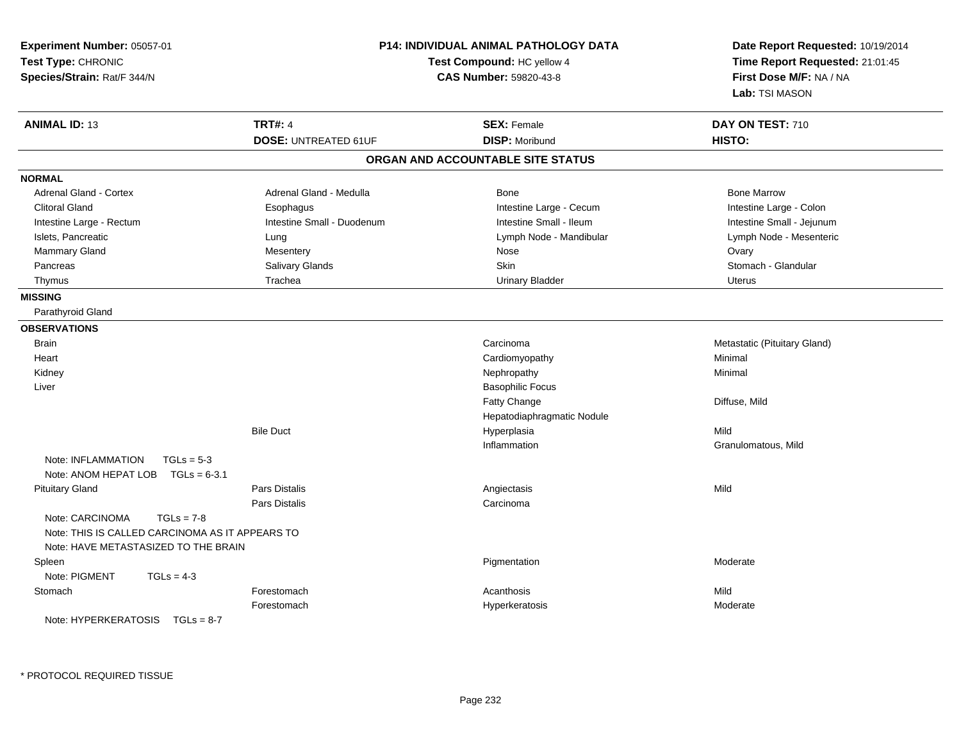| Experiment Number: 05057-01<br>Test Type: CHRONIC<br>Species/Strain: Rat/F 344/N                                           |                             | P14: INDIVIDUAL ANIMAL PATHOLOGY DATA<br>Test Compound: HC yellow 4<br><b>CAS Number: 59820-43-8</b> |                              |
|----------------------------------------------------------------------------------------------------------------------------|-----------------------------|------------------------------------------------------------------------------------------------------|------------------------------|
| <b>ANIMAL ID: 13</b>                                                                                                       | <b>TRT#: 4</b>              | <b>SEX: Female</b>                                                                                   | DAY ON TEST: 710             |
|                                                                                                                            | <b>DOSE: UNTREATED 61UF</b> | <b>DISP: Moribund</b>                                                                                | HISTO:                       |
|                                                                                                                            |                             | ORGAN AND ACCOUNTABLE SITE STATUS                                                                    |                              |
| <b>NORMAL</b>                                                                                                              |                             |                                                                                                      |                              |
| <b>Adrenal Gland - Cortex</b>                                                                                              | Adrenal Gland - Medulla     | <b>Bone</b>                                                                                          | <b>Bone Marrow</b>           |
| <b>Clitoral Gland</b>                                                                                                      | Esophagus                   | Intestine Large - Cecum                                                                              | Intestine Large - Colon      |
| Intestine Large - Rectum                                                                                                   | Intestine Small - Duodenum  | Intestine Small - Ileum                                                                              | Intestine Small - Jejunum    |
| Islets, Pancreatic                                                                                                         | Lung                        | Lymph Node - Mandibular                                                                              | Lymph Node - Mesenteric      |
| Mammary Gland                                                                                                              | Mesentery                   | Nose                                                                                                 | Ovary                        |
| Pancreas                                                                                                                   | Salivary Glands             | Skin                                                                                                 | Stomach - Glandular          |
| Thymus                                                                                                                     | Trachea                     | <b>Urinary Bladder</b>                                                                               | Uterus                       |
| <b>MISSING</b>                                                                                                             |                             |                                                                                                      |                              |
| Parathyroid Gland                                                                                                          |                             |                                                                                                      |                              |
| <b>OBSERVATIONS</b>                                                                                                        |                             |                                                                                                      |                              |
| <b>Brain</b>                                                                                                               |                             | Carcinoma                                                                                            | Metastatic (Pituitary Gland) |
| Heart                                                                                                                      |                             | Cardiomyopathy                                                                                       | Minimal                      |
| Kidney                                                                                                                     |                             | Nephropathy                                                                                          | Minimal                      |
| Liver                                                                                                                      |                             | <b>Basophilic Focus</b>                                                                              |                              |
|                                                                                                                            |                             | <b>Fatty Change</b>                                                                                  | Diffuse, Mild                |
|                                                                                                                            |                             | Hepatodiaphragmatic Nodule                                                                           |                              |
|                                                                                                                            | <b>Bile Duct</b>            | Hyperplasia                                                                                          | Mild                         |
|                                                                                                                            |                             | Inflammation                                                                                         | Granulomatous, Mild          |
| Note: INFLAMMATION<br>$TGLs = 5-3$                                                                                         |                             |                                                                                                      |                              |
| Note: ANOM HEPAT LOB $TGLs = 6-3.1$                                                                                        |                             |                                                                                                      |                              |
| <b>Pituitary Gland</b>                                                                                                     | Pars Distalis               | Angiectasis                                                                                          | Mild                         |
|                                                                                                                            | Pars Distalis               | Carcinoma                                                                                            |                              |
| Note: CARCINOMA<br>$TGLs = 7-8$<br>Note: THIS IS CALLED CARCINOMA AS IT APPEARS TO<br>Note: HAVE METASTASIZED TO THE BRAIN |                             |                                                                                                      |                              |
| Spleen                                                                                                                     |                             | Pigmentation                                                                                         | Moderate                     |
| Note: PIGMENT<br>$TGLs = 4-3$                                                                                              |                             |                                                                                                      |                              |
| Stomach                                                                                                                    | Forestomach                 | Acanthosis                                                                                           | Mild                         |
|                                                                                                                            | Forestomach                 | Hyperkeratosis                                                                                       | Moderate                     |
| Note: HYPERKERATOSIS TGLs = 8-7                                                                                            |                             |                                                                                                      |                              |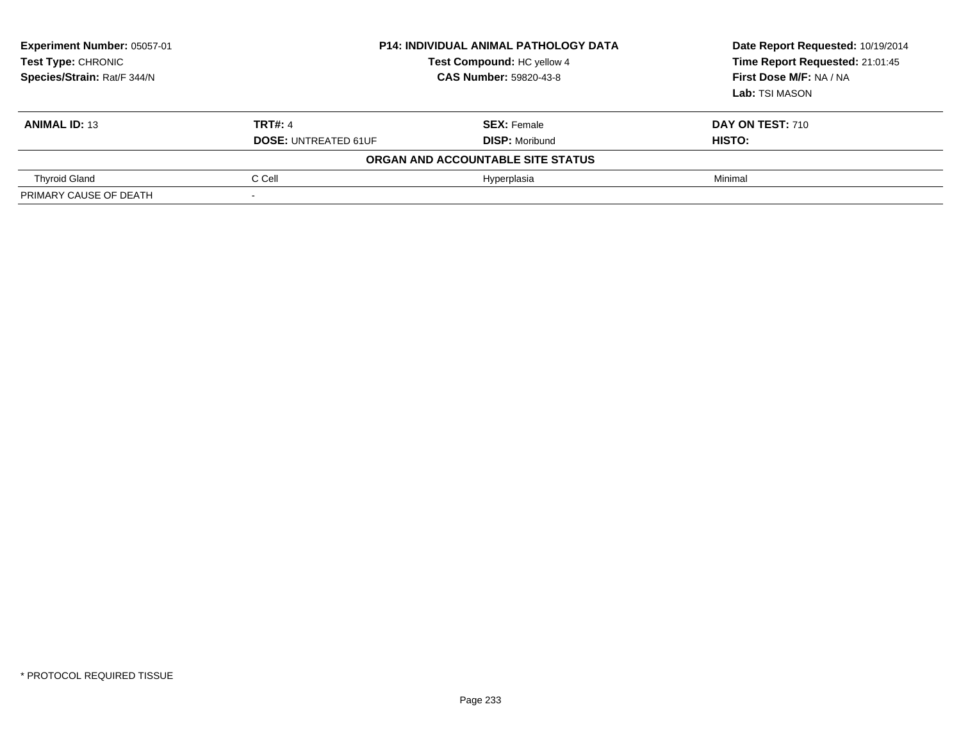| Experiment Number: 05057-01<br><b>Test Type: CHRONIC</b><br>Species/Strain: Rat/F 344/N | <b>P14: INDIVIDUAL ANIMAL PATHOLOGY DATA</b><br>Test Compound: HC yellow 4<br><b>CAS Number: 59820-43-8</b> |                                   | Date Report Requested: 10/19/2014<br>Time Report Requested: 21:01:45<br>First Dose M/F: NA / NA<br>Lab: TSI MASON |
|-----------------------------------------------------------------------------------------|-------------------------------------------------------------------------------------------------------------|-----------------------------------|-------------------------------------------------------------------------------------------------------------------|
| <b>ANIMAL ID: 13</b>                                                                    | <b>TRT#: 4</b>                                                                                              | <b>SEX: Female</b>                | DAY ON TEST: 710                                                                                                  |
|                                                                                         | <b>DOSE: UNTREATED 61UF</b>                                                                                 | <b>DISP: Moribund</b>             | HISTO:                                                                                                            |
|                                                                                         |                                                                                                             | ORGAN AND ACCOUNTABLE SITE STATUS |                                                                                                                   |
| <b>Thyroid Gland</b>                                                                    | C Cell                                                                                                      | Hyperplasia                       | Minimal                                                                                                           |
| PRIMARY CAUSE OF DEATH                                                                  |                                                                                                             |                                   |                                                                                                                   |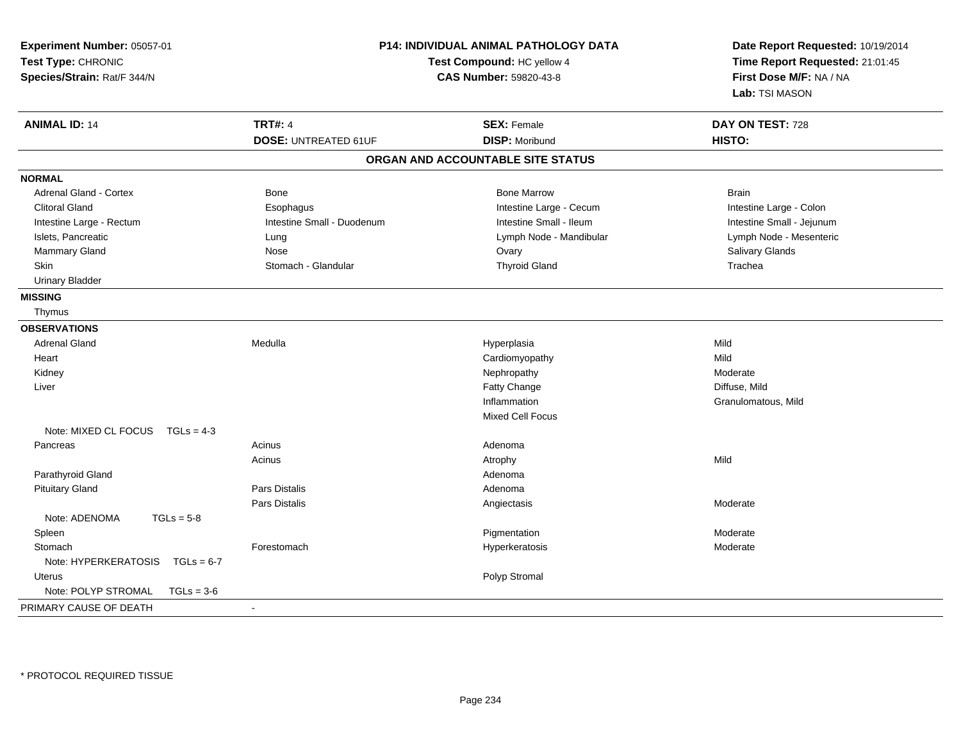| Experiment Number: 05057-01<br>Test Type: CHRONIC<br>Species/Strain: Rat/F 344/N | <b>P14: INDIVIDUAL ANIMAL PATHOLOGY DATA</b><br>Test Compound: HC yellow 4<br>CAS Number: 59820-43-8 |                                   | Date Report Requested: 10/19/2014<br>Time Report Requested: 21:01:45<br>First Dose M/F: NA / NA<br>Lab: TSI MASON |
|----------------------------------------------------------------------------------|------------------------------------------------------------------------------------------------------|-----------------------------------|-------------------------------------------------------------------------------------------------------------------|
| <b>ANIMAL ID: 14</b>                                                             | <b>TRT#: 4</b>                                                                                       | <b>SEX: Female</b>                | DAY ON TEST: 728                                                                                                  |
|                                                                                  | <b>DOSE: UNTREATED 61UF</b>                                                                          | <b>DISP: Moribund</b>             | HISTO:                                                                                                            |
|                                                                                  |                                                                                                      | ORGAN AND ACCOUNTABLE SITE STATUS |                                                                                                                   |
| <b>NORMAL</b>                                                                    |                                                                                                      |                                   |                                                                                                                   |
| <b>Adrenal Gland - Cortex</b>                                                    | <b>Bone</b>                                                                                          | <b>Bone Marrow</b>                | <b>Brain</b>                                                                                                      |
| <b>Clitoral Gland</b>                                                            | Esophagus                                                                                            | Intestine Large - Cecum           | Intestine Large - Colon                                                                                           |
| Intestine Large - Rectum                                                         | Intestine Small - Duodenum                                                                           | Intestine Small - Ileum           | Intestine Small - Jejunum                                                                                         |
| Islets, Pancreatic                                                               | Lung                                                                                                 | Lymph Node - Mandibular           | Lymph Node - Mesenteric                                                                                           |
| Mammary Gland                                                                    | Nose                                                                                                 | Ovary                             | Salivary Glands                                                                                                   |
| <b>Skin</b>                                                                      | Stomach - Glandular                                                                                  | <b>Thyroid Gland</b>              | Trachea                                                                                                           |
| <b>Urinary Bladder</b>                                                           |                                                                                                      |                                   |                                                                                                                   |
| <b>MISSING</b>                                                                   |                                                                                                      |                                   |                                                                                                                   |
| Thymus                                                                           |                                                                                                      |                                   |                                                                                                                   |
| <b>OBSERVATIONS</b>                                                              |                                                                                                      |                                   |                                                                                                                   |
| <b>Adrenal Gland</b>                                                             | Medulla                                                                                              | Hyperplasia                       | Mild                                                                                                              |
| Heart                                                                            |                                                                                                      | Cardiomyopathy                    | Mild                                                                                                              |
| Kidney                                                                           |                                                                                                      | Nephropathy                       | Moderate                                                                                                          |
| Liver                                                                            |                                                                                                      | <b>Fatty Change</b>               | Diffuse, Mild                                                                                                     |
|                                                                                  |                                                                                                      | Inflammation                      | Granulomatous, Mild                                                                                               |
|                                                                                  |                                                                                                      | Mixed Cell Focus                  |                                                                                                                   |
| Note: MIXED CL FOCUS TGLs = 4-3                                                  |                                                                                                      |                                   |                                                                                                                   |
| Pancreas                                                                         | Acinus                                                                                               | Adenoma                           |                                                                                                                   |
|                                                                                  | Acinus                                                                                               | Atrophy                           | Mild                                                                                                              |
| Parathyroid Gland                                                                |                                                                                                      | Adenoma                           |                                                                                                                   |
| <b>Pituitary Gland</b>                                                           | <b>Pars Distalis</b>                                                                                 | Adenoma                           |                                                                                                                   |
|                                                                                  | <b>Pars Distalis</b>                                                                                 | Angiectasis                       | Moderate                                                                                                          |
| Note: ADENOMA<br>$TGLs = 5-8$                                                    |                                                                                                      |                                   |                                                                                                                   |
| Spleen                                                                           |                                                                                                      | Pigmentation                      | Moderate                                                                                                          |
| Stomach                                                                          | Forestomach                                                                                          | Hyperkeratosis                    | Moderate                                                                                                          |
| Note: HYPERKERATOSIS<br>$TGLs = 6-7$                                             |                                                                                                      |                                   |                                                                                                                   |
| Uterus                                                                           |                                                                                                      | Polyp Stromal                     |                                                                                                                   |
| Note: POLYP STROMAL<br>$TGLs = 3-6$                                              |                                                                                                      |                                   |                                                                                                                   |
| PRIMARY CAUSE OF DEATH                                                           |                                                                                                      |                                   |                                                                                                                   |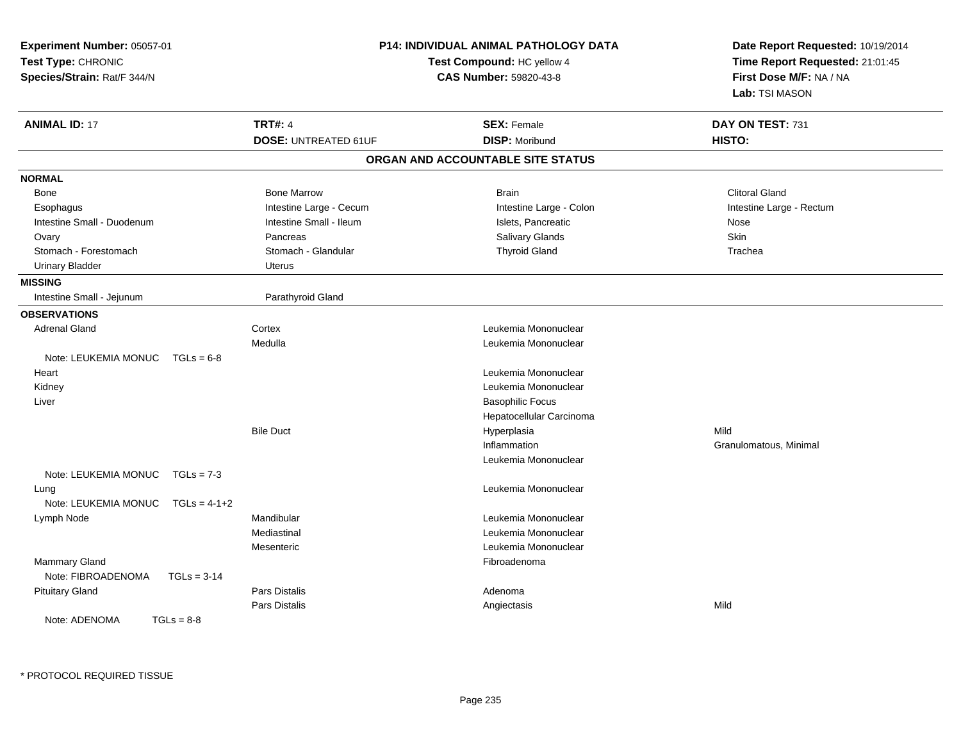| Experiment Number: 05057-01<br>Test Type: CHRONIC<br>Species/Strain: Rat/F 344/N |                             | <b>P14: INDIVIDUAL ANIMAL PATHOLOGY DATA</b><br>Test Compound: HC yellow 4<br><b>CAS Number: 59820-43-8</b> | Date Report Requested: 10/19/2014<br>Time Report Requested: 21:01:45<br>First Dose M/F: NA / NA<br>Lab: TSI MASON |
|----------------------------------------------------------------------------------|-----------------------------|-------------------------------------------------------------------------------------------------------------|-------------------------------------------------------------------------------------------------------------------|
| <b>ANIMAL ID: 17</b>                                                             | <b>TRT#: 4</b>              | <b>SEX: Female</b>                                                                                          | DAY ON TEST: 731                                                                                                  |
|                                                                                  | <b>DOSE: UNTREATED 61UF</b> | <b>DISP: Moribund</b>                                                                                       | HISTO:                                                                                                            |
|                                                                                  |                             | ORGAN AND ACCOUNTABLE SITE STATUS                                                                           |                                                                                                                   |
| <b>NORMAL</b>                                                                    |                             |                                                                                                             |                                                                                                                   |
| Bone                                                                             | <b>Bone Marrow</b>          | <b>Brain</b>                                                                                                | Clitoral Gland                                                                                                    |
| Esophagus                                                                        | Intestine Large - Cecum     | Intestine Large - Colon                                                                                     | Intestine Large - Rectum                                                                                          |
| Intestine Small - Duodenum                                                       | Intestine Small - Ileum     | Islets, Pancreatic                                                                                          | Nose                                                                                                              |
| Ovary                                                                            | Pancreas                    | Salivary Glands                                                                                             | Skin                                                                                                              |
| Stomach - Forestomach                                                            | Stomach - Glandular         | <b>Thyroid Gland</b>                                                                                        | Trachea                                                                                                           |
| <b>Urinary Bladder</b>                                                           | Uterus                      |                                                                                                             |                                                                                                                   |
| <b>MISSING</b>                                                                   |                             |                                                                                                             |                                                                                                                   |
| Intestine Small - Jejunum                                                        | Parathyroid Gland           |                                                                                                             |                                                                                                                   |
| <b>OBSERVATIONS</b>                                                              |                             |                                                                                                             |                                                                                                                   |
| <b>Adrenal Gland</b>                                                             | Cortex                      | Leukemia Mononuclear                                                                                        |                                                                                                                   |
|                                                                                  | Medulla                     | Leukemia Mononuclear                                                                                        |                                                                                                                   |
| Note: LEUKEMIA MONUC<br>$TGLs = 6-8$                                             |                             |                                                                                                             |                                                                                                                   |
| Heart                                                                            |                             | Leukemia Mononuclear                                                                                        |                                                                                                                   |
| Kidney                                                                           |                             | Leukemia Mononuclear                                                                                        |                                                                                                                   |
| Liver                                                                            |                             | <b>Basophilic Focus</b>                                                                                     |                                                                                                                   |
|                                                                                  |                             | Hepatocellular Carcinoma                                                                                    |                                                                                                                   |
|                                                                                  | <b>Bile Duct</b>            | Hyperplasia                                                                                                 | Mild                                                                                                              |
|                                                                                  |                             | Inflammation                                                                                                | Granulomatous, Minimal                                                                                            |
|                                                                                  |                             | Leukemia Mononuclear                                                                                        |                                                                                                                   |
| Note: LEUKEMIA MONUC<br>$TGLs = 7-3$                                             |                             |                                                                                                             |                                                                                                                   |
| Lung                                                                             |                             | Leukemia Mononuclear                                                                                        |                                                                                                                   |
| Note: LEUKEMIA MONUC<br>$TGLs = 4-1+2$                                           |                             |                                                                                                             |                                                                                                                   |
| Lymph Node                                                                       | Mandibular                  | Leukemia Mononuclear                                                                                        |                                                                                                                   |
|                                                                                  | Mediastinal                 | Leukemia Mononuclear                                                                                        |                                                                                                                   |
|                                                                                  | Mesenteric                  | Leukemia Mononuclear                                                                                        |                                                                                                                   |
| Mammary Gland                                                                    |                             | Fibroadenoma                                                                                                |                                                                                                                   |
| Note: FIBROADENOMA<br>$TGLs = 3-14$                                              |                             |                                                                                                             |                                                                                                                   |
| <b>Pituitary Gland</b>                                                           | Pars Distalis               | Adenoma                                                                                                     |                                                                                                                   |
|                                                                                  | Pars Distalis               | Angiectasis                                                                                                 | Mild                                                                                                              |
| Note: ADENOMA<br>$TGLs = 8-8$                                                    |                             |                                                                                                             |                                                                                                                   |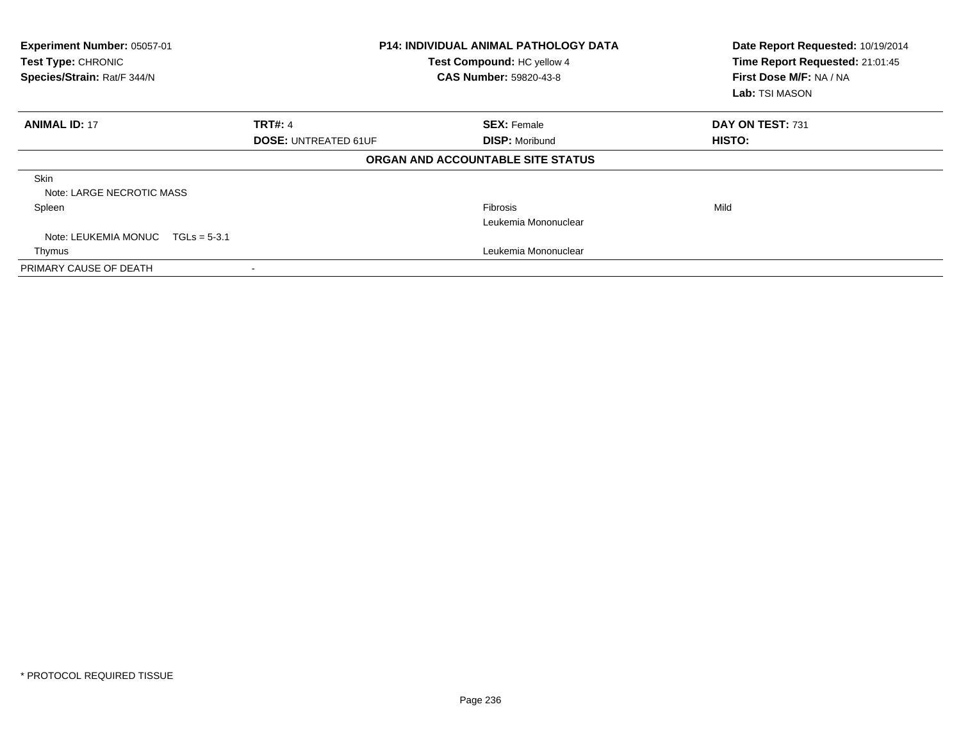| Experiment Number: 05057-01<br>Test Type: CHRONIC<br>Species/Strain: Rat/F 344/N | <b>P14: INDIVIDUAL ANIMAL PATHOLOGY DATA</b><br>Test Compound: HC yellow 4<br><b>CAS Number: 59820-43-8</b> |                                   | Date Report Requested: 10/19/2014<br>Time Report Requested: 21:01:45<br>First Dose M/F: NA / NA<br>Lab: TSI MASON |  |
|----------------------------------------------------------------------------------|-------------------------------------------------------------------------------------------------------------|-----------------------------------|-------------------------------------------------------------------------------------------------------------------|--|
| <b>ANIMAL ID: 17</b>                                                             | <b>TRT#: 4</b>                                                                                              | <b>SEX: Female</b>                | DAY ON TEST: 731                                                                                                  |  |
|                                                                                  | <b>DOSE: UNTREATED 61UF</b>                                                                                 | <b>DISP: Moribund</b>             | HISTO:                                                                                                            |  |
|                                                                                  |                                                                                                             | ORGAN AND ACCOUNTABLE SITE STATUS |                                                                                                                   |  |
| <b>Skin</b><br>Note: LARGE NECROTIC MASS                                         |                                                                                                             |                                   |                                                                                                                   |  |
| Spleen                                                                           |                                                                                                             | <b>Fibrosis</b>                   | Mild                                                                                                              |  |
|                                                                                  |                                                                                                             | Leukemia Mononuclear              |                                                                                                                   |  |
| Note: LEUKEMIA MONUC $TGLs = 5-3.1$                                              |                                                                                                             |                                   |                                                                                                                   |  |
| Thymus                                                                           |                                                                                                             | Leukemia Mononuclear              |                                                                                                                   |  |
| PRIMARY CAUSE OF DEATH                                                           |                                                                                                             |                                   |                                                                                                                   |  |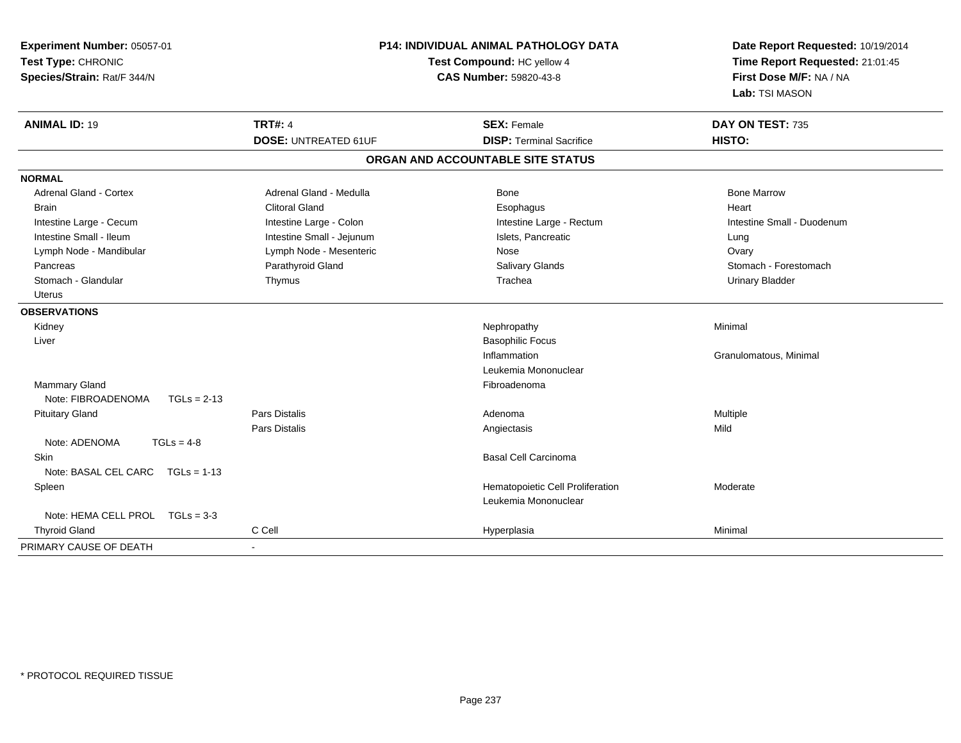| Experiment Number: 05057-01<br>Test Type: CHRONIC<br>Species/Strain: Rat/F 344/N |                             | <b>P14: INDIVIDUAL ANIMAL PATHOLOGY DATA</b><br>Test Compound: HC yellow 4<br>CAS Number: 59820-43-8 | Date Report Requested: 10/19/2014<br>Time Report Requested: 21:01:45<br>First Dose M/F: NA / NA<br>Lab: TSI MASON |
|----------------------------------------------------------------------------------|-----------------------------|------------------------------------------------------------------------------------------------------|-------------------------------------------------------------------------------------------------------------------|
| <b>ANIMAL ID: 19</b>                                                             | <b>TRT#: 4</b>              | <b>SEX: Female</b>                                                                                   | DAY ON TEST: 735                                                                                                  |
|                                                                                  | <b>DOSE: UNTREATED 61UF</b> | <b>DISP: Terminal Sacrifice</b>                                                                      | HISTO:                                                                                                            |
|                                                                                  |                             | ORGAN AND ACCOUNTABLE SITE STATUS                                                                    |                                                                                                                   |
| <b>NORMAL</b>                                                                    |                             |                                                                                                      |                                                                                                                   |
| Adrenal Gland - Cortex                                                           | Adrenal Gland - Medulla     | Bone                                                                                                 | <b>Bone Marrow</b>                                                                                                |
| <b>Brain</b>                                                                     | <b>Clitoral Gland</b>       | Esophagus                                                                                            | Heart                                                                                                             |
| Intestine Large - Cecum                                                          | Intestine Large - Colon     | Intestine Large - Rectum                                                                             | Intestine Small - Duodenum                                                                                        |
| Intestine Small - Ileum                                                          | Intestine Small - Jejunum   | Islets, Pancreatic                                                                                   | Lung                                                                                                              |
| Lymph Node - Mandibular                                                          | Lymph Node - Mesenteric     | Nose                                                                                                 | Ovary                                                                                                             |
| Pancreas                                                                         | Parathyroid Gland           | Salivary Glands                                                                                      | Stomach - Forestomach                                                                                             |
| Stomach - Glandular                                                              | Thymus                      | Trachea                                                                                              | <b>Urinary Bladder</b>                                                                                            |
| <b>Uterus</b>                                                                    |                             |                                                                                                      |                                                                                                                   |
| <b>OBSERVATIONS</b>                                                              |                             |                                                                                                      |                                                                                                                   |
| Kidney                                                                           |                             | Nephropathy                                                                                          | Minimal                                                                                                           |
| Liver                                                                            |                             | <b>Basophilic Focus</b>                                                                              |                                                                                                                   |
|                                                                                  |                             | Inflammation                                                                                         | Granulomatous, Minimal                                                                                            |
|                                                                                  |                             | Leukemia Mononuclear                                                                                 |                                                                                                                   |
| <b>Mammary Gland</b>                                                             |                             | Fibroadenoma                                                                                         |                                                                                                                   |
| Note: FIBROADENOMA<br>$TGLs = 2-13$                                              |                             |                                                                                                      |                                                                                                                   |
| <b>Pituitary Gland</b>                                                           | Pars Distalis               | Adenoma                                                                                              | Multiple                                                                                                          |
|                                                                                  | Pars Distalis               | Angiectasis                                                                                          | Mild                                                                                                              |
| Note: ADENOMA<br>$TGLs = 4-8$                                                    |                             |                                                                                                      |                                                                                                                   |
| Skin                                                                             |                             | <b>Basal Cell Carcinoma</b>                                                                          |                                                                                                                   |
| Note: BASAL CEL CARC TGLs = 1-13                                                 |                             |                                                                                                      |                                                                                                                   |
| Spleen                                                                           |                             | Hematopoietic Cell Proliferation                                                                     | Moderate                                                                                                          |
|                                                                                  |                             | Leukemia Mononuclear                                                                                 |                                                                                                                   |
| Note: HEMA CELL PROL TGLs = 3-3                                                  |                             |                                                                                                      |                                                                                                                   |
| <b>Thyroid Gland</b>                                                             | C Cell                      | Hyperplasia                                                                                          | Minimal                                                                                                           |
| PRIMARY CAUSE OF DEATH                                                           | $\overline{\phantom{a}}$    |                                                                                                      |                                                                                                                   |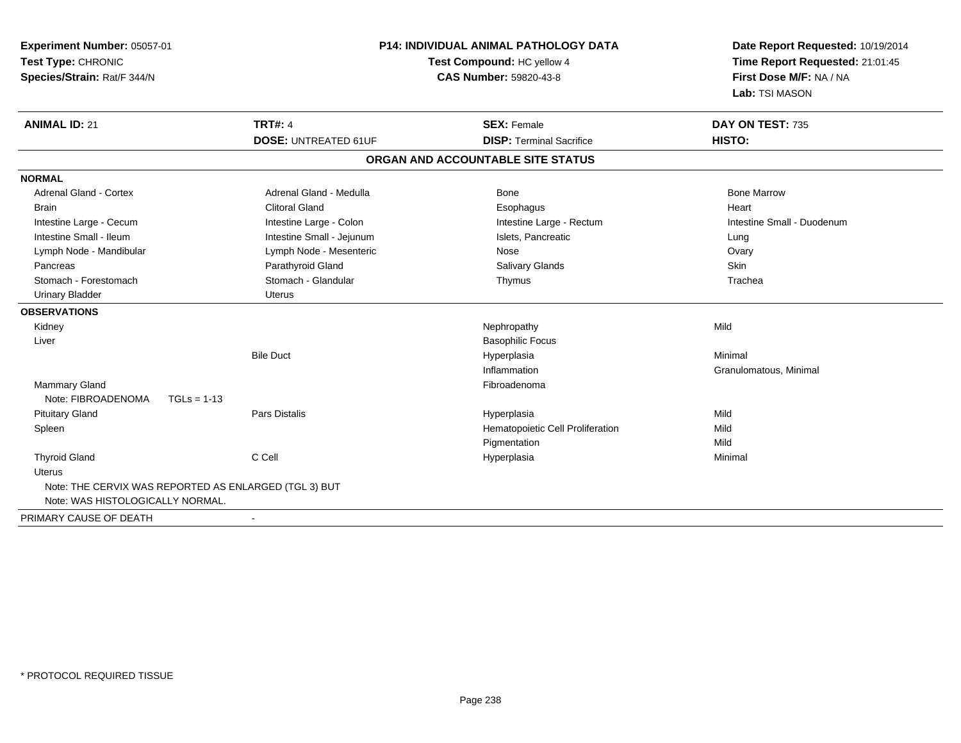| Experiment Number: 05057-01<br>Test Type: CHRONIC<br>Species/Strain: Rat/F 344/N |                             | <b>P14: INDIVIDUAL ANIMAL PATHOLOGY DATA</b><br>Test Compound: HC yellow 4<br><b>CAS Number: 59820-43-8</b> | Date Report Requested: 10/19/2014<br>Time Report Requested: 21:01:45<br>First Dose M/F: NA / NA<br>Lab: TSI MASON |  |
|----------------------------------------------------------------------------------|-----------------------------|-------------------------------------------------------------------------------------------------------------|-------------------------------------------------------------------------------------------------------------------|--|
| <b>ANIMAL ID: 21</b>                                                             | <b>TRT#: 4</b>              | <b>SEX: Female</b>                                                                                          | DAY ON TEST: 735                                                                                                  |  |
|                                                                                  | <b>DOSE: UNTREATED 61UF</b> | <b>DISP: Terminal Sacrifice</b>                                                                             | HISTO:                                                                                                            |  |
|                                                                                  |                             | ORGAN AND ACCOUNTABLE SITE STATUS                                                                           |                                                                                                                   |  |
| <b>NORMAL</b>                                                                    |                             |                                                                                                             |                                                                                                                   |  |
| <b>Adrenal Gland - Cortex</b>                                                    | Adrenal Gland - Medulla     | Bone                                                                                                        | <b>Bone Marrow</b>                                                                                                |  |
| <b>Brain</b>                                                                     | <b>Clitoral Gland</b>       | Esophagus                                                                                                   | Heart                                                                                                             |  |
| Intestine Large - Cecum                                                          | Intestine Large - Colon     | Intestine Large - Rectum                                                                                    | Intestine Small - Duodenum                                                                                        |  |
| Intestine Small - Ileum                                                          | Intestine Small - Jejunum   | Islets. Pancreatic                                                                                          | Lung                                                                                                              |  |
| Lymph Node - Mandibular                                                          | Lymph Node - Mesenteric     | Nose                                                                                                        | Ovary                                                                                                             |  |
| Pancreas                                                                         | Parathyroid Gland           | Salivary Glands                                                                                             | Skin                                                                                                              |  |
| Stomach - Forestomach                                                            | Stomach - Glandular         | Thymus                                                                                                      | Trachea                                                                                                           |  |
| <b>Urinary Bladder</b>                                                           | <b>Uterus</b>               |                                                                                                             |                                                                                                                   |  |
| <b>OBSERVATIONS</b>                                                              |                             |                                                                                                             |                                                                                                                   |  |
| Kidney                                                                           |                             | Nephropathy                                                                                                 | Mild                                                                                                              |  |
| Liver                                                                            |                             | <b>Basophilic Focus</b>                                                                                     |                                                                                                                   |  |
|                                                                                  | <b>Bile Duct</b>            | Hyperplasia                                                                                                 | Minimal                                                                                                           |  |
|                                                                                  |                             | Inflammation                                                                                                | Granulomatous, Minimal                                                                                            |  |
| <b>Mammary Gland</b>                                                             |                             | Fibroadenoma                                                                                                |                                                                                                                   |  |
| Note: FIBROADENOMA<br>$TGLs = 1-13$                                              |                             |                                                                                                             |                                                                                                                   |  |
| <b>Pituitary Gland</b>                                                           | <b>Pars Distalis</b>        | Hyperplasia                                                                                                 | Mild                                                                                                              |  |
| Spleen                                                                           |                             | Hematopoietic Cell Proliferation                                                                            | Mild                                                                                                              |  |
|                                                                                  |                             | Pigmentation                                                                                                | Mild                                                                                                              |  |
| <b>Thyroid Gland</b>                                                             | C Cell                      | Hyperplasia                                                                                                 | Minimal                                                                                                           |  |
| Uterus                                                                           |                             |                                                                                                             |                                                                                                                   |  |
| Note: THE CERVIX WAS REPORTED AS ENLARGED (TGL 3) BUT                            |                             |                                                                                                             |                                                                                                                   |  |
| Note: WAS HISTOLOGICALLY NORMAL.                                                 |                             |                                                                                                             |                                                                                                                   |  |
| PRIMARY CAUSE OF DEATH                                                           |                             |                                                                                                             |                                                                                                                   |  |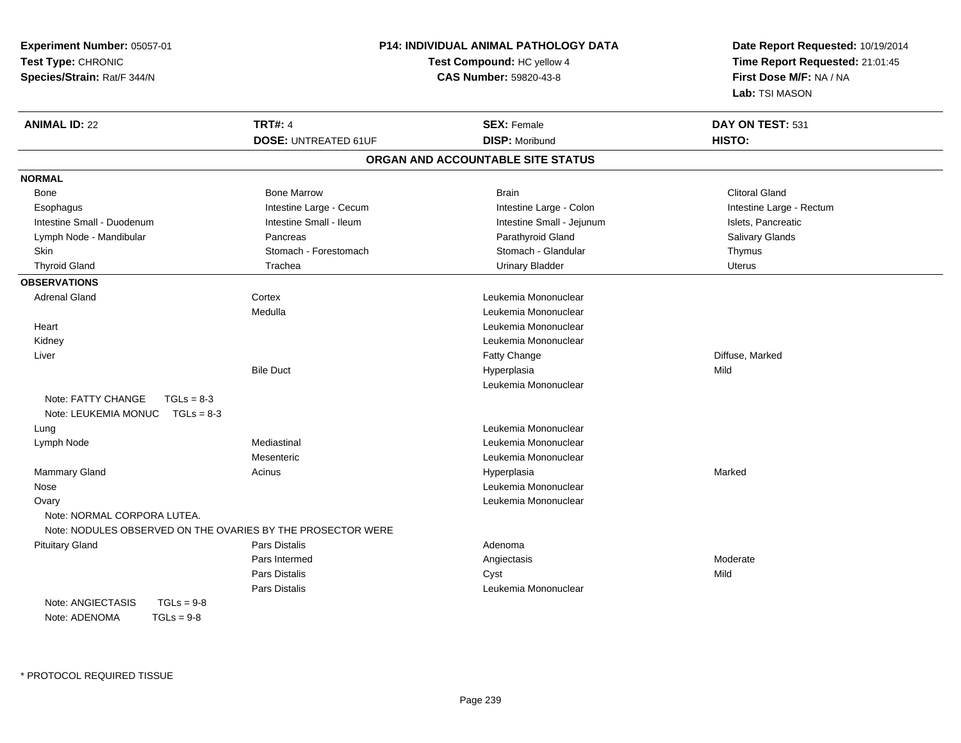| Experiment Number: 05057-01                                            |                                                             | <b>P14: INDIVIDUAL ANIMAL PATHOLOGY DATA</b> | Date Report Requested: 10/19/2014                          |
|------------------------------------------------------------------------|-------------------------------------------------------------|----------------------------------------------|------------------------------------------------------------|
| Test Type: CHRONIC                                                     |                                                             | Test Compound: HC yellow 4                   | Time Report Requested: 21:01:45<br>First Dose M/F: NA / NA |
| Species/Strain: Rat/F 344/N                                            |                                                             | CAS Number: 59820-43-8                       |                                                            |
|                                                                        |                                                             |                                              | Lab: TSI MASON                                             |
| <b>ANIMAL ID: 22</b>                                                   | <b>TRT#: 4</b>                                              | <b>SEX: Female</b>                           | DAY ON TEST: 531                                           |
|                                                                        | <b>DOSE: UNTREATED 61UF</b>                                 | <b>DISP: Moribund</b>                        | HISTO:                                                     |
|                                                                        |                                                             | ORGAN AND ACCOUNTABLE SITE STATUS            |                                                            |
| <b>NORMAL</b>                                                          |                                                             |                                              |                                                            |
| Bone                                                                   | <b>Bone Marrow</b>                                          | <b>Brain</b>                                 | <b>Clitoral Gland</b>                                      |
| Esophagus                                                              | Intestine Large - Cecum                                     | Intestine Large - Colon                      | Intestine Large - Rectum                                   |
| Intestine Small - Duodenum                                             | Intestine Small - Ileum                                     | Intestine Small - Jejunum                    | Islets, Pancreatic                                         |
| Lymph Node - Mandibular                                                | Pancreas                                                    | Parathyroid Gland                            | Salivary Glands                                            |
| <b>Skin</b>                                                            | Stomach - Forestomach                                       | Stomach - Glandular                          | Thymus                                                     |
| <b>Thyroid Gland</b>                                                   | Trachea                                                     | <b>Urinary Bladder</b>                       | Uterus                                                     |
| <b>OBSERVATIONS</b>                                                    |                                                             |                                              |                                                            |
| <b>Adrenal Gland</b>                                                   | Cortex                                                      | Leukemia Mononuclear                         |                                                            |
|                                                                        | Medulla                                                     | Leukemia Mononuclear                         |                                                            |
| Heart                                                                  |                                                             | Leukemia Mononuclear                         |                                                            |
| Kidney                                                                 |                                                             | Leukemia Mononuclear                         |                                                            |
| Liver                                                                  |                                                             | Fatty Change                                 | Diffuse, Marked                                            |
|                                                                        | <b>Bile Duct</b>                                            | Hyperplasia                                  | Mild                                                       |
|                                                                        |                                                             | Leukemia Mononuclear                         |                                                            |
| Note: FATTY CHANGE<br>$TGLs = 8-3$<br>Note: LEUKEMIA MONUC  TGLs = 8-3 |                                                             |                                              |                                                            |
| Lung                                                                   |                                                             | Leukemia Mononuclear                         |                                                            |
| Lymph Node                                                             | Mediastinal                                                 | Leukemia Mononuclear                         |                                                            |
|                                                                        | Mesenteric                                                  | Leukemia Mononuclear                         |                                                            |
| Mammary Gland                                                          | Acinus                                                      | Hyperplasia                                  | Marked                                                     |
| Nose                                                                   |                                                             | Leukemia Mononuclear                         |                                                            |
| Ovary                                                                  |                                                             | Leukemia Mononuclear                         |                                                            |
| Note: NORMAL CORPORA LUTEA.                                            | Note: NODULES OBSERVED ON THE OVARIES BY THE PROSECTOR WERE |                                              |                                                            |
| <b>Pituitary Gland</b>                                                 | Pars Distalis                                               | Adenoma                                      |                                                            |
|                                                                        | Pars Intermed                                               | Angiectasis                                  | Moderate                                                   |
|                                                                        | Pars Distalis                                               | Cyst                                         | Mild                                                       |
|                                                                        | Pars Distalis                                               | Leukemia Mononuclear                         |                                                            |
| Note: ANGIECTASIS<br>$TGLs = 9-8$                                      |                                                             |                                              |                                                            |
| Note: ADENOMA<br>$TGLs = 9-8$                                          |                                                             |                                              |                                                            |
|                                                                        |                                                             |                                              |                                                            |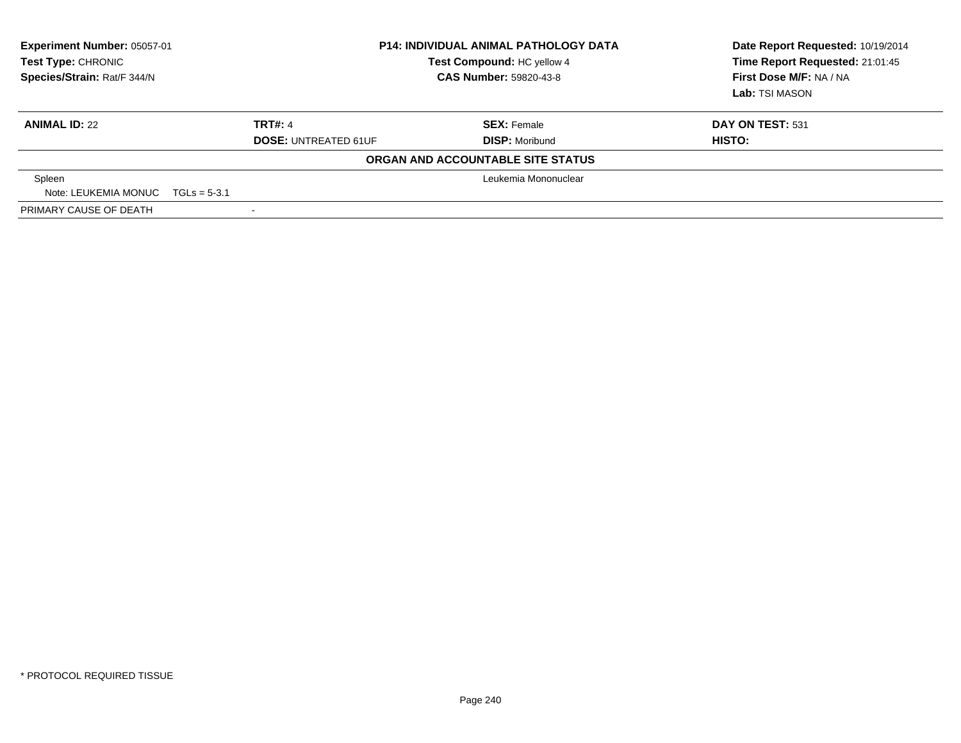| <b>Experiment Number: 05057-01</b><br>Test Type: CHRONIC<br>Species/Strain: Rat/F 344/N | <b>P14: INDIVIDUAL ANIMAL PATHOLOGY DATA</b><br>Test Compound: HC yellow 4<br><b>CAS Number: 59820-43-8</b> |                                   | Date Report Requested: 10/19/2014<br>Time Report Requested: 21:01:45<br>First Dose M/F: NA / NA<br>Lab: TSI MASON |
|-----------------------------------------------------------------------------------------|-------------------------------------------------------------------------------------------------------------|-----------------------------------|-------------------------------------------------------------------------------------------------------------------|
| <b>ANIMAL ID: 22</b>                                                                    | <b>TRT#: 4</b>                                                                                              | <b>SEX: Female</b>                | DAY ON TEST: 531                                                                                                  |
|                                                                                         | <b>DOSE: UNTREATED 61UF</b>                                                                                 | <b>DISP: Moribund</b>             | <b>HISTO:</b>                                                                                                     |
|                                                                                         |                                                                                                             | ORGAN AND ACCOUNTABLE SITE STATUS |                                                                                                                   |
| Spleen                                                                                  | Leukemia Mononuclear                                                                                        |                                   |                                                                                                                   |
| Note: LEUKEMIA MONUC $TGLs = 5-3.1$                                                     |                                                                                                             |                                   |                                                                                                                   |
| PRIMARY CAUSE OF DEATH                                                                  |                                                                                                             |                                   |                                                                                                                   |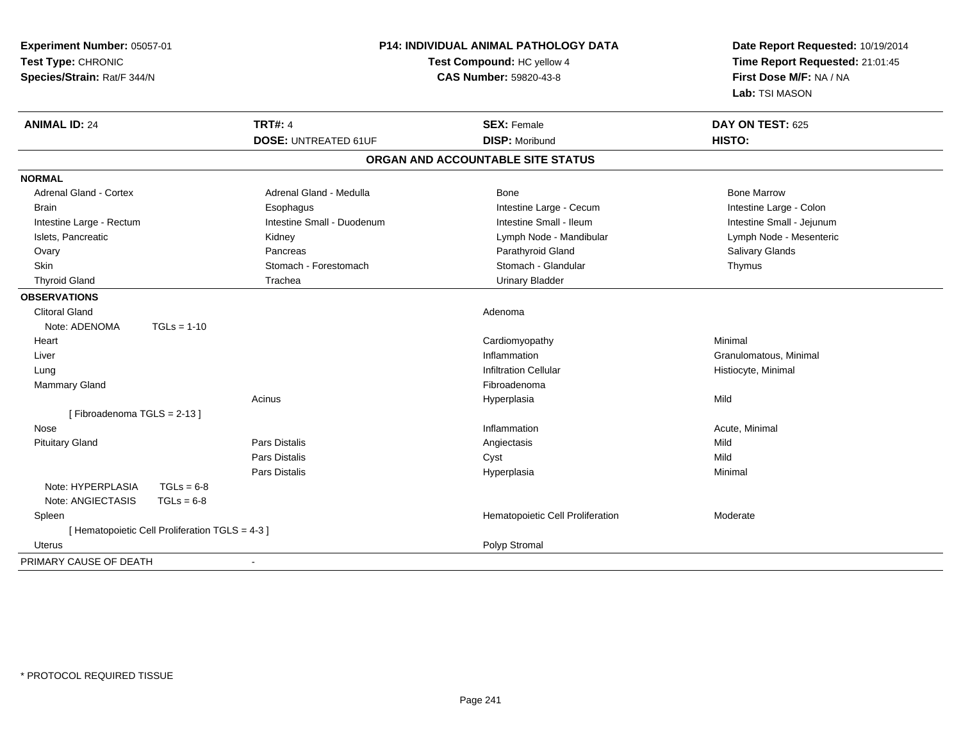| Experiment Number: 05057-01<br>Test Type: CHRONIC<br>Species/Strain: Rat/F 344/N | P14: INDIVIDUAL ANIMAL PATHOLOGY DATA<br>Test Compound: HC yellow 4<br><b>CAS Number: 59820-43-8</b> |                             | Date Report Requested: 10/19/2014<br>Time Report Requested: 21:01:45<br>First Dose M/F: NA / NA<br>Lab: TSI MASON |                           |
|----------------------------------------------------------------------------------|------------------------------------------------------------------------------------------------------|-----------------------------|-------------------------------------------------------------------------------------------------------------------|---------------------------|
| <b>ANIMAL ID: 24</b>                                                             |                                                                                                      | <b>TRT#: 4</b>              | <b>SEX: Female</b>                                                                                                | DAY ON TEST: 625          |
|                                                                                  |                                                                                                      | <b>DOSE: UNTREATED 61UF</b> | <b>DISP: Moribund</b>                                                                                             | HISTO:                    |
|                                                                                  |                                                                                                      |                             | ORGAN AND ACCOUNTABLE SITE STATUS                                                                                 |                           |
| <b>NORMAL</b>                                                                    |                                                                                                      |                             |                                                                                                                   |                           |
| Adrenal Gland - Cortex                                                           |                                                                                                      | Adrenal Gland - Medulla     | Bone                                                                                                              | <b>Bone Marrow</b>        |
| <b>Brain</b>                                                                     |                                                                                                      | Esophagus                   | Intestine Large - Cecum                                                                                           | Intestine Large - Colon   |
| Intestine Large - Rectum                                                         |                                                                                                      | Intestine Small - Duodenum  | Intestine Small - Ileum                                                                                           | Intestine Small - Jejunum |
| Islets, Pancreatic                                                               |                                                                                                      | Kidney                      | Lymph Node - Mandibular                                                                                           | Lymph Node - Mesenteric   |
| Ovary                                                                            |                                                                                                      | Pancreas                    | Parathyroid Gland                                                                                                 | Salivary Glands           |
| Skin                                                                             |                                                                                                      | Stomach - Forestomach       | Stomach - Glandular                                                                                               | Thymus                    |
| <b>Thyroid Gland</b>                                                             |                                                                                                      | Trachea                     | <b>Urinary Bladder</b>                                                                                            |                           |
| <b>OBSERVATIONS</b>                                                              |                                                                                                      |                             |                                                                                                                   |                           |
| <b>Clitoral Gland</b>                                                            |                                                                                                      |                             | Adenoma                                                                                                           |                           |
| Note: ADENOMA                                                                    | $TGLs = 1-10$                                                                                        |                             |                                                                                                                   |                           |
| Heart                                                                            |                                                                                                      |                             | Cardiomyopathy                                                                                                    | Minimal                   |
| Liver                                                                            |                                                                                                      |                             | Inflammation                                                                                                      | Granulomatous, Minimal    |
| Lung                                                                             |                                                                                                      |                             | <b>Infiltration Cellular</b>                                                                                      | Histiocyte, Minimal       |
| Mammary Gland                                                                    |                                                                                                      |                             | Fibroadenoma                                                                                                      |                           |
|                                                                                  |                                                                                                      | Acinus                      | Hyperplasia                                                                                                       | Mild                      |
| [Fibroadenoma TGLS = 2-13]                                                       |                                                                                                      |                             |                                                                                                                   |                           |
| Nose                                                                             |                                                                                                      |                             | Inflammation                                                                                                      | Acute, Minimal            |
| <b>Pituitary Gland</b>                                                           |                                                                                                      | <b>Pars Distalis</b>        | Angiectasis                                                                                                       | Mild                      |
|                                                                                  |                                                                                                      | <b>Pars Distalis</b>        | Cyst                                                                                                              | Mild                      |
|                                                                                  |                                                                                                      | <b>Pars Distalis</b>        | Hyperplasia                                                                                                       | Minimal                   |
| Note: HYPERPLASIA                                                                | $TGLs = 6-8$                                                                                         |                             |                                                                                                                   |                           |
| Note: ANGIECTASIS                                                                | $TGLs = 6-8$                                                                                         |                             |                                                                                                                   |                           |
| Spleen                                                                           |                                                                                                      |                             | Hematopoietic Cell Proliferation                                                                                  | Moderate                  |
| [ Hematopoietic Cell Proliferation TGLS = 4-3 ]                                  |                                                                                                      |                             |                                                                                                                   |                           |
| Uterus                                                                           |                                                                                                      |                             | Polyp Stromal                                                                                                     |                           |
| PRIMARY CAUSE OF DEATH                                                           |                                                                                                      |                             |                                                                                                                   |                           |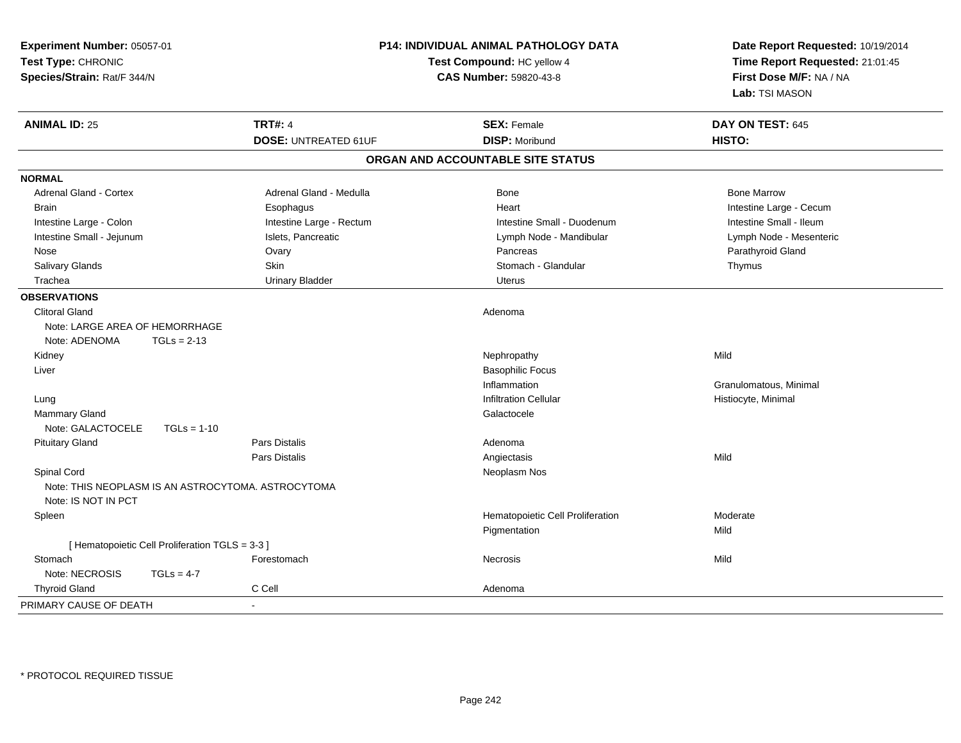| Experiment Number: 05057-01<br>Test Type: CHRONIC<br>Species/Strain: Rat/F 344/N |                                                 |                             | P14: INDIVIDUAL ANIMAL PATHOLOGY DATA<br>Test Compound: HC yellow 4<br>CAS Number: 59820-43-8 |                                  | Date Report Requested: 10/19/2014<br>Time Report Requested: 21:01:45<br>First Dose M/F: NA / NA<br>Lab: TSI MASON |
|----------------------------------------------------------------------------------|-------------------------------------------------|-----------------------------|-----------------------------------------------------------------------------------------------|----------------------------------|-------------------------------------------------------------------------------------------------------------------|
| <b>ANIMAL ID: 25</b>                                                             |                                                 | <b>TRT#: 4</b>              |                                                                                               | <b>SEX: Female</b>               | DAY ON TEST: 645                                                                                                  |
|                                                                                  |                                                 | <b>DOSE: UNTREATED 61UF</b> |                                                                                               | <b>DISP: Moribund</b>            | HISTO:                                                                                                            |
|                                                                                  |                                                 |                             | ORGAN AND ACCOUNTABLE SITE STATUS                                                             |                                  |                                                                                                                   |
| <b>NORMAL</b>                                                                    |                                                 |                             |                                                                                               |                                  |                                                                                                                   |
| <b>Adrenal Gland - Cortex</b>                                                    |                                                 | Adrenal Gland - Medulla     |                                                                                               | Bone                             | <b>Bone Marrow</b>                                                                                                |
| <b>Brain</b>                                                                     |                                                 | Esophagus                   |                                                                                               | Heart                            | Intestine Large - Cecum                                                                                           |
| Intestine Large - Colon                                                          |                                                 | Intestine Large - Rectum    |                                                                                               | Intestine Small - Duodenum       | Intestine Small - Ileum                                                                                           |
| Intestine Small - Jejunum                                                        |                                                 | Islets, Pancreatic          |                                                                                               | Lymph Node - Mandibular          | Lymph Node - Mesenteric                                                                                           |
| Nose                                                                             |                                                 | Ovary                       |                                                                                               | Pancreas                         | Parathyroid Gland                                                                                                 |
| Salivary Glands                                                                  |                                                 | Skin                        |                                                                                               | Stomach - Glandular              | Thymus                                                                                                            |
| Trachea                                                                          |                                                 | <b>Urinary Bladder</b>      |                                                                                               | <b>Uterus</b>                    |                                                                                                                   |
| <b>OBSERVATIONS</b>                                                              |                                                 |                             |                                                                                               |                                  |                                                                                                                   |
| <b>Clitoral Gland</b><br>Note: LARGE AREA OF HEMORRHAGE<br>Note: ADENOMA         | $TGLs = 2-13$                                   |                             | Adenoma                                                                                       |                                  |                                                                                                                   |
| Kidney                                                                           |                                                 |                             |                                                                                               | Nephropathy                      | Mild                                                                                                              |
| Liver                                                                            |                                                 |                             |                                                                                               | <b>Basophilic Focus</b>          |                                                                                                                   |
|                                                                                  |                                                 |                             |                                                                                               | Inflammation                     | Granulomatous, Minimal                                                                                            |
| Lung                                                                             |                                                 |                             |                                                                                               | <b>Infiltration Cellular</b>     | Histiocyte, Minimal                                                                                               |
| <b>Mammary Gland</b>                                                             |                                                 |                             |                                                                                               | Galactocele                      |                                                                                                                   |
| Note: GALACTOCELE                                                                | $TGLs = 1-10$                                   |                             |                                                                                               |                                  |                                                                                                                   |
| <b>Pituitary Gland</b>                                                           |                                                 | <b>Pars Distalis</b>        | Adenoma                                                                                       |                                  |                                                                                                                   |
|                                                                                  |                                                 | Pars Distalis               |                                                                                               | Angiectasis                      | Mild                                                                                                              |
| Spinal Cord                                                                      |                                                 |                             |                                                                                               | Neoplasm Nos                     |                                                                                                                   |
| Note: THIS NEOPLASM IS AN ASTROCYTOMA. ASTROCYTOMA<br>Note: IS NOT IN PCT        |                                                 |                             |                                                                                               |                                  |                                                                                                                   |
| Spleen                                                                           |                                                 |                             |                                                                                               | Hematopoietic Cell Proliferation | Moderate                                                                                                          |
|                                                                                  |                                                 |                             |                                                                                               | Pigmentation                     | Mild                                                                                                              |
|                                                                                  | [ Hematopoietic Cell Proliferation TGLS = 3-3 ] |                             |                                                                                               |                                  |                                                                                                                   |
| Stomach                                                                          |                                                 | Forestomach                 | Necrosis                                                                                      |                                  | Mild                                                                                                              |
| Note: NECROSIS                                                                   | $TGLs = 4-7$                                    |                             |                                                                                               |                                  |                                                                                                                   |
| <b>Thyroid Gland</b>                                                             |                                                 | C Cell                      | Adenoma                                                                                       |                                  |                                                                                                                   |
| PRIMARY CAUSE OF DEATH                                                           |                                                 | $\sim$                      |                                                                                               |                                  |                                                                                                                   |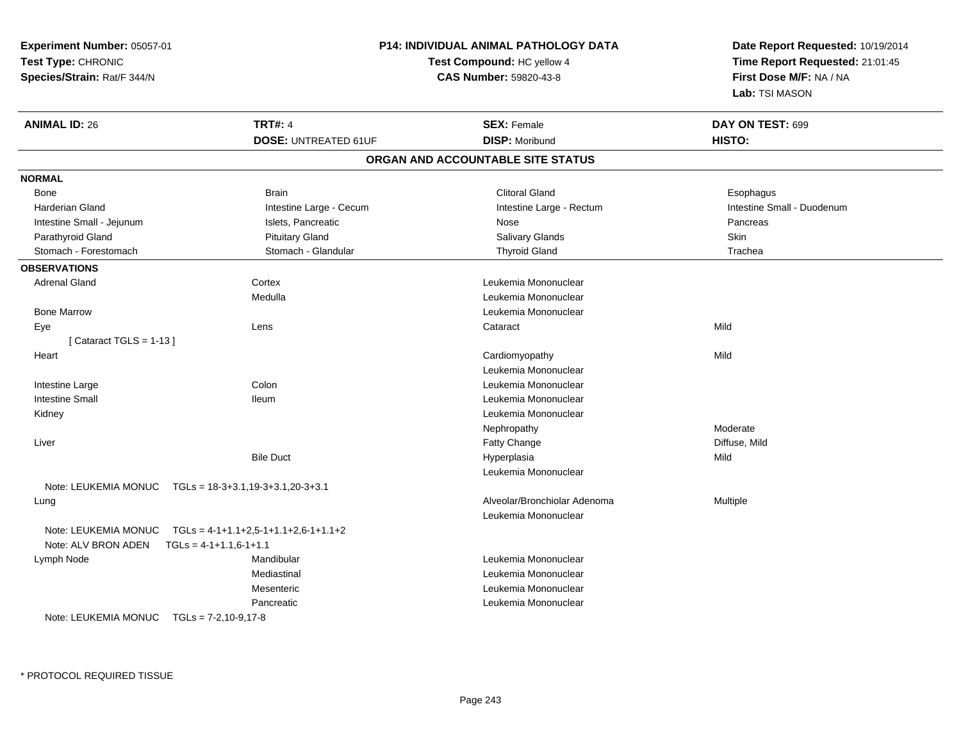| Experiment Number: 05057-01                                    | P14: INDIVIDUAL ANIMAL PATHOLOGY DATA | Date Report Requested: 10/19/2014                                            |  |
|----------------------------------------------------------------|---------------------------------------|------------------------------------------------------------------------------|--|
| Test Type: CHRONIC                                             | Test Compound: HC yellow 4            | Time Report Requested: 21:01:45<br>First Dose M/F: NA / NA<br>Lab: TSI MASON |  |
| Species/Strain: Rat/F 344/N                                    | CAS Number: 59820-43-8                |                                                                              |  |
|                                                                |                                       |                                                                              |  |
| <b>ANIMAL ID: 26</b><br><b>TRT#: 4</b>                         | <b>SEX: Female</b>                    | DAY ON TEST: 699                                                             |  |
| <b>DOSE: UNTREATED 61UF</b>                                    | <b>DISP: Moribund</b>                 | HISTO:                                                                       |  |
|                                                                | ORGAN AND ACCOUNTABLE SITE STATUS     |                                                                              |  |
| <b>NORMAL</b>                                                  |                                       |                                                                              |  |
| <b>Brain</b><br>Bone                                           | <b>Clitoral Gland</b>                 | Esophagus                                                                    |  |
| <b>Harderian Gland</b><br>Intestine Large - Cecum              | Intestine Large - Rectum              | Intestine Small - Duodenum                                                   |  |
| Islets, Pancreatic<br>Intestine Small - Jejunum                | Nose                                  | Pancreas                                                                     |  |
| <b>Pituitary Gland</b><br>Parathyroid Gland                    | Salivary Glands                       | Skin                                                                         |  |
| Stomach - Forestomach<br>Stomach - Glandular                   | <b>Thyroid Gland</b>                  | Trachea                                                                      |  |
| <b>OBSERVATIONS</b>                                            |                                       |                                                                              |  |
| <b>Adrenal Gland</b><br>Cortex                                 | Leukemia Mononuclear                  |                                                                              |  |
| Medulla                                                        | Leukemia Mononuclear                  |                                                                              |  |
| <b>Bone Marrow</b>                                             | Leukemia Mononuclear                  |                                                                              |  |
| Lens<br>Eye                                                    | Cataract                              | Mild                                                                         |  |
| [Cataract TGLS = $1-13$ ]                                      |                                       |                                                                              |  |
| Heart                                                          | Cardiomyopathy                        | Mild                                                                         |  |
|                                                                | Leukemia Mononuclear                  |                                                                              |  |
| Colon<br>Intestine Large                                       | Leukemia Mononuclear                  |                                                                              |  |
| <b>Intestine Small</b><br><b>Ileum</b>                         | Leukemia Mononuclear                  |                                                                              |  |
| Kidney                                                         | Leukemia Mononuclear                  |                                                                              |  |
|                                                                | Nephropathy                           | Moderate                                                                     |  |
| Liver                                                          | Fatty Change                          | Diffuse, Mild                                                                |  |
| <b>Bile Duct</b>                                               | Hyperplasia                           | Mild                                                                         |  |
|                                                                | Leukemia Mononuclear                  |                                                                              |  |
| Note: LEUKEMIA MONUC    TGLs = 18-3+3.1,19-3+3.1,20-3+3.1      |                                       |                                                                              |  |
| Lung                                                           | Alveolar/Bronchiolar Adenoma          | Multiple                                                                     |  |
|                                                                | Leukemia Mononuclear                  |                                                                              |  |
| TGLs = $4-1+1.1+2.5-1+1.1+2.6-1+1.1+2$<br>Note: LEUKEMIA MONUC |                                       |                                                                              |  |
| Note: ALV BRON ADEN<br>$TGLS = 4-1+1.1,6-1+1.1$                |                                       |                                                                              |  |
| Mandibular<br>Lymph Node                                       | Leukemia Mononuclear                  |                                                                              |  |
| Mediastinal                                                    | Leukemia Mononuclear                  |                                                                              |  |
| Mesenteric                                                     | Leukemia Mononuclear                  |                                                                              |  |
| Pancreatic                                                     | Leukemia Mononuclear                  |                                                                              |  |
| Note: LEUKEMIA MONUC TGLs = 7-2,10-9,17-8                      |                                       |                                                                              |  |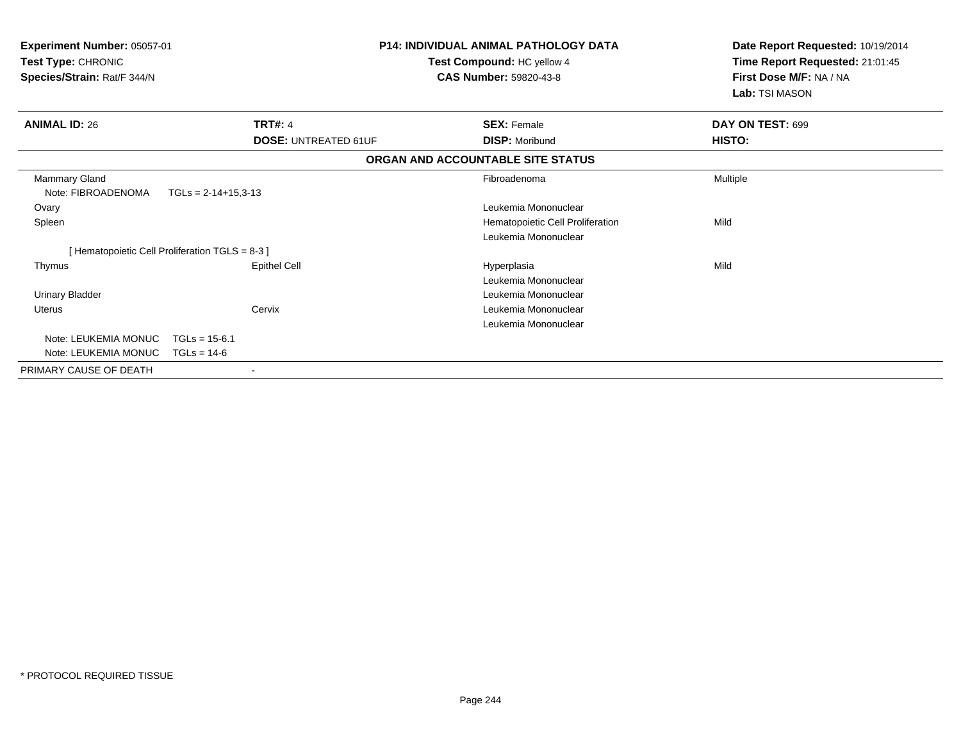| Experiment Number: 05057-01<br>Test Type: CHRONIC |                                                 | <b>P14: INDIVIDUAL ANIMAL PATHOLOGY DATA</b><br>Test Compound: HC yellow 4 | Date Report Requested: 10/19/2014<br>Time Report Requested: 21:01:45 |  |
|---------------------------------------------------|-------------------------------------------------|----------------------------------------------------------------------------|----------------------------------------------------------------------|--|
| Species/Strain: Rat/F 344/N                       |                                                 | <b>CAS Number: 59820-43-8</b>                                              | First Dose M/F: NA / NA<br>Lab: TSI MASON                            |  |
| <b>ANIMAL ID: 26</b>                              | <b>TRT#: 4</b>                                  | <b>SEX: Female</b>                                                         | DAY ON TEST: 699                                                     |  |
|                                                   | <b>DOSE: UNTREATED 61UF</b>                     | <b>DISP: Moribund</b>                                                      | HISTO:                                                               |  |
|                                                   |                                                 | ORGAN AND ACCOUNTABLE SITE STATUS                                          |                                                                      |  |
| <b>Mammary Gland</b><br>Note: FIBROADENOMA        | $TGLs = 2-14+15,3-13$                           | Fibroadenoma                                                               | Multiple                                                             |  |
| Ovary                                             |                                                 | Leukemia Mononuclear                                                       |                                                                      |  |
| Spleen                                            |                                                 | Hematopoietic Cell Proliferation                                           | Mild                                                                 |  |
|                                                   |                                                 | Leukemia Mononuclear                                                       |                                                                      |  |
|                                                   | [ Hematopoietic Cell Proliferation TGLS = 8-3 ] |                                                                            |                                                                      |  |
| Thymus                                            | <b>Epithel Cell</b>                             | Hyperplasia                                                                | Mild                                                                 |  |
|                                                   |                                                 | Leukemia Mononuclear                                                       |                                                                      |  |
| <b>Urinary Bladder</b>                            |                                                 | Leukemia Mononuclear                                                       |                                                                      |  |
| Uterus                                            | Cervix                                          | Leukemia Mononuclear                                                       |                                                                      |  |
|                                                   |                                                 | Leukemia Mononuclear                                                       |                                                                      |  |
| Note: LEUKEMIA MONUC                              | $TGLs = 15-6.1$                                 |                                                                            |                                                                      |  |
| Note: LEUKEMIA MONUC                              | $TGLs = 14-6$                                   |                                                                            |                                                                      |  |
| PRIMARY CAUSE OF DEATH                            | $\blacksquare$                                  |                                                                            |                                                                      |  |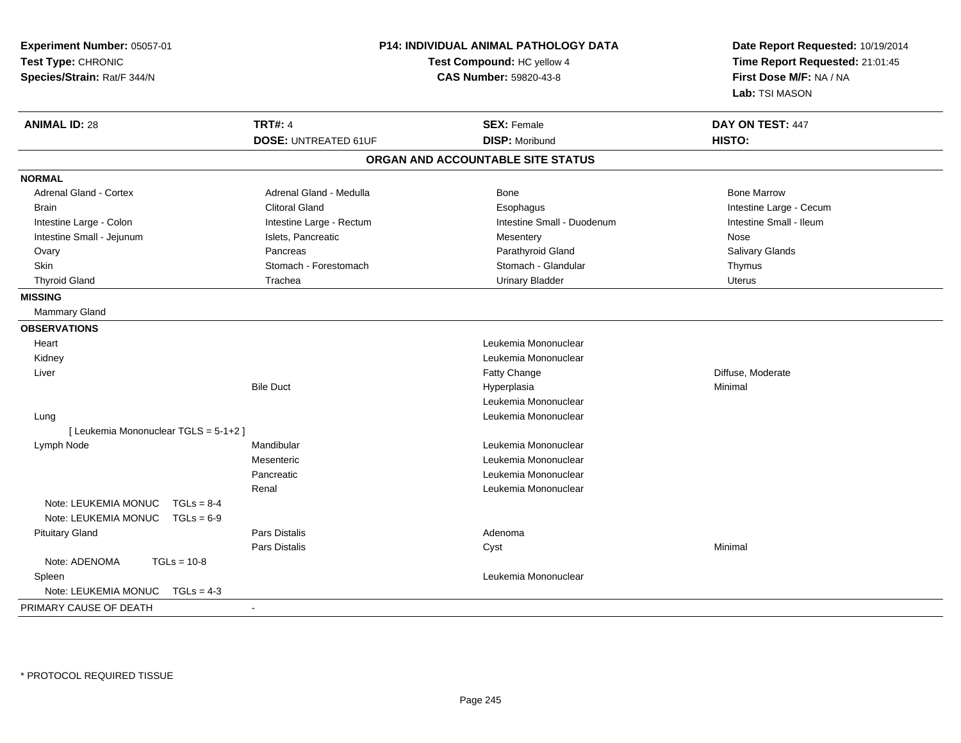| Experiment Number: 05057-01<br>Test Type: CHRONIC<br>Species/Strain: Rat/F 344/N |                             | P14: INDIVIDUAL ANIMAL PATHOLOGY DATA<br>Date Report Requested: 10/19/2014<br>Test Compound: HC yellow 4<br>Time Report Requested: 21:01:45<br>First Dose M/F: NA / NA<br><b>CAS Number: 59820-43-8</b><br>Lab: TSI MASON |                         |
|----------------------------------------------------------------------------------|-----------------------------|---------------------------------------------------------------------------------------------------------------------------------------------------------------------------------------------------------------------------|-------------------------|
| <b>ANIMAL ID: 28</b>                                                             | <b>TRT#: 4</b>              | <b>SEX: Female</b>                                                                                                                                                                                                        | DAY ON TEST: 447        |
|                                                                                  | <b>DOSE: UNTREATED 61UF</b> | <b>DISP: Moribund</b>                                                                                                                                                                                                     | HISTO:                  |
|                                                                                  |                             | ORGAN AND ACCOUNTABLE SITE STATUS                                                                                                                                                                                         |                         |
| <b>NORMAL</b>                                                                    |                             |                                                                                                                                                                                                                           |                         |
| Adrenal Gland - Cortex                                                           | Adrenal Gland - Medulla     | Bone                                                                                                                                                                                                                      | <b>Bone Marrow</b>      |
| <b>Brain</b>                                                                     | <b>Clitoral Gland</b>       | Esophagus                                                                                                                                                                                                                 | Intestine Large - Cecum |
| Intestine Large - Colon                                                          | Intestine Large - Rectum    | Intestine Small - Duodenum                                                                                                                                                                                                | Intestine Small - Ileum |
| Intestine Small - Jejunum                                                        | Islets, Pancreatic          | Mesentery                                                                                                                                                                                                                 | Nose                    |
| Ovary                                                                            | Pancreas                    | Parathyroid Gland                                                                                                                                                                                                         | Salivary Glands         |
| Skin                                                                             | Stomach - Forestomach       | Stomach - Glandular                                                                                                                                                                                                       | Thymus                  |
| <b>Thyroid Gland</b>                                                             | Trachea                     | <b>Urinary Bladder</b>                                                                                                                                                                                                    | Uterus                  |
| <b>MISSING</b>                                                                   |                             |                                                                                                                                                                                                                           |                         |
| Mammary Gland                                                                    |                             |                                                                                                                                                                                                                           |                         |
| <b>OBSERVATIONS</b>                                                              |                             |                                                                                                                                                                                                                           |                         |
| Heart                                                                            |                             | Leukemia Mononuclear                                                                                                                                                                                                      |                         |
| Kidney                                                                           |                             | Leukemia Mononuclear                                                                                                                                                                                                      |                         |
| Liver                                                                            |                             | Fatty Change                                                                                                                                                                                                              | Diffuse, Moderate       |
|                                                                                  | <b>Bile Duct</b>            | Hyperplasia                                                                                                                                                                                                               | Minimal                 |
|                                                                                  |                             | Leukemia Mononuclear                                                                                                                                                                                                      |                         |
| Lung                                                                             |                             | Leukemia Mononuclear                                                                                                                                                                                                      |                         |
| [ Leukemia Mononuclear TGLS = 5-1+2 ]                                            |                             |                                                                                                                                                                                                                           |                         |
| Lymph Node                                                                       | Mandibular                  | Leukemia Mononuclear                                                                                                                                                                                                      |                         |
|                                                                                  | Mesenteric                  | Leukemia Mononuclear                                                                                                                                                                                                      |                         |
|                                                                                  | Pancreatic                  | Leukemia Mononuclear                                                                                                                                                                                                      |                         |
|                                                                                  | Renal                       | Leukemia Mononuclear                                                                                                                                                                                                      |                         |
| Note: LEUKEMIA MONUC<br>$TGLs = 8-4$                                             |                             |                                                                                                                                                                                                                           |                         |
| Note: LEUKEMIA MONUC<br>$TGLs = 6-9$                                             |                             |                                                                                                                                                                                                                           |                         |
| <b>Pituitary Gland</b>                                                           | Pars Distalis               | Adenoma                                                                                                                                                                                                                   |                         |
|                                                                                  | <b>Pars Distalis</b>        | Cyst                                                                                                                                                                                                                      | Minimal                 |
| Note: ADENOMA<br>$TGLs = 10-8$                                                   |                             |                                                                                                                                                                                                                           |                         |
| Spleen                                                                           |                             | Leukemia Mononuclear                                                                                                                                                                                                      |                         |
| Note: LEUKEMIA MONUC<br>$TGLs = 4-3$                                             |                             |                                                                                                                                                                                                                           |                         |
| PRIMARY CAUSE OF DEATH                                                           | $\sim$                      |                                                                                                                                                                                                                           |                         |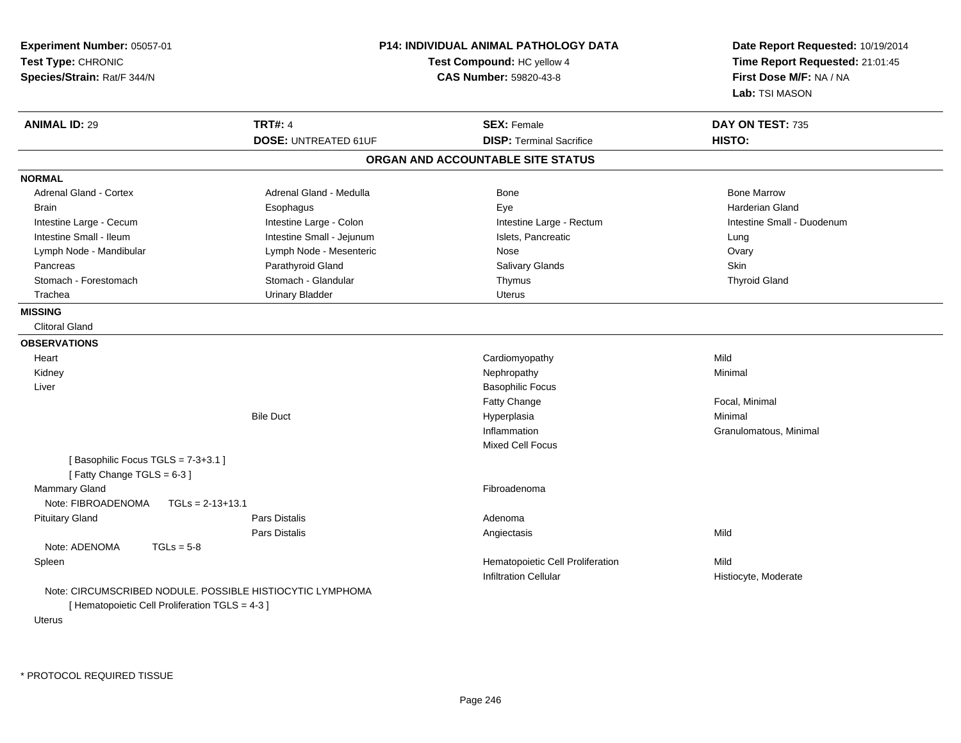| Experiment Number: 05057-01<br>Test Type: CHRONIC<br>Species/Strain: Rat/F 344/N                                              |                             | <b>P14: INDIVIDUAL ANIMAL PATHOLOGY DATA</b><br>Test Compound: HC yellow 4<br>CAS Number: 59820-43-8 | Date Report Requested: 10/19/2014<br>Time Report Requested: 21:01:45<br>First Dose M/F: NA / NA<br>Lab: TSI MASON |  |
|-------------------------------------------------------------------------------------------------------------------------------|-----------------------------|------------------------------------------------------------------------------------------------------|-------------------------------------------------------------------------------------------------------------------|--|
| <b>ANIMAL ID: 29</b>                                                                                                          | <b>TRT#: 4</b>              | <b>SEX: Female</b>                                                                                   | DAY ON TEST: 735                                                                                                  |  |
|                                                                                                                               | <b>DOSE: UNTREATED 61UF</b> | <b>DISP: Terminal Sacrifice</b>                                                                      | HISTO:                                                                                                            |  |
|                                                                                                                               |                             | ORGAN AND ACCOUNTABLE SITE STATUS                                                                    |                                                                                                                   |  |
| <b>NORMAL</b>                                                                                                                 |                             |                                                                                                      |                                                                                                                   |  |
| Adrenal Gland - Cortex                                                                                                        | Adrenal Gland - Medulla     | <b>Bone</b>                                                                                          | <b>Bone Marrow</b>                                                                                                |  |
| <b>Brain</b>                                                                                                                  | Esophagus                   | Eye                                                                                                  | <b>Harderian Gland</b>                                                                                            |  |
| Intestine Large - Cecum                                                                                                       | Intestine Large - Colon     | Intestine Large - Rectum                                                                             | Intestine Small - Duodenum                                                                                        |  |
| Intestine Small - Ileum                                                                                                       | Intestine Small - Jejunum   | Islets, Pancreatic                                                                                   | Lung                                                                                                              |  |
| Lymph Node - Mandibular                                                                                                       | Lymph Node - Mesenteric     | Nose                                                                                                 | Ovary                                                                                                             |  |
| Pancreas                                                                                                                      | Parathyroid Gland           | <b>Salivary Glands</b>                                                                               | <b>Skin</b>                                                                                                       |  |
| Stomach - Forestomach                                                                                                         | Stomach - Glandular         | Thymus                                                                                               | <b>Thyroid Gland</b>                                                                                              |  |
| Trachea                                                                                                                       | <b>Urinary Bladder</b>      | <b>Uterus</b>                                                                                        |                                                                                                                   |  |
| <b>MISSING</b>                                                                                                                |                             |                                                                                                      |                                                                                                                   |  |
| <b>Clitoral Gland</b>                                                                                                         |                             |                                                                                                      |                                                                                                                   |  |
| <b>OBSERVATIONS</b>                                                                                                           |                             |                                                                                                      |                                                                                                                   |  |
| Heart                                                                                                                         |                             | Cardiomyopathy                                                                                       | Mild                                                                                                              |  |
| Kidney                                                                                                                        |                             | Nephropathy                                                                                          | Minimal                                                                                                           |  |
| Liver                                                                                                                         |                             | <b>Basophilic Focus</b>                                                                              |                                                                                                                   |  |
|                                                                                                                               |                             | <b>Fatty Change</b>                                                                                  | Focal, Minimal                                                                                                    |  |
|                                                                                                                               | <b>Bile Duct</b>            | Hyperplasia                                                                                          | Minimal                                                                                                           |  |
|                                                                                                                               |                             | Inflammation                                                                                         | Granulomatous, Minimal                                                                                            |  |
|                                                                                                                               |                             | <b>Mixed Cell Focus</b>                                                                              |                                                                                                                   |  |
| [Basophilic Focus TGLS = 7-3+3.1]<br>[Fatty Change TGLS = $6-3$ ]                                                             |                             |                                                                                                      |                                                                                                                   |  |
| Mammary Gland<br>Note: FIBROADENOMA<br>$TGLs = 2-13+13.1$                                                                     |                             | Fibroadenoma                                                                                         |                                                                                                                   |  |
| <b>Pituitary Gland</b>                                                                                                        | <b>Pars Distalis</b>        | Adenoma                                                                                              |                                                                                                                   |  |
|                                                                                                                               | Pars Distalis               | Angiectasis                                                                                          | Mild                                                                                                              |  |
| Note: ADENOMA<br>$TGLs = 5-8$                                                                                                 |                             |                                                                                                      |                                                                                                                   |  |
| Spleen                                                                                                                        |                             | Hematopoietic Cell Proliferation                                                                     | Mild                                                                                                              |  |
|                                                                                                                               |                             | <b>Infiltration Cellular</b>                                                                         | Histiocyte, Moderate                                                                                              |  |
| Note: CIRCUMSCRIBED NODULE. POSSIBLE HISTIOCYTIC LYMPHOMA<br>[ Hematopoietic Cell Proliferation TGLS = 4-3 ]<br><b>Uterus</b> |                             |                                                                                                      |                                                                                                                   |  |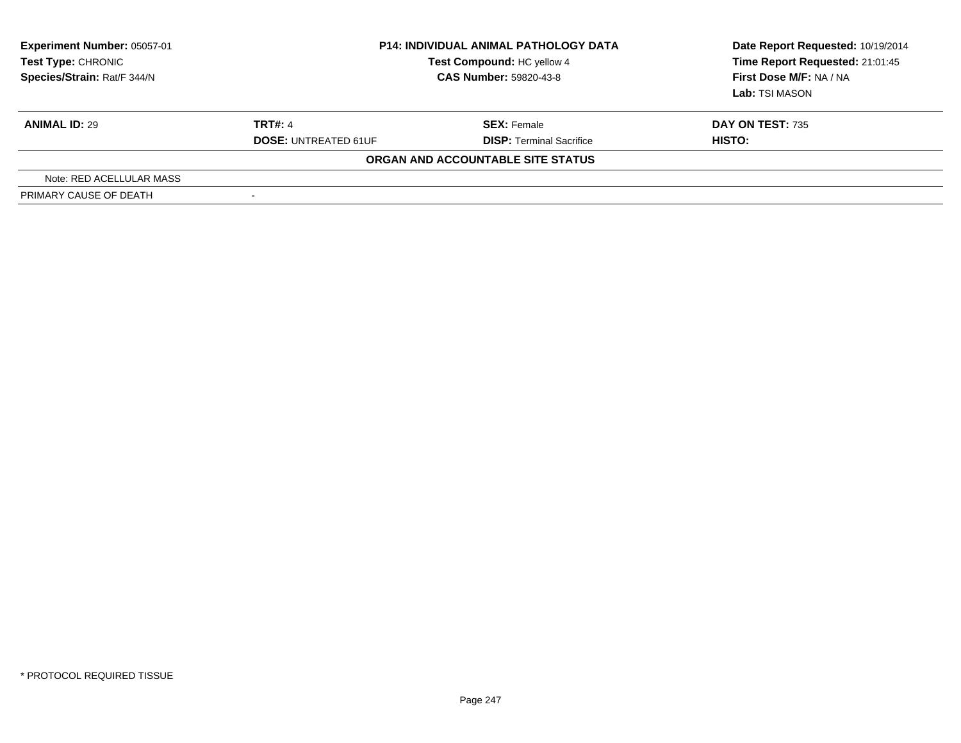| <b>Experiment Number: 05057-01</b><br>Test Type: CHRONIC<br>Species/Strain: Rat/F 344/N |                             | <b>P14: INDIVIDUAL ANIMAL PATHOLOGY DATA</b><br>Test Compound: HC yellow 4<br><b>CAS Number: 59820-43-8</b> | Date Report Requested: 10/19/2014<br>Time Report Requested: 21:01:45<br>First Dose M/F: NA / NA<br>Lab: TSI MASON |  |
|-----------------------------------------------------------------------------------------|-----------------------------|-------------------------------------------------------------------------------------------------------------|-------------------------------------------------------------------------------------------------------------------|--|
| <b>ANIMAL ID: 29</b>                                                                    | <b>TRT#: 4</b>              | <b>SEX: Female</b>                                                                                          | <b>DAY ON TEST: 735</b>                                                                                           |  |
|                                                                                         | <b>DOSE: UNTREATED 61UF</b> | <b>DISP: Terminal Sacrifice</b>                                                                             | <b>HISTO:</b>                                                                                                     |  |
|                                                                                         |                             | ORGAN AND ACCOUNTABLE SITE STATUS                                                                           |                                                                                                                   |  |
| Note: RED ACELLULAR MASS                                                                |                             |                                                                                                             |                                                                                                                   |  |
| PRIMARY CAUSE OF DEATH                                                                  | $\overline{\phantom{a}}$    |                                                                                                             |                                                                                                                   |  |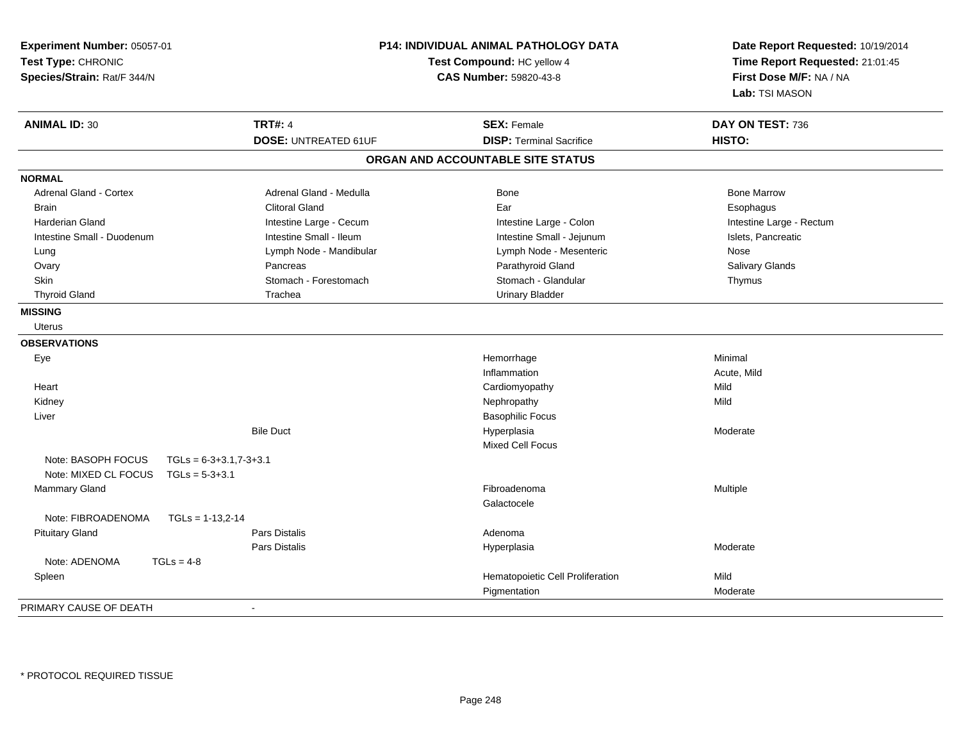| Experiment Number: 05057-01<br>Test Type: CHRONIC<br>Species/Strain: Rat/F 344/N |                             | P14: INDIVIDUAL ANIMAL PATHOLOGY DATA<br>Date Report Requested: 10/19/2014<br>Test Compound: HC yellow 4<br>Time Report Requested: 21:01:45<br>First Dose M/F: NA / NA<br><b>CAS Number: 59820-43-8</b><br>Lab: TSI MASON |                          |
|----------------------------------------------------------------------------------|-----------------------------|---------------------------------------------------------------------------------------------------------------------------------------------------------------------------------------------------------------------------|--------------------------|
| <b>ANIMAL ID: 30</b>                                                             | <b>TRT#: 4</b>              | <b>SEX: Female</b>                                                                                                                                                                                                        | DAY ON TEST: 736         |
|                                                                                  | <b>DOSE: UNTREATED 61UF</b> | <b>DISP: Terminal Sacrifice</b>                                                                                                                                                                                           | HISTO:                   |
|                                                                                  |                             | ORGAN AND ACCOUNTABLE SITE STATUS                                                                                                                                                                                         |                          |
| <b>NORMAL</b>                                                                    |                             |                                                                                                                                                                                                                           |                          |
| Adrenal Gland - Cortex                                                           | Adrenal Gland - Medulla     | Bone                                                                                                                                                                                                                      | <b>Bone Marrow</b>       |
| <b>Brain</b>                                                                     | <b>Clitoral Gland</b>       | Ear                                                                                                                                                                                                                       | Esophagus                |
| <b>Harderian Gland</b>                                                           | Intestine Large - Cecum     | Intestine Large - Colon                                                                                                                                                                                                   | Intestine Large - Rectum |
| Intestine Small - Duodenum                                                       | Intestine Small - Ileum     | Intestine Small - Jejunum                                                                                                                                                                                                 | Islets, Pancreatic       |
| Lung                                                                             | Lymph Node - Mandibular     | Lymph Node - Mesenteric                                                                                                                                                                                                   | Nose                     |
| Ovary                                                                            | Pancreas                    | Parathyroid Gland                                                                                                                                                                                                         | Salivary Glands          |
| <b>Skin</b>                                                                      | Stomach - Forestomach       | Stomach - Glandular                                                                                                                                                                                                       | Thymus                   |
| <b>Thyroid Gland</b>                                                             | Trachea                     | <b>Urinary Bladder</b>                                                                                                                                                                                                    |                          |
| <b>MISSING</b>                                                                   |                             |                                                                                                                                                                                                                           |                          |
| <b>Uterus</b>                                                                    |                             |                                                                                                                                                                                                                           |                          |
| <b>OBSERVATIONS</b>                                                              |                             |                                                                                                                                                                                                                           |                          |
| Eye                                                                              |                             | Hemorrhage                                                                                                                                                                                                                | Minimal                  |
|                                                                                  |                             | Inflammation                                                                                                                                                                                                              | Acute, Mild              |
| Heart                                                                            |                             | Cardiomyopathy                                                                                                                                                                                                            | Mild                     |
| Kidney                                                                           |                             | Nephropathy                                                                                                                                                                                                               | Mild                     |
| Liver                                                                            |                             | <b>Basophilic Focus</b>                                                                                                                                                                                                   |                          |
|                                                                                  | <b>Bile Duct</b>            | Hyperplasia                                                                                                                                                                                                               | Moderate                 |
|                                                                                  |                             | <b>Mixed Cell Focus</b>                                                                                                                                                                                                   |                          |
| Note: BASOPH FOCUS                                                               | $TGLs = 6-3+3.1,7-3+3.1$    |                                                                                                                                                                                                                           |                          |
| Note: MIXED CL FOCUS                                                             | $TGLs = 5-3+3.1$            |                                                                                                                                                                                                                           |                          |
| <b>Mammary Gland</b>                                                             |                             | Fibroadenoma                                                                                                                                                                                                              | Multiple                 |
|                                                                                  |                             | Galactocele                                                                                                                                                                                                               |                          |
| Note: FIBROADENOMA                                                               | $TGLs = 1-13.2-14$          |                                                                                                                                                                                                                           |                          |
| <b>Pituitary Gland</b>                                                           | Pars Distalis               | Adenoma                                                                                                                                                                                                                   |                          |
|                                                                                  | <b>Pars Distalis</b>        | Hyperplasia                                                                                                                                                                                                               | Moderate                 |
| Note: ADENOMA                                                                    | $TGLs = 4-8$                |                                                                                                                                                                                                                           |                          |
| Spleen                                                                           |                             | Hematopoietic Cell Proliferation                                                                                                                                                                                          | Mild                     |
|                                                                                  |                             | Pigmentation                                                                                                                                                                                                              | Moderate                 |
| PRIMARY CAUSE OF DEATH                                                           | $\sim$                      |                                                                                                                                                                                                                           |                          |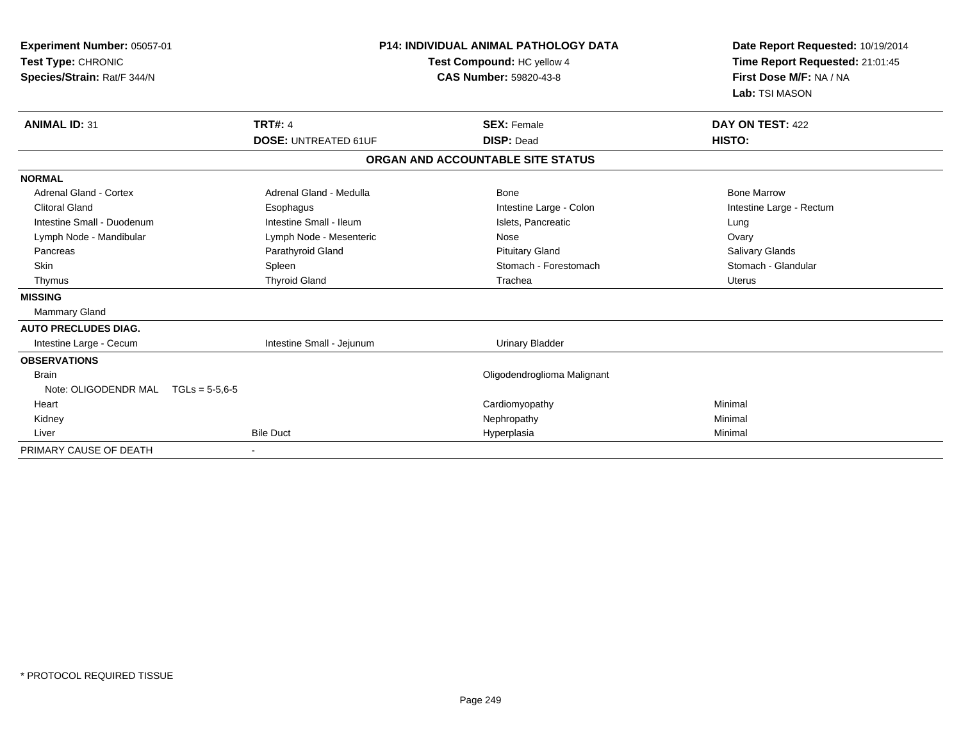| Experiment Number: 05057-01<br>Test Type: CHRONIC<br>Species/Strain: Rat/F 344/N |                             | <b>P14: INDIVIDUAL ANIMAL PATHOLOGY DATA</b><br>Test Compound: HC yellow 4<br>CAS Number: 59820-43-8 | Date Report Requested: 10/19/2014<br>Time Report Requested: 21:01:45<br>First Dose M/F: NA / NA<br>Lab: TSI MASON |
|----------------------------------------------------------------------------------|-----------------------------|------------------------------------------------------------------------------------------------------|-------------------------------------------------------------------------------------------------------------------|
| <b>ANIMAL ID: 31</b>                                                             | <b>TRT#: 4</b>              | <b>SEX: Female</b>                                                                                   | DAY ON TEST: 422                                                                                                  |
|                                                                                  | <b>DOSE: UNTREATED 61UF</b> | <b>DISP: Dead</b>                                                                                    | HISTO:                                                                                                            |
|                                                                                  |                             | ORGAN AND ACCOUNTABLE SITE STATUS                                                                    |                                                                                                                   |
| <b>NORMAL</b>                                                                    |                             |                                                                                                      |                                                                                                                   |
| Adrenal Gland - Cortex                                                           | Adrenal Gland - Medulla     | <b>Bone</b>                                                                                          | <b>Bone Marrow</b>                                                                                                |
| <b>Clitoral Gland</b>                                                            | Esophagus                   | Intestine Large - Colon                                                                              | Intestine Large - Rectum                                                                                          |
| Intestine Small - Duodenum                                                       | Intestine Small - Ileum     | Islets, Pancreatic                                                                                   | Lung                                                                                                              |
| Lymph Node - Mandibular                                                          | Lymph Node - Mesenteric     | Nose                                                                                                 | Ovary                                                                                                             |
| Pancreas                                                                         | Parathyroid Gland           | <b>Pituitary Gland</b>                                                                               | Salivary Glands                                                                                                   |
| Skin                                                                             | Spleen                      | Stomach - Forestomach                                                                                | Stomach - Glandular                                                                                               |
| Thymus                                                                           | <b>Thyroid Gland</b>        | Trachea                                                                                              | <b>Uterus</b>                                                                                                     |
| <b>MISSING</b>                                                                   |                             |                                                                                                      |                                                                                                                   |
| <b>Mammary Gland</b>                                                             |                             |                                                                                                      |                                                                                                                   |
| <b>AUTO PRECLUDES DIAG.</b>                                                      |                             |                                                                                                      |                                                                                                                   |
| Intestine Large - Cecum                                                          | Intestine Small - Jejunum   | <b>Urinary Bladder</b>                                                                               |                                                                                                                   |
| <b>OBSERVATIONS</b>                                                              |                             |                                                                                                      |                                                                                                                   |
| <b>Brain</b>                                                                     |                             | Oligodendroglioma Malignant                                                                          |                                                                                                                   |
| Note: OLIGODENDR MAL                                                             | $TGLs = 5.5.6-5$            |                                                                                                      |                                                                                                                   |
| Heart                                                                            |                             | Cardiomyopathy                                                                                       | Minimal                                                                                                           |
| Kidney                                                                           |                             | Nephropathy                                                                                          | Minimal                                                                                                           |
| Liver                                                                            | <b>Bile Duct</b>            | Hyperplasia                                                                                          | Minimal                                                                                                           |
| PRIMARY CAUSE OF DEATH                                                           |                             |                                                                                                      |                                                                                                                   |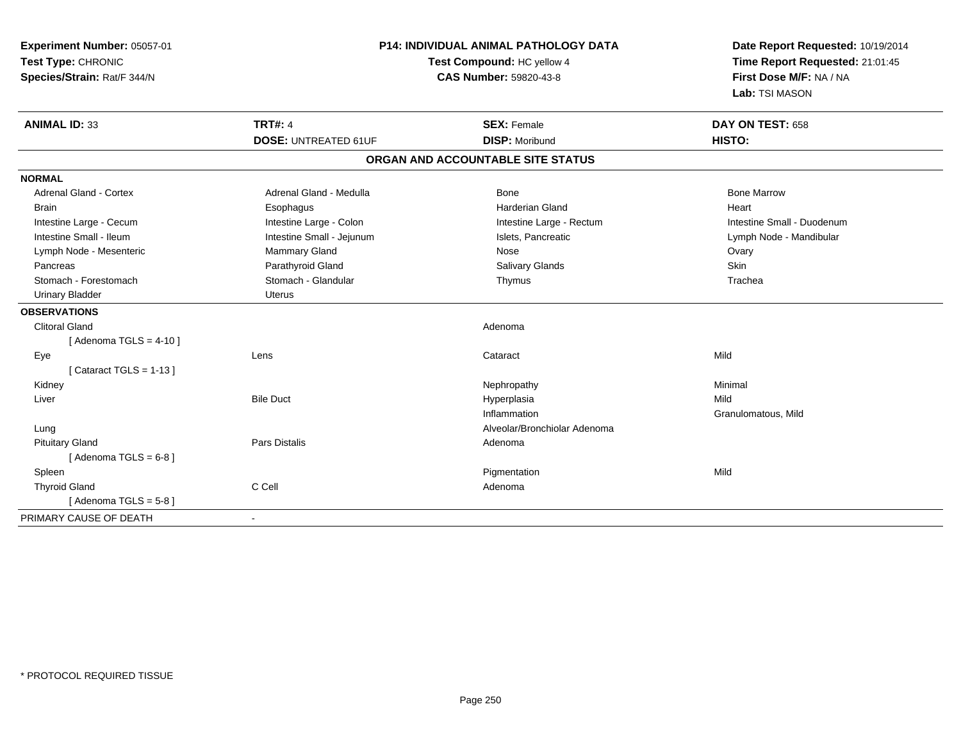| Experiment Number: 05057-01<br>Test Type: CHRONIC<br>Species/Strain: Rat/F 344/N |                             | <b>P14: INDIVIDUAL ANIMAL PATHOLOGY DATA</b><br>Test Compound: HC yellow 4<br><b>CAS Number: 59820-43-8</b> | Date Report Requested: 10/19/2014<br>Time Report Requested: 21:01:45<br>First Dose M/F: NA / NA<br>Lab: TSI MASON |  |
|----------------------------------------------------------------------------------|-----------------------------|-------------------------------------------------------------------------------------------------------------|-------------------------------------------------------------------------------------------------------------------|--|
| <b>ANIMAL ID: 33</b>                                                             | <b>TRT#: 4</b>              | <b>SEX: Female</b>                                                                                          | DAY ON TEST: 658                                                                                                  |  |
|                                                                                  | <b>DOSE: UNTREATED 61UF</b> | <b>DISP: Moribund</b>                                                                                       | HISTO:                                                                                                            |  |
|                                                                                  |                             | ORGAN AND ACCOUNTABLE SITE STATUS                                                                           |                                                                                                                   |  |
| <b>NORMAL</b>                                                                    |                             |                                                                                                             |                                                                                                                   |  |
| Adrenal Gland - Cortex                                                           | Adrenal Gland - Medulla     | <b>Bone</b>                                                                                                 | <b>Bone Marrow</b>                                                                                                |  |
| <b>Brain</b>                                                                     | Esophagus                   | <b>Harderian Gland</b>                                                                                      | Heart                                                                                                             |  |
| Intestine Large - Cecum                                                          | Intestine Large - Colon     | Intestine Large - Rectum                                                                                    | Intestine Small - Duodenum                                                                                        |  |
| Intestine Small - Ileum                                                          | Intestine Small - Jejunum   | Islets, Pancreatic                                                                                          | Lymph Node - Mandibular                                                                                           |  |
| Lymph Node - Mesenteric                                                          | <b>Mammary Gland</b>        | Nose                                                                                                        | Ovary                                                                                                             |  |
| Pancreas                                                                         | Parathyroid Gland           | Salivary Glands                                                                                             | Skin                                                                                                              |  |
| Stomach - Forestomach                                                            | Stomach - Glandular         | Thymus                                                                                                      | Trachea                                                                                                           |  |
| <b>Urinary Bladder</b>                                                           | <b>Uterus</b>               |                                                                                                             |                                                                                                                   |  |
| <b>OBSERVATIONS</b>                                                              |                             |                                                                                                             |                                                                                                                   |  |
| <b>Clitoral Gland</b>                                                            |                             | Adenoma                                                                                                     |                                                                                                                   |  |
| [Adenoma TGLS = $4-10$ ]                                                         |                             |                                                                                                             |                                                                                                                   |  |
| Eye                                                                              | Lens                        | Cataract                                                                                                    | Mild                                                                                                              |  |
| [Cataract TGLS = $1-13$ ]                                                        |                             |                                                                                                             |                                                                                                                   |  |
| Kidney                                                                           |                             | Nephropathy                                                                                                 | Minimal                                                                                                           |  |
| Liver                                                                            | <b>Bile Duct</b>            | Hyperplasia                                                                                                 | Mild                                                                                                              |  |
|                                                                                  |                             | Inflammation                                                                                                | Granulomatous, Mild                                                                                               |  |
| Lung                                                                             |                             | Alveolar/Bronchiolar Adenoma                                                                                |                                                                                                                   |  |
| <b>Pituitary Gland</b>                                                           | <b>Pars Distalis</b>        | Adenoma                                                                                                     |                                                                                                                   |  |
| [Adenoma TGLS = $6-8$ ]                                                          |                             |                                                                                                             |                                                                                                                   |  |
| Spleen                                                                           |                             | Pigmentation                                                                                                | Mild                                                                                                              |  |
| <b>Thyroid Gland</b>                                                             | C Cell                      | Adenoma                                                                                                     |                                                                                                                   |  |
| [Adenoma TGLS = $5-8$ ]                                                          |                             |                                                                                                             |                                                                                                                   |  |
| PRIMARY CAUSE OF DEATH                                                           |                             |                                                                                                             |                                                                                                                   |  |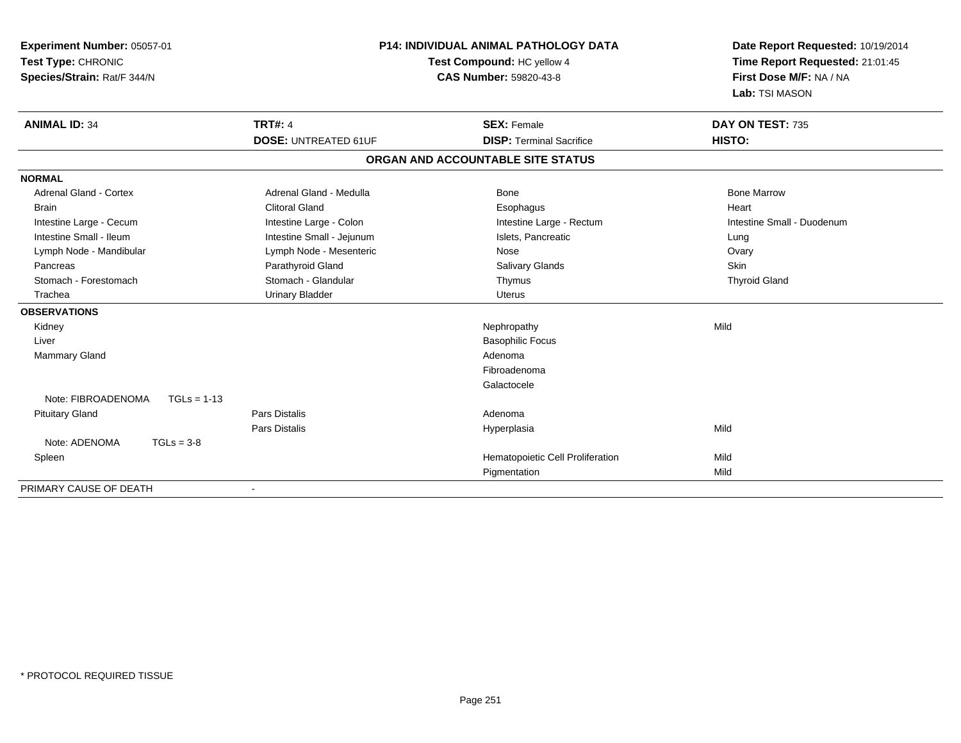| Experiment Number: 05057-01<br>Test Type: CHRONIC<br>Species/Strain: Rat/F 344/N |                             | <b>P14: INDIVIDUAL ANIMAL PATHOLOGY DATA</b><br>Test Compound: HC yellow 4<br><b>CAS Number: 59820-43-8</b> | Date Report Requested: 10/19/2014<br>Time Report Requested: 21:01:45<br>First Dose M/F: NA / NA<br>Lab: TSI MASON |  |
|----------------------------------------------------------------------------------|-----------------------------|-------------------------------------------------------------------------------------------------------------|-------------------------------------------------------------------------------------------------------------------|--|
| <b>ANIMAL ID: 34</b>                                                             | <b>TRT#: 4</b>              | <b>SEX: Female</b>                                                                                          | DAY ON TEST: 735                                                                                                  |  |
|                                                                                  | <b>DOSE: UNTREATED 61UF</b> | <b>DISP: Terminal Sacrifice</b>                                                                             | HISTO:                                                                                                            |  |
|                                                                                  |                             | ORGAN AND ACCOUNTABLE SITE STATUS                                                                           |                                                                                                                   |  |
| <b>NORMAL</b>                                                                    |                             |                                                                                                             |                                                                                                                   |  |
| <b>Adrenal Gland - Cortex</b>                                                    | Adrenal Gland - Medulla     | Bone                                                                                                        | <b>Bone Marrow</b>                                                                                                |  |
| <b>Brain</b>                                                                     | <b>Clitoral Gland</b>       | Esophagus                                                                                                   | Heart                                                                                                             |  |
| Intestine Large - Cecum                                                          | Intestine Large - Colon     | Intestine Large - Rectum                                                                                    | Intestine Small - Duodenum                                                                                        |  |
| Intestine Small - Ileum                                                          | Intestine Small - Jejunum   | Islets, Pancreatic                                                                                          | Lung                                                                                                              |  |
| Lymph Node - Mandibular                                                          | Lymph Node - Mesenteric     | Nose                                                                                                        | Ovary                                                                                                             |  |
| Pancreas                                                                         | Parathyroid Gland           | Salivary Glands                                                                                             | <b>Skin</b>                                                                                                       |  |
| Stomach - Forestomach                                                            | Stomach - Glandular         | Thymus                                                                                                      | <b>Thyroid Gland</b>                                                                                              |  |
| Trachea                                                                          | <b>Urinary Bladder</b>      | Uterus                                                                                                      |                                                                                                                   |  |
| <b>OBSERVATIONS</b>                                                              |                             |                                                                                                             |                                                                                                                   |  |
| Kidney                                                                           |                             | Nephropathy                                                                                                 | Mild                                                                                                              |  |
| Liver                                                                            |                             | <b>Basophilic Focus</b>                                                                                     |                                                                                                                   |  |
| Mammary Gland                                                                    |                             | Adenoma                                                                                                     |                                                                                                                   |  |
|                                                                                  |                             | Fibroadenoma                                                                                                |                                                                                                                   |  |
|                                                                                  |                             | Galactocele                                                                                                 |                                                                                                                   |  |
| Note: FIBROADENOMA<br>$TGLs = 1-13$                                              |                             |                                                                                                             |                                                                                                                   |  |
| <b>Pituitary Gland</b>                                                           | <b>Pars Distalis</b>        | Adenoma                                                                                                     |                                                                                                                   |  |
|                                                                                  | Pars Distalis               | Hyperplasia                                                                                                 | Mild                                                                                                              |  |
| Note: ADENOMA<br>$TGLs = 3-8$                                                    |                             |                                                                                                             |                                                                                                                   |  |
| Spleen                                                                           |                             | Hematopoietic Cell Proliferation                                                                            | Mild                                                                                                              |  |
|                                                                                  |                             | Pigmentation                                                                                                | Mild                                                                                                              |  |
| PRIMARY CAUSE OF DEATH                                                           |                             |                                                                                                             |                                                                                                                   |  |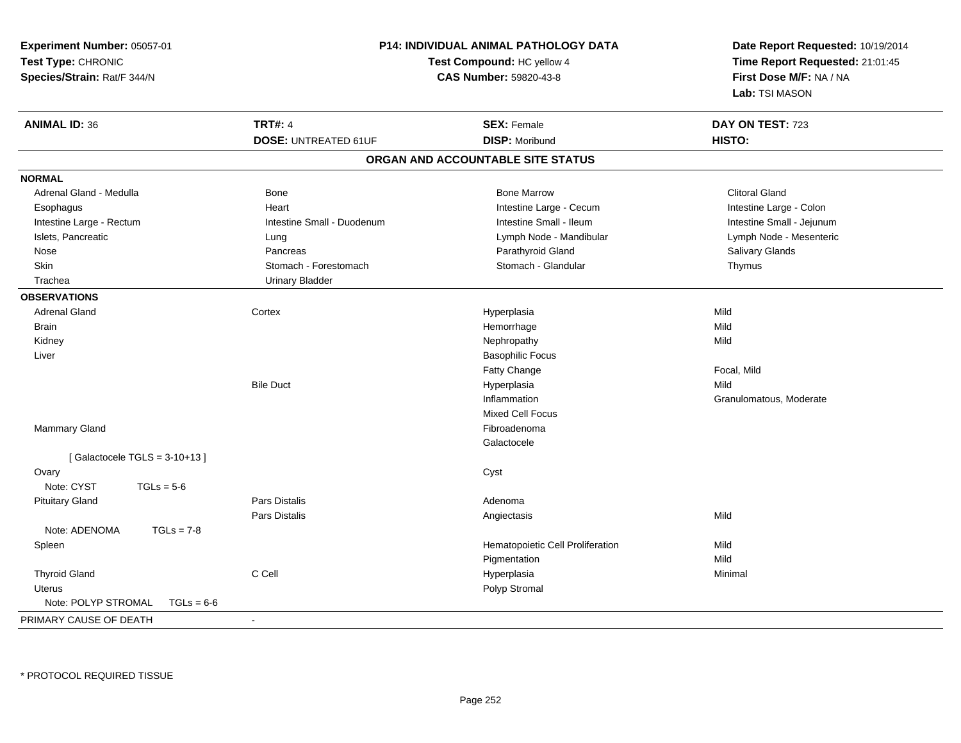| Experiment Number: 05057-01         |                             | <b>P14: INDIVIDUAL ANIMAL PATHOLOGY DATA</b>                  | Date Report Requested: 10/19/2014 |  |
|-------------------------------------|-----------------------------|---------------------------------------------------------------|-----------------------------------|--|
| Test Type: CHRONIC                  |                             | Test Compound: HC yellow 4<br>Time Report Requested: 21:01:45 |                                   |  |
| Species/Strain: Rat/F 344/N         |                             | CAS Number: 59820-43-8                                        | First Dose M/F: NA / NA           |  |
|                                     |                             |                                                               | Lab: TSI MASON                    |  |
| <b>ANIMAL ID: 36</b>                | <b>TRT#: 4</b>              | <b>SEX: Female</b>                                            | DAY ON TEST: 723                  |  |
|                                     | <b>DOSE: UNTREATED 61UF</b> | <b>DISP: Moribund</b>                                         | HISTO:                            |  |
|                                     |                             | ORGAN AND ACCOUNTABLE SITE STATUS                             |                                   |  |
| <b>NORMAL</b>                       |                             |                                                               |                                   |  |
| Adrenal Gland - Medulla             | <b>Bone</b>                 | <b>Bone Marrow</b>                                            | <b>Clitoral Gland</b>             |  |
| Esophagus                           | Heart                       | Intestine Large - Cecum                                       | Intestine Large - Colon           |  |
| Intestine Large - Rectum            | Intestine Small - Duodenum  | Intestine Small - Ileum                                       | Intestine Small - Jejunum         |  |
| Islets, Pancreatic                  | Lung                        | Lymph Node - Mandibular                                       | Lymph Node - Mesenteric           |  |
| Nose                                | Pancreas                    | Parathyroid Gland                                             | Salivary Glands                   |  |
| Skin                                | Stomach - Forestomach       | Stomach - Glandular                                           | Thymus                            |  |
| Trachea                             | <b>Urinary Bladder</b>      |                                                               |                                   |  |
| <b>OBSERVATIONS</b>                 |                             |                                                               |                                   |  |
| <b>Adrenal Gland</b>                | Cortex                      | Hyperplasia                                                   | Mild                              |  |
| <b>Brain</b>                        |                             | Hemorrhage                                                    | Mild                              |  |
| Kidney                              |                             | Nephropathy                                                   | Mild                              |  |
| Liver                               |                             | <b>Basophilic Focus</b>                                       |                                   |  |
|                                     |                             | Fatty Change                                                  | Focal, Mild                       |  |
|                                     | <b>Bile Duct</b>            | Hyperplasia                                                   | Mild                              |  |
|                                     |                             | Inflammation                                                  | Granulomatous, Moderate           |  |
|                                     |                             | Mixed Cell Focus                                              |                                   |  |
| Mammary Gland                       |                             | Fibroadenoma                                                  |                                   |  |
|                                     |                             | Galactocele                                                   |                                   |  |
| [Galactocele TGLS = $3-10+13$ ]     |                             |                                                               |                                   |  |
| Ovary                               |                             | Cyst                                                          |                                   |  |
| Note: CYST<br>$TGLs = 5-6$          |                             |                                                               |                                   |  |
| <b>Pituitary Gland</b>              | <b>Pars Distalis</b>        | Adenoma                                                       |                                   |  |
|                                     | <b>Pars Distalis</b>        | Angiectasis                                                   | Mild                              |  |
| Note: ADENOMA<br>$TGLs = 7-8$       |                             |                                                               |                                   |  |
| Spleen                              |                             | Hematopoietic Cell Proliferation                              | Mild                              |  |
|                                     |                             | Pigmentation                                                  | Mild                              |  |
| <b>Thyroid Gland</b>                | C Cell                      | Hyperplasia                                                   | Minimal                           |  |
| <b>Uterus</b>                       |                             | Polyp Stromal                                                 |                                   |  |
| Note: POLYP STROMAL<br>$TGLs = 6-6$ |                             |                                                               |                                   |  |
| PRIMARY CAUSE OF DEATH              | $\sim$                      |                                                               |                                   |  |

\* PROTOCOL REQUIRED TISSUE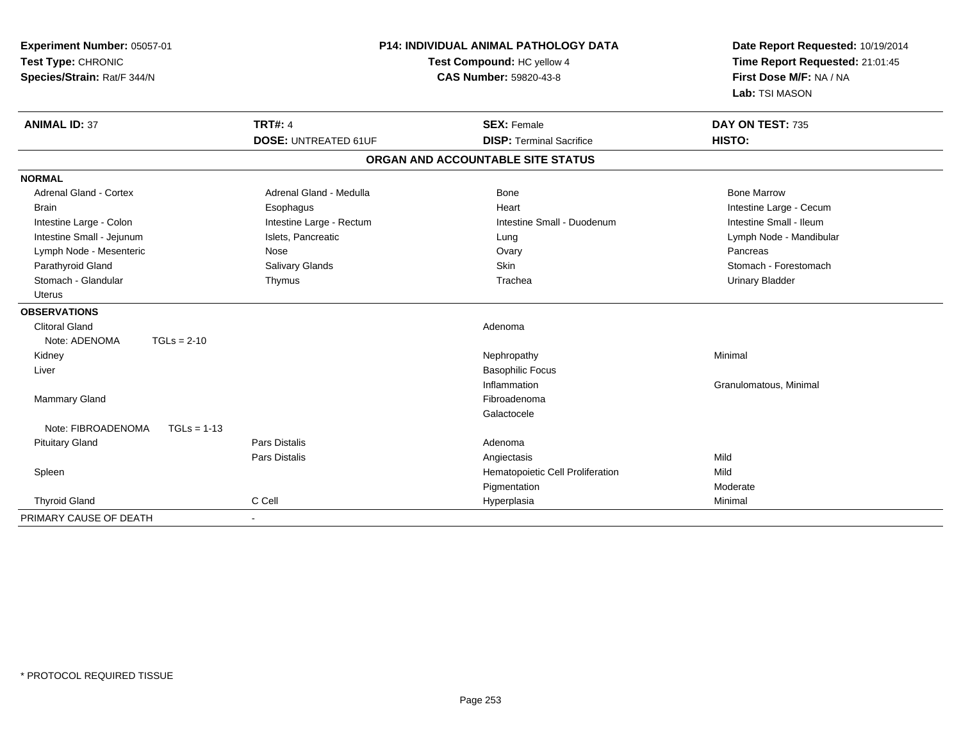| Experiment Number: 05057-01<br>Test Type: CHRONIC<br>Species/Strain: Rat/F 344/N | <b>P14: INDIVIDUAL ANIMAL PATHOLOGY DATA</b><br>Test Compound: HC yellow 4<br><b>CAS Number: 59820-43-8</b> |                                   | Date Report Requested: 10/19/2014<br>Time Report Requested: 21:01:45<br>First Dose M/F: NA / NA<br>Lab: TSI MASON |
|----------------------------------------------------------------------------------|-------------------------------------------------------------------------------------------------------------|-----------------------------------|-------------------------------------------------------------------------------------------------------------------|
| <b>ANIMAL ID: 37</b>                                                             | <b>TRT#: 4</b>                                                                                              | <b>SEX: Female</b>                | DAY ON TEST: 735                                                                                                  |
|                                                                                  | <b>DOSE: UNTREATED 61UF</b>                                                                                 | <b>DISP: Terminal Sacrifice</b>   | HISTO:                                                                                                            |
|                                                                                  |                                                                                                             | ORGAN AND ACCOUNTABLE SITE STATUS |                                                                                                                   |
| <b>NORMAL</b>                                                                    |                                                                                                             |                                   |                                                                                                                   |
| <b>Adrenal Gland - Cortex</b>                                                    | Adrenal Gland - Medulla                                                                                     | <b>Bone</b>                       | <b>Bone Marrow</b>                                                                                                |
| <b>Brain</b>                                                                     | Esophagus                                                                                                   | Heart                             | Intestine Large - Cecum                                                                                           |
| Intestine Large - Colon                                                          | Intestine Large - Rectum                                                                                    | Intestine Small - Duodenum        | Intestine Small - Ileum                                                                                           |
| Intestine Small - Jejunum                                                        | Islets, Pancreatic                                                                                          | Lung                              | Lymph Node - Mandibular                                                                                           |
| Lymph Node - Mesenteric                                                          | Nose                                                                                                        | Ovary                             | Pancreas                                                                                                          |
| Parathyroid Gland                                                                | Salivary Glands                                                                                             | <b>Skin</b>                       | Stomach - Forestomach                                                                                             |
| Stomach - Glandular                                                              | Thymus                                                                                                      | Trachea                           | <b>Urinary Bladder</b>                                                                                            |
| <b>Uterus</b>                                                                    |                                                                                                             |                                   |                                                                                                                   |
| <b>OBSERVATIONS</b>                                                              |                                                                                                             |                                   |                                                                                                                   |
| <b>Clitoral Gland</b>                                                            |                                                                                                             | Adenoma                           |                                                                                                                   |
| $TGLs = 2-10$<br>Note: ADENOMA                                                   |                                                                                                             |                                   |                                                                                                                   |
| Kidney                                                                           |                                                                                                             | Nephropathy                       | Minimal                                                                                                           |
| Liver                                                                            |                                                                                                             | <b>Basophilic Focus</b>           |                                                                                                                   |
|                                                                                  |                                                                                                             | Inflammation                      | Granulomatous, Minimal                                                                                            |
| <b>Mammary Gland</b>                                                             |                                                                                                             | Fibroadenoma                      |                                                                                                                   |
|                                                                                  |                                                                                                             | Galactocele                       |                                                                                                                   |
| Note: FIBROADENOMA<br>$TGLs = 1-13$                                              |                                                                                                             |                                   |                                                                                                                   |
| <b>Pituitary Gland</b>                                                           | <b>Pars Distalis</b>                                                                                        | Adenoma                           |                                                                                                                   |
|                                                                                  | <b>Pars Distalis</b>                                                                                        | Angiectasis                       | Mild                                                                                                              |
| Spleen                                                                           |                                                                                                             | Hematopoietic Cell Proliferation  | Mild                                                                                                              |
|                                                                                  |                                                                                                             | Pigmentation                      | Moderate                                                                                                          |
| <b>Thyroid Gland</b>                                                             | C Cell                                                                                                      | Hyperplasia                       | Minimal                                                                                                           |
| PRIMARY CAUSE OF DEATH                                                           | $\sim$                                                                                                      |                                   |                                                                                                                   |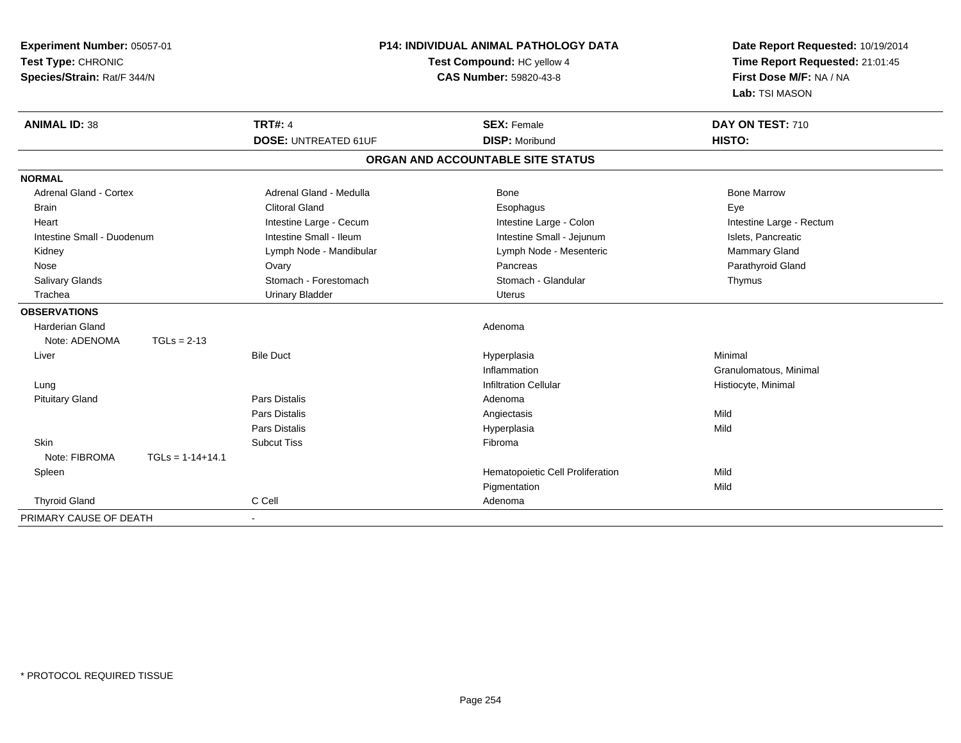| Experiment Number: 05057-01<br>Test Type: CHRONIC<br>Species/Strain: Rat/F 344/N |                    | P14: INDIVIDUAL ANIMAL PATHOLOGY DATA<br>Test Compound: HC yellow 4<br><b>CAS Number: 59820-43-8</b> |                                   | Date Report Requested: 10/19/2014<br>Time Report Requested: 21:01:45<br>First Dose M/F: NA / NA<br>Lab: TSI MASON |
|----------------------------------------------------------------------------------|--------------------|------------------------------------------------------------------------------------------------------|-----------------------------------|-------------------------------------------------------------------------------------------------------------------|
| <b>ANIMAL ID: 38</b>                                                             |                    | <b>TRT#: 4</b>                                                                                       | <b>SEX: Female</b>                | DAY ON TEST: 710                                                                                                  |
|                                                                                  |                    | <b>DOSE: UNTREATED 61UF</b>                                                                          | <b>DISP: Moribund</b>             | <b>HISTO:</b>                                                                                                     |
|                                                                                  |                    |                                                                                                      | ORGAN AND ACCOUNTABLE SITE STATUS |                                                                                                                   |
| <b>NORMAL</b>                                                                    |                    |                                                                                                      |                                   |                                                                                                                   |
| <b>Adrenal Gland - Cortex</b>                                                    |                    | Adrenal Gland - Medulla                                                                              | Bone                              | <b>Bone Marrow</b>                                                                                                |
| <b>Brain</b>                                                                     |                    | <b>Clitoral Gland</b>                                                                                | Esophagus                         | Eye                                                                                                               |
| Heart                                                                            |                    | Intestine Large - Cecum                                                                              | Intestine Large - Colon           | Intestine Large - Rectum                                                                                          |
| Intestine Small - Duodenum                                                       |                    | Intestine Small - Ileum                                                                              | Intestine Small - Jejunum         | Islets, Pancreatic                                                                                                |
| Kidney                                                                           |                    | Lymph Node - Mandibular                                                                              | Lymph Node - Mesenteric           | Mammary Gland                                                                                                     |
| Nose                                                                             |                    | Ovary                                                                                                | Pancreas                          | Parathyroid Gland                                                                                                 |
| Salivary Glands                                                                  |                    | Stomach - Forestomach                                                                                | Stomach - Glandular               | Thymus                                                                                                            |
| Trachea                                                                          |                    | <b>Urinary Bladder</b>                                                                               | Uterus                            |                                                                                                                   |
| <b>OBSERVATIONS</b>                                                              |                    |                                                                                                      |                                   |                                                                                                                   |
| Harderian Gland                                                                  |                    |                                                                                                      | Adenoma                           |                                                                                                                   |
| Note: ADENOMA                                                                    | $TGLs = 2-13$      |                                                                                                      |                                   |                                                                                                                   |
| Liver                                                                            |                    | <b>Bile Duct</b>                                                                                     | Hyperplasia                       | Minimal                                                                                                           |
|                                                                                  |                    |                                                                                                      | Inflammation                      | Granulomatous, Minimal                                                                                            |
| Lung                                                                             |                    |                                                                                                      | <b>Infiltration Cellular</b>      | Histiocyte, Minimal                                                                                               |
| <b>Pituitary Gland</b>                                                           |                    | Pars Distalis                                                                                        | Adenoma                           |                                                                                                                   |
|                                                                                  |                    | Pars Distalis                                                                                        | Angiectasis                       | Mild                                                                                                              |
|                                                                                  |                    | Pars Distalis                                                                                        | Hyperplasia                       | Mild                                                                                                              |
| Skin                                                                             |                    | <b>Subcut Tiss</b>                                                                                   | Fibroma                           |                                                                                                                   |
| Note: FIBROMA                                                                    | $TGLs = 1-14+14.1$ |                                                                                                      |                                   |                                                                                                                   |
| Spleen                                                                           |                    |                                                                                                      | Hematopoietic Cell Proliferation  | Mild                                                                                                              |
|                                                                                  |                    |                                                                                                      | Pigmentation                      | Mild                                                                                                              |
| <b>Thyroid Gland</b>                                                             |                    | C Cell                                                                                               | Adenoma                           |                                                                                                                   |
| PRIMARY CAUSE OF DEATH                                                           |                    | $\blacksquare$                                                                                       |                                   |                                                                                                                   |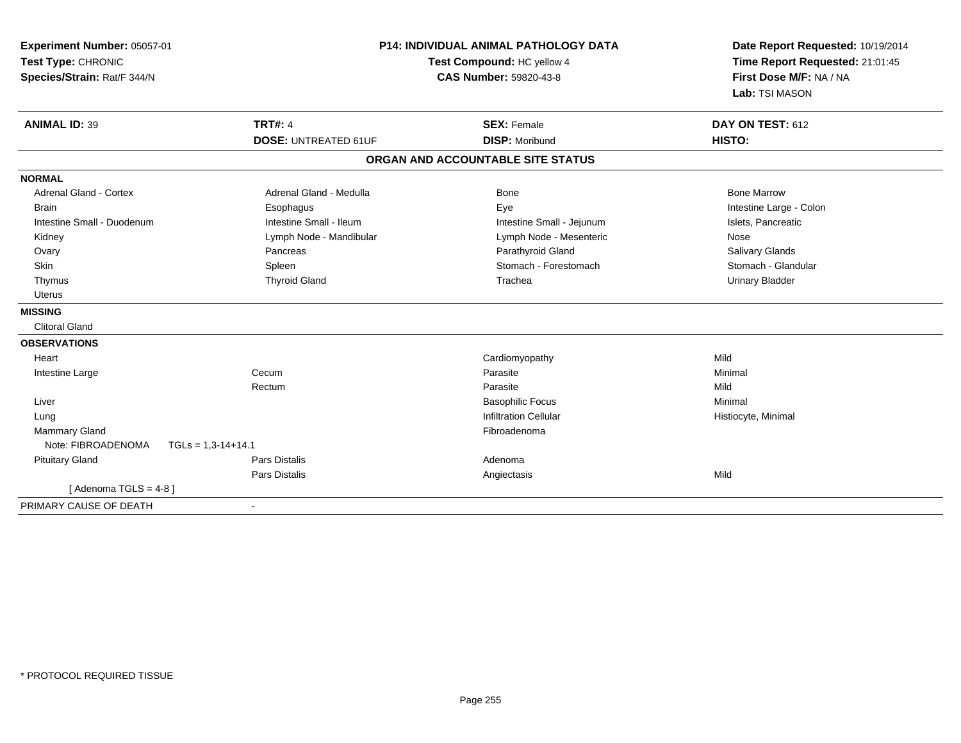| Experiment Number: 05057-01<br>Test Type: CHRONIC<br>Species/Strain: Rat/F 344/N |                                               | P14: INDIVIDUAL ANIMAL PATHOLOGY DATA<br>Test Compound: HC yellow 4<br><b>CAS Number: 59820-43-8</b> | Date Report Requested: 10/19/2014<br>Time Report Requested: 21:01:45<br>First Dose M/F: NA / NA<br>Lab: TSI MASON |
|----------------------------------------------------------------------------------|-----------------------------------------------|------------------------------------------------------------------------------------------------------|-------------------------------------------------------------------------------------------------------------------|
| <b>ANIMAL ID: 39</b>                                                             | <b>TRT#: 4</b><br><b>DOSE: UNTREATED 61UF</b> | <b>SEX: Female</b><br><b>DISP: Moribund</b>                                                          | DAY ON TEST: 612<br><b>HISTO:</b>                                                                                 |
|                                                                                  |                                               | ORGAN AND ACCOUNTABLE SITE STATUS                                                                    |                                                                                                                   |
| <b>NORMAL</b>                                                                    |                                               |                                                                                                      |                                                                                                                   |
| <b>Adrenal Gland - Cortex</b>                                                    | Adrenal Gland - Medulla                       | <b>Bone</b>                                                                                          | <b>Bone Marrow</b>                                                                                                |
| <b>Brain</b>                                                                     | Esophagus                                     | Eye                                                                                                  | Intestine Large - Colon                                                                                           |
| Intestine Small - Duodenum                                                       | Intestine Small - Ileum                       | Intestine Small - Jejunum                                                                            | Islets, Pancreatic                                                                                                |
| Kidney                                                                           | Lymph Node - Mandibular                       | Lymph Node - Mesenteric                                                                              | Nose                                                                                                              |
| Ovary                                                                            | Pancreas                                      | Parathyroid Gland                                                                                    | Salivary Glands                                                                                                   |
| Skin                                                                             | Spleen                                        | Stomach - Forestomach                                                                                | Stomach - Glandular                                                                                               |
| Thymus                                                                           | <b>Thyroid Gland</b>                          | Trachea                                                                                              | <b>Urinary Bladder</b>                                                                                            |
| <b>Uterus</b>                                                                    |                                               |                                                                                                      |                                                                                                                   |
| <b>MISSING</b>                                                                   |                                               |                                                                                                      |                                                                                                                   |
| <b>Clitoral Gland</b>                                                            |                                               |                                                                                                      |                                                                                                                   |
| <b>OBSERVATIONS</b>                                                              |                                               |                                                                                                      |                                                                                                                   |
| Heart                                                                            |                                               | Cardiomyopathy                                                                                       | Mild                                                                                                              |
| Intestine Large                                                                  | Cecum                                         | Parasite                                                                                             | Minimal                                                                                                           |
|                                                                                  | Rectum                                        | Parasite                                                                                             | Mild                                                                                                              |
| Liver                                                                            |                                               | <b>Basophilic Focus</b>                                                                              | Minimal                                                                                                           |
| Lung                                                                             |                                               | <b>Infiltration Cellular</b>                                                                         | Histiocyte, Minimal                                                                                               |
| Mammary Gland                                                                    |                                               | Fibroadenoma                                                                                         |                                                                                                                   |
| Note: FIBROADENOMA                                                               | $TGLs = 1,3-14+14.1$                          |                                                                                                      |                                                                                                                   |
| <b>Pituitary Gland</b>                                                           | <b>Pars Distalis</b>                          | Adenoma                                                                                              |                                                                                                                   |
|                                                                                  | <b>Pars Distalis</b>                          | Angiectasis                                                                                          | Mild                                                                                                              |
| [Adenoma TGLS = $4-8$ ]                                                          |                                               |                                                                                                      |                                                                                                                   |
| PRIMARY CAUSE OF DEATH                                                           | $\overline{\phantom{a}}$                      |                                                                                                      |                                                                                                                   |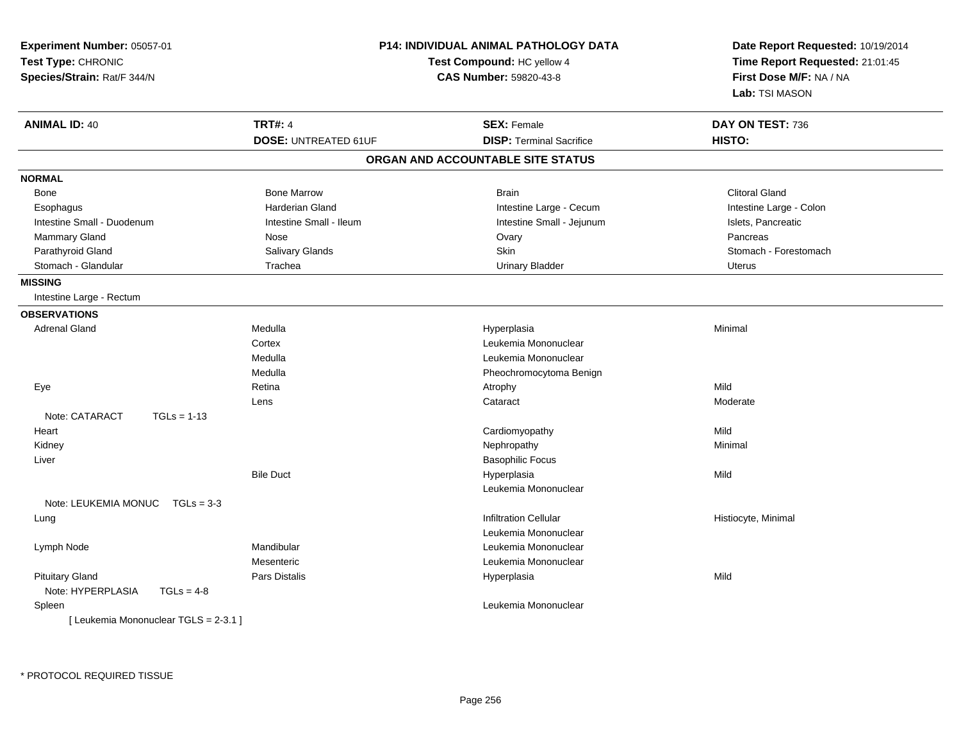| Experiment Number: 05057-01<br>Test Type: CHRONIC<br>Species/Strain: Rat/F 344/N |                             | <b>P14: INDIVIDUAL ANIMAL PATHOLOGY DATA</b><br>Test Compound: HC yellow 4<br><b>CAS Number: 59820-43-8</b> | Date Report Requested: 10/19/2014<br>Time Report Requested: 21:01:45<br>First Dose M/F: NA / NA<br>Lab: TSI MASON |
|----------------------------------------------------------------------------------|-----------------------------|-------------------------------------------------------------------------------------------------------------|-------------------------------------------------------------------------------------------------------------------|
| <b>ANIMAL ID: 40</b>                                                             | <b>TRT#: 4</b>              | <b>SEX: Female</b>                                                                                          | DAY ON TEST: 736                                                                                                  |
|                                                                                  | <b>DOSE: UNTREATED 61UF</b> | <b>DISP: Terminal Sacrifice</b>                                                                             | HISTO:                                                                                                            |
|                                                                                  |                             | ORGAN AND ACCOUNTABLE SITE STATUS                                                                           |                                                                                                                   |
| <b>NORMAL</b>                                                                    |                             |                                                                                                             |                                                                                                                   |
| Bone                                                                             | <b>Bone Marrow</b>          | <b>Brain</b>                                                                                                | <b>Clitoral Gland</b>                                                                                             |
| Esophagus                                                                        | <b>Harderian Gland</b>      | Intestine Large - Cecum                                                                                     | Intestine Large - Colon                                                                                           |
| Intestine Small - Duodenum                                                       | Intestine Small - Ileum     | Intestine Small - Jejunum                                                                                   | Islets, Pancreatic                                                                                                |
| <b>Mammary Gland</b>                                                             | Nose                        | Ovary                                                                                                       | Pancreas                                                                                                          |
| Parathyroid Gland                                                                | Salivary Glands             | Skin                                                                                                        | Stomach - Forestomach                                                                                             |
| Stomach - Glandular                                                              | Trachea                     | <b>Urinary Bladder</b>                                                                                      | Uterus                                                                                                            |
| <b>MISSING</b>                                                                   |                             |                                                                                                             |                                                                                                                   |
| Intestine Large - Rectum                                                         |                             |                                                                                                             |                                                                                                                   |
| <b>OBSERVATIONS</b>                                                              |                             |                                                                                                             |                                                                                                                   |
| <b>Adrenal Gland</b>                                                             | Medulla                     | Hyperplasia                                                                                                 | Minimal                                                                                                           |
|                                                                                  | Cortex                      | Leukemia Mononuclear                                                                                        |                                                                                                                   |
|                                                                                  | Medulla                     | Leukemia Mononuclear                                                                                        |                                                                                                                   |
|                                                                                  | Medulla                     | Pheochromocytoma Benign                                                                                     |                                                                                                                   |
| Eye                                                                              | Retina                      | Atrophy                                                                                                     | Mild                                                                                                              |
|                                                                                  | Lens                        | Cataract                                                                                                    | Moderate                                                                                                          |
| Note: CATARACT<br>$TGLs = 1-13$                                                  |                             |                                                                                                             |                                                                                                                   |
| Heart                                                                            |                             | Cardiomyopathy                                                                                              | Mild                                                                                                              |
| Kidney                                                                           |                             | Nephropathy                                                                                                 | Minimal                                                                                                           |
| Liver                                                                            |                             | <b>Basophilic Focus</b>                                                                                     |                                                                                                                   |
|                                                                                  | <b>Bile Duct</b>            | Hyperplasia                                                                                                 | Mild                                                                                                              |
|                                                                                  |                             | Leukemia Mononuclear                                                                                        |                                                                                                                   |
| Note: LEUKEMIA MONUC TGLs = 3-3                                                  |                             |                                                                                                             |                                                                                                                   |
| Lung                                                                             |                             | <b>Infiltration Cellular</b>                                                                                | Histiocyte, Minimal                                                                                               |
|                                                                                  |                             | Leukemia Mononuclear                                                                                        |                                                                                                                   |
| Lymph Node                                                                       | Mandibular                  | Leukemia Mononuclear                                                                                        |                                                                                                                   |
|                                                                                  | Mesenteric                  | Leukemia Mononuclear                                                                                        |                                                                                                                   |
| <b>Pituitary Gland</b>                                                           | Pars Distalis               | Hyperplasia                                                                                                 | Mild                                                                                                              |
| Note: HYPERPLASIA<br>$TGLs = 4-8$                                                |                             |                                                                                                             |                                                                                                                   |
| Spleen                                                                           |                             | Leukemia Mononuclear                                                                                        |                                                                                                                   |
| [ Leukemia Mononuclear TGLS = 2-3.1 ]                                            |                             |                                                                                                             |                                                                                                                   |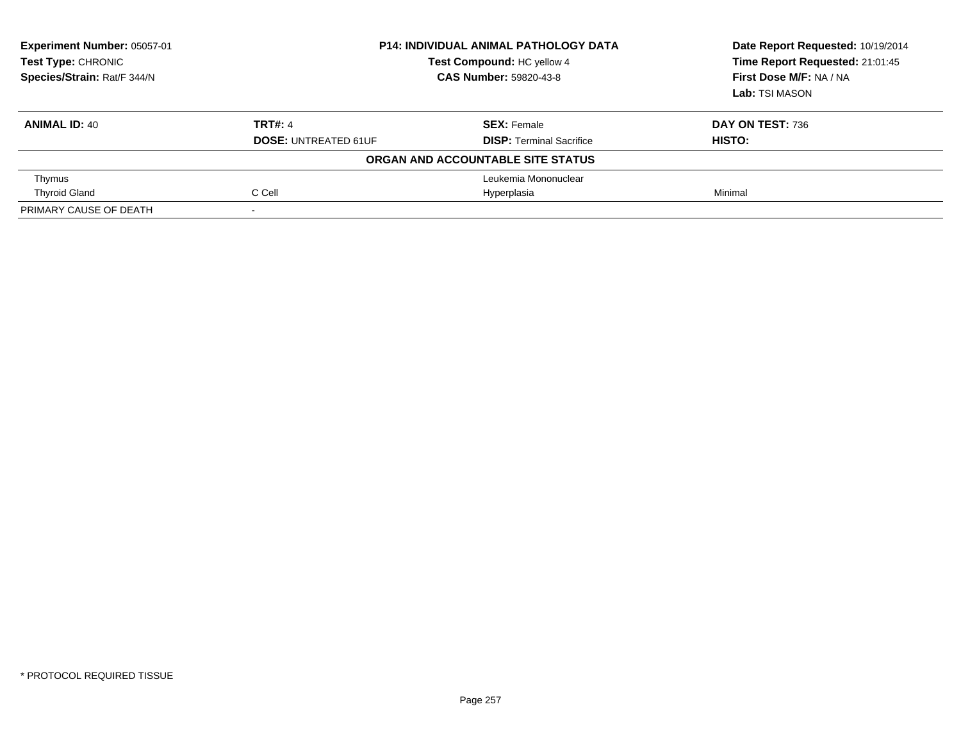| Experiment Number: 05057-01<br><b>Test Type: CHRONIC</b><br>Species/Strain: Rat/F 344/N | <b>P14: INDIVIDUAL ANIMAL PATHOLOGY DATA</b><br>Test Compound: HC yellow 4<br><b>CAS Number: 59820-43-8</b> |                                                       | Date Report Requested: 10/19/2014<br>Time Report Requested: 21:01:45<br>First Dose M/F: NA / NA<br>Lab: TSI MASON |
|-----------------------------------------------------------------------------------------|-------------------------------------------------------------------------------------------------------------|-------------------------------------------------------|-------------------------------------------------------------------------------------------------------------------|
| <b>ANIMAL ID: 40</b>                                                                    | <b>TRT#: 4</b><br><b>DOSE: UNTREATED 61UF</b>                                                               | <b>SEX: Female</b><br><b>DISP: Terminal Sacrifice</b> | DAY ON TEST: 736<br><b>HISTO:</b>                                                                                 |
|                                                                                         |                                                                                                             | ORGAN AND ACCOUNTABLE SITE STATUS                     |                                                                                                                   |
| Thymus                                                                                  |                                                                                                             | Leukemia Mononuclear                                  |                                                                                                                   |
| <b>Thyroid Gland</b>                                                                    | C Cell                                                                                                      | Hyperplasia                                           | Minimal                                                                                                           |
| PRIMARY CAUSE OF DEATH                                                                  |                                                                                                             |                                                       |                                                                                                                   |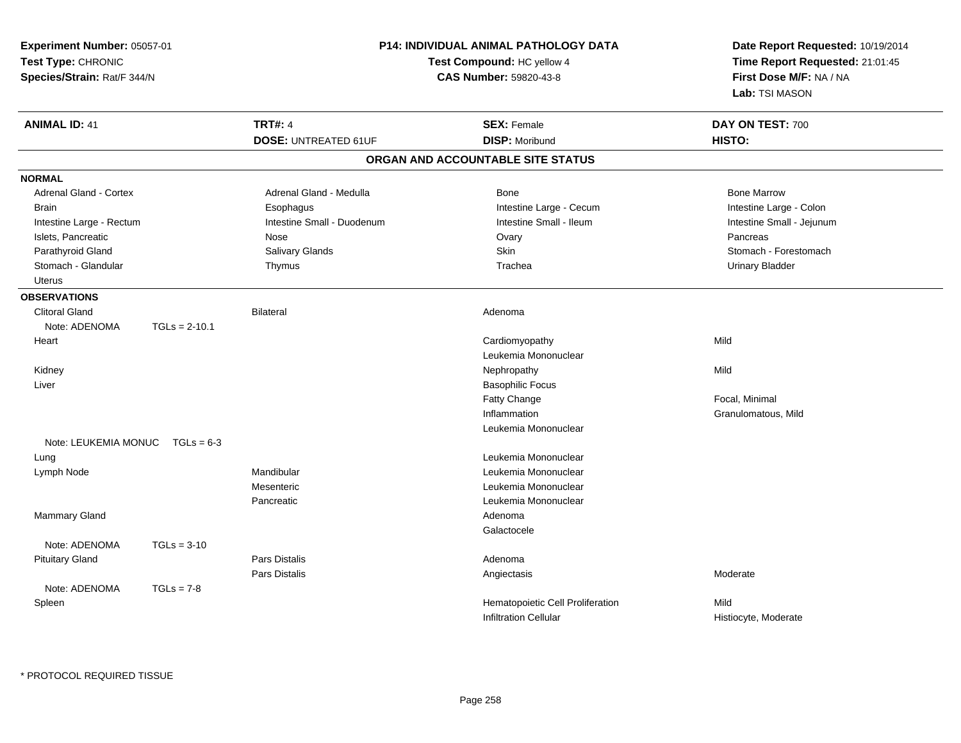| Experiment Number: 05057-01<br>Test Type: CHRONIC<br>Species/Strain: Rat/F 344/N |                                 |                             | <b>P14: INDIVIDUAL ANIMAL PATHOLOGY DATA</b><br>Test Compound: HC yellow 4<br><b>CAS Number: 59820-43-8</b> | Date Report Requested: 10/19/2014<br>Time Report Requested: 21:01:45<br>First Dose M/F: NA / NA<br>Lab: TSI MASON |
|----------------------------------------------------------------------------------|---------------------------------|-----------------------------|-------------------------------------------------------------------------------------------------------------|-------------------------------------------------------------------------------------------------------------------|
| <b>ANIMAL ID: 41</b>                                                             |                                 | <b>TRT#: 4</b>              | <b>SEX: Female</b>                                                                                          | DAY ON TEST: 700                                                                                                  |
|                                                                                  |                                 | <b>DOSE: UNTREATED 61UF</b> | <b>DISP: Moribund</b>                                                                                       | HISTO:                                                                                                            |
|                                                                                  |                                 |                             | ORGAN AND ACCOUNTABLE SITE STATUS                                                                           |                                                                                                                   |
| <b>NORMAL</b>                                                                    |                                 |                             |                                                                                                             |                                                                                                                   |
| <b>Adrenal Gland - Cortex</b>                                                    |                                 | Adrenal Gland - Medulla     | <b>Bone</b>                                                                                                 | <b>Bone Marrow</b>                                                                                                |
| <b>Brain</b>                                                                     |                                 | Esophagus                   | Intestine Large - Cecum                                                                                     | Intestine Large - Colon                                                                                           |
| Intestine Large - Rectum                                                         |                                 | Intestine Small - Duodenum  | Intestine Small - Ileum                                                                                     | Intestine Small - Jejunum                                                                                         |
| Islets, Pancreatic                                                               |                                 | Nose                        | Ovary                                                                                                       | Pancreas                                                                                                          |
| Parathyroid Gland                                                                |                                 | Salivary Glands             | Skin                                                                                                        | Stomach - Forestomach                                                                                             |
| Stomach - Glandular                                                              |                                 | Thymus                      | Trachea                                                                                                     | <b>Urinary Bladder</b>                                                                                            |
| <b>Uterus</b>                                                                    |                                 |                             |                                                                                                             |                                                                                                                   |
| <b>OBSERVATIONS</b>                                                              |                                 |                             |                                                                                                             |                                                                                                                   |
| <b>Clitoral Gland</b>                                                            |                                 | <b>Bilateral</b>            | Adenoma                                                                                                     |                                                                                                                   |
| Note: ADENOMA                                                                    | $TGLs = 2-10.1$                 |                             |                                                                                                             |                                                                                                                   |
| Heart                                                                            |                                 |                             | Cardiomyopathy                                                                                              | Mild                                                                                                              |
|                                                                                  |                                 |                             | Leukemia Mononuclear                                                                                        |                                                                                                                   |
| Kidney                                                                           |                                 |                             | Nephropathy                                                                                                 | Mild                                                                                                              |
| Liver                                                                            |                                 |                             | <b>Basophilic Focus</b>                                                                                     |                                                                                                                   |
|                                                                                  |                                 |                             | Fatty Change                                                                                                | Focal, Minimal                                                                                                    |
|                                                                                  |                                 |                             | Inflammation                                                                                                | Granulomatous, Mild                                                                                               |
|                                                                                  |                                 |                             | Leukemia Mononuclear                                                                                        |                                                                                                                   |
|                                                                                  | Note: LEUKEMIA MONUC TGLs = 6-3 |                             |                                                                                                             |                                                                                                                   |
| Lung                                                                             |                                 |                             | Leukemia Mononuclear                                                                                        |                                                                                                                   |
| Lymph Node                                                                       |                                 | Mandibular                  | Leukemia Mononuclear                                                                                        |                                                                                                                   |
|                                                                                  |                                 | Mesenteric                  | Leukemia Mononuclear                                                                                        |                                                                                                                   |
|                                                                                  |                                 | Pancreatic                  | Leukemia Mononuclear                                                                                        |                                                                                                                   |
| Mammary Gland                                                                    |                                 |                             | Adenoma                                                                                                     |                                                                                                                   |
|                                                                                  |                                 |                             | Galactocele                                                                                                 |                                                                                                                   |
| Note: ADENOMA                                                                    | $TGLs = 3-10$                   |                             |                                                                                                             |                                                                                                                   |
| <b>Pituitary Gland</b>                                                           |                                 | <b>Pars Distalis</b>        | Adenoma                                                                                                     |                                                                                                                   |
|                                                                                  |                                 | Pars Distalis               | Angiectasis                                                                                                 | Moderate                                                                                                          |
| Note: ADENOMA                                                                    | $TGLs = 7-8$                    |                             |                                                                                                             |                                                                                                                   |
| Spleen                                                                           |                                 |                             | Hematopoietic Cell Proliferation                                                                            | Mild                                                                                                              |
|                                                                                  |                                 |                             | <b>Infiltration Cellular</b>                                                                                | Histiocyte, Moderate                                                                                              |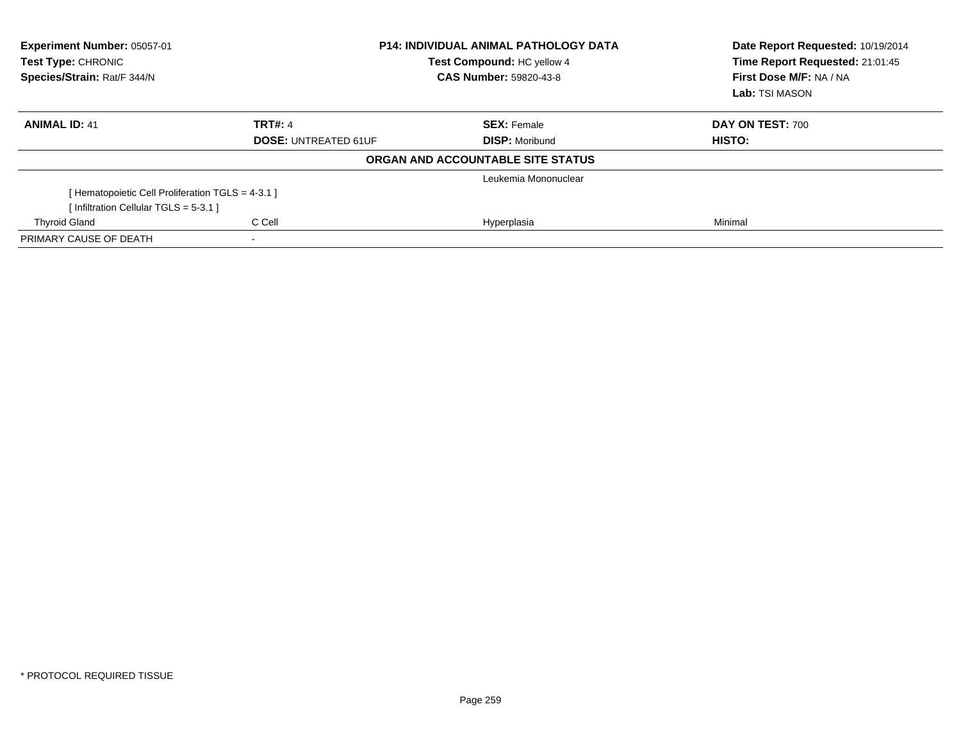| Experiment Number: 05057-01<br>Test Type: CHRONIC<br>Species/Strain: Rat/F 344/N | <b>P14: INDIVIDUAL ANIMAL PATHOLOGY DATA</b><br>Test Compound: HC yellow 4<br><b>CAS Number: 59820-43-8</b> |                                   | Date Report Requested: 10/19/2014<br>Time Report Requested: 21:01:45<br>First Dose M/F: NA / NA<br>Lab: TSI MASON |  |
|----------------------------------------------------------------------------------|-------------------------------------------------------------------------------------------------------------|-----------------------------------|-------------------------------------------------------------------------------------------------------------------|--|
| <b>ANIMAL ID: 41</b>                                                             | <b>TRT#: 4</b>                                                                                              | <b>SEX: Female</b>                | DAY ON TEST: 700                                                                                                  |  |
|                                                                                  | <b>DOSE: UNTREATED 61UF</b>                                                                                 | <b>DISP: Moribund</b>             | HISTO:                                                                                                            |  |
|                                                                                  |                                                                                                             | ORGAN AND ACCOUNTABLE SITE STATUS |                                                                                                                   |  |
|                                                                                  |                                                                                                             | Leukemia Mononuclear              |                                                                                                                   |  |
| [ Hematopoietic Cell Proliferation TGLS = 4-3.1 ]                                |                                                                                                             |                                   |                                                                                                                   |  |
| [Infiltration Cellular TGLS = 5-3.1]                                             |                                                                                                             |                                   |                                                                                                                   |  |
| <b>Thyroid Gland</b>                                                             | C Cell                                                                                                      | Hyperplasia                       | Minimal                                                                                                           |  |
| PRIMARY CAUSE OF DEATH                                                           |                                                                                                             |                                   |                                                                                                                   |  |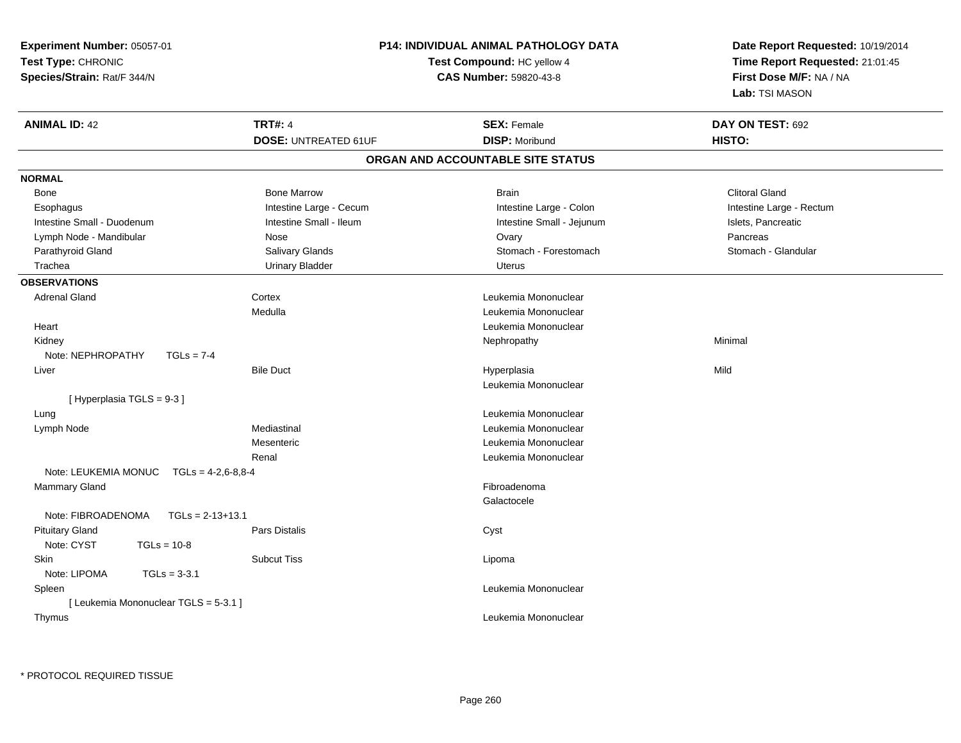| Experiment Number: 05057-01                  |                             | <b>P14: INDIVIDUAL ANIMAL PATHOLOGY DATA</b> | Date Report Requested: 10/19/2014 |  |
|----------------------------------------------|-----------------------------|----------------------------------------------|-----------------------------------|--|
| Test Type: CHRONIC                           |                             | Test Compound: HC yellow 4                   | Time Report Requested: 21:01:45   |  |
| Species/Strain: Rat/F 344/N                  |                             | CAS Number: 59820-43-8                       | First Dose M/F: NA / NA           |  |
|                                              |                             |                                              | Lab: TSI MASON                    |  |
| <b>ANIMAL ID: 42</b>                         | <b>TRT#: 4</b>              | <b>SEX: Female</b>                           | DAY ON TEST: 692                  |  |
|                                              | <b>DOSE: UNTREATED 61UF</b> | <b>DISP: Moribund</b>                        | HISTO:                            |  |
|                                              |                             | ORGAN AND ACCOUNTABLE SITE STATUS            |                                   |  |
| <b>NORMAL</b>                                |                             |                                              |                                   |  |
| <b>Bone</b>                                  | <b>Bone Marrow</b>          | <b>Brain</b>                                 | <b>Clitoral Gland</b>             |  |
| Esophagus                                    | Intestine Large - Cecum     | Intestine Large - Colon                      | Intestine Large - Rectum          |  |
| Intestine Small - Duodenum                   | Intestine Small - Ileum     | Intestine Small - Jejunum                    | Islets, Pancreatic                |  |
| Lymph Node - Mandibular                      | Nose                        | Ovary                                        | Pancreas                          |  |
| Parathyroid Gland                            | Salivary Glands             | Stomach - Forestomach                        | Stomach - Glandular               |  |
| Trachea                                      | <b>Urinary Bladder</b>      | <b>Uterus</b>                                |                                   |  |
| <b>OBSERVATIONS</b>                          |                             |                                              |                                   |  |
| <b>Adrenal Gland</b>                         | Cortex                      | Leukemia Mononuclear                         |                                   |  |
|                                              | Medulla                     | Leukemia Mononuclear                         |                                   |  |
| Heart                                        |                             | Leukemia Mononuclear                         |                                   |  |
| Kidney                                       |                             | Nephropathy                                  | Minimal                           |  |
| Note: NEPHROPATHY<br>$TGLs = 7-4$            |                             |                                              |                                   |  |
| Liver                                        | <b>Bile Duct</b>            | Hyperplasia                                  | Mild                              |  |
|                                              |                             | Leukemia Mononuclear                         |                                   |  |
| [ Hyperplasia TGLS = 9-3 ]                   |                             |                                              |                                   |  |
| Lung                                         |                             | Leukemia Mononuclear                         |                                   |  |
| Lymph Node                                   | Mediastinal                 | Leukemia Mononuclear                         |                                   |  |
|                                              | Mesenteric                  | Leukemia Mononuclear                         |                                   |  |
|                                              | Renal                       | Leukemia Mononuclear                         |                                   |  |
| Note: LEUKEMIA MONUC<br>$TGLs = 4-2.6-8.8-4$ |                             |                                              |                                   |  |
| Mammary Gland                                |                             | Fibroadenoma                                 |                                   |  |
|                                              |                             | Galactocele                                  |                                   |  |
| Note: FIBROADENOMA<br>$TGLs = 2-13+13.1$     |                             |                                              |                                   |  |
| <b>Pituitary Gland</b>                       | Pars Distalis               | Cyst                                         |                                   |  |
| Note: CYST<br>$TGLs = 10-8$                  |                             |                                              |                                   |  |
| <b>Skin</b>                                  | <b>Subcut Tiss</b>          | Lipoma                                       |                                   |  |
| Note: LIPOMA<br>$TGLs = 3-3.1$               |                             |                                              |                                   |  |
| Spleen                                       |                             | Leukemia Mononuclear                         |                                   |  |
| [ Leukemia Mononuclear TGLS = 5-3.1 ]        |                             |                                              |                                   |  |
| Thymus                                       |                             | Leukemia Mononuclear                         |                                   |  |
|                                              |                             |                                              |                                   |  |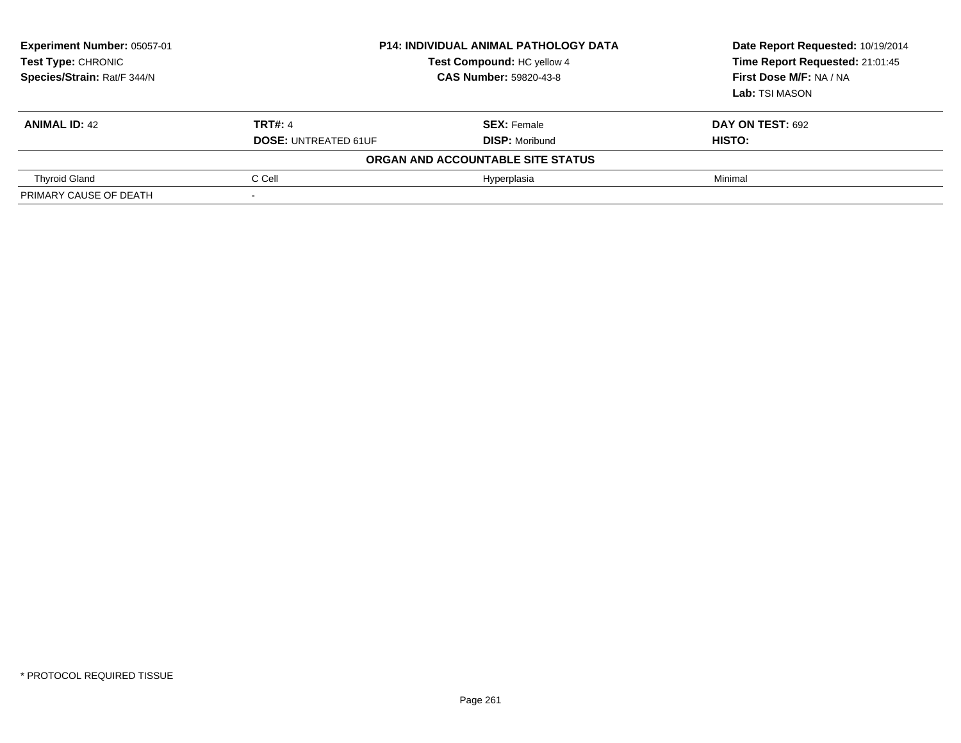| Experiment Number: 05057-01<br><b>Test Type: CHRONIC</b><br>Species/Strain: Rat/F 344/N | <b>P14: INDIVIDUAL ANIMAL PATHOLOGY DATA</b><br>Test Compound: HC yellow 4<br><b>CAS Number: 59820-43-8</b> |                                   | Date Report Requested: 10/19/2014<br>Time Report Requested: 21:01:45<br>First Dose M/F: NA / NA<br>Lab: TSI MASON |
|-----------------------------------------------------------------------------------------|-------------------------------------------------------------------------------------------------------------|-----------------------------------|-------------------------------------------------------------------------------------------------------------------|
| <b>ANIMAL ID: 42</b>                                                                    | <b>TRT#: 4</b>                                                                                              | <b>SEX: Female</b>                | <b>DAY ON TEST: 692</b>                                                                                           |
|                                                                                         | <b>DOSE: UNTREATED 61UF</b>                                                                                 | <b>DISP:</b> Moribund             | HISTO:                                                                                                            |
|                                                                                         |                                                                                                             | ORGAN AND ACCOUNTABLE SITE STATUS |                                                                                                                   |
| <b>Thyroid Gland</b>                                                                    | C Cell                                                                                                      | Hyperplasia                       | Minimal                                                                                                           |
| PRIMARY CAUSE OF DEATH                                                                  |                                                                                                             |                                   |                                                                                                                   |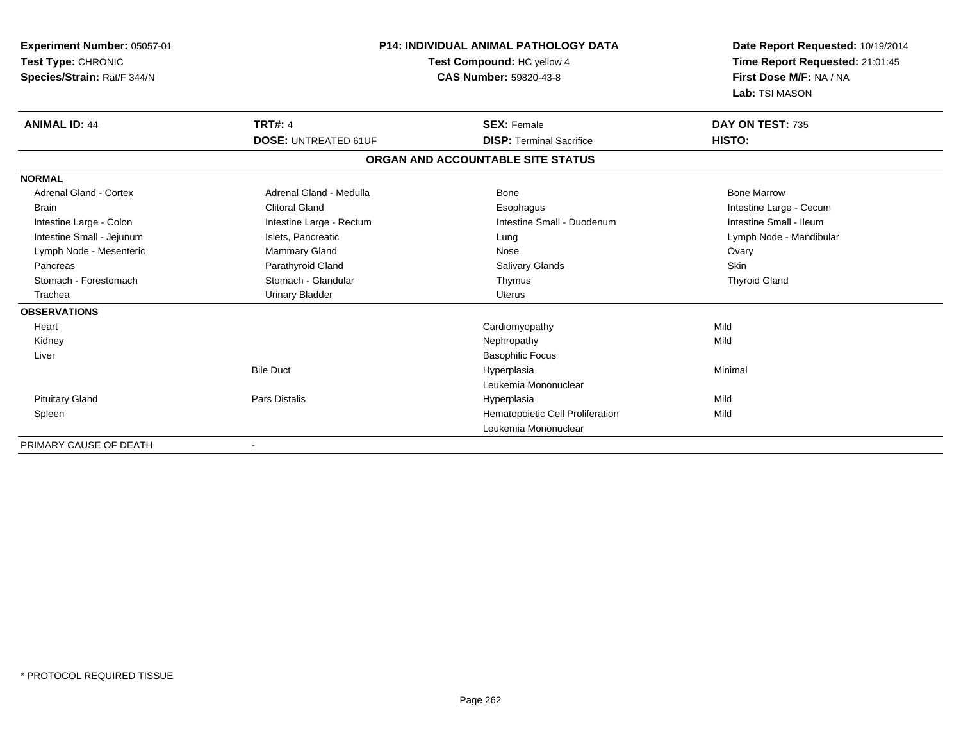| Experiment Number: 05057-01<br>Test Type: CHRONIC<br>Species/Strain: Rat/F 344/N |                             | <b>P14: INDIVIDUAL ANIMAL PATHOLOGY DATA</b><br>Test Compound: HC yellow 4<br>CAS Number: 59820-43-8 |                         |
|----------------------------------------------------------------------------------|-----------------------------|------------------------------------------------------------------------------------------------------|-------------------------|
| <b>ANIMAL ID: 44</b>                                                             | <b>TRT#: 4</b>              | <b>SEX: Female</b>                                                                                   | DAY ON TEST: 735        |
|                                                                                  | <b>DOSE: UNTREATED 61UF</b> | <b>DISP: Terminal Sacrifice</b>                                                                      | HISTO:                  |
|                                                                                  |                             | ORGAN AND ACCOUNTABLE SITE STATUS                                                                    |                         |
| <b>NORMAL</b>                                                                    |                             |                                                                                                      |                         |
| <b>Adrenal Gland - Cortex</b>                                                    | Adrenal Gland - Medulla     | <b>Bone</b>                                                                                          | <b>Bone Marrow</b>      |
| <b>Brain</b>                                                                     | <b>Clitoral Gland</b>       | Esophagus                                                                                            | Intestine Large - Cecum |
| Intestine Large - Colon                                                          | Intestine Large - Rectum    | Intestine Small - Duodenum                                                                           | Intestine Small - Ileum |
| Intestine Small - Jejunum                                                        | Islets, Pancreatic          | Lung                                                                                                 | Lymph Node - Mandibular |
| Lymph Node - Mesenteric                                                          | <b>Mammary Gland</b>        | Nose                                                                                                 | Ovary                   |
| Pancreas                                                                         | Parathyroid Gland           | <b>Salivary Glands</b>                                                                               | Skin                    |
| Stomach - Forestomach                                                            | Stomach - Glandular         | Thymus                                                                                               | <b>Thyroid Gland</b>    |
| Trachea                                                                          | <b>Urinary Bladder</b>      | Uterus                                                                                               |                         |
| <b>OBSERVATIONS</b>                                                              |                             |                                                                                                      |                         |
| Heart                                                                            |                             | Cardiomyopathy                                                                                       | Mild                    |
| Kidney                                                                           |                             | Nephropathy                                                                                          | Mild                    |
| Liver                                                                            |                             | <b>Basophilic Focus</b>                                                                              |                         |
|                                                                                  | <b>Bile Duct</b>            | Hyperplasia                                                                                          | Minimal                 |
|                                                                                  |                             | Leukemia Mononuclear                                                                                 |                         |
| <b>Pituitary Gland</b>                                                           | <b>Pars Distalis</b>        | Hyperplasia                                                                                          | Mild                    |
| Spleen                                                                           |                             | Hematopoietic Cell Proliferation                                                                     | Mild                    |
|                                                                                  |                             | Leukemia Mononuclear                                                                                 |                         |
| PRIMARY CAUSE OF DEATH                                                           |                             |                                                                                                      |                         |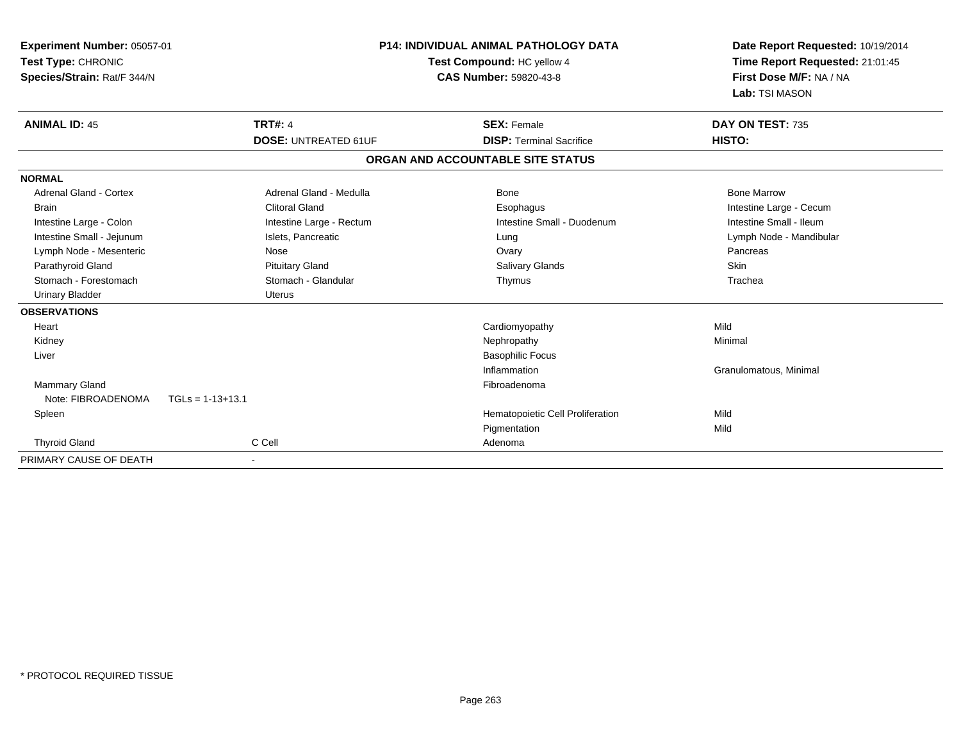| <b>Experiment Number: 05057-01</b><br>Test Type: CHRONIC<br>Species/Strain: Rat/F 344/N | <b>P14: INDIVIDUAL ANIMAL PATHOLOGY DATA</b><br>Test Compound: HC yellow 4<br><b>CAS Number: 59820-43-8</b> |                                   | Date Report Requested: 10/19/2014<br>Time Report Requested: 21:01:45<br>First Dose M/F: NA / NA<br>Lab: TSI MASON |
|-----------------------------------------------------------------------------------------|-------------------------------------------------------------------------------------------------------------|-----------------------------------|-------------------------------------------------------------------------------------------------------------------|
| <b>ANIMAL ID: 45</b>                                                                    | <b>TRT#: 4</b>                                                                                              | <b>SEX: Female</b>                | DAY ON TEST: 735                                                                                                  |
|                                                                                         | <b>DOSE: UNTREATED 61UF</b>                                                                                 | <b>DISP: Terminal Sacrifice</b>   | HISTO:                                                                                                            |
|                                                                                         |                                                                                                             | ORGAN AND ACCOUNTABLE SITE STATUS |                                                                                                                   |
| <b>NORMAL</b>                                                                           |                                                                                                             |                                   |                                                                                                                   |
| <b>Adrenal Gland - Cortex</b>                                                           | Adrenal Gland - Medulla                                                                                     | Bone                              | <b>Bone Marrow</b>                                                                                                |
| <b>Brain</b>                                                                            | <b>Clitoral Gland</b>                                                                                       | Esophagus                         | Intestine Large - Cecum                                                                                           |
| Intestine Large - Colon                                                                 | Intestine Large - Rectum                                                                                    | Intestine Small - Duodenum        | Intestine Small - Ileum                                                                                           |
| Intestine Small - Jejunum                                                               | Islets, Pancreatic                                                                                          | Lung                              | Lymph Node - Mandibular                                                                                           |
| Lymph Node - Mesenteric                                                                 | Nose                                                                                                        | Ovary                             | Pancreas                                                                                                          |
| Parathyroid Gland                                                                       | <b>Pituitary Gland</b>                                                                                      | <b>Salivary Glands</b>            | Skin                                                                                                              |
| Stomach - Forestomach                                                                   | Stomach - Glandular                                                                                         | Thymus                            | Trachea                                                                                                           |
| <b>Urinary Bladder</b>                                                                  | <b>Uterus</b>                                                                                               |                                   |                                                                                                                   |
| <b>OBSERVATIONS</b>                                                                     |                                                                                                             |                                   |                                                                                                                   |
| Heart                                                                                   |                                                                                                             | Cardiomyopathy                    | Mild                                                                                                              |
| Kidney                                                                                  |                                                                                                             | Nephropathy                       | Minimal                                                                                                           |
| Liver                                                                                   |                                                                                                             | <b>Basophilic Focus</b>           |                                                                                                                   |
|                                                                                         |                                                                                                             | Inflammation                      | Granulomatous, Minimal                                                                                            |
| Mammary Gland                                                                           |                                                                                                             | Fibroadenoma                      |                                                                                                                   |
| Note: FIBROADENOMA                                                                      | $TGLs = 1-13+13.1$                                                                                          |                                   |                                                                                                                   |
| Spleen                                                                                  |                                                                                                             | Hematopoietic Cell Proliferation  | Mild                                                                                                              |
|                                                                                         |                                                                                                             | Pigmentation                      | Mild                                                                                                              |
| <b>Thyroid Gland</b>                                                                    | C Cell                                                                                                      | Adenoma                           |                                                                                                                   |
| PRIMARY CAUSE OF DEATH                                                                  |                                                                                                             |                                   |                                                                                                                   |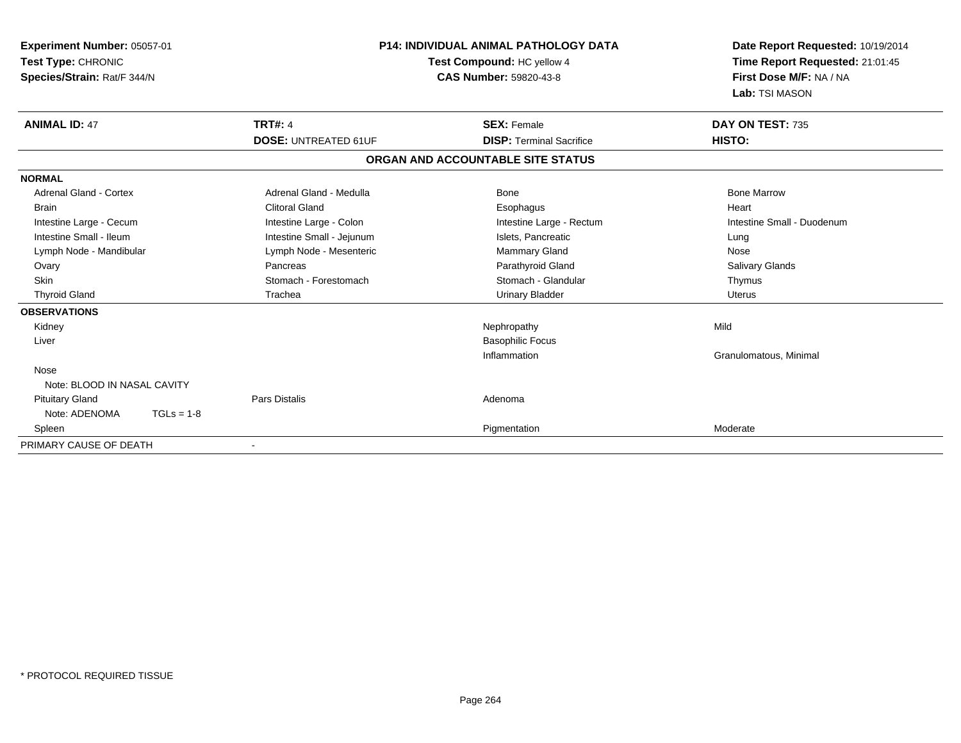| Experiment Number: 05057-01<br>Test Type: CHRONIC<br>Species/Strain: Rat/F 344/N |                             | <b>P14: INDIVIDUAL ANIMAL PATHOLOGY DATA</b><br>Test Compound: HC yellow 4<br><b>CAS Number: 59820-43-8</b> | Date Report Requested: 10/19/2014<br>Time Report Requested: 21:01:45<br>First Dose M/F: NA / NA<br>Lab: TSI MASON |
|----------------------------------------------------------------------------------|-----------------------------|-------------------------------------------------------------------------------------------------------------|-------------------------------------------------------------------------------------------------------------------|
| <b>ANIMAL ID: 47</b>                                                             | <b>TRT#: 4</b>              | <b>SEX: Female</b>                                                                                          | DAY ON TEST: 735                                                                                                  |
|                                                                                  | <b>DOSE: UNTREATED 61UF</b> | <b>DISP: Terminal Sacrifice</b>                                                                             | HISTO:                                                                                                            |
|                                                                                  |                             | ORGAN AND ACCOUNTABLE SITE STATUS                                                                           |                                                                                                                   |
| <b>NORMAL</b>                                                                    |                             |                                                                                                             |                                                                                                                   |
| Adrenal Gland - Cortex                                                           | Adrenal Gland - Medulla     | Bone                                                                                                        | <b>Bone Marrow</b>                                                                                                |
| <b>Brain</b>                                                                     | <b>Clitoral Gland</b>       | Esophagus                                                                                                   | Heart                                                                                                             |
| Intestine Large - Cecum                                                          | Intestine Large - Colon     | Intestine Large - Rectum                                                                                    | Intestine Small - Duodenum                                                                                        |
| Intestine Small - Ileum                                                          | Intestine Small - Jejunum   | Islets, Pancreatic                                                                                          | Lung                                                                                                              |
| Lymph Node - Mandibular                                                          | Lymph Node - Mesenteric     | Mammary Gland                                                                                               | Nose                                                                                                              |
| Ovary                                                                            | Pancreas                    | Parathyroid Gland                                                                                           | Salivary Glands                                                                                                   |
| <b>Skin</b>                                                                      | Stomach - Forestomach       | Stomach - Glandular                                                                                         | Thymus                                                                                                            |
| <b>Thyroid Gland</b>                                                             | Trachea                     | <b>Urinary Bladder</b>                                                                                      | Uterus                                                                                                            |
| <b>OBSERVATIONS</b>                                                              |                             |                                                                                                             |                                                                                                                   |
| Kidney                                                                           |                             | Nephropathy                                                                                                 | Mild                                                                                                              |
| Liver                                                                            |                             | <b>Basophilic Focus</b>                                                                                     |                                                                                                                   |
|                                                                                  |                             | Inflammation                                                                                                | Granulomatous, Minimal                                                                                            |
| Nose                                                                             |                             |                                                                                                             |                                                                                                                   |
| Note: BLOOD IN NASAL CAVITY                                                      |                             |                                                                                                             |                                                                                                                   |
| <b>Pituitary Gland</b>                                                           | <b>Pars Distalis</b>        | Adenoma                                                                                                     |                                                                                                                   |
| Note: ADENOMA<br>$TGLs = 1-8$                                                    |                             |                                                                                                             |                                                                                                                   |
| Spleen                                                                           |                             | Pigmentation                                                                                                | Moderate                                                                                                          |
| PRIMARY CAUSE OF DEATH                                                           |                             |                                                                                                             |                                                                                                                   |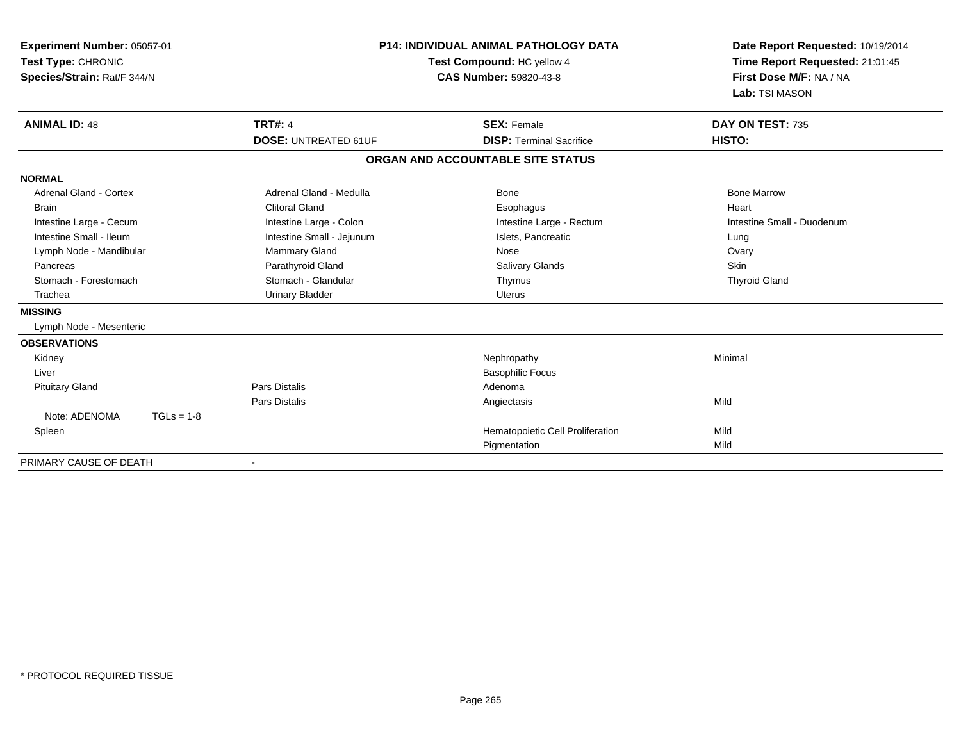| Experiment Number: 05057-01<br>Test Type: CHRONIC<br>Species/Strain: Rat/F 344/N |                             | <b>P14: INDIVIDUAL ANIMAL PATHOLOGY DATA</b><br>Test Compound: HC yellow 4<br><b>CAS Number: 59820-43-8</b> | Date Report Requested: 10/19/2014<br>Time Report Requested: 21:01:45<br>First Dose M/F: NA / NA<br>Lab: TSI MASON |  |
|----------------------------------------------------------------------------------|-----------------------------|-------------------------------------------------------------------------------------------------------------|-------------------------------------------------------------------------------------------------------------------|--|
| <b>ANIMAL ID: 48</b>                                                             | <b>TRT#: 4</b>              | <b>SEX: Female</b>                                                                                          | DAY ON TEST: 735                                                                                                  |  |
|                                                                                  | <b>DOSE: UNTREATED 61UF</b> | <b>DISP: Terminal Sacrifice</b>                                                                             | HISTO:                                                                                                            |  |
|                                                                                  |                             | ORGAN AND ACCOUNTABLE SITE STATUS                                                                           |                                                                                                                   |  |
| <b>NORMAL</b>                                                                    |                             |                                                                                                             |                                                                                                                   |  |
| Adrenal Gland - Cortex                                                           | Adrenal Gland - Medulla     | <b>Bone</b>                                                                                                 | <b>Bone Marrow</b>                                                                                                |  |
| <b>Brain</b>                                                                     | <b>Clitoral Gland</b>       | Esophagus                                                                                                   | Heart                                                                                                             |  |
| Intestine Large - Cecum                                                          | Intestine Large - Colon     | Intestine Large - Rectum                                                                                    | Intestine Small - Duodenum                                                                                        |  |
| Intestine Small - Ileum                                                          | Intestine Small - Jejunum   | Islets, Pancreatic                                                                                          | Lung                                                                                                              |  |
| Lymph Node - Mandibular                                                          | Mammary Gland               | Nose                                                                                                        | Ovary                                                                                                             |  |
| Pancreas                                                                         | Parathyroid Gland           | Salivary Glands                                                                                             | Skin                                                                                                              |  |
| Stomach - Forestomach                                                            | Stomach - Glandular         | Thymus                                                                                                      | <b>Thyroid Gland</b>                                                                                              |  |
| Trachea                                                                          | <b>Urinary Bladder</b>      | <b>Uterus</b>                                                                                               |                                                                                                                   |  |
| <b>MISSING</b>                                                                   |                             |                                                                                                             |                                                                                                                   |  |
| Lymph Node - Mesenteric                                                          |                             |                                                                                                             |                                                                                                                   |  |
| <b>OBSERVATIONS</b>                                                              |                             |                                                                                                             |                                                                                                                   |  |
| Kidney                                                                           |                             | Nephropathy                                                                                                 | Minimal                                                                                                           |  |
| Liver                                                                            |                             | <b>Basophilic Focus</b>                                                                                     |                                                                                                                   |  |
| <b>Pituitary Gland</b>                                                           | <b>Pars Distalis</b>        | Adenoma                                                                                                     |                                                                                                                   |  |
|                                                                                  | Pars Distalis               | Angiectasis                                                                                                 | Mild                                                                                                              |  |
| Note: ADENOMA<br>$TGLs = 1-8$                                                    |                             |                                                                                                             |                                                                                                                   |  |
| Spleen                                                                           |                             | Hematopoietic Cell Proliferation                                                                            | Mild                                                                                                              |  |
|                                                                                  |                             | Pigmentation                                                                                                | Mild                                                                                                              |  |
| PRIMARY CAUSE OF DEATH                                                           |                             |                                                                                                             |                                                                                                                   |  |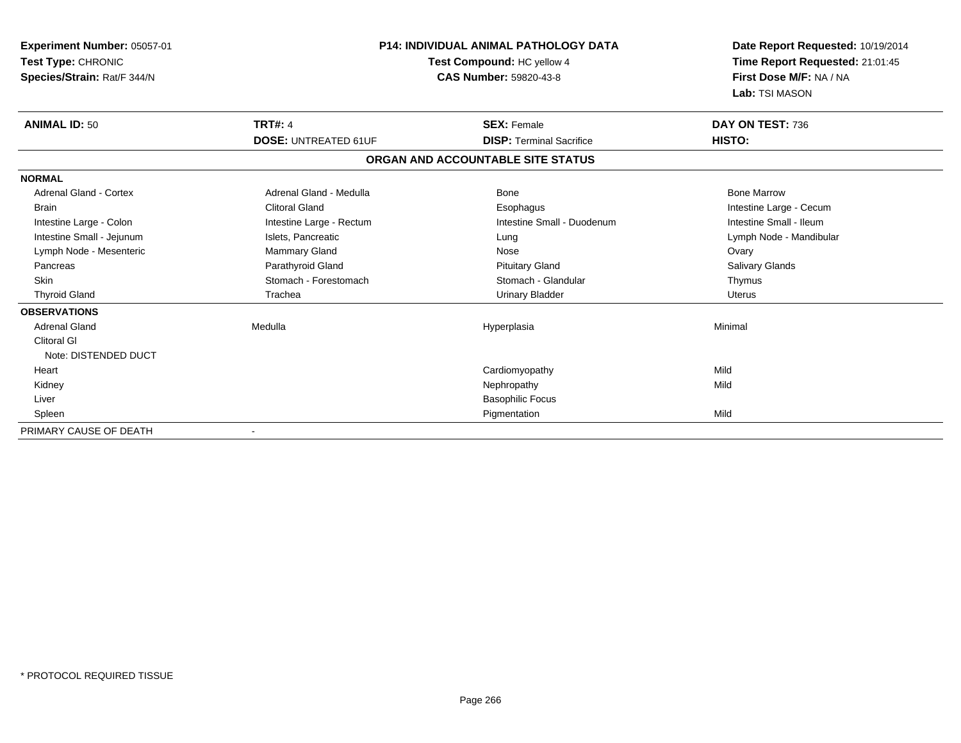| Experiment Number: 05057-01   |                             | <b>P14: INDIVIDUAL ANIMAL PATHOLOGY DATA</b> | Date Report Requested: 10/19/2014 |
|-------------------------------|-----------------------------|----------------------------------------------|-----------------------------------|
| <b>Test Type: CHRONIC</b>     |                             | Test Compound: HC yellow 4                   |                                   |
| Species/Strain: Rat/F 344/N   |                             | <b>CAS Number: 59820-43-8</b>                | First Dose M/F: NA / NA           |
|                               |                             |                                              | Lab: TSI MASON                    |
| <b>ANIMAL ID: 50</b>          | <b>TRT#: 4</b>              | <b>SEX: Female</b>                           | DAY ON TEST: 736                  |
|                               | <b>DOSE: UNTREATED 61UF</b> | <b>DISP: Terminal Sacrifice</b>              | HISTO:                            |
|                               |                             | ORGAN AND ACCOUNTABLE SITE STATUS            |                                   |
| <b>NORMAL</b>                 |                             |                                              |                                   |
| <b>Adrenal Gland - Cortex</b> | Adrenal Gland - Medulla     | Bone                                         | <b>Bone Marrow</b>                |
| <b>Brain</b>                  | <b>Clitoral Gland</b>       | Esophagus                                    | Intestine Large - Cecum           |
| Intestine Large - Colon       | Intestine Large - Rectum    | Intestine Small - Duodenum                   | Intestine Small - Ileum           |
| Intestine Small - Jejunum     | Islets, Pancreatic          | Lung                                         | Lymph Node - Mandibular           |
| Lymph Node - Mesenteric       | <b>Mammary Gland</b>        | Nose                                         | Ovary                             |
| Pancreas                      | Parathyroid Gland           | <b>Pituitary Gland</b>                       | Salivary Glands                   |
| <b>Skin</b>                   | Stomach - Forestomach       | Stomach - Glandular                          | Thymus                            |
| <b>Thyroid Gland</b>          | Trachea                     | <b>Urinary Bladder</b>                       | <b>Uterus</b>                     |
| <b>OBSERVATIONS</b>           |                             |                                              |                                   |
| <b>Adrenal Gland</b>          | Medulla                     | Hyperplasia                                  | Minimal                           |
| <b>Clitoral GI</b>            |                             |                                              |                                   |
| Note: DISTENDED DUCT          |                             |                                              |                                   |
| Heart                         |                             | Cardiomyopathy                               | Mild                              |
| Kidney                        |                             | Nephropathy                                  | Mild                              |
| Liver                         |                             | <b>Basophilic Focus</b>                      |                                   |
| Spleen                        |                             | Pigmentation                                 | Mild                              |
| PRIMARY CAUSE OF DEATH        |                             |                                              |                                   |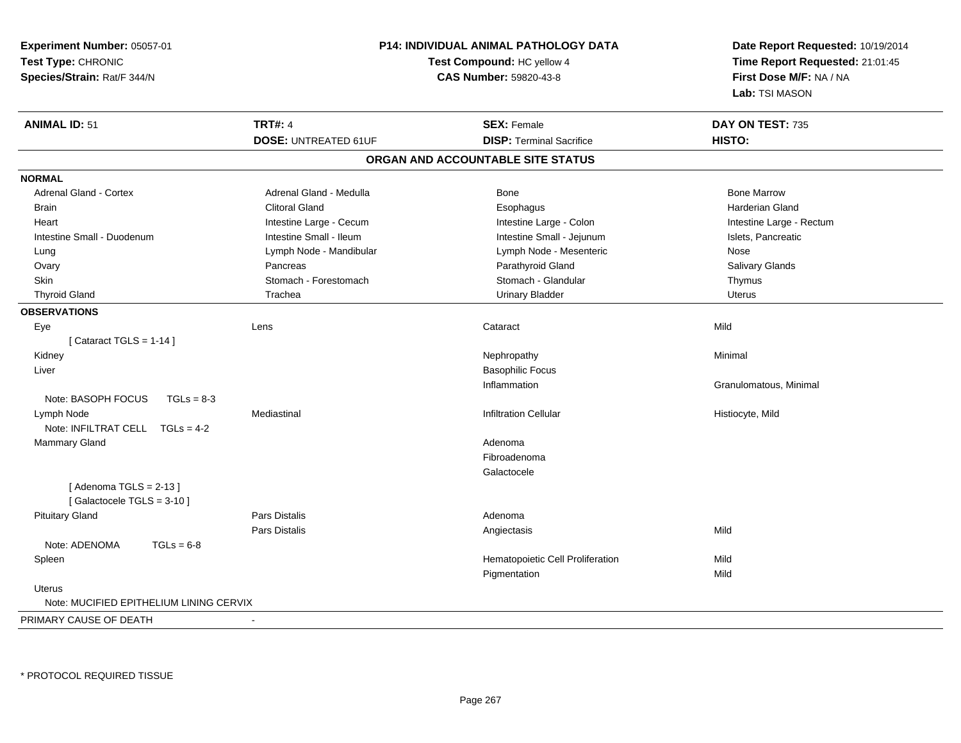| Experiment Number: 05057-01<br>Test Type: CHRONIC<br>Species/Strain: Rat/F 344/N | <b>P14: INDIVIDUAL ANIMAL PATHOLOGY DATA</b><br>Test Compound: HC yellow 4<br><b>CAS Number: 59820-43-8</b> |                                   | Date Report Requested: 10/19/2014<br>Time Report Requested: 21:01:45<br>First Dose M/F: NA / NA<br>Lab: TSI MASON |  |
|----------------------------------------------------------------------------------|-------------------------------------------------------------------------------------------------------------|-----------------------------------|-------------------------------------------------------------------------------------------------------------------|--|
| <b>ANIMAL ID: 51</b>                                                             | <b>TRT#: 4</b>                                                                                              | <b>SEX: Female</b>                | DAY ON TEST: 735                                                                                                  |  |
|                                                                                  | <b>DOSE: UNTREATED 61UF</b>                                                                                 | <b>DISP: Terminal Sacrifice</b>   | HISTO:                                                                                                            |  |
|                                                                                  |                                                                                                             | ORGAN AND ACCOUNTABLE SITE STATUS |                                                                                                                   |  |
| <b>NORMAL</b>                                                                    |                                                                                                             |                                   |                                                                                                                   |  |
| Adrenal Gland - Cortex                                                           | Adrenal Gland - Medulla                                                                                     | Bone                              | <b>Bone Marrow</b>                                                                                                |  |
| <b>Brain</b>                                                                     | <b>Clitoral Gland</b>                                                                                       | Esophagus                         | <b>Harderian Gland</b>                                                                                            |  |
| Heart                                                                            | Intestine Large - Cecum                                                                                     | Intestine Large - Colon           | Intestine Large - Rectum                                                                                          |  |
| Intestine Small - Duodenum                                                       | Intestine Small - Ileum                                                                                     | Intestine Small - Jejunum         | Islets, Pancreatic                                                                                                |  |
| Lung                                                                             | Lymph Node - Mandibular                                                                                     | Lymph Node - Mesenteric           | Nose                                                                                                              |  |
| Ovary                                                                            | Pancreas                                                                                                    | Parathyroid Gland                 | Salivary Glands                                                                                                   |  |
| Skin                                                                             | Stomach - Forestomach                                                                                       | Stomach - Glandular               | Thymus                                                                                                            |  |
| <b>Thyroid Gland</b>                                                             | Trachea                                                                                                     | <b>Urinary Bladder</b>            | Uterus                                                                                                            |  |
| <b>OBSERVATIONS</b>                                                              |                                                                                                             |                                   |                                                                                                                   |  |
| Eye                                                                              | Lens                                                                                                        | Cataract                          | Mild                                                                                                              |  |
| [Cataract TGLS = $1-14$ ]                                                        |                                                                                                             |                                   |                                                                                                                   |  |
| Kidney                                                                           |                                                                                                             | Nephropathy                       | Minimal                                                                                                           |  |
| Liver                                                                            |                                                                                                             | <b>Basophilic Focus</b>           |                                                                                                                   |  |
|                                                                                  |                                                                                                             | Inflammation                      | Granulomatous, Minimal                                                                                            |  |
| Note: BASOPH FOCUS<br>$TGLs = 8-3$                                               |                                                                                                             |                                   |                                                                                                                   |  |
| Lymph Node                                                                       | Mediastinal                                                                                                 | <b>Infiltration Cellular</b>      | Histiocyte, Mild                                                                                                  |  |
| Note: INFILTRAT CELL TGLs = 4-2                                                  |                                                                                                             |                                   |                                                                                                                   |  |
| Mammary Gland                                                                    |                                                                                                             | Adenoma                           |                                                                                                                   |  |
|                                                                                  |                                                                                                             | Fibroadenoma                      |                                                                                                                   |  |
|                                                                                  |                                                                                                             | Galactocele                       |                                                                                                                   |  |
| [Adenoma TGLS = $2-13$ ]                                                         |                                                                                                             |                                   |                                                                                                                   |  |
| [Galactocele TGLS = 3-10]                                                        |                                                                                                             |                                   |                                                                                                                   |  |
| <b>Pituitary Gland</b>                                                           | Pars Distalis                                                                                               | Adenoma                           |                                                                                                                   |  |
|                                                                                  | Pars Distalis                                                                                               | Angiectasis                       | Mild                                                                                                              |  |
| Note: ADENOMA<br>$TGLs = 6-8$                                                    |                                                                                                             |                                   |                                                                                                                   |  |
| Spleen                                                                           |                                                                                                             | Hematopoietic Cell Proliferation  | Mild                                                                                                              |  |
|                                                                                  |                                                                                                             | Pigmentation                      | Mild                                                                                                              |  |
| <b>Uterus</b>                                                                    |                                                                                                             |                                   |                                                                                                                   |  |
| Note: MUCIFIED EPITHELIUM LINING CERVIX                                          |                                                                                                             |                                   |                                                                                                                   |  |
| PRIMARY CAUSE OF DEATH                                                           | $\blacksquare$                                                                                              |                                   |                                                                                                                   |  |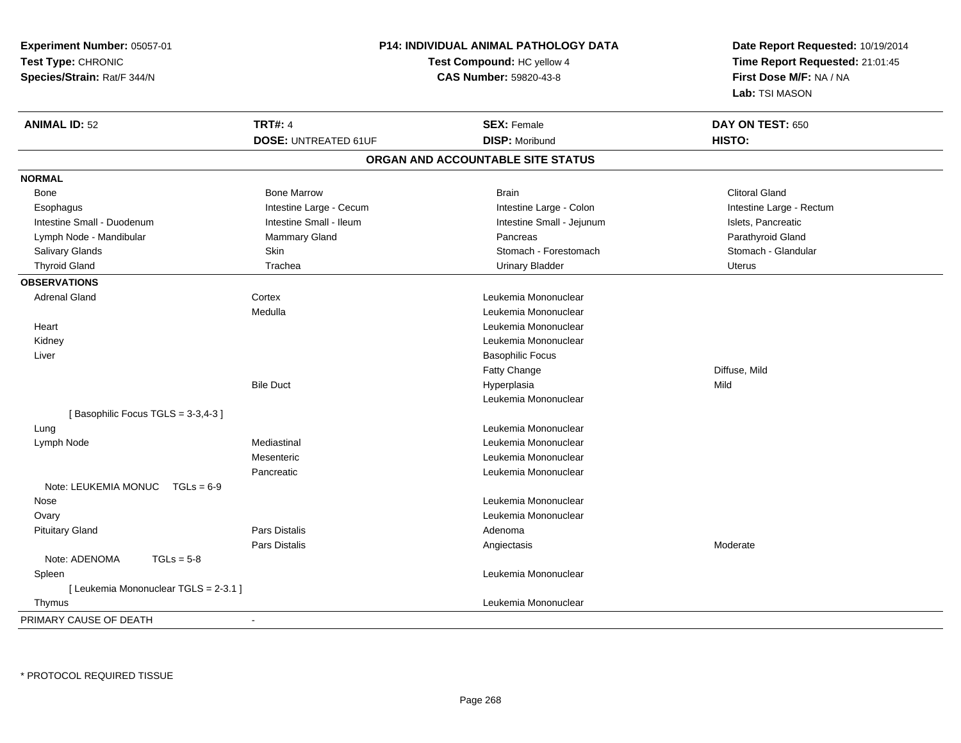| Experiment Number: 05057-01<br>Test Type: CHRONIC |                               | <b>P14: INDIVIDUAL ANIMAL PATHOLOGY DATA</b><br>Test Compound: HC yellow 4 | Date Report Requested: 10/19/2014<br>Time Report Requested: 21:01:45 |  |
|---------------------------------------------------|-------------------------------|----------------------------------------------------------------------------|----------------------------------------------------------------------|--|
| Species/Strain: Rat/F 344/N                       | <b>CAS Number: 59820-43-8</b> |                                                                            | First Dose M/F: NA / NA<br>Lab: TSI MASON                            |  |
| <b>ANIMAL ID: 52</b>                              | <b>TRT#: 4</b>                | <b>SEX: Female</b>                                                         | DAY ON TEST: 650                                                     |  |
|                                                   | <b>DOSE: UNTREATED 61UF</b>   | <b>DISP: Moribund</b>                                                      | HISTO:                                                               |  |
|                                                   |                               | ORGAN AND ACCOUNTABLE SITE STATUS                                          |                                                                      |  |
| <b>NORMAL</b>                                     |                               |                                                                            |                                                                      |  |
| Bone                                              | <b>Bone Marrow</b>            | <b>Brain</b>                                                               | <b>Clitoral Gland</b>                                                |  |
| Esophagus                                         | Intestine Large - Cecum       | Intestine Large - Colon                                                    | Intestine Large - Rectum                                             |  |
| Intestine Small - Duodenum                        | Intestine Small - Ileum       | Intestine Small - Jejunum                                                  | Islets, Pancreatic                                                   |  |
| Lymph Node - Mandibular                           | <b>Mammary Gland</b>          | Pancreas                                                                   | Parathyroid Gland                                                    |  |
| Salivary Glands                                   | Skin                          | Stomach - Forestomach                                                      | Stomach - Glandular                                                  |  |
| <b>Thyroid Gland</b>                              | Trachea                       | <b>Urinary Bladder</b>                                                     | <b>Uterus</b>                                                        |  |
| <b>OBSERVATIONS</b>                               |                               |                                                                            |                                                                      |  |
| <b>Adrenal Gland</b>                              | Cortex                        | Leukemia Mononuclear                                                       |                                                                      |  |
|                                                   | Medulla                       | Leukemia Mononuclear                                                       |                                                                      |  |
| Heart                                             |                               | Leukemia Mononuclear                                                       |                                                                      |  |
| Kidney                                            |                               | Leukemia Mononuclear                                                       |                                                                      |  |
| Liver                                             |                               | <b>Basophilic Focus</b>                                                    |                                                                      |  |
|                                                   |                               | Fatty Change                                                               | Diffuse, Mild                                                        |  |
|                                                   | <b>Bile Duct</b>              | Hyperplasia                                                                | Mild                                                                 |  |
|                                                   |                               | Leukemia Mononuclear                                                       |                                                                      |  |
| [Basophilic Focus TGLS = 3-3,4-3]                 |                               |                                                                            |                                                                      |  |
| Lung                                              |                               | Leukemia Mononuclear                                                       |                                                                      |  |
| Lymph Node                                        | Mediastinal                   | Leukemia Mononuclear                                                       |                                                                      |  |
|                                                   | Mesenteric                    | Leukemia Mononuclear                                                       |                                                                      |  |
|                                                   | Pancreatic                    | Leukemia Mononuclear                                                       |                                                                      |  |
| Note: LEUKEMIA MONUC<br>$TGLs = 6-9$              |                               |                                                                            |                                                                      |  |
| Nose                                              |                               | Leukemia Mononuclear                                                       |                                                                      |  |
| Ovary                                             |                               | Leukemia Mononuclear                                                       |                                                                      |  |
| <b>Pituitary Gland</b>                            | Pars Distalis                 | Adenoma                                                                    |                                                                      |  |
|                                                   | Pars Distalis                 | Angiectasis                                                                | Moderate                                                             |  |
| Note: ADENOMA<br>$TGLs = 5-8$                     |                               |                                                                            |                                                                      |  |
| Spleen                                            |                               | Leukemia Mononuclear                                                       |                                                                      |  |
| [ Leukemia Mononuclear TGLS = 2-3.1 ]             |                               |                                                                            |                                                                      |  |
| Thymus                                            |                               | Leukemia Mononuclear                                                       |                                                                      |  |
| PRIMARY CAUSE OF DEATH                            | $\blacksquare$                |                                                                            |                                                                      |  |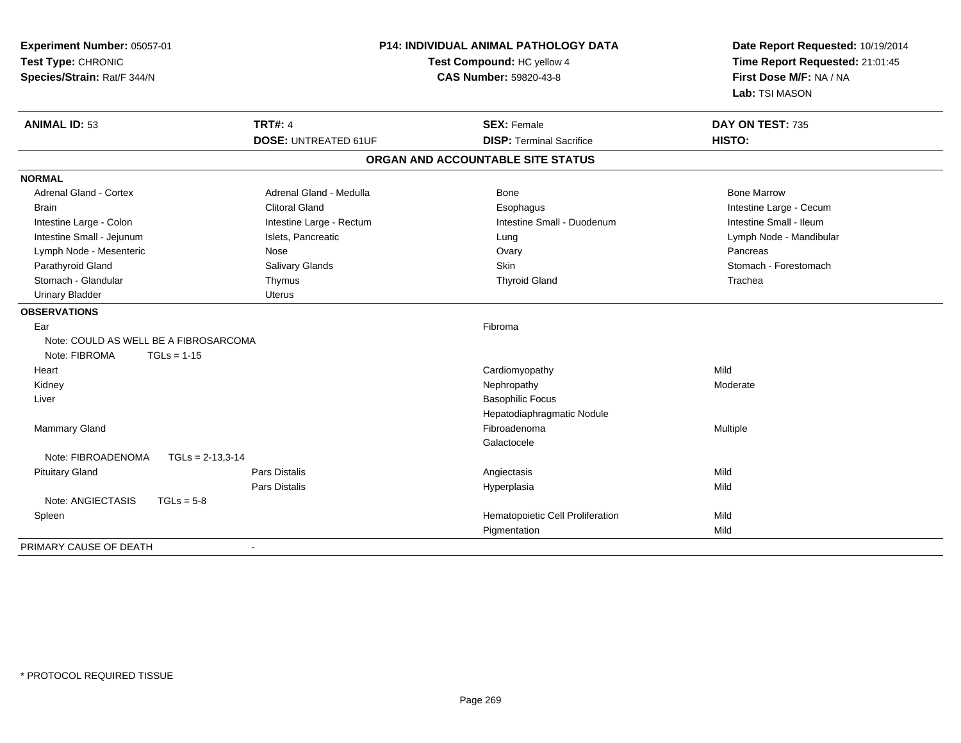| Experiment Number: 05057-01<br>Test Type: CHRONIC<br>Species/Strain: Rat/F 344/N | <b>P14: INDIVIDUAL ANIMAL PATHOLOGY DATA</b><br>Test Compound: HC yellow 4<br>CAS Number: 59820-43-8 |                                   | Date Report Requested: 10/19/2014<br>Time Report Requested: 21:01:45<br>First Dose M/F: NA / NA<br>Lab: TSI MASON |  |
|----------------------------------------------------------------------------------|------------------------------------------------------------------------------------------------------|-----------------------------------|-------------------------------------------------------------------------------------------------------------------|--|
| <b>ANIMAL ID: 53</b>                                                             | <b>TRT#: 4</b>                                                                                       | <b>SEX: Female</b>                | DAY ON TEST: 735                                                                                                  |  |
|                                                                                  | <b>DOSE: UNTREATED 61UF</b>                                                                          | <b>DISP: Terminal Sacrifice</b>   | HISTO:                                                                                                            |  |
|                                                                                  |                                                                                                      | ORGAN AND ACCOUNTABLE SITE STATUS |                                                                                                                   |  |
| <b>NORMAL</b>                                                                    |                                                                                                      |                                   |                                                                                                                   |  |
| Adrenal Gland - Cortex                                                           | Adrenal Gland - Medulla                                                                              | <b>Bone</b>                       | <b>Bone Marrow</b>                                                                                                |  |
| <b>Brain</b>                                                                     | <b>Clitoral Gland</b>                                                                                | Esophagus                         | Intestine Large - Cecum                                                                                           |  |
| Intestine Large - Colon                                                          | Intestine Large - Rectum                                                                             | Intestine Small - Duodenum        | Intestine Small - Ileum                                                                                           |  |
| Intestine Small - Jejunum                                                        | Islets, Pancreatic                                                                                   | Lung                              | Lymph Node - Mandibular                                                                                           |  |
| Lymph Node - Mesenteric                                                          | Nose                                                                                                 | Ovary                             | Pancreas                                                                                                          |  |
| Parathyroid Gland                                                                | Salivary Glands                                                                                      | Skin                              | Stomach - Forestomach                                                                                             |  |
| Stomach - Glandular                                                              | Thymus                                                                                               | <b>Thyroid Gland</b>              | Trachea                                                                                                           |  |
| <b>Urinary Bladder</b>                                                           | <b>Uterus</b>                                                                                        |                                   |                                                                                                                   |  |
| <b>OBSERVATIONS</b>                                                              |                                                                                                      |                                   |                                                                                                                   |  |
| Ear                                                                              |                                                                                                      | Fibroma                           |                                                                                                                   |  |
| Note: COULD AS WELL BE A FIBROSARCOMA                                            |                                                                                                      |                                   |                                                                                                                   |  |
| Note: FIBROMA<br>$TGLs = 1-15$                                                   |                                                                                                      |                                   |                                                                                                                   |  |
| Heart                                                                            |                                                                                                      | Cardiomyopathy                    | Mild                                                                                                              |  |
| Kidney                                                                           |                                                                                                      | Nephropathy                       | Moderate                                                                                                          |  |
| Liver                                                                            |                                                                                                      | <b>Basophilic Focus</b>           |                                                                                                                   |  |
|                                                                                  |                                                                                                      | Hepatodiaphragmatic Nodule        |                                                                                                                   |  |
| <b>Mammary Gland</b>                                                             |                                                                                                      | Fibroadenoma                      | Multiple                                                                                                          |  |
|                                                                                  |                                                                                                      | Galactocele                       |                                                                                                                   |  |
| Note: FIBROADENOMA<br>$TGLs = 2-13,3-14$                                         |                                                                                                      |                                   |                                                                                                                   |  |
| <b>Pituitary Gland</b>                                                           | <b>Pars Distalis</b>                                                                                 | Angiectasis                       | Mild                                                                                                              |  |
|                                                                                  | <b>Pars Distalis</b>                                                                                 | Hyperplasia                       | Mild                                                                                                              |  |
| Note: ANGIECTASIS<br>$TGLs = 5-8$                                                |                                                                                                      |                                   |                                                                                                                   |  |
| Spleen                                                                           |                                                                                                      | Hematopoietic Cell Proliferation  | Mild                                                                                                              |  |
|                                                                                  |                                                                                                      | Pigmentation                      | Mild                                                                                                              |  |
| PRIMARY CAUSE OF DEATH                                                           |                                                                                                      |                                   |                                                                                                                   |  |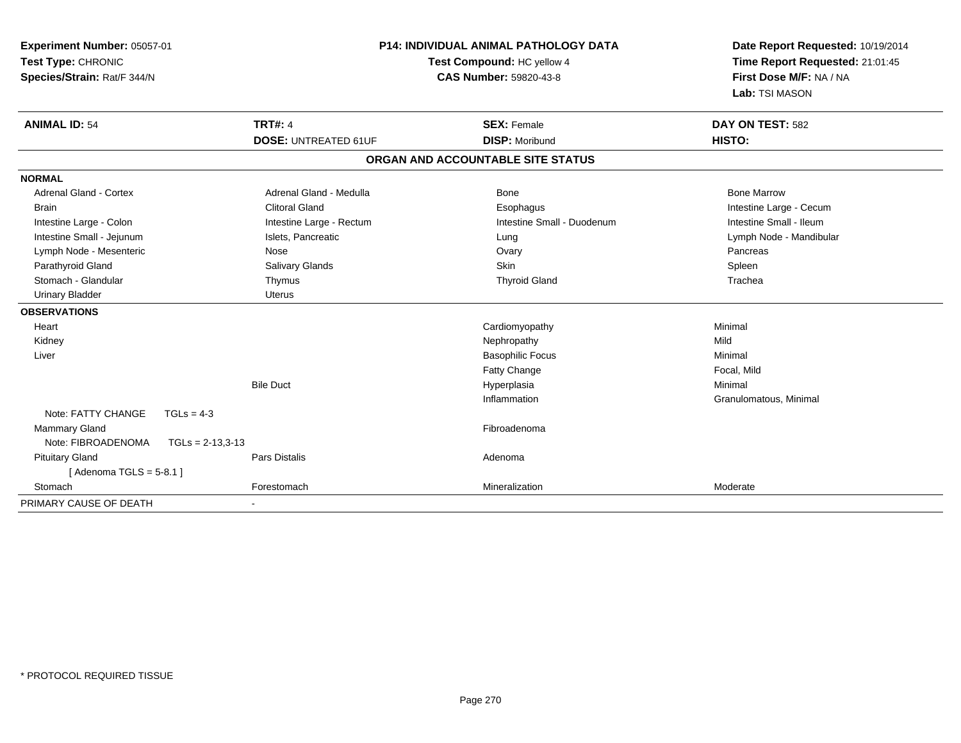| Experiment Number: 05057-01<br>Test Type: CHRONIC<br>Species/Strain: Rat/F 344/N |                             | <b>P14: INDIVIDUAL ANIMAL PATHOLOGY DATA</b><br>Test Compound: HC yellow 4<br><b>CAS Number: 59820-43-8</b> |                         |
|----------------------------------------------------------------------------------|-----------------------------|-------------------------------------------------------------------------------------------------------------|-------------------------|
| <b>ANIMAL ID: 54</b>                                                             | <b>TRT#: 4</b>              | <b>SEX: Female</b>                                                                                          | DAY ON TEST: 582        |
|                                                                                  | <b>DOSE: UNTREATED 61UF</b> | <b>DISP: Moribund</b>                                                                                       | <b>HISTO:</b>           |
|                                                                                  |                             | ORGAN AND ACCOUNTABLE SITE STATUS                                                                           |                         |
| <b>NORMAL</b>                                                                    |                             |                                                                                                             |                         |
| <b>Adrenal Gland - Cortex</b>                                                    | Adrenal Gland - Medulla     | <b>Bone</b>                                                                                                 | <b>Bone Marrow</b>      |
| <b>Brain</b>                                                                     | <b>Clitoral Gland</b>       | Esophagus                                                                                                   | Intestine Large - Cecum |
| Intestine Large - Colon                                                          | Intestine Large - Rectum    | Intestine Small - Duodenum                                                                                  | Intestine Small - Ileum |
| Intestine Small - Jejunum                                                        | Islets, Pancreatic          | Lung                                                                                                        | Lymph Node - Mandibular |
| Lymph Node - Mesenteric                                                          | Nose                        | Ovary                                                                                                       | Pancreas                |
| Parathyroid Gland                                                                | Salivary Glands             | <b>Skin</b>                                                                                                 | Spleen                  |
| Stomach - Glandular                                                              | Thymus                      | <b>Thyroid Gland</b>                                                                                        | Trachea                 |
| <b>Urinary Bladder</b>                                                           | <b>Uterus</b>               |                                                                                                             |                         |
| <b>OBSERVATIONS</b>                                                              |                             |                                                                                                             |                         |
| Heart                                                                            |                             | Cardiomyopathy                                                                                              | Minimal                 |
| Kidney                                                                           |                             | Nephropathy                                                                                                 | Mild                    |
| Liver                                                                            |                             | <b>Basophilic Focus</b>                                                                                     | Minimal                 |
|                                                                                  |                             | <b>Fatty Change</b>                                                                                         | Focal, Mild             |
|                                                                                  | <b>Bile Duct</b>            | Hyperplasia                                                                                                 | Minimal                 |
|                                                                                  |                             | Inflammation                                                                                                | Granulomatous, Minimal  |
| Note: FATTY CHANGE<br>$TGLs = 4-3$                                               |                             |                                                                                                             |                         |
| Mammary Gland                                                                    |                             | Fibroadenoma                                                                                                |                         |
| Note: FIBROADENOMA<br>$TGLs = 2-13,3-13$                                         |                             |                                                                                                             |                         |
| <b>Pituitary Gland</b>                                                           | <b>Pars Distalis</b>        | Adenoma                                                                                                     |                         |
| [Adenoma TGLS = $5-8.1$ ]                                                        |                             |                                                                                                             |                         |
| Stomach                                                                          | Forestomach                 | Mineralization                                                                                              | Moderate                |
| PRIMARY CAUSE OF DEATH                                                           | $\blacksquare$              |                                                                                                             |                         |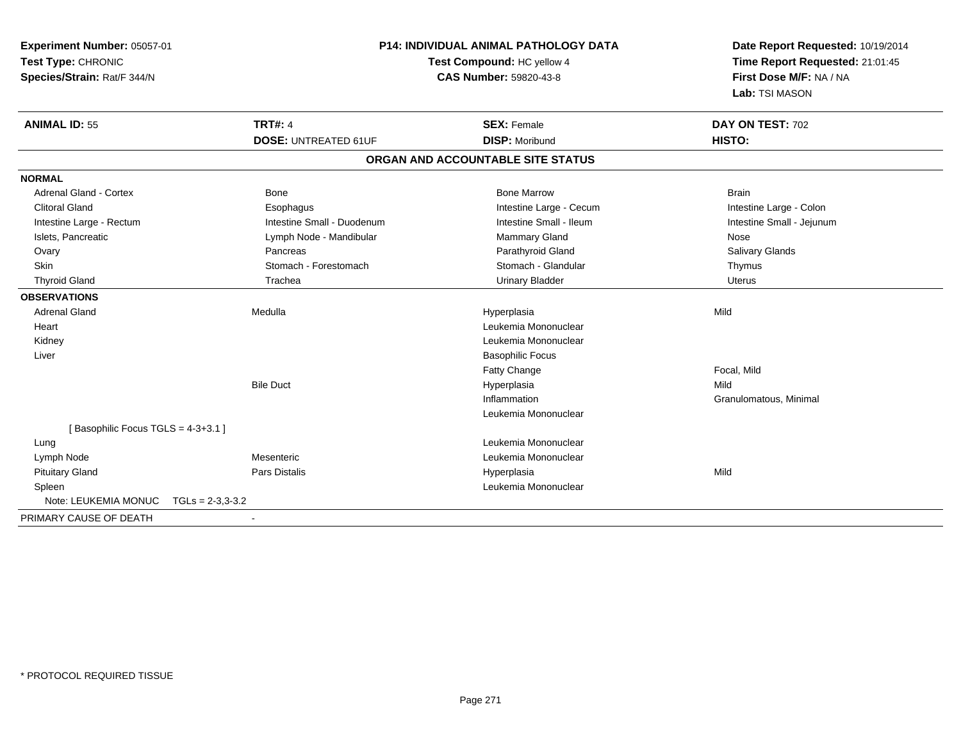| Experiment Number: 05057-01                | <b>P14: INDIVIDUAL ANIMAL PATHOLOGY DATA</b><br>Test Compound: HC yellow 4 |                                   | Date Report Requested: 10/19/2014<br>Time Report Requested: 21:01:45 |
|--------------------------------------------|----------------------------------------------------------------------------|-----------------------------------|----------------------------------------------------------------------|
| Test Type: CHRONIC                         |                                                                            |                                   |                                                                      |
| Species/Strain: Rat/F 344/N                |                                                                            | CAS Number: 59820-43-8            | First Dose M/F: NA / NA                                              |
|                                            |                                                                            |                                   | Lab: TSI MASON                                                       |
| <b>ANIMAL ID: 55</b>                       | <b>TRT#: 4</b>                                                             | <b>SEX: Female</b>                | DAY ON TEST: 702                                                     |
|                                            | <b>DOSE: UNTREATED 61UF</b>                                                | <b>DISP: Moribund</b>             | HISTO:                                                               |
|                                            |                                                                            | ORGAN AND ACCOUNTABLE SITE STATUS |                                                                      |
| <b>NORMAL</b>                              |                                                                            |                                   |                                                                      |
| <b>Adrenal Gland - Cortex</b>              | <b>Bone</b>                                                                | <b>Bone Marrow</b>                | <b>Brain</b>                                                         |
| <b>Clitoral Gland</b>                      | Esophagus                                                                  | Intestine Large - Cecum           | Intestine Large - Colon                                              |
| Intestine Large - Rectum                   | Intestine Small - Duodenum                                                 | Intestine Small - Ileum           | Intestine Small - Jejunum                                            |
| Islets, Pancreatic                         | Lymph Node - Mandibular                                                    | Mammary Gland                     | Nose                                                                 |
| Ovary                                      | Pancreas                                                                   | Parathyroid Gland                 | Salivary Glands                                                      |
| Skin                                       | Stomach - Forestomach                                                      | Stomach - Glandular               | Thymus                                                               |
| <b>Thyroid Gland</b>                       | Trachea                                                                    | <b>Urinary Bladder</b>            | <b>Uterus</b>                                                        |
| <b>OBSERVATIONS</b>                        |                                                                            |                                   |                                                                      |
| <b>Adrenal Gland</b>                       | Medulla                                                                    | Hyperplasia                       | Mild                                                                 |
| Heart                                      |                                                                            | Leukemia Mononuclear              |                                                                      |
| Kidney                                     |                                                                            | Leukemia Mononuclear              |                                                                      |
| Liver                                      |                                                                            | <b>Basophilic Focus</b>           |                                                                      |
|                                            |                                                                            | Fatty Change                      | Focal, Mild                                                          |
|                                            | <b>Bile Duct</b>                                                           | Hyperplasia                       | Mild                                                                 |
|                                            |                                                                            | Inflammation                      | Granulomatous, Minimal                                               |
|                                            |                                                                            | Leukemia Mononuclear              |                                                                      |
| [Basophilic Focus TGLS = 4-3+3.1]          |                                                                            |                                   |                                                                      |
| Lung                                       |                                                                            | Leukemia Mononuclear              |                                                                      |
| Lymph Node                                 | Mesenteric                                                                 | Leukemia Mononuclear              |                                                                      |
| <b>Pituitary Gland</b>                     | Pars Distalis                                                              | Hyperplasia                       | Mild                                                                 |
| Spleen                                     |                                                                            | Leukemia Mononuclear              |                                                                      |
| Note: LEUKEMIA MONUC<br>$TGLS = 2-3.3-3.2$ |                                                                            |                                   |                                                                      |
| PRIMARY CAUSE OF DEATH                     |                                                                            |                                   |                                                                      |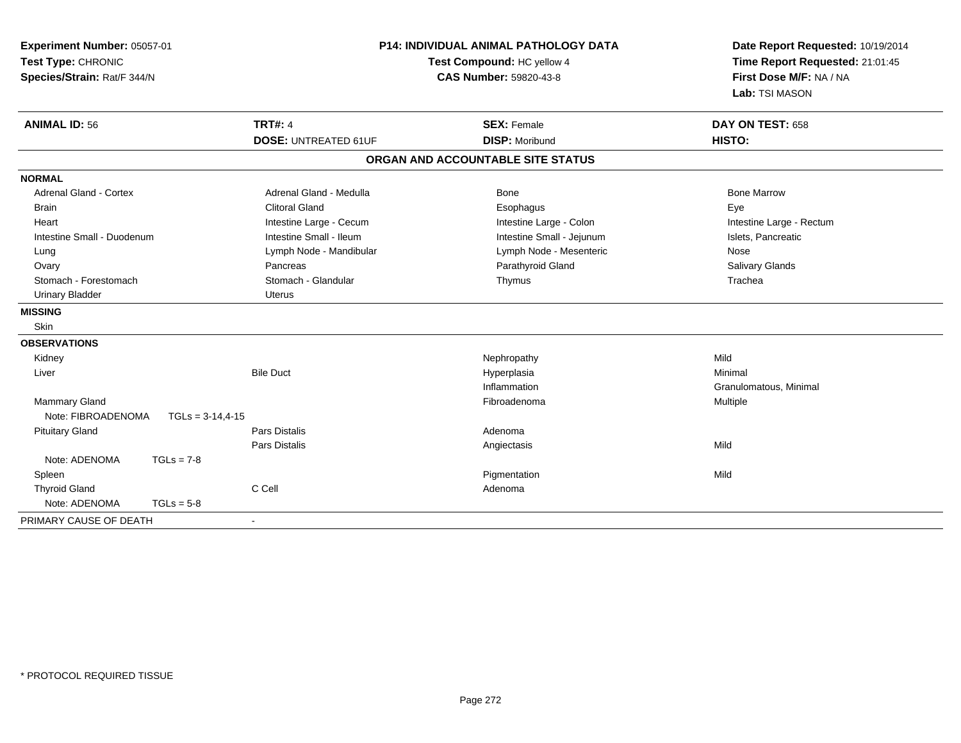| <b>P14: INDIVIDUAL ANIMAL PATHOLOGY DATA</b><br>Experiment Number: 05057-01<br>Test Type: CHRONIC<br>Test Compound: HC yellow 4<br>Species/Strain: Rat/F 344/N<br><b>CAS Number: 59820-43-8</b> |                    |                             | Date Report Requested: 10/19/2014<br>Time Report Requested: 21:01:45<br>First Dose M/F: NA / NA<br>Lab: TSI MASON |                          |
|-------------------------------------------------------------------------------------------------------------------------------------------------------------------------------------------------|--------------------|-----------------------------|-------------------------------------------------------------------------------------------------------------------|--------------------------|
| <b>ANIMAL ID: 56</b>                                                                                                                                                                            |                    | <b>TRT#: 4</b>              | <b>SEX: Female</b>                                                                                                | DAY ON TEST: 658         |
|                                                                                                                                                                                                 |                    | <b>DOSE: UNTREATED 61UF</b> | <b>DISP: Moribund</b>                                                                                             | HISTO:                   |
|                                                                                                                                                                                                 |                    |                             | ORGAN AND ACCOUNTABLE SITE STATUS                                                                                 |                          |
| <b>NORMAL</b>                                                                                                                                                                                   |                    |                             |                                                                                                                   |                          |
| <b>Adrenal Gland - Cortex</b>                                                                                                                                                                   |                    | Adrenal Gland - Medulla     | <b>Bone</b>                                                                                                       | <b>Bone Marrow</b>       |
| <b>Brain</b>                                                                                                                                                                                    |                    | <b>Clitoral Gland</b>       | Esophagus                                                                                                         | Eye                      |
| Heart                                                                                                                                                                                           |                    | Intestine Large - Cecum     | Intestine Large - Colon                                                                                           | Intestine Large - Rectum |
| Intestine Small - Duodenum                                                                                                                                                                      |                    | Intestine Small - Ileum     | Intestine Small - Jejunum                                                                                         | Islets, Pancreatic       |
| Lung                                                                                                                                                                                            |                    | Lymph Node - Mandibular     | Lymph Node - Mesenteric                                                                                           | Nose                     |
| Ovary                                                                                                                                                                                           |                    | Pancreas                    | Parathyroid Gland                                                                                                 | Salivary Glands          |
| Stomach - Forestomach                                                                                                                                                                           |                    | Stomach - Glandular         | Thymus                                                                                                            | Trachea                  |
| <b>Urinary Bladder</b>                                                                                                                                                                          |                    | Uterus                      |                                                                                                                   |                          |
| <b>MISSING</b>                                                                                                                                                                                  |                    |                             |                                                                                                                   |                          |
| Skin                                                                                                                                                                                            |                    |                             |                                                                                                                   |                          |
| <b>OBSERVATIONS</b>                                                                                                                                                                             |                    |                             |                                                                                                                   |                          |
| Kidney                                                                                                                                                                                          |                    |                             | Nephropathy                                                                                                       | Mild                     |
| Liver                                                                                                                                                                                           |                    | <b>Bile Duct</b>            | Hyperplasia                                                                                                       | Minimal                  |
|                                                                                                                                                                                                 |                    |                             | Inflammation                                                                                                      | Granulomatous, Minimal   |
| Mammary Gland                                                                                                                                                                                   |                    |                             | Fibroadenoma                                                                                                      | Multiple                 |
| Note: FIBROADENOMA                                                                                                                                                                              | $TGLs = 3-14,4-15$ |                             |                                                                                                                   |                          |
| <b>Pituitary Gland</b>                                                                                                                                                                          |                    | Pars Distalis               | Adenoma                                                                                                           |                          |
|                                                                                                                                                                                                 |                    | Pars Distalis               | Angiectasis                                                                                                       | Mild                     |
| Note: ADENOMA                                                                                                                                                                                   | $TGLs = 7-8$       |                             |                                                                                                                   |                          |
| Spleen                                                                                                                                                                                          |                    |                             | Pigmentation                                                                                                      | Mild                     |
| <b>Thyroid Gland</b>                                                                                                                                                                            | C Cell             |                             | Adenoma                                                                                                           |                          |
| Note: ADENOMA                                                                                                                                                                                   | $TGLs = 5-8$       |                             |                                                                                                                   |                          |
| PRIMARY CAUSE OF DEATH                                                                                                                                                                          | $\sim$             |                             |                                                                                                                   |                          |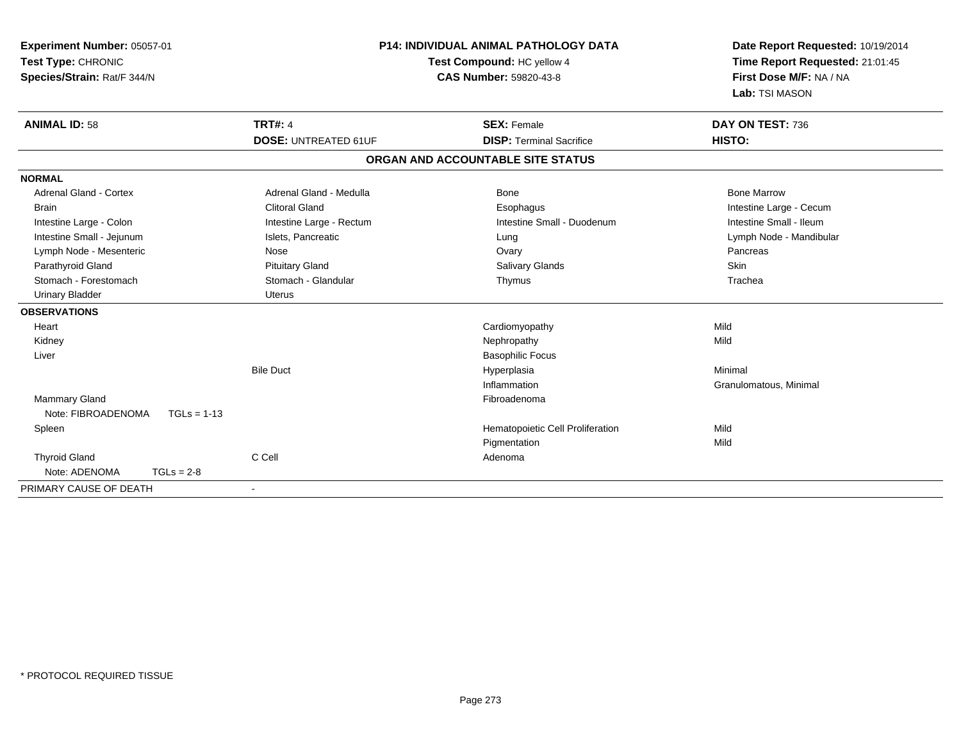| Experiment Number: 05057-01<br>Test Type: CHRONIC<br>Species/Strain: Rat/F 344/N |                             | <b>P14: INDIVIDUAL ANIMAL PATHOLOGY DATA</b><br>Test Compound: HC yellow 4<br><b>CAS Number: 59820-43-8</b> |                                   | Date Report Requested: 10/19/2014<br>Time Report Requested: 21:01:45<br>First Dose M/F: NA / NA<br>Lab: TSI MASON |
|----------------------------------------------------------------------------------|-----------------------------|-------------------------------------------------------------------------------------------------------------|-----------------------------------|-------------------------------------------------------------------------------------------------------------------|
| <b>ANIMAL ID: 58</b>                                                             | <b>TRT#: 4</b>              |                                                                                                             | <b>SEX: Female</b>                | DAY ON TEST: 736                                                                                                  |
|                                                                                  | <b>DOSE: UNTREATED 61UF</b> |                                                                                                             | <b>DISP: Terminal Sacrifice</b>   | HISTO:                                                                                                            |
|                                                                                  |                             |                                                                                                             | ORGAN AND ACCOUNTABLE SITE STATUS |                                                                                                                   |
| <b>NORMAL</b>                                                                    |                             |                                                                                                             |                                   |                                                                                                                   |
| <b>Adrenal Gland - Cortex</b>                                                    | Adrenal Gland - Medulla     |                                                                                                             | Bone                              | <b>Bone Marrow</b>                                                                                                |
| <b>Brain</b>                                                                     | <b>Clitoral Gland</b>       |                                                                                                             | Esophagus                         | Intestine Large - Cecum                                                                                           |
| Intestine Large - Colon                                                          | Intestine Large - Rectum    |                                                                                                             | Intestine Small - Duodenum        | Intestine Small - Ileum                                                                                           |
| Intestine Small - Jejunum                                                        | Islets, Pancreatic          |                                                                                                             | Lung                              | Lymph Node - Mandibular                                                                                           |
| Lymph Node - Mesenteric                                                          | Nose                        |                                                                                                             | Ovary                             | Pancreas                                                                                                          |
| Parathyroid Gland                                                                | <b>Pituitary Gland</b>      |                                                                                                             | <b>Salivary Glands</b>            | Skin                                                                                                              |
| Stomach - Forestomach                                                            | Stomach - Glandular         |                                                                                                             | Thymus                            | Trachea                                                                                                           |
| <b>Urinary Bladder</b>                                                           | <b>Uterus</b>               |                                                                                                             |                                   |                                                                                                                   |
| <b>OBSERVATIONS</b>                                                              |                             |                                                                                                             |                                   |                                                                                                                   |
| Heart                                                                            |                             |                                                                                                             | Cardiomyopathy                    | Mild                                                                                                              |
| Kidney                                                                           |                             |                                                                                                             | Nephropathy                       | Mild                                                                                                              |
| Liver                                                                            |                             |                                                                                                             | <b>Basophilic Focus</b>           |                                                                                                                   |
|                                                                                  | <b>Bile Duct</b>            |                                                                                                             | Hyperplasia                       | Minimal                                                                                                           |
|                                                                                  |                             |                                                                                                             | Inflammation                      | Granulomatous, Minimal                                                                                            |
| <b>Mammary Gland</b>                                                             |                             |                                                                                                             | Fibroadenoma                      |                                                                                                                   |
| Note: FIBROADENOMA                                                               | $TGLs = 1-13$               |                                                                                                             |                                   |                                                                                                                   |
| Spleen                                                                           |                             |                                                                                                             | Hematopoietic Cell Proliferation  | Mild                                                                                                              |
|                                                                                  |                             |                                                                                                             | Pigmentation                      | Mild                                                                                                              |
| <b>Thyroid Gland</b>                                                             | C Cell                      |                                                                                                             | Adenoma                           |                                                                                                                   |
| Note: ADENOMA                                                                    | $TGLs = 2-8$                |                                                                                                             |                                   |                                                                                                                   |
| PRIMARY CAUSE OF DEATH                                                           |                             |                                                                                                             |                                   |                                                                                                                   |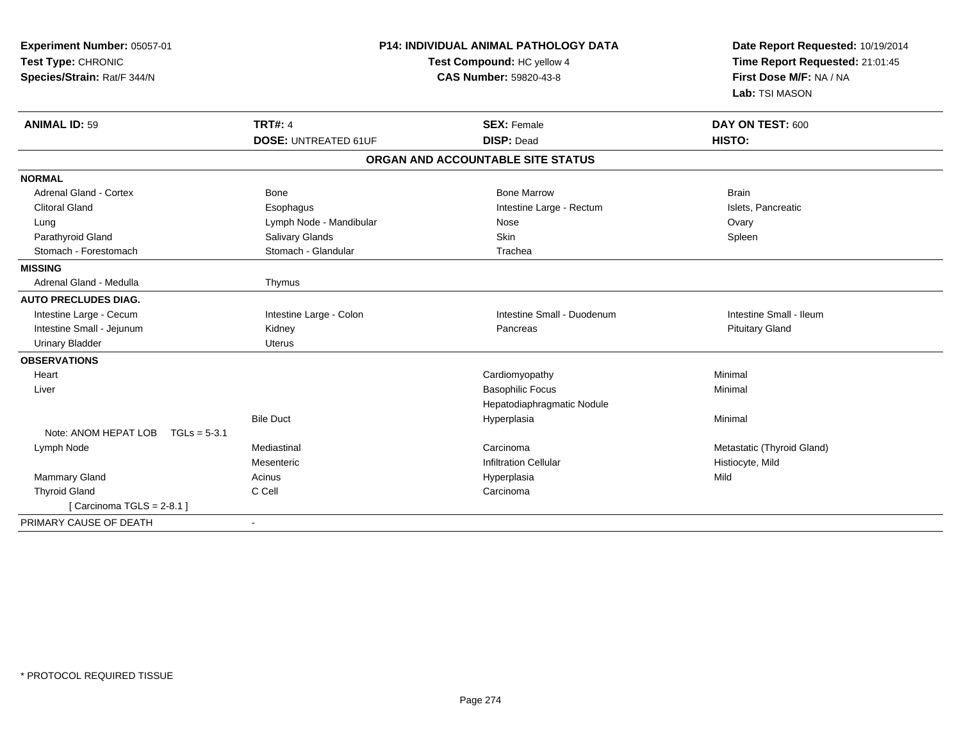| Experiment Number: 05057-01<br>Test Type: CHRONIC<br>Species/Strain: Rat/F 344/N | <b>P14: INDIVIDUAL ANIMAL PATHOLOGY DATA</b><br>Test Compound: HC yellow 4<br>CAS Number: 59820-43-8 |                                                       | Date Report Requested: 10/19/2014<br>Time Report Requested: 21:01:45<br>First Dose M/F: NA / NA<br>Lab: TSI MASON |  |
|----------------------------------------------------------------------------------|------------------------------------------------------------------------------------------------------|-------------------------------------------------------|-------------------------------------------------------------------------------------------------------------------|--|
| <b>ANIMAL ID: 59</b>                                                             | <b>TRT#: 4</b><br><b>DOSE: UNTREATED 61UF</b>                                                        | <b>SEX: Female</b><br><b>DISP: Dead</b>               | DAY ON TEST: 600<br><b>HISTO:</b>                                                                                 |  |
|                                                                                  |                                                                                                      | ORGAN AND ACCOUNTABLE SITE STATUS                     |                                                                                                                   |  |
| <b>NORMAL</b>                                                                    |                                                                                                      |                                                       |                                                                                                                   |  |
| <b>Adrenal Gland - Cortex</b>                                                    | <b>Bone</b>                                                                                          | <b>Bone Marrow</b>                                    | <b>Brain</b>                                                                                                      |  |
| <b>Clitoral Gland</b>                                                            | Esophagus                                                                                            | Intestine Large - Rectum                              | Islets, Pancreatic                                                                                                |  |
| Lung                                                                             | Lymph Node - Mandibular                                                                              | Nose                                                  | Ovary                                                                                                             |  |
| Parathyroid Gland                                                                | Salivary Glands                                                                                      | Skin                                                  | Spleen                                                                                                            |  |
| Stomach - Forestomach                                                            | Stomach - Glandular                                                                                  | Trachea                                               |                                                                                                                   |  |
| <b>MISSING</b>                                                                   |                                                                                                      |                                                       |                                                                                                                   |  |
| Adrenal Gland - Medulla                                                          | Thymus                                                                                               |                                                       |                                                                                                                   |  |
| <b>AUTO PRECLUDES DIAG.</b>                                                      |                                                                                                      |                                                       |                                                                                                                   |  |
| Intestine Large - Cecum                                                          | Intestine Large - Colon                                                                              | Intestine Small - Duodenum                            | Intestine Small - Ileum                                                                                           |  |
| Intestine Small - Jejunum                                                        | Kidney                                                                                               | Pancreas                                              | <b>Pituitary Gland</b>                                                                                            |  |
| <b>Urinary Bladder</b>                                                           | <b>Uterus</b>                                                                                        |                                                       |                                                                                                                   |  |
| <b>OBSERVATIONS</b>                                                              |                                                                                                      |                                                       |                                                                                                                   |  |
| Heart                                                                            |                                                                                                      | Cardiomyopathy                                        | Minimal                                                                                                           |  |
| Liver                                                                            |                                                                                                      | <b>Basophilic Focus</b><br>Hepatodiaphragmatic Nodule | Minimal                                                                                                           |  |
|                                                                                  | <b>Bile Duct</b>                                                                                     | Hyperplasia                                           | Minimal                                                                                                           |  |
| Note: ANOM HEPAT LOB<br>$TGLs = 5-3.1$                                           |                                                                                                      |                                                       |                                                                                                                   |  |
| Lymph Node                                                                       | Mediastinal                                                                                          | Carcinoma                                             | Metastatic (Thyroid Gland)                                                                                        |  |
|                                                                                  | Mesenteric                                                                                           | <b>Infiltration Cellular</b>                          | Histiocyte, Mild                                                                                                  |  |
| Mammary Gland                                                                    | Acinus                                                                                               | Hyperplasia                                           | Mild                                                                                                              |  |
| <b>Thyroid Gland</b>                                                             | C Cell                                                                                               | Carcinoma                                             |                                                                                                                   |  |
| [Carcinoma TGLS = $2-8.1$ ]                                                      |                                                                                                      |                                                       |                                                                                                                   |  |
| PRIMARY CAUSE OF DEATH                                                           | $\blacksquare$                                                                                       |                                                       |                                                                                                                   |  |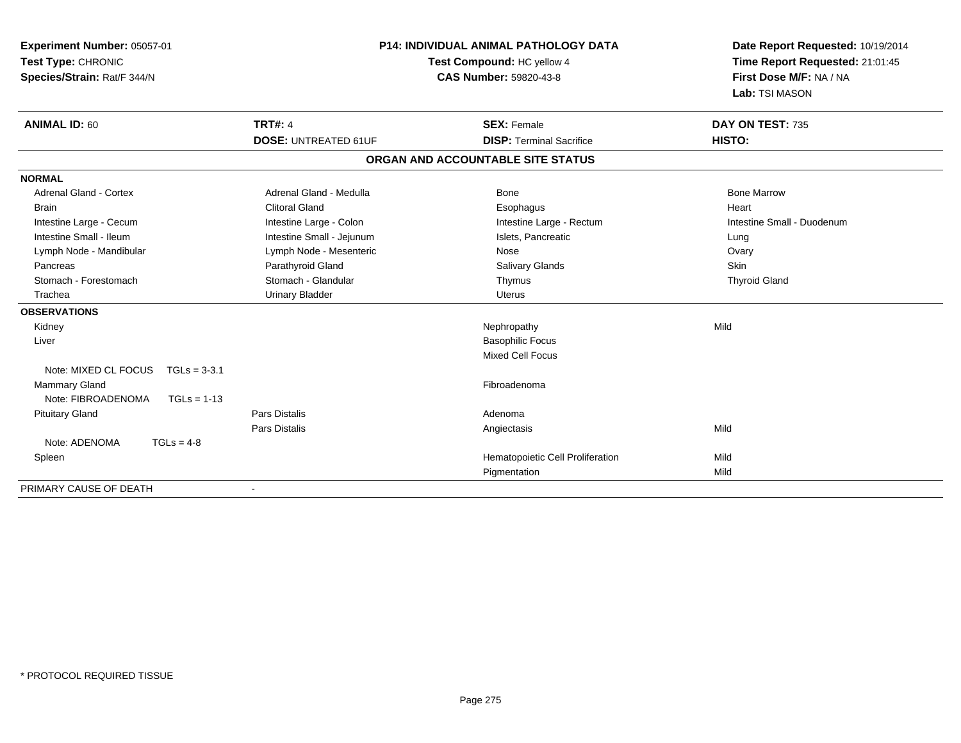| Experiment Number: 05057-01<br>Test Type: CHRONIC<br>Species/Strain: Rat/F 344/N | <b>P14: INDIVIDUAL ANIMAL PATHOLOGY DATA</b><br>Test Compound: HC yellow 4<br><b>CAS Number: 59820-43-8</b> |                                   | Date Report Requested: 10/19/2014<br>Time Report Requested: 21:01:45<br>First Dose M/F: NA / NA<br>Lab: TSI MASON |  |
|----------------------------------------------------------------------------------|-------------------------------------------------------------------------------------------------------------|-----------------------------------|-------------------------------------------------------------------------------------------------------------------|--|
| <b>ANIMAL ID: 60</b>                                                             | <b>TRT#: 4</b>                                                                                              | <b>SEX: Female</b>                | DAY ON TEST: 735                                                                                                  |  |
|                                                                                  | <b>DOSE: UNTREATED 61UF</b>                                                                                 | <b>DISP: Terminal Sacrifice</b>   | HISTO:                                                                                                            |  |
|                                                                                  |                                                                                                             | ORGAN AND ACCOUNTABLE SITE STATUS |                                                                                                                   |  |
| <b>NORMAL</b>                                                                    |                                                                                                             |                                   |                                                                                                                   |  |
| <b>Adrenal Gland - Cortex</b>                                                    | Adrenal Gland - Medulla                                                                                     | <b>Bone</b>                       | <b>Bone Marrow</b>                                                                                                |  |
| <b>Brain</b>                                                                     | <b>Clitoral Gland</b>                                                                                       | Esophagus                         | Heart                                                                                                             |  |
| Intestine Large - Cecum                                                          | Intestine Large - Colon                                                                                     | Intestine Large - Rectum          | Intestine Small - Duodenum                                                                                        |  |
| Intestine Small - Ileum                                                          | Intestine Small - Jejunum                                                                                   | Islets, Pancreatic                | Lung                                                                                                              |  |
| Lymph Node - Mandibular                                                          | Lymph Node - Mesenteric                                                                                     | Nose                              | Ovary                                                                                                             |  |
| Pancreas                                                                         | Parathyroid Gland                                                                                           | <b>Salivary Glands</b>            | Skin                                                                                                              |  |
| Stomach - Forestomach                                                            | Stomach - Glandular                                                                                         | Thymus                            | <b>Thyroid Gland</b>                                                                                              |  |
| Trachea                                                                          | <b>Urinary Bladder</b>                                                                                      | <b>Uterus</b>                     |                                                                                                                   |  |
| <b>OBSERVATIONS</b>                                                              |                                                                                                             |                                   |                                                                                                                   |  |
| Kidney                                                                           |                                                                                                             | Nephropathy                       | Mild                                                                                                              |  |
| Liver                                                                            |                                                                                                             | <b>Basophilic Focus</b>           |                                                                                                                   |  |
|                                                                                  |                                                                                                             | <b>Mixed Cell Focus</b>           |                                                                                                                   |  |
| Note: MIXED CL FOCUS<br>$TGLs = 3-3.1$                                           |                                                                                                             |                                   |                                                                                                                   |  |
| Mammary Gland                                                                    |                                                                                                             | Fibroadenoma                      |                                                                                                                   |  |
| Note: FIBROADENOMA<br>$TGLs = 1-13$                                              |                                                                                                             |                                   |                                                                                                                   |  |
| <b>Pituitary Gland</b>                                                           | <b>Pars Distalis</b>                                                                                        | Adenoma                           |                                                                                                                   |  |
|                                                                                  | Pars Distalis                                                                                               | Angiectasis                       | Mild                                                                                                              |  |
| Note: ADENOMA<br>$TGLs = 4-8$                                                    |                                                                                                             |                                   |                                                                                                                   |  |
| Spleen                                                                           |                                                                                                             | Hematopoietic Cell Proliferation  | Mild                                                                                                              |  |
|                                                                                  |                                                                                                             | Pigmentation                      | Mild                                                                                                              |  |
| PRIMARY CAUSE OF DEATH                                                           |                                                                                                             |                                   |                                                                                                                   |  |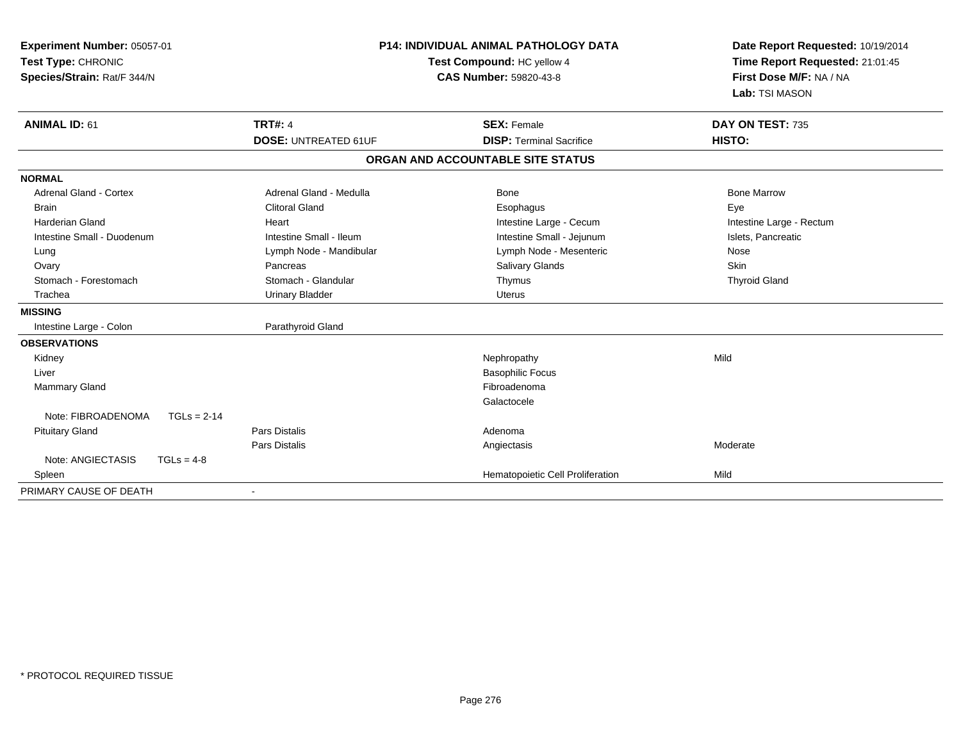| Experiment Number: 05057-01<br>Test Type: CHRONIC<br>Species/Strain: Rat/F 344/N<br><b>ANIMAL ID: 61</b> | <b>P14: INDIVIDUAL ANIMAL PATHOLOGY DATA</b><br>Test Compound: HC yellow 4<br><b>CAS Number: 59820-43-8</b><br><b>TRT#: 4</b><br><b>SEX: Female</b> |                                   | Date Report Requested: 10/19/2014<br>Time Report Requested: 21:01:45<br>First Dose M/F: NA / NA<br>Lab: TSI MASON<br>DAY ON TEST: 735 |  |
|----------------------------------------------------------------------------------------------------------|-----------------------------------------------------------------------------------------------------------------------------------------------------|-----------------------------------|---------------------------------------------------------------------------------------------------------------------------------------|--|
|                                                                                                          | <b>DOSE: UNTREATED 61UF</b>                                                                                                                         | <b>DISP: Terminal Sacrifice</b>   | HISTO:                                                                                                                                |  |
|                                                                                                          |                                                                                                                                                     | ORGAN AND ACCOUNTABLE SITE STATUS |                                                                                                                                       |  |
| <b>NORMAL</b>                                                                                            |                                                                                                                                                     |                                   |                                                                                                                                       |  |
| Adrenal Gland - Cortex                                                                                   | Adrenal Gland - Medulla                                                                                                                             | Bone                              | <b>Bone Marrow</b>                                                                                                                    |  |
| <b>Brain</b>                                                                                             | <b>Clitoral Gland</b>                                                                                                                               | Esophagus                         | Eye                                                                                                                                   |  |
| Harderian Gland                                                                                          | Heart                                                                                                                                               | Intestine Large - Cecum           | Intestine Large - Rectum                                                                                                              |  |
| Intestine Small - Duodenum                                                                               | Intestine Small - Ileum                                                                                                                             | Intestine Small - Jejunum         | Islets, Pancreatic                                                                                                                    |  |
| Lung                                                                                                     | Lymph Node - Mandibular                                                                                                                             | Lymph Node - Mesenteric           | Nose                                                                                                                                  |  |
| Ovary                                                                                                    | Pancreas                                                                                                                                            | <b>Salivary Glands</b>            | Skin                                                                                                                                  |  |
| Stomach - Forestomach                                                                                    | Stomach - Glandular                                                                                                                                 | Thymus                            | <b>Thyroid Gland</b>                                                                                                                  |  |
| Trachea                                                                                                  | <b>Urinary Bladder</b>                                                                                                                              | <b>Uterus</b>                     |                                                                                                                                       |  |
| <b>MISSING</b>                                                                                           |                                                                                                                                                     |                                   |                                                                                                                                       |  |
| Intestine Large - Colon                                                                                  | Parathyroid Gland                                                                                                                                   |                                   |                                                                                                                                       |  |
| <b>OBSERVATIONS</b>                                                                                      |                                                                                                                                                     |                                   |                                                                                                                                       |  |
| Kidney                                                                                                   |                                                                                                                                                     | Nephropathy                       | Mild                                                                                                                                  |  |
| Liver                                                                                                    |                                                                                                                                                     | <b>Basophilic Focus</b>           |                                                                                                                                       |  |
| <b>Mammary Gland</b>                                                                                     |                                                                                                                                                     | Fibroadenoma                      |                                                                                                                                       |  |
|                                                                                                          |                                                                                                                                                     | Galactocele                       |                                                                                                                                       |  |
| Note: FIBROADENOMA<br>$TGLs = 2-14$                                                                      |                                                                                                                                                     |                                   |                                                                                                                                       |  |
| <b>Pituitary Gland</b>                                                                                   | <b>Pars Distalis</b>                                                                                                                                | Adenoma                           |                                                                                                                                       |  |
|                                                                                                          | <b>Pars Distalis</b>                                                                                                                                | Angiectasis                       | Moderate                                                                                                                              |  |
| Note: ANGIECTASIS<br>$TGLs = 4-8$                                                                        |                                                                                                                                                     |                                   |                                                                                                                                       |  |
| Spleen                                                                                                   |                                                                                                                                                     | Hematopoietic Cell Proliferation  | Mild                                                                                                                                  |  |
| PRIMARY CAUSE OF DEATH                                                                                   |                                                                                                                                                     |                                   |                                                                                                                                       |  |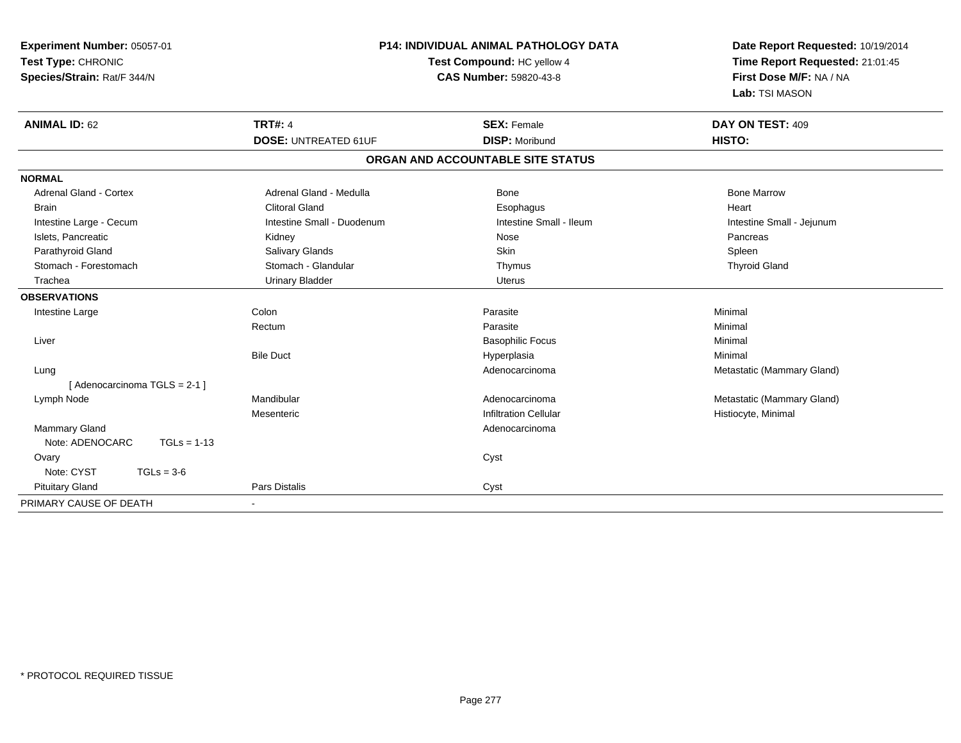| Experiment Number: 05057-01<br>Test Type: CHRONIC<br>Species/Strain: Rat/F 344/N | P14: INDIVIDUAL ANIMAL PATHOLOGY DATA<br>Test Compound: HC yellow 4<br><b>CAS Number: 59820-43-8</b> |                                   | Date Report Requested: 10/19/2014<br>Time Report Requested: 21:01:45<br>First Dose M/F: NA / NA<br>Lab: TSI MASON |  |
|----------------------------------------------------------------------------------|------------------------------------------------------------------------------------------------------|-----------------------------------|-------------------------------------------------------------------------------------------------------------------|--|
| <b>ANIMAL ID: 62</b>                                                             | <b>TRT#: 4</b>                                                                                       | <b>SEX: Female</b>                | DAY ON TEST: 409                                                                                                  |  |
|                                                                                  | <b>DOSE: UNTREATED 61UF</b>                                                                          | <b>DISP: Moribund</b>             | HISTO:                                                                                                            |  |
|                                                                                  |                                                                                                      | ORGAN AND ACCOUNTABLE SITE STATUS |                                                                                                                   |  |
| <b>NORMAL</b>                                                                    |                                                                                                      |                                   |                                                                                                                   |  |
| Adrenal Gland - Cortex                                                           | Adrenal Gland - Medulla                                                                              | <b>Bone</b>                       | <b>Bone Marrow</b>                                                                                                |  |
| <b>Brain</b>                                                                     | <b>Clitoral Gland</b>                                                                                | Esophagus                         | Heart                                                                                                             |  |
| Intestine Large - Cecum                                                          | Intestine Small - Duodenum                                                                           | Intestine Small - Ileum           | Intestine Small - Jejunum                                                                                         |  |
| Islets, Pancreatic                                                               | Kidney                                                                                               | Nose                              | Pancreas                                                                                                          |  |
| Parathyroid Gland                                                                | <b>Salivary Glands</b>                                                                               | Skin                              | Spleen                                                                                                            |  |
| Stomach - Forestomach                                                            | Stomach - Glandular                                                                                  | Thymus                            | <b>Thyroid Gland</b>                                                                                              |  |
| Trachea                                                                          | <b>Urinary Bladder</b>                                                                               | <b>Uterus</b>                     |                                                                                                                   |  |
| <b>OBSERVATIONS</b>                                                              |                                                                                                      |                                   |                                                                                                                   |  |
| Intestine Large                                                                  | Colon                                                                                                | Parasite                          | Minimal                                                                                                           |  |
|                                                                                  | Rectum                                                                                               | Parasite                          | Minimal                                                                                                           |  |
| Liver                                                                            |                                                                                                      | <b>Basophilic Focus</b>           | Minimal                                                                                                           |  |
|                                                                                  | <b>Bile Duct</b>                                                                                     | Hyperplasia                       | Minimal                                                                                                           |  |
| Lung                                                                             |                                                                                                      | Adenocarcinoma                    | Metastatic (Mammary Gland)                                                                                        |  |
| [ Adenocarcinoma TGLS = 2-1 ]                                                    |                                                                                                      |                                   |                                                                                                                   |  |
| Lymph Node                                                                       | Mandibular                                                                                           | Adenocarcinoma                    | Metastatic (Mammary Gland)                                                                                        |  |
|                                                                                  | Mesenteric                                                                                           | <b>Infiltration Cellular</b>      | Histiocyte, Minimal                                                                                               |  |
| Mammary Gland                                                                    |                                                                                                      | Adenocarcinoma                    |                                                                                                                   |  |
| Note: ADENOCARC<br>$TGLs = 1-13$                                                 |                                                                                                      |                                   |                                                                                                                   |  |
| Ovary                                                                            |                                                                                                      | Cyst                              |                                                                                                                   |  |
| Note: CYST<br>$TGLs = 3-6$                                                       |                                                                                                      |                                   |                                                                                                                   |  |
| <b>Pituitary Gland</b>                                                           | <b>Pars Distalis</b>                                                                                 | Cyst                              |                                                                                                                   |  |
| PRIMARY CAUSE OF DEATH                                                           | $\blacksquare$                                                                                       |                                   |                                                                                                                   |  |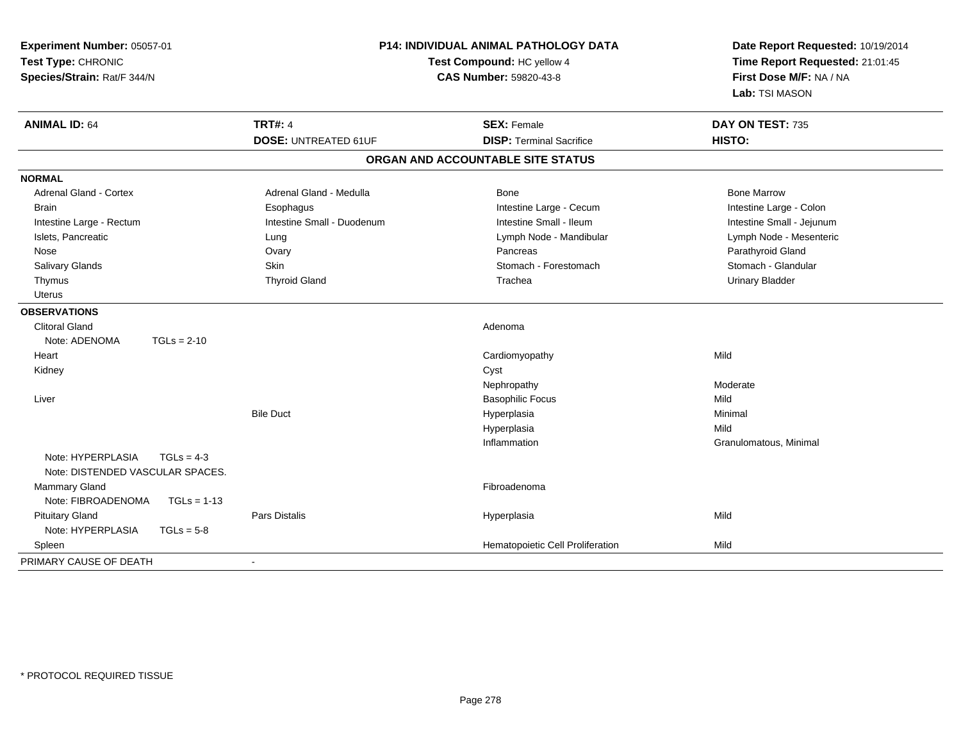| Experiment Number: 05057-01<br>Test Type: CHRONIC<br>Species/Strain: Rat/F 344/N |                             | P14: INDIVIDUAL ANIMAL PATHOLOGY DATA<br>Test Compound: HC yellow 4<br>CAS Number: 59820-43-8 | Date Report Requested: 10/19/2014<br>Time Report Requested: 21:01:45<br>First Dose M/F: NA / NA<br>Lab: TSI MASON |  |
|----------------------------------------------------------------------------------|-----------------------------|-----------------------------------------------------------------------------------------------|-------------------------------------------------------------------------------------------------------------------|--|
| <b>ANIMAL ID: 64</b>                                                             | <b>TRT#: 4</b>              | <b>SEX: Female</b>                                                                            | DAY ON TEST: 735                                                                                                  |  |
|                                                                                  | <b>DOSE: UNTREATED 61UF</b> | <b>DISP: Terminal Sacrifice</b>                                                               | HISTO:                                                                                                            |  |
|                                                                                  |                             | ORGAN AND ACCOUNTABLE SITE STATUS                                                             |                                                                                                                   |  |
| <b>NORMAL</b>                                                                    |                             |                                                                                               |                                                                                                                   |  |
| Adrenal Gland - Cortex                                                           | Adrenal Gland - Medulla     | Bone                                                                                          | <b>Bone Marrow</b>                                                                                                |  |
| <b>Brain</b>                                                                     | Esophagus                   | Intestine Large - Cecum                                                                       | Intestine Large - Colon                                                                                           |  |
| Intestine Large - Rectum                                                         | Intestine Small - Duodenum  | Intestine Small - Ileum                                                                       | Intestine Small - Jejunum                                                                                         |  |
| Islets, Pancreatic                                                               | Lung                        | Lymph Node - Mandibular                                                                       | Lymph Node - Mesenteric                                                                                           |  |
| Nose                                                                             | Ovary                       | Pancreas                                                                                      | Parathyroid Gland                                                                                                 |  |
| <b>Salivary Glands</b>                                                           | Skin                        | Stomach - Forestomach                                                                         | Stomach - Glandular                                                                                               |  |
| Thymus                                                                           | <b>Thyroid Gland</b>        | Trachea                                                                                       | <b>Urinary Bladder</b>                                                                                            |  |
| <b>Uterus</b>                                                                    |                             |                                                                                               |                                                                                                                   |  |
| <b>OBSERVATIONS</b>                                                              |                             |                                                                                               |                                                                                                                   |  |
| <b>Clitoral Gland</b>                                                            |                             | Adenoma                                                                                       |                                                                                                                   |  |
| Note: ADENOMA<br>$TGLs = 2-10$                                                   |                             |                                                                                               |                                                                                                                   |  |
| Heart                                                                            |                             | Cardiomyopathy                                                                                | Mild                                                                                                              |  |
| Kidney                                                                           |                             | Cyst                                                                                          |                                                                                                                   |  |
|                                                                                  |                             | Nephropathy                                                                                   | Moderate                                                                                                          |  |
| Liver                                                                            |                             | <b>Basophilic Focus</b>                                                                       | Mild                                                                                                              |  |
|                                                                                  | <b>Bile Duct</b>            | Hyperplasia                                                                                   | Minimal                                                                                                           |  |
|                                                                                  |                             | Hyperplasia                                                                                   | Mild                                                                                                              |  |
|                                                                                  |                             | Inflammation                                                                                  | Granulomatous, Minimal                                                                                            |  |
| Note: HYPERPLASIA<br>$TGLs = 4-3$<br>Note: DISTENDED VASCULAR SPACES.            |                             |                                                                                               |                                                                                                                   |  |
| Mammary Gland                                                                    |                             | Fibroadenoma                                                                                  |                                                                                                                   |  |
| Note: FIBROADENOMA<br>$TGLs = 1-13$                                              |                             |                                                                                               |                                                                                                                   |  |
| <b>Pituitary Gland</b>                                                           | Pars Distalis               | Hyperplasia                                                                                   | Mild                                                                                                              |  |
| Note: HYPERPLASIA<br>$TGLs = 5-8$                                                |                             |                                                                                               |                                                                                                                   |  |
| Spleen                                                                           |                             | Hematopoietic Cell Proliferation                                                              | Mild                                                                                                              |  |
| PRIMARY CAUSE OF DEATH                                                           | $\blacksquare$              |                                                                                               |                                                                                                                   |  |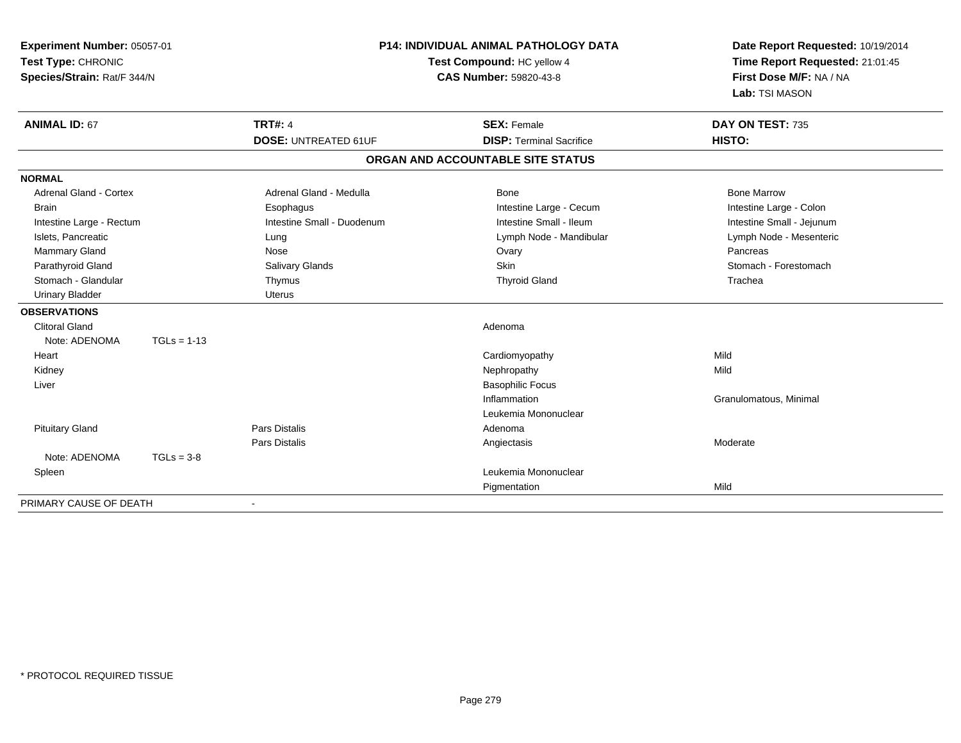| Experiment Number: 05057-01<br>Test Type: CHRONIC<br>Species/Strain: Rat/F 344/N |               | <b>P14: INDIVIDUAL ANIMAL PATHOLOGY DATA</b><br>Test Compound: HC yellow 4<br><b>CAS Number: 59820-43-8</b> |                                   | Date Report Requested: 10/19/2014<br>Time Report Requested: 21:01:45<br>First Dose M/F: NA / NA<br>Lab: TSI MASON |  |
|----------------------------------------------------------------------------------|---------------|-------------------------------------------------------------------------------------------------------------|-----------------------------------|-------------------------------------------------------------------------------------------------------------------|--|
| <b>ANIMAL ID: 67</b>                                                             |               | <b>TRT#: 4</b>                                                                                              | <b>SEX: Female</b>                | DAY ON TEST: 735                                                                                                  |  |
|                                                                                  |               | <b>DOSE: UNTREATED 61UF</b>                                                                                 | <b>DISP: Terminal Sacrifice</b>   | HISTO:                                                                                                            |  |
|                                                                                  |               |                                                                                                             | ORGAN AND ACCOUNTABLE SITE STATUS |                                                                                                                   |  |
| <b>NORMAL</b>                                                                    |               |                                                                                                             |                                   |                                                                                                                   |  |
| <b>Adrenal Gland - Cortex</b>                                                    |               | Adrenal Gland - Medulla                                                                                     | Bone                              | <b>Bone Marrow</b>                                                                                                |  |
| <b>Brain</b>                                                                     |               | Esophagus                                                                                                   | Intestine Large - Cecum           | Intestine Large - Colon                                                                                           |  |
| Intestine Large - Rectum                                                         |               | Intestine Small - Duodenum                                                                                  | Intestine Small - Ileum           | Intestine Small - Jejunum                                                                                         |  |
| Islets, Pancreatic                                                               |               | Lung                                                                                                        | Lymph Node - Mandibular           | Lymph Node - Mesenteric                                                                                           |  |
| <b>Mammary Gland</b>                                                             |               | Nose                                                                                                        | Ovary                             | Pancreas                                                                                                          |  |
| Parathyroid Gland                                                                |               | Salivary Glands                                                                                             | <b>Skin</b>                       | Stomach - Forestomach                                                                                             |  |
| Stomach - Glandular                                                              |               | Thymus                                                                                                      | <b>Thyroid Gland</b>              | Trachea                                                                                                           |  |
| <b>Urinary Bladder</b>                                                           |               | <b>Uterus</b>                                                                                               |                                   |                                                                                                                   |  |
| <b>OBSERVATIONS</b>                                                              |               |                                                                                                             |                                   |                                                                                                                   |  |
| <b>Clitoral Gland</b>                                                            |               |                                                                                                             | Adenoma                           |                                                                                                                   |  |
| Note: ADENOMA                                                                    | $TGLs = 1-13$ |                                                                                                             |                                   |                                                                                                                   |  |
| Heart                                                                            |               |                                                                                                             | Cardiomyopathy                    | Mild                                                                                                              |  |
| Kidney                                                                           |               |                                                                                                             | Nephropathy                       | Mild                                                                                                              |  |
| Liver                                                                            |               |                                                                                                             | <b>Basophilic Focus</b>           |                                                                                                                   |  |
|                                                                                  |               |                                                                                                             | Inflammation                      | Granulomatous, Minimal                                                                                            |  |
|                                                                                  |               |                                                                                                             | Leukemia Mononuclear              |                                                                                                                   |  |
| <b>Pituitary Gland</b>                                                           |               | <b>Pars Distalis</b>                                                                                        | Adenoma                           |                                                                                                                   |  |
|                                                                                  |               | <b>Pars Distalis</b>                                                                                        | Angiectasis                       | Moderate                                                                                                          |  |
| Note: ADENOMA                                                                    | $TGLs = 3-8$  |                                                                                                             |                                   |                                                                                                                   |  |
| Spleen                                                                           |               |                                                                                                             | Leukemia Mononuclear              |                                                                                                                   |  |
|                                                                                  |               |                                                                                                             | Pigmentation                      | Mild                                                                                                              |  |
| PRIMARY CAUSE OF DEATH                                                           |               |                                                                                                             |                                   |                                                                                                                   |  |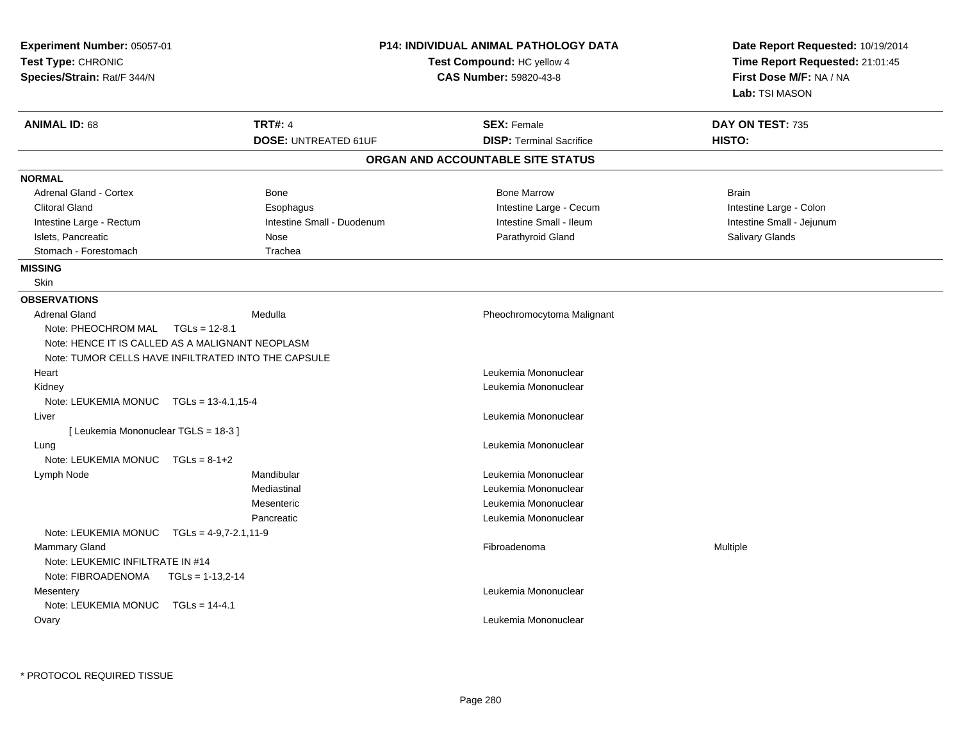| Experiment Number: 05057-01<br>Test Type: CHRONIC<br>Species/Strain: Rat/F 344/N |                             | <b>P14: INDIVIDUAL ANIMAL PATHOLOGY DATA</b><br>Test Compound: HC yellow 4<br><b>CAS Number: 59820-43-8</b> | Date Report Requested: 10/19/2014<br>Time Report Requested: 21:01:45<br>First Dose M/F: NA / NA<br>Lab: TSI MASON |  |
|----------------------------------------------------------------------------------|-----------------------------|-------------------------------------------------------------------------------------------------------------|-------------------------------------------------------------------------------------------------------------------|--|
|                                                                                  |                             |                                                                                                             |                                                                                                                   |  |
| <b>ANIMAL ID: 68</b>                                                             | <b>TRT#: 4</b>              | <b>SEX: Female</b>                                                                                          | DAY ON TEST: 735                                                                                                  |  |
|                                                                                  | <b>DOSE: UNTREATED 61UF</b> | <b>DISP: Terminal Sacrifice</b>                                                                             | HISTO:                                                                                                            |  |
|                                                                                  |                             | ORGAN AND ACCOUNTABLE SITE STATUS                                                                           |                                                                                                                   |  |
| <b>NORMAL</b>                                                                    |                             |                                                                                                             |                                                                                                                   |  |
| <b>Adrenal Gland - Cortex</b>                                                    | Bone                        | <b>Bone Marrow</b>                                                                                          | <b>Brain</b>                                                                                                      |  |
| <b>Clitoral Gland</b>                                                            | Esophagus                   | Intestine Large - Cecum                                                                                     | Intestine Large - Colon                                                                                           |  |
| Intestine Large - Rectum                                                         | Intestine Small - Duodenum  | Intestine Small - Ileum                                                                                     | Intestine Small - Jejunum                                                                                         |  |
| Islets, Pancreatic                                                               | Nose                        | Parathyroid Gland                                                                                           | <b>Salivary Glands</b>                                                                                            |  |
| Stomach - Forestomach                                                            | Trachea                     |                                                                                                             |                                                                                                                   |  |
| <b>MISSING</b>                                                                   |                             |                                                                                                             |                                                                                                                   |  |
| <b>Skin</b>                                                                      |                             |                                                                                                             |                                                                                                                   |  |
| <b>OBSERVATIONS</b>                                                              |                             |                                                                                                             |                                                                                                                   |  |
| <b>Adrenal Gland</b>                                                             | Medulla                     | Pheochromocytoma Malignant                                                                                  |                                                                                                                   |  |
| Note: PHEOCHROM MAL<br>$TGLs = 12-8.1$                                           |                             |                                                                                                             |                                                                                                                   |  |
| Note: HENCE IT IS CALLED AS A MALIGNANT NEOPLASM                                 |                             |                                                                                                             |                                                                                                                   |  |
| Note: TUMOR CELLS HAVE INFILTRATED INTO THE CAPSULE                              |                             |                                                                                                             |                                                                                                                   |  |
| Heart                                                                            |                             | Leukemia Mononuclear                                                                                        |                                                                                                                   |  |
| Kidney                                                                           |                             | Leukemia Mononuclear                                                                                        |                                                                                                                   |  |
| Note: LEUKEMIA MONUC TGLs = 13-4.1,15-4                                          |                             |                                                                                                             |                                                                                                                   |  |
| Liver                                                                            |                             | Leukemia Mononuclear                                                                                        |                                                                                                                   |  |
| [ Leukemia Mononuclear TGLS = 18-3 ]                                             |                             |                                                                                                             |                                                                                                                   |  |
| Lung                                                                             |                             | Leukemia Mononuclear                                                                                        |                                                                                                                   |  |
| Note: LEUKEMIA MONUC $TGLs = 8-1+2$                                              |                             |                                                                                                             |                                                                                                                   |  |
| Lymph Node                                                                       | Mandibular                  | Leukemia Mononuclear                                                                                        |                                                                                                                   |  |
|                                                                                  | Mediastinal                 | Leukemia Mononuclear                                                                                        |                                                                                                                   |  |
|                                                                                  | Mesenteric                  | Leukemia Mononuclear                                                                                        |                                                                                                                   |  |
|                                                                                  | Pancreatic                  | Leukemia Mononuclear                                                                                        |                                                                                                                   |  |
| Note: LEUKEMIA MONUC $TGLs = 4-9.7-2.1.11-9$                                     |                             |                                                                                                             |                                                                                                                   |  |
| Mammary Gland                                                                    |                             | Fibroadenoma                                                                                                | Multiple                                                                                                          |  |
| Note: LEUKEMIC INFILTRATE IN #14                                                 |                             |                                                                                                             |                                                                                                                   |  |
| Note: FIBROADENOMA<br>$TGLs = 1-13,2-14$                                         |                             |                                                                                                             |                                                                                                                   |  |
| Mesentery                                                                        |                             | Leukemia Mononuclear                                                                                        |                                                                                                                   |  |
| Note: LEUKEMIA MONUC TGLs = 14-4.1                                               |                             |                                                                                                             |                                                                                                                   |  |
|                                                                                  |                             |                                                                                                             |                                                                                                                   |  |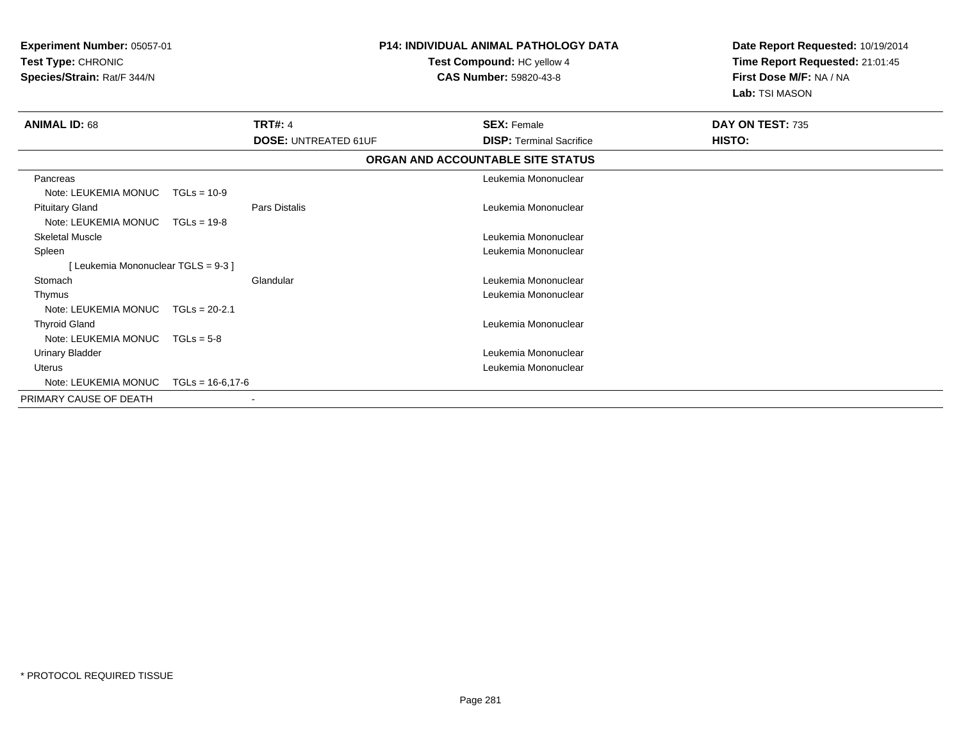| <b>P14: INDIVIDUAL ANIMAL PATHOLOGY DATA</b><br>Experiment Number: 05057-01<br>Test Type: CHRONIC<br>Test Compound: HC yellow 4<br>Species/Strain: Rat/F 344/N<br>CAS Number: 59820-43-8 |                     |                             | Date Report Requested: 10/19/2014<br>Time Report Requested: 21:01:45<br>First Dose M/F: NA / NA<br>Lab: TSI MASON |                                   |                  |  |
|------------------------------------------------------------------------------------------------------------------------------------------------------------------------------------------|---------------------|-----------------------------|-------------------------------------------------------------------------------------------------------------------|-----------------------------------|------------------|--|
| <b>ANIMAL ID: 68</b>                                                                                                                                                                     |                     | <b>TRT#: 4</b>              |                                                                                                                   | <b>SEX: Female</b>                | DAY ON TEST: 735 |  |
|                                                                                                                                                                                          |                     | <b>DOSE: UNTREATED 61UF</b> |                                                                                                                   | <b>DISP: Terminal Sacrifice</b>   | HISTO:           |  |
|                                                                                                                                                                                          |                     |                             |                                                                                                                   | ORGAN AND ACCOUNTABLE SITE STATUS |                  |  |
| Pancreas<br>Note: LEUKEMIA MONUC                                                                                                                                                         | $TGLs = 10-9$       |                             |                                                                                                                   | Leukemia Mononuclear              |                  |  |
| <b>Pituitary Gland</b><br>Note: LEUKEMIA MONUC                                                                                                                                           | $TGLs = 19-8$       | Pars Distalis               |                                                                                                                   | Leukemia Mononuclear              |                  |  |
| <b>Skeletal Muscle</b>                                                                                                                                                                   |                     |                             |                                                                                                                   | Leukemia Mononuclear              |                  |  |
| Spleen                                                                                                                                                                                   |                     |                             |                                                                                                                   | Leukemia Mononuclear              |                  |  |
| [Leukemia Mononuclear TGLS = 9-3]                                                                                                                                                        |                     |                             |                                                                                                                   |                                   |                  |  |
| Stomach                                                                                                                                                                                  |                     | Glandular                   |                                                                                                                   | Leukemia Mononuclear              |                  |  |
| Thymus                                                                                                                                                                                   |                     |                             |                                                                                                                   | Leukemia Mononuclear              |                  |  |
| Note: LEUKEMIA MONUC                                                                                                                                                                     | $TGLs = 20-2.1$     |                             |                                                                                                                   |                                   |                  |  |
| <b>Thyroid Gland</b>                                                                                                                                                                     |                     |                             |                                                                                                                   | Leukemia Mononuclear              |                  |  |
| Note: LEUKEMIA MONUC                                                                                                                                                                     | $TGLs = 5-8$        |                             |                                                                                                                   |                                   |                  |  |
| <b>Urinary Bladder</b>                                                                                                                                                                   |                     |                             |                                                                                                                   | Leukemia Mononuclear              |                  |  |
| <b>Uterus</b>                                                                                                                                                                            |                     |                             |                                                                                                                   | Leukemia Mononuclear              |                  |  |
| Note: LEUKEMIA MONUC                                                                                                                                                                     | $TGLs = 16-6, 17-6$ |                             |                                                                                                                   |                                   |                  |  |
| PRIMARY CAUSE OF DEATH                                                                                                                                                                   |                     |                             |                                                                                                                   |                                   |                  |  |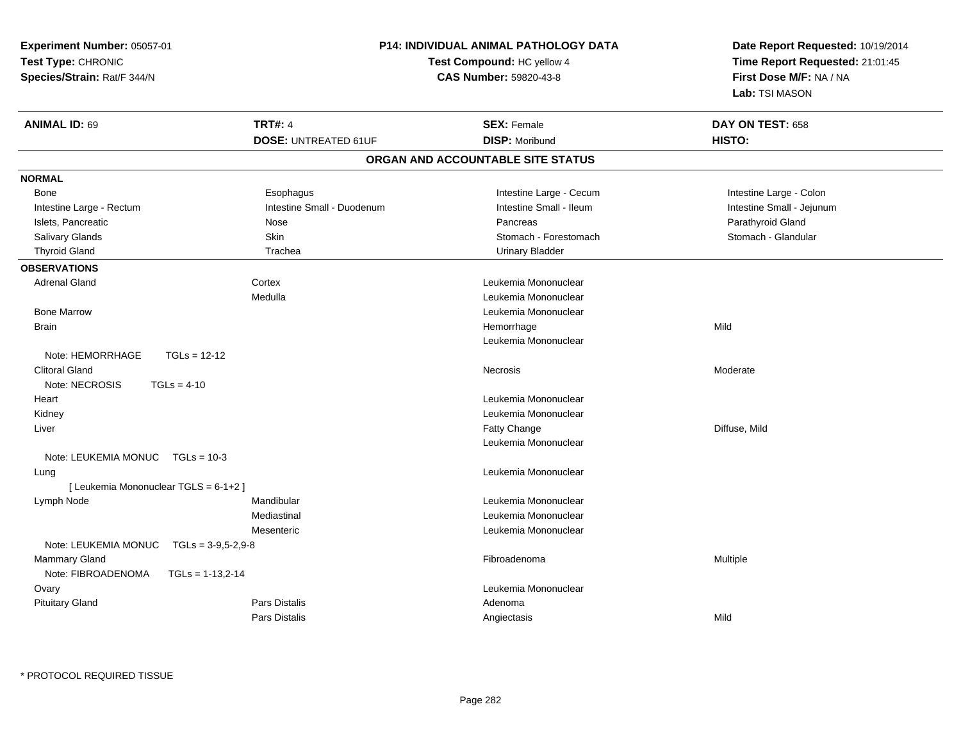| Experiment Number: 05057-01                  |                             | <b>P14: INDIVIDUAL ANIMAL PATHOLOGY DATA</b> | Date Report Requested: 10/19/2014<br>Time Report Requested: 21:01:45 |  |
|----------------------------------------------|-----------------------------|----------------------------------------------|----------------------------------------------------------------------|--|
| Test Type: CHRONIC                           |                             | Test Compound: HC yellow 4                   |                                                                      |  |
| Species/Strain: Rat/F 344/N                  |                             | CAS Number: 59820-43-8                       |                                                                      |  |
|                                              |                             |                                              | First Dose M/F: NA / NA<br>Lab: TSI MASON                            |  |
| <b>ANIMAL ID: 69</b>                         | <b>TRT#: 4</b>              | <b>SEX: Female</b>                           | DAY ON TEST: 658                                                     |  |
|                                              | <b>DOSE: UNTREATED 61UF</b> | <b>DISP: Moribund</b>                        | HISTO:                                                               |  |
|                                              |                             | ORGAN AND ACCOUNTABLE SITE STATUS            |                                                                      |  |
| <b>NORMAL</b>                                |                             |                                              |                                                                      |  |
| Bone                                         | Esophagus                   | Intestine Large - Cecum                      | Intestine Large - Colon                                              |  |
| Intestine Large - Rectum                     | Intestine Small - Duodenum  | Intestine Small - Ileum                      | Intestine Small - Jejunum                                            |  |
| Islets, Pancreatic                           | Nose                        | Pancreas                                     | Parathyroid Gland                                                    |  |
| Salivary Glands                              | Skin                        | Stomach - Forestomach                        | Stomach - Glandular                                                  |  |
| <b>Thyroid Gland</b>                         | Trachea                     | <b>Urinary Bladder</b>                       |                                                                      |  |
| <b>OBSERVATIONS</b>                          |                             |                                              |                                                                      |  |
| <b>Adrenal Gland</b>                         | Cortex                      | Leukemia Mononuclear                         |                                                                      |  |
|                                              | Medulla                     | Leukemia Mononuclear                         |                                                                      |  |
| <b>Bone Marrow</b>                           |                             | Leukemia Mononuclear                         |                                                                      |  |
| <b>Brain</b>                                 |                             | Hemorrhage                                   | Mild                                                                 |  |
|                                              |                             | Leukemia Mononuclear                         |                                                                      |  |
| Note: HEMORRHAGE<br>$TGLs = 12-12$           |                             |                                              |                                                                      |  |
| <b>Clitoral Gland</b>                        |                             | Necrosis                                     | Moderate                                                             |  |
| Note: NECROSIS<br>$TGLs = 4-10$              |                             |                                              |                                                                      |  |
| Heart                                        |                             | Leukemia Mononuclear                         |                                                                      |  |
| Kidney                                       |                             | Leukemia Mononuclear                         |                                                                      |  |
| Liver                                        |                             | Fatty Change                                 | Diffuse, Mild                                                        |  |
|                                              |                             | Leukemia Mononuclear                         |                                                                      |  |
| Note: LEUKEMIA MONUC TGLs = 10-3             |                             |                                              |                                                                      |  |
| Lung                                         |                             | Leukemia Mononuclear                         |                                                                      |  |
| [ Leukemia Mononuclear TGLS = 6-1+2 ]        |                             |                                              |                                                                      |  |
| Lymph Node                                   | Mandibular                  | Leukemia Mononuclear                         |                                                                      |  |
|                                              | Mediastinal                 | Leukemia Mononuclear                         |                                                                      |  |
|                                              | Mesenteric                  | Leukemia Mononuclear                         |                                                                      |  |
| Note: LEUKEMIA MONUC<br>$TGLs = 3-9,5-2,9-8$ |                             |                                              |                                                                      |  |
| <b>Mammary Gland</b>                         |                             | Fibroadenoma                                 | Multiple                                                             |  |
| Note: FIBROADENOMA<br>$TGLs = 1-13,2-14$     |                             |                                              |                                                                      |  |
| Ovary                                        |                             | Leukemia Mononuclear                         |                                                                      |  |
| <b>Pituitary Gland</b>                       |                             |                                              |                                                                      |  |
|                                              | Pars Distalis               | Adenoma                                      |                                                                      |  |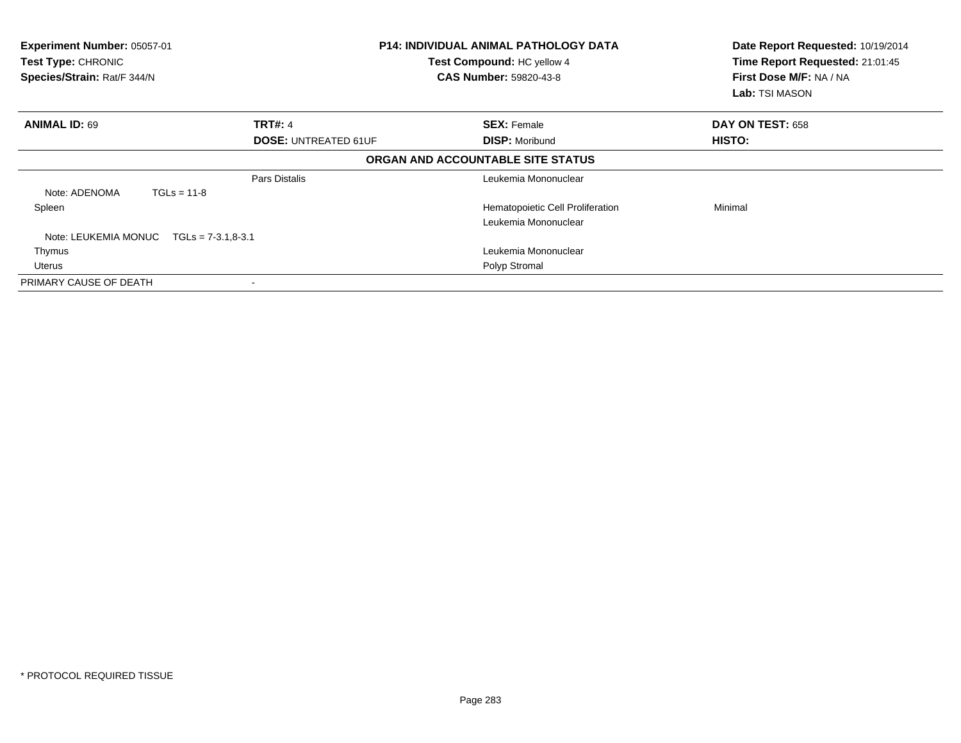| Experiment Number: 05057-01<br>Test Type: CHRONIC<br>Species/Strain: Rat/F 344/N |                             | <b>P14: INDIVIDUAL ANIMAL PATHOLOGY DATA</b><br>Test Compound: HC yellow 4<br><b>CAS Number: 59820-43-8</b> | Date Report Requested: 10/19/2014<br>Time Report Requested: 21:01:45<br>First Dose M/F: NA / NA<br>Lab: TSI MASON |
|----------------------------------------------------------------------------------|-----------------------------|-------------------------------------------------------------------------------------------------------------|-------------------------------------------------------------------------------------------------------------------|
| <b>ANIMAL ID: 69</b>                                                             | <b>TRT#: 4</b>              | <b>SEX: Female</b>                                                                                          | DAY ON TEST: 658                                                                                                  |
|                                                                                  | <b>DOSE: UNTREATED 61UF</b> | <b>DISP: Moribund</b>                                                                                       | <b>HISTO:</b>                                                                                                     |
|                                                                                  |                             | ORGAN AND ACCOUNTABLE SITE STATUS                                                                           |                                                                                                                   |
|                                                                                  | Pars Distalis               | Leukemia Mononuclear                                                                                        |                                                                                                                   |
| Note: ADENOMA<br>$TGLs = 11-8$                                                   |                             |                                                                                                             |                                                                                                                   |
| Spleen                                                                           |                             | Hematopoietic Cell Proliferation                                                                            | Minimal                                                                                                           |
|                                                                                  |                             | Leukemia Mononuclear                                                                                        |                                                                                                                   |
| Note: LEUKEMIA MONUC<br>$TGLs = 7-3.1,8-3.1$                                     |                             |                                                                                                             |                                                                                                                   |
| Thymus                                                                           |                             | Leukemia Mononuclear                                                                                        |                                                                                                                   |
| Uterus                                                                           |                             | Polyp Stromal                                                                                               |                                                                                                                   |
| PRIMARY CAUSE OF DEATH                                                           |                             |                                                                                                             |                                                                                                                   |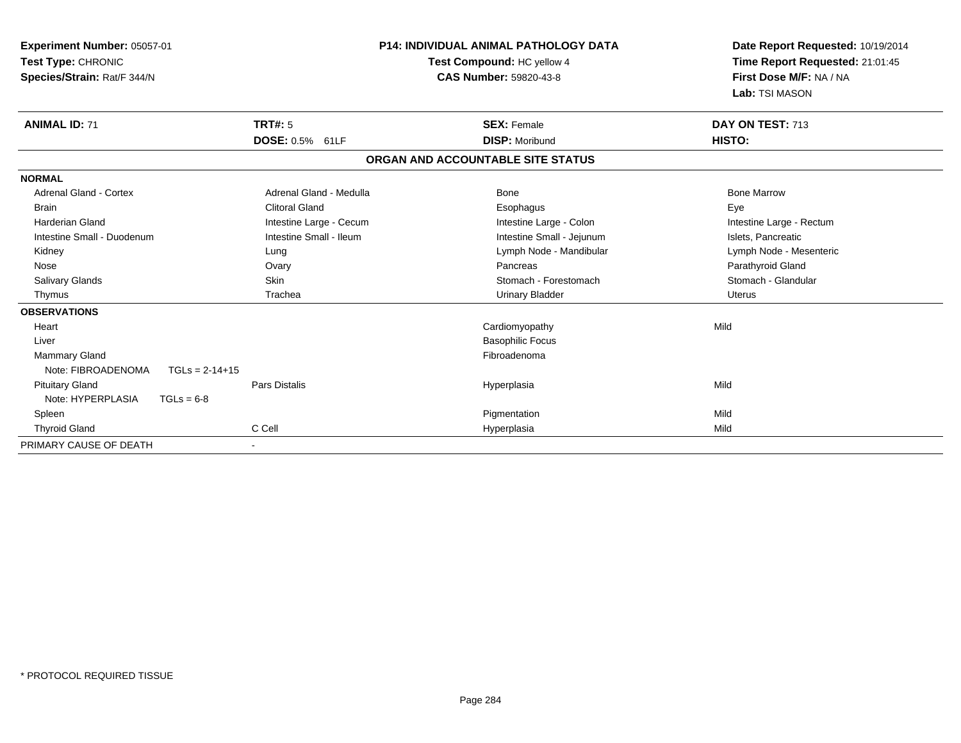| <b>Experiment Number: 05057-01</b><br>Test Type: CHRONIC<br>Species/Strain: Rat/F 344/N |                         | <b>P14: INDIVIDUAL ANIMAL PATHOLOGY DATA</b><br>Test Compound: HC yellow 4<br>CAS Number: 59820-43-8 | Date Report Requested: 10/19/2014<br>Time Report Requested: 21:01:45<br>First Dose M/F: NA / NA<br>Lab: TSI MASON |
|-----------------------------------------------------------------------------------------|-------------------------|------------------------------------------------------------------------------------------------------|-------------------------------------------------------------------------------------------------------------------|
| <b>ANIMAL ID: 71</b>                                                                    | TRT#: 5                 | <b>SEX: Female</b>                                                                                   | DAY ON TEST: 713                                                                                                  |
|                                                                                         | DOSE: 0.5% 61LF         | <b>DISP: Moribund</b>                                                                                | HISTO:                                                                                                            |
|                                                                                         |                         | ORGAN AND ACCOUNTABLE SITE STATUS                                                                    |                                                                                                                   |
| <b>NORMAL</b>                                                                           |                         |                                                                                                      |                                                                                                                   |
| <b>Adrenal Gland - Cortex</b>                                                           | Adrenal Gland - Medulla | Bone                                                                                                 | <b>Bone Marrow</b>                                                                                                |
| <b>Brain</b>                                                                            | <b>Clitoral Gland</b>   | Esophagus                                                                                            | Eye                                                                                                               |
| Harderian Gland                                                                         | Intestine Large - Cecum | Intestine Large - Colon                                                                              | Intestine Large - Rectum                                                                                          |
| Intestine Small - Duodenum                                                              | Intestine Small - Ileum | Intestine Small - Jejunum                                                                            | Islets, Pancreatic                                                                                                |
| Kidney                                                                                  | Lung                    | Lymph Node - Mandibular                                                                              | Lymph Node - Mesenteric                                                                                           |
| Nose                                                                                    | Ovary                   | Pancreas                                                                                             | Parathyroid Gland                                                                                                 |
| <b>Salivary Glands</b>                                                                  | <b>Skin</b>             | Stomach - Forestomach                                                                                | Stomach - Glandular                                                                                               |
| Thymus                                                                                  | Trachea                 | <b>Urinary Bladder</b>                                                                               | <b>Uterus</b>                                                                                                     |
| <b>OBSERVATIONS</b>                                                                     |                         |                                                                                                      |                                                                                                                   |
| Heart                                                                                   |                         | Cardiomyopathy                                                                                       | Mild                                                                                                              |
| Liver                                                                                   |                         | <b>Basophilic Focus</b>                                                                              |                                                                                                                   |
| <b>Mammary Gland</b>                                                                    |                         | Fibroadenoma                                                                                         |                                                                                                                   |
| Note: FIBROADENOMA<br>$TGLs = 2-14+15$                                                  |                         |                                                                                                      |                                                                                                                   |
| <b>Pituitary Gland</b>                                                                  | <b>Pars Distalis</b>    | Hyperplasia                                                                                          | Mild                                                                                                              |
| Note: HYPERPLASIA<br>$TGLs = 6-8$                                                       |                         |                                                                                                      |                                                                                                                   |
| Spleen                                                                                  |                         | Pigmentation                                                                                         | Mild                                                                                                              |
| <b>Thyroid Gland</b>                                                                    | C Cell                  | Hyperplasia                                                                                          | Mild                                                                                                              |
| PRIMARY CAUSE OF DEATH                                                                  | $\blacksquare$          |                                                                                                      |                                                                                                                   |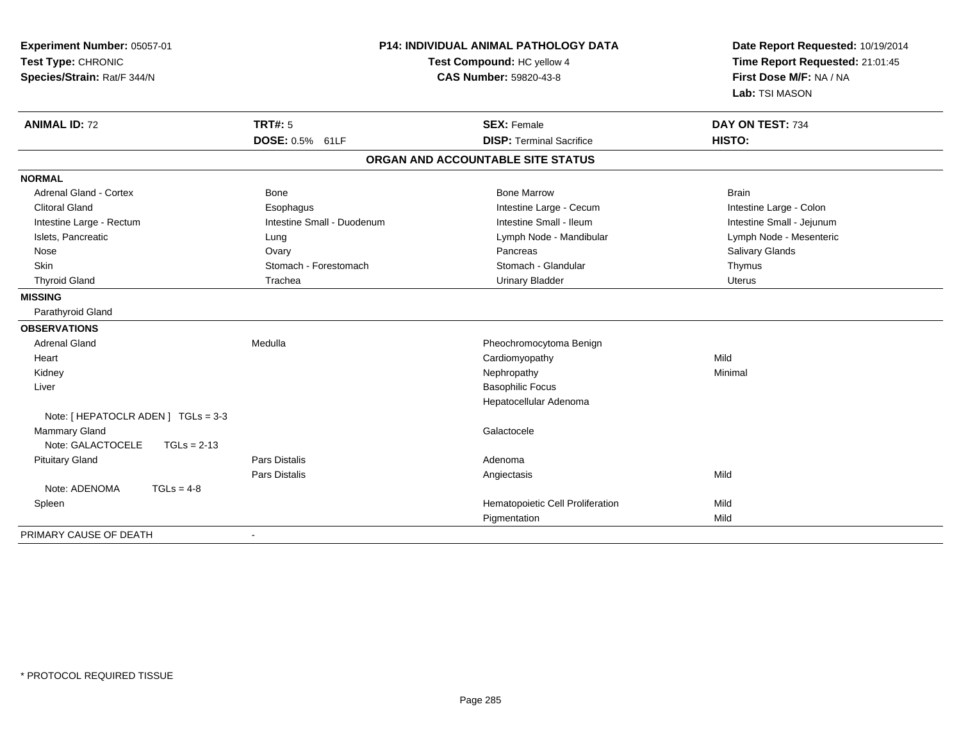| <b>P14: INDIVIDUAL ANIMAL PATHOLOGY DATA</b><br>Experiment Number: 05057-01<br>Test Type: CHRONIC<br>Test Compound: HC yellow 4<br><b>CAS Number: 59820-43-8</b><br>Species/Strain: Rat/F 344/N |                            | Date Report Requested: 10/19/2014<br>Time Report Requested: 21:01:45<br>First Dose M/F: NA / NA<br>Lab: TSI MASON |                            |
|-------------------------------------------------------------------------------------------------------------------------------------------------------------------------------------------------|----------------------------|-------------------------------------------------------------------------------------------------------------------|----------------------------|
| <b>ANIMAL ID: 72</b>                                                                                                                                                                            | <b>TRT#: 5</b>             | <b>SEX: Female</b><br><b>DISP: Terminal Sacrifice</b>                                                             | DAY ON TEST: 734<br>HISTO: |
|                                                                                                                                                                                                 | DOSE: 0.5% 61LF            |                                                                                                                   |                            |
|                                                                                                                                                                                                 |                            | ORGAN AND ACCOUNTABLE SITE STATUS                                                                                 |                            |
| <b>NORMAL</b>                                                                                                                                                                                   |                            |                                                                                                                   |                            |
| <b>Adrenal Gland - Cortex</b>                                                                                                                                                                   | <b>Bone</b>                | <b>Bone Marrow</b>                                                                                                | <b>Brain</b>               |
| <b>Clitoral Gland</b>                                                                                                                                                                           | Esophagus                  | Intestine Large - Cecum                                                                                           | Intestine Large - Colon    |
| Intestine Large - Rectum                                                                                                                                                                        | Intestine Small - Duodenum | Intestine Small - Ileum                                                                                           | Intestine Small - Jejunum  |
| Islets, Pancreatic                                                                                                                                                                              | Lung                       | Lymph Node - Mandibular                                                                                           | Lymph Node - Mesenteric    |
| Nose                                                                                                                                                                                            | Ovary                      | Pancreas                                                                                                          | Salivary Glands            |
| Skin                                                                                                                                                                                            | Stomach - Forestomach      | Stomach - Glandular                                                                                               | Thymus                     |
| <b>Thyroid Gland</b>                                                                                                                                                                            | Trachea                    | <b>Urinary Bladder</b>                                                                                            | <b>Uterus</b>              |
| <b>MISSING</b>                                                                                                                                                                                  |                            |                                                                                                                   |                            |
| Parathyroid Gland                                                                                                                                                                               |                            |                                                                                                                   |                            |
| <b>OBSERVATIONS</b>                                                                                                                                                                             |                            |                                                                                                                   |                            |
| <b>Adrenal Gland</b>                                                                                                                                                                            | Medulla                    | Pheochromocytoma Benign                                                                                           |                            |
| Heart                                                                                                                                                                                           |                            | Cardiomyopathy                                                                                                    | Mild                       |
| Kidney                                                                                                                                                                                          |                            | Nephropathy                                                                                                       | Minimal                    |
| Liver                                                                                                                                                                                           |                            | <b>Basophilic Focus</b>                                                                                           |                            |
|                                                                                                                                                                                                 |                            | Hepatocellular Adenoma                                                                                            |                            |
| Note: [ HEPATOCLR ADEN ] TGLs = 3-3                                                                                                                                                             |                            |                                                                                                                   |                            |
| <b>Mammary Gland</b>                                                                                                                                                                            |                            | Galactocele                                                                                                       |                            |
| Note: GALACTOCELE<br>$TGLs = 2-13$                                                                                                                                                              |                            |                                                                                                                   |                            |
| <b>Pituitary Gland</b>                                                                                                                                                                          | <b>Pars Distalis</b>       | Adenoma                                                                                                           |                            |
|                                                                                                                                                                                                 | <b>Pars Distalis</b>       | Angiectasis                                                                                                       | Mild                       |
| Note: ADENOMA<br>$TGLs = 4-8$                                                                                                                                                                   |                            |                                                                                                                   |                            |
| Spleen                                                                                                                                                                                          |                            | Hematopoietic Cell Proliferation                                                                                  | Mild                       |
|                                                                                                                                                                                                 |                            | Pigmentation                                                                                                      | Mild                       |
| PRIMARY CAUSE OF DEATH                                                                                                                                                                          |                            |                                                                                                                   |                            |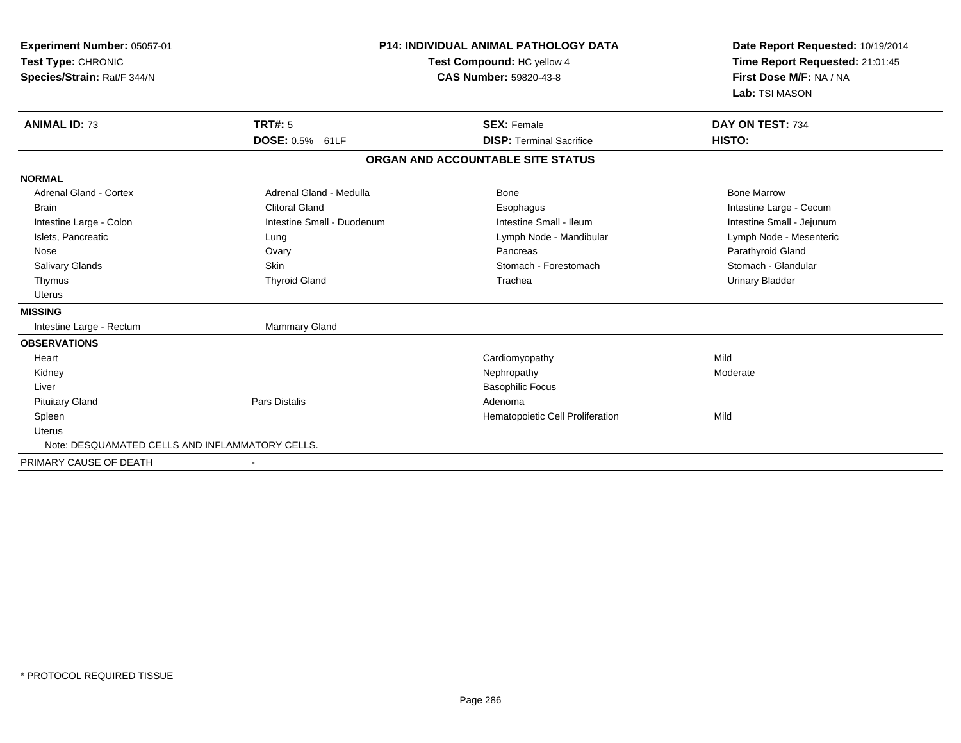| Experiment Number: 05057-01<br>Test Type: CHRONIC<br>Species/Strain: Rat/F 344/N |                            | <b>P14: INDIVIDUAL ANIMAL PATHOLOGY DATA</b><br>Test Compound: HC yellow 4<br><b>CAS Number: 59820-43-8</b> | Date Report Requested: 10/19/2014<br>Time Report Requested: 21:01:45<br>First Dose M/F: NA / NA<br>Lab: TSI MASON |  |
|----------------------------------------------------------------------------------|----------------------------|-------------------------------------------------------------------------------------------------------------|-------------------------------------------------------------------------------------------------------------------|--|
| <b>ANIMAL ID: 73</b>                                                             | <b>TRT#: 5</b>             | <b>SEX: Female</b>                                                                                          | DAY ON TEST: 734                                                                                                  |  |
|                                                                                  | DOSE: 0.5% 61LF            | <b>DISP: Terminal Sacrifice</b>                                                                             | HISTO:                                                                                                            |  |
|                                                                                  |                            | ORGAN AND ACCOUNTABLE SITE STATUS                                                                           |                                                                                                                   |  |
| <b>NORMAL</b>                                                                    |                            |                                                                                                             |                                                                                                                   |  |
| <b>Adrenal Gland - Cortex</b>                                                    | Adrenal Gland - Medulla    | Bone                                                                                                        | <b>Bone Marrow</b>                                                                                                |  |
| <b>Brain</b>                                                                     | <b>Clitoral Gland</b>      | Esophagus                                                                                                   | Intestine Large - Cecum                                                                                           |  |
| Intestine Large - Colon                                                          | Intestine Small - Duodenum | Intestine Small - Ileum                                                                                     | Intestine Small - Jejunum                                                                                         |  |
| Islets, Pancreatic                                                               | Lung                       | Lymph Node - Mandibular                                                                                     | Lymph Node - Mesenteric                                                                                           |  |
| Nose                                                                             | Ovary                      | Pancreas                                                                                                    | Parathyroid Gland                                                                                                 |  |
| <b>Salivary Glands</b>                                                           | Skin                       | Stomach - Forestomach                                                                                       | Stomach - Glandular                                                                                               |  |
| Thymus                                                                           | <b>Thyroid Gland</b>       | Trachea                                                                                                     | <b>Urinary Bladder</b>                                                                                            |  |
| Uterus                                                                           |                            |                                                                                                             |                                                                                                                   |  |
| <b>MISSING</b>                                                                   |                            |                                                                                                             |                                                                                                                   |  |
| Intestine Large - Rectum                                                         | <b>Mammary Gland</b>       |                                                                                                             |                                                                                                                   |  |
| <b>OBSERVATIONS</b>                                                              |                            |                                                                                                             |                                                                                                                   |  |
| Heart                                                                            |                            | Cardiomyopathy                                                                                              | Mild                                                                                                              |  |
| Kidney                                                                           |                            | Nephropathy                                                                                                 | Moderate                                                                                                          |  |
| Liver                                                                            |                            | <b>Basophilic Focus</b>                                                                                     |                                                                                                                   |  |
| <b>Pituitary Gland</b>                                                           | <b>Pars Distalis</b>       | Adenoma                                                                                                     |                                                                                                                   |  |
| Spleen                                                                           |                            | Hematopoietic Cell Proliferation                                                                            | Mild                                                                                                              |  |
| Uterus                                                                           |                            |                                                                                                             |                                                                                                                   |  |
| Note: DESQUAMATED CELLS AND INFLAMMATORY CELLS.                                  |                            |                                                                                                             |                                                                                                                   |  |
| PRIMARY CAUSE OF DEATH                                                           |                            |                                                                                                             |                                                                                                                   |  |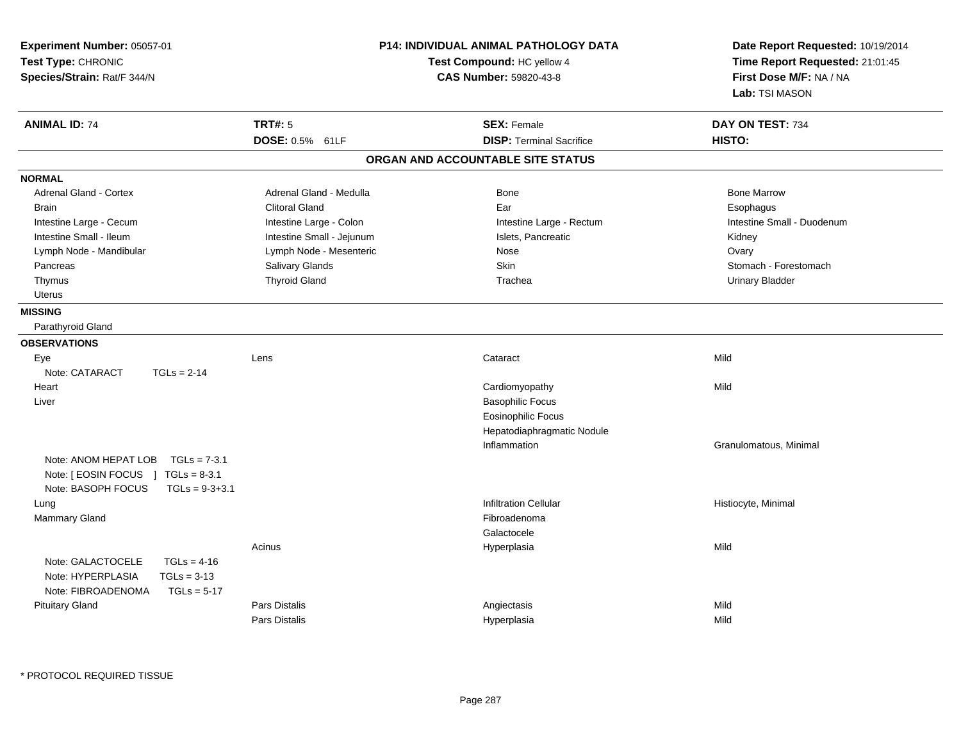| Experiment Number: 05057-01<br>Test Type: CHRONIC<br>Species/Strain: Rat/F 344/N                                    | P14: INDIVIDUAL ANIMAL PATHOLOGY DATA<br>Test Compound: HC yellow 4<br><b>CAS Number: 59820-43-8</b> |                                   | Date Report Requested: 10/19/2014<br>Time Report Requested: 21:01:45<br>First Dose M/F: NA / NA<br>Lab: TSI MASON |  |
|---------------------------------------------------------------------------------------------------------------------|------------------------------------------------------------------------------------------------------|-----------------------------------|-------------------------------------------------------------------------------------------------------------------|--|
| <b>ANIMAL ID: 74</b>                                                                                                | <b>TRT#: 5</b>                                                                                       | <b>SEX: Female</b>                | DAY ON TEST: 734                                                                                                  |  |
|                                                                                                                     | DOSE: 0.5% 61LF                                                                                      | <b>DISP: Terminal Sacrifice</b>   | HISTO:                                                                                                            |  |
|                                                                                                                     |                                                                                                      | ORGAN AND ACCOUNTABLE SITE STATUS |                                                                                                                   |  |
| <b>NORMAL</b>                                                                                                       |                                                                                                      |                                   |                                                                                                                   |  |
| Adrenal Gland - Cortex                                                                                              | Adrenal Gland - Medulla                                                                              | <b>Bone</b>                       | <b>Bone Marrow</b>                                                                                                |  |
| <b>Brain</b>                                                                                                        | <b>Clitoral Gland</b>                                                                                | Ear                               | Esophagus                                                                                                         |  |
| Intestine Large - Cecum                                                                                             | Intestine Large - Colon                                                                              | Intestine Large - Rectum          | Intestine Small - Duodenum                                                                                        |  |
| Intestine Small - Ileum                                                                                             | Intestine Small - Jejunum                                                                            | Islets, Pancreatic                | Kidney                                                                                                            |  |
| Lymph Node - Mandibular                                                                                             | Lymph Node - Mesenteric                                                                              | Nose                              | Ovary                                                                                                             |  |
| Pancreas                                                                                                            | Salivary Glands                                                                                      | <b>Skin</b>                       | Stomach - Forestomach                                                                                             |  |
| Thymus                                                                                                              | <b>Thyroid Gland</b>                                                                                 | Trachea                           | <b>Urinary Bladder</b>                                                                                            |  |
| Uterus                                                                                                              |                                                                                                      |                                   |                                                                                                                   |  |
| <b>MISSING</b>                                                                                                      |                                                                                                      |                                   |                                                                                                                   |  |
| Parathyroid Gland                                                                                                   |                                                                                                      |                                   |                                                                                                                   |  |
| <b>OBSERVATIONS</b>                                                                                                 |                                                                                                      |                                   |                                                                                                                   |  |
| Eye                                                                                                                 | Lens                                                                                                 | Cataract                          | Mild                                                                                                              |  |
| Note: CATARACT<br>$TGLs = 2-14$                                                                                     |                                                                                                      |                                   |                                                                                                                   |  |
| Heart                                                                                                               |                                                                                                      | Cardiomyopathy                    | Mild                                                                                                              |  |
| Liver                                                                                                               |                                                                                                      | <b>Basophilic Focus</b>           |                                                                                                                   |  |
|                                                                                                                     |                                                                                                      | <b>Eosinophilic Focus</b>         |                                                                                                                   |  |
|                                                                                                                     |                                                                                                      | Hepatodiaphragmatic Nodule        |                                                                                                                   |  |
|                                                                                                                     |                                                                                                      | Inflammation                      | Granulomatous, Minimal                                                                                            |  |
| Note: ANOM HEPAT LOB $TGLs = 7-3.1$<br>Note: [ EOSIN FOCUS ] TGLs = 8-3.1<br>Note: BASOPH FOCUS<br>$TGLs = 9-3+3.1$ |                                                                                                      |                                   |                                                                                                                   |  |
| Lung                                                                                                                |                                                                                                      | <b>Infiltration Cellular</b>      | Histiocyte, Minimal                                                                                               |  |
| Mammary Gland                                                                                                       |                                                                                                      | Fibroadenoma                      |                                                                                                                   |  |
|                                                                                                                     |                                                                                                      | Galactocele                       |                                                                                                                   |  |
|                                                                                                                     | Acinus                                                                                               | Hyperplasia                       | Mild                                                                                                              |  |
| Note: GALACTOCELE<br>$TGLs = 4-16$<br>Note: HYPERPLASIA<br>$TGLs = 3-13$                                            |                                                                                                      |                                   |                                                                                                                   |  |
| Note: FIBROADENOMA<br>$TGLs = 5-17$                                                                                 |                                                                                                      |                                   |                                                                                                                   |  |
| <b>Pituitary Gland</b>                                                                                              | Pars Distalis                                                                                        | Angiectasis                       | Mild                                                                                                              |  |
|                                                                                                                     | <b>Pars Distalis</b>                                                                                 | Hyperplasia                       | Mild                                                                                                              |  |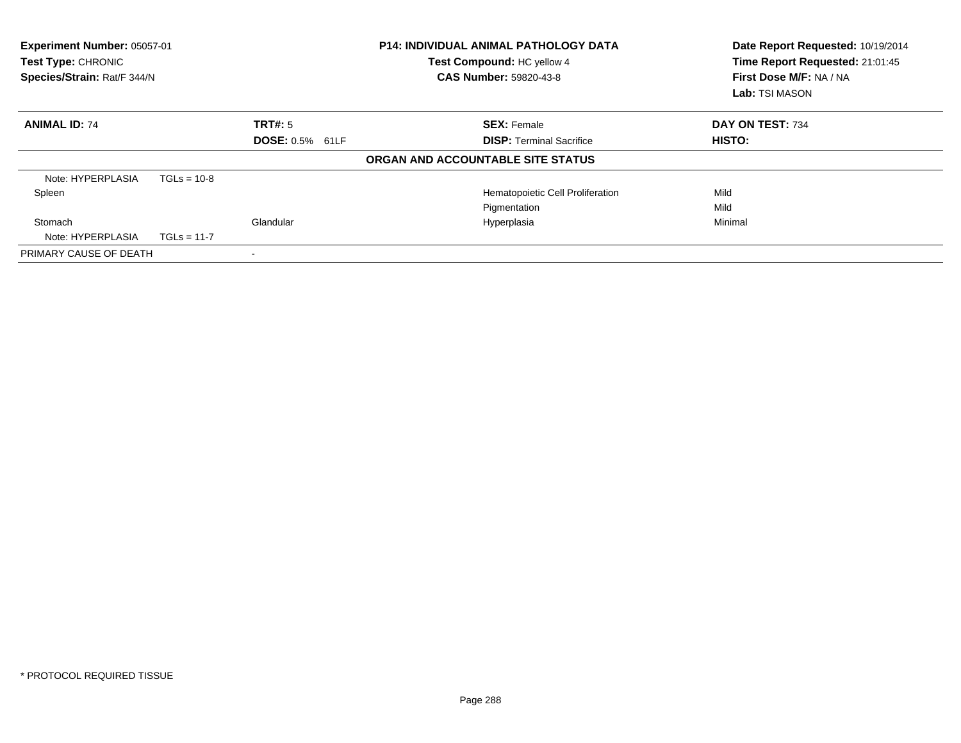| Experiment Number: 05057-01<br>Test Type: CHRONIC<br>Species/Strain: Rat/F 344/N |               |                | <b>P14: INDIVIDUAL ANIMAL PATHOLOGY DATA</b><br>Test Compound: HC yellow 4<br><b>CAS Number: 59820-43-8</b> | Date Report Requested: 10/19/2014<br>Time Report Requested: 21:01:45<br>First Dose M/F: NA / NA<br>Lab: TSI MASON |  |
|----------------------------------------------------------------------------------|---------------|----------------|-------------------------------------------------------------------------------------------------------------|-------------------------------------------------------------------------------------------------------------------|--|
| <b>ANIMAL ID: 74</b>                                                             |               | <b>TRT#: 5</b> | <b>SEX: Female</b>                                                                                          | DAY ON TEST: 734                                                                                                  |  |
| <b>DOSE: 0.5% 61LF</b>                                                           |               |                | <b>DISP:</b> Terminal Sacrifice                                                                             | <b>HISTO:</b>                                                                                                     |  |
|                                                                                  |               |                | ORGAN AND ACCOUNTABLE SITE STATUS                                                                           |                                                                                                                   |  |
| Note: HYPERPLASIA                                                                | $TGLs = 10-8$ |                |                                                                                                             |                                                                                                                   |  |
| Spleen                                                                           |               |                | Hematopoietic Cell Proliferation                                                                            | Mild                                                                                                              |  |
|                                                                                  |               |                | Pigmentation                                                                                                | Mild                                                                                                              |  |
| Stomach                                                                          |               | Glandular      | Hyperplasia                                                                                                 | Minimal                                                                                                           |  |
| Note: HYPERPLASIA                                                                | $TGLs = 11-7$ |                |                                                                                                             |                                                                                                                   |  |
| PRIMARY CAUSE OF DEATH                                                           |               |                |                                                                                                             |                                                                                                                   |  |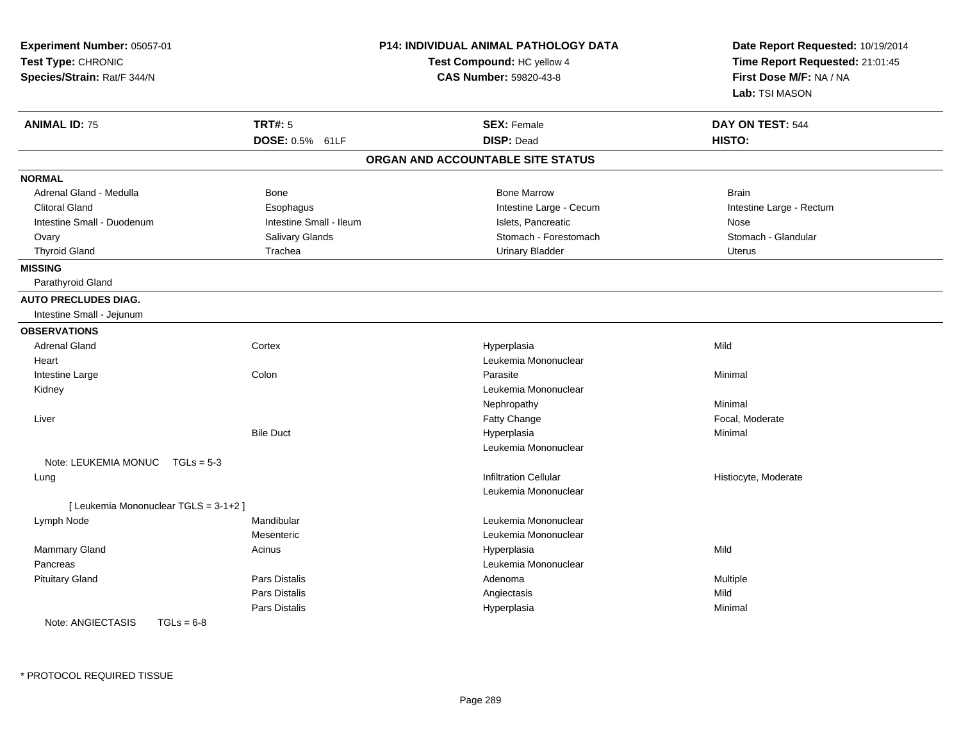| Experiment Number: 05057-01<br>Test Type: CHRONIC<br>Species/Strain: Rat/F 344/N |                         | P14: INDIVIDUAL ANIMAL PATHOLOGY DATA<br>Test Compound: HC yellow 4<br>CAS Number: 59820-43-8 | Date Report Requested: 10/19/2014<br>Time Report Requested: 21:01:45<br>First Dose M/F: NA / NA<br>Lab: TSI MASON |
|----------------------------------------------------------------------------------|-------------------------|-----------------------------------------------------------------------------------------------|-------------------------------------------------------------------------------------------------------------------|
| <b>ANIMAL ID: 75</b>                                                             | <b>TRT#: 5</b>          | <b>SEX: Female</b>                                                                            | DAY ON TEST: 544                                                                                                  |
|                                                                                  | DOSE: 0.5% 61LF         | <b>DISP: Dead</b>                                                                             | HISTO:                                                                                                            |
|                                                                                  |                         | ORGAN AND ACCOUNTABLE SITE STATUS                                                             |                                                                                                                   |
| <b>NORMAL</b>                                                                    |                         |                                                                                               |                                                                                                                   |
| Adrenal Gland - Medulla                                                          | <b>Bone</b>             | <b>Bone Marrow</b>                                                                            | <b>Brain</b>                                                                                                      |
| <b>Clitoral Gland</b>                                                            | Esophagus               | Intestine Large - Cecum                                                                       | Intestine Large - Rectum                                                                                          |
| Intestine Small - Duodenum                                                       | Intestine Small - Ileum | Islets, Pancreatic                                                                            | Nose                                                                                                              |
| Ovary                                                                            | Salivary Glands         | Stomach - Forestomach                                                                         | Stomach - Glandular                                                                                               |
| <b>Thyroid Gland</b>                                                             | Trachea                 | <b>Urinary Bladder</b>                                                                        | <b>Uterus</b>                                                                                                     |
| <b>MISSING</b>                                                                   |                         |                                                                                               |                                                                                                                   |
| Parathyroid Gland                                                                |                         |                                                                                               |                                                                                                                   |
| <b>AUTO PRECLUDES DIAG.</b>                                                      |                         |                                                                                               |                                                                                                                   |
| Intestine Small - Jejunum                                                        |                         |                                                                                               |                                                                                                                   |
| <b>OBSERVATIONS</b>                                                              |                         |                                                                                               |                                                                                                                   |
| <b>Adrenal Gland</b>                                                             | Cortex                  | Hyperplasia                                                                                   | Mild                                                                                                              |
| Heart                                                                            |                         | Leukemia Mononuclear                                                                          |                                                                                                                   |
| Intestine Large                                                                  | Colon                   | Parasite                                                                                      | Minimal                                                                                                           |
| Kidney                                                                           |                         | Leukemia Mononuclear                                                                          |                                                                                                                   |
|                                                                                  |                         | Nephropathy                                                                                   | Minimal                                                                                                           |
| Liver                                                                            |                         | Fatty Change                                                                                  | Focal, Moderate                                                                                                   |
|                                                                                  | <b>Bile Duct</b>        | Hyperplasia                                                                                   | Minimal                                                                                                           |
|                                                                                  |                         | Leukemia Mononuclear                                                                          |                                                                                                                   |
| Note: LEUKEMIA MONUC TGLs = 5-3                                                  |                         |                                                                                               |                                                                                                                   |
| Lung                                                                             |                         | <b>Infiltration Cellular</b>                                                                  | Histiocyte, Moderate                                                                                              |
|                                                                                  |                         | Leukemia Mononuclear                                                                          |                                                                                                                   |
| [ Leukemia Mononuclear TGLS = 3-1+2 ]                                            |                         |                                                                                               |                                                                                                                   |
| Lymph Node                                                                       | Mandibular              | Leukemia Mononuclear                                                                          |                                                                                                                   |
|                                                                                  | Mesenteric              | Leukemia Mononuclear                                                                          |                                                                                                                   |
| <b>Mammary Gland</b>                                                             | Acinus                  | Hyperplasia                                                                                   | Mild                                                                                                              |
| Pancreas                                                                         |                         | Leukemia Mononuclear                                                                          |                                                                                                                   |
| <b>Pituitary Gland</b>                                                           | Pars Distalis           | Adenoma                                                                                       | Multiple                                                                                                          |
|                                                                                  | Pars Distalis           | Angiectasis                                                                                   | Mild                                                                                                              |
|                                                                                  | <b>Pars Distalis</b>    | Hyperplasia                                                                                   | Minimal                                                                                                           |
| Note: ANGIECTASIS<br>$TGLs = 6-8$                                                |                         |                                                                                               |                                                                                                                   |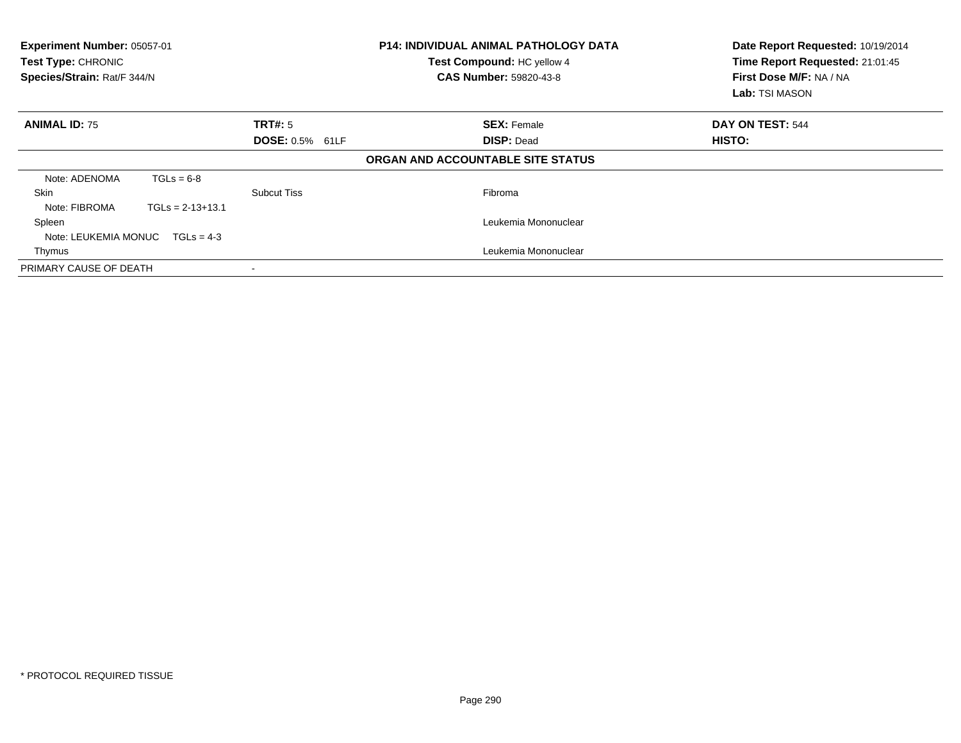| Experiment Number: 05057-01<br>Test Type: CHRONIC<br>Species/Strain: Rat/F 344/N |                    |                        | <b>P14: INDIVIDUAL ANIMAL PATHOLOGY DATA</b><br>Test Compound: HC yellow 4<br><b>CAS Number: 59820-43-8</b> | Date Report Requested: 10/19/2014<br>Time Report Requested: 21:01:45<br>First Dose M/F: NA / NA<br>Lab: TSI MASON |
|----------------------------------------------------------------------------------|--------------------|------------------------|-------------------------------------------------------------------------------------------------------------|-------------------------------------------------------------------------------------------------------------------|
| <b>ANIMAL ID: 75</b>                                                             |                    | TRT#: 5                | <b>SEX: Female</b>                                                                                          | DAY ON TEST: 544                                                                                                  |
|                                                                                  |                    | <b>DOSE: 0.5% 61LF</b> | <b>DISP: Dead</b>                                                                                           | HISTO:                                                                                                            |
|                                                                                  |                    |                        | ORGAN AND ACCOUNTABLE SITE STATUS                                                                           |                                                                                                                   |
| Note: ADENOMA                                                                    | $TGLs = 6-8$       |                        |                                                                                                             |                                                                                                                   |
| Skin                                                                             |                    | Subcut Tiss            | Fibroma                                                                                                     |                                                                                                                   |
| Note: FIBROMA                                                                    | $TGLs = 2-13+13.1$ |                        |                                                                                                             |                                                                                                                   |
| Spleen                                                                           |                    |                        | Leukemia Mononuclear                                                                                        |                                                                                                                   |
| Note: LEUKEMIA MONUC $TGLs = 4-3$                                                |                    |                        |                                                                                                             |                                                                                                                   |
| Thymus                                                                           |                    |                        | Leukemia Mononuclear                                                                                        |                                                                                                                   |
| PRIMARY CAUSE OF DEATH                                                           |                    |                        |                                                                                                             |                                                                                                                   |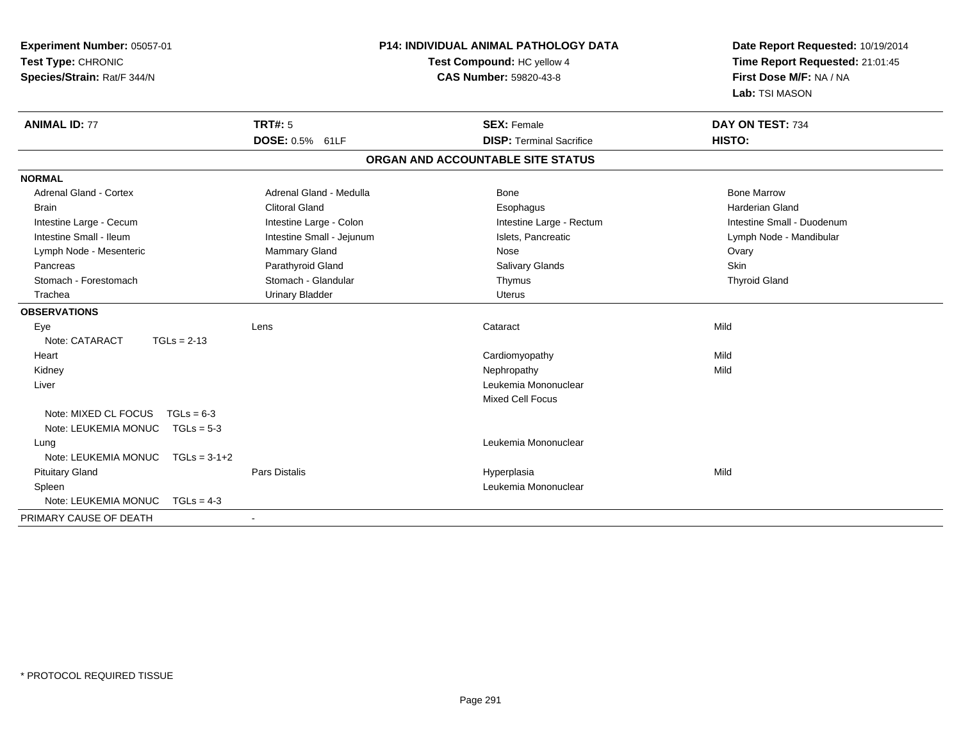| Experiment Number: 05057-01<br>Test Type: CHRONIC<br>Species/Strain: Rat/F 344/N |                           | P14: INDIVIDUAL ANIMAL PATHOLOGY DATA<br>Test Compound: HC yellow 4<br><b>CAS Number: 59820-43-8</b> | Date Report Requested: 10/19/2014<br>Time Report Requested: 21:01:45<br>First Dose M/F: NA / NA<br>Lab: TSI MASON |
|----------------------------------------------------------------------------------|---------------------------|------------------------------------------------------------------------------------------------------|-------------------------------------------------------------------------------------------------------------------|
| <b>ANIMAL ID: 77</b>                                                             | TRT#: 5                   | <b>SEX: Female</b>                                                                                   | DAY ON TEST: 734                                                                                                  |
|                                                                                  | DOSE: 0.5% 61LF           | <b>DISP: Terminal Sacrifice</b>                                                                      | HISTO:                                                                                                            |
|                                                                                  |                           | ORGAN AND ACCOUNTABLE SITE STATUS                                                                    |                                                                                                                   |
| <b>NORMAL</b>                                                                    |                           |                                                                                                      |                                                                                                                   |
| <b>Adrenal Gland - Cortex</b>                                                    | Adrenal Gland - Medulla   | Bone                                                                                                 | <b>Bone Marrow</b>                                                                                                |
| <b>Brain</b>                                                                     | <b>Clitoral Gland</b>     | Esophagus                                                                                            | <b>Harderian Gland</b>                                                                                            |
| Intestine Large - Cecum                                                          | Intestine Large - Colon   | Intestine Large - Rectum                                                                             | Intestine Small - Duodenum                                                                                        |
| Intestine Small - Ileum                                                          | Intestine Small - Jejunum | Islets, Pancreatic                                                                                   | Lymph Node - Mandibular                                                                                           |
| Lymph Node - Mesenteric                                                          | Mammary Gland             | Nose                                                                                                 | Ovary                                                                                                             |
| Pancreas                                                                         | Parathyroid Gland         | Salivary Glands                                                                                      | Skin                                                                                                              |
| Stomach - Forestomach                                                            | Stomach - Glandular       | Thymus                                                                                               | <b>Thyroid Gland</b>                                                                                              |
| Trachea                                                                          | <b>Urinary Bladder</b>    | <b>Uterus</b>                                                                                        |                                                                                                                   |
| <b>OBSERVATIONS</b>                                                              |                           |                                                                                                      |                                                                                                                   |
| Eye                                                                              | Lens                      | Cataract                                                                                             | Mild                                                                                                              |
| Note: CATARACT<br>$TGLs = 2-13$                                                  |                           |                                                                                                      |                                                                                                                   |
| Heart                                                                            |                           | Cardiomyopathy                                                                                       | Mild                                                                                                              |
| Kidney                                                                           |                           | Nephropathy                                                                                          | Mild                                                                                                              |
| Liver                                                                            |                           | Leukemia Mononuclear                                                                                 |                                                                                                                   |
|                                                                                  |                           | Mixed Cell Focus                                                                                     |                                                                                                                   |
| Note: MIXED CL FOCUS<br>$TGLs = 6-3$                                             |                           |                                                                                                      |                                                                                                                   |
| Note: LEUKEMIA MONUC<br>$TGLs = 5-3$                                             |                           |                                                                                                      |                                                                                                                   |
| Lung                                                                             |                           | Leukemia Mononuclear                                                                                 |                                                                                                                   |
| Note: LEUKEMIA MONUC<br>$TGLs = 3-1+2$                                           |                           |                                                                                                      |                                                                                                                   |
| <b>Pituitary Gland</b>                                                           | Pars Distalis             | Hyperplasia                                                                                          | Mild                                                                                                              |
| Spleen                                                                           |                           | Leukemia Mononuclear                                                                                 |                                                                                                                   |
| Note: LEUKEMIA MONUC<br>$TGLs = 4-3$                                             |                           |                                                                                                      |                                                                                                                   |
| PRIMARY CAUSE OF DEATH                                                           | $\blacksquare$            |                                                                                                      |                                                                                                                   |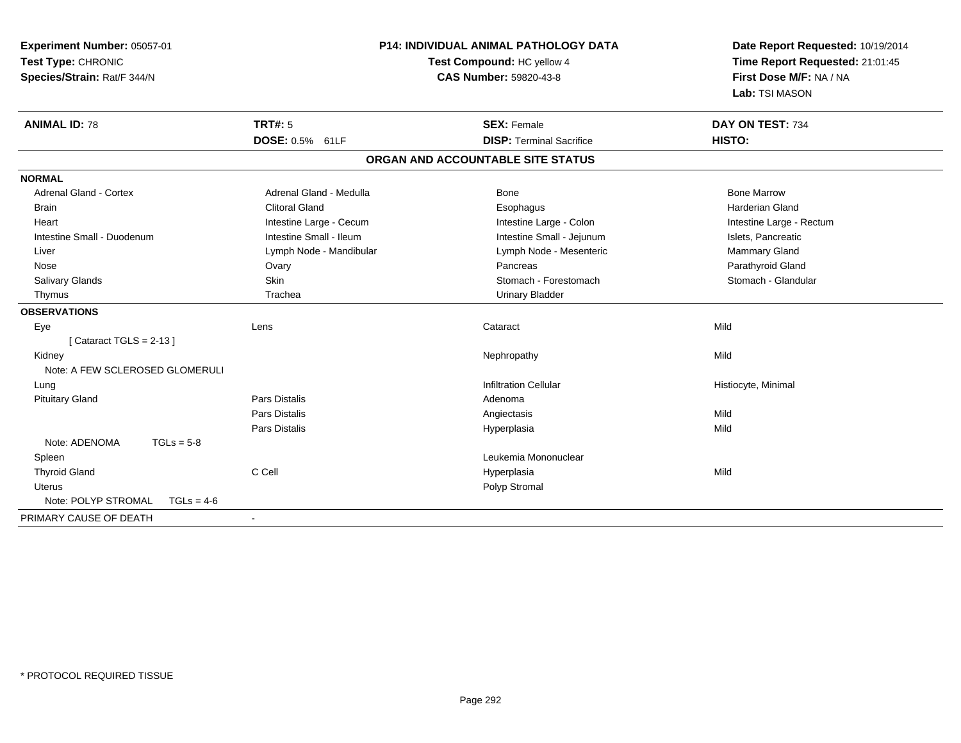| Experiment Number: 05057-01<br>Test Type: CHRONIC<br>Species/Strain: Rat/F 344/N | P14: INDIVIDUAL ANIMAL PATHOLOGY DATA<br>Test Compound: HC yellow 4<br><b>CAS Number: 59820-43-8</b> |                                   | Date Report Requested: 10/19/2014<br>Time Report Requested: 21:01:45<br>First Dose M/F: NA / NA<br>Lab: TSI MASON |
|----------------------------------------------------------------------------------|------------------------------------------------------------------------------------------------------|-----------------------------------|-------------------------------------------------------------------------------------------------------------------|
| <b>ANIMAL ID: 78</b>                                                             | <b>TRT#: 5</b>                                                                                       | <b>SEX: Female</b>                | DAY ON TEST: 734                                                                                                  |
|                                                                                  | DOSE: 0.5% 61LF                                                                                      | <b>DISP: Terminal Sacrifice</b>   | HISTO:                                                                                                            |
|                                                                                  |                                                                                                      | ORGAN AND ACCOUNTABLE SITE STATUS |                                                                                                                   |
| <b>NORMAL</b>                                                                    |                                                                                                      |                                   |                                                                                                                   |
| <b>Adrenal Gland - Cortex</b>                                                    | Adrenal Gland - Medulla                                                                              | Bone                              | <b>Bone Marrow</b>                                                                                                |
| <b>Brain</b>                                                                     | <b>Clitoral Gland</b>                                                                                | Esophagus                         | <b>Harderian Gland</b>                                                                                            |
| Heart                                                                            | Intestine Large - Cecum                                                                              | Intestine Large - Colon           | Intestine Large - Rectum                                                                                          |
| Intestine Small - Duodenum                                                       | Intestine Small - Ileum                                                                              | Intestine Small - Jejunum         | Islets, Pancreatic                                                                                                |
| Liver                                                                            | Lymph Node - Mandibular                                                                              | Lymph Node - Mesenteric           | Mammary Gland                                                                                                     |
| Nose                                                                             | Ovary                                                                                                | Pancreas                          | Parathyroid Gland                                                                                                 |
| Salivary Glands                                                                  | Skin                                                                                                 | Stomach - Forestomach             | Stomach - Glandular                                                                                               |
| Thymus                                                                           | Trachea                                                                                              | <b>Urinary Bladder</b>            |                                                                                                                   |
| <b>OBSERVATIONS</b>                                                              |                                                                                                      |                                   |                                                                                                                   |
| Eye                                                                              | Lens                                                                                                 | Cataract                          | Mild                                                                                                              |
| [Cataract TGLS = $2-13$ ]                                                        |                                                                                                      |                                   |                                                                                                                   |
| Kidney                                                                           |                                                                                                      | Nephropathy                       | Mild                                                                                                              |
| Note: A FEW SCLEROSED GLOMERULI                                                  |                                                                                                      |                                   |                                                                                                                   |
| Lung                                                                             |                                                                                                      | <b>Infiltration Cellular</b>      | Histiocyte, Minimal                                                                                               |
| <b>Pituitary Gland</b>                                                           | <b>Pars Distalis</b>                                                                                 | Adenoma                           |                                                                                                                   |
|                                                                                  | <b>Pars Distalis</b>                                                                                 | Angiectasis                       | Mild                                                                                                              |
|                                                                                  | <b>Pars Distalis</b>                                                                                 | Hyperplasia                       | Mild                                                                                                              |
| Note: ADENOMA<br>$TGLs = 5-8$                                                    |                                                                                                      |                                   |                                                                                                                   |
| Spleen                                                                           |                                                                                                      | Leukemia Mononuclear              |                                                                                                                   |
| <b>Thyroid Gland</b>                                                             | C Cell                                                                                               | Hyperplasia                       | Mild                                                                                                              |
| <b>Uterus</b>                                                                    |                                                                                                      | Polyp Stromal                     |                                                                                                                   |
| Note: POLYP STROMAL<br>$TGLs = 4-6$                                              |                                                                                                      |                                   |                                                                                                                   |
| PRIMARY CAUSE OF DEATH                                                           |                                                                                                      |                                   |                                                                                                                   |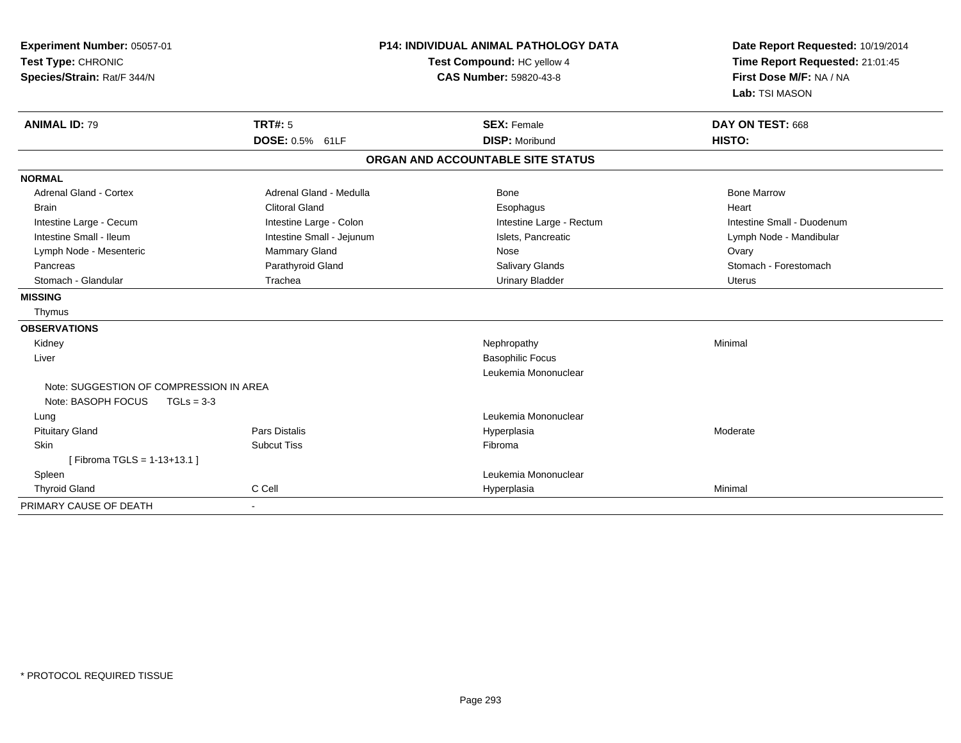| Experiment Number: 05057-01<br>Test Type: CHRONIC<br>Species/Strain: Rat/F 344/N | <b>P14: INDIVIDUAL ANIMAL PATHOLOGY DATA</b><br>Test Compound: HC yellow 4<br><b>CAS Number: 59820-43-8</b> |                                   | Date Report Requested: 10/19/2014<br>Time Report Requested: 21:01:45<br>First Dose M/F: NA / NA<br>Lab: TSI MASON |  |
|----------------------------------------------------------------------------------|-------------------------------------------------------------------------------------------------------------|-----------------------------------|-------------------------------------------------------------------------------------------------------------------|--|
| <b>ANIMAL ID: 79</b>                                                             | <b>TRT#: 5</b>                                                                                              | <b>SEX: Female</b>                | DAY ON TEST: 668                                                                                                  |  |
|                                                                                  | DOSE: 0.5% 61LF                                                                                             | <b>DISP: Moribund</b>             | HISTO:                                                                                                            |  |
|                                                                                  |                                                                                                             | ORGAN AND ACCOUNTABLE SITE STATUS |                                                                                                                   |  |
| <b>NORMAL</b>                                                                    |                                                                                                             |                                   |                                                                                                                   |  |
| Adrenal Gland - Cortex                                                           | Adrenal Gland - Medulla                                                                                     | Bone                              | <b>Bone Marrow</b>                                                                                                |  |
| <b>Brain</b>                                                                     | <b>Clitoral Gland</b>                                                                                       | Esophagus                         | Heart                                                                                                             |  |
| Intestine Large - Cecum                                                          | Intestine Large - Colon                                                                                     | Intestine Large - Rectum          | Intestine Small - Duodenum                                                                                        |  |
| Intestine Small - Ileum                                                          | Intestine Small - Jejunum                                                                                   | Islets, Pancreatic                | Lymph Node - Mandibular                                                                                           |  |
| Lymph Node - Mesenteric                                                          | Mammary Gland                                                                                               | Nose                              | Ovary                                                                                                             |  |
| Pancreas                                                                         | Parathyroid Gland                                                                                           | Salivary Glands                   | Stomach - Forestomach                                                                                             |  |
| Stomach - Glandular                                                              | Trachea                                                                                                     | <b>Urinary Bladder</b>            | <b>Uterus</b>                                                                                                     |  |
| <b>MISSING</b>                                                                   |                                                                                                             |                                   |                                                                                                                   |  |
| Thymus                                                                           |                                                                                                             |                                   |                                                                                                                   |  |
| <b>OBSERVATIONS</b>                                                              |                                                                                                             |                                   |                                                                                                                   |  |
| Kidney                                                                           |                                                                                                             | Nephropathy                       | Minimal                                                                                                           |  |
| Liver                                                                            |                                                                                                             | <b>Basophilic Focus</b>           |                                                                                                                   |  |
|                                                                                  |                                                                                                             | Leukemia Mononuclear              |                                                                                                                   |  |
| Note: SUGGESTION OF COMPRESSION IN AREA                                          |                                                                                                             |                                   |                                                                                                                   |  |
| Note: BASOPH FOCUS<br>$TGLs = 3-3$                                               |                                                                                                             |                                   |                                                                                                                   |  |
| Lung                                                                             |                                                                                                             | Leukemia Mononuclear              |                                                                                                                   |  |
| <b>Pituitary Gland</b>                                                           | <b>Pars Distalis</b>                                                                                        | Hyperplasia                       | Moderate                                                                                                          |  |
| <b>Skin</b>                                                                      | <b>Subcut Tiss</b>                                                                                          | Fibroma                           |                                                                                                                   |  |
| [Fibroma TGLS = 1-13+13.1]                                                       |                                                                                                             |                                   |                                                                                                                   |  |
| Spleen                                                                           |                                                                                                             | Leukemia Mononuclear              |                                                                                                                   |  |
| <b>Thyroid Gland</b>                                                             | C Cell                                                                                                      | Hyperplasia                       | Minimal                                                                                                           |  |
| PRIMARY CAUSE OF DEATH                                                           | $\blacksquare$                                                                                              |                                   |                                                                                                                   |  |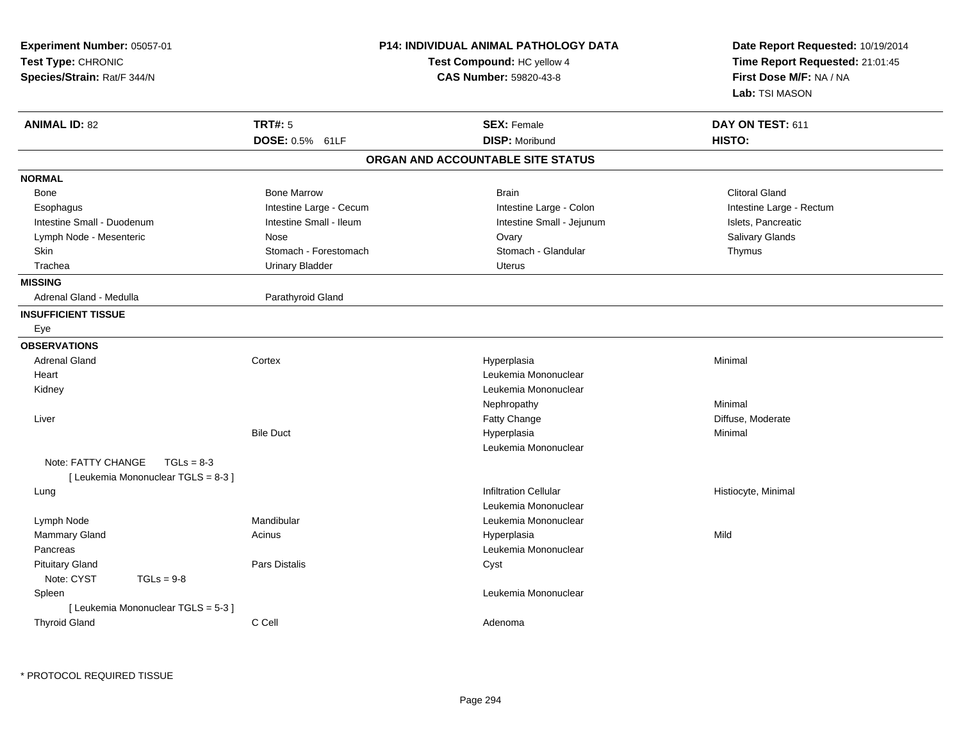| Experiment Number: 05057-01<br>Test Type: CHRONIC<br>Species/Strain: Rat/F 344/N | <b>P14: INDIVIDUAL ANIMAL PATHOLOGY DATA</b><br>Test Compound: HC yellow 4<br><b>CAS Number: 59820-43-8</b> | Date Report Requested: 10/19/2014<br>Time Report Requested: 21:01:45<br>First Dose M/F: NA / NA<br>Lab: TSI MASON |
|----------------------------------------------------------------------------------|-------------------------------------------------------------------------------------------------------------|-------------------------------------------------------------------------------------------------------------------|
| <b>TRT#: 5</b><br><b>ANIMAL ID: 82</b>                                           | <b>SEX: Female</b>                                                                                          | DAY ON TEST: 611                                                                                                  |
| DOSE: 0.5% 61LF                                                                  | <b>DISP: Moribund</b>                                                                                       | HISTO:                                                                                                            |
|                                                                                  | ORGAN AND ACCOUNTABLE SITE STATUS                                                                           |                                                                                                                   |
| <b>NORMAL</b>                                                                    |                                                                                                             |                                                                                                                   |
| <b>Bone Marrow</b><br>Bone                                                       | <b>Brain</b>                                                                                                | <b>Clitoral Gland</b>                                                                                             |
| Esophagus<br>Intestine Large - Cecum                                             | Intestine Large - Colon                                                                                     | Intestine Large - Rectum                                                                                          |
| Intestine Small - Ileum<br>Intestine Small - Duodenum                            | Intestine Small - Jejunum                                                                                   | Islets, Pancreatic                                                                                                |
| Lymph Node - Mesenteric<br>Nose                                                  | Ovary                                                                                                       | Salivary Glands                                                                                                   |
| Skin<br>Stomach - Forestomach                                                    | Stomach - Glandular                                                                                         | Thymus                                                                                                            |
| Trachea<br><b>Urinary Bladder</b>                                                | <b>Uterus</b>                                                                                               |                                                                                                                   |
| <b>MISSING</b>                                                                   |                                                                                                             |                                                                                                                   |
| Adrenal Gland - Medulla<br>Parathyroid Gland                                     |                                                                                                             |                                                                                                                   |
| <b>INSUFFICIENT TISSUE</b>                                                       |                                                                                                             |                                                                                                                   |
| Eye                                                                              |                                                                                                             |                                                                                                                   |
| <b>OBSERVATIONS</b>                                                              |                                                                                                             |                                                                                                                   |
| <b>Adrenal Gland</b><br>Cortex                                                   | Hyperplasia                                                                                                 | Minimal                                                                                                           |
| Heart                                                                            | Leukemia Mononuclear                                                                                        |                                                                                                                   |
| Kidney                                                                           | Leukemia Mononuclear                                                                                        |                                                                                                                   |
|                                                                                  | Nephropathy                                                                                                 | Minimal                                                                                                           |
| Liver                                                                            | Fatty Change                                                                                                | Diffuse, Moderate                                                                                                 |
| <b>Bile Duct</b>                                                                 | Hyperplasia                                                                                                 | Minimal                                                                                                           |
|                                                                                  | Leukemia Mononuclear                                                                                        |                                                                                                                   |
| Note: FATTY CHANGE<br>$TGLs = 8-3$                                               |                                                                                                             |                                                                                                                   |
| [ Leukemia Mononuclear TGLS = 8-3 ]                                              |                                                                                                             |                                                                                                                   |
| Lung                                                                             | <b>Infiltration Cellular</b>                                                                                | Histiocyte, Minimal                                                                                               |
|                                                                                  | Leukemia Mononuclear                                                                                        |                                                                                                                   |
| Mandibular<br>Lymph Node                                                         | Leukemia Mononuclear                                                                                        |                                                                                                                   |
| Mammary Gland<br>Acinus                                                          | Hyperplasia                                                                                                 | Mild                                                                                                              |
| Pancreas                                                                         | Leukemia Mononuclear                                                                                        |                                                                                                                   |
| <b>Pituitary Gland</b><br>Pars Distalis                                          | Cyst                                                                                                        |                                                                                                                   |
| Note: CYST<br>$TGLs = 9-8$                                                       |                                                                                                             |                                                                                                                   |
| Spleen                                                                           | Leukemia Mononuclear                                                                                        |                                                                                                                   |
| [ Leukemia Mononuclear TGLS = 5-3 ]                                              |                                                                                                             |                                                                                                                   |
| C Cell<br><b>Thyroid Gland</b>                                                   | Adenoma                                                                                                     |                                                                                                                   |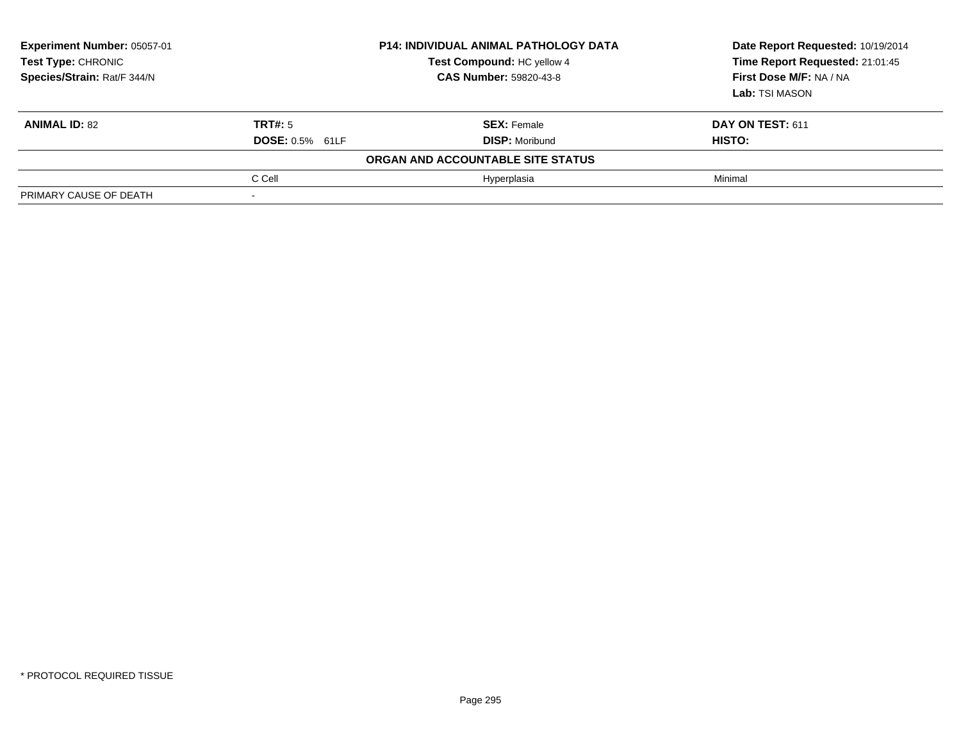| Experiment Number: 05057-01<br>Test Type: CHRONIC<br>Species/Strain: Rat/F 344/N | <b>P14: INDIVIDUAL ANIMAL PATHOLOGY DATA</b><br>Test Compound: HC yellow 4<br><b>CAS Number: 59820-43-8</b> |                                   | Date Report Requested: 10/19/2014<br>Time Report Requested: 21:01:45<br>First Dose M/F: NA / NA<br>Lab: TSI MASON |  |
|----------------------------------------------------------------------------------|-------------------------------------------------------------------------------------------------------------|-----------------------------------|-------------------------------------------------------------------------------------------------------------------|--|
| <b>ANIMAL ID: 82</b>                                                             | TRT#: 5                                                                                                     | <b>SEX: Female</b>                | DAY ON TEST: 611                                                                                                  |  |
|                                                                                  | <b>DOSE: 0.5% 61LF</b>                                                                                      | <b>DISP: Moribund</b>             | <b>HISTO:</b>                                                                                                     |  |
|                                                                                  |                                                                                                             | ORGAN AND ACCOUNTABLE SITE STATUS |                                                                                                                   |  |
|                                                                                  | C Cell                                                                                                      | Hyperplasia                       | Minimal                                                                                                           |  |
| PRIMARY CAUSE OF DEATH                                                           |                                                                                                             |                                   |                                                                                                                   |  |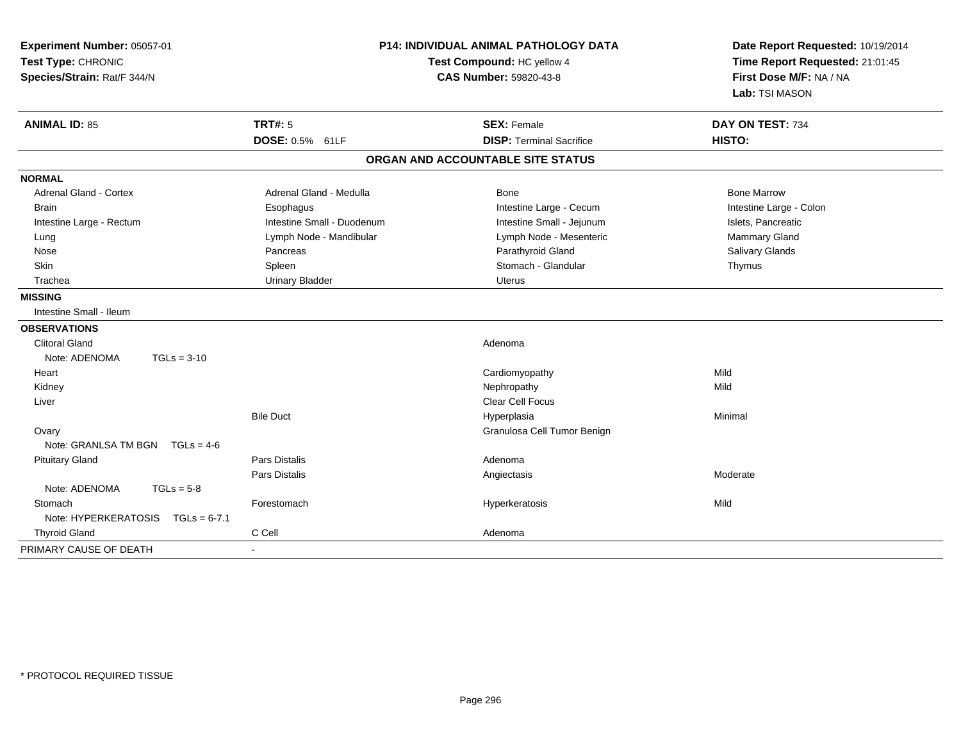| Experiment Number: 05057-01<br>Test Type: CHRONIC<br>Species/Strain: Rat/F 344/N | <b>P14: INDIVIDUAL ANIMAL PATHOLOGY DATA</b><br>Test Compound: HC yellow 4<br><b>CAS Number: 59820-43-8</b> |                                   | Date Report Requested: 10/19/2014<br>Time Report Requested: 21:01:45<br>First Dose M/F: NA / NA<br>Lab: TSI MASON |  |
|----------------------------------------------------------------------------------|-------------------------------------------------------------------------------------------------------------|-----------------------------------|-------------------------------------------------------------------------------------------------------------------|--|
| <b>ANIMAL ID: 85</b>                                                             | <b>TRT#: 5</b>                                                                                              | <b>SEX: Female</b>                | DAY ON TEST: 734                                                                                                  |  |
|                                                                                  | DOSE: 0.5% 61LF                                                                                             | <b>DISP: Terminal Sacrifice</b>   | HISTO:                                                                                                            |  |
|                                                                                  |                                                                                                             | ORGAN AND ACCOUNTABLE SITE STATUS |                                                                                                                   |  |
| <b>NORMAL</b>                                                                    |                                                                                                             |                                   |                                                                                                                   |  |
| <b>Adrenal Gland - Cortex</b>                                                    | Adrenal Gland - Medulla                                                                                     | Bone                              | <b>Bone Marrow</b>                                                                                                |  |
| <b>Brain</b>                                                                     | Esophagus                                                                                                   | Intestine Large - Cecum           | Intestine Large - Colon                                                                                           |  |
| Intestine Large - Rectum                                                         | Intestine Small - Duodenum                                                                                  | Intestine Small - Jejunum         | Islets, Pancreatic                                                                                                |  |
| Lung                                                                             | Lymph Node - Mandibular                                                                                     | Lymph Node - Mesenteric           | Mammary Gland                                                                                                     |  |
| Nose                                                                             | Pancreas                                                                                                    | Parathyroid Gland                 | Salivary Glands                                                                                                   |  |
| Skin                                                                             | Spleen                                                                                                      | Stomach - Glandular               | Thymus                                                                                                            |  |
| Trachea                                                                          | <b>Urinary Bladder</b>                                                                                      | <b>Uterus</b>                     |                                                                                                                   |  |
| <b>MISSING</b>                                                                   |                                                                                                             |                                   |                                                                                                                   |  |
| Intestine Small - Ileum                                                          |                                                                                                             |                                   |                                                                                                                   |  |
| <b>OBSERVATIONS</b>                                                              |                                                                                                             |                                   |                                                                                                                   |  |
| <b>Clitoral Gland</b>                                                            |                                                                                                             | Adenoma                           |                                                                                                                   |  |
| $TGLs = 3-10$<br>Note: ADENOMA                                                   |                                                                                                             |                                   |                                                                                                                   |  |
| Heart                                                                            |                                                                                                             | Cardiomyopathy                    | Mild                                                                                                              |  |
| Kidney                                                                           |                                                                                                             | Nephropathy                       | Mild                                                                                                              |  |
| Liver                                                                            |                                                                                                             | Clear Cell Focus                  |                                                                                                                   |  |
|                                                                                  | <b>Bile Duct</b>                                                                                            | Hyperplasia                       | Minimal                                                                                                           |  |
| Ovary                                                                            |                                                                                                             | Granulosa Cell Tumor Benign       |                                                                                                                   |  |
| Note: GRANLSA TM BGN TGLs = 4-6                                                  |                                                                                                             |                                   |                                                                                                                   |  |
| <b>Pituitary Gland</b>                                                           | <b>Pars Distalis</b>                                                                                        | Adenoma                           |                                                                                                                   |  |
|                                                                                  | <b>Pars Distalis</b>                                                                                        | Angiectasis                       | Moderate                                                                                                          |  |
| Note: ADENOMA<br>$TGLs = 5-8$                                                    |                                                                                                             |                                   |                                                                                                                   |  |
| Stomach                                                                          | Forestomach                                                                                                 | Hyperkeratosis                    | Mild                                                                                                              |  |
| Note: $HYPERKERATOSIS$ TGLs = 6-7.1                                              |                                                                                                             |                                   |                                                                                                                   |  |
| <b>Thyroid Gland</b>                                                             | C Cell                                                                                                      | Adenoma                           |                                                                                                                   |  |
| PRIMARY CAUSE OF DEATH                                                           |                                                                                                             |                                   |                                                                                                                   |  |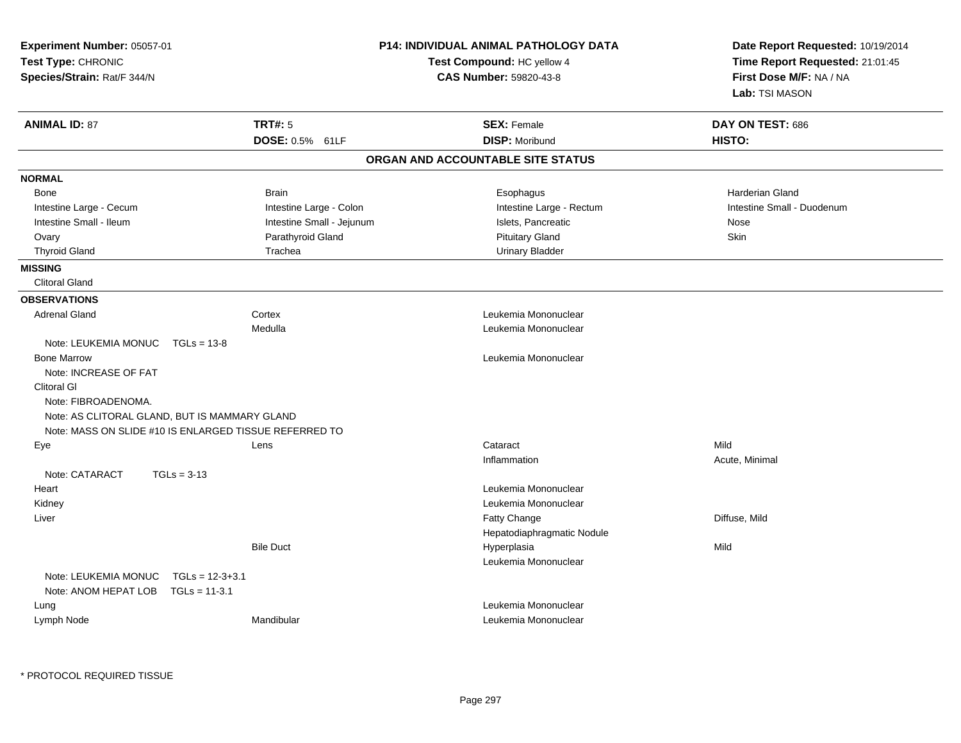| Experiment Number: 05057-01<br>Test Type: CHRONIC<br>Species/Strain: Rat/F 344/N |                           | <b>P14: INDIVIDUAL ANIMAL PATHOLOGY DATA</b><br>Test Compound: HC yellow 4<br>CAS Number: 59820-43-8 | Date Report Requested: 10/19/2014<br>Time Report Requested: 21:01:45<br>First Dose M/F: NA / NA<br>Lab: TSI MASON |
|----------------------------------------------------------------------------------|---------------------------|------------------------------------------------------------------------------------------------------|-------------------------------------------------------------------------------------------------------------------|
| <b>ANIMAL ID: 87</b>                                                             | <b>TRT#: 5</b>            | <b>SEX: Female</b>                                                                                   | DAY ON TEST: 686                                                                                                  |
|                                                                                  | DOSE: 0.5% 61LF           | <b>DISP: Moribund</b>                                                                                | HISTO:                                                                                                            |
|                                                                                  |                           | ORGAN AND ACCOUNTABLE SITE STATUS                                                                    |                                                                                                                   |
| <b>NORMAL</b>                                                                    |                           |                                                                                                      |                                                                                                                   |
| Bone                                                                             | <b>Brain</b>              | Esophagus                                                                                            | Harderian Gland                                                                                                   |
| Intestine Large - Cecum                                                          | Intestine Large - Colon   | Intestine Large - Rectum                                                                             | Intestine Small - Duodenum                                                                                        |
| Intestine Small - Ileum                                                          | Intestine Small - Jejunum | Islets, Pancreatic                                                                                   | Nose                                                                                                              |
| Ovary                                                                            | Parathyroid Gland         | <b>Pituitary Gland</b>                                                                               | Skin                                                                                                              |
| <b>Thyroid Gland</b>                                                             | Trachea                   | <b>Urinary Bladder</b>                                                                               |                                                                                                                   |
| <b>MISSING</b>                                                                   |                           |                                                                                                      |                                                                                                                   |
| <b>Clitoral Gland</b>                                                            |                           |                                                                                                      |                                                                                                                   |
| <b>OBSERVATIONS</b>                                                              |                           |                                                                                                      |                                                                                                                   |
| <b>Adrenal Gland</b>                                                             | Cortex                    | Leukemia Mononuclear                                                                                 |                                                                                                                   |
|                                                                                  | Medulla                   | Leukemia Mononuclear                                                                                 |                                                                                                                   |
| Note: LEUKEMIA MONUC<br>$TGLs = 13-8$                                            |                           |                                                                                                      |                                                                                                                   |
| <b>Bone Marrow</b>                                                               |                           | Leukemia Mononuclear                                                                                 |                                                                                                                   |
| Note: INCREASE OF FAT                                                            |                           |                                                                                                      |                                                                                                                   |
| Clitoral GI                                                                      |                           |                                                                                                      |                                                                                                                   |
| Note: FIBROADENOMA.                                                              |                           |                                                                                                      |                                                                                                                   |
| Note: AS CLITORAL GLAND, BUT IS MAMMARY GLAND                                    |                           |                                                                                                      |                                                                                                                   |
| Note: MASS ON SLIDE #10 IS ENLARGED TISSUE REFERRED TO                           |                           |                                                                                                      |                                                                                                                   |
| Eye                                                                              | Lens                      | Cataract                                                                                             | Mild                                                                                                              |
|                                                                                  |                           | Inflammation                                                                                         | Acute, Minimal                                                                                                    |
| Note: CATARACT<br>$TGLs = 3-13$                                                  |                           |                                                                                                      |                                                                                                                   |
| Heart                                                                            |                           | Leukemia Mononuclear                                                                                 |                                                                                                                   |
| Kidney                                                                           |                           | Leukemia Mononuclear                                                                                 |                                                                                                                   |
| Liver                                                                            |                           | Fatty Change                                                                                         | Diffuse, Mild                                                                                                     |
|                                                                                  |                           | Hepatodiaphragmatic Nodule                                                                           |                                                                                                                   |
|                                                                                  | <b>Bile Duct</b>          | Hyperplasia                                                                                          | Mild                                                                                                              |
|                                                                                  |                           | Leukemia Mononuclear                                                                                 |                                                                                                                   |
| Note: LEUKEMIA MONUC<br>$TGLs = 12-3+3.1$                                        |                           |                                                                                                      |                                                                                                                   |
| Note: ANOM HEPAT LOB<br>$TGLs = 11-3.1$                                          |                           |                                                                                                      |                                                                                                                   |
| Lung                                                                             |                           | Leukemia Mononuclear                                                                                 |                                                                                                                   |
| Lymph Node                                                                       | Mandibular                | Leukemia Mononuclear                                                                                 |                                                                                                                   |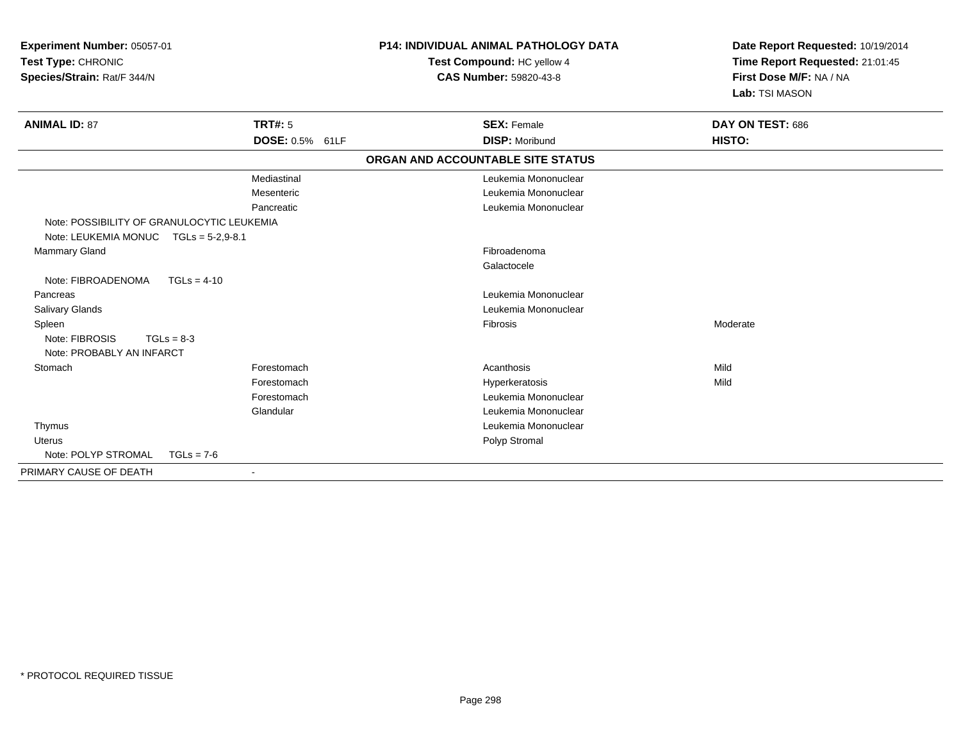| Experiment Number: 05057-01<br>Test Type: CHRONIC<br>Species/Strain: Rat/F 344/N    |                          | <b>P14: INDIVIDUAL ANIMAL PATHOLOGY DATA</b><br>Test Compound: HC yellow 4<br><b>CAS Number: 59820-43-8</b> | Date Report Requested: 10/19/2014<br>Time Report Requested: 21:01:45<br>First Dose M/F: NA / NA<br>Lab: TSI MASON |
|-------------------------------------------------------------------------------------|--------------------------|-------------------------------------------------------------------------------------------------------------|-------------------------------------------------------------------------------------------------------------------|
| <b>ANIMAL ID: 87</b>                                                                | <b>TRT#: 5</b>           | <b>SEX: Female</b>                                                                                          | DAY ON TEST: 686                                                                                                  |
|                                                                                     | DOSE: 0.5% 61LF          | <b>DISP: Moribund</b>                                                                                       | HISTO:                                                                                                            |
|                                                                                     |                          | ORGAN AND ACCOUNTABLE SITE STATUS                                                                           |                                                                                                                   |
|                                                                                     | Mediastinal              | Leukemia Mononuclear                                                                                        |                                                                                                                   |
|                                                                                     | Mesenteric               | Leukemia Mononuclear                                                                                        |                                                                                                                   |
|                                                                                     | Pancreatic               | Leukemia Mononuclear                                                                                        |                                                                                                                   |
| Note: POSSIBILITY OF GRANULOCYTIC LEUKEMIA<br>Note: LEUKEMIA MONUC TGLs = 5-2,9-8.1 |                          |                                                                                                             |                                                                                                                   |
| Mammary Gland                                                                       |                          | Fibroadenoma                                                                                                |                                                                                                                   |
|                                                                                     |                          | Galactocele                                                                                                 |                                                                                                                   |
| Note: FIBROADENOMA<br>$TGLs = 4-10$                                                 |                          |                                                                                                             |                                                                                                                   |
| Pancreas                                                                            |                          | Leukemia Mononuclear                                                                                        |                                                                                                                   |
| Salivary Glands                                                                     |                          | Leukemia Mononuclear                                                                                        |                                                                                                                   |
| Spleen<br>Note: FIBROSIS<br>$TGLs = 8-3$<br>Note: PROBABLY AN INFARCT               |                          | Fibrosis                                                                                                    | Moderate                                                                                                          |
| Stomach                                                                             | Forestomach              | Acanthosis                                                                                                  | Mild                                                                                                              |
|                                                                                     | Forestomach              | Hyperkeratosis                                                                                              | Mild                                                                                                              |
|                                                                                     | Forestomach              | Leukemia Mononuclear                                                                                        |                                                                                                                   |
|                                                                                     | Glandular                | Leukemia Mononuclear                                                                                        |                                                                                                                   |
| Thymus                                                                              |                          | Leukemia Mononuclear                                                                                        |                                                                                                                   |
| Uterus                                                                              |                          | Polyp Stromal                                                                                               |                                                                                                                   |
| Note: POLYP STROMAL<br>$TGLs = 7-6$                                                 |                          |                                                                                                             |                                                                                                                   |
| PRIMARY CAUSE OF DEATH                                                              | $\overline{\phantom{a}}$ |                                                                                                             |                                                                                                                   |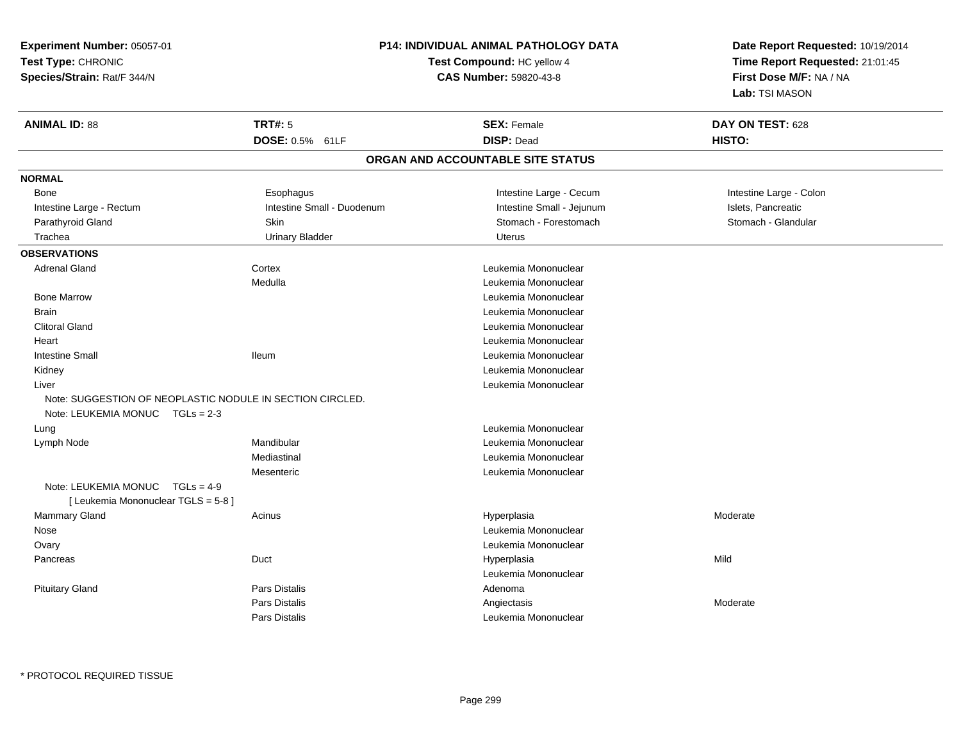**Experiment Number:** 05057-01**Test Type:** CHRONIC**Species/Strain:** Rat/F 344/N

## **P14: INDIVIDUAL ANIMAL PATHOLOGY DATA**

## **Test Compound:** HC yellow 4**CAS Number:** 59820-43-8

**Date Report Requested:** 10/19/2014**Time Report Requested:** 21:01:45**First Dose M/F:** NA / NA**Lab:** TSI MASON

| <b>ANIMAL ID: 88</b>                | <b>TRT#: 5</b><br>DOSE: 0.5% 61LF                         | <b>SEX: Female</b><br><b>DISP: Dead</b> | DAY ON TEST: 628<br>HISTO: |
|-------------------------------------|-----------------------------------------------------------|-----------------------------------------|----------------------------|
|                                     |                                                           | ORGAN AND ACCOUNTABLE SITE STATUS       |                            |
| <b>NORMAL</b>                       |                                                           |                                         |                            |
| Bone                                | Esophagus                                                 | Intestine Large - Cecum                 | Intestine Large - Colon    |
| Intestine Large - Rectum            | Intestine Small - Duodenum                                | Intestine Small - Jejunum               | Islets, Pancreatic         |
| Parathyroid Gland                   | Skin                                                      | Stomach - Forestomach                   | Stomach - Glandular        |
| Trachea                             | <b>Urinary Bladder</b>                                    | Uterus                                  |                            |
| <b>OBSERVATIONS</b>                 |                                                           |                                         |                            |
| <b>Adrenal Gland</b>                | Cortex                                                    | Leukemia Mononuclear                    |                            |
|                                     | Medulla                                                   | Leukemia Mononuclear                    |                            |
| <b>Bone Marrow</b>                  |                                                           | Leukemia Mononuclear                    |                            |
| <b>Brain</b>                        |                                                           | Leukemia Mononuclear                    |                            |
| <b>Clitoral Gland</b>               |                                                           | Leukemia Mononuclear                    |                            |
| Heart                               |                                                           | Leukemia Mononuclear                    |                            |
| <b>Intestine Small</b>              | <b>Ileum</b>                                              | Leukemia Mononuclear                    |                            |
| Kidney                              |                                                           | Leukemia Mononuclear                    |                            |
| Liver                               |                                                           | Leukemia Mononuclear                    |                            |
|                                     | Note: SUGGESTION OF NEOPLASTIC NODULE IN SECTION CIRCLED. |                                         |                            |
| Note: LEUKEMIA MONUC TGLs = 2-3     |                                                           |                                         |                            |
| Lung                                |                                                           | Leukemia Mononuclear                    |                            |
| Lymph Node                          | Mandibular                                                | Leukemia Mononuclear                    |                            |
|                                     | Mediastinal                                               | Leukemia Mononuclear                    |                            |
|                                     | Mesenteric                                                | Leukemia Mononuclear                    |                            |
| Note: LEUKEMIA MONUC TGLs = 4-9     |                                                           |                                         |                            |
| [ Leukemia Mononuclear TGLS = 5-8 ] |                                                           |                                         |                            |
| Mammary Gland                       | Acinus                                                    | Hyperplasia                             | Moderate                   |
| Nose                                |                                                           | Leukemia Mononuclear                    |                            |
| Ovary                               |                                                           | Leukemia Mononuclear                    |                            |
| Pancreas                            | Duct                                                      | Hyperplasia                             | Mild                       |
|                                     |                                                           | Leukemia Mononuclear                    |                            |
| <b>Pituitary Gland</b>              | <b>Pars Distalis</b>                                      | Adenoma                                 |                            |
|                                     | <b>Pars Distalis</b>                                      | Angiectasis                             | Moderate                   |
|                                     | Pars Distalis                                             | Leukemia Mononuclear                    |                            |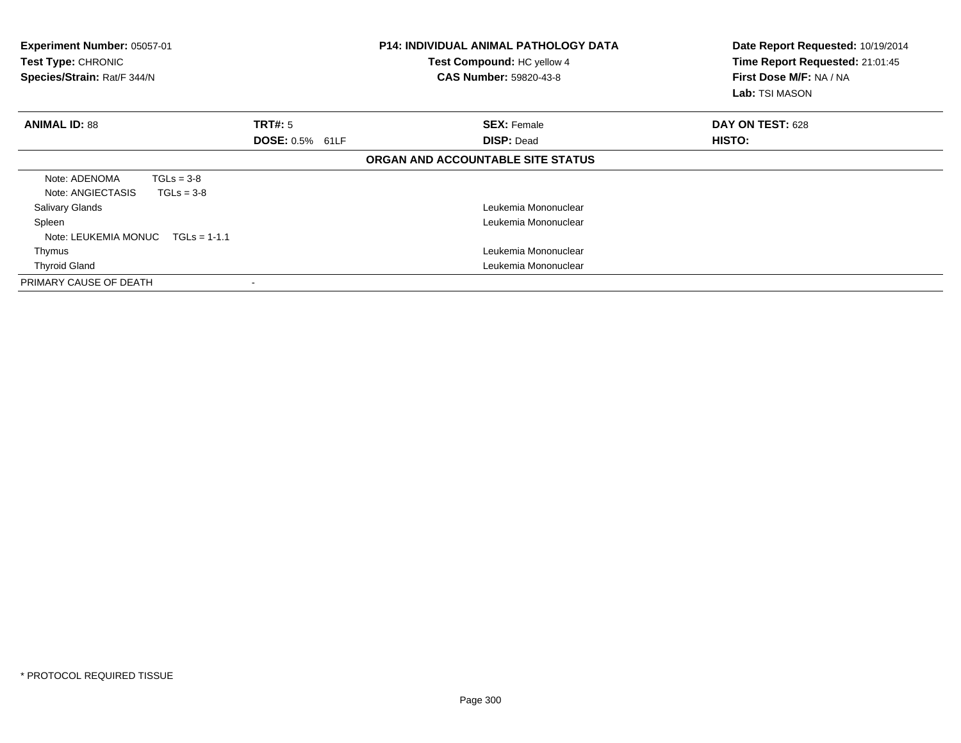| <b>Experiment Number: 05057-01</b><br>Test Type: CHRONIC<br>Species/Strain: Rat/F 344/N |              |                        | <b>P14: INDIVIDUAL ANIMAL PATHOLOGY DATA</b><br>Test Compound: HC yellow 4<br><b>CAS Number: 59820-43-8</b> | Date Report Requested: 10/19/2014<br>Time Report Requested: 21:01:45<br>First Dose M/F: NA / NA<br>Lab: TSI MASON |
|-----------------------------------------------------------------------------------------|--------------|------------------------|-------------------------------------------------------------------------------------------------------------|-------------------------------------------------------------------------------------------------------------------|
| <b>ANIMAL ID: 88</b>                                                                    |              | TRT#: 5                | <b>SEX: Female</b>                                                                                          | DAY ON TEST: 628                                                                                                  |
|                                                                                         |              | <b>DOSE: 0.5% 61LF</b> | <b>DISP: Dead</b>                                                                                           | HISTO:                                                                                                            |
|                                                                                         |              |                        | ORGAN AND ACCOUNTABLE SITE STATUS                                                                           |                                                                                                                   |
| Note: ADENOMA                                                                           | $TGLs = 3-8$ |                        |                                                                                                             |                                                                                                                   |
| Note: ANGIECTASIS                                                                       | $TGLs = 3-8$ |                        |                                                                                                             |                                                                                                                   |
| <b>Salivary Glands</b>                                                                  |              |                        | Leukemia Mononuclear                                                                                        |                                                                                                                   |
| Spleen                                                                                  |              |                        | Leukemia Mononuclear                                                                                        |                                                                                                                   |
| Note: LEUKEMIA MONUC $TGLs = 1-1.1$                                                     |              |                        |                                                                                                             |                                                                                                                   |
| Thymus                                                                                  |              |                        | Leukemia Mononuclear                                                                                        |                                                                                                                   |
| <b>Thyroid Gland</b>                                                                    |              |                        | Leukemia Mononuclear                                                                                        |                                                                                                                   |
| PRIMARY CAUSE OF DEATH                                                                  |              |                        |                                                                                                             |                                                                                                                   |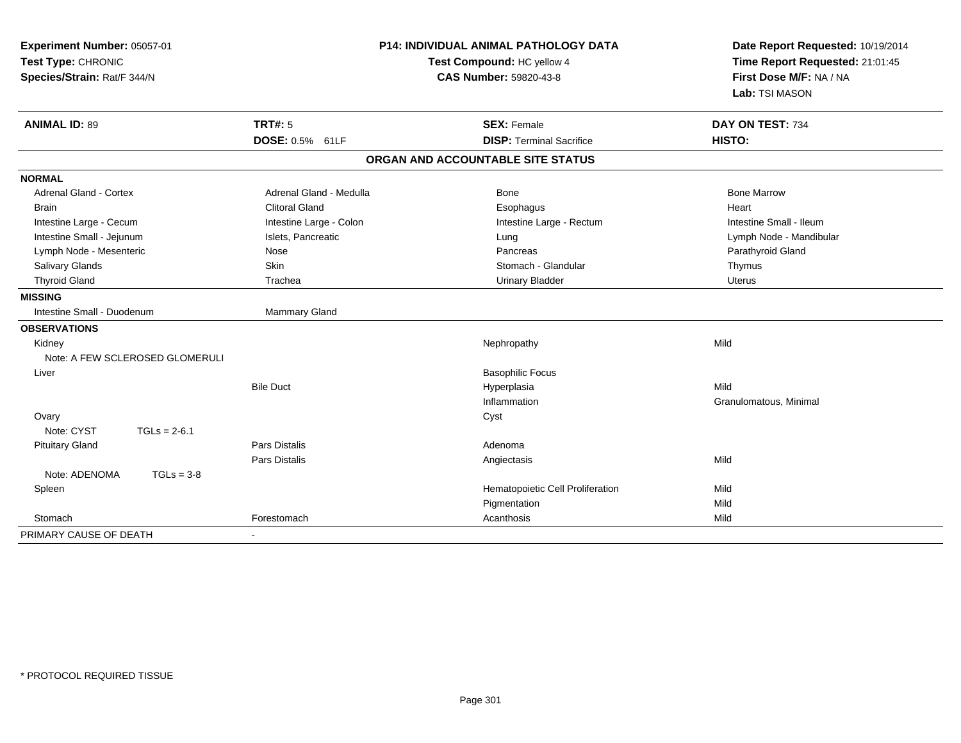| Experiment Number: 05057-01<br>Test Type: CHRONIC<br>Species/Strain: Rat/F 344/N |                         | <b>P14: INDIVIDUAL ANIMAL PATHOLOGY DATA</b><br>Test Compound: HC yellow 4<br><b>CAS Number: 59820-43-8</b> | Date Report Requested: 10/19/2014<br>Time Report Requested: 21:01:45<br>First Dose M/F: NA / NA |
|----------------------------------------------------------------------------------|-------------------------|-------------------------------------------------------------------------------------------------------------|-------------------------------------------------------------------------------------------------|
|                                                                                  |                         |                                                                                                             | Lab: TSI MASON                                                                                  |
| <b>ANIMAL ID: 89</b>                                                             | <b>TRT#: 5</b>          | <b>SEX: Female</b>                                                                                          | DAY ON TEST: 734                                                                                |
|                                                                                  | DOSE: 0.5% 61LF         | <b>DISP: Terminal Sacrifice</b>                                                                             | HISTO:                                                                                          |
|                                                                                  |                         | ORGAN AND ACCOUNTABLE SITE STATUS                                                                           |                                                                                                 |
| <b>NORMAL</b>                                                                    |                         |                                                                                                             |                                                                                                 |
| <b>Adrenal Gland - Cortex</b>                                                    | Adrenal Gland - Medulla | Bone                                                                                                        | <b>Bone Marrow</b>                                                                              |
| <b>Brain</b>                                                                     | <b>Clitoral Gland</b>   | Esophagus                                                                                                   | Heart                                                                                           |
| Intestine Large - Cecum                                                          | Intestine Large - Colon | Intestine Large - Rectum                                                                                    | Intestine Small - Ileum                                                                         |
| Intestine Small - Jejunum                                                        | Islets, Pancreatic      | Lung                                                                                                        | Lymph Node - Mandibular                                                                         |
| Lymph Node - Mesenteric                                                          | Nose                    | Pancreas                                                                                                    | Parathyroid Gland                                                                               |
| Salivary Glands                                                                  | Skin                    | Stomach - Glandular                                                                                         | Thymus                                                                                          |
| <b>Thyroid Gland</b>                                                             | Trachea                 | <b>Urinary Bladder</b>                                                                                      | <b>Uterus</b>                                                                                   |
| <b>MISSING</b>                                                                   |                         |                                                                                                             |                                                                                                 |
| Intestine Small - Duodenum                                                       | Mammary Gland           |                                                                                                             |                                                                                                 |
| <b>OBSERVATIONS</b>                                                              |                         |                                                                                                             |                                                                                                 |
| Kidney                                                                           |                         | Nephropathy                                                                                                 | Mild                                                                                            |
| Note: A FEW SCLEROSED GLOMERULI                                                  |                         |                                                                                                             |                                                                                                 |
| Liver                                                                            |                         | <b>Basophilic Focus</b>                                                                                     |                                                                                                 |
|                                                                                  | <b>Bile Duct</b>        | Hyperplasia                                                                                                 | Mild                                                                                            |
|                                                                                  |                         | Inflammation                                                                                                | Granulomatous, Minimal                                                                          |
| Ovary                                                                            |                         | Cyst                                                                                                        |                                                                                                 |
| Note: CYST<br>$TGLs = 2-6.1$                                                     |                         |                                                                                                             |                                                                                                 |
| <b>Pituitary Gland</b>                                                           | <b>Pars Distalis</b>    | Adenoma                                                                                                     |                                                                                                 |
|                                                                                  | Pars Distalis           | Angiectasis                                                                                                 | Mild                                                                                            |
| Note: ADENOMA<br>$TGLs = 3-8$                                                    |                         |                                                                                                             |                                                                                                 |
| Spleen                                                                           |                         | Hematopoietic Cell Proliferation                                                                            | Mild                                                                                            |
|                                                                                  |                         | Pigmentation                                                                                                | Mild                                                                                            |
| Stomach                                                                          | Forestomach             | Acanthosis                                                                                                  | Mild                                                                                            |
| PRIMARY CAUSE OF DEATH                                                           |                         |                                                                                                             |                                                                                                 |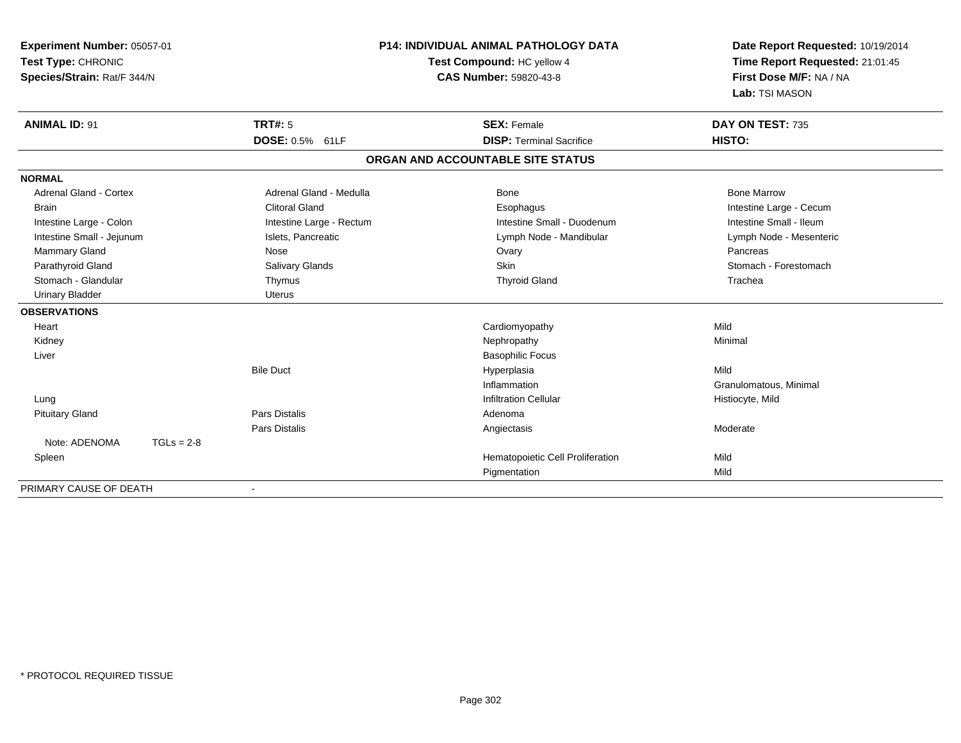| Experiment Number: 05057-01   |                          | <b>P14: INDIVIDUAL ANIMAL PATHOLOGY DATA</b> | Date Report Requested: 10/19/2014 |
|-------------------------------|--------------------------|----------------------------------------------|-----------------------------------|
| Test Type: CHRONIC            |                          | Test Compound: HC yellow 4                   | Time Report Requested: 21:01:45   |
| Species/Strain: Rat/F 344/N   |                          | <b>CAS Number: 59820-43-8</b>                | First Dose M/F: NA / NA           |
|                               |                          |                                              | Lab: TSI MASON                    |
| <b>ANIMAL ID: 91</b>          | <b>TRT#: 5</b>           | <b>SEX: Female</b>                           | DAY ON TEST: 735                  |
|                               | DOSE: 0.5% 61LF          | <b>DISP: Terminal Sacrifice</b>              | HISTO:                            |
|                               |                          | ORGAN AND ACCOUNTABLE SITE STATUS            |                                   |
| <b>NORMAL</b>                 |                          |                                              |                                   |
| <b>Adrenal Gland - Cortex</b> | Adrenal Gland - Medulla  | Bone                                         | <b>Bone Marrow</b>                |
| <b>Brain</b>                  | <b>Clitoral Gland</b>    | Esophagus                                    | Intestine Large - Cecum           |
| Intestine Large - Colon       | Intestine Large - Rectum | Intestine Small - Duodenum                   | Intestine Small - Ileum           |
| Intestine Small - Jejunum     | Islets, Pancreatic       | Lymph Node - Mandibular                      | Lymph Node - Mesenteric           |
| Mammary Gland                 | Nose                     | Ovary                                        | Pancreas                          |
| Parathyroid Gland             | Salivary Glands          | <b>Skin</b>                                  | Stomach - Forestomach             |
| Stomach - Glandular           | Thymus                   | <b>Thyroid Gland</b>                         | Trachea                           |
| <b>Urinary Bladder</b>        | <b>Uterus</b>            |                                              |                                   |
| <b>OBSERVATIONS</b>           |                          |                                              |                                   |
| Heart                         |                          | Cardiomyopathy                               | Mild                              |
| Kidney                        |                          | Nephropathy                                  | Minimal                           |
| Liver                         |                          | <b>Basophilic Focus</b>                      |                                   |
|                               | <b>Bile Duct</b>         | Hyperplasia                                  | Mild                              |
|                               |                          | Inflammation                                 | Granulomatous, Minimal            |
| Lung                          |                          | <b>Infiltration Cellular</b>                 | Histiocyte, Mild                  |
| <b>Pituitary Gland</b>        | Pars Distalis            | Adenoma                                      |                                   |
|                               | <b>Pars Distalis</b>     | Angiectasis                                  | Moderate                          |
| Note: ADENOMA                 | $TGLs = 2-8$             |                                              |                                   |
| Spleen                        |                          | Hematopoietic Cell Proliferation             | Mild                              |
|                               |                          | Pigmentation                                 | Mild                              |
| PRIMARY CAUSE OF DEATH        |                          |                                              |                                   |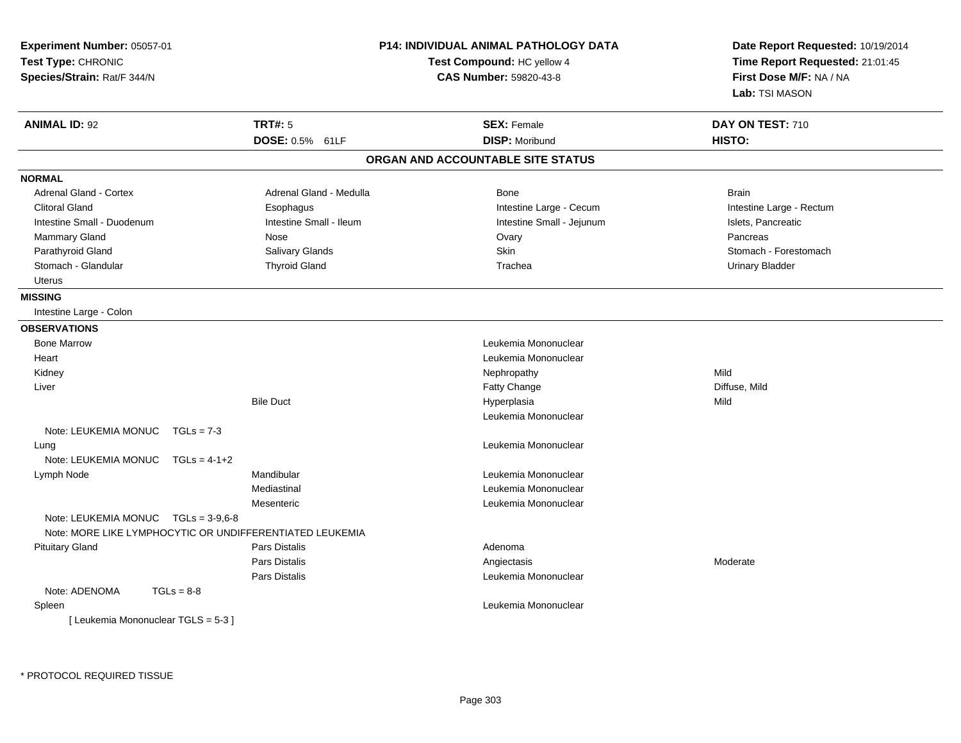| Experiment Number: 05057-01<br>Test Type: CHRONIC<br>Species/Strain: Rat/F 344/N                |                         | <b>P14: INDIVIDUAL ANIMAL PATHOLOGY DATA</b><br>Test Compound: HC yellow 4<br>CAS Number: 59820-43-8 | Date Report Requested: 10/19/2014<br>Time Report Requested: 21:01:45<br>First Dose M/F: NA / NA<br>Lab: TSI MASON |
|-------------------------------------------------------------------------------------------------|-------------------------|------------------------------------------------------------------------------------------------------|-------------------------------------------------------------------------------------------------------------------|
| <b>ANIMAL ID: 92</b>                                                                            | <b>TRT#: 5</b>          | <b>SEX: Female</b>                                                                                   | DAY ON TEST: 710                                                                                                  |
|                                                                                                 | DOSE: 0.5% 61LF         | <b>DISP: Moribund</b>                                                                                | HISTO:                                                                                                            |
|                                                                                                 |                         | ORGAN AND ACCOUNTABLE SITE STATUS                                                                    |                                                                                                                   |
| <b>NORMAL</b>                                                                                   |                         |                                                                                                      |                                                                                                                   |
| <b>Adrenal Gland - Cortex</b>                                                                   | Adrenal Gland - Medulla | Bone                                                                                                 | <b>Brain</b>                                                                                                      |
| <b>Clitoral Gland</b>                                                                           | Esophagus               | Intestine Large - Cecum                                                                              | Intestine Large - Rectum                                                                                          |
| Intestine Small - Duodenum                                                                      | Intestine Small - Ileum | Intestine Small - Jejunum                                                                            | Islets, Pancreatic                                                                                                |
| Mammary Gland                                                                                   | Nose                    | Ovary                                                                                                | Pancreas                                                                                                          |
| Parathyroid Gland                                                                               | Salivary Glands         | Skin                                                                                                 | Stomach - Forestomach                                                                                             |
| Stomach - Glandular                                                                             | <b>Thyroid Gland</b>    | Trachea                                                                                              | <b>Urinary Bladder</b>                                                                                            |
| <b>Uterus</b>                                                                                   |                         |                                                                                                      |                                                                                                                   |
| <b>MISSING</b>                                                                                  |                         |                                                                                                      |                                                                                                                   |
| Intestine Large - Colon                                                                         |                         |                                                                                                      |                                                                                                                   |
| <b>OBSERVATIONS</b>                                                                             |                         |                                                                                                      |                                                                                                                   |
| <b>Bone Marrow</b>                                                                              |                         | Leukemia Mononuclear                                                                                 |                                                                                                                   |
| Heart                                                                                           |                         | Leukemia Mononuclear                                                                                 |                                                                                                                   |
| Kidney                                                                                          |                         | Nephropathy                                                                                          | Mild                                                                                                              |
| Liver                                                                                           |                         | Fatty Change                                                                                         | Diffuse, Mild                                                                                                     |
|                                                                                                 | <b>Bile Duct</b>        | Hyperplasia                                                                                          | Mild                                                                                                              |
|                                                                                                 |                         | Leukemia Mononuclear                                                                                 |                                                                                                                   |
| Note: LEUKEMIA MONUC<br>$TGLs = 7-3$                                                            |                         |                                                                                                      |                                                                                                                   |
| Lung                                                                                            |                         | Leukemia Mononuclear                                                                                 |                                                                                                                   |
| Note: LEUKEMIA MONUC<br>$TGLs = 4-1+2$                                                          |                         |                                                                                                      |                                                                                                                   |
| Lymph Node                                                                                      | Mandibular              | Leukemia Mononuclear                                                                                 |                                                                                                                   |
|                                                                                                 | Mediastinal             | Leukemia Mononuclear                                                                                 |                                                                                                                   |
|                                                                                                 | Mesenteric              | Leukemia Mononuclear                                                                                 |                                                                                                                   |
| Note: LEUKEMIA MONUC TGLs = 3-9,6-8<br>Note: MORE LIKE LYMPHOCYTIC OR UNDIFFERENTIATED LEUKEMIA |                         |                                                                                                      |                                                                                                                   |
| <b>Pituitary Gland</b>                                                                          | Pars Distalis           | Adenoma                                                                                              |                                                                                                                   |
|                                                                                                 | Pars Distalis           | Angiectasis                                                                                          | Moderate                                                                                                          |
|                                                                                                 | Pars Distalis           | Leukemia Mononuclear                                                                                 |                                                                                                                   |
| Note: ADENOMA<br>$TGLs = 8-8$                                                                   |                         |                                                                                                      |                                                                                                                   |
| Spleen                                                                                          |                         | Leukemia Mononuclear                                                                                 |                                                                                                                   |
| [Leukemia Mononuclear TGLS = 5-3]                                                               |                         |                                                                                                      |                                                                                                                   |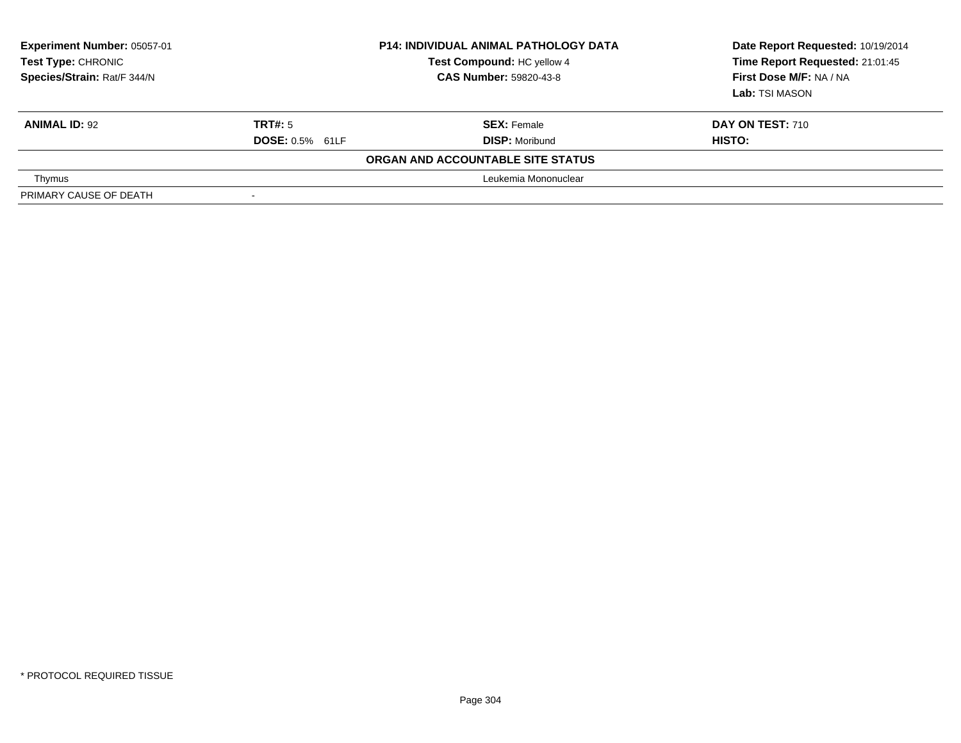| <b>Experiment Number: 05057-01</b><br><b>Test Type: CHRONIC</b><br>Species/Strain: Rat/F 344/N | <b>P14: INDIVIDUAL ANIMAL PATHOLOGY DATA</b><br>Test Compound: HC yellow 4<br><b>CAS Number: 59820-43-8</b> |                                   | Date Report Requested: 10/19/2014<br>Time Report Requested: 21:01:45<br>First Dose M/F: NA / NA<br>Lab: TSI MASON |
|------------------------------------------------------------------------------------------------|-------------------------------------------------------------------------------------------------------------|-----------------------------------|-------------------------------------------------------------------------------------------------------------------|
| <b>ANIMAL ID: 92</b>                                                                           | TRT#: 5                                                                                                     | <b>SEX: Female</b>                | <b>DAY ON TEST: 710</b>                                                                                           |
|                                                                                                | <b>DOSE: 0.5% 61LF</b>                                                                                      | <b>DISP: Moribund</b>             | HISTO:                                                                                                            |
|                                                                                                |                                                                                                             | ORGAN AND ACCOUNTABLE SITE STATUS |                                                                                                                   |
| Thymus                                                                                         |                                                                                                             | Leukemia Mononuclear              |                                                                                                                   |
| PRIMARY CAUSE OF DEATH                                                                         |                                                                                                             |                                   |                                                                                                                   |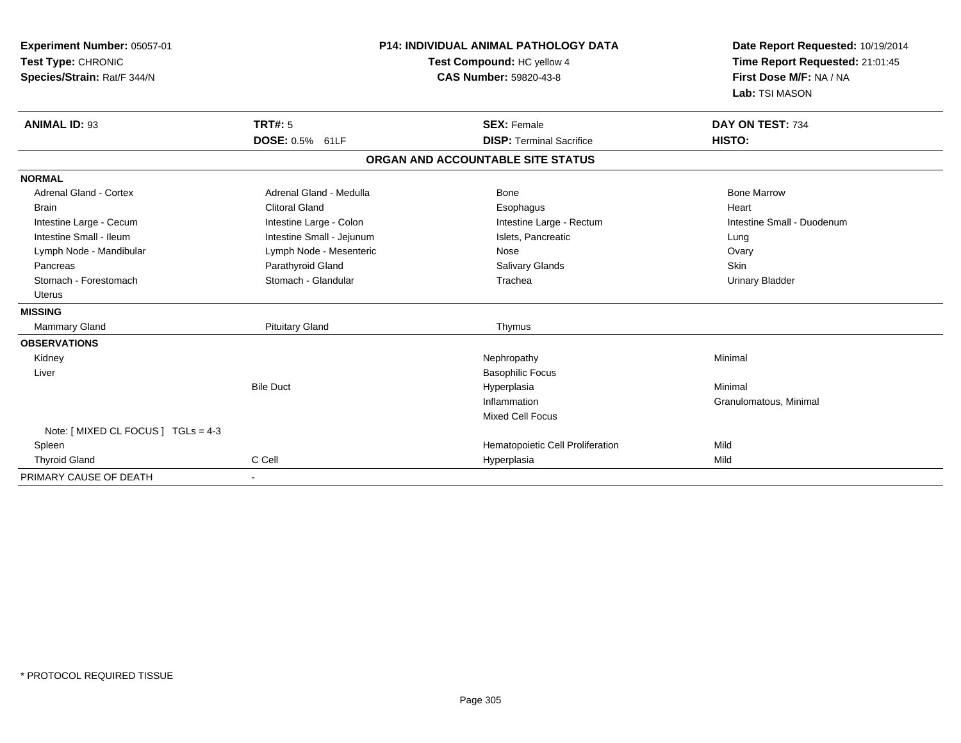| Experiment Number: 05057-01<br>Test Type: CHRONIC<br>Species/Strain: Rat/F 344/N<br><b>ANIMAL ID: 93</b> | TRT#: 5                   | <b>P14: INDIVIDUAL ANIMAL PATHOLOGY DATA</b><br>Test Compound: HC yellow 4<br><b>CAS Number: 59820-43-8</b><br><b>SEX: Female</b> | Date Report Requested: 10/19/2014<br>Time Report Requested: 21:01:45<br>First Dose M/F: NA / NA<br>Lab: TSI MASON<br>DAY ON TEST: 734 |
|----------------------------------------------------------------------------------------------------------|---------------------------|-----------------------------------------------------------------------------------------------------------------------------------|---------------------------------------------------------------------------------------------------------------------------------------|
|                                                                                                          | DOSE: 0.5% 61LF           | <b>DISP: Terminal Sacrifice</b>                                                                                                   | HISTO:                                                                                                                                |
|                                                                                                          |                           | ORGAN AND ACCOUNTABLE SITE STATUS                                                                                                 |                                                                                                                                       |
| <b>NORMAL</b>                                                                                            |                           |                                                                                                                                   |                                                                                                                                       |
| <b>Adrenal Gland - Cortex</b>                                                                            | Adrenal Gland - Medulla   | Bone                                                                                                                              | <b>Bone Marrow</b>                                                                                                                    |
| <b>Brain</b>                                                                                             | <b>Clitoral Gland</b>     | Esophagus                                                                                                                         | Heart                                                                                                                                 |
| Intestine Large - Cecum                                                                                  | Intestine Large - Colon   | Intestine Large - Rectum                                                                                                          | Intestine Small - Duodenum                                                                                                            |
| Intestine Small - Ileum                                                                                  | Intestine Small - Jejunum | Islets, Pancreatic                                                                                                                | Lung                                                                                                                                  |
| Lymph Node - Mandibular                                                                                  | Lymph Node - Mesenteric   | Nose                                                                                                                              | Ovary                                                                                                                                 |
| Pancreas                                                                                                 | Parathyroid Gland         | <b>Salivary Glands</b>                                                                                                            | Skin                                                                                                                                  |
| Stomach - Forestomach                                                                                    | Stomach - Glandular       | Trachea                                                                                                                           | <b>Urinary Bladder</b>                                                                                                                |
| <b>Uterus</b>                                                                                            |                           |                                                                                                                                   |                                                                                                                                       |
| <b>MISSING</b>                                                                                           |                           |                                                                                                                                   |                                                                                                                                       |
| <b>Mammary Gland</b>                                                                                     | <b>Pituitary Gland</b>    | Thymus                                                                                                                            |                                                                                                                                       |
| <b>OBSERVATIONS</b>                                                                                      |                           |                                                                                                                                   |                                                                                                                                       |
| Kidney                                                                                                   |                           | Nephropathy                                                                                                                       | Minimal                                                                                                                               |
| Liver                                                                                                    |                           | <b>Basophilic Focus</b>                                                                                                           |                                                                                                                                       |
|                                                                                                          | <b>Bile Duct</b>          | Hyperplasia                                                                                                                       | Minimal                                                                                                                               |
|                                                                                                          |                           | Inflammation                                                                                                                      | Granulomatous, Minimal                                                                                                                |
|                                                                                                          |                           | Mixed Cell Focus                                                                                                                  |                                                                                                                                       |
| Note: [ MIXED CL FOCUS ] TGLs = 4-3                                                                      |                           |                                                                                                                                   |                                                                                                                                       |
| Spleen                                                                                                   |                           | Hematopoietic Cell Proliferation                                                                                                  | Mild                                                                                                                                  |
| <b>Thyroid Gland</b>                                                                                     | C Cell                    | Hyperplasia                                                                                                                       | Mild                                                                                                                                  |
| PRIMARY CAUSE OF DEATH                                                                                   |                           |                                                                                                                                   |                                                                                                                                       |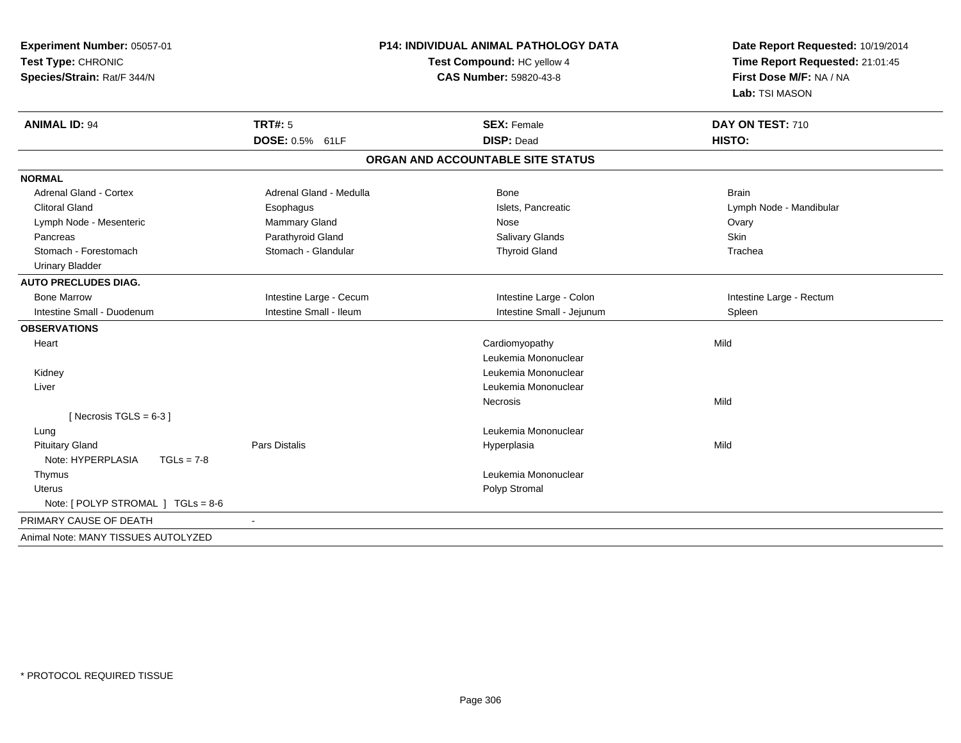| Experiment Number: 05057-01<br>Test Type: CHRONIC<br>Species/Strain: Rat/F 344/N | <b>P14: INDIVIDUAL ANIMAL PATHOLOGY DATA</b><br>Test Compound: HC yellow 4<br><b>CAS Number: 59820-43-8</b> |                                         | Date Report Requested: 10/19/2014<br>Time Report Requested: 21:01:45<br>First Dose M/F: NA / NA<br>Lab: TSI MASON |
|----------------------------------------------------------------------------------|-------------------------------------------------------------------------------------------------------------|-----------------------------------------|-------------------------------------------------------------------------------------------------------------------|
| <b>ANIMAL ID: 94</b>                                                             | TRT#: 5<br>DOSE: 0.5% 61LF                                                                                  | <b>SEX: Female</b><br><b>DISP: Dead</b> | DAY ON TEST: 710<br>HISTO:                                                                                        |
|                                                                                  |                                                                                                             | ORGAN AND ACCOUNTABLE SITE STATUS       |                                                                                                                   |
| <b>NORMAL</b>                                                                    |                                                                                                             |                                         |                                                                                                                   |
| <b>Adrenal Gland - Cortex</b>                                                    | Adrenal Gland - Medulla                                                                                     | Bone                                    | <b>Brain</b>                                                                                                      |
| <b>Clitoral Gland</b>                                                            | Esophagus                                                                                                   | Islets, Pancreatic                      | Lymph Node - Mandibular                                                                                           |
| Lymph Node - Mesenteric                                                          | Mammary Gland                                                                                               | <b>Nose</b>                             | Ovary                                                                                                             |
| Pancreas                                                                         | Parathyroid Gland                                                                                           | <b>Salivary Glands</b>                  | Skin                                                                                                              |
| Stomach - Forestomach                                                            | Stomach - Glandular                                                                                         | <b>Thyroid Gland</b>                    | Trachea                                                                                                           |
| <b>Urinary Bladder</b>                                                           |                                                                                                             |                                         |                                                                                                                   |
| <b>AUTO PRECLUDES DIAG.</b>                                                      |                                                                                                             |                                         |                                                                                                                   |
| <b>Bone Marrow</b>                                                               | Intestine Large - Cecum                                                                                     | Intestine Large - Colon                 | Intestine Large - Rectum                                                                                          |
| Intestine Small - Duodenum                                                       | Intestine Small - Ileum                                                                                     | Intestine Small - Jejunum               | Spleen                                                                                                            |
| <b>OBSERVATIONS</b>                                                              |                                                                                                             |                                         |                                                                                                                   |
| Heart                                                                            |                                                                                                             | Cardiomyopathy                          | Mild                                                                                                              |
|                                                                                  |                                                                                                             | Leukemia Mononuclear                    |                                                                                                                   |
| Kidney                                                                           |                                                                                                             | Leukemia Mononuclear                    |                                                                                                                   |
| Liver                                                                            |                                                                                                             | Leukemia Mononuclear                    |                                                                                                                   |
|                                                                                  |                                                                                                             | Necrosis                                | Mild                                                                                                              |
| [Necrosis TGLS = $6-3$ ]                                                         |                                                                                                             |                                         |                                                                                                                   |
| Lung                                                                             |                                                                                                             | Leukemia Mononuclear                    |                                                                                                                   |
| <b>Pituitary Gland</b>                                                           | <b>Pars Distalis</b>                                                                                        | Hyperplasia                             | Mild                                                                                                              |
| Note: HYPERPLASIA<br>$TGLs = 7-8$                                                |                                                                                                             |                                         |                                                                                                                   |
| Thymus                                                                           |                                                                                                             | Leukemia Mononuclear                    |                                                                                                                   |
| <b>Uterus</b>                                                                    |                                                                                                             | Polyp Stromal                           |                                                                                                                   |
| Note: [ POLYP STROMAL ] TGLs = 8-6                                               |                                                                                                             |                                         |                                                                                                                   |
| PRIMARY CAUSE OF DEATH                                                           |                                                                                                             |                                         |                                                                                                                   |
| Animal Note: MANY TISSUES AUTOLYZED                                              |                                                                                                             |                                         |                                                                                                                   |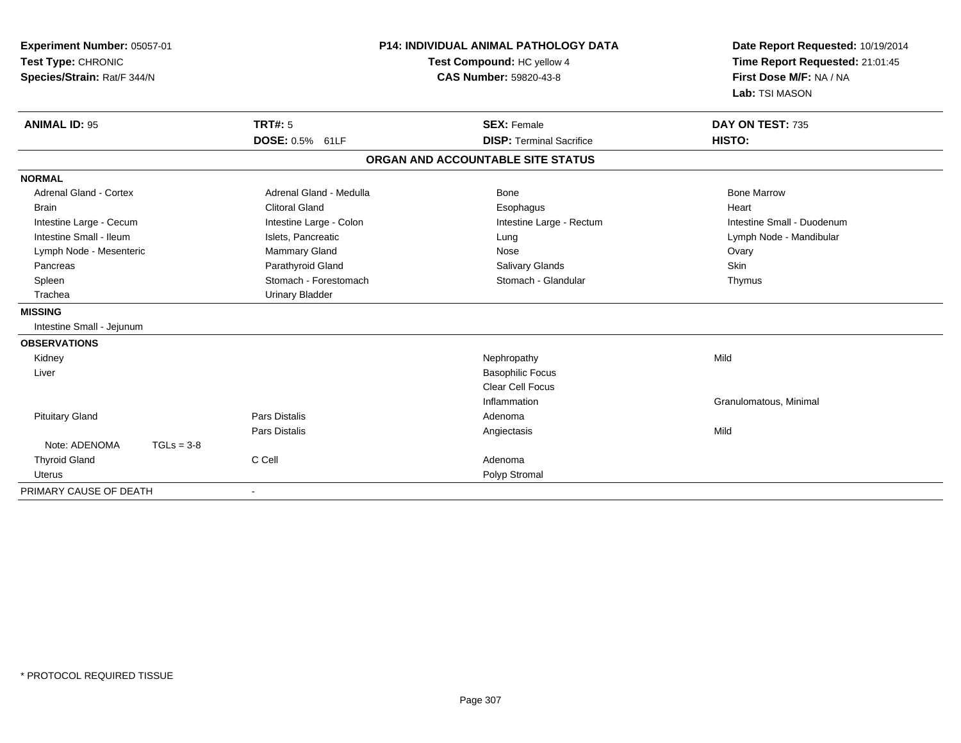| Experiment Number: 05057-01<br>Test Type: CHRONIC<br>Species/Strain: Rat/F 344/N |              |                         | <b>P14: INDIVIDUAL ANIMAL PATHOLOGY DATA</b><br>Test Compound: HC yellow 4<br><b>CAS Number: 59820-43-8</b> | Date Report Requested: 10/19/2014<br>Time Report Requested: 21:01:45<br>First Dose M/F: NA / NA<br>Lab: TSI MASON |
|----------------------------------------------------------------------------------|--------------|-------------------------|-------------------------------------------------------------------------------------------------------------|-------------------------------------------------------------------------------------------------------------------|
| <b>ANIMAL ID: 95</b>                                                             |              | <b>TRT#: 5</b>          | <b>SEX: Female</b><br><b>DISP: Terminal Sacrifice</b>                                                       | DAY ON TEST: 735                                                                                                  |
|                                                                                  |              | DOSE: 0.5% 61LF         |                                                                                                             | HISTO:                                                                                                            |
|                                                                                  |              |                         | ORGAN AND ACCOUNTABLE SITE STATUS                                                                           |                                                                                                                   |
| <b>NORMAL</b>                                                                    |              |                         |                                                                                                             |                                                                                                                   |
| <b>Adrenal Gland - Cortex</b>                                                    |              | Adrenal Gland - Medulla | <b>Bone</b>                                                                                                 | <b>Bone Marrow</b>                                                                                                |
| <b>Brain</b>                                                                     |              | <b>Clitoral Gland</b>   | Esophagus                                                                                                   | Heart                                                                                                             |
| Intestine Large - Cecum                                                          |              | Intestine Large - Colon | Intestine Large - Rectum                                                                                    | Intestine Small - Duodenum                                                                                        |
| Intestine Small - Ileum                                                          |              | Islets, Pancreatic      | Lung                                                                                                        | Lymph Node - Mandibular                                                                                           |
| Lymph Node - Mesenteric                                                          |              | Mammary Gland           | Nose                                                                                                        | Ovary                                                                                                             |
| Pancreas                                                                         |              | Parathyroid Gland       | Salivary Glands                                                                                             | Skin                                                                                                              |
| Spleen                                                                           |              | Stomach - Forestomach   | Stomach - Glandular                                                                                         | Thymus                                                                                                            |
| Trachea                                                                          |              | <b>Urinary Bladder</b>  |                                                                                                             |                                                                                                                   |
| <b>MISSING</b>                                                                   |              |                         |                                                                                                             |                                                                                                                   |
| Intestine Small - Jejunum                                                        |              |                         |                                                                                                             |                                                                                                                   |
| <b>OBSERVATIONS</b>                                                              |              |                         |                                                                                                             |                                                                                                                   |
| Kidney                                                                           |              |                         | Nephropathy                                                                                                 | Mild                                                                                                              |
| Liver                                                                            |              |                         | <b>Basophilic Focus</b>                                                                                     |                                                                                                                   |
|                                                                                  |              |                         | Clear Cell Focus                                                                                            |                                                                                                                   |
|                                                                                  |              |                         | Inflammation                                                                                                | Granulomatous, Minimal                                                                                            |
| <b>Pituitary Gland</b>                                                           |              | Pars Distalis           | Adenoma                                                                                                     |                                                                                                                   |
|                                                                                  |              | <b>Pars Distalis</b>    | Angiectasis                                                                                                 | Mild                                                                                                              |
| Note: ADENOMA                                                                    | $TGLs = 3-8$ |                         |                                                                                                             |                                                                                                                   |
| <b>Thyroid Gland</b>                                                             |              | C Cell                  | Adenoma                                                                                                     |                                                                                                                   |
| <b>Uterus</b>                                                                    |              |                         | Polyp Stromal                                                                                               |                                                                                                                   |
| PRIMARY CAUSE OF DEATH                                                           |              |                         |                                                                                                             |                                                                                                                   |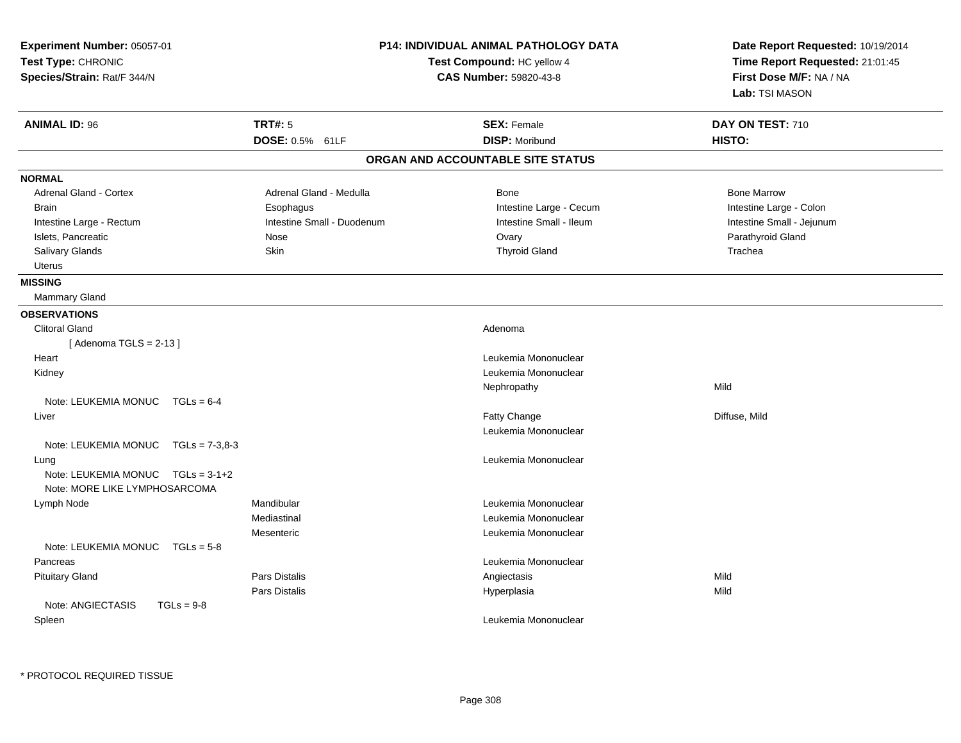| Experiment Number: 05057-01<br>Test Type: CHRONIC<br>Species/Strain: Rat/F 344/N |                            | P14: INDIVIDUAL ANIMAL PATHOLOGY DATA<br>Test Compound: HC yellow 4<br><b>CAS Number: 59820-43-8</b> | Date Report Requested: 10/19/2014<br>Time Report Requested: 21:01:45<br>First Dose M/F: NA / NA<br>Lab: TSI MASON |
|----------------------------------------------------------------------------------|----------------------------|------------------------------------------------------------------------------------------------------|-------------------------------------------------------------------------------------------------------------------|
| <b>ANIMAL ID: 96</b>                                                             | <b>TRT#: 5</b>             | <b>SEX: Female</b>                                                                                   | DAY ON TEST: 710                                                                                                  |
|                                                                                  | DOSE: 0.5% 61LF            | <b>DISP: Moribund</b>                                                                                | HISTO:                                                                                                            |
|                                                                                  |                            | ORGAN AND ACCOUNTABLE SITE STATUS                                                                    |                                                                                                                   |
| <b>NORMAL</b>                                                                    |                            |                                                                                                      |                                                                                                                   |
| Adrenal Gland - Cortex                                                           | Adrenal Gland - Medulla    | Bone                                                                                                 | <b>Bone Marrow</b>                                                                                                |
| <b>Brain</b>                                                                     | Esophagus                  | Intestine Large - Cecum                                                                              | Intestine Large - Colon                                                                                           |
| Intestine Large - Rectum                                                         | Intestine Small - Duodenum | Intestine Small - Ileum                                                                              | Intestine Small - Jejunum                                                                                         |
| Islets, Pancreatic                                                               | Nose                       | Ovary                                                                                                | Parathyroid Gland                                                                                                 |
| Salivary Glands                                                                  | Skin                       | <b>Thyroid Gland</b>                                                                                 | Trachea                                                                                                           |
| <b>Uterus</b>                                                                    |                            |                                                                                                      |                                                                                                                   |
| <b>MISSING</b>                                                                   |                            |                                                                                                      |                                                                                                                   |
| Mammary Gland                                                                    |                            |                                                                                                      |                                                                                                                   |
| <b>OBSERVATIONS</b>                                                              |                            |                                                                                                      |                                                                                                                   |
| <b>Clitoral Gland</b>                                                            |                            | Adenoma                                                                                              |                                                                                                                   |
| [Adenoma TGLS = $2-13$ ]                                                         |                            |                                                                                                      |                                                                                                                   |
| Heart                                                                            |                            | Leukemia Mononuclear                                                                                 |                                                                                                                   |
| Kidney                                                                           |                            | Leukemia Mononuclear                                                                                 |                                                                                                                   |
|                                                                                  |                            | Nephropathy                                                                                          | Mild                                                                                                              |
| Note: LEUKEMIA MONUC $TGLs = 6-4$                                                |                            |                                                                                                      |                                                                                                                   |
| Liver                                                                            |                            | Fatty Change                                                                                         | Diffuse, Mild                                                                                                     |
|                                                                                  |                            | Leukemia Mononuclear                                                                                 |                                                                                                                   |
| Note: LEUKEMIA MONUC TGLs = 7-3,8-3                                              |                            |                                                                                                      |                                                                                                                   |
| Lung                                                                             |                            | Leukemia Mononuclear                                                                                 |                                                                                                                   |
| Note: LEUKEMIA MONUC TGLs = 3-1+2                                                |                            |                                                                                                      |                                                                                                                   |
| Note: MORE LIKE LYMPHOSARCOMA                                                    |                            |                                                                                                      |                                                                                                                   |
| Lymph Node                                                                       | Mandibular                 | Leukemia Mononuclear                                                                                 |                                                                                                                   |
|                                                                                  | Mediastinal                | Leukemia Mononuclear                                                                                 |                                                                                                                   |
|                                                                                  | Mesenteric                 | Leukemia Mononuclear                                                                                 |                                                                                                                   |
| Note: LEUKEMIA MONUC<br>$TGLs = 5-8$                                             |                            |                                                                                                      |                                                                                                                   |
| Pancreas                                                                         |                            | Leukemia Mononuclear                                                                                 |                                                                                                                   |
| <b>Pituitary Gland</b>                                                           | <b>Pars Distalis</b>       | Angiectasis                                                                                          | Mild                                                                                                              |
|                                                                                  | Pars Distalis              | Hyperplasia                                                                                          | Mild                                                                                                              |
| Note: ANGIECTASIS<br>$TGLs = 9-8$                                                |                            |                                                                                                      |                                                                                                                   |
| Spleen                                                                           |                            | Leukemia Mononuclear                                                                                 |                                                                                                                   |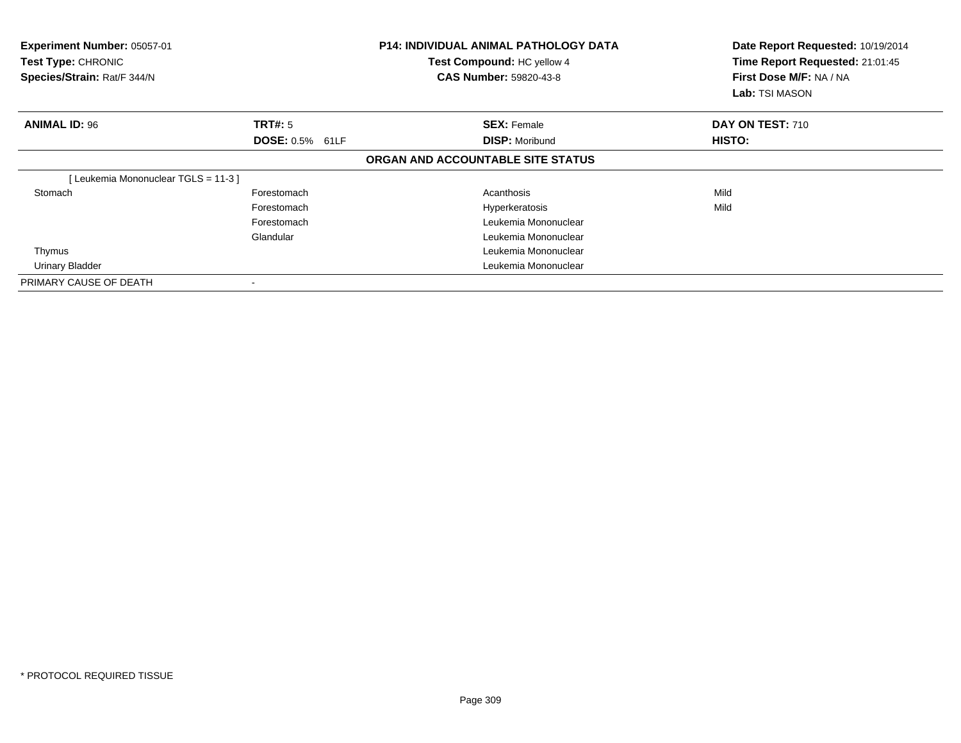| Experiment Number: 05057-01<br>Test Type: CHRONIC<br>Species/Strain: Rat/F 344/N |                                          | <b>P14: INDIVIDUAL ANIMAL PATHOLOGY DATA</b><br>Test Compound: HC yellow 4<br><b>CAS Number: 59820-43-8</b> | Date Report Requested: 10/19/2014<br>Time Report Requested: 21:01:45<br>First Dose M/F: NA / NA<br>Lab: TSI MASON |  |
|----------------------------------------------------------------------------------|------------------------------------------|-------------------------------------------------------------------------------------------------------------|-------------------------------------------------------------------------------------------------------------------|--|
| <b>ANIMAL ID: 96</b>                                                             | <b>TRT#: 5</b><br><b>DOSE: 0.5% 61LF</b> | <b>SEX: Female</b><br><b>DISP: Moribund</b>                                                                 | DAY ON TEST: 710<br>HISTO:                                                                                        |  |
|                                                                                  |                                          | ORGAN AND ACCOUNTABLE SITE STATUS                                                                           |                                                                                                                   |  |
| Leukemia Mononuclear TGLS = 11-3 ]                                               |                                          |                                                                                                             |                                                                                                                   |  |
| Stomach                                                                          | Forestomach                              | Acanthosis                                                                                                  | Mild                                                                                                              |  |
|                                                                                  | Forestomach                              | Hyperkeratosis                                                                                              | Mild                                                                                                              |  |
|                                                                                  | Forestomach                              | Leukemia Mononuclear                                                                                        |                                                                                                                   |  |
|                                                                                  | Glandular                                | Leukemia Mononuclear                                                                                        |                                                                                                                   |  |
| Thymus                                                                           |                                          | Leukemia Mononuclear                                                                                        |                                                                                                                   |  |
| Urinary Bladder                                                                  |                                          | Leukemia Mononuclear                                                                                        |                                                                                                                   |  |
| PRIMARY CAUSE OF DEATH                                                           |                                          |                                                                                                             |                                                                                                                   |  |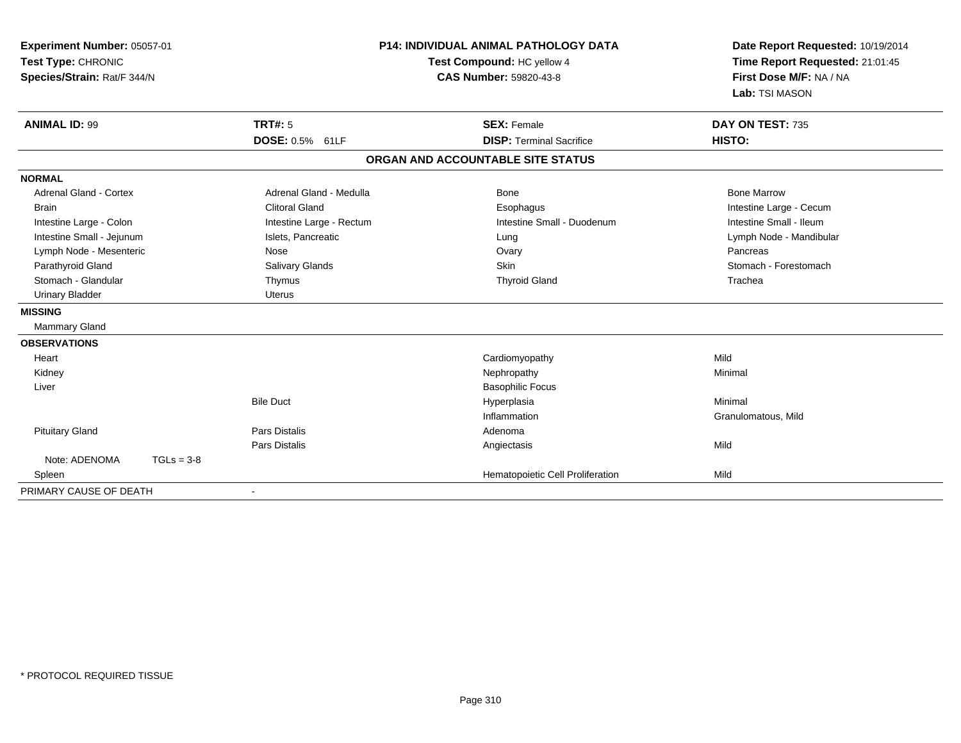| Experiment Number: 05057-01<br>Test Type: CHRONIC<br>Species/Strain: Rat/F 344/N |                                                  | <b>P14: INDIVIDUAL ANIMAL PATHOLOGY DATA</b><br>Test Compound: HC yellow 4<br><b>CAS Number: 59820-43-8</b> | Date Report Requested: 10/19/2014<br>Time Report Requested: 21:01:45<br>First Dose M/F: NA / NA<br>Lab: TSI MASON |  |
|----------------------------------------------------------------------------------|--------------------------------------------------|-------------------------------------------------------------------------------------------------------------|-------------------------------------------------------------------------------------------------------------------|--|
| <b>ANIMAL ID: 99</b>                                                             | TRT#: 5<br>DOSE: 0.5% 61LF                       | <b>SEX: Female</b><br><b>DISP: Terminal Sacrifice</b>                                                       | DAY ON TEST: 735<br>HISTO:                                                                                        |  |
|                                                                                  |                                                  | ORGAN AND ACCOUNTABLE SITE STATUS                                                                           |                                                                                                                   |  |
|                                                                                  |                                                  |                                                                                                             |                                                                                                                   |  |
| <b>NORMAL</b>                                                                    |                                                  |                                                                                                             |                                                                                                                   |  |
| <b>Adrenal Gland - Cortex</b>                                                    | Adrenal Gland - Medulla<br><b>Clitoral Gland</b> | <b>Bone</b>                                                                                                 | <b>Bone Marrow</b>                                                                                                |  |
| <b>Brain</b>                                                                     |                                                  | Esophagus<br>Intestine Small - Duodenum                                                                     | Intestine Large - Cecum<br>Intestine Small - Ileum                                                                |  |
| Intestine Large - Colon                                                          | Intestine Large - Rectum                         |                                                                                                             |                                                                                                                   |  |
| Intestine Small - Jejunum<br>Lymph Node - Mesenteric                             | Islets, Pancreatic<br>Nose                       | Lung<br>Ovary                                                                                               | Lymph Node - Mandibular<br>Pancreas                                                                               |  |
| Parathyroid Gland                                                                | Salivary Glands                                  | <b>Skin</b>                                                                                                 | Stomach - Forestomach                                                                                             |  |
| Stomach - Glandular                                                              | Thymus                                           | <b>Thyroid Gland</b>                                                                                        | Trachea                                                                                                           |  |
| <b>Urinary Bladder</b>                                                           | <b>Uterus</b>                                    |                                                                                                             |                                                                                                                   |  |
| <b>MISSING</b>                                                                   |                                                  |                                                                                                             |                                                                                                                   |  |
|                                                                                  |                                                  |                                                                                                             |                                                                                                                   |  |
| <b>Mammary Gland</b>                                                             |                                                  |                                                                                                             |                                                                                                                   |  |
| <b>OBSERVATIONS</b>                                                              |                                                  |                                                                                                             |                                                                                                                   |  |
| Heart                                                                            |                                                  | Cardiomyopathy                                                                                              | Mild                                                                                                              |  |
| Kidney                                                                           |                                                  | Nephropathy                                                                                                 | Minimal                                                                                                           |  |
| Liver                                                                            |                                                  | <b>Basophilic Focus</b>                                                                                     |                                                                                                                   |  |
|                                                                                  | <b>Bile Duct</b>                                 | Hyperplasia                                                                                                 | Minimal                                                                                                           |  |
|                                                                                  |                                                  | Inflammation                                                                                                | Granulomatous, Mild                                                                                               |  |
| <b>Pituitary Gland</b>                                                           | <b>Pars Distalis</b>                             | Adenoma                                                                                                     |                                                                                                                   |  |
| Note: ADENOMA<br>$TGLs = 3-8$                                                    | <b>Pars Distalis</b>                             | Angiectasis                                                                                                 | Mild                                                                                                              |  |
|                                                                                  |                                                  |                                                                                                             | Mild                                                                                                              |  |
| Spleen                                                                           |                                                  | Hematopoietic Cell Proliferation                                                                            |                                                                                                                   |  |
| PRIMARY CAUSE OF DEATH                                                           |                                                  |                                                                                                             |                                                                                                                   |  |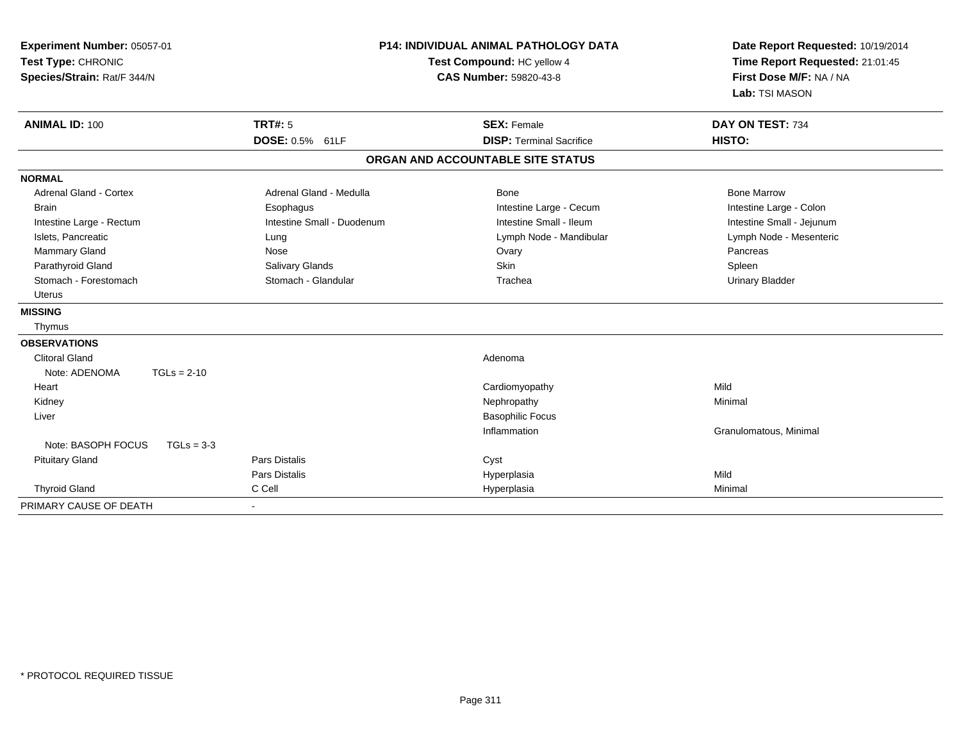| Experiment Number: 05057-01<br>Test Type: CHRONIC<br>Species/Strain: Rat/F 344/N | <b>P14: INDIVIDUAL ANIMAL PATHOLOGY DATA</b><br>Test Compound: HC yellow 4<br><b>CAS Number: 59820-43-8</b> |                                   | Date Report Requested: 10/19/2014<br>Time Report Requested: 21:01:45<br>First Dose M/F: NA / NA<br>Lab: TSI MASON |
|----------------------------------------------------------------------------------|-------------------------------------------------------------------------------------------------------------|-----------------------------------|-------------------------------------------------------------------------------------------------------------------|
| <b>ANIMAL ID: 100</b>                                                            | TRT#: 5                                                                                                     | <b>SEX: Female</b>                | DAY ON TEST: 734                                                                                                  |
|                                                                                  | DOSE: 0.5% 61LF                                                                                             | <b>DISP: Terminal Sacrifice</b>   | HISTO:                                                                                                            |
|                                                                                  |                                                                                                             | ORGAN AND ACCOUNTABLE SITE STATUS |                                                                                                                   |
| <b>NORMAL</b>                                                                    |                                                                                                             |                                   |                                                                                                                   |
| Adrenal Gland - Cortex                                                           | Adrenal Gland - Medulla                                                                                     | Bone                              | <b>Bone Marrow</b>                                                                                                |
| <b>Brain</b>                                                                     | Esophagus                                                                                                   | Intestine Large - Cecum           | Intestine Large - Colon                                                                                           |
| Intestine Large - Rectum                                                         | Intestine Small - Duodenum                                                                                  | Intestine Small - Ileum           | Intestine Small - Jejunum                                                                                         |
| Islets, Pancreatic                                                               | Lung                                                                                                        | Lymph Node - Mandibular           | Lymph Node - Mesenteric                                                                                           |
| <b>Mammary Gland</b>                                                             | Nose                                                                                                        | Ovary                             | Pancreas                                                                                                          |
| Parathyroid Gland                                                                | Salivary Glands                                                                                             | <b>Skin</b>                       | Spleen                                                                                                            |
| Stomach - Forestomach                                                            | Stomach - Glandular                                                                                         | Trachea                           | <b>Urinary Bladder</b>                                                                                            |
| <b>Uterus</b>                                                                    |                                                                                                             |                                   |                                                                                                                   |
| <b>MISSING</b>                                                                   |                                                                                                             |                                   |                                                                                                                   |
| Thymus                                                                           |                                                                                                             |                                   |                                                                                                                   |
| <b>OBSERVATIONS</b>                                                              |                                                                                                             |                                   |                                                                                                                   |
| <b>Clitoral Gland</b>                                                            |                                                                                                             | Adenoma                           |                                                                                                                   |
| Note: ADENOMA<br>$TGLs = 2-10$                                                   |                                                                                                             |                                   |                                                                                                                   |
| Heart                                                                            |                                                                                                             | Cardiomyopathy                    | Mild                                                                                                              |
| Kidney                                                                           |                                                                                                             | Nephropathy                       | Minimal                                                                                                           |
| Liver                                                                            |                                                                                                             | <b>Basophilic Focus</b>           |                                                                                                                   |
|                                                                                  |                                                                                                             | Inflammation                      | Granulomatous, Minimal                                                                                            |
| Note: BASOPH FOCUS<br>$TGLs = 3-3$                                               |                                                                                                             |                                   |                                                                                                                   |
| <b>Pituitary Gland</b>                                                           | <b>Pars Distalis</b>                                                                                        | Cyst                              |                                                                                                                   |
|                                                                                  | <b>Pars Distalis</b>                                                                                        | Hyperplasia                       | Mild                                                                                                              |
| <b>Thyroid Gland</b>                                                             | C Cell                                                                                                      | Hyperplasia                       | Minimal                                                                                                           |
| PRIMARY CAUSE OF DEATH                                                           |                                                                                                             |                                   |                                                                                                                   |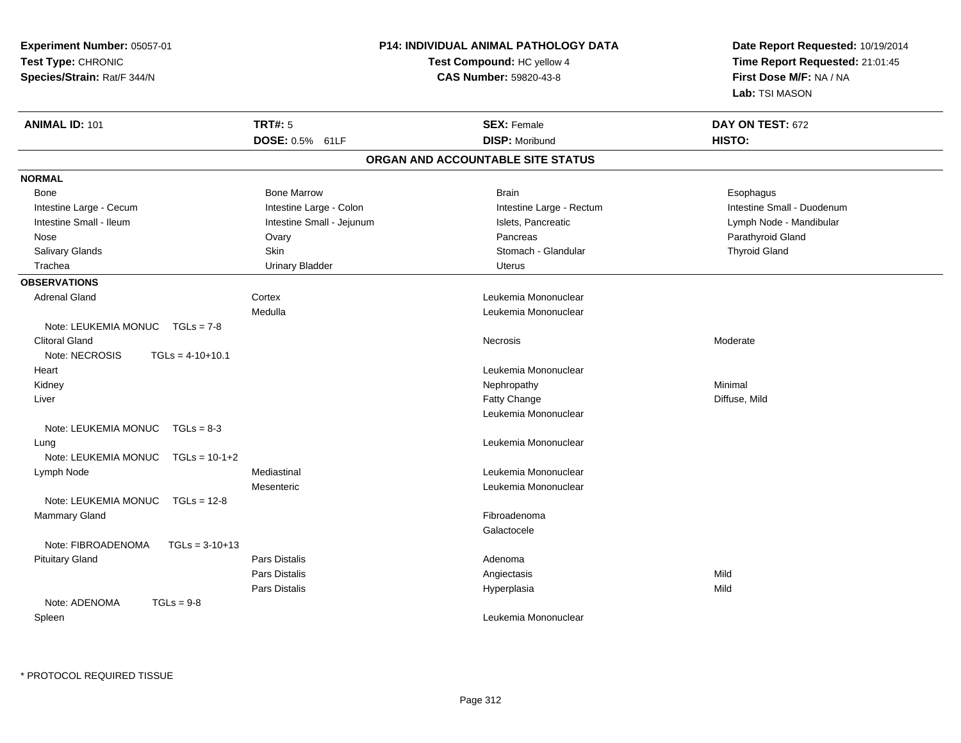| Experiment Number: 05057-01            |                               | <b>P14: INDIVIDUAL ANIMAL PATHOLOGY DATA</b> | Date Report Requested: 10/19/2014<br>Time Report Requested: 21:01:45 |  |
|----------------------------------------|-------------------------------|----------------------------------------------|----------------------------------------------------------------------|--|
| Test Type: CHRONIC                     |                               | Test Compound: HC yellow 4                   |                                                                      |  |
| Species/Strain: Rat/F 344/N            | <b>CAS Number: 59820-43-8</b> |                                              | First Dose M/F: NA / NA                                              |  |
|                                        |                               |                                              | Lab: TSI MASON                                                       |  |
| <b>ANIMAL ID: 101</b>                  | <b>TRT#: 5</b>                | <b>SEX: Female</b>                           | DAY ON TEST: 672                                                     |  |
|                                        | DOSE: 0.5% 61LF               | <b>DISP: Moribund</b>                        | HISTO:                                                               |  |
|                                        |                               | ORGAN AND ACCOUNTABLE SITE STATUS            |                                                                      |  |
| <b>NORMAL</b>                          |                               |                                              |                                                                      |  |
| Bone                                   | <b>Bone Marrow</b>            | Brain                                        | Esophagus                                                            |  |
| Intestine Large - Cecum                | Intestine Large - Colon       | Intestine Large - Rectum                     | Intestine Small - Duodenum                                           |  |
| Intestine Small - Ileum                | Intestine Small - Jejunum     | Islets, Pancreatic                           | Lymph Node - Mandibular                                              |  |
| Nose                                   | Ovary                         | Pancreas                                     | Parathyroid Gland                                                    |  |
| Salivary Glands                        | Skin                          | Stomach - Glandular                          | <b>Thyroid Gland</b>                                                 |  |
| Trachea                                | <b>Urinary Bladder</b>        | <b>Uterus</b>                                |                                                                      |  |
| <b>OBSERVATIONS</b>                    |                               |                                              |                                                                      |  |
| <b>Adrenal Gland</b>                   | Cortex                        | Leukemia Mononuclear                         |                                                                      |  |
|                                        | Medulla                       | Leukemia Mononuclear                         |                                                                      |  |
| Note: LEUKEMIA MONUC TGLs = 7-8        |                               |                                              |                                                                      |  |
| <b>Clitoral Gland</b>                  |                               | Necrosis                                     | Moderate                                                             |  |
| Note: NECROSIS<br>$TGLs = 4-10+10.1$   |                               |                                              |                                                                      |  |
| Heart                                  |                               | Leukemia Mononuclear                         |                                                                      |  |
| Kidney                                 |                               | Nephropathy                                  | Minimal                                                              |  |
| Liver                                  |                               | Fatty Change                                 | Diffuse, Mild                                                        |  |
|                                        |                               | Leukemia Mononuclear                         |                                                                      |  |
| Note: LEUKEMIA MONUC TGLs = 8-3        |                               |                                              |                                                                      |  |
| Lung                                   |                               | Leukemia Mononuclear                         |                                                                      |  |
| Note: LEUKEMIA MONUC TGLs = 10-1+2     |                               |                                              |                                                                      |  |
| Lymph Node                             | Mediastinal                   | Leukemia Mononuclear                         |                                                                      |  |
|                                        | Mesenteric                    | Leukemia Mononuclear                         |                                                                      |  |
| Note: LEUKEMIA MONUC   TGLs = 12-8     |                               |                                              |                                                                      |  |
| Mammary Gland                          |                               | Fibroadenoma                                 |                                                                      |  |
|                                        |                               | Galactocele                                  |                                                                      |  |
| Note: FIBROADENOMA<br>$TGLs = 3-10+13$ |                               |                                              |                                                                      |  |
| <b>Pituitary Gland</b>                 | <b>Pars Distalis</b>          | Adenoma                                      |                                                                      |  |
|                                        | Pars Distalis                 | Angiectasis                                  | Mild                                                                 |  |
|                                        | Pars Distalis                 | Hyperplasia                                  | Mild                                                                 |  |
| $TGLs = 9-8$<br>Note: ADENOMA          |                               |                                              |                                                                      |  |
| Spleen                                 |                               | Leukemia Mononuclear                         |                                                                      |  |
|                                        |                               |                                              |                                                                      |  |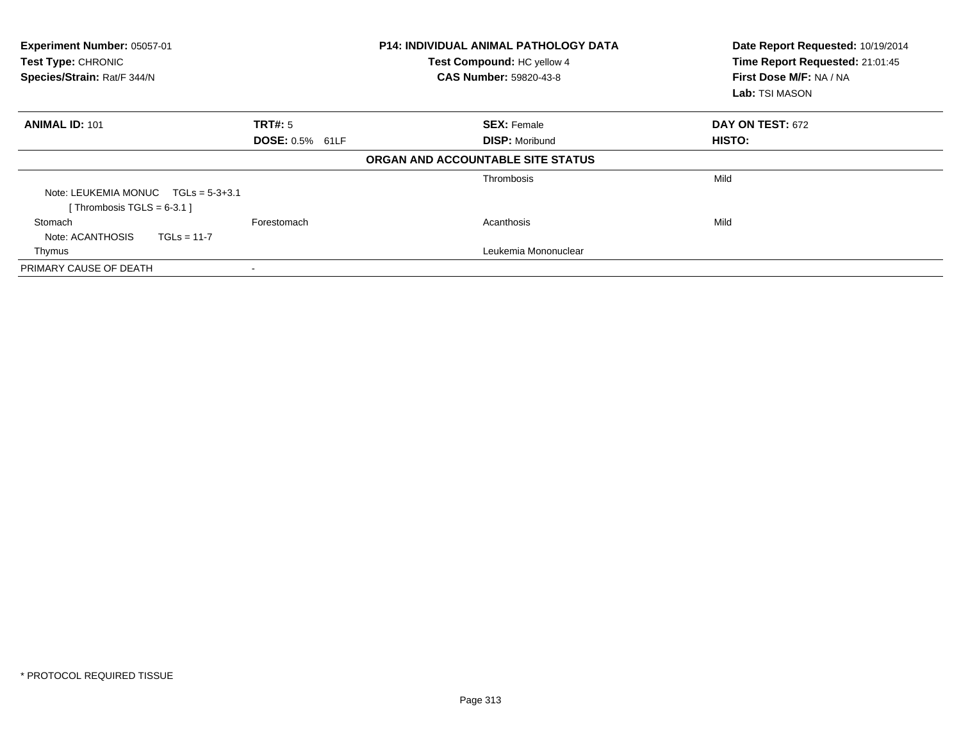| Experiment Number: 05057-01<br><b>Test Type: CHRONIC</b><br>Species/Strain: Rat/F 344/N | <b>P14: INDIVIDUAL ANIMAL PATHOLOGY DATA</b><br>Test Compound: HC yellow 4<br><b>CAS Number: 59820-43-8</b> |                                   | Date Report Requested: 10/19/2014<br>Time Report Requested: 21:01:45<br>First Dose M/F: NA / NA<br>Lab: TSI MASON |  |
|-----------------------------------------------------------------------------------------|-------------------------------------------------------------------------------------------------------------|-----------------------------------|-------------------------------------------------------------------------------------------------------------------|--|
| <b>ANIMAL ID: 101</b>                                                                   | TRT#: 5                                                                                                     | <b>SEX: Female</b>                | DAY ON TEST: 672                                                                                                  |  |
|                                                                                         | DOSE: 0.5% 61LF                                                                                             | <b>DISP: Moribund</b>             | HISTO:                                                                                                            |  |
|                                                                                         |                                                                                                             | ORGAN AND ACCOUNTABLE SITE STATUS |                                                                                                                   |  |
|                                                                                         |                                                                                                             | Thrombosis                        | Mild                                                                                                              |  |
| Note: LEUKEMIA MONUC $TGLs = 5-3+3.1$<br>[Thrombosis TGLS = $6-3.1$ ]                   |                                                                                                             |                                   |                                                                                                                   |  |
| Stomach<br>Note: ACANTHOSIS<br>$TGLs = 11-7$                                            | Forestomach                                                                                                 | Acanthosis                        | Mild                                                                                                              |  |
| Thymus                                                                                  |                                                                                                             | Leukemia Mononuclear              |                                                                                                                   |  |
| PRIMARY CAUSE OF DEATH                                                                  |                                                                                                             |                                   |                                                                                                                   |  |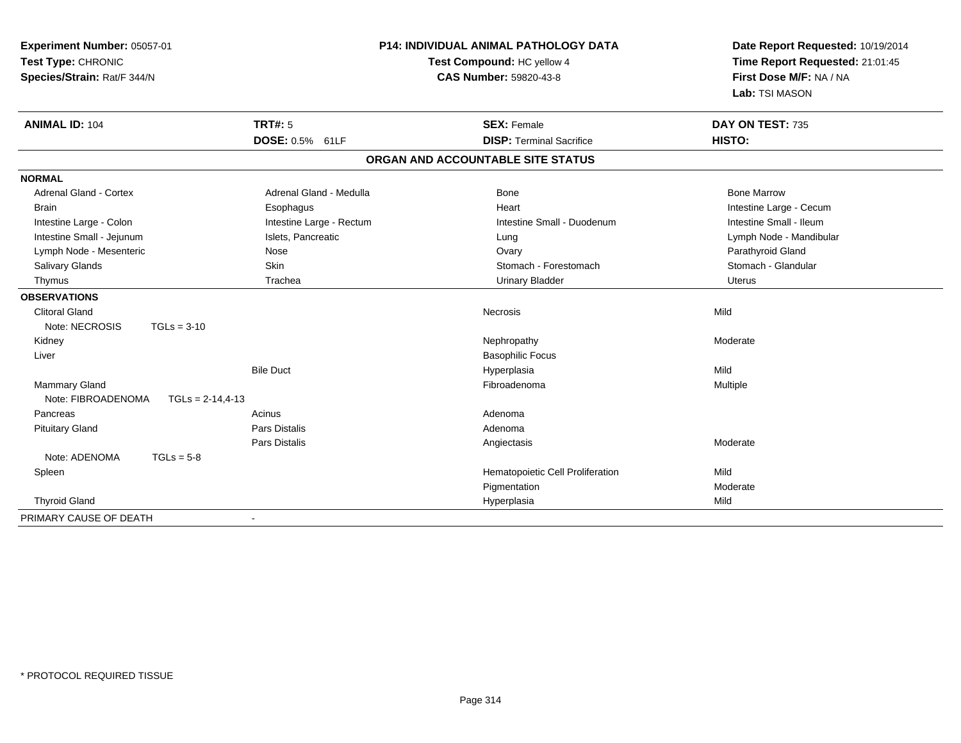| Experiment Number: 05057-01<br>Test Type: CHRONIC<br>Species/Strain: Rat/F 344/N | <b>P14: INDIVIDUAL ANIMAL PATHOLOGY DATA</b><br>Test Compound: HC yellow 4<br><b>CAS Number: 59820-43-8</b> |                                   | Date Report Requested: 10/19/2014<br>Time Report Requested: 21:01:45<br>First Dose M/F: NA / NA<br>Lab: TSI MASON |
|----------------------------------------------------------------------------------|-------------------------------------------------------------------------------------------------------------|-----------------------------------|-------------------------------------------------------------------------------------------------------------------|
| <b>ANIMAL ID: 104</b>                                                            | <b>TRT#: 5</b>                                                                                              | <b>SEX: Female</b>                | DAY ON TEST: 735                                                                                                  |
|                                                                                  | DOSE: 0.5% 61LF                                                                                             | <b>DISP: Terminal Sacrifice</b>   | HISTO:                                                                                                            |
|                                                                                  |                                                                                                             | ORGAN AND ACCOUNTABLE SITE STATUS |                                                                                                                   |
| <b>NORMAL</b>                                                                    |                                                                                                             |                                   |                                                                                                                   |
| <b>Adrenal Gland - Cortex</b>                                                    | Adrenal Gland - Medulla                                                                                     | Bone                              | <b>Bone Marrow</b>                                                                                                |
| <b>Brain</b>                                                                     | Esophagus                                                                                                   | Heart                             | Intestine Large - Cecum                                                                                           |
| Intestine Large - Colon                                                          | Intestine Large - Rectum                                                                                    | Intestine Small - Duodenum        | Intestine Small - Ileum                                                                                           |
| Intestine Small - Jejunum                                                        | Islets, Pancreatic                                                                                          | Lung                              | Lymph Node - Mandibular                                                                                           |
| Lymph Node - Mesenteric                                                          | Nose                                                                                                        | Ovary                             | Parathyroid Gland                                                                                                 |
| Salivary Glands                                                                  | Skin                                                                                                        | Stomach - Forestomach             | Stomach - Glandular                                                                                               |
| Thymus                                                                           | Trachea                                                                                                     | <b>Urinary Bladder</b>            | <b>Uterus</b>                                                                                                     |
| <b>OBSERVATIONS</b>                                                              |                                                                                                             |                                   |                                                                                                                   |
| <b>Clitoral Gland</b>                                                            |                                                                                                             | Necrosis                          | Mild                                                                                                              |
| Note: NECROSIS                                                                   | $TGLs = 3-10$                                                                                               |                                   |                                                                                                                   |
| Kidney                                                                           |                                                                                                             | Nephropathy                       | Moderate                                                                                                          |
| Liver                                                                            |                                                                                                             | <b>Basophilic Focus</b>           |                                                                                                                   |
|                                                                                  | <b>Bile Duct</b>                                                                                            | Hyperplasia                       | Mild                                                                                                              |
| <b>Mammary Gland</b>                                                             |                                                                                                             | Fibroadenoma                      | Multiple                                                                                                          |
| Note: FIBROADENOMA                                                               | $TGLs = 2-14,4-13$                                                                                          |                                   |                                                                                                                   |
| Pancreas                                                                         | Acinus                                                                                                      | Adenoma                           |                                                                                                                   |
| <b>Pituitary Gland</b>                                                           | <b>Pars Distalis</b>                                                                                        | Adenoma                           |                                                                                                                   |
|                                                                                  | <b>Pars Distalis</b>                                                                                        | Angiectasis                       | Moderate                                                                                                          |
| Note: ADENOMA                                                                    | $TGLs = 5-8$                                                                                                |                                   |                                                                                                                   |
| Spleen                                                                           |                                                                                                             | Hematopoietic Cell Proliferation  | Mild                                                                                                              |
|                                                                                  |                                                                                                             | Pigmentation                      | Moderate                                                                                                          |
| <b>Thyroid Gland</b>                                                             |                                                                                                             | Hyperplasia                       | Mild                                                                                                              |
| PRIMARY CAUSE OF DEATH                                                           |                                                                                                             |                                   |                                                                                                                   |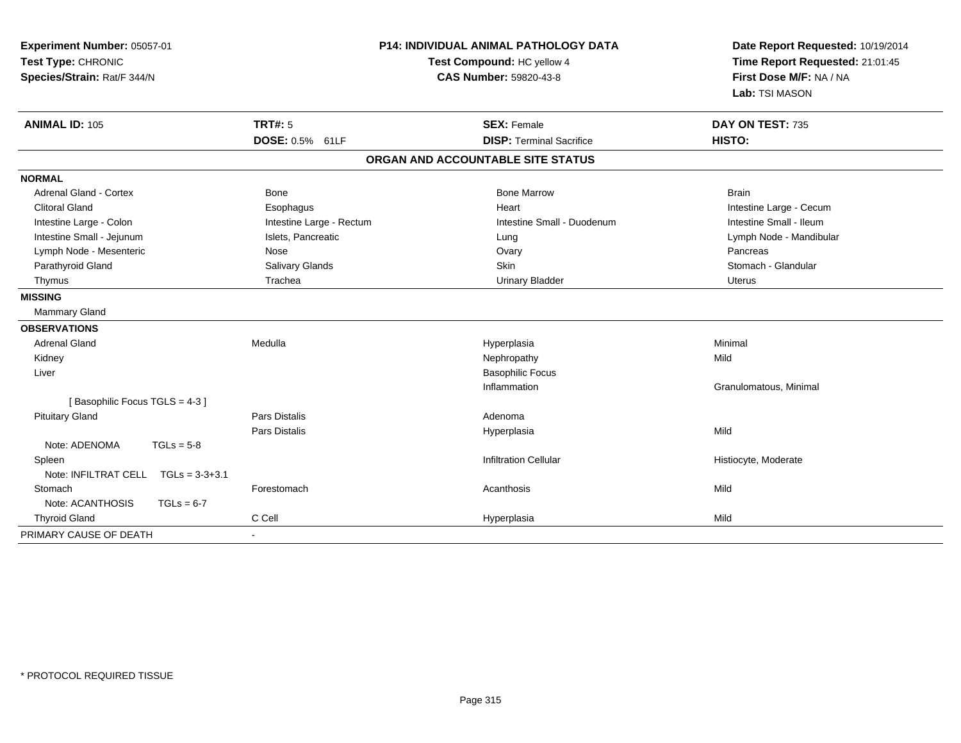| Experiment Number: 05057-01<br>Test Type: CHRONIC<br>Species/Strain: Rat/F 344/N                                                                                                                                                                                     | <b>P14: INDIVIDUAL ANIMAL PATHOLOGY DATA</b><br>Test Compound: HC yellow 4<br><b>CAS Number: 59820-43-8</b>                 |                                                                                                                                            | Date Report Requested: 10/19/2014<br>Time Report Requested: 21:01:45<br>First Dose M/F: NA / NA<br>Lab: TSI MASON                                                    |  |
|----------------------------------------------------------------------------------------------------------------------------------------------------------------------------------------------------------------------------------------------------------------------|-----------------------------------------------------------------------------------------------------------------------------|--------------------------------------------------------------------------------------------------------------------------------------------|----------------------------------------------------------------------------------------------------------------------------------------------------------------------|--|
| <b>ANIMAL ID: 105</b>                                                                                                                                                                                                                                                | <b>TRT#: 5</b><br>DOSE: 0.5% 61LF                                                                                           | <b>SEX: Female</b><br><b>DISP: Terminal Sacrifice</b>                                                                                      | DAY ON TEST: 735<br>HISTO:                                                                                                                                           |  |
|                                                                                                                                                                                                                                                                      |                                                                                                                             | ORGAN AND ACCOUNTABLE SITE STATUS                                                                                                          |                                                                                                                                                                      |  |
| <b>NORMAL</b>                                                                                                                                                                                                                                                        |                                                                                                                             |                                                                                                                                            |                                                                                                                                                                      |  |
| <b>Adrenal Gland - Cortex</b><br><b>Clitoral Gland</b><br>Intestine Large - Colon<br>Intestine Small - Jejunum<br>Lymph Node - Mesenteric<br>Parathyroid Gland<br>Thymus<br><b>MISSING</b><br>Mammary Gland<br><b>OBSERVATIONS</b><br><b>Adrenal Gland</b><br>Kidney | <b>Bone</b><br>Esophagus<br>Intestine Large - Rectum<br>Islets, Pancreatic<br>Nose<br>Salivary Glands<br>Trachea<br>Medulla | <b>Bone Marrow</b><br>Heart<br>Intestine Small - Duodenum<br>Lung<br>Ovary<br>Skin<br><b>Urinary Bladder</b><br>Hyperplasia<br>Nephropathy | <b>Brain</b><br>Intestine Large - Cecum<br>Intestine Small - Ileum<br>Lymph Node - Mandibular<br>Pancreas<br>Stomach - Glandular<br><b>Uterus</b><br>Minimal<br>Mild |  |
| Liver<br>[Basophilic Focus TGLS = 4-3]<br><b>Pituitary Gland</b><br>$TGLs = 5-8$<br>Note: ADENOMA                                                                                                                                                                    | <b>Pars Distalis</b><br>Pars Distalis                                                                                       | <b>Basophilic Focus</b><br>Inflammation<br>Adenoma<br>Hyperplasia                                                                          | Granulomatous, Minimal<br>Mild                                                                                                                                       |  |
| Spleen<br>Note: INFILTRAT CELL<br>$TGLs = 3-3+3.1$<br>Stomach                                                                                                                                                                                                        | Forestomach                                                                                                                 | <b>Infiltration Cellular</b><br>Acanthosis                                                                                                 | Histiocyte, Moderate<br>Mild                                                                                                                                         |  |
| Note: ACANTHOSIS<br>$TGLs = 6-7$<br><b>Thyroid Gland</b><br>PRIMARY CAUSE OF DEATH                                                                                                                                                                                   | C Cell                                                                                                                      | Hyperplasia                                                                                                                                | Mild                                                                                                                                                                 |  |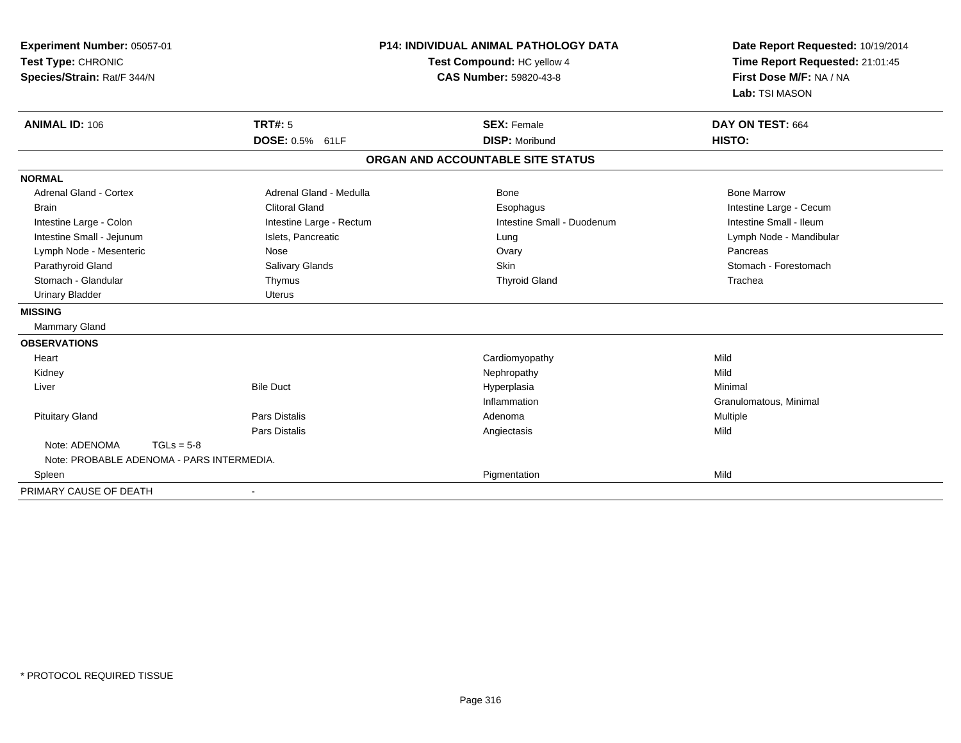| Experiment Number: 05057-01<br>Test Type: CHRONIC<br>Species/Strain: Rat/F 344/N<br><b>ANIMAL ID: 106</b> | <b>TRT#: 5</b>           | <b>P14: INDIVIDUAL ANIMAL PATHOLOGY DATA</b><br>Test Compound: HC yellow 4<br><b>CAS Number: 59820-43-8</b><br><b>SEX: Female</b> | Date Report Requested: 10/19/2014<br>Time Report Requested: 21:01:45<br>First Dose M/F: NA / NA<br>Lab: TSI MASON<br>DAY ON TEST: 664 |
|-----------------------------------------------------------------------------------------------------------|--------------------------|-----------------------------------------------------------------------------------------------------------------------------------|---------------------------------------------------------------------------------------------------------------------------------------|
|                                                                                                           | DOSE: 0.5% 61LF          | <b>DISP: Moribund</b>                                                                                                             | HISTO:                                                                                                                                |
|                                                                                                           |                          | ORGAN AND ACCOUNTABLE SITE STATUS                                                                                                 |                                                                                                                                       |
| <b>NORMAL</b>                                                                                             |                          |                                                                                                                                   |                                                                                                                                       |
| <b>Adrenal Gland - Cortex</b>                                                                             | Adrenal Gland - Medulla  | Bone                                                                                                                              | <b>Bone Marrow</b>                                                                                                                    |
| <b>Brain</b>                                                                                              | <b>Clitoral Gland</b>    | Esophagus                                                                                                                         | Intestine Large - Cecum                                                                                                               |
| Intestine Large - Colon                                                                                   | Intestine Large - Rectum | Intestine Small - Duodenum                                                                                                        | Intestine Small - Ileum                                                                                                               |
| Intestine Small - Jejunum                                                                                 | Islets, Pancreatic       | Lung                                                                                                                              | Lymph Node - Mandibular                                                                                                               |
| Lymph Node - Mesenteric                                                                                   | Nose                     | Ovary                                                                                                                             | Pancreas                                                                                                                              |
| Parathyroid Gland                                                                                         | Salivary Glands          | Skin                                                                                                                              | Stomach - Forestomach                                                                                                                 |
| Stomach - Glandular                                                                                       | Thymus                   | <b>Thyroid Gland</b>                                                                                                              | Trachea                                                                                                                               |
| <b>Urinary Bladder</b>                                                                                    | <b>Uterus</b>            |                                                                                                                                   |                                                                                                                                       |
| <b>MISSING</b>                                                                                            |                          |                                                                                                                                   |                                                                                                                                       |
| <b>Mammary Gland</b>                                                                                      |                          |                                                                                                                                   |                                                                                                                                       |
| <b>OBSERVATIONS</b>                                                                                       |                          |                                                                                                                                   |                                                                                                                                       |
| Heart                                                                                                     |                          | Cardiomyopathy                                                                                                                    | Mild                                                                                                                                  |
| Kidney                                                                                                    |                          | Nephropathy                                                                                                                       | Mild                                                                                                                                  |
| Liver                                                                                                     | <b>Bile Duct</b>         | Hyperplasia                                                                                                                       | Minimal                                                                                                                               |
|                                                                                                           |                          | Inflammation                                                                                                                      | Granulomatous, Minimal                                                                                                                |
| <b>Pituitary Gland</b>                                                                                    | <b>Pars Distalis</b>     | Adenoma                                                                                                                           | Multiple                                                                                                                              |
|                                                                                                           | <b>Pars Distalis</b>     | Angiectasis                                                                                                                       | Mild                                                                                                                                  |
| Note: ADENOMA<br>$TGLs = 5-8$<br>Note: PROBABLE ADENOMA - PARS INTERMEDIA.                                |                          |                                                                                                                                   |                                                                                                                                       |
| Spleen                                                                                                    |                          | Pigmentation                                                                                                                      | Mild                                                                                                                                  |
| PRIMARY CAUSE OF DEATH                                                                                    |                          |                                                                                                                                   |                                                                                                                                       |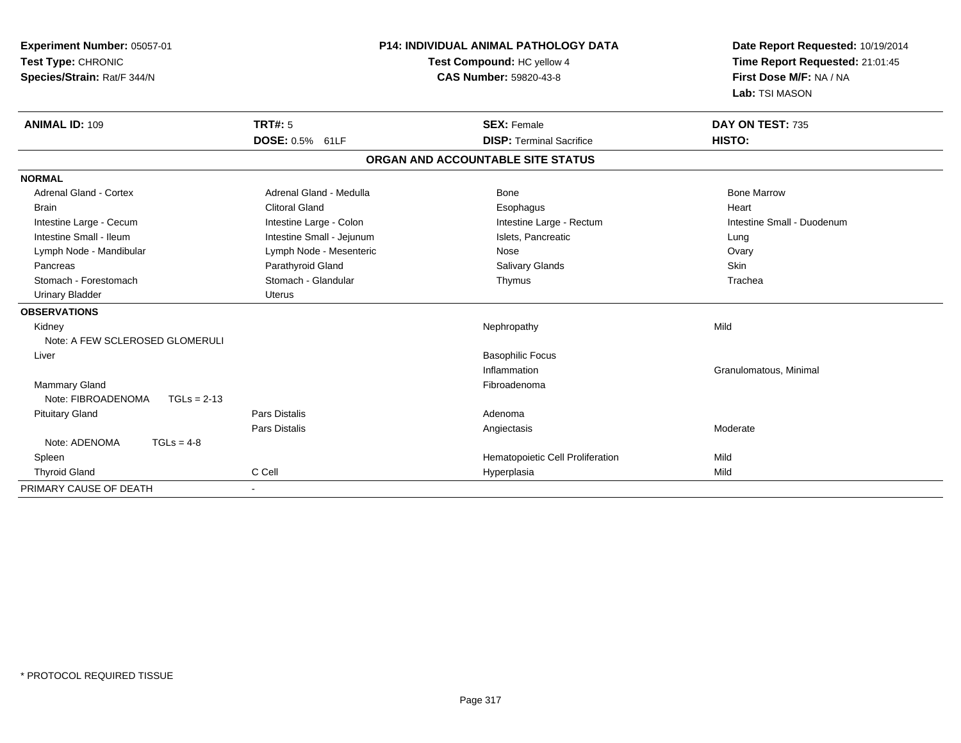| <b>P14: INDIVIDUAL ANIMAL PATHOLOGY DATA</b><br>Experiment Number: 05057-01<br>Test Type: CHRONIC<br>Test Compound: HC yellow 4<br><b>CAS Number: 59820-43-8</b><br>Species/Strain: Rat/F 344/N |                           |                                   | Date Report Requested: 10/19/2014<br>Time Report Requested: 21:01:45<br>First Dose M/F: NA / NA<br>Lab: TSI MASON |
|-------------------------------------------------------------------------------------------------------------------------------------------------------------------------------------------------|---------------------------|-----------------------------------|-------------------------------------------------------------------------------------------------------------------|
| <b>ANIMAL ID: 109</b>                                                                                                                                                                           | <b>TRT#: 5</b>            | <b>SEX: Female</b>                | DAY ON TEST: 735                                                                                                  |
|                                                                                                                                                                                                 | DOSE: 0.5% 61LF           | <b>DISP: Terminal Sacrifice</b>   | HISTO:                                                                                                            |
|                                                                                                                                                                                                 |                           | ORGAN AND ACCOUNTABLE SITE STATUS |                                                                                                                   |
| <b>NORMAL</b>                                                                                                                                                                                   |                           |                                   |                                                                                                                   |
| Adrenal Gland - Cortex                                                                                                                                                                          | Adrenal Gland - Medulla   | <b>Bone</b>                       | <b>Bone Marrow</b>                                                                                                |
| <b>Brain</b>                                                                                                                                                                                    | <b>Clitoral Gland</b>     | Esophagus                         | Heart                                                                                                             |
| Intestine Large - Cecum                                                                                                                                                                         | Intestine Large - Colon   | Intestine Large - Rectum          | Intestine Small - Duodenum                                                                                        |
| Intestine Small - Ileum                                                                                                                                                                         | Intestine Small - Jejunum | Islets, Pancreatic                | Lung                                                                                                              |
| Lymph Node - Mandibular                                                                                                                                                                         | Lymph Node - Mesenteric   | Nose                              | Ovary                                                                                                             |
| Pancreas                                                                                                                                                                                        | Parathyroid Gland         | <b>Salivary Glands</b>            | <b>Skin</b>                                                                                                       |
| Stomach - Forestomach                                                                                                                                                                           | Stomach - Glandular       | Thymus                            | Trachea                                                                                                           |
| <b>Urinary Bladder</b>                                                                                                                                                                          | <b>Uterus</b>             |                                   |                                                                                                                   |
| <b>OBSERVATIONS</b>                                                                                                                                                                             |                           |                                   |                                                                                                                   |
| Kidney                                                                                                                                                                                          |                           | Nephropathy                       | Mild                                                                                                              |
| Note: A FEW SCLEROSED GLOMERULI                                                                                                                                                                 |                           |                                   |                                                                                                                   |
| Liver                                                                                                                                                                                           |                           | <b>Basophilic Focus</b>           |                                                                                                                   |
|                                                                                                                                                                                                 |                           | Inflammation                      | Granulomatous, Minimal                                                                                            |
| <b>Mammary Gland</b>                                                                                                                                                                            |                           | Fibroadenoma                      |                                                                                                                   |
| Note: FIBROADENOMA<br>$TGLs = 2-13$                                                                                                                                                             |                           |                                   |                                                                                                                   |
| <b>Pituitary Gland</b>                                                                                                                                                                          | Pars Distalis             | Adenoma                           |                                                                                                                   |
|                                                                                                                                                                                                 | <b>Pars Distalis</b>      | Angiectasis                       | Moderate                                                                                                          |
| Note: ADENOMA<br>$TGLs = 4-8$                                                                                                                                                                   |                           |                                   |                                                                                                                   |
| Spleen                                                                                                                                                                                          |                           | Hematopoietic Cell Proliferation  | Mild                                                                                                              |
| <b>Thyroid Gland</b>                                                                                                                                                                            | C Cell                    | Hyperplasia                       | Mild                                                                                                              |
| PRIMARY CAUSE OF DEATH                                                                                                                                                                          |                           |                                   |                                                                                                                   |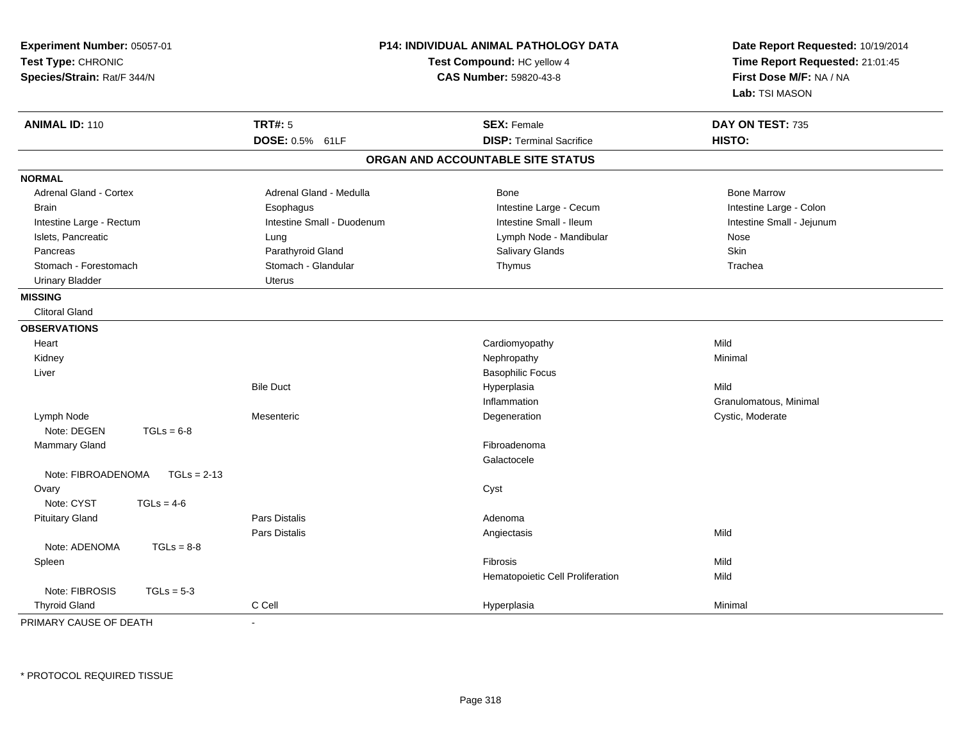| Experiment Number: 05057-01<br>Test Type: CHRONIC<br>Species/Strain: Rat/F 344/N |                            | P14: INDIVIDUAL ANIMAL PATHOLOGY DATA<br>Test Compound: HC yellow 4<br><b>CAS Number: 59820-43-8</b> | Date Report Requested: 10/19/2014<br>Time Report Requested: 21:01:45<br>First Dose M/F: NA / NA<br>Lab: TSI MASON |
|----------------------------------------------------------------------------------|----------------------------|------------------------------------------------------------------------------------------------------|-------------------------------------------------------------------------------------------------------------------|
| <b>ANIMAL ID: 110</b>                                                            | <b>TRT#: 5</b>             | <b>SEX: Female</b>                                                                                   | DAY ON TEST: 735                                                                                                  |
|                                                                                  | DOSE: 0.5% 61LF            | <b>DISP: Terminal Sacrifice</b>                                                                      | HISTO:                                                                                                            |
|                                                                                  |                            | ORGAN AND ACCOUNTABLE SITE STATUS                                                                    |                                                                                                                   |
| <b>NORMAL</b>                                                                    |                            |                                                                                                      |                                                                                                                   |
| <b>Adrenal Gland - Cortex</b>                                                    | Adrenal Gland - Medulla    | Bone                                                                                                 | <b>Bone Marrow</b>                                                                                                |
| <b>Brain</b>                                                                     | Esophagus                  | Intestine Large - Cecum                                                                              | Intestine Large - Colon                                                                                           |
| Intestine Large - Rectum                                                         | Intestine Small - Duodenum | Intestine Small - Ileum                                                                              | Intestine Small - Jejunum                                                                                         |
| Islets, Pancreatic                                                               | Lung                       | Lymph Node - Mandibular                                                                              | Nose                                                                                                              |
| Pancreas                                                                         | Parathyroid Gland          | Salivary Glands                                                                                      | Skin                                                                                                              |
| Stomach - Forestomach                                                            | Stomach - Glandular        | Thymus                                                                                               | Trachea                                                                                                           |
| <b>Urinary Bladder</b>                                                           | <b>Uterus</b>              |                                                                                                      |                                                                                                                   |
| <b>MISSING</b>                                                                   |                            |                                                                                                      |                                                                                                                   |
| <b>Clitoral Gland</b>                                                            |                            |                                                                                                      |                                                                                                                   |
| <b>OBSERVATIONS</b>                                                              |                            |                                                                                                      |                                                                                                                   |
| Heart                                                                            |                            | Cardiomyopathy                                                                                       | Mild                                                                                                              |
| Kidney                                                                           |                            | Nephropathy                                                                                          | Minimal                                                                                                           |
| Liver                                                                            |                            | <b>Basophilic Focus</b>                                                                              |                                                                                                                   |
|                                                                                  | <b>Bile Duct</b>           | Hyperplasia                                                                                          | Mild                                                                                                              |
|                                                                                  |                            | Inflammation                                                                                         | Granulomatous, Minimal                                                                                            |
| Lymph Node                                                                       | Mesenteric                 | Degeneration                                                                                         | Cystic, Moderate                                                                                                  |
| Note: DEGEN<br>$TGLs = 6-8$                                                      |                            |                                                                                                      |                                                                                                                   |
| Mammary Gland                                                                    |                            | Fibroadenoma                                                                                         |                                                                                                                   |
|                                                                                  |                            | Galactocele                                                                                          |                                                                                                                   |
| Note: FIBROADENOMA<br>$TGLs = 2-13$                                              |                            |                                                                                                      |                                                                                                                   |
| Ovary                                                                            |                            | Cyst                                                                                                 |                                                                                                                   |
| Note: CYST<br>$TGLs = 4-6$                                                       |                            |                                                                                                      |                                                                                                                   |
| <b>Pituitary Gland</b>                                                           | <b>Pars Distalis</b>       | Adenoma                                                                                              |                                                                                                                   |
|                                                                                  | Pars Distalis              | Angiectasis                                                                                          | Mild                                                                                                              |
| Note: ADENOMA<br>$TGLs = 8-8$                                                    |                            |                                                                                                      |                                                                                                                   |
| Spleen                                                                           |                            | Fibrosis                                                                                             | Mild                                                                                                              |
|                                                                                  |                            | Hematopoietic Cell Proliferation                                                                     | Mild                                                                                                              |
| Note: FIBROSIS<br>$TGLs = 5-3$                                                   |                            |                                                                                                      |                                                                                                                   |
| <b>Thyroid Gland</b>                                                             | C Cell                     | Hyperplasia                                                                                          | Minimal                                                                                                           |

PRIMARY CAUSE OF DEATH-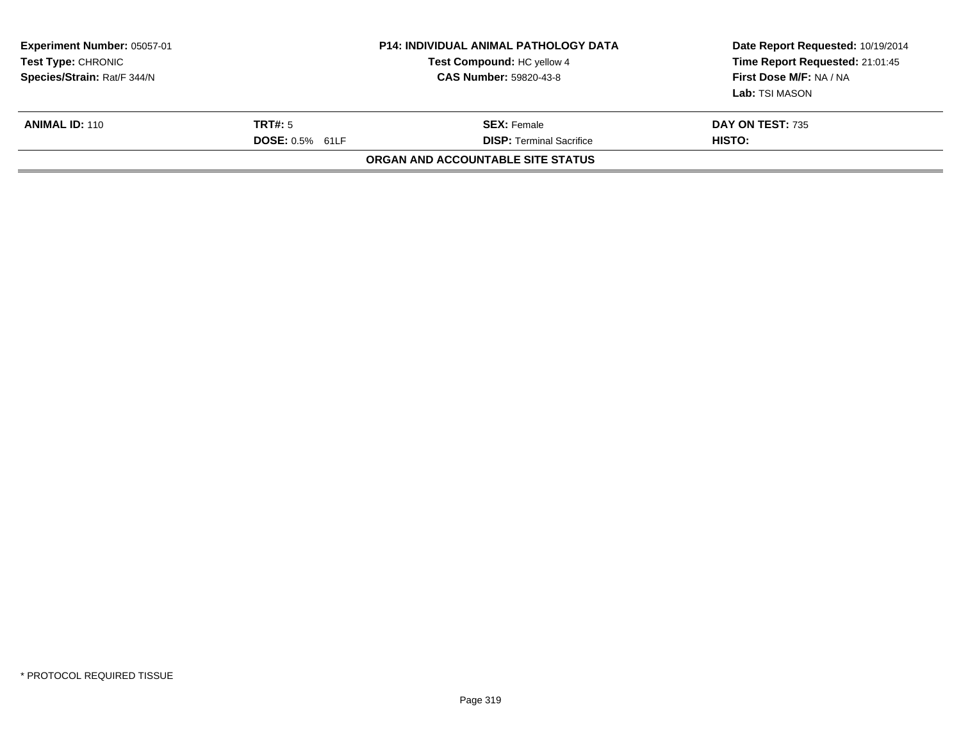| <b>Experiment Number: 05057-01</b><br><b>Test Type: CHRONIC</b><br>Species/Strain: Rat/F 344/N |                                   | <b>P14: INDIVIDUAL ANIMAL PATHOLOGY DATA</b><br>Test Compound: HC yellow 4<br><b>CAS Number: 59820-43-8</b> | Date Report Requested: 10/19/2014<br>Time Report Requested: 21:01:45<br>First Dose M/F: NA / NA<br>Lab: TSI MASON |
|------------------------------------------------------------------------------------------------|-----------------------------------|-------------------------------------------------------------------------------------------------------------|-------------------------------------------------------------------------------------------------------------------|
| <b>ANIMAL ID: 110</b>                                                                          | TRT#: 5<br><b>DOSE: 0.5% 61LF</b> | <b>SEX: Female</b><br><b>DISP: Terminal Sacrifice</b>                                                       | DAY ON TEST: 735<br>HISTO:                                                                                        |
|                                                                                                |                                   | ORGAN AND ACCOUNTABLE SITE STATUS                                                                           |                                                                                                                   |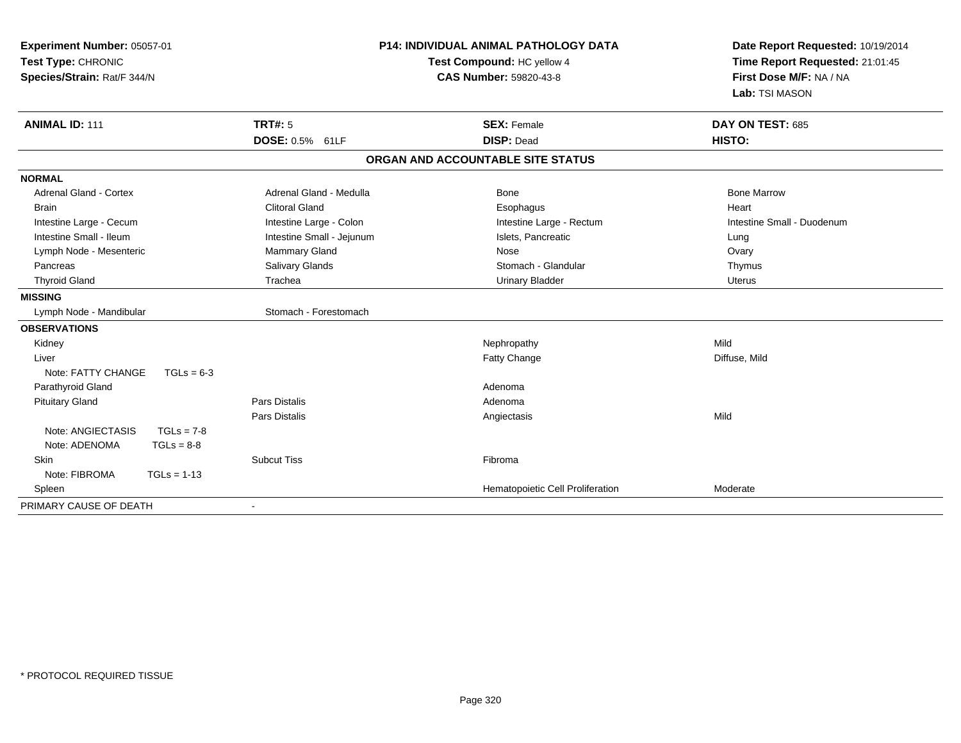| <b>P14: INDIVIDUAL ANIMAL PATHOLOGY DATA</b><br>Experiment Number: 05057-01<br>Test Type: CHRONIC<br>Test Compound: HC yellow 4<br>Species/Strain: Rat/F 344/N<br><b>CAS Number: 59820-43-8</b> |                           | Date Report Requested: 10/19/2014<br>Time Report Requested: 21:01:45<br>First Dose M/F: NA / NA<br>Lab: TSI MASON |                            |
|-------------------------------------------------------------------------------------------------------------------------------------------------------------------------------------------------|---------------------------|-------------------------------------------------------------------------------------------------------------------|----------------------------|
| <b>ANIMAL ID: 111</b>                                                                                                                                                                           | <b>TRT#: 5</b>            | <b>SEX: Female</b>                                                                                                | DAY ON TEST: 685           |
|                                                                                                                                                                                                 | DOSE: 0.5% 61LF           | <b>DISP: Dead</b>                                                                                                 | HISTO:                     |
|                                                                                                                                                                                                 |                           | ORGAN AND ACCOUNTABLE SITE STATUS                                                                                 |                            |
| <b>NORMAL</b>                                                                                                                                                                                   |                           |                                                                                                                   |                            |
| <b>Adrenal Gland - Cortex</b>                                                                                                                                                                   | Adrenal Gland - Medulla   | Bone                                                                                                              | <b>Bone Marrow</b>         |
| <b>Brain</b>                                                                                                                                                                                    | <b>Clitoral Gland</b>     | Esophagus                                                                                                         | Heart                      |
| Intestine Large - Cecum                                                                                                                                                                         | Intestine Large - Colon   | Intestine Large - Rectum                                                                                          | Intestine Small - Duodenum |
| Intestine Small - Ileum                                                                                                                                                                         | Intestine Small - Jejunum | Islets, Pancreatic                                                                                                | Lung                       |
| Lymph Node - Mesenteric                                                                                                                                                                         | <b>Mammary Gland</b>      | Nose                                                                                                              | Ovary                      |
| Pancreas                                                                                                                                                                                        | Salivary Glands           | Stomach - Glandular                                                                                               | Thymus                     |
| <b>Thyroid Gland</b>                                                                                                                                                                            | Trachea                   | <b>Urinary Bladder</b>                                                                                            | <b>Uterus</b>              |
| <b>MISSING</b>                                                                                                                                                                                  |                           |                                                                                                                   |                            |
| Lymph Node - Mandibular                                                                                                                                                                         | Stomach - Forestomach     |                                                                                                                   |                            |
| <b>OBSERVATIONS</b>                                                                                                                                                                             |                           |                                                                                                                   |                            |
| Kidney                                                                                                                                                                                          |                           | Nephropathy                                                                                                       | Mild                       |
| Liver                                                                                                                                                                                           |                           | <b>Fatty Change</b>                                                                                               | Diffuse, Mild              |
| Note: FATTY CHANGE<br>$TGLs = 6-3$                                                                                                                                                              |                           |                                                                                                                   |                            |
| Parathyroid Gland                                                                                                                                                                               |                           | Adenoma                                                                                                           |                            |
| <b>Pituitary Gland</b>                                                                                                                                                                          | Pars Distalis             | Adenoma                                                                                                           |                            |
|                                                                                                                                                                                                 | <b>Pars Distalis</b>      | Angiectasis                                                                                                       | Mild                       |
| Note: ANGIECTASIS<br>$TGLs = 7-8$                                                                                                                                                               |                           |                                                                                                                   |                            |
| Note: ADENOMA<br>$TGLs = 8-8$                                                                                                                                                                   |                           |                                                                                                                   |                            |
| Skin                                                                                                                                                                                            | <b>Subcut Tiss</b>        | Fibroma                                                                                                           |                            |
| Note: FIBROMA<br>$TGLs = 1-13$                                                                                                                                                                  |                           |                                                                                                                   |                            |
| Spleen                                                                                                                                                                                          |                           | Hematopoietic Cell Proliferation                                                                                  | Moderate                   |
| PRIMARY CAUSE OF DEATH                                                                                                                                                                          | $\overline{\phantom{a}}$  |                                                                                                                   |                            |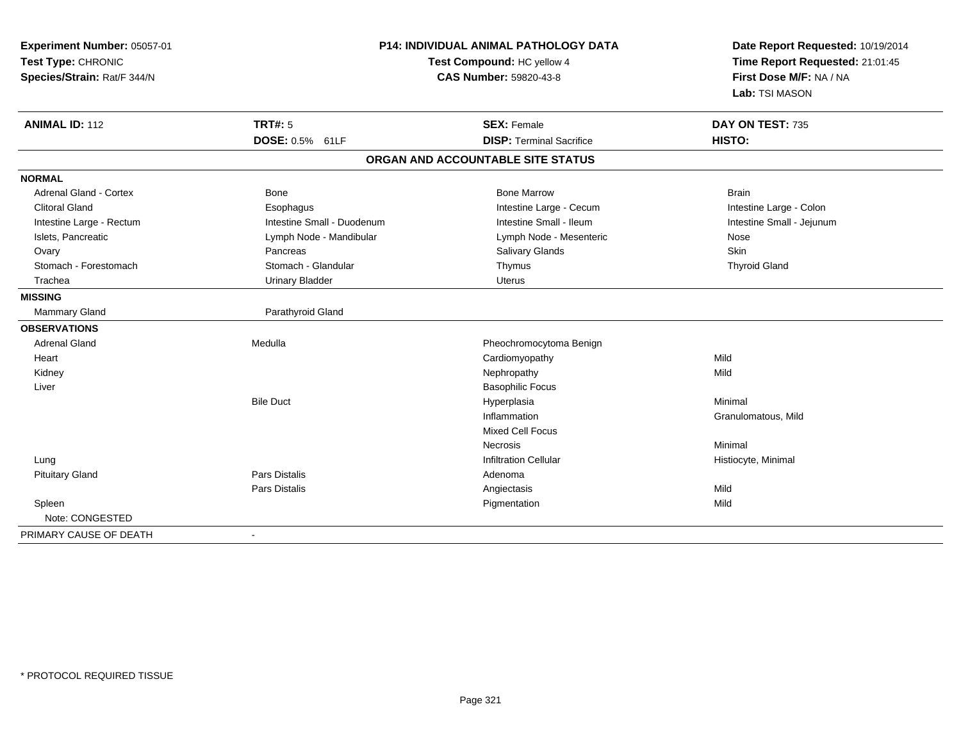| Experiment Number: 05057-01<br>Test Type: CHRONIC<br>Species/Strain: Rat/F 344/N |                                   | <b>P14: INDIVIDUAL ANIMAL PATHOLOGY DATA</b><br>Test Compound: HC yellow 4<br>CAS Number: 59820-43-8 |                            |
|----------------------------------------------------------------------------------|-----------------------------------|------------------------------------------------------------------------------------------------------|----------------------------|
| <b>ANIMAL ID: 112</b>                                                            | <b>TRT#: 5</b><br>DOSE: 0.5% 61LF | <b>SEX: Female</b><br><b>DISP: Terminal Sacrifice</b>                                                | DAY ON TEST: 735<br>HISTO: |
|                                                                                  |                                   | ORGAN AND ACCOUNTABLE SITE STATUS                                                                    |                            |
| <b>NORMAL</b>                                                                    |                                   |                                                                                                      |                            |
| <b>Adrenal Gland - Cortex</b>                                                    | <b>Bone</b>                       | <b>Bone Marrow</b>                                                                                   | <b>Brain</b>               |
| <b>Clitoral Gland</b>                                                            | Esophagus                         | Intestine Large - Cecum                                                                              | Intestine Large - Colon    |
| Intestine Large - Rectum                                                         | Intestine Small - Duodenum        | Intestine Small - Ileum                                                                              | Intestine Small - Jejunum  |
| Islets, Pancreatic                                                               | Lymph Node - Mandibular           | Lymph Node - Mesenteric                                                                              | Nose                       |
| Ovary                                                                            | Pancreas                          | Salivary Glands                                                                                      | Skin                       |
| Stomach - Forestomach                                                            | Stomach - Glandular               | Thymus                                                                                               | <b>Thyroid Gland</b>       |
| Trachea                                                                          | <b>Urinary Bladder</b>            | <b>Uterus</b>                                                                                        |                            |
| <b>MISSING</b>                                                                   |                                   |                                                                                                      |                            |
| Mammary Gland                                                                    | Parathyroid Gland                 |                                                                                                      |                            |
| <b>OBSERVATIONS</b>                                                              |                                   |                                                                                                      |                            |
| <b>Adrenal Gland</b>                                                             | Medulla                           | Pheochromocytoma Benign                                                                              |                            |
| Heart                                                                            |                                   | Cardiomyopathy                                                                                       | Mild                       |
| Kidney                                                                           |                                   | Nephropathy                                                                                          | Mild                       |
| Liver                                                                            |                                   | <b>Basophilic Focus</b>                                                                              |                            |
|                                                                                  | <b>Bile Duct</b>                  | Hyperplasia                                                                                          | Minimal                    |
|                                                                                  |                                   | Inflammation                                                                                         | Granulomatous, Mild        |
|                                                                                  |                                   | <b>Mixed Cell Focus</b>                                                                              |                            |
|                                                                                  |                                   | <b>Necrosis</b>                                                                                      | Minimal                    |
| Lung                                                                             |                                   | <b>Infiltration Cellular</b>                                                                         | Histiocyte, Minimal        |
| <b>Pituitary Gland</b>                                                           | <b>Pars Distalis</b>              | Adenoma                                                                                              |                            |
|                                                                                  | <b>Pars Distalis</b>              | Angiectasis                                                                                          | Mild                       |
| Spleen                                                                           |                                   | Pigmentation                                                                                         | Mild                       |
| Note: CONGESTED                                                                  |                                   |                                                                                                      |                            |
| PRIMARY CAUSE OF DEATH                                                           |                                   |                                                                                                      |                            |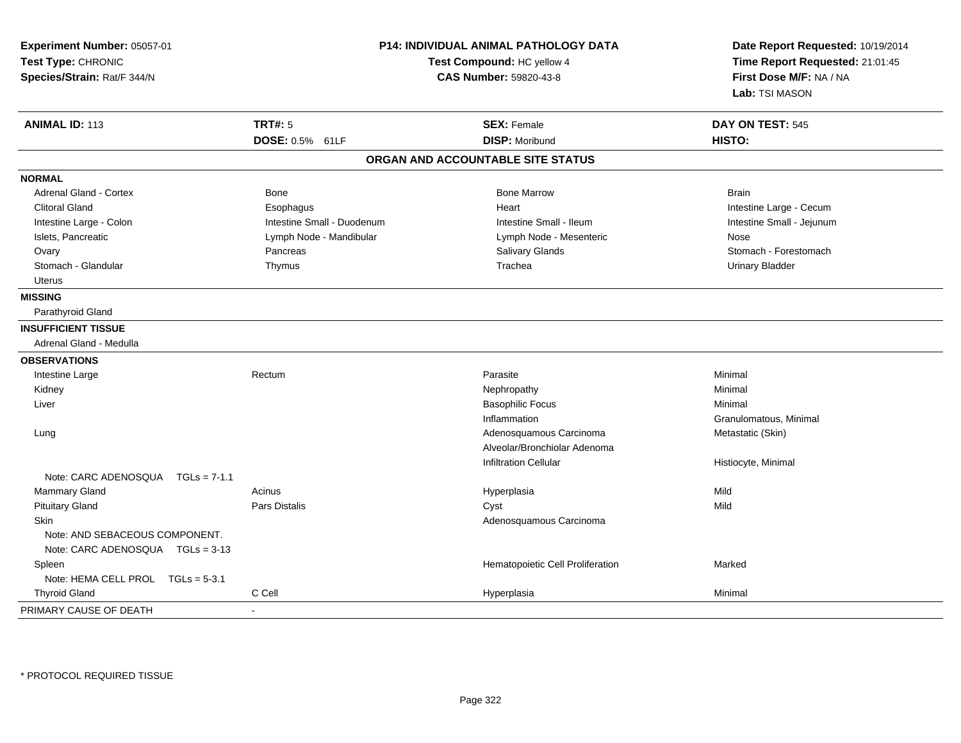| Experiment Number: 05057-01<br>Test Type: CHRONIC<br>Species/Strain: Rat/F 344/N | <b>P14: INDIVIDUAL ANIMAL PATHOLOGY DATA</b><br>Test Compound: HC yellow 4<br><b>CAS Number: 59820-43-8</b> |                                   | Date Report Requested: 10/19/2014<br>Time Report Requested: 21:01:45<br>First Dose M/F: NA / NA<br>Lab: TSI MASON |
|----------------------------------------------------------------------------------|-------------------------------------------------------------------------------------------------------------|-----------------------------------|-------------------------------------------------------------------------------------------------------------------|
| <b>ANIMAL ID: 113</b>                                                            | <b>TRT#: 5</b>                                                                                              | <b>SEX: Female</b>                | DAY ON TEST: 545                                                                                                  |
|                                                                                  | DOSE: 0.5% 61LF                                                                                             | <b>DISP: Moribund</b>             | HISTO:                                                                                                            |
|                                                                                  |                                                                                                             | ORGAN AND ACCOUNTABLE SITE STATUS |                                                                                                                   |
| <b>NORMAL</b>                                                                    |                                                                                                             |                                   |                                                                                                                   |
| <b>Adrenal Gland - Cortex</b>                                                    | Bone                                                                                                        | <b>Bone Marrow</b>                | <b>Brain</b>                                                                                                      |
| <b>Clitoral Gland</b>                                                            | Esophagus                                                                                                   | Heart                             | Intestine Large - Cecum                                                                                           |
| Intestine Large - Colon                                                          | Intestine Small - Duodenum                                                                                  | Intestine Small - Ileum           | Intestine Small - Jejunum                                                                                         |
| Islets, Pancreatic                                                               | Lymph Node - Mandibular                                                                                     | Lymph Node - Mesenteric           | Nose                                                                                                              |
| Ovary                                                                            | Pancreas                                                                                                    | Salivary Glands                   | Stomach - Forestomach                                                                                             |
| Stomach - Glandular                                                              | Thymus                                                                                                      | Trachea                           | <b>Urinary Bladder</b>                                                                                            |
| <b>Uterus</b>                                                                    |                                                                                                             |                                   |                                                                                                                   |
| <b>MISSING</b>                                                                   |                                                                                                             |                                   |                                                                                                                   |
| Parathyroid Gland                                                                |                                                                                                             |                                   |                                                                                                                   |
| <b>INSUFFICIENT TISSUE</b>                                                       |                                                                                                             |                                   |                                                                                                                   |
| Adrenal Gland - Medulla                                                          |                                                                                                             |                                   |                                                                                                                   |
| <b>OBSERVATIONS</b>                                                              |                                                                                                             |                                   |                                                                                                                   |
| Intestine Large                                                                  | Rectum                                                                                                      | Parasite                          | Minimal                                                                                                           |
| Kidney                                                                           |                                                                                                             | Nephropathy                       | Minimal                                                                                                           |
| Liver                                                                            |                                                                                                             | <b>Basophilic Focus</b>           | Minimal                                                                                                           |
|                                                                                  |                                                                                                             | Inflammation                      | Granulomatous, Minimal                                                                                            |
| Lung                                                                             |                                                                                                             | Adenosquamous Carcinoma           | Metastatic (Skin)                                                                                                 |
|                                                                                  |                                                                                                             | Alveolar/Bronchiolar Adenoma      |                                                                                                                   |
|                                                                                  |                                                                                                             | <b>Infiltration Cellular</b>      | Histiocyte, Minimal                                                                                               |
| Note: CARC ADENOSQUA<br>$TGLs = 7-1.1$                                           |                                                                                                             |                                   |                                                                                                                   |
| Mammary Gland                                                                    | Acinus                                                                                                      | Hyperplasia                       | Mild                                                                                                              |
| <b>Pituitary Gland</b>                                                           | Pars Distalis                                                                                               | Cyst                              | Mild                                                                                                              |
| Skin                                                                             |                                                                                                             | Adenosquamous Carcinoma           |                                                                                                                   |
| Note: AND SEBACEOUS COMPONENT.                                                   |                                                                                                             |                                   |                                                                                                                   |
| Note: CARC ADENOSQUA  TGLs = 3-13                                                |                                                                                                             |                                   |                                                                                                                   |
| Spleen                                                                           |                                                                                                             | Hematopoietic Cell Proliferation  | Marked                                                                                                            |
| Note: HEMA CELL PROL TGLs = 5-3.1                                                |                                                                                                             |                                   |                                                                                                                   |
| <b>Thyroid Gland</b>                                                             | C Cell                                                                                                      | Hyperplasia                       | Minimal                                                                                                           |
| PRIMARY CAUSE OF DEATH                                                           | $\overline{a}$                                                                                              |                                   |                                                                                                                   |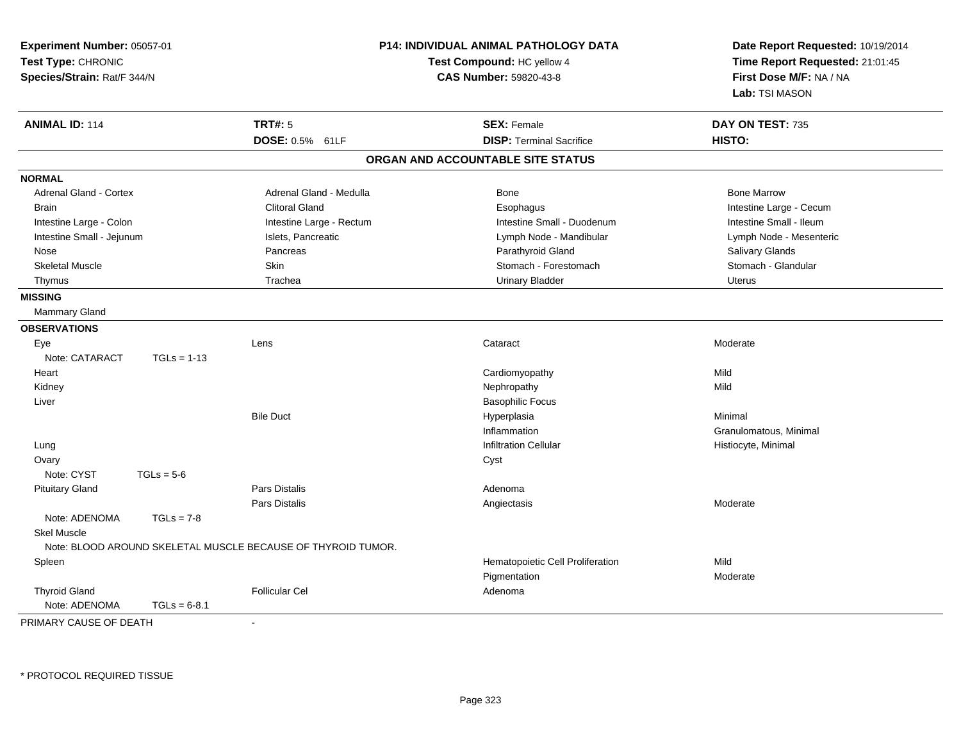| Experiment Number: 05057-01<br>Test Type: CHRONIC<br>Species/Strain: Rat/F 344/N |                |                                                              | P14: INDIVIDUAL ANIMAL PATHOLOGY DATA<br>Test Compound: HC yellow 4<br>CAS Number: 59820-43-8 | Date Report Requested: 10/19/2014<br>Time Report Requested: 21:01:45<br>First Dose M/F: NA / NA<br>Lab: TSI MASON |
|----------------------------------------------------------------------------------|----------------|--------------------------------------------------------------|-----------------------------------------------------------------------------------------------|-------------------------------------------------------------------------------------------------------------------|
| <b>ANIMAL ID: 114</b>                                                            |                | <b>TRT#: 5</b>                                               | <b>SEX: Female</b>                                                                            | DAY ON TEST: 735                                                                                                  |
|                                                                                  |                | DOSE: 0.5% 61LF                                              | <b>DISP: Terminal Sacrifice</b>                                                               | HISTO:                                                                                                            |
|                                                                                  |                |                                                              | ORGAN AND ACCOUNTABLE SITE STATUS                                                             |                                                                                                                   |
| <b>NORMAL</b>                                                                    |                |                                                              |                                                                                               |                                                                                                                   |
| <b>Adrenal Gland - Cortex</b>                                                    |                | Adrenal Gland - Medulla                                      | Bone                                                                                          | <b>Bone Marrow</b>                                                                                                |
| <b>Brain</b>                                                                     |                | <b>Clitoral Gland</b>                                        | Esophagus                                                                                     | Intestine Large - Cecum                                                                                           |
| Intestine Large - Colon                                                          |                | Intestine Large - Rectum                                     | Intestine Small - Duodenum                                                                    | Intestine Small - Ileum                                                                                           |
| Intestine Small - Jejunum                                                        |                | Islets, Pancreatic                                           | Lymph Node - Mandibular                                                                       | Lymph Node - Mesenteric                                                                                           |
| Nose                                                                             |                | Pancreas                                                     | Parathyroid Gland                                                                             | Salivary Glands                                                                                                   |
| <b>Skeletal Muscle</b>                                                           |                | Skin                                                         | Stomach - Forestomach                                                                         | Stomach - Glandular                                                                                               |
| Thymus                                                                           |                | Trachea                                                      | <b>Urinary Bladder</b>                                                                        | <b>Uterus</b>                                                                                                     |
| <b>MISSING</b>                                                                   |                |                                                              |                                                                                               |                                                                                                                   |
| Mammary Gland                                                                    |                |                                                              |                                                                                               |                                                                                                                   |
| <b>OBSERVATIONS</b>                                                              |                |                                                              |                                                                                               |                                                                                                                   |
| Eye                                                                              |                | Lens                                                         | Cataract                                                                                      | Moderate                                                                                                          |
| Note: CATARACT                                                                   | $TGLs = 1-13$  |                                                              |                                                                                               |                                                                                                                   |
| Heart                                                                            |                |                                                              | Cardiomyopathy                                                                                | Mild                                                                                                              |
| Kidney                                                                           |                |                                                              | Nephropathy                                                                                   | Mild                                                                                                              |
| Liver                                                                            |                |                                                              | <b>Basophilic Focus</b>                                                                       |                                                                                                                   |
|                                                                                  |                | <b>Bile Duct</b>                                             | Hyperplasia                                                                                   | Minimal                                                                                                           |
|                                                                                  |                |                                                              | Inflammation                                                                                  | Granulomatous, Minimal                                                                                            |
| Lung                                                                             |                |                                                              | <b>Infiltration Cellular</b>                                                                  | Histiocyte, Minimal                                                                                               |
| Ovary                                                                            |                |                                                              | Cyst                                                                                          |                                                                                                                   |
| Note: CYST                                                                       | $TGLs = 5-6$   |                                                              |                                                                                               |                                                                                                                   |
| <b>Pituitary Gland</b>                                                           |                | <b>Pars Distalis</b>                                         | Adenoma                                                                                       |                                                                                                                   |
|                                                                                  |                | Pars Distalis                                                | Angiectasis                                                                                   | Moderate                                                                                                          |
| Note: ADENOMA                                                                    | $TGLs = 7-8$   |                                                              |                                                                                               |                                                                                                                   |
| <b>Skel Muscle</b>                                                               |                |                                                              |                                                                                               |                                                                                                                   |
|                                                                                  |                | Note: BLOOD AROUND SKELETAL MUSCLE BECAUSE OF THYROID TUMOR. |                                                                                               |                                                                                                                   |
| Spleen                                                                           |                |                                                              | Hematopoietic Cell Proliferation                                                              | Mild                                                                                                              |
|                                                                                  |                |                                                              | Pigmentation                                                                                  | Moderate                                                                                                          |
| <b>Thyroid Gland</b>                                                             |                | <b>Follicular Cel</b>                                        | Adenoma                                                                                       |                                                                                                                   |
| Note: ADENOMA                                                                    | $TGLs = 6-8.1$ |                                                              |                                                                                               |                                                                                                                   |

PRIMARY CAUSE OF DEATH-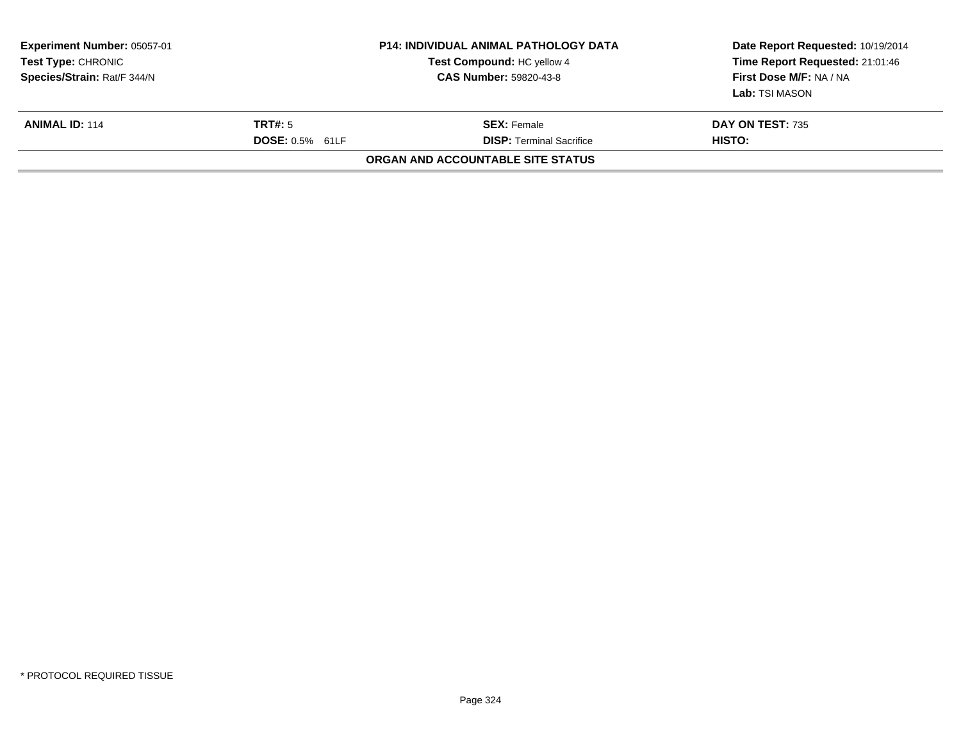| <b>Experiment Number: 05057-01</b><br><b>Test Type: CHRONIC</b><br>Species/Strain: Rat/F 344/N |                                   | <b>P14: INDIVIDUAL ANIMAL PATHOLOGY DATA</b><br>Test Compound: HC yellow 4<br><b>CAS Number: 59820-43-8</b> | Date Report Requested: 10/19/2014<br>Time Report Requested: 21:01:46<br>First Dose M/F: NA / NA<br>Lab: TSI MASON |
|------------------------------------------------------------------------------------------------|-----------------------------------|-------------------------------------------------------------------------------------------------------------|-------------------------------------------------------------------------------------------------------------------|
| <b>ANIMAL ID: 114</b>                                                                          | TRT#: 5<br><b>DOSE: 0.5% 61LF</b> | <b>SEX:</b> Female<br><b>DISP: Terminal Sacrifice</b>                                                       | <b>DAY ON TEST: 735</b><br><b>HISTO:</b>                                                                          |
|                                                                                                |                                   | ORGAN AND ACCOUNTABLE SITE STATUS                                                                           |                                                                                                                   |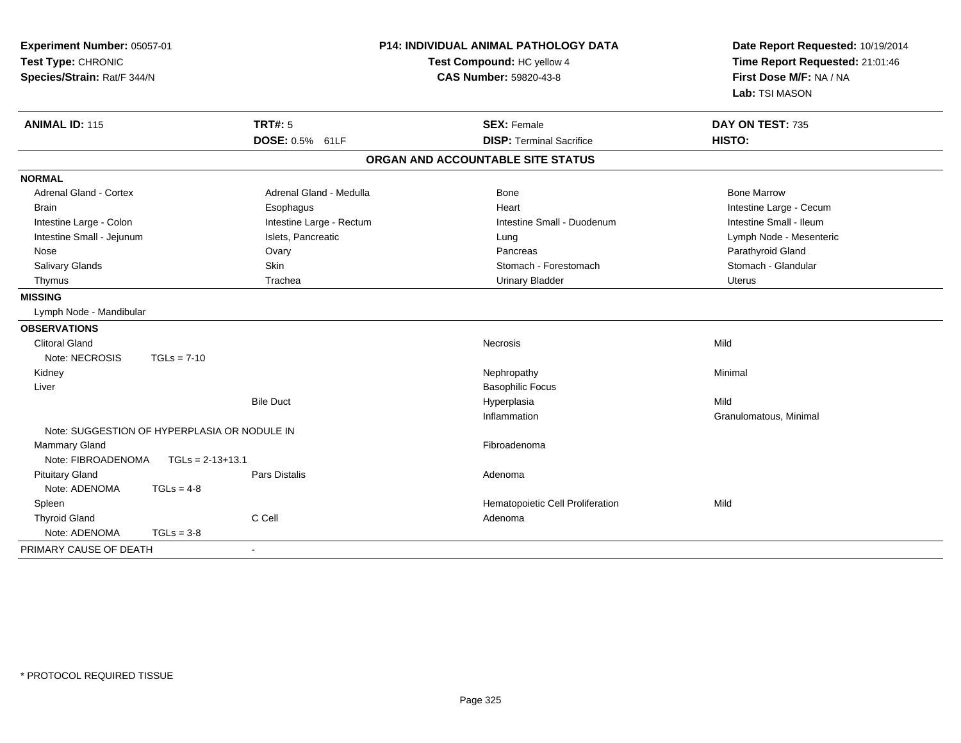| Experiment Number: 05057-01<br>Test Type: CHRONIC<br>Species/Strain: Rat/F 344/N |                    |                          | <b>P14: INDIVIDUAL ANIMAL PATHOLOGY DATA</b><br>Test Compound: HC yellow 4<br><b>CAS Number: 59820-43-8</b> | Date Report Requested: 10/19/2014<br>Time Report Requested: 21:01:46<br>First Dose M/F: NA / NA<br>Lab: TSI MASON |
|----------------------------------------------------------------------------------|--------------------|--------------------------|-------------------------------------------------------------------------------------------------------------|-------------------------------------------------------------------------------------------------------------------|
| <b>ANIMAL ID: 115</b>                                                            |                    | <b>TRT#: 5</b>           | <b>SEX: Female</b>                                                                                          | DAY ON TEST: 735                                                                                                  |
|                                                                                  |                    | DOSE: 0.5% 61LF          | <b>DISP: Terminal Sacrifice</b>                                                                             | HISTO:                                                                                                            |
|                                                                                  |                    |                          | ORGAN AND ACCOUNTABLE SITE STATUS                                                                           |                                                                                                                   |
| <b>NORMAL</b>                                                                    |                    |                          |                                                                                                             |                                                                                                                   |
| <b>Adrenal Gland - Cortex</b>                                                    |                    | Adrenal Gland - Medulla  | Bone                                                                                                        | <b>Bone Marrow</b>                                                                                                |
| <b>Brain</b>                                                                     |                    | Esophagus                | Heart                                                                                                       | Intestine Large - Cecum                                                                                           |
| Intestine Large - Colon                                                          |                    | Intestine Large - Rectum | Intestine Small - Duodenum                                                                                  | Intestine Small - Ileum                                                                                           |
| Intestine Small - Jejunum                                                        |                    | Islets, Pancreatic       | Lung                                                                                                        | Lymph Node - Mesenteric                                                                                           |
| Nose                                                                             |                    | Ovary                    | Pancreas                                                                                                    | Parathyroid Gland                                                                                                 |
| <b>Salivary Glands</b>                                                           |                    | Skin                     | Stomach - Forestomach                                                                                       | Stomach - Glandular                                                                                               |
| Thymus                                                                           |                    | Trachea                  | <b>Urinary Bladder</b>                                                                                      | <b>Uterus</b>                                                                                                     |
| <b>MISSING</b>                                                                   |                    |                          |                                                                                                             |                                                                                                                   |
| Lymph Node - Mandibular                                                          |                    |                          |                                                                                                             |                                                                                                                   |
| <b>OBSERVATIONS</b>                                                              |                    |                          |                                                                                                             |                                                                                                                   |
| <b>Clitoral Gland</b>                                                            |                    |                          | Necrosis                                                                                                    | Mild                                                                                                              |
| Note: NECROSIS                                                                   | $TGLs = 7-10$      |                          |                                                                                                             |                                                                                                                   |
| Kidney                                                                           |                    |                          | Nephropathy                                                                                                 | Minimal                                                                                                           |
| Liver                                                                            |                    |                          | <b>Basophilic Focus</b>                                                                                     |                                                                                                                   |
|                                                                                  |                    | <b>Bile Duct</b>         | Hyperplasia                                                                                                 | Mild                                                                                                              |
|                                                                                  |                    |                          | Inflammation                                                                                                | Granulomatous, Minimal                                                                                            |
| Note: SUGGESTION OF HYPERPLASIA OR NODULE IN                                     |                    |                          |                                                                                                             |                                                                                                                   |
| <b>Mammary Gland</b>                                                             |                    |                          | Fibroadenoma                                                                                                |                                                                                                                   |
| Note: FIBROADENOMA                                                               | $TGLs = 2-13+13.1$ |                          |                                                                                                             |                                                                                                                   |
| <b>Pituitary Gland</b>                                                           |                    | <b>Pars Distalis</b>     | Adenoma                                                                                                     |                                                                                                                   |
| Note: ADENOMA                                                                    | $TGLs = 4-8$       |                          |                                                                                                             |                                                                                                                   |
| Spleen                                                                           |                    |                          | Hematopoietic Cell Proliferation                                                                            | Mild                                                                                                              |
| <b>Thyroid Gland</b>                                                             |                    | C Cell                   | Adenoma                                                                                                     |                                                                                                                   |
| Note: ADENOMA                                                                    | $TGLs = 3-8$       |                          |                                                                                                             |                                                                                                                   |
| PRIMARY CAUSE OF DEATH                                                           |                    |                          |                                                                                                             |                                                                                                                   |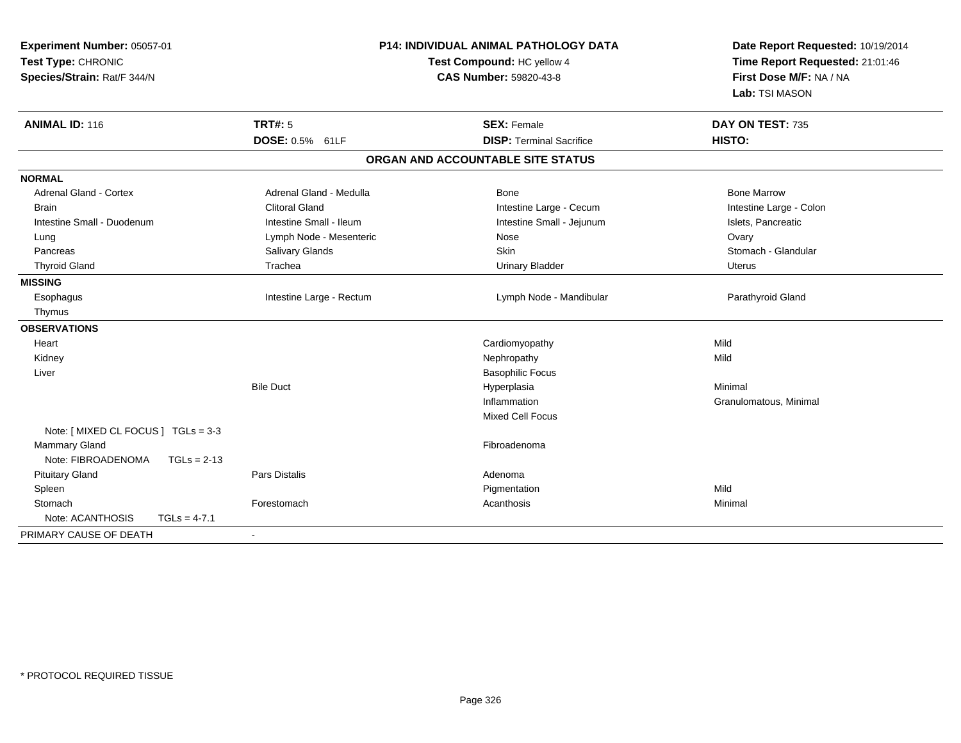| Experiment Number: 05057-01<br>Test Type: CHRONIC<br>Species/Strain: Rat/F 344/N | <b>P14: INDIVIDUAL ANIMAL PATHOLOGY DATA</b><br>Test Compound: HC yellow 4<br><b>CAS Number: 59820-43-8</b> |                                                       | Date Report Requested: 10/19/2014<br>Time Report Requested: 21:01:46<br>First Dose M/F: NA / NA<br>Lab: TSI MASON |
|----------------------------------------------------------------------------------|-------------------------------------------------------------------------------------------------------------|-------------------------------------------------------|-------------------------------------------------------------------------------------------------------------------|
| <b>ANIMAL ID: 116</b>                                                            | <b>TRT#: 5</b><br>DOSE: 0.5% 61LF                                                                           | <b>SEX: Female</b><br><b>DISP: Terminal Sacrifice</b> | DAY ON TEST: 735<br>HISTO:                                                                                        |
|                                                                                  |                                                                                                             | ORGAN AND ACCOUNTABLE SITE STATUS                     |                                                                                                                   |
|                                                                                  |                                                                                                             |                                                       |                                                                                                                   |
| <b>NORMAL</b>                                                                    |                                                                                                             |                                                       |                                                                                                                   |
| Adrenal Gland - Cortex                                                           | Adrenal Gland - Medulla                                                                                     | Bone                                                  | <b>Bone Marrow</b>                                                                                                |
| <b>Brain</b>                                                                     | <b>Clitoral Gland</b>                                                                                       | Intestine Large - Cecum                               | Intestine Large - Colon                                                                                           |
| Intestine Small - Duodenum                                                       | Intestine Small - Ileum                                                                                     | Intestine Small - Jejunum                             | Islets, Pancreatic                                                                                                |
| Lung                                                                             | Lymph Node - Mesenteric                                                                                     | Nose                                                  | Ovary                                                                                                             |
| Pancreas                                                                         | Salivary Glands                                                                                             | Skin                                                  | Stomach - Glandular                                                                                               |
| <b>Thyroid Gland</b>                                                             | Trachea                                                                                                     | <b>Urinary Bladder</b>                                | Uterus                                                                                                            |
| <b>MISSING</b>                                                                   |                                                                                                             |                                                       |                                                                                                                   |
| Esophagus                                                                        | Intestine Large - Rectum                                                                                    | Lymph Node - Mandibular                               | Parathyroid Gland                                                                                                 |
| Thymus                                                                           |                                                                                                             |                                                       |                                                                                                                   |
| <b>OBSERVATIONS</b>                                                              |                                                                                                             |                                                       |                                                                                                                   |
| Heart                                                                            |                                                                                                             | Cardiomyopathy                                        | Mild                                                                                                              |
| Kidney                                                                           |                                                                                                             | Nephropathy                                           | Mild                                                                                                              |
| Liver                                                                            |                                                                                                             | <b>Basophilic Focus</b>                               |                                                                                                                   |
|                                                                                  | <b>Bile Duct</b>                                                                                            | Hyperplasia                                           | Minimal                                                                                                           |
|                                                                                  |                                                                                                             | Inflammation                                          | Granulomatous, Minimal                                                                                            |
|                                                                                  |                                                                                                             | <b>Mixed Cell Focus</b>                               |                                                                                                                   |
| Note: [ MIXED CL FOCUS ] TGLs = 3-3                                              |                                                                                                             |                                                       |                                                                                                                   |
| <b>Mammary Gland</b>                                                             |                                                                                                             | Fibroadenoma                                          |                                                                                                                   |
| Note: FIBROADENOMA<br>$TGLs = 2-13$                                              |                                                                                                             |                                                       |                                                                                                                   |
| <b>Pituitary Gland</b>                                                           | <b>Pars Distalis</b>                                                                                        | Adenoma                                               |                                                                                                                   |
| Spleen                                                                           |                                                                                                             | Pigmentation                                          | Mild                                                                                                              |
| Stomach                                                                          | Forestomach                                                                                                 | Acanthosis                                            | Minimal                                                                                                           |
| Note: ACANTHOSIS<br>$TGLs = 4-7.1$                                               |                                                                                                             |                                                       |                                                                                                                   |
| PRIMARY CAUSE OF DEATH                                                           |                                                                                                             |                                                       |                                                                                                                   |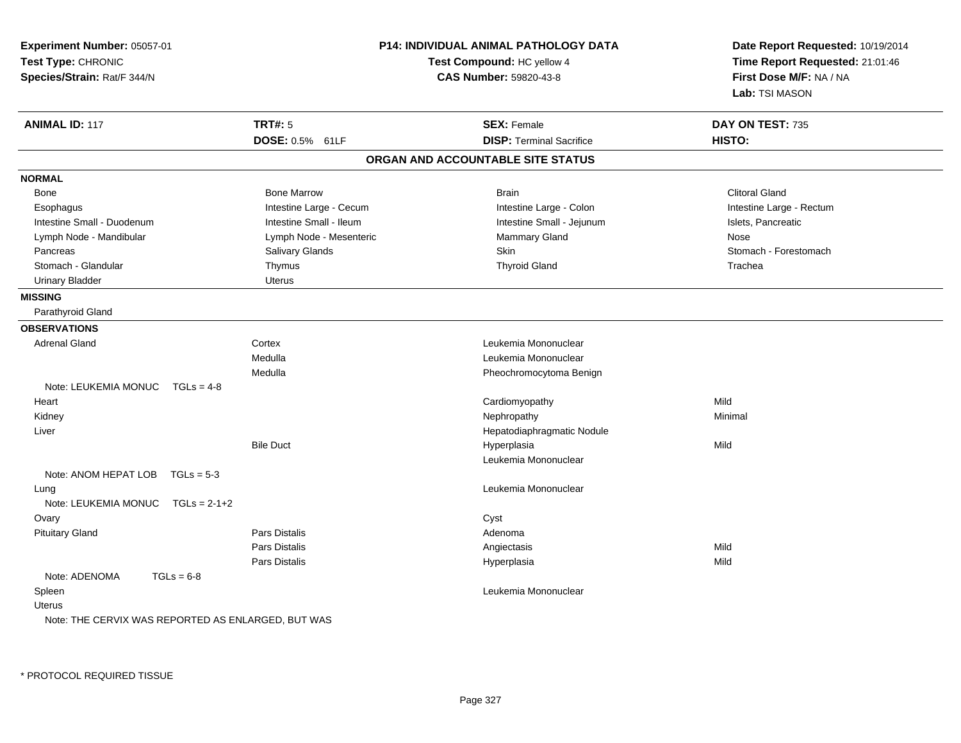| Experiment Number: 05057-01<br>Test Type: CHRONIC<br>Species/Strain: Rat/F 344/N | <b>P14: INDIVIDUAL ANIMAL PATHOLOGY DATA</b><br>Test Compound: HC yellow 4<br><b>CAS Number: 59820-43-8</b> |                                   | Date Report Requested: 10/19/2014<br>Time Report Requested: 21:01:46<br>First Dose M/F: NA / NA<br>Lab: TSI MASON |
|----------------------------------------------------------------------------------|-------------------------------------------------------------------------------------------------------------|-----------------------------------|-------------------------------------------------------------------------------------------------------------------|
| <b>ANIMAL ID: 117</b>                                                            | <b>TRT#: 5</b>                                                                                              | <b>SEX: Female</b>                | DAY ON TEST: 735                                                                                                  |
|                                                                                  | DOSE: 0.5% 61LF                                                                                             | <b>DISP: Terminal Sacrifice</b>   | HISTO:                                                                                                            |
|                                                                                  |                                                                                                             | ORGAN AND ACCOUNTABLE SITE STATUS |                                                                                                                   |
| <b>NORMAL</b>                                                                    |                                                                                                             |                                   |                                                                                                                   |
| Bone                                                                             | <b>Bone Marrow</b>                                                                                          | <b>Brain</b>                      | <b>Clitoral Gland</b>                                                                                             |
| Esophagus                                                                        | Intestine Large - Cecum                                                                                     | Intestine Large - Colon           | Intestine Large - Rectum                                                                                          |
| Intestine Small - Duodenum                                                       | Intestine Small - Ileum                                                                                     | Intestine Small - Jejunum         | Islets, Pancreatic                                                                                                |
| Lymph Node - Mandibular                                                          | Lymph Node - Mesenteric                                                                                     | Mammary Gland                     | Nose                                                                                                              |
| Pancreas                                                                         | Salivary Glands                                                                                             | Skin                              | Stomach - Forestomach                                                                                             |
| Stomach - Glandular                                                              | Thymus                                                                                                      | <b>Thyroid Gland</b>              | Trachea                                                                                                           |
| <b>Urinary Bladder</b>                                                           | <b>Uterus</b>                                                                                               |                                   |                                                                                                                   |
| <b>MISSING</b>                                                                   |                                                                                                             |                                   |                                                                                                                   |
| Parathyroid Gland                                                                |                                                                                                             |                                   |                                                                                                                   |
| <b>OBSERVATIONS</b>                                                              |                                                                                                             |                                   |                                                                                                                   |
| <b>Adrenal Gland</b>                                                             | Cortex                                                                                                      | Leukemia Mononuclear              |                                                                                                                   |
|                                                                                  | Medulla                                                                                                     | Leukemia Mononuclear              |                                                                                                                   |
|                                                                                  | Medulla                                                                                                     | Pheochromocytoma Benign           |                                                                                                                   |
| Note: LEUKEMIA MONUC<br>$TGLs = 4-8$                                             |                                                                                                             |                                   |                                                                                                                   |
| Heart                                                                            |                                                                                                             | Cardiomyopathy                    | Mild                                                                                                              |
| Kidney                                                                           |                                                                                                             | Nephropathy                       | Minimal                                                                                                           |
| Liver                                                                            |                                                                                                             | Hepatodiaphragmatic Nodule        |                                                                                                                   |
|                                                                                  | <b>Bile Duct</b>                                                                                            | Hyperplasia                       | Mild                                                                                                              |
|                                                                                  |                                                                                                             | Leukemia Mononuclear              |                                                                                                                   |
| Note: ANOM HEPAT LOB TGLs = 5-3                                                  |                                                                                                             |                                   |                                                                                                                   |
| Lung                                                                             |                                                                                                             | Leukemia Mononuclear              |                                                                                                                   |
| Note: LEUKEMIA MONUC<br>$TGLs = 2-1+2$                                           |                                                                                                             |                                   |                                                                                                                   |
| Ovary                                                                            |                                                                                                             | Cyst                              |                                                                                                                   |
| <b>Pituitary Gland</b>                                                           | Pars Distalis                                                                                               | Adenoma                           |                                                                                                                   |
|                                                                                  | Pars Distalis                                                                                               | Angiectasis                       | Mild                                                                                                              |
|                                                                                  | Pars Distalis                                                                                               | Hyperplasia                       | Mild                                                                                                              |
| Note: ADENOMA<br>$TGLs = 6-8$                                                    |                                                                                                             |                                   |                                                                                                                   |
| Spleen                                                                           |                                                                                                             | Leukemia Mononuclear              |                                                                                                                   |
| Uterus                                                                           |                                                                                                             |                                   |                                                                                                                   |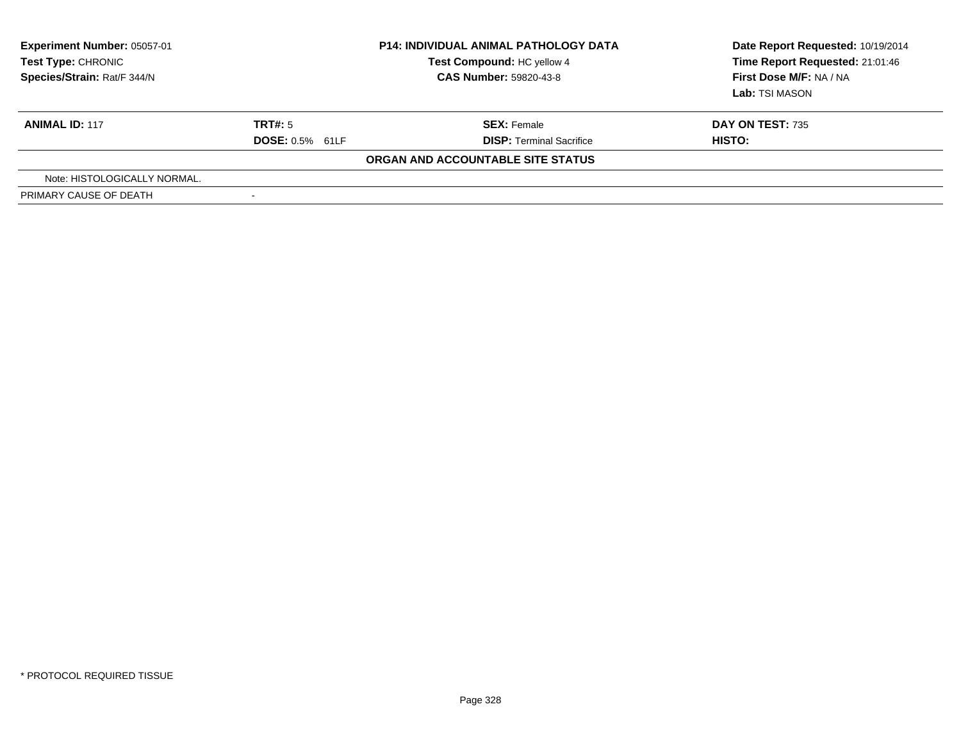| <b>Experiment Number: 05057-01</b><br>Test Type: CHRONIC<br>Species/Strain: Rat/F 344/N |                          | <b>P14: INDIVIDUAL ANIMAL PATHOLOGY DATA</b><br>Test Compound: HC yellow 4<br><b>CAS Number: 59820-43-8</b> | Date Report Requested: 10/19/2014<br>Time Report Requested: 21:01:46<br>First Dose M/F: NA / NA<br>Lab: TSI MASON |
|-----------------------------------------------------------------------------------------|--------------------------|-------------------------------------------------------------------------------------------------------------|-------------------------------------------------------------------------------------------------------------------|
| <b>ANIMAL ID: 117</b>                                                                   | TRT#: 5                  | <b>SEX: Female</b>                                                                                          | <b>DAY ON TEST: 735</b>                                                                                           |
|                                                                                         | <b>DOSE: 0.5% 61LF</b>   | <b>DISP: Terminal Sacrifice</b>                                                                             | HISTO:                                                                                                            |
|                                                                                         |                          | ORGAN AND ACCOUNTABLE SITE STATUS                                                                           |                                                                                                                   |
| Note: HISTOLOGICALLY NORMAL.                                                            |                          |                                                                                                             |                                                                                                                   |
| PRIMARY CAUSE OF DEATH                                                                  | $\overline{\phantom{a}}$ |                                                                                                             |                                                                                                                   |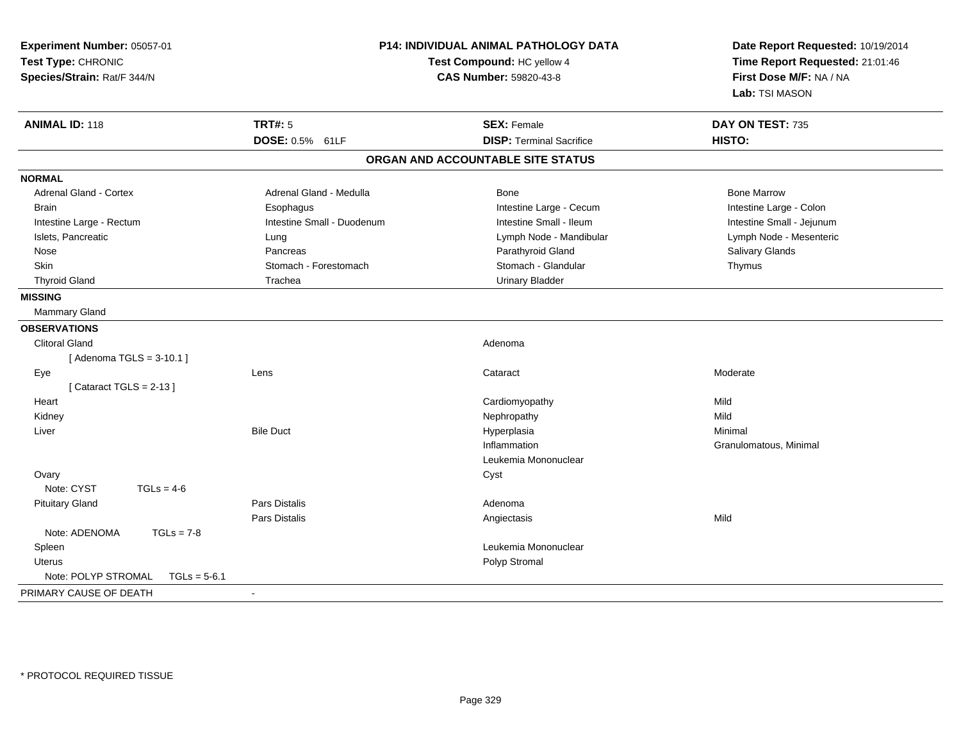| Experiment Number: 05057-01<br>Test Type: CHRONIC<br>Species/Strain: Rat/F 344/N | <b>P14: INDIVIDUAL ANIMAL PATHOLOGY DATA</b><br>Test Compound: HC yellow 4<br>CAS Number: 59820-43-8 |                                   | Date Report Requested: 10/19/2014<br>Time Report Requested: 21:01:46<br>First Dose M/F: NA / NA<br>Lab: TSI MASON |
|----------------------------------------------------------------------------------|------------------------------------------------------------------------------------------------------|-----------------------------------|-------------------------------------------------------------------------------------------------------------------|
| <b>ANIMAL ID: 118</b>                                                            | <b>TRT#: 5</b>                                                                                       | <b>SEX: Female</b>                | DAY ON TEST: 735                                                                                                  |
|                                                                                  | DOSE: 0.5% 61LF                                                                                      | <b>DISP: Terminal Sacrifice</b>   | HISTO:                                                                                                            |
|                                                                                  |                                                                                                      | ORGAN AND ACCOUNTABLE SITE STATUS |                                                                                                                   |
| <b>NORMAL</b>                                                                    |                                                                                                      |                                   |                                                                                                                   |
| Adrenal Gland - Cortex                                                           | Adrenal Gland - Medulla                                                                              | Bone                              | <b>Bone Marrow</b>                                                                                                |
| <b>Brain</b>                                                                     | Esophagus                                                                                            | Intestine Large - Cecum           | Intestine Large - Colon                                                                                           |
| Intestine Large - Rectum                                                         | Intestine Small - Duodenum                                                                           | Intestine Small - Ileum           | Intestine Small - Jejunum                                                                                         |
| Islets, Pancreatic                                                               | Lung                                                                                                 | Lymph Node - Mandibular           | Lymph Node - Mesenteric                                                                                           |
| Nose                                                                             | Pancreas                                                                                             | Parathyroid Gland                 | Salivary Glands                                                                                                   |
| Skin                                                                             | Stomach - Forestomach                                                                                | Stomach - Glandular               | Thymus                                                                                                            |
| <b>Thyroid Gland</b>                                                             | Trachea                                                                                              | <b>Urinary Bladder</b>            |                                                                                                                   |
| <b>MISSING</b>                                                                   |                                                                                                      |                                   |                                                                                                                   |
| <b>Mammary Gland</b>                                                             |                                                                                                      |                                   |                                                                                                                   |
| <b>OBSERVATIONS</b>                                                              |                                                                                                      |                                   |                                                                                                                   |
| <b>Clitoral Gland</b>                                                            |                                                                                                      | Adenoma                           |                                                                                                                   |
| [Adenoma TGLS = 3-10.1]                                                          |                                                                                                      |                                   |                                                                                                                   |
| Eye                                                                              | Lens                                                                                                 | Cataract                          | Moderate                                                                                                          |
| [Cataract TGLS = $2-13$ ]                                                        |                                                                                                      |                                   |                                                                                                                   |
| Heart                                                                            |                                                                                                      | Cardiomyopathy                    | Mild                                                                                                              |
| Kidney                                                                           |                                                                                                      | Nephropathy                       | Mild                                                                                                              |
| Liver                                                                            | <b>Bile Duct</b>                                                                                     | Hyperplasia                       | Minimal                                                                                                           |
|                                                                                  |                                                                                                      | Inflammation                      | Granulomatous, Minimal                                                                                            |
|                                                                                  |                                                                                                      | Leukemia Mononuclear              |                                                                                                                   |
| Ovary                                                                            |                                                                                                      | Cyst                              |                                                                                                                   |
| Note: CYST<br>$TGLs = 4-6$                                                       |                                                                                                      |                                   |                                                                                                                   |
| <b>Pituitary Gland</b>                                                           | <b>Pars Distalis</b>                                                                                 | Adenoma                           |                                                                                                                   |
|                                                                                  | Pars Distalis                                                                                        | Angiectasis                       | Mild                                                                                                              |
| Note: ADENOMA<br>$TGLs = 7-8$                                                    |                                                                                                      |                                   |                                                                                                                   |
| Spleen                                                                           |                                                                                                      | Leukemia Mononuclear              |                                                                                                                   |
| <b>Uterus</b>                                                                    |                                                                                                      | Polyp Stromal                     |                                                                                                                   |
| Note: POLYP STROMAL<br>$TGLs = 5-6.1$                                            |                                                                                                      |                                   |                                                                                                                   |
| PRIMARY CAUSE OF DEATH                                                           | $\overline{\phantom{a}}$                                                                             |                                   |                                                                                                                   |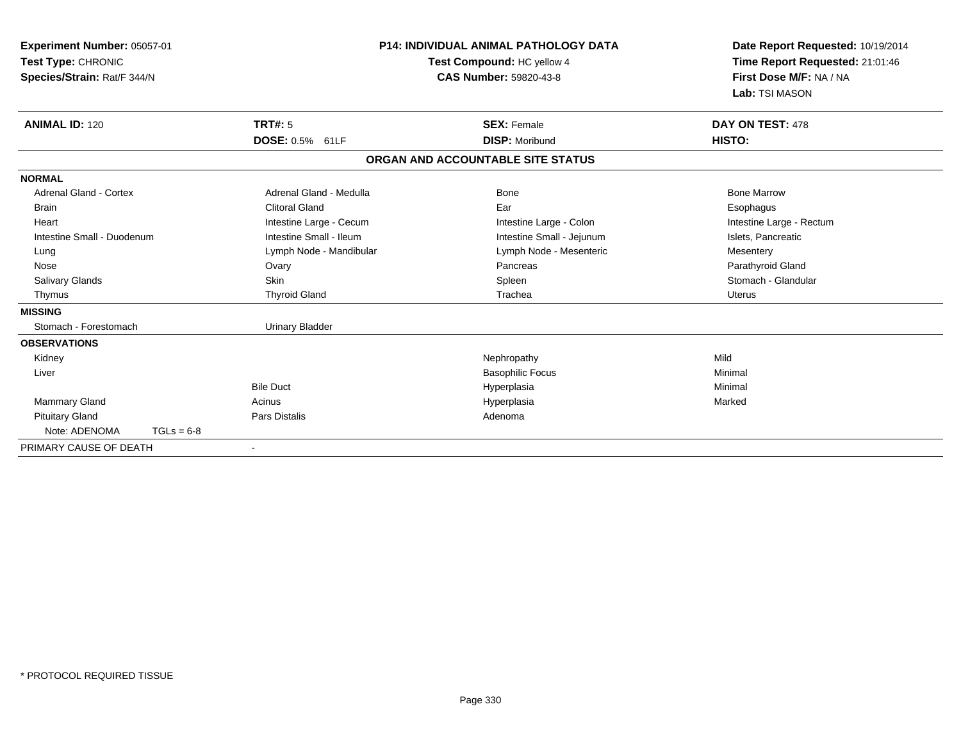| Experiment Number: 05057-01<br>Test Type: CHRONIC<br>Species/Strain: Rat/F 344/N |                         | <b>P14: INDIVIDUAL ANIMAL PATHOLOGY DATA</b><br>Test Compound: HC yellow 4<br><b>CAS Number: 59820-43-8</b> | Date Report Requested: 10/19/2014<br>Time Report Requested: 21:01:46<br>First Dose M/F: NA / NA<br>Lab: TSI MASON |
|----------------------------------------------------------------------------------|-------------------------|-------------------------------------------------------------------------------------------------------------|-------------------------------------------------------------------------------------------------------------------|
| <b>ANIMAL ID: 120</b>                                                            | <b>TRT#: 5</b>          | <b>SEX: Female</b>                                                                                          | DAY ON TEST: 478                                                                                                  |
|                                                                                  | DOSE: 0.5% 61LF         | <b>DISP: Moribund</b>                                                                                       | HISTO:                                                                                                            |
|                                                                                  |                         | ORGAN AND ACCOUNTABLE SITE STATUS                                                                           |                                                                                                                   |
| <b>NORMAL</b>                                                                    |                         |                                                                                                             |                                                                                                                   |
| <b>Adrenal Gland - Cortex</b>                                                    | Adrenal Gland - Medulla | Bone                                                                                                        | <b>Bone Marrow</b>                                                                                                |
| Brain                                                                            | <b>Clitoral Gland</b>   | Ear                                                                                                         | Esophagus                                                                                                         |
| Heart                                                                            | Intestine Large - Cecum | Intestine Large - Colon                                                                                     | Intestine Large - Rectum                                                                                          |
| Intestine Small - Duodenum                                                       | Intestine Small - Ileum | Intestine Small - Jejunum                                                                                   | Islets, Pancreatic                                                                                                |
| Lung                                                                             | Lymph Node - Mandibular | Lymph Node - Mesenteric                                                                                     | Mesentery                                                                                                         |
| Nose                                                                             | Ovary                   | Pancreas                                                                                                    | Parathyroid Gland                                                                                                 |
| Salivary Glands                                                                  | <b>Skin</b>             | Spleen                                                                                                      | Stomach - Glandular                                                                                               |
| Thymus                                                                           | <b>Thyroid Gland</b>    | Trachea                                                                                                     | <b>Uterus</b>                                                                                                     |
| <b>MISSING</b>                                                                   |                         |                                                                                                             |                                                                                                                   |
| Stomach - Forestomach                                                            | <b>Urinary Bladder</b>  |                                                                                                             |                                                                                                                   |
| <b>OBSERVATIONS</b>                                                              |                         |                                                                                                             |                                                                                                                   |
| Kidney                                                                           |                         | Nephropathy                                                                                                 | Mild                                                                                                              |
| Liver                                                                            |                         | <b>Basophilic Focus</b>                                                                                     | Minimal                                                                                                           |
|                                                                                  | <b>Bile Duct</b>        | Hyperplasia                                                                                                 | Minimal                                                                                                           |
| <b>Mammary Gland</b>                                                             | Acinus                  | Hyperplasia                                                                                                 | Marked                                                                                                            |
| <b>Pituitary Gland</b>                                                           | <b>Pars Distalis</b>    | Adenoma                                                                                                     |                                                                                                                   |
| Note: ADENOMA<br>$TGLs = 6-8$                                                    |                         |                                                                                                             |                                                                                                                   |
| PRIMARY CAUSE OF DEATH                                                           |                         |                                                                                                             |                                                                                                                   |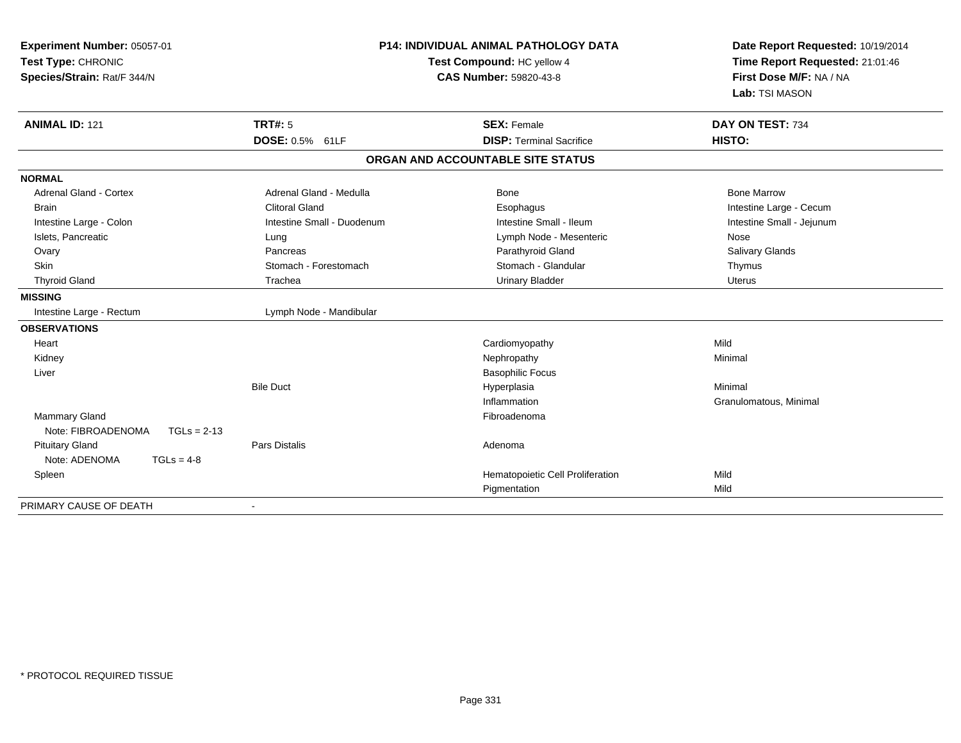| Experiment Number: 05057-01<br>Test Type: CHRONIC<br>Species/Strain: Rat/F 344/N | <b>P14: INDIVIDUAL ANIMAL PATHOLOGY DATA</b><br>Test Compound: HC yellow 4<br><b>CAS Number: 59820-43-8</b> |                                   | Date Report Requested: 10/19/2014<br>Time Report Requested: 21:01:46<br>First Dose M/F: NA / NA<br>Lab: TSI MASON |
|----------------------------------------------------------------------------------|-------------------------------------------------------------------------------------------------------------|-----------------------------------|-------------------------------------------------------------------------------------------------------------------|
| <b>ANIMAL ID: 121</b>                                                            | TRT#: 5                                                                                                     | <b>SEX: Female</b>                | DAY ON TEST: 734                                                                                                  |
|                                                                                  | DOSE: 0.5% 61LF                                                                                             | <b>DISP: Terminal Sacrifice</b>   | HISTO:                                                                                                            |
|                                                                                  |                                                                                                             | ORGAN AND ACCOUNTABLE SITE STATUS |                                                                                                                   |
| <b>NORMAL</b>                                                                    |                                                                                                             |                                   |                                                                                                                   |
| <b>Adrenal Gland - Cortex</b>                                                    | Adrenal Gland - Medulla                                                                                     | Bone                              | <b>Bone Marrow</b>                                                                                                |
| <b>Brain</b>                                                                     | <b>Clitoral Gland</b>                                                                                       | Esophagus                         | Intestine Large - Cecum                                                                                           |
| Intestine Large - Colon                                                          | Intestine Small - Duodenum                                                                                  | Intestine Small - Ileum           | Intestine Small - Jejunum                                                                                         |
| Islets, Pancreatic                                                               | Lung                                                                                                        | Lymph Node - Mesenteric           | Nose                                                                                                              |
| Ovary                                                                            | Pancreas                                                                                                    | Parathyroid Gland                 | Salivary Glands                                                                                                   |
| Skin                                                                             | Stomach - Forestomach                                                                                       | Stomach - Glandular               | Thymus                                                                                                            |
| <b>Thyroid Gland</b>                                                             | Trachea                                                                                                     | <b>Urinary Bladder</b>            | <b>Uterus</b>                                                                                                     |
| <b>MISSING</b>                                                                   |                                                                                                             |                                   |                                                                                                                   |
| Intestine Large - Rectum                                                         | Lymph Node - Mandibular                                                                                     |                                   |                                                                                                                   |
| <b>OBSERVATIONS</b>                                                              |                                                                                                             |                                   |                                                                                                                   |
| Heart                                                                            |                                                                                                             | Cardiomyopathy                    | Mild                                                                                                              |
| Kidney                                                                           |                                                                                                             | Nephropathy                       | Minimal                                                                                                           |
| Liver                                                                            |                                                                                                             | <b>Basophilic Focus</b>           |                                                                                                                   |
|                                                                                  | <b>Bile Duct</b>                                                                                            | Hyperplasia                       | Minimal                                                                                                           |
|                                                                                  |                                                                                                             | Inflammation                      | Granulomatous, Minimal                                                                                            |
| Mammary Gland                                                                    |                                                                                                             | Fibroadenoma                      |                                                                                                                   |
| Note: FIBROADENOMA<br>$TGLs = 2-13$                                              |                                                                                                             |                                   |                                                                                                                   |
| <b>Pituitary Gland</b>                                                           | <b>Pars Distalis</b>                                                                                        | Adenoma                           |                                                                                                                   |
| Note: ADENOMA<br>$TGLs = 4-8$                                                    |                                                                                                             |                                   |                                                                                                                   |
| Spleen                                                                           |                                                                                                             | Hematopoietic Cell Proliferation  | Mild                                                                                                              |
|                                                                                  |                                                                                                             | Pigmentation                      | Mild                                                                                                              |
| PRIMARY CAUSE OF DEATH                                                           |                                                                                                             |                                   |                                                                                                                   |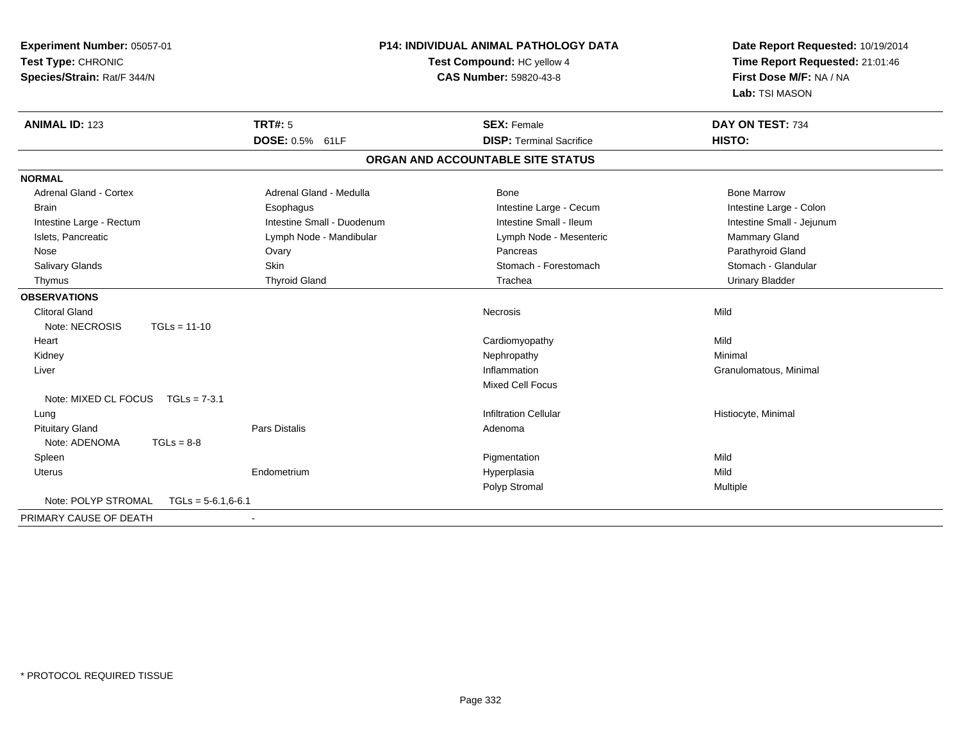| Experiment Number: 05057-01<br>Test Type: CHRONIC<br>Species/Strain: Rat/F 344/N |                      | <b>P14: INDIVIDUAL ANIMAL PATHOLOGY DATA</b><br>Test Compound: HC yellow 4<br><b>CAS Number: 59820-43-8</b> |                                   | Date Report Requested: 10/19/2014<br>Time Report Requested: 21:01:46<br>First Dose M/F: NA / NA<br>Lab: TSI MASON |
|----------------------------------------------------------------------------------|----------------------|-------------------------------------------------------------------------------------------------------------|-----------------------------------|-------------------------------------------------------------------------------------------------------------------|
| <b>ANIMAL ID: 123</b>                                                            |                      | <b>TRT#: 5</b>                                                                                              | <b>SEX: Female</b>                | DAY ON TEST: 734                                                                                                  |
|                                                                                  |                      | DOSE: 0.5% 61LF                                                                                             | <b>DISP: Terminal Sacrifice</b>   | HISTO:                                                                                                            |
|                                                                                  |                      |                                                                                                             | ORGAN AND ACCOUNTABLE SITE STATUS |                                                                                                                   |
| <b>NORMAL</b>                                                                    |                      |                                                                                                             |                                   |                                                                                                                   |
| <b>Adrenal Gland - Cortex</b>                                                    |                      | Adrenal Gland - Medulla                                                                                     | Bone                              | <b>Bone Marrow</b>                                                                                                |
| <b>Brain</b>                                                                     |                      | Esophagus                                                                                                   | Intestine Large - Cecum           | Intestine Large - Colon                                                                                           |
| Intestine Large - Rectum                                                         |                      | Intestine Small - Duodenum                                                                                  | Intestine Small - Ileum           | Intestine Small - Jejunum                                                                                         |
| Islets, Pancreatic                                                               |                      | Lymph Node - Mandibular                                                                                     | Lymph Node - Mesenteric           | Mammary Gland                                                                                                     |
| Nose                                                                             |                      | Ovary                                                                                                       | Pancreas                          | Parathyroid Gland                                                                                                 |
| <b>Salivary Glands</b>                                                           |                      | Skin                                                                                                        | Stomach - Forestomach             | Stomach - Glandular                                                                                               |
| Thymus                                                                           |                      | <b>Thyroid Gland</b>                                                                                        | Trachea                           | <b>Urinary Bladder</b>                                                                                            |
| <b>OBSERVATIONS</b>                                                              |                      |                                                                                                             |                                   |                                                                                                                   |
| <b>Clitoral Gland</b>                                                            |                      |                                                                                                             | <b>Necrosis</b>                   | Mild                                                                                                              |
| Note: NECROSIS                                                                   | $TGLs = 11-10$       |                                                                                                             |                                   |                                                                                                                   |
| Heart                                                                            |                      |                                                                                                             | Cardiomyopathy                    | Mild                                                                                                              |
| Kidney                                                                           |                      |                                                                                                             | Nephropathy                       | Minimal                                                                                                           |
| Liver                                                                            |                      |                                                                                                             | Inflammation                      | Granulomatous, Minimal                                                                                            |
|                                                                                  |                      |                                                                                                             | Mixed Cell Focus                  |                                                                                                                   |
| Note: MIXED CL FOCUS TGLs = 7-3.1                                                |                      |                                                                                                             |                                   |                                                                                                                   |
| Lung                                                                             |                      |                                                                                                             | <b>Infiltration Cellular</b>      | Histiocyte, Minimal                                                                                               |
| <b>Pituitary Gland</b>                                                           |                      | <b>Pars Distalis</b>                                                                                        | Adenoma                           |                                                                                                                   |
| Note: ADENOMA                                                                    | $TGLs = 8-8$         |                                                                                                             |                                   |                                                                                                                   |
| Spleen                                                                           |                      |                                                                                                             | Pigmentation                      | Mild                                                                                                              |
| <b>Uterus</b>                                                                    |                      | Endometrium                                                                                                 | Hyperplasia                       | Mild                                                                                                              |
|                                                                                  |                      |                                                                                                             | Polyp Stromal                     | Multiple                                                                                                          |
| Note: POLYP STROMAL                                                              | $TGLS = 5-6.1,6-6.1$ |                                                                                                             |                                   |                                                                                                                   |
| PRIMARY CAUSE OF DEATH                                                           |                      |                                                                                                             |                                   |                                                                                                                   |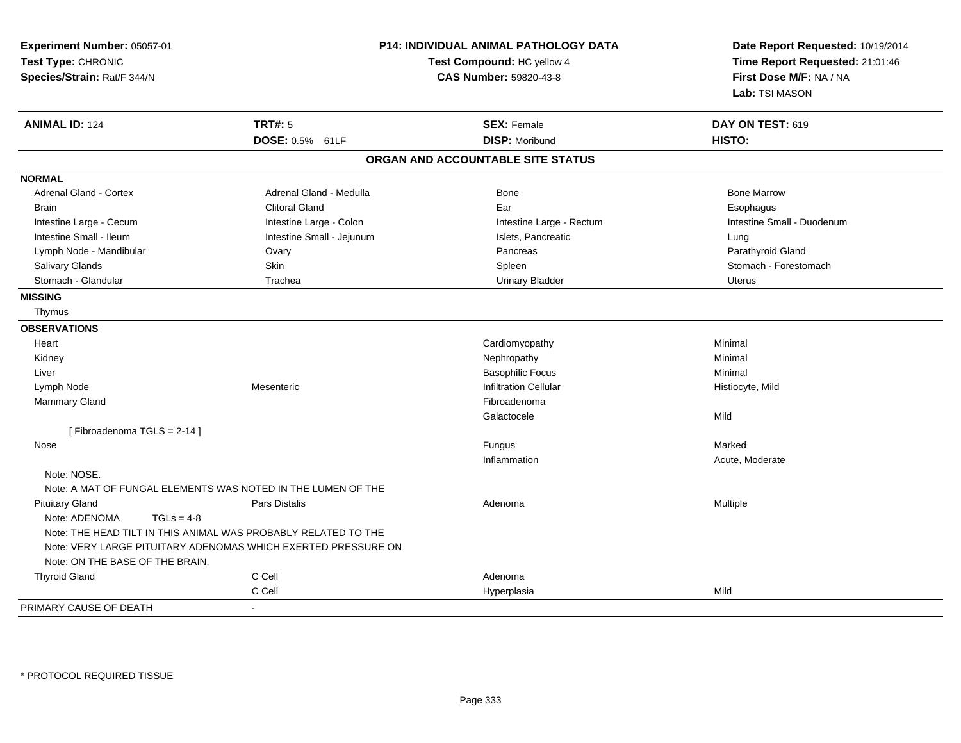| Experiment Number: 05057-01<br>Test Type: CHRONIC<br>Species/Strain: Rat/F 344/N |                                                                | <b>P14: INDIVIDUAL ANIMAL PATHOLOGY DATA</b><br>Test Compound: HC yellow 4<br><b>CAS Number: 59820-43-8</b> | Date Report Requested: 10/19/2014<br>Time Report Requested: 21:01:46<br>First Dose M/F: NA / NA<br>Lab: TSI MASON |
|----------------------------------------------------------------------------------|----------------------------------------------------------------|-------------------------------------------------------------------------------------------------------------|-------------------------------------------------------------------------------------------------------------------|
| <b>ANIMAL ID: 124</b>                                                            | <b>TRT#: 5</b>                                                 | <b>SEX: Female</b>                                                                                          | DAY ON TEST: 619                                                                                                  |
|                                                                                  | DOSE: 0.5% 61LF                                                | <b>DISP: Moribund</b>                                                                                       | HISTO:                                                                                                            |
|                                                                                  |                                                                | ORGAN AND ACCOUNTABLE SITE STATUS                                                                           |                                                                                                                   |
| <b>NORMAL</b>                                                                    |                                                                |                                                                                                             |                                                                                                                   |
| <b>Adrenal Gland - Cortex</b>                                                    | Adrenal Gland - Medulla                                        | Bone                                                                                                        | <b>Bone Marrow</b>                                                                                                |
| <b>Brain</b>                                                                     | <b>Clitoral Gland</b>                                          | Ear                                                                                                         | Esophagus                                                                                                         |
| Intestine Large - Cecum                                                          | Intestine Large - Colon                                        | Intestine Large - Rectum                                                                                    | Intestine Small - Duodenum                                                                                        |
| Intestine Small - Ileum                                                          | Intestine Small - Jejunum                                      | Islets, Pancreatic                                                                                          | Lung                                                                                                              |
| Lymph Node - Mandibular                                                          | Ovary                                                          | Pancreas                                                                                                    | Parathyroid Gland                                                                                                 |
| Salivary Glands                                                                  | Skin                                                           | Spleen                                                                                                      | Stomach - Forestomach                                                                                             |
| Stomach - Glandular                                                              | Trachea                                                        | <b>Urinary Bladder</b>                                                                                      | <b>Uterus</b>                                                                                                     |
| <b>MISSING</b>                                                                   |                                                                |                                                                                                             |                                                                                                                   |
| Thymus                                                                           |                                                                |                                                                                                             |                                                                                                                   |
| <b>OBSERVATIONS</b>                                                              |                                                                |                                                                                                             |                                                                                                                   |
| Heart                                                                            |                                                                | Cardiomyopathy                                                                                              | Minimal                                                                                                           |
| Kidney                                                                           |                                                                | Nephropathy                                                                                                 | Minimal                                                                                                           |
| Liver                                                                            |                                                                | <b>Basophilic Focus</b>                                                                                     | Minimal                                                                                                           |
| Lymph Node                                                                       | Mesenteric                                                     | <b>Infiltration Cellular</b>                                                                                | Histiocyte, Mild                                                                                                  |
| Mammary Gland                                                                    |                                                                | Fibroadenoma                                                                                                |                                                                                                                   |
|                                                                                  |                                                                | Galactocele                                                                                                 | Mild                                                                                                              |
| [Fibroadenoma TGLS = 2-14]                                                       |                                                                |                                                                                                             |                                                                                                                   |
| Nose                                                                             |                                                                | Fungus                                                                                                      | Marked                                                                                                            |
|                                                                                  |                                                                | Inflammation                                                                                                | Acute, Moderate                                                                                                   |
| Note: NOSE.                                                                      |                                                                |                                                                                                             |                                                                                                                   |
|                                                                                  | Note: A MAT OF FUNGAL ELEMENTS WAS NOTED IN THE LUMEN OF THE   |                                                                                                             |                                                                                                                   |
| <b>Pituitary Gland</b>                                                           | Pars Distalis                                                  | Adenoma                                                                                                     | Multiple                                                                                                          |
| Note: ADENOMA<br>$TGLs = 4-8$                                                    |                                                                |                                                                                                             |                                                                                                                   |
|                                                                                  | Note: THE HEAD TILT IN THIS ANIMAL WAS PROBABLY RELATED TO THE |                                                                                                             |                                                                                                                   |
|                                                                                  | Note: VERY LARGE PITUITARY ADENOMAS WHICH EXERTED PRESSURE ON  |                                                                                                             |                                                                                                                   |
| Note: ON THE BASE OF THE BRAIN.                                                  |                                                                |                                                                                                             |                                                                                                                   |
| <b>Thyroid Gland</b>                                                             | C Cell                                                         | Adenoma                                                                                                     |                                                                                                                   |
|                                                                                  | C Cell                                                         | Hyperplasia                                                                                                 | Mild                                                                                                              |
| PRIMARY CAUSE OF DEATH                                                           |                                                                |                                                                                                             |                                                                                                                   |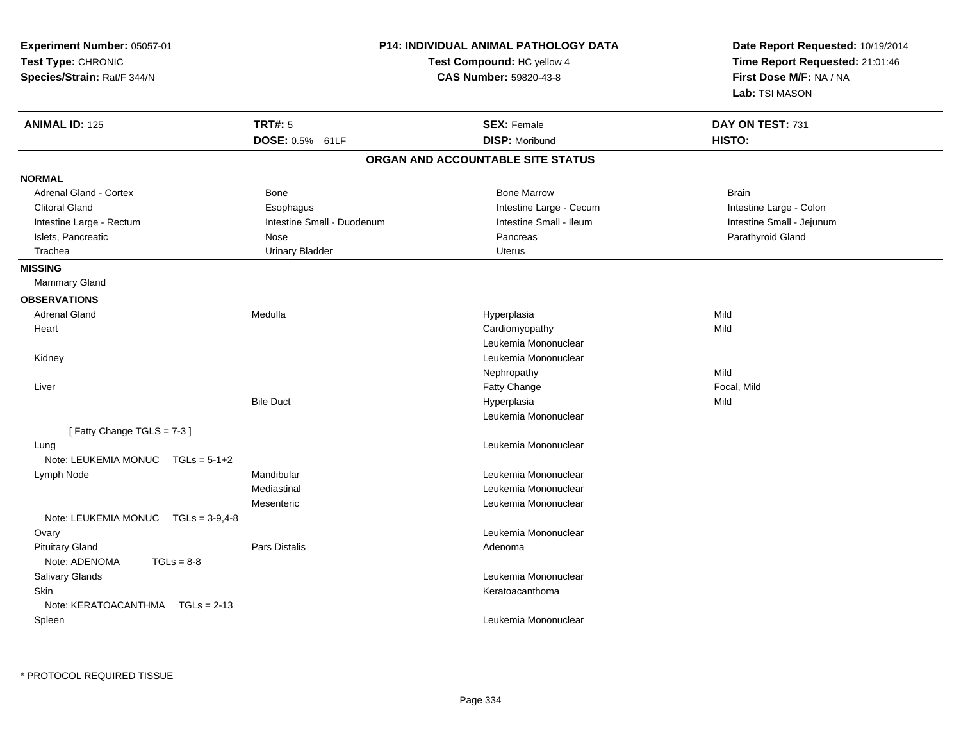| Experiment Number: 05057-01<br>Test Type: CHRONIC<br>Species/Strain: Rat/F 344/N |                            | <b>P14: INDIVIDUAL ANIMAL PATHOLOGY DATA</b><br>Test Compound: HC yellow 4<br>CAS Number: 59820-43-8 | Date Report Requested: 10/19/2014<br>Time Report Requested: 21:01:46<br>First Dose M/F: NA / NA<br>Lab: TSI MASON |
|----------------------------------------------------------------------------------|----------------------------|------------------------------------------------------------------------------------------------------|-------------------------------------------------------------------------------------------------------------------|
| <b>ANIMAL ID: 125</b>                                                            | <b>TRT#: 5</b>             | <b>SEX: Female</b>                                                                                   | DAY ON TEST: 731                                                                                                  |
|                                                                                  | DOSE: 0.5% 61LF            | <b>DISP: Moribund</b>                                                                                | HISTO:                                                                                                            |
|                                                                                  |                            | ORGAN AND ACCOUNTABLE SITE STATUS                                                                    |                                                                                                                   |
| <b>NORMAL</b>                                                                    |                            |                                                                                                      |                                                                                                                   |
| Adrenal Gland - Cortex                                                           | <b>Bone</b>                | <b>Bone Marrow</b>                                                                                   | <b>Brain</b>                                                                                                      |
| <b>Clitoral Gland</b>                                                            | Esophagus                  | Intestine Large - Cecum                                                                              | Intestine Large - Colon                                                                                           |
| Intestine Large - Rectum                                                         | Intestine Small - Duodenum | Intestine Small - Ileum                                                                              | Intestine Small - Jejunum                                                                                         |
| Islets, Pancreatic                                                               | Nose                       | Pancreas                                                                                             | Parathyroid Gland                                                                                                 |
| Trachea                                                                          | <b>Urinary Bladder</b>     | <b>Uterus</b>                                                                                        |                                                                                                                   |
| <b>MISSING</b>                                                                   |                            |                                                                                                      |                                                                                                                   |
| <b>Mammary Gland</b>                                                             |                            |                                                                                                      |                                                                                                                   |
| <b>OBSERVATIONS</b>                                                              |                            |                                                                                                      |                                                                                                                   |
| <b>Adrenal Gland</b>                                                             | Medulla                    | Hyperplasia                                                                                          | Mild                                                                                                              |
| Heart                                                                            |                            | Cardiomyopathy                                                                                       | Mild                                                                                                              |
|                                                                                  |                            | Leukemia Mononuclear                                                                                 |                                                                                                                   |
| Kidney                                                                           |                            | Leukemia Mononuclear                                                                                 |                                                                                                                   |
|                                                                                  |                            | Nephropathy                                                                                          | Mild                                                                                                              |
| Liver                                                                            |                            | Fatty Change                                                                                         | Focal, Mild                                                                                                       |
|                                                                                  | <b>Bile Duct</b>           | Hyperplasia                                                                                          | Mild                                                                                                              |
|                                                                                  |                            | Leukemia Mononuclear                                                                                 |                                                                                                                   |
| [Fatty Change TGLS = 7-3]                                                        |                            |                                                                                                      |                                                                                                                   |
| Lung                                                                             |                            | Leukemia Mononuclear                                                                                 |                                                                                                                   |
| Note: LEUKEMIA MONUC<br>$TGLs = 5-1+2$                                           |                            |                                                                                                      |                                                                                                                   |
| Lymph Node                                                                       | Mandibular                 | Leukemia Mononuclear                                                                                 |                                                                                                                   |
|                                                                                  | Mediastinal                | Leukemia Mononuclear                                                                                 |                                                                                                                   |
|                                                                                  | Mesenteric                 | Leukemia Mononuclear                                                                                 |                                                                                                                   |
| Note: LEUKEMIA MONUC<br>$TGLs = 3-9,4-8$                                         |                            |                                                                                                      |                                                                                                                   |
| Ovary                                                                            |                            | Leukemia Mononuclear                                                                                 |                                                                                                                   |
| <b>Pituitary Gland</b><br>$TGLs = 8-8$<br>Note: ADENOMA                          | Pars Distalis              | Adenoma                                                                                              |                                                                                                                   |
| Salivary Glands                                                                  |                            | Leukemia Mononuclear                                                                                 |                                                                                                                   |
| <b>Skin</b>                                                                      |                            | Keratoacanthoma                                                                                      |                                                                                                                   |
| Note: KERATOACANTHMA<br>$TGLs = 2-13$                                            |                            |                                                                                                      |                                                                                                                   |
| Spleen                                                                           |                            | Leukemia Mononuclear                                                                                 |                                                                                                                   |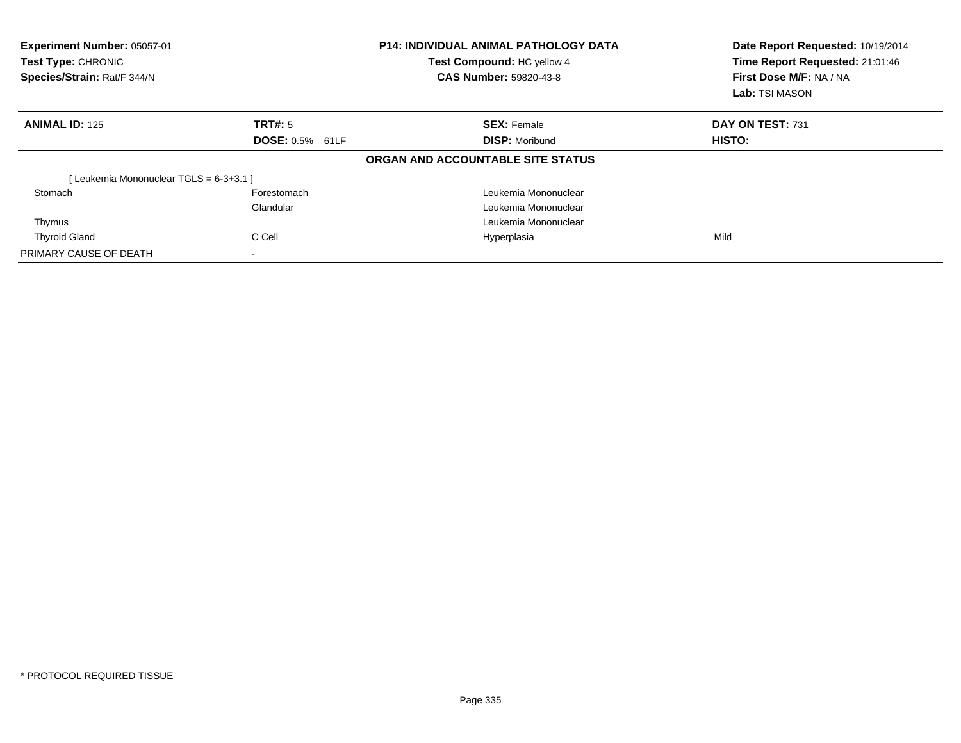| Experiment Number: 05057-01<br>Test Type: CHRONIC<br>Species/Strain: Rat/F 344/N |                        | <b>P14: INDIVIDUAL ANIMAL PATHOLOGY DATA</b><br>Test Compound: HC yellow 4<br><b>CAS Number: 59820-43-8</b> | Date Report Requested: 10/19/2014<br>Time Report Requested: 21:01:46<br>First Dose M/F: NA / NA<br>Lab: TSI MASON |
|----------------------------------------------------------------------------------|------------------------|-------------------------------------------------------------------------------------------------------------|-------------------------------------------------------------------------------------------------------------------|
| <b>ANIMAL ID: 125</b>                                                            | TRT#: 5                | <b>SEX: Female</b>                                                                                          | DAY ON TEST: 731                                                                                                  |
|                                                                                  | <b>DOSE: 0.5% 61LF</b> | <b>DISP: Moribund</b>                                                                                       | HISTO:                                                                                                            |
|                                                                                  |                        | ORGAN AND ACCOUNTABLE SITE STATUS                                                                           |                                                                                                                   |
| [Leukemia Mononuclear TGLS = 6-3+3.1]                                            |                        |                                                                                                             |                                                                                                                   |
| Stomach                                                                          | Forestomach            | Leukemia Mononuclear                                                                                        |                                                                                                                   |
|                                                                                  | Glandular              | Leukemia Mononuclear                                                                                        |                                                                                                                   |
| Thymus                                                                           |                        | Leukemia Mononuclear                                                                                        |                                                                                                                   |
| <b>Thyroid Gland</b>                                                             | C Cell                 | Hyperplasia                                                                                                 | Mild                                                                                                              |
| PRIMARY CAUSE OF DEATH                                                           |                        |                                                                                                             |                                                                                                                   |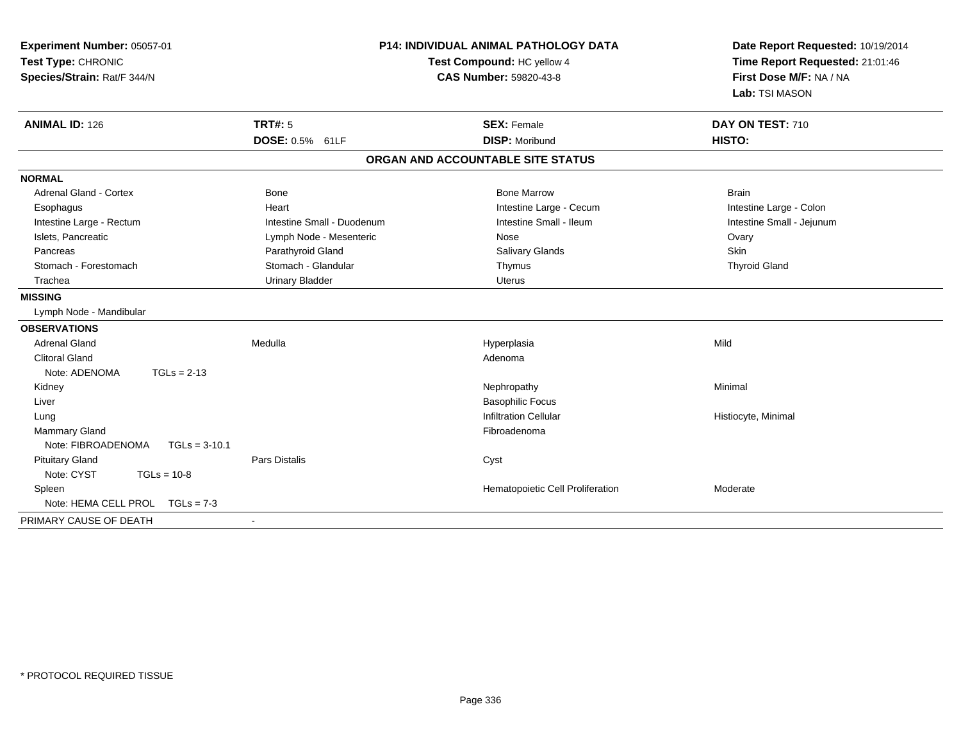| Experiment Number: 05057-01<br>Test Type: CHRONIC<br>Species/Strain: Rat/F 344/N | <b>P14: INDIVIDUAL ANIMAL PATHOLOGY DATA</b><br>Test Compound: HC yellow 4<br><b>CAS Number: 59820-43-8</b> |                                   | Date Report Requested: 10/19/2014<br>Time Report Requested: 21:01:46<br>First Dose M/F: NA / NA<br>Lab: TSI MASON |
|----------------------------------------------------------------------------------|-------------------------------------------------------------------------------------------------------------|-----------------------------------|-------------------------------------------------------------------------------------------------------------------|
| <b>ANIMAL ID: 126</b>                                                            | <b>TRT#: 5</b>                                                                                              | <b>SEX: Female</b>                | DAY ON TEST: 710                                                                                                  |
|                                                                                  | DOSE: 0.5% 61LF                                                                                             | <b>DISP: Moribund</b>             | HISTO:                                                                                                            |
|                                                                                  |                                                                                                             | ORGAN AND ACCOUNTABLE SITE STATUS |                                                                                                                   |
| <b>NORMAL</b>                                                                    |                                                                                                             |                                   |                                                                                                                   |
| <b>Adrenal Gland - Cortex</b>                                                    | <b>Bone</b>                                                                                                 | <b>Bone Marrow</b>                | <b>Brain</b>                                                                                                      |
| Esophagus                                                                        | Heart                                                                                                       | Intestine Large - Cecum           | Intestine Large - Colon                                                                                           |
| Intestine Large - Rectum                                                         | Intestine Small - Duodenum                                                                                  | Intestine Small - Ileum           | Intestine Small - Jejunum                                                                                         |
| Islets, Pancreatic                                                               | Lymph Node - Mesenteric                                                                                     | Nose                              | Ovary                                                                                                             |
| Pancreas                                                                         | Parathyroid Gland                                                                                           | <b>Salivary Glands</b>            | Skin                                                                                                              |
| Stomach - Forestomach                                                            | Stomach - Glandular                                                                                         | Thymus                            | <b>Thyroid Gland</b>                                                                                              |
| Trachea                                                                          | <b>Urinary Bladder</b>                                                                                      | <b>Uterus</b>                     |                                                                                                                   |
| <b>MISSING</b>                                                                   |                                                                                                             |                                   |                                                                                                                   |
| Lymph Node - Mandibular                                                          |                                                                                                             |                                   |                                                                                                                   |
| <b>OBSERVATIONS</b>                                                              |                                                                                                             |                                   |                                                                                                                   |
| <b>Adrenal Gland</b>                                                             | Medulla                                                                                                     | Hyperplasia                       | Mild                                                                                                              |
| <b>Clitoral Gland</b>                                                            |                                                                                                             | Adenoma                           |                                                                                                                   |
| Note: ADENOMA<br>$TGLs = 2-13$                                                   |                                                                                                             |                                   |                                                                                                                   |
| Kidney                                                                           |                                                                                                             | Nephropathy                       | Minimal                                                                                                           |
| Liver                                                                            |                                                                                                             | <b>Basophilic Focus</b>           |                                                                                                                   |
| Lung                                                                             |                                                                                                             | <b>Infiltration Cellular</b>      | Histiocyte, Minimal                                                                                               |
| <b>Mammary Gland</b>                                                             |                                                                                                             | Fibroadenoma                      |                                                                                                                   |
| Note: FIBROADENOMA<br>$TGLs = 3-10.1$                                            |                                                                                                             |                                   |                                                                                                                   |
| <b>Pituitary Gland</b>                                                           | <b>Pars Distalis</b>                                                                                        | Cyst                              |                                                                                                                   |
| Note: CYST<br>$TGLs = 10-8$                                                      |                                                                                                             |                                   |                                                                                                                   |
| Spleen                                                                           |                                                                                                             | Hematopoietic Cell Proliferation  | Moderate                                                                                                          |
| Note: HEMA CELL PROL<br>$TGLs = 7-3$                                             |                                                                                                             |                                   |                                                                                                                   |
| PRIMARY CAUSE OF DEATH                                                           |                                                                                                             |                                   |                                                                                                                   |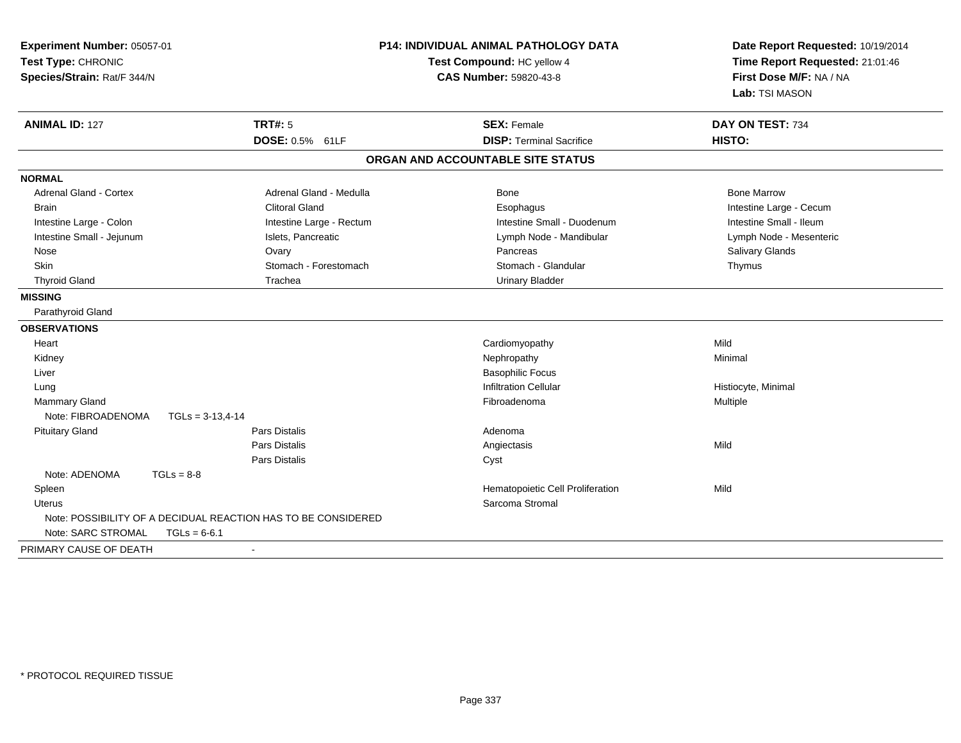| <b>P14: INDIVIDUAL ANIMAL PATHOLOGY DATA</b><br>Experiment Number: 05057-01<br>Test Type: CHRONIC<br>Test Compound: HC yellow 4<br>Species/Strain: Rat/F 344/N<br><b>CAS Number: 59820-43-8</b> |                          |                                   | Date Report Requested: 10/19/2014<br>Time Report Requested: 21:01:46<br>First Dose M/F: NA / NA<br>Lab: TSI MASON |
|-------------------------------------------------------------------------------------------------------------------------------------------------------------------------------------------------|--------------------------|-----------------------------------|-------------------------------------------------------------------------------------------------------------------|
| <b>ANIMAL ID: 127</b>                                                                                                                                                                           | <b>TRT#: 5</b>           | <b>SEX: Female</b>                | DAY ON TEST: 734                                                                                                  |
|                                                                                                                                                                                                 | DOSE: 0.5% 61LF          | <b>DISP: Terminal Sacrifice</b>   | HISTO:                                                                                                            |
|                                                                                                                                                                                                 |                          | ORGAN AND ACCOUNTABLE SITE STATUS |                                                                                                                   |
| <b>NORMAL</b>                                                                                                                                                                                   |                          |                                   |                                                                                                                   |
| Adrenal Gland - Cortex                                                                                                                                                                          | Adrenal Gland - Medulla  | Bone                              | <b>Bone Marrow</b>                                                                                                |
| <b>Brain</b>                                                                                                                                                                                    | <b>Clitoral Gland</b>    | Esophagus                         | Intestine Large - Cecum                                                                                           |
| Intestine Large - Colon                                                                                                                                                                         | Intestine Large - Rectum | Intestine Small - Duodenum        | Intestine Small - Ileum                                                                                           |
| Intestine Small - Jejunum                                                                                                                                                                       | Islets, Pancreatic       | Lymph Node - Mandibular           | Lymph Node - Mesenteric                                                                                           |
| Nose                                                                                                                                                                                            | Ovary                    | Pancreas                          | Salivary Glands                                                                                                   |
| Skin                                                                                                                                                                                            | Stomach - Forestomach    | Stomach - Glandular               | Thymus                                                                                                            |
| <b>Thyroid Gland</b>                                                                                                                                                                            | Trachea                  | <b>Urinary Bladder</b>            |                                                                                                                   |
| <b>MISSING</b>                                                                                                                                                                                  |                          |                                   |                                                                                                                   |
| Parathyroid Gland                                                                                                                                                                               |                          |                                   |                                                                                                                   |
| <b>OBSERVATIONS</b>                                                                                                                                                                             |                          |                                   |                                                                                                                   |
| Heart                                                                                                                                                                                           |                          | Cardiomyopathy                    | Mild                                                                                                              |
| Kidney                                                                                                                                                                                          |                          | Nephropathy                       | Minimal                                                                                                           |
| Liver                                                                                                                                                                                           |                          | <b>Basophilic Focus</b>           |                                                                                                                   |
| Lung                                                                                                                                                                                            |                          | <b>Infiltration Cellular</b>      | Histiocyte, Minimal                                                                                               |
| <b>Mammary Gland</b>                                                                                                                                                                            |                          | Fibroadenoma                      | Multiple                                                                                                          |
| Note: FIBROADENOMA<br>$TGLs = 3-13,4-14$                                                                                                                                                        |                          |                                   |                                                                                                                   |
| <b>Pituitary Gland</b>                                                                                                                                                                          | Pars Distalis            | Adenoma                           |                                                                                                                   |
|                                                                                                                                                                                                 | Pars Distalis            | Angiectasis                       | Mild                                                                                                              |
|                                                                                                                                                                                                 | Pars Distalis            | Cyst                              |                                                                                                                   |
| Note: ADENOMA<br>$TGLs = 8-8$                                                                                                                                                                   |                          |                                   |                                                                                                                   |
| Spleen                                                                                                                                                                                          |                          | Hematopoietic Cell Proliferation  | Mild                                                                                                              |
| Uterus                                                                                                                                                                                          |                          | Sarcoma Stromal                   |                                                                                                                   |
| Note: POSSIBILITY OF A DECIDUAL REACTION HAS TO BE CONSIDERED<br>Note: SARC STROMAL<br>$TGLs = 6-6.1$                                                                                           |                          |                                   |                                                                                                                   |
| PRIMARY CAUSE OF DEATH                                                                                                                                                                          |                          |                                   |                                                                                                                   |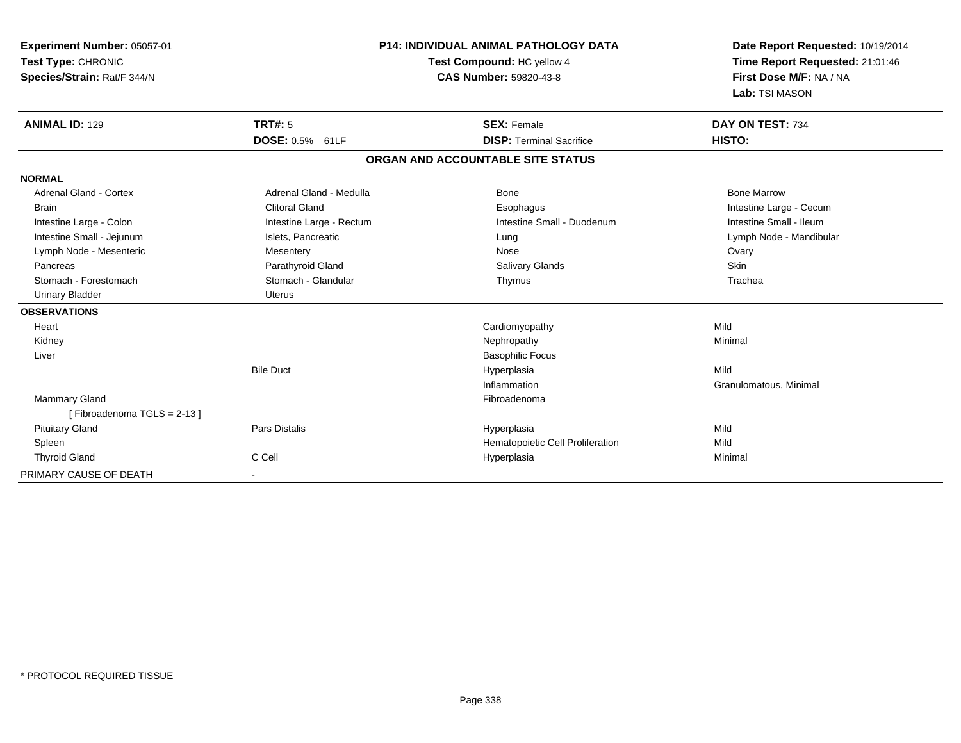| <b>Experiment Number: 05057-01</b><br>Test Type: CHRONIC<br>Species/Strain: Rat/F 344/N |                          | <b>P14: INDIVIDUAL ANIMAL PATHOLOGY DATA</b><br>Test Compound: HC yellow 4<br><b>CAS Number: 59820-43-8</b> | Date Report Requested: 10/19/2014<br>Time Report Requested: 21:01:46<br>First Dose M/F: NA / NA<br>Lab: TSI MASON |
|-----------------------------------------------------------------------------------------|--------------------------|-------------------------------------------------------------------------------------------------------------|-------------------------------------------------------------------------------------------------------------------|
| <b>ANIMAL ID: 129</b>                                                                   | <b>TRT#: 5</b>           | <b>SEX: Female</b>                                                                                          | DAY ON TEST: 734                                                                                                  |
|                                                                                         | <b>DOSE: 0.5% 61LF</b>   | <b>DISP: Terminal Sacrifice</b>                                                                             | HISTO:                                                                                                            |
|                                                                                         |                          | ORGAN AND ACCOUNTABLE SITE STATUS                                                                           |                                                                                                                   |
| <b>NORMAL</b>                                                                           |                          |                                                                                                             |                                                                                                                   |
| <b>Adrenal Gland - Cortex</b>                                                           | Adrenal Gland - Medulla  | Bone                                                                                                        | <b>Bone Marrow</b>                                                                                                |
| <b>Brain</b>                                                                            | <b>Clitoral Gland</b>    | Esophagus                                                                                                   | Intestine Large - Cecum                                                                                           |
| Intestine Large - Colon                                                                 | Intestine Large - Rectum | Intestine Small - Duodenum                                                                                  | Intestine Small - Ileum                                                                                           |
| Intestine Small - Jejunum                                                               | Islets, Pancreatic       | Lung                                                                                                        | Lymph Node - Mandibular                                                                                           |
| Lymph Node - Mesenteric                                                                 | Mesentery                | Nose                                                                                                        | Ovary                                                                                                             |
| Pancreas                                                                                | Parathyroid Gland        | <b>Salivary Glands</b>                                                                                      | <b>Skin</b>                                                                                                       |
| Stomach - Forestomach                                                                   | Stomach - Glandular      | Thymus                                                                                                      | Trachea                                                                                                           |
| <b>Urinary Bladder</b>                                                                  | Uterus                   |                                                                                                             |                                                                                                                   |
| <b>OBSERVATIONS</b>                                                                     |                          |                                                                                                             |                                                                                                                   |
| Heart                                                                                   |                          | Cardiomyopathy                                                                                              | Mild                                                                                                              |
| Kidney                                                                                  |                          | Nephropathy                                                                                                 | Minimal                                                                                                           |
| Liver                                                                                   |                          | <b>Basophilic Focus</b>                                                                                     |                                                                                                                   |
|                                                                                         | <b>Bile Duct</b>         | Hyperplasia                                                                                                 | Mild                                                                                                              |
|                                                                                         |                          | Inflammation                                                                                                | Granulomatous, Minimal                                                                                            |
| Mammary Gland                                                                           |                          | Fibroadenoma                                                                                                |                                                                                                                   |
| [Fibroadenoma TGLS = 2-13]                                                              |                          |                                                                                                             |                                                                                                                   |
| <b>Pituitary Gland</b>                                                                  | <b>Pars Distalis</b>     | Hyperplasia                                                                                                 | Mild                                                                                                              |
| Spleen                                                                                  |                          | Hematopoietic Cell Proliferation                                                                            | Mild                                                                                                              |
| <b>Thyroid Gland</b>                                                                    | C Cell                   | Hyperplasia                                                                                                 | Minimal                                                                                                           |
| PRIMARY CAUSE OF DEATH                                                                  |                          |                                                                                                             |                                                                                                                   |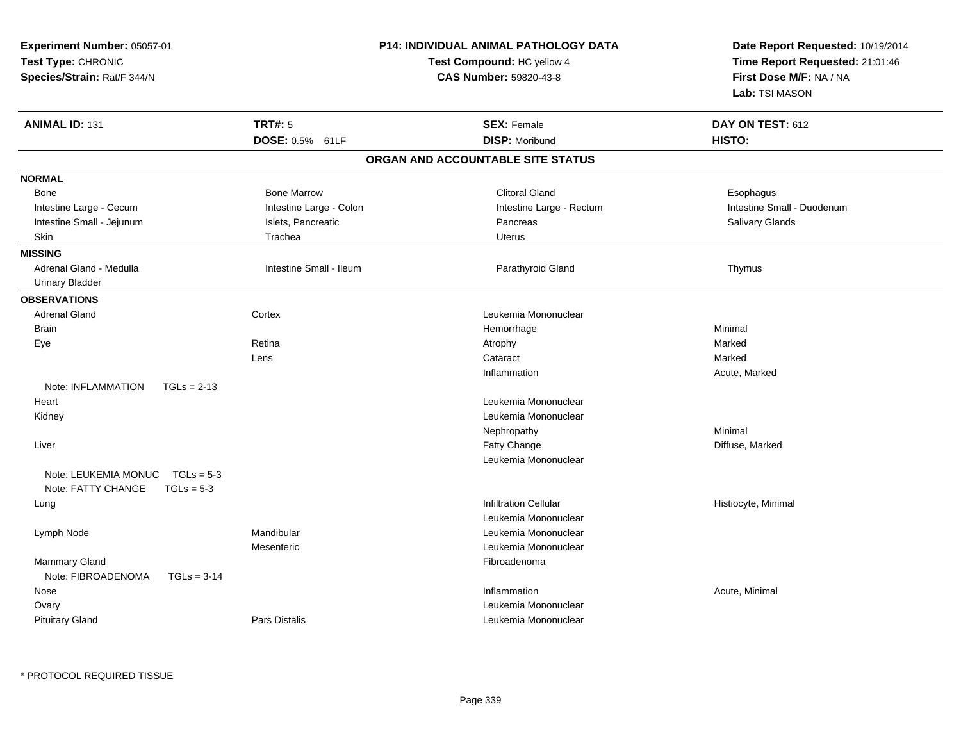| Experiment Number: 05057-01<br>Test Type: CHRONIC<br>Species/Strain: Rat/F 344/N |                         | P14: INDIVIDUAL ANIMAL PATHOLOGY DATA<br>Test Compound: HC yellow 4<br><b>CAS Number: 59820-43-8</b> | Date Report Requested: 10/19/2014<br>Time Report Requested: 21:01:46<br>First Dose M/F: NA / NA<br>Lab: TSI MASON |  |
|----------------------------------------------------------------------------------|-------------------------|------------------------------------------------------------------------------------------------------|-------------------------------------------------------------------------------------------------------------------|--|
| <b>ANIMAL ID: 131</b>                                                            | <b>TRT#: 5</b>          | <b>SEX: Female</b>                                                                                   | DAY ON TEST: 612                                                                                                  |  |
|                                                                                  | DOSE: 0.5% 61LF         | <b>DISP: Moribund</b>                                                                                | HISTO:                                                                                                            |  |
|                                                                                  |                         | ORGAN AND ACCOUNTABLE SITE STATUS                                                                    |                                                                                                                   |  |
| <b>NORMAL</b>                                                                    |                         |                                                                                                      |                                                                                                                   |  |
| Bone                                                                             | <b>Bone Marrow</b>      | <b>Clitoral Gland</b>                                                                                | Esophagus                                                                                                         |  |
| Intestine Large - Cecum                                                          | Intestine Large - Colon | Intestine Large - Rectum                                                                             | Intestine Small - Duodenum                                                                                        |  |
| Intestine Small - Jejunum                                                        | Islets, Pancreatic      | Pancreas                                                                                             | Salivary Glands                                                                                                   |  |
| Skin                                                                             | Trachea                 | <b>Uterus</b>                                                                                        |                                                                                                                   |  |
| <b>MISSING</b>                                                                   |                         |                                                                                                      |                                                                                                                   |  |
| Adrenal Gland - Medulla                                                          | Intestine Small - Ileum | Parathyroid Gland                                                                                    | Thymus                                                                                                            |  |
| <b>Urinary Bladder</b>                                                           |                         |                                                                                                      |                                                                                                                   |  |
| <b>OBSERVATIONS</b>                                                              |                         |                                                                                                      |                                                                                                                   |  |
| <b>Adrenal Gland</b>                                                             | Cortex                  | Leukemia Mononuclear                                                                                 |                                                                                                                   |  |
| <b>Brain</b>                                                                     |                         | Hemorrhage                                                                                           | Minimal                                                                                                           |  |
| Eye                                                                              | Retina                  | Atrophy                                                                                              | Marked                                                                                                            |  |
|                                                                                  | Lens                    | Cataract                                                                                             | Marked                                                                                                            |  |
|                                                                                  |                         | Inflammation                                                                                         | Acute, Marked                                                                                                     |  |
| Note: INFLAMMATION<br>$TGLs = 2-13$                                              |                         |                                                                                                      |                                                                                                                   |  |
| Heart                                                                            |                         | Leukemia Mononuclear                                                                                 |                                                                                                                   |  |
| Kidney                                                                           |                         | Leukemia Mononuclear                                                                                 |                                                                                                                   |  |
|                                                                                  |                         | Nephropathy                                                                                          | Minimal                                                                                                           |  |
| Liver                                                                            |                         | Fatty Change                                                                                         | Diffuse, Marked                                                                                                   |  |
| Note: LEUKEMIA MONUC<br>$TGLs = 5-3$<br>Note: FATTY CHANGE<br>$TGLs = 5-3$       |                         | Leukemia Mononuclear                                                                                 |                                                                                                                   |  |
| Lung                                                                             |                         | <b>Infiltration Cellular</b>                                                                         | Histiocyte, Minimal                                                                                               |  |
|                                                                                  |                         | Leukemia Mononuclear                                                                                 |                                                                                                                   |  |
| Lymph Node                                                                       | Mandibular              | Leukemia Mononuclear                                                                                 |                                                                                                                   |  |
|                                                                                  | Mesenteric              | Leukemia Mononuclear                                                                                 |                                                                                                                   |  |
| Mammary Gland<br>Note: FIBROADENOMA<br>$TGLs = 3-14$                             |                         | Fibroadenoma                                                                                         |                                                                                                                   |  |
| Nose                                                                             |                         | Inflammation                                                                                         | Acute, Minimal                                                                                                    |  |
| Ovary                                                                            |                         | Leukemia Mononuclear                                                                                 |                                                                                                                   |  |
| <b>Pituitary Gland</b>                                                           | <b>Pars Distalis</b>    | Leukemia Mononuclear                                                                                 |                                                                                                                   |  |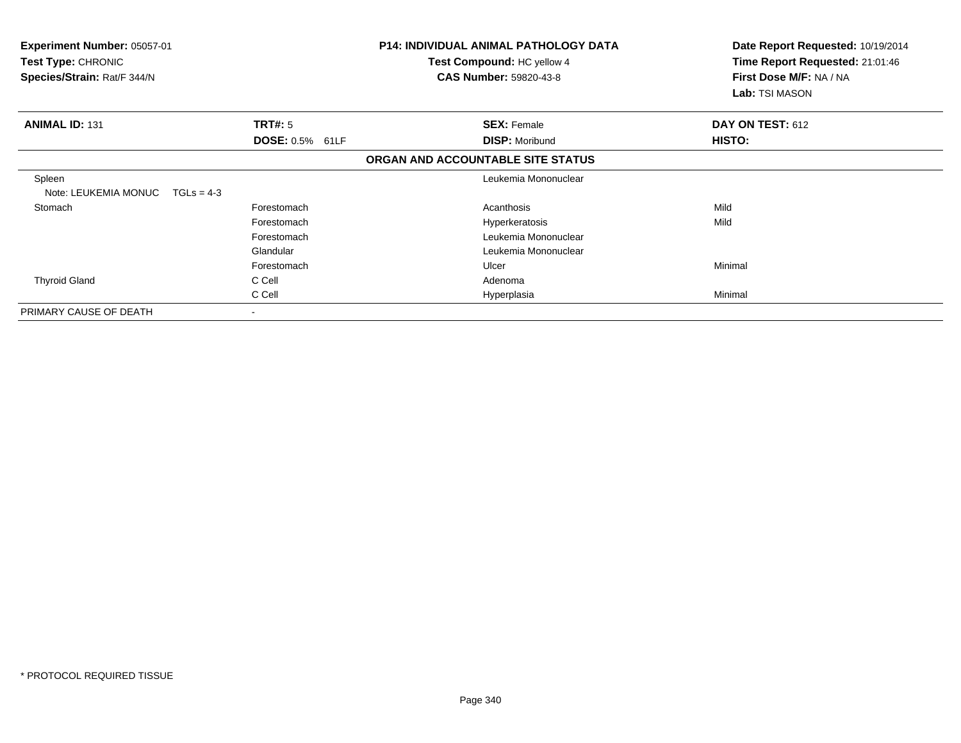| Experiment Number: 05057-01<br>Test Type: CHRONIC<br>Species/Strain: Rat/F 344/N |                        | P14: INDIVIDUAL ANIMAL PATHOLOGY DATA<br>Test Compound: HC yellow 4<br><b>CAS Number: 59820-43-8</b> |  | Date Report Requested: 10/19/2014<br>Time Report Requested: 21:01:46<br>First Dose M/F: NA / NA<br>Lab: TSI MASON |
|----------------------------------------------------------------------------------|------------------------|------------------------------------------------------------------------------------------------------|--|-------------------------------------------------------------------------------------------------------------------|
| <b>ANIMAL ID: 131</b>                                                            | <b>TRT#: 5</b>         | <b>SEX: Female</b>                                                                                   |  | DAY ON TEST: 612                                                                                                  |
|                                                                                  | <b>DOSE: 0.5% 61LF</b> | <b>DISP: Moribund</b>                                                                                |  | HISTO:                                                                                                            |
|                                                                                  |                        | ORGAN AND ACCOUNTABLE SITE STATUS                                                                    |  |                                                                                                                   |
| Spleen<br>Note: LEUKEMIA MONUC<br>$TGLs = 4-3$                                   |                        | Leukemia Mononuclear                                                                                 |  |                                                                                                                   |
| Stomach                                                                          | Forestomach            | Acanthosis                                                                                           |  | Mild                                                                                                              |
|                                                                                  | Forestomach            | Hyperkeratosis                                                                                       |  | Mild                                                                                                              |
|                                                                                  | Forestomach            | Leukemia Mononuclear                                                                                 |  |                                                                                                                   |
|                                                                                  | Glandular              | Leukemia Mononuclear                                                                                 |  |                                                                                                                   |
|                                                                                  | Forestomach            | Ulcer                                                                                                |  | Minimal                                                                                                           |
| <b>Thyroid Gland</b>                                                             | C Cell                 | Adenoma                                                                                              |  |                                                                                                                   |
|                                                                                  | C Cell                 | Hyperplasia                                                                                          |  | Minimal                                                                                                           |
| PRIMARY CAUSE OF DEATH                                                           | $\blacksquare$         |                                                                                                      |  |                                                                                                                   |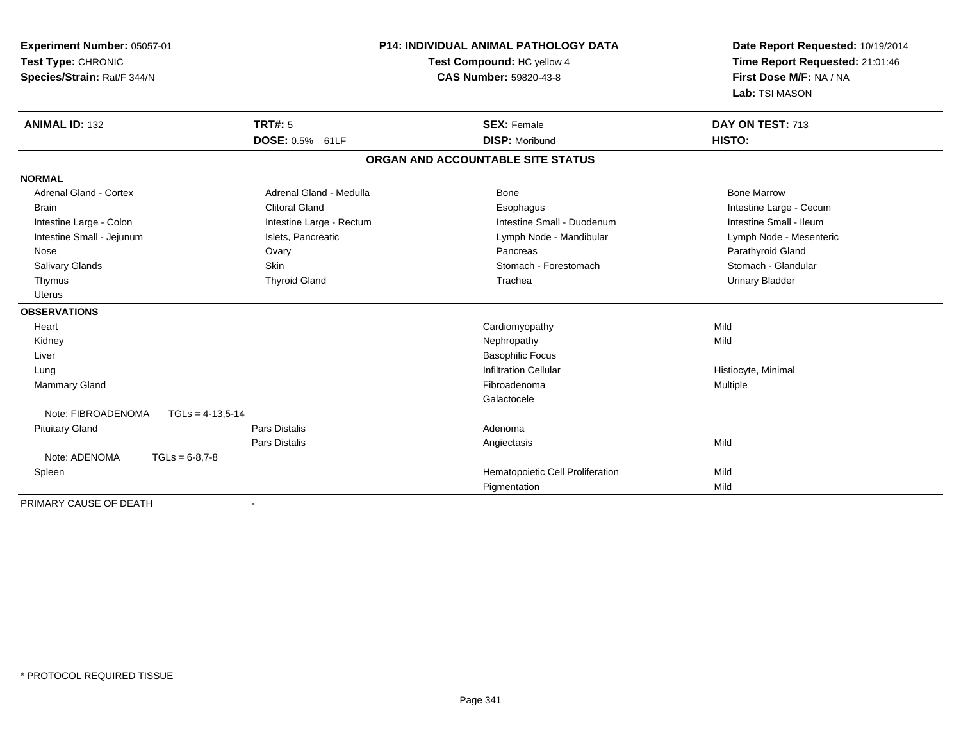| Experiment Number: 05057-01              |                            | <b>P14: INDIVIDUAL ANIMAL PATHOLOGY DATA</b> | Date Report Requested: 10/19/2014 |  |
|------------------------------------------|----------------------------|----------------------------------------------|-----------------------------------|--|
| Test Type: CHRONIC                       | Test Compound: HC yellow 4 |                                              | Time Report Requested: 21:01:46   |  |
| Species/Strain: Rat/F 344/N              |                            | <b>CAS Number: 59820-43-8</b>                | First Dose M/F: NA / NA           |  |
|                                          |                            |                                              | Lab: TSI MASON                    |  |
| <b>ANIMAL ID: 132</b>                    | <b>TRT#: 5</b>             | <b>SEX: Female</b>                           | DAY ON TEST: 713                  |  |
|                                          | <b>DOSE: 0.5% 61LF</b>     | <b>DISP: Moribund</b>                        | HISTO:                            |  |
|                                          |                            | ORGAN AND ACCOUNTABLE SITE STATUS            |                                   |  |
| <b>NORMAL</b>                            |                            |                                              |                                   |  |
| <b>Adrenal Gland - Cortex</b>            | Adrenal Gland - Medulla    | Bone                                         | <b>Bone Marrow</b>                |  |
| <b>Brain</b>                             | <b>Clitoral Gland</b>      | Esophagus                                    | Intestine Large - Cecum           |  |
| Intestine Large - Colon                  | Intestine Large - Rectum   | Intestine Small - Duodenum                   | Intestine Small - Ileum           |  |
| Intestine Small - Jejunum                | Islets, Pancreatic         | Lymph Node - Mandibular                      | Lymph Node - Mesenteric           |  |
| Nose                                     | Ovary                      | Pancreas                                     | Parathyroid Gland                 |  |
| Salivary Glands                          | <b>Skin</b>                | Stomach - Forestomach                        | Stomach - Glandular               |  |
| Thymus                                   | <b>Thyroid Gland</b>       | Trachea                                      | <b>Urinary Bladder</b>            |  |
| <b>Uterus</b>                            |                            |                                              |                                   |  |
| <b>OBSERVATIONS</b>                      |                            |                                              |                                   |  |
| Heart                                    |                            | Cardiomyopathy                               | Mild                              |  |
| Kidney                                   |                            | Nephropathy                                  | Mild                              |  |
| Liver                                    |                            | <b>Basophilic Focus</b>                      |                                   |  |
| Lung                                     |                            | <b>Infiltration Cellular</b>                 | Histiocyte, Minimal               |  |
| Mammary Gland                            |                            | Fibroadenoma                                 | Multiple                          |  |
|                                          |                            | Galactocele                                  |                                   |  |
| Note: FIBROADENOMA<br>$TGLs = 4-13.5-14$ |                            |                                              |                                   |  |
| <b>Pituitary Gland</b>                   | <b>Pars Distalis</b>       | Adenoma                                      |                                   |  |
|                                          | <b>Pars Distalis</b>       | Angiectasis                                  | Mild                              |  |
| Note: ADENOMA<br>$TGLs = 6-8.7-8$        |                            |                                              |                                   |  |
| Spleen                                   |                            | Hematopoietic Cell Proliferation             | Mild                              |  |
|                                          |                            | Pigmentation                                 | Mild                              |  |
| PRIMARY CAUSE OF DEATH                   |                            |                                              |                                   |  |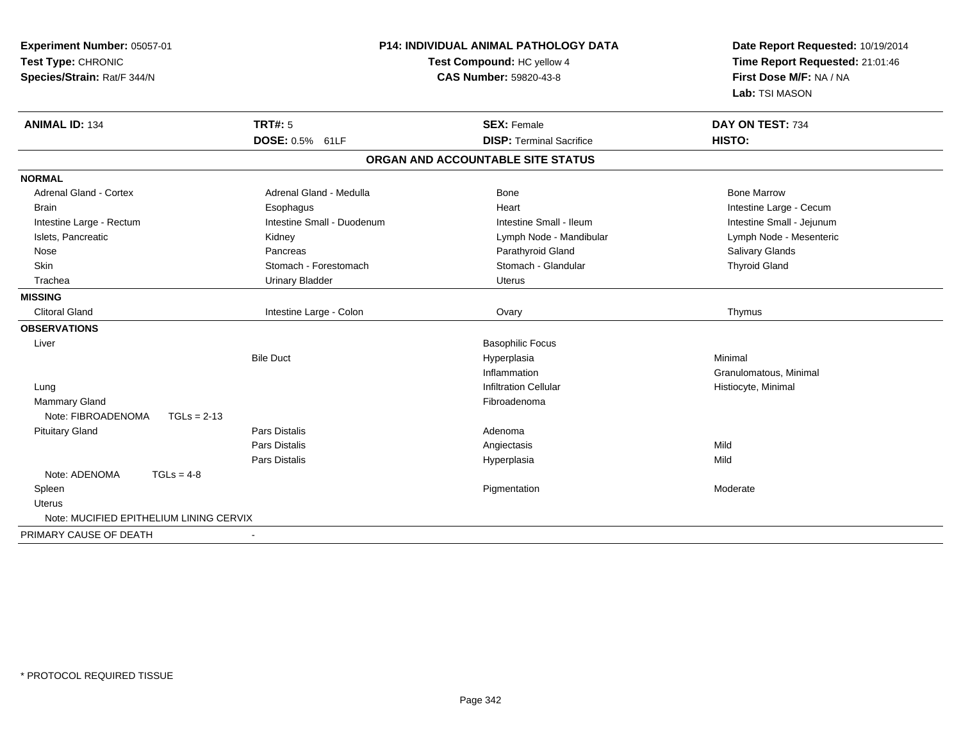| Experiment Number: 05057-01<br>Test Type: CHRONIC<br>Species/Strain: Rat/F 344/N | P14: INDIVIDUAL ANIMAL PATHOLOGY DATA<br>Test Compound: HC yellow 4<br><b>CAS Number: 59820-43-8</b> |                                   | Date Report Requested: 10/19/2014<br>Time Report Requested: 21:01:46<br>First Dose M/F: NA / NA<br>Lab: TSI MASON |
|----------------------------------------------------------------------------------|------------------------------------------------------------------------------------------------------|-----------------------------------|-------------------------------------------------------------------------------------------------------------------|
| <b>ANIMAL ID: 134</b>                                                            | <b>TRT#: 5</b>                                                                                       | <b>SEX: Female</b>                | DAY ON TEST: 734                                                                                                  |
|                                                                                  | DOSE: 0.5% 61LF                                                                                      | <b>DISP: Terminal Sacrifice</b>   | <b>HISTO:</b>                                                                                                     |
|                                                                                  |                                                                                                      | ORGAN AND ACCOUNTABLE SITE STATUS |                                                                                                                   |
| <b>NORMAL</b>                                                                    |                                                                                                      |                                   |                                                                                                                   |
| <b>Adrenal Gland - Cortex</b>                                                    | Adrenal Gland - Medulla                                                                              | Bone                              | <b>Bone Marrow</b>                                                                                                |
| <b>Brain</b>                                                                     | Esophagus                                                                                            | Heart                             | Intestine Large - Cecum                                                                                           |
| Intestine Large - Rectum                                                         | Intestine Small - Duodenum                                                                           | Intestine Small - Ileum           | Intestine Small - Jejunum                                                                                         |
| Islets, Pancreatic                                                               | Kidney                                                                                               | Lymph Node - Mandibular           | Lymph Node - Mesenteric                                                                                           |
| Nose                                                                             | Pancreas                                                                                             | Parathyroid Gland                 | Salivary Glands                                                                                                   |
| Skin                                                                             | Stomach - Forestomach                                                                                | Stomach - Glandular               | <b>Thyroid Gland</b>                                                                                              |
| Trachea                                                                          | <b>Urinary Bladder</b>                                                                               | <b>Uterus</b>                     |                                                                                                                   |
| <b>MISSING</b>                                                                   |                                                                                                      |                                   |                                                                                                                   |
| <b>Clitoral Gland</b>                                                            | Intestine Large - Colon                                                                              | Ovary                             | Thymus                                                                                                            |
| <b>OBSERVATIONS</b>                                                              |                                                                                                      |                                   |                                                                                                                   |
| Liver                                                                            |                                                                                                      | <b>Basophilic Focus</b>           |                                                                                                                   |
|                                                                                  | <b>Bile Duct</b>                                                                                     | Hyperplasia                       | Minimal                                                                                                           |
|                                                                                  |                                                                                                      | Inflammation                      | Granulomatous, Minimal                                                                                            |
| Lung                                                                             |                                                                                                      | <b>Infiltration Cellular</b>      | Histiocyte, Minimal                                                                                               |
| <b>Mammary Gland</b>                                                             |                                                                                                      | Fibroadenoma                      |                                                                                                                   |
| Note: FIBROADENOMA<br>$TGLs = 2-13$                                              |                                                                                                      |                                   |                                                                                                                   |
| <b>Pituitary Gland</b>                                                           | Pars Distalis                                                                                        | Adenoma                           |                                                                                                                   |
|                                                                                  | Pars Distalis                                                                                        | Angiectasis                       | Mild                                                                                                              |
|                                                                                  | Pars Distalis                                                                                        | Hyperplasia                       | Mild                                                                                                              |
| Note: ADENOMA<br>$TGLs = 4-8$                                                    |                                                                                                      |                                   |                                                                                                                   |
| Spleen                                                                           |                                                                                                      | Pigmentation                      | Moderate                                                                                                          |
| <b>Uterus</b>                                                                    |                                                                                                      |                                   |                                                                                                                   |
| Note: MUCIFIED EPITHELIUM LINING CERVIX                                          |                                                                                                      |                                   |                                                                                                                   |
| PRIMARY CAUSE OF DEATH                                                           | $\blacksquare$                                                                                       |                                   |                                                                                                                   |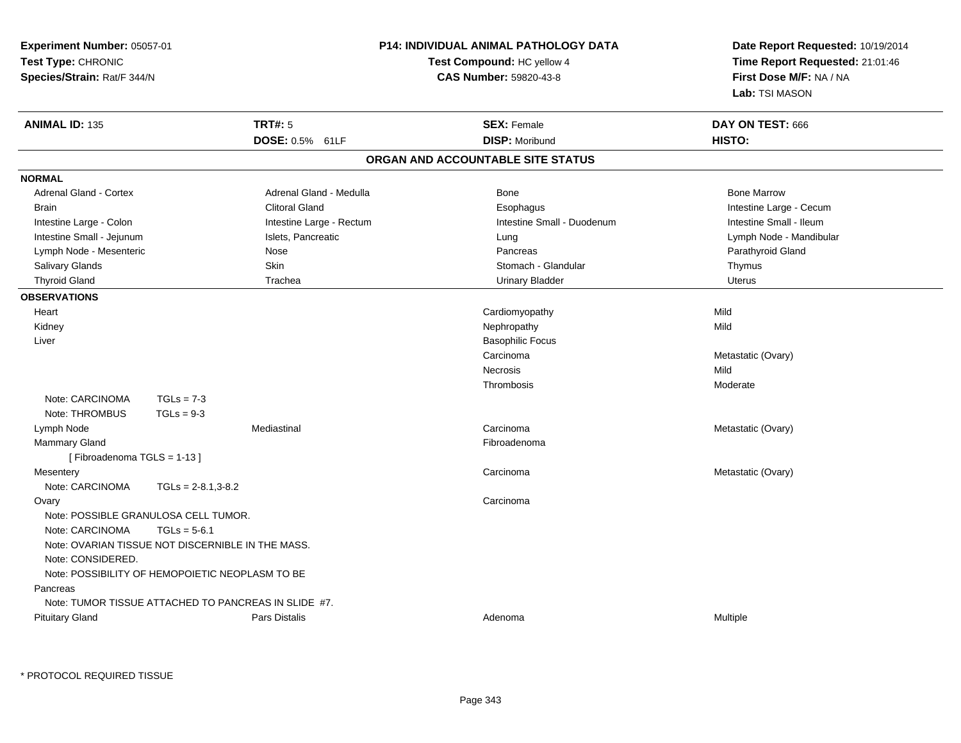| Experiment Number: 05057-01<br>Test Type: CHRONIC<br>Species/Strain: Rat/F 344/N |                                                      |                          | P14: INDIVIDUAL ANIMAL PATHOLOGY DATA<br>Test Compound: HC yellow 4<br><b>CAS Number: 59820-43-8</b> | Date Report Requested: 10/19/2014<br>Time Report Requested: 21:01:46<br>First Dose M/F: NA / NA<br>Lab: TSI MASON |  |
|----------------------------------------------------------------------------------|------------------------------------------------------|--------------------------|------------------------------------------------------------------------------------------------------|-------------------------------------------------------------------------------------------------------------------|--|
| <b>ANIMAL ID: 135</b>                                                            |                                                      | <b>TRT#: 5</b>           | <b>SEX: Female</b>                                                                                   | DAY ON TEST: 666                                                                                                  |  |
|                                                                                  |                                                      | DOSE: 0.5% 61LF          | <b>DISP: Moribund</b>                                                                                | HISTO:                                                                                                            |  |
|                                                                                  |                                                      |                          | ORGAN AND ACCOUNTABLE SITE STATUS                                                                    |                                                                                                                   |  |
| <b>NORMAL</b>                                                                    |                                                      |                          |                                                                                                      |                                                                                                                   |  |
| <b>Adrenal Gland - Cortex</b>                                                    |                                                      | Adrenal Gland - Medulla  | Bone                                                                                                 | <b>Bone Marrow</b>                                                                                                |  |
| <b>Brain</b>                                                                     |                                                      | <b>Clitoral Gland</b>    | Esophagus                                                                                            | Intestine Large - Cecum                                                                                           |  |
| Intestine Large - Colon                                                          |                                                      | Intestine Large - Rectum | Intestine Small - Duodenum                                                                           | Intestine Small - Ileum                                                                                           |  |
| Intestine Small - Jejunum                                                        |                                                      | Islets, Pancreatic       | Lung                                                                                                 | Lymph Node - Mandibular                                                                                           |  |
| Lymph Node - Mesenteric                                                          |                                                      | Nose                     | Pancreas                                                                                             | Parathyroid Gland                                                                                                 |  |
| Salivary Glands                                                                  |                                                      | Skin                     | Stomach - Glandular                                                                                  | Thymus                                                                                                            |  |
| <b>Thyroid Gland</b>                                                             |                                                      | Trachea                  | <b>Urinary Bladder</b>                                                                               | <b>Uterus</b>                                                                                                     |  |
| <b>OBSERVATIONS</b>                                                              |                                                      |                          |                                                                                                      |                                                                                                                   |  |
| Heart                                                                            |                                                      |                          | Cardiomyopathy                                                                                       | Mild                                                                                                              |  |
| Kidney                                                                           |                                                      |                          | Nephropathy                                                                                          | Mild                                                                                                              |  |
| Liver                                                                            |                                                      |                          | <b>Basophilic Focus</b>                                                                              |                                                                                                                   |  |
|                                                                                  |                                                      |                          | Carcinoma                                                                                            | Metastatic (Ovary)                                                                                                |  |
|                                                                                  |                                                      |                          | Necrosis                                                                                             | Mild                                                                                                              |  |
|                                                                                  |                                                      |                          | Thrombosis                                                                                           | Moderate                                                                                                          |  |
| Note: CARCINOMA                                                                  | $TGLs = 7-3$                                         |                          |                                                                                                      |                                                                                                                   |  |
| Note: THROMBUS                                                                   | $TGLs = 9-3$                                         |                          |                                                                                                      |                                                                                                                   |  |
| Lymph Node                                                                       |                                                      | Mediastinal              | Carcinoma                                                                                            | Metastatic (Ovary)                                                                                                |  |
| <b>Mammary Gland</b>                                                             |                                                      |                          | Fibroadenoma                                                                                         |                                                                                                                   |  |
| [Fibroadenoma TGLS = 1-13]                                                       |                                                      |                          |                                                                                                      |                                                                                                                   |  |
| Mesentery                                                                        |                                                      |                          | Carcinoma                                                                                            | Metastatic (Ovary)                                                                                                |  |
| Note: CARCINOMA                                                                  | $TGLs = 2-8.1,3-8.2$                                 |                          |                                                                                                      |                                                                                                                   |  |
| Ovary                                                                            |                                                      |                          | Carcinoma                                                                                            |                                                                                                                   |  |
|                                                                                  | Note: POSSIBLE GRANULOSA CELL TUMOR.                 |                          |                                                                                                      |                                                                                                                   |  |
| Note: CARCINOMA                                                                  | $TGLs = 5-6.1$                                       |                          |                                                                                                      |                                                                                                                   |  |
|                                                                                  | Note: OVARIAN TISSUE NOT DISCERNIBLE IN THE MASS.    |                          |                                                                                                      |                                                                                                                   |  |
| Note: CONSIDERED.                                                                |                                                      |                          |                                                                                                      |                                                                                                                   |  |
|                                                                                  | Note: POSSIBILITY OF HEMOPOIETIC NEOPLASM TO BE      |                          |                                                                                                      |                                                                                                                   |  |
| Pancreas                                                                         |                                                      |                          |                                                                                                      |                                                                                                                   |  |
|                                                                                  | Note: TUMOR TISSUE ATTACHED TO PANCREAS IN SLIDE #7. |                          |                                                                                                      |                                                                                                                   |  |
| <b>Pituitary Gland</b>                                                           |                                                      | Pars Distalis            | Adenoma                                                                                              | Multiple                                                                                                          |  |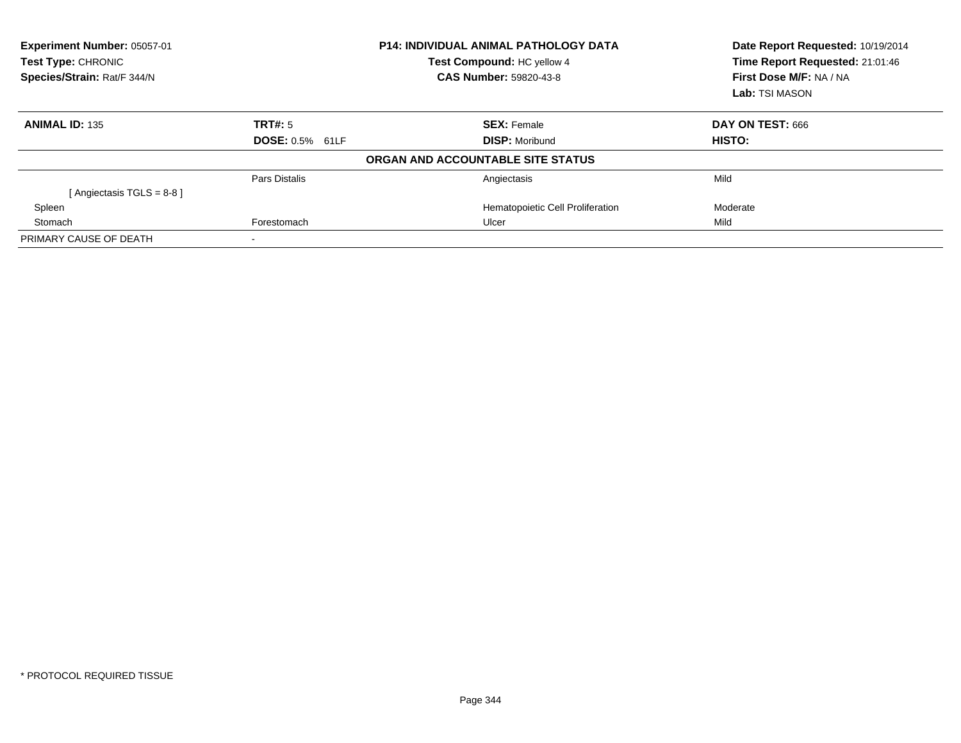| Experiment Number: 05057-01<br>Test Type: CHRONIC<br>Test Compound: HC yellow 4<br>Species/Strain: Rat/F 344/N<br>CAS Number: 59820-43-8 |                        | <b>P14: INDIVIDUAL ANIMAL PATHOLOGY DATA</b> | Date Report Requested: 10/19/2014<br>Time Report Requested: 21:01:46<br>First Dose M/F: NA / NA<br>Lab: TSI MASON |
|------------------------------------------------------------------------------------------------------------------------------------------|------------------------|----------------------------------------------|-------------------------------------------------------------------------------------------------------------------|
| <b>ANIMAL ID: 135</b>                                                                                                                    | TRT#: 5                | <b>SEX: Female</b>                           | DAY ON TEST: 666                                                                                                  |
|                                                                                                                                          | <b>DOSE: 0.5% 61LF</b> | <b>DISP:</b> Moribund                        | HISTO:                                                                                                            |
|                                                                                                                                          |                        | ORGAN AND ACCOUNTABLE SITE STATUS            |                                                                                                                   |
|                                                                                                                                          | Pars Distalis          | Angiectasis                                  | Mild                                                                                                              |
| [Angiectasis TGLS = 8-8 ]                                                                                                                |                        |                                              |                                                                                                                   |
| Spleen                                                                                                                                   |                        | Hematopoietic Cell Proliferation             | Moderate                                                                                                          |
| Stomach                                                                                                                                  | Forestomach            | Ulcer                                        | Mild                                                                                                              |
| PRIMARY CAUSE OF DEATH                                                                                                                   |                        |                                              |                                                                                                                   |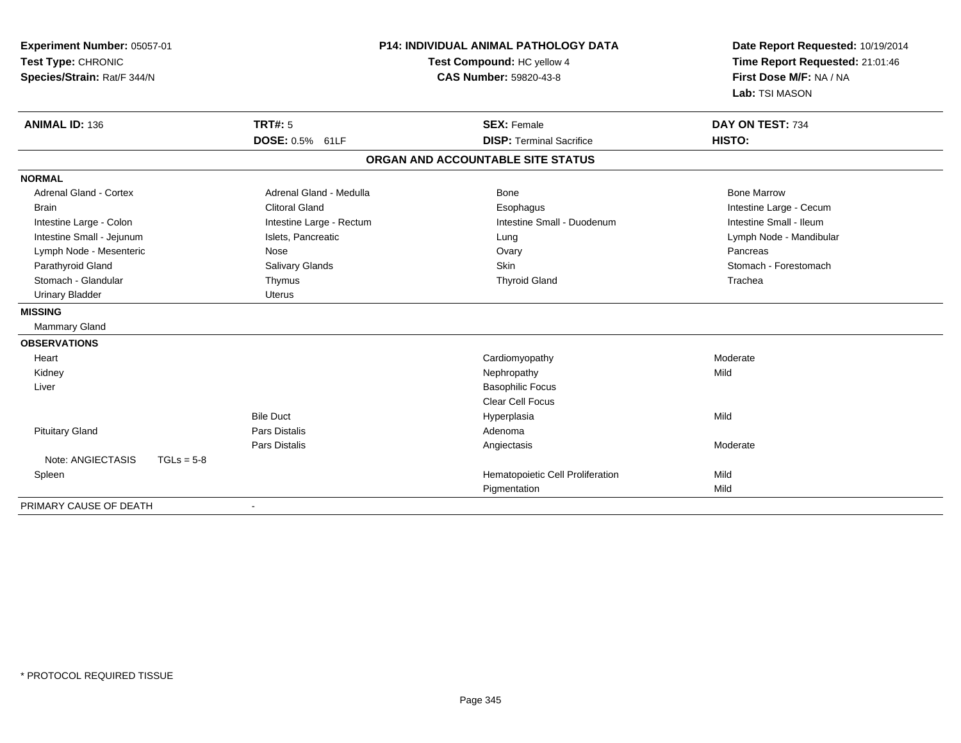| Experiment Number: 05057-01<br>Test Type: CHRONIC<br>Species/Strain: Rat/F 344/N |                          | <b>P14: INDIVIDUAL ANIMAL PATHOLOGY DATA</b><br>Test Compound: HC yellow 4<br><b>CAS Number: 59820-43-8</b> | Date Report Requested: 10/19/2014<br>Time Report Requested: 21:01:46<br>First Dose M/F: NA / NA<br>Lab: TSI MASON |  |
|----------------------------------------------------------------------------------|--------------------------|-------------------------------------------------------------------------------------------------------------|-------------------------------------------------------------------------------------------------------------------|--|
| <b>ANIMAL ID: 136</b>                                                            | TRT#: 5                  | <b>SEX: Female</b>                                                                                          | DAY ON TEST: 734                                                                                                  |  |
|                                                                                  | DOSE: 0.5% 61LF          | <b>DISP: Terminal Sacrifice</b>                                                                             | HISTO:                                                                                                            |  |
|                                                                                  |                          | ORGAN AND ACCOUNTABLE SITE STATUS                                                                           |                                                                                                                   |  |
| <b>NORMAL</b>                                                                    |                          |                                                                                                             |                                                                                                                   |  |
| Adrenal Gland - Cortex                                                           | Adrenal Gland - Medulla  | Bone                                                                                                        | <b>Bone Marrow</b>                                                                                                |  |
| <b>Brain</b>                                                                     | <b>Clitoral Gland</b>    | Esophagus                                                                                                   | Intestine Large - Cecum                                                                                           |  |
| Intestine Large - Colon                                                          | Intestine Large - Rectum | Intestine Small - Duodenum                                                                                  | Intestine Small - Ileum                                                                                           |  |
| Intestine Small - Jejunum                                                        | Islets, Pancreatic       | Lung                                                                                                        | Lymph Node - Mandibular                                                                                           |  |
| Lymph Node - Mesenteric                                                          | Nose                     | Ovary                                                                                                       | Pancreas                                                                                                          |  |
| Parathyroid Gland                                                                | Salivary Glands          | <b>Skin</b>                                                                                                 | Stomach - Forestomach                                                                                             |  |
| Stomach - Glandular                                                              | Thymus                   | <b>Thyroid Gland</b>                                                                                        | Trachea                                                                                                           |  |
| <b>Urinary Bladder</b>                                                           | <b>Uterus</b>            |                                                                                                             |                                                                                                                   |  |
| <b>MISSING</b>                                                                   |                          |                                                                                                             |                                                                                                                   |  |
| Mammary Gland                                                                    |                          |                                                                                                             |                                                                                                                   |  |
| <b>OBSERVATIONS</b>                                                              |                          |                                                                                                             |                                                                                                                   |  |
| Heart                                                                            |                          | Cardiomyopathy                                                                                              | Moderate                                                                                                          |  |
| Kidney                                                                           |                          | Nephropathy                                                                                                 | Mild                                                                                                              |  |
| Liver                                                                            |                          | <b>Basophilic Focus</b>                                                                                     |                                                                                                                   |  |
|                                                                                  |                          | Clear Cell Focus                                                                                            |                                                                                                                   |  |
|                                                                                  | <b>Bile Duct</b>         | Hyperplasia                                                                                                 | Mild                                                                                                              |  |
| <b>Pituitary Gland</b>                                                           | <b>Pars Distalis</b>     | Adenoma                                                                                                     |                                                                                                                   |  |
|                                                                                  | Pars Distalis            | Angiectasis                                                                                                 | Moderate                                                                                                          |  |
| Note: ANGIECTASIS                                                                | $TGLs = 5-8$             |                                                                                                             |                                                                                                                   |  |
| Spleen                                                                           |                          | Hematopoietic Cell Proliferation                                                                            | Mild                                                                                                              |  |
|                                                                                  |                          | Pigmentation                                                                                                | Mild                                                                                                              |  |
| PRIMARY CAUSE OF DEATH                                                           |                          |                                                                                                             |                                                                                                                   |  |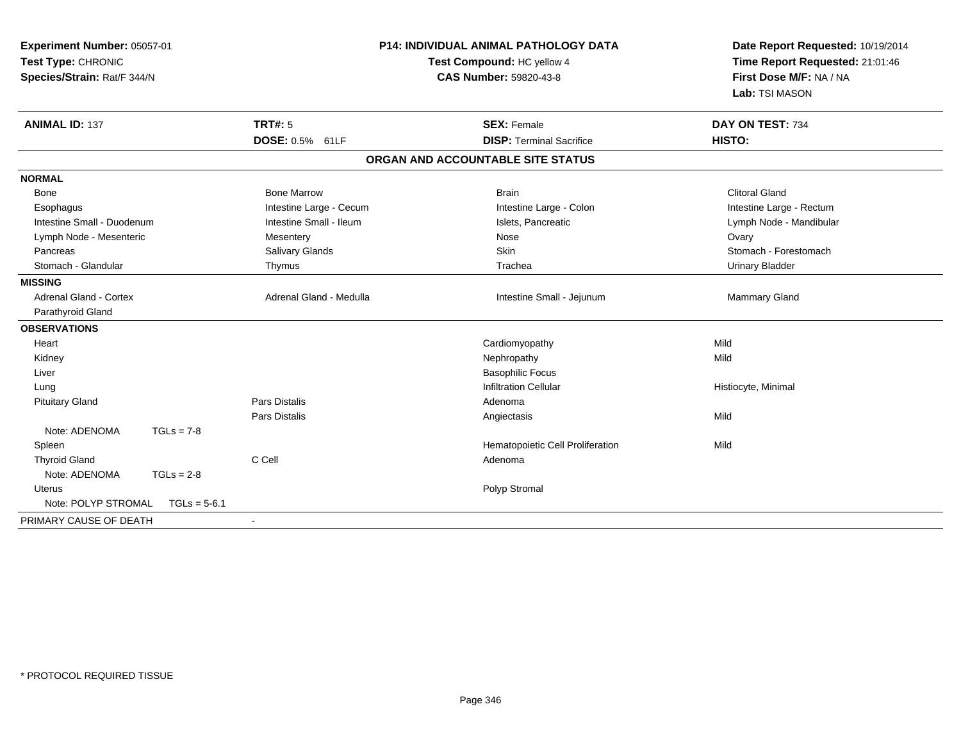| Experiment Number: 05057-01<br>Test Type: CHRONIC<br>Species/Strain: Rat/F 344/N |                         | <b>P14: INDIVIDUAL ANIMAL PATHOLOGY DATA</b><br>Test Compound: HC yellow 4<br>CAS Number: 59820-43-8 | Date Report Requested: 10/19/2014<br>Time Report Requested: 21:01:46<br>First Dose M/F: NA / NA |  |
|----------------------------------------------------------------------------------|-------------------------|------------------------------------------------------------------------------------------------------|-------------------------------------------------------------------------------------------------|--|
|                                                                                  |                         |                                                                                                      | Lab: TSI MASON                                                                                  |  |
| <b>ANIMAL ID: 137</b>                                                            | <b>TRT#: 5</b>          | <b>SEX: Female</b>                                                                                   | DAY ON TEST: 734                                                                                |  |
|                                                                                  | DOSE: 0.5% 61LF         | <b>DISP: Terminal Sacrifice</b>                                                                      | HISTO:                                                                                          |  |
|                                                                                  |                         | ORGAN AND ACCOUNTABLE SITE STATUS                                                                    |                                                                                                 |  |
| <b>NORMAL</b>                                                                    |                         |                                                                                                      |                                                                                                 |  |
| Bone                                                                             | <b>Bone Marrow</b>      | <b>Brain</b>                                                                                         | <b>Clitoral Gland</b>                                                                           |  |
| Esophagus                                                                        | Intestine Large - Cecum | Intestine Large - Colon                                                                              | Intestine Large - Rectum                                                                        |  |
| Intestine Small - Duodenum                                                       | Intestine Small - Ileum | Islets, Pancreatic                                                                                   | Lymph Node - Mandibular                                                                         |  |
| Lymph Node - Mesenteric                                                          | Mesentery               | Nose                                                                                                 | Ovary                                                                                           |  |
| Pancreas                                                                         | Salivary Glands         | Skin                                                                                                 | Stomach - Forestomach                                                                           |  |
| Stomach - Glandular                                                              | Thymus                  | Trachea                                                                                              | <b>Urinary Bladder</b>                                                                          |  |
| <b>MISSING</b>                                                                   |                         |                                                                                                      |                                                                                                 |  |
| <b>Adrenal Gland - Cortex</b>                                                    | Adrenal Gland - Medulla | Intestine Small - Jejunum                                                                            | Mammary Gland                                                                                   |  |
| Parathyroid Gland                                                                |                         |                                                                                                      |                                                                                                 |  |
| <b>OBSERVATIONS</b>                                                              |                         |                                                                                                      |                                                                                                 |  |
| Heart                                                                            |                         | Cardiomyopathy                                                                                       | Mild                                                                                            |  |
| Kidney                                                                           |                         | Nephropathy                                                                                          | Mild                                                                                            |  |
| Liver                                                                            |                         | <b>Basophilic Focus</b>                                                                              |                                                                                                 |  |
| Lung                                                                             |                         | <b>Infiltration Cellular</b>                                                                         | Histiocyte, Minimal                                                                             |  |
| <b>Pituitary Gland</b>                                                           | <b>Pars Distalis</b>    | Adenoma                                                                                              |                                                                                                 |  |
|                                                                                  | <b>Pars Distalis</b>    | Angiectasis                                                                                          | Mild                                                                                            |  |
| Note: ADENOMA<br>$TGLs = 7-8$                                                    |                         |                                                                                                      |                                                                                                 |  |
| Spleen                                                                           |                         | Hematopoietic Cell Proliferation                                                                     | Mild                                                                                            |  |
| <b>Thyroid Gland</b>                                                             | C Cell                  | Adenoma                                                                                              |                                                                                                 |  |
| Note: ADENOMA<br>$TGLs = 2-8$                                                    |                         |                                                                                                      |                                                                                                 |  |
| Uterus                                                                           |                         | Polyp Stromal                                                                                        |                                                                                                 |  |
| Note: POLYP STROMAL<br>$TGLs = 5-6.1$                                            |                         |                                                                                                      |                                                                                                 |  |
| PRIMARY CAUSE OF DEATH                                                           |                         |                                                                                                      |                                                                                                 |  |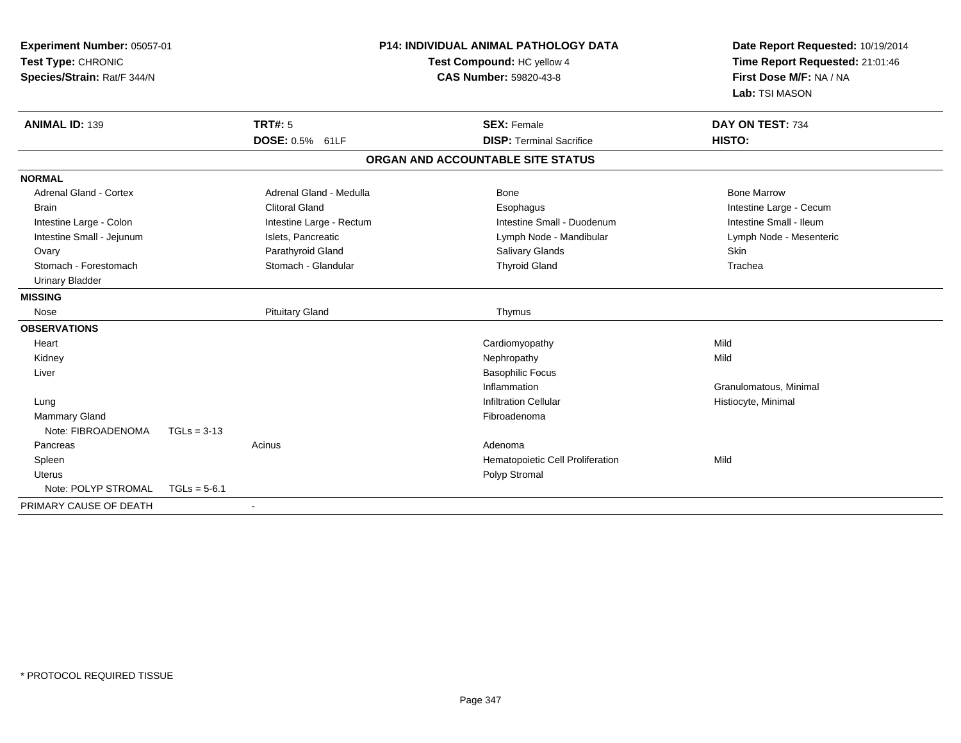| <b>P14: INDIVIDUAL ANIMAL PATHOLOGY DATA</b><br>Experiment Number: 05057-01<br>Test Type: CHRONIC<br>Test Compound: HC yellow 4<br>Species/Strain: Rat/F 344/N<br><b>CAS Number: 59820-43-8</b> |                |                          | Date Report Requested: 10/19/2014<br>Time Report Requested: 21:01:46<br>First Dose M/F: NA / NA<br>Lab: TSI MASON |                                   |                         |
|-------------------------------------------------------------------------------------------------------------------------------------------------------------------------------------------------|----------------|--------------------------|-------------------------------------------------------------------------------------------------------------------|-----------------------------------|-------------------------|
| <b>ANIMAL ID: 139</b>                                                                                                                                                                           |                | TRT#: 5                  |                                                                                                                   | <b>SEX: Female</b>                | DAY ON TEST: 734        |
|                                                                                                                                                                                                 |                | DOSE: 0.5% 61LF          |                                                                                                                   | <b>DISP: Terminal Sacrifice</b>   | HISTO:                  |
|                                                                                                                                                                                                 |                |                          |                                                                                                                   | ORGAN AND ACCOUNTABLE SITE STATUS |                         |
| <b>NORMAL</b>                                                                                                                                                                                   |                |                          |                                                                                                                   |                                   |                         |
| <b>Adrenal Gland - Cortex</b>                                                                                                                                                                   |                | Adrenal Gland - Medulla  |                                                                                                                   | Bone                              | <b>Bone Marrow</b>      |
| <b>Brain</b>                                                                                                                                                                                    |                | <b>Clitoral Gland</b>    |                                                                                                                   | Esophagus                         | Intestine Large - Cecum |
| Intestine Large - Colon                                                                                                                                                                         |                | Intestine Large - Rectum |                                                                                                                   | Intestine Small - Duodenum        | Intestine Small - Ileum |
| Intestine Small - Jejunum                                                                                                                                                                       |                | Islets, Pancreatic       |                                                                                                                   | Lymph Node - Mandibular           | Lymph Node - Mesenteric |
| Ovary                                                                                                                                                                                           |                | Parathyroid Gland        |                                                                                                                   | Salivary Glands                   | <b>Skin</b>             |
| Stomach - Forestomach                                                                                                                                                                           |                | Stomach - Glandular      |                                                                                                                   | <b>Thyroid Gland</b>              | Trachea                 |
| <b>Urinary Bladder</b>                                                                                                                                                                          |                |                          |                                                                                                                   |                                   |                         |
| <b>MISSING</b>                                                                                                                                                                                  |                |                          |                                                                                                                   |                                   |                         |
| Nose                                                                                                                                                                                            |                | <b>Pituitary Gland</b>   |                                                                                                                   | Thymus                            |                         |
| <b>OBSERVATIONS</b>                                                                                                                                                                             |                |                          |                                                                                                                   |                                   |                         |
| Heart                                                                                                                                                                                           |                |                          |                                                                                                                   | Cardiomyopathy                    | Mild                    |
| Kidney                                                                                                                                                                                          |                |                          |                                                                                                                   | Nephropathy                       | Mild                    |
| Liver                                                                                                                                                                                           |                |                          |                                                                                                                   | <b>Basophilic Focus</b>           |                         |
|                                                                                                                                                                                                 |                |                          |                                                                                                                   | Inflammation                      | Granulomatous, Minimal  |
| Lung                                                                                                                                                                                            |                |                          |                                                                                                                   | <b>Infiltration Cellular</b>      | Histiocyte, Minimal     |
| Mammary Gland                                                                                                                                                                                   |                |                          |                                                                                                                   | Fibroadenoma                      |                         |
| Note: FIBROADENOMA                                                                                                                                                                              | $TGLs = 3-13$  |                          |                                                                                                                   |                                   |                         |
| Pancreas                                                                                                                                                                                        |                | Acinus                   |                                                                                                                   | Adenoma                           |                         |
| Spleen                                                                                                                                                                                          |                |                          |                                                                                                                   | Hematopoietic Cell Proliferation  | Mild                    |
| <b>Uterus</b>                                                                                                                                                                                   |                |                          |                                                                                                                   | Polyp Stromal                     |                         |
| Note: POLYP STROMAL                                                                                                                                                                             | $TGLs = 5-6.1$ |                          |                                                                                                                   |                                   |                         |
| PRIMARY CAUSE OF DEATH                                                                                                                                                                          |                |                          |                                                                                                                   |                                   |                         |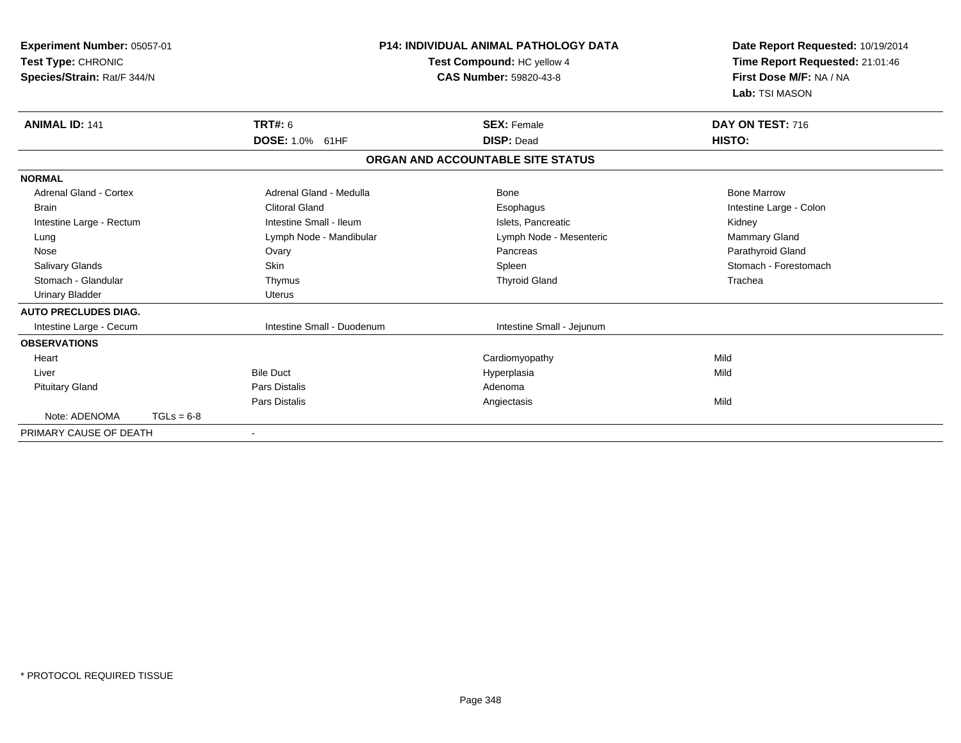| Experiment Number: 05057-01<br>Test Type: CHRONIC<br>Species/Strain: Rat/F 344/N |              | <b>P14: INDIVIDUAL ANIMAL PATHOLOGY DATA</b><br>Test Compound: HC yellow 4<br><b>CAS Number: 59820-43-8</b> |                                   | Date Report Requested: 10/19/2014<br>Time Report Requested: 21:01:46<br>First Dose M/F: NA / NA<br>Lab: TSI MASON |
|----------------------------------------------------------------------------------|--------------|-------------------------------------------------------------------------------------------------------------|-----------------------------------|-------------------------------------------------------------------------------------------------------------------|
| <b>ANIMAL ID: 141</b>                                                            |              | <b>TRT#: 6</b>                                                                                              | <b>SEX: Female</b>                | DAY ON TEST: 716                                                                                                  |
|                                                                                  |              | DOSE: 1.0% 61HF                                                                                             | <b>DISP: Dead</b>                 | HISTO:                                                                                                            |
|                                                                                  |              |                                                                                                             | ORGAN AND ACCOUNTABLE SITE STATUS |                                                                                                                   |
| <b>NORMAL</b>                                                                    |              |                                                                                                             |                                   |                                                                                                                   |
| <b>Adrenal Gland - Cortex</b>                                                    |              | Adrenal Gland - Medulla                                                                                     | Bone                              | <b>Bone Marrow</b>                                                                                                |
| <b>Brain</b>                                                                     |              | <b>Clitoral Gland</b>                                                                                       | Esophagus                         | Intestine Large - Colon                                                                                           |
| Intestine Large - Rectum                                                         |              | Intestine Small - Ileum                                                                                     | Islets. Pancreatic                | Kidney                                                                                                            |
| Lung                                                                             |              | Lymph Node - Mandibular                                                                                     | Lymph Node - Mesenteric           | Mammary Gland                                                                                                     |
| Nose                                                                             |              | Ovary                                                                                                       | Pancreas                          | Parathyroid Gland                                                                                                 |
| <b>Salivary Glands</b>                                                           |              | Skin                                                                                                        | Spleen                            | Stomach - Forestomach                                                                                             |
| Stomach - Glandular                                                              |              | Thymus                                                                                                      | <b>Thyroid Gland</b>              | Trachea                                                                                                           |
| <b>Urinary Bladder</b>                                                           |              | Uterus                                                                                                      |                                   |                                                                                                                   |
| <b>AUTO PRECLUDES DIAG.</b>                                                      |              |                                                                                                             |                                   |                                                                                                                   |
| Intestine Large - Cecum                                                          |              | Intestine Small - Duodenum                                                                                  | Intestine Small - Jejunum         |                                                                                                                   |
| <b>OBSERVATIONS</b>                                                              |              |                                                                                                             |                                   |                                                                                                                   |
| Heart                                                                            |              |                                                                                                             | Cardiomyopathy                    | Mild                                                                                                              |
| Liver                                                                            |              | <b>Bile Duct</b>                                                                                            | Hyperplasia                       | Mild                                                                                                              |
| <b>Pituitary Gland</b>                                                           |              | <b>Pars Distalis</b>                                                                                        | Adenoma                           |                                                                                                                   |
|                                                                                  |              | <b>Pars Distalis</b>                                                                                        | Angiectasis                       | Mild                                                                                                              |
| Note: ADENOMA                                                                    | $TGLs = 6-8$ |                                                                                                             |                                   |                                                                                                                   |
| PRIMARY CAUSE OF DEATH                                                           |              | $\blacksquare$                                                                                              |                                   |                                                                                                                   |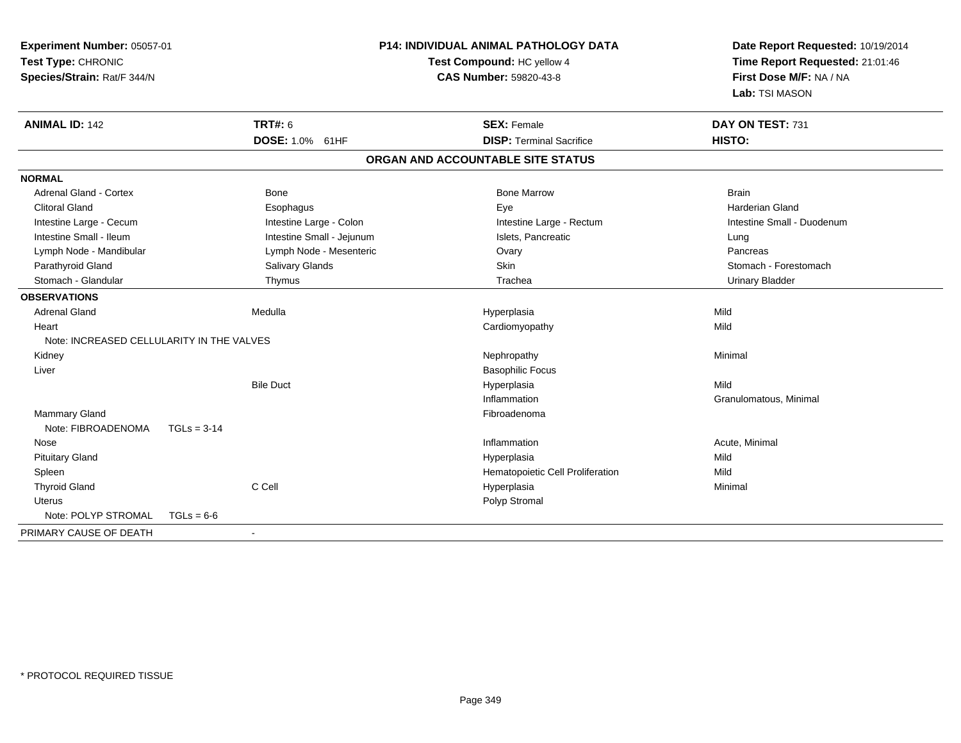| Experiment Number: 05057-01<br>Test Type: CHRONIC<br>Species/Strain: Rat/F 344/N |                           | P14: INDIVIDUAL ANIMAL PATHOLOGY DATA<br>Test Compound: HC yellow 4<br><b>CAS Number: 59820-43-8</b> | Date Report Requested: 10/19/2014<br>Time Report Requested: 21:01:46<br>First Dose M/F: NA / NA<br>Lab: TSI MASON |
|----------------------------------------------------------------------------------|---------------------------|------------------------------------------------------------------------------------------------------|-------------------------------------------------------------------------------------------------------------------|
| <b>ANIMAL ID: 142</b>                                                            | <b>TRT#: 6</b>            | <b>SEX: Female</b>                                                                                   | DAY ON TEST: 731                                                                                                  |
|                                                                                  | DOSE: 1.0% 61HF           | <b>DISP: Terminal Sacrifice</b>                                                                      | HISTO:                                                                                                            |
|                                                                                  |                           | ORGAN AND ACCOUNTABLE SITE STATUS                                                                    |                                                                                                                   |
| <b>NORMAL</b>                                                                    |                           |                                                                                                      |                                                                                                                   |
| <b>Adrenal Gland - Cortex</b>                                                    | <b>Bone</b>               | <b>Bone Marrow</b>                                                                                   | <b>Brain</b>                                                                                                      |
| <b>Clitoral Gland</b>                                                            | Esophagus                 | Eye                                                                                                  | <b>Harderian Gland</b>                                                                                            |
| Intestine Large - Cecum                                                          | Intestine Large - Colon   | Intestine Large - Rectum                                                                             | Intestine Small - Duodenum                                                                                        |
| Intestine Small - Ileum                                                          | Intestine Small - Jejunum | Islets. Pancreatic                                                                                   | Lung                                                                                                              |
| Lymph Node - Mandibular                                                          | Lymph Node - Mesenteric   | Ovary                                                                                                | Pancreas                                                                                                          |
| Parathyroid Gland                                                                | Salivary Glands           | <b>Skin</b>                                                                                          | Stomach - Forestomach                                                                                             |
| Stomach - Glandular                                                              | Thymus                    | Trachea                                                                                              | Urinary Bladder                                                                                                   |
| <b>OBSERVATIONS</b>                                                              |                           |                                                                                                      |                                                                                                                   |
| <b>Adrenal Gland</b>                                                             | Medulla                   | Hyperplasia                                                                                          | Mild                                                                                                              |
| Heart                                                                            |                           | Cardiomyopathy                                                                                       | Mild                                                                                                              |
| Note: INCREASED CELLULARITY IN THE VALVES                                        |                           |                                                                                                      |                                                                                                                   |
| Kidney                                                                           |                           | Nephropathy                                                                                          | Minimal                                                                                                           |
| Liver                                                                            |                           | <b>Basophilic Focus</b>                                                                              |                                                                                                                   |
|                                                                                  | <b>Bile Duct</b>          | Hyperplasia                                                                                          | Mild                                                                                                              |
|                                                                                  |                           | Inflammation                                                                                         | Granulomatous, Minimal                                                                                            |
| <b>Mammary Gland</b>                                                             |                           | Fibroadenoma                                                                                         |                                                                                                                   |
| Note: FIBROADENOMA                                                               | $TGLs = 3-14$             |                                                                                                      |                                                                                                                   |
| Nose                                                                             |                           | Inflammation                                                                                         | Acute, Minimal                                                                                                    |
| <b>Pituitary Gland</b>                                                           |                           | Hyperplasia                                                                                          | Mild                                                                                                              |
| Spleen                                                                           |                           | Hematopoietic Cell Proliferation                                                                     | Mild                                                                                                              |
| <b>Thyroid Gland</b>                                                             | C Cell                    | Hyperplasia                                                                                          | Minimal                                                                                                           |
| Uterus                                                                           |                           | Polyp Stromal                                                                                        |                                                                                                                   |
| Note: POLYP STROMAL                                                              | $TGLs = 6-6$              |                                                                                                      |                                                                                                                   |
| PRIMARY CAUSE OF DEATH                                                           | $\sim$                    |                                                                                                      |                                                                                                                   |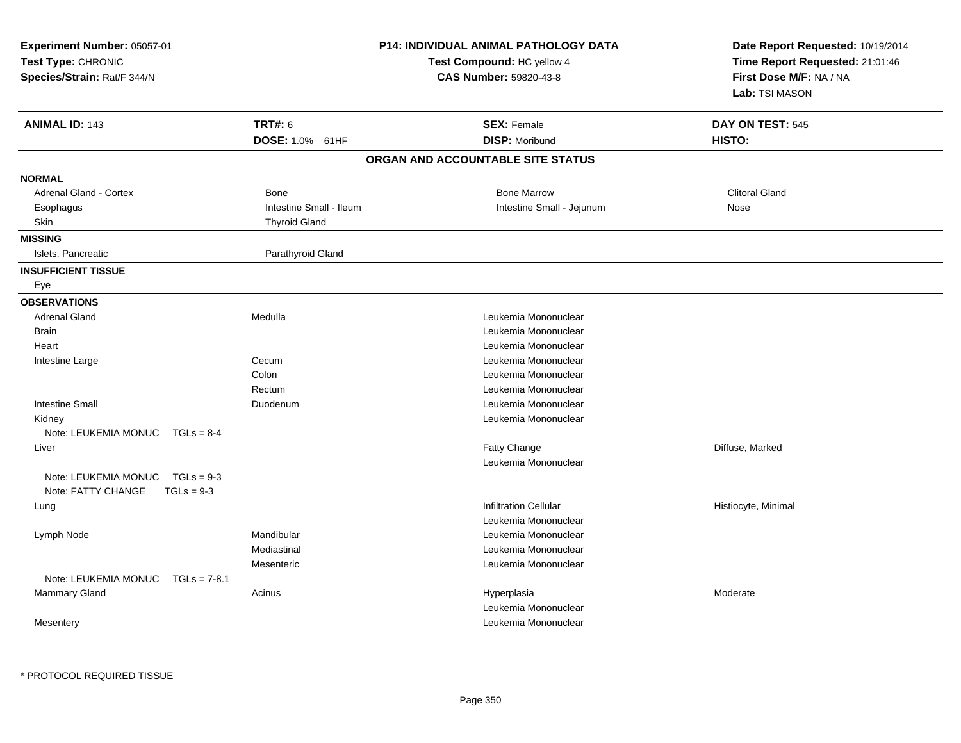| Experiment Number: 05057-01<br>Test Type: CHRONIC<br>Species/Strain: Rat/F 344/N |                         | <b>P14: INDIVIDUAL ANIMAL PATHOLOGY DATA</b><br>Test Compound: HC yellow 4<br><b>CAS Number: 59820-43-8</b> | Date Report Requested: 10/19/2014<br>Time Report Requested: 21:01:46<br>First Dose M/F: NA / NA<br>Lab: TSI MASON |
|----------------------------------------------------------------------------------|-------------------------|-------------------------------------------------------------------------------------------------------------|-------------------------------------------------------------------------------------------------------------------|
| <b>ANIMAL ID: 143</b>                                                            | <b>TRT#: 6</b>          | <b>SEX: Female</b>                                                                                          | DAY ON TEST: 545                                                                                                  |
|                                                                                  | DOSE: 1.0% 61HF         | <b>DISP: Moribund</b>                                                                                       | HISTO:                                                                                                            |
|                                                                                  |                         | ORGAN AND ACCOUNTABLE SITE STATUS                                                                           |                                                                                                                   |
| <b>NORMAL</b>                                                                    |                         |                                                                                                             |                                                                                                                   |
| <b>Adrenal Gland - Cortex</b>                                                    | <b>Bone</b>             | <b>Bone Marrow</b>                                                                                          | <b>Clitoral Gland</b>                                                                                             |
| Esophagus                                                                        | Intestine Small - Ileum | Intestine Small - Jejunum                                                                                   | Nose                                                                                                              |
| Skin                                                                             | <b>Thyroid Gland</b>    |                                                                                                             |                                                                                                                   |
| <b>MISSING</b>                                                                   |                         |                                                                                                             |                                                                                                                   |
| Islets, Pancreatic                                                               | Parathyroid Gland       |                                                                                                             |                                                                                                                   |
| <b>INSUFFICIENT TISSUE</b>                                                       |                         |                                                                                                             |                                                                                                                   |
| Eye                                                                              |                         |                                                                                                             |                                                                                                                   |
| <b>OBSERVATIONS</b>                                                              |                         |                                                                                                             |                                                                                                                   |
| <b>Adrenal Gland</b>                                                             | Medulla                 | Leukemia Mononuclear                                                                                        |                                                                                                                   |
| <b>Brain</b>                                                                     |                         | Leukemia Mononuclear                                                                                        |                                                                                                                   |
| Heart                                                                            |                         | Leukemia Mononuclear                                                                                        |                                                                                                                   |
| Intestine Large                                                                  | Cecum                   | Leukemia Mononuclear                                                                                        |                                                                                                                   |
|                                                                                  | Colon                   | Leukemia Mononuclear                                                                                        |                                                                                                                   |
|                                                                                  | Rectum                  | Leukemia Mononuclear                                                                                        |                                                                                                                   |
| <b>Intestine Small</b>                                                           | Duodenum                | Leukemia Mononuclear                                                                                        |                                                                                                                   |
| Kidney                                                                           |                         | Leukemia Mononuclear                                                                                        |                                                                                                                   |
| Note: LEUKEMIA MONUC<br>$TGLs = 8-4$                                             |                         |                                                                                                             |                                                                                                                   |
| Liver                                                                            |                         | Fatty Change                                                                                                | Diffuse, Marked                                                                                                   |
|                                                                                  |                         | Leukemia Mononuclear                                                                                        |                                                                                                                   |
| Note: LEUKEMIA MONUC<br>$TGLs = 9-3$                                             |                         |                                                                                                             |                                                                                                                   |
| Note: FATTY CHANGE<br>$TGLs = 9-3$                                               |                         |                                                                                                             |                                                                                                                   |
| Lung                                                                             |                         | <b>Infiltration Cellular</b>                                                                                | Histiocyte, Minimal                                                                                               |
|                                                                                  |                         | Leukemia Mononuclear                                                                                        |                                                                                                                   |
| Lymph Node                                                                       | Mandibular              | Leukemia Mononuclear                                                                                        |                                                                                                                   |
|                                                                                  | Mediastinal             | Leukemia Mononuclear                                                                                        |                                                                                                                   |
|                                                                                  | Mesenteric              | Leukemia Mononuclear                                                                                        |                                                                                                                   |
| Note: LEUKEMIA MONUC<br>$TGLs = 7-8.1$                                           |                         |                                                                                                             |                                                                                                                   |
| Mammary Gland                                                                    | Acinus                  | Hyperplasia                                                                                                 | Moderate                                                                                                          |
|                                                                                  |                         | Leukemia Mononuclear                                                                                        |                                                                                                                   |
| Mesentery                                                                        |                         | Leukemia Mononuclear                                                                                        |                                                                                                                   |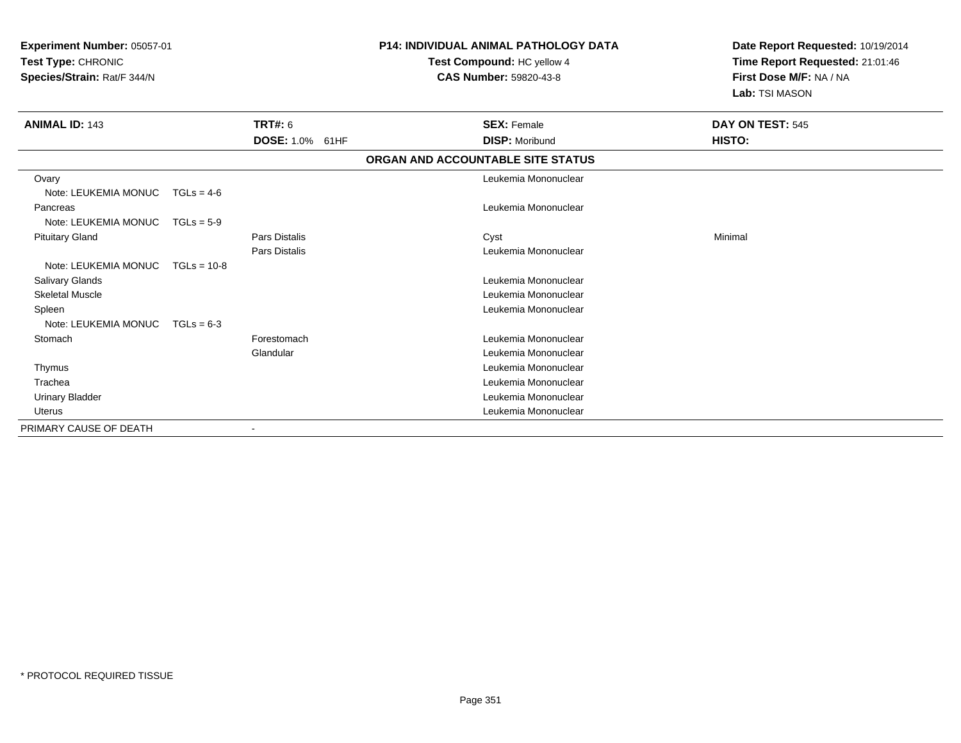| <b>Experiment Number: 05057-01</b><br>Test Type: CHRONIC<br>Species/Strain: Rat/F 344/N |               |                      | <b>P14: INDIVIDUAL ANIMAL PATHOLOGY DATA</b><br>Test Compound: HC yellow 4<br>CAS Number: 59820-43-8 | Date Report Requested: 10/19/2014<br>Time Report Requested: 21:01:46<br>First Dose M/F: NA / NA<br>Lab: TSI MASON |
|-----------------------------------------------------------------------------------------|---------------|----------------------|------------------------------------------------------------------------------------------------------|-------------------------------------------------------------------------------------------------------------------|
| <b>ANIMAL ID: 143</b>                                                                   |               | TRT#: 6              | <b>SEX: Female</b>                                                                                   | DAY ON TEST: 545                                                                                                  |
|                                                                                         |               | DOSE: 1.0% 61HF      | <b>DISP: Moribund</b>                                                                                | HISTO:                                                                                                            |
|                                                                                         |               |                      | ORGAN AND ACCOUNTABLE SITE STATUS                                                                    |                                                                                                                   |
| Ovary                                                                                   |               |                      | Leukemia Mononuclear                                                                                 |                                                                                                                   |
| Note: LEUKEMIA MONUC                                                                    | $TGLs = 4-6$  |                      |                                                                                                      |                                                                                                                   |
| Pancreas                                                                                |               |                      | Leukemia Mononuclear                                                                                 |                                                                                                                   |
| Note: LEUKEMIA MONUC                                                                    | $TGLs = 5-9$  |                      |                                                                                                      |                                                                                                                   |
| <b>Pituitary Gland</b>                                                                  |               | Pars Distalis        | Cyst                                                                                                 | Minimal                                                                                                           |
|                                                                                         |               | <b>Pars Distalis</b> | Leukemia Mononuclear                                                                                 |                                                                                                                   |
| Note: LEUKEMIA MONUC                                                                    | $TGLs = 10-8$ |                      |                                                                                                      |                                                                                                                   |
| Salivary Glands                                                                         |               |                      | Leukemia Mononuclear                                                                                 |                                                                                                                   |
| <b>Skeletal Muscle</b>                                                                  |               |                      | Leukemia Mononuclear                                                                                 |                                                                                                                   |
| Spleen                                                                                  |               |                      | Leukemia Mononuclear                                                                                 |                                                                                                                   |
| Note: LEUKEMIA MONUC                                                                    | $TGLs = 6-3$  |                      |                                                                                                      |                                                                                                                   |
| Stomach                                                                                 |               | Forestomach          | Leukemia Mononuclear                                                                                 |                                                                                                                   |
|                                                                                         |               | Glandular            | Leukemia Mononuclear                                                                                 |                                                                                                                   |
| Thymus                                                                                  |               |                      | Leukemia Mononuclear                                                                                 |                                                                                                                   |
| Trachea                                                                                 |               |                      | Leukemia Mononuclear                                                                                 |                                                                                                                   |
| <b>Urinary Bladder</b>                                                                  |               |                      | Leukemia Mononuclear                                                                                 |                                                                                                                   |
| <b>Uterus</b>                                                                           |               |                      | Leukemia Mononuclear                                                                                 |                                                                                                                   |
| PRIMARY CAUSE OF DEATH                                                                  |               |                      |                                                                                                      |                                                                                                                   |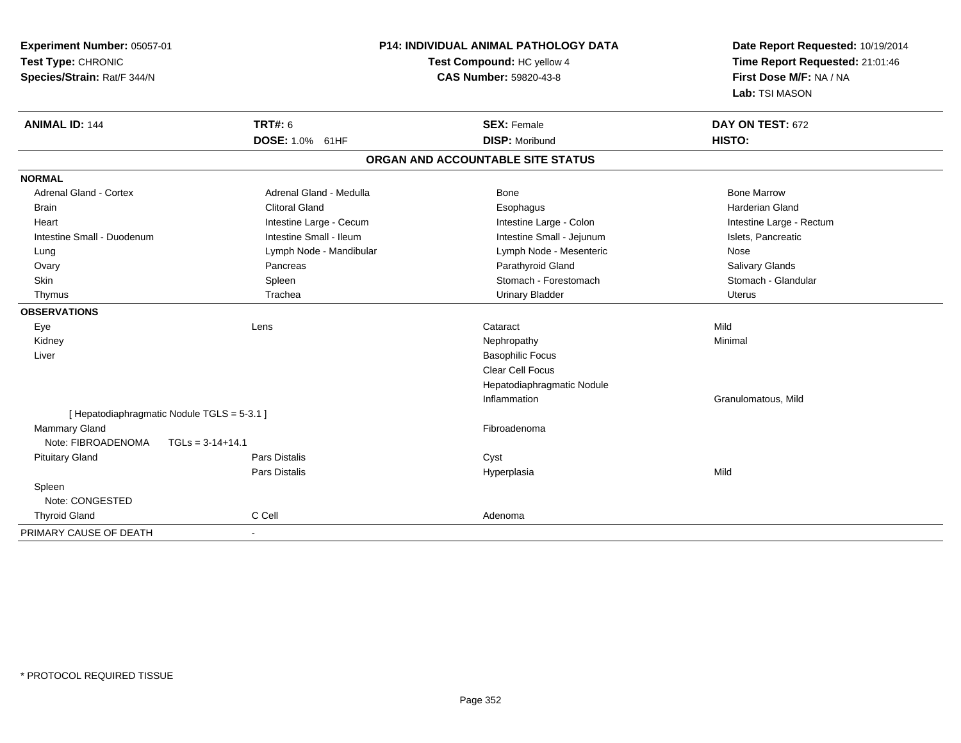| Experiment Number: 05057-01   |                                             | <b>P14: INDIVIDUAL ANIMAL PATHOLOGY DATA</b> | Date Report Requested: 10/19/2014 |  |
|-------------------------------|---------------------------------------------|----------------------------------------------|-----------------------------------|--|
| Test Type: CHRONIC            |                                             | Test Compound: HC yellow 4                   | Time Report Requested: 21:01:46   |  |
| Species/Strain: Rat/F 344/N   |                                             | CAS Number: 59820-43-8                       | First Dose M/F: NA / NA           |  |
|                               |                                             |                                              | Lab: TSI MASON                    |  |
| <b>ANIMAL ID: 144</b>         | <b>TRT#: 6</b>                              | <b>SEX: Female</b>                           | DAY ON TEST: 672                  |  |
|                               | DOSE: 1.0% 61HF                             | <b>DISP: Moribund</b>                        | HISTO:                            |  |
|                               |                                             | ORGAN AND ACCOUNTABLE SITE STATUS            |                                   |  |
| <b>NORMAL</b>                 |                                             |                                              |                                   |  |
| <b>Adrenal Gland - Cortex</b> | Adrenal Gland - Medulla                     | Bone                                         | <b>Bone Marrow</b>                |  |
| <b>Brain</b>                  | <b>Clitoral Gland</b>                       | Esophagus                                    | <b>Harderian Gland</b>            |  |
| Heart                         | Intestine Large - Cecum                     | Intestine Large - Colon                      | Intestine Large - Rectum          |  |
| Intestine Small - Duodenum    | Intestine Small - Ileum                     | Intestine Small - Jejunum                    | Islets, Pancreatic                |  |
| Lung                          | Lymph Node - Mandibular                     | Lymph Node - Mesenteric                      | Nose                              |  |
| Ovary                         | Pancreas                                    | Parathyroid Gland                            | Salivary Glands                   |  |
| Skin                          | Spleen                                      | Stomach - Forestomach                        | Stomach - Glandular               |  |
| Thymus                        | Trachea                                     | <b>Urinary Bladder</b>                       | <b>Uterus</b>                     |  |
| <b>OBSERVATIONS</b>           |                                             |                                              |                                   |  |
| Eye                           | Lens                                        | Cataract                                     | Mild                              |  |
| Kidney                        |                                             | Nephropathy                                  | Minimal                           |  |
| Liver                         |                                             | <b>Basophilic Focus</b>                      |                                   |  |
|                               |                                             | <b>Clear Cell Focus</b>                      |                                   |  |
|                               |                                             | Hepatodiaphragmatic Nodule                   |                                   |  |
|                               |                                             | Inflammation                                 | Granulomatous, Mild               |  |
|                               | [ Hepatodiaphragmatic Nodule TGLS = 5-3.1 ] |                                              |                                   |  |
| <b>Mammary Gland</b>          |                                             | Fibroadenoma                                 |                                   |  |
| Note: FIBROADENOMA            | $TGLs = 3-14+14.1$                          |                                              |                                   |  |
| <b>Pituitary Gland</b>        | Pars Distalis                               | Cyst                                         |                                   |  |
|                               | <b>Pars Distalis</b>                        | Hyperplasia                                  | Mild                              |  |
| Spleen                        |                                             |                                              |                                   |  |
| Note: CONGESTED               |                                             |                                              |                                   |  |
| <b>Thyroid Gland</b>          | C Cell                                      | Adenoma                                      |                                   |  |
| PRIMARY CAUSE OF DEATH        | $\blacksquare$                              |                                              |                                   |  |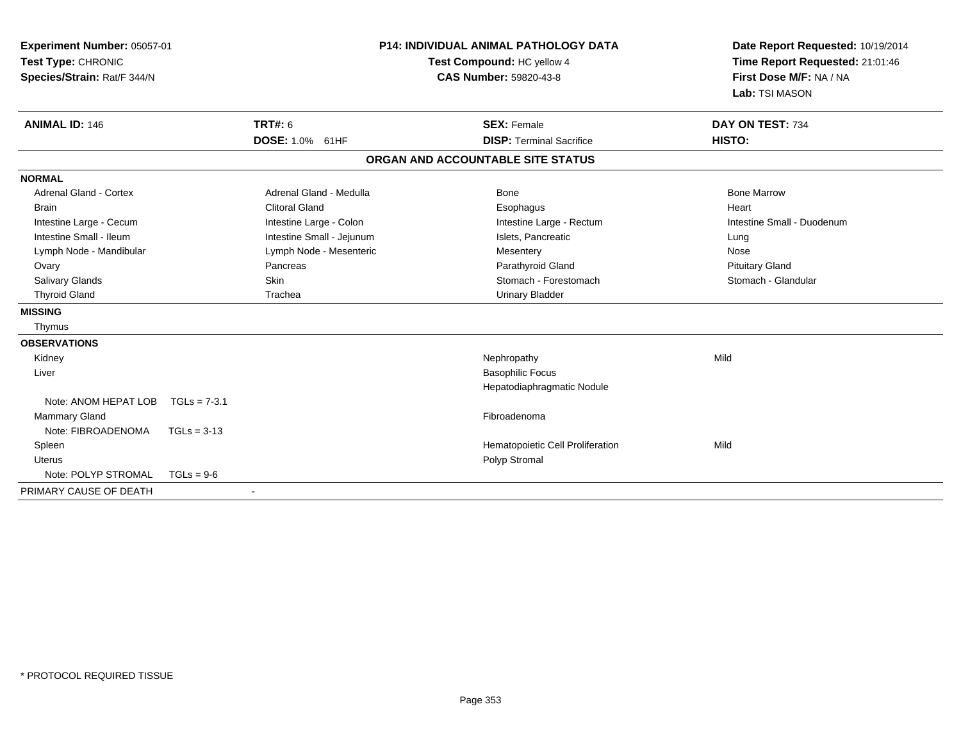| Experiment Number: 05057-01<br>Test Type: CHRONIC<br>Species/Strain: Rat/F 344/N<br><b>ANIMAL ID: 146</b> | <b>TRT#: 6</b>          |                           | <b>P14: INDIVIDUAL ANIMAL PATHOLOGY DATA</b><br>Test Compound: HC yellow 4<br><b>CAS Number: 59820-43-8</b><br><b>SEX: Female</b> | Date Report Requested: 10/19/2014<br>Time Report Requested: 21:01:46<br>First Dose M/F: NA / NA<br>Lab: TSI MASON<br>DAY ON TEST: 734 |
|-----------------------------------------------------------------------------------------------------------|-------------------------|---------------------------|-----------------------------------------------------------------------------------------------------------------------------------|---------------------------------------------------------------------------------------------------------------------------------------|
|                                                                                                           | DOSE: 1.0% 61HF         |                           | <b>DISP: Terminal Sacrifice</b>                                                                                                   | HISTO:                                                                                                                                |
|                                                                                                           |                         |                           | ORGAN AND ACCOUNTABLE SITE STATUS                                                                                                 |                                                                                                                                       |
| <b>NORMAL</b>                                                                                             |                         |                           |                                                                                                                                   |                                                                                                                                       |
| Adrenal Gland - Cortex                                                                                    |                         | Adrenal Gland - Medulla   | <b>Bone</b>                                                                                                                       | <b>Bone Marrow</b>                                                                                                                    |
| <b>Brain</b>                                                                                              | <b>Clitoral Gland</b>   |                           | Esophagus                                                                                                                         | Heart                                                                                                                                 |
| Intestine Large - Cecum                                                                                   | Intestine Large - Colon |                           | Intestine Large - Rectum                                                                                                          | Intestine Small - Duodenum                                                                                                            |
| Intestine Small - Ileum                                                                                   |                         | Intestine Small - Jejunum | Islets, Pancreatic                                                                                                                | Lung                                                                                                                                  |
| Lymph Node - Mandibular                                                                                   |                         | Lymph Node - Mesenteric   | Mesentery                                                                                                                         | Nose                                                                                                                                  |
| Ovary                                                                                                     | Pancreas                |                           | Parathyroid Gland                                                                                                                 | <b>Pituitary Gland</b>                                                                                                                |
| <b>Salivary Glands</b>                                                                                    | <b>Skin</b>             |                           | Stomach - Forestomach                                                                                                             | Stomach - Glandular                                                                                                                   |
| <b>Thyroid Gland</b>                                                                                      | Trachea                 |                           | <b>Urinary Bladder</b>                                                                                                            |                                                                                                                                       |
| <b>MISSING</b>                                                                                            |                         |                           |                                                                                                                                   |                                                                                                                                       |
| Thymus                                                                                                    |                         |                           |                                                                                                                                   |                                                                                                                                       |
| <b>OBSERVATIONS</b>                                                                                       |                         |                           |                                                                                                                                   |                                                                                                                                       |
| Kidney                                                                                                    |                         |                           | Nephropathy                                                                                                                       | Mild                                                                                                                                  |
| Liver                                                                                                     |                         |                           | <b>Basophilic Focus</b>                                                                                                           |                                                                                                                                       |
|                                                                                                           |                         |                           | Hepatodiaphragmatic Nodule                                                                                                        |                                                                                                                                       |
| Note: ANOM HEPAT LOB                                                                                      | $TGLs = 7-3.1$          |                           |                                                                                                                                   |                                                                                                                                       |
| <b>Mammary Gland</b>                                                                                      |                         |                           | Fibroadenoma                                                                                                                      |                                                                                                                                       |
| Note: FIBROADENOMA                                                                                        | $TGLs = 3-13$           |                           |                                                                                                                                   |                                                                                                                                       |
| Spleen                                                                                                    |                         |                           | Hematopoietic Cell Proliferation                                                                                                  | Mild                                                                                                                                  |
| <b>Uterus</b>                                                                                             |                         |                           | Polyp Stromal                                                                                                                     |                                                                                                                                       |
| Note: POLYP STROMAL                                                                                       | $TGLs = 9-6$            |                           |                                                                                                                                   |                                                                                                                                       |
| PRIMARY CAUSE OF DEATH                                                                                    |                         |                           |                                                                                                                                   |                                                                                                                                       |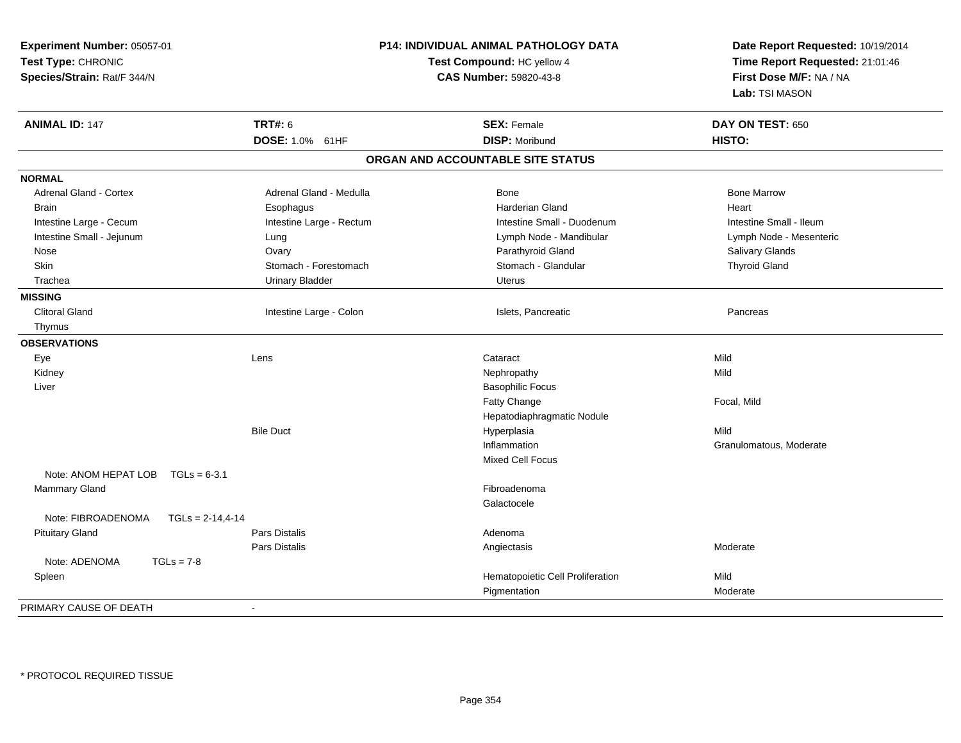| Experiment Number: 05057-01<br>Test Type: CHRONIC<br>Species/Strain: Rat/F 344/N |                          | <b>P14: INDIVIDUAL ANIMAL PATHOLOGY DATA</b><br>Test Compound: HC yellow 4<br>CAS Number: 59820-43-8 | Date Report Requested: 10/19/2014<br>Time Report Requested: 21:01:46<br>First Dose M/F: NA / NA<br>Lab: TSI MASON |
|----------------------------------------------------------------------------------|--------------------------|------------------------------------------------------------------------------------------------------|-------------------------------------------------------------------------------------------------------------------|
| <b>ANIMAL ID: 147</b>                                                            | <b>TRT#: 6</b>           | <b>SEX: Female</b>                                                                                   | DAY ON TEST: 650                                                                                                  |
|                                                                                  | DOSE: 1.0% 61HF          | <b>DISP: Moribund</b>                                                                                | HISTO:                                                                                                            |
|                                                                                  |                          | ORGAN AND ACCOUNTABLE SITE STATUS                                                                    |                                                                                                                   |
| <b>NORMAL</b>                                                                    |                          |                                                                                                      |                                                                                                                   |
| Adrenal Gland - Cortex                                                           | Adrenal Gland - Medulla  | <b>Bone</b>                                                                                          | <b>Bone Marrow</b>                                                                                                |
| <b>Brain</b>                                                                     | Esophagus                | Harderian Gland                                                                                      | Heart                                                                                                             |
| Intestine Large - Cecum                                                          | Intestine Large - Rectum | Intestine Small - Duodenum                                                                           | Intestine Small - Ileum                                                                                           |
| Intestine Small - Jejunum                                                        | Lung                     | Lymph Node - Mandibular                                                                              | Lymph Node - Mesenteric                                                                                           |
| Nose                                                                             | Ovary                    | Parathyroid Gland                                                                                    | Salivary Glands                                                                                                   |
| <b>Skin</b>                                                                      | Stomach - Forestomach    | Stomach - Glandular                                                                                  | <b>Thyroid Gland</b>                                                                                              |
| Trachea                                                                          | <b>Urinary Bladder</b>   | <b>Uterus</b>                                                                                        |                                                                                                                   |
| <b>MISSING</b>                                                                   |                          |                                                                                                      |                                                                                                                   |
| <b>Clitoral Gland</b>                                                            | Intestine Large - Colon  | Islets, Pancreatic                                                                                   | Pancreas                                                                                                          |
| Thymus                                                                           |                          |                                                                                                      |                                                                                                                   |
| <b>OBSERVATIONS</b>                                                              |                          |                                                                                                      |                                                                                                                   |
| Eye                                                                              | Lens                     | Cataract                                                                                             | Mild                                                                                                              |
| Kidney                                                                           |                          | Nephropathy                                                                                          | Mild                                                                                                              |
| Liver                                                                            |                          | <b>Basophilic Focus</b>                                                                              |                                                                                                                   |
|                                                                                  |                          | Fatty Change                                                                                         | Focal, Mild                                                                                                       |
|                                                                                  |                          | Hepatodiaphragmatic Nodule                                                                           |                                                                                                                   |
|                                                                                  | <b>Bile Duct</b>         | Hyperplasia                                                                                          | Mild                                                                                                              |
|                                                                                  |                          | Inflammation                                                                                         | Granulomatous, Moderate                                                                                           |
|                                                                                  |                          | Mixed Cell Focus                                                                                     |                                                                                                                   |
| Note: ANOM HEPAT LOB<br>$TGLs = 6-3.1$                                           |                          |                                                                                                      |                                                                                                                   |
| Mammary Gland                                                                    |                          | Fibroadenoma                                                                                         |                                                                                                                   |
|                                                                                  |                          | Galactocele                                                                                          |                                                                                                                   |
| Note: FIBROADENOMA<br>$TGLs = 2-14,4-14$                                         |                          |                                                                                                      |                                                                                                                   |
| <b>Pituitary Gland</b>                                                           | Pars Distalis            | Adenoma                                                                                              |                                                                                                                   |
|                                                                                  | Pars Distalis            | Angiectasis                                                                                          | Moderate                                                                                                          |
| Note: ADENOMA<br>$TGLs = 7-8$                                                    |                          |                                                                                                      |                                                                                                                   |
| Spleen                                                                           |                          | Hematopoietic Cell Proliferation                                                                     | Mild                                                                                                              |
|                                                                                  |                          | Pigmentation                                                                                         | Moderate                                                                                                          |
| PRIMARY CAUSE OF DEATH                                                           | $\sim$                   |                                                                                                      |                                                                                                                   |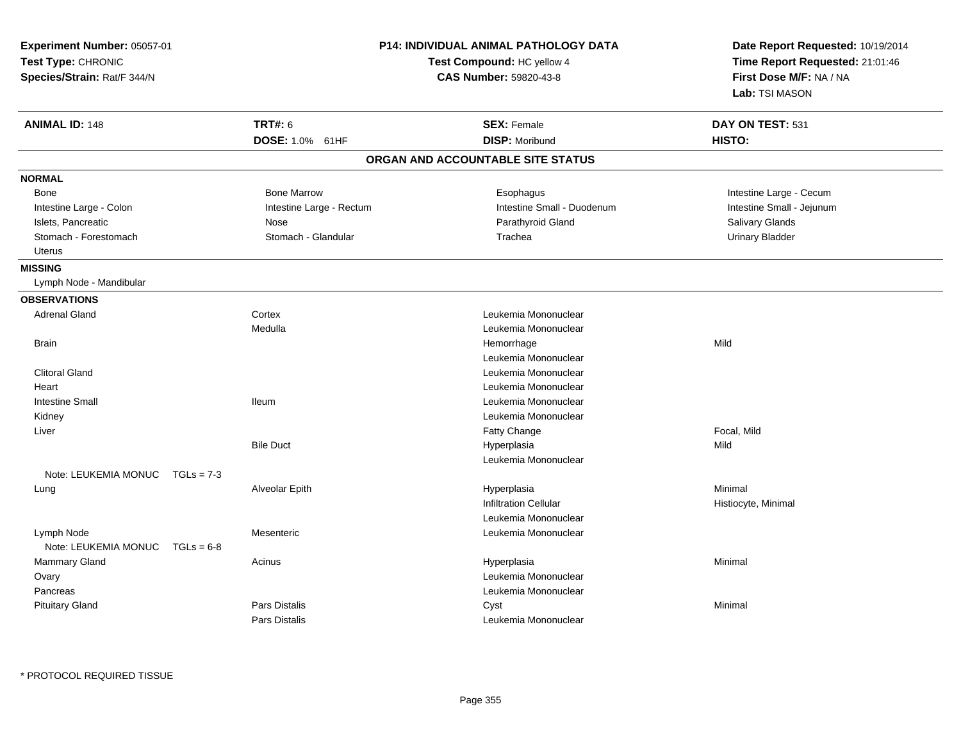| Experiment Number: 05057-01<br>Test Type: CHRONIC<br>Species/Strain: Rat/F 344/N |                          | P14: INDIVIDUAL ANIMAL PATHOLOGY DATA<br>Test Compound: HC yellow 4<br>CAS Number: 59820-43-8 | Date Report Requested: 10/19/2014<br>Time Report Requested: 21:01:46<br>First Dose M/F: NA / NA<br>Lab: TSI MASON |
|----------------------------------------------------------------------------------|--------------------------|-----------------------------------------------------------------------------------------------|-------------------------------------------------------------------------------------------------------------------|
| <b>ANIMAL ID: 148</b>                                                            | <b>TRT#: 6</b>           | <b>SEX: Female</b>                                                                            | DAY ON TEST: 531                                                                                                  |
|                                                                                  | DOSE: 1.0% 61HF          | <b>DISP: Moribund</b>                                                                         | HISTO:                                                                                                            |
|                                                                                  |                          | ORGAN AND ACCOUNTABLE SITE STATUS                                                             |                                                                                                                   |
| <b>NORMAL</b>                                                                    |                          |                                                                                               |                                                                                                                   |
| Bone                                                                             | <b>Bone Marrow</b>       | Esophagus                                                                                     | Intestine Large - Cecum                                                                                           |
| Intestine Large - Colon                                                          | Intestine Large - Rectum | Intestine Small - Duodenum                                                                    | Intestine Small - Jejunum                                                                                         |
| Islets, Pancreatic                                                               | Nose                     | Parathyroid Gland                                                                             | Salivary Glands                                                                                                   |
| Stomach - Forestomach                                                            | Stomach - Glandular      | Trachea                                                                                       | <b>Urinary Bladder</b>                                                                                            |
| <b>Uterus</b>                                                                    |                          |                                                                                               |                                                                                                                   |
| <b>MISSING</b>                                                                   |                          |                                                                                               |                                                                                                                   |
| Lymph Node - Mandibular                                                          |                          |                                                                                               |                                                                                                                   |
| <b>OBSERVATIONS</b>                                                              |                          |                                                                                               |                                                                                                                   |
| <b>Adrenal Gland</b>                                                             | Cortex                   | Leukemia Mononuclear                                                                          |                                                                                                                   |
|                                                                                  | Medulla                  | Leukemia Mononuclear                                                                          |                                                                                                                   |
| <b>Brain</b>                                                                     |                          | Hemorrhage                                                                                    | Mild                                                                                                              |
|                                                                                  |                          | Leukemia Mononuclear                                                                          |                                                                                                                   |
| <b>Clitoral Gland</b>                                                            |                          | Leukemia Mononuclear                                                                          |                                                                                                                   |
| Heart                                                                            |                          | Leukemia Mononuclear                                                                          |                                                                                                                   |
| <b>Intestine Small</b>                                                           | <b>Ileum</b>             | Leukemia Mononuclear                                                                          |                                                                                                                   |
| Kidney                                                                           |                          | Leukemia Mononuclear                                                                          |                                                                                                                   |
| Liver                                                                            |                          | Fatty Change                                                                                  | Focal, Mild                                                                                                       |
|                                                                                  | <b>Bile Duct</b>         | Hyperplasia                                                                                   | Mild                                                                                                              |
|                                                                                  |                          | Leukemia Mononuclear                                                                          |                                                                                                                   |
| Note: LEUKEMIA MONUC<br>$TGLs = 7-3$                                             |                          |                                                                                               |                                                                                                                   |
| Lung                                                                             | Alveolar Epith           | Hyperplasia                                                                                   | Minimal                                                                                                           |
|                                                                                  |                          | <b>Infiltration Cellular</b>                                                                  | Histiocyte, Minimal                                                                                               |
|                                                                                  |                          | Leukemia Mononuclear                                                                          |                                                                                                                   |
| Lymph Node                                                                       | Mesenteric               | Leukemia Mononuclear                                                                          |                                                                                                                   |
| Note: LEUKEMIA MONUC<br>$TGLs = 6-8$                                             |                          |                                                                                               |                                                                                                                   |
| Mammary Gland                                                                    | Acinus                   | Hyperplasia                                                                                   | Minimal                                                                                                           |
| Ovary                                                                            |                          | Leukemia Mononuclear                                                                          |                                                                                                                   |
| Pancreas                                                                         |                          | Leukemia Mononuclear                                                                          |                                                                                                                   |
| <b>Pituitary Gland</b>                                                           | Pars Distalis            | Cyst                                                                                          | Minimal                                                                                                           |
|                                                                                  | Pars Distalis            | Leukemia Mononuclear                                                                          |                                                                                                                   |

\* PROTOCOL REQUIRED TISSUE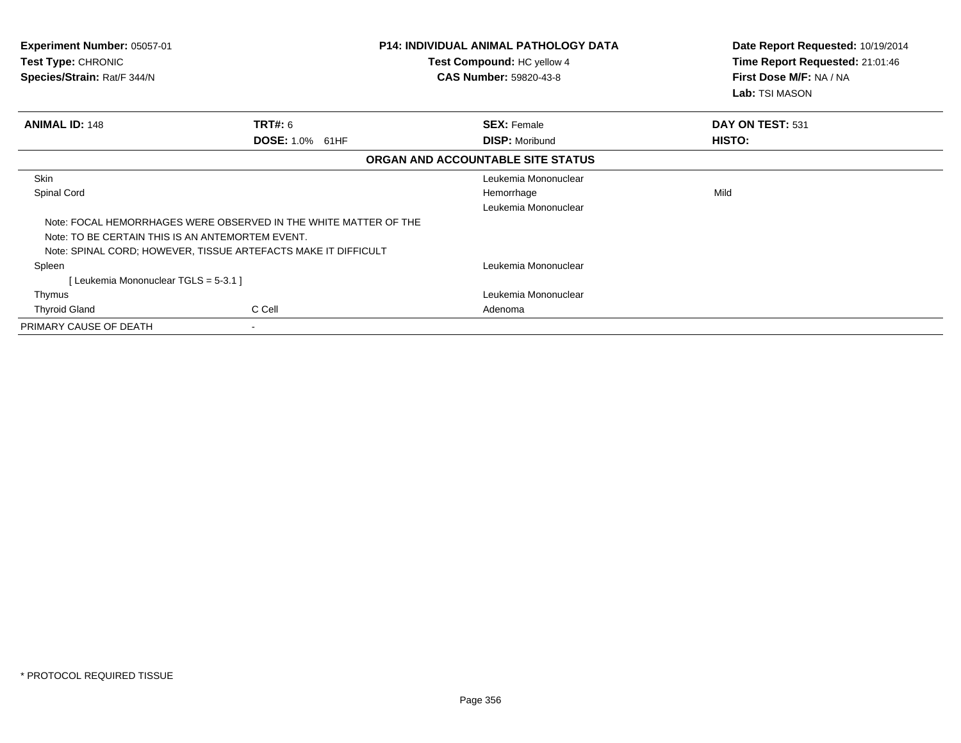| <b>Experiment Number: 05057-01</b><br>Test Type: CHRONIC<br>Species/Strain: Rat/F 344/N |                                                                  | <b>P14: INDIVIDUAL ANIMAL PATHOLOGY DATA</b><br>Test Compound: HC yellow 4<br><b>CAS Number: 59820-43-8</b> | Date Report Requested: 10/19/2014<br>Time Report Requested: 21:01:46<br>First Dose M/F: NA / NA<br>Lab: TSI MASON |
|-----------------------------------------------------------------------------------------|------------------------------------------------------------------|-------------------------------------------------------------------------------------------------------------|-------------------------------------------------------------------------------------------------------------------|
| <b>ANIMAL ID: 148</b>                                                                   | TRT#: 6                                                          | <b>SEX: Female</b>                                                                                          | DAY ON TEST: 531                                                                                                  |
|                                                                                         | DOSE: 1.0% 61HF                                                  | <b>DISP: Moribund</b>                                                                                       | HISTO:                                                                                                            |
|                                                                                         |                                                                  | ORGAN AND ACCOUNTABLE SITE STATUS                                                                           |                                                                                                                   |
| <b>Skin</b>                                                                             |                                                                  | Leukemia Mononuclear                                                                                        |                                                                                                                   |
| Spinal Cord                                                                             |                                                                  | Hemorrhage                                                                                                  | Mild                                                                                                              |
|                                                                                         |                                                                  | Leukemia Mononuclear                                                                                        |                                                                                                                   |
|                                                                                         | Note: FOCAL HEMORRHAGES WERE OBSERVED IN THE WHITE MATTER OF THE |                                                                                                             |                                                                                                                   |
| Note: TO BE CERTAIN THIS IS AN ANTEMORTEM EVENT.                                        |                                                                  |                                                                                                             |                                                                                                                   |
|                                                                                         | Note: SPINAL CORD; HOWEVER, TISSUE ARTEFACTS MAKE IT DIFFICULT   |                                                                                                             |                                                                                                                   |
| Spleen                                                                                  |                                                                  | Leukemia Mononuclear                                                                                        |                                                                                                                   |
| [ Leukemia Mononuclear TGLS = 5-3.1 ]                                                   |                                                                  |                                                                                                             |                                                                                                                   |
| Thymus                                                                                  |                                                                  | Leukemia Mononuclear                                                                                        |                                                                                                                   |
| <b>Thyroid Gland</b>                                                                    | C Cell                                                           | Adenoma                                                                                                     |                                                                                                                   |
| PRIMARY CAUSE OF DEATH                                                                  | $\overline{\phantom{a}}$                                         |                                                                                                             |                                                                                                                   |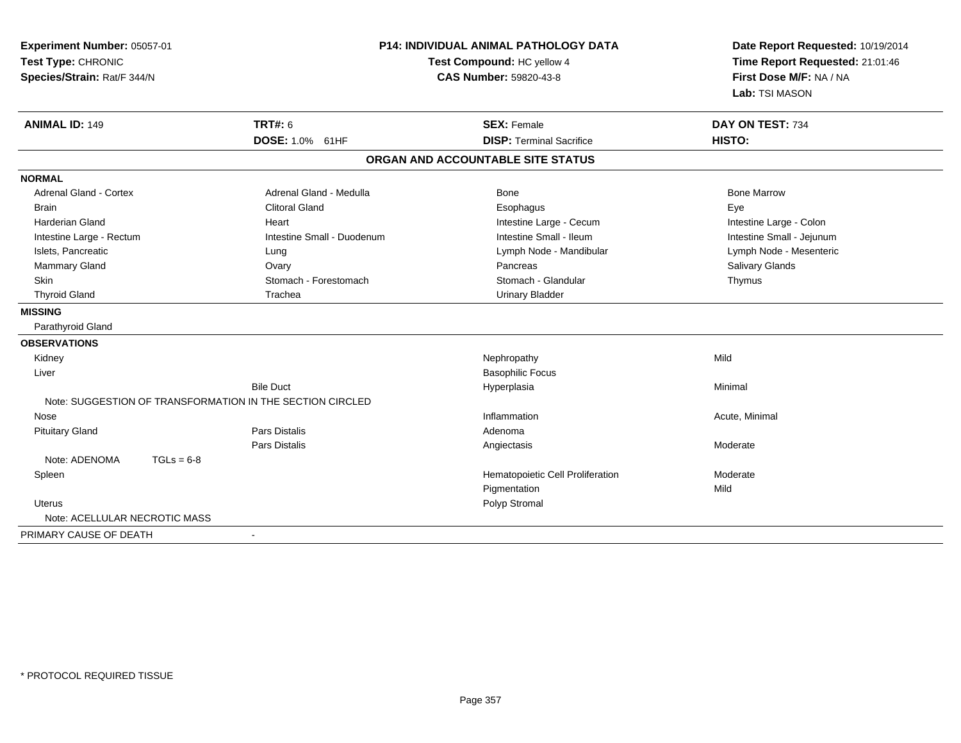| Experiment Number: 05057-01<br>Test Type: CHRONIC<br>Species/Strain: Rat/F 344/N |                                                           | P14: INDIVIDUAL ANIMAL PATHOLOGY DATA<br>Test Compound: HC yellow 4<br><b>CAS Number: 59820-43-8</b> |                           |
|----------------------------------------------------------------------------------|-----------------------------------------------------------|------------------------------------------------------------------------------------------------------|---------------------------|
| <b>ANIMAL ID: 149</b>                                                            | <b>TRT#: 6</b>                                            | <b>SEX: Female</b>                                                                                   | DAY ON TEST: 734          |
|                                                                                  | DOSE: 1.0% 61HF                                           | <b>DISP: Terminal Sacrifice</b>                                                                      | HISTO:                    |
|                                                                                  |                                                           | ORGAN AND ACCOUNTABLE SITE STATUS                                                                    |                           |
| <b>NORMAL</b>                                                                    |                                                           |                                                                                                      |                           |
| <b>Adrenal Gland - Cortex</b>                                                    | Adrenal Gland - Medulla                                   | Bone                                                                                                 | <b>Bone Marrow</b>        |
| <b>Brain</b>                                                                     | <b>Clitoral Gland</b>                                     | Esophagus                                                                                            | Eye                       |
| <b>Harderian Gland</b>                                                           | Heart                                                     | Intestine Large - Cecum                                                                              | Intestine Large - Colon   |
| Intestine Large - Rectum                                                         | Intestine Small - Duodenum                                | Intestine Small - Ileum                                                                              | Intestine Small - Jejunum |
| Islets, Pancreatic                                                               | Lung                                                      | Lymph Node - Mandibular                                                                              | Lymph Node - Mesenteric   |
| Mammary Gland                                                                    | Ovary                                                     | Pancreas                                                                                             | Salivary Glands           |
| Skin                                                                             | Stomach - Forestomach                                     | Stomach - Glandular                                                                                  | Thymus                    |
| <b>Thyroid Gland</b>                                                             | Trachea                                                   | <b>Urinary Bladder</b>                                                                               |                           |
| <b>MISSING</b>                                                                   |                                                           |                                                                                                      |                           |
| Parathyroid Gland                                                                |                                                           |                                                                                                      |                           |
| <b>OBSERVATIONS</b>                                                              |                                                           |                                                                                                      |                           |
| Kidney                                                                           |                                                           | Nephropathy                                                                                          | Mild                      |
| Liver                                                                            |                                                           | <b>Basophilic Focus</b>                                                                              |                           |
|                                                                                  | <b>Bile Duct</b>                                          | Hyperplasia                                                                                          | Minimal                   |
|                                                                                  | Note: SUGGESTION OF TRANSFORMATION IN THE SECTION CIRCLED |                                                                                                      |                           |
| Nose                                                                             |                                                           | Inflammation                                                                                         | Acute, Minimal            |
| <b>Pituitary Gland</b>                                                           | <b>Pars Distalis</b>                                      | Adenoma                                                                                              |                           |
|                                                                                  | Pars Distalis                                             | Angiectasis                                                                                          | Moderate                  |
| Note: ADENOMA<br>$TGLs = 6-8$                                                    |                                                           |                                                                                                      |                           |
| Spleen                                                                           |                                                           | Hematopoietic Cell Proliferation                                                                     | Moderate                  |
|                                                                                  |                                                           | Pigmentation                                                                                         | Mild                      |
| <b>Uterus</b>                                                                    |                                                           | Polyp Stromal                                                                                        |                           |
| Note: ACELLULAR NECROTIC MASS                                                    |                                                           |                                                                                                      |                           |
| PRIMARY CAUSE OF DEATH                                                           | $\blacksquare$                                            |                                                                                                      |                           |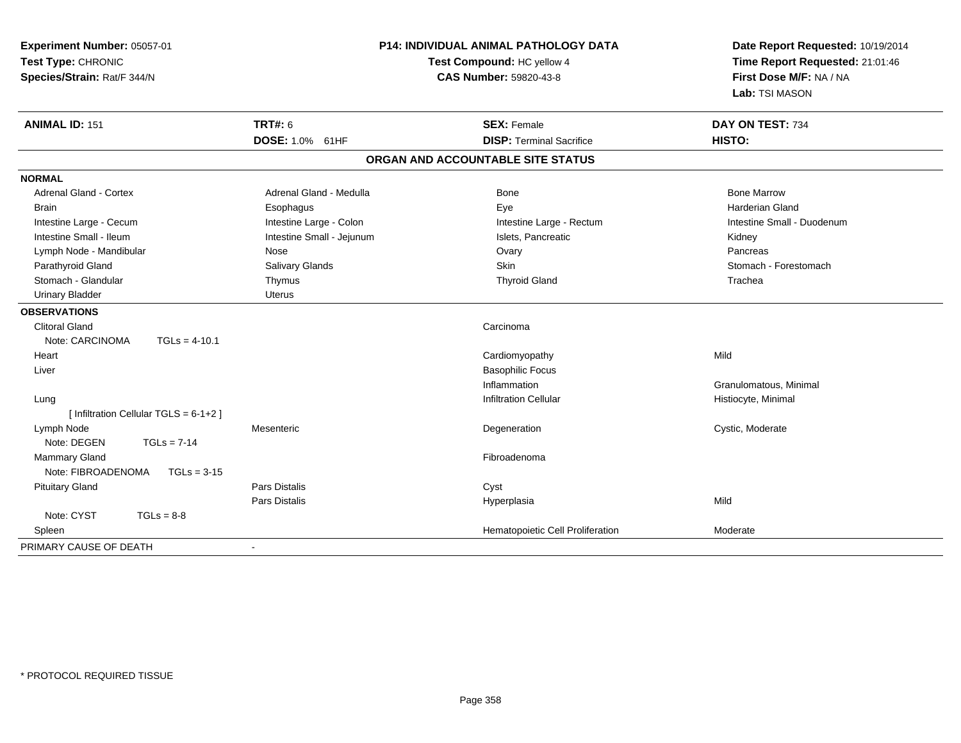| Experiment Number: 05057-01<br>Test Type: CHRONIC<br>Species/Strain: Rat/F 344/N |                           | <b>P14: INDIVIDUAL ANIMAL PATHOLOGY DATA</b><br>Test Compound: HC yellow 4<br>CAS Number: 59820-43-8 | Date Report Requested: 10/19/2014<br>Time Report Requested: 21:01:46<br>First Dose M/F: NA / NA<br>Lab: TSI MASON |
|----------------------------------------------------------------------------------|---------------------------|------------------------------------------------------------------------------------------------------|-------------------------------------------------------------------------------------------------------------------|
| <b>ANIMAL ID: 151</b>                                                            | <b>TRT#: 6</b>            | <b>SEX: Female</b>                                                                                   | DAY ON TEST: 734                                                                                                  |
|                                                                                  | DOSE: 1.0% 61HF           | <b>DISP: Terminal Sacrifice</b>                                                                      | HISTO:                                                                                                            |
|                                                                                  |                           | ORGAN AND ACCOUNTABLE SITE STATUS                                                                    |                                                                                                                   |
| <b>NORMAL</b>                                                                    |                           |                                                                                                      |                                                                                                                   |
| <b>Adrenal Gland - Cortex</b>                                                    | Adrenal Gland - Medulla   | <b>Bone</b>                                                                                          | <b>Bone Marrow</b>                                                                                                |
| <b>Brain</b>                                                                     | Esophagus                 | Eye                                                                                                  | <b>Harderian Gland</b>                                                                                            |
| Intestine Large - Cecum                                                          | Intestine Large - Colon   | Intestine Large - Rectum                                                                             | Intestine Small - Duodenum                                                                                        |
| Intestine Small - Ileum                                                          | Intestine Small - Jejunum | Islets, Pancreatic                                                                                   | Kidney                                                                                                            |
| Lymph Node - Mandibular                                                          | Nose                      | Ovary                                                                                                | Pancreas                                                                                                          |
| Parathyroid Gland                                                                | Salivary Glands           | Skin                                                                                                 | Stomach - Forestomach                                                                                             |
| Stomach - Glandular                                                              | Thymus                    | <b>Thyroid Gland</b>                                                                                 | Trachea                                                                                                           |
| <b>Urinary Bladder</b>                                                           | Uterus                    |                                                                                                      |                                                                                                                   |
| <b>OBSERVATIONS</b>                                                              |                           |                                                                                                      |                                                                                                                   |
| <b>Clitoral Gland</b>                                                            |                           | Carcinoma                                                                                            |                                                                                                                   |
| Note: CARCINOMA<br>$TGLs = 4-10.1$                                               |                           |                                                                                                      |                                                                                                                   |
| Heart                                                                            |                           | Cardiomyopathy                                                                                       | Mild                                                                                                              |
| Liver                                                                            |                           | <b>Basophilic Focus</b>                                                                              |                                                                                                                   |
|                                                                                  |                           | Inflammation                                                                                         | Granulomatous, Minimal                                                                                            |
| Lung                                                                             |                           | <b>Infiltration Cellular</b>                                                                         | Histiocyte, Minimal                                                                                               |
| [ Infiltration Cellular TGLS = 6-1+2 ]                                           |                           |                                                                                                      |                                                                                                                   |
| Lymph Node                                                                       | Mesenteric                | Degeneration                                                                                         | Cystic, Moderate                                                                                                  |
| Note: DEGEN<br>$TGLs = 7-14$                                                     |                           |                                                                                                      |                                                                                                                   |
| <b>Mammary Gland</b>                                                             |                           | Fibroadenoma                                                                                         |                                                                                                                   |
| Note: FIBROADENOMA<br>$TGLs = 3-15$                                              |                           |                                                                                                      |                                                                                                                   |
| <b>Pituitary Gland</b>                                                           | Pars Distalis             | Cyst                                                                                                 |                                                                                                                   |
|                                                                                  | Pars Distalis             | Hyperplasia                                                                                          | Mild                                                                                                              |
| Note: CYST<br>$TGLs = 8-8$                                                       |                           |                                                                                                      |                                                                                                                   |
| Spleen                                                                           |                           | Hematopoietic Cell Proliferation                                                                     | Moderate                                                                                                          |
| PRIMARY CAUSE OF DEATH                                                           | $\sim$                    |                                                                                                      |                                                                                                                   |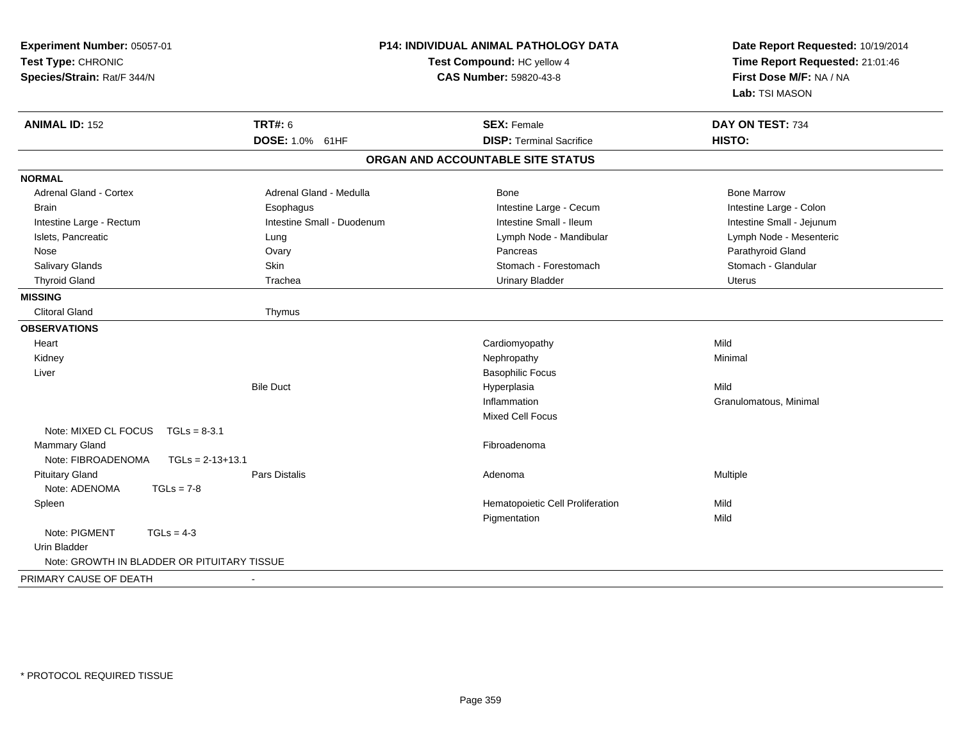| Experiment Number: 05057-01<br>Test Type: CHRONIC<br>Species/Strain: Rat/F 344/N |                            | <b>P14: INDIVIDUAL ANIMAL PATHOLOGY DATA</b><br>Test Compound: HC yellow 4<br><b>CAS Number: 59820-43-8</b> | Date Report Requested: 10/19/2014<br>Time Report Requested: 21:01:46<br>First Dose M/F: NA / NA<br>Lab: TSI MASON |
|----------------------------------------------------------------------------------|----------------------------|-------------------------------------------------------------------------------------------------------------|-------------------------------------------------------------------------------------------------------------------|
| <b>ANIMAL ID: 152</b>                                                            | <b>TRT#: 6</b>             | <b>SEX: Female</b>                                                                                          | DAY ON TEST: 734                                                                                                  |
|                                                                                  | DOSE: 1.0% 61HF            | <b>DISP: Terminal Sacrifice</b>                                                                             | HISTO:                                                                                                            |
|                                                                                  |                            | ORGAN AND ACCOUNTABLE SITE STATUS                                                                           |                                                                                                                   |
| <b>NORMAL</b>                                                                    |                            |                                                                                                             |                                                                                                                   |
| <b>Adrenal Gland - Cortex</b>                                                    | Adrenal Gland - Medulla    | Bone                                                                                                        | <b>Bone Marrow</b>                                                                                                |
| <b>Brain</b>                                                                     | Esophagus                  | Intestine Large - Cecum                                                                                     | Intestine Large - Colon                                                                                           |
| Intestine Large - Rectum                                                         | Intestine Small - Duodenum | Intestine Small - Ileum                                                                                     | Intestine Small - Jejunum                                                                                         |
| Islets, Pancreatic                                                               | Lung                       | Lymph Node - Mandibular                                                                                     | Lymph Node - Mesenteric                                                                                           |
| Nose                                                                             | Ovary                      | Pancreas                                                                                                    | Parathyroid Gland                                                                                                 |
| Salivary Glands                                                                  | <b>Skin</b>                | Stomach - Forestomach                                                                                       | Stomach - Glandular                                                                                               |
| <b>Thyroid Gland</b>                                                             | Trachea                    | <b>Urinary Bladder</b>                                                                                      | <b>Uterus</b>                                                                                                     |
| <b>MISSING</b>                                                                   |                            |                                                                                                             |                                                                                                                   |
| <b>Clitoral Gland</b>                                                            | Thymus                     |                                                                                                             |                                                                                                                   |
| <b>OBSERVATIONS</b>                                                              |                            |                                                                                                             |                                                                                                                   |
| Heart                                                                            |                            | Cardiomyopathy                                                                                              | Mild                                                                                                              |
| Kidney                                                                           |                            | Nephropathy                                                                                                 | Minimal                                                                                                           |
| Liver                                                                            |                            | <b>Basophilic Focus</b>                                                                                     |                                                                                                                   |
|                                                                                  | <b>Bile Duct</b>           | Hyperplasia                                                                                                 | Mild                                                                                                              |
|                                                                                  |                            | Inflammation                                                                                                | Granulomatous, Minimal                                                                                            |
|                                                                                  |                            | <b>Mixed Cell Focus</b>                                                                                     |                                                                                                                   |
| Note: MIXED CL FOCUS<br>$TGLs = 8-3.1$                                           |                            |                                                                                                             |                                                                                                                   |
| Mammary Gland                                                                    |                            | Fibroadenoma                                                                                                |                                                                                                                   |
| Note: FIBROADENOMA<br>$TGLs = 2-13+13.1$                                         |                            |                                                                                                             |                                                                                                                   |
| <b>Pituitary Gland</b>                                                           | Pars Distalis              | Adenoma                                                                                                     | Multiple                                                                                                          |
| Note: ADENOMA<br>$TGLs = 7-8$                                                    |                            |                                                                                                             |                                                                                                                   |
| Spleen                                                                           |                            | Hematopoietic Cell Proliferation                                                                            | Mild                                                                                                              |
|                                                                                  |                            | Pigmentation                                                                                                | Mild                                                                                                              |
| Note: PIGMENT<br>$TGLs = 4-3$                                                    |                            |                                                                                                             |                                                                                                                   |
| <b>Urin Bladder</b>                                                              |                            |                                                                                                             |                                                                                                                   |
| Note: GROWTH IN BLADDER OR PITUITARY TISSUE                                      |                            |                                                                                                             |                                                                                                                   |
| PRIMARY CAUSE OF DEATH                                                           |                            |                                                                                                             |                                                                                                                   |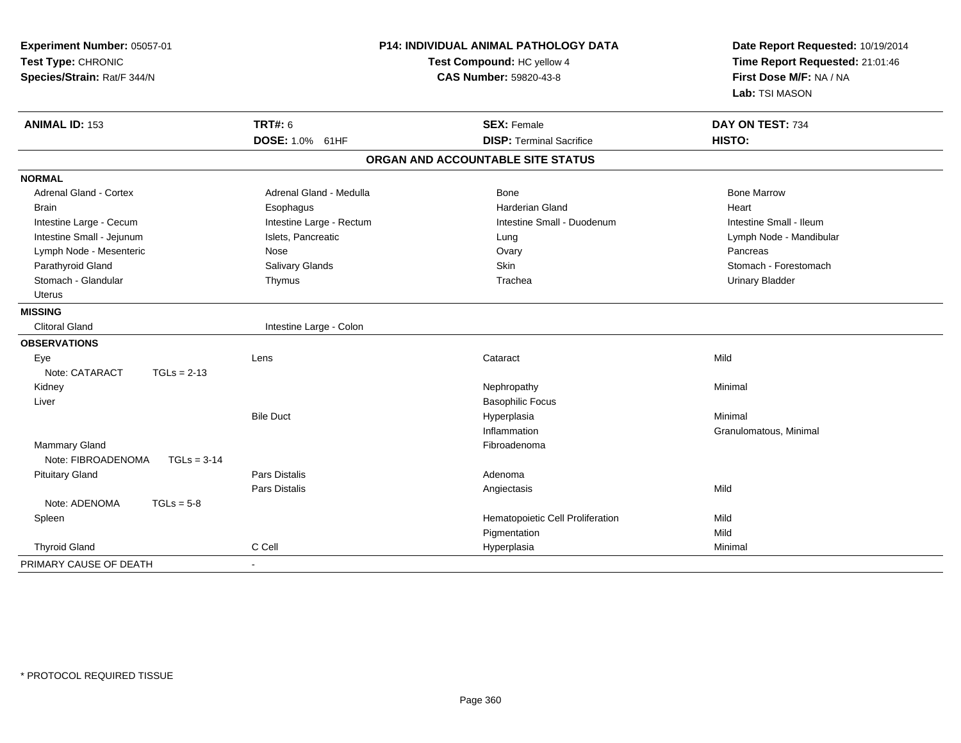| Experiment Number: 05057-01<br>Test Type: CHRONIC<br>Species/Strain: Rat/F 344/N |                          | P14: INDIVIDUAL ANIMAL PATHOLOGY DATA<br>Test Compound: HC yellow 4<br><b>CAS Number: 59820-43-8</b> | Date Report Requested: 10/19/2014<br>Time Report Requested: 21:01:46<br>First Dose M/F: NA / NA<br>Lab: TSI MASON |  |
|----------------------------------------------------------------------------------|--------------------------|------------------------------------------------------------------------------------------------------|-------------------------------------------------------------------------------------------------------------------|--|
| <b>ANIMAL ID: 153</b>                                                            | <b>TRT#: 6</b>           | <b>SEX: Female</b>                                                                                   | DAY ON TEST: 734                                                                                                  |  |
|                                                                                  | DOSE: 1.0% 61HF          | <b>DISP: Terminal Sacrifice</b>                                                                      | HISTO:                                                                                                            |  |
|                                                                                  |                          | ORGAN AND ACCOUNTABLE SITE STATUS                                                                    |                                                                                                                   |  |
| <b>NORMAL</b>                                                                    |                          |                                                                                                      |                                                                                                                   |  |
| <b>Adrenal Gland - Cortex</b>                                                    | Adrenal Gland - Medulla  | Bone                                                                                                 | <b>Bone Marrow</b>                                                                                                |  |
| <b>Brain</b>                                                                     | Esophagus                | <b>Harderian Gland</b>                                                                               | Heart                                                                                                             |  |
| Intestine Large - Cecum                                                          | Intestine Large - Rectum | Intestine Small - Duodenum                                                                           | Intestine Small - Ileum                                                                                           |  |
| Intestine Small - Jejunum                                                        | Islets, Pancreatic       | Lung                                                                                                 | Lymph Node - Mandibular                                                                                           |  |
| Lymph Node - Mesenteric                                                          | Nose                     | Ovary                                                                                                | Pancreas                                                                                                          |  |
| Parathyroid Gland                                                                | <b>Salivary Glands</b>   | Skin                                                                                                 | Stomach - Forestomach                                                                                             |  |
| Stomach - Glandular                                                              | Thymus                   | Trachea                                                                                              | <b>Urinary Bladder</b>                                                                                            |  |
| <b>Uterus</b>                                                                    |                          |                                                                                                      |                                                                                                                   |  |
| <b>MISSING</b>                                                                   |                          |                                                                                                      |                                                                                                                   |  |
| <b>Clitoral Gland</b>                                                            | Intestine Large - Colon  |                                                                                                      |                                                                                                                   |  |
| <b>OBSERVATIONS</b>                                                              |                          |                                                                                                      |                                                                                                                   |  |
| Eye                                                                              | Lens                     | Cataract                                                                                             | Mild                                                                                                              |  |
| Note: CATARACT<br>$TGLs = 2-13$                                                  |                          |                                                                                                      |                                                                                                                   |  |
| Kidney                                                                           |                          | Nephropathy                                                                                          | Minimal                                                                                                           |  |
| Liver                                                                            |                          | <b>Basophilic Focus</b>                                                                              |                                                                                                                   |  |
|                                                                                  | <b>Bile Duct</b>         | Hyperplasia                                                                                          | Minimal                                                                                                           |  |
|                                                                                  |                          | Inflammation                                                                                         | Granulomatous, Minimal                                                                                            |  |
| Mammary Gland                                                                    |                          | Fibroadenoma                                                                                         |                                                                                                                   |  |
| Note: FIBROADENOMA<br>$TGLs = 3-14$                                              |                          |                                                                                                      |                                                                                                                   |  |
| <b>Pituitary Gland</b>                                                           | Pars Distalis            | Adenoma                                                                                              |                                                                                                                   |  |
|                                                                                  | Pars Distalis            | Angiectasis                                                                                          | Mild                                                                                                              |  |
| Note: ADENOMA<br>$TGLs = 5-8$                                                    |                          |                                                                                                      |                                                                                                                   |  |
| Spleen                                                                           |                          | Hematopoietic Cell Proliferation                                                                     | Mild                                                                                                              |  |
|                                                                                  |                          | Pigmentation                                                                                         | Mild                                                                                                              |  |
| <b>Thyroid Gland</b>                                                             | C Cell                   | Hyperplasia                                                                                          | Minimal                                                                                                           |  |
| PRIMARY CAUSE OF DEATH                                                           | $\blacksquare$           |                                                                                                      |                                                                                                                   |  |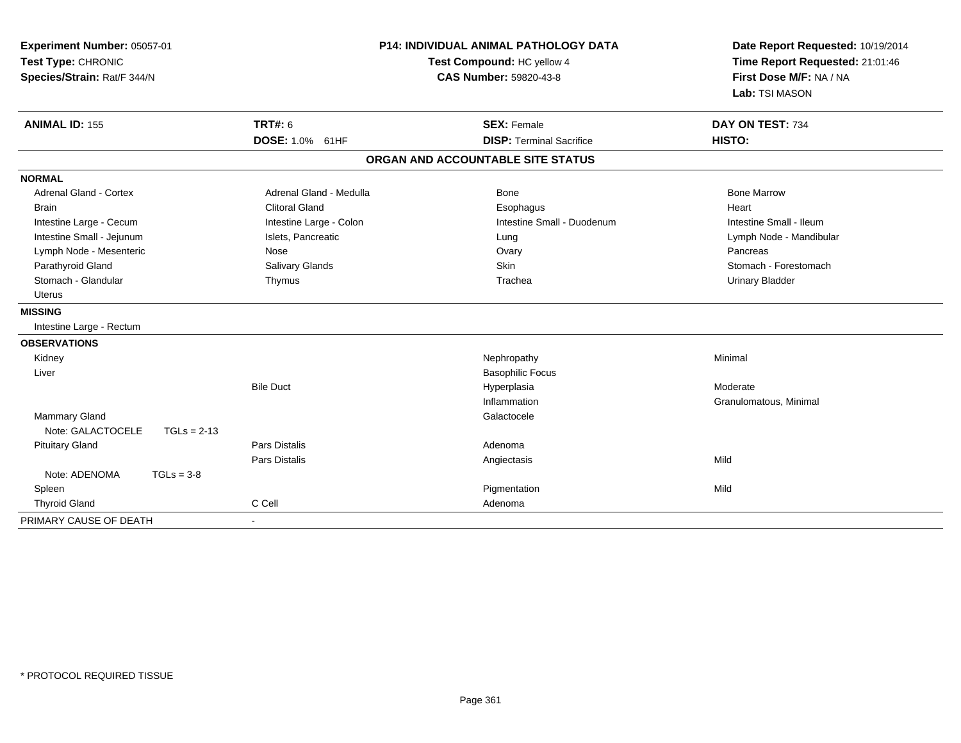| Experiment Number: 05057-01<br>Test Type: CHRONIC<br>Species/Strain: Rat/F 344/N | <b>P14: INDIVIDUAL ANIMAL PATHOLOGY DATA</b><br>Test Compound: HC yellow 4<br>CAS Number: 59820-43-8 |                                   | Date Report Requested: 10/19/2014<br>Time Report Requested: 21:01:46<br>First Dose M/F: NA / NA<br>Lab: TSI MASON |
|----------------------------------------------------------------------------------|------------------------------------------------------------------------------------------------------|-----------------------------------|-------------------------------------------------------------------------------------------------------------------|
| <b>ANIMAL ID: 155</b>                                                            | <b>TRT#: 6</b>                                                                                       | <b>SEX: Female</b>                | DAY ON TEST: 734                                                                                                  |
|                                                                                  | <b>DOSE: 1.0% 61HF</b>                                                                               | <b>DISP: Terminal Sacrifice</b>   | HISTO:                                                                                                            |
|                                                                                  |                                                                                                      | ORGAN AND ACCOUNTABLE SITE STATUS |                                                                                                                   |
| <b>NORMAL</b>                                                                    |                                                                                                      |                                   |                                                                                                                   |
| <b>Adrenal Gland - Cortex</b>                                                    | Adrenal Gland - Medulla                                                                              | Bone                              | <b>Bone Marrow</b>                                                                                                |
| <b>Brain</b>                                                                     | <b>Clitoral Gland</b>                                                                                | Esophagus                         | Heart                                                                                                             |
| Intestine Large - Cecum                                                          | Intestine Large - Colon                                                                              | Intestine Small - Duodenum        | Intestine Small - Ileum                                                                                           |
| Intestine Small - Jejunum                                                        | Islets, Pancreatic                                                                                   | Lung                              | Lymph Node - Mandibular                                                                                           |
| Lymph Node - Mesenteric                                                          | Nose                                                                                                 | Ovary                             | Pancreas                                                                                                          |
| Parathyroid Gland                                                                | Salivary Glands                                                                                      | Skin                              | Stomach - Forestomach                                                                                             |
| Stomach - Glandular                                                              | Thymus                                                                                               | Trachea                           | <b>Urinary Bladder</b>                                                                                            |
| <b>Uterus</b>                                                                    |                                                                                                      |                                   |                                                                                                                   |
| <b>MISSING</b>                                                                   |                                                                                                      |                                   |                                                                                                                   |
| Intestine Large - Rectum                                                         |                                                                                                      |                                   |                                                                                                                   |
| <b>OBSERVATIONS</b>                                                              |                                                                                                      |                                   |                                                                                                                   |
| Kidney                                                                           |                                                                                                      | Nephropathy                       | Minimal                                                                                                           |
| Liver                                                                            |                                                                                                      | <b>Basophilic Focus</b>           |                                                                                                                   |
|                                                                                  | <b>Bile Duct</b>                                                                                     | Hyperplasia                       | Moderate                                                                                                          |
|                                                                                  |                                                                                                      | Inflammation                      | Granulomatous, Minimal                                                                                            |
| Mammary Gland                                                                    |                                                                                                      | Galactocele                       |                                                                                                                   |
| Note: GALACTOCELE<br>$TGLs = 2-13$                                               |                                                                                                      |                                   |                                                                                                                   |
| <b>Pituitary Gland</b>                                                           | <b>Pars Distalis</b>                                                                                 | Adenoma                           |                                                                                                                   |
|                                                                                  | <b>Pars Distalis</b>                                                                                 | Angiectasis                       | Mild                                                                                                              |
| Note: ADENOMA<br>$TGLs = 3-8$                                                    |                                                                                                      |                                   |                                                                                                                   |
| Spleen                                                                           |                                                                                                      | Pigmentation                      | Mild                                                                                                              |
| <b>Thyroid Gland</b>                                                             | C Cell                                                                                               | Adenoma                           |                                                                                                                   |
| PRIMARY CAUSE OF DEATH                                                           |                                                                                                      |                                   |                                                                                                                   |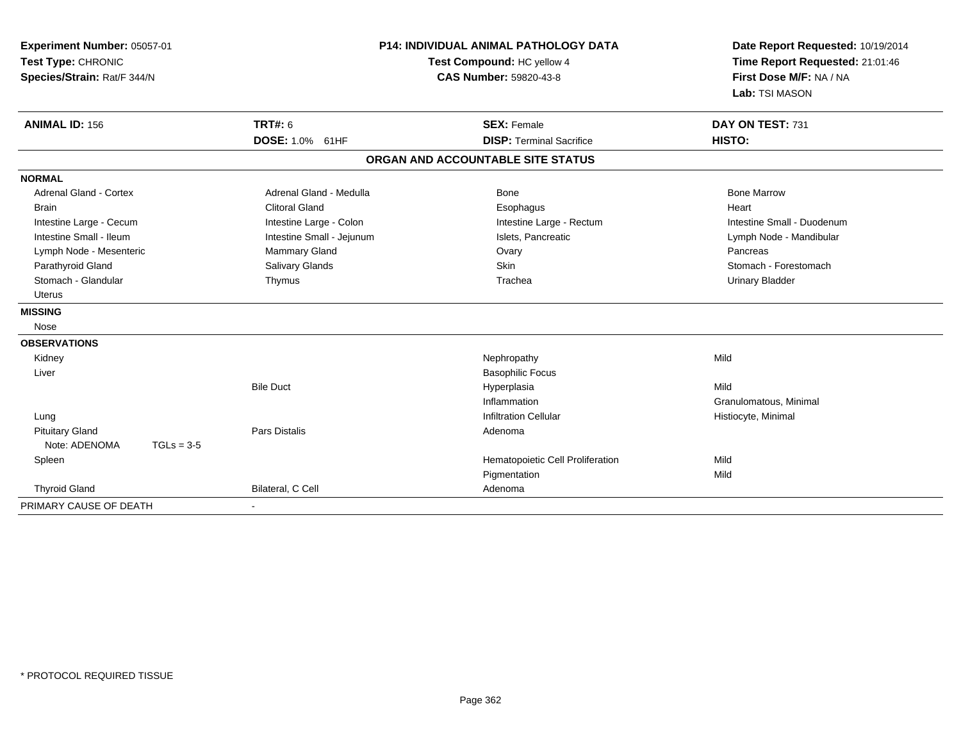| Experiment Number: 05057-01<br>Test Type: CHRONIC<br>Species/Strain: Rat/F 344/N |                           | <b>P14: INDIVIDUAL ANIMAL PATHOLOGY DATA</b><br>Test Compound: HC yellow 4<br><b>CAS Number: 59820-43-8</b> | Date Report Requested: 10/19/2014<br>Time Report Requested: 21:01:46<br>First Dose M/F: NA / NA<br>Lab: TSI MASON |  |
|----------------------------------------------------------------------------------|---------------------------|-------------------------------------------------------------------------------------------------------------|-------------------------------------------------------------------------------------------------------------------|--|
| <b>ANIMAL ID: 156</b>                                                            | <b>TRT#: 6</b>            | <b>SEX: Female</b>                                                                                          | DAY ON TEST: 731                                                                                                  |  |
|                                                                                  | DOSE: 1.0% 61HF           | <b>DISP: Terminal Sacrifice</b>                                                                             | HISTO:                                                                                                            |  |
|                                                                                  |                           | ORGAN AND ACCOUNTABLE SITE STATUS                                                                           |                                                                                                                   |  |
| <b>NORMAL</b>                                                                    |                           |                                                                                                             |                                                                                                                   |  |
| Adrenal Gland - Cortex                                                           | Adrenal Gland - Medulla   | Bone                                                                                                        | <b>Bone Marrow</b>                                                                                                |  |
| <b>Brain</b>                                                                     | <b>Clitoral Gland</b>     | Esophagus                                                                                                   | Heart                                                                                                             |  |
| Intestine Large - Cecum                                                          | Intestine Large - Colon   | Intestine Large - Rectum                                                                                    | Intestine Small - Duodenum                                                                                        |  |
| Intestine Small - Ileum                                                          | Intestine Small - Jejunum | Islets, Pancreatic                                                                                          | Lymph Node - Mandibular                                                                                           |  |
| Mammary Gland<br>Lymph Node - Mesenteric<br>Ovary                                |                           |                                                                                                             | Pancreas                                                                                                          |  |
| Parathyroid Gland                                                                | Salivary Glands           | <b>Skin</b>                                                                                                 | Stomach - Forestomach                                                                                             |  |
| Stomach - Glandular                                                              | Thymus                    | Trachea                                                                                                     | <b>Urinary Bladder</b>                                                                                            |  |
| <b>Uterus</b>                                                                    |                           |                                                                                                             |                                                                                                                   |  |
| <b>MISSING</b>                                                                   |                           |                                                                                                             |                                                                                                                   |  |
| Nose                                                                             |                           |                                                                                                             |                                                                                                                   |  |
| <b>OBSERVATIONS</b>                                                              |                           |                                                                                                             |                                                                                                                   |  |
| Kidney                                                                           |                           | Nephropathy                                                                                                 | Mild                                                                                                              |  |
| Liver                                                                            |                           | <b>Basophilic Focus</b>                                                                                     |                                                                                                                   |  |
|                                                                                  | <b>Bile Duct</b>          | Hyperplasia                                                                                                 | Mild                                                                                                              |  |
|                                                                                  |                           | Inflammation                                                                                                | Granulomatous, Minimal                                                                                            |  |
| Lung                                                                             |                           | <b>Infiltration Cellular</b>                                                                                | Histiocyte, Minimal                                                                                               |  |
| <b>Pituitary Gland</b>                                                           | <b>Pars Distalis</b>      | Adenoma                                                                                                     |                                                                                                                   |  |
| Note: ADENOMA<br>$TGLs = 3-5$                                                    |                           |                                                                                                             |                                                                                                                   |  |
| Spleen                                                                           |                           | Hematopoietic Cell Proliferation                                                                            | Mild                                                                                                              |  |
|                                                                                  |                           | Pigmentation                                                                                                | Mild                                                                                                              |  |
| <b>Thyroid Gland</b>                                                             | Bilateral, C Cell         | Adenoma                                                                                                     |                                                                                                                   |  |
| PRIMARY CAUSE OF DEATH                                                           |                           |                                                                                                             |                                                                                                                   |  |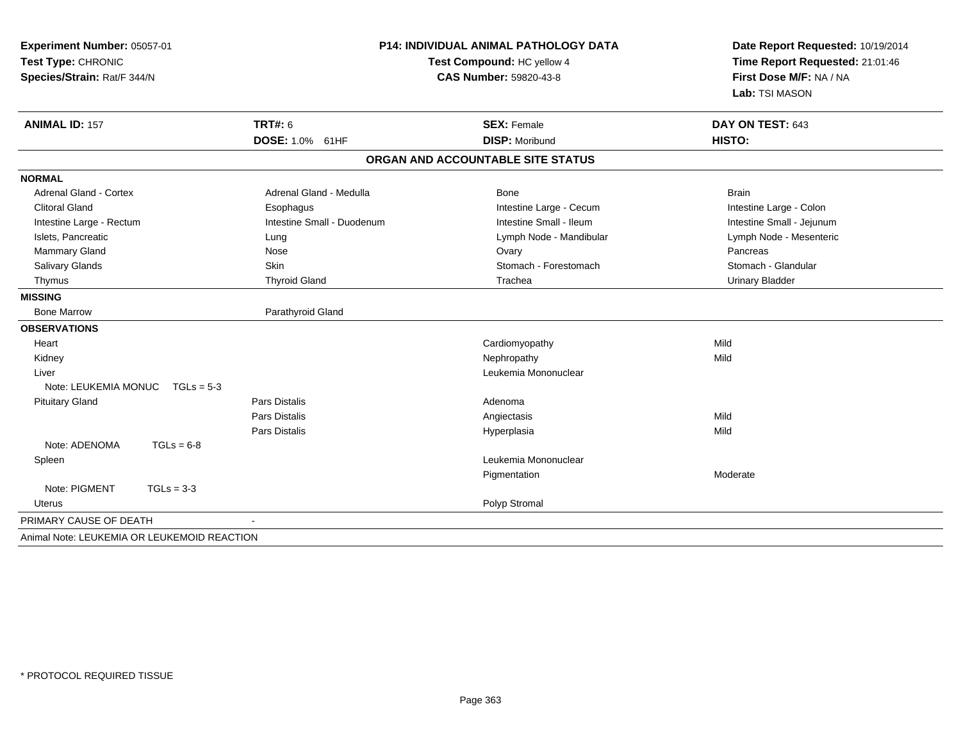| Experiment Number: 05057-01<br>Test Type: CHRONIC<br>Species/Strain: Rat/F 344/N |              |                            | <b>P14: INDIVIDUAL ANIMAL PATHOLOGY DATA</b><br>Test Compound: HC yellow 4<br>CAS Number: 59820-43-8 | Date Report Requested: 10/19/2014<br>Time Report Requested: 21:01:46<br>First Dose M/F: NA / NA<br>Lab: TSI MASON |  |
|----------------------------------------------------------------------------------|--------------|----------------------------|------------------------------------------------------------------------------------------------------|-------------------------------------------------------------------------------------------------------------------|--|
| <b>ANIMAL ID: 157</b>                                                            |              | <b>TRT#: 6</b>             | <b>SEX: Female</b>                                                                                   | DAY ON TEST: 643                                                                                                  |  |
|                                                                                  |              | DOSE: 1.0% 61HF            | <b>DISP: Moribund</b>                                                                                | HISTO:                                                                                                            |  |
|                                                                                  |              |                            | ORGAN AND ACCOUNTABLE SITE STATUS                                                                    |                                                                                                                   |  |
| <b>NORMAL</b>                                                                    |              |                            |                                                                                                      |                                                                                                                   |  |
| <b>Adrenal Gland - Cortex</b>                                                    |              | Adrenal Gland - Medulla    | Bone                                                                                                 | <b>Brain</b>                                                                                                      |  |
| <b>Clitoral Gland</b>                                                            |              | Esophagus                  | Intestine Large - Cecum                                                                              | Intestine Large - Colon                                                                                           |  |
| Intestine Large - Rectum                                                         |              | Intestine Small - Duodenum | Intestine Small - Ileum                                                                              | Intestine Small - Jejunum                                                                                         |  |
| Islets, Pancreatic                                                               |              | Lung                       | Lymph Node - Mandibular                                                                              | Lymph Node - Mesenteric                                                                                           |  |
| Mammary Gland                                                                    |              | Nose                       | Ovary                                                                                                | Pancreas                                                                                                          |  |
| Salivary Glands                                                                  |              | Skin                       | Stomach - Forestomach                                                                                | Stomach - Glandular                                                                                               |  |
| Thymus                                                                           |              | <b>Thyroid Gland</b>       | Trachea                                                                                              | <b>Urinary Bladder</b>                                                                                            |  |
| <b>MISSING</b>                                                                   |              |                            |                                                                                                      |                                                                                                                   |  |
| <b>Bone Marrow</b>                                                               |              | Parathyroid Gland          |                                                                                                      |                                                                                                                   |  |
| <b>OBSERVATIONS</b>                                                              |              |                            |                                                                                                      |                                                                                                                   |  |
| Heart                                                                            |              |                            | Cardiomyopathy                                                                                       | Mild                                                                                                              |  |
| Kidney                                                                           |              |                            | Nephropathy                                                                                          | Mild                                                                                                              |  |
| Liver                                                                            |              |                            | Leukemia Mononuclear                                                                                 |                                                                                                                   |  |
| Note: LEUKEMIA MONUC                                                             | $TGLs = 5-3$ |                            |                                                                                                      |                                                                                                                   |  |
| <b>Pituitary Gland</b>                                                           |              | <b>Pars Distalis</b>       | Adenoma                                                                                              |                                                                                                                   |  |
|                                                                                  |              | <b>Pars Distalis</b>       | Angiectasis                                                                                          | Mild                                                                                                              |  |
|                                                                                  |              | Pars Distalis              | Hyperplasia                                                                                          | Mild                                                                                                              |  |
| Note: ADENOMA                                                                    | $TGLs = 6-8$ |                            |                                                                                                      |                                                                                                                   |  |
| Spleen                                                                           |              |                            | Leukemia Mononuclear                                                                                 |                                                                                                                   |  |
|                                                                                  |              |                            | Pigmentation                                                                                         | Moderate                                                                                                          |  |
| Note: PIGMENT                                                                    | $TGLs = 3-3$ |                            |                                                                                                      |                                                                                                                   |  |
| Uterus                                                                           |              |                            | Polyp Stromal                                                                                        |                                                                                                                   |  |
| PRIMARY CAUSE OF DEATH                                                           |              |                            |                                                                                                      |                                                                                                                   |  |
| Animal Note: LEUKEMIA OR LEUKEMOID REACTION                                      |              |                            |                                                                                                      |                                                                                                                   |  |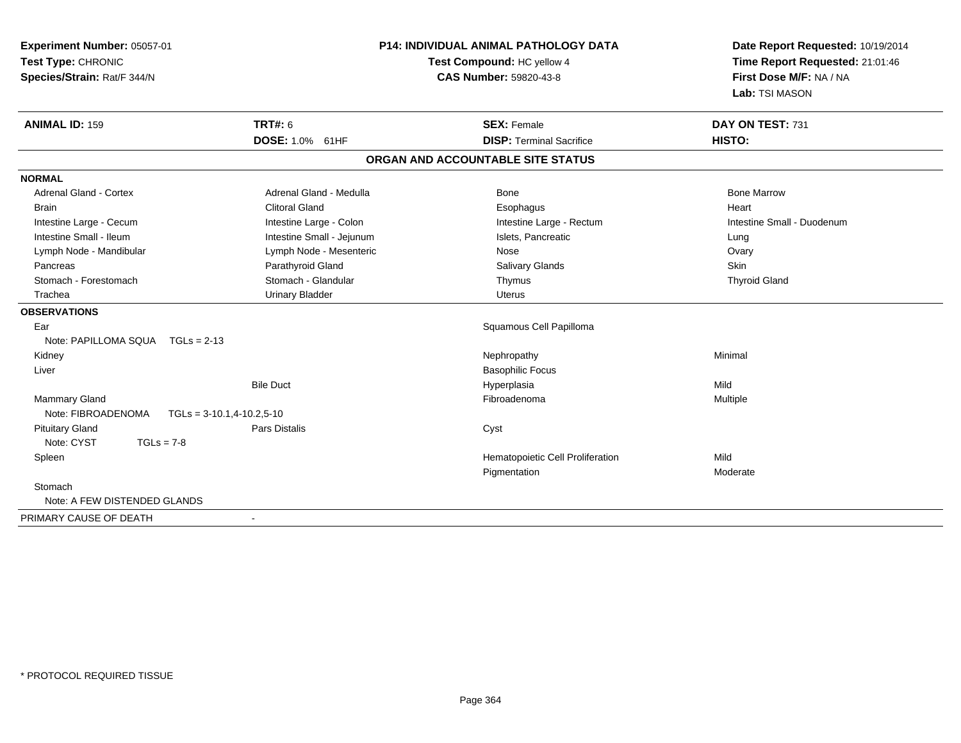| Experiment Number: 05057-01<br>Test Type: CHRONIC<br>Species/Strain: Rat/F 344/N |                               | <b>P14: INDIVIDUAL ANIMAL PATHOLOGY DATA</b><br>Test Compound: HC yellow 4<br><b>CAS Number: 59820-43-8</b> | Date Report Requested: 10/19/2014<br>Time Report Requested: 21:01:46<br>First Dose M/F: NA / NA<br>Lab: TSI MASON |  |
|----------------------------------------------------------------------------------|-------------------------------|-------------------------------------------------------------------------------------------------------------|-------------------------------------------------------------------------------------------------------------------|--|
| <b>ANIMAL ID: 159</b>                                                            | <b>TRT#: 6</b>                | <b>SEX: Female</b>                                                                                          | DAY ON TEST: 731                                                                                                  |  |
|                                                                                  | DOSE: 1.0% 61HF               | <b>DISP: Terminal Sacrifice</b>                                                                             | HISTO:                                                                                                            |  |
|                                                                                  |                               | ORGAN AND ACCOUNTABLE SITE STATUS                                                                           |                                                                                                                   |  |
| <b>NORMAL</b>                                                                    |                               |                                                                                                             |                                                                                                                   |  |
| <b>Adrenal Gland - Cortex</b>                                                    | Adrenal Gland - Medulla       | Bone                                                                                                        | <b>Bone Marrow</b>                                                                                                |  |
| <b>Brain</b>                                                                     | <b>Clitoral Gland</b>         | Esophagus                                                                                                   | Heart                                                                                                             |  |
| Intestine Large - Cecum                                                          | Intestine Large - Colon       | Intestine Large - Rectum                                                                                    | Intestine Small - Duodenum                                                                                        |  |
| Intestine Small - Ileum                                                          | Intestine Small - Jejunum     | Islets, Pancreatic                                                                                          | Lung                                                                                                              |  |
| Lymph Node - Mandibular                                                          | Lymph Node - Mesenteric       | Nose                                                                                                        | Ovary                                                                                                             |  |
| Pancreas                                                                         | Parathyroid Gland             | <b>Salivary Glands</b>                                                                                      | Skin                                                                                                              |  |
| Stomach - Forestomach                                                            | Stomach - Glandular           | Thymus                                                                                                      | <b>Thyroid Gland</b>                                                                                              |  |
| Trachea                                                                          | <b>Urinary Bladder</b>        | <b>Uterus</b>                                                                                               |                                                                                                                   |  |
| <b>OBSERVATIONS</b>                                                              |                               |                                                                                                             |                                                                                                                   |  |
| Ear                                                                              |                               | Squamous Cell Papilloma                                                                                     |                                                                                                                   |  |
| Note: PAPILLOMA SQUA TGLs = 2-13                                                 |                               |                                                                                                             |                                                                                                                   |  |
| Kidney                                                                           |                               | Nephropathy                                                                                                 | Minimal                                                                                                           |  |
| Liver                                                                            |                               | <b>Basophilic Focus</b>                                                                                     |                                                                                                                   |  |
|                                                                                  | <b>Bile Duct</b>              | Hyperplasia                                                                                                 | Mild                                                                                                              |  |
| Mammary Gland                                                                    |                               | Fibroadenoma                                                                                                | Multiple                                                                                                          |  |
| Note: FIBROADENOMA                                                               | $TGLs = 3-10.1, 4-10.2, 5-10$ |                                                                                                             |                                                                                                                   |  |
| <b>Pituitary Gland</b>                                                           | <b>Pars Distalis</b>          | Cyst                                                                                                        |                                                                                                                   |  |
| Note: CYST<br>$TGLs = 7-8$                                                       |                               |                                                                                                             |                                                                                                                   |  |
| Spleen                                                                           |                               | Hematopoietic Cell Proliferation                                                                            | Mild                                                                                                              |  |
|                                                                                  |                               | Pigmentation                                                                                                | Moderate                                                                                                          |  |
| Stomach                                                                          |                               |                                                                                                             |                                                                                                                   |  |
| Note: A FEW DISTENDED GLANDS                                                     |                               |                                                                                                             |                                                                                                                   |  |
| PRIMARY CAUSE OF DEATH                                                           | $\sim$                        |                                                                                                             |                                                                                                                   |  |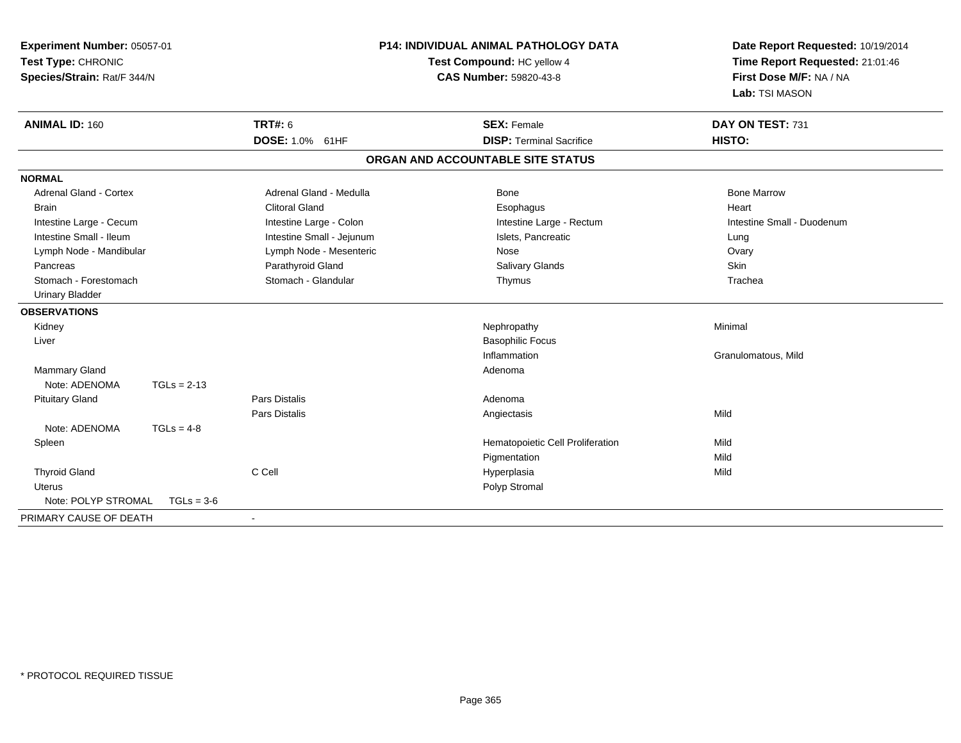| Experiment Number: 05057-01<br>Test Type: CHRONIC<br>Species/Strain: Rat/F 344/N |               | <b>P14: INDIVIDUAL ANIMAL PATHOLOGY DATA</b><br>Test Compound: HC yellow 4<br><b>CAS Number: 59820-43-8</b> |                                   | Date Report Requested: 10/19/2014<br>Time Report Requested: 21:01:46<br>First Dose M/F: NA / NA<br>Lab: TSI MASON |  |
|----------------------------------------------------------------------------------|---------------|-------------------------------------------------------------------------------------------------------------|-----------------------------------|-------------------------------------------------------------------------------------------------------------------|--|
| <b>ANIMAL ID: 160</b>                                                            |               | <b>TRT#: 6</b>                                                                                              | <b>SEX: Female</b>                | DAY ON TEST: 731                                                                                                  |  |
|                                                                                  |               | DOSE: 1.0% 61HF                                                                                             | <b>DISP: Terminal Sacrifice</b>   | HISTO:                                                                                                            |  |
|                                                                                  |               |                                                                                                             | ORGAN AND ACCOUNTABLE SITE STATUS |                                                                                                                   |  |
| <b>NORMAL</b>                                                                    |               |                                                                                                             |                                   |                                                                                                                   |  |
| <b>Adrenal Gland - Cortex</b>                                                    |               | Adrenal Gland - Medulla                                                                                     | Bone                              | <b>Bone Marrow</b>                                                                                                |  |
| <b>Brain</b>                                                                     |               | <b>Clitoral Gland</b>                                                                                       | Esophagus                         | Heart                                                                                                             |  |
| Intestine Large - Cecum                                                          |               | Intestine Large - Colon                                                                                     | Intestine Large - Rectum          | Intestine Small - Duodenum                                                                                        |  |
| Intestine Small - Ileum                                                          |               | Intestine Small - Jejunum                                                                                   | Islets, Pancreatic                | Lung                                                                                                              |  |
| Lymph Node - Mandibular                                                          |               | Lymph Node - Mesenteric                                                                                     | Nose                              | Ovary                                                                                                             |  |
| Pancreas                                                                         |               | Parathyroid Gland                                                                                           | <b>Salivary Glands</b>            | Skin                                                                                                              |  |
| Stomach - Forestomach                                                            |               | Stomach - Glandular                                                                                         | Thymus                            | Trachea                                                                                                           |  |
| <b>Urinary Bladder</b>                                                           |               |                                                                                                             |                                   |                                                                                                                   |  |
| <b>OBSERVATIONS</b>                                                              |               |                                                                                                             |                                   |                                                                                                                   |  |
| Kidney                                                                           |               |                                                                                                             | Nephropathy                       | Minimal                                                                                                           |  |
| Liver                                                                            |               |                                                                                                             | <b>Basophilic Focus</b>           |                                                                                                                   |  |
|                                                                                  |               |                                                                                                             | Inflammation                      | Granulomatous, Mild                                                                                               |  |
| Mammary Gland                                                                    |               |                                                                                                             | Adenoma                           |                                                                                                                   |  |
| Note: ADENOMA                                                                    | $TGLs = 2-13$ |                                                                                                             |                                   |                                                                                                                   |  |
| <b>Pituitary Gland</b>                                                           |               | <b>Pars Distalis</b>                                                                                        | Adenoma                           |                                                                                                                   |  |
|                                                                                  |               | <b>Pars Distalis</b>                                                                                        | Angiectasis                       | Mild                                                                                                              |  |
| Note: ADENOMA                                                                    | $TGLs = 4-8$  |                                                                                                             |                                   |                                                                                                                   |  |
| Spleen                                                                           |               |                                                                                                             | Hematopoietic Cell Proliferation  | Mild                                                                                                              |  |
|                                                                                  |               |                                                                                                             | Pigmentation                      | Mild                                                                                                              |  |
| <b>Thyroid Gland</b>                                                             |               | C Cell                                                                                                      | Hyperplasia                       | Mild                                                                                                              |  |
| <b>Uterus</b>                                                                    |               |                                                                                                             | Polyp Stromal                     |                                                                                                                   |  |
| Note: POLYP STROMAL                                                              | $TGLs = 3-6$  |                                                                                                             |                                   |                                                                                                                   |  |
| PRIMARY CAUSE OF DEATH                                                           |               |                                                                                                             |                                   |                                                                                                                   |  |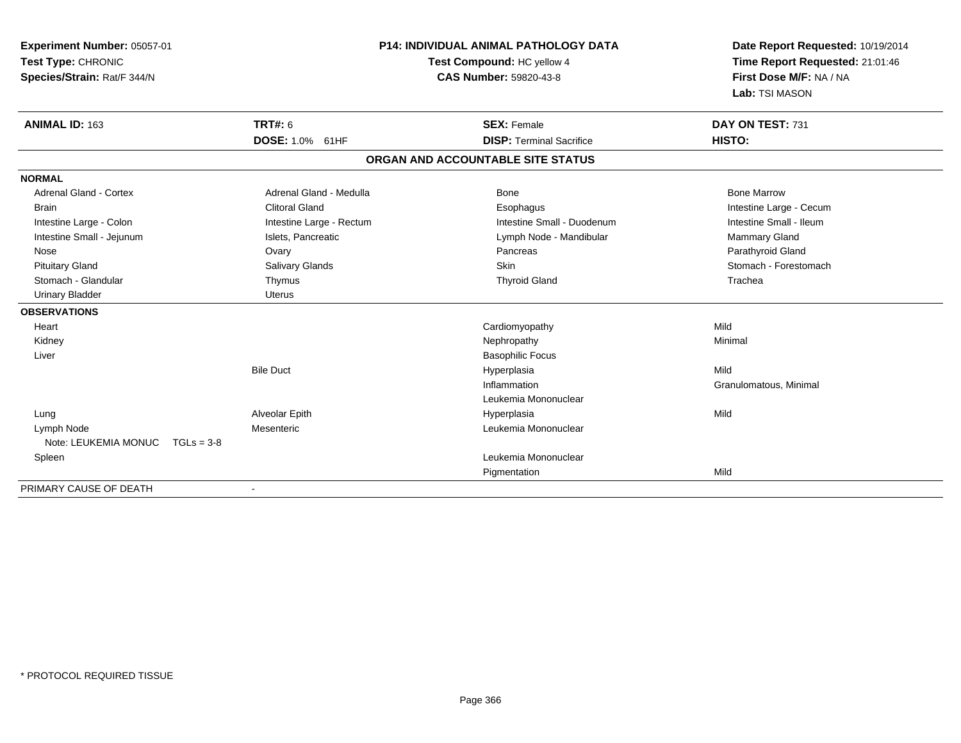| <b>Experiment Number: 05057-01</b><br>Test Type: CHRONIC<br>Species/Strain: Rat/F 344/N | <b>P14: INDIVIDUAL ANIMAL PATHOLOGY DATA</b><br>Test Compound: HC yellow 4<br><b>CAS Number: 59820-43-8</b> |                                                       | Date Report Requested: 10/19/2014<br>Time Report Requested: 21:01:46<br>First Dose M/F: NA / NA<br>Lab: TSI MASON |
|-----------------------------------------------------------------------------------------|-------------------------------------------------------------------------------------------------------------|-------------------------------------------------------|-------------------------------------------------------------------------------------------------------------------|
| ANIMAL ID: 163                                                                          | <b>TRT#: 6</b><br><b>DOSE: 1.0% 61HF</b>                                                                    | <b>SEX: Female</b><br><b>DISP: Terminal Sacrifice</b> | DAY ON TEST: 731<br>HISTO:                                                                                        |
|                                                                                         |                                                                                                             |                                                       |                                                                                                                   |
|                                                                                         |                                                                                                             | ORGAN AND ACCOUNTABLE SITE STATUS                     |                                                                                                                   |
| <b>NORMAL</b>                                                                           |                                                                                                             |                                                       |                                                                                                                   |
| <b>Adrenal Gland - Cortex</b>                                                           | Adrenal Gland - Medulla                                                                                     | <b>Bone</b>                                           | <b>Bone Marrow</b>                                                                                                |
| <b>Brain</b>                                                                            | <b>Clitoral Gland</b>                                                                                       | Esophagus                                             | Intestine Large - Cecum                                                                                           |
| Intestine Large - Colon                                                                 | Intestine Large - Rectum                                                                                    | Intestine Small - Duodenum                            | Intestine Small - Ileum                                                                                           |
| Intestine Small - Jejunum                                                               | Islets, Pancreatic                                                                                          | Lymph Node - Mandibular                               | Mammary Gland                                                                                                     |
| Nose                                                                                    | Ovary                                                                                                       | Pancreas                                              | Parathyroid Gland                                                                                                 |
| <b>Pituitary Gland</b>                                                                  | Salivary Glands                                                                                             | <b>Skin</b>                                           | Stomach - Forestomach                                                                                             |
| Stomach - Glandular                                                                     | Thymus                                                                                                      | <b>Thyroid Gland</b>                                  | Trachea                                                                                                           |
| <b>Urinary Bladder</b>                                                                  | Uterus                                                                                                      |                                                       |                                                                                                                   |
| <b>OBSERVATIONS</b>                                                                     |                                                                                                             |                                                       |                                                                                                                   |
| Heart                                                                                   |                                                                                                             | Cardiomyopathy                                        | Mild                                                                                                              |
| Kidney                                                                                  |                                                                                                             | Nephropathy                                           | Minimal                                                                                                           |
| Liver                                                                                   |                                                                                                             | <b>Basophilic Focus</b>                               |                                                                                                                   |
|                                                                                         | <b>Bile Duct</b>                                                                                            | Hyperplasia                                           | Mild                                                                                                              |
|                                                                                         |                                                                                                             | Inflammation                                          | Granulomatous, Minimal                                                                                            |
|                                                                                         |                                                                                                             | Leukemia Mononuclear                                  |                                                                                                                   |
| Lung                                                                                    | Alveolar Epith                                                                                              | Hyperplasia                                           | Mild                                                                                                              |
| Lymph Node                                                                              | Mesenteric                                                                                                  | Leukemia Mononuclear                                  |                                                                                                                   |
| Note: LEUKEMIA MONUC $TGLs = 3-8$                                                       |                                                                                                             |                                                       |                                                                                                                   |
| Spleen                                                                                  |                                                                                                             | Leukemia Mononuclear                                  |                                                                                                                   |
|                                                                                         |                                                                                                             | Pigmentation                                          | Mild                                                                                                              |
| PRIMARY CAUSE OF DEATH                                                                  |                                                                                                             |                                                       |                                                                                                                   |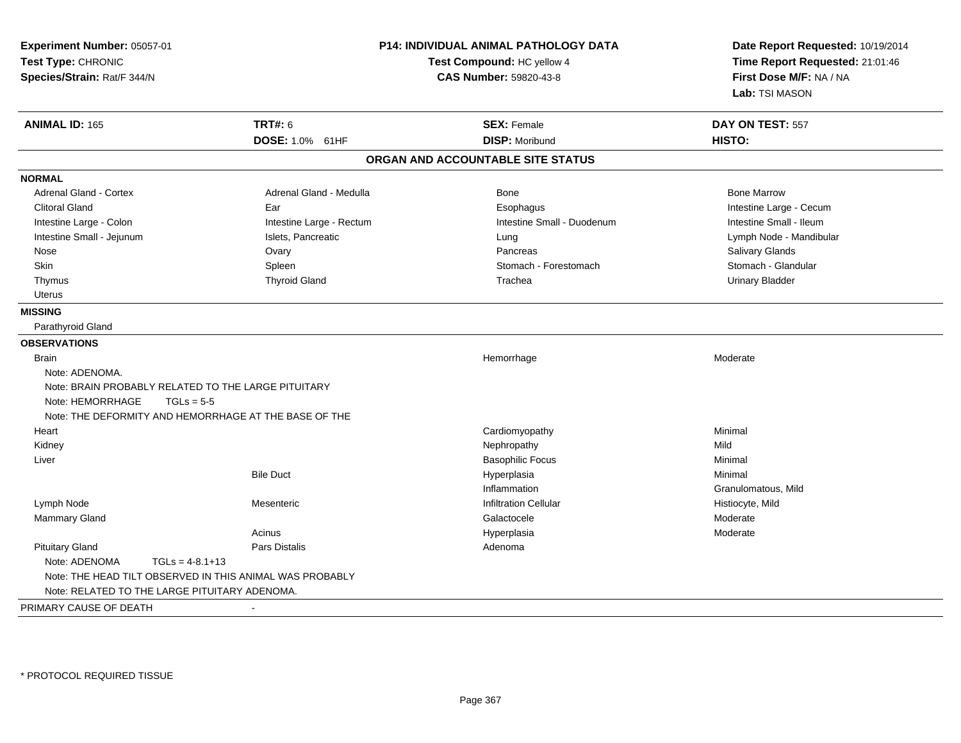| Experiment Number: 05057-01<br>Test Type: CHRONIC<br>Species/Strain: Rat/F 344/N | <b>P14: INDIVIDUAL ANIMAL PATHOLOGY DATA</b><br>Test Compound: HC yellow 4<br>CAS Number: 59820-43-8 |                                   | Date Report Requested: 10/19/2014<br>Time Report Requested: 21:01:46<br>First Dose M/F: NA / NA<br>Lab: TSI MASON |  |
|----------------------------------------------------------------------------------|------------------------------------------------------------------------------------------------------|-----------------------------------|-------------------------------------------------------------------------------------------------------------------|--|
| <b>ANIMAL ID: 165</b>                                                            | <b>TRT#: 6</b>                                                                                       | <b>SEX: Female</b>                | DAY ON TEST: 557                                                                                                  |  |
|                                                                                  | DOSE: 1.0% 61HF                                                                                      | <b>DISP: Moribund</b>             | HISTO:                                                                                                            |  |
|                                                                                  |                                                                                                      | ORGAN AND ACCOUNTABLE SITE STATUS |                                                                                                                   |  |
| <b>NORMAL</b>                                                                    |                                                                                                      |                                   |                                                                                                                   |  |
| <b>Adrenal Gland - Cortex</b>                                                    | Adrenal Gland - Medulla                                                                              | <b>Bone</b>                       | <b>Bone Marrow</b>                                                                                                |  |
| <b>Clitoral Gland</b>                                                            | Ear                                                                                                  | Esophagus                         | Intestine Large - Cecum                                                                                           |  |
| Intestine Large - Colon                                                          | Intestine Large - Rectum                                                                             | Intestine Small - Duodenum        | Intestine Small - Ileum                                                                                           |  |
| Intestine Small - Jejunum                                                        | Islets, Pancreatic                                                                                   | Lung                              | Lymph Node - Mandibular                                                                                           |  |
| Nose                                                                             | Ovary                                                                                                | Pancreas                          | Salivary Glands                                                                                                   |  |
| <b>Skin</b>                                                                      | Spleen                                                                                               | Stomach - Forestomach             | Stomach - Glandular                                                                                               |  |
| Thymus                                                                           | <b>Thyroid Gland</b>                                                                                 | Trachea                           | <b>Urinary Bladder</b>                                                                                            |  |
| Uterus                                                                           |                                                                                                      |                                   |                                                                                                                   |  |
| <b>MISSING</b>                                                                   |                                                                                                      |                                   |                                                                                                                   |  |
| Parathyroid Gland                                                                |                                                                                                      |                                   |                                                                                                                   |  |
| <b>OBSERVATIONS</b>                                                              |                                                                                                      |                                   |                                                                                                                   |  |
| <b>Brain</b>                                                                     |                                                                                                      | Hemorrhage                        | Moderate                                                                                                          |  |
| Note: ADENOMA.                                                                   |                                                                                                      |                                   |                                                                                                                   |  |
| Note: BRAIN PROBABLY RELATED TO THE LARGE PITUITARY                              |                                                                                                      |                                   |                                                                                                                   |  |
| Note: HEMORRHAGE<br>$TGLs = 5-5$                                                 |                                                                                                      |                                   |                                                                                                                   |  |
| Note: THE DEFORMITY AND HEMORRHAGE AT THE BASE OF THE                            |                                                                                                      |                                   |                                                                                                                   |  |
| Heart                                                                            |                                                                                                      | Cardiomyopathy                    | Minimal                                                                                                           |  |
| Kidney                                                                           |                                                                                                      | Nephropathy                       | Mild                                                                                                              |  |
| Liver                                                                            |                                                                                                      | <b>Basophilic Focus</b>           | Minimal                                                                                                           |  |
|                                                                                  | <b>Bile Duct</b>                                                                                     | Hyperplasia                       | Minimal                                                                                                           |  |
|                                                                                  |                                                                                                      | Inflammation                      | Granulomatous, Mild                                                                                               |  |
| Lymph Node                                                                       | Mesenteric                                                                                           | <b>Infiltration Cellular</b>      | Histiocyte, Mild                                                                                                  |  |
| Mammary Gland                                                                    |                                                                                                      | Galactocele                       | Moderate                                                                                                          |  |
|                                                                                  | Acinus                                                                                               | Hyperplasia                       | Moderate                                                                                                          |  |
| <b>Pituitary Gland</b>                                                           | Pars Distalis                                                                                        | Adenoma                           |                                                                                                                   |  |
| Note: ADENOMA<br>$TGLs = 4-8.1+13$                                               |                                                                                                      |                                   |                                                                                                                   |  |
| Note: THE HEAD TILT OBSERVED IN THIS ANIMAL WAS PROBABLY                         |                                                                                                      |                                   |                                                                                                                   |  |
| Note: RELATED TO THE LARGE PITUITARY ADENOMA.                                    |                                                                                                      |                                   |                                                                                                                   |  |
| PRIMARY CAUSE OF DEATH                                                           |                                                                                                      |                                   |                                                                                                                   |  |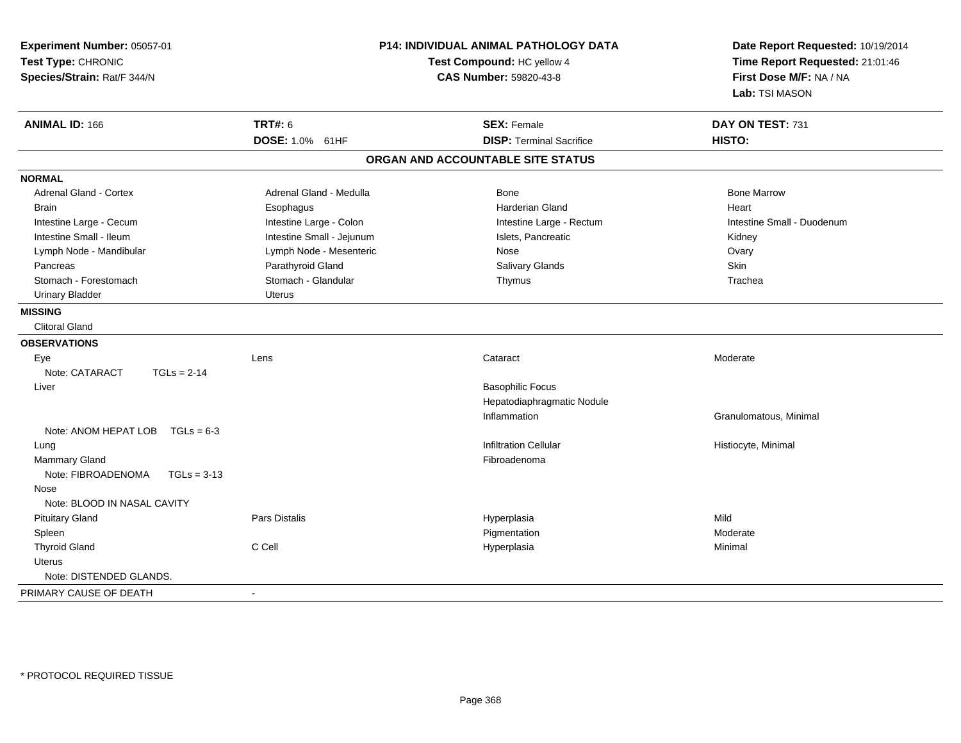| Experiment Number: 05057-01<br>Test Type: CHRONIC<br>Species/Strain: Rat/F 344/N |                           | <b>P14: INDIVIDUAL ANIMAL PATHOLOGY DATA</b><br>Test Compound: HC yellow 4<br><b>CAS Number: 59820-43-8</b> | Date Report Requested: 10/19/2014<br>Time Report Requested: 21:01:46<br>First Dose M/F: NA / NA<br>Lab: TSI MASON |  |
|----------------------------------------------------------------------------------|---------------------------|-------------------------------------------------------------------------------------------------------------|-------------------------------------------------------------------------------------------------------------------|--|
| <b>ANIMAL ID: 166</b>                                                            | <b>TRT#: 6</b>            | <b>SEX: Female</b>                                                                                          | DAY ON TEST: 731                                                                                                  |  |
|                                                                                  | DOSE: 1.0% 61HF           | <b>DISP: Terminal Sacrifice</b>                                                                             | HISTO:                                                                                                            |  |
|                                                                                  |                           | ORGAN AND ACCOUNTABLE SITE STATUS                                                                           |                                                                                                                   |  |
| <b>NORMAL</b>                                                                    |                           |                                                                                                             |                                                                                                                   |  |
| Adrenal Gland - Cortex                                                           | Adrenal Gland - Medulla   | Bone                                                                                                        | <b>Bone Marrow</b>                                                                                                |  |
| <b>Brain</b>                                                                     | Esophagus                 | <b>Harderian Gland</b>                                                                                      | Heart                                                                                                             |  |
| Intestine Large - Cecum                                                          | Intestine Large - Colon   | Intestine Large - Rectum                                                                                    | Intestine Small - Duodenum                                                                                        |  |
| Intestine Small - Ileum                                                          | Intestine Small - Jejunum | Islets, Pancreatic                                                                                          | Kidney                                                                                                            |  |
| Lymph Node - Mandibular                                                          | Lymph Node - Mesenteric   | Nose                                                                                                        | Ovary                                                                                                             |  |
| Pancreas                                                                         | Parathyroid Gland         | Salivary Glands                                                                                             | Skin                                                                                                              |  |
| Stomach - Forestomach                                                            | Stomach - Glandular       | Thymus                                                                                                      | Trachea                                                                                                           |  |
| <b>Urinary Bladder</b>                                                           | <b>Uterus</b>             |                                                                                                             |                                                                                                                   |  |
| <b>MISSING</b>                                                                   |                           |                                                                                                             |                                                                                                                   |  |
| <b>Clitoral Gland</b>                                                            |                           |                                                                                                             |                                                                                                                   |  |
| <b>OBSERVATIONS</b>                                                              |                           |                                                                                                             |                                                                                                                   |  |
| Eye                                                                              | Lens                      | Cataract                                                                                                    | Moderate                                                                                                          |  |
| Note: CATARACT<br>$TGLs = 2-14$                                                  |                           |                                                                                                             |                                                                                                                   |  |
| Liver                                                                            |                           | <b>Basophilic Focus</b>                                                                                     |                                                                                                                   |  |
|                                                                                  |                           | Hepatodiaphragmatic Nodule                                                                                  |                                                                                                                   |  |
|                                                                                  |                           | Inflammation                                                                                                | Granulomatous, Minimal                                                                                            |  |
| Note: ANOM HEPAT LOB<br>$TGLs = 6-3$                                             |                           |                                                                                                             |                                                                                                                   |  |
| Lung                                                                             |                           | <b>Infiltration Cellular</b>                                                                                | Histiocyte, Minimal                                                                                               |  |
| <b>Mammary Gland</b>                                                             |                           | Fibroadenoma                                                                                                |                                                                                                                   |  |
| Note: FIBROADENOMA<br>$TGLs = 3-13$                                              |                           |                                                                                                             |                                                                                                                   |  |
| Nose                                                                             |                           |                                                                                                             |                                                                                                                   |  |
| Note: BLOOD IN NASAL CAVITY                                                      |                           |                                                                                                             |                                                                                                                   |  |
| <b>Pituitary Gland</b>                                                           | Pars Distalis             | Hyperplasia                                                                                                 | Mild                                                                                                              |  |
| Spleen                                                                           |                           | Pigmentation                                                                                                | Moderate                                                                                                          |  |
| <b>Thyroid Gland</b>                                                             | C Cell                    | Hyperplasia                                                                                                 | Minimal                                                                                                           |  |
| Uterus                                                                           |                           |                                                                                                             |                                                                                                                   |  |
| Note: DISTENDED GLANDS.                                                          |                           |                                                                                                             |                                                                                                                   |  |
| PRIMARY CAUSE OF DEATH                                                           | $\blacksquare$            |                                                                                                             |                                                                                                                   |  |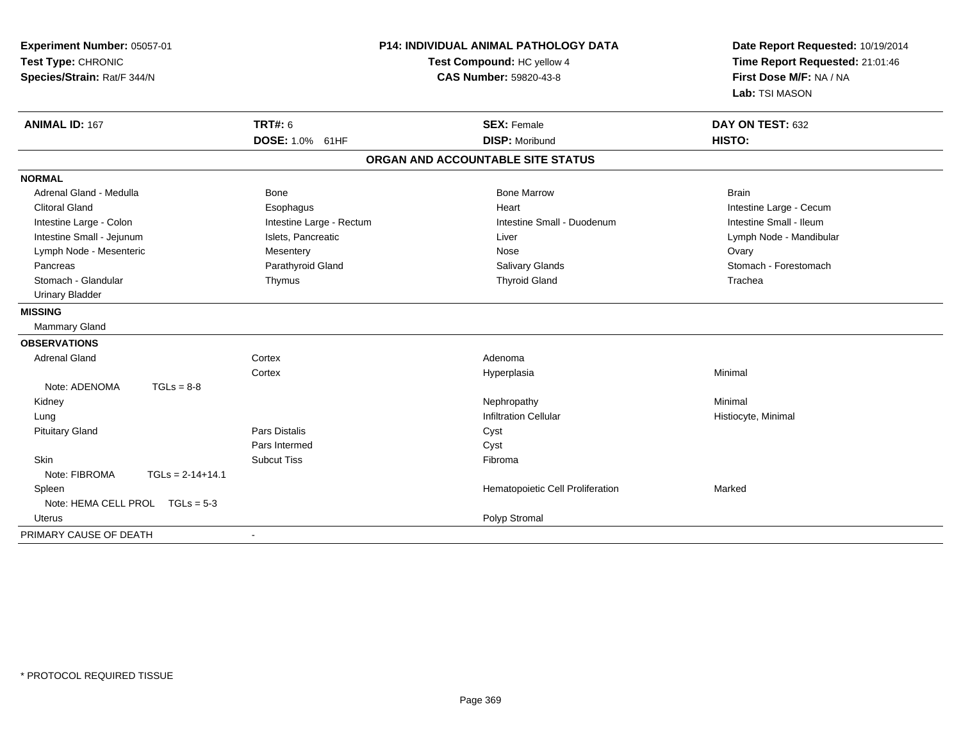| Experiment Number: 05057-01<br>Test Type: CHRONIC<br>Species/Strain: Rat/F 344/N |                          | P14: INDIVIDUAL ANIMAL PATHOLOGY DATA<br>Test Compound: HC yellow 4<br><b>CAS Number: 59820-43-8</b> | Date Report Requested: 10/19/2014<br>Time Report Requested: 21:01:46<br>First Dose M/F: NA / NA<br>Lab: TSI MASON |  |
|----------------------------------------------------------------------------------|--------------------------|------------------------------------------------------------------------------------------------------|-------------------------------------------------------------------------------------------------------------------|--|
| <b>ANIMAL ID: 167</b>                                                            | <b>TRT#: 6</b>           | <b>SEX: Female</b>                                                                                   | DAY ON TEST: 632                                                                                                  |  |
|                                                                                  | DOSE: 1.0% 61HF          | <b>DISP: Moribund</b>                                                                                | HISTO:                                                                                                            |  |
|                                                                                  |                          | ORGAN AND ACCOUNTABLE SITE STATUS                                                                    |                                                                                                                   |  |
| <b>NORMAL</b>                                                                    |                          |                                                                                                      |                                                                                                                   |  |
| Adrenal Gland - Medulla                                                          | Bone                     | <b>Bone Marrow</b>                                                                                   | <b>Brain</b>                                                                                                      |  |
| <b>Clitoral Gland</b>                                                            | Esophagus                | Heart                                                                                                | Intestine Large - Cecum                                                                                           |  |
| Intestine Large - Colon                                                          | Intestine Large - Rectum | Intestine Small - Duodenum                                                                           | Intestine Small - Ileum                                                                                           |  |
| Intestine Small - Jejunum                                                        | Islets, Pancreatic       | Liver                                                                                                | Lymph Node - Mandibular                                                                                           |  |
| Lymph Node - Mesenteric                                                          | Mesentery                | Nose                                                                                                 | Ovary                                                                                                             |  |
| Pancreas                                                                         | Parathyroid Gland        | Salivary Glands                                                                                      | Stomach - Forestomach                                                                                             |  |
| Stomach - Glandular                                                              | Thymus                   | <b>Thyroid Gland</b>                                                                                 | Trachea                                                                                                           |  |
| <b>Urinary Bladder</b>                                                           |                          |                                                                                                      |                                                                                                                   |  |
| <b>MISSING</b>                                                                   |                          |                                                                                                      |                                                                                                                   |  |
| Mammary Gland                                                                    |                          |                                                                                                      |                                                                                                                   |  |
| <b>OBSERVATIONS</b>                                                              |                          |                                                                                                      |                                                                                                                   |  |
| <b>Adrenal Gland</b>                                                             | Cortex                   | Adenoma                                                                                              |                                                                                                                   |  |
|                                                                                  | Cortex                   | Hyperplasia                                                                                          | Minimal                                                                                                           |  |
| Note: ADENOMA<br>$TGLs = 8-8$                                                    |                          |                                                                                                      |                                                                                                                   |  |
| Kidney                                                                           |                          | Nephropathy                                                                                          | Minimal                                                                                                           |  |
| Lung                                                                             |                          | <b>Infiltration Cellular</b>                                                                         | Histiocyte, Minimal                                                                                               |  |
| <b>Pituitary Gland</b>                                                           | <b>Pars Distalis</b>     | Cyst                                                                                                 |                                                                                                                   |  |
|                                                                                  | Pars Intermed            | Cyst                                                                                                 |                                                                                                                   |  |
| Skin                                                                             | <b>Subcut Tiss</b>       | Fibroma                                                                                              |                                                                                                                   |  |
| Note: FIBROMA<br>$TGLs = 2-14+14.1$                                              |                          |                                                                                                      |                                                                                                                   |  |
| Spleen                                                                           |                          | Hematopoietic Cell Proliferation                                                                     | Marked                                                                                                            |  |
| Note: HEMA CELL PROL TGLs = 5-3                                                  |                          |                                                                                                      |                                                                                                                   |  |
| Uterus                                                                           |                          | Polyp Stromal                                                                                        |                                                                                                                   |  |
| PRIMARY CAUSE OF DEATH                                                           | $\blacksquare$           |                                                                                                      |                                                                                                                   |  |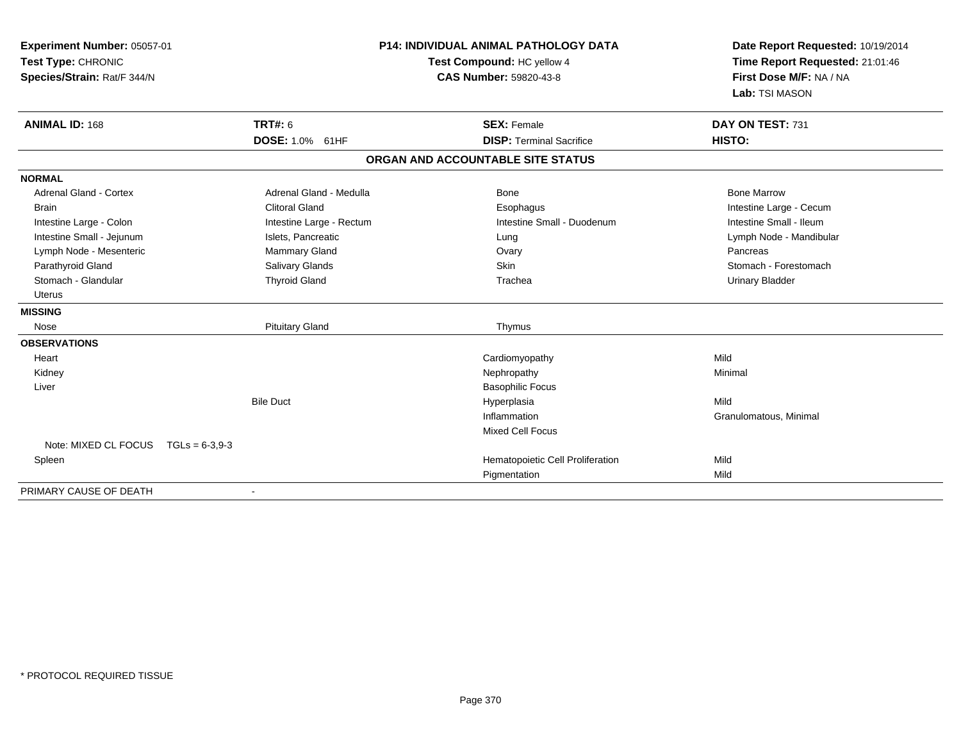| Experiment Number: 05057-01<br>Test Type: CHRONIC<br>Species/Strain: Rat/F 344/N |                          | <b>P14: INDIVIDUAL ANIMAL PATHOLOGY DATA</b><br>Test Compound: HC yellow 4<br><b>CAS Number: 59820-43-8</b> |                                   |         | Date Report Requested: 10/19/2014<br>Time Report Requested: 21:01:46<br>First Dose M/F: NA / NA |  |
|----------------------------------------------------------------------------------|--------------------------|-------------------------------------------------------------------------------------------------------------|-----------------------------------|---------|-------------------------------------------------------------------------------------------------|--|
|                                                                                  |                          |                                                                                                             |                                   |         | Lab: TSI MASON                                                                                  |  |
| <b>ANIMAL ID: 168</b>                                                            | <b>TRT#: 6</b>           |                                                                                                             | <b>SEX: Female</b>                |         | DAY ON TEST: 731                                                                                |  |
|                                                                                  | <b>DOSE: 1.0% 61HF</b>   |                                                                                                             | <b>DISP: Terminal Sacrifice</b>   | HISTO:  |                                                                                                 |  |
|                                                                                  |                          |                                                                                                             | ORGAN AND ACCOUNTABLE SITE STATUS |         |                                                                                                 |  |
| <b>NORMAL</b>                                                                    |                          |                                                                                                             |                                   |         |                                                                                                 |  |
| <b>Adrenal Gland - Cortex</b>                                                    | Adrenal Gland - Medulla  |                                                                                                             | <b>Bone</b>                       |         | <b>Bone Marrow</b>                                                                              |  |
| <b>Brain</b>                                                                     | <b>Clitoral Gland</b>    |                                                                                                             | Esophagus                         |         | Intestine Large - Cecum                                                                         |  |
| Intestine Large - Colon                                                          | Intestine Large - Rectum |                                                                                                             | Intestine Small - Duodenum        |         | Intestine Small - Ileum                                                                         |  |
| Intestine Small - Jejunum                                                        | Islets, Pancreatic       |                                                                                                             | Lung                              |         | Lymph Node - Mandibular                                                                         |  |
| Lymph Node - Mesenteric                                                          | Mammary Gland            |                                                                                                             | Ovary                             |         | Pancreas                                                                                        |  |
| Parathyroid Gland                                                                | Salivary Glands          |                                                                                                             | <b>Skin</b>                       |         | Stomach - Forestomach                                                                           |  |
| Stomach - Glandular                                                              | <b>Thyroid Gland</b>     |                                                                                                             | Trachea                           |         | <b>Urinary Bladder</b>                                                                          |  |
| <b>Uterus</b>                                                                    |                          |                                                                                                             |                                   |         |                                                                                                 |  |
| <b>MISSING</b>                                                                   |                          |                                                                                                             |                                   |         |                                                                                                 |  |
| Nose                                                                             | <b>Pituitary Gland</b>   |                                                                                                             | Thymus                            |         |                                                                                                 |  |
| <b>OBSERVATIONS</b>                                                              |                          |                                                                                                             |                                   |         |                                                                                                 |  |
| Heart                                                                            |                          |                                                                                                             | Cardiomyopathy                    | Mild    |                                                                                                 |  |
| Kidney                                                                           |                          |                                                                                                             | Nephropathy                       | Minimal |                                                                                                 |  |
| Liver                                                                            |                          |                                                                                                             | <b>Basophilic Focus</b>           |         |                                                                                                 |  |
|                                                                                  | <b>Bile Duct</b>         |                                                                                                             | Hyperplasia                       | Mild    |                                                                                                 |  |
|                                                                                  |                          |                                                                                                             | Inflammation                      |         | Granulomatous, Minimal                                                                          |  |
|                                                                                  |                          |                                                                                                             | <b>Mixed Cell Focus</b>           |         |                                                                                                 |  |
| Note: MIXED CL FOCUS TGLs = 6-3,9-3                                              |                          |                                                                                                             |                                   |         |                                                                                                 |  |
| Spleen                                                                           |                          |                                                                                                             | Hematopoietic Cell Proliferation  | Mild    |                                                                                                 |  |
|                                                                                  |                          |                                                                                                             | Pigmentation                      | Mild    |                                                                                                 |  |
| PRIMARY CAUSE OF DEATH                                                           |                          |                                                                                                             |                                   |         |                                                                                                 |  |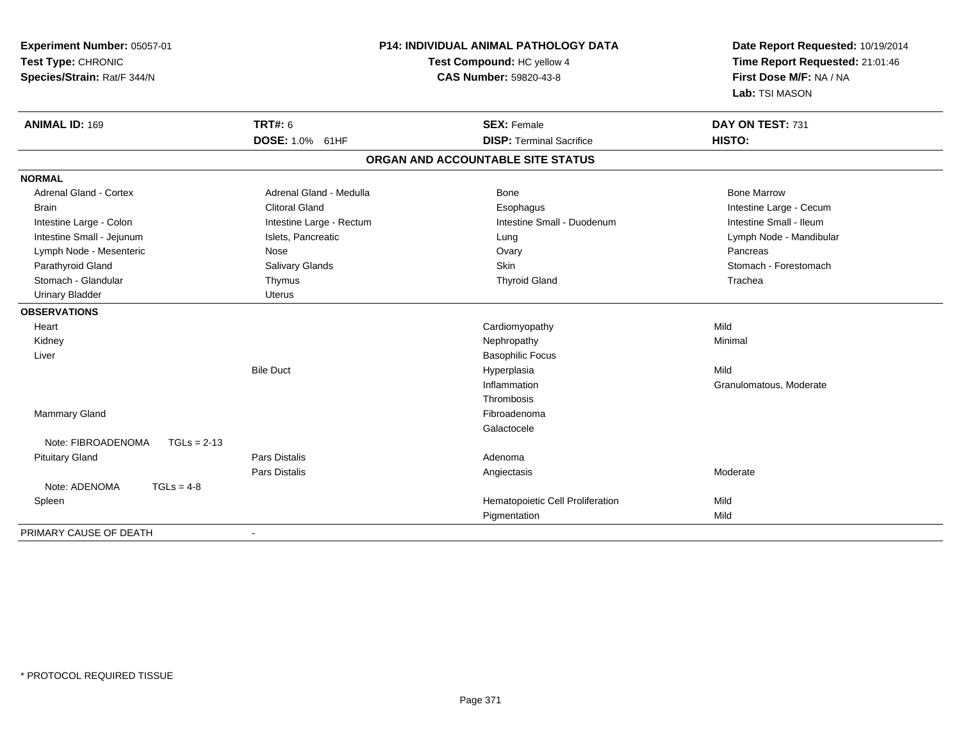| Experiment Number: 05057-01<br>Test Type: CHRONIC<br>Species/Strain: Rat/F 344/N | P14: INDIVIDUAL ANIMAL PATHOLOGY DATA<br>Test Compound: HC yellow 4<br>CAS Number: 59820-43-8 |                                   | Date Report Requested: 10/19/2014<br>Time Report Requested: 21:01:46<br>First Dose M/F: NA / NA<br>Lab: TSI MASON |  |
|----------------------------------------------------------------------------------|-----------------------------------------------------------------------------------------------|-----------------------------------|-------------------------------------------------------------------------------------------------------------------|--|
| <b>ANIMAL ID: 169</b>                                                            | <b>TRT#: 6</b>                                                                                | <b>SEX: Female</b>                | DAY ON TEST: 731                                                                                                  |  |
|                                                                                  | DOSE: 1.0% 61HF                                                                               | <b>DISP: Terminal Sacrifice</b>   | HISTO:                                                                                                            |  |
|                                                                                  |                                                                                               | ORGAN AND ACCOUNTABLE SITE STATUS |                                                                                                                   |  |
| <b>NORMAL</b>                                                                    |                                                                                               |                                   |                                                                                                                   |  |
| <b>Adrenal Gland - Cortex</b>                                                    | Adrenal Gland - Medulla                                                                       | Bone                              | <b>Bone Marrow</b>                                                                                                |  |
| <b>Brain</b>                                                                     | <b>Clitoral Gland</b>                                                                         | Esophagus                         | Intestine Large - Cecum                                                                                           |  |
| Intestine Large - Colon                                                          | Intestine Large - Rectum                                                                      | Intestine Small - Duodenum        | Intestine Small - Ileum                                                                                           |  |
| Intestine Small - Jejunum                                                        | Islets, Pancreatic                                                                            | Lung                              | Lymph Node - Mandibular                                                                                           |  |
| Lymph Node - Mesenteric                                                          | Nose                                                                                          | Ovary                             | Pancreas                                                                                                          |  |
| Parathyroid Gland                                                                | Salivary Glands                                                                               | Skin                              | Stomach - Forestomach                                                                                             |  |
| Stomach - Glandular                                                              | Thymus                                                                                        | <b>Thyroid Gland</b>              | Trachea                                                                                                           |  |
| <b>Urinary Bladder</b>                                                           | <b>Uterus</b>                                                                                 |                                   |                                                                                                                   |  |
| <b>OBSERVATIONS</b>                                                              |                                                                                               |                                   |                                                                                                                   |  |
| Heart                                                                            |                                                                                               | Cardiomyopathy                    | Mild                                                                                                              |  |
| Kidney                                                                           |                                                                                               | Nephropathy                       | Minimal                                                                                                           |  |
| Liver                                                                            |                                                                                               | <b>Basophilic Focus</b>           |                                                                                                                   |  |
|                                                                                  | <b>Bile Duct</b>                                                                              | Hyperplasia                       | Mild                                                                                                              |  |
|                                                                                  |                                                                                               | Inflammation                      | Granulomatous, Moderate                                                                                           |  |
|                                                                                  |                                                                                               | Thrombosis                        |                                                                                                                   |  |
| Mammary Gland                                                                    |                                                                                               | Fibroadenoma                      |                                                                                                                   |  |
|                                                                                  |                                                                                               | Galactocele                       |                                                                                                                   |  |
| Note: FIBROADENOMA<br>$TGLs = 2-13$                                              |                                                                                               |                                   |                                                                                                                   |  |
| <b>Pituitary Gland</b>                                                           | Pars Distalis                                                                                 | Adenoma                           |                                                                                                                   |  |
|                                                                                  | Pars Distalis                                                                                 | Angiectasis                       | Moderate                                                                                                          |  |
| Note: ADENOMA<br>$TGLs = 4-8$                                                    |                                                                                               |                                   |                                                                                                                   |  |
| Spleen                                                                           |                                                                                               | Hematopoietic Cell Proliferation  | Mild                                                                                                              |  |
|                                                                                  |                                                                                               | Pigmentation                      | Mild                                                                                                              |  |
| PRIMARY CAUSE OF DEATH                                                           |                                                                                               |                                   |                                                                                                                   |  |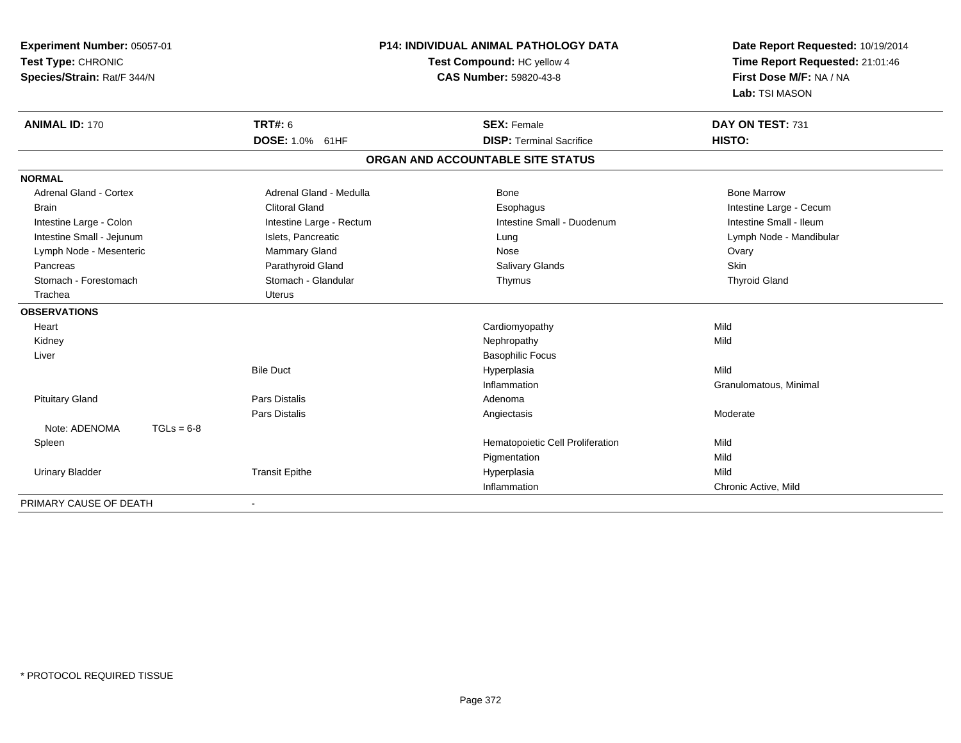| Experiment Number: 05057-01<br>Test Type: CHRONIC<br>Species/Strain: Rat/F 344/N |                            | <b>P14: INDIVIDUAL ANIMAL PATHOLOGY DATA</b><br>Test Compound: HC yellow 4<br><b>CAS Number: 59820-43-8</b> | Date Report Requested: 10/19/2014<br>Time Report Requested: 21:01:46<br>First Dose M/F: NA / NA<br>Lab: TSI MASON |  |
|----------------------------------------------------------------------------------|----------------------------|-------------------------------------------------------------------------------------------------------------|-------------------------------------------------------------------------------------------------------------------|--|
| <b>ANIMAL ID: 170</b>                                                            | <b>TRT#: 6</b>             | <b>SEX: Female</b>                                                                                          | DAY ON TEST: 731                                                                                                  |  |
|                                                                                  | DOSE: 1.0% 61HF            | <b>DISP: Terminal Sacrifice</b>                                                                             | HISTO:                                                                                                            |  |
|                                                                                  |                            | ORGAN AND ACCOUNTABLE SITE STATUS                                                                           |                                                                                                                   |  |
| <b>NORMAL</b>                                                                    |                            |                                                                                                             |                                                                                                                   |  |
| <b>Adrenal Gland - Cortex</b>                                                    | Adrenal Gland - Medulla    | Bone                                                                                                        | <b>Bone Marrow</b>                                                                                                |  |
| <b>Brain</b>                                                                     | <b>Clitoral Gland</b>      | Esophagus                                                                                                   | Intestine Large - Cecum                                                                                           |  |
| Intestine Large - Colon                                                          | Intestine Large - Rectum   | Intestine Small - Duodenum                                                                                  | Intestine Small - Ileum                                                                                           |  |
| Intestine Small - Jejunum                                                        | Islets, Pancreatic<br>Lung |                                                                                                             | Lymph Node - Mandibular                                                                                           |  |
| Lymph Node - Mesenteric                                                          | <b>Mammary Gland</b>       | Nose                                                                                                        | Ovary                                                                                                             |  |
| Pancreas                                                                         | Parathyroid Gland          | <b>Salivary Glands</b>                                                                                      | Skin                                                                                                              |  |
| Stomach - Forestomach                                                            | Stomach - Glandular        | Thymus                                                                                                      | <b>Thyroid Gland</b>                                                                                              |  |
| Trachea                                                                          | <b>Uterus</b>              |                                                                                                             |                                                                                                                   |  |
| <b>OBSERVATIONS</b>                                                              |                            |                                                                                                             |                                                                                                                   |  |
| Heart                                                                            |                            | Cardiomyopathy                                                                                              | Mild                                                                                                              |  |
| Kidney                                                                           |                            | Nephropathy                                                                                                 | Mild                                                                                                              |  |
| Liver                                                                            |                            | <b>Basophilic Focus</b>                                                                                     |                                                                                                                   |  |
|                                                                                  | <b>Bile Duct</b>           | Hyperplasia                                                                                                 | Mild                                                                                                              |  |
|                                                                                  |                            | Inflammation                                                                                                | Granulomatous, Minimal                                                                                            |  |
| <b>Pituitary Gland</b>                                                           | <b>Pars Distalis</b>       | Adenoma                                                                                                     |                                                                                                                   |  |
|                                                                                  | <b>Pars Distalis</b>       | Angiectasis                                                                                                 | Moderate                                                                                                          |  |
| Note: ADENOMA<br>$TGLs = 6-8$                                                    |                            |                                                                                                             |                                                                                                                   |  |
| Spleen                                                                           |                            | Hematopoietic Cell Proliferation                                                                            | Mild                                                                                                              |  |
|                                                                                  |                            | Pigmentation                                                                                                | Mild                                                                                                              |  |
| <b>Urinary Bladder</b>                                                           | <b>Transit Epithe</b>      | Hyperplasia                                                                                                 | Mild                                                                                                              |  |
|                                                                                  |                            | Inflammation                                                                                                | Chronic Active, Mild                                                                                              |  |
| PRIMARY CAUSE OF DEATH                                                           |                            |                                                                                                             |                                                                                                                   |  |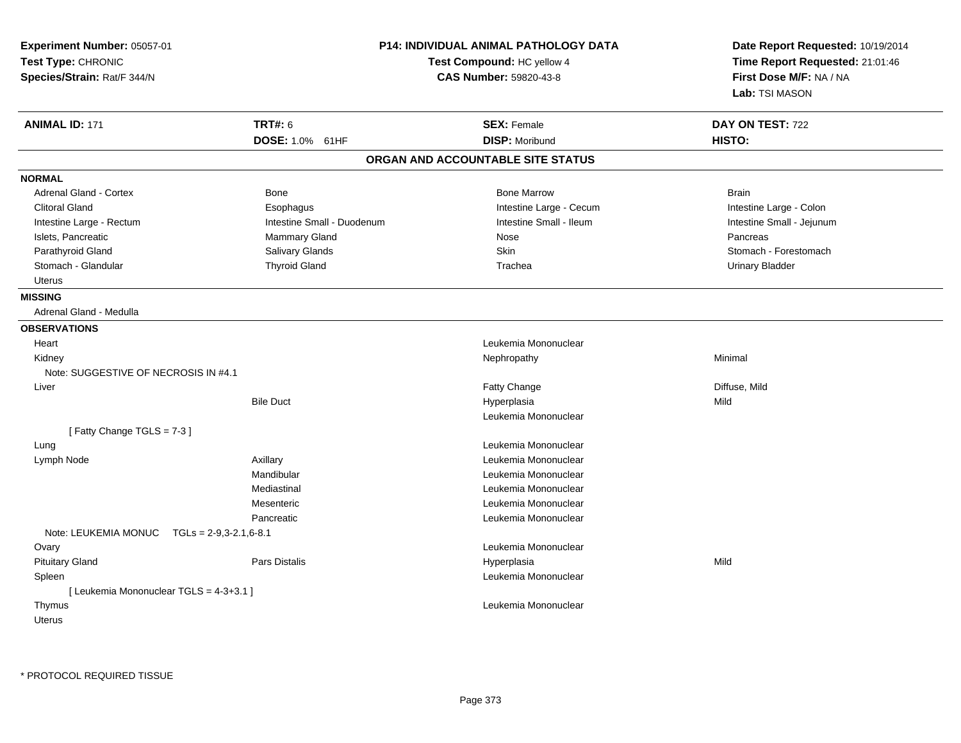| Experiment Number: 05057-01<br>Test Type: CHRONIC<br>Species/Strain: Rat/F 344/N |                            | P14: INDIVIDUAL ANIMAL PATHOLOGY DATA<br>Test Compound: HC yellow 4<br>CAS Number: 59820-43-8 | Date Report Requested: 10/19/2014<br>Time Report Requested: 21:01:46<br>First Dose M/F: NA / NA<br>Lab: TSI MASON |
|----------------------------------------------------------------------------------|----------------------------|-----------------------------------------------------------------------------------------------|-------------------------------------------------------------------------------------------------------------------|
| <b>ANIMAL ID: 171</b>                                                            | <b>TRT#: 6</b>             | <b>SEX: Female</b>                                                                            | DAY ON TEST: 722                                                                                                  |
|                                                                                  | DOSE: 1.0% 61HF            | <b>DISP: Moribund</b>                                                                         | HISTO:                                                                                                            |
|                                                                                  |                            | ORGAN AND ACCOUNTABLE SITE STATUS                                                             |                                                                                                                   |
| <b>NORMAL</b>                                                                    |                            |                                                                                               |                                                                                                                   |
| <b>Adrenal Gland - Cortex</b>                                                    | Bone                       | <b>Bone Marrow</b>                                                                            | <b>Brain</b>                                                                                                      |
| <b>Clitoral Gland</b>                                                            | Esophagus                  | Intestine Large - Cecum                                                                       | Intestine Large - Colon                                                                                           |
| Intestine Large - Rectum                                                         | Intestine Small - Duodenum | Intestine Small - Ileum                                                                       | Intestine Small - Jejunum                                                                                         |
| Islets, Pancreatic                                                               | Mammary Gland              | Nose                                                                                          | Pancreas                                                                                                          |
| Parathyroid Gland                                                                | Salivary Glands            | <b>Skin</b>                                                                                   | Stomach - Forestomach                                                                                             |
| Stomach - Glandular                                                              | <b>Thyroid Gland</b>       | Trachea                                                                                       | <b>Urinary Bladder</b>                                                                                            |
| <b>Uterus</b>                                                                    |                            |                                                                                               |                                                                                                                   |
| <b>MISSING</b>                                                                   |                            |                                                                                               |                                                                                                                   |
| Adrenal Gland - Medulla                                                          |                            |                                                                                               |                                                                                                                   |
| <b>OBSERVATIONS</b>                                                              |                            |                                                                                               |                                                                                                                   |
| Heart                                                                            |                            | Leukemia Mononuclear                                                                          |                                                                                                                   |
| Kidney                                                                           |                            | Nephropathy                                                                                   | Minimal                                                                                                           |
| Note: SUGGESTIVE OF NECROSIS IN #4.1                                             |                            |                                                                                               |                                                                                                                   |
| Liver                                                                            |                            | Fatty Change                                                                                  | Diffuse, Mild                                                                                                     |
|                                                                                  | <b>Bile Duct</b>           | Hyperplasia                                                                                   | Mild                                                                                                              |
|                                                                                  |                            | Leukemia Mononuclear                                                                          |                                                                                                                   |
| [Fatty Change TGLS = $7-3$ ]                                                     |                            |                                                                                               |                                                                                                                   |
| Lung                                                                             |                            | Leukemia Mononuclear                                                                          |                                                                                                                   |
| Lymph Node                                                                       | Axillary                   | Leukemia Mononuclear                                                                          |                                                                                                                   |
|                                                                                  | Mandibular                 | Leukemia Mononuclear                                                                          |                                                                                                                   |
|                                                                                  | Mediastinal                | Leukemia Mononuclear                                                                          |                                                                                                                   |
|                                                                                  | Mesenteric                 | Leukemia Mononuclear                                                                          |                                                                                                                   |
|                                                                                  | Pancreatic                 | Leukemia Mononuclear                                                                          |                                                                                                                   |
| Note: LEUKEMIA MONUC                                                             | $TGLs = 2-9,3-2.1,6-8.1$   |                                                                                               |                                                                                                                   |
| Ovary                                                                            |                            | Leukemia Mononuclear                                                                          |                                                                                                                   |
| <b>Pituitary Gland</b>                                                           | Pars Distalis              | Hyperplasia                                                                                   | Mild                                                                                                              |
| Spleen                                                                           |                            | Leukemia Mononuclear                                                                          |                                                                                                                   |
| [ Leukemia Mononuclear TGLS = 4-3+3.1 ]                                          |                            |                                                                                               |                                                                                                                   |
| Thymus                                                                           |                            | Leukemia Mononuclear                                                                          |                                                                                                                   |
| <b>Uterus</b>                                                                    |                            |                                                                                               |                                                                                                                   |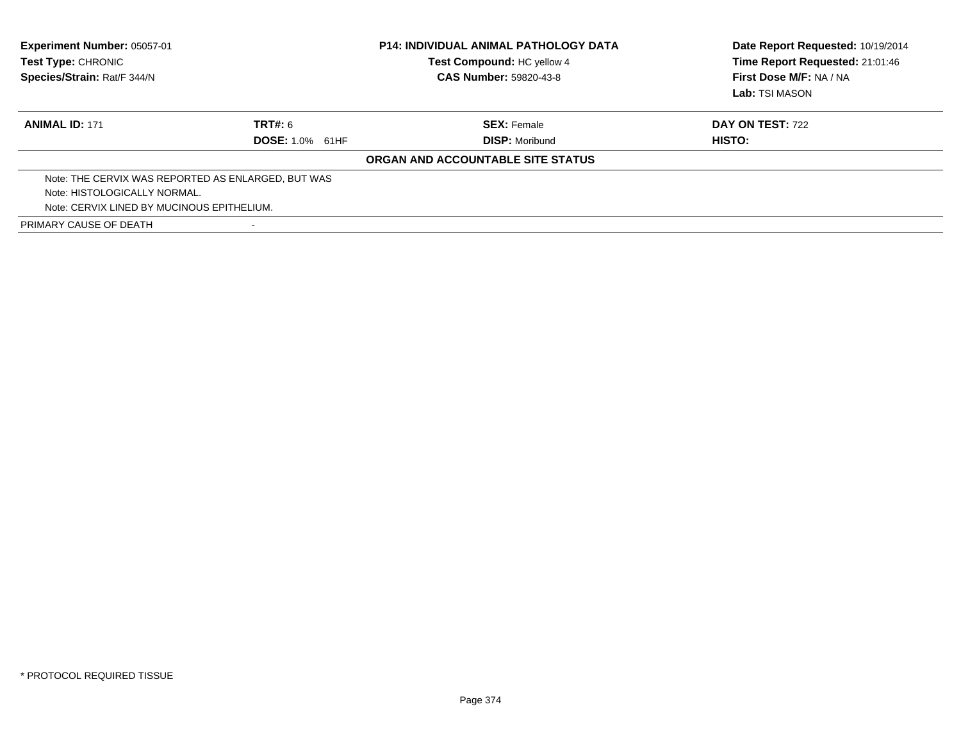| <b>Experiment Number: 05057-01</b><br>Test Type: CHRONIC<br>Species/Strain: Rat/F 344/N |                        | <b>P14: INDIVIDUAL ANIMAL PATHOLOGY DATA</b><br>Test Compound: HC yellow 4<br><b>CAS Number: 59820-43-8</b> | Date Report Requested: 10/19/2014<br>Time Report Requested: 21:01:46<br>First Dose M/F: NA / NA<br>Lab: TSI MASON |
|-----------------------------------------------------------------------------------------|------------------------|-------------------------------------------------------------------------------------------------------------|-------------------------------------------------------------------------------------------------------------------|
| <b>ANIMAL ID: 171</b>                                                                   | TRT#: 6                | <b>SEX: Female</b>                                                                                          | <b>DAY ON TEST: 722</b>                                                                                           |
|                                                                                         | <b>DOSE: 1.0% 61HF</b> | <b>DISP:</b> Moribund                                                                                       | HISTO:                                                                                                            |
|                                                                                         |                        | ORGAN AND ACCOUNTABLE SITE STATUS                                                                           |                                                                                                                   |
| Note: THE CERVIX WAS REPORTED AS ENLARGED, BUT WAS                                      |                        |                                                                                                             |                                                                                                                   |
| Note: HISTOLOGICALLY NORMAL.                                                            |                        |                                                                                                             |                                                                                                                   |
| Note: CERVIX LINED BY MUCINOUS EPITHELIUM.                                              |                        |                                                                                                             |                                                                                                                   |
| PRIMARY CAUSE OF DEATH                                                                  |                        |                                                                                                             |                                                                                                                   |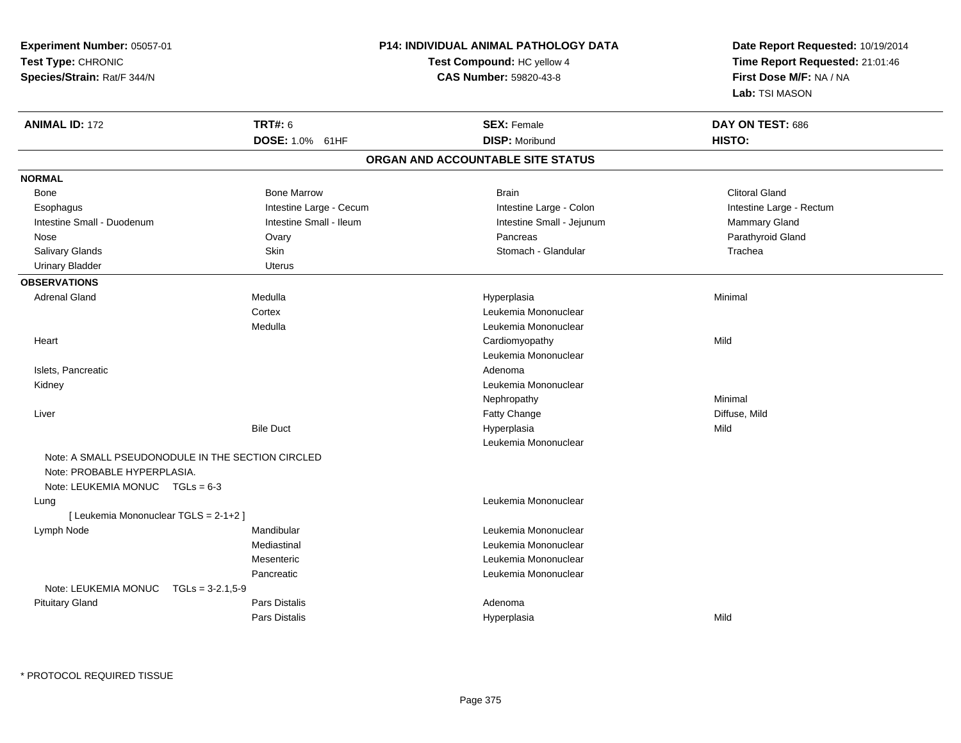| Experiment Number: 05057-01                       |                         | <b>P14: INDIVIDUAL ANIMAL PATHOLOGY DATA</b> | Date Report Requested: 10/19/2014 |  |
|---------------------------------------------------|-------------------------|----------------------------------------------|-----------------------------------|--|
| Test Type: CHRONIC                                |                         | Test Compound: HC yellow 4                   | Time Report Requested: 21:01:46   |  |
| Species/Strain: Rat/F 344/N                       |                         | <b>CAS Number: 59820-43-8</b>                | First Dose M/F: NA / NA           |  |
|                                                   |                         |                                              | Lab: TSI MASON                    |  |
| <b>ANIMAL ID: 172</b>                             | <b>TRT#: 6</b>          | <b>SEX: Female</b>                           | DAY ON TEST: 686                  |  |
|                                                   | DOSE: 1.0% 61HF         | <b>DISP: Moribund</b>                        | HISTO:                            |  |
|                                                   |                         | ORGAN AND ACCOUNTABLE SITE STATUS            |                                   |  |
| <b>NORMAL</b>                                     |                         |                                              |                                   |  |
| Bone                                              | <b>Bone Marrow</b>      | <b>Brain</b>                                 | <b>Clitoral Gland</b>             |  |
| Esophagus                                         | Intestine Large - Cecum | Intestine Large - Colon                      | Intestine Large - Rectum          |  |
| Intestine Small - Duodenum                        | Intestine Small - Ileum | Intestine Small - Jejunum                    | Mammary Gland                     |  |
| Nose                                              | Ovary                   | Pancreas                                     | Parathyroid Gland                 |  |
| Salivary Glands                                   | Skin                    | Stomach - Glandular                          | Trachea                           |  |
| <b>Urinary Bladder</b>                            | <b>Uterus</b>           |                                              |                                   |  |
| <b>OBSERVATIONS</b>                               |                         |                                              |                                   |  |
| <b>Adrenal Gland</b>                              | Medulla                 | Hyperplasia                                  | Minimal                           |  |
|                                                   | Cortex                  | Leukemia Mononuclear                         |                                   |  |
|                                                   | Medulla                 | Leukemia Mononuclear                         |                                   |  |
| Heart                                             |                         | Cardiomyopathy                               | Mild                              |  |
|                                                   |                         | Leukemia Mononuclear                         |                                   |  |
| Islets, Pancreatic                                |                         | Adenoma                                      |                                   |  |
| Kidney                                            |                         | Leukemia Mononuclear                         |                                   |  |
|                                                   |                         | Nephropathy                                  | Minimal                           |  |
| Liver                                             |                         | Fatty Change                                 | Diffuse, Mild                     |  |
|                                                   | <b>Bile Duct</b>        | Hyperplasia                                  | Mild                              |  |
|                                                   |                         | Leukemia Mononuclear                         |                                   |  |
| Note: A SMALL PSEUDONODULE IN THE SECTION CIRCLED |                         |                                              |                                   |  |
| Note: PROBABLE HYPERPLASIA.                       |                         |                                              |                                   |  |
| Note: LEUKEMIA MONUC TGLs = 6-3                   |                         |                                              |                                   |  |
| Lung                                              |                         | Leukemia Mononuclear                         |                                   |  |
| [ Leukemia Mononuclear TGLS = 2-1+2 ]             |                         |                                              |                                   |  |
| Lymph Node                                        | Mandibular              | Leukemia Mononuclear                         |                                   |  |
|                                                   | Mediastinal             | Leukemia Mononuclear                         |                                   |  |
|                                                   | Mesenteric              | Leukemia Mononuclear                         |                                   |  |
|                                                   | Pancreatic              | Leukemia Mononuclear                         |                                   |  |
| Note: LEUKEMIA MONUC<br>$TGLs = 3-2.1,5-9$        |                         |                                              |                                   |  |
| <b>Pituitary Gland</b>                            | Pars Distalis           | Adenoma                                      |                                   |  |
|                                                   | Pars Distalis           | Hyperplasia                                  | Mild                              |  |

\* PROTOCOL REQUIRED TISSUE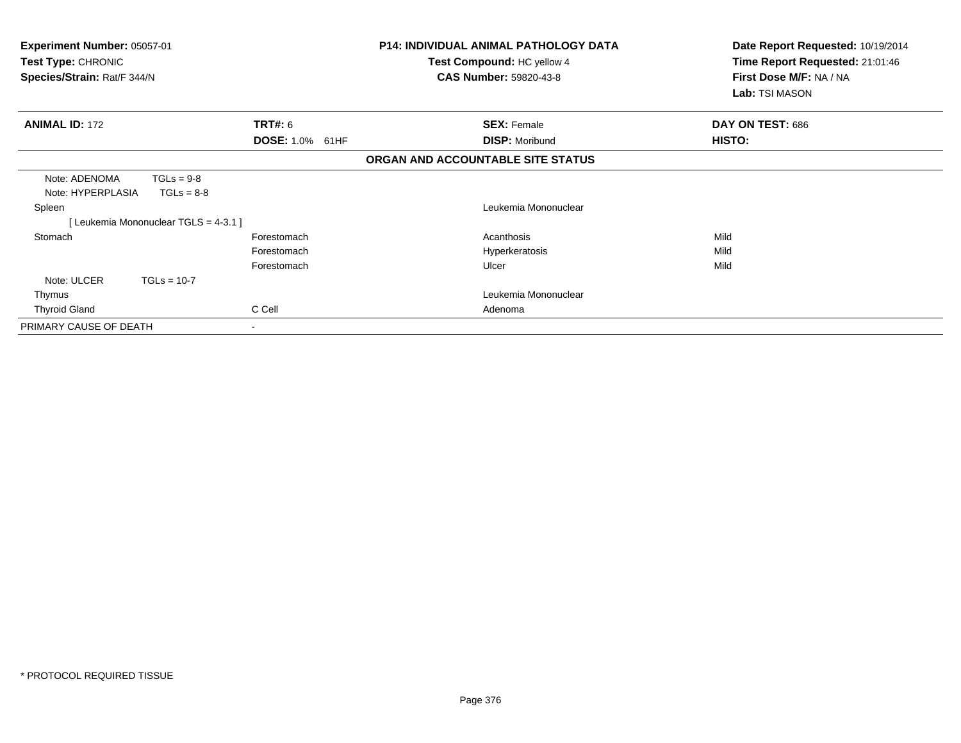| <b>Experiment Number: 05057-01</b><br>Test Type: CHRONIC<br>Species/Strain: Rat/F 344/N |                           | <b>P14: INDIVIDUAL ANIMAL PATHOLOGY DATA</b><br>Test Compound: HC yellow 4<br><b>CAS Number: 59820-43-8</b> | Date Report Requested: 10/19/2014<br>Time Report Requested: 21:01:46<br>First Dose M/F: NA / NA<br>Lab: TSI MASON |
|-----------------------------------------------------------------------------------------|---------------------------|-------------------------------------------------------------------------------------------------------------|-------------------------------------------------------------------------------------------------------------------|
| <b>ANIMAL ID: 172</b>                                                                   | TRT#: 6                   | <b>SEX: Female</b>                                                                                          | DAY ON TEST: 686                                                                                                  |
|                                                                                         | <b>DOSE: 1.0%</b><br>61HF | <b>DISP: Moribund</b>                                                                                       | HISTO:                                                                                                            |
|                                                                                         |                           | ORGAN AND ACCOUNTABLE SITE STATUS                                                                           |                                                                                                                   |
| Note: ADENOMA<br>$TGLs = 9-8$<br>Note: HYPERPLASIA<br>$TGLs = 8-8$                      |                           |                                                                                                             |                                                                                                                   |
| Spleen                                                                                  |                           | Leukemia Mononuclear                                                                                        |                                                                                                                   |
| [ Leukemia Mononuclear TGLS = 4-3.1 ]                                                   |                           |                                                                                                             |                                                                                                                   |
| Stomach                                                                                 | Forestomach               | Acanthosis                                                                                                  | Mild                                                                                                              |
|                                                                                         | Forestomach               | Hyperkeratosis                                                                                              | Mild                                                                                                              |
|                                                                                         | Forestomach               | Ulcer                                                                                                       | Mild                                                                                                              |
| Note: ULCER<br>$TGLs = 10-7$                                                            |                           |                                                                                                             |                                                                                                                   |
| Thymus                                                                                  |                           | Leukemia Mononuclear                                                                                        |                                                                                                                   |
| <b>Thyroid Gland</b>                                                                    | C Cell                    | Adenoma                                                                                                     |                                                                                                                   |
| PRIMARY CAUSE OF DEATH                                                                  |                           |                                                                                                             |                                                                                                                   |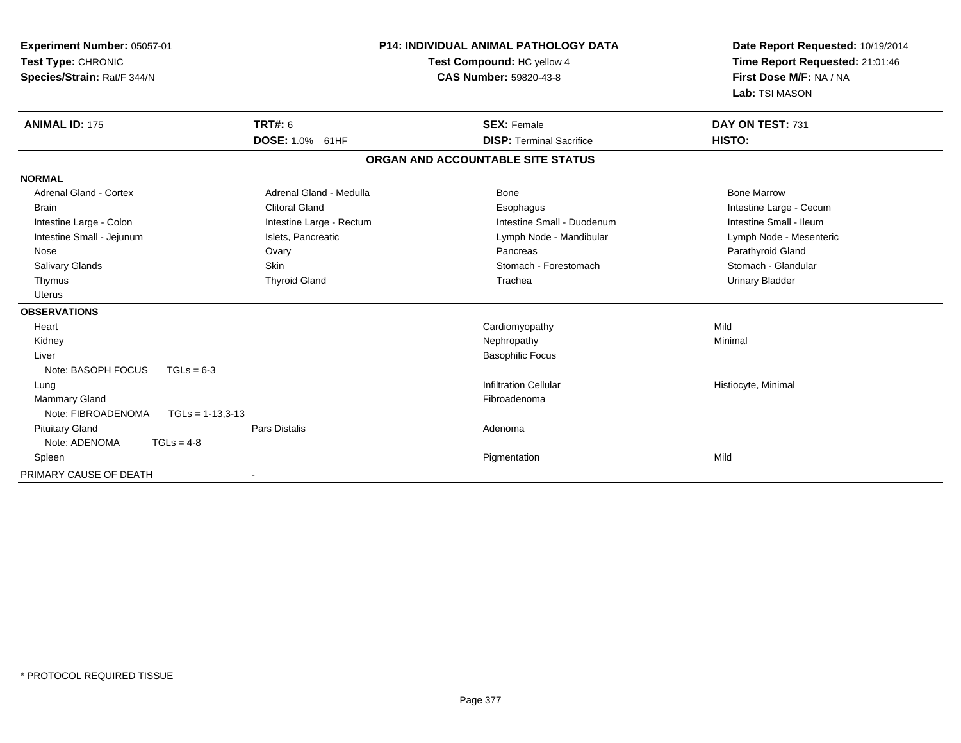| <b>Experiment Number: 05057-01</b><br>Test Type: CHRONIC<br>Species/Strain: Rat/F 344/N |                    | <b>P14: INDIVIDUAL ANIMAL PATHOLOGY DATA</b><br>Test Compound: HC yellow 4<br><b>CAS Number: 59820-43-8</b> |  | Date Report Requested: 10/19/2014<br>Time Report Requested: 21:01:46<br>First Dose M/F: NA / NA<br>Lab: TSI MASON |                         |
|-----------------------------------------------------------------------------------------|--------------------|-------------------------------------------------------------------------------------------------------------|--|-------------------------------------------------------------------------------------------------------------------|-------------------------|
| <b>ANIMAL ID: 175</b>                                                                   |                    | <b>TRT#: 6</b>                                                                                              |  | <b>SEX: Female</b>                                                                                                | DAY ON TEST: 731        |
|                                                                                         |                    | DOSE: 1.0% 61HF                                                                                             |  | <b>DISP: Terminal Sacrifice</b>                                                                                   | HISTO:                  |
|                                                                                         |                    |                                                                                                             |  | ORGAN AND ACCOUNTABLE SITE STATUS                                                                                 |                         |
| <b>NORMAL</b>                                                                           |                    |                                                                                                             |  |                                                                                                                   |                         |
| <b>Adrenal Gland - Cortex</b>                                                           |                    | Adrenal Gland - Medulla                                                                                     |  | Bone                                                                                                              | <b>Bone Marrow</b>      |
| <b>Brain</b>                                                                            |                    | <b>Clitoral Gland</b>                                                                                       |  | Esophagus                                                                                                         | Intestine Large - Cecum |
| Intestine Large - Colon                                                                 |                    | Intestine Large - Rectum                                                                                    |  | Intestine Small - Duodenum                                                                                        | Intestine Small - Ileum |
| Intestine Small - Jejunum                                                               |                    | Islets, Pancreatic                                                                                          |  | Lymph Node - Mandibular                                                                                           | Lymph Node - Mesenteric |
| Nose                                                                                    |                    | Ovary                                                                                                       |  | Pancreas                                                                                                          | Parathyroid Gland       |
| <b>Salivary Glands</b>                                                                  |                    | <b>Skin</b>                                                                                                 |  | Stomach - Forestomach                                                                                             | Stomach - Glandular     |
| Thymus                                                                                  |                    | <b>Thyroid Gland</b>                                                                                        |  | Trachea                                                                                                           | <b>Urinary Bladder</b>  |
| <b>Uterus</b>                                                                           |                    |                                                                                                             |  |                                                                                                                   |                         |
| <b>OBSERVATIONS</b>                                                                     |                    |                                                                                                             |  |                                                                                                                   |                         |
| Heart                                                                                   |                    |                                                                                                             |  | Cardiomyopathy                                                                                                    | Mild                    |
| Kidney                                                                                  |                    |                                                                                                             |  | Nephropathy                                                                                                       | Minimal                 |
| Liver                                                                                   |                    |                                                                                                             |  | <b>Basophilic Focus</b>                                                                                           |                         |
| Note: BASOPH FOCUS                                                                      | $TGLs = 6-3$       |                                                                                                             |  |                                                                                                                   |                         |
| Lung                                                                                    |                    |                                                                                                             |  | <b>Infiltration Cellular</b>                                                                                      | Histiocyte, Minimal     |
| Mammary Gland                                                                           |                    |                                                                                                             |  | Fibroadenoma                                                                                                      |                         |
| Note: FIBROADENOMA                                                                      | $TGLs = 1-13,3-13$ |                                                                                                             |  |                                                                                                                   |                         |
| <b>Pituitary Gland</b>                                                                  |                    | <b>Pars Distalis</b>                                                                                        |  | Adenoma                                                                                                           |                         |
| Note: ADENOMA                                                                           | $TGLs = 4-8$       |                                                                                                             |  |                                                                                                                   |                         |
| Spleen                                                                                  |                    |                                                                                                             |  | Pigmentation                                                                                                      | Mild                    |
| PRIMARY CAUSE OF DEATH                                                                  |                    |                                                                                                             |  |                                                                                                                   |                         |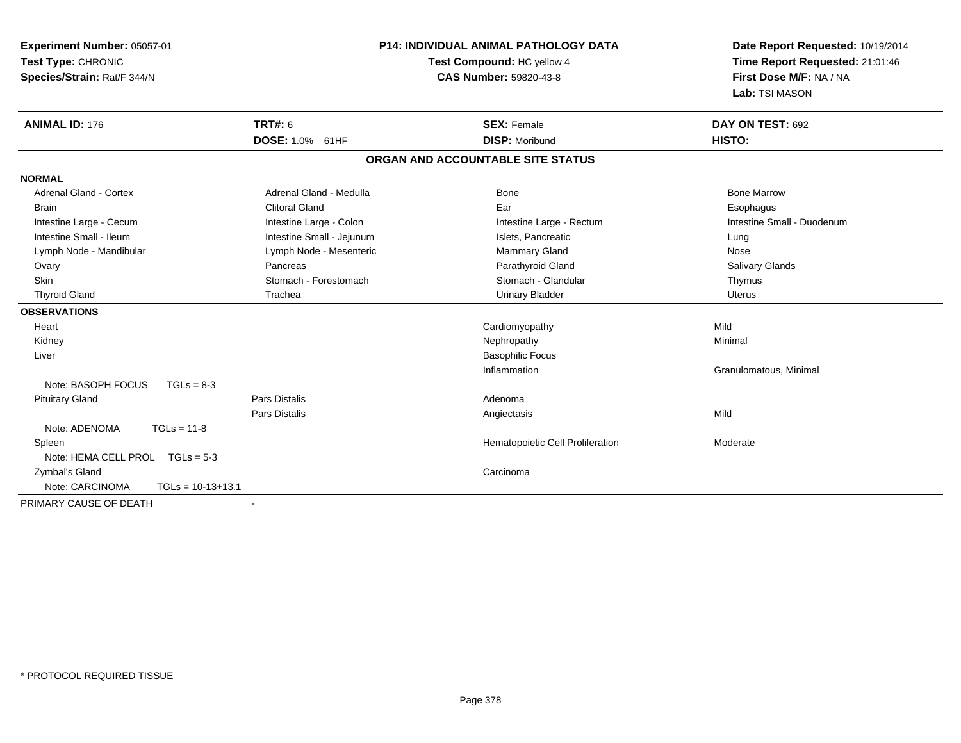| Experiment Number: 05057-01<br>Test Type: CHRONIC<br>Species/Strain: Rat/F 344/N | P14: INDIVIDUAL ANIMAL PATHOLOGY DATA<br>Test Compound: HC yellow 4<br><b>CAS Number: 59820-43-8</b> |                                   | Date Report Requested: 10/19/2014<br>Time Report Requested: 21:01:46<br>First Dose M/F: NA / NA<br>Lab: TSI MASON |  |
|----------------------------------------------------------------------------------|------------------------------------------------------------------------------------------------------|-----------------------------------|-------------------------------------------------------------------------------------------------------------------|--|
| <b>ANIMAL ID: 176</b>                                                            | <b>TRT#: 6</b>                                                                                       | <b>SEX: Female</b>                | DAY ON TEST: 692                                                                                                  |  |
|                                                                                  | DOSE: 1.0% 61HF                                                                                      | <b>DISP: Moribund</b>             | HISTO:                                                                                                            |  |
|                                                                                  |                                                                                                      | ORGAN AND ACCOUNTABLE SITE STATUS |                                                                                                                   |  |
| <b>NORMAL</b>                                                                    |                                                                                                      |                                   |                                                                                                                   |  |
| <b>Adrenal Gland - Cortex</b>                                                    | Adrenal Gland - Medulla                                                                              | <b>Bone</b>                       | <b>Bone Marrow</b>                                                                                                |  |
| <b>Brain</b>                                                                     | <b>Clitoral Gland</b>                                                                                | Ear                               | Esophagus                                                                                                         |  |
| Intestine Large - Cecum                                                          | Intestine Large - Colon                                                                              | Intestine Large - Rectum          | Intestine Small - Duodenum                                                                                        |  |
| Intestine Small - Ileum                                                          | Intestine Small - Jejunum                                                                            | Islets, Pancreatic                | Lung                                                                                                              |  |
| Lymph Node - Mandibular                                                          | Lymph Node - Mesenteric                                                                              | <b>Mammary Gland</b>              | Nose                                                                                                              |  |
| Ovary                                                                            | Pancreas                                                                                             | Parathyroid Gland                 | <b>Salivary Glands</b>                                                                                            |  |
| Skin                                                                             | Stomach - Forestomach                                                                                | Stomach - Glandular               | Thymus                                                                                                            |  |
| <b>Thyroid Gland</b>                                                             | Trachea                                                                                              | <b>Urinary Bladder</b>            | <b>Uterus</b>                                                                                                     |  |
| <b>OBSERVATIONS</b>                                                              |                                                                                                      |                                   |                                                                                                                   |  |
| Heart                                                                            |                                                                                                      | Cardiomyopathy                    | Mild                                                                                                              |  |
| Kidney                                                                           |                                                                                                      | Nephropathy                       | Minimal                                                                                                           |  |
| Liver                                                                            |                                                                                                      | <b>Basophilic Focus</b>           |                                                                                                                   |  |
|                                                                                  |                                                                                                      | Inflammation                      | Granulomatous, Minimal                                                                                            |  |
| Note: BASOPH FOCUS<br>$TGLs = 8-3$                                               |                                                                                                      |                                   |                                                                                                                   |  |
| <b>Pituitary Gland</b>                                                           | <b>Pars Distalis</b>                                                                                 | Adenoma                           |                                                                                                                   |  |
|                                                                                  | <b>Pars Distalis</b>                                                                                 | Angiectasis                       | Mild                                                                                                              |  |
| Note: ADENOMA<br>$TGLs = 11-8$                                                   |                                                                                                      |                                   |                                                                                                                   |  |
| Spleen                                                                           |                                                                                                      | Hematopoietic Cell Proliferation  | Moderate                                                                                                          |  |
| Note: HEMA CELL PROL $TGLs = 5-3$                                                |                                                                                                      |                                   |                                                                                                                   |  |
| Zymbal's Gland                                                                   |                                                                                                      | Carcinoma                         |                                                                                                                   |  |
| $TGLs = 10-13+13.1$<br>Note: CARCINOMA                                           |                                                                                                      |                                   |                                                                                                                   |  |
| PRIMARY CAUSE OF DEATH                                                           |                                                                                                      |                                   |                                                                                                                   |  |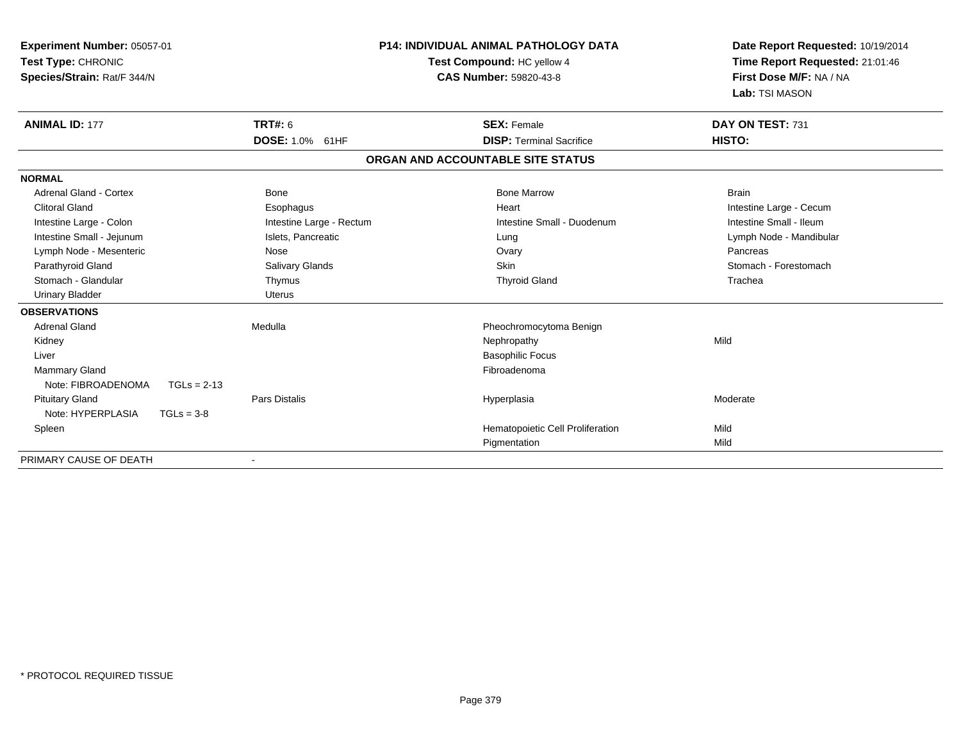| Experiment Number: 05057-01<br>Test Type: CHRONIC<br>Species/Strain: Rat/F 344/N |                                   | <b>P14: INDIVIDUAL ANIMAL PATHOLOGY DATA</b><br>Test Compound: HC yellow 4<br><b>CAS Number: 59820-43-8</b> | Date Report Requested: 10/19/2014<br>Time Report Requested: 21:01:46<br>First Dose M/F: NA / NA<br>Lab: TSI MASON |  |
|----------------------------------------------------------------------------------|-----------------------------------|-------------------------------------------------------------------------------------------------------------|-------------------------------------------------------------------------------------------------------------------|--|
| <b>ANIMAL ID: 177</b>                                                            | <b>TRT#: 6</b><br>DOSE: 1.0% 61HF | <b>SEX: Female</b><br><b>DISP: Terminal Sacrifice</b>                                                       | DAY ON TEST: 731<br>HISTO:                                                                                        |  |
|                                                                                  |                                   | ORGAN AND ACCOUNTABLE SITE STATUS                                                                           |                                                                                                                   |  |
| <b>NORMAL</b>                                                                    |                                   |                                                                                                             |                                                                                                                   |  |
| <b>Adrenal Gland - Cortex</b>                                                    | <b>Bone</b>                       | <b>Bone Marrow</b>                                                                                          | <b>Brain</b>                                                                                                      |  |
| <b>Clitoral Gland</b>                                                            | Esophagus                         | Heart                                                                                                       | Intestine Large - Cecum                                                                                           |  |
| Intestine Large - Colon                                                          | Intestine Large - Rectum          | Intestine Small - Duodenum                                                                                  | Intestine Small - Ileum                                                                                           |  |
| Intestine Small - Jejunum                                                        | Islets, Pancreatic                | Lung                                                                                                        | Lymph Node - Mandibular                                                                                           |  |
| Lymph Node - Mesenteric                                                          | <b>Nose</b>                       | Ovary                                                                                                       | Pancreas                                                                                                          |  |
| Parathyroid Gland                                                                | Salivary Glands                   | <b>Skin</b>                                                                                                 | Stomach - Forestomach                                                                                             |  |
| Stomach - Glandular                                                              | Thymus                            | <b>Thyroid Gland</b>                                                                                        | Trachea                                                                                                           |  |
| <b>Urinary Bladder</b>                                                           | <b>Uterus</b>                     |                                                                                                             |                                                                                                                   |  |
| <b>OBSERVATIONS</b>                                                              |                                   |                                                                                                             |                                                                                                                   |  |
| <b>Adrenal Gland</b>                                                             | Medulla                           | Pheochromocytoma Benign                                                                                     |                                                                                                                   |  |
| Kidney                                                                           |                                   | Nephropathy                                                                                                 | Mild                                                                                                              |  |
| Liver                                                                            |                                   | <b>Basophilic Focus</b>                                                                                     |                                                                                                                   |  |
| Mammary Gland                                                                    |                                   | Fibroadenoma                                                                                                |                                                                                                                   |  |
| Note: FIBROADENOMA<br>$TGLs = 2-13$                                              |                                   |                                                                                                             |                                                                                                                   |  |
| <b>Pituitary Gland</b>                                                           | <b>Pars Distalis</b>              | Hyperplasia                                                                                                 | Moderate                                                                                                          |  |
| Note: HYPERPLASIA<br>$TGLs = 3-8$                                                |                                   |                                                                                                             |                                                                                                                   |  |
| Spleen                                                                           |                                   | Hematopoietic Cell Proliferation                                                                            | Mild                                                                                                              |  |
|                                                                                  |                                   | Pigmentation                                                                                                | Mild                                                                                                              |  |
| PRIMARY CAUSE OF DEATH                                                           |                                   |                                                                                                             |                                                                                                                   |  |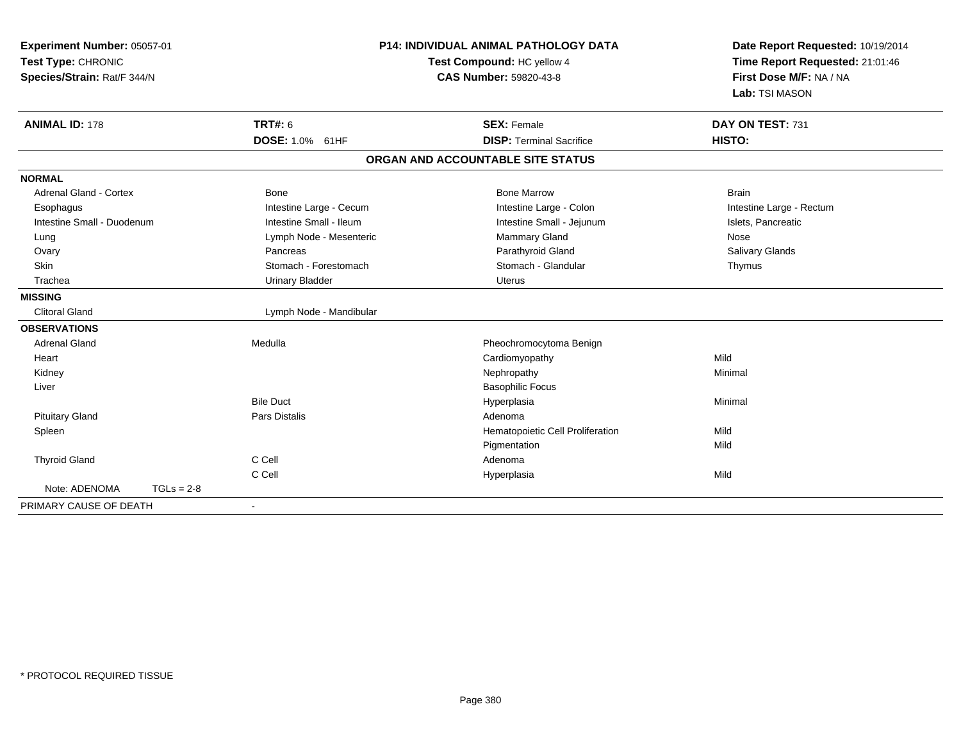| Experiment Number: 05057-01<br>Test Type: CHRONIC<br>Species/Strain: Rat/F 344/N |              | <b>P14: INDIVIDUAL ANIMAL PATHOLOGY DATA</b><br>Test Compound: HC yellow 4<br><b>CAS Number: 59820-43-8</b> |                                   | Date Report Requested: 10/19/2014<br>Time Report Requested: 21:01:46<br>First Dose M/F: NA / NA |  |
|----------------------------------------------------------------------------------|--------------|-------------------------------------------------------------------------------------------------------------|-----------------------------------|-------------------------------------------------------------------------------------------------|--|
|                                                                                  |              |                                                                                                             |                                   | Lab: TSI MASON                                                                                  |  |
| <b>ANIMAL ID: 178</b>                                                            |              | <b>TRT#: 6</b>                                                                                              | <b>SEX: Female</b>                | DAY ON TEST: 731                                                                                |  |
|                                                                                  |              | DOSE: 1.0% 61HF                                                                                             | <b>DISP: Terminal Sacrifice</b>   | HISTO:                                                                                          |  |
|                                                                                  |              |                                                                                                             | ORGAN AND ACCOUNTABLE SITE STATUS |                                                                                                 |  |
| <b>NORMAL</b>                                                                    |              |                                                                                                             |                                   |                                                                                                 |  |
| <b>Adrenal Gland - Cortex</b>                                                    |              | <b>Bone</b>                                                                                                 | <b>Bone Marrow</b>                | <b>Brain</b>                                                                                    |  |
| Esophagus                                                                        |              | Intestine Large - Cecum                                                                                     | Intestine Large - Colon           | Intestine Large - Rectum                                                                        |  |
| Intestine Small - Duodenum                                                       |              | Intestine Small - Ileum                                                                                     | Intestine Small - Jejunum         | Islets, Pancreatic                                                                              |  |
| Lung                                                                             |              | Lymph Node - Mesenteric                                                                                     | <b>Mammary Gland</b>              | Nose                                                                                            |  |
| Ovary                                                                            |              | Pancreas                                                                                                    | Parathyroid Gland                 | Salivary Glands                                                                                 |  |
| Skin                                                                             |              | Stomach - Forestomach                                                                                       | Stomach - Glandular               | Thymus                                                                                          |  |
| Trachea                                                                          |              | <b>Urinary Bladder</b>                                                                                      | <b>Uterus</b>                     |                                                                                                 |  |
| <b>MISSING</b>                                                                   |              |                                                                                                             |                                   |                                                                                                 |  |
| <b>Clitoral Gland</b>                                                            |              | Lymph Node - Mandibular                                                                                     |                                   |                                                                                                 |  |
| <b>OBSERVATIONS</b>                                                              |              |                                                                                                             |                                   |                                                                                                 |  |
| <b>Adrenal Gland</b>                                                             |              | Medulla                                                                                                     | Pheochromocytoma Benign           |                                                                                                 |  |
| Heart                                                                            |              |                                                                                                             | Cardiomyopathy                    | Mild                                                                                            |  |
| Kidney                                                                           |              |                                                                                                             | Nephropathy                       | Minimal                                                                                         |  |
| Liver                                                                            |              |                                                                                                             | <b>Basophilic Focus</b>           |                                                                                                 |  |
|                                                                                  |              | <b>Bile Duct</b>                                                                                            | Hyperplasia                       | Minimal                                                                                         |  |
| <b>Pituitary Gland</b>                                                           |              | <b>Pars Distalis</b>                                                                                        | Adenoma                           |                                                                                                 |  |
| Spleen                                                                           |              |                                                                                                             | Hematopoietic Cell Proliferation  | Mild                                                                                            |  |
|                                                                                  |              |                                                                                                             | Pigmentation                      | Mild                                                                                            |  |
| <b>Thyroid Gland</b>                                                             |              | C Cell                                                                                                      | Adenoma                           |                                                                                                 |  |
|                                                                                  |              | C Cell                                                                                                      | Hyperplasia                       | Mild                                                                                            |  |
| Note: ADENOMA                                                                    | $TGLs = 2-8$ |                                                                                                             |                                   |                                                                                                 |  |
| PRIMARY CAUSE OF DEATH                                                           |              |                                                                                                             |                                   |                                                                                                 |  |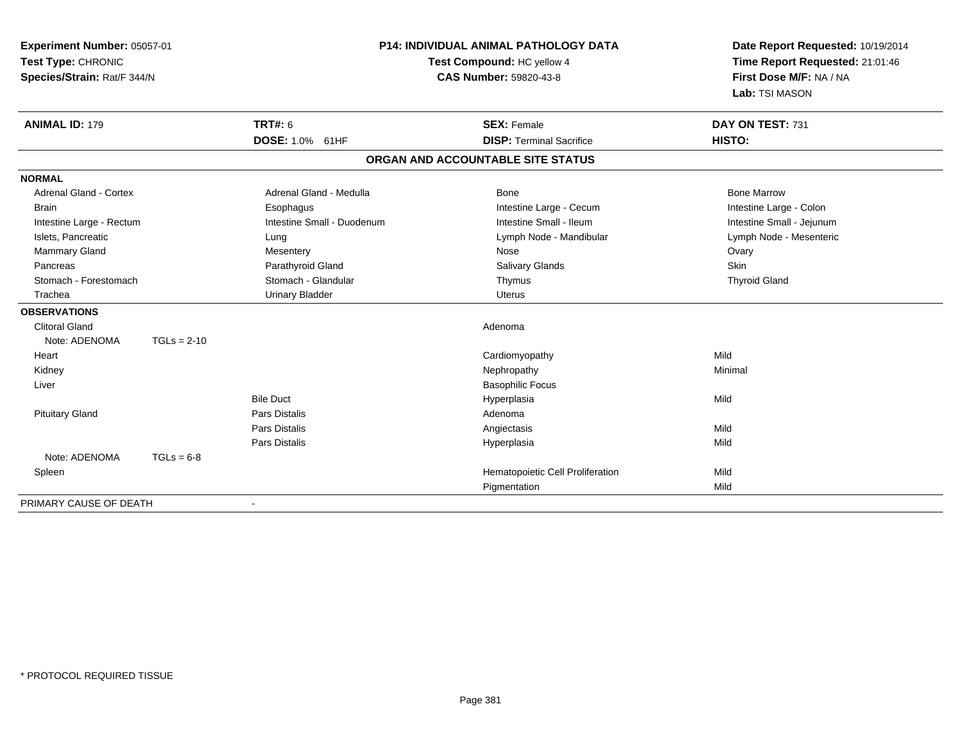| Experiment Number: 05057-01<br>Test Type: CHRONIC<br>Species/Strain: Rat/F 344/N |               | P14: INDIVIDUAL ANIMAL PATHOLOGY DATA<br>Test Compound: HC yellow 4<br><b>CAS Number: 59820-43-8</b> |                                   | Date Report Requested: 10/19/2014<br>Time Report Requested: 21:01:46<br>First Dose M/F: NA / NA<br>Lab: TSI MASON |  |
|----------------------------------------------------------------------------------|---------------|------------------------------------------------------------------------------------------------------|-----------------------------------|-------------------------------------------------------------------------------------------------------------------|--|
| <b>ANIMAL ID: 179</b>                                                            |               | <b>TRT#: 6</b>                                                                                       | <b>SEX: Female</b>                | DAY ON TEST: 731                                                                                                  |  |
|                                                                                  |               | DOSE: 1.0% 61HF                                                                                      | <b>DISP: Terminal Sacrifice</b>   | HISTO:                                                                                                            |  |
|                                                                                  |               |                                                                                                      | ORGAN AND ACCOUNTABLE SITE STATUS |                                                                                                                   |  |
| <b>NORMAL</b>                                                                    |               |                                                                                                      |                                   |                                                                                                                   |  |
| <b>Adrenal Gland - Cortex</b>                                                    |               | Adrenal Gland - Medulla                                                                              | <b>Bone</b>                       | <b>Bone Marrow</b>                                                                                                |  |
| <b>Brain</b>                                                                     |               | Esophagus                                                                                            | Intestine Large - Cecum           | Intestine Large - Colon                                                                                           |  |
| Intestine Large - Rectum                                                         |               | Intestine Small - Duodenum                                                                           | Intestine Small - Ileum           | Intestine Small - Jejunum                                                                                         |  |
| Islets, Pancreatic                                                               |               | Lung                                                                                                 | Lymph Node - Mandibular           | Lymph Node - Mesenteric                                                                                           |  |
| Mammary Gland                                                                    |               | Mesentery                                                                                            | Nose                              | Ovary                                                                                                             |  |
| Pancreas                                                                         |               | Parathyroid Gland                                                                                    | <b>Salivary Glands</b>            | Skin                                                                                                              |  |
| Stomach - Forestomach                                                            |               | Stomach - Glandular                                                                                  | Thymus                            | <b>Thyroid Gland</b>                                                                                              |  |
| Trachea                                                                          |               | <b>Urinary Bladder</b>                                                                               | <b>Uterus</b>                     |                                                                                                                   |  |
| <b>OBSERVATIONS</b>                                                              |               |                                                                                                      |                                   |                                                                                                                   |  |
| <b>Clitoral Gland</b>                                                            |               |                                                                                                      | Adenoma                           |                                                                                                                   |  |
| Note: ADENOMA                                                                    | $TGLs = 2-10$ |                                                                                                      |                                   |                                                                                                                   |  |
| Heart                                                                            |               |                                                                                                      | Cardiomyopathy                    | Mild                                                                                                              |  |
| Kidney                                                                           |               |                                                                                                      | Nephropathy                       | Minimal                                                                                                           |  |
| Liver                                                                            |               |                                                                                                      | <b>Basophilic Focus</b>           |                                                                                                                   |  |
|                                                                                  |               | <b>Bile Duct</b>                                                                                     | Hyperplasia                       | Mild                                                                                                              |  |
| <b>Pituitary Gland</b>                                                           |               | <b>Pars Distalis</b>                                                                                 | Adenoma                           |                                                                                                                   |  |
|                                                                                  |               | <b>Pars Distalis</b>                                                                                 | Angiectasis                       | Mild                                                                                                              |  |
|                                                                                  |               | <b>Pars Distalis</b>                                                                                 | Hyperplasia                       | Mild                                                                                                              |  |
| Note: ADENOMA                                                                    | $TGLs = 6-8$  |                                                                                                      |                                   |                                                                                                                   |  |
| Spleen                                                                           |               |                                                                                                      | Hematopoietic Cell Proliferation  | Mild                                                                                                              |  |
|                                                                                  |               |                                                                                                      | Pigmentation                      | Mild                                                                                                              |  |
| PRIMARY CAUSE OF DEATH                                                           |               |                                                                                                      |                                   |                                                                                                                   |  |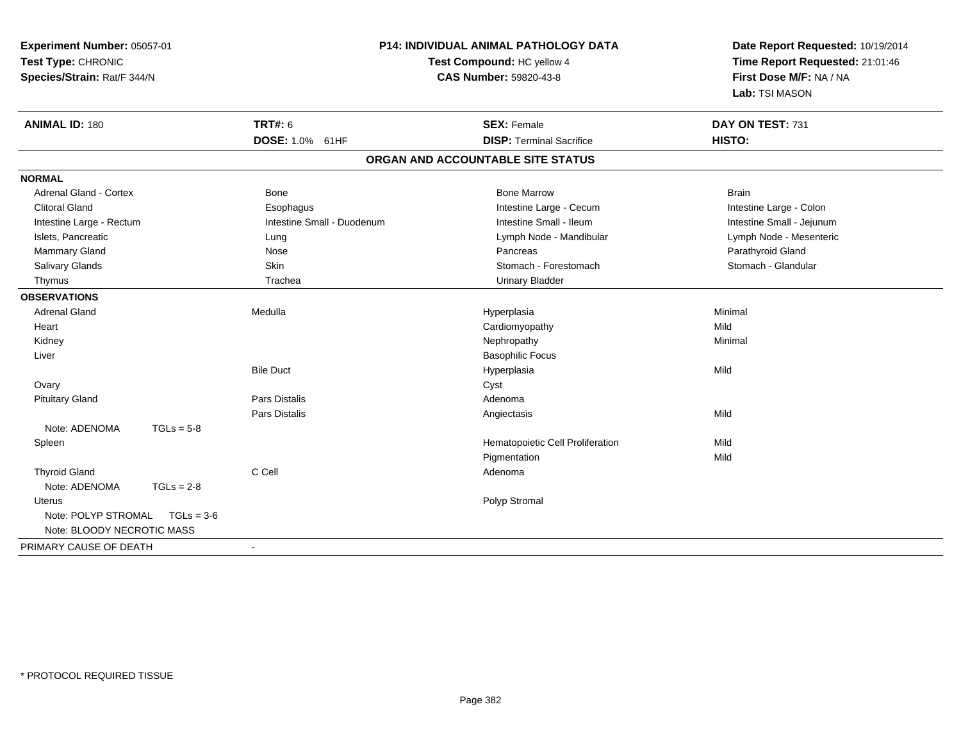| Experiment Number: 05057-01<br>Test Type: CHRONIC<br>Species/Strain: Rat/F 344/N |                      | P14: INDIVIDUAL ANIMAL PATHOLOGY DATA<br>Test Compound: HC yellow 4<br><b>CAS Number: 59820-43-8</b> |                                   | Date Report Requested: 10/19/2014<br>Time Report Requested: 21:01:46<br>First Dose M/F: NA / NA<br>Lab: TSI MASON |  |
|----------------------------------------------------------------------------------|----------------------|------------------------------------------------------------------------------------------------------|-----------------------------------|-------------------------------------------------------------------------------------------------------------------|--|
| <b>ANIMAL ID: 180</b>                                                            | <b>TRT#: 6</b>       |                                                                                                      | <b>SEX: Female</b>                | DAY ON TEST: 731                                                                                                  |  |
|                                                                                  | DOSE: 1.0% 61HF      |                                                                                                      | <b>DISP: Terminal Sacrifice</b>   | HISTO:                                                                                                            |  |
|                                                                                  |                      |                                                                                                      | ORGAN AND ACCOUNTABLE SITE STATUS |                                                                                                                   |  |
| <b>NORMAL</b>                                                                    |                      |                                                                                                      |                                   |                                                                                                                   |  |
| <b>Adrenal Gland - Cortex</b>                                                    | <b>Bone</b>          |                                                                                                      | <b>Bone Marrow</b>                | <b>Brain</b>                                                                                                      |  |
| <b>Clitoral Gland</b>                                                            | Esophagus            |                                                                                                      | Intestine Large - Cecum           | Intestine Large - Colon                                                                                           |  |
| Intestine Large - Rectum                                                         |                      | Intestine Small - Duodenum                                                                           | Intestine Small - Ileum           | Intestine Small - Jejunum                                                                                         |  |
| Islets, Pancreatic                                                               | Lung                 |                                                                                                      | Lymph Node - Mandibular           | Lymph Node - Mesenteric                                                                                           |  |
| Mammary Gland                                                                    | Nose                 |                                                                                                      | Pancreas                          | Parathyroid Gland                                                                                                 |  |
| Salivary Glands                                                                  | Skin                 |                                                                                                      | Stomach - Forestomach             | Stomach - Glandular                                                                                               |  |
| Thymus                                                                           | Trachea              |                                                                                                      | <b>Urinary Bladder</b>            |                                                                                                                   |  |
| <b>OBSERVATIONS</b>                                                              |                      |                                                                                                      |                                   |                                                                                                                   |  |
| <b>Adrenal Gland</b>                                                             | Medulla              |                                                                                                      | Hyperplasia                       | Minimal                                                                                                           |  |
| Heart                                                                            |                      |                                                                                                      | Cardiomyopathy                    | Mild                                                                                                              |  |
| Kidney                                                                           |                      |                                                                                                      | Nephropathy                       | Minimal                                                                                                           |  |
| Liver                                                                            |                      |                                                                                                      | <b>Basophilic Focus</b>           |                                                                                                                   |  |
|                                                                                  | <b>Bile Duct</b>     |                                                                                                      | Hyperplasia                       | Mild                                                                                                              |  |
| Ovary                                                                            |                      |                                                                                                      | Cyst                              |                                                                                                                   |  |
| <b>Pituitary Gland</b>                                                           | Pars Distalis        |                                                                                                      | Adenoma                           |                                                                                                                   |  |
|                                                                                  | <b>Pars Distalis</b> |                                                                                                      | Angiectasis                       | Mild                                                                                                              |  |
| Note: ADENOMA                                                                    | $TGLs = 5-8$         |                                                                                                      |                                   |                                                                                                                   |  |
| Spleen                                                                           |                      |                                                                                                      | Hematopoietic Cell Proliferation  | Mild                                                                                                              |  |
|                                                                                  |                      |                                                                                                      | Pigmentation                      | Mild                                                                                                              |  |
| <b>Thyroid Gland</b>                                                             | C Cell               |                                                                                                      | Adenoma                           |                                                                                                                   |  |
| Note: ADENOMA                                                                    | $TGLs = 2-8$         |                                                                                                      |                                   |                                                                                                                   |  |
| <b>Uterus</b>                                                                    |                      |                                                                                                      | Polyp Stromal                     |                                                                                                                   |  |
| Note: POLYP STROMAL                                                              | $TGLs = 3-6$         |                                                                                                      |                                   |                                                                                                                   |  |
| Note: BLOODY NECROTIC MASS                                                       |                      |                                                                                                      |                                   |                                                                                                                   |  |
| PRIMARY CAUSE OF DEATH                                                           |                      |                                                                                                      |                                   |                                                                                                                   |  |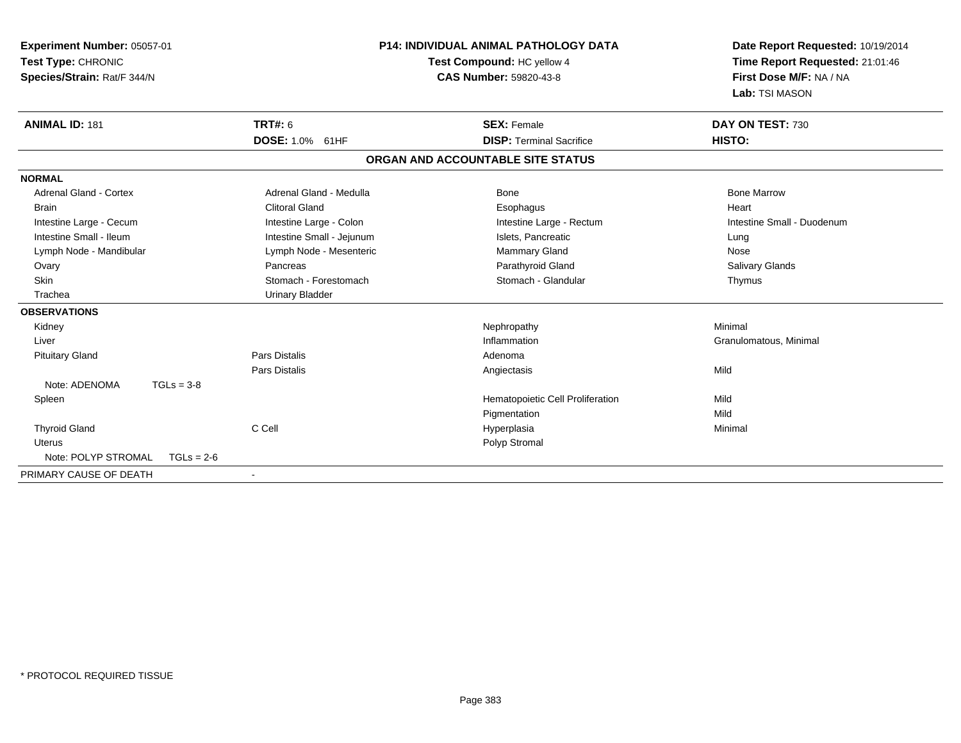| Experiment Number: 05057-01<br>Test Type: CHRONIC<br>Species/Strain: Rat/F 344/N |                           | <b>P14: INDIVIDUAL ANIMAL PATHOLOGY DATA</b><br>Test Compound: HC yellow 4<br><b>CAS Number: 59820-43-8</b> | Date Report Requested: 10/19/2014<br>Time Report Requested: 21:01:46<br>First Dose M/F: NA / NA<br>Lab: TSI MASON |  |
|----------------------------------------------------------------------------------|---------------------------|-------------------------------------------------------------------------------------------------------------|-------------------------------------------------------------------------------------------------------------------|--|
| <b>ANIMAL ID: 181</b>                                                            | <b>TRT#: 6</b>            | <b>SEX: Female</b>                                                                                          | DAY ON TEST: 730                                                                                                  |  |
|                                                                                  | DOSE: 1.0% 61HF           | <b>DISP: Terminal Sacrifice</b>                                                                             | HISTO:                                                                                                            |  |
|                                                                                  |                           | ORGAN AND ACCOUNTABLE SITE STATUS                                                                           |                                                                                                                   |  |
| <b>NORMAL</b>                                                                    |                           |                                                                                                             |                                                                                                                   |  |
| <b>Adrenal Gland - Cortex</b>                                                    | Adrenal Gland - Medulla   | <b>Bone</b>                                                                                                 | <b>Bone Marrow</b>                                                                                                |  |
| <b>Brain</b>                                                                     | Clitoral Gland            | Esophagus                                                                                                   | Heart                                                                                                             |  |
| Intestine Large - Cecum                                                          | Intestine Large - Colon   | Intestine Large - Rectum                                                                                    | Intestine Small - Duodenum                                                                                        |  |
| Intestine Small - Ileum                                                          | Intestine Small - Jejunum | Islets, Pancreatic                                                                                          | Lung                                                                                                              |  |
| Lymph Node - Mandibular                                                          | Lymph Node - Mesenteric   | <b>Mammary Gland</b>                                                                                        | Nose                                                                                                              |  |
| Ovary                                                                            | Pancreas                  | Parathyroid Gland                                                                                           | <b>Salivary Glands</b>                                                                                            |  |
| Skin                                                                             | Stomach - Forestomach     | Stomach - Glandular                                                                                         | Thymus                                                                                                            |  |
| Trachea                                                                          | <b>Urinary Bladder</b>    |                                                                                                             |                                                                                                                   |  |
| <b>OBSERVATIONS</b>                                                              |                           |                                                                                                             |                                                                                                                   |  |
| Kidney                                                                           |                           | Nephropathy                                                                                                 | Minimal                                                                                                           |  |
| Liver                                                                            |                           | Inflammation                                                                                                | Granulomatous, Minimal                                                                                            |  |
| <b>Pituitary Gland</b>                                                           | Pars Distalis             | Adenoma                                                                                                     |                                                                                                                   |  |
|                                                                                  | Pars Distalis             | Angiectasis                                                                                                 | Mild                                                                                                              |  |
| Note: ADENOMA<br>$TGLs = 3-8$                                                    |                           |                                                                                                             |                                                                                                                   |  |
| Spleen                                                                           |                           | Hematopoietic Cell Proliferation                                                                            | Mild                                                                                                              |  |
|                                                                                  |                           | Pigmentation                                                                                                | Mild                                                                                                              |  |
| <b>Thyroid Gland</b>                                                             | C Cell                    | Hyperplasia                                                                                                 | Minimal                                                                                                           |  |
| <b>Uterus</b>                                                                    |                           | Polyp Stromal                                                                                               |                                                                                                                   |  |
| Note: POLYP STROMAL<br>$TGLs = 2-6$                                              |                           |                                                                                                             |                                                                                                                   |  |
| PRIMARY CAUSE OF DEATH                                                           |                           |                                                                                                             |                                                                                                                   |  |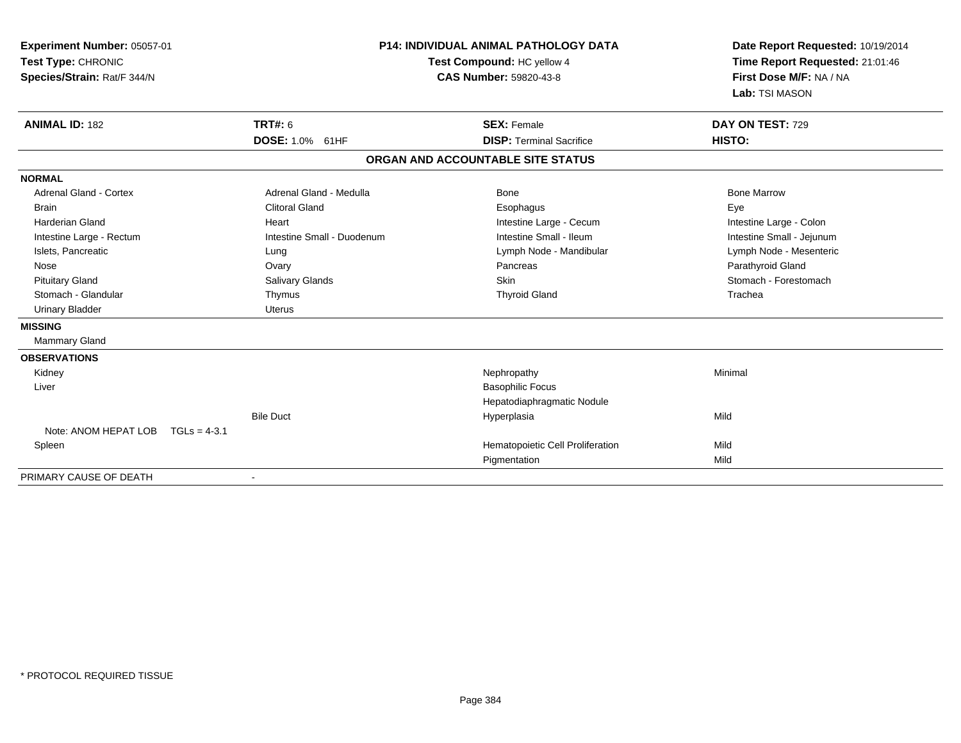| Experiment Number: 05057-01<br>Test Type: CHRONIC<br>Species/Strain: Rat/F 344/N<br><b>ANIMAL ID: 182</b> | <b>TRT#: 6</b>             | <b>P14: INDIVIDUAL ANIMAL PATHOLOGY DATA</b><br>Test Compound: HC yellow 4<br>CAS Number: 59820-43-8<br><b>SEX: Female</b> | Date Report Requested: 10/19/2014<br>Time Report Requested: 21:01:46<br>First Dose M/F: NA / NA<br>Lab: TSI MASON<br>DAY ON TEST: 729 |
|-----------------------------------------------------------------------------------------------------------|----------------------------|----------------------------------------------------------------------------------------------------------------------------|---------------------------------------------------------------------------------------------------------------------------------------|
|                                                                                                           | DOSE: 1.0% 61HF            | <b>DISP: Terminal Sacrifice</b>                                                                                            | HISTO:                                                                                                                                |
|                                                                                                           |                            | ORGAN AND ACCOUNTABLE SITE STATUS                                                                                          |                                                                                                                                       |
| <b>NORMAL</b>                                                                                             |                            |                                                                                                                            |                                                                                                                                       |
| <b>Adrenal Gland - Cortex</b>                                                                             | Adrenal Gland - Medulla    | <b>Bone</b>                                                                                                                | <b>Bone Marrow</b>                                                                                                                    |
| <b>Brain</b>                                                                                              | <b>Clitoral Gland</b>      | Esophagus                                                                                                                  | Eye                                                                                                                                   |
| Harderian Gland                                                                                           | Heart                      | Intestine Large - Cecum                                                                                                    | Intestine Large - Colon                                                                                                               |
| Intestine Large - Rectum                                                                                  | Intestine Small - Duodenum | Intestine Small - Ileum                                                                                                    | Intestine Small - Jejunum                                                                                                             |
| Islets, Pancreatic                                                                                        | Lung                       | Lymph Node - Mandibular                                                                                                    | Lymph Node - Mesenteric                                                                                                               |
| Nose                                                                                                      | Ovary                      | Pancreas                                                                                                                   | Parathyroid Gland                                                                                                                     |
| <b>Pituitary Gland</b>                                                                                    | Salivary Glands            | Skin                                                                                                                       | Stomach - Forestomach                                                                                                                 |
| Stomach - Glandular                                                                                       | Thymus                     | <b>Thyroid Gland</b>                                                                                                       | Trachea                                                                                                                               |
| <b>Urinary Bladder</b>                                                                                    | <b>Uterus</b>              |                                                                                                                            |                                                                                                                                       |
| <b>MISSING</b>                                                                                            |                            |                                                                                                                            |                                                                                                                                       |
| Mammary Gland                                                                                             |                            |                                                                                                                            |                                                                                                                                       |
| <b>OBSERVATIONS</b>                                                                                       |                            |                                                                                                                            |                                                                                                                                       |
| Kidney                                                                                                    |                            | Nephropathy                                                                                                                | Minimal                                                                                                                               |
| Liver                                                                                                     |                            | <b>Basophilic Focus</b>                                                                                                    |                                                                                                                                       |
|                                                                                                           |                            | Hepatodiaphragmatic Nodule                                                                                                 |                                                                                                                                       |
|                                                                                                           | <b>Bile Duct</b>           | Hyperplasia                                                                                                                | Mild                                                                                                                                  |
| Note: ANOM HEPAT LOB<br>$TGLs = 4-3.1$                                                                    |                            |                                                                                                                            |                                                                                                                                       |
| Spleen                                                                                                    |                            | Hematopoietic Cell Proliferation                                                                                           | Mild                                                                                                                                  |
|                                                                                                           |                            | Pigmentation                                                                                                               | Mild                                                                                                                                  |
| PRIMARY CAUSE OF DEATH                                                                                    |                            |                                                                                                                            |                                                                                                                                       |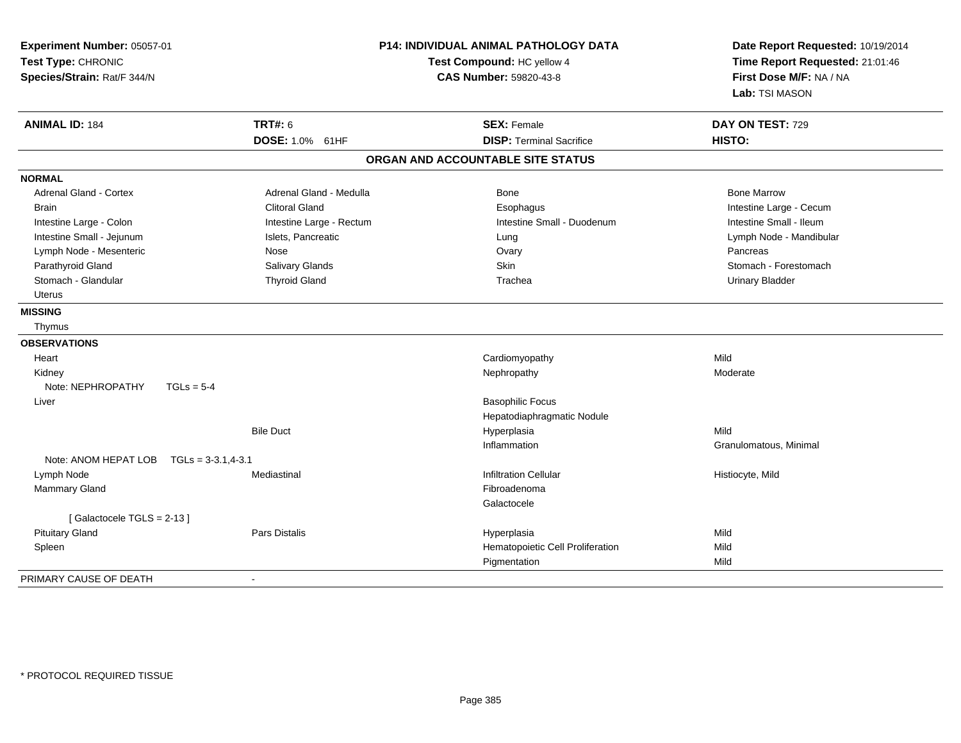| Experiment Number: 05057-01<br>Test Type: CHRONIC<br>Species/Strain: Rat/F 344/N |                          | P14: INDIVIDUAL ANIMAL PATHOLOGY DATA<br>Test Compound: HC yellow 4<br><b>CAS Number: 59820-43-8</b> | Date Report Requested: 10/19/2014<br>Time Report Requested: 21:01:46<br>First Dose M/F: NA / NA<br>Lab: TSI MASON |  |
|----------------------------------------------------------------------------------|--------------------------|------------------------------------------------------------------------------------------------------|-------------------------------------------------------------------------------------------------------------------|--|
| <b>ANIMAL ID: 184</b>                                                            | <b>TRT#: 6</b>           | <b>SEX: Female</b>                                                                                   | DAY ON TEST: 729                                                                                                  |  |
|                                                                                  | DOSE: 1.0% 61HF          | <b>DISP: Terminal Sacrifice</b>                                                                      | HISTO:                                                                                                            |  |
|                                                                                  |                          | ORGAN AND ACCOUNTABLE SITE STATUS                                                                    |                                                                                                                   |  |
| <b>NORMAL</b>                                                                    |                          |                                                                                                      |                                                                                                                   |  |
| <b>Adrenal Gland - Cortex</b>                                                    | Adrenal Gland - Medulla  | <b>Bone</b>                                                                                          | <b>Bone Marrow</b>                                                                                                |  |
| <b>Brain</b>                                                                     | <b>Clitoral Gland</b>    | Esophagus                                                                                            | Intestine Large - Cecum                                                                                           |  |
| Intestine Large - Colon                                                          | Intestine Large - Rectum | Intestine Small - Duodenum                                                                           | Intestine Small - Ileum                                                                                           |  |
| Intestine Small - Jejunum                                                        | Islets, Pancreatic       | Lung                                                                                                 | Lymph Node - Mandibular                                                                                           |  |
| Lymph Node - Mesenteric                                                          | Nose                     | Ovary                                                                                                | Pancreas                                                                                                          |  |
| Parathyroid Gland                                                                | Salivary Glands          | Skin                                                                                                 | Stomach - Forestomach                                                                                             |  |
| Stomach - Glandular                                                              | <b>Thyroid Gland</b>     | Trachea                                                                                              | <b>Urinary Bladder</b>                                                                                            |  |
| <b>Uterus</b>                                                                    |                          |                                                                                                      |                                                                                                                   |  |
| <b>MISSING</b>                                                                   |                          |                                                                                                      |                                                                                                                   |  |
| Thymus                                                                           |                          |                                                                                                      |                                                                                                                   |  |
| <b>OBSERVATIONS</b>                                                              |                          |                                                                                                      |                                                                                                                   |  |
| Heart                                                                            |                          | Cardiomyopathy                                                                                       | Mild                                                                                                              |  |
| Kidney                                                                           |                          | Nephropathy                                                                                          | Moderate                                                                                                          |  |
| Note: NEPHROPATHY<br>$TGLs = 5-4$                                                |                          |                                                                                                      |                                                                                                                   |  |
| Liver                                                                            |                          | <b>Basophilic Focus</b>                                                                              |                                                                                                                   |  |
|                                                                                  |                          | Hepatodiaphragmatic Nodule                                                                           |                                                                                                                   |  |
|                                                                                  | <b>Bile Duct</b>         | Hyperplasia                                                                                          | Mild                                                                                                              |  |
|                                                                                  |                          | Inflammation                                                                                         | Granulomatous, Minimal                                                                                            |  |
| Note: ANOM HEPAT LOB<br>$TGLs = 3-3.1, 4-3.1$                                    |                          |                                                                                                      |                                                                                                                   |  |
| Lymph Node                                                                       | Mediastinal              | <b>Infiltration Cellular</b>                                                                         | Histiocyte, Mild                                                                                                  |  |
| <b>Mammary Gland</b>                                                             |                          | Fibroadenoma                                                                                         |                                                                                                                   |  |
|                                                                                  |                          | Galactocele                                                                                          |                                                                                                                   |  |
| [Galactocele TGLS = 2-13]                                                        |                          |                                                                                                      |                                                                                                                   |  |
| <b>Pituitary Gland</b>                                                           | Pars Distalis            | Hyperplasia                                                                                          | Mild                                                                                                              |  |
| Spleen                                                                           |                          | Hematopoietic Cell Proliferation                                                                     | Mild                                                                                                              |  |
|                                                                                  |                          | Pigmentation                                                                                         | Mild                                                                                                              |  |
| PRIMARY CAUSE OF DEATH                                                           | $\sim$                   |                                                                                                      |                                                                                                                   |  |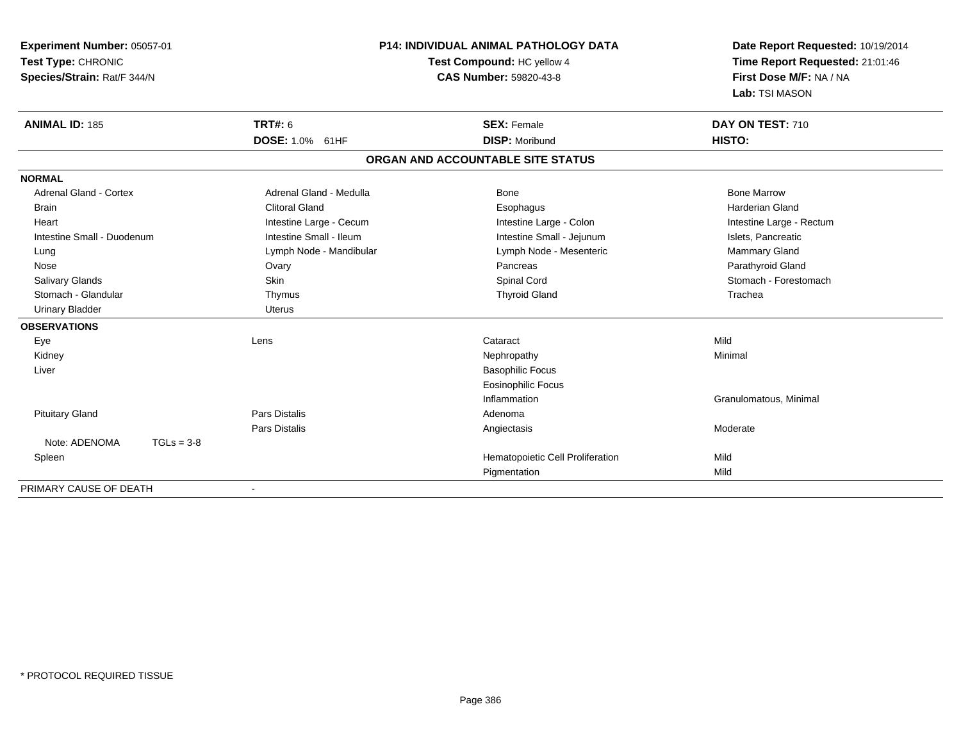| Experiment Number: 05057-01   | <b>P14: INDIVIDUAL ANIMAL PATHOLOGY DATA</b><br>Test Compound: HC yellow 4<br><b>CAS Number: 59820-43-8</b> |                                   | Date Report Requested: 10/19/2014<br>Time Report Requested: 21:01:46<br>First Dose M/F: NA / NA |
|-------------------------------|-------------------------------------------------------------------------------------------------------------|-----------------------------------|-------------------------------------------------------------------------------------------------|
| Test Type: CHRONIC            |                                                                                                             |                                   |                                                                                                 |
| Species/Strain: Rat/F 344/N   |                                                                                                             |                                   |                                                                                                 |
|                               |                                                                                                             |                                   | Lab: TSI MASON                                                                                  |
| <b>ANIMAL ID: 185</b>         | <b>TRT#: 6</b>                                                                                              | <b>SEX: Female</b>                | DAY ON TEST: 710                                                                                |
|                               | DOSE: 1.0% 61HF                                                                                             | <b>DISP: Moribund</b>             | HISTO:                                                                                          |
|                               |                                                                                                             | ORGAN AND ACCOUNTABLE SITE STATUS |                                                                                                 |
| <b>NORMAL</b>                 |                                                                                                             |                                   |                                                                                                 |
| <b>Adrenal Gland - Cortex</b> | Adrenal Gland - Medulla                                                                                     | <b>Bone</b>                       | <b>Bone Marrow</b>                                                                              |
| <b>Brain</b>                  | <b>Clitoral Gland</b>                                                                                       | Esophagus                         | <b>Harderian Gland</b>                                                                          |
| Heart                         | Intestine Large - Cecum                                                                                     | Intestine Large - Colon           | Intestine Large - Rectum                                                                        |
| Intestine Small - Duodenum    | Intestine Small - Ileum                                                                                     | Intestine Small - Jejunum         | Islets, Pancreatic                                                                              |
| Lung                          | Lymph Node - Mandibular                                                                                     | Lymph Node - Mesenteric           | Mammary Gland                                                                                   |
| Nose                          | Ovary                                                                                                       | Pancreas                          | Parathyroid Gland                                                                               |
| <b>Salivary Glands</b>        | <b>Skin</b>                                                                                                 | Spinal Cord                       | Stomach - Forestomach                                                                           |
| Stomach - Glandular           | Thymus                                                                                                      | <b>Thyroid Gland</b>              | Trachea                                                                                         |
| <b>Urinary Bladder</b>        | <b>Uterus</b>                                                                                               |                                   |                                                                                                 |
| <b>OBSERVATIONS</b>           |                                                                                                             |                                   |                                                                                                 |
| Eye                           | Lens                                                                                                        | Cataract                          | Mild                                                                                            |
| Kidney                        |                                                                                                             | Nephropathy                       | Minimal                                                                                         |
| Liver                         |                                                                                                             | <b>Basophilic Focus</b>           |                                                                                                 |
|                               |                                                                                                             | <b>Eosinophilic Focus</b>         |                                                                                                 |
|                               |                                                                                                             | Inflammation                      | Granulomatous, Minimal                                                                          |
| <b>Pituitary Gland</b>        | Pars Distalis                                                                                               | Adenoma                           |                                                                                                 |
|                               | Pars Distalis                                                                                               | Angiectasis                       | Moderate                                                                                        |
| Note: ADENOMA<br>$TGLs = 3-8$ |                                                                                                             |                                   |                                                                                                 |
| Spleen                        |                                                                                                             | Hematopoietic Cell Proliferation  | Mild                                                                                            |
|                               |                                                                                                             | Pigmentation                      | Mild                                                                                            |

-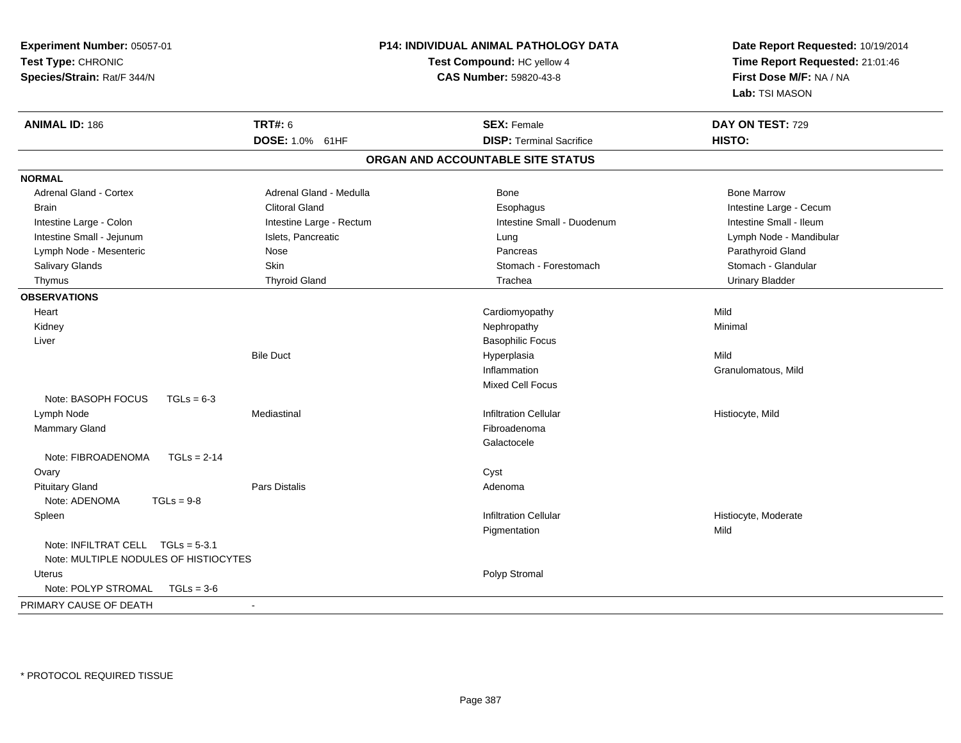| Experiment Number: 05057-01<br>Test Type: CHRONIC<br>Species/Strain: Rat/F 344/N |                           | <b>P14: INDIVIDUAL ANIMAL PATHOLOGY DATA</b><br>Test Compound: HC yellow 4<br><b>CAS Number: 59820-43-8</b> | Date Report Requested: 10/19/2014<br>Time Report Requested: 21:01:46<br>First Dose M/F: NA / NA<br>Lab: TSI MASON |
|----------------------------------------------------------------------------------|---------------------------|-------------------------------------------------------------------------------------------------------------|-------------------------------------------------------------------------------------------------------------------|
| <b>ANIMAL ID: 186</b>                                                            | <b>TRT#: 6</b>            | <b>SEX: Female</b>                                                                                          | DAY ON TEST: 729                                                                                                  |
|                                                                                  | <b>DOSE: 1.0%</b><br>61HF | <b>DISP: Terminal Sacrifice</b>                                                                             | HISTO:                                                                                                            |
|                                                                                  |                           | ORGAN AND ACCOUNTABLE SITE STATUS                                                                           |                                                                                                                   |
| <b>NORMAL</b>                                                                    |                           |                                                                                                             |                                                                                                                   |
| <b>Adrenal Gland - Cortex</b>                                                    | Adrenal Gland - Medulla   | Bone                                                                                                        | <b>Bone Marrow</b>                                                                                                |
| <b>Brain</b>                                                                     | <b>Clitoral Gland</b>     | Esophagus                                                                                                   | Intestine Large - Cecum                                                                                           |
| Intestine Large - Colon                                                          | Intestine Large - Rectum  | Intestine Small - Duodenum                                                                                  | Intestine Small - Ileum                                                                                           |
| Intestine Small - Jejunum                                                        | Islets, Pancreatic        | Lung                                                                                                        | Lymph Node - Mandibular                                                                                           |
| Lymph Node - Mesenteric                                                          | Nose                      | Pancreas                                                                                                    | Parathyroid Gland                                                                                                 |
| Salivary Glands                                                                  | Skin                      | Stomach - Forestomach                                                                                       | Stomach - Glandular                                                                                               |
| Thymus                                                                           | <b>Thyroid Gland</b>      | Trachea                                                                                                     | <b>Urinary Bladder</b>                                                                                            |
| <b>OBSERVATIONS</b>                                                              |                           |                                                                                                             |                                                                                                                   |
| Heart                                                                            |                           | Cardiomyopathy                                                                                              | Mild                                                                                                              |
| Kidney                                                                           |                           | Nephropathy                                                                                                 | Minimal                                                                                                           |
| Liver                                                                            |                           | <b>Basophilic Focus</b>                                                                                     |                                                                                                                   |
|                                                                                  | <b>Bile Duct</b>          | Hyperplasia                                                                                                 | Mild                                                                                                              |
|                                                                                  |                           | Inflammation                                                                                                | Granulomatous, Mild                                                                                               |
|                                                                                  |                           | <b>Mixed Cell Focus</b>                                                                                     |                                                                                                                   |
| Note: BASOPH FOCUS<br>$TGLs = 6-3$                                               |                           |                                                                                                             |                                                                                                                   |
| Lymph Node                                                                       | Mediastinal               | <b>Infiltration Cellular</b>                                                                                | Histiocyte, Mild                                                                                                  |
| <b>Mammary Gland</b>                                                             |                           | Fibroadenoma                                                                                                |                                                                                                                   |
|                                                                                  |                           | Galactocele                                                                                                 |                                                                                                                   |
| Note: FIBROADENOMA<br>$TGLs = 2-14$                                              |                           |                                                                                                             |                                                                                                                   |
| Ovary                                                                            |                           | Cyst                                                                                                        |                                                                                                                   |
| <b>Pituitary Gland</b>                                                           | Pars Distalis             | Adenoma                                                                                                     |                                                                                                                   |
| Note: ADENOMA<br>$TGLs = 9-8$                                                    |                           |                                                                                                             |                                                                                                                   |
| Spleen                                                                           |                           | <b>Infiltration Cellular</b>                                                                                | Histiocyte, Moderate                                                                                              |
|                                                                                  |                           | Pigmentation                                                                                                | Mild                                                                                                              |
| Note: INFILTRAT CELL TGLs = 5-3.1<br>Note: MULTIPLE NODULES OF HISTIOCYTES       |                           |                                                                                                             |                                                                                                                   |
| <b>Uterus</b>                                                                    |                           | Polyp Stromal                                                                                               |                                                                                                                   |
| Note: POLYP STROMAL<br>$TGLs = 3-6$                                              |                           |                                                                                                             |                                                                                                                   |
| PRIMARY CAUSE OF DEATH                                                           | $\blacksquare$            |                                                                                                             |                                                                                                                   |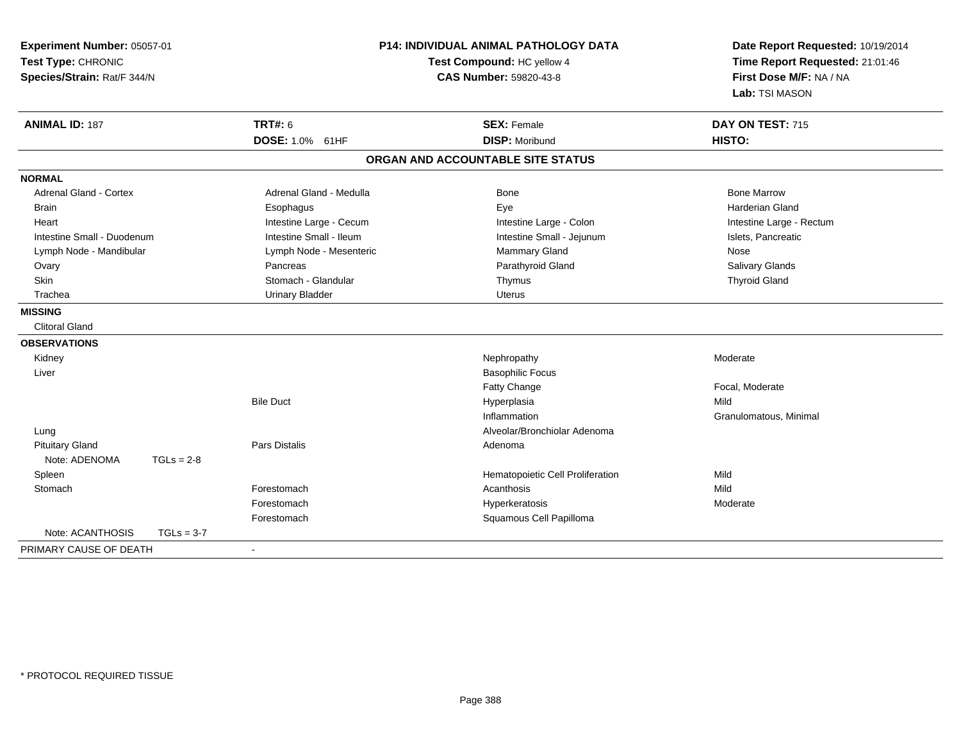| Experiment Number: 05057-01<br>Test Type: CHRONIC<br>Species/Strain: Rat/F 344/N |              |                          | <b>P14: INDIVIDUAL ANIMAL PATHOLOGY DATA</b><br>Test Compound: HC yellow 4<br><b>CAS Number: 59820-43-8</b> | Date Report Requested: 10/19/2014<br>Time Report Requested: 21:01:46<br>First Dose M/F: NA / NA<br>Lab: TSI MASON |
|----------------------------------------------------------------------------------|--------------|--------------------------|-------------------------------------------------------------------------------------------------------------|-------------------------------------------------------------------------------------------------------------------|
| <b>ANIMAL ID: 187</b>                                                            |              | <b>TRT#: 6</b>           | <b>SEX: Female</b>                                                                                          | DAY ON TEST: 715                                                                                                  |
|                                                                                  |              | <b>DOSE: 1.0% 61HF</b>   | <b>DISP: Moribund</b>                                                                                       | HISTO:                                                                                                            |
|                                                                                  |              |                          | ORGAN AND ACCOUNTABLE SITE STATUS                                                                           |                                                                                                                   |
| <b>NORMAL</b>                                                                    |              |                          |                                                                                                             |                                                                                                                   |
| <b>Adrenal Gland - Cortex</b>                                                    |              | Adrenal Gland - Medulla  | <b>Bone</b>                                                                                                 | <b>Bone Marrow</b>                                                                                                |
| <b>Brain</b>                                                                     |              | Esophagus                | Eye                                                                                                         | <b>Harderian Gland</b>                                                                                            |
| Heart                                                                            |              | Intestine Large - Cecum  | Intestine Large - Colon                                                                                     | Intestine Large - Rectum                                                                                          |
| Intestine Small - Duodenum                                                       |              | Intestine Small - Ileum  | Intestine Small - Jejunum                                                                                   | Islets, Pancreatic                                                                                                |
| Lymph Node - Mandibular                                                          |              | Lymph Node - Mesenteric  | Mammary Gland                                                                                               | Nose                                                                                                              |
| Ovary                                                                            |              | Pancreas                 | Parathyroid Gland                                                                                           | Salivary Glands                                                                                                   |
| Skin                                                                             |              | Stomach - Glandular      | Thymus                                                                                                      | <b>Thyroid Gland</b>                                                                                              |
| Trachea                                                                          |              | <b>Urinary Bladder</b>   | Uterus                                                                                                      |                                                                                                                   |
| <b>MISSING</b>                                                                   |              |                          |                                                                                                             |                                                                                                                   |
| <b>Clitoral Gland</b>                                                            |              |                          |                                                                                                             |                                                                                                                   |
| <b>OBSERVATIONS</b>                                                              |              |                          |                                                                                                             |                                                                                                                   |
| Kidney                                                                           |              |                          | Nephropathy                                                                                                 | Moderate                                                                                                          |
| Liver                                                                            |              |                          | <b>Basophilic Focus</b>                                                                                     |                                                                                                                   |
|                                                                                  |              |                          | Fatty Change                                                                                                | Focal, Moderate                                                                                                   |
|                                                                                  |              | <b>Bile Duct</b>         | Hyperplasia                                                                                                 | Mild                                                                                                              |
|                                                                                  |              |                          | Inflammation                                                                                                | Granulomatous, Minimal                                                                                            |
| Lung                                                                             |              |                          | Alveolar/Bronchiolar Adenoma                                                                                |                                                                                                                   |
| <b>Pituitary Gland</b>                                                           |              | <b>Pars Distalis</b>     | Adenoma                                                                                                     |                                                                                                                   |
| Note: ADENOMA                                                                    | $TGLs = 2-8$ |                          |                                                                                                             |                                                                                                                   |
| Spleen                                                                           |              |                          | Hematopoietic Cell Proliferation                                                                            | Mild                                                                                                              |
| Stomach                                                                          |              | Forestomach              | Acanthosis                                                                                                  | Mild                                                                                                              |
|                                                                                  |              | Forestomach              | Hyperkeratosis                                                                                              | Moderate                                                                                                          |
|                                                                                  |              | Forestomach              | Squamous Cell Papilloma                                                                                     |                                                                                                                   |
| Note: ACANTHOSIS                                                                 | $TGLs = 3-7$ |                          |                                                                                                             |                                                                                                                   |
| PRIMARY CAUSE OF DEATH                                                           |              | $\overline{\phantom{a}}$ |                                                                                                             |                                                                                                                   |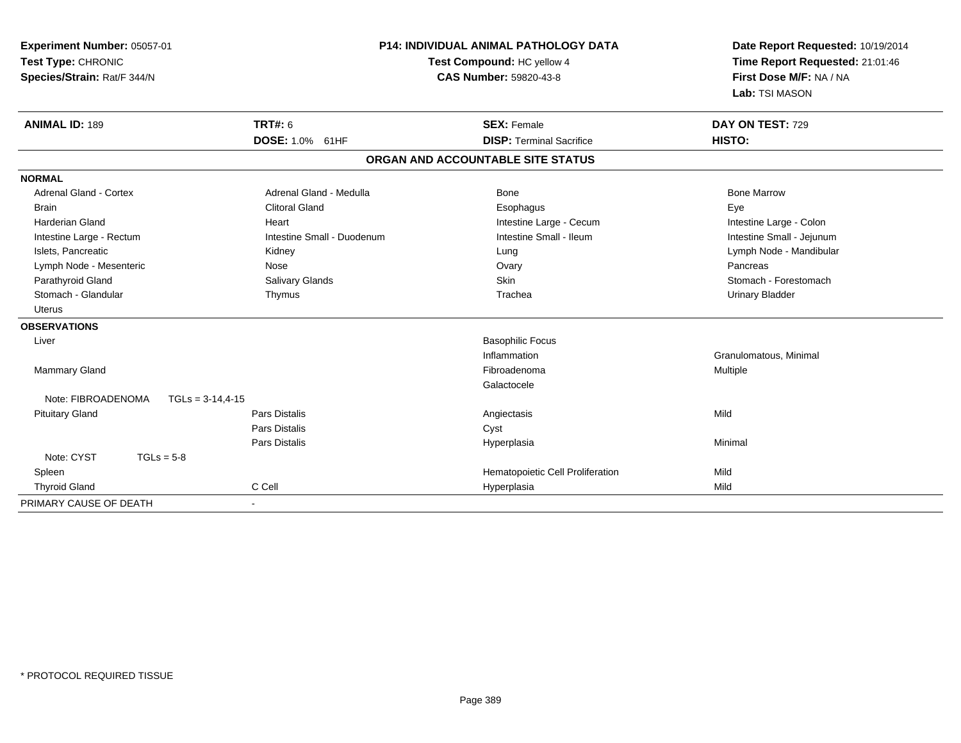| Experiment Number: 05057-01<br>Test Type: CHRONIC |                               | P14: INDIVIDUAL ANIMAL PATHOLOGY DATA<br>Test Compound: HC yellow 4 | Date Report Requested: 10/19/2014<br>Time Report Requested: 21:01:46 |
|---------------------------------------------------|-------------------------------|---------------------------------------------------------------------|----------------------------------------------------------------------|
| Species/Strain: Rat/F 344/N                       | <b>CAS Number: 59820-43-8</b> |                                                                     | First Dose M/F: NA / NA                                              |
|                                                   |                               |                                                                     | Lab: TSI MASON                                                       |
| <b>ANIMAL ID: 189</b>                             | <b>TRT#: 6</b>                | <b>SEX: Female</b>                                                  | DAY ON TEST: 729                                                     |
|                                                   | DOSE: 1.0% 61HF               | <b>DISP: Terminal Sacrifice</b>                                     | HISTO:                                                               |
|                                                   |                               | ORGAN AND ACCOUNTABLE SITE STATUS                                   |                                                                      |
| <b>NORMAL</b>                                     |                               |                                                                     |                                                                      |
| Adrenal Gland - Cortex                            | Adrenal Gland - Medulla       | <b>Bone</b>                                                         | <b>Bone Marrow</b>                                                   |
| <b>Brain</b>                                      | <b>Clitoral Gland</b>         | Esophagus                                                           | Eye                                                                  |
| <b>Harderian Gland</b>                            | Heart                         | Intestine Large - Cecum                                             | Intestine Large - Colon                                              |
| Intestine Large - Rectum                          | Intestine Small - Duodenum    | Intestine Small - Ileum                                             | Intestine Small - Jejunum                                            |
| Islets, Pancreatic                                | Kidney                        | Lung                                                                | Lymph Node - Mandibular                                              |
| Lymph Node - Mesenteric                           | Nose                          | Ovary                                                               | Pancreas                                                             |
| Parathyroid Gland                                 | Salivary Glands               | Skin                                                                | Stomach - Forestomach                                                |
| Stomach - Glandular                               | Thymus                        | Trachea                                                             | <b>Urinary Bladder</b>                                               |
| Uterus                                            |                               |                                                                     |                                                                      |
| <b>OBSERVATIONS</b>                               |                               |                                                                     |                                                                      |
| Liver                                             |                               | <b>Basophilic Focus</b>                                             |                                                                      |
|                                                   |                               | Inflammation                                                        | Granulomatous, Minimal                                               |
| Mammary Gland                                     |                               | Fibroadenoma                                                        | Multiple                                                             |
|                                                   |                               | Galactocele                                                         |                                                                      |
| Note: FIBROADENOMA<br>$TGLs = 3-14,4-15$          |                               |                                                                     |                                                                      |
| <b>Pituitary Gland</b>                            | <b>Pars Distalis</b>          | Angiectasis                                                         | Mild                                                                 |
|                                                   | <b>Pars Distalis</b>          | Cyst                                                                |                                                                      |
|                                                   | <b>Pars Distalis</b>          | Hyperplasia                                                         | Minimal                                                              |
| Note: CYST<br>$TGLs = 5-8$                        |                               |                                                                     |                                                                      |
| Spleen                                            |                               | Hematopoietic Cell Proliferation                                    | Mild                                                                 |
| <b>Thyroid Gland</b>                              | C Cell                        | Hyperplasia                                                         | Mild                                                                 |
| PRIMARY CAUSE OF DEATH                            |                               |                                                                     |                                                                      |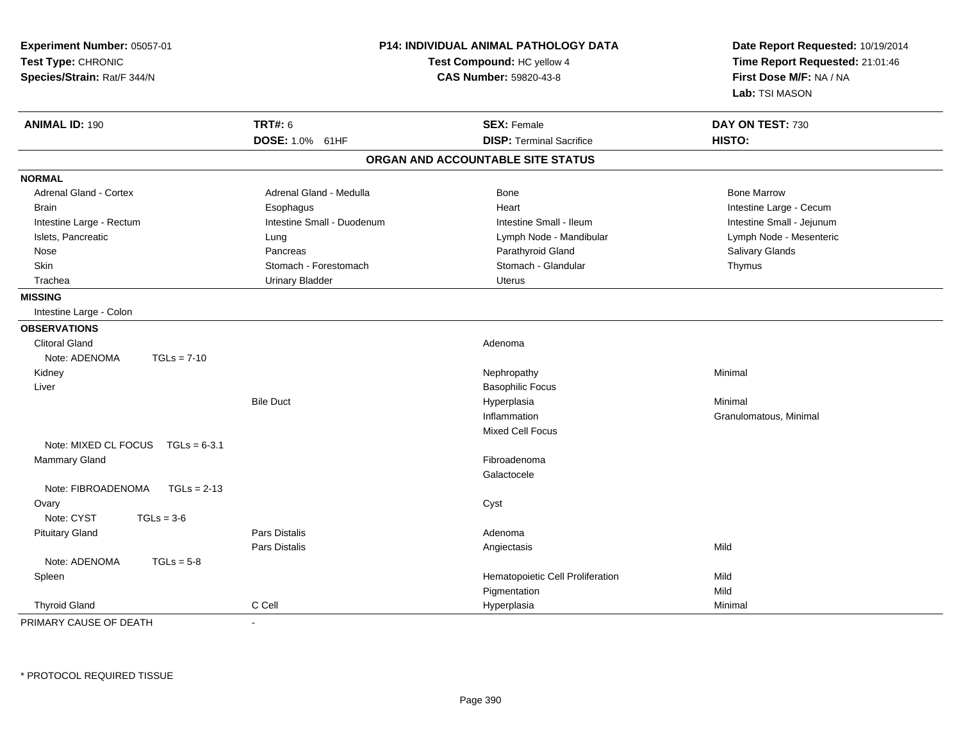| Experiment Number: 05057-01<br>Test Type: CHRONIC<br>Species/Strain: Rat/F 344/N |                            | P14: INDIVIDUAL ANIMAL PATHOLOGY DATA<br>Test Compound: HC yellow 4<br>CAS Number: 59820-43-8 | Date Report Requested: 10/19/2014<br>Time Report Requested: 21:01:46<br>First Dose M/F: NA / NA<br>Lab: TSI MASON |  |
|----------------------------------------------------------------------------------|----------------------------|-----------------------------------------------------------------------------------------------|-------------------------------------------------------------------------------------------------------------------|--|
| <b>ANIMAL ID: 190</b>                                                            | <b>TRT#: 6</b>             | <b>SEX: Female</b>                                                                            | DAY ON TEST: 730                                                                                                  |  |
|                                                                                  | DOSE: 1.0% 61HF            | <b>DISP: Terminal Sacrifice</b>                                                               | HISTO:                                                                                                            |  |
|                                                                                  |                            | ORGAN AND ACCOUNTABLE SITE STATUS                                                             |                                                                                                                   |  |
| <b>NORMAL</b>                                                                    |                            |                                                                                               |                                                                                                                   |  |
| <b>Adrenal Gland - Cortex</b>                                                    | Adrenal Gland - Medulla    | Bone                                                                                          | <b>Bone Marrow</b>                                                                                                |  |
| <b>Brain</b>                                                                     | Esophagus                  | Heart                                                                                         | Intestine Large - Cecum                                                                                           |  |
| Intestine Large - Rectum                                                         | Intestine Small - Duodenum | Intestine Small - Ileum                                                                       | Intestine Small - Jejunum                                                                                         |  |
| Islets, Pancreatic                                                               | Lung                       | Lymph Node - Mandibular                                                                       | Lymph Node - Mesenteric                                                                                           |  |
| Nose                                                                             | Pancreas                   | Parathyroid Gland                                                                             | Salivary Glands                                                                                                   |  |
| Skin                                                                             | Stomach - Forestomach      | Stomach - Glandular                                                                           | Thymus                                                                                                            |  |
| Trachea                                                                          | <b>Urinary Bladder</b>     | Uterus                                                                                        |                                                                                                                   |  |
| <b>MISSING</b>                                                                   |                            |                                                                                               |                                                                                                                   |  |
| Intestine Large - Colon                                                          |                            |                                                                                               |                                                                                                                   |  |
| <b>OBSERVATIONS</b>                                                              |                            |                                                                                               |                                                                                                                   |  |
| <b>Clitoral Gland</b>                                                            |                            | Adenoma                                                                                       |                                                                                                                   |  |
| Note: ADENOMA<br>$TGLs = 7-10$                                                   |                            |                                                                                               |                                                                                                                   |  |
| Kidney                                                                           |                            | Nephropathy                                                                                   | Minimal                                                                                                           |  |
| Liver                                                                            |                            | <b>Basophilic Focus</b>                                                                       |                                                                                                                   |  |
|                                                                                  | <b>Bile Duct</b>           | Hyperplasia                                                                                   | Minimal                                                                                                           |  |
|                                                                                  |                            | Inflammation                                                                                  | Granulomatous, Minimal                                                                                            |  |
|                                                                                  |                            | <b>Mixed Cell Focus</b>                                                                       |                                                                                                                   |  |
| Note: MIXED CL FOCUS<br>$TGLs = 6-3.1$                                           |                            |                                                                                               |                                                                                                                   |  |
| Mammary Gland                                                                    |                            | Fibroadenoma                                                                                  |                                                                                                                   |  |
|                                                                                  |                            | Galactocele                                                                                   |                                                                                                                   |  |
| Note: FIBROADENOMA<br>$TGLs = 2-13$                                              |                            |                                                                                               |                                                                                                                   |  |
| Ovary                                                                            |                            | Cyst                                                                                          |                                                                                                                   |  |
| Note: CYST<br>$TGLs = 3-6$                                                       |                            |                                                                                               |                                                                                                                   |  |
| <b>Pituitary Gland</b>                                                           | <b>Pars Distalis</b>       | Adenoma                                                                                       |                                                                                                                   |  |
|                                                                                  | <b>Pars Distalis</b>       | Angiectasis                                                                                   | Mild                                                                                                              |  |
| Note: ADENOMA<br>$TGLs = 5-8$                                                    |                            |                                                                                               |                                                                                                                   |  |
| Spleen                                                                           |                            | Hematopoietic Cell Proliferation                                                              | Mild                                                                                                              |  |
|                                                                                  |                            | Pigmentation                                                                                  | Mild                                                                                                              |  |
| <b>Thyroid Gland</b>                                                             | C Cell                     | Hyperplasia                                                                                   | Minimal                                                                                                           |  |

PRIMARY CAUSE OF DEATH-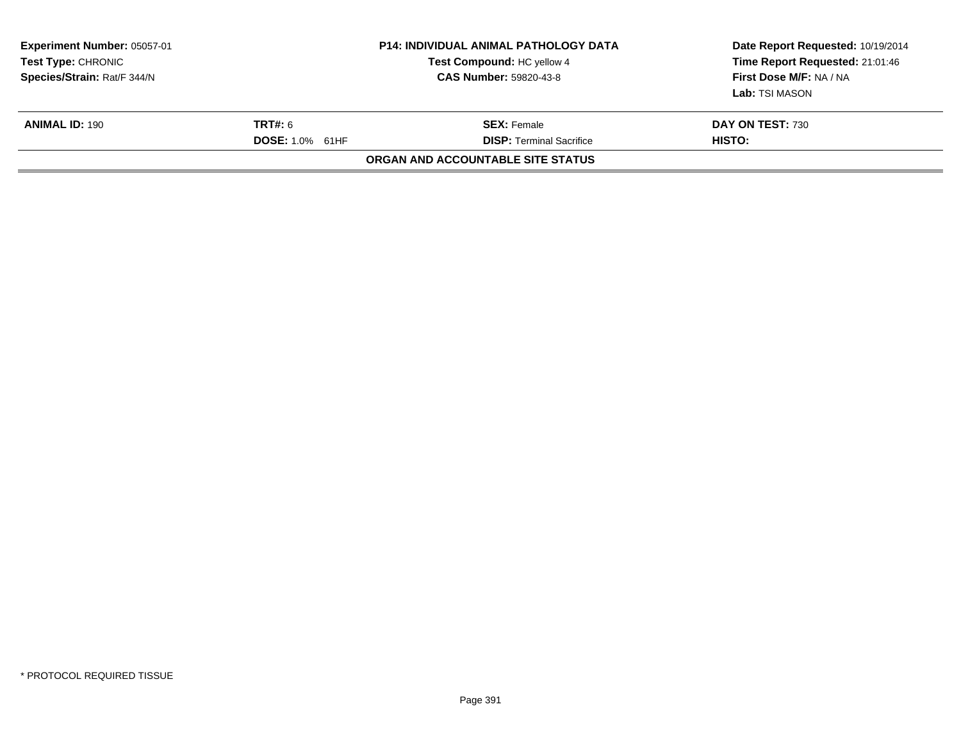| <b>Experiment Number: 05057-01</b><br>Test Compound: HC yellow 4<br>Test Type: CHRONIC<br>Species/Strain: Rat/F 344/N<br><b>CAS Number: 59820-43-8</b> |                                   | <b>P14: INDIVIDUAL ANIMAL PATHOLOGY DATA</b>          | Date Report Requested: 10/19/2014<br>Time Report Requested: 21:01:46<br>First Dose M/F: NA / NA<br>Lab: TSI MASON |  |
|--------------------------------------------------------------------------------------------------------------------------------------------------------|-----------------------------------|-------------------------------------------------------|-------------------------------------------------------------------------------------------------------------------|--|
| <b>ANIMAL ID: 190</b>                                                                                                                                  | TRT#: 6<br><b>DOSE: 1.0% 61HF</b> | <b>SEX:</b> Female<br><b>DISP: Terminal Sacrifice</b> | DAY ON TEST: 730<br>HISTO:                                                                                        |  |
|                                                                                                                                                        |                                   | ORGAN AND ACCOUNTABLE SITE STATUS                     |                                                                                                                   |  |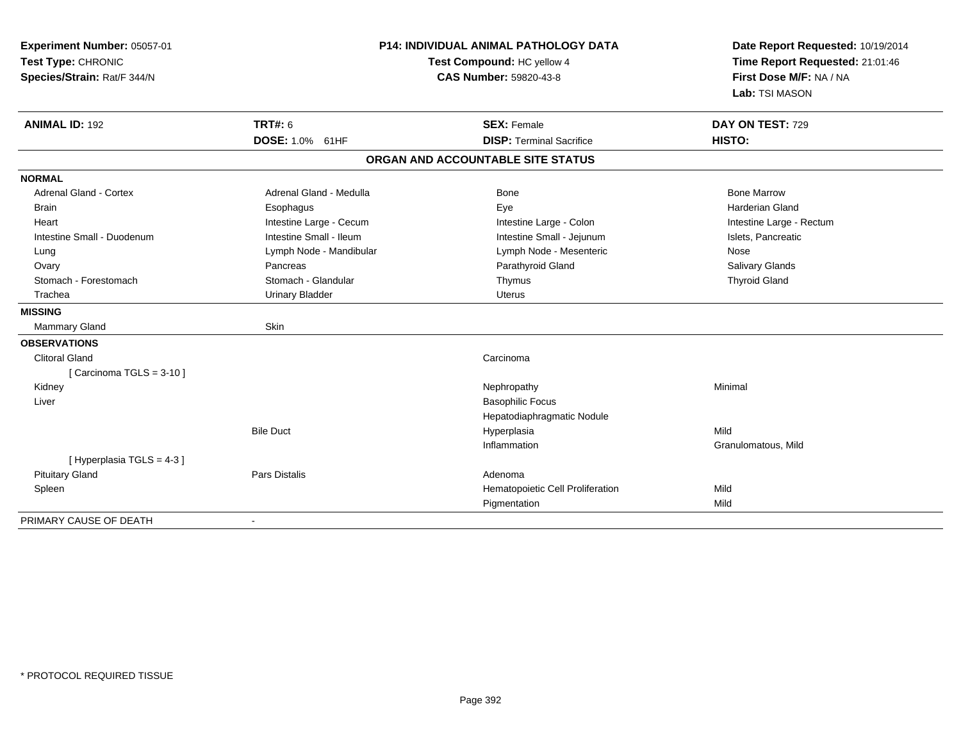| Experiment Number: 05057-01<br>Test Type: CHRONIC<br>Species/Strain: Rat/F 344/N |                         | <b>P14: INDIVIDUAL ANIMAL PATHOLOGY DATA</b><br>Test Compound: HC yellow 4<br><b>CAS Number: 59820-43-8</b> | Date Report Requested: 10/19/2014<br>Time Report Requested: 21:01:46<br>First Dose M/F: NA / NA<br>Lab: TSI MASON |
|----------------------------------------------------------------------------------|-------------------------|-------------------------------------------------------------------------------------------------------------|-------------------------------------------------------------------------------------------------------------------|
| <b>ANIMAL ID: 192</b>                                                            | <b>TRT#: 6</b>          | <b>SEX: Female</b>                                                                                          | DAY ON TEST: 729                                                                                                  |
|                                                                                  | <b>DOSE: 1.0% 61HF</b>  | <b>DISP: Terminal Sacrifice</b>                                                                             | HISTO:                                                                                                            |
|                                                                                  |                         | ORGAN AND ACCOUNTABLE SITE STATUS                                                                           |                                                                                                                   |
| <b>NORMAL</b>                                                                    |                         |                                                                                                             |                                                                                                                   |
| <b>Adrenal Gland - Cortex</b>                                                    | Adrenal Gland - Medulla | Bone                                                                                                        | <b>Bone Marrow</b>                                                                                                |
| <b>Brain</b>                                                                     | Esophagus               | Eye                                                                                                         | <b>Harderian Gland</b>                                                                                            |
| Heart                                                                            | Intestine Large - Cecum | Intestine Large - Colon                                                                                     | Intestine Large - Rectum                                                                                          |
| Intestine Small - Duodenum                                                       | Intestine Small - Ileum | Intestine Small - Jejunum                                                                                   | Islets, Pancreatic                                                                                                |
| Lung                                                                             | Lymph Node - Mandibular | Lymph Node - Mesenteric                                                                                     | Nose                                                                                                              |
| Ovary                                                                            | Pancreas                | Parathyroid Gland                                                                                           | <b>Salivary Glands</b>                                                                                            |
| Stomach - Forestomach                                                            | Stomach - Glandular     | Thymus                                                                                                      | <b>Thyroid Gland</b>                                                                                              |
| Trachea                                                                          | <b>Urinary Bladder</b>  | <b>Uterus</b>                                                                                               |                                                                                                                   |
| <b>MISSING</b>                                                                   |                         |                                                                                                             |                                                                                                                   |
| Mammary Gland                                                                    | Skin                    |                                                                                                             |                                                                                                                   |
| <b>OBSERVATIONS</b>                                                              |                         |                                                                                                             |                                                                                                                   |
| <b>Clitoral Gland</b>                                                            |                         | Carcinoma                                                                                                   |                                                                                                                   |
| [Carcinoma TGLS = $3-10$ ]                                                       |                         |                                                                                                             |                                                                                                                   |
| Kidney                                                                           |                         | Nephropathy                                                                                                 | Minimal                                                                                                           |
| Liver                                                                            |                         | <b>Basophilic Focus</b>                                                                                     |                                                                                                                   |
|                                                                                  |                         | Hepatodiaphragmatic Nodule                                                                                  |                                                                                                                   |
|                                                                                  | <b>Bile Duct</b>        | Hyperplasia                                                                                                 | Mild                                                                                                              |
|                                                                                  |                         | Inflammation                                                                                                | Granulomatous, Mild                                                                                               |
| [Hyperplasia TGLS = 4-3]                                                         |                         |                                                                                                             |                                                                                                                   |
| <b>Pituitary Gland</b>                                                           | <b>Pars Distalis</b>    | Adenoma                                                                                                     |                                                                                                                   |
| Spleen                                                                           |                         | Hematopoietic Cell Proliferation                                                                            | Mild                                                                                                              |
|                                                                                  |                         | Pigmentation                                                                                                | Mild                                                                                                              |
| PRIMARY CAUSE OF DEATH                                                           | $\sim$                  |                                                                                                             |                                                                                                                   |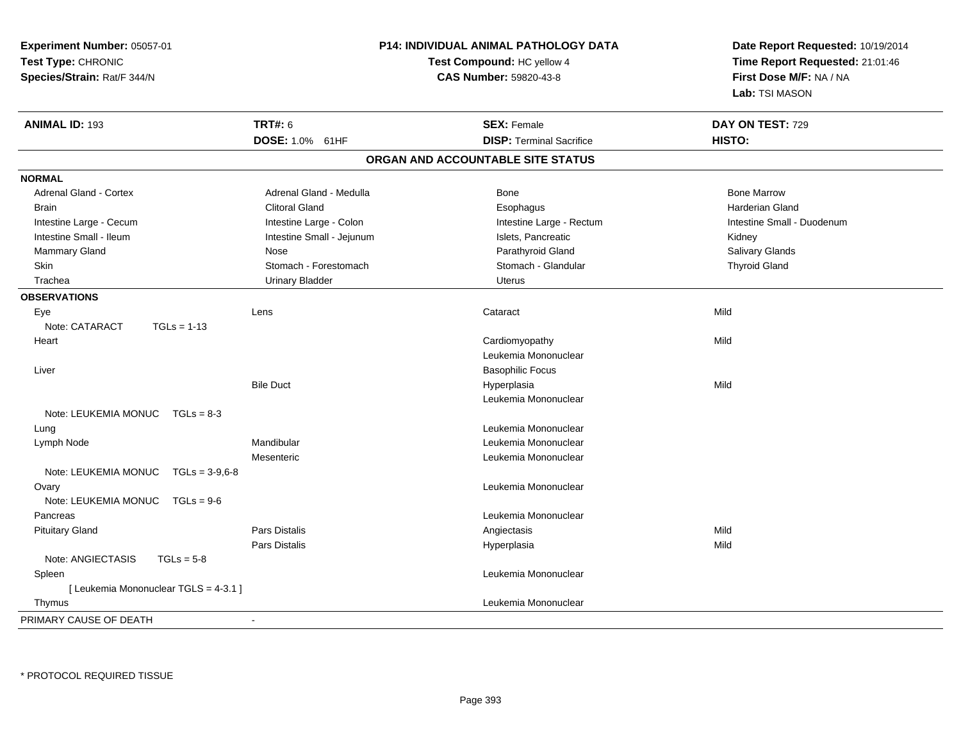| Experiment Number: 05057-01<br>Test Type: CHRONIC<br>Species/Strain: Rat/F 344/N |                           | P14: INDIVIDUAL ANIMAL PATHOLOGY DATA<br>Test Compound: HC yellow 4<br>CAS Number: 59820-43-8 | Date Report Requested: 10/19/2014<br>Time Report Requested: 21:01:46<br>First Dose M/F: NA / NA<br>Lab: TSI MASON |
|----------------------------------------------------------------------------------|---------------------------|-----------------------------------------------------------------------------------------------|-------------------------------------------------------------------------------------------------------------------|
| <b>ANIMAL ID: 193</b>                                                            | <b>TRT#: 6</b>            | <b>SEX: Female</b>                                                                            | DAY ON TEST: 729                                                                                                  |
|                                                                                  | DOSE: 1.0% 61HF           | <b>DISP: Terminal Sacrifice</b>                                                               | HISTO:                                                                                                            |
|                                                                                  |                           | ORGAN AND ACCOUNTABLE SITE STATUS                                                             |                                                                                                                   |
| <b>NORMAL</b>                                                                    |                           |                                                                                               |                                                                                                                   |
| <b>Adrenal Gland - Cortex</b>                                                    | Adrenal Gland - Medulla   | Bone                                                                                          | <b>Bone Marrow</b>                                                                                                |
| <b>Brain</b>                                                                     | <b>Clitoral Gland</b>     | Esophagus                                                                                     | <b>Harderian Gland</b>                                                                                            |
| Intestine Large - Cecum                                                          | Intestine Large - Colon   | Intestine Large - Rectum                                                                      | Intestine Small - Duodenum                                                                                        |
| Intestine Small - Ileum                                                          | Intestine Small - Jejunum | Islets, Pancreatic                                                                            | Kidney                                                                                                            |
| Mammary Gland                                                                    | Nose                      | Parathyroid Gland                                                                             | Salivary Glands                                                                                                   |
| Skin                                                                             | Stomach - Forestomach     | Stomach - Glandular                                                                           | <b>Thyroid Gland</b>                                                                                              |
| Trachea                                                                          | <b>Urinary Bladder</b>    | <b>Uterus</b>                                                                                 |                                                                                                                   |
| <b>OBSERVATIONS</b>                                                              |                           |                                                                                               |                                                                                                                   |
| Eye                                                                              | Lens                      | Cataract                                                                                      | Mild                                                                                                              |
| Note: CATARACT<br>$TGLs = 1-13$                                                  |                           |                                                                                               |                                                                                                                   |
| Heart                                                                            |                           | Cardiomyopathy                                                                                | Mild                                                                                                              |
|                                                                                  |                           | Leukemia Mononuclear                                                                          |                                                                                                                   |
| Liver                                                                            |                           | <b>Basophilic Focus</b>                                                                       |                                                                                                                   |
|                                                                                  | <b>Bile Duct</b>          | Hyperplasia                                                                                   | Mild                                                                                                              |
|                                                                                  |                           | Leukemia Mononuclear                                                                          |                                                                                                                   |
| Note: LEUKEMIA MONUC<br>$TGLs = 8-3$                                             |                           |                                                                                               |                                                                                                                   |
| Lung                                                                             |                           | Leukemia Mononuclear                                                                          |                                                                                                                   |
| Lymph Node                                                                       | Mandibular                | Leukemia Mononuclear                                                                          |                                                                                                                   |
|                                                                                  | Mesenteric                | Leukemia Mononuclear                                                                          |                                                                                                                   |
| Note: LEUKEMIA MONUC TGLs = 3-9,6-8                                              |                           |                                                                                               |                                                                                                                   |
| Ovary                                                                            |                           | Leukemia Mononuclear                                                                          |                                                                                                                   |
| Note: LEUKEMIA MONUC<br>$TGLs = 9-6$                                             |                           |                                                                                               |                                                                                                                   |
| Pancreas                                                                         |                           | Leukemia Mononuclear                                                                          |                                                                                                                   |
| <b>Pituitary Gland</b>                                                           | <b>Pars Distalis</b>      | Angiectasis                                                                                   | Mild                                                                                                              |
|                                                                                  | Pars Distalis             | Hyperplasia                                                                                   | Mild                                                                                                              |
| Note: ANGIECTASIS<br>$TGLs = 5-8$                                                |                           |                                                                                               |                                                                                                                   |
| Spleen                                                                           |                           | Leukemia Mononuclear                                                                          |                                                                                                                   |
| [ Leukemia Mononuclear TGLS = 4-3.1 ]                                            |                           | Leukemia Mononuclear                                                                          |                                                                                                                   |
| Thymus                                                                           |                           |                                                                                               |                                                                                                                   |
| PRIMARY CAUSE OF DEATH                                                           |                           |                                                                                               |                                                                                                                   |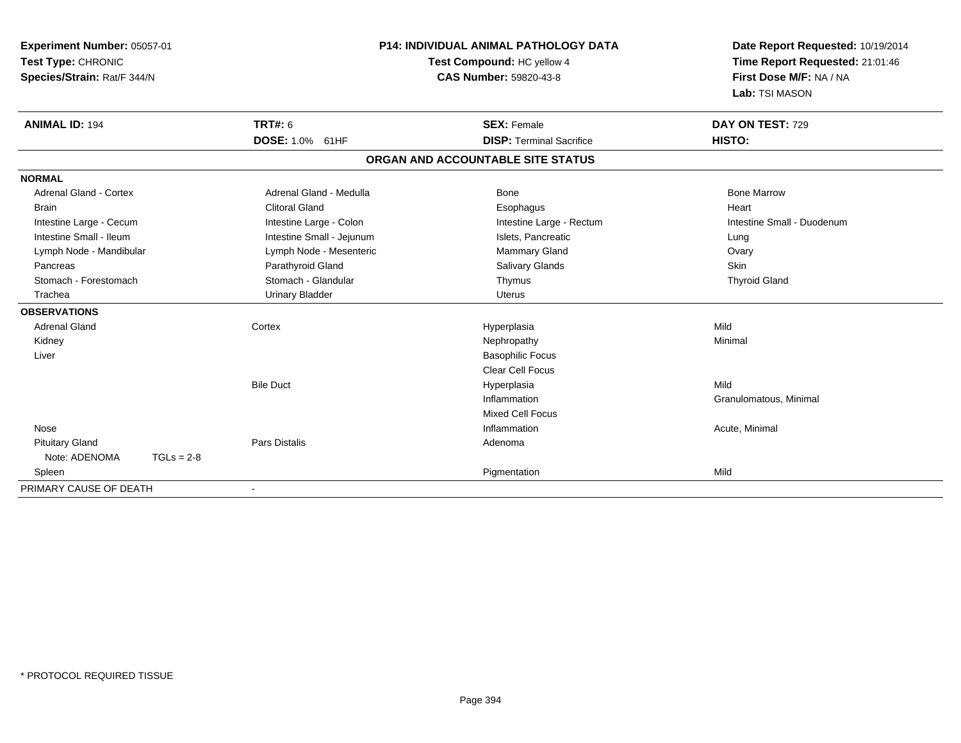| Experiment Number: 05057-01<br>Test Type: CHRONIC<br>Species/Strain: Rat/F 344/N |                           | <b>P14: INDIVIDUAL ANIMAL PATHOLOGY DATA</b><br>Test Compound: HC yellow 4<br><b>CAS Number: 59820-43-8</b> | Date Report Requested: 10/19/2014<br>Time Report Requested: 21:01:46<br>First Dose M/F: NA / NA<br>Lab: TSI MASON |
|----------------------------------------------------------------------------------|---------------------------|-------------------------------------------------------------------------------------------------------------|-------------------------------------------------------------------------------------------------------------------|
| <b>ANIMAL ID: 194</b>                                                            | <b>TRT#: 6</b>            | <b>SEX: Female</b>                                                                                          | DAY ON TEST: 729                                                                                                  |
|                                                                                  | DOSE: 1.0% 61HF           | <b>DISP: Terminal Sacrifice</b>                                                                             | HISTO:                                                                                                            |
|                                                                                  |                           | ORGAN AND ACCOUNTABLE SITE STATUS                                                                           |                                                                                                                   |
| <b>NORMAL</b>                                                                    |                           |                                                                                                             |                                                                                                                   |
| <b>Adrenal Gland - Cortex</b>                                                    | Adrenal Gland - Medulla   | Bone                                                                                                        | <b>Bone Marrow</b>                                                                                                |
| <b>Brain</b>                                                                     | <b>Clitoral Gland</b>     | Esophagus                                                                                                   | Heart                                                                                                             |
| Intestine Large - Cecum                                                          | Intestine Large - Colon   | Intestine Large - Rectum                                                                                    | Intestine Small - Duodenum                                                                                        |
| Intestine Small - Ileum                                                          | Intestine Small - Jejunum | Islets, Pancreatic                                                                                          | Lung                                                                                                              |
| Lymph Node - Mandibular                                                          | Lymph Node - Mesenteric   | Mammary Gland                                                                                               | Ovary                                                                                                             |
| Pancreas                                                                         | Parathyroid Gland         | <b>Salivary Glands</b>                                                                                      | Skin                                                                                                              |
| Stomach - Forestomach                                                            | Stomach - Glandular       | Thymus                                                                                                      | <b>Thyroid Gland</b>                                                                                              |
| Trachea                                                                          | <b>Urinary Bladder</b>    | Uterus                                                                                                      |                                                                                                                   |
| <b>OBSERVATIONS</b>                                                              |                           |                                                                                                             |                                                                                                                   |
| <b>Adrenal Gland</b>                                                             | Cortex                    | Hyperplasia                                                                                                 | Mild                                                                                                              |
| Kidney                                                                           |                           | Nephropathy                                                                                                 | Minimal                                                                                                           |
| Liver                                                                            |                           | <b>Basophilic Focus</b>                                                                                     |                                                                                                                   |
|                                                                                  |                           | <b>Clear Cell Focus</b>                                                                                     |                                                                                                                   |
|                                                                                  | <b>Bile Duct</b>          | Hyperplasia                                                                                                 | Mild                                                                                                              |
|                                                                                  |                           | Inflammation                                                                                                | Granulomatous, Minimal                                                                                            |
|                                                                                  |                           | <b>Mixed Cell Focus</b>                                                                                     |                                                                                                                   |
| Nose                                                                             |                           | Inflammation                                                                                                | Acute, Minimal                                                                                                    |
| <b>Pituitary Gland</b>                                                           | Pars Distalis             | Adenoma                                                                                                     |                                                                                                                   |
| Note: ADENOMA<br>$TGLs = 2-8$                                                    |                           |                                                                                                             |                                                                                                                   |
| Spleen                                                                           |                           | Pigmentation                                                                                                | Mild                                                                                                              |
| PRIMARY CAUSE OF DEATH                                                           |                           |                                                                                                             |                                                                                                                   |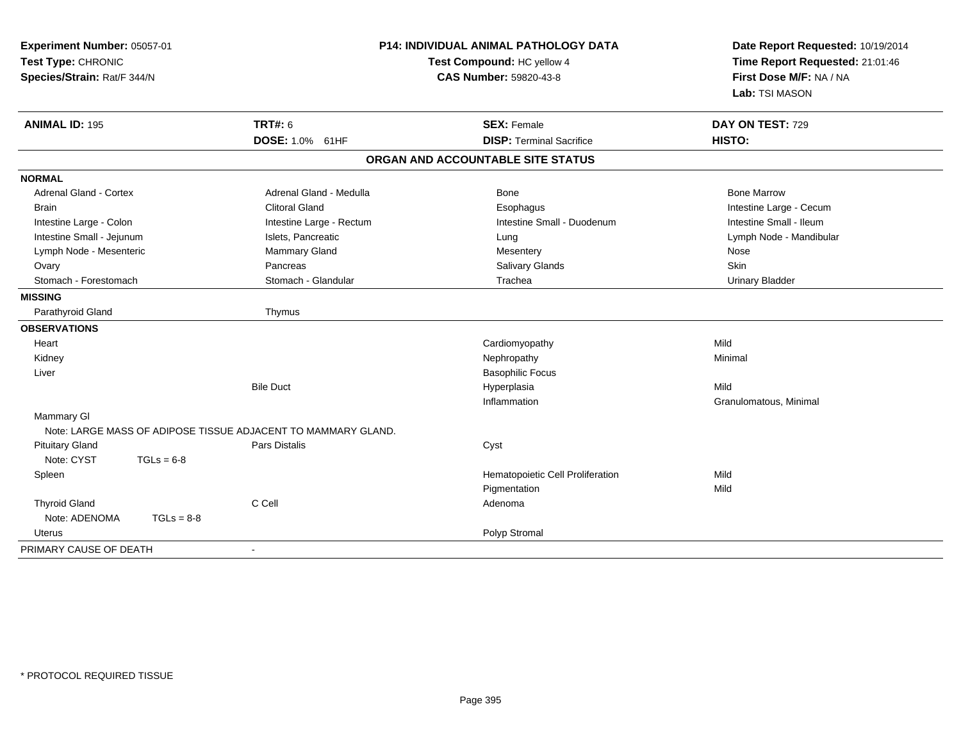| Experiment Number: 05057-01<br>Test Type: CHRONIC<br>Species/Strain: Rat/F 344/N |              |                                                               | <b>P14: INDIVIDUAL ANIMAL PATHOLOGY DATA</b><br>Test Compound: HC yellow 4<br><b>CAS Number: 59820-43-8</b> | Date Report Requested: 10/19/2014<br>Time Report Requested: 21:01:46<br>First Dose M/F: NA / NA<br>Lab: TSI MASON |
|----------------------------------------------------------------------------------|--------------|---------------------------------------------------------------|-------------------------------------------------------------------------------------------------------------|-------------------------------------------------------------------------------------------------------------------|
| <b>ANIMAL ID: 195</b>                                                            |              | <b>TRT#: 6</b>                                                | <b>SEX: Female</b>                                                                                          | DAY ON TEST: 729                                                                                                  |
|                                                                                  |              | DOSE: 1.0% 61HF                                               | <b>DISP: Terminal Sacrifice</b>                                                                             | HISTO:                                                                                                            |
|                                                                                  |              |                                                               | ORGAN AND ACCOUNTABLE SITE STATUS                                                                           |                                                                                                                   |
| <b>NORMAL</b>                                                                    |              |                                                               |                                                                                                             |                                                                                                                   |
| <b>Adrenal Gland - Cortex</b>                                                    |              | Adrenal Gland - Medulla                                       | <b>Bone</b>                                                                                                 | <b>Bone Marrow</b>                                                                                                |
| <b>Brain</b>                                                                     |              | <b>Clitoral Gland</b>                                         | Esophagus                                                                                                   | Intestine Large - Cecum                                                                                           |
| Intestine Large - Colon                                                          |              | Intestine Large - Rectum                                      | Intestine Small - Duodenum                                                                                  | Intestine Small - Ileum                                                                                           |
| Intestine Small - Jejunum                                                        |              | Islets, Pancreatic                                            | Lung                                                                                                        | Lymph Node - Mandibular                                                                                           |
| Lymph Node - Mesenteric                                                          |              | Mammary Gland                                                 | Mesentery                                                                                                   | Nose                                                                                                              |
| Ovary                                                                            |              | Pancreas                                                      | Salivary Glands                                                                                             | Skin                                                                                                              |
| Stomach - Forestomach                                                            |              | Stomach - Glandular                                           | Trachea                                                                                                     | <b>Urinary Bladder</b>                                                                                            |
| <b>MISSING</b>                                                                   |              |                                                               |                                                                                                             |                                                                                                                   |
| Parathyroid Gland                                                                |              | Thymus                                                        |                                                                                                             |                                                                                                                   |
| <b>OBSERVATIONS</b>                                                              |              |                                                               |                                                                                                             |                                                                                                                   |
| Heart                                                                            |              |                                                               | Cardiomyopathy                                                                                              | Mild                                                                                                              |
| Kidney                                                                           |              |                                                               | Nephropathy                                                                                                 | Minimal                                                                                                           |
| Liver                                                                            |              |                                                               | <b>Basophilic Focus</b>                                                                                     |                                                                                                                   |
|                                                                                  |              | <b>Bile Duct</b>                                              | Hyperplasia                                                                                                 | Mild                                                                                                              |
|                                                                                  |              |                                                               | Inflammation                                                                                                | Granulomatous, Minimal                                                                                            |
| <b>Mammary GI</b>                                                                |              |                                                               |                                                                                                             |                                                                                                                   |
|                                                                                  |              | Note: LARGE MASS OF ADIPOSE TISSUE ADJACENT TO MAMMARY GLAND. |                                                                                                             |                                                                                                                   |
| <b>Pituitary Gland</b>                                                           |              | Pars Distalis                                                 | Cyst                                                                                                        |                                                                                                                   |
| Note: CYST                                                                       | $TGLs = 6-8$ |                                                               |                                                                                                             |                                                                                                                   |
| Spleen                                                                           |              |                                                               | Hematopoietic Cell Proliferation                                                                            | Mild                                                                                                              |
|                                                                                  |              |                                                               | Pigmentation                                                                                                | Mild                                                                                                              |
| <b>Thyroid Gland</b>                                                             |              | C Cell                                                        | Adenoma                                                                                                     |                                                                                                                   |
| Note: ADENOMA                                                                    | $TGLs = 8-8$ |                                                               |                                                                                                             |                                                                                                                   |
| Uterus                                                                           |              |                                                               | Polyp Stromal                                                                                               |                                                                                                                   |
| PRIMARY CAUSE OF DEATH                                                           |              | $\blacksquare$                                                |                                                                                                             |                                                                                                                   |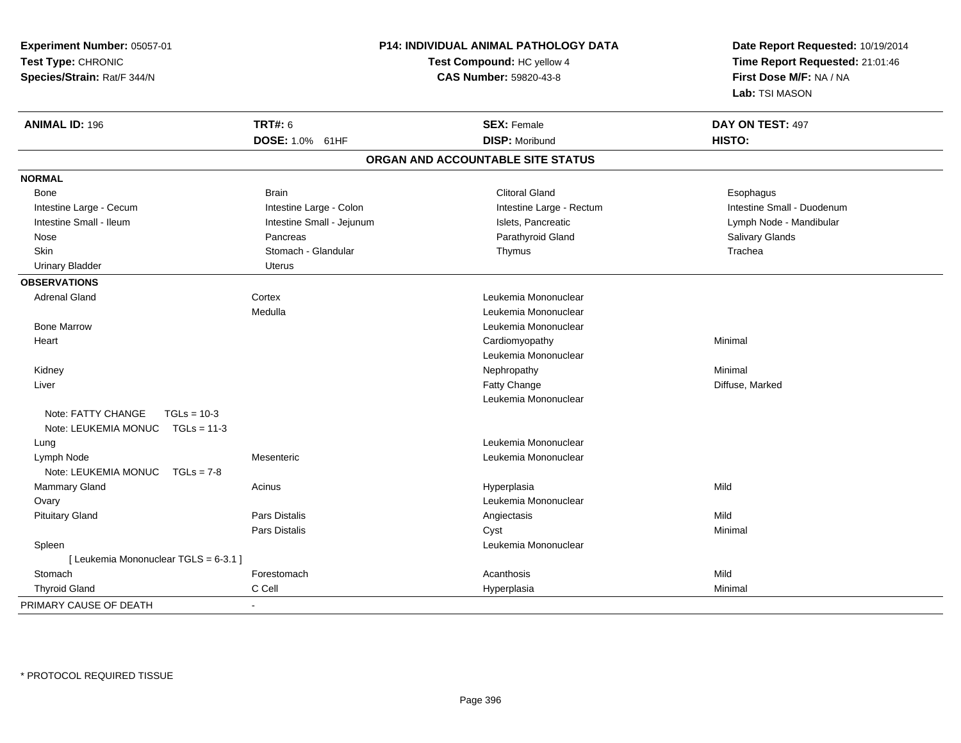**Experiment Number:** 05057-01**Test Type:** CHRONIC **Species/Strain:** Rat/F 344/N**P14: INDIVIDUAL ANIMAL PATHOLOGY DATATest Compound:** HC yellow 4**CAS Number:** 59820-43-8**Date Report Requested:** 10/19/2014**Time Report Requested:** 21:01:46**First Dose M/F:** NA / NA**Lab:** TSI MASON**ANIMAL ID:** 196**6 DAY ON TEST:** 497 **DOSE:** 1.0% 61HF**DISP:** Moribund **HISTO: ORGAN AND ACCOUNTABLE SITE STATUSNORMAL**Bone Bone Brain Clitoral Gland EsophagusIntestine Large - Cecum **Intestine Large - Colon** Intestine Large - Rectum Intestine Large - Rectum Intestine Small - Duodenum Lymph Node - Mandibular Intestine Small - Ileum Intestine Small - Jejunum Intestine Small - Jejunum Islets, Pancreatic Nose Pancreas Parathyroid Gland Salivary GlandsSkin Stomach - Glandular Thymus Thymus Stomach - Glandular Stomach - Glandular Thymus Stomach - Stomach - Stomach - Stomach - Stomach - Stomach - Stomach - Stomach - Stomach - Stomach - Stomach - Stomach - Stomach - Stomac Urinary Bladder **Uterus OBSERVATIONS** Adrenal GlandCortex **Cortex 2006** Cortex **Leukemia Mononuclear** Medulla Leukemia Mononuclear Bone Marrow Leukemia Mononuclear **Heart**  Cardiomyopathy Minimal Leukemia Mononuclear Kidneyy the controller of the controller of the controller of the Nephropathy the controller of the Minimal Minimal  $\lambda$  Liverr and the control of the control of the control of the control of the control of the control of the control of the control of the control of the control of the control of the control of the control of the control of the co Fatty Change **Example 2** and Table 2 and Table 2 and Diffuse, Marked Leukemia MononuclearNote: FATTY CHANGE TGLs = 10-3 Note: LEUKEMIA MONUC TGLs = 11-3 Lung Leukemia Mononuclear Lymph NodeMesenteric **Leukemia Mononuclear Leukemia Mononuclear** Note: LEUKEMIA MONUC TGLs = 7-8 Mammary Gland Acinus Hyperplasia Mild Ovary Leukemia Mononuclear Pituitary Gland Pars Distalis Angiectasis Mild Pars Distalis Cyst Minimal Spleen Leukemia Mononuclear [ Leukemia Mononuclear TGLS = 6-3.1 ]**Stomach** h anns an t-India anns an t-Iomraid anns an t-Iomraid anns an t-Iomraid anns an t-Iomraid anns an t-Iomraid an<br>Iomraidhean an t-Iomraid anns an t-Iomraid anns an t-Iomraid anns an t-Iomraid anns an t-Iomraid anns an t-Iom Thyroid Gland C Cell Hyperplasia Minimal PRIMARY CAUSE OF DEATH-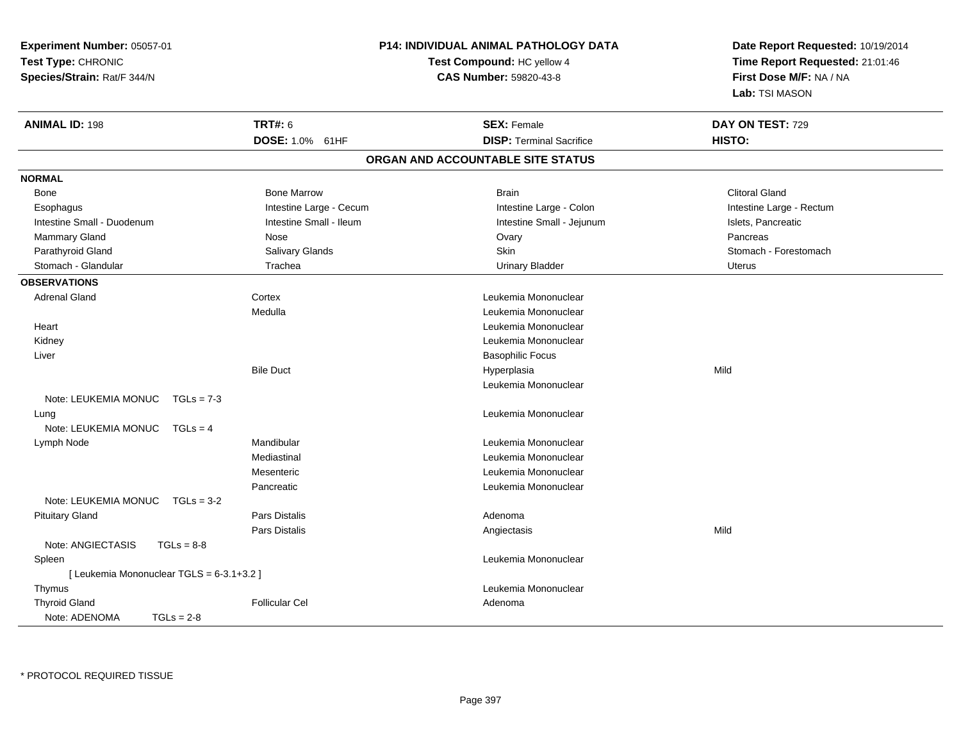| Experiment Number: 05057-01<br>Test Type: CHRONIC<br>Species/Strain: Rat/F 344/N |                         | <b>P14: INDIVIDUAL ANIMAL PATHOLOGY DATA</b><br>Test Compound: HC yellow 4<br>CAS Number: 59820-43-8 | Date Report Requested: 10/19/2014<br>Time Report Requested: 21:01:46<br>First Dose M/F: NA / NA<br>Lab: TSI MASON |
|----------------------------------------------------------------------------------|-------------------------|------------------------------------------------------------------------------------------------------|-------------------------------------------------------------------------------------------------------------------|
| <b>ANIMAL ID: 198</b>                                                            | <b>TRT#: 6</b>          | <b>SEX: Female</b>                                                                                   | DAY ON TEST: 729                                                                                                  |
|                                                                                  | DOSE: 1.0% 61HF         | <b>DISP: Terminal Sacrifice</b>                                                                      | HISTO:                                                                                                            |
|                                                                                  |                         | ORGAN AND ACCOUNTABLE SITE STATUS                                                                    |                                                                                                                   |
| <b>NORMAL</b>                                                                    |                         |                                                                                                      |                                                                                                                   |
| Bone                                                                             | <b>Bone Marrow</b>      | <b>Brain</b>                                                                                         | <b>Clitoral Gland</b>                                                                                             |
| Esophagus                                                                        | Intestine Large - Cecum | Intestine Large - Colon                                                                              | Intestine Large - Rectum                                                                                          |
| Intestine Small - Duodenum                                                       | Intestine Small - Ileum | Intestine Small - Jejunum                                                                            | Islets, Pancreatic                                                                                                |
| Mammary Gland                                                                    | Nose                    | Ovary                                                                                                | Pancreas                                                                                                          |
| Parathyroid Gland                                                                | Salivary Glands         | Skin                                                                                                 | Stomach - Forestomach                                                                                             |
| Stomach - Glandular                                                              | Trachea                 | <b>Urinary Bladder</b>                                                                               | Uterus                                                                                                            |
| <b>OBSERVATIONS</b>                                                              |                         |                                                                                                      |                                                                                                                   |
| <b>Adrenal Gland</b>                                                             | Cortex                  | Leukemia Mononuclear                                                                                 |                                                                                                                   |
|                                                                                  | Medulla                 | Leukemia Mononuclear                                                                                 |                                                                                                                   |
| Heart                                                                            |                         | Leukemia Mononuclear                                                                                 |                                                                                                                   |
| Kidney                                                                           |                         | Leukemia Mononuclear                                                                                 |                                                                                                                   |
| Liver                                                                            |                         | <b>Basophilic Focus</b>                                                                              |                                                                                                                   |
|                                                                                  | <b>Bile Duct</b>        | Hyperplasia                                                                                          | Mild                                                                                                              |
|                                                                                  |                         | Leukemia Mononuclear                                                                                 |                                                                                                                   |
| Note: LEUKEMIA MONUC<br>$TGLs = 7-3$                                             |                         |                                                                                                      |                                                                                                                   |
| Lung                                                                             |                         | Leukemia Mononuclear                                                                                 |                                                                                                                   |
| Note: LEUKEMIA MONUC<br>$TGLS = 4$                                               |                         |                                                                                                      |                                                                                                                   |
| Lymph Node                                                                       | Mandibular              | Leukemia Mononuclear                                                                                 |                                                                                                                   |
|                                                                                  | Mediastinal             | Leukemia Mononuclear                                                                                 |                                                                                                                   |
|                                                                                  | Mesenteric              | Leukemia Mononuclear                                                                                 |                                                                                                                   |
|                                                                                  | Pancreatic              | Leukemia Mononuclear                                                                                 |                                                                                                                   |
| Note: LEUKEMIA MONUC<br>$TGLs = 3-2$                                             |                         |                                                                                                      |                                                                                                                   |
| <b>Pituitary Gland</b>                                                           | <b>Pars Distalis</b>    | Adenoma                                                                                              |                                                                                                                   |
|                                                                                  | <b>Pars Distalis</b>    | Angiectasis                                                                                          | Mild                                                                                                              |
| Note: ANGIECTASIS<br>$TGLs = 8-8$                                                |                         |                                                                                                      |                                                                                                                   |
| Spleen                                                                           |                         | Leukemia Mononuclear                                                                                 |                                                                                                                   |
| [ Leukemia Mononuclear TGLS = 6-3.1+3.2 ]                                        |                         |                                                                                                      |                                                                                                                   |
| Thymus                                                                           |                         | Leukemia Mononuclear                                                                                 |                                                                                                                   |
| <b>Thyroid Gland</b>                                                             | <b>Follicular Cel</b>   | Adenoma                                                                                              |                                                                                                                   |
| Note: ADENOMA<br>$TGLs = 2-8$                                                    |                         |                                                                                                      |                                                                                                                   |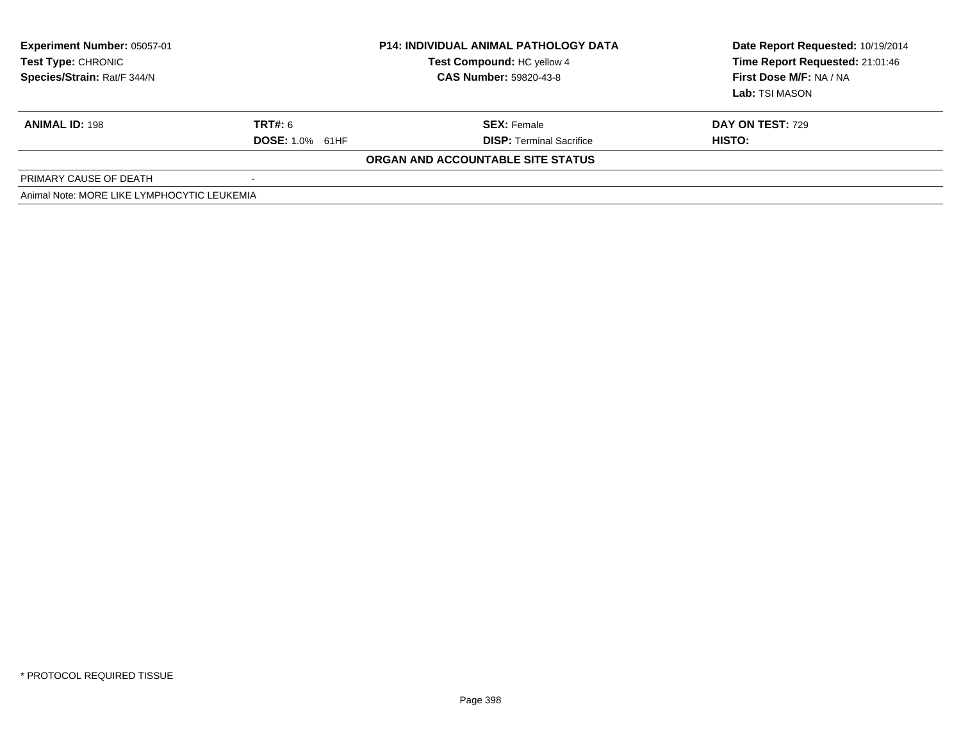| <b>Experiment Number: 05057-01</b><br><b>Test Type: CHRONIC</b><br>Species/Strain: Rat/F 344/N | <b>P14: INDIVIDUAL ANIMAL PATHOLOGY DATA</b><br><b>Test Compound: HC yellow 4</b><br><b>CAS Number: 59820-43-8</b> |                                   | Date Report Requested: 10/19/2014<br>Time Report Requested: 21:01:46<br>First Dose M/F: NA / NA |  |
|------------------------------------------------------------------------------------------------|--------------------------------------------------------------------------------------------------------------------|-----------------------------------|-------------------------------------------------------------------------------------------------|--|
|                                                                                                |                                                                                                                    |                                   | <b>Lab:</b> TSI MASON                                                                           |  |
| <b>ANIMAL ID: 198</b>                                                                          | <b>TRT#: 6</b>                                                                                                     | <b>SEX: Female</b>                | <b>DAY ON TEST: 729</b>                                                                         |  |
|                                                                                                | <b>DOSE: 1.0% 61HF</b>                                                                                             | <b>DISP:</b> Terminal Sacrifice   | HISTO:                                                                                          |  |
|                                                                                                |                                                                                                                    | ORGAN AND ACCOUNTABLE SITE STATUS |                                                                                                 |  |
| PRIMARY CAUSE OF DEATH                                                                         |                                                                                                                    |                                   |                                                                                                 |  |
| Animal Note: MORE LIKE LYMPHOCYTIC LEUKEMIA                                                    |                                                                                                                    |                                   |                                                                                                 |  |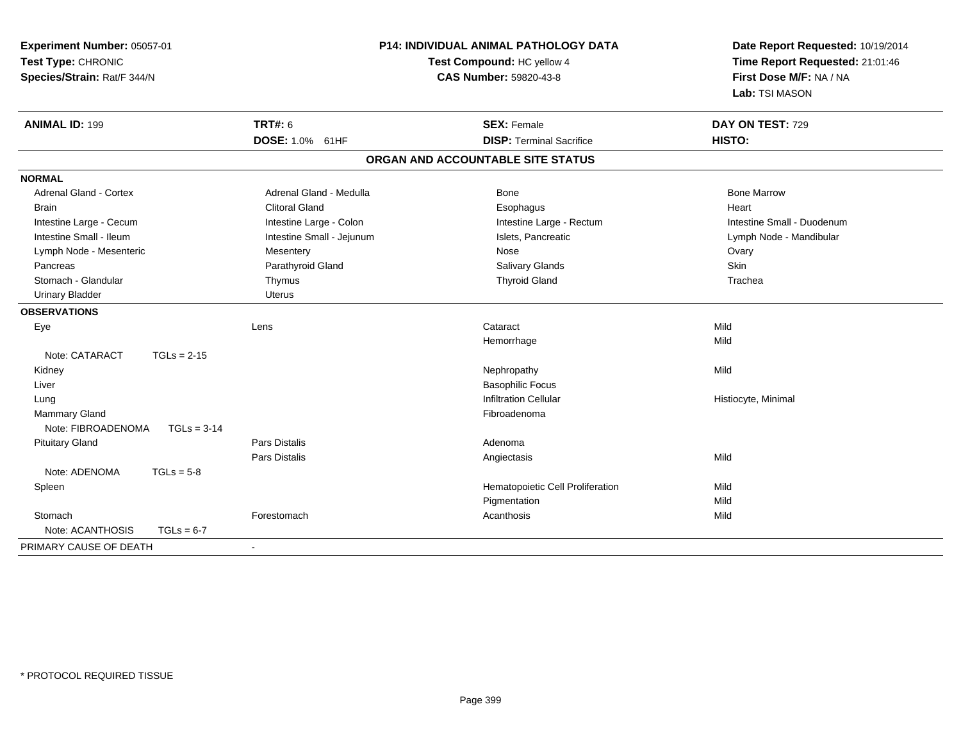| Experiment Number: 05057-01<br>Test Type: CHRONIC<br>Species/Strain: Rat/F 344/N |                           | P14: INDIVIDUAL ANIMAL PATHOLOGY DATA<br>Test Compound: HC yellow 4<br><b>CAS Number: 59820-43-8</b> | Date Report Requested: 10/19/2014<br>Time Report Requested: 21:01:46<br>First Dose M/F: NA / NA<br>Lab: TSI MASON |
|----------------------------------------------------------------------------------|---------------------------|------------------------------------------------------------------------------------------------------|-------------------------------------------------------------------------------------------------------------------|
| <b>ANIMAL ID: 199</b>                                                            | <b>TRT#: 6</b>            | <b>SEX: Female</b>                                                                                   | DAY ON TEST: 729                                                                                                  |
|                                                                                  | DOSE: 1.0% 61HF           | <b>DISP: Terminal Sacrifice</b>                                                                      | HISTO:                                                                                                            |
|                                                                                  |                           | ORGAN AND ACCOUNTABLE SITE STATUS                                                                    |                                                                                                                   |
| <b>NORMAL</b>                                                                    |                           |                                                                                                      |                                                                                                                   |
| <b>Adrenal Gland - Cortex</b>                                                    | Adrenal Gland - Medulla   | Bone                                                                                                 | <b>Bone Marrow</b>                                                                                                |
| <b>Brain</b>                                                                     | <b>Clitoral Gland</b>     | Esophagus                                                                                            | Heart                                                                                                             |
| Intestine Large - Cecum                                                          | Intestine Large - Colon   | Intestine Large - Rectum                                                                             | Intestine Small - Duodenum                                                                                        |
| Intestine Small - Ileum                                                          | Intestine Small - Jejunum | Islets, Pancreatic                                                                                   | Lymph Node - Mandibular                                                                                           |
| Lymph Node - Mesenteric                                                          | Mesentery                 | Nose                                                                                                 | Ovary                                                                                                             |
| Pancreas                                                                         | Parathyroid Gland         | <b>Salivary Glands</b>                                                                               | Skin                                                                                                              |
| Stomach - Glandular                                                              | Thymus                    | <b>Thyroid Gland</b>                                                                                 | Trachea                                                                                                           |
| <b>Urinary Bladder</b>                                                           | Uterus                    |                                                                                                      |                                                                                                                   |
| <b>OBSERVATIONS</b>                                                              |                           |                                                                                                      |                                                                                                                   |
| Eye                                                                              | Lens                      | Cataract                                                                                             | Mild                                                                                                              |
|                                                                                  |                           | Hemorrhage                                                                                           | Mild                                                                                                              |
| Note: CATARACT<br>$TGLs = 2-15$                                                  |                           |                                                                                                      |                                                                                                                   |
| Kidney                                                                           |                           | Nephropathy                                                                                          | Mild                                                                                                              |
| Liver                                                                            |                           | <b>Basophilic Focus</b>                                                                              |                                                                                                                   |
| Lung                                                                             |                           | <b>Infiltration Cellular</b>                                                                         | Histiocyte, Minimal                                                                                               |
| <b>Mammary Gland</b>                                                             |                           | Fibroadenoma                                                                                         |                                                                                                                   |
| Note: FIBROADENOMA<br>$TGLs = 3-14$                                              |                           |                                                                                                      |                                                                                                                   |
| <b>Pituitary Gland</b>                                                           | <b>Pars Distalis</b>      | Adenoma                                                                                              |                                                                                                                   |
|                                                                                  | Pars Distalis             | Angiectasis                                                                                          | Mild                                                                                                              |
| Note: ADENOMA<br>$TGLs = 5-8$                                                    |                           |                                                                                                      |                                                                                                                   |
| Spleen                                                                           |                           | Hematopoietic Cell Proliferation                                                                     | Mild                                                                                                              |
|                                                                                  |                           | Pigmentation                                                                                         | Mild                                                                                                              |
| Stomach                                                                          | Forestomach               | Acanthosis                                                                                           | Mild                                                                                                              |
| Note: ACANTHOSIS<br>$TGLs = 6-7$                                                 |                           |                                                                                                      |                                                                                                                   |
| PRIMARY CAUSE OF DEATH                                                           | $\blacksquare$            |                                                                                                      |                                                                                                                   |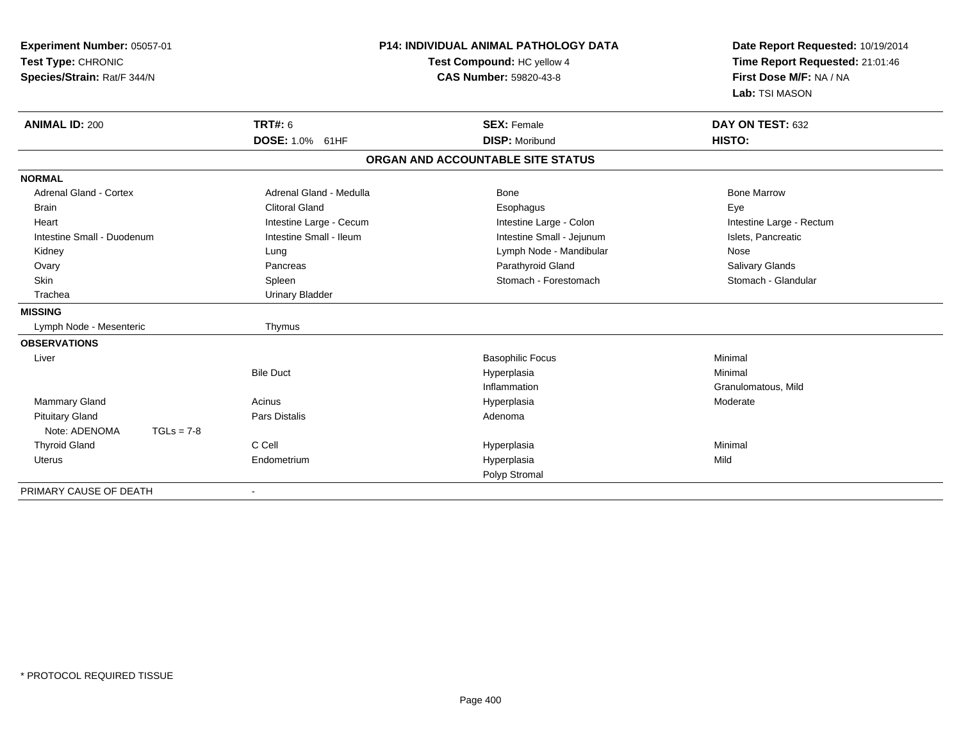| Experiment Number: 05057-01<br>Test Type: CHRONIC<br>Species/Strain: Rat/F 344/N | <b>P14: INDIVIDUAL ANIMAL PATHOLOGY DATA</b><br>Test Compound: HC yellow 4<br>CAS Number: 59820-43-8 |                                   | Date Report Requested: 10/19/2014<br>Time Report Requested: 21:01:46<br>First Dose M/F: NA / NA<br>Lab: TSI MASON |
|----------------------------------------------------------------------------------|------------------------------------------------------------------------------------------------------|-----------------------------------|-------------------------------------------------------------------------------------------------------------------|
| <b>ANIMAL ID: 200</b>                                                            | <b>TRT#: 6</b>                                                                                       | <b>SEX: Female</b>                | DAY ON TEST: 632                                                                                                  |
|                                                                                  | DOSE: 1.0% 61HF                                                                                      | <b>DISP: Moribund</b>             | HISTO:                                                                                                            |
|                                                                                  |                                                                                                      | ORGAN AND ACCOUNTABLE SITE STATUS |                                                                                                                   |
| <b>NORMAL</b>                                                                    |                                                                                                      |                                   |                                                                                                                   |
| Adrenal Gland - Cortex                                                           | Adrenal Gland - Medulla                                                                              | Bone                              | <b>Bone Marrow</b>                                                                                                |
| <b>Brain</b>                                                                     | Clitoral Gland                                                                                       | Esophagus                         | Eye                                                                                                               |
| Heart                                                                            | Intestine Large - Cecum                                                                              | Intestine Large - Colon           | Intestine Large - Rectum                                                                                          |
| Intestine Small - Duodenum                                                       | Intestine Small - Ileum                                                                              | Intestine Small - Jejunum         | Islets, Pancreatic                                                                                                |
| Kidney                                                                           | Lung                                                                                                 | Lymph Node - Mandibular           | Nose                                                                                                              |
| Ovary                                                                            | Pancreas                                                                                             | Parathyroid Gland                 | Salivary Glands                                                                                                   |
| <b>Skin</b>                                                                      | Spleen                                                                                               | Stomach - Forestomach             | Stomach - Glandular                                                                                               |
| Trachea                                                                          | <b>Urinary Bladder</b>                                                                               |                                   |                                                                                                                   |
| <b>MISSING</b>                                                                   |                                                                                                      |                                   |                                                                                                                   |
| Lymph Node - Mesenteric                                                          | Thymus                                                                                               |                                   |                                                                                                                   |
| <b>OBSERVATIONS</b>                                                              |                                                                                                      |                                   |                                                                                                                   |
| Liver                                                                            |                                                                                                      | <b>Basophilic Focus</b>           | Minimal                                                                                                           |
|                                                                                  | <b>Bile Duct</b>                                                                                     | Hyperplasia                       | Minimal                                                                                                           |
|                                                                                  |                                                                                                      | Inflammation                      | Granulomatous, Mild                                                                                               |
| Mammary Gland                                                                    | Acinus                                                                                               | Hyperplasia                       | Moderate                                                                                                          |
| <b>Pituitary Gland</b>                                                           | <b>Pars Distalis</b>                                                                                 | Adenoma                           |                                                                                                                   |
| Note: ADENOMA<br>$TGLs = 7-8$                                                    |                                                                                                      |                                   |                                                                                                                   |
| <b>Thyroid Gland</b>                                                             | C Cell                                                                                               | Hyperplasia                       | Minimal                                                                                                           |
| <b>Uterus</b>                                                                    | Endometrium                                                                                          | Hyperplasia                       | Mild                                                                                                              |
|                                                                                  |                                                                                                      | Polyp Stromal                     |                                                                                                                   |
| PRIMARY CAUSE OF DEATH                                                           |                                                                                                      |                                   |                                                                                                                   |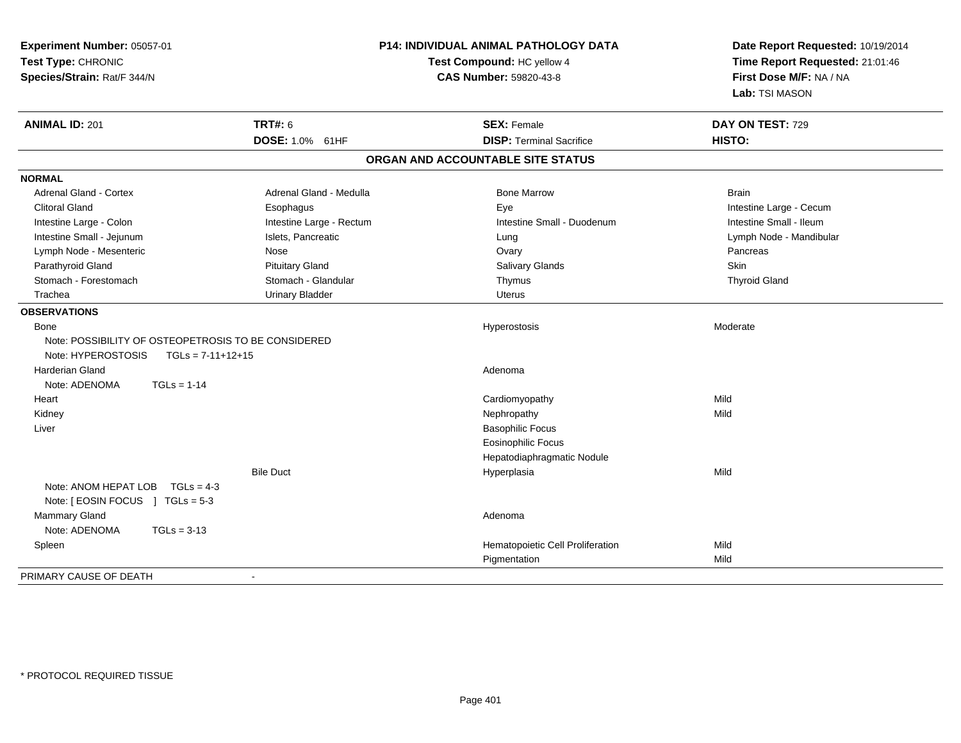| Experiment Number: 05057-01<br>Test Type: CHRONIC<br>Species/Strain: Rat/F 344/N |                          | <b>P14: INDIVIDUAL ANIMAL PATHOLOGY DATA</b><br>Test Compound: HC yellow 4<br>CAS Number: 59820-43-8 | Date Report Requested: 10/19/2014<br>Time Report Requested: 21:01:46<br>First Dose M/F: NA / NA<br>Lab: TSI MASON |
|----------------------------------------------------------------------------------|--------------------------|------------------------------------------------------------------------------------------------------|-------------------------------------------------------------------------------------------------------------------|
| <b>ANIMAL ID: 201</b>                                                            | <b>TRT#: 6</b>           | <b>SEX: Female</b>                                                                                   | DAY ON TEST: 729                                                                                                  |
|                                                                                  | DOSE: 1.0% 61HF          | <b>DISP: Terminal Sacrifice</b>                                                                      | HISTO:                                                                                                            |
|                                                                                  |                          | ORGAN AND ACCOUNTABLE SITE STATUS                                                                    |                                                                                                                   |
| <b>NORMAL</b>                                                                    |                          |                                                                                                      |                                                                                                                   |
| Adrenal Gland - Cortex                                                           | Adrenal Gland - Medulla  | <b>Bone Marrow</b>                                                                                   | <b>Brain</b>                                                                                                      |
| <b>Clitoral Gland</b>                                                            | Esophagus                | Eye                                                                                                  | Intestine Large - Cecum                                                                                           |
| Intestine Large - Colon                                                          | Intestine Large - Rectum | Intestine Small - Duodenum                                                                           | Intestine Small - Ileum                                                                                           |
| Intestine Small - Jejunum                                                        | Islets, Pancreatic       | Lung                                                                                                 | Lymph Node - Mandibular                                                                                           |
| Lymph Node - Mesenteric                                                          | Nose                     | Ovary                                                                                                | Pancreas                                                                                                          |
| Parathyroid Gland                                                                | <b>Pituitary Gland</b>   | Salivary Glands                                                                                      | Skin                                                                                                              |
| Stomach - Forestomach                                                            | Stomach - Glandular      | Thymus                                                                                               | <b>Thyroid Gland</b>                                                                                              |
| Trachea                                                                          | <b>Urinary Bladder</b>   | <b>Uterus</b>                                                                                        |                                                                                                                   |
| <b>OBSERVATIONS</b>                                                              |                          |                                                                                                      |                                                                                                                   |
| Bone                                                                             |                          | Hyperostosis                                                                                         | Moderate                                                                                                          |
| Note: POSSIBILITY OF OSTEOPETROSIS TO BE CONSIDERED                              |                          |                                                                                                      |                                                                                                                   |
| Note: HYPEROSTOSIS<br>$TGLs = 7-11+12+15$                                        |                          |                                                                                                      |                                                                                                                   |
| <b>Harderian Gland</b>                                                           |                          | Adenoma                                                                                              |                                                                                                                   |
| Note: ADENOMA<br>$TGLs = 1-14$                                                   |                          |                                                                                                      |                                                                                                                   |
| Heart                                                                            |                          | Cardiomyopathy                                                                                       | Mild                                                                                                              |
| Kidney                                                                           |                          | Nephropathy                                                                                          | Mild                                                                                                              |
| Liver                                                                            |                          | <b>Basophilic Focus</b>                                                                              |                                                                                                                   |
|                                                                                  |                          | <b>Eosinophilic Focus</b>                                                                            |                                                                                                                   |
|                                                                                  |                          | Hepatodiaphragmatic Nodule                                                                           |                                                                                                                   |
|                                                                                  | <b>Bile Duct</b>         | Hyperplasia                                                                                          | Mild                                                                                                              |
| Note: ANOM HEPAT LOB $TGLs = 4-3$                                                |                          |                                                                                                      |                                                                                                                   |
| Note: [ EOSIN FOCUS ] TGLs = 5-3                                                 |                          |                                                                                                      |                                                                                                                   |
| Mammary Gland                                                                    |                          | Adenoma                                                                                              |                                                                                                                   |
| Note: ADENOMA<br>$TGLs = 3-13$                                                   |                          |                                                                                                      |                                                                                                                   |
| Spleen                                                                           |                          | Hematopoietic Cell Proliferation                                                                     | Mild                                                                                                              |
|                                                                                  |                          | Pigmentation                                                                                         | Mild                                                                                                              |
| PRIMARY CAUSE OF DEATH                                                           |                          |                                                                                                      |                                                                                                                   |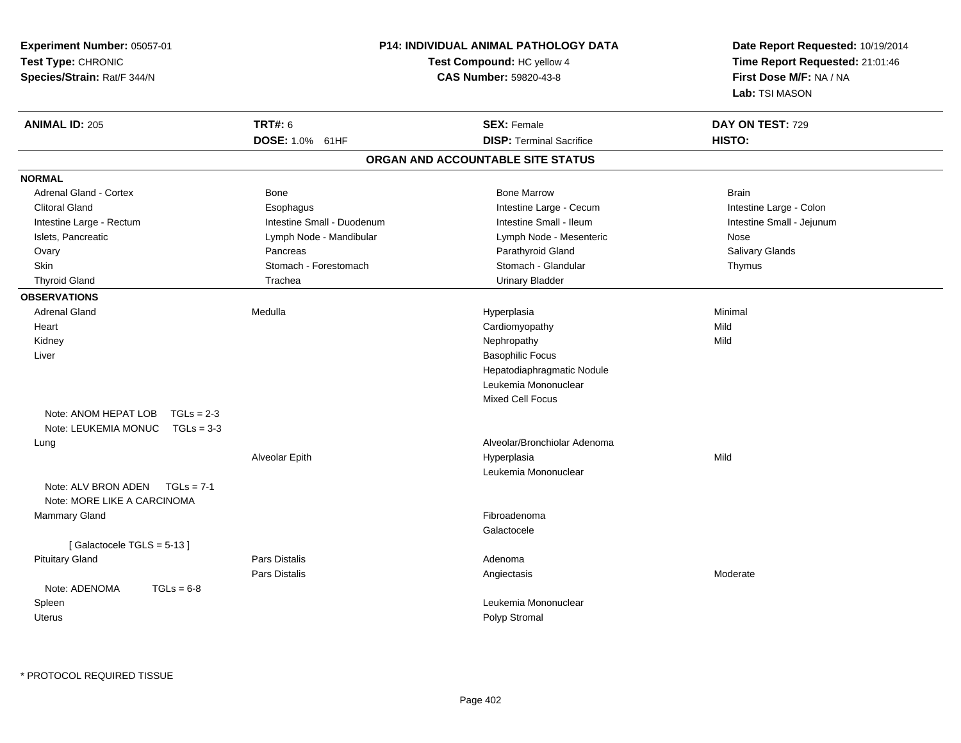| Experiment Number: 05057-01<br>Test Type: CHRONIC<br>Species/Strain: Rat/F 344/N | <b>P14: INDIVIDUAL ANIMAL PATHOLOGY DATA</b><br>Test Compound: HC yellow 4<br><b>CAS Number: 59820-43-8</b> | Date Report Requested: 10/19/2014<br>Time Report Requested: 21:01:46<br>First Dose M/F: NA / NA<br>Lab: TSI MASON |
|----------------------------------------------------------------------------------|-------------------------------------------------------------------------------------------------------------|-------------------------------------------------------------------------------------------------------------------|
| <b>TRT#: 6</b><br><b>ANIMAL ID: 205</b><br>DOSE: 1.0% 61HF                       | <b>SEX: Female</b><br><b>DISP: Terminal Sacrifice</b>                                                       | DAY ON TEST: 729<br>HISTO:                                                                                        |
|                                                                                  | ORGAN AND ACCOUNTABLE SITE STATUS                                                                           |                                                                                                                   |
| <b>NORMAL</b>                                                                    |                                                                                                             |                                                                                                                   |
| <b>Adrenal Gland - Cortex</b><br><b>Bone</b>                                     | <b>Bone Marrow</b>                                                                                          | <b>Brain</b>                                                                                                      |
| <b>Clitoral Gland</b><br>Esophagus                                               | Intestine Large - Cecum                                                                                     | Intestine Large - Colon                                                                                           |
| Intestine Small - Duodenum<br>Intestine Large - Rectum                           | Intestine Small - Ileum                                                                                     | Intestine Small - Jejunum                                                                                         |
| Islets, Pancreatic<br>Lymph Node - Mandibular                                    | Lymph Node - Mesenteric                                                                                     | Nose                                                                                                              |
| Pancreas<br>Ovary                                                                | Parathyroid Gland                                                                                           | Salivary Glands                                                                                                   |
| Skin<br>Stomach - Forestomach                                                    | Stomach - Glandular                                                                                         | Thymus                                                                                                            |
| Trachea<br><b>Thyroid Gland</b>                                                  | <b>Urinary Bladder</b>                                                                                      |                                                                                                                   |
| <b>OBSERVATIONS</b>                                                              |                                                                                                             |                                                                                                                   |
| <b>Adrenal Gland</b><br>Medulla                                                  | Hyperplasia                                                                                                 | Minimal                                                                                                           |
| Heart                                                                            | Cardiomyopathy                                                                                              | Mild                                                                                                              |
| Kidney                                                                           | Nephropathy                                                                                                 | Mild                                                                                                              |
| Liver                                                                            | <b>Basophilic Focus</b>                                                                                     |                                                                                                                   |
|                                                                                  | Hepatodiaphragmatic Nodule                                                                                  |                                                                                                                   |
|                                                                                  | Leukemia Mononuclear                                                                                        |                                                                                                                   |
|                                                                                  | <b>Mixed Cell Focus</b>                                                                                     |                                                                                                                   |
| Note: ANOM HEPAT LOB<br>$TGLs = 2-3$                                             |                                                                                                             |                                                                                                                   |
| Note: LEUKEMIA MONUC<br>$TGLs = 3-3$                                             |                                                                                                             |                                                                                                                   |
| Lung                                                                             | Alveolar/Bronchiolar Adenoma                                                                                |                                                                                                                   |
| Alveolar Epith                                                                   | Hyperplasia                                                                                                 | Mild                                                                                                              |
|                                                                                  | Leukemia Mononuclear                                                                                        |                                                                                                                   |
| Note: ALV BRON ADEN<br>$TGLs = 7-1$                                              |                                                                                                             |                                                                                                                   |
| Note: MORE LIKE A CARCINOMA                                                      |                                                                                                             |                                                                                                                   |
| <b>Mammary Gland</b>                                                             | Fibroadenoma                                                                                                |                                                                                                                   |
|                                                                                  | Galactocele                                                                                                 |                                                                                                                   |
| [Galactocele TGLS = 5-13]                                                        |                                                                                                             |                                                                                                                   |
| Pars Distalis<br><b>Pituitary Gland</b>                                          | Adenoma                                                                                                     |                                                                                                                   |
| Pars Distalis                                                                    | Angiectasis                                                                                                 | Moderate                                                                                                          |
| $TGLs = 6-8$<br>Note: ADENOMA                                                    |                                                                                                             |                                                                                                                   |
| Spleen                                                                           | Leukemia Mononuclear                                                                                        |                                                                                                                   |
| <b>Uterus</b>                                                                    | Polyp Stromal                                                                                               |                                                                                                                   |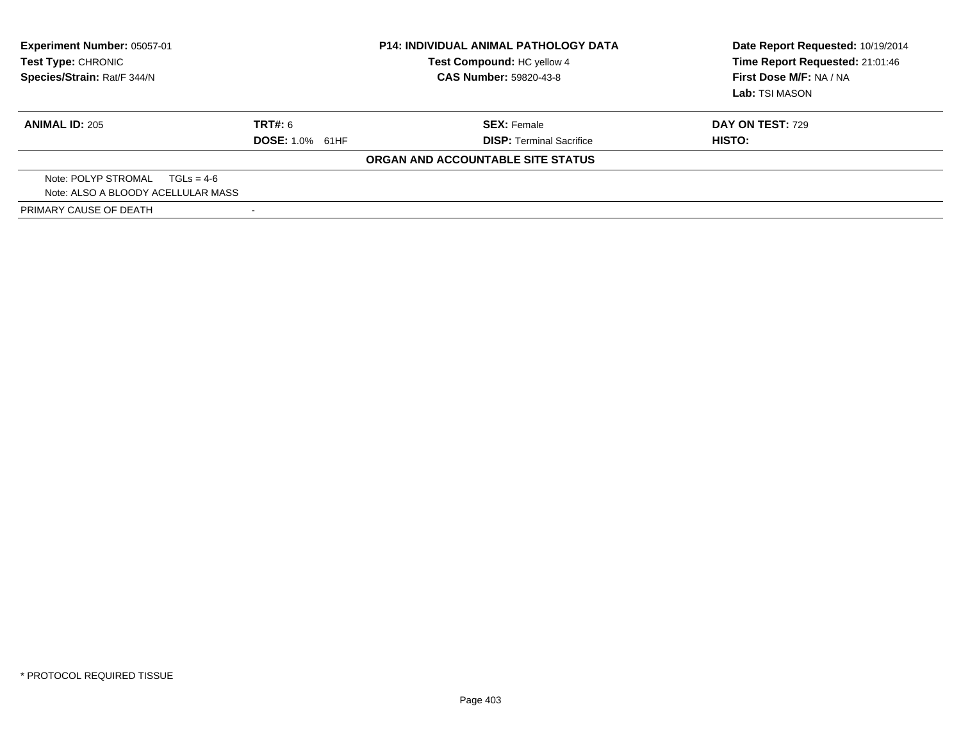| <b>Experiment Number: 05057-01</b><br>Test Type: CHRONIC<br>Species/Strain: Rat/F 344/N | <b>P14: INDIVIDUAL ANIMAL PATHOLOGY DATA</b><br>Test Compound: HC yellow 4<br><b>CAS Number: 59820-43-8</b> |                                   | Date Report Requested: 10/19/2014<br>Time Report Requested: 21:01:46<br>First Dose M/F: NA / NA<br>Lab: TSI MASON |  |
|-----------------------------------------------------------------------------------------|-------------------------------------------------------------------------------------------------------------|-----------------------------------|-------------------------------------------------------------------------------------------------------------------|--|
| <b>ANIMAL ID: 205</b>                                                                   | TRT#: 6                                                                                                     | <b>SEX: Female</b>                | <b>DAY ON TEST: 729</b>                                                                                           |  |
|                                                                                         | <b>DOSE: 1.0% 61HF</b>                                                                                      | <b>DISP:</b> Terminal Sacrifice   | HISTO:                                                                                                            |  |
|                                                                                         |                                                                                                             | ORGAN AND ACCOUNTABLE SITE STATUS |                                                                                                                   |  |
| Note: POLYP STROMAL $TGLs = 4-6$                                                        |                                                                                                             |                                   |                                                                                                                   |  |
| Note: ALSO A BLOODY ACELLULAR MASS                                                      |                                                                                                             |                                   |                                                                                                                   |  |
| PRIMARY CAUSE OF DEATH                                                                  |                                                                                                             |                                   |                                                                                                                   |  |